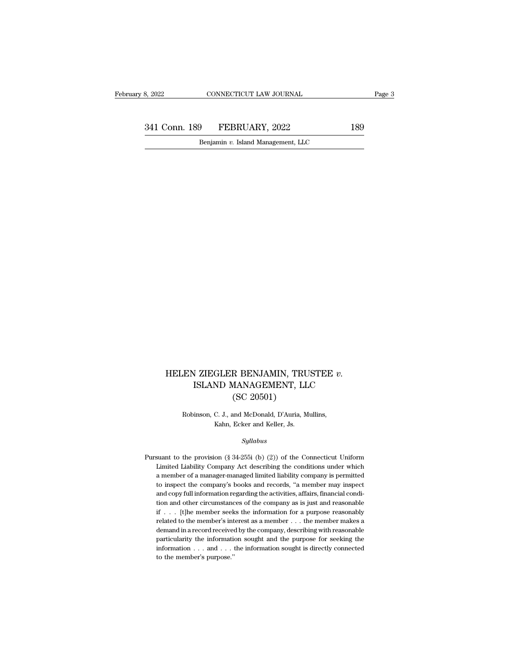332022 CONNECTICUT LAW JOURNAL Page 3<br>341 Conn. 189 FEBRUARY, 2022 189<br>Benjamin v. Island Management, LLC EXECTICUT LAW JOURNAL<br>Benjamin *v.* Island Management, LLC

### HELEN ZIEGLER BENJAMIN, TRUSTEE *v.*<br>ISLAND MANAGEMENT, LLC I ZIEGLER BENJAMIN, TRUSTEE $v.$ ISLAND MANAGEMENT, LLC ${\rm (SC\,\,20501)}$ R BENJAMIN, TRU<br>MANAGEMENT, LL<br>(SC 20501)<br>and McDonald, D'Auria, M EN ZIEGLER BENJAMIN, TRUSTEE *v*.<br>ISLAND MANAGEMENT, LLC<br>(SC 20501)<br>Robinson, C. J., and McDonald, D'Auria, Mullins,<br>Kahn, Ecker and Keller, Js. ISLAND MANAGEMENT, LLC<br>
(SC 20501)<br>
Robinson, C. J., and McDonald, D'Auria, Mullins,<br>
Kahn, Ecker and Keller, Js.

### *Syllabus*

Robinson, C. J., and McDonald, D'Auria, Mullins,<br>Kahn, Ecker and Keller, Js.<br>Syllabus<br>Pursuant to the provision (§ 34-255i (b) (2)) of the Connecticut Uniform<br>Limited Liability Company Act describing the conditions under w Limited Liability Company Act describing the conditions under which<br>a member of a manager-managed limited liability company Act describing the conditions under which<br>a member of a manager-managed limited liability company Syllabus<br>
suant to the provision (§ 34-255i (b) (2)) of the Connecticut Uniform<br>
Limited Liability Company Act describing the conditions under which<br>
a member of a manager-managed limited liability company is permitted<br>
to Syllabus<br>suant to the provision (§ 34-255i (b) (2)) of the Connecticut Uniform<br>Limited Liability Company Act describing the conditions under which<br>a member of a manager-managed limited liability company is permitted<br>to ins Equation 1993.<br>
and to the provision (§ 34-255i (b) (2)) of the Connecticut Uniform<br>
Limited Liability Company Act describing the conditions under which<br>
a member of a manager-managed limited liability company is permitte suant to the provision (§ 34-255i (b) (2)) of the Connecticut Uniform<br>Limited Liability Company Act describing the conditions under which<br>a member of a manager-managed limited liability company is permitted<br>to inspect the Limited Liability Company Act describing the conditions under which<br>a member of a manager-managed limited liability company is permitted<br>to inspect the company's books and records, "a member may inspect<br>and copy full info a member of a manager-managed limited liability company is permitted<br>to inspect the company's books and records, "a member may inspect<br>and copy full information regarding the activities, affairs, financial condi-<br>tion and to inspect the company's books and records, "a member may inspect and copy full information regarding the activities, affairs, financial condition and other circumstances of the company as is just and reasonable if  $\ldots$  and copy full information regarding the activities, affairs, financial condition and other circumstances of the company as is just and reasonable if . . . [t]he member seeks the information for a purpose reasonably relate tion and other circumstances of the company as is just and reasonable if . . . [t]he member seeks the information for a purpose reasonably related to the member's interest as a member . . . the member makes a demand in a if . . . [t]<br>he member seeks the information for a purpose reasonably related to the member's interest as a member<br> $\ldots$ , the member makes a demand in a record received by the company, describing with reasonable particula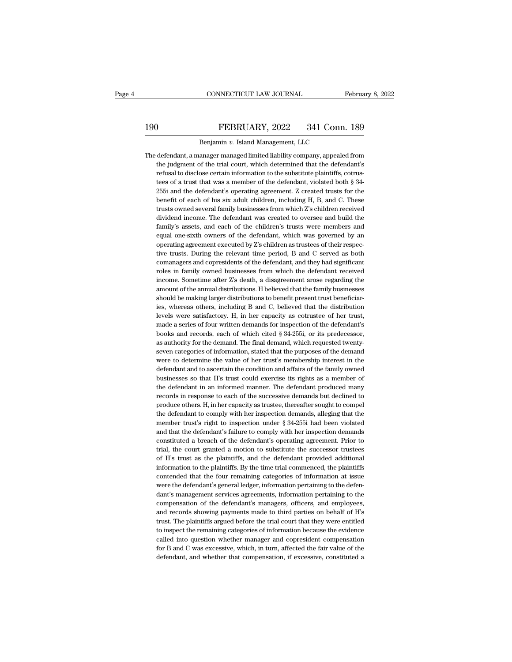## EXECTIVE CONNECTICUT LAW JOURNAL February 8, 2022<br>190 FEBRUARY, 2022 341 Conn. 189<br>Benjamin v. Island Management, LLC CONNECTICUT LAW JOURNAL<br>FEBRUARY, 2022 341 Conn.<br>Benjamin *v.* Island Management, LLC<br>anager-managed limited liability company, appealed

The defendant, a manager-managed limited liability company, appealed from<br>the judgment of the trial court, which determined that the defendant's FEBRUARY, 2022 341 Conn. 189<br>Benjamin v. Island Management, LLC<br>defendant, a manager-managed limited liability company, appealed from<br>the judgment of the trial court, which determined that the defendant's<br>refusal to disclo FEBRUARY, 2022 341 Conn. 189<br>Benjamin v. Island Management, LLC<br>defendant, a manager-managed limited liability company, appealed from<br>the judgment of the trial court, which determined that the defendant's<br>refusal to discl Benjamin  $v$ . Island Management, LLC<br>defendant, a manager-managed limited liability company, appealed from<br>the judgment of the trial court, which determined that the defendant's<br>refusal to disclose certain information to Benjamin  $v$ . Island Management, LLC<br>defendant, a manager-managed limited liability company, appealed from<br>the judgment of the trial court, which determined that the defendant's<br>refusal to disclose certain information to defendant, a manager-managed limited liability company, appealed from<br>the judgment of the trial court, which determined that the defendant's<br>refusal to disclose certain information to the substitute plaintiffs, cotrus-<br>tee the judgment of the trial court, which determined that the defendant's<br>refusal to disclose certain information to the substitute plaintiffs, cotrus-<br>tees of a trust that was a member of the defendant, violated both  $\S$  34 refusal to disclose certain information to the substitute plaintiffs, cotrus-<br>tees of a trust that was a member of the defendant, violated both § 34-<br>255i and the defendant's operating agreement. Z created trusts for the<br>b tees of a trust that was a member of the defendant, violated both § 34-<br>255i and the defendant's operating agreement. Z created trusts for the<br>benefit of each of his six adult children, including H, B, and C. These<br>trusts 255i and the defendant's operating agreement. Z created trusts for the benefit of each of his six adult children, including H, B, and C. These trusts owned several family businesses from which Z's children received dividen benefit of each of his six adult children, including H, B, and C. These<br>trusts owned several family businesses from which Z's children received<br>dividend income. The defendant was created to oversee and build the<br>family's a trusts owned several family businesses from which Z's children received<br>dividend income. The defendant was created to oversee and build the<br>family's assets, and each of the children's trusts were members and<br>equal one-sixt dividend income. The defendant was created to oversee and build the family's assets, and each of the children's trusts were members and equal one-sixth owners of the defendant, which was governed by an operating agreement family's assets, and each of the children's trusts were members and<br>equal one-sixth owners of the defendant, which was governed by an<br>operating agreement executed by Z's children as trustees of their respec-<br>tive trusts. D equal one-sixth owners of the defendant, which was governed by an operating agreement executed by Z's children as trustees of their respective trusts. During the relevant time period, B and C served as both comanagers and operating agreement executed by Z's children as trustees of their respective trusts. During the relevant time period, B and C served as both comanagers and copresidents of the defendant, and they had significant roles in f tive trusts. During the relevant time period, B and C served as both comanagers and copresidents of the defendant, and they had significant roles in family owned businesses from which the defendant received income. Sometim comanagers and copresidents of the defendant, and they had significant roles in family owned businesses from which the defendant received income. Sometime after Z's death, a disagreement arose regarding the amount of the a roles in family owned businesses from which the defendant received<br>income. Sometime after Z's death, a disagreement arose regarding the<br>amount of the annual distributions. H believed that the family businesses<br>should be ma income. Sometime after Z's death, a disagreement arose regarding the amount of the annual distributions. H believed that the family businesses should be making larger distributions to benefit present trust beneficiaries, w amount of the annual distributions. H believed that the family businesses should be making larger distributions to benefit present trust beneficiaries, whereas others, including B and C, believed that the distribution leve should be making larger distributions to benefit present trust beneficiaries, whereas others, including B and C, believed that the distribution levels were satisfactory. H, in her capacity as cotrustee of her trust, made ies, whereas others, including B and C, believed that the distribution<br>levels were satisfactory. H, in her capacity as cotrustee of her trust,<br>made a series of four written demands for inspection of the defendant's<br>books a levels were satisfactory. H, in her capacity as cotrustee of her trust,<br>made a series of four written demands for inspection of the defendant's<br>books and records, each of which cited § 34-255i, or its predecessor,<br>as autho made a series of four written demands for inspection of the defendant's books and records, each of which cited  $\S$  34-255i, or its predecessor, as authority for the demand. The final demand, which requested twenty-seven c books and records, each of which cited  $\S$  34-255i, or its predecessor, as authority for the demand. The final demand, which requested twenty-<br>seven categories of information, stated that the purposes of the demand<br>were t as authority for the demand. The final demand, which requested twenty-<br>seven categories of information, stated that the purposes of the demand<br>were to determine the value of her trust's membership interest in the<br>defendant seven categories of information, stated that the purposes of the demand<br>were to determine the value of her trust's membership interest in the<br>defendant and to ascertain the condition and affairs of the family owned<br>busines were to determine the value of her trust's membership interest in the defendant and to ascertain the condition and affairs of the family owned businesses so that H's trust could exercise its rights as a member of the defen defendant and to ascertain the condition and affairs of the family owned<br>businesses so that H's trust could exercise its rights as a member of<br>the defendant in an informed manner. The defendant produced many<br>records in res businesses so that H's trust could exercise its rights as a member of<br>the defendant in an informed manner. The defendant produced many<br>records in response to each of the successive demands but declined to<br>produce others. H the defendant in an informed manner. The defendant produced many<br>records in response to each of the successive demands but declined to<br>produce others. H, in her capacity as trustee, thereafter sought to compel<br>the defenda records in response to each of the successive demands but declined to produce others. H, in her capacity as trustee, thereafter sought to compel the defendant to comply with her inspection demands, alleging that the membe produce others. H, in her capacity as trustee, thereafter sought to compel<br>the defendant to comply with her inspection demands, alleging that the<br>member trust's right to inspection under  $\S 34-255i$  had been violated<br>and the defendant to comply with her inspection demands, alleging that the member trust's right to inspection under  $\S 34-255$  had been violated and that the defendant's failure to comply with her inspection demands constitut member trust's right to inspection under  $\S$  34-255i had been violated and that the defendant's failure to comply with her inspection demands constituted a breach of the defendant's operating agreement. Prior to trial, th and that the defendant's failure to comply with her inspection demands constituted a breach of the defendant's operating agreement. Prior to trial, the court granted a motion to substitute the successor trustees of H's tru constituted a breach of the defendant's operating agreement. Prior to trial, the court granted a motion to substitute the successor trustees of H's trust as the plaintiffs, and the defendant provided additional information trial, the court granted a motion to substitute the successor trustees<br>of H's trust as the plaintiffs, and the defendant provided additional<br>information to the plaintiffs. By the time trial commenced, the plaintiffs<br>conten of H's trust as the plaintiffs, and the defendant provided additional information to the plaintiffs. By the time trial commenced, the plaintiffs contended that the four remaining categories of information at issue were the information to the plaintiffs. By the time trial commenced, the plaintiffs contended that the four remaining categories of information at issue were the defendant's general ledger, information pertaining to the defendant's contended that the four remaining categories of information at issue<br>were the defendant's general ledger, information pertaining to the defen-<br>dant's management services agreements, information pertaining to the<br>compensati were the defendant's general ledger, information pertaining to the defendant's management services agreements, information pertaining to the compensation of the defendant's managers, officers, and employees, and records sh dant's management services agreements, information pertaining to the compensation of the defendant's managers, officers, and employees, and records showing payments made to third parties on behalf of H's trust. The plainti compensation of the defendant's managers, officers, and employees, and records showing payments made to third parties on behalf of H's trust. The plaintiffs argued before the trial court that they were entitled to inspect and records showing payments made to third parties on behalf of H's trust. The plaintiffs argued before the trial court that they were entitled to inspect the remaining categories of information because the evidence called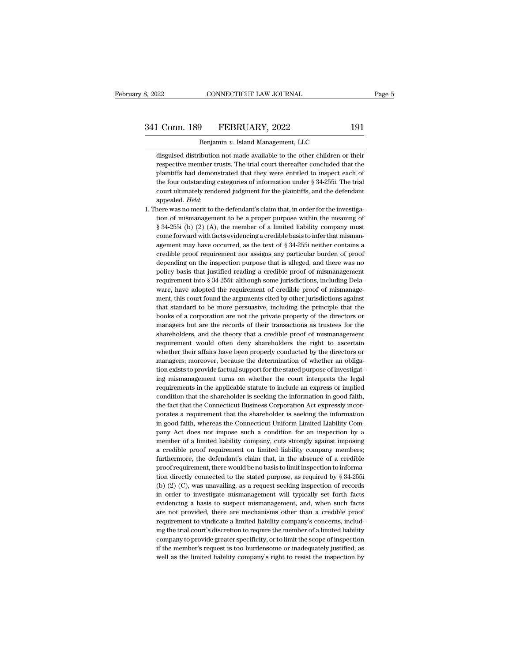disguised distribution not made available to the other children or their<br>disguised distribution not made available to the other children or their<br>respective member trusts. The trial court thereafter concluded that the 1 Conn. 189 FEBRUARY, 2022 191<br>Benjamin v. Island Management, LLC<br>disguised distribution not made available to the other children or their<br>respective member trusts. The trial court thereafter concluded that the<br>plaintiffs **Planet Comparent Comparent Comparent Comparent Comparent Comparent Constraints:** The disguised distribution not made available to the other children or their respective member trusts. The trial court thereafter concluded Benjamin  $v$ . Island Management, LLC<br>disguised distribution not made available to the other children or their<br>respective member trusts. The trial court thereafter concluded that the<br>plaintiffs had demonstrated that they w Benjamin v. Island Management, LLC<br>disguised distribution not made available to the other children or their<br>respective member trusts. The trial court thereafter concluded that the<br>plaintiffs had demonstrated that they wer respective member trusts. The trial court thereafter concluded that the plaintiffs had demonstrated that they were entitled to inspect each of the four outstanding categories of information under  $\S$  34-255i. The trial co plaintiffs had demonstrated that they were entitled to inspect each of<br>the four outstanding categories of information under § 34-255i. The trial<br>court ultimately rendered judgment for the plaintiffs, and the defendant<br>app

the four outstanding categories of information under § 34-255i. The trial court ultimately rendered judgment for the plaintiffs, and the defendant appealed. *Held*:<br>appealed. *Held*:<br>there was no merit to the defendant's court ultimately rendered judgment for the plaintiffs, and the defendant appealed. *Held*:<br>here was no merit to the defendant's claim that, in order for the investiga-<br>tion of mismanagement to be a proper purpose within t appealed. *Held:*<br>here was no merit to the defendant's claim that, in order for the investiga-<br>tion of mismanagement to be a proper purpose within the meaning of<br> $\S 34-255i$  (b) (2) (A), the member of a limited liability here was no merit to the defendant's claim that, in order for the investigation of mismanagement to be a proper purpose within the meaning of  $\S 34-255i$  (b) (2) (A), the member of a limited liability company must come fo tion of mismanagement to be a proper purpose within the meaning of  $\S$  34-255i (b) (2) (A), the member of a limited liability company must come forward with facts evidencing a credible basis to infer that mismanagement ma  $\S$  34-255i (b) (2) (A), the member of a limited liability company must come forward with facts evidencing a credible basis to infer that mismanagement may have occurred, as the text of  $\S$  34-255i neither contains a cred come forward with facts evidencing a credible basis to infer that misman-agement may have occurred, as the text of  $\S$  34-255i neither contains a credible proof requirement nor assigns any particular burden of proof depen agement may have occurred, as the text of § 34-255i neither contains a credible proof requirement nor assigns any particular burden of proof depending on the inspection purpose that is alleged, and there was no policy basi credible proof requirement nor assigns any particular burden of proof<br>depending on the inspection purpose that is alleged, and there was no<br>policy basis that justified reading a credible proof of mismanagement<br>requirement depending on the inspection purpose that is alleged, and there was no<br>policy basis that justified reading a credible proof of mismanagement<br>requirement into § 34-255i: although some jurisdictions, including Dela-<br>ware, hav policy basis that justified reading a credible proof of mismanagement<br>requirement into § 34-255i: although some jurisdictions, including Dela-<br>ware, have adopted the requirement of credible proof of mismanage-<br>ment, this c requirement into § 34-255i: although some jurisdictions, including Delaware, have adopted the requirement of credible proof of mismanagement, this court found the arguments cited by other jurisdictions against that standar ware, have adopted the requirement of credible proof of mismanagement, this court found the arguments cited by other jurisdictions against that standard to be more persuasive, including the principle that the books of a co ment, this court found the arguments cited by other jurisdictions against<br>that standard to be more persuasive, including the principle that the<br>books of a corporation are not the private property of the directors or<br>manage that standard to be more persuasive, including the principle that the books of a corporation are not the private property of the directors or managers but are the records of their transactions as trustees for the sharehold books of a corporation are not the private property of the directors or managers but are the records of their transactions as trustees for the shareholders, and the theory that a credible proof of mismanagement requirement managers but are the records of their transactions as trustees for the shareholders, and the theory that a credible proof of mismanagement requirement would often deny shareholders the right to ascertain whether their aff requirement would often deny shareholders the right to ascertain whether their affairs have been properly conducted by the directors or managers; moreover, because the determination of whether an obligation exists to provi requirement would often deny shareholders the right to ascertain whether their affairs have been properly conducted by the directors or managers; moreover, because the determination of whether an obligation exists to provi whether their affairs have been properly conducted by the directors or managers; moreover, because the determination of whether an obligation exists to provide factual support for the stated purpose of investigating misman the fact that the Connecticut Business Corporation Act expressly incorporates a requirement that the shareholder is seeking the information tion exists to provide factual support for the stated purpose of investigating mismanagement turns on whether the court interprets the legal requirements in the applicable statute to include an express or implied condition ing mismanagement turns on whether the court interprets the legal<br>requirements in the applicable statute to include an express or implied<br>condition that the shareholder is seeking the information in good faith,<br>the fact th requirements in the applicable statute to include an express or implied condition that the shareholder is seeking the information in good faith, the fact that the Connecticut Business Corporation Act expressly incorporates condition that the shareholder is seeking the information in good faith, the fact that the Connecticut Business Corporation Act expressly incorporates a requirement that the shareholder is seeking the information in good f the fact that the Connecticut Business Corporation Act expressly incorporates a requirement that the shareholder is seeking the information in good faith, whereas the Connecticut Uniform Limited Liability Company Act does porates a requirement that the shareholder is seeking the information<br>in good faith, whereas the Connecticut Uniform Limited Liability Com-<br>pany Act does not impose such a condition for an inspection by a<br>member of a limit in good faith, whereas the Connecticut Uniform Limited Liability Company Act does not impose such a condition for an inspection by a member of a limited liability company, cuts strongly against imposing a credible proof r pany Act does not impose such a condition for an inspection by a member of a limited liability company, cuts strongly against imposing a credible proof requirement on limited liability company members; furthermore, the de member of a limited liability company, cuts strongly against imposing<br>a credible proof requirement on limited liability company members;<br>furthermore, the defendant's claim that, in the absence of a credible<br>proof requirem a credible proof requirement on limited liability company members;<br>furthermore, the defendant's claim that, in the absence of a credible<br>proof requirement, there would be no basis to limit inspection to informa-<br>tion dire furthermore, the defendant's claim that, in the absence of a credible proof requirement, there would be no basis to limit inspection to information directly connected to the stated purpose, as required by  $\S 34-255i$  (b) proof requirement, there would be no basis to limit inspection to information directly connected to the stated purpose, as required by  $\S 34-255i$  (b) (2) (C), was unavailing, as a request seeking inspection of records in tion directly connected to the stated purpose, as required by § 34-255i (b) (2) (C), was unavailing, as a request seeking inspection of records in order to investigate mismanagement will typically set forth facts evidenci (b) (2) (C), was unavailing, as a request seeking inspection of records<br>in order to investigate mismanagement will typically set forth facts<br>evidencing a basis to suspect mismanagement, and, when such facts<br>are not provide in order to investigate mismanagement will typically set forth facts evidencing a basis to suspect mismanagement, and, when such facts are not provided, there are mechanisms other than a credible proof requirement to vindi evidencing a basis to suspect mismanagement, and, when such facts<br>are not provided, there are mechanisms other than a credible proof<br>requirement to vindicate a limited liability company's concerns, includ-<br>ing the trial co ing the trial court's discretion to require the member of a limited liability company to provide greater specificity, or to limit the scope of inspection if the member's request is too burdensome or inadequately justified,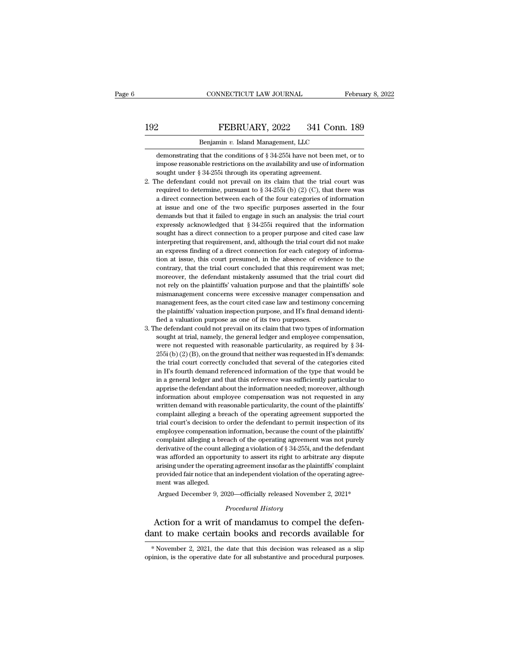# EXECTIVE CONNECTICUT LAW JOURNAL February 8, 2022<br>192 FEBRUARY, 2022 341 Conn. 189<br>Benjamin v. Island Management, LLC

CONNECTICUT LAW JOURNAL February 8, 2022<br>
PEBRUARY, 2022 341 Conn. 189<br>
Benjamin *v.* Island Management, LLC<br>
demonstrating that the conditions of § 34-255i have not been met. or to FEBRUARY, 2022 341 Conn. 189<br>Benjamin v. Island Management, LLC<br>demonstrating that the conditions of § 34-255i have not been met, or to<br>impose reasonable restrictions on the availability and use of information FEBRUARY, 2022 341 Conn. 189<br>
Benjamin v. Island Management, LLC<br>
demonstrating that the conditions of § 34-255i have not been met, or to<br>
impose reasonable restrictions on the availability and use of information<br>
sought u Sought U.S. The BERUARY, 2022 341 Connection of Senator and Management, LLC demonstrating that the conditions of § 34-255i have not been impose reasonable restrictions on the availability and use of inflexions of Sought un 1. Benjamin v. Island Management, LLC<br>
2. The demonstrating that the conditions of § 34-255i have not been met, or to<br>
1. The defendant could not prevail on its claim that the trial court was<br>
2. The defendant could not p

- Benjamin v. Island Management, LLC<br>demonstrating that the conditions of § 34-255i have not been met, or to<br>impose reasonable restrictions on the availability and use of information<br>sought under § 34-255i through its opera demonstrating that the conditions of § 34-255i have not been met, or to impose reasonable restrictions on the availability and use of information sought under § 34-255i through its operating agreement. The defendant could at interest and one of the two specific purposes asserted in the four changes are dimensioned in the defendant could not prevail on its claim that the trial court was required to determine, pursuant to  $\S 34-255i$  (b) (2) mipose reasonable restrictions of an availability and use of information<br>sought under § 34-255i through its operating agreement.<br>the defendant could not prevail on its claim that the trial court was<br>required to determine, be defendant could not prevail on its claim that the trial court was<br>required to determine, pursuant to § 34-255i (b) (2) (C), that there was<br>a direct connection between each of the four categories of information<br>at issue required to determine, pursuant to § 34-255i (b) (2) (C), that there was a direct connection between each of the four categories of information at issue and one of the two specific purposes asserted in the four demands bu interpreting that requirement, and, although the trial court did not make a direct connection between each of the four categories of information at issue and one of the two specific purposes asserted in the four demands b a direct connection between each of the four categories of information at issue and one of the two specific purposes asserted in the four demands but that it failed to engage in such an analysis: the trial court expressly at issue and one of ate two specific parposes asserted in ate foat demands but that it failed to engage in such an analysis: the trial court expressly acknowledged that § 34-255i required that the information sought has a definition of a trial contrary, the trial court contrary, and the information sought has a direct connection to a proper purpose and cited case law interpreting that requirement, and, although the trial court did not make expressly dentity required and a set of the defendant mistakenly sought has a direct connection to a proper purpose and cited case law interpreting that requirement, and, although the trial court did not make an express fi solgin has a direct connection to a proper purpose and circuit did not make an express finding of a direct connection for each category of information at issue, this court presumed, in the absence of evidence to the contra mate preasure and requirement, and, antiought are and coard and not induced an express finding of a direct connection for each category of information at issue, this court presumed, in the absence of evidence to the contra an express manig of a direct connection for each category of mioritation at issue, this court presumed, in the absence of evidence to the contrary, that the trial court concluded that this requirement was met; moreover, th from a state, and court presumed, in the absolute of evidence to the contrary, that the trial court concluded that this requirement was met; moreover, the defendant mistakenly assumed that the trial court did not rely on t moreover, the defendant mistakenly assumed that the trial court did<br>not rely on the plaintiffs' valuation purpose and that the plaintiffs' sole<br>mismanagement concerns were excessive manager compensation and<br>management fees moreover, are defendant mistakeling assumed that the trial court did<br>not rely on the plaintiffs' valuation purpose and that the plaintiffs' sole<br>mismanagement fees, as the court cited case law and testimony concerning<br>the solution of the plantinic valuation purpose and that the plantinic solution mismanagement fees, as the court cited case law and testimony concerning the plaintiffs' valuation inspection purpose, and H's final demand ident
- management fees, as the court cited case law and testimony concerning<br>management fees, as the court cited case law and testimony concerning<br>fied a valuation purpose as one of its two purposes.<br>he defendant could not preva management rees, as are court ented case raw and resultionly concerning<br>the plaintiffs' valuation inspection purpose, and H's final demand identi-<br>fied a valuation purpose as one of its two purposes.<br>he defendant could not fied a valuation inspection purpose, and its small definite-<br>fied a valuation purpose as one of its two purposes.<br>he defendant could not prevail on its claim that two types of information<br>sought at trial, namely, the gene in Hermannian reference of the two purposes.<br>
Sought at trial, namely, the general ledger and employee compensation,<br>
were not requested with reasonable particularity, as required by § 34-<br>  $255$ i (b) (2) (B), on the grou in a general ledger and that this reference was sufficiently particular to the particular of the general ledger and employee compensation, were not requested with reasonable particularity, as required by § 34-255i (b) (2) sought at trial, namely, the general redger and employee compensation,<br>were not requested with reasonable particularity, as required by § 34-<br>255i (b) (2) (B), on the ground that neither was requested in H's demands:<br>the were not requested with reasonable particularity, as required by  $\frac{1}{3}$  or 255i (b) (2) (B), on the ground that neither was requested in H's demands:<br>the trial court correctly concluded that several of the categories c  $2551(6)$  ( $27(6)$ ), of the ground diathed and several of the categories cited in H's fourth demand referenced information of the type that would be in a general ledger and that this reference was sufficiently particular in H's fourth demand referenced information of the type that would be<br>in a general ledger and that this reference was sufficiently particular to<br>apprise the defendant about the information needed; moreover, although<br>inform In the solution definant reference information of the type that would be<br>in a general ledger and that this reference was sufficiently particular to<br>apprise the defendant about the information needed; moreover, although<br>inf are a general redget and that this reference was sumereinly particular to apprise the defendant about the information needed; moreover, although information about employee compensation was not requested in any written dema apprise are determinationally information recded, indicever, antiough<br>information about employee compensation was not requested in any<br>written demand with reasonable particularity, the count of the plaintiffs'<br>complaint al momialion about employee compensation was not requested in any<br>written demand with reasonable particularity, the count of the plaintiffs'<br>complaint alleging a breach of the operating agreement supported the<br>trial court's d which definal what reasonable particularity, the count of the plantins<br>complaint alleging a breach of the operating agreement supported the<br>trial court's decision to order the defendant to permit inspection of its<br>employee compaint ancging a breach of the operating agreement supported are<br>trial court's decision to order the defendant to permit inspection of its<br>employee compensation information, because the count of the plaintiffs'<br>complaint and court's decision to order are determinant to permit inspection of its<br>employee compensation information, because the count of the plaintiffs'<br>complaint alleging a breach of the operating agreement was not purely<br>deriva employee complement<br>complaint alleging a breaking a breaking a breaking and appoint<br>arising under the operat<br>provided fair notice that<br>ment was alleged.<br>Argued December 9, 2 derivative of the count alleging a violation of § 34-255i, and the defendant<br>was afforded an opportunity to assert its right to arbitrate any dispute<br>arising under the operating agreement insofar as the plaintiffs' complai *Procedural History*<br>*Procedural History*<br>*Procedural History*<br>**Procedural History**<br>**Procedural History**<br>**Procedural History** % was afforded an opportunity to assert its right to arbitrate any dispute arising under the operating agreement insofar as the plaintiffs' complaint provided fair notice that an independent violation of the operating agr arising under the operating agreement insofar as the plaintiffs' complaint<br>provided fair notice that an independent violation of the operating agreement<br>was alleged.<br>Argued December 9, 2020—officially released November 2,

*Procedural History*<br>Action for a writ of mandamus to compel the defen-<br>ant to make certain books and records available for<br>\*November 2, 2021, the date that this decision was released as a slip<br>inion, is the operative date Procedural History<br>Action for a writ of mandamus to compel the defen-<br>dant to make certain books and records available for<br>\*November 2, 2021, the date that this decision was released as a slip<br>opinion, is the operative dat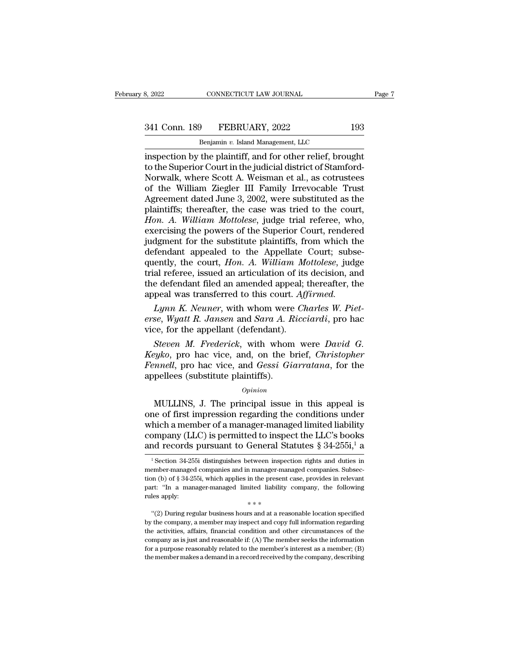# 341 Conn. 189 FEBRUARY, 2022 193<br>Benjamin v. Island Management, LLC

CONNECTICUT LAW JOURNAL<br>
Physical Management, LLC<br>
Benjamin *v.* Island Management, LLC<br>
the plaintiff and for other relief brou inspection by the plaintiff, and for other relief, brought to the Superior Court in the judicial district of Stamford-<br>Norwalk where Scott A Weisman et al. as cotrustees 341 Conn. 189 FEBRUARY, 2022 193<br>
Benjamin v. Island Management, LLC<br>
inspection by the plaintiff, and for other relief, brought<br>
to the Superior Court in the judicial district of Stamford-<br>
Norwalk, where Scott A. Weisman  $\frac{\text{341 Conn. 189} \qquad \text{FEBRUARY, 2022} \qquad \qquad 193}{\text{Benjamin } v. \text{ Island Management, LLC}}$ <br>
inspection by the plaintiff, and for other relief, brought<br>
to the Superior Court in the judicial district of Stamford-<br>
Norwalk, where Scott A. Weisman et al 341 Conn. 189 FEBRUARY, 2022 193<br>
Benjamin v. Island Management, LLC<br>
inspection by the plaintiff, and for other relief, brought<br>
to the Superior Court in the judicial district of Stamford-<br>
Norwalk, where Scott A. Weisman Benjamin v. Island Management, LLC<br>
Inspection by the plaintiff, and for other relief, brought<br>
to the Superior Court in the judicial district of Stamford-<br>
Norwalk, where Scott A. Weisman et al., as cotrustees<br>
of the Wil Benjamin v. Island Management, LLC<br>
inspection by the plaintiff, and for other relief, brought<br>
to the Superior Court in the judicial district of Stamford-<br>
Norwalk, where Scott A. Weisman et al., as cotrustees<br>
of the Wil inspection by the plaintiff, and for other relief, brought<br>to the Superior Court in the judicial district of Stamford-<br>Norwalk, where Scott A. Weisman et al., as cotrustees<br>of the William Ziegler III Family Irrevocable Tru to the Superior Court in the judicial district of Stamford-<br>Norwalk, where Scott A. Weisman et al., as cotrustees<br>of the William Ziegler III Family Irrevocable Trust<br>Agreement dated June 3, 2002, were substituted as the<br>pl Norwalk, where Scott A. Weisman et al., as cotrustees<br>of the William Ziegler III Family Irrevocable Trust<br>Agreement dated June 3, 2002, were substituted as the<br>plaintiffs; thereafter, the case was tried to the court,<br>*Hon.* of the William Ziegler III Family Irrevocable Trust<br>Agreement dated June 3, 2002, were substituted as the<br>plaintiffs; thereafter, the case was tried to the court,<br>*Hon. A. William Mottolese*, judge trial referee, who,<br>exer Agreement dated June 3, 2002, were substituted as the plaintiffs; thereafter, the case was tried to the court, *Hon. A. William Mottolese*, judge trial referee, who, exercising the powers of the Superior Court, rendered ju plaintiffs; thereafter, the case was tried to the court,<br> *Hon. A. William Mottolese*, judge trial referee, who,<br>
exercising the powers of the Superior Court, rendered<br>
judgment for the substitute plaintiffs, from which th Hon. A. William Mottolese, judge trial referee, who, exercising the powers of the Superior Court, rendered judgment for the substitute plaintiffs, from which the defendant appealed to the Appellate Court; subsequently, the exercising the powers of the Superior Court, rendere<br>judgment for the substitute plaintiffs, from which the<br>defendant appealed to the Appellate Court; subsequently, the court, *Hon. A. William Mottolese*, judg<br>trial refere judgment for the substitute plaintiffs, from which the defendant appealed to the Appellate Court; subsequently, the court, *Hon. A. William Mottolese*, judge trial referee, issued an articulation of its decision, and the d defendant appealed to the Appellate Court; subsequently, the court, *Hon. A. William Mottolese*, judge trial referee, issued an articulation of its decision, and the defendant filed an amended appeal; thereafter, the appea quently, the court, *Hon. A. William M*<br>trial referee, issued an articulation of its<br>the defendant filed an amended appeal;<br>appeal was transferred to this court. Aff<br> $Lymn K. Neuner$ , with whom were *Ch*<br>erse, *Wyatt R. Jansen*

*Steven M. Neuner, with whom were Charles W. Piet-<br>
Lynn K. Neuner, with whom were <i>Charles W. Piet-*<br> *Steven M. Frederick*, with whom were *David G.*<br> *Steven M. Frederick*, with whom were *David G.*<br> *Steven M. Frederic* 

*Keyko*, pro hac vice, and *Gessi Circuites*, *Christopher*, *Keyko*, *Piet-erse*, *Wyatt R. Jansen* and *Sara A. Ricciardi*, pro hac vice, for the appellant (defendant).<br>*Steven M. Frederick*, with whom were *David G. K Lynn K. Neuner*, with whom were *Charles W. Piet-*<br>*Ferse, Wyatt R. Jansen and Sara A. Ricciardi*, pro hac<br>vice, for the appellant (defendant).<br>*Steven M. Frederick*, with whom were *David G.*<br>*Keyko*, pro hac vice, and, Lynn K. Neuner, with whom were<br>erse, Wyatt R. Jansen and Sara A. R<br>vice, for the appellant (defendant).<br>Steven M. Frederick, with whom<br>Keyko, pro hac vice, and, on the b<br>Fennell, pro hac vice, and Gessi Gia<br>appellees (sub Steven *M. Frederick*, with whom were *David G.*<br>eyko, pro hac vice, and, on the brief, *Christopher*<br>mnell, pro hac vice, and *Gessi Giarratana*, for the<br>pellees (substitute plaintiffs).<br> $o_{pinion}$ <br>MULLINS, J. The principal *Sieven m. Freuerick*, with whom were *Dubia*  $G$ .<br> *Keyko*, pro hac vice, and *Gessi Giarratana*, for the<br>
appellees (substitute plaintiffs).<br>  $o$ <sub>*opinion*<br>
MULLINS, J. The principal issue in this appeal is<br>
one of firs</sub>

### *Opinion*

*Reyko*, pro nac vice, and, on the brief, *Christopher*<br>Fennell, pro hac vice, and *Gessi Giarratana*, for the<br>appellees (substitute plaintiffs).<br> $opinion$ <br>MULLINS, J. The principal issue in this appeal is<br>one of first impress Femel, pro hac vice, and desst diarratama, for the appellees (substitute plaintiffs).<br>  $o_{pinion}$ <br>
MULLINS, J. The principal issue in this appeal is<br>
one of first impression regarding the conditions under<br>
which a member of *Opinion*<br> *Opinion*<br>
MULLINS, J. The principal issue in this appeal is<br>
one of first impression regarding the conditions under<br>
which a member of a manager-managed limited liability<br>
company (LLC) is permitted to inspect ne of first impression regarding the conditions under<br>hich a member of a manager-managed limited liability<br>ompany (LLC) is permitted to inspect the LLC's books<br>and records pursuant to General Statutes  $\S 34-255i$ ,  $i$  a<br>which a member of a manager-managed limited liability<br>company (LLC) is permitted to inspect the LLC's books<br>and records pursuant to General Statutes  $\S 34-255i, \frac{1}{1}$ <br><sup>1</sup> Section 34-255i distinguishes between inspection

the activities, affairs, financial condition and other circumstances of the activities, affairs, financial condition and other circumstances of the activities, affairs, financial condition and other circumstances of the a rules apply:<br>
"(2) During regular business hours and at a reasonable location specified<br>
by the company, a member may inspect and copy full information regarding<br>
the activities, affairs, financial condition and other circ  $**$ <br>"(2) During regular business hours and at a reasonable location specified<br>by the company, a member may inspect and copy full information regarding<br>the activities, affairs, financial condition and other circumstances o "(2) During regular business hours and at a reasonable location specified<br>by the company, a member may inspect and copy full information regarding<br>the activities, affairs, financial condition and other circumstances of th

company (LLC) is permitted to inspect the LLC's books<br>and records pursuant to General Statutes  $\S 34-255i,^1$  a<br><sup>1</sup> Section 34-255i distinguishes between inspection rights and duties in<br>member-managed companies and in man and records pursuant to General Statutes § 34-255i,<sup>1</sup> a<br>
<sup>1</sup> Section 34-255i distinguishes between inspection rights and duties in<br>
member-managed companies and in manager-managed companies. Subsection (b) of § 34-255i, and records pursuant to General State<br>
<sup>1</sup> Section 34-255i distinguishes between insper-<br>
member-managed companies and in manager-mation (b) of § 34-255i, which applies in the present<br>
part: "In a manager-managed limited l  $\blacksquare$ "''(2) During regular business hours and at a reasonable location specified<br>
"'(2) During regular business hours and at a reasonable location specified<br>
the company, a member may inspect and copy full information r tion (b) of § 34-255i, which applies in the present case, provides in relevant part: "In a manager-managed limited liability company, the following rules apply:<br> $**$ <br>"(2) During regular business hours and at a reasonable l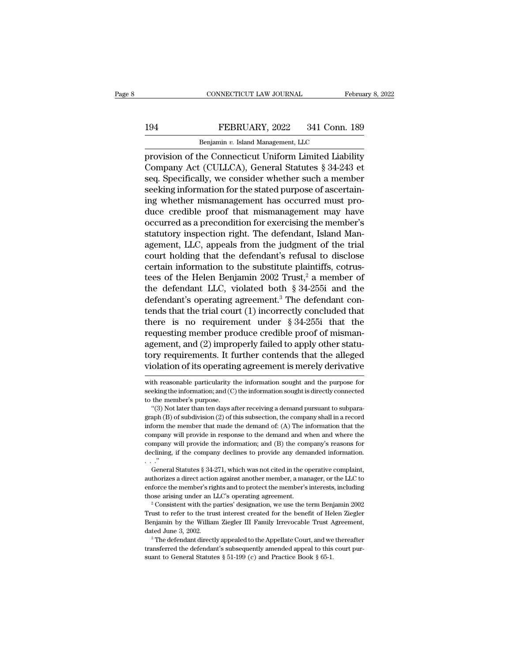## EXECTIVE CONNECTICUT LAW JOURNAL February 8, 2022<br>194 FEBRUARY, 2022 341 Conn. 189<br>Benjamin v. Island Management, LLC CONNECTICUT LAW JOURNAL FR<br>FEBRUARY, 2022 341 Conn.<br>Benjamin v. Island Management, LLC<br>he Connecticut Hniform Limited Liabi

CONNECTICUT LAW JOURNAL February 8, 2022<br>
Perjamin v. Island Management, LLC<br>
Provision of the Connecticut Uniform Limited Liability<br>
Company Act (CULLCA), General Statutes § 34-243 et FEBRUARY, 2022 341 Conn. 189<br>
Benjamin v. Island Management, LLC<br>
provision of the Connecticut Uniform Limited Liability<br>
Company Act (CULLCA), General Statutes § 34-243 et<br>
seq. Specifically, we consider whether such a me FEBRUARY, 2022 341 Conn. 189<br>
Benjamin v. Island Management, LLC<br>
provision of the Connecticut Uniform Limited Liability<br>
Company Act (CULLCA), General Statutes § 34-243 et<br>
seq. Specifically, we consider whether such a m Seeking information for the stated purpose of ascertain-<br>the seeking information of the Connecticut Uniform Limited Liability<br>Company Act (CULLCA), General Statutes § 34-243 et<br>seeking information for the stated purpose of Benjamin v. Island Management, LLC<br>provision of the Connecticut Uniform Limited Liability<br>Company Act (CULLCA), General Statutes § 34-243 et<br>seq. Specifically, we consider whether such a member<br>seeking information for the benjamin v. island Management, ELC<br>provision of the Connecticut Uniform Limited Liability<br>Company Act (CULLCA), General Statutes § 34-243 et<br>seq. Specifically, we consider whether such a member<br>seeking information for the provision of the Connecticut Uniform Limited Liability<br>Company Act (CULLCA), General Statutes § 34-243 et<br>seq. Specifically, we consider whether such a member<br>seeking information for the stated purpose of ascertain-<br>ing wh Company Act (CULLCA), General Statutes § 34-243 et<br>seq. Specifically, we consider whether such a member<br>seeking information for the stated purpose of ascertain-<br>ing whether mismanagement has occurred must pro-<br>duce credibl seq. Specifically, we consider whether such a member<br>seeking information for the stated purpose of ascertain-<br>ing whether mismanagement has occurred must pro-<br>duce credible proof that mismanagement may have<br>occurred as a p seeking information for the stated purpose of ascertain-<br>ing whether mismanagement has occurred must pro-<br>duce credible proof that mismanagement may have<br>occurred as a precondition for exercising the member's<br>statutory ins ing whether mismanagement has occurred must produce credible proof that mismanagement may have<br>occurred as a precondition for exercising the member's<br>statutory inspection right. The defendant, Island Man-<br>agement, LLC, ap duce credible proof that mismanagement may have<br>occurred as a precondition for exercising the member's<br>statutory inspection right. The defendant, Island Man-<br>agement, LLC, appeals from the judgment of the trial<br>court hold occurred as a precondition for exercising the member's<br>statutory inspection right. The defendant, Island Man-<br>agement, LLC, appeals from the judgment of the trial<br>court holding that the defendant's refusal to disclose<br>cer statutory inspection right. The defendant, Island Management, LLC, appeals from the judgment of the trial court holding that the defendant's refusal to disclose certain information to the substitute plaintiffs, cotrustees agement, LLC, appeals from the judgment of the trial court holding that the defendant's refusal to disclose certain information to the substitute plaintiffs, cotrustees of the Helen Benjamin 2002 Trust,<sup>2</sup> a member of the court holding that the defendant's refusal to disclose<br>certain information to the substitute plaintiffs, cotrus-<br>tees of the Helen Benjamin 2002 Trust,<sup>2</sup> a member of<br>the defendant LLC, violated both § 34-255i and the<br>def certain information to the substitute plaintiffs, cotrus-<br>tees of the Helen Benjamin 2002 Trust,<sup>2</sup> a member of<br>the defendant LLC, violated both § 34-255i and the<br>defendant's operating agreement.<sup>3</sup> The defendant con-<br>ten tees of the Helen Benjamin 2002 Trust,<sup>2</sup> a member of<br>the defendant LLC, violated both § 34-255i and the<br>defendant's operating agreement.<sup>3</sup> The defendant con-<br>tends that the trial court (1) incorrectly concluded that<br>the the defendant LLC, violated both § 34-255i and the<br>defendant's operating agreement.<sup>3</sup> The defendant con-<br>tends that the trial court (1) incorrectly concluded that<br>there is no requirement under § 34-255i that the<br>requestin defendant's operating agreement.<sup>3</sup> The defendant contends that the trial court (1) incorrectly concluded that there is no requirement under § 34-255i that the requesting member produce credible proof of mismanagement, and requesting member produce credible proof of misman-<br>agement, and (2) improperly failed to apply other statu-<br>tory requirements. It further contends that the alleged<br>violation of its operating agreement is merely derivative agement, and (2) improperly failed to apply other statu-<br>tory requirements. It further contends that the alleged<br>violation of its operating agreement is merely derivative<br>with reasonable particularity the information sough

General Statutes § 34-271, which was not cited in the operative complaint, enforce the member's rights and to provide any demanded information.<br>  $\therefore$  "General Statutes § 34-271, which was not cited in the operative complaint,<br>  $\therefore$  "General Statutes § 34-271, which was not cited in the operati declining, if the company declines to provide any demanded information.<br>  $\therefore$ <br>  $\therefore$ <br>  $\therefore$  General Statutes § 34-271, which was not cited in the operative complaint,<br>
authorizes a direct action against another member, a General Statutes § 34-271, which was not cited in the operative complaint,<br>authorizes a direct action against another member, a manager, or the LLC to<br>enforce the member's rights and to protect the member's interests, incl

authorizes a direct action against another member, a manager, or the LLC to enforce the member's rights and to protect the member's interests, including those arising under an LLC's operating agreement.<br><sup>2</sup> Consistent with enforce the member's rights and to protect the member's interests, including<br>those arising under an LLC's operating agreement.<br><sup>2</sup> Consistent with the parties' designation, we use the term Benjamin 2002<br>Trust to refer to t those arising under an LLC's operating agreement.<br>
<sup>2</sup> Consistent with the parties' designation, we use the term Benjamin 2002<br>
Trust to refer to the trust interest created for the benefit of Helen Ziegler<br>
Benjamin by th Trust to refer to the trust interest created for the benefit of Helen Ziegler

tory requirements. It fi<br>
violation of its operatin<br>
with reasonable particularity t<br>
seeking the information; and (C)<br>
to the member's purpose.<br>
"(3) Not later than ten days a Olation of its operating agreement is merely derivative<br>
th reasonable particularity the information sought and the purpose for<br>
eking the information; and (C) the information sought is directly connected<br>
the member's pur

with reasonable particularity the information sought and the purpose for<br>seeking the information; and (C) the information sought is directly connected<br>to the member's purpose.<br>"(3) Not later than ten days after receiving a with reasonable particularity the information sought and the purpose for seeking the information; and (C) the information sought is directly connected to the member's purpose.<br>"(3) Not later than ten days after receiving Example information; and (C) the information sought is directly connected<br>to the member's purpose.<br>"(3) Not later than ten days after receiving a demand pursuant to subpara-<br>graph (B) of subdivision (2) of this subsection to the member's purpose.<br>
"(3) Not later than ten days after receiving a demand pursuant to subpara-<br>  $(3)$  Not later than ten days after receiving a demand pursuant to subpara-<br>
graph (B) of subdivision (2) of this subse "(3) Not later than ten days after receiving a demand pursuant to subparagraph (B) of subdivision (2) of this subsection, the company shall in a record inform the member that made the demand of: (A) The information that t "(3) Not later than ten days after receiving a demand pursuant to subparagraph (B) of subdivision (2) of this subsection, the company shall in a record inform the member that made the demand of: (A) The information that t mompany will provide in response to the demand and when and where the company will provide the information; and (B) the company's reasons for declining, if the company declines to provide any demanded information.<br>
..."<br>
.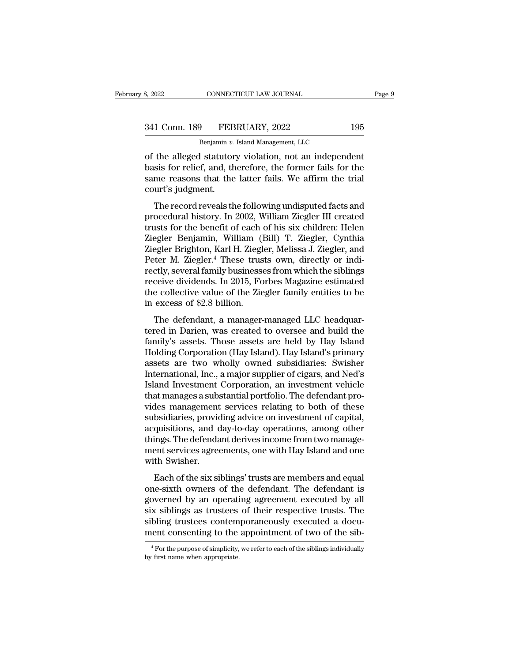| 8, 2022       | CONNECTICUT LAW JOURNAL            |     | Page 9 |
|---------------|------------------------------------|-----|--------|
| 341 Conn. 189 | FEBRUARY, 2022                     | 195 |        |
|               | Benjamin v. Island Management, LLC |     |        |

CONNECTICUT LAW JOURNAL<br>
<del>9 PEBRUARY, 2022<br>
Benjamin v. Island Management, LLC<br>
I statutory violation not an independ</del> of the alleged statutory violation, not an independent<br>
Says for relief, and, therefore, the former fails for the<br>
says for relief, and, therefore, the former fails for the<br>
says for relief, and, therefore, the former fail 341 Conn. 189 FEBRUARY, 2022 195<br>Benjamin v. Island Management, LLC<br>of the alleged statutory violation, not an independent<br>basis for relief, and, therefore, the former fails for the<br>same reasons that the latter fails. We a 341 Conn. 189 FEBRUARY, 2022 195<br>Benjamin v. Island Management, LLC<br>of the alleged statutory violation, not an independent<br>basis for relief, and, therefore, the former fails for the<br>same reasons that the latter fails. We  $\frac{341 \text{ Conn. } 189 \qquad \text{FEB}}{ \text{ Benjamin } v. }$ <br>
of the alleged statutor<br>
basis for relief, and, the<br>
same reasons that the<br>
court's judgment.<br>
The record reveals the Benjamin v. Island Management, LLC<br>the alleged statutory violation, not an independent<br>sis for relief, and, therefore, the former fails for the<br>me reasons that the latter fails. We affirm the trial<br>urt's judgment.<br>The rec of the alleged statutory violation, not an independent<br>basis for relief, and, therefore, the former fails for the<br>same reasons that the latter fails. We affirm the trial<br>court's judgment.<br>The record reveals the following u

or the aneged statutory violation, not an independent<br>basis for relief, and, therefore, the former fails for the<br>same reasons that the latter fails. We affirm the trial<br>court's judgment.<br>The record reveals the following un basis for refler, and, therefore, the former falls for the<br>same reasons that the latter fails. We affirm the trial<br>court's judgment.<br>The record reveals the following undisputed facts and<br>procedural history. In 2002, Willia sance reasons that the fatter rans. We armint the that<br>court's judgment.<br>The record reveals the following undisputed facts and<br>procedural history. In 2002, William Ziegler III created<br>trusts for the benefit of each of his The record reveals the following undisputed facts and<br>procedural history. In 2002, William Ziegler III created<br>trusts for the benefit of each of his six children: Helen<br>Ziegler Benjamin, William (Bill) T. Ziegler, Cynthia<br> The record reveals the following undisputed facts and<br>procedural history. In 2002, William Ziegler III created<br>trusts for the benefit of each of his six children: Helen<br>Ziegler Benjamin, William (Bill) T. Ziegler, Cynthia<br> procedural history. In 2002, William Ziegler III created<br>trusts for the benefit of each of his six children: Helen<br>Ziegler Benjamin, William (Bill) T. Ziegler, Cynthia<br>Ziegler Brighton, Karl H. Ziegler, Melissa J. Ziegler, trusts for the benefit of each of his six children: Helen<br>Ziegler Benjamin, William (Bill) T. Ziegler, Cynthia<br>Ziegler Brighton, Karl H. Ziegler, Melissa J. Ziegler, and<br>Peter M. Ziegler.<sup>4</sup> These trusts own, directly or i Ziegler Benjamin, William (l<br>Ziegler Brighton, Karl H. Ziegl<br>Peter M. Ziegler.<sup>4</sup> These trus<br>rectly, several family business<br>receive dividends. In 2015, Fo<br>the collective value of the Zie<br>in excess of \$2.8 billion.<br>The def Egici Brighton, Karl 11. Ziegler, Menssa J. Ziegler, and<br>ter M. Ziegler.<sup>4</sup> These trusts own, directly or indi-<br>ctly, several family businesses from which the siblings<br>ceive dividends. In 2015, Forbes Magazine estimated<br>e Fetch M. Ziegier. These trusts own, uncetty of mul-<br>rectly, several family businesses from which the siblings<br>receive dividends. In 2015, Forbes Magazine estimated<br>the collective value of the Ziegler family entities to be<br>

receive dividends. In 2015, Forbes Magazine estimated<br>the collective value of the Ziegler family entities to be<br>in excess of \$2.8 billion.<br>The defendant, a manager-managed LLC headquar-<br>tered in Darien, was created to over receive dividents. In 2015, Porbes magazine estimated<br>the collective value of the Ziegler family entities to be<br>in excess of \$2.8 billion.<br>The defendant, a manager-managed LLC headquar-<br>tered in Darien, was created to over in excess of \$2.8 billion.<br>
The defendant, a manager-managed LLC headquar-<br>
tered in Darien, was created to oversee and build the<br>
family's assets. Those assets are held by Hay Island<br>
Holding Corporation (Hay Island). Hay International, a manager-managed LLC headquartered in Darien, was created to oversee and build the family's assets. Those assets are held by Hay Island Holding Corporation (Hay Island). Hay Island's primary assets are two The defendant, a manager-managed LLC headquartered in Darien, was created to oversee and build the family's assets. Those assets are held by Hay Island Holding Corporation (Hay Island). Hay Island's primary assets are two tered in Darien, was created to oversee and build the family's assets. Those assets are held by Hay Island Holding Corporation (Hay Island). Hay Island's primary assets are two wholly owned subsidiaries: Swisher Internatio family's assets. Those assets are held by Hay Island<br>Holding Corporation (Hay Island). Hay Island's primary<br>assets are two wholly owned subsidiaries: Swisher<br>International, Inc., a major supplier of cigars, and Ned's<br>Islan Holding Corporation (Hay Island). Hay Island's primary<br>assets are two wholly owned subsidiaries: Swisher<br>International, Inc., a major supplier of cigars, and Ned's<br>Island Investment Corporation, an investment vehicle<br>that assets are two wholly owned subsidiaries: Swisher<br>International, Inc., a major supplier of cigars, and Ned's<br>Island Investment Corporation, an investment vehicle<br>that manages a substantial portfolio. The defendant pro-<br>vid International, Inc., a major supplier of cigars, and Ned's<br>Island Investment Corporation, an investment vehicle<br>that manages a substantial portfolio. The defendant pro-<br>vides management services relating to both of these<br>s Island Investment Corporation, an investment vehicle<br>that manages a substantial portfolio. The defendant pro-<br>vides management services relating to both of these<br>subsidiaries, providing advice on investment of capital,<br>acq that manages a subs<br>vides management<br>subsidiaries, provid<br>acquisitions, and c<br>things. The defenda<br>ment services agree<br>with Swisher.<br>Each of the six si Each of the six siblings' trusts are members and equal applications, and day-to-day operations, among other ings. The defendant derives income from two manage-<br>ent services agreements, one with Hay Island and one the Swish substantials, providing advice of investing to capital,<br>acquisitions, and day-to-day operations, among other<br>things. The defendant derives income from two manage-<br>ment services agreements, one with Hay Island and one<br>with

declarations, and day to day operations, among offer<br>things. The defendant derives income from two manage-<br>ment services agreements, one with Hay Island and one<br>with Swisher.<br>Each of the six siblings' trusts are members an similar terms as the site of the sites. The deterministic ment services agreements, one with Hay Island and one<br>with Swisher.<br>Each of the six siblings' trusts are members and equal<br>one-sixth owners of the defendant. The de with Swisher.<br>
Each of the six siblings' trusts are members and equal<br>
one-sixth owners of the defendant. The defendant is<br>
governed by an operating agreement executed by all<br>
six siblings as trustees of their respective t Each of the six siblings' trusts are members and equal one-sixth owners of the defendant. The defendant is governed by an operating agreement executed by all six siblings as trustees of their respective trusts. The siblin governed by an operating agreement executed by all<br>six siblings as trustees of their respective trusts. The<br>sibling trustees contemporaneously executed a docu-<br>ment consenting to the appointment of two of the sib-<br> $\frac{4}{10$ ment consenting to the appointment of two of the sib-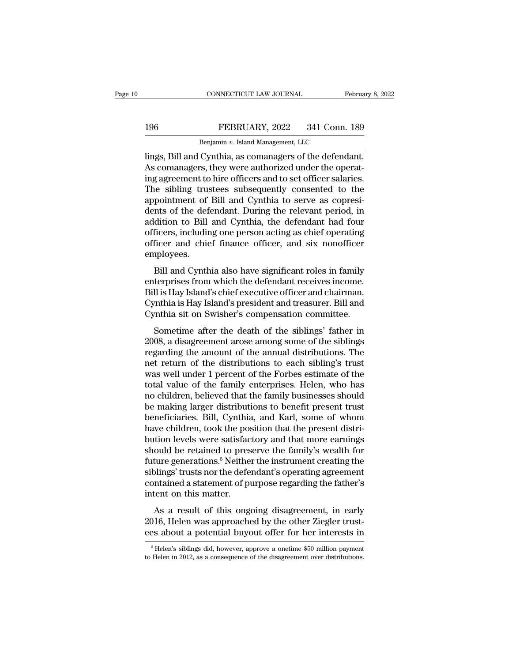## EXECTIVE CONNECTICUT LAW JOURNAL February 8, 2022<br>196 FEBRUARY, 2022 341 Conn. 189<br>Benjamin v. Island Management, LLC CONNECTICUT LAW JOURNAL FREEXPORT FOR THE REFERUARY, 2022 341 Conn.<br>Benjamin *v.* Island Management, LLC<br>Cynthia as comanagers of the defend

CONNECTICUT LAW JOURNAL February 8, 2<br>
196 FEBRUARY, 2022 341 Conn. 189<br>
Benjamin v. Island Management, LLC<br>
lings, Bill and Cynthia, as comanagers of the defendant.<br>
As comanagers, they were authorized under the operating FEBRUARY, 2022 341 Conn. 189<br>
Benjamin v. Island Management, LLC<br>
lings, Bill and Cynthia, as comanagers of the defendant.<br>
As comanagers, they were authorized under the operat-<br>
ing agreement to hire officers and to set o FEBRUARY, 2022 341 Conn. 189<br>
Benjamin v. Island Management, LLC<br>
lings, Bill and Cynthia, as comanagers of the defendant.<br>
As comanagers, they were authorized under the operating agreement to hire officers and to set off The Senjamin v. Island Management, LLC<br>
Benjamin v. Island Management, LLC<br>
lings, Bill and Cynthia, as comanagers of the defendant.<br>
As comanagers, they were authorized under the operat-<br>
ing agreement to hire officers a Benjamin v. Island Management, LLC<br>lings, Bill and Cynthia, as comanagers of the defendant.<br>As comanagers, they were authorized under the operat-<br>ing agreement to hire officers and to set officer salaries.<br>The sibling trus Benjamin v. Island Management, LLC<br>lings, Bill and Cynthia, as comanagers of the defendant.<br>As comanagers, they were authorized under the operat-<br>ing agreement to hire officers and to set officer salaries.<br>The sibling trus lings, Bill and Cynthia, as comanagers of the defendant.<br>As comanagers, they were authorized under the operating agreement to hire officers and to set officer salaries.<br>The sibling trustees subsequently consented to the<br>ap As comanagers, they were authorized under the operating agreement to hire officers and to set officer salaries.<br>The sibling trustees subsequently consented to the appointment of Bill and Cynthia to serve as copresidents of ing agreement to hire officers and to set officer salaries.<br>The sibling trustees subsequently consented to the<br>appointment of Bill and Cynthia to serve as copresi-<br>dents of the defendant. During the relevant period, in<br>add employees. pointinct of Bill and Cynthia to serve as copresi-<br>hts of the defendant. During the relevant period, in<br>dition to Bill and Cynthia, the defendant had four<br>ficers, including one person acting as chief operating<br>ficer and ch deltion to Bill and Cynthia, the defendant had four<br>addition to Bill and Cynthia, the defendant had four<br>officer and chief finance officer, and six nonofficer<br>employees.<br>Bill and Cynthia also have significant roles in fami

addrivent of Bill and Cynthia, the determinant had four<br>officers, including one person acting as chief operating<br>officer and chief finance officer, and six nonofficer<br>employees.<br>Bill and Cynthia also have significant roles officer and chief finance officer, and six nonofficer<br>employees.<br>Bill and Cynthia also have significant roles in family<br>enterprises from which the defendant receives income.<br>Bill is Hay Island's chief executive officer and Figure 2.1 and SM Mohdmetherm<br>Employees.<br>Bill and Cynthia also have significant roles in family<br>enterprises from which the defendant receives income.<br>Bill is Hay Island's chief executive officer and chairman.<br>Cynthia is Ha Bill and Cynthia also have significant roles in family<br>terprises from which the defendant receives income.<br>Il is Hay Island's chief executive officer and chairman.<br>mthia is Hay Island's president and treasurer. Bill and<br>mt Early enterprises from which the defendant roces in ranny<br>enterprises from which the defendant receives income.<br>Bill is Hay Island's president and treasurer. Bill and<br>Cynthia sit on Swisher's compensation committee.<br>Someti

Enterprises from which the detendant receives income.<br>Bill is Hay Island's chief executive officer and chairman.<br>Cynthia sit on Swisher's compensation committee.<br>Sometime after the death of the siblings' father in<br>2008, a East ray island's chief executive officer and charman.<br>Cynthia is Hay Island's president and treasurer. Bill and<br>Cynthia sit on Swisher's compensation committee.<br>Sometime after the death of the siblings' father in<br>2008, a Cynthia is riay island s president and deasurer. Bin and<br>Cynthia sit on Swisher's compensation committee.<br>Sometime after the death of the siblings' father in<br>2008, a disagreement arose among some of the siblings<br>regarding Exploration of the siblings' father in<br>2008, a disagreement arose among some of the siblings<br>regarding the amount of the annual distributions. The<br>net return of the distributions to each sibling's trust<br>was well under 1 pe Sometime after the death of the siblings' father in 2008, a disagreement arose among some of the siblings<br>regarding the amount of the annual distributions. The<br>net return of the distributions to each sibling's trust<br>was we 2008, a disagreement arose among some of the siblings<br>regarding the amount of the annual distributions. The<br>net return of the distributions to each sibling's trust<br>was well under 1 percent of the Forbes estimate of the<br>tot regarding the amount of the annual distributions. The<br>net return of the distributions to each sibling's trust<br>was well under 1 percent of the Forbes estimate of the<br>total value of the family enterprises. Helen, who has<br>no net return of the distributions to each sibling's trust<br>was well under 1 percent of the Forbes estimate of the<br>total value of the family enterprises. Helen, who has<br>no children, believed that the family businesses should<br>b was well under 1 percent of the Forbes estimate of the total value of the family enterprises. Helen, who has no children, believed that the family businesses should be making larger distributions to benefit present trust total value of the family enterprises. Helen, who has<br>no children, believed that the family businesses should<br>be making larger distributions to benefit present trust<br>beneficiaries. Bill, Cynthia, and Karl, some of whom<br>hav no children, believed that the family businesses should<br>be making larger distributions to benefit present trust<br>beneficiaries. Bill, Cynthia, and Karl, some of whom<br>have children, took the position that the present distribe making larger distributions to benefit present trust<br>beneficiaries. Bill, Cynthia, and Karl, some of whom<br>have children, took the position that the present distri-<br>bution levels were satisfactory and that more earnings<br> beneficiaries. Bill, Cynthia, and Karl, some of whom<br>have children, took the position that the present distri-<br>bution levels were satisfactory and that more earnings<br>should be retained to preserve the family's wealth for<br>f have children, took the pospution levels were satisface<br>should be retained to pres<br>future generations.<sup>5</sup> Neithe<br>siblings' trusts nor the defe<br>contained a statement of p<br>intent on this matter.<br>As a result of this onge As a result of this ongoing disagreement, in early<br>and the retained to preserve the family's wealth for<br>ture generations.<sup>5</sup> Neither the instrument creating the<br>plings' trusts nor the defendant's operating agreement<br>mtaine Existing the statistics of preserve are family 5 weaker for<br>future generations.<sup>5</sup> Neither the instrument creating the<br>siblings' trusts nor the defendant's operating agreement<br>contained a statement of purpose regarding the existings' trusts nor the defendant's operating approaches about a statement of purpose regarding the father's intent on this matter.<br>As a result of this ongoing disagreement, in early 2016, Helen was approached by the oth

As a result of this ongoing disagreement, in early<br>
116, Helen was approached by the other Ziegler trust-<br>
25 about a potential buyout offer for her interests in<br>
<sup>5</sup> Helen's siblings did, however, approve a onetime \$50 m As a result of this ongoing disagreement, in early 2016, Helen was approached by the other Ziegler trust-<br>ees about a potential buyout offer for her interests in<br><sup>5</sup>Helen's siblings did, however, approve a onetime \$50 mil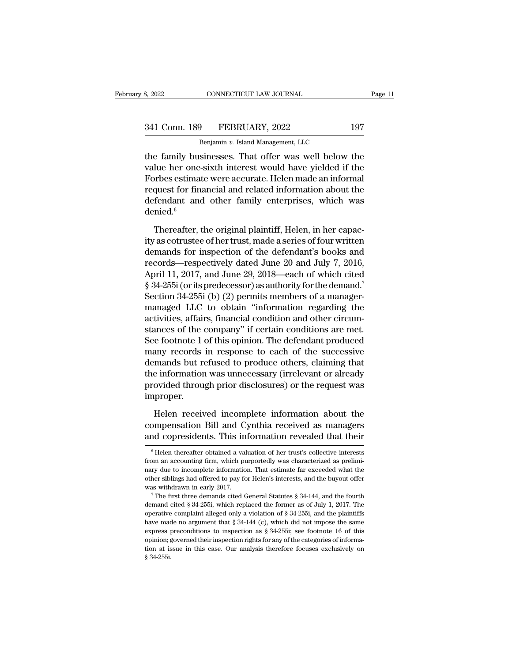CONNECTICUT LAW JOURNAL<br>
<del>9 FEBRUARY, 2022<br>
Benjamin v. Island Management, LLC<br>
sinesses That offer was well below</del> Fage 11<br>
S. 2022 CONNECTICUT LAW JOURNAL Page 11<br>
341 Conn. 189 FEBRUARY, 2022 197<br>
Benjamin v. Island Management, LLC<br>
the family businesses. That offer was well below the<br>
value her one-sixth interest would have yielded 341 Conn. 189 FEBRUARY, 2022 197<br>Benjamin v. Island Management, LLC<br>the family businesses. That offer was well below the<br>value her one-sixth interest would have yielded if the<br>Forbes estimate were accurate. Helen made an i  $\frac{341 \text{ Conn. } 189 \qquad \text{FEBRUARY, } 2022 \qquad \qquad 197}{\text{Benjamin } v. \text{ Island Management, } LLC}$ <br>
the family businesses. That offer was well below the<br>
value her one-sixth interest would have yielded if the<br>
Forbes estimate were accurate. Helen made an 341 Conn. 189 FEBRUARY, 2022 197<br>
Benjamin v. Island Management, LLC<br>
the family businesses. That offer was well below the<br>
value her one-sixth interest would have yielded if the<br>
Forbes estimate were accurate. Helen made Benjamin  $v$ . Island Management, LLC<br>the family businesses. That offer was well below the<br>value her one-sixth interest would have yielded if the<br>Forbes estimate were accurate. Helen made an informal<br>request for financial denied.<sup>6</sup> lue her one-sixth interest would have yielded if the<br>prbes estimate were accurate. Helen made an informal<br>quest for financial and related information about the<br>fendant and other family enterprises, which was<br>nied.<sup>6</sup><br>There Forbes estimate were accurate. Helen made an informal<br>request for financial and related information about the<br>defendant and other family enterprises, which was<br>denied.<sup>6</sup><br>Thereafter, the original plaintiff, Helen, in her

request for financial and related information about the<br>defendant and other family enterprises, which was<br>denied.<sup>6</sup><br>Thereafter, the original plaintiff, Helen, in her capac-<br>ity as cotrustee of her trust, made a series of defendant and other family enterprises, which was<br>denied.<sup>6</sup><br>Thereafter, the original plaintiff, Helen, in her capac-<br>ity as cotrustee of her trust, made a series of four written<br>demands for inspection of the defendant's denied.<sup>6</sup><br>Thereafter, the original plaintiff, Helen, in her capacity as cotrustee of her trust, made a series of four written<br>demands for inspection of the defendant's books and<br>records—respectively dated June 20 and Jul Thereafter, the original plaintiff, Helen, in her capacity as cotrustee of her trust, made a series of four written<br>demands for inspection of the defendant's books and<br>records—respectively dated June 20 and July 7, 2016,<br>A Thereafter, the original plaintiff, Helen, in her capacity as cotrustee of her trust, made a series of four written<br>demands for inspection of the defendant's books and<br>records—respectively dated June 20 and July 7, 2016,<br>A ity as cotrustee of her trust, made a series of four written<br>demands for inspection of the defendant's books and<br>records—respectively dated June 20 and July 7, 2016,<br>April 11, 2017, and June 29, 2018—each of which cited<br>§ demands for inspection of the defendant's books and<br>records—respectively dated June 20 and July 7, 2016,<br>April 11, 2017, and June 29, 2018—each of which cited<br>§ 34-255i (or its predecessor) as authority for the demand.<sup>7</sup><br> records—respectively dated June 20 and July 7, 2016,<br>April 11, 2017, and June 29, 2018—each of which cited<br>§ 34-255i (or its predecessor) as authority for the demand.<sup>7</sup><br>Section 34-255i (b) (2) permits members of a manager April 11, 2017, and June 29, 2018—each of which cited<br>§ 34-255i (or its predecessor) as authority for the demand.<sup>7</sup><br>Section 34-255i (b) (2) permits members of a manager-<br>managed LLC to obtain "information regarding the<br>ac § 34-255i (or its predecessor) as authority for the demand.<sup>7</sup><br>Section 34-255i (b) (2) permits members of a manager-<br>managed LLC to obtain "information regarding the<br>activities, affairs, financial condition and other circu Section 34-255i (b) (2) permits members of a manager-<br>managed LLC to obtain "information regarding the<br>activities, affairs, financial condition and other circum-<br>stances of the company" if certain conditions are met.<br>See managed LLC to obtain "information regarding the<br>activities, affairs, financial condition and other circum-<br>stances of the company" if certain conditions are met.<br>See footnote 1 of this opinion. The defendant produced<br>many activities, affairs, financial condition and other circum-<br>stances of the company" if certain conditions are met.<br>See footnote 1 of this opinion. The defendant produced<br>many records in response to each of the successive<br>de improper. help records in response to each of the successive<br>mands but refused to produce others, claiming that<br>e information was unnecessary (irrelevant or already<br>ovided through prior disclosures) or the request was<br>proper.<br>Helen demands but refused to produce others, claiming that<br>the information was unnecessary (irrelevant or already<br>provided through prior disclosures) or the request was<br>improper.<br>Helen received incomplete information about the<br>c the information was unnecessary (irrelevant or already<br>provided through prior disclosures) or the request was<br>improper.<br>Helen received incomplete information about the<br>compensation Bill and Cynthia received as managers<br>and

Helen received incomplete information about the<br>ompensation Bill and Cynthia received as managers<br>and copresidents. This information revealed that their<br> $\frac{6}{10}$  Helen thereafter obtained a valuation of her trust's coll Helen received incomplete information about the compensation Bill and Cynthia received as managers and copresidents. This information revealed that their  $\frac{1}{6}$  Helen thereafter obtained a valuation of her trust's colle

compensation Bill and Cynthia received as managers<br>and copresidents. This information revealed that their<br><sup>6</sup>Helen thereafter obtained a valuation of her trust's collective interests<br>from an accounting firm, which purporte and copresidents. This information revealed that their<br>
<sup>6</sup> Helen thereafter obtained a valuation of her trust's collective interests<br>
from an accounting firm, which purportedly was characterized as prelimi-<br>
nary due to i We be the first three demands and valuation of her trust's collective interests from an accounting firm, which purportedly was characterized as preliminary due to incomplete information. That estimate far exceeded what th from an accounting firm, which purportedly was characterized as preliminary due to incomplete information. That estimate far exceeded what the other siblings had offered to pay for Helen's interests, and the buyout offer

from an accounting firm, which purportedly was characterized as preliminary due to incomplete information. That estimate far exceeded what the other siblings had offered to pay for Helen's interests, and the buyout offer have made no argument that § 34-144 (c), which did not impose the same express preconditional cited S 34-255i, which replaced the former as of July 1, 2017. The operative complaint alleged only a violation of § 34-255i, a was withdrawn in early 2017.<br>
<sup>7</sup> The first three demands cited General Statutes § 34-144, and the fourth<br>
<sup>7</sup> The first three demands cited General Statutes § 34-144, and the fourth<br>
demand cited § 34-255i, which replace The first three demands cited General Statutes § 34-144, and the fourth demand cited § 34-255i, which replaced the former as of July 1, 2017. The operative complaint alleged only a violation of § 34-255i, and the plaintif demand cited § 34-255i, which replaced the former as of July 1, 2017. The operative complaint alleged only a violation of § 34-255i, and the plaintiffs have made no argument that § 34-144 (c), which did not impose the sam % operative complaint alleged only a violation of § 34-255i, and the plaintiffs have made no argument that § 34-144 (c), which did not impose the same express preconditions to inspection as § 34-255i; see footnote 16 of t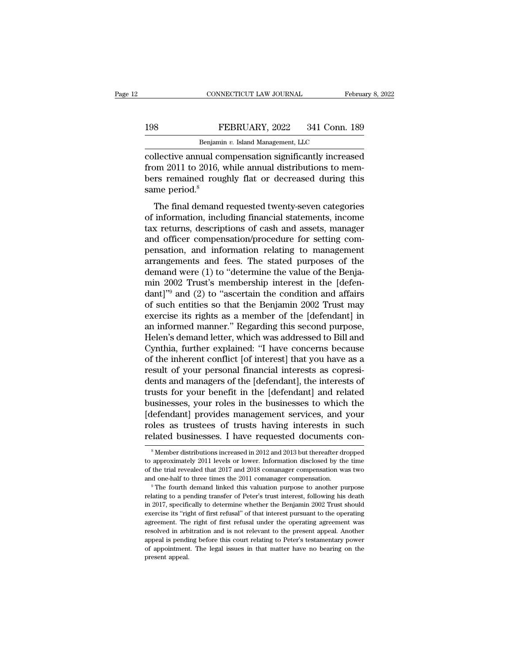## EXECTIVE CONNECTICUT LAW JOURNAL February 8, 2022<br>198 FEBRUARY, 2022 341 Conn. 189<br>Benjamin v. Island Management, LLC EXECTICUT LAW JOURNAL FRAME REBRUARY, 2022 341 Conn.<br>Benjamin *v.* Island Management, LLC<br>Benjamin *v.* Island Management, LLC<br>Rual Compensation significantly increa

CONNECTICUT LAW JOURNAL February 8, 2022<br>
FEBRUARY, 2022 341 Conn. 189<br>
Benjamin v. Island Management, LLC<br>
collective annual compensation significantly increased<br>
from 2011 to 2016, while annual distributions to members r FEBRUARY, 2022 341 Conn. 189<br>
Benjamin v. Island Management, LLC<br>
collective annual compensation significantly increased<br>
from 2011 to 2016, while annual distributions to mem-<br>
bers remained roughly flat or decreased durin  $\begin{tabular}{ll} \bf 198 & FEBRUARY, 2022 & 341 Conn. 189 \\ \hline \multicolumn{2}{l}{\bf Benjamin}\ v. Island Management, LLC \\ \mline \end{tabular} \\ \bf collective annual compensation significantly increased from 2011 to 2016, while annual distributions to members remained roughly flat or decreased during this same period.<sup>8</sup> \end{tabular}$ F<br>
Senjamin<br>
collective annual co<br>
from 2011 to 2016,<br>
bers remained roug<br>
same period.<sup>8</sup><br>
The final demand Benjamin v. Island Management, LLC<br>
Illective annual compensation significantly increased<br>
om 2011 to 2016, while annual distributions to mem-<br>
rs remained roughly flat or decreased during this<br>
me period.<sup>8</sup><br>
The final d collective annual compensation significantly increased<br>from 2011 to 2016, while annual distributions to mem-<br>bers remained roughly flat or decreased during this<br>same period.<sup>8</sup><br>The final demand requested twenty-seven categ

the different compensation significantly increased<br>from 2011 to 2016, while annual distributions to mem-<br>bers remained roughly flat or decreased during this<br>same period.<sup>8</sup><br>The final demand requested twenty-seven categorie mont 2011 to 2010, while dimital distributions to members<br>bers remained roughly flat or decreased during this<br>same period.<sup>8</sup><br>The final demand requested twenty-seven categories<br>of information, including financial statement same period.<sup>8</sup><br>Same period.<sup>8</sup><br>The final demand requested twenty-seven categories<br>of information, including financial statements, income<br>tax returns, descriptions of cash and assets, manager<br>and officer compensation/proce The final demand requested twenty-seven categories<br>of information, including financial statements, income<br>tax returns, descriptions of cash and assets, manager<br>and officer compensation/procedure for setting com-<br>pensation, The final demand requested twenty-seven categories<br>of information, including financial statements, income<br>tax returns, descriptions of cash and assets, manager<br>and officer compensation/procedure for setting com-<br>pensation of information, including financial statements, income<br>tax returns, descriptions of cash and assets, manager<br>and officer compensation/procedure for setting com-<br>pensation, and information relating to management<br>arrangement tax returns, descriptions of cash and assets, manager<br>and officer compensation/procedure for setting com-<br>pensation, and information relating to management<br>arrangements and fees. The stated purposes of the<br>demand were (1) and officer compensation/procedure for setting compensation, and information relating to management<br>arrangements and fees. The stated purposes of the<br>demand were (1) to "determine the value of the Benja-<br>min 2002 Trust's pensation, and information relating to management<br>arrangements and fees. The stated purposes of the<br>demand were (1) to "determine the value of the Benja-<br>min 2002 Trust's membership interest in the [defen-<br>dant]"<sup>9</sup> and (2 arrangements and fees. The stated purposes of the<br>demand were (1) to "determine the value of the Benja-<br>min 2002 Trust's membership interest in the [defen-<br>dant]"<sup>9</sup> and (2) to "ascertain the condition and affairs<br>of such demand were (1) to "determine the value of the Benja-<br>min 2002 Trust's membership interest in the [defen-<br>dant]"<sup>9</sup> and (2) to "ascertain the condition and affairs<br>of such entities so that the Benjamin 2002 Trust may<br>exerc min 2002 Trust's membership interest in the [defen-<br>dant]"<sup>9</sup> and (2) to "ascertain the condition and affairs<br>of such entities so that the Benjamin 2002 Trust may<br>exercise its rights as a member of the [defendant] in<br>an in dant]"<sup>9</sup> and (2) to "ascertain the condition and affairs<br>of such entities so that the Benjamin 2002 Trust may<br>exercise its rights as a member of the [defendant] in<br>an informed manner." Regarding this second purpose,<br>Helen of such entities so that the Benjamin 2002 Trust may<br>exercise its rights as a member of the [defendant] in<br>an informed manner." Regarding this second purpose,<br>Helen's demand letter, which was addressed to Bill and<br>Cynthia, exercise its rights as a member of the [defendant] in<br>an informed manner." Regarding this second purpose,<br>Helen's demand letter, which was addressed to Bill and<br>Cynthia, further explained: "I have concerns because<br>of the i an informed manner." Regarding this second purpose,<br>Helen's demand letter, which was addressed to Bill and<br>Cynthia, further explained: "I have concerns because<br>of the inherent conflict [of interest] that you have as a<br>resu Helen's demand letter, which was addressed to Bill and<br>Cynthia, further explained: "I have concerns because<br>of the inherent conflict [of interest] that you have as a<br>result of your personal financial interests as copresi-<br> Cynthia, further explained: "I have concerns because<br>of the inherent conflict [of interest] that you have as a<br>result of your personal financial interests as copresi-<br>dents and managers of the [defendant], the interests of of the inherent conflict [of interest] that you have as a<br>result of your personal financial interests as copresi-<br>dents and managers of the [defendant], the interests of<br>trusts for your benefit in the [defendant] and relat result of your personal financial interests as copresidents and managers of the [defendant], the interests of trusts for your benefit in the [defendant] and related businesses, your roles in the businesses to which the [de businesses, your roles in the businesses to which the [defendant] provides management services, and your roles as trustees of trusts having interests in such related businesses. I have requested documents considered to app [defendant] provides management services, and your<br>roles as trustees of trusts having interests in such<br>related businesses. I have requested documents con-<br><sup>8</sup>Member distributions increased in 2012 and 2013 but thereafter

roles as trustees of trusts having interests in such related businesses. I have requested documents con-<br><sup>8</sup>Member distributions increased in 2012 and 2013 but thereafter dropped to approximately 2011 levels or lower. Info Felated businesses. I have requested documents con-<br><sup>8</sup>Member distributions increased in 2012 and 2013 but thereafter dropped<br>to approximately 2011 levels or lower. Information disclosed by the time<br>of the trial revealed t <sup>8</sup> Member distributions increased in 2012 and 2013 but thereafter dropped to approximately 2011 levels or lower. Information disclosed by the time of the trial revealed that 2017 and 2018 comanager compensation was two a

to approximately 2011 levels or lower. Information disclosed by the time<br>of the trial revealed that 2017 and 2018 comanager compensation was two<br>and one-half to three times the 2011 comanager compensation.<br>"The fourth dema exercise its ''right of first refusal'' of that interest pursuant one-half to three times the 2011 comanager compensation was two and one-half to three times the 2011 comanager compensation.<br>
<sup>9</sup> The fourth demand linked t and one-half to three times the 2011 comanager compensation. The right of the right of the right of periodic purpose to another purpose relating to a pending transfer of Peter's trust interest, following his death in 2017, <sup>1</sup> The fourth demand linked this valuation purpose to another purpose<br>relating to a pending transfer of Peter's trust interest, following his death<br>in 2017, specifically to determine whether the Benjamin 2002 Trust should relating to a pending transfer of Peter's trust interest, following his death<br>in 2017, specifically to determine whether the Benjamin 2002 Trust should<br>exercise its "right of first refusal" of that interest pursuant to the of appointment. The legal issues in that matter have no bearing a greent appear and exercise its "right of first refusal" of that interest pursuant to the operating agreement. The right of first refusal under the operating mereory, spear<br>exercise its "rig<br>agreement. The<br>resolved in arb<br>appeal is pendi<br>present appeal.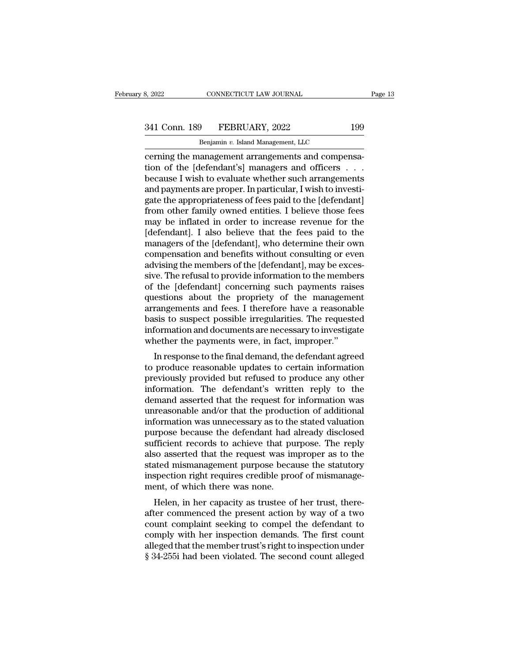# 332022 CONNECTICUT LAW JOURNAL Page 13<br>341 Conn. 189 FEBRUARY, 2022 199<br>Benjamin v. Island Management, LLC

CONNECTICUT LAW JOURNAL<br>Benjamin *v.* Island Management, LLC<br>Benjamin *v.* Island Management, LLC<br>anagement arrangements and compet connectricut LAW JOURNAL<br>
341 Conn. 189 FEBRUARY, 2022 199<br>
<sup>Benjamin v.</sup> Island Management, LLC<br>
cerning the management arrangements and compensa-<br>
tion of the [defendant's] managers and officers . . .<br>
because I wish to 341 Conn. 189 FEBRUARY, 2022 199<br>
Benjamin v. Island Management, LLC<br>
cerning the management arrangements and compensa-<br>
tion of the [defendant's] managers and officers . . .<br>
because I wish to evaluate whether such arrang because I wish to evaluate whether such arrangements 341 Conn. 189 FEBRUARY, 2022 199<br>
Benjamin v. Island Management, LLC<br>
cerning the management arrangements and compensa-<br>
tion of the [defendant's] managers and officers . . .<br>
because I wish to evaluate whether such arran Benjamin v. Island Management, LLC<br>
cerning the management arrangements and compensa-<br>
tion of the [defendant's] managers and officers . . .<br>
because I wish to evaluate whether such arrangements<br>
and payments are proper. I From other family owned that the foos neid to the<br>defendant of the [defendant's] managers and officers . . .<br>because I wish to evaluate whether such arrangements<br>and payments are proper. In particular, I wish to investi-<br>g cerning the management arrangements and compensa-<br>tion of the [defendant's] managers and officers . . .<br>because I wish to evaluate whether such arrangements<br>and payments are proper. In particular, I wish to investi-<br>gate t tion of the [defendant's] managers and officers  $\ldots$ <br>because I wish to evaluate whether such arrangements<br>and payments are proper. In particular, I wish to investi-<br>gate the appropriateness of fees paid to the [defendant because I wish to evaluate whether such arrangements<br>and payments are proper. In particular, I wish to investigate the appropriateness of fees paid to the [defendant]<br>from other family owned entities. I believe those fees<br> and payments are proper. In particular, I wish to investigate the appropriateness of fees paid to the [defendant]<br>from other family owned entities. I believe those fees<br>may be inflated in order to increase revenue for the<br> gate the appropriateness of fees paid to the [defendant]<br>from other family owned entities. I believe those fees<br>may be inflated in order to increase revenue for the<br>[defendant]. I also believe that the fees paid to the<br>man from other family owned entities. I believe those fees<br>may be inflated in order to increase revenue for the<br>[defendant]. I also believe that the fees paid to the<br>managers of the [defendant], who determine their own<br>compens may be inflated in order to increase revenue for the<br>[defendant]. I also believe that the fees paid to the<br>managers of the [defendant], who determine their own<br>compensation and benefits without consulting or even<br>advising [defendant]. I also believe that the fees paid to the<br>managers of the [defendant], who determine their own<br>compensation and benefits without consulting or even<br>advising the members of the [defendant], may be exces-<br>sive. T managers of the [defendant], who determine their own<br>compensation and benefits without consulting or even<br>advising the members of the [defendant], may be exces-<br>sive. The refusal to provide information to the members<br>of th compensation and benefits without consulting or even<br>advising the members of the [defendant], may be exces-<br>sive. The refusal to provide information to the members<br>of the [defendant] concerning such payments raises<br>questio advising the members of the [defendant], may be excessive. The refusal to provide information to the members<br>of the [defendant] concerning such payments raises<br>questions about the propriety of the management<br>arrangements a sive. The refusal to provide information to the membe<br>of the [defendant] concerning such payments raise<br>questions about the propriety of the manageme<br>arrangements and fees. I therefore have a reasonab<br>basis to suspect poss In response to the propriety of the management<br>rangements and fees. I therefore have a reasonable<br>sis to suspect possible irregularities. The requested<br>formation and documents are necessary to investigate<br>nether the paymen questions about the propriety of the management<br>arrangements and fees. I therefore have a reasonable<br>basis to suspect possible irregularities. The requested<br>information and documents are necessary to investigate<br>whether th

arrangements and rees. I therefore have a reasonable<br>basis to suspect possible irregularities. The requested<br>information and documents are necessary to investigate<br>whether the payments were, in fact, improper."<br>In response basis to suspect possible irregularities. The requested<br>information and documents are necessary to investigate<br>whether the payments were, in fact, improper."<br>In response to the final demand, the defendant agreed<br>to produce miorination and documents are necessary to investigate<br>whether the payments were, in fact, improper."<br>In response to the final demand, the defendant agreed<br>to produce reasonable updates to certain information<br>previously pr mether the payments were, in fact, improper.<br>In response to the final demand, the defendant agreed<br>to produce reasonable updates to certain information<br>previously provided but refused to produce any other<br>information. The In response to the final demand, the defendant agreed<br>to produce reasonable updates to certain information<br>previously provided but refused to produce any other<br>information. The defendant's written reply to the<br>demand asser to produce reasonable updates to certain information<br>previously provided but refused to produce any other<br>information. The defendant's written reply to the<br>demand asserted that the request for information was<br>unreasonable previously provided but refused to produce any other<br>information. The defendant's written reply to the<br>demand asserted that the request for information was<br>unreasonable and/or that the production of additional<br>information information. The defendant's written reply to the<br>demand asserted that the request for information was<br>unreasonable and/or that the production of additional<br>information was unnecessary as to the stated valuation<br>purpose be demand asserted that the request for information was<br>unreasonable and/or that the production of additional<br>information was unnecessary as to the stated valuation<br>purpose because the defendant had already disclosed<br>sufficie unreasonable and/or that the production of additional<br>information was unnecessary as to the stated valuation<br>purpose because the defendant had already disclosed<br>sufficient records to achieve that purpose. The reply<br>also as information was unnecessary as to the purpose because the defendant had sufficient records to achieve that pulso asserted that the request was in stated mismanagement purpose becaus inspection right requires credible prome The results are detendant had already disclosed<br>fficient records to achieve that purpose. The reply<br>so asserted that the request was improper as to the<br>atted mismanagement purpose because the statutory<br>spection right requi sumcrem records to achieve that purpose. The reply<br>also asserted that the request was improper as to the<br>stated mismanagement purpose because the statutory<br>inspection right requires credible proof of mismanage-<br>ment, of wh

also asserted that the request was improper as to the<br>stated mismanagement purpose because the statutory<br>inspection right requires credible proof of mismanage-<br>ment, of which there was none.<br>Helen, in her capacity as trust stated insinangement purpose because the statutory<br>inspection right requires credible proof of mismanage-<br>ment, of which there was none.<br>Helen, in her capacity as trustee of her trust, there-<br>after commenced the present ac mspection right requires creame proof of misintanagement, of which there was none.<br>Helen, in her capacity as trustee of her trust, thereafter commenced the present action by way of a two<br>count complaint seeking to compel t Helen, in her capacity as trustee of her trust, thereafter commenced the present action by way of a two count complaint seeking to compel the defendant to comply with her inspection demands. The first count alleged that th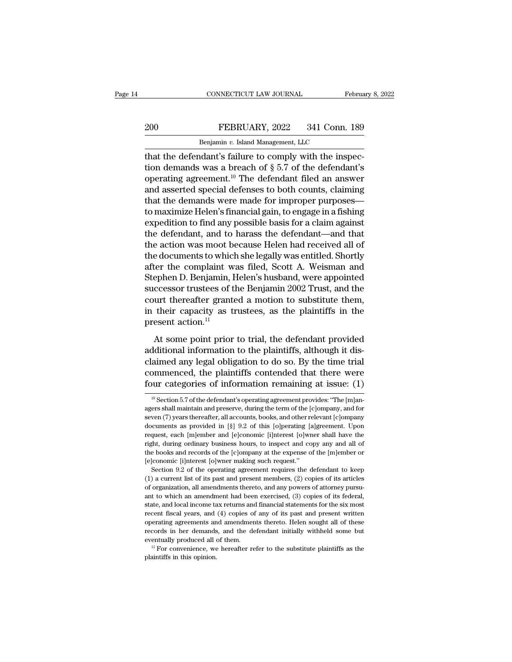# EXECTIVE CONNECTICUT LAW JOURNAL February 8, 2022<br>200 FEBRUARY, 2022 341 Conn. 189<br>Benjamin v. Island Management, LLC

CONNECTICUT LAW JOURNAL Februa<br>
200 FEBRUARY, 2022 341 Conn. 189<br>
Benjamin *v.* Island Management, LLC<br>
that the defendant's failure to comply with the inspec-<br>
tion demands was a breach of § 5.7 of the defendant's<br>
concra EBRUARY, 2022 341 Conn. 189<br>
Benjamin v. Island Management, LLC<br>
that the defendant's failure to comply with the inspec-<br>
tion demands was a breach of § 5.7 of the defendant's<br>
operating agreement.<sup>10</sup> The defendant filed 200 FEBRUARY, 2022 341 Conn. 189<br>
Benjamin v. Island Management, LLC<br>
that the defendant's failure to comply with the inspec-<br>
tion demands was a breach of  $\S 5.7$  of the defendant's<br>
operating agreement.<sup>10</sup> The defendan 200 FEBRUARY, 2022 341 Conn. 189<br>
Benjamin v. Island Management, LLC<br>
that the defendant's failure to comply with the inspec-<br>
tion demands was a breach of  $\S 5.7$  of the defendant's<br>
operating agreement.<sup>10</sup> The defendan Benjamin v. Island Management, LLC<br>that the defendant's failure to comply with the inspec-<br>tion demands was a breach of  $\S 5.7$  of the defendant's<br>operating agreement.<sup>10</sup> The defendant filed an answer<br>and asserted specia benjamin v. island management, LLC<br>that the defendant's failure to comply with the inspec-<br>tion demands was a breach of  $\S 5.7$  of the defendant's<br>operating agreement.<sup>10</sup> The defendant filed an answer<br>and asserted specia that the defendant's failure to comply with the inspection demands was a breach of  $\S$  5.7 of the defendant's operating agreement.<sup>10</sup> The defendant filed an answer and asserted special defenses to both counts, claiming t tion demands was a breach of  $\S 5.7$  of the defendant's<br>operating agreement.<sup>10</sup> The defendant filed an answer<br>and asserted special defenses to both counts, claiming<br>that the demands were made for improper purposes—<br>to ma operating agreement.<sup>10</sup> The defendant filed an answer<br>and asserted special defenses to both counts, claiming<br>that the demands were made for improper purposes—<br>to maximize Helen's financial gain, to engage in a fishing<br>exp and asserted special defenses to both counts, claiming<br>that the demands were made for improper purposes—<br>to maximize Helen's financial gain, to engage in a fishing<br>expedition to find any possible basis for a claim against<br> that the demands were made for improper purposes—<br>to maximize Helen's financial gain, to engage in a fishing<br>expedition to find any possible basis for a claim against<br>the defendant, and to harass the defendant—and that<br>the to maximize Helen's financial gain, to engage in a fishing<br>expedition to find any possible basis for a claim against<br>the defendant, and to harass the defendant—and that<br>the action was moot because Helen had received all of expedition to find any possible basis for a claim against<br>the defendant, and to harass the defendant—and that<br>the action was moot because Helen had received all of<br>the documents to which she legally was entitled. Shortly<br>a the defendant, and to harass the defendant—and that<br>the action was moot because Helen had received all of<br>the documents to which she legally was entitled. Shortly<br>after the complaint was filed, Scott A. Weisman and<br>Stephe the action was moot because Helen had received all of<br>the documents to which she legally was entitled. Shortly<br>after the complaint was filed, Scott A. Weisman and<br>Stephen D. Benjamin, Helen's husband, were appointed<br>succes the documents to whicl<br>after the complaint w<br>Stephen D. Benjamin, I<br>successor trustees of t<br>court thereafter grant<br>in their capacity as ti<br>present action.<sup>11</sup><br>At some point prior ephen D. Benjamin, Helen's husband, were appointed<br>ccessor trustees of the Benjamin 2002 Trust, and the<br>urt thereafter granted a motion to substitute them,<br>their capacity as trustees, as the plaintiffs in the<br>esent action. successor trustees of the Benjamin 2002 Trust, and the court thereafter granted a motion to substitute them, in their capacity as trustees, as the plaintiffs in the present action.<sup>11</sup> At some point prior to trial, the de

court thereafter granted a motion to substitute them,<br>in their capacity as trustees, as the plaintiffs in the<br>present action.<sup>11</sup><br>At some point prior to trial, the defendant provided<br>additional information to the plaintif in their capacity as trustees, as the plaintiffs in the<br>present action.<sup>11</sup><br>At some point prior to trial, the defendant provided<br>additional information to the plaintiffs, although it dis-<br>claimed any legal obligation to d present action.<sup>11</sup><br>At some point prior to trial, the defendant provided<br>additional information to the plaintiffs, although it dis-<br>claimed any legal obligation to do so. By the time trial<br>commenced, the plaintiffs conten diational information to the plaintiffs, although it disamed any legal obligation to do so. By the time trial<br>ommenced, the plaintiffs contended that there were<br>our categories of information remaining at issue: (1)<br><sup>10</sup> Se claimed any legal obligation to do so. By the time trial<br>commenced, the plaintiffs contended that there were<br>four categories of information remaining at issue: (1)<br> $\frac{10}{10}$ Section 5.7 of the defendant's operating agree

commenced, the plaintiffs contended that there were<br>four categories of information remaining at issue: (1)<br> $\frac{10}{10}$  Section 5.7 of the defendant's operating agreement provides: "The [m]an-<br>agers shall maintain and pres four categories of information remaining at issue: (1)<br>
<sup>10</sup> Section 5.7 of the defendant's operating agreement provides: "The [m]an-<br>agers shall maintain and preserve, during the term of the [c]ompany, and for<br>seven (7) From Exercise of Information Temanting at ISSue. (1)<br>
<sup>10</sup> Section 5.7 of the defendant's operating agreement provides: "The [m]an-<br>agers shall maintain and preserve, during the term of the [c]ompany, and for<br>seven (7) ye <sup>10</sup> Section 5.7 of the defendant's operating agreement provides: "The [m]anagers shall maintain and preserve, during the term of the [c]ompany, and for seven (7) years thereafter, all accounts, books, and other relevant agers shall maintain and preserve, during the term of the [c]ompany, and for<br>seven (7) years thereafter, all accounts, books, and other relevant [c]ompany<br>documents as provided in [§] 9.2 of this [o]perating [a]greement. U seven (7) years thereafter, all accounts, books, and other relevant [c]ompany documents as provided in [§] 9.2 of this [o]<br>perating [a]greement. Upon request, each [m]ember and [e]<br>conomic [i]nterest [o]wner shall have th For  $(1)$  given as a provided in [§] 9.2 of this [o]perating [a]greement. Upon quest, each [m]ember and [e]conomic [i]nterest [o]wner shall have the htht, during ordinary business hours, to inspect and copy any and all of request, each [m]ember and [e]conomic [i]nterest [o]wner shall have the right, during ordinary business hours, to inspect and copy any and all of the books and records of the [c]ompany at the expense of the [m]ember or [e]

Fight, during ordinary business hours, to inspect and copy any and all of the books and records of the [c]ompany at the expense of the [m]ember or [e]conomic [i]nterest [o]wner making such request."<br>Section 9.2 of the ope Free books and records of the [c]ompany at the expense of the [m]ember or [e]conomic [i]nterest [o]wner making such request."<br>Section 9.2 of the operating agreement requires the defendant to keep (1) a current list of its [e]conomic [i]nterest [o]wner making such request."<br>Section 9.2 of the operating agreement requires the defendant to keep<br>(1) a current list of its past and present members, (2) copies of its articles<br>of organization, all Section 9.2 of the operating agreement requires the defendant to keep (1) a current list of its past and present members, (2) copies of its articles of organization, all amendments thereto, and any powers of attorney purs (1) a current list of its past and present members, (2) copies of its articles of organization, all amendments thereto, and any powers of attorney pursuant to which an amendment had been exercised, (3) copies of tis feder For organization, all amendments thereto, and any powers of attorney pursuant to which an amendment had been exercised,  $(3)$  copies of its federal, state, and local income tax returns and financial statements for the six eventually produced all of them. 11 For convenience, we hereafter refer to the substitute plaintiffs as the plaintiffs as the plaintiffs in this opinon. 11 For convenience, we hereafter refer to the substitute plaintiffs state, and local income tax returns and financial statements for the six most recent fiscal years, and (4) copies of any of its past and present written operating agreements and amendments thereto. Helen sought all of the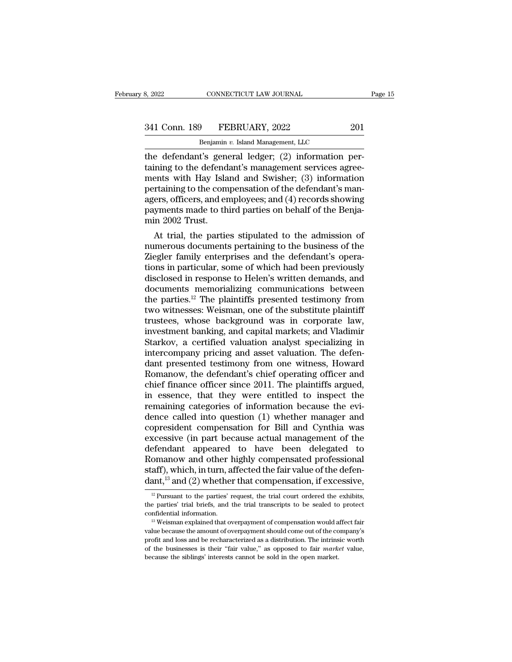| 8, 2022       | CONNECTICUT LAW JOURNAL            | Page 15 |
|---------------|------------------------------------|---------|
| 341 Conn. 189 | FEBRUARY, 2022                     | 201     |
|               | Benjamin v. Island Management, LLC |         |

CONNECTICUT LAW JOURNAL<br>
Physical Management, LLC<br>
Benjamin *v.* Island Management, LLC<br> **t's general ledger:** (2) information is the defendant's general ledger; (2) information<br>the defendant's general ledger; (2) information per-<br>taining to the defendant's management services agreements with Hay Island and Swisbor: (3) information 341 Conn. 189 FEBRUARY, 2022 201<br>
Benjamin v. Island Management, LLC<br>
the defendant's general ledger; (2) information per-<br>
taining to the defendant's management services agree-<br>
mertaining to the compensation of the defen 341 Conn. 189 FEBRUARY, 2022 201<br>
Benjamin v. Island Management, LLC<br>
the defendant's general ledger; (2) information per-<br>
taining to the defendant's management services agree-<br>
ments with Hay Island and Swisher; (3) inf 341 Conn. 189 FEBRUARY, 2022 201<br>
Benjamin v. Island Management, LLC<br>
the defendant's general ledger; (2) information per-<br>
taining to the defendant's management services agree-<br>
ments with Hay Island and Swisher; (3) inf Benjamin v. Island Management, LLC<br>
the defendant's general ledger; (2) information per-<br>
taining to the defendant's management services agree-<br>
ments with Hay Island and Swisher; (3) information<br>
pertaining to the compens Benjamin v. Island Management, LLC<br>the defendant's general ledger; (2) information per-<br>taining to the defendant's management services agree-<br>ments with Hay Island and Swisher; (3) information<br>pertaining to the compensati the defendant's general<br>taining to the defend<br>ments with Hay Isla<br>pertaining to the com<br>agers, officers, and er<br>payments made to th<br>min 2002 Trust.<br>At trial, the partic ming to the defendant's management services agree-<br>ents with Hay Island and Swisher; (3) information<br>rtaining to the compensation of the defendant's man-<br>ers, officers, and employees; and (4) records showing<br>yments made to ments with Hay Island and Swisher; (3) information<br>pertaining to the compensation of the defendant's man-<br>agers, officers, and employees; and (4) records showing<br>payments made to third parties on behalf of the Benja-<br>min 2

pertaining to the compensation of the defendant's managers, officers, and employees; and (4) records showing<br>payments made to third parties on behalf of the Benja-<br>min 2002 Trust.<br>At trial, the parties stipulated to the ad agers, officers, and employees; and (4) records showing<br>payments made to third parties on behalf of the Benja-<br>min 2002 Trust.<br>At trial, the parties stipulated to the admission of<br>numerous documents pertaining to the busin payments made to third parties on behalf of the Benja-<br>min 2002 Trust.<br>At trial, the parties stipulated to the admission of<br>numerous documents pertaining to the business of the<br>Ziegler family enterprises and the defendant' min 2002 Trust.<br>
At trial, the parties stipulated to the admission of<br>
numerous documents pertaining to the business of the<br>
Ziegler family enterprises and the defendant's opera-<br>
tions in particular, some of which had bee At trial, the parties stipulated to the admission of<br>numerous documents pertaining to the business of the<br>Ziegler family enterprises and the defendant's opera-<br>tions in particular, some of which had been previously<br>disclos numerous documents pertaining to the business of the Ziegler family enterprises and the defendant's operations in particular, some of which had been previously disclosed in response to Helen's written demands, and document Ziegler family enterprises and the defendant's operations in particular, some of which had been previously disclosed in response to Helen's written demands, and documents memorializing communications between the parties.<sup>1</sup> tions in particular, some of which had been previously<br>disclosed in response to Helen's written demands, and<br>documents memorializing communications between<br>the parties.<sup>12</sup> The plaintiffs presented testimony from<br>two witne disclosed in response to Helen's written demands, and<br>documents memorializing communications between<br>the parties.<sup>12</sup> The plaintiffs presented testimony from<br>two witnesses: Weisman, one of the substitute plaintiff<br>trustees documents memorializing communications between<br>the parties.<sup>12</sup> The plaintiffs presented testimony from<br>two witnesses: Weisman, one of the substitute plaintiff<br>trustees, whose background was in corporate law,<br>investment ba the parties.<sup>12</sup> The plaintiffs presented testimony from<br>two witnesses: Weisman, one of the substitute plaintiff<br>trustees, whose background was in corporate law,<br>investment banking, and capital markets; and Vladimir<br>Starko two witnesses: Weisman, one of the substitute plaintiff<br>trustees, whose background was in corporate law,<br>investment banking, and capital markets; and Vladimir<br>Starkov, a certified valuation analyst specializing in<br>intercom trustees, whose background was in corporate law,<br>investment banking, and capital markets; and Vladimir<br>Starkov, a certified valuation analyst specializing in<br>intercompany pricing and asset valuation. The defen-<br>dant presen investment banking, and capital markets; and Vladimir<br>Starkov, a certified valuation analyst specializing in<br>intercompany pricing and asset valuation. The defen-<br>dant presented testimony from one witness, Howard<br>Romanow, t Starkov, a certified valuation analyst specializing in<br>intercompany pricing and asset valuation. The defen-<br>dant presented testimony from one witness, Howard<br>Romanow, the defendant's chief operating officer and<br>chief finan intercompany pricing and asset valuation. The defendant presented testimony from one witness, Howard Romanow, the defendant's chief operating officer and chief finance officer since 2011. The plaintiffs argued, in essence, dant presented testimony from one witness, Howard<br>Romanow, the defendant's chief operating officer and<br>chief finance officer since 2011. The plaintiffs argued,<br>in essence, that they were entitled to inspect the<br>remaining c Romanow, the defendant's chief operating officer and<br>chief finance officer since 2011. The plaintiffs argued,<br>in essence, that they were entitled to inspect the<br>remaining categories of information because the evi-<br>dence ca chief finance officer since 2011. The plaintiffs argued,<br>in essence, that they were entitled to inspect the<br>remaining categories of information because the evi-<br>dence called into question (1) whether manager and<br>copresiden in essence, that they were entitled to inspect the<br>remaining categories of information because the evi-<br>dence called into question (1) whether manager and<br>copresident compensation for Bill and Cynthia was<br>excessive (in pa remaining categories of information because the evi-<br>dence called into question (1) whether manager and<br>copresident compensation for Bill and Cynthia was<br>excessive (in part because actual management of the<br>defendant appear dence called into question (1) whether manager and<br>copresident compensation for Bill and Cynthia was<br>excessive (in part because actual management of the<br>defendant appeared to have been delegated to<br>Romanow and other highl Exercise of the parties' to the parties' request, the trial component of the defen-<br>ant,<sup>13</sup> and (2) whether that compensation, if excessive,<br> $\frac{12}{12}$  Pursuant to the parties' request, the trial court ordered the exhib Romanow and other highly compensated professional staff), which, in turn, affected the fair value of the defendant,<sup>13</sup> and (2) whether that compensation, if excessive,  $\frac{12 \text{ Pursuant to the parties' request, the trial court ordered the exhibits, the parties' trial briefs, and the trial transcripts to be sealed to protect confidential information.$ 

staff), which, in turn, affected the fair value of the defen-<br>dant,<sup>13</sup> and (2) whether that compensation, if excessive,<br> $\frac{12}{12}$  Pursuant to the parties' request, the trial court ordered the exhibits,<br>the parties' tri

value  $(2)$  whether that compensation, if excessive,<br> $\frac{12}{2}$  Pursuant to the parties' request, the trial court ordered the exhibits,<br>the parties' trial briefs, and the trial transcripts to be sealed to protect<br>confiden <sup>12</sup> Pursuant to the parties' request, the trial court ordered the exhibits, the parties' trial briefs, and the trial transcripts to be sealed to protect confidential information.<br><sup>13</sup> Weisman explained that overpayment o the parties' trial briefs, and the trial transcripts to be sealed to protect confidential information.<br><sup>13</sup> Weisman explained that overpayment of compensation would affect fair value because the amount of overpayment shou  $^{13}$  Weisman explained that overpayment of compensation would affect fair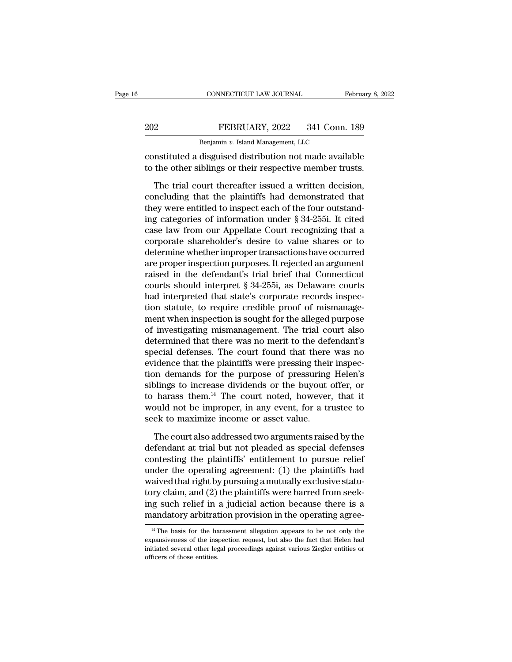|     | CONNECTICUT LAW JOURNAL                                 | February 8, 2022 |
|-----|---------------------------------------------------------|------------------|
| 202 | FEBRUARY, 2022                                          | 341 Conn. 189    |
|     | Benjamin v. Island Management, LLC                      |                  |
|     | constituted a discuised distribution not made available |                  |

CONNECTICUT LAW JOURNAL February 8, 2022<br>
PEBRUARY, 2022 341 Conn. 189<br>
Benjamin v. Island Management, LLC<br>
Constituted a disguised distribution not made available<br>
to the other siblings or their respective member trusts.  $\begin{tabular}{ll} \bf 202 & \bf FEBRUARY, 2022 & 341 Conn. 189 \\ \hline \bf Benjamin\textit{v. Island Management, LLC} \\ \bf constitute d a disguised distribution not made available \\ \hline \bf to the other siblings or their respective member trusts. \\ \bf The trial court thereafter issued a written decision, \end{tabular}$ 

The trial court thereafter issued a written decision,<br>The trial court thereafter issued a written decision,<br>The trial court thereafter issued a written decision,<br>neluding that the plaintiffs had demonstrated that<br>ay were EDRUART, 2022 341 COMI. 189<br>
Benjamin v. Island Management, LLC<br>
constituted a disguised distribution not made available<br>
to the other siblings or their respective member trusts.<br>
The trial court thereafter issued a writt Benjamin v. Island Management, LLC<br>
constituted a disguised distribution not made available<br>
to the other siblings or their respective member trusts.<br>
The trial court thereafter issued a written decision,<br>
concluding that constituted a disguised distribution not made available<br>to the other siblings or their respective member trusts.<br>The trial court thereafter issued a written decision,<br>concluding that the plaintiffs had demonstrated that<br>th to the other siblings or their respective member trusts.<br>The trial court thereafter issued a written decision,<br>concluding that the plaintiffs had demonstrated that<br>they were entitled to inspect each of the four outstand-<br>i The trial court thereafter issued a written decision,<br>concluding that the plaintiffs had demonstrated that<br>they were entitled to inspect each of the four outstand-<br>ing categories of information under  $\S 34-255i$ . It cited The trial court thereafter issued a written decision,<br>concluding that the plaintiffs had demonstrated that<br>they were entitled to inspect each of the four outstand-<br>ing categories of information under § 34-255i. It cited<br>ca concluding that the plaintiffs had demonstrated that<br>they were entitled to inspect each of the four outstand-<br>ing categories of information under  $\S 34-255i$ . It cited<br>case law from our Appellate Court recognizing that a<br> they were entitled to inspect each of the four outstanding categories of information under  $\S 34-255i$ . It cited case law from our Appellate Court recognizing that a corporate shareholder's desire to value shares or to de ing categories of information under § 34-255i. It cited<br>case law from our Appellate Court recognizing that a<br>corporate shareholder's desire to value shares or to<br>determine whether improper transactions have occurred<br>are pr case law from our Appellate Court recognizing that a<br>corporate shareholder's desire to value shares or to<br>determine whether improper transactions have occurred<br>are proper inspection purposes. It rejected an argument<br>raised corporate shareholder's desire to value shares or to<br>determine whether improper transactions have occurred<br>are proper inspection purposes. It rejected an argument<br>raised in the defendant's trial brief that Connecticut<br>cour determine whether improper transactions have occurred<br>are proper inspection purposes. It rejected an argument<br>raised in the defendant's trial brief that Connecticut<br>courts should interpret § 34-255i, as Delaware courts<br>had are proper inspection purposes. It rejected an argument<br>raised in the defendant's trial brief that Connecticut<br>courts should interpret § 34-255i, as Delaware courts<br>had interpreted that state's corporate records inspec-<br>ti raised in the defendant's trial brief that Connecticut<br>courts should interpret § 34-255i, as Delaware courts<br>had interpreted that state's corporate records inspec-<br>tion statute, to require credible proof of mismanage-<br>ment courts should interpret § 34-255i, as Delaware courts<br>had interpreted that state's corporate records inspec-<br>tion statute, to require credible proof of mismanage-<br>ment when inspection is sought for the alleged purpose<br>of i had interpreted that state's corporate records inspection statute, to require credible proof of mismanagement when inspection is sought for the alleged purpose of investigating mismanagement. The trial court also determine tion statute, to require credible proof of mismanage-<br>ment when inspection is sought for the alleged purpose<br>of investigating mismanagement. The trial court also<br>determined that there was no merit to the defendant's<br>specia ment when inspection is sought for the alleged purpose<br>of investigating mismanagement. The trial court also<br>determined that there was no merit to the defendant's<br>special defenses. The court found that there was no<br>evidence of investigating mismanagement. The trial court also<br>determined that there was no merit to the defendant's<br>special defenses. The court found that there was no<br>evidence that the plaintiffs were pressing their inspec-<br>tion d determined that there was no merit to the defendant's<br>special defenses. The court found that there was no<br>evidence that the plaintiffs were pressing their inspec-<br>tion demands for the purpose of pressuring Helen's<br>siblings special defenses. The court found that there was no<br>evidence that the plaintiffs were pressing their inspec-<br>tion demands for the purpose of pressuring Helen's<br>siblings to increase dividends or the buyout offer, or<br>to har on demands for the purpose of pressuring Helen's<br>blings to increase dividends or the buyout offer, or<br>harass them.<sup>14</sup> The court noted, however, that it<br>build not be improper, in any event, for a trustee to<br>ek to maximize siblings to increase dividends or the buyout offer, or<br>to harass them.<sup>14</sup> The court noted, however, that it<br>would not be improper, in any event, for a trustee to<br>seek to maximize income or asset value.<br>The court also add

to harass them.<sup>14</sup> The court noted, however, that it would not be improper, in any event, for a trustee to seek to maximize income or asset value.<br>The court also addressed two arguments raised by the defendant at trial b would not be improper, in any event, for a trustee to<br>seek to maximize income or asset value.<br>The court also addressed two arguments raised by the<br>defendant at trial but not pleaded as special defenses<br>contesting the plai seek to maximize income or asset value.<br>The court also addressed two arguments raised by the<br>defendant at trial but not pleaded as special defenses<br>contesting the plaintiffs' entitlement to pursue relief<br>under the operatin The court also addressed two arguments raised by the<br>defendant at trial but not pleaded as special defenses<br>contesting the plaintiffs' entitlement to pursue relief<br>under the operating agreement: (1) the plaintiffs had<br>waiv The court also addressed two arguments raised by the<br>defendant at trial but not pleaded as special defenses<br>contesting the plaintiffs' entitlement to pursue relief<br>under the operating agreement: (1) the plaintiffs had<br>waiv defendant at trial but not pleaded as special defenses<br>contesting the plaintiffs' entitlement to pursue relief<br>under the operating agreement: (1) the plaintiffs had<br>waived that right by pursuing a mutually exclusive statutory claim, and (2) the plaintiffs were barred from seeking such relief in a judicial action because there is a mandatory arbitration provision in the operating agree-<br> $\frac{14}{1}$ The basis for the harassment allegation app tory claim, and (2) the plaintiffs were barred from seeking such relief in a judicial action because there is a mandatory arbitration provision in the operating agree-<br><sup>14</sup> The basis for the harassment allegation appears

ing such relief in a judicial action because there is a mandatory arbitration provision in the operating agree-<br><sup>14</sup> The basis for the harassment allegation appears to be not only the expansiveness of the inspection reques mandatory arbitration provision in the operating agree-<br> $\frac{14 \text{ The basis for the harassment allegation appears to be not only the expansions of the inspection request, but also the fact that Helen had initiated several other legal proceedings against various Ziegler entities or officers of those entities.}$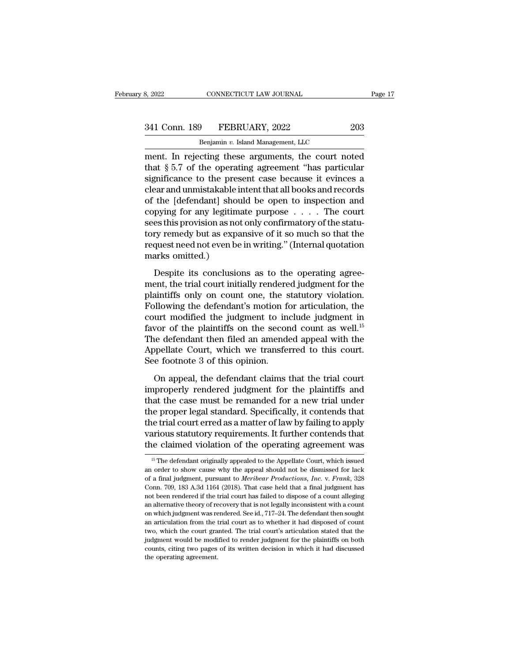CONNECTICUT LAW JOURNAL<br> **Benjamin** *v.* **Island Management, LLC<br>
Cing these arguments the court no** Examples are connected the ment. In rejecting these arguments, the court noted<br>that § 5.7 of the operating agreement "has particular<br>arguments of the perating agreement "has particular<br>cignificance to the present case beca 341 Conn. 189 FEBRUARY, 2022 203<br>Benjamin v. Island Management, LLC<br>ment. In rejecting these arguments, the court noted<br>that § 5.7 of the operating agreement "has particular<br>significance to the present case because it evin 341 Conn. 189 FEBRUARY, 2022 203<br>
Benjamin v. Island Management, LLC<br>
ment. In rejecting these arguments, the court noted<br>
that § 5.7 of the operating agreement "has particular<br>
significance to the present case because it 341 Conn. 189 FEBRUARY, 2022 203<br>
Benjamin v. Island Management, LLC<br>
ment. In rejecting these arguments, the court noted<br>
that  $\S 5.7$  of the operating agreement "has particular<br>
significance to the present case because Benjamin v. Island Management, LLC<br>
ment. In rejecting these arguments, the court noted<br>
that § 5.7 of the operating agreement "has particular<br>
significance to the present case because it evinces a<br>
clear and unmistakable Benjamin *v.* island management, LLC<br>ment. In rejecting these arguments, the court noted<br>that § 5.7 of the operating agreement "has particular<br>significance to the present case because it evinces a<br>clear and unmistakable i ment. In rejecting these arguments, the court noted<br>that  $\S 5.7$  of the operating agreement "has particular<br>significance to the present case because it evinces a<br>clear and unmistakable intent that all books and records<br>of that § 5.7 of the operating agreement "has particular significance to the present case because it evinces a clear and unmistakable intent that all books and records of the [defendant] should be open to inspection and copy significance to the present case because it evinces a<br>clear and unmistakable intent that all books and records<br>of the [defendant] should be open to inspection and<br>copying for any legitimate purpose  $\dots$ . The court<br>sees th clear and unmistakable in<br>of the [defendant] shou<br>copying for any legitim:<br>sees this provision as not<br>tory remedy but as expa<br>request need not even be<br>marks omitted.)<br>Despite its conclusio positive functionally state is equivalent to imposed in the paper of the state equips for any legitimate purpose  $\ldots$ . The court est this provision as not only confirmatory of the statury remedy but as expansive of it so Expanse for any regularities purpose of the trial sees this provision as not only confirmatory of the statu-<br>tory remedy but as expansive of it so much so that the<br>request need not even be in writing." (Internal quotation<br>

plantification is expansive of it so much so that the request need not even be in writing." (Internal quotation marks omitted.)<br>Despite its conclusions as to the operating agreement, the trial court initially rendered judg Following the defendant of the operating during the period marks omitted.)<br>
Despite its conclusions as to the operating agreement, the trial court initially rendered judgment for the plaintiffs only on count one, the stat marks omitted.)<br>
Despite its conclusions as to the operating agreement, the trial court initially rendered judgment for the<br>
plaintiffs only on count one, the statutory violation.<br>
Following the defendant's motion for art The second contribution as to the operating agreement, the trial court initially rendered judgment for the plaintiffs only on count one, the statutory violation.<br>Following the defendant's motion for articulation, the cour Despite its conclusions as to the operating agreement, the trial court initially rendered judgment for the plaintiffs only on count one, the statutory violation. Following the defendant's motion for articulation, the cour ment, the trial court initially rendered judgment for the plaintiffs only on count one, the statutory violation.<br>Following the defendant's motion for articulation, the court modified the judgment to include judgment in fav plaintiffs only on count one, the s<br>Following the defendant's motion f<br>court modified the judgment to in<br>favor of the plaintiffs on the secor<br>The defendant then filed an amend<br>Appellate Court, which we transfe<br>See footnote The magnetic means the defendant to include judgment in<br>two of the plaintiffs on the second count as well.<sup>15</sup><br>he defendant then filed an amended appeal with the<br>ppellate Court, which we transferred to this court.<br>e footno Favor of the plaintiffs on the second count as well.<sup>15</sup><br>The defendant then filed an amended appeal with the<br>Appellate Court, which we transferred to this court.<br>See footnote 3 of this opinion.<br>On appeal, the defendant cl

The defendant then filed an amended appeal with the<br>Appellate Court, which we transferred to this court.<br>See footnote 3 of this opinion.<br>On appeal, the defendant claims that the trial court<br>improperly rendered judgment for Appellate Court, which we transferred to this court.<br>See footnote 3 of this opinion.<br>On appeal, the defendant claims that the trial court<br>improperly rendered judgment for the plaintiffs and<br>that the case must be remanded See footnote 3 of this opinion.<br>
On appeal, the defendant claims that the trial court<br>
improperly rendered judgment for the plaintiffs and<br>
that the case must be remanded for a new trial under<br>
the proper legal standard. S On appeal, the defendant claims that the trial court<br>improperly rendered judgment for the plaintiffs and<br>that the case must be remanded for a new trial under<br>the proper legal standard. Specifically, it contends that<br>the tr On appeal, the defendant claims that the trial court<br>improperly rendered judgment for the plaintiffs and<br>that the case must be remanded for a new trial under<br>the proper legal standard. Specifically, it contends that<br>the t the proper legal standard. Specifically, it contends that<br>the trial court erred as a matter of law by failing to apply<br>various statutory requirements. It further contends that the trial court erred as a matter of law by failing to apply<br>various statutory requirements. It further contends that<br>the claimed violation of the operating agreement was<br> $\frac{15 \text{ T} \text{m}}{2}$  and order to show cause why t

various statutory requirements. It further contends that<br>the claimed violation of the operating agreement was<br><sup>15</sup> The defendant originally appealed to the Appellate Court, which issued<br>an order to show cause why the appea The claimed violation of the operating agreement was<br>
<sup>15</sup> The defendant originally appealed to the Appellate Court, which issued<br>
an order to show cause why the appeal should not be dismissed for lack<br>
of a final judgment <sup>15</sup> The defendant originally appealed to the Appellate Court, which issued an order to show cause why the appeal should not be dismissed for lack of a final judgment, pursuant to *Meribear Productions*, *Inc.* v. *Frank*, <sup>15</sup> The defendant originally appealed to the Appellate Court, which issued an order to show cause why the appeal should not be dismissed for lack of a final judgment, pursuant to *Meribear Productions*, *Inc.* v. *Frank* an order to show cause why the appeal should not be dismissed for lack of a final judgment, pursuant to *Meribear Productions*, *Inc.* v. *Frank*, 328 Conn. 709, 183 A.3d 1164 (2018). That case held that a final judgment of a final judgment, pursuant to *Meribear Productions*, *Inc.* v. *Frank*, 328 Conn. 709, 183 A.3d 1164 (2018). That case held that a final judgment has not been rendered if the trial court has failed to dispose of a cou Conn. 709, 183 A.3d 1164 (2018). That case held that a final judgment has not been rendered if the trial court has failed to dispose of a count alleging an alternative theory of recovery that is not legally inconsistent w From the model of the trial court has failed to dispose of a count alleging an alternative theory of recovery that is not legally inconsistent with a count on which judgment was rendered. See id., 717–24. The defendant the an alternative theory of recovery that is not legally inconsistent with a count<br>on which judgment was rendered. See id., 717–24. The defendant then sought<br>an articulation from the trial court as to whether it had disposed on which judgment was rendered. See id., 717–24. The defendant then sought<br>an articulation from the trial court as to whether it had disposed of count<br>two, which the court granted. The trial court's articulation stated tha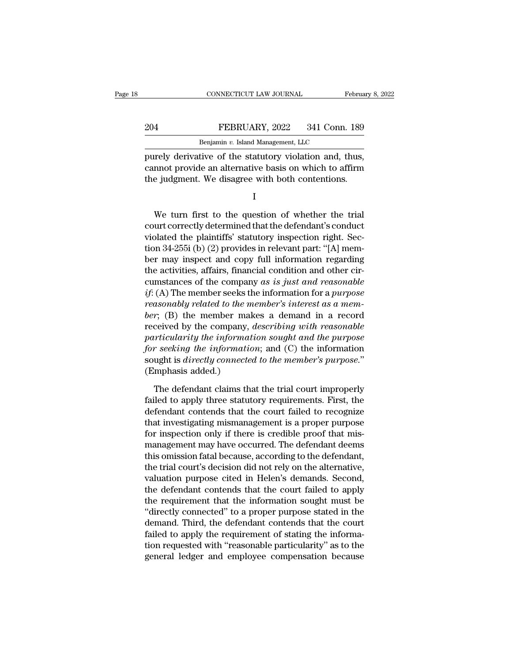|     | CONNECTICUT LAW JOURNAL                               | February 8, 2022 |
|-----|-------------------------------------------------------|------------------|
| 204 | FEBRUARY, 2022                                        | 341 Conn. 189    |
|     | Benjamin v. Island Management, LLC                    |                  |
|     | purely derivative of the statutory violation and thus |                  |

February 8, 2<br>
204 FEBRUARY, 2022 341 Conn. 189<br>
Benjamin v. Island Management, LLC<br>
purely derivative of the statutory violation and, thus,<br>
cannot provide an alternative basis on which to affirm<br>
the judgment. We diaggre EXEMBRIARY, 2022 341 Conn. 189<br>
Benjamin v. Island Management, LLC<br>
purely derivative of the statutory violation and, thus,<br>
cannot provide an alternative basis on which to affirm<br>
the judgment. We disagree with both conte The January of the statutory violation and, thus,<br>
The judgment. We disagree with both contentions.<br>
The judgment. We disagree with both contentions.<br>
I The derivative of the statutory violation and, thus,<br>mot provide an alternative basis on which to affirm<br>e judgment. We disagree with both contentions.<br>I<br>We turn first to the question of whether the trial<br>urt correctly det

I

purely derivative of the statutory violation and, thus,<br>cannot provide an alternative basis on which to affirm<br>the judgment. We disagree with both contentions.<br>I<br>We turn first to the question of whether the trial<br>court cor via the judgment. We disagree with both contentions.<br>
I<br>
We turn first to the question of whether the trial<br>
court correctly determined that the defendant's conduct<br>
violated the plaintiffs' statutory inspection right. Sec In the judgment. We disagree with both contentions.<br>
I<br>
We turn first to the question of whether the trial<br>
court correctly determined that the defendant's conduct<br>
violated the plaintiffs' statutory inspection right. Sec-I<br>We turn first to the question of whether the trial<br>court correctly determined that the defendant's conduct<br>violated the plaintiffs' statutory inspection right. Sec-<br>tion 34-255i (b) (2) provides in relevant part: "[A] me We turn first to the question of whether the trial<br>court correctly determined that the defendant's conduct<br>violated the plaintiffs' statutory inspection right. Sec-<br>tion 34-255i (b) (2) provides in relevant part: "[A] mem We turn first to the question of whether the trial<br>court correctly determined that the defendant's conduct<br>violated the plaintiffs' statutory inspection right. Sec-<br>tion 34-255i (b) (2) provides in relevant part: "[A] mem court correctly determined that the defendant's conduct<br>violated the plaintiffs' statutory inspection right. Sec-<br>tion 34-255i (b) (2) provides in relevant part: "[A] mem-<br>ber may inspect and copy full information regardin violated the plaintiffs' statutory inspection right. Section 34-255i (b) (2) provides in relevant part: "[A] mem-<br>ber may inspect and copy full information regarding<br>the activities, affairs, financial condition and other c tion 34-255i (b) (2) provides in relevant part: "[A] member may inspect and copy full information regarding<br>the activities, affairs, financial condition and other cir-<br>cumstances of the company as is just and reasonable<br>if ber may inspect and copy full information regarding<br>the activities, affairs, financial condition and other cir-<br>cumstances of the company as is just and reasonable<br>if: (A) The member seeks the information for a *purpose*<br>r the activities, affairs, financial condition and other circumstances of the company as is just and reasonable if: (A) The member seeks the information for a *purpose* reasonably related to the member's interest as a member cumstances of the company as is just and reasonable<br>if: (A) The member seeks the information for a *purpose*<br>reasonably related to the member's interest as a mem-<br>ber; (B) the member makes a demand in a record<br>received by if: (A) The member seeks the information for a *purpose*<br>reasonably related to the member's interest as a mem-<br>ber; (B) the member makes a demand in a record<br>received by the company, describing with reasonable<br>particularit reasonably related to the m<br>ber; (B) the member mal<br>received by the company,<br>particularity the information<br>for seeking the informatic<br>sought is directly connected<br>(Emphasis added.)<br>The defendant claims the ceived by the company, *describing with reasonable*<br>*rticularity the information sought and the purpose*<br>*r seeking the information*; and (C) the information<br>ught is *directly connected to the member's purpose.*"<br>mphasis a particularity the information sought and the purpose<br>for seeking the information; and (C) the information<br>sought is directly connected to the member's purpose."<br>(Emphasis added.)<br>The defendant claims that the trial court i

for seeking the information; and  $(C)$  the information<br>sought is directly connected to the member's purpose."<br>(Emphasis added.)<br>The defendant claims that the trial court improperly<br>failed to apply three statutory requireme sought is *directly connected to the member's purpose.*"<br>
(Emphasis added.)<br>
The defendant claims that the trial court improperly<br>
failed to apply three statutory requirements. First, the<br>
defendant contends that the court (Emphasis added.)<br>The defendant claims that the trial court improperly<br>failed to apply three statutory requirements. First, the<br>defendant contends that the court failed to recognize<br>that investigating mismanagement is a pr The defendant claims that the trial court improperly<br>failed to apply three statutory requirements. First, the<br>defendant contends that the court failed to recognize<br>that investigating mismanagement is a proper purpose<br>for i The defendant claims that the trial court improperly<br>failed to apply three statutory requirements. First, the<br>defendant contends that the court failed to recognize<br>that investigating mismanagement is a proper purpose<br>for i failed to apply three statutory requirements. First, the<br>defendant contends that the court failed to recognize<br>that investigating mismanagement is a proper purpose<br>for inspection only if there is credible proof that mis-<br>m defendant contends that the court failed to recognize<br>that investigating mismanagement is a proper purpose<br>for inspection only if there is credible proof that mis-<br>management may have occurred. The defendant deems<br>this omi that investigating mismanagement is a proper purpose<br>for inspection only if there is credible proof that mis-<br>management may have occurred. The defendant deems<br>this omission fatal because, according to the defendant,<br>the t for inspection only if there is credible proof that mis-<br>management may have occurred. The defendant deems<br>this omission fatal because, according to the defendant,<br>the trial court's decision did not rely on the alternative management may have occurred. The defendant deems<br>this omission fatal because, according to the defendant,<br>the trial court's decision did not rely on the alternative,<br>valuation purpose cited in Helen's demands. Second,<br>the this omission fatal because, according to the defendant,<br>the trial court's decision did not rely on the alternative,<br>valuation purpose cited in Helen's demands. Second,<br>the defendant contends that the court failed to apply the trial court's decision did not rely on the alternative,<br>valuation purpose cited in Helen's demands. Second,<br>the defendant contends that the court failed to apply<br>the requirement that the information sought must be<br>"dir valuation purpose cited in Helen's demands. Second,<br>the defendant contends that the court failed to apply<br>the requirement that the information sought must be<br>"directly connected" to a proper purpose stated in the<br>demand. T the defendant contends that the court failed to apply<br>the requirement that the information sought must be<br>"directly connected" to a proper purpose stated in the<br>demand. Third, the defendant contends that the court<br>failed t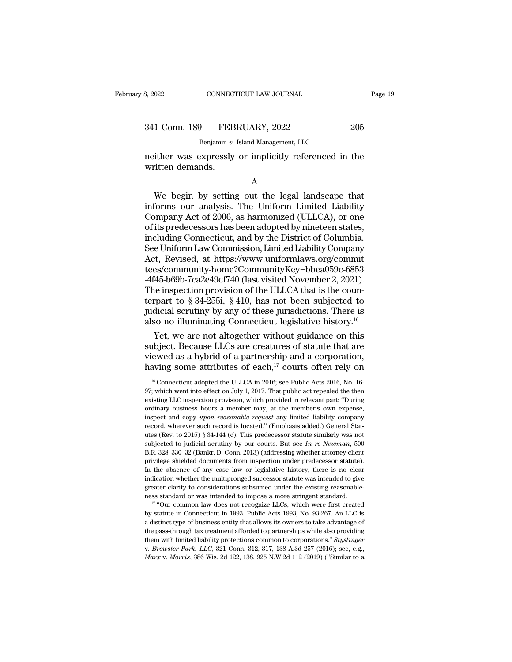341 Conn. 189 FEBRUARY, 2022 205<br>Benjamin v. Island Management, LLC

CONNECTICUT LAW JOURNAL<br> **Benjamin v. Island Management, LLC**<br>
Penjamin v. Island Management, LLC<br>
Penressly or implicitly referenced in neither was expressly or implicitly referenced in the written demands. 341 Conn. 189 FEB<br>Benjamin v.<br>neither was expressly<br>written demands.

A

 $\begin{array}{c} \text{1 Conn. 189} \end{array}$  FEBRUARY, 2022 205<br>Benjamin v. Island Management, LLC<br>ither was expressly or implicitly referenced in the<br>itten demands.<br>A<br>We begin by setting out the legal landscape that<br>forms our analysis. The Benjamin v. Island Management, LLC<br>
neither was expressly or implicitly referenced in the<br>
written demands.<br>
A<br>
We begin by setting out the legal landscape that<br>
informs our analysis. The Uniform Limited Liability<br>
Compan meither was expressly or implicitly referenced in the<br>written demands.<br>A<br>We begin by setting out the legal landscape that<br>informs our analysis. The Uniform Limited Liability<br>Company Act of 2006, as harmonized (ULLCA), or o A<br>
We begin by setting out the legal landscape that<br>
informs our analysis. The Uniform Limited Liability<br>
Company Act of 2006, as harmonized (ULLCA), or one<br>
of its predecessors has been adopted by nineteen states,<br>
includ A<br>
We begin by setting out the legal landscape that<br>
informs our analysis. The Uniform Limited Liability<br>
Company Act of 2006, as harmonized (ULLCA), or one<br>
of its predecessors has been adopted by nineteen states,<br>
includ A<br>We begin by setting out the legal landscape that<br>informs our analysis. The Uniform Limited Liability<br>Company Act of 2006, as harmonized (ULLCA), or one<br>of its predecessors has been adopted by nineteen states,<br>including C We begin by setting out the legal landscape that<br>informs our analysis. The Uniform Limited Liability<br>Company Act of 2006, as harmonized (ULLCA), or one<br>of its predecessors has been adopted by nineteen states,<br>including Con tees/community-home?CommunityKey=bbea059c-6853 Company Act of 2006, as harmonized (ULLCA), or one<br>of its predecessors has been adopted by nineteen states,<br>including Connecticut, and by the District of Columbia.<br>See Uniform Law Commission, Limited Liability Company<br>Act, of its predecessors has been adopted by nineteen states,<br>including Connecticut, and by the District of Columbia.<br>See Uniform Law Commission, Limited Liability Company<br>Act, Revised, at https://www.uniformlaws.org/commit<br>tee including Connecticut, and by the District of Columbia.<br>See Uniform Law Commission, Limited Liability Company<br>Act, Revised, at https://www.uniformlaws.org/commit<br>tees/community-home?CommunityKey=bbea059c-6853<br>-4f45-b69b-7c See Uniform Law Commission, Limited Liability Company<br>Act, Revised, at https://www.uniformlaws.org/commit<br>tees/community-home?CommunityKey=bbea059c-6853<br>-4f45-b69b-7ca2e49cf740 (last visited November 2, 2021).<br>The inspecti Act, Revised, at https://www.uniformlaws.org/commit<br>tees/community-home?CommunityKey=bbea059c-6853<br>-4f45-b69b-7ca2e49cf740 (last visited November 2, 2021).<br>The inspection provision of the ULLCA that is the coun-<br>terpart t es/community-home?CommunityKey=bbea059c-6853<br>45-b69b-7ca2e49cf740 (last visited November 2, 2021).<br>ne inspection provision of the ULLCA that is the coun-<br>rpart to § 34-255i, § 410, has not been subjected to<br>dicial scrutiny -4f45-b69b-7ca2e49cf740 (last visited November 2, 2021).<br>The inspection provision of the ULLCA that is the coun-<br>terpart to § 34-255i, § 410, has not been subjected to<br>judicial scrutiny by any of these jurisdictions. Ther

The inspection provision of the ULLCA that is the counterpart to § 34-255i, § 410, has not been subjected to judicial scrutiny by any of these jurisdictions. There is also no illuminating Connecticut legislative history.<sup></sup> terpart to § 34-255i, § 410, has not been subjected to<br>judicial scrutiny by any of these jurisdictions. There is<br>also no illuminating Connecticut legislative history.<sup>16</sup><br>Yet, we are not altogether without guidance on thi Yet, we are not altogether without guidance on this ubject. Because LLCs are creatures of statute that are ewed as a hybrid of a partnership and a corporation, aving some attributes of each,<sup>17</sup> courts often rely on  $\frac{1$ subject. Because LLCs are creatures of statute that are viewed as a hybrid of a partnership and a corporation, having some attributes of each,<sup>17</sup> courts often rely on  $\frac{16}{16}$  Connecticut adopted the ULLCA in 2016; se

indication whether the multipronged successor statute was intended to give greater clarity to considerations subsumed under the existing reasonable-<br>ness standard or was intended to impose a more stringent standard.<br><sup>17</sup> The pass-through tax treatment afforded to impose a more string reasonable-<br>ness standard or was intended to impose a more stringent standard.<br> $17$  "Our common law does not recognize LLCs, which were first created<br>by stat them with limited view of the mass standard or was intended to impose a more stringent standard.<br><sup>17</sup> "Our common law does not recognize LLCs, which were first created<br>by statute in Connecticut in 1993. Public Acts 1993, N *Marx* by statute in Connecticut in 1993. Public Acts 1993, No. 93-267. An LLC is a distinct type of business entity that allows its owners to take advantage of the pass-through tax treatment afforded to partnerships while

viewed as a hybrid of a partnership and a corporation,<br>having some attributes of each,<sup>17</sup> courts often rely on<br> $^{16}$  Connecticut adopted the ULLCA in 2016; see Public Acts 2016, No. 16-<br>97; which went into effect on Jul The metric as a rigibite of a particle single interesting that a corporation, thaving some attributes of each,<sup>17</sup> courts often rely on  $\frac{16}{97}$ ; which went into effect on July 1, 2017. That public act repealed the the naving Some attributes of each,<sup>23</sup> Courts often refy on<br><sup>16</sup> Connecticut adopted the ULLCA in 2016; see Public Acts 2016, No. 16-<br>97; which went into effect on July 1, 2017. That public act repealed the then<br>existing LLC <sup>16</sup> Connecticut adopted the ULLCA in 2016; see Public Acts 2016, No. 16-97; which went into effect on July 1, 2017. That public act repealed the then existing LLC inspection provision, which provided in relevant part: "D 97; which went into effect on July 1, 2017. That public act repealed the then existing LLC inspection provision, which provided in relevant part: "During ordinary business hours a member may, at the member's own expense, by, which were the cet on oury 1, 2011. That pathe act repeated are are existing LLC inspection provision, which provided in relevant part: "During ordinary business hours a member may, at the member's own expense, inspec ordinary business hours a member may, at the member's own expense, inspect and copy *upon reasonable request* any limited liability company record, wherever such record is located." (Emphasis added.) General Statutes (Rev inspect and copy *upon reasonable request* any limited liability company<br>inspect and copy *upon reasonable request* any limited liability company<br>record, wherever such record is located." (Emphasis added.) General Stat-<br>u In the absence of any case law or legislative history, there is no clear indicated. The absence of apple and the subjected to judicial scrutiny by our courts. But see *In re Newman*, 500 B.R. 328, 330–32 (Bankr. D. Conn. indication whether the multipronged successor statute similarly was not subjected to judicial scrutiny by our courts. But see *In re Neuman*, 500 B.R. 328, 330–32 (Bankr. D. Conn. 2013) (addressing whether attorney-client subjected to judicial scrutiny by our courts. But see *In re Newman*, 500 B.R. 328, 330–32 (Bankr. D. Conn. 2013) (addressing whether attorney-client privilege shielded documents from inspection under predecessor statute) B.R. 328, 330–32 (Bankr. D. Conn. 2013) (addressing whether attorney-client privilege shielded documents from inspection under predecessor statute). In the absence of any case law or legislative history, there is no clear Frame statute in Connecticut in 1993. Public Acts 1993, No. 93-267. An LLC is a distinct type of business statute in Connecticut in 1993. Public Acts 1993, No. 93-267. An LLC is a distinct type of business entity that all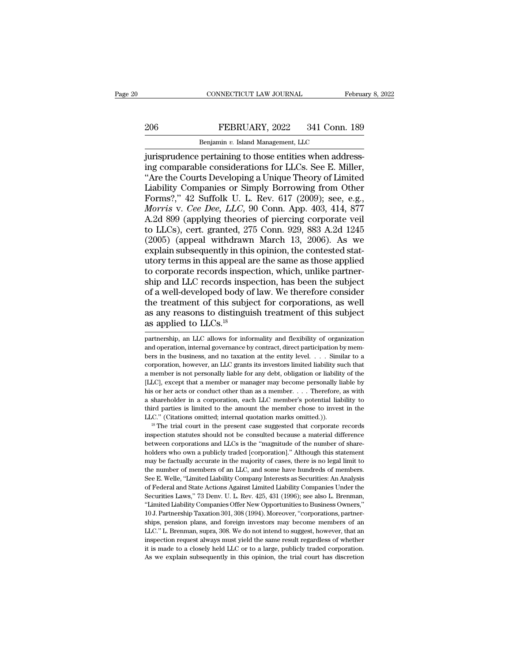## EXECTIVE CONNECTICUT LAW JOURNAL February 8, 2022<br>206 FEBRUARY, 2022 341 Conn. 189<br>Benjamin v. Island Management, LLC CONNECTICUT LAW JOURNAL FR<br>FEBRUARY, 2022 341 Conn.<br>Benjamin *v.* Island Management, LLC<br>nertaining to those entities when addr

CONNECTICUT LAW JOURNAL Februa<br>
206 FEBRUARY, 2022 341 Conn. 189<br>
Benjamin v. Island Management, LLC<br>
jurisprudence pertaining to those entities when address-<br>
ing comparable considerations for LLCs. See E. Miller,<br>
"Are t EXPRIDARY, 2022 341 Conn. 189<br>
Benjamin v. Island Management, LLC<br>
intrisprudence pertaining to those entities when address-<br>
ing comparable considerations for LLCs. See E. Miller,<br>
"Are the Courts Developing a Unique Theo 206 FEBRUARY, 2022 341 Conn. 189<br>
Benjamin v. Island Management, LLC<br>
jurisprudence pertaining to those entities when address-<br>
ing comparable considerations for LLCs. See E. Miller,<br>
"Are the Courts Developing a Unique T EEBRUARY, 2022 341 Conn. 189<br>
Benjamin v. Island Management, LLC<br>
jurisprudence pertaining to those entities when address-<br>
ing comparable considerations for LLCs. See E. Miller,<br>
"Are the Courts Developing a Unique Theory FEBROART, 2022 641 COM. 135<br>
Benjamin v. Island Management, LLC<br>
jurisprudence pertaining to those entities when address-<br>
ing comparable considerations for LLCs. See E. Miller,<br>
"Are the Courts Developing a Unique Theory *Benjamin v. Island Management, LLC*<br> *Morrisprudence pertaining to those entities when addressing comparable considerations for LLCs. See E. Miller,*<br> *Morris* the Courts Developing a Unique Theory of Limited<br> *Liability* jurisprudence pertaining to those entities when addressing comparable considerations for LLCs. See E. Miller, "Are the Courts Developing a Unique Theory of Limited Liability Companies or Simply Borrowing from Other Forms?, ing comparable considerations for LLCs. See E. Miller,<br>
"Are the Courts Developing a Unique Theory of Limited<br>
Liability Companies or Simply Borrowing from Other<br>
Forms?," 42 Suffolk U. L. Rev. 617 (2009); see, e.g.,<br> *Mor* "Are the Courts Developing a Unique Theory of Limited<br>Liability Companies or Simply Borrowing from Other<br>Forms?," 42 Suffolk U. L. Rev. 617 (2009); see, e.g.,<br>*Morris v. Cee Dee, LLC*, 90 Conn. App. 403, 414, 877<br>A.2d 899 Liability Companies or Simply Borrowing from Other<br>Forms?," 42 Suffolk U. L. Rev. 617 (2009); see, e.g.,<br>*Morris v. Cee Dee, LLC*, 90 Conn. App. 403, 414, 877<br>A.2d 899 (applying theories of piercing corporate veil<br>to LLCs) Forms?," 42 Suffolk U. L. Rev. 617 (2009); see, e.g.,<br>Morris v. Cee Dee, LLC, 90 Conn. App. 403, 414, 877<br>A.2d 899 (applying theories of piercing corporate veil<br>to LLCs), cert. granted, 275 Conn. 929, 883 A.2d 1245<br>(2005) Morris v. Cee Dee, LLC, 90 Conn. App. 403, 414, 877<br>A.2d 899 (applying theories of piercing corporate veil<br>to LLCs), cert. granted, 275 Conn. 929, 883 A.2d 1245<br>(2005) (appeal withdrawn March 13, 2006). As we<br>explain subse A.2d 899 (applying theories of piercing corporate veil<br>to LLCs), cert. granted, 275 Conn. 929, 883 A.2d 1245<br>(2005) (appeal withdrawn March 13, 2006). As we<br>explain subsequently in this opinion, the contested stat-<br>utory t to LLCs), cert. granted, 275 Conn. 929, 883 A.2d 1245 (2005) (appeal withdrawn March 13, 2006). As we explain subsequently in this opinion, the contested statutory terms in this appeal are the same as those applied to corp (2005) (appeal withdrawn March 13, 2006). As we explain subsequently in this opinion, the contested stat-<br>utory terms in this appeal are the same as those applied<br>to corporate records inspection, which, unlike partner-<br>sh explain subsequently in this opinion, the contested stat-<br>utory terms in this appeal are the same as those applied<br>to corporate records inspection, which, unlike partner-<br>ship and LLC records inspection, has been the subj utory terms in this appeal a<br>to corporate records inspect<br>ship and LLC records inspect<br>of a well-developed body of<br>the treatment of this subje<br>as any reasons to distingui<br>as applied to LLCs.<sup>18</sup><br>partnership, an LLC allows of a well-developed body of law. We therefore consider<br>the treatment of this subject for corporations, as well<br>as any reasons to distinguish treatment of this subject<br>as applied to LLCs.<sup>18</sup><br>partnership, an LLC allows for the treatment of this subject for corporations, as well<br>as any reasons to distinguish treatment of this subject<br>as applied to LLCs.<sup>18</sup><br>partnership, an LLC allows for informality and flexibility of organization<br>and operati

are in the business, and the business, and the entity level. . . . . Similar to a corporation, however, an LLC grants its investors limited liability such that corporation, however, an LLC grants its investors limited liab as any reasons to distinguish treatment of this subject<br>as applied to LLCs.<sup>18</sup><br>partnership, an LLC allows for informality and flexibility of organization<br>and operation, internal governance by contract, direct participati as applied to LLCs.<br>
partnership, an LLC allows for informality and flexibility of organization<br>
and operation, internal governance by contract, direct participation by mem-<br>
bers in the business, and no taxation at the en partnership, an LLC allows for informality and flexibility of organization and operation, internal governance by contract, direct participation by members in the business, and no taxation at the entity level. . . . Simila parameters or her acts or conduct other than as a member. . . . . Similar to a corporation, internal governance by contract, direct participation by members in the business, and no taxation at the entity level. . . . Simil a shareholder in a corporation, each LLC member's potential liability such that a member is not personally liable for any debt, obligation or liability such that a member is not personally liable for any debt, obligation o corporation, however, an LLC grants its investors limited liability such that a member is not personally liable for any debt, obligation or liability of the [LLC], except that a member or manager may become personally liab a member is not personally liable for any debt, obligation or liability of the [LLC], except that a member or manager may become personally liable by his or her acts or conduct other than as a member. . . . Therefore, as w Final on the acts of conduct other than as a member.  $\ldots$  Therefore, as with a shareholder in a corporation, each LLC member's potential liability to third parties is limited to the amount the member chose to invest in t

he is or her acts or conduct other than as a member. . . . Therefore, as with a shareholder in a corporation, each LLC member's potential liability to third parties is limited to the amount the member chose to invest in t a multimum is in the member chose to invest in the helind parties is limited to the amount the member chose to invest in the LLC." (Citations omitted; internal quotation marks omitted.)). <sup>18</sup> The trial court in the presen LLC." (Citations omitted; internal quotation marks omitted.)).<br>
<sup>18</sup> The trial court in the present case suggested that corporate records<br>
inspection statutes should not be consulted because a material difference<br>
between <sup>18</sup> The trial court in the present case suggested that corporate records inspection statutes should not be consulted because a material difference between corporations and LLCs is the "magnitude of the number of sharehold inspection statutes should not be consulted because a material difference<br>between corporations and LLCs is the "magnitude of the number of share-<br>holders who own a publicly traded [corporation]." Although this statement<br>ma metween corporations and LLCs is the "magnitude of the number of shareholders who own a publicly traded [corporation]." Although this statement may be factually accurate in the majority of cases, there is no legal limit to holders who own a publicly traded [corporation]." Although this statement may be factually accurate in the majority of cases, there is no legal limit to the number of members of an LLC, and some have hundreds of members. S may be factually accurate in the majority of cases, there is no legal limit to the number of members of an LLC, and some have hundreds of members.<br>See E. Welle, "Limited Liability Company Interests as Securities: An Analys <sup>1</sup> In Demandation 301, 308 (1994). Moreover, "corporations, partnership Taxation 301, 2016 Federal and State Actions Against Limited Liability Companies Under the Securities Laws," 73 Denv. U. L. Rev. 425, 431 (1996); see Shee E. Welle, "Limited Liability Company Interests as Securities: An Analysis of Federal and State Actions Against Limited Liability Companies Under the Securities Laws," 73 Denv. U. L. Rev. 425, 431 (1996); see also L. B of Federal and State Actions Against Limited Liability Companies Under the Securities Laws," 73 Denv. U. L. Rev. 425, 431 (1996); see also L. Brenman, "Limited Liability Companies Offer New Opportunities to Business Owners of Federal and State Actions Against Limited Liability Companies Under the Securities Laws," 73 Denv. U. L. Rev. 425, 431 (1996); see also L. Brenman, "Limited Liability Companies Offer New Opportunities to Business Owners "Limited Liability Companies Offer New Opportunities to Business Owners," 10 J. Partnership Taxation 301, 308 (1994). Moreover, "corporations, partner-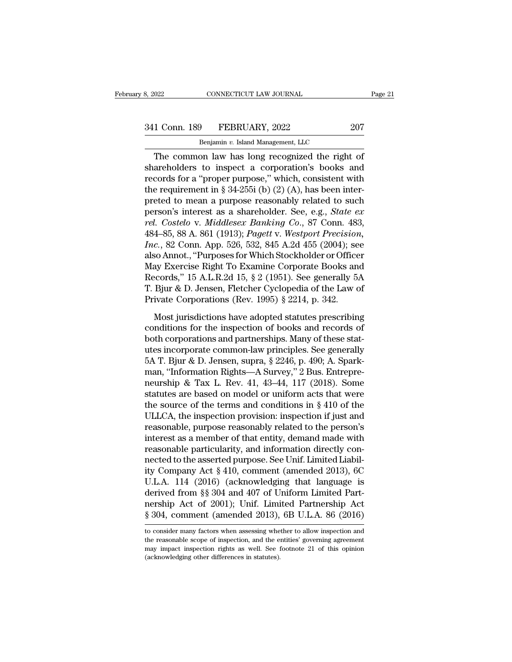CONNECTICUT LAW JOURNAL<br>
<del>9 PEBRUARY, 2022<br>
Benjamin *v.* Island Management, LLC<br>
on law has long recognized the right</del> CONNECTICUT LAW JOURNAL Page 2<br>
1 Conn. 189 FEBRUARY, 2022 207<br>
Benjamin v. Island Management, LLC<br>
The common law has long recognized the right of<br>
areholders to inspect a corporation's books and<br>
aceds for a "proper purp 341 Conn. 189 FEBRUARY, 2022 207<br>Benjamin v. Island Management, LLC<br>The common law has long recognized the right of<br>shareholders to inspect a corporation's books and<br>records for a "proper purpose," which, consistent with<br> 341 Conn. 189 FEBRUARY, 2022 207<br>
Benjamin v. Island Management, LLC<br>
The common law has long recognized the right of<br>
shareholders to inspect a corporation's books and<br>
records for a "proper purpose," which, consistent w 341 Conn. 189 FEBRUARY, 2022 207<br>
Benjamin v. Island Management, LLC<br>
The common law has long recognized the right of<br>
shareholders to inspect a corporation's books and<br>
records for a "proper purpose," which, consistent w Benjamin v. Island Management, LLC<br>
The common law has long recognized the right of<br>
shareholders to inspect a corporation's books and<br>
records for a "proper purpose," which, consistent with<br>
the requirement in § 34-255i Benjamin v. Island Management, LLC<br>
The common law has long recognized the right of<br>
shareholders to inspect a corporation's books and<br>
records for a "proper purpose," which, consistent with<br>
the requirement in § 34-255i ( The common law has long recognized the right of<br>shareholders to inspect a corporation's books and<br>records for a "proper purpose," which, consistent with<br>the requirement in § 34-255i (b) (2) (A), has been inter-<br>preted to m shareholders to inspect a corporation's books and<br>records for a "proper purpose," which, consistent with<br>the requirement in § 34-255i (b) (2) (A), has been inter-<br>preted to mean a purpose reasonably related to such<br>person' records for a "proper purpose," which, consistent with<br>the requirement in § 34-255i (b) (2) (A), has been inter-<br>preted to mean a purpose reasonably related to such<br>person's interest as a shareholder. See, e.g., *State ex<br>* the requirement in § 34-255i (b) (2) (A), has been inter-<br>preted to mean a purpose reasonably related to such<br>person's interest as a shareholder. See, e.g., *State ex<br>rel. Costelo v. Middlesex Banking Co.*, 87 Conn. 483,<br> preted to mean a purpose reasonably related to such<br>person's interest as a shareholder. See, e.g., *State ex*<br>*rel. Costelo v. Middlesex Banking Co.*, 87 Conn. 483,<br>484–85, 88 A. 861 (1913); *Pagett v. Westport Precision,* person's interest as a shareholder. See, e.g., *State ex*<br>rel. Costelo v. *Middlesex Banking Co.*, 87 Conn. 483,<br>484–85, 88 A. 861 (1913); *Pagett* v. *Westport Precision*,<br>*Inc.*, 82 Conn. App. 526, 532, 845 A.2d 455 (200 rel. Costelo v. Middlesex Banking Co., 87 Conn. 483,<br>484–85, 88 A. 861 (1913); *Pagett v. Westport Precision,*<br>*Inc.*, 82 Conn. App. 526, 532, 845 A.2d 455 (2004); see<br>also Annot., "Purposes for Which Stockholder or Office 484–85, 88 A. 861 (1913); *Pagett v. Westport Precision Inc.*, 82 Conn. App. 526, 532, 845 A.2d 455 (2004); se also Annot., "Purposes for Which Stockholder or Office May Exercise Right To Examine Corporate Books an Record or, see Soft, Teppester, Soft, See Statutes (2001), See<br>So Annot., "Purposes for Which Stockholder or Officer<br>ay Exercise Right To Examine Corporate Books and<br>ecords," 15 A.L.R.2d 15, § 2 (1951). See generally 5A<br>Bjur & D. May Exercise Right To Examine Corporate Books and<br>Records," 15 A.L.R.2d 15, § 2 (1951). See generally 5A<br>T. Bjur & D. Jensen, Fletcher Cyclopedia of the Law of<br>Private Corporations (Rev. 1995) § 2214, p. 342.<br>Most jurisdi

Both corporations and partnerships. See generally 5A<br>
T. Bjur & D. Jensen, Fletcher Cyclopedia of the Law of<br>
Private Corporations (Rev. 1995) § 2214, p. 342.<br>
Most jurisdictions have adopted statutes prescribing<br>
conditi T. Bjur & D. Jensen, Fletcher Cyclopedia of the Law of<br>Private Corporations (Rev. 1995) § 2214, p. 342.<br>Most jurisdictions have adopted statutes prescribing<br>conditions for the inspection of books and records of<br>both corpo Frivate Corporations (Rev. 1995) § 2214, p. 342.<br>Most jurisdictions have adopted statutes prescribing<br>conditions for the inspection of books and records of<br>both corporations and partnerships. Many of these stat-<br>utes inco Most jurisdictions have adopted statutes prescribing<br>conditions for the inspection of books and records of<br>both corporations and partnerships. Many of these stat-<br>utes incorporate common-law principles. See generally<br>5A T Most jurisdictions have adopted statutes prescribing<br>conditions for the inspection of books and records of<br>both corporations and partnerships. Many of these stat-<br>utes incorporate common-law principles. See generally<br>5A T conditions for the inspection of books and records of<br>both corporations and partnerships. Many of these stat-<br>utes incorporate common-law principles. See generally<br>5A T. Bjur & D. Jensen, supra, § 2246, p. 490; A. Spark-<br> both corporations and partnerships. Many of these stat-<br>utes incorporate common-law principles. See generally<br>5A T. Bjur & D. Jensen, supra, § 2246, p. 490; A. Spark-<br>man, "Information Rights—A Survey," 2 Bus. Entrepre-<br>ne utes incorporate common-law principles. See generally<br>5A T. Bjur & D. Jensen, supra, § 2246, p. 490; A. Spark-<br>man, "Information Rights—A Survey," 2 Bus. Entrepre-<br>neurship & Tax L. Rev. 41, 43–44, 117 (2018). Some<br>statute 5A T. Bjur & D. Jensen, supra, § 2246, p. 490; A. Spark-<br>man, "Information Rights—A Survey," 2 Bus. Entrepre-<br>neurship & Tax L. Rev. 41, 43–44, 117 (2018). Some<br>statutes are based on model or uniform acts that were<br>the so man, "Information Rights—A Survey," 2 Bus. Entrepre-<br>neurship & Tax L. Rev. 41, 43–44, 117 (2018). Some<br>statutes are based on model or uniform acts that were<br>the source of the terms and conditions in § 410 of the<br>ULLCA, th neurship & Tax L. Rev. 41, 43–44, 117 (2018). Some<br>statutes are based on model or uniform acts that were<br>the source of the terms and conditions in § 410 of the<br>ULLCA, the inspection provision: inspection if just and<br>reaso statutes are based on model or uniform acts that were<br>the source of the terms and conditions in  $\S 410$  of the<br>ULLCA, the inspection provision: inspection if just and<br>reasonable, purpose reasonably related to the person's the source of the terms and conditions in § 410 of the<br>ULLCA, the inspection provision: inspection if just and<br>reasonable, purpose reasonably related to the person's<br>interest as a member of that entity, demand made with<br>r ULLCA, the inspection provision: inspection if just and<br>reasonable, purpose reasonably related to the person's<br>interest as a member of that entity, demand made with<br>reasonable particularity, and information directly con-<br>n reasonable, purpose reasonably related to the person's<br>interest as a member of that entity, demand made with<br>reasonable particularity, and information directly con-<br>nected to the asserted purpose. See Unif. Limited Liabil interest as a member of that entity, demand made with<br>reasonable particularity, and information directly con-<br>nected to the asserted purpose. See Unif. Limited Liabil-<br>ity Company Act § 410, comment (amended 2013), 6C<br>U.L reasonable particularity, and information directly connected to the asserted purpose. See Unif. Limited Liability Company Act § 410, comment (amended 2013), 6C<br>U.L.A. 114 (2016) (acknowledging that language is<br>derived from U.L.A. 114 (2016) (acknowledging that language is<br>derived from §§ 304 and 407 of Uniform Limited Part-<br>nership Act of 2001); Unif. Limited Partnership Act<br>§ 304, comment (amended 2013), 6B U.L.A. 86 (2016)<br>to consider many derived from §§ 304 and 407 of Uniform Limited Part-<br>nership Act of 2001); Unif. Limited Partnership Act<br>§ 304, comment (amended 2013), 6B U.L.A. 86 (2016)<br>to consider many factors when assessing whether to allow inspectio

nership Act of 2001); Unif. Limited Partnership Act § 304, comment (amended 2013), 6B U.L.A. 86 (2016)<br>to consider many factors when assessing whether to allow inspection and<br>the reasonable scope of inspection, and the ent Sally comment (amended 2013),<br>
sally consider many factors when assessing where<br>
the reasonable scope of inspection, and the enemay impact inspection rights as well. See 1<br>
(acknowledging other differences in statutes).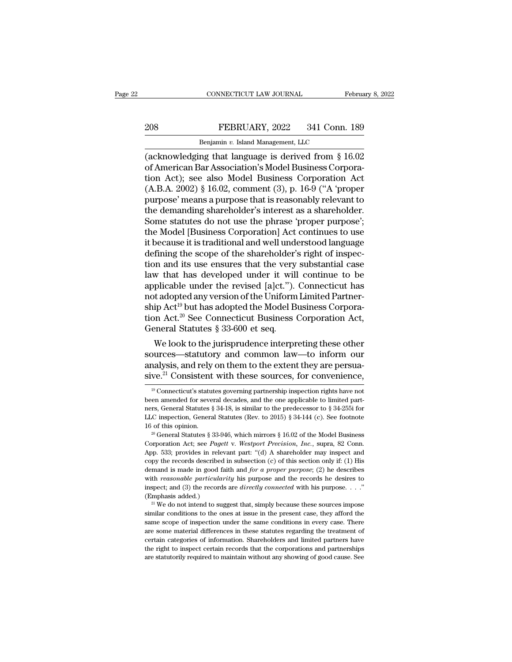# EXECTIVE CONNECTICUT LAW JOURNAL February 8, 2022<br>208 FEBRUARY, 2022 341 Conn. 189<br>Benjamin v. Island Management, LLC

CONNECTICUT LAW JOURNAL Februa<br>
208 FEBRUARY, 2022 341 Conn. 189<br>
Benjamin *v.* Island Management, LLC<br>
(acknowledging that language is derived from § 16.02<br>
of American Bar Association's Model Business Corpora-<br>
tion Act) (acknowledging that language is derived from § 16.02<br>COR FEBRUARY, 2022 341 Conn. 189<br>Correct and Management, LLC<br>Correction and Management (acknowledging that language is derived from § 16.02<br>of American Bar Association's 208 FEBRUARY, 2022 341 Conn. 189<br>
Benjamin v. Island Management, LLC<br>
(acknowledging that language is derived from § 16.02<br>
of American Bar Association's Model Business Corporation<br>
Act); see also Model Business Corporati FEBRUARY, 2022 341 Conn. 189<br>
Benjamin v. Island Management, LLC<br>
(acknowledging that language is derived from § 16.02<br>
of American Bar Association's Model Business Corpora-<br>
tion Act); see also Model Business Corporation Benjamin v. Island Management, LLC<br>
(acknowledging that language is derived from  $\S$  16.02<br>
of American Bar Association's Model Business Corpora-<br>
tion Act); see also Model Business Corporation Act<br>
(A.B.A. 2002)  $\S$  16.0 Benjamin v. Island Management, LLC<br>
(acknowledging that language is derived from § 16.02<br>
of American Bar Association's Model Business Corpora-<br>
tion Act); see also Model Business Corporation Act<br>
(A.B.A. 2002) § 16.02, co (acknowledging that language is derived from  $\S$  16.02<br>of American Bar Association's Model Business Corpora-<br>tion Act); see also Model Business Corporation Act<br>(A.B.A. 2002)  $\S$  16.02, comment (3), p. 16-9 ("A 'proper<br>pur of American Bar Association's Model Business Corporation Act<br>
(A.B.A. 2002) § 16.02, comment (3), p. 16-9 ("A 'proper<br>
purpose' means a purpose that is reasonably relevant to<br>
the demanding shareholder's interest as a shar tion Act); see also Model Business Corporation Act<br>(A.B.A. 2002) § 16.02, comment (3), p. 16-9 ("A 'proper<br>purpose' means a purpose that is reasonably relevant to<br>the demanding shareholder's interest as a shareholder.<br>Some (A.B.A. 2002) § 16.02, comment (3), p. 16-9 ("A 'proper<br>purpose' means a purpose that is reasonably relevant to<br>the demanding shareholder's interest as a shareholder.<br>Some statutes do not use the phrase 'proper purpose';<br> purpose' means a purpose that is reasonably relevant to<br>the demanding shareholder's interest as a shareholder.<br>Some statutes do not use the phrase 'proper purpose';<br>the Model [Business Corporation] Act continues to use<br>it the demanding shareholder's interest as a shareholder.<br>Some statutes do not use the phrase 'proper purpose';<br>the Model [Business Corporation] Act continues to use<br>it because it is traditional and well understood language<br>d Some statutes do not use the phrase 'proper purpose';<br>the Model [Business Corporation] Act continues to use<br>it because it is traditional and well understood language<br>defining the scope of the shareholder's right of inspecthe Model [Business Corporation] Act continues to use<br>it because it is traditional and well understood language<br>defining the scope of the shareholder's right of inspec-<br>tion and its use ensures that the very substantial c it because it is traditional and well understood language<br>defining the scope of the shareholder's right of inspec-<br>tion and its use ensures that the very substantial case<br>law that has developed under it will continue to b defining the scope of the shareholder's right of inspection and its use ensures that the very substantial case<br>law that has developed under it will continue to be<br>applicable under the revised [a]ct."). Connecticut has<br>not tion and its use ensures that the very<br>law that has developed under it will<br>applicable under the revised [a]ct.").<br>not adopted any version of the Uniform<br>ship Act<sup>19</sup> but has adopted the Model B<br>tion Act.<sup>20</sup> See Connecti w that has developed under it will continue to be<br>plicable under the revised [a]ct."). Connecticut has<br>t adopted any version of the Uniform Limited Partner-<br>ip Act<sup>19</sup> but has adopted the Model Business Corpora-<br>m Act.<sup>20</sup> applicable under the revised [a]ct. ). Connecticut has<br>not adopted any version of the Uniform Limited Partner-<br>ship Act<sup>19</sup> but has adopted the Model Business Corpora-<br>tion Act.<sup>20</sup> See Connecticut Business Corporation Ac

not adopted any version of the Uniform Limited Partner-<br>ship Act<sup>19</sup> but has adopted the Model Business Corpora-<br>tion Act.<sup>20</sup> See Connecticut Business Corporation Act,<br>General Statutes § 33-600 et seq.<br>We look to the jur ship Act<sup>20</sup> See Connecticut Business Corporation Act,<br>General Statutes § 33-600 et seq.<br>We look to the jurisprudence interpreting these other<br>sources—statutory and common law—to inform our<br>analysis, and rely on them to t We look to the jurisprudence interpreting these other<br>burces—statutory and common law—to inform our<br>nalysis, and rely on them to the extent they are persua-<br>ve.<sup>21</sup> Consistent with these sources, for convenience,<br><sup>19</sup> Conn sources—statutory and common law—to inform our<br>analysis, and rely on them to the extent they are persua-<br>sive.<sup>21</sup> Consistent with these sources, for convenience,<br><sup>19</sup> Connecticut's statutes governing partnership inspecti

analysis, and rely on them to the extent they are persua-<br>sive.<sup>21</sup> Consistent with these sources, for convenience,<br> $\frac{19}{10}$ Connecticut's statutes governing partnership inspection rights have not<br>been amended for sever **Sive.**<sup>21</sup> Consistent with these sources, for convenience,<br>
<sup>19</sup> Connecticut's statutes governing partnership inspection rights have not<br>
been amended for several decades, and the one applicable to limited partners, Gene 1<sup>9</sup> Connecticut's statutes governing partnership inspection rights have not been amended for several decades, and the one applicable to limited partners, General Statutes § 34-18, is similar to the predecessor to § 34-25 Example and Solution Active Solution Active and the one applicable to limited partners, General Statutes § 34-18, is similar to the predecessor to § 34-255i for LLC inspection, General Statutes (Rev. to 2015) § 34-144 (c).

ners, General Statutes § 34-18, is similar to the predecessor to § 34-255i for LLC inspection, General Statutes (Rev. to 2015) § 34-144 (c). See footnote 16 of this opinion.<br>
<sup>20</sup> General Statutes § 33-946, which mirrors LLC inspection, General Statutes (Rev. to 2015) § 34-144 (c). See footnote 16 of this opinion.<br>
<sup>20</sup> General Statutes § 33-946, which mirrors § 16.02 of the Model Business Corporation Act; see *Pagett* v. *Westport Precis* demand is made in good faith and *for a proper purpose*; (2) he describes the mateur of this opinion.<br>
<sup>20</sup> General Statutes § 33-946, which mirrors § 16.02 of the Model Business<br>
Corporation Act; see *Pagett* v. *Westport* <sup>20</sup> General Statutes § 33-946, which mirrors § 16.02 of the Model Business<br>Corporation Act; see *Pagett* v. *Westport Precision*, *Inc.*, supra, 82 Conn.<br>App. 533; provides in relevant part: "(d) A shareholder may inspect corporation Act; see *Pagett* v. *Westport Precision*, *Inc.*, supra, 82 Conn.<br>App. 533; provides in relevant part: "(d) A shareholder may inspect and<br>copy the records described in subsection (c) of this section only if: ( App. 533; provides in release the correlation of the records described demand is made in good f with *reasonable particula* inspect; and (3) the record (Emphasis added.) py the records described in subsection (c) of this section only if: (1) His mand is made in good faith and *for a proper purpose*; (2) he describes the *reasonable particularity* his purpose and the records he desires to shows the mand is made in good faith and *for a proper purpose*; (2) he describes with *reasonable particularity* his purpose and the records he desires to inspect; and (3) the records are *directly connected* with his pu

with *reasonable particularity* his purpose and the records he desires to inspect; and (3) the records are *directly connected* with his purpose. . . ." (Emphasis added.)<br>
<sup>21</sup> We do not intend to suggest that, simply bec with *reasonable particularity* his purpose and the records he desires to inspect; and (3) the records are *directly connected* with his purpose. . . ." (Emphasis added.)<br><sup>21</sup> We do not intend to suggest that, simply beca Emphasis added.)<br>
<sup>21</sup> We do not intend to suggest that, simply because these sources impose<br>
similar conditions to the ones at issue in the present case, they afford the<br>
same scope of inspection under the same condition <sup>21</sup> We do not intend to suggest that, simply because these sources impose similar conditions to the ones at issue in the present case, they afford the same scope of inspection under the same conditions in every case. The similar conditions to the ones at issue in the present case, they afford the same scope of inspection under the same conditions in every case. There are some material differences in these statutes regarding the treatment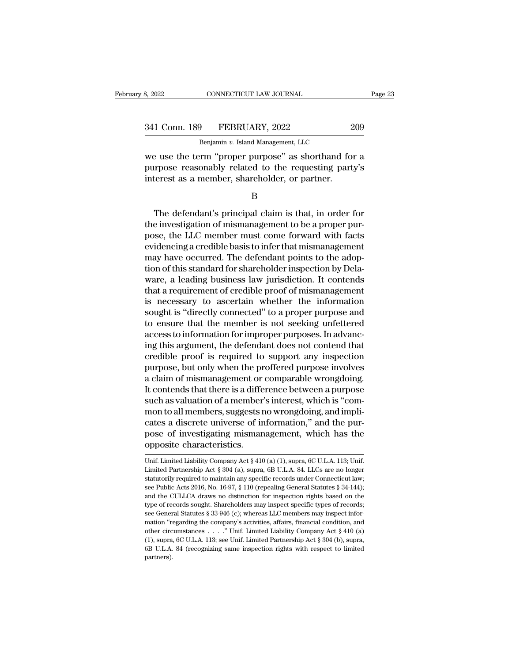341 Conn. 189 FEBRUARY, 2022 209 Benjamin v. Island Management, LLC Benjamin *v.* Island Management, LLC

EXECTE SAN SAN SURIAL TERM SURVEY AND THE SAN SAN SAN SAN SAN SERIES USE OF A SERIES SERIES WE USE THE THE SURVEY AS SHOTTHAND for a purpose reasonably related to the requesting party's interest as a mamber shareholder or 341 Conn. 189 FEBRUARY, 2022 209<br>Benjamin v. Island Management, LLC<br>we use the term "proper purpose" as shorthand for a<br>purpose reasonably related to the requesting party's<br>interest as a member, shareholder, or partner. 341 Conn. 189 FEBRUARY, 2022 2<br>
Benjamin v. Island Management, LLC<br>
we use the term "proper purpose" as shorthand for<br>
purpose reasonably related to the requesting part<br>
interest as a member, shareholder, or partner.<br>
B Expansive Expansive Equivalencia, 2008<br>
The defendant's principal claim is that, in order for<br>
The defendant's principal claim is that, in order for<br>
Expansive Expansion of mismanagement to be a proper pur-<br>
Section of mis

B

we use the term "proper purpose" as shorthand for a<br>purpose reasonably related to the requesting party's<br>interest as a member, shareholder, or partner.<br>B<br>The defendant's principal claim is that, in order for<br>the investigat purpose reasonably related to the requesting party's<br>interest as a member, shareholder, or partner.<br>B<br>The defendant's principal claim is that, in order for<br>the investigation of mismanagement to be a proper pur-<br>pose, the L metrest as a member, shareholder, or partner.<br>
B<br>
The defendant's principal claim is that, in order for<br>
the investigation of mismanagement to be a proper pur-<br>
pose, the LLC member must come forward with facts<br>
evidencing B<br>
The defendant's principal claim is that, in order for<br>
the investigation of mismanagement to be a proper pur-<br>
pose, the LLC member must come forward with facts<br>
evidencing a credible basis to infer that mismanagement<br> The defendant's principal claim is that, in order for<br>the investigation of mismanagement to be a proper pur-<br>pose, the LLC member must come forward with facts<br>evidencing a credible basis to infer that mismanagement<br>may hav The defendant's principal claim is that, in order for<br>the investigation of mismanagement to be a proper pur-<br>pose, the LLC member must come forward with facts<br>evidencing a credible basis to infer that mismanagement<br>may hav the investigation of mismanagement to be a proper pur-<br>pose, the LLC member must come forward with facts<br>evidencing a credible basis to infer that mismanagement<br>may have occurred. The defendant points to the adop-<br>tion of pose, the LLC member must come forward with facts<br>evidencing a credible basis to infer that mismanagement<br>may have occurred. The defendant points to the adop-<br>tion of this standard for shareholder inspection by Dela-<br>ware, evidencing a credible basis to infer that mismanagement<br>may have occurred. The defendant points to the adoption of this standard for shareholder inspection by Dela-<br>ware, a leading business law jurisdiction. It contends<br>th may have occurred. The defendant points to the adoption of this standard for shareholder inspection by Delaware, a leading business law jurisdiction. It contends that a requirement of credible proof of mismanagement is nec tion of this standard for shareholder inspection by Dela-<br>ware, a leading business law jurisdiction. It contends<br>that a requirement of credible proof of mismanagement<br>is necessary to ascertain whether the information<br>sough ware, a leading business law jurisdiction. It contends<br>that a requirement of credible proof of mismanagement<br>is necessary to ascertain whether the information<br>sought is "directly connected" to a proper purpose and<br>to ensur that a requirement of credible proof of mismanagement<br>is necessary to ascertain whether the information<br>sought is "directly connected" to a proper purpose and<br>to ensure that the member is not seeking unfettered<br>access to i is necessary to ascertain whether the information<br>sought is "directly connected" to a proper purpose and<br>to ensure that the member is not seeking unfettered<br>access to information for improper purposes. In advanc-<br>ing this sought is "directly connected" to a proper purpose and<br>to ensure that the member is not seeking unfettered<br>access to information for improper purposes. In advanc-<br>ing this argument, the defendant does not contend that<br>cred to ensure that the member is not seeking unfettered<br>access to information for improper purposes. In advanc-<br>ing this argument, the defendant does not contend that<br>credible proof is required to support any inspection<br>purpos access to information for improper purposes. In advancing this argument, the defendant does not contend that credible proof is required to support any inspection purpose, but only when the proffered purpose involves a clai ing this argument, the defendant does not contend that<br>credible proof is required to support any inspection<br>purpose, but only when the proffered purpose involves<br>a claim of mismanagement or comparable wrongdoing.<br>It conten credible proof is required to support any inspection<br>purpose, but only when the proffered purpose involves<br>a claim of mismanagement or comparable wrongdoing.<br>It contends that there is a difference between a purpose<br>such as purpose, but only when the proffered purpose involves<br>a claim of mismanagement or comparable wrongdoing.<br>It contends that there is a difference between a purpose<br>such as valuation of a member's interest, which is "com-<br>mon a claim of mismanagement or<br>It contends that there is a diffe<br>such as valuation of a member<br>mon to all members, suggests r<br>cates a discrete universe of ir<br>pose of investigating misman<br>opposite characteristics.<br>Unif. Limite mon to all members, suggests no wrongdoing, and implicates a discrete universe of information," and the purpose of investigating mismanagement, which has the opposite characteristics.<br>Unif. Limited Liability Company Act cates a discrete universe of information," and the pur-<br>pose of investigating mismanagement, which has the<br>opposite characteristics.<br>Unif. Limited Liability Company Act § 410 (a) (1), supra, 6C U.L.A. 113; Unif.<br>Limited Pa

pose of investigating mismanagement, which has the<br>opposite characteristics.<br>Unif. Limited Liability Company Act § 410 (a) (1), supra, 6C U.L.A. 113; Unif.<br>Limited Partnership Act § 304 (a), supra, 6B U.L.A. 84. LLCs are n See Public Acts 2016, No. 16-97, § 110 (repealing General Statutes § 34-144);<br>Thif. Limited Partnership Act § 304 (a), supra, 6B U.L.A. 84. LLCs are no longer<br>statutorily required to maintain any specific records under Con Upposite Crital acteristics.<br>
Unif. Limited Liability Company Act § 410 (a) (1), supra, 6C U.L.A. 113; Unif.<br>
Limited Partnership Act § 304 (a), supra, 6B U.L.A. 84. LLCs are no longer<br>
statutorily required to maintain any Unif. Limited Liability Company Act § 410 (a) (1), supra, 6C U.L.A. 113; Unif.<br>Limited Partnership Act § 304 (a), supra, 6B U.L.A. 84. LLCs are no longer<br>statutorily required to maintain any specific records under Connecti Limited Partnership Act § 304 (a), supra, 6B U.L.A. 84. LLCs are no longer statutorily required to maintain any specific records under Connecticut law; see Public Acts 2016, No. 16-97, § 110 (repealing General Statutes § extraction ''regarding to maintain any specific records under Connecticut law;<br>statutorily required to maintain any specific records under Connecticut law;<br>see Public Acts 2016, No. 16-97, § 110 (repealing General Statute see Public Acts 2016, No. 16-97, § 110 (repealing General Statutes § 34-144); and the CULLCA draws no distinction for inspection rights based on the type of records sought. Shareholders may inspect specific types of recor and the CULLCA draws no distinction for inspection rights based on the type of records sought. Shareholders may inspect specific types of records;<br>see General Statutes § 33-946 (c); whereas LLC members may inspect infor-<br>mation "regarding the company's activities, affairs, financial conditio partners).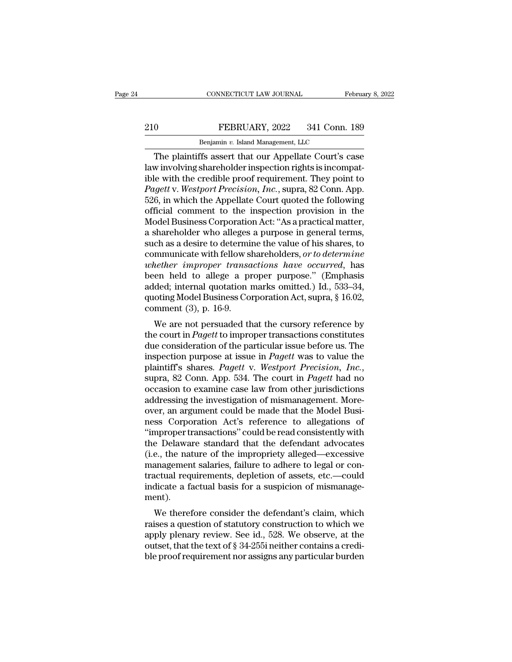## EXECUTE CONNECTICUT LAW JOURNAL February 8, 2022<br>210 FEBRUARY, 2022 341 Conn. 189<br>Benjamin v. Island Management, LLC CONNECTICUT LAW JOURNAL FR<br>FEBRUARY, 2022 341 Conn.<br>Benjamin *v.* Island Management, LLC<br>Ffs assert that our Appellate Court's c

CONNECTICUT LAW JOURNAL February 8, 2022<br>
0<br>
TEBRUARY, 2022 341 Conn. 189<br>
Benjamin v. Island Management, LLC<br>
The plaintiffs assert that our Appellate Court's case<br>
w involving shareholder inspection rights is incompat-<br> 210 FEBRUARY, 2022 341 Conn. 189<br>
Benjamin v. Island Management, LLC<br>
The plaintiffs assert that our Appellate Court's case<br>
law involving shareholder inspection rights is incompat-<br>
ible with the credible proof requiremen EXERUARY, 2022 341 Conn. 189<br> **EXERUARY, 2022** 341 Conn. 189<br> **EXERUARY**, 2022 341 Conn. 189<br> **The plaintiffs assert that our Appellate Court's case**<br>
law involving shareholder inspection rights is incompat-<br>
ible with th *Pagetter Pagetter Pagetter Pagetter Pagetter Pagetter Pagetter Pagetter Pagetter Pagetter Pagetter Pagetter Pagetter Pagetter Pagetter Pagetter Pagetter Pagetter Pagetter Pagetter P* Benjamin v. Island Management, LLC<br>
The plaintiffs assert that our Appellate Court's case<br>
law involving shareholder inspection rights is incompat-<br>
ible with the credible proof requirement. They point to<br> *Pagett* v. West Benjamin v. Island Management, LLC<br>
The plaintiffs assert that our Appellate Court's case<br>
law involving shareholder inspection rights is incompat-<br>
ible with the credible proof requirement. They point to<br> *Pagett* v. *We* The plaintiffs assert that our Appellate Court's case<br>law involving shareholder inspection rights is incompat-<br>ible with the credible proof requirement. They point to<br>*Pagett* v. *Westport Precision*, *Inc.*, supra, 82 Con law involving shareholder inspection rights is incompat-<br>ible with the credible proof requirement. They point to<br>*Pagett* v. *Westport Precision*, *Inc.*, supra, 82 Conn. App.<br>526, in which the Appellate Court quoted the f ible with the credible proof requirement. They point to *Pagett* v. *Westport Precision*, *Inc.*, supra, 82 Conn. App. 526, in which the Appellate Court quoted the following official comment to the inspection provision in *Pagett* v. *Westport Precision, Inc.*, supra, 82 Conn. App.<br>526, in which the Appellate Court quoted the following<br>official comment to the inspection provision in the<br>Model Business Corporation Act: "As a practical matter 526, in which the Appellate Court quoted the following<br>official comment to the inspection provision in the<br>Model Business Corporation Act: "As a practical matter,<br>a shareholder who alleges a purpose in general terms,<br>such official comment to the inspection provision in the<br>Model Business Corporation Act: "As a practical matter,<br>a shareholder who alleges a purpose in general terms,<br>such as a desire to determine the value of his shares, to<br>co Model Business Corporation Act: "As a practical matter,<br>a shareholder who alleges a purpose in general terms,<br>such as a desire to determine the value of his shares, to<br>communicate with fellow shareholders, *or to determin* a shareholder who alleges a purpose in general terms,<br>such as a desire to determine the value of his shares, to<br>communicate with fellow shareholders, *or to determine*<br>whether improper transactions have occurred, has<br>been such as a desire to determined<br>communicate with fellow si<br>*whether improper transa*<br>been held to allege a pr<br>added; internal quotation in<br>quoting Model Business Co:<br>comment (3), p. 16-9.<br>We are not persuaded the Fundametally issue of the particular issue before us the consideration of the persuaded that the cursory reference by<br>example 20 a proper purpose." (Emphasis ded; internal quotation marks omitted.) Id., 533–34, oting Mode the court in *Pagett* to improper transactions *have* occurred, has<br>been held to allege a proper purpose." (Emphasis<br>added; internal quotation marks omitted.) Id., 533–34,<br>quoting Model Business Corporation Act, supra, § 1

been field to anege a proper purpose. (Emphasis added; internal quotation marks omitted.) Id., 533–34, quoting Model Business Corporation Act, supra, § 16.02, comment (3), p. 16-9.<br>We are not persuaded that the cursory re added, internal quotation marks onlitted.) 1d., 555–54,<br>quoting Model Business Corporation Act, supra, § 16.02,<br>comment (3), p. 16-9.<br>We are not persuaded that the cursory reference by<br>the court in *Pagett* to improper tra plating model business Corporation Act, supra, 8 10.02,<br> *Pagett* v. **Pagett** to improper transactions constitutes<br>
due consideration of the particular issue before us. The<br>
imspection purpose at issue in *Pagett* was to v We are not persuaded that the cursory reference by<br>the court in *Pagett* to improper transactions constitutes<br>due consideration of the particular issue before us. The<br>inspection purpose at issue in *Pagett* was to value th the court in *Pagett* to improper transactions constitutes<br>due consideration of the particular issue before us. The<br>inspection purpose at issue in *Pagett* was to value the<br>plaintiff's shares. *Pagett* v. *Westport Precisi* due consideration of the particular issue before us. The<br>inspection purpose at issue in *Pagett* was to value the<br>plaintiff's shares. *Pagett* v. *Westport Precision*, *Inc.*,<br>supra, 82 Conn. App. 534. The court in *Pagett* inspection purpose at issue in *Pagett* was to value the plaintiff's shares. *Pagett* v. *Westport Precision, Inc.*, supra, 82 Conn. App. 534. The court in *Pagett* had no occasion to examine case law from other jurisdicti plaintiff's shares. *Pagett* v. *Westport Precision, Inc.*, supra, 82 Conn. App. 534. The court in *Pagett* had no occasion to examine case law from other jurisdictions addressing the investigation of mismanagement. Moreov supra, 82 Conn. App. 534. The court in *Pagett* had no<br>occasion to examine case law from other jurisdictions<br>addressing the investigation of mismanagement. More-<br>over, an argument could be made that the Model Busi-<br>ness Co occasion to examine case law from other jurisdictions<br>addressing the investigation of mismanagement. More-<br>over, an argument could be made that the Model Busi-<br>ness Corporation Act's reference to allegations of<br>"improper t addressing the investigation of mismanagement. More-<br>over, an argument could be made that the Model Busi-<br>ness Corporation Act's reference to allegations of<br>"improper transactions" could be read consistently with<br>the Delaw over, an argument could be made that the Model Business Corporation Act's reference to allegations of "improper transactions" could be read consistently with the Delaware standard that the defendant advocates (i.e., the na ness Corporation Act's reference to allegations of<br>"improper transactions" could be read consistently with<br>the Delaware standard that the defendant advocates<br>(i.e., the nature of the impropriety alleged—excessive<br>managemen ment). E Delawate standard that the defendant advocates<br>e., the nature of the impropriety alleged—excessive<br>anagement salaries, failure to adhere to legal or con-<br>actual requirements, depletion of assets, etc.—could<br>dicate a fact (i.e., the nature of the impropriety aneged—excessive<br>management salaries, failure to adhere to legal or con-<br>tractual requirements, depletion of assets, etc.—could<br>indicate a factual basis for a suspicion of mismanage-<br>m

management sararies, fanture to adhere to regar or contractual requirements, depletion of assets, etc.—could<br>indicate a factual basis for a suspicion of mismanagement).<br>We therefore consider the defendant's claim, which<br>ra ractuar requirements, depietion of assets, etc.—count<br>indicate a factual basis for a suspicion of mismanage-<br>ment).<br>We therefore consider the defendant's claim, which<br>raises a question of statutory construction to which we multate a factual basis for a suspiction of finishianagement).<br>We therefore consider the defendant's claim, which<br>raises a question of statutory construction to which we<br>apply plenary review. See id., 528. We observe, at t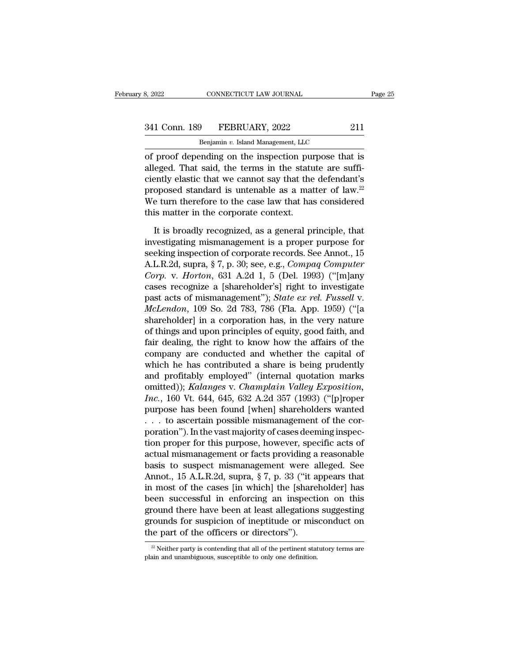CONNECTICUT LAW JOURNAL<br>
<del>9 FEBRUARY, 2022<br>
Benjamin *v.* Island Management, LLC<br>
ending on the inspection purpose tha</del> of proof depending on the inspection purpose that is<br>all conn. 189 FEBRUARY, 2022 211<br>Benjamin v. Island Management, LLC<br>of proof depending on the inspection purpose that is<br>alleged. That said, the terms in the statute are 341 Conn. 189 FEBRUARY, 2022 211<br>Benjamin v. Island Management, LLC<br>of proof depending on the inspection purpose that is<br>alleged. That said, the terms in the statute are suffi-<br>ciently elastic that we cannot say that the 341 Conn. 189 FEBRUARY, 2022 211<br>
Benjamin v. Island Management, LLC<br>
of proof depending on the inspection purpose that is<br>
alleged. That said, the terms in the statute are suffi-<br>
ciently elastic that we cannot say that 341 Conn. 189 FEBRUARY, 2022 211<br>
Benjamin v. Island Management, LLC<br>
of proof depending on the inspection purpose that is<br>
alleged. That said, the terms in the statute are suffi-<br>
ciently elastic that we cannot say that Benjamin v. Island Management, LLC<br>of proof depending on the inspection purpose that is<br>alleged. That said, the terms in the statute are suffi-<br>ciently elastic that we cannot say that the defendant's<br>proposed standard is benjammer. Stand Management, EXC<br>of proof depending on the inspection puralleged. That said, the terms in the statu<br>ciently elastic that we cannot say that the<br>proposed standard is untenable as a mat<br>We turn therefore to t eged. That said, the terms in the statute are suffi-<br>ently elastic that we cannot say that the defendant's<br>oposed standard is untenable as a matter of law.<sup>22</sup><br>e turn therefore to the case law that has considered<br>is matte ciently elastic that we cannot say that the defendant's<br>proposed standard is untenable as a matter of law.<sup>22</sup><br>We turn therefore to the case law that has considered<br>this matter in the corporate context.<br>It is broadly reco

proposed standard is untenable as a matter of law.<sup>22</sup><br>We turn therefore to the case law that has considered<br>this matter in the corporate context.<br>It is broadly recognized, as a general principle, that<br>investigating misma We turn therefore to the case law that has considered<br>this matter in the corporate context.<br>It is broadly recognized, as a general principle, that<br>investigating mismanagement is a proper purpose for<br>seeking inspection of c *Corp.* It is broadly recognized, as a general principle, that<br>investigating mismanagement is a proper purpose for<br>seeking inspection of corporate records. See Annot., 15<br>A.L.R.2d, supra, § 7, p. 30; see, e.g., *Compaq Com* It is broadly recognized, as a general principle, that<br>investigating mismanagement is a proper purpose for<br>seeking inspection of corporate records. See Annot., 15<br>A.L.R.2d, supra, § 7, p. 30; see, e.g., *Compaq Computer<br>C* It is broadly recognized, as a general principle, that<br>investigating mismanagement is a proper purpose for<br>seeking inspection of corporate records. See Annot., 15<br>A.L.R.2d, supra, § 7, p. 30; see, e.g., *Compaq Computer*<br> investigating mismanagement is a proper purpose for<br>seeking inspection of corporate records. See Annot., 15<br>A.L.R.2d, supra, § 7, p. 30; see, e.g., *Compaq Computer*<br>*Corp.* v. *Horton*, 631 A.2d 1, 5 (Del. 1993) ("[m]any<br> seeking inspection of corporate records. See Annot., 15<br>A.L.R.2d, supra, § 7, p. 30; see, e.g., *Compaq Computer*<br>Corp. v. *Horton*, 631 A.2d 1, 5 (Del. 1993) ("[m]any<br>cases recognize a [shareholder's] right to investigate A.L.R.2d, supra, § 7, p. 30; see, e.g., *Compaq Computer*<br>Corp. v. *Horton*, 631 A.2d 1, 5 (Del. 1993) ("[m]any<br>cases recognize a [shareholder's] right to investigate<br>past acts of mismanagement"); *State ex rel. Fussell* v Corp. v. Horton, 631 A.2d 1, 5 (Del. 1993) ("[m]any<br>cases recognize a [shareholder's] right to investigate<br>past acts of mismanagement"); *State ex rel. Fussell* v.<br>*McLendon*, 109 So. 2d 783, 786 (Fla. App. 1959) ("[a<br>shar cases recognize a [shareholder's] right to investigate<br>past acts of mismanagement"); *State ex rel. Fussell* v.<br>*McLendon*, 109 So. 2d 783, 786 (Fla. App. 1959) ("[a<br>shareholder] in a corporation has, in the very nature<br>of past acts of mismanagement"); *State ex rel. Fussell v.*<br> *McLendon*, 109 So. 2d 783, 786 (Fla. App. 1959) ("[a<br>
shareholder] in a corporation has, in the very nature<br>
of things and upon principles of equity, good faith, McLendon, 109 So. 2d 783, 786 (Fla. App. 1959) ("[a<br>shareholder] in a corporation has, in the very nature<br>of things and upon principles of equity, good faith, and<br>fair dealing, the right to know how the affairs of the<br>com shareholder] in a corporation has, in the very nature<br>of things and upon principles of equity, good faith, and<br>fair dealing, the right to know how the affairs of the<br>company are conducted and whether the capital of<br>which h of things and upon principles of equity, good faith, and<br>fair dealing, the right to know how the affairs of the<br>company are conducted and whether the capital of<br>which he has contributed a share is being prudently<br>and profi fair dealing, the right to know how the affairs of the<br>company are conducted and whether the capital of<br>which he has contributed a share is being prudently<br>and profitably employed" (internal quotation marks<br>omitted)); *Ka* company are conducted and whether the capital of<br>which he has contributed a share is being prudently<br>and profitably employed" (internal quotation marks<br>omitted)); *Kalanges* v. *Champlain Valley Exposition*,<br>*Inc.*, 160 V which he has contributed a share is being prudently<br>and profitably employed" (internal quotation marks<br>omitted)); *Kalanges* v. *Champlain Valley Exposition*,<br>*Inc.*, 160 Vt. 644, 645, 632 A.2d 357 (1993) ("[p]roper<br>purpo and profitably employed" (internal quotation marks<br>omitted)); *Kalanges* v. *Champlain Valley Exposition*,<br>*Inc.*, 160 Vt. 644, 645, 632 A.2d 357 (1993) ("[p]roper<br>purpose has been found [when] shareholders wanted<br>... to a omitted)); Kalanges v. Champlain Valley Exposition,<br>
Inc., 160 Vt. 644, 645, 632 A.2d 357 (1993) ("[p]roper<br>
purpose has been found [when] shareholders wanted<br>
... to ascertain possible mismanagement of the cor-<br>
poration Inc., 160 Vt. 644, 645, 632 A.2d 357 (1993) ("[p]roper<br>purpose has been found [when] shareholders wanted<br>... to ascertain possible mismanagement of the cor-<br>poration"). In the vast majority of cases deeming inspec-<br>tion p purpose has been found [when] shareholders wanted<br>
. . . to ascertain possible mismanagement of the cor-<br>
poration''). In the vast majority of cases deeming inspec-<br>
tion proper for this purpose, however, specific acts of<br> . . . to ascertain possible mismanagement of the cor-<br>poration"). In the vast majority of cases deeming inspec-<br>tion proper for this purpose, however, specific acts of<br>actual mismanagement or facts providing a reasonable<br> poration"). In the vast majority of cases deeming inspection proper for this purpose, however, specific acts of<br>actual mismanagement or facts providing a reasonable<br>basis to suspect mismanagement were alleged. See<br>Annot., tion proper for this purpose, however, specific acts of<br>actual mismanagement or facts providing a reasonable<br>basis to suspect mismanagement were alleged. See<br>Annot., 15 A.L.R.2d, supra, § 7, p. 33 ("it appears that<br>in most actual mismanagement or facts providing a reasonable<br>basis to suspect mismanagement were alleged. See<br>Annot., 15 A.L.R.2d, supra, § 7, p. 33 ("it appears that<br>in most of the cases [in which] the [shareholder] has<br>been succ basis to suspect mismanagement were a<br>Annot., 15 A.L.R.2d, supra, § 7, p. 33 ("it a<br>in most of the cases [in which] the [share<br>been successful in enforcing an inspecti<br>ground there have been at least allegations<br>grounds f been successful in enforcing an inspection on this ground there have been at least allegations suggesting grounds for suspicion of ineptitude or misconduct on the part of the officers or directors").<br> $\frac{1}{2}$  Neither par grounds for suspicion of ineptitude or misconduct on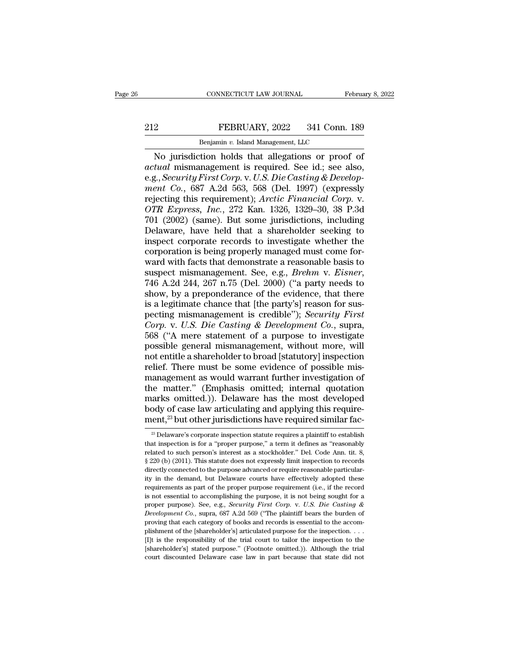## EXECTIVE CONNECTICUT LAW JOURNAL February 8, 2022<br>212 FEBRUARY, 2022 341 Conn. 189<br>212 Benjamin v. Island Management, LLC CONNECTICUT LAW JOURNAL FREEXPLARY, 2022 341 Conn.<br>Benjamin *v.* Island Management, LLC<br>Tion holds that allegations or proof

CONNECTICUT LAW JOURNAL February 8, 202<br>
PEBRUARY, 2022 341 Conn. 189<br>
Benjamin v. Island Management, LLC<br>
No jurisdiction holds that allegations or proof of<br>
tual mismanagement is required. See id.; see also,<br>
Security Fi *actual* mismanagement is required. See id.; see also,<br>**actual** mismanagement is required. See id.; see also,<br>**actual** mismanagement is required. See id.; see also,<br>e.g., *Security First Corp. v. U.S. Die Casting & Develop* FEBRUARY, 2022 341 Conn. 189<br>
Benjamin v. Island Management, LLC<br>
No jurisdiction holds that allegations or proof of<br> *actual* mismanagement is required. See id.; see also,<br>
e.g., *Security First Corp.* v. U.S. Die Casting *FEBRUARY*, 2022 341 Conn. 189<br> *Benjamin v. Island Management, LLC*<br> *No* jurisdiction holds that allegations or proof of<br> *actual* mismanagement is required. See id.; see also,<br>
e.g., *Security First Corp.* v. *U.S. Die* Renjamin v. Island Management, LLC<br>
No jurisdiction holds that allegations or proof of<br>
actual mismanagement is required. See id.; see also,<br>
e.g., *Security First Corp.* v. U.S. Die Casting & Develop-<br>
ment Co., 687 A.2d Benjamin v. Island Management, LLC<br> **No jurisdiction holds that allegations or proof of**<br> *actual* mismanagement is required. See id.; see also,<br>
e.g., *Security First Corp.* v. U.S. Die Casting & Develop-<br> *ment Co.*, 687 No jurisdiction holds that allegations or proof of<br>actual mismanagement is required. See id.; see also,<br>e.g., *Security First Corp.* v. *U.S. Die Casting & Develop-<br>ment Co.*, 687 A.2d 563, 568 (Del. 1997) (expressly<br>rejec actual mismanagement is required. See id.; see also,<br>e.g., *Security First Corp.* v. *U.S. Die Casting & Develop-*<br>ment Co., 687 A.2d 563, 568 (Del. 1997) (expressly<br>rejecting this requirement); *Arctic Financial Corp.* v. e.g., *Security First Corp.* v. U.S. Die Casting & Development Co., 687 A.2d 563, 568 (Del. 1997) (expressly rejecting this requirement); *Arctic Financial Corp.* v. *OTR Express, Inc.*, 272 Kan. 1326, 1329–30, 38 P.3d 701 ment Co., 687 A.2d 563, 568 (Del. 1997) (expressly<br>rejecting this requirement); *Arctic Financial Corp.* v.<br>*OTR Express, Inc.*, 272 Kan. 1326, 1329–30, 38 P.3d<br>701 (2002) (same). But some jurisdictions, including<br>Delawar rejecting this requirement); Arctic Financial Corp. v.<br>
OTR Express, Inc., 272 Kan. 1326, 1329–30, 38 P.3d<br>
701 (2002) (same). But some jurisdictions, including<br>
Delaware, have held that a shareholder seeking to<br>
inspect OTR Express, *Inc.*, 272 Kan. 1326, 1329–30, 38 P.3d<br>701 (2002) (same). But some jurisdictions, including<br>Delaware, have held that a shareholder seeking to<br>inspect corporate records to investigate whether the<br>corporation i Delaware, have held that a shareholder seeking to<br>inspect corporate records to investigate whether the<br>corporation is being properly managed must come for-<br>ward with facts that demonstrate a reasonable basis to<br>suspect mis inspect corporate records to investigate whether the<br>corporation is being properly managed must come for-<br>ward with facts that demonstrate a reasonable basis to<br>suspect mismanagement. See, e.g., *Brehm v. Eisner*,<br>746 A.2 corporation is being properly managed must come for-<br>ward with facts that demonstrate a reasonable basis to<br>suspect mismanagement. See, e.g., *Brehm v. Eisner*,<br>746 A.2d 244, 267 n.75 (Del. 2000) ("a party needs to<br>show, b ward with facts that demonstrate a reasonable basis to<br>suspect mismanagement. See, e.g., *Brehm v. Eisner*,<br>746 A.2d 244, 267 n.75 (Del. 2000) ("a party needs to<br>show, by a preponderance of the evidence, that there<br>is a le suspect mismanagement. See, e.g., *Brehm v. Eisner*, 746 A.2d 244, 267 n.75 (Del. 2000) ("a party needs to show, by a preponderance of the evidence, that there is a legitimate chance that [the party's] reason for suspectin 746 A.2d 244, 267 n.75 (Del. 2000) ("a party needs to<br>show, by a preponderance of the evidence, that there<br>is a legitimate chance that [the party's] reason for sus-<br>pecting mismanagement is credible"); *Security First*<br>*C* show, by a preponderance of the evidence, that there<br>is a legitimate chance that [the party's] reason for sus-<br>pecting mismanagement is credible"); *Security First*<br>*Corp.* v. *U.S. Die Casting & Development Co.*, supra,<br>5 is a legitimate chance that [the party's] reason for sus-<br>pecting mismanagement is credible"); *Security First*<br>*Corp.* v. *U.S. Die Casting & Development Co.*, supra,<br>568 ("A mere statement of a purpose to investigate<br>pos pecting mismanagement is credible"); *Security First*<br>Corp. v. U.S. Die Casting & Development Co., supra,<br>568 ("A mere statement of a purpose to investigate<br>possible general mismanagement, without more, will<br>not entitle a Corp. v. U.S. Die Casting & Development Co., supra,<br>568 ("A mere statement of a purpose to investigate<br>possible general mismanagement, without more, will<br>not entitle a shareholder to broad [statutory] inspection<br>relief. Th 568 ("A mere statement of a purpose to investigate<br>possible general mismanagement, without more, will<br>not entitle a shareholder to broad [statutory] inspection<br>relief. There must be some evidence of possible mis-<br>manageme possible general mismanagement, without more, will<br>not entitle a shareholder to broad [statutory] inspection<br>relief. There must be some evidence of possible mis-<br>management as would warrant further investigation of<br>the mat not entitle a shareholder to broad [statutory] inspection relief. There must be some evidence of possible mis-<br>management as would warrant further investigation of the matter." (Emphasis omitted; internal quotation marks ie matter." (Emphasis omitted; internal quotation carks omitted.)). Delaware has the most developed ody of case law articulating and applying this require-<br>ent,<sup>23</sup> but other jurisdictions have required similar fac-<br><sup>23</sup> D marks omitted.)). Delaware has the most developed<br>body of case law articulating and applying this require-<br>ment, $^{23}$  but other jurisdictions have required similar fac-<br> $^{23}$  Delaware's corporate inspection statute requ

body of case law articulating and applying this requirement,<sup>23</sup> but other jurisdictions have required similar fac-<br><sup>23</sup> Delaware's corporate inspection statute requires a plaintiff to establish that inspection is for a " ment,<sup>23</sup> but other jurisdictions have required similar fac-<br><sup>23</sup> Delaware's corporate inspection statute requires a plaintiff to establish<br>that inspection is for a "proper purpose," a term it defines as "reasonably<br>relat directly connected to the purpose advanced or required simular rate-<br>as Delaware's corporate inspection statute requires a plaintiff to establish<br>that inspection is for a "proper purpose," a term it defines as "reasonably <sup>23</sup> Delaware's corporate inspection statute requires a plaintiff to establish that inspection is for a "proper purpose," a term it defines as "reasonably related to such person's interest as a stockholder." Del. Code Ann that inspection is for a "proper purpose," a term it defines as "reasonably related to such person's interest as a stockholder." Del. Code Ann. tit. 8,  $\S 220$  (b) (2011). This statute does not expressly limit inspection related to such person's interest as a stockholder." Del. Code Ann. tit. 8,  $\S 220$  (b) (2011). This statute does not expressly limit inspection to records directly connected to the purpose advanced or require reasonable <sup>22</sup> Cho (2011). This statute does not expressly limit inspection to records directly connected to the purpose advanced or require reasonable particularity in the demand, but Delaware courts have effectively adopted these *Development Co.*, supra, 687 A.2d 569 ("The plaintiff bears the accompanying the demand, but Delaware courts have effectively adopted these requirements as part of the proper purpose requirement (i.e., if the record is no ity in the demand, but Delaware courts have effectively adopted these requirements as part of the proper purpose requirement (i.e., if the record is not essential to accomplishing the purpose, it is not being sought for a requirements as part of the proper purpose requirement (i.e., if the record is not essential to accomplishing the purpose, it is not being sought for a proper purpose). See, e.g., *Security First Corp.* v. *U.S. Die Casti* Example is not essential to accomplishing the purpose, it is not being sought for a proper purpose). See, e.g., *Security First Corp.* v. *U.S. Die Casting & Development Co.*, supra, 687 A.2d 569 ("The plaintiff bears the proper purpose). See, e.g., *Security First Corp.* v. U.S. Die Casting & Development Co., supra, 687 A.2d 569 ("The plaintiff bears the burden of proving that each category of books and records is essential to the accompl Development Co., supra, 687 A.2d 569 ("The plaintiff bears the burden of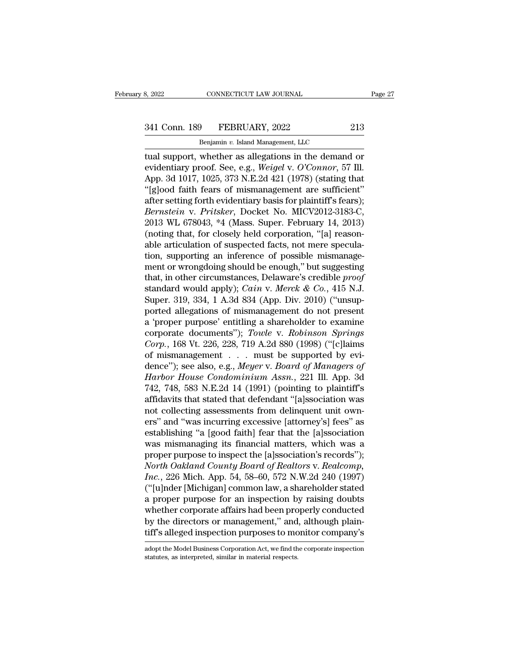# 341 Conn. 189 FEBRUARY, 2022 213<br>Benjamin v. Island Management, LLC

CONNECTICUT LAW JOURNAL<br>
Physical Management, LLC<br>
Benjamin *v.* Island Management, LLC<br>
whether as allegations in the demand the support support of the support of the support support support support support support as allegations in the demand or evidentiary proof. See, e.g., *Weigel v. O'Connor*, 57 Ill. evidentiary proof. See, e.g., *Weigel* v. *O'Connor*, 57 Ill.<br>
evidentiary proof. See, e.g., *Weigel* v. *O'Connor*, 57 Ill.<br>
App. 3d 1017, 1025, 373 N.E.2d 421 (1978) (stating that "Island faith form of mismanagement are 341 Conn. 189 FEBRUARY, 2022 213<br>
Benjamin v. Island Management, LLC<br>
tual support, whether as allegations in the demand or<br>
evidentiary proof. See, e.g., *Weigel* v. *O'Connor*, 57 Ill.<br>
App. 3d 1017, 1025, 373 N.E.2d 42 341 Conn. 189 FEBRUARY, 2022 213<br>
Benjamin v. Island Management, LLC<br>
tual support, whether as allegations in the demand or<br>
evidentiary proof. See, e.g., *Weigel* v. *O'Connor*, 57 Ill.<br>
App. 3d 1017, 1025, 373 N.E.2d 421 Benjamin v. Island Management, LLC<br>
tual support, whether as allegations in the demand or<br>
evidentiary proof. See, e.g., Weigel v. O'Connor, 57 Ill.<br>
App. 3d 1017, 1025, 373 N.E.2d 421 (1978) (stating that<br>
"[g]ood faith *Bernstein v. Band Management, LLC*<br> **Examplement Canadies in the demand or**<br> **Property Converted And Serverry Proof.** See, e.g., *Weigel v. O'Connor*, 57 Ill.<br>
App. 3d 1017, 1025, 373 N.E.2d 421 (1978) (stating that<br> tual support, whether as allegations in the demand or<br>evidentiary proof. See, e.g., Weigel v. O'Connor, 57 Ill.<br>App. 3d 1017, 1025, 373 N.E.2d 421 (1978) (stating that<br>"[g]ood faith fears of mismanagement are sufficient"<br>a evidentiary proof. See, e.g., Weigel v. O'Connor, 57 Ill.<br>App. 3d 1017, 1025, 373 N.E.2d 421 (1978) (stating that<br>"[g]ood faith fears of mismanagement are sufficient"<br>after setting forth evidentiary basis for plaintiff's f App. 3d 1017, 1025, 373 N.E.2d 421 (1978) (stating that "[g]ood faith fears of mismanagement are sufficient"<br>after setting forth evidentiary basis for plaintiff's fears);<br>*Bernstein* v. *Pritsker*, Docket No. MICV2012-3183 "[g]ood faith fears of mismanagement are sufficient"<br>after setting forth evidentiary basis for plaintiff's fears);<br>*Bernstein* v. *Pritsker*, Docket No. MICV2012-3183-C,<br>2013 WL 678043, \*4 (Mass. Super. February 14, 2013) after setting forth evidentiary basis for plaintiff's fears);<br> *Bernstein* v. Pritsker, Docket No. MICV2012-3183-C,<br>
2013 WL 678043, \*4 (Mass. Super. February 14, 2013)<br>
(noting that, for closely held corporation, "[a] rea Bernstein v. Pritsker, Docket No. MICV2012-3183-C,<br>2013 WL 678043, \*4 (Mass. Super. February 14, 2013)<br>(noting that, for closely held corporation, "[a] reason-<br>able articulation of suspected facts, not mere specula-<br>tion, 2013 WL 678043, \*4 (Mass. Super. February 14, 2013)<br>(noting that, for closely held corporation, "[a] reason-<br>able articulation of suspected facts, not mere specula-<br>tion, supporting an inference of possible mismanage-<br>ment (noting that, for closely held corporation, "[a] reasonable articulation of suspected facts, not mere speculation, supporting an inference of possible mismanagement or wrongdoing should be enough," but suggesting that, in able articulation of suspected facts, not mere speculation, supporting an inference of possible mismanagement or wrongdoing should be enough," but suggesting that, in other circumstances, Delaware's credible *proof* stand tion, supporting an inference of possible mismanagement or wrongdoing should be enough," but suggesting<br>that, in other circumstances, Delaware's credible *proof*<br>standard would apply); *Cain v. Merck & Co.*, 415 N.J.<br>Supe ment or wrongdoing should be enough," but suggesting<br>that, in other circumstances, Delaware's credible *proof*<br>standard would apply); *Cain* v. *Merck & Co.*, 415 N.J.<br>Super. 319, 334, 1 A.3d 834 (App. Div. 2010) ("unsup-<br> that, in other circumstances, Delaware's credible *proof*<br>
standard would apply); *Cain v. Merck & Co.*, 415 N.J.<br>
Super. 319, 334, 1 A.3d 834 (App. Div. 2010) ("unsup-<br>
ported allegations of mismanagement do not present<br> standard would apply); *Cain v. Merck & Co.*, 415 N.J.<br>Super. 319, 334, 1 A.3d 834 (App. Div. 2010) ("unsup-<br>ported allegations of mismanagement do not present<br>a 'proper purpose' entitling a shareholder to examine<br>corpora Super. 319, 334, 1 A.3d 834 (App. Div. 2010) ("unsup-<br>ported allegations of mismanagement do not present<br>a 'proper purpose' entitling a shareholder to examine<br>corporate documents"); *Towle* v. *Robinson Springs*<br>*Corp.*, 1 ported allegations of mismanagement do not present<br>a 'proper purpose' entitling a shareholder to examine<br>corporate documents"); *Towle v. Robinson Springs*<br>*Corp.*, 168 Vt. 226, 228, 719 A.2d 880 (1998) ("[c]laims<br>of misma a 'proper purpose' entitling a shareholder to examine<br>corporate documents"); Towle v. Robinson Springs<br>Corp., 168 Vt. 226, 228, 719 A.2d 880 (1998) ("[c]laims<br>of mismanagement . . . must be supported by evi-<br>dence"); see a corporate documents"); Towle v. Robinson Springs<br>Corp., 168 Vt. 226, 228, 719 A.2d 880 (1998) ("[c]laims<br>of mismanagement . . . must be supported by evi-<br>dence"); see also, e.g., Meyer v. Board of Managers of<br>Harbor House dence"); see also, e.g., *Meyer* v. *Board of Managers of Harbor House Condominium Assn.*, 221 Ill. App. 3d 742, 748, 583 N.E.2d 14 (1991) (pointing to plaintiff's affidavits that stated that defendant "[a]ssociation was n of mismanagement . . . must be supported by evi-<br>dence"); see also, e.g., *Meyer* v. *Board of Managers of*<br>*Harbor House Condominium Assn.*, 221 Ill. App. 3d<br>742, 748, 583 N.E.2d 14 (1991) (pointing to plaintiff's<br>affidav dence"); see also, e.g., *Meyer* v. *Board of Managers of*<br>*Harbor House Condominium Assn.*, 221 Ill. App. 3d<br>742, 748, 583 N.E.2d 14 (1991) (pointing to plaintiff's<br>affidavits that stated that defendant "[a]ssociation was Harbor House Condominium Assn., 221 Ill. App. 3d<br>742, 748, 583 N.E.2d 14 (1991) (pointing to plaintiff's<br>affidavits that stated that defendant "[a]ssociation was<br>not collecting assessments from delinquent unit own-<br>ers" an 742, 748, 583 N.E.2d 14 (1991) (pointing to plaintiff's<br>affidavits that stated that defendant "[a]ssociation was<br>not collecting assessments from delinquent unit own-<br>ers" and "was incurring excessive [attorney's] fees" as affidavits that stated that defendant "[a]ssociation was<br>not collecting assessments from delinquent unit own-<br>ers" and "was incurring excessive [attorney's] fees" as<br>establishing "a [good faith] fear that the [a]ssociation not collecting assessments from delinquent unit own-<br>ers" and "was incurring excessive [attorney's] fees" as<br>establishing "a [good faith] fear that the [a]ssociation<br>was mismanaging its financial matters, which was a<br>prope ers" and "was incurring excessive [attorney's] fees" as<br>establishing "a [good faith] fear that the [a]ssociation<br>was mismanaging its financial matters, which was a<br>proper purpose to inspect the [a]ssociation's records");<br> establishing "a [good faith] fear that the [a]ssociation<br>was mismanaging its financial matters, which was a<br>proper purpose to inspect the [a]ssociation's records");<br>*North Oakland County Board of Realtors v. Realcomp,<br>Inc.* was mismanaging its financial matters, which was a<br>proper purpose to inspect the [a]ssociation's records");<br>*North Oakland County Board of Realtors v. Realcomp,*<br>*Inc.*, 226 Mich. App. 54, 58–60, 572 N.W.2d 240 (1997)<br>("[u proper purpose to inspect the [a]ssociation's records'');<br>North Oakland County Board of Realtors v. Realcomp,<br>Inc., 226 Mich. App. 54, 58–60, 572 N.W.2d 240 (1997)<br>("[u]nder [Michigan] common law, a shareholder stated<br>a pr North Oakland County Board of Realtors v. Realcomp,<br>Inc., 226 Mich. App. 54, 58–60, 572 N.W.2d 240 (1997)<br>("[u]nder [Michigan] common law, a shareholder stated<br>a proper purpose for an inspection by raising doubts<br>whether c a proper purpose for an inspection by raising doubts<br>whether corporate affairs had been properly conducted<br>by the directors or management," and, although plain-<br>tiff's alleged inspection purposes to monitor company's<br>adopt by the directors or management," and, although plain-<br>tiff's alleged inspection purposes to monitor company's<br>adopt the Model Business Corporation Act, we find the corporate inspection<br>statutes, as interpreted, similar in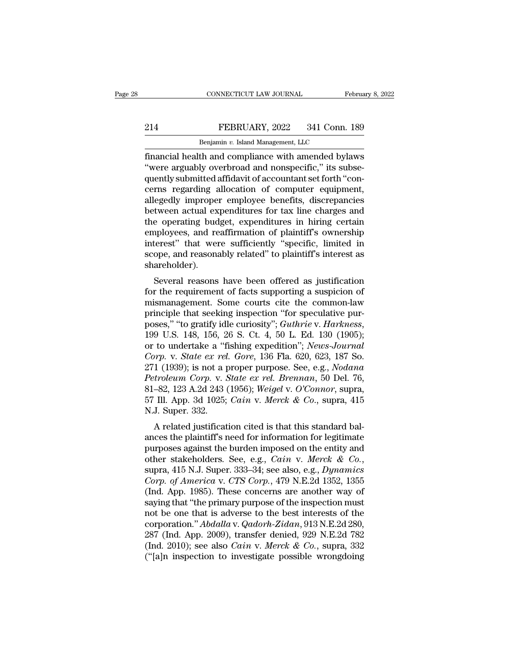## EXECTIVE CONNECTICUT LAW JOURNAL February 8, 2022<br>214 FEBRUARY, 2022 341 Conn. 189<br>Benjamin v. Island Management, LLC CONNECTICUT LAW JOURNAL FR<br>FEBRUARY, 2022 341 Conn.<br>Benjamin *v.* Island Management, LLC<br>th and compliance with amended byl:

February 8, 2022<br>
FEBRUARY, 2022 341 Conn. 189<br>
Benjamin v. Island Management, LLC<br>
financial health and compliance with amended bylaws<br>
"were arguably overbroad and nonspecific," its subsequently submitted affidavit of ac EEBRUARY, 2022 341 Conn. 189<br>
Benjamin v. Island Management, LLC<br>
financial health and compliance with amended bylaws<br>
"were arguably overbroad and nonspecific," its subse-<br>
quently submitted affidavit of accountant set fo  $\begin{tabular}{l} \multicolumn{1}{l}{{\bf \textcolor{red}{B}}\textcolor{red}{B}}\textcolor{red}{P} & \multicolumn{1}{l}{\bf FEBRUARY}, 2022 \quad \textcolor{red}{341} \text{ Conn.} \end{tabular} \vspace{0.1in} \begin{tabular}{l} \multicolumn{1}{l}{\bf \textcolor{red}{B}}\textcolor{red}{B}\textcolor{red}{n} & \multicolumn{1}{l}{\bf \textcolor{red}{B}}\textcolor{red}{n} & \multicolumn{1}{l}{\bf \textcolor{red}{B}}\textcolor{red}{n} & \multicolumn{1}{l}{\bf \textcolor{red}{D}}\textcolor$ EEBRUARY, 2022 341 Conn. 189<br>
Benjamin v. Island Management, LLC<br>
financial health and compliance with amended bylaws<br>
"were arguably overbroad and nonspecific," its subsequently submitted affidavit of accountant set forth Benjamin v. Island Management, LLC<br>
financial health and compliance with amended bylaws<br>
"were arguably overbroad and nonspecific," its subsequently submitted affidavit of accountant set forth "con-<br>
cerns regarding alloca Benjamin v. Island Management, LLC<br>
financial health and compliance with amended bylaws<br>
"were arguably overbroad and nonspecific," its subse-<br>
quently submitted affidavit of accountant set forth "con-<br>
cerns regarding all financial health and compliance with amended bylaws<br>
"were arguably overbroad and nonspecific," its subsequently submitted affidavit of accountant set forth "concerns regarding allocation of computer equipment,<br>
allegedly "were arguably overbroad and nonspecific," its subsequently submitted affidavit of accountant set forth "concerns regarding allocation of computer equipment, allegedly improper employee benefits, discrepancies between actu quently submitted affidavit of accountant set forth "concerns regarding allocation of computer equipment, allegedly improper employee benefits, discrepancies between actual expenditures for tax line charges and the operati cerns regarding allocation of computer equipment,<br>allegedly improper employee benefits, discrepancies<br>between actual expenditures for tax line charges and<br>the operating budget, expenditures in hiring certain<br>employees, and shareholder). Exercise actual experiments for tax line charges and<br>e operating budget, expenditures in hiring certain<br>ployees, and reaffirmation of plaintiff's ownership<br>terest" that were sufficiently "specific, limited in<br>ope, and reas For the operating budget, expenditures in filling certain<br>employees, and reaffirmation of plaintiff's ownership<br>interest" that were sufficiently "specific, limited in<br>scope, and reasonably related" to plaintiff's interest

employees, and realmmation of plaintin's ownersing<br>interest" that were sufficiently "specific, limited in<br>scope, and reasonably related" to plaintiff's interest as<br>shareholder).<br>Several reasons have been offered as justifi merest diat were suncerity specific, indiced in<br>scope, and reasonably related" to plaintiff's interest as<br>shareholder).<br>Several reasons have been offered as justification<br>for the requirement of facts supporting a suspicion scope, and reasonably related to plaintin's interest as<br>shareholder).<br>Several reasons have been offered as justification<br>for the requirement of facts supporting a suspicion of<br>mismanagement. Some courts cite the common-law Several reasons have been offered as justification<br>for the requirement of facts supporting a suspicion of<br>mismanagement. Some courts cite the common-law<br>principle that seeking inspection "for speculative pur-<br>poses," "to g for the requirement of facts supporting a suspicion of<br>mismanagement. Some courts cite the common-law<br>principle that seeking inspection "for speculative pur-<br>poses," "to gratify idle curiosity"; *Guthrie* v. *Harkness*,<br>19 mismanagement. Some courts cite the common-law<br>principle that seeking inspection "for speculative pur-<br>poses," "to gratify idle curiosity"; *Guthrie* v. *Harkness*,<br>199 U.S. 148, 156, 26 S. Ct. 4, 50 L. Ed. 130 (1905);<br>or principle that seeking inspection "for speculative pur-<br>poses," "to gratify idle curiosity"; *Guthrie v. Harkness*,<br>199 U.S. 148, 156, 26 S. Ct. 4, 50 L. Ed. 130 (1905);<br>or to undertake a "fishing expedition"; *News-Journa* poses," "to gratify idle curiosity"; *Guthrie* v. *Harkness*, 199 U.S. 148, 156, 26 S. Ct. 4, 50 L. Ed. 130 (1905); or to undertake a "fishing expedition"; *News-Journal Corp.* v. *State ex rel. Gore*, 136 Fla. 620, 623, 1 199 U.S. 148, 156, 26 S. Ct. 4, 50 L. Ed. 130 (1905);<br>or to undertake a "fishing expedition"; *News-Journal*<br>Corp. v. *State ex rel. Gore*, 136 Fla. 620, 623, 187 So.<br>271 (1939); is not a proper purpose. See, e.g., *Nodana* or to undertake a "f<br>
Corp. v. State ex rel<br>
271 (1939); is not a p<br>
Petroleum Corp. v. S<br>
81–82, 123 A.2d 243 (<br>
57 Ill. App. 3d 1025;<br>
N.J. Super. 332.<br>
A related justificat *A* relative state is the correlation cited is that this standard bal-<br>cited in Sa relation corp. v. *State ex rel. Brennan*, 50 Del. 76,<br>-82, 123 A.2d 243 (1956); *Weigel v. O'Connor*, supra, Ill. App. 3d 1025; *Cain v.* 271 (1959), is not a proper purpose. see, e.g., *Nouand*<br>Petroleum Corp. v. State ex rel. Brennan, 50 Del. 76,<br>81–82, 123 A.2d 243 (1956); Weigel v. O'Connor, supra,<br>57 Ill. App. 3d 1025; Cain v. Merck & Co., supra, 415<br>N

purposes against the burden imposed on the entity and other stakeholders. See, e.g., Cain v. Merck & Co., supra, 415 M.J. Super. 332.<br>A related justification cited is that this standard balances the plaintiff's need for i other stakeholders. See, e.g., *Cain* v. *Merck & Co.*, supra, 415 N.J. Super. 332.<br>A related justification cited is that this standard balances the plaintiff's need for information for legitimate purposes against the burd *Corp.* 352.<br> *Corp. 352.*<br> *Corp. of Americal interffsion cited is that this standard balances the plaintiff's need for information for legitimate<br>
purposes against the burden imposed on the entity and<br>
other stakeholders* A related justification cited is that this standard bal-<br>ances the plaintiff's need for information for legitimate<br>purposes against the burden imposed on the entity and<br>other stakeholders. See, e.g., *Cain v. Merck & Co.* ances the plaintiff's need for information for legitimate<br>purposes against the burden imposed on the entity and<br>other stakeholders. See, e.g., *Cain v. Merck & Co.*,<br>supra, 415 N.J. Super. 333–34; see also, e.g., *Dynamic* purposes against the burden imposed on the entity and<br>other stakeholders. See, e.g., *Cain v. Merck & Co.*,<br>supra, 415 N.J. Super. 333–34; see also, e.g., *Dynamics*<br>*Corp. of America v. CTS Corp.*, 479 N.E.2d 1352, 1355<br>( other stakeholders. See, e.g., *Cain v. Merck & Co.*,<br>supra, 415 N.J. Super. 333–34; see also, e.g., *Dynamics*<br>*Corp. of America v. CTS Corp.*, 479 N.E.2d 1352, 1355<br>(Ind. App. 1985). These concerns are another way of<br>say supra, 415 N.J. Super. 333–34; see also, e.g., *Dynamics*<br>Corp. of America v. CTS Corp., 479 N.E.2d 1352, 1355<br>(Ind. App. 1985). These concerns are another way of<br>saying that "the primary purpose of the inspection must<br>not Corp. of America v. CTS Corp., 479 N.E.2d 1352, 1355<br>(Ind. App. 1985). These concerns are another way of<br>saying that "the primary purpose of the inspection must<br>not be one that is adverse to the best interests of the<br>corpo (Ind. App. 1985). These concerns are another way of saying that "the primary purpose of the inspection must not be one that is adverse to the best interests of the corporation." *Abdalla* v. *Qadorh-Zidan*, 913 N.E.2d 280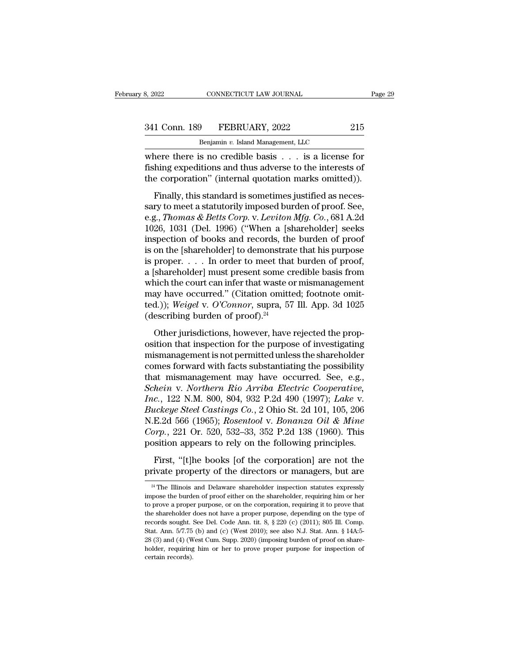| 8, 2022       | CONNECTICUT LAW JOURNAL            | Page 29 |
|---------------|------------------------------------|---------|
| 341 Conn. 189 | FEBRUARY, 2022                     | 215     |
|               | Benjamin v. Island Management, LLC |         |

CONNECTICUT LAW JOURNAL<br>
P<br>
Benjamin *v.* Island Management, LLC<br>
S no credible basis is a license EXERCIAL EXERCISE THE PAIR CONNECTICUT LAW JOURNAL Page 29<br>
341 Conn. 189 FEBRUARY, 2022 215<br>
Benjamin v. Island Management, LLC<br>
where there is no credible basis . . . is a license for<br>
fishing expeditions and thus advers FISHERUARY, 2022 215<br>
Benjamin v. Island Management, LLC<br>
where there is no credible basis . . . is a license for<br>
fishing expeditions and thus adverse to the interests of<br>
the corporation" (internal quotation marks omitte 341 Conn. 189 FEBRUARY, 2022 215<br>
Benjamin v. Island Management, LLC<br>
where there is no credible basis . . . is a license for<br>
fishing expeditions and thus adverse to the interests of<br>
the corporation'' (internal quotatio FEBRUARY, 2022 215<br>
Benjamin v. Island Management, LLC<br>
nere there is no credible basis . . . . is a license for<br>
hing expeditions and thus adverse to the interests of<br>
e corporation" (internal quotation marks omitted)).<br>

Benjamin v. Island Management, LLC<br>where there is no credible basis  $\dots$  is a license for<br>fishing expeditions and thus adverse to the interests of<br>the corporation" (internal quotation marks omitted)).<br>Finally, this standa where there is no credible basis . . . is a license for<br>fishing expeditions and thus adverse to the interests of<br>the corporation" (internal quotation marks omitted)).<br>Finally, this standard is sometimes justified as neces-Fishing expeditions and thus adverse to the interests of<br>the corporation" (internal quotation marks omitted)).<br>Finally, this standard is sometimes justified as neces-<br>sary to meet a statutorily imposed burden of proof. Se insing expensions and and any order interests of<br>the corporation" (internal quotation marks omitted)).<br>Finally, this standard is sometimes justified as neces-<br>sary to meet a statutorily imposed burden of proof. See,<br>e.g., Finally, this standard is sometimes justified as necessary to meet a statutorily imposed burden of proof. See, e.g., *Thomas & Betts Corp. v. Leviton Mfg. Co.*, 681 A.2d 1026, 1031 (Del. 1996) ("When a [shareholder] seeks Finally, this standard is sometimes justified as necessary to meet a statutorily imposed burden of proof. See, e.g., *Thomas & Betts Corp.* v. *Leviton Mfg. Co.*, 681 A.2d 1026, 1031 (Del. 1996) ("When a [shareholder] see sary to meet a statutorily imposed burden of proof. See,<br>e.g., *Thomas & Betts Corp.* v. *Leviton Mfg. Co.*, 681 A.2d<br>1026, 1031 (Del. 1996) ("When a [shareholder] seeks<br>inspection of books and records, the burden of proof e.g., *Thomas & Betts Corp.* v. *Leviton Mfg. Co.*, 681 A.2d<br>1026, 1031 (Del. 1996) ("When a [shareholder] seeks<br>inspection of books and records, the burden of proof<br>is on the [shareholder] to demonstrate that his purpose 1026, 1031 (Del. 1996) ("When a [shareholder] seeks<br>inspection of books and records, the burden of proof<br>is on the [shareholder] to demonstrate that his purpose<br>is proper. . . . In order to meet that burden of proof,<br>a [s inspection of books and records, the burden of proof<br>is on the [shareholder] to demonstrate that his purpose<br>is proper. . . . In order to meet that burden of proof,<br>a [shareholder] must present some credible basis from<br>whi is on the [shareholder] to demonstrat<br>is proper. . . . In order to meet that<br>a [shareholder] must present some cr<br>which the court can infer that waste o<br>may have occurred." (Citation omitt<br>ted.)); *Weigel* v. O'Connor, su Shareholder] must present some credible basis from<br>inch the court can infer that waste or mismanagement<br>ay have occurred." (Citation omitted; footnote omit-<br>d.)); *Weigel* v. O'Connor, supra, 57 Ill. App. 3d 1025<br>escribin which the court can infer that waste or mismanagement<br>may have occurred." (Citation omitted; footnote omit-<br>ted.)); *Weigel* v. *O'Connor*, supra, 57 Ill. App. 3d 1025<br>(describing burden of proof).<sup>24</sup><br>Other jurisdictions

may have occurred." (Citation omitted; footnote omitted.)); Weigel v. O'Connor, supra, 57 Ill. App. 3d 1025<br>(describing burden of proof).<sup>24</sup><br>Other jurisdictions, however, have rejected the proposition that inspection for comes forward with facts substantiated with facts substantiated (describing burden of proof).<sup>24</sup><br>Other jurisdictions, however, have rejected the proposition that inspection for the purpose of investigating<br>mismanagement (describing burden of proof).<sup>24</sup><br>(describing burden of proof).<sup>24</sup><br>Other jurisdictions, however, have rejected the proposition that inspection for the purpose of investigating<br>mismanagement is not permitted unless the sh Other jurisdictions, however, have rejected the proposition that inspection for the purpose of investigating<br>mismanagement is not permitted unless the shareholder<br>comes forward with facts substantiating the possibility<br>tha Other jurisdictions, however, have rejected the proposition that inspection for the purpose of investigating<br>mismanagement is not permitted unless the shareholder<br>comes forward with facts substantiating the possibility<br>tha osition that inspection for the purpose of investigating<br>mismanagement is not permitted unless the shareholder<br>comes forward with facts substantiating the possibility<br>that mismanagement may have occurred. See, e.g.,<br>*Schei* mismanagement is not permitted unless the shareholder<br>comes forward with facts substantiating the possibility<br>that mismanagement may have occurred. See, e.g.,<br>*Schein v. Northern Rio Arriba Electric Cooperative,<br>Inc.*, 122 comes forward with facts substantiating the possibility<br>that mismanagement may have occurred. See, e.g.,<br>*Schein v. Northern Rio Arriba Electric Cooperative,*<br>*Inc.*, 122 N.M. 800, 804, 932 P.2d 490 (1997); *Lake v.*<br>*Buck* that mismanagement may have occurred. See, e.g.,<br> *Schein* v. *Northern Rio Arriba Electric Cooperative*,<br> *Inc.*, 122 N.M. 800, 804, 932 P.2d 490 (1997); *Lake* v.<br> *Buckeye Steel Castings Co.*, 2 Ohio St. 2d 101, 105, 20 First, ''1.7.8.8.00, 804, 932 P.2d 490 (1997); Lake v.<br>  $i$ ckeye Steel Castings Co., 2 Ohio St. 2d 101, 105, 206<br>
E.2d 566 (1965); Rosentool v. Bonanza Oil & Mine<br>  $i$ rp., 221 Or. 520, 532–33, 352 P.2d 138 (1960). This<br>
s *Buckeye Steel Castings Co.*, 2 Ohio St. 2d 101, 105, 206<br>N.E.2d 566 (1965); Rosentool v. Bonanza Oil & Mine<br>Corp., 221 Or. 520, 532–33, 352 P.2d 138 (1960). This<br>position appears to rely on the following principles.<br>Firs

osition appears to rely on the following principles.<br>
First, "[t]he books [of the corporation] are not the<br>
rivate property of the directors or managers, but are<br>
<sup>24</sup> The Illinois and Delaware shareholder inspection statu

First, "[t]he books [of the corporation] are not the private property of the directors or managers, but are  $\frac{24}{4}$  The Illinois and Delaware shareholder inspection statutes expressly impose the burden of proof either o First, "[t]he books [of the corporation] are not the private property of the directors or managers, but are  $\frac{24}{1}$  The Illinois and Delaware shareholder inspection statutes expressly impose the burden of proof either private property of the directors or managers, but are<br> $\frac{24}{4}$  The Illinois and Delaware shareholder inspection statutes expressly<br>impose the burden of proof either on the shareholder, requiring him or her<br>to prove a p private property of the directors of intanagers, but are<br>
<sup>24</sup> The Illinois and Delaware shareholder inspection statutes expressly<br>
impose the burden of proof either on the shareholder, requiring him or her<br>
to prove a pr <sup>24</sup> The Illinois and Delaware shareholder inspection statutes expressly impose the burden of proof either on the shareholder, requiring him or her to prove a proper purpose, or on the corporation, requiring it to prove t impose the burden of proof either on the shareholder, requiring him or her to prove a proper purpose, or on the corporation, requiring it to prove that the shareholder does not have a proper purpose, depending on the type to prove a proper purpose, or on the corporation, requiring it to prove that the shareholder does not have a proper purpose, depending on the type of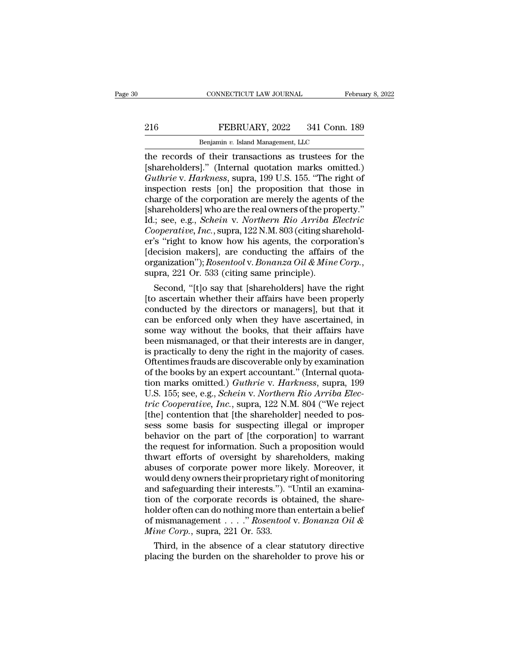# EXECUTE CONNECTICUT LAW JOURNAL February 8, 2022<br>216 FEBRUARY, 2022 341 Conn. 189<br>Benjamin v. Island Management, LLC

CONNECTICUT LAW JOURNAL February 8, 2022<br>
216 FEBRUARY, 2022 341 Conn. 189<br>
Benjamin *v.* Island Management, LLC<br>
the records of their transactions as trustees for the CONNECTICUT LAW JOURNAL February 8, 2022<br>
Penjamin v. Island Management, LLC<br>
The records of their transactions as trustees for the<br>
[shareholders]." (Internal quotation marks omitted.)<br>
Cuthrie v. Harkness sunce 199 U.S. EEBRUARY, 2022 341 Conn. 189<br>
Benjamin v. Island Management, LLC<br>
the records of their transactions as trustees for the<br>
[shareholders]." (Internal quotation marks omitted.)<br> *Guthrie* v. *Harkness*, supra, 199 U.S. 155. " *FEBRUARY*, 2022 341 Conn. 189<br> *Benjamin v. Island Management*, LLC<br> *Harkness*, of their transactions as trustees for the<br> *Guthrie* v. *Harkness*, supra, 199 U.S. 155. "The right of<br>
inspection rests [on] the propositio EEBRUARY, 2022 341 Conn. 189<br>
Benjamin v. Island Management, LLC<br>
the records of their transactions as trustees for the<br>
[shareholders]." (Internal quotation marks omitted.)<br> *Guthrie* v. *Harkness*, supra, 199 U.S. 155. charge of the corporation are merely the agents of the Benjamin v. Island Management, LLC<br>the records of their transactions as trustees for the<br>[shareholders]." (Internal quotation marks omitted.)<br> $Guthrie$  v.  $Harkness$ , supra, 199 U.S. 155. "The right of<br>inspection rests [on] the pr the records of their transactions as trustees for the [shareholders]." (Internal quotation marks omitted.)<br> *Guthrie* v. *Harkness*, supra, 199 U.S. 155. "The right of inspection rests [on] the proposition that those in ch [shareholders]." (Internal quotation marks omitted.)<br> *Guthrie* v. *Harkness*, supra, 199 U.S. 155. "The right of<br>
inspection rests [on] the proposition that those in<br>
charge of the corporation are merely the agents of the Guthrie v. Harkness, supra, 199 U.S. 155. "The right of<br>inspection rests [on] the proposition that those in<br>charge of the corporation are merely the agents of the<br>[shareholders] who are the real owners of the property."<br>I inspection rests [on] the proposition that those in<br>charge of the corporation are merely the agents of the<br>[shareholders] who are the real owners of the property."<br>Id.; see, e.g., *Schein v. Northern Rio Arriba Electric*<br> charge of the corporation are merely the agents of the [shareholders] who are the real owners of the property."<br>Id.; see, e.g., *Schein* v. *Northern Rio Arriba Electric Cooperative, Inc.*, supra, 122 N.M. 803 (citing shar see, e.g., *Schein* v. *Northern Rio Arriba Electric*<br>coperative, *Inc.*, supra, 122 N.M. 803 (citing sharehold-<br>'s "right to know how his agents, the corporation's<br>ecision makers], are conducting the affairs of the<br>ganiz Cooperative, Inc., supra, 122 N.M. 803 (citing sharehold-<br>er's "right to know how his agents, the corporation's<br>[decision makers], are conducting the affairs of the<br>organization"); Rosentool v. Bonanza Oil & Mine Corp.,<br>s

er's "right to know how his agents, the corporation's<br>[decision makers], are conducting the affairs of the<br>organization''); Rosentool v. Bonanza Oil & Mine Corp.,<br>supra, 221 Or. 533 (citing same principle).<br>Second, "[t]o [decision makers], are conducting the affairs of the<br>organization"); Rosentool v. Bonanza Oil & Mine Corp.,<br>supra, 221 Or. 533 (citing same principle).<br>Second, "[t]o say that [shareholders] have the right<br>[to ascertain wh organization"); *Rosentool v. Bonanza Oil & Mine Corp.*,<br>supra, 221 Or. 533 (citing same principle).<br>Second, "[t]o say that [shareholders] have the right<br>[to ascertain whether their affairs have been properly<br>conducted by supra, 221 Or. 533 (citing same principle).<br>
Second, "[t]o say that [shareholders] have the right<br>
[to ascertain whether their affairs have been properly<br>
conducted by the directors or managers], but that it<br>
can be enforc Second, "[t]o say that [shareholders] have the right<br>[to ascertain whether their affairs have been properly<br>conducted by the directors or managers], but that it<br>can be enforced only when they have ascertained, in<br>some way [to ascertain whether their affairs have been properly<br>conducted by the directors or managers], but that it<br>can be enforced only when they have ascertained, in<br>some way without the books, that their affairs have<br>been mism conducted by the directors or managers], but that it can be enforced only when they have ascertained, in some way without the books, that their affairs have been mismanaged, or that their interests are in danger, is practi can be enforced only when they have ascertained, in<br>some way without the books, that their affairs have<br>been mismanaged, or that their interests are in danger,<br>is practically to deny the right in the majority of cases.<br>Oft some way without the books, that their affairs have<br>been mismanaged, or that their interests are in danger,<br>is practically to deny the right in the majority of cases.<br>Oftentimes frauds are discoverable only by examination<br> been mismanaged, or that their interests are in danger,<br>is practically to deny the right in the majority of cases.<br>Oftentimes frauds are discoverable only by examination<br>of the books by an expert accountant." (Internal quo is practically to deny the right in the majority of cases.<br>Oftentimes frauds are discoverable only by examination<br>of the books by an expert accountant." (Internal quota-<br>tion marks omitted.) *Guthrie* v. *Harkness*, supra, Oftentimes frauds are discoverable only by examination<br>of the books by an expert accountant." (Internal quota-<br>tion marks omitted.) *Guthrie* v. *Harkness*, supra, 199<br>U.S. 155; see, e.g., *Schein v. Northern Rio Arriba El* of the books by an expert accountant." (Internal quotation marks omitted.) *Guthrie v. Harkness*, supra, 199<br>U.S. 155; see, e.g., *Schein v. Northern Rio Arriba Electric Cooperative, Inc.*, supra, 122 N.M. 804 ("We reject<br> tion marks omitted.) *Guthrie v. Harkness*, supra, 199<br>U.S. 155; see, e.g., *Schein v. Northern Rio Arriba Electric Cooperative, Inc.*, supra, 122 N.M. 804 ("We reject<br>[the] contention that [the shareholder] needed to poss U.S. 155; see, e.g., *Schein* v. *Northern Rio Arriba Electric Cooperative, Inc.*, supra, 122 N.M. 804 ("We reject [the] contention that [the shareholder] needed to possess some basis for suspecting illegal or improper beh *tric Cooperative, Inc.*, supra, 122 N.M. 804 ("We reject<br>[the] contention that [the shareholder] needed to possess some basis for suspecting illegal or improper<br>behavior on the part of [the corporation] to warrant<br>the req [the] contention that [the shareholder] needed to possess some basis for suspecting illegal or improper<br>behavior on the part of [the corporation] to warrant<br>the request for information. Such a proposition would<br>thwart effo sess some basis for suspecting illegal or improper<br>behavior on the part of [the corporation] to warrant<br>the request for information. Such a proposition would<br>thwart efforts of oversight by shareholders, making<br>abuses of co behavior on the part of [the corporation] to warrant<br>the request for information. Such a proposition would<br>thwart efforts of oversight by shareholders, making<br>abuses of corporate power more likely. Moreover, it<br>would deny the request for information. Such a proposition would<br>thwart efforts of oversight by shareholders, making<br>abuses of corporate power more likely. Moreover, it<br>would deny owners their proprietary right of monitoring<br>and saf thwart efforts of oversight by shareholders, making<br>abuses of corporate power more likely. Moreover, it<br>would deny owners their proprietary right of monitoring<br>and safeguarding their interests."). "Until an examina-<br>tion o abuses of corporate power more lil<br>would deny owners their proprietary r<br>and safeguarding their interests."). "<br>tion of the corporate records is obt<br>holder often can do nothing more than<br>of mismanagement . . . . " *Rosento* bould deny owners their proprietary right of monitoring<br>d safeguarding their interests."). "Until an examina-<br>on of the corporate records is obtained, the share-<br>ider often can do nothing more than entertain a belief<br>mism and sateguarding their interests."). "Until an examination of the corporate records is obtained, the shareholder often can do nothing more than entertain a belief of mismanagement . . . . " *Rosentool* v. *Bonanza Oil & M*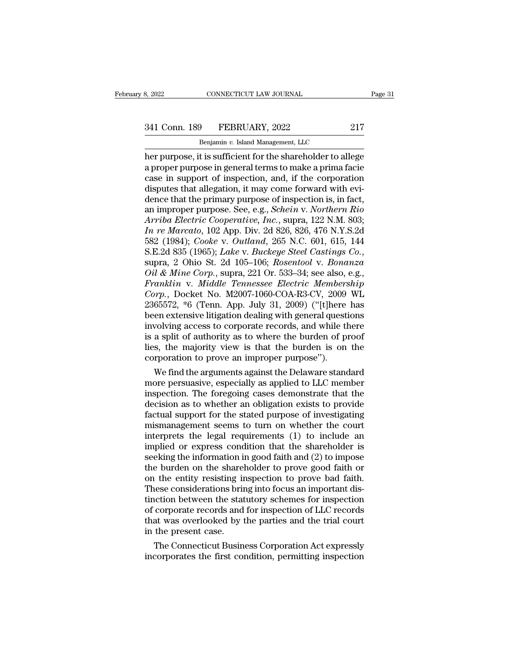# 3, 2022 CONNECTICUT LAW JOURNAL Page 31<br>341 Conn. 189 FEBRUARY, 2022 217<br>Benjamin v. Island Management, LLC

CONNECTICUT LAW JOURNAL<br>
Physical Management, LLC<br>
Benjamin *v.* Island Management, LLC<br>
It is sufficient for the shareholder to all her purpose, it is sufficient for the shareholder to allege<br>
the shareholder of allege<br>
the shareholder to allege<br>
a proper purpose in general terms to make a prima facie<br>
case in support of inspection, and if the corporat 341 Conn. 189 FEBRUARY, 2022 217<br>Benjamin v. Island Management, LLC<br>her purpose, it is sufficient for the shareholder to allege<br>a proper purpose in general terms to make a prima facie<br>case in support of inspection, and, if 341 Conn. 189 FEBRUARY, 2022 217<br>
Benjamin v. Island Management, LLC<br>
her purpose, it is sufficient for the shareholder to allege<br>
a proper purpose in general terms to make a prima facie<br>
case in support of inspection, an 341 Conn. 189 FEBRUARY, 2022 217<br>
Benjamin v. Island Management, LLC<br>
her purpose, it is sufficient for the shareholder to allege<br>
a proper purpose in general terms to make a prima facie<br>
case in support of inspection, an Benjamin v. Island Management, LLC<br>
her purpose, it is sufficient for the shareholder to allege<br>
a proper purpose in general terms to make a prima facie<br>
case in support of inspection, and, if the corporation<br>
disputes th Benjamin v. Island Management, LLC<br>her purpose, it is sufficient for the shareholder to allege<br>a proper purpose in general terms to make a prima facie<br>case in support of inspection, and, if the corporation<br>disputes that al her purpose, it is sufficient for the shareholder to allege<br>a proper purpose in general terms to make a prima facie<br>case in support of inspection, and, if the corporation<br>disputes that allegation, it may come forward with a proper purpose in general terms to make a prima facie<br>case in support of inspection, and, if the corporation<br>disputes that allegation, it may come forward with evi-<br>dence that the primary purpose of inspection is, in fac case in support of inspection, and, if the corporation<br>disputes that allegation, it may come forward with evi-<br>dence that the primary purpose of inspection is, in fact,<br>an improper purpose. See, e.g., *Schein v. Northern R* disputes that allegation, it may come forward with evi-<br>dence that the primary purpose of inspection is, in fact,<br>an improper purpose. See, e.g., *Schein v. Northern Rio*<br>Arriba Electric Cooperative, Inc., supra, 122 N.M. an improper purpose. See, e.g., *Schein v. Northern Rio*<br>Arriba Electric Cooperative, Inc., supra, 122 N.M. 803;<br>In re Marcato, 102 App. Div. 2d 826, 826, 476 N.Y.S.2d<br>582 (1984); *Cooke v. Outland*, 265 N.C. 601, 615, 144 *Arriba Electric Cooperative, Inc.,* supra, 122 N.M. 803;<br> *In re Marcato, 102 App. Div. 2d 826, 826, 476 N.Y.S.2d*<br>
582 (1984); *Cooke v. Outland, 265 N.C. 601, 615, 144*<br> *S.E.2d 835 (1965); Lake v. Buckeye Steel Casting In re Marcato*, 102 App. Div. 2d 826, 826, 476 N.Y.S.2d<br>582 (1984); *Cooke v. Outland*, 265 N.C. 601, 615, 144<br>S.E.2d 835 (1965); *Lake v. Buckeye Steel Castings Co.*,<br>supra, 2 Ohio St. 2d 105–106; *Rosentool v. Bonanza*<br> 582 (1984); *Cooke* v. *Outland*, 265 N.C. 601, 615, 144<br>S.E.2d 835 (1965); *Lake* v. *Buckeye Steel Castings Co.*,<br>supra, 2 Ohio St. 2d 105–106; *Rosentool* v. *Bonanza*<br>*Oil & Mine Corp.*, supra, 221 Or. 533–34; see als S.E.2d 835 (1965); *Lake v. Buckeye Steel Castings Co.*,<br>supra, 2 Ohio St. 2d 105–106; *Rosentool v. Bonanza*<br>*Oil & Mine Corp.*, supra, 221 Or. 533–34; see also, e.g.,<br>*Franklin v. Middle Tennessee Electric Membership*<br>*C* supra, 2 Ohio St. 2d 105–106; *Rosentool v. Bonanza*<br> *Oil & Mine Corp.*, supra, 221 Or. 533–34; see also, e.g.,<br> *Franklin v. Middle Tennessee Electric Membership*<br> *Corp.*, Docket No. M2007-1060-COA-R3-CV, 2009 WL<br>
23655 *Oil & Mine Corp.*, supra, 221 Or. 533–34; see also, e.g.,<br>Franklin v. Middle Tennessee Electric Membership<br>Corp., Docket No. M2007-1060-COA-R3-CV, 2009 WL<br>2365572, \*6 (Tenn. App. July 31, 2009) ("[t]here has<br>been extensi Franklin v. Middle Tennessee Electric Membership<br>Corp., Docket No. M2007-1060-COA-R3-CV, 2009 WL<br>2365572, \*6 (Tenn. App. July 31, 2009) ("[t]here has<br>been extensive litigation dealing with general questions<br>involving acces Corp., Docket No. M2007-1060-COA-R3-CV, 2009<br>2365572, \*6 (Tenn. App. July 31, 2009) ("[t]here<br>been extensive litigation dealing with general questi<br>involving access to corporate records, and while th<br>is a split of authorit 65572,  $*$ 6 (Tenn. App. July 31, 2009) ("[t]here has<br>en extensive litigation dealing with general questions<br>volving access to corporate records, and while there<br>a split of authority as to where the burden of proof<br>s, the been extensive litigation dealing with general questions<br>involving access to corporate records, and while there<br>is a split of authority as to where the burden of proof<br>lies, the majority view is that the burden is on the<br>c

involving access to corporate records, and while there<br>is a split of authority as to where the burden of proof<br>lies, the majority view is that the burden is on the<br>corporation to prove an improper purpose").<br>We find the ar is a split of authority as to where the burden of proof<br>lies, the majority view is that the burden is on the<br>corporation to prove an improper purpose").<br>We find the arguments against the Delaware standard<br>more persuasive, flues, the majority view is that the burden is on the corporation to prove an improper purpose").<br>We find the arguments against the Delaware standard<br>more persuasive, especially as applied to LLC member<br>inspection. The for corporation to prove an improper purpose").<br>We find the arguments against the Delaware standard<br>more persuasive, especially as applied to LLC member<br>inspection. The foregoing cases demonstrate that the<br>decision as to wheth We find the arguments against the Delaware standard<br>more persuasive, especially as applied to LLC member<br>inspection. The foregoing cases demonstrate that the<br>decision as to whether an obligation exists to provide<br>factual more persuasive, especially as applied to LLC member<br>inspection. The foregoing cases demonstrate that the<br>decision as to whether an obligation exists to provide<br>factual support for the stated purpose of investigating<br>misma inspection. The foregoing cases demonstrate that the<br>decision as to whether an obligation exists to provide<br>factual support for the stated purpose of investigating<br>mismanagement seems to turn on whether the court<br>interpret decision as to whether an obligation exists to provide<br>factual support for the stated purpose of investigating<br>mismanagement seems to turn on whether the court<br>interprets the legal requirements (1) to include an<br>implied or factual support for the stated purpose of investigating<br>mismanagement seems to turn on whether the court<br>interprets the legal requirements (1) to include an<br>implied or express condition that the shareholder is<br>seeking the mismanagement seems to turn on whether the court<br>interprets the legal requirements (1) to include an<br>implied or express condition that the shareholder is<br>seeking the information in good faith and (2) to impose<br>the burden o interprets the legal requirements (1) to include an<br>implied or express condition that the shareholder is<br>seeking the information in good faith and (2) to impose<br>the burden on the shareholder to prove good faith or<br>on the e implied or express condition that the shareholder is<br>seeking the information in good faith and (2) to impose<br>the burden on the shareholder to prove good faith or<br>on the entity resisting inspection to prove bad faith.<br>These seeking the information in good faith and (2) to impose<br>the burden on the shareholder to prove good faith or<br>on the entity resisting inspection to prove bad faith.<br>These considerations bring into focus an important dis-<br>ti the burden on the share<br>on the entity resisting in<br>These considerations brit<br>tinction between the stat<br>of corporate records and<br>that was overlooked by t<br>in the present case.<br>The Connecticut Busin The entity resisting inspection to prove bad faith.<br>
Rese considerations bring into focus an important dis-<br>
action between the statutory schemes for inspection<br>
corporate records and for inspection of LLC records<br>
at was These considerations bring into focus an important distinction between the statutory schemes for inspection of corporate records and for inspection of LLC records that was overlooked by the parties and the trial court in t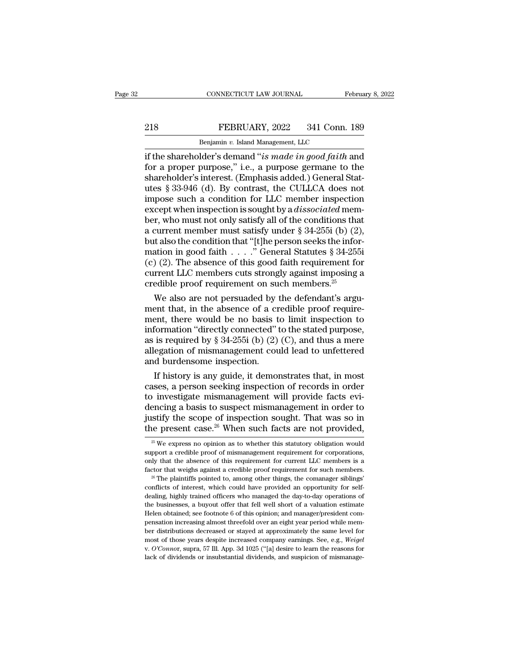## EXECTIVE CONNECTICUT LAW JOURNAL February 8, 2022<br>218 FEBRUARY, 2022 341 Conn. 189<br>Benjamin v. Island Management, LLC CONNECTICUT LAW JOURNAL FREEXPLARY, 2022 341 Conn.<br>Benjamin *v.* Island Management, LLC<br>Ider's demand "is made in aood faith.

CONNECTICUT LAW JOURNAL February 8, 2022<br> **EEBRUARY**, 2022 341 Conn. 189<br> **EEBRUARY**, 2022 341 Conn. 189<br> **EEBRUARY**, 2022 341 Conn. 189<br> **EEBRUARY**, 2022 341 Conn. 189<br> **EEBRUARY**, 2022 341 Conn. 189<br> **EEBRUARY**, 2022 341 FEBRUARY, 2022 341 Conn. 189<br>
Benjamin v. Island Management, LLC<br>
if the shareholder's demand "is made in good faith and<br>
for a proper purpose," i.e., a purpose germane to the<br>
shareholder's interest. (Emphasis added.) Gen **Shareholder's interest. (Emphasis added.)**<br> **Shareholder's demand "is made in good faith and**<br>
for a proper purpose," i.e., a purpose germane to the<br>
shareholder's interest. (Emphasis added.) General Stat-<br>
shareholder's **EXECUARY, 2022** 341 Conn. 189<br>
Benjamin v. Island Management, LLC<br>
if the shareholder's demand "is made in good faith and<br>
for a proper purpose," i.e., a purpose germane to the<br>
shareholder's interest. (Emphasis added.) **Example 1 EDICTRY, 2022** 6 911 COM. 100<br>
If the shareholder's demand "*is made in good faith* and<br>
for a proper purpose," i.e., a purpose germane to the<br>
shareholder's interest. (Emphasis added.) General Stat-<br>
utes § 33 Benjamin v. Island Management, LLC<br>
if the shareholder's demand "*is made in good faith* and<br>
for a proper purpose," i.e., a purpose germane to the<br>
shareholder's interest. (Emphasis added.) General Stat-<br>
utes § 33-946 (d if the shareholder's demand "*is made in good faith* and<br>for a proper purpose," i.e., a purpose germane to the<br>shareholder's interest. (Emphasis added.) General Stat-<br>utes § 33-946 (d). By contrast, the CULLCA does not<br>im for a proper purpose," i.e., a purpose germane to the<br>shareholder's interest. (Emphasis added.) General Stat-<br>utes § 33-946 (d). By contrast, the CULLCA does not<br>impose such a condition for LLC member inspection<br>except wh shareholder's interest. (Emphasis added.) General Stat-<br>utes § 33-946 (d). By contrast, the CULLCA does not<br>impose such a condition for LLC member inspection<br>except when inspection is sought by a *dissociated* mem-<br>ber, w utes § 33-946 (d). By contrast, the CULLCA does not<br>impose such a condition for LLC member inspection<br>except when inspection is sought by a *dissociated* mem-<br>ber, who must not only satisfy all of the conditions that<br>a cu impose such a condition for LLC member inspection<br>except when inspection is sought by a *dissociated* mem-<br>ber, who must not only satisfy all of the conditions that<br>a current member must satisfy under § 34-255i (b) (2),<br>b except when inspection is sought by a *dissociated* member, who must not only satisfy all of the conditions that a current member must satisfy under  $\S 34-255i$  (b) (2), but also the condition that "[t]he person seeks the ber, who must not only satisfy all of the conditions tha<br>a current member must satisfy under § 34-255i (b) (2)<br>but also the condition that "[t]he person seeks the infor<br>mation in good faith . . . . " General Statutes § 34 current member must satisfy under  $\S$  34-2551 (b) (2),<br>t also the condition that "[t]he person seeks the infor-<br>ation in good faith . . . . " General Statutes  $\S$  34-2551<br>(2). The absence of this good faith requirement fo but also the condition that "[t]he person seeks the information in good faith . . . ." General Statutes § 34-255i<br>(c) (2). The absence of this good faith requirement for<br>current LLC members cuts strongly against imposing

mation in good faith . . . . " General Statutes § 34-2551<br>(c) (2). The absence of this good faith requirement for<br>current LLC members cuts strongly against imposing a<br>credible proof requirement on such members.<sup>25</sup><br>We als (c) (2). The absence of this good faith requirement for<br>current LLC members cuts strongly against imposing a<br>credible proof requirement on such members.<sup>25</sup><br>We also are not persuaded by the defendant's argu-<br>ment that, in current LLC members cuts strongly against imposing a<br>credible proof requirement on such members.<sup>25</sup><br>We also are not persuaded by the defendant's argu-<br>ment that, in the absence of a credible proof require-<br>ment, there wo credible proof requirement on such members.<sup>26</sup><br>We also are not persuaded by the defendant's argu-<br>ment that, in the absence of a credible proof require-<br>ment, there would be no basis to limit inspection to<br>information "d We also are not persuaded by  $\alpha$ <br>ment that, in the absence of a cr<br>ment, there would be no basis t<br>information "directly connected" t<br>as is required by  $\S 34-255$  (b) (2)<br>allegation of mismanagement cou<br>and burdensome in ent that, in the absence of a credible proof require-<br>ent, there would be no basis to limit inspection to<br>formation "directly connected" to the stated purpose,<br>is required by § 34-255i (b) (2) (C), and thus a mere<br>egation ment, there would be no basis to limit inspection to<br>information "directly connected" to the stated purpose,<br>as is required by § 34-255i (b) (2) (C), and thus a mere<br>allegation of mismanagement could lead to unfettered<br>an

information "directly connected" to the stated purpose,<br>as is required by § 34-255i (b) (2) (C), and thus a mere<br>allegation of mismanagement could lead to unfettered<br>and burdensome inspection.<br>If history is any guide, it as is required by § 34-255i (b) (2) (C), and thus a mere<br>allegation of mismanagement could lead to unfettered<br>and burdensome inspection.<br>If history is any guide, it demonstrates that, in most<br>cases, a person seeking inspe allegation of mismanagement could lead to unfettered<br>and burdensome inspection.<br>If history is any guide, it demonstrates that, in most<br>cases, a person seeking inspection of records in order<br>to investigate mismanagement wil and burdensome inspection.<br>
If history is any guide, it demonstrates that, in most<br>
cases, a person seeking inspection of records in order<br>
to investigate mismanagement will provide facts evi-<br>
dencing a basis to suspect 25 investigate mismanagement will provide facts evi-<br>encing a basis to suspect mismanagement in order to<br>stify the scope of inspection sought. That was so in<br>ee present case.<sup>26</sup> When such facts are not provided,<br> $\frac{25}{1$ dencing a basis to suspect mismanagement in order to justify the scope of inspection sought. That was so in the present case.<sup>26</sup> When such facts are not provided,  $\frac{1}{20}$  We express no opinion as to whether this statu

support a credible proof of mismanagement requirement for corporations, only that the absence of this requirement for current LLC members is a factor that weighs against a credible proof requirement for such members. <sup>26</sup> only that the absence of this requirement for current LLC members is a factor that weighs against a credible proof requirement for such members.<br><sup>26</sup> The plaintiffs pointed to, among other things, the comanager siblings' Extra weighs against a credible proof requirement for such members.<br><sup>26</sup> The plaintiffs pointed to, among other things, the comanager siblings<sup>3</sup><br>conflicts of interest, which could have provided an opportunity for self-<br>d <sup>26</sup> The plaintiffs pointed to, among other things, the comanager siblings'<br><sup>26</sup> The plaintiffs pointed to, among other things, the comanager siblings'<br>conflicts of interest, which could have provided an opportunity for se conflicts of interest, which could have provided an opportunity for self-<br>dealing, highly trained officers who managed the day-to-day operations of<br>the businesses, a buyout offer that fell well short of a valuation estimat dealing, highly trained officers who managed the day-to-day operations of the businesses, a buyout offer that fell well short of a valuation estimate Helen obtained; see footnote 6 of this opinion; and manager/president co the businesses, a buyout offer that fell well short of a valuation estimate Helen obtained; see footnote 6 of this opinion; and manager/president compensation increasing almost threefold over an eight year period while me

justify the scope of inspection sought. That was so in<br>the present case.<sup>26</sup> When such facts are not provided,<br> $\frac{1}{\sqrt{2}}$  We express no opinion as to whether this statutory obligation would<br>support a credible proof of m the present case.<sup>26</sup> When such facts are not provided,<br>
<sup>25</sup> We express no opinion as to whether this statutory obligation would<br>
support a credible proof of mismanagement requirement for corporations,<br>
only that the abs  $^\text{25}$  We express no opinion as to whether this statutory obligation would support a credible proof of mismanagement requirement for corporations, only that the absence of this requirement for current LLC members is a f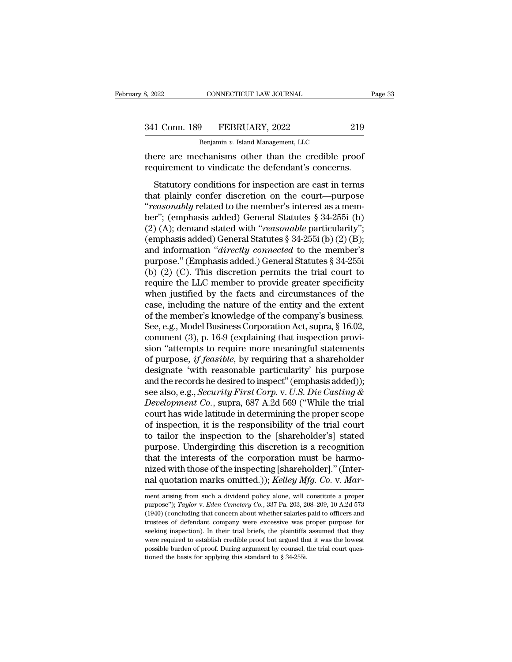CONNECTICUT LAW JOURNAL<br>
Physical Management, LLC<br>
Benjamin *v.* Island Management, LLC<br>
Chanisms other than the credible pr 1993, 2022<br>
1994 Conn. 1899<br>
1995 FEBRUARY, 2022<br>
1996 Benjamin v. Island Management, LLC<br>
1996 There are mechanisms other than the credible proof<br>
1997 There are mechanisms other than the credible proof<br>
1997 Theory Senat 341 Conn. 189 FEBRUARY, 2022 219<br>Benjamin v. Island Management, LLC<br>there are mechanisms other than the credible proof<br>requirement to vindicate the defendant's concerns.<br>Statutory conditions for inspection are cast in term

1 Conn. 189 FEBRUARY, 2022 219<br>
Benjamin v. Island Management, LLC<br>
ere are mechanisms other than the credible proof<br>
quirement to vindicate the defendant's concerns.<br>
Statutory conditions for inspection are cast in terms<br> 341 Conn. 189 FEBRUARY, 2022 219<br>
Benjamin v. Island Management, LLC<br>
there are mechanisms other than the credible proof<br>
requirement to vindicate the defendant's concerns.<br>
Statutory conditions for inspection are cast in Benjamin v. Island Management, LLC<br>there are mechanisms other than the credible proof<br>requirement to vindicate the defendant's concerns.<br>Statutory conditions for inspection are cast in terms<br>that plainly confer discretion there are mechanisms other than the credible proof<br>
requirement to vindicate the defendant's concerns.<br>
Statutory conditions for inspection are cast in terms<br>
that plainly confer discretion on the court—purpose<br>
"reasonab requirement to vindicate the defendant's concerns.<br>
Statutory conditions for inspection are cast in terms<br>
that plainly confer discretion on the court—purpose<br>
"*reasonably* related to the member's interest as a mem-<br>
ber" Statutory conditions for inspection are cast in terms<br>that plainly confer discretion on the court—purpose<br>"reasonably related to the member's interest as a mem-<br>ber"; (emphasis added) General Statutes § 34-255i (b)<br>(2) (A Statutory conditions for inspection are cast in terms<br>that plainly confer discretion on the court—purpose<br>"*reasonably* related to the member's interest as a mem-<br>ber"; (emphasis added) General Statutes § 34-255i (b)<br>(2) that plainly confer discretion on the court—purpose<br>
"reasonably related to the member's interest as a mem-<br>
ber"; (emphasis added) General Statutes § 34-255i (b)<br>
(2) (A); demand stated with "reasonable particularity";<br> "*reasonably* related to the member's interest as a member"; (emphasis added) General Statutes § 34-255i (b) (2) (A); demand stated with "*reasonable* particularity"; (emphasis added) General Statutes § 34-255i (b) (2) (B ber"; (emphasis added) General Statutes § 34-255i (b)<br>
(2) (A); demand stated with "*reasonable* particularity";<br>
(emphasis added) General Statutes § 34-255i (b) (2) (B);<br>
and information "directly connected to the member (2) (A); demand stated with "*reasonable* particularity";<br>(emphasis added) General Statutes § 34-255i (b) (2) (B);<br>and information "*directly connected* to the member's<br>purpose." (Emphasis added.) General Statutes § 34-25 (emphasis added) General Statutes § 34-255i (b) (2) (B);<br>and information "*directly connected* to the member's<br>purpose." (Emphasis added.) General Statutes § 34-255i<br>(b) (2) (C). This discretion permits the trial court to and information "*directly connected* to the member's<br>purpose." (Emphasis added.) General Statutes § 34-255i<br>(b) (2) (C). This discretion permits the trial court to<br>require the LLC member to provide greater specificity<br>wh purpose." (Emphasis added.) General Statutes § 34-255i<br>
(b) (2) (C). This discretion permits the trial court to<br>
require the LLC member to provide greater specificity<br>
when justified by the facts and circumstances of the<br> (b) (2) (C). This discretion permits the trial court to<br>require the LLC member to provide greater specificity<br>when justified by the facts and circumstances of the<br>case, including the nature of the entity and the extent<br>of require the LLC member to provide greater specificity<br>when justified by the facts and circumstances of the<br>case, including the nature of the entity and the extent<br>of the member's knowledge of the company's business.<br>See, e when justified by the facts and circumstances of the<br>case, including the nature of the entity and the extent<br>of the member's knowledge of the company's business.<br>See, e.g., Model Business Corporation Act, supra, § 16.02,<br>c case, including the nature of the entity and the extent<br>of the member's knowledge of the company's business.<br>See, e.g., Model Business Corporation Act, supra, § 16.02,<br>comment (3), p. 16-9 (explaining that inspection prov of the member's knowledge of the company's business.<br>See, e.g., Model Business Corporation Act, supra, § 16.02,<br>comment (3), p. 16-9 (explaining that inspection provi-<br>sion "attempts to require more meaningful statements<br> See, e.g., Model Business Corporation Act, supra, § 16.02,<br>comment (3), p. 16-9 (explaining that inspection provi-<br>sion "attempts to require more meaningful statements<br>of purpose, *if feasible*, by requiring that a shareho comment (3), p. 16-9 (explaining that inspection provision "attempts to require more meaningful statements<br>of purpose, *if feasible*, by requiring that a shareholder<br>designate 'with reasonable particularity' his purpose<br>an sion "attempts to require more meaningful statements<br>of purpose, *if feasible*, by requiring that a shareholder<br>designate 'with reasonable particularity' his purpose<br>and the records he desired to inspect" (emphasis added)) of purpose, *if feasible*, by requiring that a shareholder<br>designate 'with reasonable particularity' his purpose<br>and the records he desired to inspect" (emphasis added));<br>see also, e.g., *Security First Corp.* v. *U.S. Die* designate 'with reasonable particularity' his purpose<br>and the records he desired to inspect" (emphasis added));<br>see also, e.g., *Security First Corp.* v. U.S. Die Casting &<br>Development Co., supra, 687 A.2d 569 ('While the and the records he desired to inspect" (emphasis added));<br>see also, e.g., *Security First Corp.* v. *U.S. Die Casting &*<br>*Development Co.*, supra, 687 A.2d 569 ("While the trial<br>court has wide latitude in determining the p see also, e.g., *Security First Corp.* v. U.S. Die Casting &<br>Development Co., supra, 687 A.2d 569 ("While the trial<br>court has wide latitude in determining the proper scope<br>of inspection, it is the responsibility of the tr Development Co., supra, 687 A.2d 569 ("While the trial court has wide latitude in determining the proper scope of inspection, it is the responsibility of the trial court to tailor the inspection to the [shareholder's] stat court has wide latitude in determining the proper scope<br>of inspection, it is the responsibility of the trial court<br>to tailor the inspection to the [shareholder's] stated<br>purpose. Undergirding this discretion is a recogniti purpose. Undergirding this discretion is a recognition that the interests of the corporation must be harmothat the interests of the corporation must be harmo-<br>nized with those of the inspecting [shareholder]." (Inter-<br>nal quotation marks omitted.)); *Kelley Mfg. Co.* v. *Mar*-<br>ment arising from such a dividend policy alone, wi

nized with those of the inspecting [shareholder]." (Inter-<br>nal quotation marks omitted.)); *Kelley Mfg. Co.* v. *Mar*-<br>ment arising from such a dividend policy alone, will constitute a proper<br>purpose"); *Taylor* v. *Eden C* nal quotation marks omitted.)); *Kelley Mfg. Co. v. Mar*-<br>ment arising from such a dividend policy alone, will constitute a proper<br>purpose"); *Taylor v. Eden Cemetery Co.*, 337 Pa. 203, 208–209, 10 A.2d 573<br>(1940) (conclu Fract quotation intains officient.)), *Rettey mgg.* Co. v. *mar*-<br>ment arising from such a dividend policy alone, will constitute a proper<br>purpose"); *Taylor* v. *Eden Cemetery Co.*, 337 Pa. 203, 208–209, 10 A.2d 573<br>(1940 ment arising from such a dividend policy alone, will constitute a proper purpose"); Taylor v. Eden Cemetery Co., 337 Pa. 203, 208–209, 10 A.2d 573 (1940) (concluding that concern about whether salaries paid to officers an purpose"); Taylor v. Eden Cemetery Co., 337 Pa. 203, 208-209, 10 A.2d 573 (1940) (concluding that concern about whether salaries paid to officers and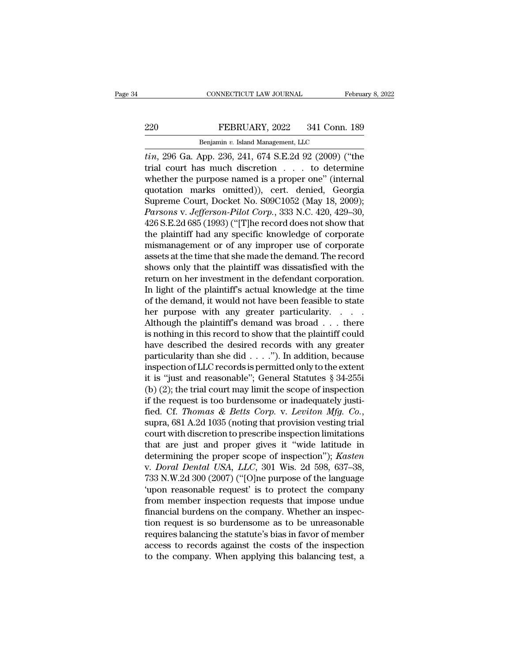# EXECTIVE CONNECTICUT LAW JOURNAL February 8, 2022<br>220 FEBRUARY, 2022 341 Conn. 189<br>Benjamin v. Island Management, LLC

EXECTICUT LAW JOURNAL FRAME REBRUARY, 2022 341 Conn.<br>Benjamin *v.* Island Management, LLC<br>App. 236 241 674 S E 2d 92 (2009) (' *tin*, 296 Ga. App. 236, 241, 674 S.E.2d 92 (2009) ("the trial court has much discretion  $\cdot$  ... to determine whether the nurrece nemed is a prener ene" (internal EEBRUARY, 2022 341 Conn. 189<br>
Benjamin v. Island Management, LLC<br>
tin, 296 Ga. App. 236, 241, 674 S.E.2d 92 (2009) ("the<br>
trial court has much discretion . . . to determine<br>
whether the purpose named is a proper one" (inte EEBRUARY, 2022 341 Conn. 189<br>
Benjamin v. Island Management, LLC<br>
tin, 296 Ga. App. 236, 241, 674 S.E.2d 92 (2009) ("the<br>
trial court has much discretion . . . to determine<br>
whether the purpose named is a proper one" (int PEBRUARY, 2022 341 Conn. 189<br>
Benjamin v. Island Management, LLC<br>  $\overline{t}$ in, 296 Ga. App. 236, 241, 674 S.E.2d 92 (2009) ("the<br>
trial court has much discretion . . . to determine<br>
whether the purpose named is a proper on Benjamin v. Island Management, LLC<br> *tin*, 296 Ga. App. 236, 241, 674 S.E.2d 92 (2009) ("the<br>
trial court has much discretion . . . to determine<br>
whether the purpose named is a proper one" (internal<br>
quotation marks omitt *Parsons* v. *Band Management, LLC*<br> *Parsons* Corp. 236, 241, 674 S.E.2d 92 (2009) ("the<br>
parameter the purpose named is a proper one" (internal<br>
quotation marks omitted)), cert. denied, Georgia<br>
Supreme Court, Docket No. *tin*, 296 Ga. App. 236, 241, 674 S.E.2d 92 (2009) ("the<br>trial court has much discretion . . . to determine<br>whether the purpose named is a proper one" (internal<br>quotation marks omitted)), cert. denied, Georgia<br>Supreme Cou trial court has much discretion . . . to determine<br>whether the purpose named is a proper one" (internal<br>quotation marks omitted)), cert. denied, Georgia<br>Supreme Court, Docket No. S09C1052 (May 18, 2009);<br>*Parsons* v. *Jeff* whether the purpose named is a proper one" (internal<br>quotation marks omitted)), cert. denied, Georgia<br>Supreme Court, Docket No. S09C1052 (May 18, 2009);<br>*Parsons* v. *Jefferson-Pilot Corp.*, 333 N.C. 420, 429–30,<br>426 S.E.2 quotation marks omitted)), cert. denied, Georgia<br>Supreme Court, Docket No. S09C1052 (May 18, 2009);<br>*Parsons* v. *Jefferson-Pilot Corp.*, 333 N.C. 420, 429–30,<br>426 S.E.2d 685 (1993) ("[T]he record does not show that<br>the pl Supreme Court, Docket No. S09C1052 (May 18, 2009);<br>*Parsons v. Jefferson-Pilot Corp.*, 333 N.C. 420, 429–30,<br>426 S.E.2d 685 (1993) ("[T]he record does not show that<br>the plaintiff had any specific knowledge of corporate<br>mis Parsons v. Jefferson-Pilot Corp., 333 N.C. 420, 429–30,<br>426 S.E.2d 685 (1993) ("[T]he record does not show that<br>the plaintiff had any specific knowledge of corporate<br>mismanagement or of any improper use of corporate<br>assets 426 S.E.2d 685 (1993) ("[T]he record does not show that<br>the plaintiff had any specific knowledge of corporate<br>mismanagement or of any improper use of corporate<br>assets at the time that she made the demand. The record<br>shows the plaintiff had any specific knowledge of corporate<br>mismanagement or of any improper use of corporate<br>assets at the time that she made the demand. The record<br>shows only that the plaintiff was dissatisfied with the<br>return mismanagement or of any improper use of corporate<br>assets at the time that she made the demand. The record<br>shows only that the plaintiff was dissatisfied with the<br>return on her investment in the defendant corporation.<br>In li assets at the time that she made the demand. The record<br>shows only that the plaintiff was dissatisfied with the<br>return on her investment in the defendant corporation.<br>In light of the plaintiff's actual knowledge at the tim shows only that the plaintiff was dissatisfied with the<br>return on her investment in the defendant corporation.<br>In light of the plaintiff's actual knowledge at the time<br>of the demand, it would not have been feasible to stat return on her investment in the defendant corporation.<br>In light of the plaintiff's actual knowledge at the time<br>of the demand, it would not have been feasible to state<br>her purpose with any greater particularity.<br>Although In light of the plaintiff's actual knowledge at the time<br>of the demand, it would not have been feasible to state<br>her purpose with any greater particularity. . . . .<br>Although the plaintiff's demand was broad . . . there<br>is of the demand, it would not have been feasible to state<br>her purpose with any greater particularity. . . . .<br>Although the plaintiff's demand was broad . . . there<br>is nothing in this record to show that the plaintiff could<br> her purpose with any greater particularity. . . . .<br>Although the plaintiff's demand was broad . . . there<br>is nothing in this record to show that the plaintiff could<br>have described the desired records with any greater<br>part Although the plaintiff's demand was broad . . . there<br>is nothing in this record to show that the plaintiff could<br>have described the desired records with any greater<br>particularity than she did . . . ."). In addition, becau is nothing in this record to show that the plaintiff could<br>have described the desired records with any greater<br>particularity than she did . . . ."). In addition, because<br>inspection of LLC records is permitted only to the have described the desired records with any greater particularity than she did . . . ."). In addition, because inspection of LLC records is permitted only to the extent it is "just and reasonable"; General Statutes  $\S 34$ inspection of LLC records is permitted only to the extent<br>it is "just and reasonable"; General Statutes § 34-255i<br>(b) (2); the trial court may limit the scope of inspection<br>if the request is too burdensome or inadequately it is "just and reasonable"; General Statutes § 34-255i<br>
(b) (2); the trial court may limit the scope of inspection<br>
if the request is too burdensome or inadequately justi-<br>
fied. Cf. *Thomas & Betts Corp.* v. *Leviton Mf* (b) (2); the trial court may limit the scope of inspection<br>if the request is too burdensome or inadequately justi-<br>fied. Cf. *Thomas & Betts Corp.* v. *Leviton Mfg. Co.*,<br>supra, 681 A.2d 1035 (noting that provision vestin if the request is too burdensome or inadequately justi-<br>fied. Cf. *Thomas & Betts Corp.* v. *Leviton Mfg. Co.*,<br>supra, 681 A.2d 1035 (noting that provision vesting trial<br>court with discretion to prescribe inspection limita fied. Cf. *Thomas & Betts Corp.* v. *Leviton Mfg. Co.*,<br>supra, 681 A.2d 1035 (noting that provision vesting trial<br>court with discretion to prescribe inspection limitations<br>that are just and proper gives it "wide latitude i supra, 681 A.2d 1035 (noting that provision vesting trial<br>
court with discretion to prescribe inspection limitations<br>
that are just and proper gives it "wide latitude in<br>
determining the proper scope of inspection"); *Kast* court with discretion to prescribe inspection limitations<br>that are just and proper gives it "wide latitude in<br>determining the proper scope of inspection"); *Kasten*<br>v. *Doral Dental USA*, *LLC*, 301 Wis. 2d 598, 637–38,<br>73 that are just and proper gives it "wide latitude in<br>determining the proper scope of inspection"); Kasten<br>v. Doral Dental USA, LLC, 301 Wis. 2d 598, 637–38,<br>733 N.W.2d 300 (2007) ("[O]ne purpose of the language<br>'upon reason determining the proper scope of inspection"); *Kasten*<br>v. *Doral Dental USA*, *LLC*, 301 Wis. 2d 598, 637–38,<br>733 N.W.2d 300 (2007) ("[O]ne purpose of the language<br>'upon reasonable request' is to protect the company<br>from m v. *Doral Dental USA*, *LLC*, 301 Wis. 2d 598, 637–38, 733 N.W.2d 300 (2007) ("[O]ne purpose of the language 'upon reasonable request' is to protect the company from member inspection requests that impose undue financial b 733 N.W.2d 300 (2007) ("[O]ne purpose of the language<br>
'upon reasonable request' is to protect the company<br>
from member inspection requests that impose undue<br>
financial burdens on the company. Whether an inspec-<br>
tion req 'upon reasonable request' is to protect the company<br>from member inspection requests that impose undue<br>financial burdens on the company. Whether an inspec-<br>tion request is so burdensome as to be unreasonable<br>requires balanc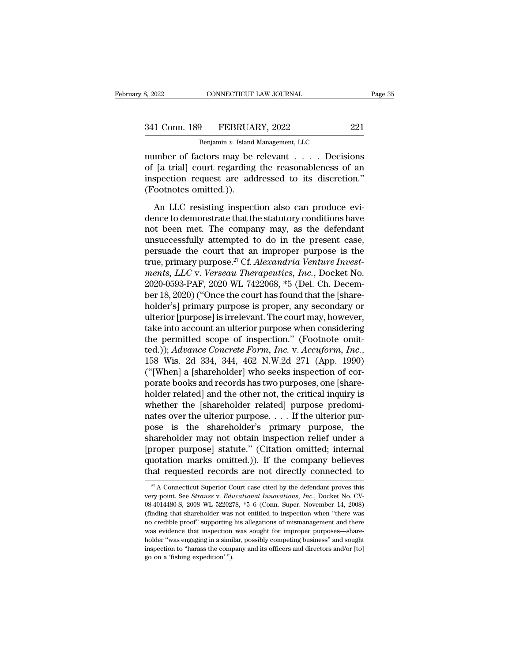| 8, 2022       | CONNECTICUT LAW JOURNAL            | Page 35 |  |
|---------------|------------------------------------|---------|--|
| 341 Conn. 189 | FEBRUARY, 2022                     | 221     |  |
|               | Benjamin v. Island Management, LLC |         |  |

CONNECTICUT LAW JOURNAL<br> **Benjamin** *v.* **Island Management, LLC<br>
CLOTS MAN bendlement of Decisi** number of factors may be relevant . . . . Decisions<br>
in the relevant . . . . Decisions<br>
of [a trial] court regarding the reasonableness of an<br>
in the relevant . . . . Decisions<br>
of [a trial] court regarding the reasonablen 341 Conn. 189 FEBRUARY, 2022 221<br>Benjamin v. Island Management, LLC<br>number of factors may be relevant . . . . Decisions<br>of [a trial] court regarding the reasonableness of an<br>inspection request are addressed to its discreti 341 Conn. 189 FEBRUARY, 2022 221<br>
Benjamin v. Island Management, LLC<br>
number of factors may be relevant . . . . Decisions<br>
of [a trial] court regarding the reasonableness of an<br>
inspection request are addressed to its dis 341 Conn. 189 FEBRUA<br>
Benjamin v. Island<br>
number of factors may be<br>
of [a trial] court regarding<br>
inspection request are add<br>
(Footnotes omitted.)).<br>
An LLC resisting inspect Benjamin v. Island Management, LLC<br>
umber of factors may be relevant  $\ldots$ . Decisions<br>
[a trial] court regarding the reasonableness of an<br>
spection request are addressed to its discretion."<br>
ootnotes omitted.)).<br>
An LLC r mumber of factors may be relevant  $\dots$  . Decisions<br>of [a trial] court regarding the reasonableness of an<br>inspection request are addressed to its discretion."<br>(Footnotes omitted.)).<br>An LLC resisting inspection also can pro

native of factors may be referred:  $\cdots$  is becaused to fact that in the reasonableness of an inspection request are addressed to its discretion."<br>(Footnotes omitted.)).<br>An LLC resisting inspection also can produce eviden inspection request are addressed to its discretion."<br>
(Footnotes omitted.)).<br>
An LLC resisting inspection also can produce evi-<br>
dence to demonstrate that the statutory conditions have<br>
not been met. The company may, as t (Footnotes omitted.)).<br>
An LLC resisting inspection also can produce evi-<br>
dence to demonstrate that the statutory conditions have<br>
not been met. The company may, as the defendant<br>
unsuccessfully attempted to do in the pr An LLC resisting inspection also can produce evi-<br>dence to demonstrate that the statutory conditions have<br>not been met. The company may, as the defendant<br>unsuccessfully attempted to do in the present case,<br>persuade the cou An LLC resisting inspection also can produce evi-<br>dence to demonstrate that the statutory conditions have<br>not been met. The company may, as the defendant<br>unsuccessfully attempted to do in the present case,<br>persuade the cou dence to demonstrate that the statutory conditions have<br>not been met. The company may, as the defendant<br>unsuccessfully attempted to do in the present case,<br>persuade the court that an improper purpose is the<br>true, primary p not been met. The company may, as the defendant<br>unsuccessfully attempted to do in the present case,<br>persuade the court that an improper purpose is the<br>true, primary purpose.<sup>27</sup> Cf. Alexandria Venture Invest-<br>ments, LLC v. unsuccessfully attempted to do in the present case,<br>persuade the court that an improper purpose is the<br>true, primary purpose.<sup>27</sup> Cf. *Alexandria Venture Invest-<br>ments, LLC* v. *Verseau Therapeutics, Inc.*, Docket No.<br>2020 persuade the court that an improper purpose is the<br>true, primary purpose.<sup>27</sup> Cf. *Alexandria Venture Invest-*<br>ments, LLC v. Verseau Therapeutics, Inc., Docket No.<br>2020-0593-PAF, 2020 WL 7422068, \*5 (Del. Ch. Decem-<br>ber 18 true, primary purpose.<sup>27</sup> Cf. *Alexandria Venture Invest-*<br>ments, LLC v. Verseau Therapeutics, Inc., Docket No.<br>2020-0593-PAF, 2020 WL 7422068, \*5 (Del. Ch. Decem-<br>ber 18, 2020) ("Once the court has found that the [sharements, LLC v. Verseau Therapeutics, Inc., Docket No.<br>2020-0593-PAF, 2020 WL 7422068, \*5 (Del. Ch. Decem-<br>ber 18, 2020) ("Once the court has found that the [share-<br>holder's] primary purpose is proper, any secondary or<br>ulter 2020-0593-PAF, 2020 WL 7422068, \*5 (Del. Ch. December 18, 2020) ("Once the court has found that the [share-holder's] primary purpose is proper, any secondary or ulterior [purpose] is irrelevant. The court may, however, tak holder's] primary purpose is proper, any secondary or<br>ulterior [purpose] is irrelevant. The court may, however,<br>take into account an ulterior purpose when considering<br>the permitted scope of inspection." (Footnote omit-<br>ted ulterior [purpose] is irrelevant. The court may, however,<br>take into account an ulterior purpose when considering<br>the permitted scope of inspection." (Footnote omit-<br>ted.)); *Advance Concrete Form*, *Inc.* v. *Accuform*, *I* take into account an ulterior purpose when considering<br>the permitted scope of inspection." (Footnote omit-<br>ted.)); *Advance Concrete Form, Inc.* v. *Accuform, Inc.*,<br>158 Wis. 2d 334, 344, 462 N.W.2d 271 (App. 1990)<br>("[When the permitted scope of inspection." (Footnote omit-<br>ted.)); *Advance Concrete Form*, *Inc.* v. *Accuform*, *Inc.*,<br>158 Wis. 2d 334, 344, 462 N.W.2d 271 (App. 1990)<br>("[When] a [shareholder] who seeks inspection of cor-<br>por ted.)); *Advance Concrete Form, Inc.* v. *Accuform, Inc.*, 158 Wis. 2d 334, 344, 462 N.W.2d 271 (App. 1990) ("[When] a [shareholder] who seeks inspection of corporate books and records has two purposes, one [shareholder re 158 Wis. 2d 334, 344, 462 N.W.2d 271 (App. 1990)<br>("[When] a [shareholder] who seeks inspection of cor-<br>porate books and records has two purposes, one [share-<br>holder related] and the other not, the critical inquiry is<br>wheth ("[When] a [shareholder] who seeks inspection of cor-<br>porate books and records has two purposes, one [shareholder related] and the other not, the critical inquiry is<br>whether the [shareholder related] purpose predomi-<br>nate porate books and records has two purposes, one [shareholder related] and the other not, the critical inquiry is<br>whether the [shareholder related] purpose predomi-<br>nates over the ulterior purpose.... If the ulterior pur-<br>po holder related] and the other not, the critical inquiry is<br>whether the [shareholder related] purpose predomi-<br>nates over the ulterior purpose.... If the ulterior pur-<br>pose is the shareholder's primary purpose, the<br>shareho whether the [shareholder related] purpose predomi-<br>nates over the ulterior purpose.... If the ulterior pur-<br>pose is the shareholder's primary purpose, the<br>shareholder may not obtain inspection relief under a<br>[proper purpo shareholder may not obtain inspection relief under a<br>[proper purpose] statute." (Citation omitted; internal<br>quotation marks omitted.)). If the company believes<br>that requested records are not directly connected to [proper purpose] statute." (Citation omitted; internal quotation marks omitted.)). If the company believes that requested records are not directly connected to  $\frac{1}{x}$  A Connecticut Superior Court case cited by the defen

quotation marks omitted.)). If the company believes<br>that requested records are not directly connected to<br> $\frac{x}{4}$  Connecticut Superior Court case cited by the defendant proves this<br>very point. See *Strauss v. Educational* (finding that shareholder was not directly connected to  $\frac{27}{4}$  A Connecticut Superior Court case cited by the defendant proves this very point. See *Strauss v. Educational Innovations, Inc.*, Docket No. CV-08-4014480-<sup>27</sup> A Connecticut Superior Court case cited by the defendant proves this<br>
very point. See *Strauss v. Educational Innovations, Inc.*, Docket No. CV-<br>
08-4014480-S, 2008 WL 5220278, \*5-6 (Conn. Super. November 14, 2008)<br> <sup>27</sup> A Connecticut Superior Court case cited by the defendant proves this very point. See *Strauss v. Educational Innovations*, *Inc.*, Docket No. CV-08-4014480-S, 2008 WL 5220278,  $*5-6$  (Conn. Super. November 14, 2008) very point. See *Strauss* v. *Educational Innovations*, *Inc.*, Docket No. CV-08-4014480-S, 2008 WL 5220278, \*5-6 (Conn. Super. November 14, 2008) (finding that shareholder was not entitled to inspection when "there was n 08-4014480-S, 2008 WL 5220278, \*5-6 (Conn. Super. November 14, 2008) (finding that shareholder was not entitled to inspection when "there was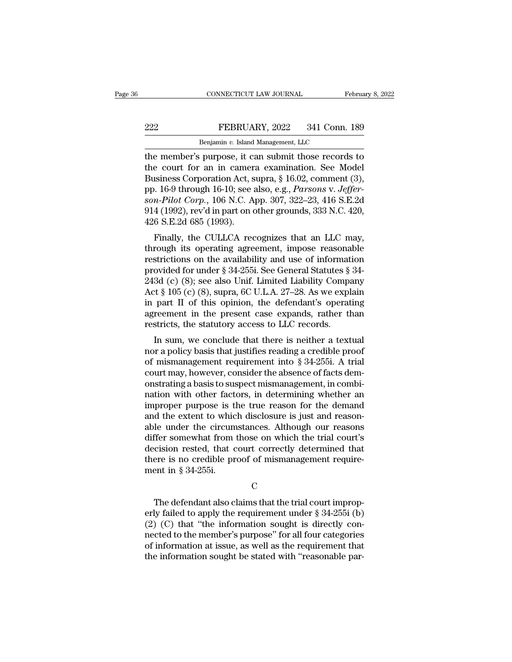CONNECTICUT LAW JOURNAL February 8, 2022<br>
PEBRUARY, 2022 341 Conn. 189<br>
Benjamin v. Island Management, LLC<br>
the member's purpose, it can submit those records to<br>
the court for an in camera examination. See Model<br>
Business EEBRUARY, 2022 341 Conn. 189<br>
Benjamin v. Island Management, LLC<br>
the member's purpose, it can submit those records to<br>
the court for an in camera examination. See Model<br>
Business Corporation Act, supra, § 16.02, comment ( EEBRUARY, 2022 341 Conn. 189<br>
Benjamin v. Island Management, LLC<br>
the member's purpose, it can submit those records to<br>
the court for an in camera examination. See Model<br>
Business Corporation Act, supra, § 16.02, comment **PEBRUARY, 2022** 341 Conn. 189<br>
Benjamin v. Island Management, LLC<br>
the member's purpose, it can submit those records to<br>
the court for an in camera examination. See Model<br>
Business Corporation Act, supra, § 16.02, comment **Benjamin v. Island Management, LLC**<br> **corp.** The member's purpose, it can submit those records to<br>
the court for an in camera examination. See Model<br>
Business Corporation Act, supra, § 16.02, comment (3),<br>
pp. 16-9 throug Benjamin v. Island Management, LLC<br>the member's purpose, it can submit those records to<br>the court for an in camera examination. See Model<br>Business Corporation Act, supra, § 16.02, comment (3),<br>pp. 16-9 through 16-10; see a the member's purpose, it can<br>the court for an in camer<br>Business Corporation Act, s<br>pp. 16-9 through 16-10; see a<br>son-Pilot Corp., 106 N.C. A<br>914 (1992), rev'd in part on c<br>426 S.E.2d 685 (1993).<br>Finally, the CULLCA rec isiness Corporation Act, supra, § 16.02, comment (3),<br>i. 16-9 through 16-10; see also, e.g., *Parsons v. Jeffer-*<br>*n-Pilot Corp.*, 106 N.C. App. 307, 322–23, 416 S.E.2d<br>4 (1992), rev'd in part on other grounds, 333 N.C. 42 business Corporation Act, supra,  $\frac{1}{8}$  10.02, comment (3),<br>pp. 16-9 through 16-10; see also, e.g., *Parsons v. Jeffer-*<br>son-*Pilot Corp.*, 106 N.C. App. 307, 322–23, 416 S.E.2d<br>914 (1992), rev'd in part on other groun

pp. 10-9 through 10-10, see also, e.g., *1 arsons v. segger*-<br>son-Pilot Corp., 106 N.C. App. 307, 322–23, 416 S.E.2d<br>914 (1992), rev'd in part on other grounds, 333 N.C. 420,<br>426 S.E.2d 685 (1993).<br>Finally, the CULLCA rec son-1 aod Corp., 100 N.C. App. 307, 322-25, 410 S.E.2d<br>914 (1992), rev'd in part on other grounds, 333 N.C. 420,<br>426 S.E.2d 685 (1993).<br>Finally, the CULLCA recognizes that an LLC may,<br>through its operating agreement, impo 243d (c) (8); see also Unif. Limited Liability Company<br>Act § 1093).<br>Act comparison is operating agreement, impose reasonable<br>restrictions on the availability and use of information<br>provided for under § 34-255i. See Genera Finally, the CULLCA recognizes that an LLC may,<br>through its operating agreement, impose reasonable<br>restrictions on the availability and use of information<br>provided for under § 34-255i. See General Statutes § 34-<br>243d (c) Finally, the CULLCA recognizes that an LLC may,<br>through its operating agreement, impose reasonable<br>restrictions on the availability and use of information<br>provided for under § 34-255i. See General Statutes § 34-<br>243d (c) through its operating agreement, impose reasonable<br>restrictions on the availability and use of information<br>provided for under § 34-255i. See General Statutes § 34-<br>243d (c) (8); see also Unif. Limited Liability Company<br>Ac restrictions on the availability and use of informat<br>provided for under § 34-255i. See General Statutes §<br>243d (c) (8); see also Unif. Limited Liability Compa<br>Act § 105 (c) (8), supra, 6C U.L.A. 27–28. As we expl<br>in part by details and there is supposed to the space of the space of the space of  $\S$  34 (c) (8), supra, 6C U.L.A. 27–28. As we explain part II of this opinion, the defendant's operating reement in the present case expands, rath 2450 (C) (8), see also Chii. Linned Liabinty Company<br>Act § 105 (c) (8), supra, 6C U.L.A. 27–28. As we explain<br>in part II of this opinion, the defendant's operating<br>agreement in the present case expands, rather than<br>restri

Act  $\frac{1}{8}$  105 (C) (O), supra, 0C 0.1.1.A. 21–20. As we explain<br>in part II of this opinion, the defendant's operating<br>agreement in the present case expands, rather than<br>restricts, the statutory access to LLC records.<br>I In part if of this opinion, the defendant s operating<br>agreement in the present case expands, rather than<br>restricts, the statutory access to LLC records.<br>In sum, we conclude that there is neither a textual<br>nor a policy bas a basis to LLC records.<br>
In sum, we conclude that there is neither a textual<br>
nor a policy basis that justifies reading a credible proof<br>
of mismanagement requirement into § 34-255i. A trial<br>
court may, however, consider t In sum, we conclude that there is neither a textual<br>nor a policy basis that justifies reading a credible proof<br>of mismanagement requirement into § 34-255i. A trial<br>court may, however, consider the absence of facts dem-<br>ons In sum, we conclude that there is neither a textual<br>nor a policy basis that justifies reading a credible proof<br>of mismanagement requirement into  $\S 34-255i$ . A trial<br>court may, however, consider the absence of facts dem-<br> nor a policy basis that justifies reading a credible proof<br>of mismanagement requirement into § 34-255i. A trial<br>court may, however, consider the absence of facts dem-<br>onstrating a basis to suspect mismanagement, in combiof mismanagement requirement into § 34-255i. A trial<br>court may, however, consider the absence of facts dem-<br>onstrating a basis to suspect mismanagement, in combi-<br>nation with other factors, in determining whether an<br>improp court may, however, consider the absence of facts demonstrating a basis to suspect mismanagement, in combination with other factors, in determining whether an improper purpose is the true reason for the demand<br>and the exte onstrating a basis to suspect mismanagement, in combination with other factors, in determining whether an improper purpose is the true reason for the demand and the extent to which disclosure is just and reasonable under nation with other factors, in determining whether an improper purpose is the true reason for the demand and the extent to which disclosure is just and reasonable under the circumstances. Although our reasons differ somewh improper purpose is t<br>and the extent to whic<br>able under the circum<br>differ somewhat from<br>decision rested, that c<br>there is no credible pr<br>ment in § 34-255i. ffer somewhat from those on which the trial court's<br>
cision rested, that court correctly determined that<br>
ere is no credible proof of mismanagement require-<br>
ent in § 34-255i.<br>
C<br>
The defendant also claims that the trial

### C<sub>c</sub>

decision rested, that court correctly determined that<br>there is no credible proof of mismanagement requirement<br>in § 34-255i.<br>C<br>The defendant also claims that the trial court improp-<br>erly failed to apply the requirement unde % there is no credible proof of mismanagement requirement in § 34-255i.<br>
C<br>  $\hfill$  C<br>
The defendant also claims that the trial court improperly failed to apply the requirement under § 34-255i (b)<br>
(2) (C) that "the informa C<br>C<br>C<br>The defendant also claims that the trial court improp-<br>erly failed to apply the requirement under § 34-255i (b)<br>(2) (C) that "the information sought is directly con-<br>nected to the member's purpose" for all four categ C<br>
The defendant also claims that the trial court improp-<br>
erly failed to apply the requirement under  $\S 34-255i$  (b)<br>
(2) (C) that "the information sought is directly con-<br>
nected to the member's purpose" for all four ca The defendant also claims that the trial court improperly failed to apply the requirement under  $\S 34-255i$  (b) (2) (C) that "the information sought is directly connected to the member's purpose" for all four categories o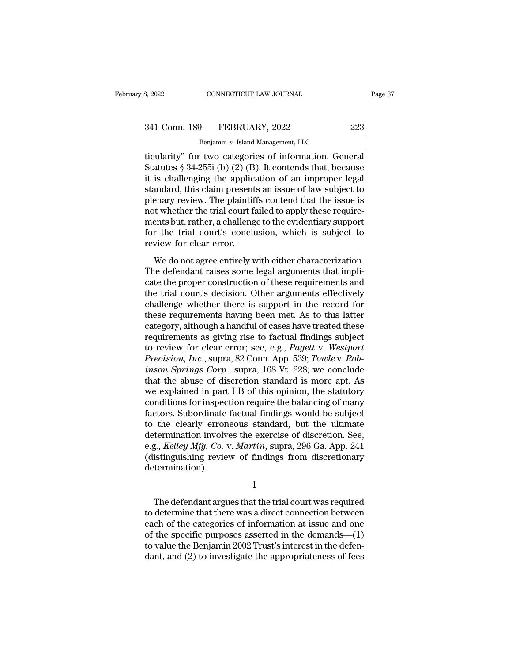# 341 Conn. 189 FEBRUARY, 2022 223<br>Benjamin v. Island Management, LLC

CONNECTICUT LAW JOURNAL<br>
<del>9 PEBRUARY, 2022<br>
Benjamin v. Island Management, LLC<br>
10 Categories of information Gene</del> the same of the same of the same of the same of the same of the same of the same of the same of the same of the same of the same of the same of the same of the same of the same of the same of the same of the same of the sa 341 Conn. 189 FEBRUARY, 2022 223<br>Benjamin v. Island Management, LLC<br>Ticularity" for two categories of information. General<br>Statutes § 34-255i (b) (2) (B). It contends that, because<br>it is challenging the application of an i 341 Conn. 189 FEBRUARY, 2022 223<br>
Benjamin v. Island Management, LLC<br>
itcularity" for two categories of information. General<br>
Statutes § 34-255i (b) (2) (B). It contends that, because<br>
it is challenging the application of 341 Conn. 189 FEBRUARY, 2022 223<br>
Benjamin v. Island Management, LLC<br>
ticularity" for two categories of information. General<br>
Statutes § 34-255i (b) (2) (B). It contends that, because<br>
it is challenging the application of Benjamin v. Island Management, LLC<br>
ticularity" for two categories of information. General<br>
Statutes § 34-255i (b) (2) (B). It contends that, because<br>
it is challenging the application of an improper legal<br>
standard, this Benjamin v. Island Management, LLC<br>
dicularity" for two categories of information. General<br>
Statutes § 34-255i (b) (2) (B). It contends that, because<br>
it is challenging the application of an improper legal<br>
standard, this ticularity" for two categories of information. General<br>Statutes § 34-255i (b) (2) (B). It contends that, because<br>it is challenging the application of an improper legal<br>standard, this claim presents an issue of law subject Statutes § 34-255i (b) (2) (B). It contends that, because<br>it is challenging the application of an improper legal<br>standard, this claim presents an issue of law subject to<br>plenary review. The plaintiffs contend that the iss it is challenging the applic<br>standard, this claim present<br>plenary review. The plaintif<br>not whether the trial court fa<br>ments but, rather, a challeng<br>for the trial court's concl<br>review for clear error.<br>We do not agree entire maard, ans claim presents an issue of it we subject to<br>enary review. The plaintiffs contend that the issue is<br>it whether the trial court failed to apply these require-<br>ents but, rather, a challenge to the evidentiary suppo plenary review. The plantants contend that the issue is<br>not whether the trial court failed to apply these require-<br>ments but, rather, a challenge to the evidentiary support<br>for the trial court's conclusion, which is subjec

next whence the that court takes to apply allowed requirements but, rather, a challenge to the evidentiary support<br>for the trial court's conclusion, which is subject to<br>review for clear error.<br>We do not agree entirely with the trial court's conclusion, which is subject to<br>review for clear error.<br>We do not agree entirely with either characterization.<br>The defendant raises some legal arguments that impli-<br>cate the proper construction of these r review for clear error.<br>
We do not agree entirely with either characterization.<br>
The defendant raises some legal arguments that impli-<br>
cate the proper construction of these requirements and<br>
the trial court's decision. Ot We do not agree entirely with either characterization.<br>The defendant raises some legal arguments that implicate the proper construction of these requirements and<br>the trial court's decision. Other arguments effectively<br>chal We do not agree entirely with either characterization.<br>The defendant raises some legal arguments that implicate the proper construction of these requirements and<br>the trial court's decision. Other arguments effectively<br>chal The defendant raises some legal arguments that implicate the proper construction of these requirements and the trial court's decision. Other arguments effectively challenge whether there is support in the record for these cate the proper construction of these requirements and<br>the trial court's decision. Other arguments effectively<br>challenge whether there is support in the record for<br>these requirements having been met. As to this latter<br>cate the trial court's decision. Other arguments effectively<br>challenge whether there is support in the record for<br>these requirements having been met. As to this latter<br>category, although a handful of cases have treated these<br>re challenge whether there is support in the record for<br>these requirements having been met. As to this latter<br>category, although a handful of cases have treated these<br>requirements as giving rise to factual findings subject<br>to these requirements having been met. As to this latter<br>category, although a handful of cases have treated these<br>requirements as giving rise to factual findings subject<br>to review for clear error; see, e.g., *Pagett* v. *West* category, although a handful of cases have treated these<br>requirements as giving rise to factual findings subject<br>to review for clear error; see, e.g., *Pagett* v. *Westport*<br>*Precision, Inc.*, supra, 82 Conn. App. 539; *To* requirements as giving rise to factual findings subject<br>to review for clear error; see, e.g., *Pagett v. Westport*<br>*Precision, Inc.*, supra, 82 Conn. App. 539; *Towle v. Rob-*<br>*inson Springs Corp.*, supra, 168 Vt. 228; we to review for clear error; see, e.g., *Pagett v. Westport*<br>*Precision, Inc.*, supra, 82 Conn. App. 539; *Towle v. Rob-*<br>*inson Springs Corp.*, supra, 168 Vt. 228; we conclude<br>that the abuse of discretion standard is more a Precision, Inc., supra, 82 Conn. App. 539; Towle v. Robinson Springs Corp., supra, 168 Vt. 228; we conclude that the abuse of discretion standard is more apt. As we explained in part I B of this opinion, the statutory cond inson Springs Corp., supra, 168 Vt. 228; we conclude<br>that the abuse of discretion standard is more apt. As<br>we explained in part I B of this opinion, the statutory<br>conditions for inspection require the balancing of many<br>fac that the abuse of discretion standard is more apt. As<br>we explained in part I B of this opinion, the statutory<br>conditions for inspection require the balancing of many<br>factors. Subordinate factual findings would be subject<br>t we explained in part I B of this opinion, the statutory<br>conditions for inspection require the balancing of many<br>factors. Subordinate factual findings would be subject<br>to the clearly erroneous standard, but the ultimate<br>det determination). termination involves the exercise of discretion. See,<br>g., *Kelley Mfg. Co.* v. *Martin*, supra, 296 Ga. App. 241<br>istinguishing review of findings from discretionary<br>termination).<br> $1$ <br>The defendant argues that the trial co

1

e.g., *Kelley Mfg. Co.* v. *Martin*, supra, 296 Ga. App. 241<br>
(distinguishing review of findings from discretionary<br>
determination).<br>  $1$ <br>
The defendant argues that the trial court was required<br>
to determine that there wa (distinguishing review of findings from discretionary<br>determination).<br> $1$ <br>The defendant argues that the trial court was required<br>to determine that there was a direct connection between<br>each of the categories of informatio determination).<br>  $1$ <br>
The defendant argues that the trial court was required<br>
to determine that there was a direct connection between<br>
each of the categories of information at issue and one<br>
of the specific purposes asser 1<br>The defendant argues that the trial court was required<br>to determine that there was a direct connection between<br>each of the categories of information at issue and one<br>of the specific purposes asserted in the demands—(1)<br>t The defendant argues that the trial court was required<br>to determine that there was a direct connection between<br>each of the categories of information at issue and one<br>of the specific purposes asserted in the demands—(1)<br>to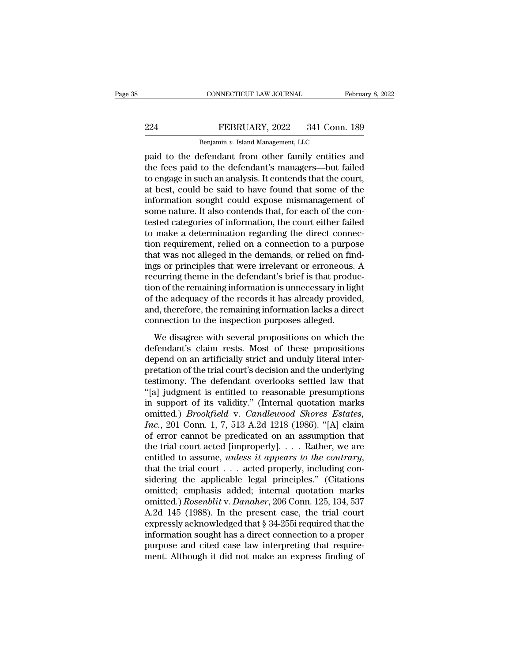## EXECTIVE CONNECTICUT LAW JOURNAL February 8, 2022<br>224 FEBRUARY, 2022 341 Conn. 189<br>224 FEBRUARY, 2022 341 Conn. 189 CONNECTICUT LAW JOURNAL FR<br>FEBRUARY, 2022 341 Conn.<br>Benjamin *v.* Island Management, LLC<br>efendant from other family entities

CONNECTICUT LAW JOURNAL February 8, 2022<br>
PEBRUARY, 2022 341 Conn. 189<br>
Benjamin v. Island Management, LLC<br>
paid to the defendant from other family entities and<br>
the fees paid to the defendant's managers—but failed<br>
to ong THE FEBRUARY, 2022 341 Conn. 189<br>
Benjamin v. Island Management, LLC<br>
paid to the defendant from other family entities and<br>
the fees paid to the defendant's managers—but failed<br>
to engage in such an analysis. It contends t EXERUARY, 2022 341 Conn. 189<br>
Benjamin v. Island Management, LLC<br>
paid to the defendant from other family entities and<br>
the fees paid to the defendant's managers—but failed<br>
to engage in such an analysis. It contends that PEBRUARY, 2022 341 Conn. 189<br>
Benjamin v. Island Management, LLC<br>
paid to the defendant from other family entities and<br>
the fees paid to the defendant's managers—but failed<br>
to engage in such an analysis. It contends that Benjamin v. Island Management, LLC<br>paid to the defendant from other family entities and<br>the fees paid to the defendant's managers—but failed<br>to engage in such an analysis. It contends that the court,<br>at best, could be said Benjamin v. Island Management, LLC<br>paid to the defendant from other family entities and<br>the fees paid to the defendant's managers—but failed<br>to engage in such an analysis. It contends that the court,<br>at best, could be sai paid to the defendant from other family entities and<br>the fees paid to the defendant's managers—but failed<br>to engage in such an analysis. It contends that the court,<br>at best, could be said to have found that some of the<br>inf the fees paid to the defendant's managers—but failed<br>to engage in such an analysis. It contends that the court,<br>at best, could be said to have found that some of the<br>information sought could expose mismanagement of<br>some na to engage in such an analysis. It contends that the court,<br>at best, could be said to have found that some of the<br>information sought could expose mismanagement of<br>some nature. It also contends that, for each of the con-<br>te at best, could be said to have found that some of the information sought could expose mismanagement of some nature. It also contends that, for each of the contested categories of information, the court either failed to mak information sought could expose mismanagement of<br>some nature. It also contends that, for each of the con-<br>tested categories of information, the court either failed<br>to make a determination regarding the direct connec-<br>tion some nature. It also contends that, for each of the contested categories of information, the court either failed to make a determination regarding the direct connection requirement, relied on a connection to a purpose that tested categories of information, the court either failed<br>to make a determination regarding the direct connec-<br>tion requirement, relied on a connection to a purpose<br>that was not alleged in the demands, or relied on find-<br>i to make a determination regarding the direct connection requirement, relied on a connection to a purpose<br>that was not alleged in the demands, or relied on find-<br>ings or principles that were irrelevant or erroneous. A<br>recur tion requirement, relied on a connection to a purpose<br>that was not alleged in the demands, or relied on find-<br>ings or principles that were irrelevant or erroneous. A<br>recurring theme in the defendant's brief is that producthat was not alleged in the demands, or relied on finings or principles that were irrelevant or erroneous.<br>recurring theme in the defendant's brief is that production of the remaining information is unnecessary in lig<br>of t Examples and were freedund of efforeced. The<br>curring theme in the defendant's brief is that produc-<br>on of the remaining information is unnecessary in light<br>the adequacy of the records it has already provided,<br>d, therefore, recurring atems in and derendantly strict is and production of the remaining information is unnecessary in light<br>of the adequacy of the records it has already provided,<br>and, therefore, the remaining information lacks a dir

depend on an artificially strict and unduly literal inter-<br>provided, and, therefore, the remaining information lacks a direct<br>connection to the inspection purposes alleged.<br>We disagree with several propositions on which th of the tradequates of the records to the underly provided,<br>and, therefore, the remaining information lacks a direct<br>connection to the inspection purposes alleged.<br>We disagree with several propositions on which the<br>defendan the defendant of the inspection purposes alleged.<br>
We disagree with several propositions on which the<br>
defendant's claim rests. Most of these propositions<br>
depend on an artificially strict and unduly literal inter-<br>
pretat We disagree with several propositions on which the<br>defendant's claim rests. Most of these propositions<br>depend on an artificially strict and unduly literal inter-<br>pretation of the trial court's decision and the underlying<br> We disagree with several propositions on which the<br>defendant's claim rests. Most of these propositions<br>depend on an artificially strict and unduly literal inter-<br>pretation of the trial court's decision and the underlying<br> defendant's claim rests. Most of these propositions<br>depend on an artificially strict and unduly literal inter-<br>pretation of the trial court's decision and the underlying<br>testimony. The defendant overlooks settled law that<br> depend on an artificially strict and unduly literal inter-<br>pretation of the trial court's decision and the underlying<br>testimony. The defendant overlooks settled law that<br>"[a] judgment is entitled to reasonable presumptions pretation of the trial court's decision and the underlying<br>testimony. The defendant overlooks settled law that<br>"[a] judgment is entitled to reasonable presumptions<br>in support of its validity." (Internal quotation marks<br>omi testimony. The defendant overlooks settled law that<br>"[a] judgment is entitled to reasonable presumptions<br>in support of its validity." (Internal quotation marks<br>omitted.) *Brookfield* v. *Candlewood Shores Estates*,<br> $Inc$ , 2 "[a] judgment is entitled to reasonable presumptions<br>in support of its validity." (Internal quotation marks<br>omitted.) *Brookfield* v. *Candlewood Shores Estates*,<br>*Inc.*, 201 Conn. 1, 7, 513 A.2d 1218 (1986). "[A] claim<br>of omitted.) *Brookfield* v. *Candlewood Shores Estates,*<br> *Inc.*, 201 Conn. 1, 7, 513 A.2d 1218 (1986). "[A] claim<br>
of error cannot be predicated on an assumption that<br>
the trial court acted [improperly].... Rather, we are<br> Inc., 201 Conn. 1, 7, 513 A.2d 1218 (1986). "[A] claim<br>of error cannot be predicated on an assumption that<br>the trial court acted [improperly].... Rather, we are<br>entitled to assume, *unless it appears to the contrary*,<br>tha of error cannot be predicated on an assumption that<br>the trial court acted [improperly]. . . . Rather, we are<br>entitled to assume, *unless it appears to the contrary*,<br>that the trial court . . . acted properly, including con the trial court acted [improperly]. . . . . Rather, we are entitled to assume, *unless it appears to the contrary*, that the trial court . . . acted properly, including considering the applicable legal principles." (Citat entitled to assume, *unless it appears to the contrary*,<br>that the trial court . . . acted properly, including con-<br>sidering the applicable legal principles." (Citations<br>omitted; emphasis added; internal quotation marks<br>om that the trial court  $\ldots$  acted properly, including considering the applicable legal principles." (Citations omitted; emphasis added; internal quotation marks omitted.) *Rosenblit* v. *Danaher*, 206 Conn. 125, 134, 537 A sidering the applicable legal principles." (Citations omitted; emphasis added; internal quotation marks omitted.) *Rosenblit v. Danaher*, 206 Conn. 125, 134, 537 A.2d 145 (1988). In the present case, the trial court expre omitted; emphasis added; internal quotation marks<br>omitted.) Rosenblit v. Danaher, 206 Conn. 125, 134, 537<br>A.2d 145 (1988). In the present case, the trial court<br>expressly acknowledged that § 34-255i required that the<br>inform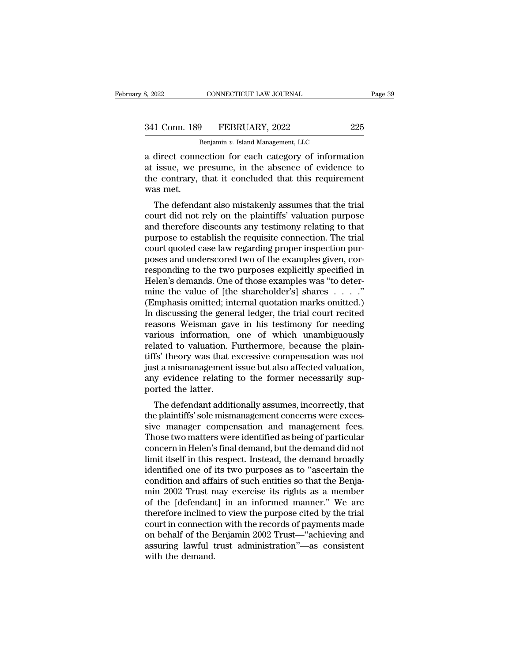| 3, 2022       | CONNECTICUT LAW JOURNAL            | Page 39 |
|---------------|------------------------------------|---------|
|               |                                    |         |
| 341 Conn. 189 | FEBRUARY, 2022                     | 225     |
|               | Benjamin v. Island Management, LLC |         |

CONNECTICUT LAW JOURNAL<br>
Physical Management, LLC<br>
Benjamin *v.* Island Management, LLC<br>
ection for each category of informat a direct connection for each category of information<br>direct connection for each category of information<br>direct connection for each category of information<br>at issue, we presume, in the absence of evidence to<br>the contrary th 341 Conn. 189 FEBRUARY, 2022 225<br>Benjamin v. Island Management, LLC<br>a direct connection for each category of information<br>at issue, we presume, in the absence of evidence to<br>the contrary, that it concluded that this require 341 Conn. 189 FEBRUARY, 2022 225<br>Benjamin v. Island Management, LLC<br>a direct connection for each category of information<br>at issue, we presume, in the absence of evidence to<br>the contrary, that it concluded that this requir 341 Conn. 189<br>
I<br>
a direct conne<br>
at issue, we p<br>
the contrary,<br>
was met.<br>
The defenda Benjamin  $v$ . Island Management, LLC<br>direct connection for each category of information<br>issue, we presume, in the absence of evidence to<br>e contrary, that it concluded that this requirement<br>as met.<br>The defendant also mista a direct connection for each category of information<br>at issue, we presume, in the absence of evidence to<br>the contrary, that it concluded that this requirement<br>was met.<br>The defendant also mistakenly assumes that the trial<br>c

a unect connection for each category of information<br>at issue, we presume, in the absence of evidence to<br>the contrary, that it concluded that this requirement<br>was met.<br>The defendant also mistakenly assumes that the trial<br>co at issue, we presume, in the absence of evidence to<br>the contrary, that it concluded that this requirement<br>was met.<br>The defendant also mistakenly assumes that the trial<br>court did not rely on the plaintiffs' valuation purpos the contrary, that it concluded that this requirement<br>was met.<br>The defendant also mistakenly assumes that the trial<br>court did not rely on the plaintiffs' valuation purpose<br>and therefore discounts any testimony relating to was met.<br>The defendant also mistakenly assumes that the trial<br>court did not rely on the plaintiffs' valuation purpose<br>and therefore discounts any testimony relating to that<br>purpose to establish the requisite connection. Th The defendant also mistakenly assumes that the trial<br>court did not rely on the plaintiffs' valuation purpose<br>and therefore discounts any testimony relating to that<br>purpose to establish the requisite connection. The trial<br>c court did not rely on the plaintiffs' valuation purpose<br>and therefore discounts any testimony relating to that<br>purpose to establish the requisite connection. The trial<br>court quoted case law regarding proper inspection purand therefore discounts any testimony relating to that<br>purpose to establish the requisite connection. The trial<br>court quoted case law regarding proper inspection pur-<br>poses and underscored two of the examples given, cor-<br>r purpose to establish the requisite connection. The trial<br>court quoted case law regarding proper inspection pur-<br>poses and underscored two of the examples given, cor-<br>responding to the two purposes explicitly specified in<br>H court quoted case law regarding proper inspection pur-<br>poses and underscored two of the examples given, cor-<br>responding to the two purposes explicitly specified in<br>Helen's demands. One of those examples was "to deter-<br>mine poses and underscored two of the examples given, corresponding to the two purposes explicitly specified in Helen's demands. One of those examples was "to determine the value of [the shareholder's] shares . . . ."<br>(Emphasis responding to the two purposes explicitly specified in<br>Helen's demands. One of those examples was "to deter-<br>mine the value of [the shareholder's] shares . . . . ."<br>(Emphasis omitted; internal quotation marks omitted.)<br>In Helen's demands. One of those examples was "to determine the value of [the shareholder's] shares . . . . ."<br>(Emphasis omitted; internal quotation marks omitted.)<br>In discussing the general ledger, the trial court recited<br>re mine the value of [the shareholder's] shares  $\ldots$ ."<br>(Emphasis omitted; internal quotation marks omitted.)<br>In discussing the general ledger, the trial court recited<br>reasons Weisman gave in his testimony for needing<br>variou (Emphasis omitted; internal quotation marks omitted.)<br>In discussing the general ledger, the trial court recited<br>reasons Weisman gave in his testimony for needing<br>various information, one of which unambiguously<br>related to v In discussing the general ledger, the trial court recited<br>reasons Weisman gave in his testimony for needing<br>various information, one of which unambiguously<br>related to valuation. Furthermore, because the plain-<br>tiffs' theor reasons Weisman gavarious information,<br>related to valuation. If<br>tiffs' theory was that  $\epsilon$ <br>just a mismanagement<br>any evidence relating<br>ported the latter.<br>The defendant additi Thous Information, one of which unaninguously<br>lated to valuation. Furthermore, because the plain-<br>fs' theory was that excessive compensation was not<br>st a mismanagement issue but also affected valuation,<br>y evidence relating related to valuation. Furthermore, because the plain-<br>tiffs' theory was that excessive compensation was not<br>just a mismanagement issue but also affected valuation,<br>any evidence relating to the former necessarily sup-<br>porte

this theory was that excessive compensation was not<br>just a mismanagement issue but also affected valuation,<br>any evidence relating to the former necessarily sup-<br>ported the latter.<br>The defendant additionally assumes, incorr The defendant additionally assumes, incorrectly, that<br>the plaintiffs' sole mismanagement concerns were excessive manager compensation and management fees.<br>Those two matters were identified as being of particular<br>concern in any evidence relating to the former necessarily sup-<br>ported the latter.<br>The defendant additionally assumes, incorrectly, that<br>the plaintiffs' sole mismanagement concerns were exces-<br>sive manager compensation and management ported the latter.<br>
The defendant additionally assumes, incorrectly, that<br>
the plaintiffs' sole mismanagement concerns were exces-<br>
sive manager compensation and management fees.<br>
Those two matters were identified as being The defendant additionally assumes, incorrectly, that<br>the plaintiffs' sole mismanagement concerns were exces-<br>sive manager compensation and management fees.<br>Those two matters were identified as being of particular<br>concern the plaintiffs' sole mismanagement concerns were excessive manager compensation and management fees.<br>Those two matters were identified as being of particular<br>concern in Helen's final demand, but the demand did not<br>limit it sive manager compensation and management fees.<br>Those two matters were identified as being of particular<br>concern in Helen's final demand, but the demand did not<br>limit itself in this respect. Instead, the demand broadly<br>iden Those two matters were identified as being of particular<br>concern in Helen's final demand, but the demand did not<br>limit itself in this respect. Instead, the demand broadly<br>identified one of its two purposes as to "ascertain concern in Helen's final demand, but the demand did not<br>limit itself in this respect. Instead, the demand broadly<br>identified one of its two purposes as to "ascertain the<br>condition and affairs of such entities so that the B limit itself in this respect. Instead, the demand broadly<br>identified one of its two purposes as to "ascertain the<br>condition and affairs of such entities so that the Benja-<br>min 2002 Trust may exercise its rights as a member identified one of its two purposes as to "ascertain the condition and affairs of such entities so that the Benjamin 2002 Trust—may exercise its rights as a member<br>of the [defendant] in an informed manner." We are<br>therefore condition and affairs of such entities so that the Benjamin 2002 Trust may exercise its rights as a member<br>of the [defendant] in an informed manner." We are<br>therefore inclined to view the purpose cited by the trial<br>court i min 2002 Trust n<br>of the [defendan<br>therefore inclined<br>court in connectic<br>on behalf of the E<br>assuring lawful t<br>with the demand.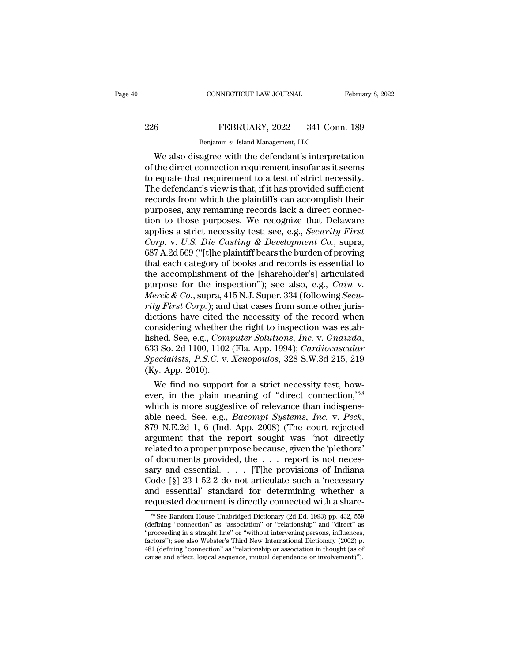## EXECTIVE CONNECTICUT LAW JOURNAL February 8, 2022<br>226 FEBRUARY, 2022 341 Conn. 189<br>Benjamin v. Island Management, LLC CONNECTICUT LAW JOURNAL FREEXPLARY, 2022 341 Conn.<br>Benjamin *v.* Island Management, LLC<br>Benjamin *v.* Island Management, LLC

CONNECTICUT LAW JOURNAL February 8, 2022<br>
FEBRUARY, 2022 341 Conn. 189<br>
Benjamin v. Island Management, LLC<br>
We also disagree with the defendant's interpretation<br>
the direct connection requirement insofar as it seems<br>
count EEBRUARY, 2022 341 Conn. 189<br>
Benjamin v. Island Management, LLC<br>
We also disagree with the defendant's interpretation<br>
of the direct connection requirement insofar as it seems<br>
to equate that requirement to a test of stri EXECUARY, 2022 341 Conn. 189<br>
Benjamin v. Island Management, LLC<br>
We also disagree with the defendant's interpretation<br>
of the direct connection requirement insofar as it seems<br>
to equate that requirement to a test of str The defendant of the planting  $\frac{189}{200}$  and Management, LLC we also disagree with the defendant's interpretation of the direct connection requirement insofar as it seems to equate that requirement to a test of strict Renjamin v. Island Management, LLC<br>
We also disagree with the defendant's interpretation<br>
of the direct connection requirement insofar as it seems<br>
to equate that requirement to a test of strict necessity.<br>
The defendant's Benjamin v. Island Management, LLC<br>We also disagree with the defendant's interpretation<br>of the direct connection requirement insofar as it seems<br>to equate that requirement to a test of strict necessity.<br>The defendant's vi We also disagree with the defendant's interpretation<br>of the direct connection requirement insofar as it seems<br>to equate that requirement to a test of strict necessity.<br>The defendant's view is that, if it has provided suff of the direct connection requirement insofar as it seems<br>to equate that requirement to a test of strict necessity.<br>The defendant's view is that, if it has provided sufficient<br>records from which the plaintiffs can accomplis to equate that requirement to a test of strict necessity.<br>The defendant's view is that, if it has provided sufficient<br>records from which the plaintiffs can accomplish their<br>purposes, any remaining records lack a direct con The defendant's view is that, if it has provided sufficient<br>records from which the plaintiffs can accomplish their<br>purposes, any remaining records lack a direct connec-<br>tion to those purposes. We recognize that Delaware<br>ap records from which the plaintiffs can accomplish their<br>purposes, any remaining records lack a direct connec-<br>tion to those purposes. We recognize that Delaware<br>applies a strict necessity test; see, e.g., *Security First*<br> purposes, any remaining records lack a direct connection to those purposes. We recognize that Delaware<br>applies a strict necessity test; see, e.g., *Security First*<br>*Corp.* v. *U.S. Die Casting & Development Co.*, supra,<br>68 tion to those purposes. We recognize that Delaware<br>applies a strict necessity test; see, e.g., *Security First*<br>*Corp.* v. *U.S. Die Casting & Development Co.*, supra,<br>687 A.2d 569 ("[t]he plaintiff bears the burden of pro applies a strict necessity test; see, e.g., *Security First*<br>*Corp.* v. *U.S. Die Casting & Development Co.*, supra,<br>687 A.2d 569 ("[t]he plaintiff bears the burden of proving<br>that each category of books and records is ess *Corp.* v. U.S. Die Casting & Development Co., supra, 687 A.2d 569 ("[t]he plaintiff bears the burden of proving that each category of books and records is essential to the accomplishment of the [shareholder's] articulated 687 A.2d 569 ("[t]he plaintiff bears the burden of proving<br>that each category of books and records is essential to<br>the accomplishment of the [shareholder's] articulated<br>purpose for the inspection"); see also, e.g., *Cain* that each category of books and records is essential to<br>the accomplishment of the [shareholder's] articulated<br>purpose for the inspection"); see also, e.g., *Cain v.*<br>*Merck & Co.*, supra, 415 N.J. Super. 334 (following *S* the accomplishment of the [shareholder's] articulated<br>purpose for the inspection"); see also, e.g., *Cain v.*<br>*Merck & Co.*, supra, 415 N.J. Super. 334 (following *Secu-*<br>rity First Corp.); and that cases from some other j *Merck & Co.*, supra, 415 N.J. Super. 334 (following *Security First Corp.*); and that cases from some other jurisdictions have cited the necessity of the record when considering whether the right to inspection was establi rity First Corp.); and<br>dictions have cited tl<br>considering whether<br>lished. See, e.g., Com<br>633 So. 2d 1100, 1102<br>Specialists, P.S.C. v.<br>(Ky. App. 2010).<br>We find no suppor ctions have cited the necessity of the record when<br>nsidering whether the right to inspection was estab-<br>hed. See, e.g., *Computer Solutions*, *Inc.* v. *Gnaizda*,<br>3 So. 2d 1100, 1102 (Fla. App. 1994); *Cardiovascular*<br>*ecc* considering whether the right to inspection was estab-<br>lished. See, e.g., *Computer Solutions, Inc.* v. *Gnaizda*,<br>633 So. 2d 1100, 1102 (Fla. App. 1994); *Cardiovascular*<br>*Specialists, P.S.C.* v. *Xenopoulos,* 328 S.W.3d

fished. See, e.g., Computer Solutions, Inc. v. Gnaizda,<br>633 So. 2d 1100, 1102 (Fla. App. 1994); Cardiovascular<br>Specialists, P.S.C. v. Xenopoulos, 328 S.W.3d 215, 219<br>(Ky. App. 2010).<br>We find no support for a strict necess 633 So. 2d 1100, 1102 (Fla. App. 1994); *Cardiovascular*<br>Specialists, P.S.C. v. *Xenopoulos*, 328 S.W.3d 215, 219<br>(Ky. App. 2010).<br>We find no support for a strict necessity test, how-<br>ever, in the plain meaning of "direct (Ky. App. 2010).<br>
We find no support for a strict necessity test, how-<br>
ever, in the plain meaning of "direct connection,"<sup>28</sup><br>
which is more suggestive of relevance than indispens-<br>
able need. See, e.g., *Bacompt Systems* We find no support for a strict necessity test, how-<br>ever, in the plain meaning of "direct connection,"<sup>28</sup><br>which is more suggestive of relevance than indispens-<br>able need. See, e.g., *Bacompt Systems*, *Inc.* v. *Peck*,<br> ever, in the plain meaning of "direct connection,"<sup>28</sup><br>which is more suggestive of relevance than indispens-<br>able need. See, e.g., *Bacompt Systems*, *Inc.* v. *Peck*,<br>879 N.E.2d 1, 6 (Ind. App. 2008) (The court rejected<br> which is more suggestive of relevance than indispensable need. See, e.g., *Bacompt Systems*, *Inc.* v. *Peck*, 879 N.E.2d 1, 6 (Ind. App. 2008) (The court rejected argument that the report sought was "not directly related able need. See, e.g., *Bacompt Systems*, *Inc.* v. *Peck*, 879 N.E.2d 1, 6 (Ind. App. 2008) (The court rejected argument that the report sought was "not directly related to a proper purpose because, given the 'plethora' o 879 N.E.2d 1, 6 (Ind. App. 2008) (The court rejected<br>argument that the report sought was "not directly<br>related to a proper purpose because, given the 'plethora'<br>of documents provided, the  $\dots$  report is not neces-<br>sary an of documents provided, the . . . report is not necessary and essential. . . . [T]he provisions of Indiana Code [§] 23-1-52-2 do not articulate such a 'necessary and essential' standard for determining whether a requested ary and essential. . . . . [T]he provisions of Indiana<br>
ode [§] 23-1-52-2 do not articulate such a 'necessary<br>
and essential' standard for determining whether a<br>
equested document is directly connected with a share-<br>  $\frac{$ Code [§] 23-1-52-2 do not articulate such a 'necessary<br>and essential' standard for determining whether a<br>requested document is directly connected with a share-<br> $\frac{1}{28}$  See Random House Unabridged Dictionary (2d Ed. 199

and essential' standard for determining whether a requested document is directly connected with a share-<br>  $\frac{1}{28}$  See Random House Unabridged Dictionary (2d Ed. 1993) pp. 432, 559 (defining "connection" as "association requested document is directly connected with a share-<br>
<sup>28</sup> See Random House Unabridged Dictionary (2d Ed. 1993) pp. 432, 559<br>
(defining "connection" as "association" or "relationship" and "direct" as<br>
"proceeding in a s requested document is directly connected with a share-<br><sup>28</sup> See Random House Unabridged Dictionary (2d Ed. 1993) pp. 432, 559<br>(defining "connection" as "association" or "relationship" and "direct" as<br>"proceeding in a strai <sup>28</sup> See Random House Unabridged Dictionary (2d Ed. 1993) pp. 432, 559 (defining "connection" as "association" or "relationship" and "direct" as "proceeding in a straight line" or "without intervening persons, influences,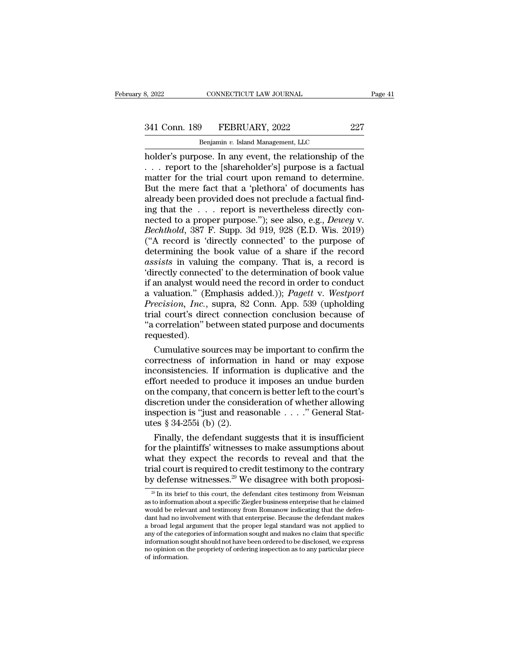# 341 Conn. 189 FEBRUARY, 2022 227<br>Benjamin v. Island Management, LLC

CONNECTICUT LAW JOURNAL<br> **Benjamin** *v.* **Island Management, LLC<br>
OSE In any event the relationship of** holder's purpose. In any event, the relationship of the content of the relationship of the content of the relationship of the content of the relationship of the content of the relationship of the contract of the relationsh 341 Conn. 189 FEBRUARY, 2022 227<br>
Benjamin v. Island Management, LLC<br>
holder's purpose. In any event, the relationship of the<br>
... report to the [shareholder's] purpose is a factual<br>
matter for the trial court upon remand 341 Conn. 189 FEBRUARY, 2022 227<br>
Benjamin v. Island Management, LLC<br>
holder's purpose. In any event, the relationship of the<br>
... report to the [shareholder's] purpose is a factual<br>
matter for the trial court upon remand  $341$  Conn. 189 FEBRUARY, 2022 227<br>
Benjamin v. Island Management, LLC<br>
holder's purpose. In any event, the relationship of the<br>
... report to the [shareholder's] purpose is a factual<br>
matter for the trial court upon rema Benjamin v. Island Management, LLC<br>
holder's purpose. In any event, the relationship of the<br>  $\ldots$  report to the [shareholder's] purpose is a factual<br>
matter for the trial court upon remand to determine.<br>
But the mere fac Benjamin v. Island Management, LLC<br>
holder's purpose. In any event, the relationship of the<br>
... report to the [shareholder's] purpose is a factual<br>
matter for the trial court upon remand to determine.<br>
But the mere fact holder's purpose. In any event, the relationship of the<br>
... report to the [shareholder's] purpose is a factual<br>
matter for the trial court upon remand to determine.<br>
But the mere fact that a 'plethora' of documents has<br>
a *Bechtholder's* and the scheme is a factual matter for the trial court upon remand to determine.<br>
But the mere fact that a 'plethora' of documents has already been provided does not preclude a factual finding that the . . matter for the trial court upon remand to determine.<br>But the mere fact that a 'plethora' of documents has<br>already been provided does not preclude a factual find-<br>ing that the  $\ldots$  report is nevertheless directly con-<br>nec But the mere fact that a 'plethora' of documents has<br>already been provided does not preclude a factual find-<br>ing that the  $\ldots$  report is nevertheless directly con-<br>nected to a proper purpose."); see also, e.g., *Dewey* v already been provided does not preclude a factual find-<br>ing that the . . . report is nevertheless directly con-<br>nected to a proper purpose."); see also, e.g., *Dewey* v.<br>*Bechthold*, 387 F. Supp. 3d 919, 928 (E.D. Wis. 201 ing that the  $\ldots$  report is nevertheless directly connected to a proper purpose."); see also, e.g., *Dewey v.*<br>*Bechthold*, 387 F. Supp. 3d 919, 928 (E.D. Wis. 2019)<br>("A record is 'directly connected' to the purpose of<br>d nected to a proper purpose."); see also, e.g., *Dewey v.*<br> *Bechthold*, 387 F. Supp. 3d 919, 928 (E.D. Wis. 2019)<br>
("A record is 'directly connected' to the purpose of<br>
determining the book value of a share if the record<br> Bechthold, 387 F. Supp. 3d 919, 928 (E.D. Wis. 2019)<br>("A record is 'directly connected' to the purpose of<br>determining the book value of a share if the record<br>assists in valuing the company. That is, a record is<br>'directly c ("A record is 'directly connected' to the purpose of<br>determining the book value of a share if the record<br>assists in valuing the company. That is, a record is<br>'directly connected' to the determination of book value<br>if an an determining the book value of a share if the record assists in valuing the company. That is, a record is 'directly connected' to the determination of book value if an analyst would need the record in order to conduct a val assists in valuing the company. That is, a record is<br>
'directly connected' to the determination of book value<br>
if an analyst would need the record in order to conduct<br>
a valuation." (Emphasis added.)); *Pagett* v. *Westpor* requested). an analyst would need the record in order to conduct<br>valuation." (Emphasis added.)); *Pagett* v. Westport<br>vecision, Inc., supra, 82 Conn. App. 539 (upholding<br>al court's direct connection conclusion because of<br>correlation" a valuation." (Emphasis added.)); *Pagett* v. Westport<br>*Precision, Inc.*, supra, 82 Conn. App. 539 (upholding<br>trial court's direct connection conclusion because of<br>"a correlation" between stated purpose and documents<br>reque

Precision, Inc., supra, 82 Conn. App. 539 (upholding<br>trial court's direct connection conclusion because of<br>"a correlation" between stated purpose and documents<br>requested).<br>Cumulative sources may be important to confirm the trial court's direct connection conclusion because of<br>"a correlation" between stated purpose and documents<br>requested).<br>Cumulative sources may be important to confirm the<br>correctness of information in hand or may expose<br>inc "a correlation" between stated purpose and documents<br>requested).<br>Cumulative sources may be important to confirm the<br>correctness of information in hand or may expose<br>inconsistencies. If information is duplicative and the<br>ef requested).<br>Cumulative sources may be important to confirm the<br>correctness of information in hand or may expose<br>inconsistencies. If information is duplicative and the<br>effort needed to produce it imposes an undue burden<br>on Cumulative sources may be important to confirm the correctness of information in hand or may expose inconsistencies. If information is duplicative and the effort needed to produce it imposes an undue burden on the company correctness of information<br>inconsistencies. If information<br>effort needed to produce if<br>on the company, that conce<br>discretion under the consider<br>inspection is "just and reasures § 34-255i (b) (2).<br>Finally, the defendant su consistencies. If information is duplicative and the<br>fort needed to produce it imposes an undue burden<br>the company, that concern is better left to the court's<br>scretion under the consideration of whether allowing<br>spection effort needed to produce it imposes an undue burden<br>on the company, that concern is better left to the court's<br>discretion under the consideration of whether allowing<br>inspection is "just and reasonable  $\ldots$ ." General Stat

on the company, that concern is better left to the court's<br>discretion under the consideration of whether allowing<br>inspection is "just and reasonable . . . ." General Stat-<br>utes § 34-255i (b) (2).<br>Finally, the defendant su discretion under the consideration of whether allowing<br>inspection is "just and reasonable . . . ." General Stat-<br>utes § 34-255i (b) (2).<br>Finally, the defendant suggests that it is insufficient<br>for the plaintiffs' witnesse inspection is "just and reasonable . . . . ." General Stat-<br>utes § 34-255i (b) (2).<br>Finally, the defendant suggests that it is insufficient<br>for the plaintiffs' witnesses to make assumptions about<br>what they expect the reco For the plaintiffs' witnesses to make assumptions about<br>that they expect the records to reveal and that the<br>ial court is required to credit testimony to the contrary<br> $y$  defense witnesses.<sup>29</sup> We disagree with both propos what they expect the records to reveal and that the trial court is required to credit testimony to the contrary by defense witnesses.<sup>29</sup> We disagree with both proposi<sup>29</sup> In its brief to this court, the defendant cites t

What they expect the records to revear and that the<br>trial court is required to credit testimony to the contrary<br>by defense witnesses.<sup>29</sup> We disagree with both proposi-<br> $\frac{1}{2}$  In its brief to this court, the defendant trial court is required to credit testimony to the contrary<br>by defense witnesses.<sup>29</sup> We disagree with both proposi-<br> $\frac{20}{10}$  In its brief to this court, the defendant cites testimony from Weisman<br>as to information abo by defense witnesses.<sup>29</sup> We disagree with both proposi-<br><sup>29</sup> In its brief to this court, the defendant cites testimony from Weisman<br>as to information about a specific Ziegler business enterprise that he claimed<br>would be  $29$  In its brief to this court, the defendant cites testimony from Weisman as to information about a specific Ziegler business enterprise that he claimed would be relevant and testimony from Romanow indicating that the d  $^{29}$  In its brief to this court, the defendant cites testimony from Weisman as to information about a specific Ziegler business enterprise that he claimed would be relevant and testimony from Romanow indicating that the as to information about a specific Ziegler business enterprise that he claimed<br>would be relevant and testimony from Romanow indicating that the defen-<br>dant had no involvement with that enterprise. Because the defendant mak would be relev.<br>dant had no inv<br>a broad legal a<br>any of the categ<br>information sou<br>no opinion on t<br>of information.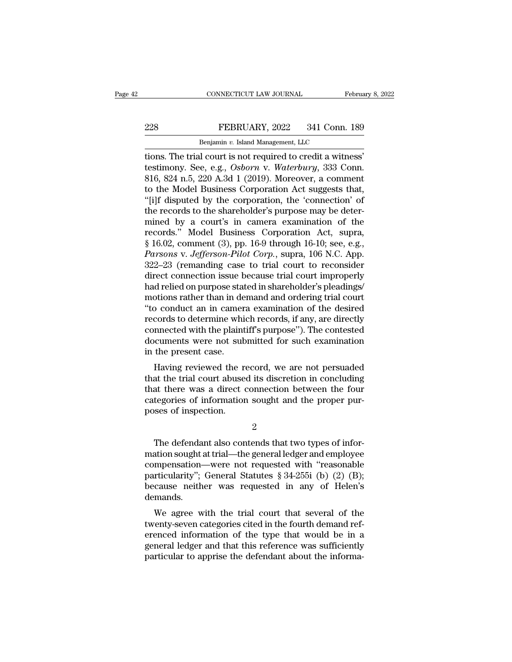## EXECTIVE CONNECTICUT LAW JOURNAL February 8, 2022<br>228 FEBRUARY, 2022 341 Conn. 189<br>228 Benjamin v. Island Management, LLC CONNECTICUT LAW JOURNAL FREEXPLARY, 2022 341 Conn.<br>Benjamin *v.* Island Management, LLC<br>Il court is not required to credit a with

CONNECTICUT LAW JOURNAL February 8, 2<br>
PEBRUARY, 2022 341 Conn. 189<br>
Benjamin v. Island Management, LLC<br>
Tions. The trial court is not required to credit a witness'<br>
testimony. See, e.g., *Osborn* v. *Waterbury*, 333 Conn. The Senjamin v. Island Management, LLC<br>
Benjamin v. Island Management, LLC<br>
tions. The trial court is not required to credit a witness'<br>
testimony. See, e.g., *Osborn* v. *Waterbury*, 333 Conn.<br>
816, 824 n.5, 220 A.3d 1 (2 EXEMPLARY, 2022 341 Conn. 189<br>
Benjamin v. Island Management, LLC<br>
tions. The trial court is not required to credit a witness'<br>
testimony. See, e.g., *Osborn v. Waterbury*, 333 Conn.<br>
816, 824 n.5, 220 A.3d 1 (2019). More EXERUARY, 2022 341 Conn. 189<br>
Benjamin v. Island Management, LLC<br>
tions. The trial court is not required to credit a witness'<br>
testimony. See, e.g., *Osborn* v. *Waterbury*, 333 Conn.<br>
816, 824 n.5, 220 A.3d 1 (2019). Mor Benjamin v. Island Management, LLC<br>
tions. The trial court is not required to credit a witness'<br>
testimony. See, e.g., *Osborn* v. *Waterbury*, 333 Conn.<br>
816, 824 n.5, 220 A.3d 1 (2019). Moreover, a comment<br>
to the Model Benjamin v. Island Management, LLC<br>tions. The trial court is not required to credit a witness'<br>testimony. See, e.g., Osborn v. Waterbury, 333 Conn.<br>816, 824 n.5, 220 A.3d 1 (2019). Moreover, a comment<br>to the Model Busines tions. The trial court is not required to credit a witness'<br>testimony. See, e.g., *Osborn* v. *Waterbury*, 333 Conn.<br>816, 824 n.5, 220 A.3d 1 (2019). Moreover, a comment<br>to the Model Business Corporation Act suggests that testimony. See, e.g., *Osborn v. Waterbury*, 333 Conn.<br>816, 824 n.5, 220 A.3d 1 (2019). Moreover, a comment<br>to the Model Business Corporation Act suggests that,<br>"[i]f disputed by the corporation, the 'connection' of<br>the r 816, 824 n.5, 220 A.3d 1 (2019). Moreover, a comment<br>to the Model Business Corporation Act suggests that,<br>"[i]f disputed by the corporation, the 'connection' of<br>the records to the shareholder's purpose may be deter-<br>mined to the Model Business Corporation Act suggests that,<br>"[i]f disputed by the corporation, the 'connection' of<br>the records to the shareholder's purpose may be deter-<br>mined by a court's in camera examination of the<br>records." M "[i]f disputed by the corporation, the 'connection' of<br>the records to the shareholder's purpose may be deter-<br>mined by a court's in camera examination of the<br>records." Model Business Corporation Act, supra,<br> $§ 16.02$ , com the records to the shareholder's purpose may be deter-<br>mined by a court's in camera examination of the<br>records." Model Business Corporation Act, supra,<br>§ 16.02, comment (3), pp. 16-9 through 16-10; see, e.g.,<br>*Parsons* v. mined by a court's in camera examination of the<br>records." Model Business Corporation Act, supra,<br>§ 16.02, comment (3), pp. 16-9 through 16-10; see, e.g.,<br>*Parsons* v. *Jefferson-Pilot Corp*., supra, 106 N.C. App.<br>322–23 (r records." Model Business Corporation Act, supra,<br>§ 16.02, comment (3), pp. 16-9 through 16-10; see, e.g.,<br>*Parsons* v. *Jefferson-Pilot Corp.*, supra, 106 N.C. App.<br>322–23 (remanding case to trial court to reconsider<br>direc § 16.02, comment (3), pp. 16-9 through 16-10; see, e.g.,<br>*Parsons v. Jefferson-Pilot Corp.*, supra, 106 N.C. App.<br>322–23 (remanding case to trial court to reconsider<br>direct connection issue because trial court improperly<br>h Parsons v. Jefferson-Pilot Corp., supra, 106 N.C. App.<br>322–23 (remanding case to trial court to reconsider<br>direct connection issue because trial court improperly<br>had relied on purpose stated in shareholder's pleadings/<br>mot 322–23 (remanding case to trial court to reconsider<br>direct connection issue because trial court improperly<br>had relied on purpose stated in shareholder's pleadings/<br>motions rather than in demand and ordering trial court<br>"to direct connection issue because trial court improperly<br>had relied on purpose stated in shareholder's pleadings/<br>motions rather than in demand and ordering trial court<br>"to conduct an in camera examination of the desired<br>rec had relied on purpose stat<br>motions rather than in de<br>"to conduct an in camer<br>records to determine whi<br>connected with the plaint<br>documents were not suk<br>in the present case.<br>Having reviewed the r buons rather than in dentant and ordering trial court<br>o conduct an in camera examination of the desired<br>cords to determine which records, if any, are directly<br>nnected with the plaintiff's purpose"). The contested<br>cuments w to conduct an in callera examination of the desired<br>records to determine which records, if any, are directly<br>connected with the plaintiff's purpose''). The contested<br>documents were not submitted for such examination<br>in the

records to determine which records, if any, are directly<br>connected with the plaintiff's purpose"). The contested<br>documents were not submitted for such examination<br>in the present case.<br>Having reviewed the record, we are not connected with the plantiful s purpose formation documents were not submitted for such examination in the present case.<br>Having reviewed the record, we are not persuaded that the trial court abused its discretion in conclud module the present case.<br>
Having reviewed the rethat the trial court abuse<br>
that there was a direct c<br>
categories of information<br>
poses of inspection. % at the trial court abused its discretion in concluding<br>at there was a direct connection between the four<br>tegories of information sought and the proper pur-<br>ses of inspection.<br> $\frac{2}{100}$ <br>The defendant also contends that

2

that there was a direct connection between the four<br>
categories of information sought and the proper pur-<br>
poses of inspection.<br>  $\frac{2}{\sqrt{1-\frac{1}{2}}}$ <br>
The defendant also contends that two types of infor-<br>
mation sought at t categories of information sought and the proper pur-<br>poses of inspection.<br>2<br>The defendant also contends that two types of infor-<br>mation sought at trial—the general ledger and employee<br>compensation—were not requested with " poses of inspection.<br>
2<br>
The defendant also contends that two types of information sought at trial—the general ledger and employee<br>
compensation—were not requested with "reasonable<br>
particularity"; General Statutes § 34-25 2<br>The defendant also contends that two types of infor-<br>mation sought at trial—the general ledger and employee<br>compensation—were not requested with "reasonable<br>particularity"; General Statutes  $\S 34-255i$  (b) (2) (B);<br>beca demands. The defendant also contends that two types of mod-<br>ation sought at trial—the general ledger and employee<br>mpensation—were not requested with "reasonable<br>rticularity"; General Statutes § 34-255i (b) (2) (B);<br>cause neither w thation sought at that—the general redger and employee<br>compensation—were not requested with "reasonable<br>particularity"; General Statutes § 34-255i (b) (2) (B);<br>because neither was requested in any of Helen's<br>demands.<br>We a

compensation—were not requested with reasonable<br>particularity"; General Statutes § 34-255i (b) (2) (B);<br>because neither was requested in any of Helen's<br>demands.<br>We agree with the trial court that several of the<br>twenty-sev particularly, eventral statutes  $y$  54-2551 (b) (2) (b),<br>because neither was requested in any of Helen's<br>demands.<br>We agree with the trial court that several of the<br>twenty-seven categories cited in the fourth demand ref-<br>e because hencer was requested in any of hereins<br>demands.<br>We agree with the trial court that several of the<br>twenty-seven categories cited in the fourth demand ref-<br>erenced information of the type that would be in a<br>general l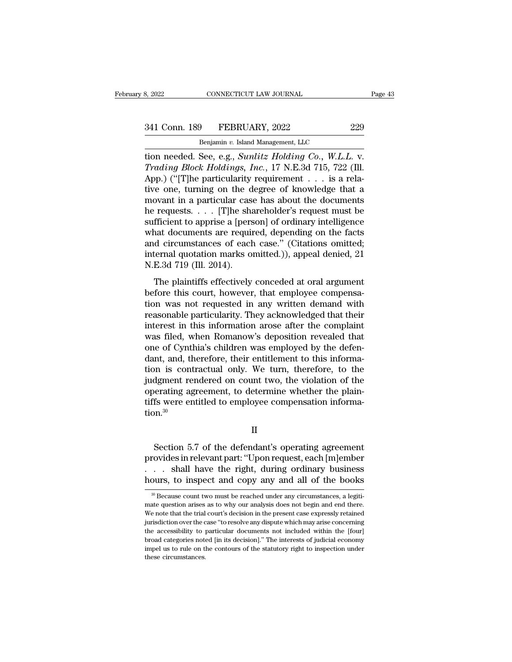# 341 Conn. 189 FEBRUARY, 2022 229<br>Benjamin v. Island Management, LLC

CONNECTICUT LAW JOURNAL<br> **Benjamin v. Island Management, LLC**<br>
See e s Sunlitz Holding Co W L I tion 189 S. 2022<br>
S. 2022 S. 229<br>
Senjamin v. Island Management, LLC<br>
tion needed. See, e.g., *Sunlitz Holding Co.*, *W.L.L.* v.<br>
Trading Block Holdings, Inc., 17 N.E.3d 715, 722 (Ill. <sup>241</sup> Conn. 189 FEBRUARY, 2022 229<br>
<sup>Benjamin v. Island Management, LLC<br>
tion needed. See, e.g., *Sunlitz Holding Co.*, *W.L.L.* v.<br> *Trading Block Holdings, Inc.*, 17 N.E.3d 715, 722 (Ill.<br>
App.) ("[T]he particularity req</sup> 341 Conn. 189 FEBRUARY, 2022 229<br>
Benjamin v. Island Management, LLC<br>
tion needed. See, e.g., *Sunlitz Holding Co.*, *W.L.L. v.*<br> *Trading Block Holdings, Inc.*, 17 N.E.3d 715, 722 (Ill.<br>
App.) ("[T]he particularity requi 341 Conn. 189 FEBRUARY, 2022 229<br>
Benjamin v. Island Management, LLC<br>
tion needed. See, e.g., *Sunlitz Holding Co.*, *W.L.L.* v.<br> *Trading Block Holdings, Inc.*, 17 N.E.3d 715, 722 (Ill.<br>
App.) ("[T]he particularity requi Benjamin v. Island Management, LLC<br>
tion needed. See, e.g., *Sunlitz Holding Co.*, *W.L.L. v.*<br> *Trading Block Holdings, Inc.*, 17 N.E.3d 715, 722 (Ill.<br>
App.) ("[T]he particularity requirement . . . is a rela-<br>
tive one, Benjamin v. Island Management, LLC<br>tion needed. See, e.g., *Sunlitz Holding Co.*, W.L.L. v.<br>*Trading Block Holdings, Inc.*, 17 N.E.3d 715, 722 (Ill.<br>App.) ("[T]he particularity requirement . . . is a rela-<br>tive one, turni tion needed. See, e.g., *Sunlitz Holding Co.*, *W.L.L. v.*<br> *Trading Block Holdings, Inc.*, 17 N.E.3d 715, 722 (Ill.<br>
App.) ("[T]he particularity requirement . . . is a rela-<br>
tive one, turning on the degree of knowledge Trading Block Holdings, Inc., 17 N.E.3d 715, 722 (Ill.<br>App.) ("[T]he particularity requirement . . . is a rela-<br>tive one, turning on the degree of knowledge that a<br>movant in a particular case has about the documents<br>he re App.) ("[T]he particularity requirement . . . is a relative one, turning on the degree of knowledge that a movant in a particular case has about the documents he requests. . . . [T]he shareholder's request must be suffici tive one, turning on the degree of knowledge that a<br>movant in a particular case has about the documents<br>he requests. . . . [T]he shareholder's request must be<br>sufficient to apprise a [person] of ordinary intelligence<br>what movant in a particular case<br>he requests. . . . [T]he sha<br>sufficient to apprise a [pers<br>what documents are requin<br>and circumstances of each<br>internal quotation marks of<br>N.E.3d 719 (III. 2014).<br>The plaintiffs effectively Tequests.  $\cdots$  [T] the statemented is request must be fficient to apprise a [person] of ordinary intelligence and documents are required, depending on the facts d circumstances of each case." (Citations omitted; ternal q before this courter the upper court of the method of the facts<br>and circumstances of each case." (Citations omitted;<br>internal quotation marks omitted.)), appeal denied, 21<br>N.E.3d 719 (Ill. 2014).<br>The plaintiffs effectively

max documents are required, depending on the races<br>and circumstances of each case." (Citations omitted;<br>internal quotation marks omitted.)), appeal denied, 21<br>N.E.3d 719 (Ill. 2014).<br>The plaintiffs effectively conceded at internal quotation marks omitted.)), appeal denied, 21<br>N.E.3d 719 (Ill. 2014).<br>The plaintiffs effectively conceded at oral argument<br>before this court, however, that employee compensa-<br>tion was not requested in any written IN.E.3d 719 (III. 2014).<br>
The plaintiffs effectively conceded at oral argument<br>
before this court, however, that employee compensa-<br>
tion was not requested in any written demand with<br>
reasonable particularity. They acknowl The plaintiffs effectively conceded at oral argument<br>before this court, however, that employee compensa-<br>tion was not requested in any written demand with<br>reasonable particularity. They acknowledged that their<br>interest in The plaintiffs effectively conceded at oral argument<br>before this court, however, that employee compensa-<br>tion was not requested in any written demand with<br>reasonable particularity. They acknowledged that their<br>interest in before this court, however, that employee compensation was not requested in any written demand with reasonable particularity. They acknowledged that their interest in this information arose after the complaint was filed, w tion was not requested in any written demand with<br>reasonable particularity. They acknowledged that their<br>interest in this information arose after the complaint<br>was filed, when Romanow's deposition revealed that<br>one of Cynt reasonable particularity. They acknowledged that their<br>interest in this information arose after the complaint<br>was filed, when Romanow's deposition revealed that<br>one of Cynthia's children was employed by the defen-<br>dant, an interest in this information arose after the complaint<br>was filed, when Romanow's deposition revealed that<br>one of Cynthia's children was employed by the defen-<br>dant, and, therefore, their entitlement to this informa-<br>tion i was filed, when Romanow's deposition revealed that<br>one of Cynthia's children was employed by the defen-<br>dant, and, therefore, their entitlement to this informa-<br>tion is contractual only. We turn, therefore, to the<br>judgment tion.<sup>30</sup> dgment rendered on count two, the violation of the<br>erating agreement, to determine whether the plain-<br>fs were entitled to employee compensation informa-<br> $\text{nn.}^{30}$ <br>II<br>Section 5.7 of the defendant's operating agreement<br>ov

II

% operating agreement, to determine whether the plain-<br>tiffs were entitled to employee compensation informa-<br>tion.<sup>30</sup><br>II<br>Section 5.7 of the defendant's operating agreement<br>provides in relevant part: "Upon request, each [m tiffs were entitled to employee compensation information.<sup>30</sup><br>
II<br>
Section 5.7 of the defendant's operating agreement<br>
provides in relevant part: "Upon request, each [m]ember<br>
. . . shall have the right, during ordinary bu II<br>
Section 5.7 of the defendant's operating agreement<br>
provides in relevant part: "Upon request, each [m]ember<br>
. . . shall have the right, during ordinary business<br>
hours, to inspect and copy any and all of the books<br>
<sup>3</sup> Section 5.7 of the detendant's operating agreement<br>rovides in relevant part: "Upon request, each [m]ember<br>... shall have the right, during ordinary business<br>burs, to inspect and copy any and all of the books<br> $\frac{1}{20}$ <br>Be provides in relevant part: "Upon request, each [m]ember<br>  $\dots$  shall have the right, during ordinary business<br>
hours, to inspect and copy any and all of the books<br>  $\frac{1}{100}$ <br>  $\frac{1}{100}$  Because count two must be reached

We note that the right, during ordinary business<br>hours, to inspect and copy any and all of the books<br> $\frac{1}{\sqrt{2}}$ <br> $\frac{1}{\sqrt{2}}$  Because count two must be reached under any circumstances, a legitimate question arises as to hours, to inspect and copy any and all of the books<br>  $\nu$  and  $\frac{1}{\sqrt{2}}$  are count two must be reached under any circumstances, a legitimate question arises as to why our analysis does not begin and end there.<br>
We note Thours, to inspect and copy any and an of the books<br>
<sup>30</sup> Because count two must be reached under any circumstances, a legitimate question arises as to why our analysis does not begin and end there.<br>
We note that the trial <sup>30</sup> Because count two must be reached under any circumstances, a legitimate question arises as to why our analysis does not begin and end there. We note that the trial court's decision in the present case expressly retain mate question arises as to why our analysis does not begin and end there. We note that the trial court's decision in the present case expressly retained jurisdiction over the case "to resolve any dispute which may arise co We note that the trial court's decision in the present case expressly retained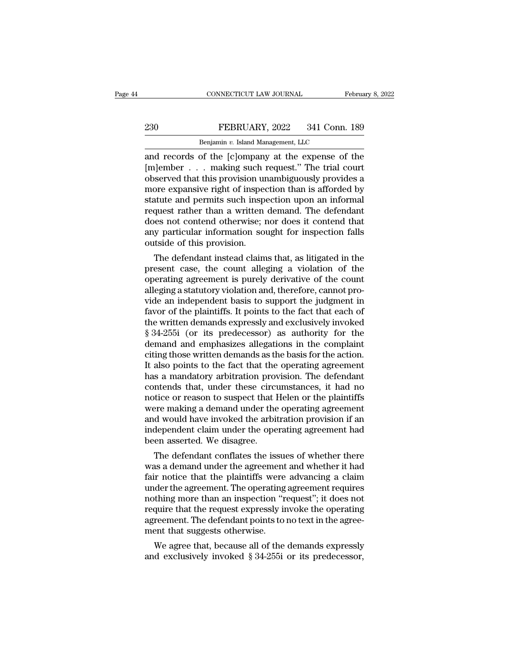## EXECTIVE CONNECTICUT LAW JOURNAL February 8, 2022<br>230 FEBRUARY, 2022 341 Conn. 189<br>Benjamin v. Island Management, LLC CONNECTICUT LAW JOURNAL FREEXPLARY, 2022 341 Conn.<br>Benjamin *v.* Island Management, LLC<br>Of the [clomnany at the expense of

CONNECTICUT LAW JOURNAL February 8, 2022<br>
PEBRUARY, 2022 341 Conn. 189<br>
Benjamin v. Island Management, LLC<br>
and records of the [c]ompany at the expense of the<br>
[m]ember . . . making such request." The trial court<br>
observed EXEMBER 2022 341 Conn. 189<br>
Benjamin v. Island Management, LLC<br>
and records of the [c]ompany at the expense of the<br>
[m]ember . . . making such request.'' The trial court<br>
observed that this provision unambiguously provides **EXECUARY, 2022** 341 Conn. 189<br> **EXECUARY, 2022** 341 Conn. 189<br> **EXECUARY, 2022** 341 Conn. 189<br> **EXECUARY** and **EXECUARY** and **EXECUARY** and **EXECUARY** and **EXECUARY** and **EXECUARY** and **EXECUARY** and **EXECUARY** and **EXEC** EEBRUARY, 2022 341 Conn. 189<br>
Benjamin v. Island Management, LLC<br>
and records of the [c]ompany at the expense of the<br>
[m]ember . . . making such request." The trial court<br>
observed that this provision unambiguously provid Benjamin v. Island Management, LLC<br>and records of the [c]ompany at the expense of the<br>[m]ember . . . making such request." The trial court<br>observed that this provision unambiguously provides a<br>more expansive right of inspe Benjamin v. Island Management, LLC<br>and records of the [c]ompany at the expense of the<br>[m]ember . . . making such request." The trial court<br>observed that this provision unambiguously provides a<br>more expansive right of insp and records of the  $[c]$ ompany at the expense of the  $[m]$ ember  $\ldots$  making such request." The trial court observed that this provision unambiguously provides a more expansive right of inspection than is afforded by statut [m]ember . . . making such request." The trial court<br>observed that this provision unambiguously provides a<br>more expansive right of inspection than is afforded by<br>statute and permits such inspection upon an informal<br>request observed that this provision un<br>more expansive right of inspect<br>statute and permits such inspect<br>request rather than a written<br>does not contend otherwise; r<br>any particular information sol<br>outside of this provision.<br>The def The expansive right of inspection than is afforded by<br>attute and permits such inspection upon an informal<br>quest rather than a written demand. The defendant<br>res not contend otherwise; nor does it contend that<br>y particular i statute and permits such inspection upon an informal<br>request rather than a written demand. The defendant<br>does not contend otherwise; nor does it contend that<br>any particular information sought for inspection falls<br>outside o

request rather than a written demand. The derendant<br>does not contend otherwise; nor does it contend that<br>any particular information sought for inspection falls<br>outside of this provision.<br>The defendant instead claims that, does not contend otherwise; nor does it contend that<br>any particular information sought for inspection falls<br>outside of this provision.<br>The defendant instead claims that, as litigated in the<br>present case, the count alleging any particular information sought for inspection ralis<br>outside of this provision.<br>The defendant instead claims that, as litigated in the<br>present case, the count alleging a violation of the<br>operating agreement is purely der outside of this provision.<br>The defendant instead claims that, as litigated in the<br>present case, the count alleging a violation of the<br>operating agreement is purely derivative of the count<br>alleging a statutory violation and The defendant instead claims that, as litigated in the<br>present case, the count alleging a violation of the<br>operating agreement is purely derivative of the count<br>alleging a statutory violation and, therefore, cannot pro-<br>vi present case, the count alleging a violation of the<br>operating agreement is purely derivative of the count<br>alleging a statutory violation and, therefore, cannot pro-<br>vide an independent basis to support the judgment in<br>favo operating agreement is purely derivative of the count<br>alleging a statutory violation and, therefore, cannot pro-<br>vide an independent basis to support the judgment in<br>favor of the plaintiffs. It points to the fact that each alleging a statutory violation and, therefore, cannot provide an independent basis to support the judgment in<br>favor of the plaintiffs. It points to the fact that each of<br>the written demands expressly and exclusively invoke vide an independent basis to support the judgment in favor of the plaintiffs. It points to the fact that each of the written demands expressly and exclusively invoked § 34-255i (or its predecessor) as authority for the dem favor of the plaintiffs. It points to the fact that each of<br>the written demands expressly and exclusively invoked<br> $\S 34-255i$  (or its predecessor) as authority for the<br>demand and emphasizes allegations in the complaint<br>ci the written demands expressly and exclusively invoked<br>
§ 34-255i (or its predecessor) as authority for the<br>
demand and emphasizes allegations in the complaint<br>
citing those written demands as the basis for the action.<br>
It § 34-255i (or its predecessor) as authority for the<br>demand and emphasizes allegations in the complaint<br>citing those written demands as the basis for the action.<br>It also points to the fact that the operating agreement<br>has a demand and emphasizes allegations in the complaint<br>citing those written demands as the basis for the action.<br>It also points to the fact that the operating agreement<br>has a mandatory arbitration provision. The defendant<br>cont citing those written demands as the basis for the action.<br>It also points to the fact that the operating agreement<br>has a mandatory arbitration provision. The defendant<br>contends that, under these circumstances, it had no<br>not It also points to the fact that the operating agreement<br>has a mandatory arbitration provision. The defendant<br>contends that, under these circumstances, it had no<br>notice or reason to suspect that Helen or the plaintiffs<br>were has a mandatory arbitration proversiontends that, under these circu<br>notice or reason to suspect that I<br>were making a demand under the<br>and would have invoked the arbit<br>independent claim under the ope<br>been asserted. We disag ntends that, under these circumstances, it had no<br>tice or reason to suspect that Helen or the plaintiffs<br>ere making a demand under the operating agreement<br>d would have invoked the arbitration provision if an<br>dependent clai mouce or reason to suspect that Helen or the plaintins<br>were making a demand under the operating agreement<br>and would have invoked the arbitration provision if an<br>independent claim under the operating agreement had<br>been asse

were making a demand under the operating agreement<br>and would have invoked the arbitration provision if an<br>independent claim under the operating agreement had<br>been asserted. We disagree.<br>The defendant conflates the issues o and would nave invoked the arbitration provision if an independent claim under the operating agreement had<br>been asserted. We disagree.<br>The defendant conflates the issues of whether there<br>was a demand under the agreement an more asserted. We disagree.<br>The defendant conflates the issues of whether there<br>was a demand under the agreement and whether it had<br>fair notice that the plaintiffs were advancing a claim<br>under the agreement. The operating been asserted. We disagree.<br>
The defendant conflates the issues of whether there<br>
was a demand under the agreement and whether it had<br>
fair notice that the plaintiffs were advancing a claim<br>
under the agreement. The operat The defendant conflates the issues of whether there was a demand under the agreement and whether it had fair notice that the plaintiffs were advancing a claim under the agreement. The operating agreement requires nothing m was a demand under the agreement<br>fair notice that the plaintiffs were<br>under the agreement. The operating<br>nothing more than an inspection "r<br>require that the request expressly in<br>agreement. The defendant points to<br>ment that It notice that the plaintiffs were advancing a claim<br>der the agreement. The operating agreement requires<br>thing more than an inspection "request"; it does not<br>quire that the request expressly invoke the operating<br>reement. T under the agreement. The operating agreement requires<br>nothing more than an inspection "request"; it does not<br>require that the request expressly invoke the operating<br>agreement. The defendant points to no text in the agree-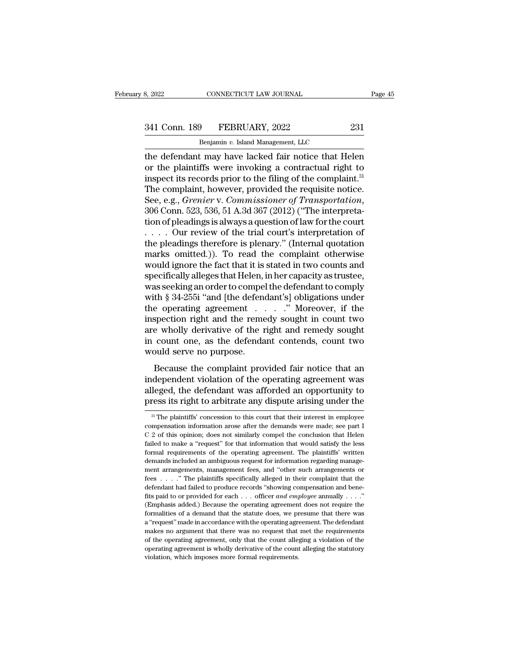CONNECTICUT LAW JOURNAL<br> **Benjamin** *v.* **Island Management, LLC<br>
t may have lacked fair notice that He** EXERCTIFY BROW IN THE DETERMORET CONNECTICUT LAW JOURNAL Frage 45<br>
341 Conn. 189 FEBRUARY, 2022 231<br>
Benjamin v. Island Management, LLC<br>
the defendant may have lacked fair notice that Helen<br>
or the plaintiffs were invokin 341 Conn. 189 FEBRUARY, 2022 231<br>Benjamin v. Island Management, LLC<br>the defendant may have lacked fair notice that Helen<br>or the plaintiffs were invoking a contractual right to<br>inspect its records prior to the filing of the 341 Conn. 189 FEBRUARY, 2022 231<br>
Benjamin v. Island Management, LLC<br>
the defendant may have lacked fair notice that Helen<br>
or the plaintiffs were invoking a contractual right to<br>
inspect its records prior to the filing o 341 Conn. 189 FEBRUARY, 2022 231<br>
Benjamin v. Island Management, LLC<br>
the defendant may have lacked fair notice that Helen<br>
or the plaintiffs were invoking a contractual right to<br>
inspect its records prior to the filing o Benjamin v. Island Management, LLC<br>
the defendant may have lacked fair notice that Helen<br>
or the plaintiffs were invoking a contractual right to<br>
inspect its records prior to the filing of the complaint.<sup>31</sup><br>
The complaint the defendant may have lacked fair notice that Helen<br>or the plaintiffs were invoking a contractual right to<br>inspect its records prior to the filing of the complaint.<sup>31</sup><br>The complaint, however, provided the requisite notic or the plaintiffs were invoking a contractual right to<br>inspect its records prior to the filing of the complaint.<sup>31</sup><br>The complaint, however, provided the requisite notice.<br>See, e.g., *Grenier* v. *Commissioner of Transpor* inspect its records prior to the filing of the complaint.<sup>31</sup><br>The complaint, however, provided the requisite notice.<br>See, e.g., *Grenier v. Commissioner of Transportation*,<br>306 Conn. 523, 536, 51 A.3d 367 (2012) ("The int The complaint, however, provided the requisite notice.<br>
See, e.g., *Grenier* v. *Commissioner of Transportation*,<br>
306 Conn. 523, 536, 51 A.3d 367 (2012) ("The interpreta-<br>
tion of pleadings is always a question of law fo See, e.g., *Grenier* v. *Commissioner of Transportation*,<br>306 Conn. 523, 536, 51 A.3d 367 (2012) ("The interpreta-<br>tion of pleadings is always a question of law for the court<br> $\dots$  our review of the trial court's interpret 306 Conn. 523, 536, 51 A.3d 367 (2012) ("The interpretation of pleadings is always a question of law for the court<br>
. . . . . Our review of the trial court's interpretation of<br>
the pleadings therefore is plenary." (Intern tion of pleadings is always a question of law for the court<br>  $\dots$  . Our review of the trial court's interpretation of<br>
the pleadings therefore is plenary." (Internal quotation<br>
marks omitted.)). To read the complaint othe where the pleadings therefore is plenary." (Internal quotation of<br>the pleadings therefore is plenary." (Internal quotation<br>marks omitted.)). To read the complaint otherwise<br>would ignore the fact that it is stated in two c the pleadings therefore is plenary." (Internal quotation<br>marks omitted.)). To read the complaint otherwise<br>would ignore the fact that it is stated in two counts and<br>specifically alleges that Helen, in her capacity as trust marks omitted.)). To read the complaint otherwise<br>would ignore the fact that it is stated in two counts and<br>specifically alleges that Helen, in her capacity as trustee,<br>was seeking an order to compel the defendant to comp would ignore the fact that it is stated in two counts and<br>specifically alleges that Helen, in her capacity as trustee,<br>was seeking an order to compel the defendant to comply<br>with § 34-255i "and [the defendant's] obligation specifically alleges that Helen, in her capacity as trustee,<br>was seeking an order to compel the defendant to comply<br>with § 34-255i "and [the defendant's] obligations under<br>the operating agreement . . . . . " Moreover, if t was seeking an order to compel<br>with § 34-255i "and [the defend<br>the operating agreement . .<br>inspection right and the reme<br>are wholly derivative of the r<br>in count one, as the defenda<br>would serve no purpose.<br>Because the compl Equivalently approach and the contribution of the report of the right and remedy sought count one, as the defendant contends, count two pull serve no purpose.<br>Because the complaint provided fair notice that an dependent v inspection right and the remedy sought in count two<br>are wholly derivative of the right and remedy sought<br>in count one, as the defendant contends, count two<br>would serve no purpose.<br>Because the complaint provided fair notice

majection right and the reniedy sought in count two<br>are wholly derivative of the right and remedy sought<br>in count one, as the defendant contends, count two<br>would serve no purpose.<br>Because the complaint provided fair notice in count one, as the defendant contends, count two<br>would serve no purpose.<br>Because the complaint provided fair notice that an<br>independent violation of the operating agreement was<br>alleged, the defendant was afforded an oppo Because the complaint provided fair notice that an dependent violation of the operating agreement was leged, the defendant was afforded an opportunity to ress its right to arbitrate any dispute arising under the  $\frac{31}{10}$ independent violation of the operating agreement was alleged, the defendant was afforded an opportunity to press its right to arbitrate any dispute arising under the  $\frac{3!}{1!}$  The plaintiffs' concession to this court th

alleged, the defendant was afforded an opportunity to<br>press its right to arbitrate any dispute arising under the<br> $\frac{3!}{1!}$  The plaintiffs' concession to this court that their interest in employee<br>compensation informatio **press its right to arbitrate any dispute arising under the**<br><sup>31</sup> The plaintiffs' concession to this court that their interest in employee compensation information arose after the demands were made; see part I C 2 of this For all and the other and the outer the operation information arose after the demands were made; see part I C 2 of this opinion; does not similarly compel the conclusion that Helen failed to make a "request" for that info <sup>31</sup> The plaintiffs' concession to this court that their interest in employee compensation information arose after the demands were made; see part IC 2 of this opinion; does not similarly compel the conclusion that Helen compensation information arose after the demands were made; see part I<br>C 2 of this opinion; does not similarly compel the conclusion that Helen<br>failed to make a "request" for that information that would satisfy the less<br>fo  $C$  2 of this opinion; does not similarly compel the conclusion that Helen failed to make a "request" for that information that would satisfy the less formal requirements of the operating agreement. The plaintiffs' writte failed to make a "request" for that information that would satisfy the less formal requirements of the operating agreement. The plaintiffs' written demands included an ambiguous request for information regarding managemen formal requirements of the operating agreement. The plaintiffs' written<br>demands included an ambiguous request for information regarding manage-<br>ment arrangements, management fees, and "other such arrangements or<br>fees . . . demands included an ambiguous request for information regarding management arrangements, management fees, and "other such arrangements or fees . . . ." The plaintiffs specifically alleged in their complaint that the defen ment arrangements, management fees, and "other such arrangements or fees . . . ." The plaintiffs specifically alleged in their complaint that the defendant had failed to produce records "showing compensation and benefits fees . . . . . " The plaintiffs specifically alleged in their complaint that the defendant had failed to produce records "showing compensation and benefits paid to or provided for each . . . officer *and employee* annuall defendant had failed to produce records "showing compensation and bene-<br>fits paid to or provided for each . . . officer *and employee* annually . . . ."<br>(Emphasis added.) Because the operating agreement does not require t fits paid to or provided for each  $\ldots$  officer *and employee* annually  $\ldots$ ."<br>(Emphasis added.) Because the operating agreement does not require the<br>formalities of a demand that the statute does, we presume that there w The mychandre of the operating agreement does not require the formalities of a demand that the statute does, we presume that there was a "request" made in accordance with the operating agreement. The defendant makes no arg a "request" made in accordance with the operating agreement. The defendant makes no argument that there was no request that met the requirements of the operating agreement, only that the count alleging a violation of the o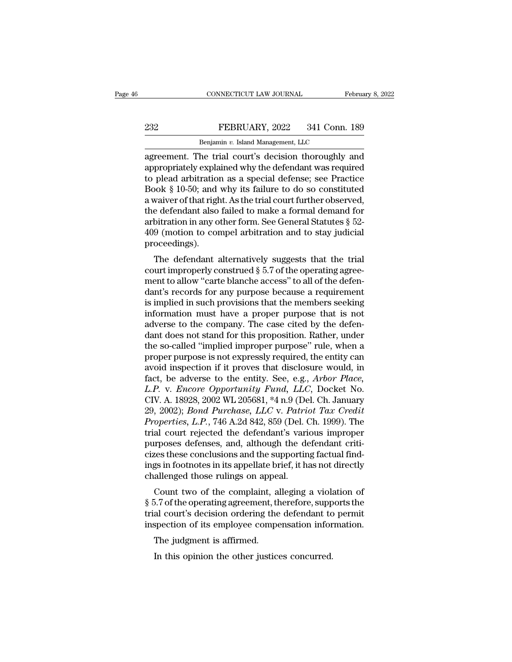## EXECTIVE CONNECTICUT LAW JOURNAL February 8, 2022<br>232 FEBRUARY, 2022 341 Conn. 189<br>231 Benjamin v. Island Management, LLC CONNECTICUT LAW JOURNAL FR<br>FEBRUARY, 2022 341 Conn.<br>Benjamin *v.* Island Management, LLC<br>he trial court's decision thoroughly

CONNECTICUT LAW JOURNAL February 8, 2022<br>
PEBRUARY, 2022 341 Conn. 189<br>
Benjamin v. Island Management, LLC<br>
agreement. The trial court's decision thoroughly and<br>
appropriately explained why the defendant was required<br>
to p FEBRUARY, 2022 341 Conn. 189<br>
Benjamin v. Island Management, LLC<br>
agreement. The trial court's decision thoroughly and<br>
appropriately explained why the defendant was required<br>
to plead arbitration as a special defense; see EXERUARY, 2022 341 Conn. 189<br>
Benjamin v. Island Management, LLC<br>
agreement. The trial court's decision thoroughly and<br>
appropriately explained why the defendant was required<br>
to plead arbitration as a special defense; se Book States and Wandale in the dofondant also failed to make a few algorithm and the domain appropriately explained why the defendant was required to plead arbitration as a special defense; see Practice Book § 10-50; and Benjamin v. Island Management, LLC<br>agreement. The trial court's decision thoroughly and<br>appropriately explained why the defendant was required<br>to plead arbitration as a special defense; see Practice<br>Book § 10-50; and why i Benjamin v. Island Management, LLC<br>agreement. The trial court's decision thoroughly and<br>appropriately explained why the defendant was required<br>to plead arbitration as a special defense; see Practice<br>Book § 10-50; and why agreement. The trial court's decision thoroughly and<br>appropriately explained why the defendant was required<br>to plead arbitration as a special defense; see Practice<br>Book § 10-50; and why its failure to do so constituted<br>a w appropriately explained why the defendant was required<br>to plead arbitration as a special defense; see Practice<br>Book § 10-50; and why its failure to do so constituted<br>a waiver of that right. As the trial court further obser proceedings). For  $\S$  10-50, and why its rande to do so constrated<br>vaiver of that right. As the trial court further observed,<br>e defendant also failed to make a formal demand for<br>bitration in any other form. See General Statutes  $\S$  52a waiver of that right. As the trial court further observed,<br>the defendant also failed to make a formal demand for<br>arbitration in any other form. See General Statutes § 52-<br>409 (motion to compel arbitration and to stay jud

are detendant also failed to make a formal demand for<br>arbitration in any other form. See General Statutes § 52-<br>409 (motion to compel arbitration and to stay judicial<br>proceedings).<br>The defendant alternatively suggests that arbitration in any other form. See General statutes  $\frac{1}{2}$ <br>409 (motion to compel arbitration and to stay judicial<br>proceedings).<br>The defendant alternatively suggests that the trial<br>court improperly construed  $\frac{8}{5}$  5 Fos (motion to comper arbitration and to stay judicial<br>proceedings).<br>The defendant alternatively suggests that the trial<br>court improperly construed § 5.7 of the operating agree-<br>ment to allow "carte blanche access" to all The defendant alternatively suggests that the trial<br>court improperly construed  $\S$  5.7 of the operating agree-<br>ment to allow "carte blanche access" to all of the defen-<br>dant's records for any purpose because a requirement The defendant alternatively suggests that the trial court improperly construed  $\S$  5.7 of the operating agreement to allow "carte blanche access" to all of the defendant's records for any purpose because a requirement is court improperly construed § 5.7 of the operating agreement to allow "carte blanche access" to all of the defendant's records for any purpose because a requirement is implied in such provisions that the members seeking inf ment to allow "carte blanche access" to all of the defen-<br>dant's records for any purpose because a requirement<br>is implied in such provisions that the members seeking<br>information must have a proper purpose that is not<br>adver dant's records for any purpose because a requirement<br>is implied in such provisions that the members seeking<br>information must have a proper purpose that is not<br>adverse to the company. The case cited by the defen-<br>dant does is implied in such provisions that the members seeking<br>information must have a proper purpose that is not<br>adverse to the company. The case cited by the defen-<br>dant does not stand for this proposition. Rather, under<br>the so information must have a proper purpose that is not<br>adverse to the company. The case cited by the defen-<br>dant does not stand for this proposition. Rather, under<br>the so-called "implied improper purpose" rule, when a<br>proper p adverse to the company. The case cited by the defen-<br>dant does not stand for this proposition. Rather, under<br>the so-called "implied improper purpose" rule, when a<br>proper purpose is not expressly required, the entity can<br>av dant does not stand for this proposition. Rather, under<br>the so-called "implied improper purpose" rule, when a<br>proper purpose is not expressly required, the entity can<br>avoid inspection if it proves that disclosure would, in the so-called "implied improper purpose" rule, when a<br>proper purpose is not expressly required, the entity can<br>avoid inspection if it proves that disclosure would, in<br>fact, be adverse to the entity. See, e.g., *Arbor Place* proper purpose is not expressly required, the entity can<br>avoid inspection if it proves that disclosure would, in<br>fact, be adverse to the entity. See, e.g., *Arbor Place,<br>L.P.* v. *Encore Opportunity Fund, LLC*, Docket No.<br> avoid inspection if it proves that disclosure would, in<br>fact, be adverse to the entity. See, e.g., *Arbor Place,*<br>L.P. v. *Encore Opportunity Fund*, *LLC*, Docket No.<br>CIV. A. 18928, 2002 WL 205681, \*4 n.9 (Del. Ch. January fact, be adverse to the entity. See, e.g., *Arbor Place, L.P.* v. *Encore Opportunity Fund, LLC*, Docket No. CIV. A. 18928, 2002 WL 205681, \*4 n.9 (Del. Ch. January 29, 2002); *Bond Purchase, LLC* v. *Patriot Tax Credit* L.P. v. Encore Opportunity Fund, LLC, Docket No.<br>CIV. A. 18928, 2002 WL 205681, \*4 n.9 (Del. Ch. January<br>29, 2002); *Bond Purchase, LLC* v. *Patriot Tax Credit*<br>Properties, L.P., 746 A.2d 842, 859 (Del. Ch. 1999). The<br>tria CIV. A. 18928, 2002 WL 205681, \*4 n.9 (Del. Ch. January<br>29, 2002); *Bond Purchase*, *LLC* v. *Patriot Tax Credit*<br>*Properties, L.P.*, 746 A.2d 842, 859 (Del. Ch. 1999). The<br>trial court rejected the defendant's various impr 29, 2002); *Bond Purchase*, *LLC* v. *Patrii*<br>*Properties, L.P.*, 746 A.2d 842, 859 (Del. C<br>trial court rejected the defendant's vari<br>purposes defenses, and, although the de<br>cizes these conclusions and the supportin<br>ings i Operties, E.T., 140 A.2d 042, 659 (Def. Ch. 1555). The<br>al court rejected the defendant's various improper<br>proses defenses, and, although the defendant criti-<br>zes these conclusions and the supporting factual find-<br>gs in foo Figure 2.7 of the defendant stations improper<br>purposes defenses, and, although the defendant criti-<br>cizes these conclusions and the supporting factual find-<br>ings in footnotes in its appellate brief, it has not directly<br>cha

purposes deferises, and, antiough the defendant chur-<br>cizes these conclusions and the supporting factual find-<br>ings in footnotes in its appellate brief, it has not directly<br>challenged those rulings on appeal.<br>Count two of cizes these conclusions and the supporting ractual findings in footnotes in its appellate brief, it has not directly challenged those rulings on appeal.<br>Count two of the complaint, alleging a violation of § 5.7 of the oper allenged those rulings on appe<br>Count two of the complaint, a<br>5.7 of the operating agreement, the<br>al court's decision ordering the<br>spection of its employee comper<br>The judgment is affirmed.<br>In this opinion the other justic Count two of the complaint, alleging a violation.<br>The operating agreement, therefore, suppeal court's decision ordering the defendant to<br>spection of its employee compensation infor<br>The judgment is affirmed.<br>In this opinion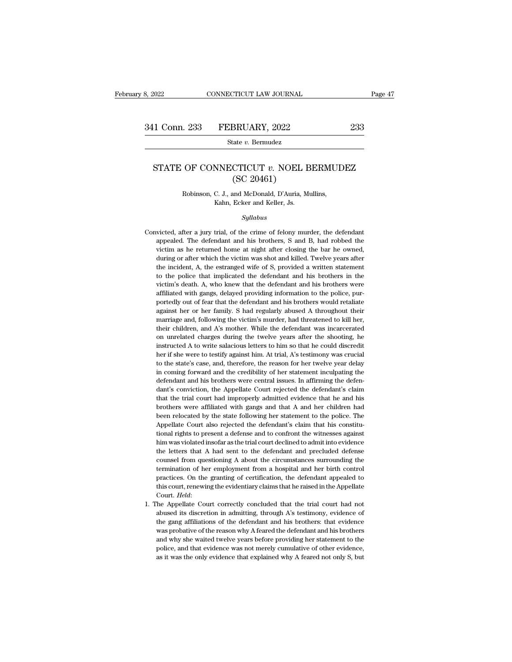## 1 Conn. 233 FEBRUARY, 2022 233<br>State *v.* Bermudez<br>STATE OF CONNECTICUT *v.* NOEL BERMUDEZ<br>(SC 20461) BRUARY, 2022<br>
<u>ate v. Bernudez</u><br>
CTICUT v. NOEL E<br>
(SC 20461)<br>
and McDonald, D'Auria, M State *v.* Bermadez<br>
OF CONNECTICUT *v.* NOEL BERMUI<br>
(SC 20461)<br>
Robinson, C. J., and McDonald, D'Auria, Mullins,<br>
Kahn, Ecker and Keller, Js. **NNECTICUT**  $v$ **. NOEL E**<br>
(SC 20461)<br>
C. J., and McDonald, D'Auria, M<br>
Kahn, Ecker and Keller, Js.<br>
Sullabus

*Syllabus*

- Robinson, C. J., and McDonald, D'Auria, Mullins,<br>Kahn, Ecker and Keller, Js.<br>Syllabus<br>Convicted, after a jury trial, of the crime of felony murder, the defendant<br>appealed. The defendant and his brothers, S and B, had robbe Robinson, C. J., and McDonald, D'Auria, Mullins,<br>Kahn, Ecker and Keller, Js.<br>Syllabus<br>victed, after a jury trial, of the crime of felony murder, the defendant<br>appealed. The defendant and his brothers, S and B, had robbed t Kahn, Ecker and Keller, Js.<br>
Syllabus<br>
victed, after a jury trial, of the crime of felony murder, the defendant<br>
appealed. The defendant and his brothers, S and B, had robbed the<br>
victim as he returned home at night after Syllabus<br>Syllabus<br>Suite of elony murder, the defendant<br>appealed. The defendant and his brothers, S and B, had robbed the<br>victim as he returned home at night after closing the bar he owned,<br>during or after which the victim Syttabus<br>Syttabus<br>since the incident and his brothers, S and B, had robbed the<br>victim as he returned home at night after closing the bar he owned,<br>during or after which the victim was shot and killed. Twelve years after<br>th victed, after a jury trial, of the crime of felony murder, the defendant appealed. The defendant and his brothers, S and B, had robbed the victim as he returned home at night after closing the bar he owned, during or after rightanded. The defendant and his brothers, S and B, had robbed the victim as he returned home at night after closing the bar he owned, during or after which the victim was shot and killed. Twelve years after the incident affiliated with gangs, delayed providing information to the police information as he returned home at night after closing the bar he owned, during or after which the victim was shot and killed. Twelve years after the incid during or after which the victim was shot and killed. Twelve years after the incident, A, the estranged wife of S, provided a written statement to the police that implicated the defendant and his brothers in the victim's d the incident, A, the estranged wife of S, provided a written statement to the police that implicated the defendant and his brothers in the victim's death. A, who knew that the defendant and his brothers were affiliated wit to the police that implicated the defendant and his brothers in the victim's death. A, who knew that the defendant and his brothers were affiliated with gangs, delayed providing information to the police, purportedly out o victim's death. A, who knew that the defendant and his brothers were affiliated with gangs, delayed providing information to the police, purportedly out of fear that the defendant and his brothers would retaliate against h affiliated with gangs, delayed providing information to the police, pur-<br>portedly out of fear that the defendant and his brothers would retaliate<br>against her or her family. S had regularly abused A throughout their<br>marriag portedly out of fear that the defendant and his brothers would retaliate against her or her family. S had regularly abused A throughout their marriage and, following the victim's murder, had threatened to kill her, their c parameter of her family. S had regularly abused A throughout their marriage and, following the victim's murder, had threatened to kill her, their children, and A's mother. While the defendant was incarcerated on unrelated the state of the state's case, and, therefore, the reason for her twelve years after the state in their children, and A's mother. While the defendant was incarcerated on unrelated charges during the twelve years after the in their children, and A's mother. While the defendant was incarcerated on unrelated charges during the twelve years after the shooting, he instructed A to write salacious letters to him so that he could discredit her if s their children, and A's mother. While the defendant was incarcerated<br>on unrelated charges during the twelve years after the shooting, he<br>instructed A to write salacious letters to him so that he could discredit<br>her if she on the matter of Appellate Court rejected the defendant's claim the Appellate Court refers to him so that he could discredit her if she were to testify against him. At trial, A's testimony was crucial to the state's case, her if she were to testify against him. At trial, A's testimony was crucial to the state's case, and, therefore, the reason for her twelve year delay in coming forward and the credibility of her statement inculpating the d to the state's case, and, therefore, the reason for her twelve year delay<br>in coming forward and the credibility of her statement inculpating the<br>defendant and his brothers were central issues. In affirming the defen-<br>dant' in coming forward and the credibility of her statement inculpating the defendant and his brothers were central issues. In affirming the defendant's conviction, the Appellate Court rejected the defendant's claim that the tr defendant and his brothers were central issues. In affirming the defendant's conviction, the Appellate Court rejected the defendant's claim that the trial court had improperly admitted evidence that he and his brothers wer dant's conviction, the Appellate Court rejected the defendant's claim that the trial court had improperly admitted evidence that he and his brothers were affiliated with gangs and that A and her children had been relocated that the trial court had improperly admitted evidence that he and his brothers were affiliated with gangs and that A and her children had been relocated by the state following her statement to the police. The Appellate Cou brothers were affiliated with gangs and that A and her children had<br>been relocated by the state following her statement to the police. The<br>Appellate Court also rejected the defendant's claim that his constitu-<br>tional right been relocated by the state following her statement to the police. The Appellate Court also rejected the defendant's claim that his constitutional rights to present a defense and to confront the witnesses against him was v Appellate Court also rejected the defendant's claim that his constitutional rights to present a defense and to confront the witnesses against him was violated insofar as the trial court declined to admit into evidence the tional rights to present a defense and to confront the witnesses against<br>him was violated insofar as the trial court declined to admit into evidence<br>the letters that A had sent to the defendant and precluded defense<br>counse him was violated insofar as the trial court declined to admit into evidence<br>the letters that A had sent to the defendant and precluded defense<br>counsel from questioning A about the circumstances surrounding the<br>termination counsel from questioning A about the circumstances surrounding the termination of her employment from a hospital and her birth control practices. On the granting of certification, the defendant appealed to this court, rene termination of her employment from a hospital and her birth control practices. On the granting of certification, the defendant appealed to this court, renewing the evidentiary claims that he raised in the Appellate Court.
- practices. On the granting of certification, the defendant appealed to this court, renewing the evidentiary claims that he raised in the Appellate Court. *Held*: the Appellate Court correctly concluded that the trial court this court, renewing the evidentiary claims that he raised in the Appellate Court. *Held*:<br>The Appellate Court correctly concluded that the trial court had not abused its discretion in admitting, through A's testimony, evi Court. Held:<br>
The Appellate Court correctly concluded that the trial court had not<br>
abused its discretion in admitting, through A's testimony, evidence of<br>
the gang affiliations of the defendant and his brothers: that evid The Appellate Court correctly concluded that the trial court had not abused its discretion in admitting, through A's testimony, evidence of the gang affiliations of the defendant and his brothers: that evidence was probati abused its discretion in admitting, through A's testimony, evidence of the gang affiliations of the defendant and his brothers: that evidence was probative of the reason why A feared the defendant and his brothers and why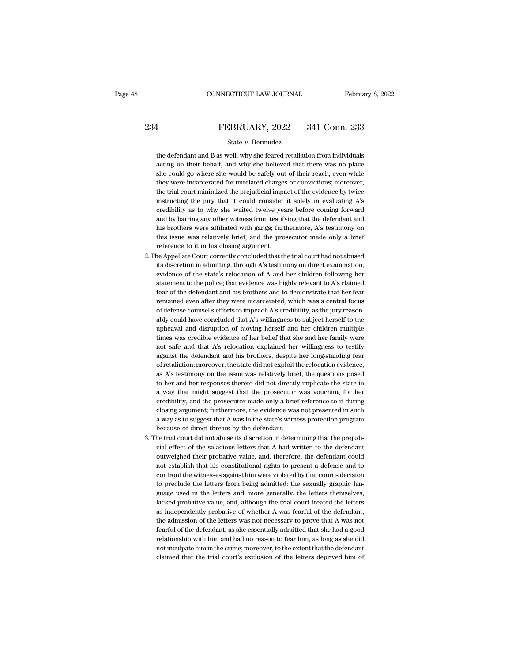FEBRUARY, 2022 341 Conn. 233<br>
State v. Bermudez<br>
the defendant and B as well, why she feared retaliation from individuals<br>
acting on their behalf, and why she believed that there was no place FEBRUARY, 2022 341 Conn. 233<br>
State  $v$ . Bermudez<br>
the defendant and B as well, why she feared retaliation from individuals<br>
acting on their behalf, and why she believed that there was no place<br>
she could go where she wou FEBRUARY, 2022 341 Conn. 233<br>
State  $v$ . Bermudez<br>
the defendant and B as well, why she feared retaliation from individuals<br>
acting on their behalf, and why she believed that there was no place<br>
she could go where she wou State  $v$ . Bermudez<br>the defendant and B as well, why she feared retaliation from individuals<br>acting on their behalf, and why she believed that there was no place<br>she could go where she would be safely out of their reach, State  $v$ . Bermudez<br>the defendant and B as well, why she feared retaliation from individuals<br>acting on their behalf, and why she believed that there was no place<br>she could go where she would be safely out of their reach, the defendant and B as well, why she feared retaliation from individuals<br>acting on their behalf, and why she believed that there was no place<br>she could go where she would be safely out of their reach, even while<br>they were acting on their behalf, and why she believed that there was no place<br>she could go where she would be safely out of their reach, even while<br>they were incarcerated for unrelated charges or convictions; moreover,<br>the trial co she could go where she would be safely out of their reach, even while<br>they were incarcerated for unrelated charges or convictions; moreover,<br>the trial court minimized the prejudicial impact of the evidence by twice<br>instruc they were incarcerated for unrelated charges or convictions; moreover, the trial court minimized the prejudicial impact of the evidence by twice instructing the jury that it could consider it solely in evaluating A's credi the trial court minimized the prejudicial impact of the evidence by twice<br>instructing the jury that it could consider it solely in evaluating A's<br>credibility as to why she waited twelve years before coming forward<br>and by b in<br>structing the jury that it could consider it solely in evaluating A's<br>credibility as to why she waited twelve years before coming forward<br>and by barring any other witness from testifying that the defendant and<br>his brot credibility as to why she waited twelve years before coming forward<br>and by barring any other witness from testifying that the defendant and<br>his brothers were affiliated with gangs; furthermore, A's testimony on<br>this issue and by barring any other witness from testifying that the defendant and<br>his brothers were affiliated with gangs; furthermore, A's testimony on<br>this issue was relatively brief, and the prosecutor made only a brief<br>reference

- his brothers were affiliated with gangs; furthermore, A's testimony on<br>this issue was relatively brief, and the prosecutor made only a brief<br>reference to it in his closing argument.<br>he Appellate Court correctly concluded t this issue was relatively brief, and the prosecutor made only a brief<br>reference to it in his closing argument.<br>he Appellate Court correctly concluded that the trial court had not abused<br>its discretion in admitting, through reference to it in his closing argument.<br>
he Appellate Court correctly concluded that the trial court had not abused<br>
its discretion in admitting, through A's testimony on direct examination,<br>
evidence of the state's reloc remained Appellate Court correctly concluded that the trial court had not abused<br>its discretion in admitting, through A's testimony on direct examination,<br>evidence of the state's relocation of A and her children following evidence of the state's relocation of A and her children following her statement to the police; that evidence was highly relevant to A's claimed fear of the defendant and his brothers and to demonstrate that her fear remai evidence of the state's relocation of A and her children following her statement to the police; that evidence was highly relevant to A's claimed fear of the defendant and his brothers and to demonstrate that her fear remai statement to the police; that evidence was highly relevant to A's claimed<br>fear of the defendant and his brothers and to demonstrate that her fear<br>remained even after they were incarcerated, which was a central focus<br>of def fear of the defendant and his brothers and to demonstrate that her fear<br>remained even after they were incarcerated, which was a central focus<br>of defense counsel's efforts to impeach A's credibility, as the jury reason-<br>abl remained even after they were incarcerated, which was a central focus<br>of defense counsel's efforts to impeach A's credibility, as the jury reason-<br>ably could have concluded that A's willingness to subject herself to the<br>up of defense counsel's efforts to impeach A's credibility, as the jury reasonably could have concluded that A's willingness to subject herself to the upheaval and disruption of moving herself and her children multiple times ably could have concluded that A's willingness to subject herself to the upheaval and disruption of moving herself and her children multiple times was credible evidence of her belief that she and her family were not safe a upheaval and disruption of moving herself and her children multiple<br>times was credible evidence of her belief that she and her family were<br>not safe and that A's relocation explained her willingness to testify<br>against the d times was credible evidence of her belief that she and her family were<br>not safe and that A's relocation explained her willingness to testify<br>against the defendant and his brothers, despite her long-standing fear<br>of retalia not safe and that A's relocation explained her willingness to testify against the defendant and his brothers, despite her long-standing fear of retaliation; moreover, the state did not exploit the relocation evidence, as A against the defendant and his brothers, despite her long-standing fear of retaliation; moreover, the state did not exploit the relocation evidence, as A's testimony on the issue was relatively brief, the questions posed to of retaliation; moreover, the state did not exploit the relocation evidence, as A's testimony on the issue was relatively brief, the questions posed to her and her responses thereto did not directly implicate the state in as A's testimony on the issue was relatively brief, the questions posed<br>to her and her responses thereto did not directly implicate the state in<br>a way that might suggest that the prosecutor was vouching for her<br>credibility to her and her responses thereto did not directly implicate the state in<br>a way that might suggest that the prosecutor was vouching for her<br>credibility, and the prosecutor made only a brief reference to it during<br>closing ar % a way that might suggest that the prosecutor was vouching for her credibility, and the prosecutor made only a brief reference to it during closing argument; furthermore, the evidence was not presented in such a way as t credibility, and the prosecutor made only a brief reference to it during<br>closing argument; furthermore, the evidence was not presented in such<br>a way as to suggest that A was in the state's witness protection program<br>becaus
- closing argument; furthermore, the evidence was not presented in such<br>a way as to suggest that A was in the state's witness protection program<br>because of direct threats by the defendant.<br>the trial court did not abuse its d a way as to suggest that A was in the state's witness protection program<br>because of direct threats by the defendant.<br>he trial court did not abuse its discretion in determining that the prejudi-<br>cial effect of the salacious because of direct threats by the defendant.<br>he trial court did not abuse its discretion in determining that the prejudi-<br>cial effect of the salacious letters that A had written to the defendant<br>outweighed their probative v outweighed their probative value, and, therefore, the defendant could<br>not establish that his constitutional rights to present a defense and to<br>confront the witnesses against him were violated by that court's decision<br>to pr cial effect of the salacious letters that A had written to the defendant outweighed their probative value, and, therefore, the defendant could not establish that his constitutional rights to present a defense and to confro outweighed their probative value, and, therefore, the defendant could not establish that his constitutional rights to present a defense and to confront the witnesses against him were violated by that court's decision to pr not establish that his constitutional rights to present a defense and to confront the witnesses against him were violated by that court's decision to preclude the letters from being admitted: the sexually graphic language confront the witnesses against him were violated by that court's decision<br>to preclude the letters from being admitted: the sexually graphic language used in the letters and, more generally, the letters themselves,<br>lacked p to preclude the letters from being admitted: the sexually graphic language used in the letters and, more generally, the letters themselves, lacked probative value, and, although the trial court treated the letters as indep guage used in the letters and, more generally, the letters themselves, lacked probative value, and, although the trial court treated the letters as independently probative of whether A was fearful of the defendant, the adm lacked probative value, and, although the trial court treated the letters<br>as independently probative of whether A was fearful of the defendant,<br>the admission of the letters was not necessary to prove that A was not<br>fearful as independently probative of whether A was fearful of the defendant, the admission of the letters was not necessary to prove that A was not fearful of the defendant, as she essentially admitted that she had a good relatio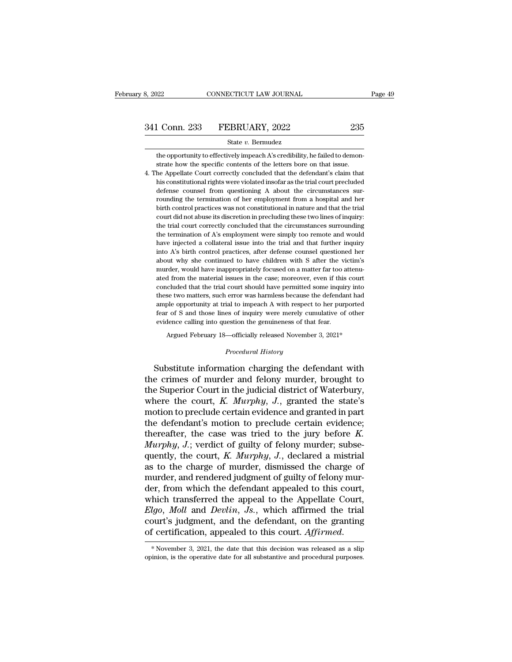the opportunity to effectively impeach A's credibility, he failed to demonstrate how the specific contents of the letters bore on that issue. <u>Conn.</u> 233 FEBRUARY, 2022 235<br>
State v. Bermudez<br>
the opportunity to effectively impeach A's credibility, he failed to demonstrate how the specific contents of the letters bore on that issue.<br>
the Appellate Court correctl

 $\begin{array}{r} \textbf{341} \text{ Conn. } \textbf{233} \qquad \textbf{FEBRUARY, 2022} \qquad \qquad \textbf{235} \ \textbf{341} \qquad \textbf{642} \qquad \qquad \textbf{654} \qquad \textbf{664} \qquad \textbf{674} \qquad \textbf{684} \qquad \textbf{684} \qquad \textbf{694} \qquad \textbf{694} \qquad \textbf{604} \qquad \textbf{604} \qquad \textbf{604} \qquad \textbf{604} \qquad \textbf{604} \qquad \$ State v. Bermudez<br>the opportunity to effectively impeach A's credibility, he failed to demon-<br>strate how the specific contents of the letters bore on that issue.<br>he Appellate Court correctly concluded that the defendant's State v. Bermudez<br>the opportunity to effectively impeach A's credibility, he failed to demon-<br>strate how the specific contents of the letters bore on that issue.<br>he Appellate Court correctly concluded that the defendant's the opportunity to effectively impeach A's credibility, he failed to demonstrate how the specific contents of the letters bore on that issue.<br>he Appellate Court correctly concluded that the defendant's claim that<br>his const strate how the specific contents of the letters bore on that issue.<br>he Appellate Court correctly concluded that the defendant's claim that<br>his constitutional rights were violated insofar as the trial court precluded<br>defens he Appellate Court correctly concluded that the defendant's claim that his constitutional rights were violated insofar as the trial court precluded defense counsel from questioning A about the circumstances surrounding the the constitutional rights were violated insofar as the trial court precluded defense counsel from questioning A about the circumstances surrounding the termination of her employment from a hospital and her birth control pr defense counsel from questioning A about the circumstances surrounding the termination of her employment from a hospital and her birth control practices was not constitutional in nature and that the trial court did not abu rounding the termination of her employment from a hospital and her birth control practices was not constitutional in nature and that the trial court did not abuse its discretion in precluding these two lines of inquiry: th Fourth control practices was not constitutional in nature and that the trial<br>court did not abuse its discretion in precluding these two lines of inquiry:<br>the trial court correctly concluded that the circumstances surroundi court did not abuse its discretion in precluding these two lines of inquiry:<br>court did not abuse its discretion in precluding these two lines of inquiry:<br>the trial court correctly concluded that the circumstances surroundi court did not abuse its discretion in precluding these two lines of inquiry:<br>the trial court correctly concluded that the circumstances surrounding<br>the termination of A's employment were simply too remote and would<br>have in the termination of A's employment were simply too remote and would thave injected a collateral issue into the trial and that further inquiry into A's birth control practices, after defense counsel questioned her about why have injected a collateral issue into the trial and that further inquiry<br>have injected a collateral issue into the trial and that further inquiry<br>into A's birth control practices, after defense coursel questioned her<br>about into A's birth control practices, after defense counsel questioned her about why she continued to have children with S after the victim's murder, would have inappropriately focused on a matter far too attenuated from the m about why she continued to have children with S after the victim's murder, would have inappropriately focused on a matter far too attenuated from the material issues in the case; moreover, even if this court concluded that fear of S, and those imappropriately focused on a matter far too attenuated from the material issues in the case; moreover, even if this court concluded that the trial court should have permitted some inquiry into these tw evidence calling into matterial issues in the case; moreover, even if this concluded that the trial court should have permitted some inquinenes the two matters, such error was harmless because the defenda ample opportunity these two matters, such error was harmless because the defendant had<br>ample opportunity at trial to impeach A with respect to her purported<br>fear of S and those lines of inquiry were merely cumulative of other<br>evidence call *Procedural A with respect to impeach A with respect to the genuineness of that*<br>*Procedural History*<br>*Procedural History* ample opportunity at trial to impeach A with respect to her purported<br>fear of S and those lines of inquiry were merely cumulative of other<br>evidence calling into question the genuineness of that fear.<br>Argued February 18—off

fear of S and those lines of inquiry were merely cumulative of other<br>evidence calling into question the genuineness of that fear.<br>Argued February 18—officially released November 3, 2021\*<br> $Procedural History$ <br>Substitute information char evidence calling into question the genuineness of that fear.<br>
Argued February 18—officially released November 3, 2021\*<br>
Procedural History<br>
Substitute information charging the defendant with<br>
the crimes of murder and felon Argued February 18—officially released November 3, 2021\*<br> *Procedural History*<br>
Substitute information charging the defendant with<br>
the crimes of murder and felony murder, brought to<br>
the Superior Court in the judicial dis Frocedural History<br>Substitute information charging the defendant with<br>the crimes of murder and felony murder, brought to<br>the Superior Court in the judicial district of Waterbury,<br>where the court, K. Murphy, J., granted th Substitute information charging the defendant with<br>the crimes of murder and felony murder, brought to<br>the Superior Court in the judicial district of Waterbury,<br>where the court, K. Murphy, J., granted the state's<br>motion to Substitute information charging the defendant with<br>the crimes of murder and felony murder, brought to<br>the Superior Court in the judicial district of Waterbury,<br>where the court,  $K$ .  $Murphy$ ,  $J$ ., granted the state's<br>motion the crimes of murder and felony murder, brought to<br>the Superior Court in the judicial district of Waterbury,<br>where the court, *K. Murphy*, *J.*, granted the state's<br>motion to preclude certain evidence and granted in part<br>t the Superior Court in the judicial district of Waterbury,<br>where the court, *K. Murphy*, *J.*, granted the state's<br>motion to preclude certain evidence and granted in part<br>the defendant's motion to preclude certain evidence; where the court, *K. Murphy*, *J.*, granted the state's<br>motion to preclude certain evidence and granted in part<br>the defendant's motion to preclude certain evidence;<br>thereafter, the case was tried to the jury before *K.*<br> motion to preclude certain evidence and granted in part<br>the defendant's motion to preclude certain evidence;<br>thereafter, the case was tried to the jury before  $K$ .<br> $Murphy, J.;$  verdict of guilty of felony murder; subse-<br>quentl the defendant's motion to preclude certain evidence;<br>thereafter, the case was tried to the jury before  $K$ .<br> $Murphy, J$ ; verdict of guilty of felony murder; subse-<br>quently, the court,  $K$ .  $Murphy, J$ ., declared a mistrial<br>as to th thereafter, the case was tried to the jury before  $K$ .<br> *Murphy*,  $J$ .; verdict of guilty of felony murder; subsequently, the court,  $K$ . *Murphy*,  $J$ ., declared a mistrial as to the charge of murder, dismissed the charg *Murphy, J.*; verdict of guilty of felony murder; subsequently, the court, *K. Murphy, J.*, declared a mistrial as to the charge of murder, dismissed the charge of murder, and rendered judgment of guilty of felony murder, quently, the court,  $K$ . Murphy,  $J$ ., declared a mistrial<br>as to the charge of murder, dismissed the charge of<br>murder, and rendered judgment of guilty of felony mur-<br>der, from which the defendant appealed to this court,<br>w as to the charge of murder, dismissed the charge of<br>murder, and rendered judgment of guilty of felony mur-<br>der, from which the defendant appealed to this court,<br>which transferred the appeal to the Appellate Court,<br>*Elgo, M* Elgo, Moll and Devlin, Js., which affirmed the trial court's judgment, and the defendant, on the granting of certification, appealed to this court. Affirmed.<br>\*November 3, 2021, the date that this decision was released as a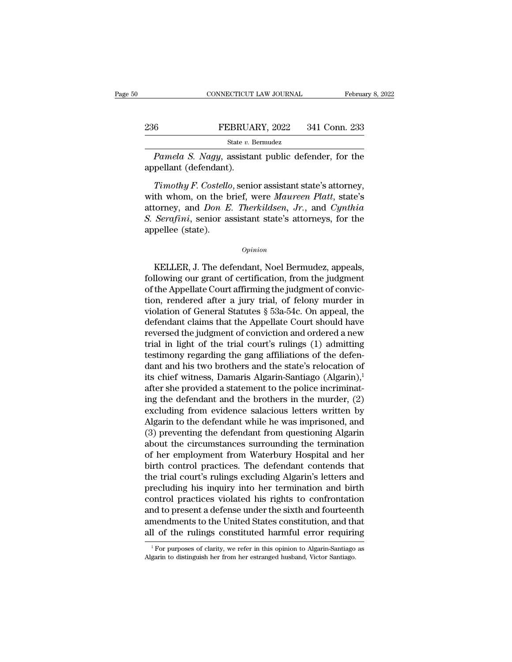# EXECUTE CONNECTICUT LAW JOURNAL February 8, 2022<br>236 FEBRUARY, 2022 341 Conn. 233<br>341 Conn. 233

State *v.* Bermudez

*CONNECTICUT LAW JOURNAL* February 8, 2022<br> *Pamela S. Nagy*, assistant public defender, for the pellant (defendant). <sup>236</sup> FEBRUA<br><sup>State v. E</sup><br>*Pamela S. Nagy*, assistal<br>appellant (defendant).<br>*Timothy F. Costello*, senic

*Timothy F. Costello, senior assistant public defender, for the*<br>*Timothy F. Costello, senior assistant state's attorney,*<br>*Timothy F. Costello, senior assistant state's attorney,*<br>*Timothy F. Costello, senior assistant st* EBRUARY, 2022 341 Conn. 233<br>
State v. Bermudez<br>
Pamela S. Nagy, assistant public defender, for the<br>
appellant (defendant).<br>
Timothy F. Costello, senior assistant state's attorney,<br>
with whom, on the brief, were Maureen Pla State v. Bermudez<br> **Pamela S. Nagy, assistant public defender, for the**<br>
appellant (defendant).<br> *Timothy F. Costello*, senior assistant state's attorney,<br>
with whom, on the brief, were *Maureen Platt*, state's<br>
attorney, *Pamela S. Nagy*, assistant public defender, for the appellant (defendant).<br> *Timothy F. Costello*, senior assistant state's attorney, with whom, on the brief, were *Maureen Platt*, state's attorney, and *Don E. Therkildse* Pamela S. Nagy, assistant public defender, for the<br>appellant (defendant).<br>Timothy F. Costello, senior assistant state's attorney,<br>with whom, on the brief, were Maureen Platt, state's<br>attorney, and Don E. Therkildsen, Jr., In whom, on the brief, were *matreen Tutu*, state's<br>torney, and *Don E. Therkildsen, Jr.*, and *Cynthia*<br>Serafini, senior assistant state's attorneys, for the<br>pellee (state).<br>*Opinion*<br>KELLER, J. The defendant, Noel Bermud

## *Opinion*

Following our grant of certification, from the judgment<br>following our grant of certification, from the judgment<br>of the Appellate Court affirming the judgment of convic-<br>tion, rendered after a jury trial of following in of the Appellate Court affirming the judgment<br>  $\omega_{pinion}$ <br>
KELLER, J. The defendant, Noel Bermudez, appeals,<br>
following our grant of certification, from the judgment<br>
of the Appellate Court affirming the judgment of convicopinion<br>  $opinion$ <br>
KELLER, J. The defendant, Noel Bermudez, appeals,<br>
following our grant of certification, from the judgment<br>
of the Appellate Court affirming the judgment of convic-<br>
tion, rendered after a jury trial, of f opinion<br>
KELLER, J. The defendant, Noel Bermudez, appeals,<br>
following our grant of certification, from the judgment<br>
of the Appellate Court affirming the judgment of convic-<br>
tion, rendered after a jury trial, of felony mu KELLER, J. The defendant, Noel Bermudez, appeals,<br>following our grant of certification, from the judgment<br>of the Appellate Court affirming the judgment of convic-<br>tion, rendered after a jury trial, of felony murder in<br>vio KELLER, J. The defendant, Noel Bermudez, appeals,<br>following our grant of certification, from the judgment<br>of the Appellate Court affirming the judgment of convic-<br>tion, rendered after a jury trial, of felony murder in<br>viol following our grant of certification, from the judgment<br>of the Appellate Court affirming the judgment of convic-<br>tion, rendered after a jury trial, of felony murder in<br>violation of General Statutes § 53a-54c. On appeal, th of the Appellate Court affirming the judgment of conviction, rendered after a jury trial, of felony murder in violation of General Statutes  $\S$  53a-54c. On appeal, the defendant claims that the Appellate Court should have tion, rendered after a jury trial, of felony murder in violation of General Statutes  $\S$  53a-54c. On appeal, the defendant claims that the Appellate Court should have reversed the judgment of conviction and ordered a new violation of General Statutes § 53a-54c. On appeal, the<br>defendant claims that the Appellate Court should have<br>reversed the judgment of conviction and ordered a new<br>trial in light of the trial court's rulings (1) admitting defendant claims that the Appellate Court should have<br>reversed the judgment of conviction and ordered a new<br>trial in light of the trial court's rulings (1) admitting<br>testimony regarding the gang affiliations of the defen-<br> reversed the judgment of conviction and ordered a new<br>trial in light of the trial court's rulings (1) admitting<br>testimony regarding the gang affiliations of the defen-<br>dant and his two brothers and the state's relocation o trial in light of the trial court's rulings (1) admitting<br>testimony regarding the gang affiliations of the defen-<br>dant and his two brothers and the state's relocation of<br>its chief witness, Damaris Algarin-Santiago (Algari testimony regarding the gang affiliations of the defen-<br>dant and his two brothers and the state's relocation of<br>its chief witness, Damaris Algarin-Santiago (Algarin),<sup>1</sup><br>after she provided a statement to the police incrimi dant and his two brothers and the state's relocation of<br>its chief witness, Damaris Algarin-Santiago (Algarin),<sup>1</sup><br>after she provided a statement to the police incriminat-<br>ing the defendant and the brothers in the murder, ( its chief witness, Damaris Algarin-Santiago (Algarin),<sup>1</sup><br>after she provided a statement to the police incriminat-<br>ing the defendant and the brothers in the murder, (2)<br>excluding from evidence salacious letters written by<br> after she provided a statement to the police incriminating the defendant and the brothers in the murder, (2) excluding from evidence salacious letters written by Algarin to the defendant while he was imprisoned, and (3) pr ing the defendant and the brothers in the murder, (2)<br>excluding from evidence salacious letters written by<br>Algarin to the defendant while he was imprisoned, and<br>(3) preventing the defendant from questioning Algarin<br>about t excluding from evidence salacious letters written by<br>Algarin to the defendant while he was imprisoned, and<br>(3) preventing the defendant from questioning Algarin<br>about the circumstances surrounding the termination<br>of her em Algarin to the defendant while he was imprisoned, and<br>(3) preventing the defendant from questioning Algarin<br>about the circumstances surrounding the termination<br>of her employment from Waterbury Hospital and her<br>birth contro (3) preventing the defendant from questioning Algarin<br>about the circumstances surrounding the termination<br>of her employment from Waterbury Hospital and her<br>birth control practices. The defendant contends that<br>the trial cou about the circumstances surrounding the termination<br>of her employment from Waterbury Hospital and her<br>birth control practices. The defendant contends that<br>the trial court's rulings excluding Algarin's letters and<br>precludin of her employment from Waterbury Hospital and her<br>birth control practices. The defendant contends that<br>the trial court's rulings excluding Algarin's letters and<br>precluding his inquiry into her termination and birth<br>control birth control practices. The defendant contends that<br>the trial court's rulings excluding Algarin's letters and<br>precluding his inquiry into her termination and birth<br>control practices violated his rights to confrontation<br>an control practices violated his rights to confrontation<br>and to present a defense under the sixth and fourteenth<br>amendments to the United States constitution, and that<br>all of the rulings constituted harmful error requiring<br><sup></sup> all of the rulings constituted harmful error requiring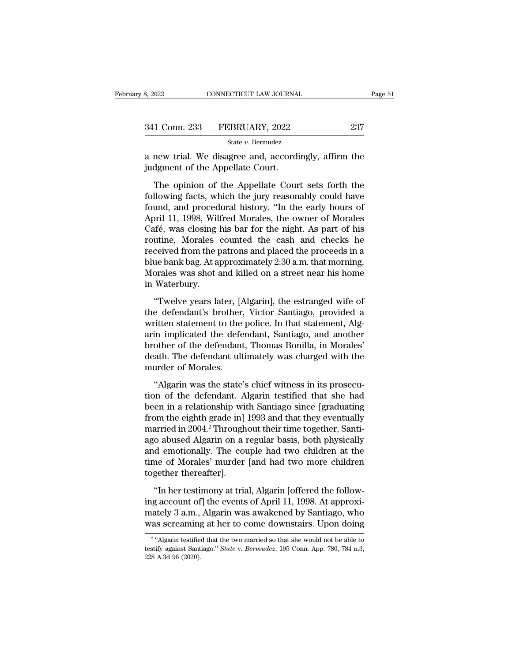| 3, 2022       | CONNECTICUT LAW JOURNAL |     | Page 51 |
|---------------|-------------------------|-----|---------|
|               |                         |     |         |
| 341 Conn. 233 | FEBRUARY, 2022          | 237 |         |
|               | State v. Bermudez       |     |         |

a new trial. We disagree and, accordingly, affirm the<br>
discrepended by disagree and, accordingly, affirm the<br>
disagree and, accordingly, affirm the<br>
disagree and, accordingly, affirm the<br>
disagree and, accordingly, affirm 341 Conn. 233 FEBRUARY, 2022<br>
<sup>State v. Bermudez</sup><br>
a new trial. We disagree and, accordi<br>
judgment of the Appellate Court.<br>
The opinion of the Appellate Cour

1 Conn. 233 FEBRUARY, 2022 237<br>
State v. Bermudez<br>
new trial. We disagree and, accordingly, affirm the<br>
dgment of the Appellate Court.<br>
The opinion of the Appellate Court sets forth the<br>
llowing facts, which the jury reaso FEBRUARY, 2022 237<br>
State v. Bernudez<br>
a new trial. We disagree and, accordingly, affirm the<br>
judgment of the Appellate Court.<br>
The opinion of the Appellate Court sets forth the<br>
following facts, which the jury reasonably State v. Bermudez<br>
a new trial. We disagree and, accordingly, affirm the<br>
judgment of the Appellate Court.<br>
The opinion of the Appellate Court sets forth the<br>
following facts, which the jury reasonably could have<br>
found, a new trial. We disagree and, accordingly, affirm the<br>judgment of the Appellate Court.<br>The opinion of the Appellate Court sets forth the<br>following facts, which the jury reasonably could have<br>found, and procedural history. independent of the Appellate Court.<br>The opinion of the Appellate Court sets forth the<br>following facts, which the jury reasonably could have<br>found, and procedural history. "In the early hours of<br>April 11, 1998, Wilfred Mora The opinion of the Appellate Court sets forth the<br>following facts, which the jury reasonably could have<br>found, and procedural history. "In the early hours of<br>April 11, 1998, Wilfred Morales, the owner of Morales<br>Café, was The opinion of the Appellate Court sets forth the<br>following facts, which the jury reasonably could have<br>found, and procedural history. "In the early hours of<br>April 11, 1998, Wilfred Morales, the owner of Morales<br>Café, was following facts, which the jury reasonably could have<br>found, and procedural history. "In the early hours of<br>April 11, 1998, Wilfred Morales, the owner of Morales<br>Café, was closing his bar for the night. As part of his<br>rout found, and procedural history. "In the early hours of<br>April 11, 1998, Wilfred Morales, the owner of Morales<br>Café, was closing his bar for the night. As part of his<br>routine, Morales counted the cash and checks he<br>received f April 11, 1998, Will<br>Café, was closing l<br>routine, Morales<br>received from the p<br>blue bank bag. At a<br>Morales was shot a<br>in Waterbury.<br>"Twelve years la The Highland Lie part of the state of the countine, Morales counted the cash and checks he<br>ceived from the patrons and placed the proceeds in a<br>ue bank bag. At approximately 2:30 a.m. that morning,<br>orales was shot and kill the defendant's brother, and placed the proceeds in a<br>thue bank bag. At approximately 2:30 a.m. that morning,<br>Morales was shot and killed on a street near his home<br>in Waterbury.<br>"Twelve years later, [Algarin], the estrange

Fourter from the pursua and proceed the proceeds in a<br>blue bank bag. At approximately 2:30 a.m. that morning,<br>Morales was shot and killed on a street near his home<br>in Waterbury.<br>"Twelve years later, [Algarin], the estrange Morales was shot and killed on a street near his home<br>in Waterbury.<br>"Twelve years later, [Algarin], the estranged wife of<br>the defendant's brother, Victor Santiago, provided a<br>written statement to the police. In that statem in Waterbury.<br>
"Twelve years later, [Algarin], the estranged wife of<br>
the defendant's brother, Victor Santiago, provided a<br>
written statement to the police. In that statement, Alg-<br>
arin implicated the defendant, Santiago, death. The defendant's brother, [Algarin], the estranged wife of the defendant's brother, Victor Santiago, provided a written statement to the police. In that statement, Algarin implicated the defendant, Santiago, and anot "Twelve years later, [*l*<br>the defendant's brother<br>written statement to the<br>arin implicated the defe<br>brother of the defendant<br>death. The defendant ult<br>murder of Morales.<br>"Algarin was the state" The statement to the police. In that statement, Alg-<br>
in implicated the defendant, Santiago, and another<br>
other of the defendant, Thomas Bonilla, in Morales'<br>
ath. The defendant ultimately was charged with the<br>
urder of Mo The defendant, Santiago, and another<br>brother of the defendant, Thomas Bonilla, in Morales'<br>death. The defendant ultimately was charged with the<br>murder of Morales.<br>"Algarin was the state's chief witness in its prosecu-<br>tion

brother of the defendant, Thomas Bonilla, in Morales'<br>death. The defendant ultimately was charged with the<br>murder of Morales.<br>"Algarin was the state's chief witness in its prosecu-<br>tion of the defendant. Algarin testified From the defendant ultimately was charged with the<br>murder of Morales.<br>"Algarin was the state's chief witness in its prosecu-<br>tion of the defendant. Algarin testified that she had<br>been in a relationship with Santiago since murder of Morales.<br>
"Algarin was the state's chief witness in its prosecution of the defendant. Algarin testified that she had<br>
been in a relationship with Santiago since [graduating<br>
from the eighth grade in] 1993 and tha "Algarin was the state's chief witness in its prosecution of the defendant. Algarin testified that she had been in a relationship with Santiago since [graduating from the eighth grade in] 1993 and that they eventually mar "Algarin was the state's chief witness in its prosecution of the defendant. Algarin testified that she had<br>been in a relationship with Santiago since [graduating<br>from the eighth grade in] 1993 and that they eventually<br>marr tion of the defendant. Algarin testified that she had<br>been in a relationship with Santiago since [graduating<br>from the eighth grade in] 1993 and that they eventually<br>married in 2004.<sup>2</sup> Throughout their time together, Santi been in a relationship wiifrom the eighth grade in]<br>married in 2004.<sup>2</sup> Through<br>ago abused Algarin on a 1<br>and emotionally. The courtime of Morales' murder<br>together thereafter].<br>"In her testimony at tria First Figure 11, 1992<br>
arried in 2004.<sup>2</sup> Throughout their time together, Santi-<br>
co abused Algarin on a regular basis, both physically<br>
d emotionally. The couple had two children at the<br>
me of Morales' murder [and had two ing a abused Algarin on a regular basis, both physically<br>ago abused Algarin on a regular basis, both physically<br>and emotionally. The couple had two children at the<br>time of Morales' murder [and had two more children<br>togethe

mately 3 a.m. and emotionally. The couple had two children at the time of Morales' murder [and had two more children together thereafter].<br>"In her testimony at trial, Algarin [offered the following account of] the events o time of Morales' murder [and had two more children<br>together thereafter].<br>"In her testimony at trial, Algarin [offered the follow-<br>ing account of] the events of April 11, 1998. At approxi-<br>mately 3 a.m., Algarin was awaken The net restimony at trial, Algarin [offered the follow-<br>
g account of] the events of April 11, 1998. At approxi-<br>
ately 3 a.m., Algarin was awakened by Santiago, who<br>
is screaming at her to come downstairs. Upon doing<br>
" ing account of] the events of April 11, 1998. At approximately 3 a.m., Algarin was awakened by Santiago, who was screaming at her to come downstairs. Upon doing <sup>2</sup> "Algarin testified that the two married so that she would

 $^2$  "Algarin testified that the two married so that she would not be able to mately 3 a.m.,<br>was screaming<br> $\frac{1}{2}$ "Algarin testifie<br>testify against Sant<br>228 A.3d 96 (2020).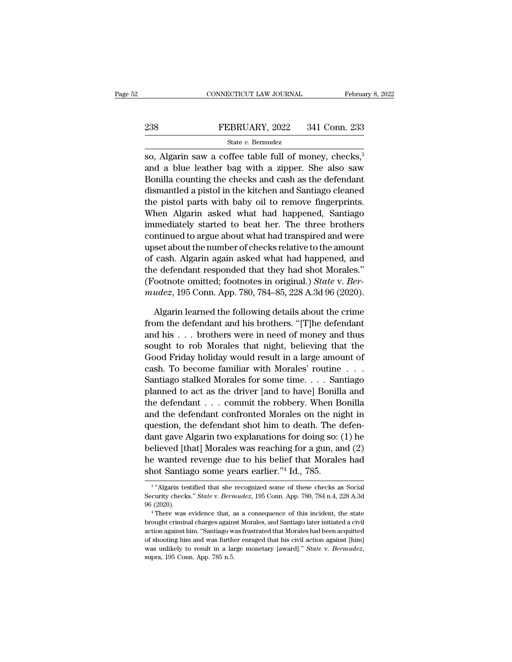# EXECUTE CONNECTICUT LAW JOURNAL February 8, 2022<br>238 FEBRUARY, 2022 341 Conn. 233<br>341 State v. Bermudez

## State *v.* Bermudez

CONNECTICUT LAW JOURNAL February 8, 202<br>
State v. Bermudez<br>
State v. Bermudez<br>
So, Algarin saw a coffee table full of money, checks,<sup>3</sup><br>
State lead to the data of money and a blue leather bag with a zipper. She also saw 238 FEBRUARY, 2022 341 Conn. 233<br>
State v. Bermudez<br>
State v. Bermudez<br>
State v. Bermudez<br>
State v. Bermudez<br>
State v. Bermudez<br>
Algarin saw a coffee table full of money, checks,  $\frac{3}{8}$ <br>
and a blue leather bag with a z EXEMPLARY, 2022 341 Conn. 233<br>
State v. Bermudez<br>
So, Algarin saw a coffee table full of money, checks,<sup>3</sup><br>
and a blue leather bag with a zipper. She also saw<br>
Bonilla counting the checks and cash as the defendant<br>
disman 238 FEBRUARY, 2022 341 Conn. 233<br>
State v. Bernudez<br>
State v. Bernudez<br>
State v. Bernudez<br>
and a blue leather bag with a zipper. She also saw<br>
Bonilla counting the checks and cash as the defendant<br>
dismantled a pistol in State v. Bermudez<br>
so, Algarin saw a coffee table full of money, checks,<sup>3</sup><br>
and a blue leather bag with a zipper. She also saw<br>
Bonilla counting the checks and cash as the defendant<br>
dismantled a pistol in the kitchen an  $\frac{500 \text{ A}}{200}$  and a blue leather bag with a zipper. She also saw<br>Bonilla counting the checks and cash as the defendant<br>dismantled a pistol in the kitchen and Santiago cleaned<br>the pistol parts with baby oil to remove so, Algarm saw a coffee table full of money, checks,"<br>and a blue leather bag with a zipper. She also saw<br>Bonilla counting the checks and cash as the defendant<br>dismantled a pistol in the kitchen and Santiago cleaned<br>the pis and a blue leather bag with a zipper. She also saw<br>Bonilla counting the checks and cash as the defendant<br>dismantled a pistol in the kitchen and Santiago cleaned<br>the pistol parts with baby oil to remove fingerprints.<br>When A Bonilla counting the checks and cash as the detendant<br>dismantled a pistol in the kitchen and Santiago cleaned<br>the pistol parts with baby oil to remove fingerprints.<br>When Algarin asked what had happened, Santiago<br>immediatel dismantled a pistol in the kitchen and Santiago cleaned<br>the pistol parts with baby oil to remove fingerprints.<br>When Algarin asked what had happened, Santiago<br>immediately started to beat her. The three brothers<br>continued to the pistol parts with baby oil to remove ingerprints.<br>When Algarin asked what had happened, Santiago<br>immediately started to beat her. The three brothers<br>continued to argue about what had transpired and were<br>upset about th when Algarin asked what had happened, Santiago<br>immediately started to beat her. The three brothers<br>continued to argue about what had transpired and were<br>upset about the number of checks relative to the amount<br>of cash. Alga mmediately started to beat her. The three brothers<br>continued to argue about what had transpired and were<br>upset about the number of checks relative to the amount<br>of cash. Algarin again asked what had happened, and<br>the defen set about the number of checks relative to the amount<br>cash. Algarin again asked what had happened, and<br>e defendant responded that they had shot Morales."<br>ootnote omitted; footnotes in original.) *State* v. *Ber-<br>udez*, 195 of cash. Algarin again asked what had happened, and<br>the defendant responded that they had shot Morales."<br>(Footnote omitted; footnotes in original.) *State v. Ber-<br>mudez*, 195 Conn. App. 780, 784–85, 228 A.3d 96 (2020).<br>Alg

the defendant responded that they had shot Morales."<br>
(Footnote omitted; footnotes in original.) *State* v. *Bermudez*, 195 Conn. App. 780, 784–85, 228 A.3d 96 (2020).<br>
Algarin learned the following details about the crim (Footnote omitted; footnotes in original.) *State v. Bermudez*, 195 Conn. App. 780, 784–85, 228 A.3d 96 (2020).<br>Algarin learned the following details about the crime<br>from the defendant and his brothers. "[T]he defendant<br>a mudez, 195 Conn. App. 780, 784–85, 228 A.3d 96 (2020).<br>
Algarin learned the following details about the crime<br>
from the defendant and his brothers. "[T]he defendant<br>
and his . . . brothers were in need of money and thus<br> Algarin learned the following details about the crime<br>from the defendant and his brothers. "[T]he defendant<br>and his . . . brothers were in need of money and thus<br>sought to rob Morales that night, believing that the<br>Good F Algarm learned the following details about the crime<br>from the defendant and his brothers. "[T]he defendant<br>and his . . . brothers were in need of money and thus<br>sought to rob Morales that night, believing that the<br>Good Fr from the defendant and his brothers. "[T]he defendant<br>and his . . . brothers were in need of money and thus<br>sought to rob Morales that night, believing that the<br>Good Friday holiday would result in a large amount of<br>cash. and his . . . brothers were in need of money and thus<br>sought to rob Morales that night, believing that the<br>Good Friday holiday would result in a large amount of<br>cash. To become familiar with Morales' routine . . .<br>Santiago sought to rob Morales that night, believing that the<br>Good Friday holiday would result in a large amount of<br>cash. To become familiar with Morales' routine  $\ldots$ <br>Santiago stalked Morales for some time.  $\ldots$  Santiago<br>planne Good Friday holiday would result in a large amount of<br>cash. To become familiar with Morales' routine . . .<br>Santiago stalked Morales for some time. . . . Santiago<br>planned to act as the driver [and to have] Bonilla and<br>the cash. To become familiar with Morales' routine . . . .<br>Santiago stalked Morales for some time. . . . Santiago<br>planned to act as the driver [and to have] Bonilla and<br>the defendant . . . commit the robbery. When Bonilla<br>and Santiago staiked Morales for some time. . . . Santiago<br>planned to act as the driver [and to have] Bonilla and<br>the defendant . . . commit the robbery. When Bonilla<br>and the defendant confronted Morales on the night in<br>quest planned to act as the dirver [and to have] Bonilla and<br>the defendant . . . commit the robbery. When Bonilla<br>and the defendant confronted Morales on the night in<br>question, the defendant shot him to death. The defen-<br>dant ga the defendant  $\ldots$  commit the robbery. When B and the defendant confronted Morales on the nighteestion, the defendant shot him to death. The codant gave Algarin two explanations for doing so: believed [that] Morales was In gave Algarin two explanations for doing so: (1) he<br>lieved [that] Morales was reaching for a gun, and (2)<br>wanted revenge due to his belief that Morales had<br>ot Santiago some years earlier."<sup>4</sup> Id., 785.<br>"Algarin testifie believed [that] Morales was reaching for a gun, and (2)<br>he wanted revenge due to his belief that Morales had<br>shot Santiago some years earlier."<sup>4</sup> Id., 785.<br><sup>3</sup> "Algarin testified that she recognized some of these checks a

 $3.44$   $\mu$ he wanted revenge due to his belief that Morales had<br>shot Santiago some years earlier."<sup>4</sup> Id., 785.<br><sup>3</sup> "Algarin testified that she recognized some of these checks as Social<br>Security checks." *State* v. *Bermudez*, 195 Co

 $\frac{3}{4}$  "Algarin testified that she recognized some of these checks as Social Security checks." *State v. Bermudez*, 195 Conn. App. 780, 784 n.4, 228 A.3d 96 (2020).<br> $\frac{4}{4}$  There was evidence that, as a consequence o <sup>3</sup> "Algarin testified that she recognized some of these checks as Social Security checks." *State* v. *Bermudez*, 195 Conn. App. 780, 784 n.4, 228 A.3d 96 (2020).<br><sup>4</sup> There was evidence that, as a consequence of this inc Security checks." *State* v. *Bermudez*, 195 Conn. App. 780, 784 n.4, 228 A.3d 96 (2020).<br>
"There was evidence that, as a consequence of this incident, the state brought criminal charges against Morales, and Santiago late 96 (2020).<br>
<sup>4</sup> There was evidence that, as a consequence of this incident, the state<br>
brought criminal charges against Morales, and Santiago later initiated a civil<br>
action against him. "Santiago was frustrated that Moral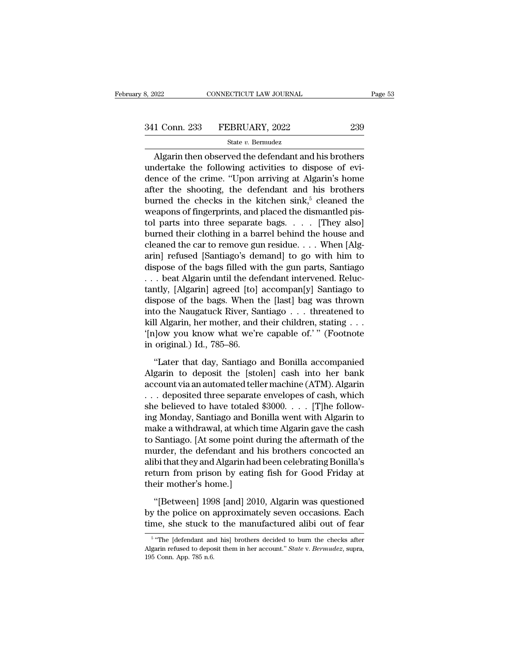CONNECTICUT LAW JOURNAL Page 53<br>
1 Conn. 233 FEBRUARY, 2022 239<br>
State v. Bermudez<br>
Algarin then observed the defendant and his brothers<br>
dertake the following activities to dispose of evi- $\frac{341 \text{ Conn. } 233 \qquad \text{FEBRUARY, } 2022 \qquad \qquad 239}$ <br>State v. Bermudez<br>Algarin then observed the defendant and his brothers<br>undertake the following activities to dispose of evi-<br>dence of the crime. "Upon arriving at Algarin's h 341 Conn. 233 FEBRUARY, 2022 239<br>
State v. Bernudez<br>
Algarin then observed the defendant and his brothers<br>
undertake the following activities to dispose of evi-<br>
dence of the crime. "Upon arriving at Algarin's home<br>
after 341 Conn. 233 FEBRUARY, 2022 239<br>
State v. Bernudez<br>
Algarin then observed the defendant and his brothers<br>
undertake the following activities to dispose of evi-<br>
dence of the crime. "Upon arriving at Algarin's home<br>
after State v. Bermudez<br>
Higarin then observed the defendant and his brothers<br>
undertake the following activities to dispose of evi-<br>
dence of the crime. "Upon arriving at Algarin's home<br>
after the shooting, the defendant and h Magarin then observed the defendant and his brothers<br>
undertake the following activities to dispose of evi-<br>
dence of the crime. "Upon arriving at Algarin's home<br>
after the shooting, the defendant and his brothers<br>
burned Algarin then observed the defendant and his brothers<br>undertake the following activities to dispose of evi-<br>dence of the crime. "Upon arriving at Algarin's home<br>after the shooting, the defendant and his brothers<br>burned the undertake the following activities to dispose of evi-<br>dence of the crime. "Upon arriving at Algarin's home<br>after the shooting, the defendant and his brothers<br>burned the checks in the kitchen sink,<sup>5</sup> cleaned the<br>weapons o dence of the crime. "Upon arriving at Algarin's home<br>after the shooting, the defendant and his brothers<br>burned the checks in the kitchen sink,<sup>5</sup> cleaned the<br>weapons of fingerprints, and placed the dismantled pis-<br>tol par after the shooting, the defendant and his brothers<br>burned the checks in the kitchen sink,<sup>5</sup> cleaned the<br>weapons of fingerprints, and placed the dismantled pis-<br>tol parts into three separate bags. . . . [They also]<br>burned burned the checks in the kitchen sink,<sup>5</sup> cleaned the<br>weapons of fingerprints, and placed the dismantled pis-<br>tol parts into three separate bags. . . . [They also]<br>burned their clothing in a barrel behind the house and<br>cl weapons of fingerprints, and placed the dismantled pis-<br>tol parts into three separate bags. . . . [They also]<br>burned their clothing in a barrel behind the house and<br>cleaned the car to remove gun residue. . . . When [Alg-<br> tol parts into three separate bags. . . . . [They also]<br>burned their clothing in a barrel behind the house and<br>cleaned the car to remove gun residue. . . . When [Alg-<br>arin] refused [Santiago's demand] to go with him to<br>dis burned their clothing in a barrel behind the house and<br>cleaned the car to remove gun residue. . . . When [Alg-<br>arin] refused [Santiago's demand] to go with him to<br>dispose of the bags filled with the gun parts, Santiago<br>. . cleaned the car to remove gun residue. . . . When [Algarin] refused [Santiago's demand] to go with him to dispose of the bags filled with the gun parts, Santiago . . . beat Algarin until the defendant intervened. Reluctant arin] refused [Santiago's demand] to go with him to<br>dispose of the bags filled with the gun parts, Santiago<br>... beat Algarin until the defendant intervened. Reluc-<br>tantly, [Algarin] agreed [to] accompan[y] Santiago to<br>dis dispose of the bags filled with the gun parts, Santiago<br>
... beat Algarin until the defendant intervened. Reluctantly, [Algarin] agreed [to] accompan[y] Santiago to<br>
dispose of the bags. When the [last] bag was thrown<br>
int . . . beat Algarin until the def<br>tantly, [Algarin] agreed [to]<br>dispose of the bags. When t<br>into the Naugatuck River, Sa<br>kill Algarin, her mother, and<br>'[n]ow you know what we're<br>in original.) Id., 785–86.<br>''Later that day, spose of the bags. When the [last] bag was thrown<br>spose of the bags. When the [last] bag was thrown<br>to the Naugatuck River, Santiago  $\ldots$  threatened to<br>ll Algarin, her mother, and their children, stating  $\ldots$ <br>low you kn into the Naugatuck River, Santiago  $\ldots$  threatened to<br>kill Algarin, her mother, and their children, stating  $\ldots$ <br>'[n]ow you know what we're capable of.' " (Footnote<br>in original.) Id., 785–86.<br>"Later that day, Santiago a

kill Algarin, her mother, and their children, stating . . .<br>
"[n]ow you know what we're capable of.' " (Footnote in original.) Id., 785–86.<br>
"Later that day, Santiago and Bonilla accompanied<br>
Algarin to deposit the [stole "(n)ow you know what we're capable of." " (Footnote<br>in original.) Id., 785–86.<br>"Later that day, Santiago and Bonilla accompanied<br>Algarin to deposit the [stolen] cash into her bank<br>account via an automated teller machine ( in original.) Id., 785–86.<br>
"Later that day, Santiago and Bonilla accompanied<br>
Algarin to deposit the [stolen] cash into her bank<br>
account via an automated teller machine (ATM). Algarin<br>
. . . deposited three separate enve "Later that day, Santiago and Bonilla accompanied<br>Algarin to deposit the [stolen] cash into her bank<br>account via an automated teller machine (ATM). Algarin<br> $\dots$  deposited three separate envelopes of cash, which<br>she believ "Later that day, Santiago and Bonilla accompanied<br>Algarin to deposit the [stolen] cash into her bank<br>account via an automated teller machine (ATM). Algarin<br> $\ldots$  deposited three separate envelopes of cash, which<br>she belie Algarin to deposit the [stolen] cash into her bank<br>account via an automated teller machine (ATM). Algarin<br>... deposited three separate envelopes of cash, which<br>she believed to have totaled \$3000. . . . [T]he follow-<br>ing Mo account via an automated teller machine (ATM). Algarin<br>
. . . deposited three separate envelopes of cash, which<br>
she believed to have totaled \$3000. . . . [T]he follow-<br>
ing Monday, Santiago and Bonilla went with Algarin t . . . deposited three separate envelopes of cash, which<br>she believed to have totaled \$3000. . . . [T]he follow-<br>ing Monday, Santiago and Bonilla went with Algarin to<br>make a withdrawal, at which time Algarin gave the cash<br>t she believed to have totaled \$3000. . . . [T]he following Monday, Santiago and Bonilla went with Algarin to make a withdrawal, at which time Algarin gave the cash to Santiago. [At some point during the aftermath of the mur ing Monday, Santiago and Bo<br>make a withdrawal, at which<br>to Santiago. [At some point d<br>murder, the defendant and l<br>alibi that they and Algarin had<br>return from prison by eating<br>their mother's home.]<br>"[Between] 1998 [and] 201 Santiago. [At some point during the aftermath of the<br>urder, the defendant and his brothers concocted an<br>bi that they and Algarin had been celebrating Bonilla's<br>turn from prison by eating fish for Good Friday at<br>eir mother' murder, the defendant and his brothers concocted an<br>alibi that they and Algarin had been celebrating Bonilla's<br>return from prison by eating fish for Good Friday at<br>their mother's home.]<br>"[Between] 1998 [and] 2010, Algarin alibi that they and Algarin had been celebrating Bonilla's<br>return from prison by eating fish for Good Friday at<br>their mother's home.]<br>"[Between] 1998 [and] 2010, Algarin was questioned<br>by the police on approximately seven

"[Between] 1998 [and] 2010, Algarin was questioned<br>the police on approximately seven occasions. Each<br>ne, she stuck to the manufactured alibi out of fear<br>"The [defendant and his] brothers decided to burn the checks after<br>ar "[Between] 1998 [and] 2010, Algarin was questioned<br>by the police on approximately seven occasions. Each<br>time, she stuck to the manufactured alibi out of fear<br><sup>5</sup> "The [defendant and his] brothers decided to burn the checks

<sup>&</sup>lt;sup>5</sup> "The [defendant and his] brothers decided to burn the checks after by the police on a<br>time, she stuck t<br> $\frac{5}{100}$ <br> $\frac{5}{100}$ <br>Algarin refused to depote<br>195 Conn. App. 785 n.6.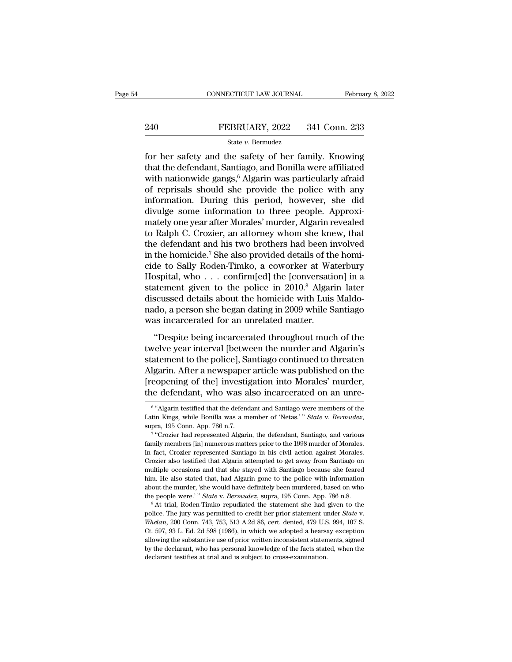# EXECUTE CONNECTICUT LAW JOURNAL February 8, 2022<br>240 FEBRUARY, 2022 341 Conn. 233<br>341 State v. Bermudez

## State *v.* Bermudez

FEBRUARY, 2022 341 Conn. 233<br>
State v. Bermudez<br>
for her safety and the safety of her family. Knowing<br>
that the defendant, Santiago, and Bonilla were affiliated<br>
with nationwide gangs <sup>6</sup> Algorin was particularly afreid The definition of the defendant of the defendant of the defendant of the defendant of the defendant of the defendant of the defendant of the police with any of the police with any  $\alpha$  of the police should she provide the EXEMPLARY, 2022 341 Conn. 233<br>
State v. Bernudez<br>
for her safety and the safety of her family. Knowing<br>
that the defendant, Santiago, and Bonilla were affiliated<br>
with nationwide gangs, <sup>6</sup> Algarin was particularly afraid **EXECUARY, 2022** 341 Conn. 233<br>
State v. Bermudez<br>
for her safety and the safety of her family. Knowing<br>
that the defendant, Santiago, and Bonilla were affiliated<br>
with nationwide gangs, <sup>6</sup> Algarin was particularly afrai State v. Bernudez<br>
for her safety and the safety of her family. Knowing<br>
that the defendant, Santiago, and Bonilla were affiliated<br>
with nationwide gangs,  $\delta$  Algarin was particularly afraid<br>
of reprisals should she prov state v. Bermudez<br>for her safety and the safety of her family. Knowing<br>that the defendant, Santiago, and Bonilla were affiliated<br>with nationwide gangs, <sup>6</sup> Algarin was particularly afraid<br>of reprisals should she provide t for her safety and the safety of her family. Knowing<br>that the defendant, Santiago, and Bonilla were affiliated<br>with nationwide gangs,<sup>6</sup> Algarin was particularly afraid<br>of reprisals should she provide the police with any<br>i that the defendant, Santiago, and Bonilla were affiliated<br>with nationwide gangs,<sup>6</sup> Algarin was particularly afraid<br>of reprisals should she provide the police with any<br>information. During this period, however, she did<br>divu with nationwide gangs,<sup>6</sup> Algarin was particularly afraid<br>of reprisals should she provide the police with any<br>information. During this period, however, she did<br>divulge some information to three people. Approxi-<br>mately one of reprisals should she provide the police with any<br>information. During this period, however, she did<br>divulge some information to three people. Approxi-<br>mately one year after Morales' murder, Algarin revealed<br>to Ralph C. C information. During this period, however, she did<br>divulge some information to three people. Approxi-<br>mately one year after Morales' murder, Algarin revealed<br>to Ralph C. Crozier, an attorney whom she knew, that<br>the defenda divulge some information to three people. Approximately one year after Morales' murder, Algarin revealed<br>to Ralph C. Crozier, an attorney whom she knew, that<br>the defendant and his two brothers had been involved<br>in the homi mately one year after Morales' murder, Algarin revealed<br>to Ralph C. Crozier, an attorney whom she knew, that<br>the defendant and his two brothers had been involved<br>in the homicide.<sup>7</sup> She also provided details of the homi-<br>c to Ralph C. Crozier, an attorney whom she knew, that<br>the defendant and his two brothers had been involved<br>in the homicide.<sup>7</sup> She also provided details of the homi-<br>cide to Sally Roden-Timko, a coworker at Waterbury<br>Hospit the defendant and his two brothers had been involved<br>in the homicide.<sup>7</sup> She also provided details of the homi-<br>cide to Sally Roden-Timko, a coworker at Waterbury<br>Hospital, who . . . confirm[ed] the [conversation] in a<br>sta in the homicide.<sup>7</sup> She also provided details of th<br>cide to Sally Roden-Timko, a coworker at Wa<br>Hospital, who  $\dots$  confirm[ed] the [conversatio<br>statement given to the police in 2010.<sup>8</sup> Algari<br>discussed details about the of the increase of the police in 2010.<sup>8</sup> algarin at the set of the police in 2010.<sup>8</sup> Algarin later scussed details about the homicide with Luis Maldodo, a person she began dating in 2009 while Santiago as incarcerated fo trooptical, who will continue in 2010.<sup>8</sup> Algarin later<br>statement given to the police in 2010.<sup>8</sup> Algarin later<br>discussed details about the homicide with Luis Maldo-<br>nado, a person she began dating in 2009 while Santiago<br>w

statement given to the police in 2010. Inguint hatch<br>discussed details about the homicide with Luis Maldo-<br>nado, a person she began dating in 2009 while Santiago<br>was incarcerated for an unrelated matter.<br>"Despite being inc algarin. After a newspaper article was published on an unrelated matter.<br>
"Despite being incarcerated throughout much of the<br>
twelve year interval [between the murder and Algarin's<br>
statement to the police], Santiago conti mates, a person she segan alaring in 2009 while standage<br>was incarcerated for an unrelated matter.<br>"Despite being incarcerated throughout much of the<br>twelve year interval [between the murder and Algarin's<br>statement to the "Despite being incarcerated throughout much of the<br>twelve year interval [between the murder and Algarin's<br>statement to the police], Santiago continued to threaten<br>Algarin. After a newspaper article was published on the<br>[r tement to the police], Santiago continued to threaten<br>garin. After a newspaper article was published on the<br>copening of the] investigation into Morales' murder,<br>e defendant, who was also incarcerated on an unre-<br>"Algarin t Algarin. After a newspaper article was published on the [reopening of the] investigation into Morales' murder, the defendant, who was also incarcerated on an unre<sup>6</sup> "Algarin testified that the defendant and Santiago were

 $6.41$ da e defendant, who was also incarcerated on an unre-<br>
"Algarin testified that the defendant and Santiago were members of the<br>
in Kings, while Bonilla was a member of 'Netas.' "*State v. Bermudez*,<br>
ra, 195 Conn. App. 786 n.7

<sup>&</sup>lt;sup>6</sup> "Algarin testified that the defendant and Santiago were members of the Latin Kings, while Bonilla was a member of 'Netas.' " *State v. Bermudez*, supra, 195 Conn. App. 786 n.7.<br><sup>7</sup> "Crozier had represented Algarin, the <sup>6</sup> "Algarin testified that the defendant and Santiago were members of the Latin Kings, while Bonilla was a member of 'Netas.' " *State* v. *Bermudez*, supra, 195 Conn. App. 786 n.7.<br><sup>7</sup> "Crozier had represented Algarin, The Kings, while Bonilla was a member of 'Netas.' " *State v. Bermudez*, supra, 195 Conn. App. 786 n.7.<br>
<sup>7</sup> "Crozier had represented Algarin, the defendant, Santiago, and various family members [in] numerous matters prior supra, 195 Conn. App. 786 n.7.<br>
<sup>7</sup> "Crozier had represented Algarin, the defendant, Santiago, and various family members [in] numerous matters prior to the 1998 murder of Morales.<br>
In fact, Crozier represented Santiago in <sup>7</sup> "Crozier had represented Algarin, the defendant, Santiago, and various family members [in] numerous matters prior to the 1998 murder of Morales.<br>In fact, Crozier represented Santiago in his civil action against Morales family members [in] numerous matters prior to the 1998 murder of Morales.<br>In fact, Crozier represented Santiago in his civil action against Morales.<br>Crozier also testified that Algarin attempted to get away from Santiago o In fact, Crozier represented Santiago in his civil action against Morales.<br>Crozier also testified that Algarin attempted to get away from Santiago on<br>multiple occasions and that she stayed with Santiago because she feared<br>

police. The jury was permitted to credit her prior statement under *Statement* her prior stated that, had Algarin gone to the police with information about the murder, 'she would have definitely been murdered, based on who about the murder, 'she would have definitely been murdered, based on who the people were.' " *State v. Bermudez*, supra, 195 Conn. App. 786 n.8.<br><sup>8</sup> At trial, Roden-Timko repudiated the statement she had given to the polic allowing the substantiantly the substantiantly the people were.'" State v. Bermudez, supra, 195 Conn. App. 786 n.8.<br>
<sup>8</sup> At trial, Roden-Timko repudiated the statement she had given to the police. The jury was permitted t <sup>8</sup> At trial, Roden-Timko repudiated the statement she had given to the police. The jury was permitted to credit her prior statement under *State* v. *Whelan*, 200 Conn. 743, 753, 513 A.2d 86, cert. denied, 479 U.S. 994, <sup>8</sup> At trial, Roden-Timko repudiated the statement she had given to the police. The jury was permitted to credit her prior statement under *State* v. *Whelan*, 200 Conn. 743, 753, 513 A.2d 86, cert. denied, 479 U.S. 994,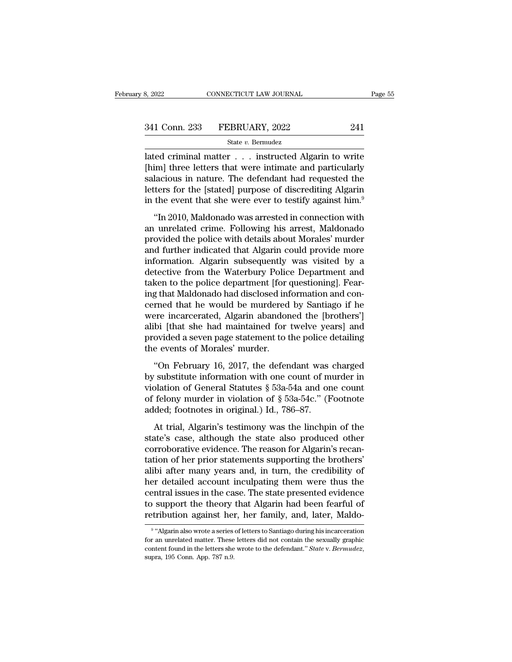# 341 Conn. 233 FEBRUARY, 2022 241

State *v.* Bermudez

S, 2022 CONNECTICUT LAW JOURNAL Page 55<br>
341 Conn. 233 FEBRUARY, 2022 241<br>
State v. Bermudez<br>
ated criminal matter . . . instructed Algarin to write<br>
[him] three letters that were intimate and particularly<br>
selections in n 341 Conn. 233 FEBRUARY, 2022 241<br>
State v. Bermudez<br>
lated criminal matter . . . instructed Algarin to write<br>
[him] three letters that were intimate and particularly<br>
salacious in nature. The defendant had requested the<br>
l 341 Conn. 233 FEBRUARY, 2022 241<br>
State v. Bernudez<br>
lated criminal matter . . . instructed Algarin to write<br>
[him] three letters that were intimate and particularly<br>
salacious in nature. The defendant had requested the<br> 341 Conn. 233 FEBRUARY, 2022 241<br>
State v. Bermudez<br>
lated criminal matter . . . instructed Algarin to write<br>
[him] three letters that were intimate and particularly<br>
salacious in nature. The defendant had requested the<br> State v. Bermudez<br>
Interded Criminal matter . . . instructed Algarin to write<br>
[him] three letters that were intimate and particularly<br>
salacious in nature. The defendant had requested the<br>
letters for the [stated] purpos The continual matter whistructed Algarin to write<br>
im] three letters that were intimate and particularly<br>
lacious in nature. The defendant had requested the<br>
ters for the [stated] purpose of discrediting Algarin<br>
the event Film the letters that were intimate and particularly salacious in nature. The defendant had requested the letters for the [stated] purpose of discrediting Algarin in the event that she were ever to testify against him.<sup>9</sup>

paradious in nature. The defendant had requested the<br>letters for the [stated] purpose of discrediting Algarin<br>in the event that she were ever to testify against him.<sup>9</sup><br>"In 2010, Maldonado was arrested in connection with<br>a betters for the [stated] purpose of discrediting Algarin<br>in the event that she were ever to testify against him.<sup>9</sup><br>"In 2010, Maldonado was arrested in connection with<br>an unrelated crime. Following his arrest, Maldonado<br>pr reactly for all platted parpose of discreding rigarin<br>in the event that she were ever to testify against him.<sup>9</sup><br>"In 2010, Maldonado was arrested in connection with<br>an unrelated crime. Following his arrest, Maldonado<br>provi m are event and she were ever to testary against rim.<br>
"In 2010, Maldonado was arrested in connection with<br>
an unrelated crime. Following his arrest, Maldonado<br>
provided the police with details about Morales' murder<br>
and f "In 2010, Maldonado was arrested in connection with<br>an unrelated crime. Following his arrest, Maldonado<br>provided the police with details about Morales' murder<br>and further indicated that Algarin could provide more<br>informati an unrelated crime. Following his arrest, Maldonado<br>provided the police with details about Morales' murder<br>and further indicated that Algarin could provide more<br>information. Algarin subsequently was visited by a<br>detective provided the police with details about Morales' murder<br>and further indicated that Algarin could provide more<br>information. Algarin subsequently was visited by a<br>detective from the Waterbury Police Department and<br>taken to th and further indicated that Algarin could provide more<br>information. Algarin subsequently was visited by a<br>detective from the Waterbury Police Department and<br>taken to the police department [for questioning]. Fear-<br>ing that M information. Algarin subsequently was visited by a<br>detective from the Waterbury Police Department and<br>taken to the police department [for questioning]. Fear-<br>ing that Maldonado had disclosed information and con-<br>cerned tha detective from the Waterbury Police Department and<br>taken to the police department [for questioning]. Fear-<br>ing that Maldonado had disclosed information and con-<br>cerned that he would be murdered by Santiago if he<br>were incar taken to the police department [for oring that Maldonado had disclosed informed that he would be murdered were incarcerated, Algarin abandor alibi [that she had maintained for provided a seven page statement to the events The definition of Conoral Statistics and an<br>excepted by Santiago if here incarcerated, Algarin abandoned the [brothers']<br>bi [that she had maintained for twelve years] and<br>ovided a seven page statement to the police detail befined that the world be indicated by bandage if no<br>were incarcerated, Algarin abandoned the [brothers']<br>alibi [that she had maintained for twelve years] and<br>provided a seven page statement to the police detailing<br>the ev

were meanerated, rigarin assumed and products j<br>alibi [that she had maintained for twelve years] and<br>provided a seven page statement to the police detailing<br>the events of Morales' murder.<br>"On February 16, 2017, the defend provided a seven page statement to the police detailing<br>the events of Morales' murder.<br>"On February 16, 2017, the defendant was charged<br>by substitute information with one count of murder in<br>violation of General Statutes § From a sover page statement to the ponce of<br>the events of Morales' murder.<br>"On February 16, 2017, the defendant was<br>by substitute information with one count of m<br>violation of General Statutes § 53a-54a and on<br>of felony mur "On February 16, 2017, the defendant was charged<br>
substitute information with one count of murder in<br>
plation of General Statutes  $\S$  53a-54a and one count<br>
felony murder in violation of  $\S$  53a-54c." (Footnote<br>
ded; foot by substitute information with one count of murder in<br>violation of General Statutes § 53a-54a and one count<br>of felony murder in violation of § 53a-54c." (Footnote<br>added; footnotes in original.) Id., 786–87.<br>At trial, Alga

by substantial mistrimation. While the count of minimals in<br>violation of General Statutes § 53a-54a and one count<br>of felony murder in violation of § 53a-54c." (Footnote<br>added; footnotes in original.) Id., 786–87.<br>At trial transferred values  $\frac{1}{3}$  or  $\frac{1}{3}$  or  $\frac{1}{3}$  or  $\frac{1}{3}$  or  $\frac{1}{3}$  of felony murder in violation of  $\frac{1}{3}$  53a-54c." (Footnote added; footnotes in original.) Id., 786–87.<br>At trial, Algarin's testimony was added; footnotes in original.) Id., 786–87.<br>At trial, Algarin's testimony was the linchpin of the<br>state's case, although the state also produced other<br>corroborative evidence. The reason for Algarin's recan-<br>tation of her p At trial, Algarin's testimony was the linchpin of the<br>state's case, although the state also produced other<br>corroborative evidence. The reason for Algarin's recan-<br>tation of her prior statements supporting the brothers'<br>ali At trial, Algarin's testimony was the linchpin of the<br>state's case, although the state also produced other<br>corroborative evidence. The reason for Algarin's recan-<br>tation of her prior statements supporting the brothers'<br>ali state's case, although the state also produced other<br>corroborative evidence. The reason for Algarin's recan-<br>tation of her prior statements supporting the brothers'<br>alibi after many years and, in turn, the credibility of<br>h corroborative evidence. The reason for Algarin's recantation of her prior statements supporting the brothers'<br>alibi after many years and, in turn, the credibility of<br>her detailed account inculpating them were thus the<br>cent r detailed account inculpating them were thus the<br>ntral issues in the case. The state presented evidence<br>support the theory that Algarin had been fearful of<br>ribution against her, her family, and, later, Maldo-<br>"Algarin als central issues in the case. The state presented evidence<br>to support the theory that Algarin had been fearful of<br>retribution against her, her family, and, later, Maldo-<br> $\frac{9}{4}$ <br>"Algarin also wrote a series of letters to

<sup>&</sup>lt;sup>9</sup> "Algarin also wrote a series of letters to Santiago during his incarceration to support the theory that Algarin had been fearful of retribution against her, her family, and, later, Maldo-<br><sup>9</sup> "Algarin also wrote a series of letters to Santiago during his incarceration for an unrelated matter. These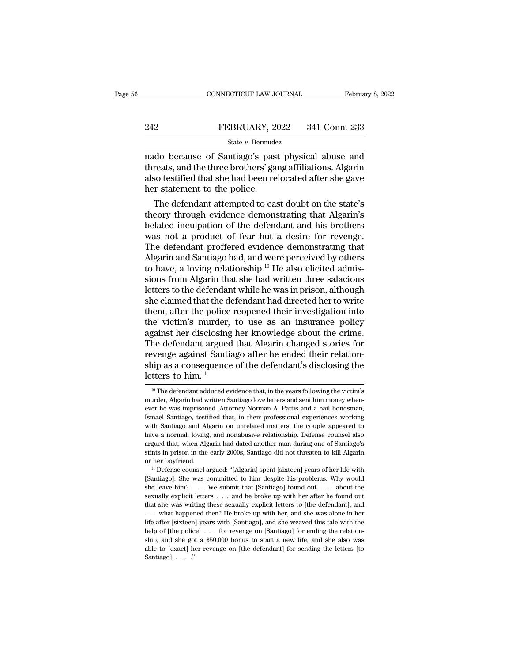# EXECUTE CONNECTICUT LAW JOURNAL February 8, 2022<br>242 FEBRUARY, 2022 341 Conn. 233<br>344 State v. Bermudez

## State *v.* Bermudez

CONNECTICUT LAW JOURNAL February 8, 2022<br>
PEBRUARY, 2022 341 Conn. 233<br>
State v. Bermudez<br>
nado because of Santiago's past physical abuse and<br>
threats, and the three brothers' gang affiliations. Algarin<br>
also tostified tha THREAT 2022 341 Conn. 233<br>
State v. Bernudez<br>
Rado because of Santiago's past physical abuse and<br>
threats, and the three brothers' gang affiliations. Algarin<br>
also testified that she had been relocated after she gave<br>
ther FEBRUARY, 2022 341 Conn. 233<br>
State v. Bermudez<br>
mado because of Santiago's past physical abuse and<br>
threats, and the three brothers' gang affiliations. Algarin<br>
also testified that she had been relocated after she gave<br>  $\begin{tabular}{l l l l} \multicolumn{1}{l}{{\bf \textcolor{red}{B22}}}&{\bf \textcolor{red}{FEBRUARY, 2022}}&{\bf 341 Conn. 233}\\ \hline & {\bf \textcolor{red}{State $v$. Bernudez}}\\ \hline \textcolor{red}{nado because of Santiago's past physical abuse and threats, and the three brothers' gang affiliations. Algarin also testified that she had been relocated after she gave her statement to the police.}\\ \hline \textcolor{red}{The defendant attempted to cast doubt on the state's theory through evidence demonstrating that Algarin's data.} \end{tabular}$ State  $v$ . Bermudez<br>
do because of Santiago's past physical abuse and<br>
reats, and the three brothers' gang affiliations. Algarin<br>
so testified that she had been relocated after she gave<br>
r statement to the police.<br>
The de nado because of Santiago's past physical abuse and<br>threats, and the three brothers' gang affiliations. Algarin<br>also testified that she had been relocated after she gave<br>her statement to the police.<br>The defendant attempted

mado because or Santiago's past pnysical abuse and<br>threats, and the three brothers' gang affiliations. Algarin<br>also testified that she had been relocated after she gave<br>her statement to the police.<br>The defendant attempted threats, and the three brothers gang armiations. Algarm<br>also testified that she had been relocated after she gave<br>her statement to the police.<br>The defendant attempted to cast doubt on the state's<br>theory through evidence de also testined that she had been relocated after she gave<br>her statement to the police.<br>The defendant attempted to cast doubt on the state's<br>theory through evidence demonstrating that Algarin's<br>belated inculpation of the def The defendant attempted to cast doubt on the state's<br>theory through evidence demonstrating that Algarin's<br>belated inculpation of the defendant and his brothers<br>was not a product of fear but a desire for revenge.<br>The defend The defendant attempted to cast doubt on the state's<br>theory through evidence demonstrating that Algarin's<br>belated inculpation of the defendant and his brothers<br>was not a product of fear but a desire for revenge.<br>The defen theory through evidence demonstrating that Algarin's<br>belated inculpation of the defendant and his brothers<br>was not a product of fear but a desire for revenge.<br>The defendant proffered evidence demonstrating that<br>Algarin and belated inculpation of the defendant and his brothers<br>was not a product of fear but a desire for revenge.<br>The defendant proffered evidence demonstrating that<br>Algarin and Santiago had, and were perceived by others<br>to have, was not a product of fear but a desire for revenge.<br>The defendant proffered evidence demonstrating that<br>Algarin and Santiago had, and were perceived by others<br>to have, a loving relationship.<sup>10</sup> He also elicited admis-<br>sio The defendant proffered evidence demonstrating that<br>Algarin and Santiago had, and were perceived by others<br>to have, a loving relationship.<sup>10</sup> He also elicited admis-<br>sions from Algarin that she had written three salacious Algarin and Santiago had, and were perceived by others<br>to have, a loving relationship.<sup>10</sup> He also elicited admis-<br>sions from Algarin that she had written three salacious<br>letters to the defendant while he was in prison, al to have, a loving relationship.<sup>10</sup> He also elicited admissions from Algarin that she had written three salacious<br>letters to the defendant while he was in prison, although<br>she claimed that the defendant had directed her to sions from Algarin that she had written three salacious<br>letters to the defendant while he was in prison, although<br>she claimed that the defendant had directed her to write<br>them, after the police reopened their investigation letters to the defendant while he was in prison, although<br>she claimed that the defendant had directed her to write<br>them, after the police reopened their investigation into<br>the victim's murder, to use as an insurance polic she claimed that the defendant had directed her to write<br>them, after the police reopened their investigation into<br>the victim's murder, to use as an insurance policy<br>against her disclosing her knowledge about the crime.<br>The them, after the police<br>the victim's murder,<br>against her disclosing<br>The defendant argued<br>revenge against Santia<br>ship as a consequence<br>letters to him.<sup>11</sup> he defendant argued that Algarin changed stories for<br>evenge against Santiago after he ended their relation-<br>up as a consequence of the defendant's disclosing the<br>tters to him.<sup>11</sup><br><sup>10</sup> The defendant adduced evidence that, revenge against Santiago after he ended their relationship as a consequence of the defendant's disclosing the letters to him.<sup>11</sup><br> $\frac{10 \text{ The} \text{ defendant adduced evidence that, in the years following the victim's murder, Algarin had written Santiago love letters and sent him money whenever he was imprisoned. Attorney Norman A. Pattis and a bail bondsman,$ 

ship as a consequence of the defendant's disclosing the<br>letters to him.<sup>11</sup><br> $\frac{10}{10}$  The defendant adduced evidence that, in the years following the victim's<br>murder, Algarin had written Santiago love letters and sent h Istript as a consequence of are determined by discreming are<br>
letters to him.<sup>11</sup><br>
<sup>10</sup> The defendant adduced evidence that, in the years following the victim's<br>
murder, Algarin had written Santiago love letters and sent FULETS LO TIITI.<sup>22</sup><br><sup>10</sup> The defendant adduced evidence that, in the years following the victim's<br>murder, Algarin had written Santiago love letters and sent him money when-<br>ever he was imprisoned. Attorney Norman A. Patt <sup>10</sup> The defendant adduced evidence that, in the years following the victim's murder, Algarin had written Santiago love letters and sent him money whenever he was imprisoned. Attorney Norman A. Pattis and a bail bondsman, argued that, when Algarin had written Santiago love letters and sent him money when-<br>ever he was imprisoned. Attorney Norman A. Pattis and a bail bondsman,<br>Ismael Santiago, testified that, in their professional experiences stated by the was imprisoned. Attorney Norman A. Pattis and a bail bondsman, Ismael Santiago, testified that, in their professional experiences working with Santiago and Algarin on unrelated matters, the couple appeared to Ismael Santiago, testified that, in their professional experiences working<br>Ismael Santiago and Algarin on unrelated matters, the couple appeared to<br>have a normal, loving, and nonabusive relationship. Defense counsel also<br>a From a margin and manufacture relationship. Defense counsel also have a normal, loving, and nonabusive relationship. Defense counsel also argued that, when Algarin had dated another man during one of Santiago's stints in

she leave him? . . . . We submit that [Santiago] found out . . . . about the sexually explicit letters . . . . and he broke up with her after he found out the sexually explicit letters . . . . and he broke up with her aft stints in prison in the early 2000s, Santiago did not threaten to kill Algarin<br>or her boyfriend.<br>" Defense counsel argued: "[Algarin] spent [sixteen] years of her life with<br>[Santiago]. She was committed to him despite his or her boyfriend.<br>
<sup>11</sup> Defense counsel argued: "[Algarin] spent [sixteen] years of her life with<br>
[Santiago]. She was committed to him despite his problems. Why would<br>
she leave him? . . . We submit that [Santiago] found . . . what happened then? He broke up with her, and she was alone in her [Santiago]. She was committed to him despite his problems. Why would she leave him? . . . We submit that [Santiago] found out . . . about the sexually explicit letters . . . and he broke up with her after he found out tha help of  $\mu$  and  $\mu$  is the sexually explicit letters . . . and he broke up with her after he found out that she was writing these sexually explicit letters to [the defendant], and that she was writing these sexually exp sexually explicit letters . . . and he broke up with her after he found out that she was writing these sexually explicit letters to [the defendant], and . . . what happened then? He broke up with her, and she was alone in ble to [exact] be seen that she was writing these sexually explicit letters to [the defendant], and  $\ldots$  what happened then? He broke up with her, and she was alone in her life after [sixteen] years with [Santiago], and ... what happened then? He broke up with her, and she was alone in her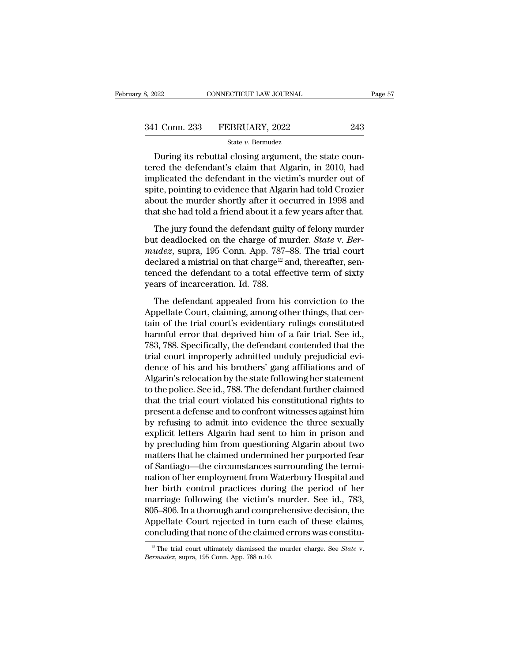| 3, 2022       | CONNECTICUT LAW JOURNAL | Page 57 |  |
|---------------|-------------------------|---------|--|
| 341 Conn. 233 | FEBRUARY, 2022          | 243     |  |
|               | State v. Bermudez       |         |  |

 $\begin{tabular}{ll} \multicolumn{2}{l}{{\small \textbf{1 Conn. 233} & FEBRUARY, 2022} & \multicolumn{2}{l}{{\small \textbf{243}} } }\\ \multicolumn{2}{l}{\small \textbf{1 Conn. 233} & FEBRUARY, 2022} & \multicolumn{2}{l}{{\small \textbf{243}} }\\ & \\ \multicolumn{2}{l}{\small \textbf{During its rebuttal closing argument, the state counted the defendant's claim that Algarin, in 2010, had a plaintexted the defendant in the victim's murder out of the method.} \end{tabular}$ 341 Conn. 233 FEBRUARY, 2022 243<br>
State v. Bernudez<br>
During its rebuttal closing argument, the state countered the defendant's claim that Algarin, in 2010, had<br>
implicated the defendant in the victim's murder out of<br>
spit 341 Conn. 233 FEBRUARY, 2022 243<br>
State v. Bermudez<br>
During its rebuttal closing argument, the state countered the defendant's claim that Algarin, in 2010, had<br>
implicated the defendant in the victim's murder out of<br>
spit 341 Conn. 233 FEBRUARY, 2022 243<br>
State v. Bermudez<br>
During its rebuttal closing argument, the state countered the defendant's claim that Algarin, in 2010, had<br>
implicated the defendant in the victim's murder out of<br>
spit State v. Bernudez<br>
During its rebuttal closing argument, the state countered the defendant's claim that Algarin, in 2010, had<br>
implicated the defendant in the victim's murder out of<br>
spite, pointing to evidence that Algar State  $v$ . Bernudez<br>During its rebuttal closing argument, the state countered the defendant's claim that Algarin, in 2010, had<br>implicated the defendant in the victim's murder out of<br>spite, pointing to evidence that Algari Found the defendant's claim that Algarin, in 2010, had<br>plicated the defendant in the victim's murder out of<br>ite, pointing to evidence that Algarin had told Crozier<br>out the murder shortly after it occurred in 1998 and<br>at s but deadlocked on the charge of murder. *State* v. *Ber-mudez*, suppose of murder shortly after it occurred in 1998 and that she had told a friend about it a few years after that. The jury found the defendant guilty of fel

*m*preservation in the treatms matrice of spite, pointing to evidence that Algarin had told Crozier about the murder shortly after it occurred in 1998 and that she had told a friend about it a few years after that.<br>The jur about the murder shortly after it occurred in 1998 and<br>that she had told a friend about it a few years after that.<br>The jury found the defendant guilty of felony murder<br>but deadlocked on the charge of murder. *State* v. *B* that she had told a friend about it a few years after that.<br>The jury found the defendant guilty of felony murder<br>but deadlocked on the charge of murder. *State* v. *Ber-<br>mudez*, supra, 195 Conn. App. 787–88. The trial cou The jury found the defendant guilt<br>but deadlocked on the charge of mandez, supra, 195 Conn. App. 787-<br>declared a mistrial on that charge<sup>12</sup> a<br>tenced the defendant to a total effe<br>years of incarceration. Id. 788.<br>The defe Integral and distribution of the charge of murder. State v. Ber-<br>
udez, supra, 195 Conn. App. 787–88. The trial court<br>
clared a mistrial on that charge<sup>12</sup> and, thereafter, sen-<br>
noced the defendant to a total effective t *Alternation in the change of the Search Distribution*<br> *App.* 787–88. The trial court<br>
declared a mistrial on that charge<sup>12</sup> and, thereafter, sen-<br>
tenced the defendant to a total effective term of sixty<br>
years of incar

the trial of the defendant of the trial court<br>declared a mistrial on that charge<sup>12</sup> and, thereafter, sentenced the defendant to a total effective term of sixty<br>years of incarceration. Id. 788.<br>The defendant appealed from harmful error that deprived term of sixty<br>tenced the defendant to a total effective term of sixty<br>years of incarceration. Id. 788.<br>The defendant appealed from his conviction to the<br>Appellate Court, claiming, among other th France are determined to a stream stream of single<br>years of incarceration. Id. 788.<br>The defendant appealed from his conviction to the<br>Appellate Court, claiming, among other things, that cer-<br>tain of the trial court's evide The defendant appealed from his conviction to the<br>Appellate Court, claiming, among other things, that cer-<br>tain of the trial court's evidentiary rulings constituted<br>harmful error that deprived him of a fair trial. See id., The defendant appealed from his conviction to the<br>Appellate Court, claiming, among other things, that cer-<br>tain of the trial court's evidentiary rulings constituted<br>harmful error that deprived him of a fair trial. See id., Appellate Court, claiming, among other things, that certain of the trial court's evidentiary rulings constituted<br>harmful error that deprived him of a fair trial. See id.,<br>783, 788. Specifically, the defendant contended tha tain of the trial court's evidentiary rulings constituted<br>harmful error that deprived him of a fair trial. See id.,<br>783, 788. Specifically, the defendant contended that the<br>trial court improperly admitted unduly prejudicia harmful error that deprived him of a fair trial. See id.,<br>783, 788. Specifically, the defendant contended that the<br>trial court improperly admitted unduly prejudicial evi-<br>dence of his and his brothers' gang affiliations an 783, 788. Specifically, the defendant contended that the<br>trial court improperly admitted unduly prejudicial evi-<br>dence of his and his brothers' gang affiliations and of<br>Algarin's relocation by the state following her state trial court improperly admitted unduly prejudicial evidence of his and his brothers' gang affiliations and of Algarin's relocation by the state following her statement to the police. See id., 788. The defendant further cla dence of his and his brothers' gang affiliations and of<br>Algarin's relocation by the state following her statement<br>to the police. See id., 788. The defendant further claimed<br>that the trial court violated his constitutional Algarin's relocation by the state following her statement<br>to the police. See id., 788. The defendant further claimed<br>that the trial court violated his constitutional rights to<br>present a defense and to confront witnesses ag to the police. See id., 788. The defendant further claimed<br>that the trial court violated his constitutional rights to<br>present a defense and to confront witnesses against him<br>by refusing to admit into evidence the three sex that the trial court violated his constitutional rights to<br>present a defense and to confront witnesses against him<br>by refusing to admit into evidence the three sexually<br>explicit letters Algarin had sent to him in prison an present a defense and to confront witnesses against him<br>by refusing to admit into evidence the three sexually<br>explicit letters Algarin had sent to him in prison and<br>by precluding him from questioning Algarin about two<br>matt by refusing to admit into evidence the three sexually<br>explicit letters Algarin had sent to him in prison and<br>by precluding him from questioning Algarin about two<br>matters that he claimed undermined her purported fear<br>of San explicit letters Algarin had sent to him in prison and<br>by precluding him from questioning Algarin about two<br>matters that he claimed undermined her purported fear<br>of Santiago—the circumstances surrounding the termi-<br>nation by precluding him from questioning Algarin about two<br>matters that he claimed undermined her purported fear<br>of Santiago—the circumstances surrounding the termi-<br>nation of her employment from Waterbury Hospital and<br>her birth matters that he claimed undermined her purported fear<br>of Santiago—the circumstances surrounding the termi-<br>nation of her employment from Waterbury Hospital and<br>her birth control practices during the period of her<br>marriage of Santiago—the circumstances surrounding the termination of her employment from Waterbury Hospital and<br>her birth control practices during the period of her<br>marriage following the victim's murder. See id., 783,<br>805–806. I marriage following the victim's murder. See id., 783, 805–806. In a thorough and comprehensive decision, the Appellate Court rejected in turn each of these claims, concluding that none of the claimed errors was constituent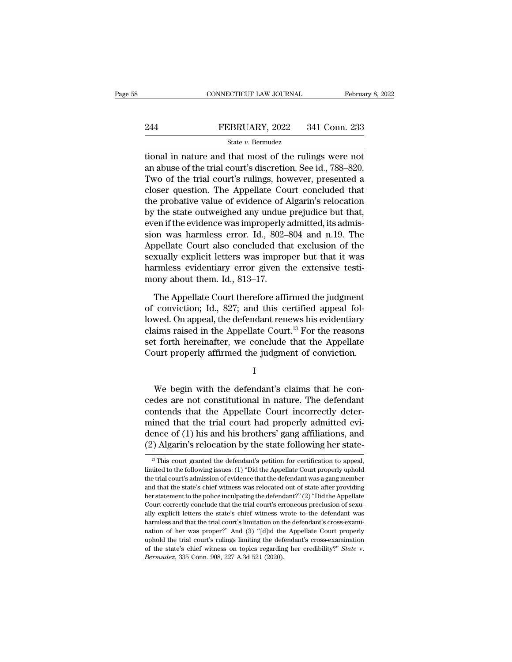# EXECUTE CONNECTICUT LAW JOURNAL February 8, 2022<br>244 FEBRUARY, 2022 341 Conn. 233<br>344 FEBRUARY, 2022 341 Conn. 233

## State *v.* Bermudez

CONNECTICUT LAW JOURNAL February 8, 202<br>
PEBRUARY, 2022 341 Conn. 233<br>
State v. Bernudez<br>
Etional in nature and that most of the rulings were not<br>
an abuse of the trial court's discretion. See id., 788–820. 244 FEBRUARY, 2022 341 Conn. 233<br>  $\frac{\text{State } v. \text{ Bernudez}}{\text{itional in nature and that most of the rulings were not an abuse of the trial court's discretion. See id., 788–820.}$ <br>
Two of the trial court's rulings, however, presented a glogar quotion. The Appellate Court concluded that EXEMPLARY, 2022 341 Conn. 233<br>
State v. Bernudez<br>
state v. Bernudez<br>
tional in nature and that most of the rulings were not<br>
an abuse of the trial court's discretion. See id., 788–820.<br>
Two of the trial court's rulings, h EXERUARY, 2022 341 Conn. 233<br>
State v. Bernudez<br>
tional in nature and that most of the rulings were not<br>
an abuse of the trial court's discretion. See id., 788–820.<br>
Two of the trial court's rulings, however, presented a<br> State v. Bernudez<br>
tional in nature and that most of the rulings were not<br>
an abuse of the trial court's discretion. See id., 788–820.<br>
Two of the trial court's rulings, however, presented a<br>
closer question. The Appellat state v. Berndaez<br>tional in nature and that most of the rulings were not<br>an abuse of the trial court's discretion. See id., 788–820.<br>Two of the trial court's rulings, however, presented a<br>closer question. The Appellate Co tional in nature and that most of the rulings were not<br>an abuse of the trial court's discretion. See id., 788–820.<br>Two of the trial court's rulings, however, presented a<br>closer question. The Appellate Court concluded that<br> an abuse of the trial court's discretion. See id., 788–820.<br>Two of the trial court's rulings, however, presented a<br>closer question. The Appellate Court concluded that<br>the probative value of evidence of Algarin's relocation Two of the trial court's rulings, however, presented a<br>closer question. The Appellate Court concluded that<br>the probative value of evidence of Algarin's relocation<br>by the state outweighed any undue prejudice but that,<br>even closer question. The Appellate Court concluded that<br>the probative value of evidence of Algarin's relocation<br>by the state outweighed any undue prejudice but that,<br>even if the evidence was improperly admitted, its admis-<br>sio the probative value of evidence of Algarin's relocation<br>by the state outweighed any undue prejudice but that,<br>even if the evidence was improperly admitted, its admis-<br>sion was harmless error. Id., 802–804 and n.19. The<br>App by the state outweighed any undue<br>even if the evidence was improperly:<br>sion was harmless error. Id., 802–<br>Appellate Court also concluded tha<br>sexually explicit letters was improp<br>harmless evidentiary error given t<br>mony abou on was harmless error. Id., 802–804 and n.19. The<br>opellate Court also concluded that exclusion of the<br>xually explicit letters was improper but that it was<br>rmless evidentiary error given the extensive testi-<br>ony about them. Appellate Court also concluded that exclusion of the<br>sexually explicit letters was improper but that it was<br>harmless evidentiary error given the extensive testi-<br>mony about them. Id., 813–17.<br>The Appellate Court therefore

Examples evidentiary error given the extensive testimony about them. Id., 813–17.<br>The Appellate Court therefore affirmed the judgment<br>of conviction; Id., 827; and this certified appeal fol-<br>lowed. On appeal, the defendant harmless evidentiary error given the extensive testi-<br>mony about them. Id., 813–17.<br>The Appellate Court therefore affirmed the judgment<br>of conviction; Id., 827; and this certified appeal fol-<br>lowed. On appeal, the defendan mony about them. Id., 813–17.<br>The Appellate Court therefore affirmed the judgment<br>of conviction; Id., 827; and this certified appeal fol-<br>lowed. On appeal, the defendant renews his evidentiary<br>claims raised in the Appellat The Appellate Court therefore affirmed the judgment<br>of conviction; Id., 827; and this certified appeal fol-<br>lowed. On appeal, the defendant renews his evidentiary<br>claims raised in the Appellate Court.<sup>13</sup> For the reasons<br>s We d. On appear, the defendant renews its evidentiary<br>aims raised in the Appellate Court.<sup>13</sup> For the reasons<br>t forth hereinafter, we conclude that the Appellate<br>ourt properly affirmed the judgment of conviction.<br>I<br>We begi

I

ciantis raised in the Appenate Court. For the reasons<br>set forth hereinafter, we conclude that the Appellate<br>Court properly affirmed the judgment of conviction.<br>I<br>We begin with the defendant's claims that he con-<br>cedes are Set forth herematter, we conclude that the Appellate<br>Court properly affirmed the judgment of conviction.<br>I<br>We begin with the defendant's claims that he con-<br>cedes are not constitutional in nature. The defendant<br>contends th USCOUT Properly animied the Judgment of conviction.<br>
I<br>
We begin with the defendant's claims that he concedes are not constitutional in nature. The defendant<br>
contends that the Appellate Court incorrectly deter-<br>
mined tha I<br>We begin with the defendant's claims that he concedes are not constitutional in nature. The defendant<br>contends that the Appellate Court incorrectly deter-<br>mined that the trial court had properly admitted evi-<br>dence of (1 We begin with the defendant's claims that he concedes are not constitutional in nature. The defendant contends that the Appellate Court incorrectly determined that the trial court had properly admitted evidence of (1) his contends that the Appellate Court incorrectly determined that the trial court had properly admitted evidence of (1) his and his brothers' gang affiliations, and (2) Algarin's relocation by the state following her state- $\$ mined that the trial court had properly admitted evidence of (1) his and his brothers' gang affiliations, and (2) Algarin's relocation by the state following her state-<br>
<sup>13</sup> This court granted the defendant's petition fo

dence of (1) his and his brothers' gang affiliations, and (2) Algarin's relocation by the state following her state-<br> $\frac{18}{10}$  This court granted the defendant's petition for certification to appeal, limited to the foll (2) Algarin's relocation by the state following her state-<br>
<sup>13</sup> This court granted the defendant's petition for certification to appeal,<br>
limited to the following issues: (1) "Did the Appellate Court properly uphold<br>
the  $\frac{1}{18}$  This court granted the defendant's petition for certification to appeal, limited to the following issues: (1) "Did the Appellate Court properly uphold the trial court's admission of evidence that the defendant <sup>13</sup> This court granted the defendant's petition for certification to appeal, limited to the following issues: (1) "Did the Appellate Court properly uphold the trial court's admission of evidence that the defendant was a limited to the following issues: (1) "Did the Appellate Court properly uphold<br>the trial court's admission of evidence that the defendant was a gang member<br>and that the state's chief witness was relocated out of state after the trial court's admission of evidence that the defendant was a gang member<br>and that the state's chief witness was relocated out of state after providing<br>her statement to the police inculpating the defendant?" (2) "Did t and that the state's chief witness was relocated out of state after providing<br>her statement to the police inculpating the defendant?" (2) "Did the Appellate<br>Court correctly conclude that the trial court's erroneous preclus the statement to the police inculpating the defendant?" (2) "Did the Appellate Court correctly conclude that the trial court's erroneous preclusion of sexually explicit letters the state's chief witness wrote to the defen Court correctly conclude that the trial court's erroneous preclusion of sexually explicit letters the state's chief witness wrote to the defendant was harmless and that the trial court's limitation on the defendant's cross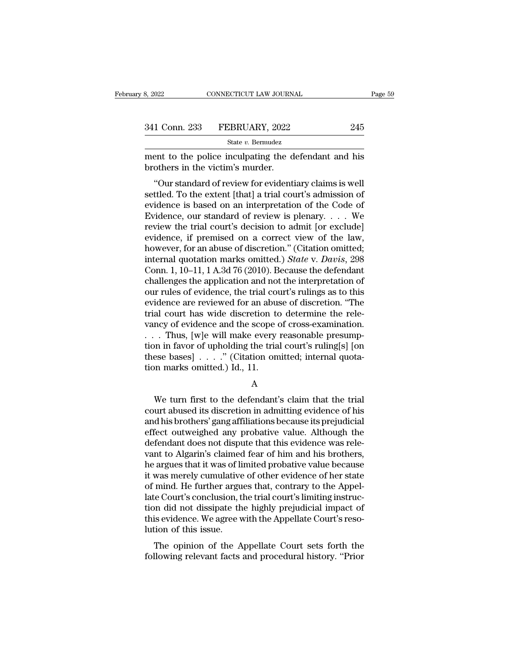| 3, 2022       | CONNECTICUT LAW JOURNAL |     | Page 59 |
|---------------|-------------------------|-----|---------|
|               |                         |     |         |
| 341 Conn. 233 | FEBRUARY, 2022          | 245 |         |
|               | State v. Bermudez       |     |         |

ment to the police inculpating the defendant and his<br>brothers in the victim's murder. 341 Conn. 233 FEBRUARY, 2022<br>
<sup>State v. Bermudez</sup><br>
ment to the police inculpating the d<br>
brothers in the victim's murder.<br>
"Our standard of review for evident."

<sup>1</sup> Conn. 233 FEBRUARY, 2022 245<br>
<sup>State v. Bermudez<br>
ent to the police inculpating the defendant and his<br>
others in the victim's murder.<br>
"Our standard of review for evidentiary claims is well<br>
ttled. To the extent [that</sup> 341 Conn. 233 FEBRUARY, 2022 245<br>
State v. Bernudez<br>
ment to the police inculpating the defendant and his<br>
brothers in the victim's murder.<br>
"Our standard of review for evidentiary claims is well<br>
settled. To the extent [ State v. Bermudez<br>
ment to the police inculpating the defendant and his<br>
brothers in the victim's murder.<br>
"Our standard of review for evidentiary claims is well<br>
settled. To the extent [that] a trial court's admission of ment to the police inculpating the defendant and his<br>brothers in the victim's murder.<br>"Our standard of review for evidentiary claims is well<br>settled. To the extent [that] a trial court's admission of<br>evidence is based on a refired to the police inclupating the detendant and its<br>brothers in the victim's murder.<br>"Our standard of review for evidentiary claims is well<br>settled. To the extent [that] a trial court's admission of<br>evidence is based o "Our standard of review for evidentiary claims is well<br>settled. To the extent [that] a trial court's admission of<br>evidence is based on an interpretation of the Code of<br>Evidence, our standard of review is plenary.... We<br>re "Our standard of review for evidentiary claims is well<br>settled. To the extent [that] a trial court's admission of<br>evidence is based on an interpretation of the Code of<br>Evidence, our standard of review is plenary.... We<br>re settled. To the extent [that] a trial court's admission of<br>evidence is based on an interpretation of the Code of<br>Evidence, our standard of review is plenary. . . . We<br>review the trial court's decision to admit [or exclude] evidence is based on an interpretation of the Code of<br>Evidence, our standard of review is plenary. . . . We<br>review the trial court's decision to admit [or exclude]<br>evidence, if premised on a correct view of the law,<br>howev Evidence, our standard of review is plenary. . . . We<br>review the trial court's decision to admit [or exclude]<br>evidence, if premised on a correct view of the law,<br>however, for an abuse of discretion." (Citation omitted;<br>in review the trial court's decision to admit [or exclude]<br>evidence, if premised on a correct view of the law,<br>however, for an abuse of discretion." (Citation omitted;<br>internal quotation marks omitted.) *State* v. *Davis*, 29 evidence, if premised on a correct view of the law,<br>however, for an abuse of discretion." (Citation omitted;<br>internal quotation marks omitted.) *State* v. *Davis*, 298<br>Conn. 1, 10–11, 1 A.3d 76 (2010). Because the defendan however, for an abuse of discretion." (Citation omitted;<br>internal quotation marks omitted.) *State* v. *Davis*, 298<br>Conn. 1, 10–11, 1 A.3d 76 (2010). Because the defendant<br>challenges the application and not the interpreta internal quotation marks omitted.) *State v. Davis*, 298<br>Conn. 1, 10–11, 1 A.3d 76 (2010). Because the defendant<br>challenges the application and not the interpretation of<br>our rules of evidence, the trial court's rulings as Conn. 1, 10–11, 1 A.3d 76 (2010). Because the defendant challenges the application and not the interpretation of our rules of evidence, the trial court's rulings as to this evidence are reviewed for an abuse of discretion challenges the application and not the interpretation of<br>our rules of evidence, the trial court's rulings as to this<br>evidence are reviewed for an abuse of discretion. "The<br>trial court has wide discretion to determine the r our rules of evidence, the trial court's rulings as to this<br>evidence are reviewed for an abuse of discretion. "The<br>trial court has wide discretion to determine the rele-<br>vancy of evidence and the scope of cross-examination evidence are reviewed for an abustrial court has wide discretion to vancy of evidence and the scope  $\ldots$ . Thus, [w]e will make every tion in favor of upholding the tria these bases]  $\ldots$ ." (Citation on tion marks omitte Thus, [w]e will make every reasonable presump-<br>on in favor of upholding the trial court's ruling[s] [on<br>see bases]  $\ldots$ ." (Citation omitted; internal quota-<br>on marks omitted.) Id., 11.<br>A<br>We turn first to the defendant's

A

tion in favor of upholding the trial court's ruling[s] [on<br>these bases]  $\dots$ ." (Citation omitted; internal quota-<br>tion marks omitted.) Id., 11.<br>A<br>We turn first to the defendant's claim that the trial<br>court abused its disc these bases]  $\ldots$  ." (Citation omitted; internal quotation marks omitted.) Id., 11.<br>A<br>We turn first to the defendant's claim that the trial<br>court abused its discretion in admitting evidence of his<br>and his brothers' gang tion marks omitted.) Id., 11.<br>
A<br>
We turn first to the defendant's claim that the trial<br>
court abused its discretion in admitting evidence of his<br>
and his brothers' gang affiliations because its prejudicial<br>
effect outweig defendant's claim that the trial<br>court abused its discretion in admitting evidence of his<br>and his brothers' gang affiliations because its prejudicial<br>effect outweighed any probative value. Although the<br>defendant does not d A<br>We turn first to the defendant's claim that the trial<br>court abused its discretion in admitting evidence of his<br>and his brothers' gang affiliations because its prejudicial<br>effect outweighed any probative value. Although t We turn first to the defendant's claim that the trial<br>court abused its discretion in admitting evidence of his<br>and his brothers' gang affiliations because its prejudicial<br>effect outweighed any probative value. Although the court abused its discretion in admitting evidence of his<br>and his brothers' gang affiliations because its prejudicial<br>effect outweighed any probative value. Although the<br>defendant does not dispute that this evidence was rel and his brothers' gang affiliations because its prejudicial<br>effect outweighed any probative value. Although the<br>defendant does not dispute that this evidence was rele-<br>vant to Algarin's claimed fear of him and his brothers effect outweighed any probative value. Although the<br>defendant does not dispute that this evidence was rele-<br>vant to Algarin's claimed fear of him and his brothers,<br>he argues that it was of limited probative value because<br>i defendant does not dispute that this evidence was relevant to Algarin's claimed fear of him and his brothers,<br>he argues that it was of limited probative value because<br>it was merely cumulative of other evidence of her state vant to Algarin's claimed fear of him and his brothers,<br>he argues that it was of limited probative value because<br>it was merely cumulative of other evidence of her state<br>of mind. He further argues that, contrary to the Appe he argues that it was of li<br>it was merely cumulative<br>of mind. He further argu<br>late Court's conclusion, t<br>tion did not dissipate th<br>this evidence. We agree w<br>lution of this issue.<br>The opinion of the A was merely cumulative of other evidence of her state<br>mind. He further argues that, contrary to the Appel-<br>e Court's conclusion, the trial court's limiting instruc-<br>on did not dissipate the highly prejudicial impact of<br>is e of finith. He further argues that, contrary to the Appenlate Court's conclusion, the trial court's limiting instruction did not dissipate the highly prejudicial impact of this evidence. We agree with the Appellate Court's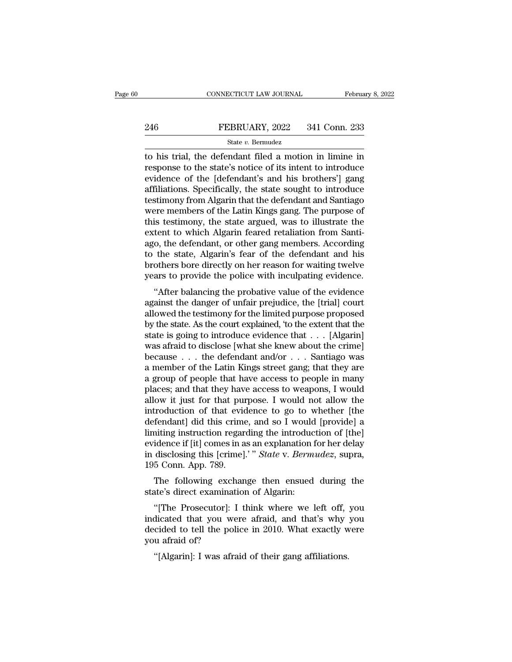# EXECUTE CONNECTICUT LAW JOURNAL February 8, 2022<br>246 FEBRUARY, 2022 341 Conn. 233<br>344 State v. Bermudez

## State *v.* Bermudez

CONNECTICUT LAW JOURNAL February 8, 2022<br>
PEBRUARY, 2022 341 Conn. 233<br>
State v. Bermudez<br>
The defendant filed a motion in limine in<br>
response to the state's notice of its intent to introduce<br>
evidence of the Idefendant's FEBRUARY, 2022 341 Conn. 233<br>
State v. Bermudez<br>
to his trial, the defendant filed a motion in limine in<br>
response to the state's notice of its intent to introduce<br>
evidence of the [defendant's and his brothers'] gang<br>
af EEBRUARY, 2022 341 Conn. 233<br>
State v. Bernudez<br>
to his trial, the defendant filed a motion in limine in<br>
response to the state's notice of its intent to introduce<br>
evidence of the [defendant's and his brothers'] gang<br>
af 246 FEBRUARY, 2022 341 Conn. 233<br>  $\frac{\text{State } v. \text{ Bernudez}}{\text{to his trial, the defendant filed a motion in limine in}}$ <br>
response to the state's notice of its intent to introduce<br>
evidence of the [defendant's and his brothers'] gang<br>
affiliations. Specifically, the state State v. Bernudez<br>
to his trial, the defendant filed a motion in limine in<br>
response to the state's notice of its intent to introduce<br>
evidence of the [defendant's and his brothers'] gang<br>
affiliations. Specifically, the state  $v$ . Bernudez<br>to his trial, the defendant filed a motion in limine in<br>response to the state's notice of its intent to introduce<br>evidence of the [defendant's and his brothers'] gang<br>affiliations. Specifically, the st to his trial, the defendant filed a motion in limine in<br>response to the state's notice of its intent to introduce<br>evidence of the [defendant's and his brothers'] gang<br>affiliations. Specifically, the state sought to introdu response to the state's notice of its intent to introduce<br>evidence of the [defendant's and his brothers'] gang<br>affiliations. Specifically, the state sought to introduce<br>testimony from Algarin that the defendant and Santiag evidence of the [defendant's and his brothers'] gang<br>affiliations. Specifically, the state sought to introduce<br>testimony from Algarin that the defendant and Santiago<br>were members of the Latin Kings gang. The purpose of<br>thi affiliations. Specifically, the state sought to introduce<br>testimony from Algarin that the defendant and Santiago<br>were members of the Latin Kings gang. The purpose of<br>this testimony, the state argued, was to illustrate the<br> testimony from Algarin that the defendant and Santiago<br>were members of the Latin Kings gang. The purpose of<br>this testimony, the state argued, was to illustrate the<br>extent to which Algarin feared retaliation from Santi-<br>ago were members of the Latin Kings gang. The purpose of<br>this testimony, the state argued, was to illustrate the<br>extent to which Algarin feared retaliation from Santi-<br>ago, the defendant, or other gang members. According<br>to th is testimoly, the state argued, was to mustrate the<br>
tent to which Algarin feared retaliation from Santi-<br>
o, the defendant, or other gang members. According<br>
the state, Algarin's fear of the defendant and his<br>
others bore extent to which Algarin reared retanation from Bandago, the defendant, or other gang members. According to the state, Algarin's fear of the defendant and his brothers bore directly on her reason for waiting twelve years to

ago, the defendant, or other gang members. According<br>to the state, Algarin's fear of the defendant and his<br>brothers bore directly on her reason for waiting twelve<br>years to provide the police with inculpating evidence.<br>"Aft by the state, Algarin's real of the defendant and fils<br>brothers bore directly on her reason for waiting twelve<br>years to provide the police with inculpating evidence.<br>"After balancing the probative value of the evidence<br>aga brouters bore unectly on her reason for waiting twerve<br>years to provide the police with inculpating evidence.<br>"After balancing the probative value of the evidence<br>against the danger of unfair prejudice, the [trial] court<br>a years to provide the police while inclupating evidence.<br>
"After balancing the probative value of the evidence<br>
against the danger of unfair prejudice, the [trial] court<br>
allowed the testimony for the limited purpose propo "After balancing the probative value of the evidence<br>against the danger of unfair prejudice, the [trial] court<br>allowed the testimony for the limited purpose proposed<br>by the state. As the court explained, 'to the extent th against the danger of unfair prejudice, the [trial] court<br>allowed the testimony for the limited purpose proposed<br>by the state. As the court explained, 'to the extent that the<br>state is going to introduce evidence that . . . allowed the testimony for the limited purpose proposed<br>by the state. As the court explained, 'to the extent that the<br>state is going to introduce evidence that . . . [Algarin]<br>was afraid to disclose [what she knew about the by the state. As the court explained, 'to the extent that the state is going to introduce evidence that . . . [Algarin] was afraid to disclose [what she knew about the crime] because . . . the defendant and/or . . . Santi state is going to introduce evidence that . . . [Algarin]<br>was afraid to disclose [what she knew about the crime]<br>because . . . the defendant and/or . . . Santiago was<br>a member of the Latin Kings street gang; that they are was afraid to disclose [what she knew about the crime]<br>because  $\ldots$  the defendant and/or  $\ldots$  Santiago was<br>a member of the Latin Kings street gang; that they are<br>a group of people that have access to people in many<br>plac because . . . the defendant and/or . . . Santiago was<br>a member of the Latin Kings street gang; that they are<br>a group of people that have access to people in many<br>places; and that they have access to weapons, I would<br>allow a member of the Latin Kings street gang; that they are<br>a group of people that have access to people in many<br>places; and that they have access to weapons, I would<br>allow it just for that purpose. I would not allow the<br>introd a group of people that have access to people in many<br>places; and that they have access to weapons, I would<br>allow it just for that purpose. I would not allow the<br>introduction of that evidence to go to whether [the<br>defendant places; and that they have access to weapons, I would<br>allow it just for that purpose. I would not allow the<br>introduction of that evidence to go to whether [the<br>defendant] did this crime, and so I would [provide] a<br>limiting allow it just for that purific<br>introduction of that evid<br>defendant] did this crime<br>limiting instruction regare<br>evidence if [it] comes in a<br>in disclosing this [crime].<br>195 Conn. App. 789.<br>The following exchan Fendant] did this crime, and so I would [provide] a<br>fendant] did this crime, and so I would [provide] a<br>idence if [it] comes in as an explanation for her delay<br>disclosing this [crime].'" *State* v. *Bermudez*, supra,<br>5 Con detendant] did this crime, and so I would<br>limiting instruction regarding the introducevidence if [it] comes in as an explanation in<br>disclosing this [crime].'" *State* v. *Berm*<br>195 Conn. App. 789.<br>The following exchange th idence if [it] comes in as an explanation for her delay<br>
disclosing this [crime].'" *State* v. *Bermudez*, supra,<br>
5 Conn. App. 789.<br>
The following exchange then ensued during the<br>
ate's direct examination of Algarin:<br>
"[T

in disclosing this [crime].'" *State* v. *Bermudez*, supra,<br>195 Conn. App. 789.<br>The following exchange then ensued during the<br>state's direct examination of Algarin:<br>"[The Prosecutor]: I think where we left off, you<br>indicat 195 Conn. App. 789.<br>The following exchange then ensued during the<br>state's direct examination of Algarin:<br>"[The Prosecutor]: I think where we left off, you<br>indicated that you were afraid, and that's why you<br>decided to tell The following exch<br>state's direct examinati<br>"[The Prosecutor]: I<br>indicated that you we<br>decided to tell the poli<br>you afraid of?<br>"[Algarin]: I was afra in the state's direct examination of Algarin:<br>
"[The Prosecutor]: I think where we left off,<br>
dicated that you were afraid, and that's why<br>
cided to tell the police in 2010. What exactly wout afraid of?<br>
"[Algarin]: I was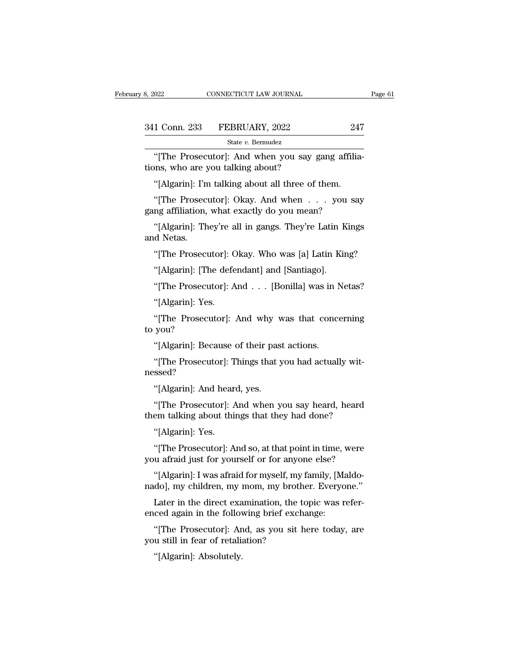| 3, 2022       | CONNECTICUT LAW JOURNAL |     | Page 61 |
|---------------|-------------------------|-----|---------|
|               |                         |     |         |
| 341 Conn. 233 | FEBRUARY, 2022          | 247 |         |
|               | State v. Bermudez       |     |         |

 $\begin{tabular}{ll} \multicolumn{2}{l}{{\small \textbf{COMNETICUT LAW JOURNAL}}} \\\\ 1 & \multicolumn{2}{l}{\textbf{Conn. 233}} & \multicolumn{2}{l}{\textbf{FEBRUARY, 2022}} & \multicolumn{2}{l}{\textbf{247}} \\ & \multicolumn{2}{l}{\textbf{State $v$. Bernudez}} \end{tabular} \\\\ \begin{tabular}{ll} {\small \textbf{``[The Prosecutor]': And when you say gang affilia-} \\ \textbf{InS, who are you talking about?} \end{tabular}$ 341 Conn. 233 FEBRUARY, 2022<br>
<sup>State v. Bermudez</sup><br>
"[The Prosecutor]: And when you say ations, who are you talking about?<br>
"[Algarin]: I'm talking about all three of 1 Conn. 233 FEBRUARY, 2022 247<br>
State v. Bermudez<br>
"[The Prosecutor]: And when you say gang affilia<br>
ons, who are you talking about?<br>
"[Algarin]: I'm talking about all three of them.<br>
"[The Prosecutor]: Okay. And when . . State v. Bermudez<br>
"[The Prosecutor]: And when you say gang affilia-<br>
"[Algarin]: I'm talking about?<br>
"[Algarin]: I'm talking about all three of them.<br>
"[The Prosecutor]: Okay. And when . . . you say<br>
ng affiliation, what State v. Bernudez<br>
"[The Prosecutor]: And when you say gang affiliations, who are you talking about?<br>
"[Algarin]: I'm talking about all three of them.<br>
"[The Prosecutor]: Okay. And when  $\dots$  you satigang affiliation, what

|The Trosection]. And when you say gang annia-<br>ms, who are you talking about?<br>"[Algarin]: I'm talking about all three of them.<br>"[The Prosection]: Okay. And when . . . you say<br>ng affiliation, what exactly do you mean?<br>"[Alg tions, who are you talking about?<br>
"[Algarin]: I'm talking about all three of them.<br>
"[The Prosecutor]: Okay. And when . . . you say<br>
gang affiliation, what exactly do you mean?<br>
"[Algarin]: They're all in gangs. They're L "[Algarin]. Thi tanking about an titlee of them."<br>"[The Prosecutor]: Okay. And when . . . you say<br>ng affiliation, what exactly do you mean?<br>"[Algarin]: They're all in gangs. They're Latin Kings<br>d Netas."<br>"[The Prosecutor]:

The Trosecutor]. Okay. And when  $\cdot \cdot \cdot$  you<br>mg affiliation, what exactly do you mean?<br>"[Algarin]: They're all in gangs. They're Latin K<br>d Netas.<br>"[The Prosecutor]: Okay. Who was [a] Latin Kir<br>"[Algarin]: [The defendant] a "[Algarin]: They're all in gangs. They're Latin Kings<br>d Netas.<br>"[The Prosecutor]: Okay. Who was [a] Latin King?<br>"[Algarin]: [The defendant] and [Santiago].<br>"[The Prosecutor]: And . . . [Bonilla] was in Netas?<br>"[Algarin]: Y d Netas.<br>"[The Prosecutor]: C<br>"[Algarin]: [The defe<br>"[The Prosecutor]: A<br>"[Algarin]: Yes.<br>"[The Prosecutor]:

"[The Prosecutor]: Okay. Who was [a] Latin King?<br>"[Algarin]: [The defendant] and [Santiago].<br>"[The Prosecutor]: And . . . [Bonilla] was in Netas?<br>"[Algarin]: Yes.<br>"[The Prosecutor]: And why was that concerning<br>you? "[Algarin]: [Th"<br>"[The Prosecu"<br>"[Algarin]: Yes"<br>"[The Prosecuto you?" "[The Prosecutor]: And . . . [Bonilla] was in I<br>"[Algarin]: Yes.<br>"[The Prosecutor]: And why was that conce<br>you?<br>"[Algarin]: Because of their past actions.<br>"[The Prosecutor]: Things that you had actual] "[Algarin]: Yes.<br>"[The Prosecutor]: And why was that concerning<br>you?<br>"[Algarin]: Because of their past actions.<br>"[The Prosecutor]: Things that you had actually wit-ssed?

nessed? The Trosection]. And with view<br>you?<br>"[Algarin]: Because of their pas<br>"[The Prosection]: Things that y<br>ssed?<br>"[Algarin]: And heard, yes.<br>"[The Prosection]: And when y

"[Algarin]: Because of their past actions.<br>"[The Prosecutor]: Things that you had actually wit-<br>ssed?<br>"[Algarin]: And heard, yes.<br>"[The Prosecutor]: And when you say heard, heard<br>em talking about things that they had done? [Algarin]. Because of them past actions.<br>
"[The Prosecutor]: Things that you had actually wit-<br>
nessed?<br>
"[Algarin]: And heard, yes.<br>
"[The Prosecutor]: And when you say heard, heard<br>
them talking about things that they ha | The Trosection]. These<br>| Sised?<br>! "[Algarin]: And hear<br>!"[The Prosecutor]: And this<br>!"[Algarin]: Yes.<br>!"[The Prosecutor]: A "[Algarin]: And heard, yes.<br>"[The Prosecutor]: And when you say heard, heard<br>em talking about things that they had done?<br>"[Algarin]: Yes.<br>"[The Prosecutor]: And so, at that point in time, were<br>u afraid just for yourself or "[The Prosecutor]: And when you say heard, heard<br>"[The Prosecutor]: And when you say heard, heard<br>them talking about things that they had done?<br>"[Algarin]: Yes.<br>"[The Prosecutor]: And so, at that point in time, were<br>you af

The Trosection]. And when you say heard, heard<br>em talking about things that they had done?<br>"[Algarin]: Yes.<br>"[The Prosection]: And so, at that point in time, were<br>u afraid just for yourself or for anyone else?<br>"[Algarin]: "[Algarin]: Yes.<br>"[The Prosecutor]: And so, at that point in time, were<br>you afraid just for yourself or for anyone else?<br>"[Algarin]: I was afraid for myself, my family, [Maldo-<br>nado], my children, my mom, my brother. Every

"[The Prosecutor]: And so, at that point in time, were<br>"[The Prosecutor]: And so, at that point in time, were<br>u afraid just for yourself or for anyone else?<br>"[Algarin]: I was afraid for myself, my family, [Maldo-<br>do], my c "[The Prosecutor]: And so, at that point in time, you afraid just for yourself or for anyone else?<br>"[Algarin]: I was afraid for myself, my family, [Manado], my children, my mom, my brother. Everyo<br>Later in the direct exami "[Algarin]: I was afraid for myself, my<br>nado], my children, my mom, my broth<br>Later in the direct examination, the t<br>enced again in the following brief exch<br>"[The Prosecutor]: And, as you sit l<br>you still in fear of retaliat Moj, hy children, hy fallend and care in the direct exacted again in the follow<br>"[The Prosecutor]: An ustill in fear of retaliant"<br>[Algarin]: Absolutely.

"[Algarin]: I was afraid for myself, my family, [Maldo-do], my children, my mom, my brother. Everyone."<br>Later in the direct examination, the topic was refer-<br>ced again in the following brief exchange:<br>"[The Prosecutor]: An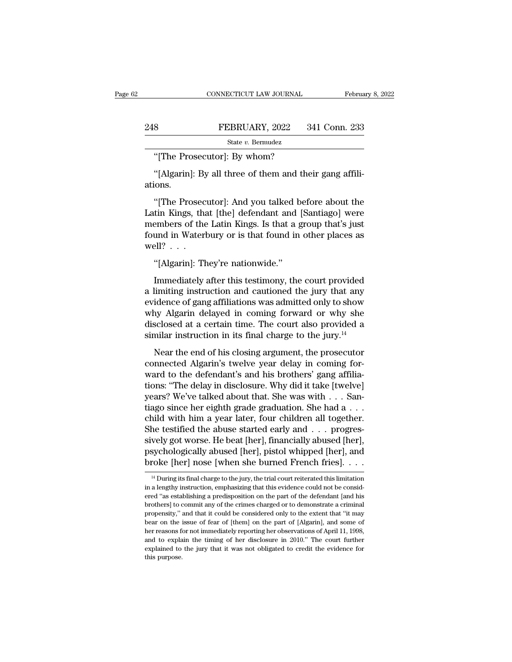|     | CONNECTICUT LAW JOURNAL                                 | February 8, 2022 |
|-----|---------------------------------------------------------|------------------|
|     |                                                         |                  |
| 248 | FEBRUARY, 2022                                          | 341 Conn. 233    |
|     | State v. Bermudez                                       |                  |
|     | "[The Prosecutor]: By whom?                             |                  |
|     | "[Algarin]: By all three of them and their gang affili- |                  |

8<br>
FEBRUARY, 2022 341 Conn. 233<br>
State v. Bermudez<br>
"[The Prosecutor]: By whom?<br>
"[Algarin]: By all three of them and their gang affili-<br>
ions. ations.

State v. Bermudez<br>
"[The Prosecutor]: By whom?<br>
"[Algarin]: By all three of them and their gang affili-<br>
ons.<br>
"[The Prosecutor]: And you talked before about the<br>
tin Kings, that [the] defendant and [Santiago] were<br>
ambors "[The Prosecutor]: By whom?"<br>"[Algarin]: By all three of them and their gang affili-<br>ations.<br>"[The Prosecutor]: And you talked before about the<br>Latin Kings, that [the] defendant and [Santiago] were<br>members of the Latin Kin "[The Prosecutor]: By whom?<br>"[Algarin]: By all three of them and their gang affili-<br>ations.<br>"[The Prosecutor]: And you talked before about the<br>Latin Kings, that [the] defendant and [Santiago] were<br>members of the Latin King "[Algarin]: By all three of them and their gang affiliations.<br>"[The Prosecutor]: And you talked before about the Latin Kings, that [the] defendant and [Santiago] were members of the Latin Kings. Is that a group that's jus ations.<br>
"[The Prosec<br>
Latin Kings, tha<br>
members of the<br>
found in Water<br>
well? . . .<br>
"[Algarin]: Th "[The Prosecutor]: And you talked b<br>tin Kings, that [the] defendant and<br>embers of the Latin Kings. Is that a g<br>und in Waterbury or is that found in<br>ell? . . .<br>"[Algarin]: They're nationwide."<br>Immediately after this testimo Im Kings, that [the] defendant and [Santiago] were<br>embers of the Latin Kings. Is that a group that's just<br>und in Waterbury or is that found in other places as<br> $\text{all?} \ldots$ <br>"[Algarin]: They're nationwide."<br>Immediately after

members of the Latin Kings. Is that a group that's just<br>found in Waterbury or is that found in other places as<br>well? . . .<br>"[Algarin]: They're nationwide."<br>Immediately after this testimony, the court provided<br>a limiting in found in Waterbury or is that found in other places as<br>well? . . .<br>"[Algarin]: They're nationwide."<br>Immediately after this testimony, the court provided<br>a limiting instruction and cautioned the jury that any<br>evidence of ga well? . . .<br>
"[Algarin]: They're nationwide."<br>
Immediately after this testimony, the court provided<br>
a limiting instruction and cautioned the jury that any<br>
evidence of gang affiliations was admitted only to show<br>
why Alg "[Algarin]: They're nationwide."<br>Immediately after this testimony, the court provided<br>a limiting instruction and cautioned the jury that any<br>evidence of gang affiliations was admitted only to show<br>why Algarin delayed in c Immediately after this testimony, the court provided<br>a limiting instruction and cautioned the jury that any<br>evidence of gang affiliations was admitted only to show<br>why Algarin delayed in coming forward or why she<br>disclose Imiting instruction and cautioned the jury that any<br>idence of gang affiliations was admitted only to show<br>ny Algarin delayed in coming forward or why she<br>sclosed at a certain time. The court also provided a<br>milar instructi revidence of gang affiliations was admitted only to show<br>why Algarin delayed in coming forward or why she<br>disclosed at a certain time. The court also provided a<br>similar instruction in its final charge to the jury.<sup>14</sup><br>Near

why Algarin delayed in coming forward or why she<br>disclosed at a certain time. The court also provided a<br>similar instruction in its final charge to the jury.<sup>14</sup><br>Near the end of his closing argument, the prosecutor<br>connect disclosed at a certain time. The court also provided a<br>similar instruction in its final charge to the jury.<sup>14</sup><br>Near the end of his closing argument, the prosecutor<br>connected Algarin's twelve year delay in coming for-<br>war similar instruction in its final charge to the jury.<sup>14</sup><br>Near the end of his closing argument, the prosecutor<br>connected Algarin's twelve year delay in coming for-<br>ward to the defendant's and his brothers' gang affilia-<br>ti Near the end of his closing argument, the prosecutor<br>connected Algarin's twelve year delay in coming for-<br>ward to the defendant's and his brothers' gang affilia-<br>tions: "The delay in disclosure. Why did it take [twelve]<br>y Near the end of his closing argument, the prosecutor<br>connected Algarin's twelve year delay in coming for-<br>ward to the defendant's and his brothers' gang affilia-<br>tions: "The delay in disclosure. Why did it take [twelve]<br>ye connected Algarin's twelve year delay in coming for-<br>ward to the defendant's and his brothers' gang affilia-<br>tions: "The delay in disclosure. Why did it take [twelve]<br>years? We've talked about that. She was with . . . Sanward to the defendant's and his brothers' gang affiliations: "The delay in disclosure. Why did it take [twelve]<br>years? We've talked about that. She was with . . . Santiago since her eighth grade graduation. She had a . . . tions: "The delay in disclosure. Why did it take [twelve]<br>years? We've talked about that. She was with . . . Santiago since her eighth grade graduation. She had a . . .<br>child with him a year later, four children all toget years? We've talked about that. She was with . . . Santiago since her eighth grade graduation. She had a . . . child with him a year later, four children all together.<br>She testified the abuse started early and . . . progr She testified the abuse started early and  $\ldots$  progressively got worse. He beat [her], financially abused [her], psychologically abused [her], pistol whipped [her], and broke [her] nose [when she burned French fries].  $\$ sively got worse. He beat [her], financially abused [her], psychologically abused [her], pistol whipped [her], and broke [her] nose [when she burned French fries].  $\ldots$  if During its final charge to the jury, the trial c

psychologically abused [her], pistol whipped [her], and<br>broke [her] nose [when she burned French fries]....<br><sup>14</sup> During its final charge to the jury, the trial court reiterated this limitation<br>in a lengthy instruction, em broke [her] nose [when she burned French fries].  $\ldots$ <br>
<sup>14</sup> During its final charge to the jury, the trial court reiterated this limitation<br>in a lengthy instruction, emphasizing that this evidence could not be consid-<br>er proper lifer and the set of the properties in the burnted Prench Hessel.  $\cdot \cdot \cdot$ <br><sup>14</sup> During its final charge to the jury, the trial court reiterated this limitation<br>in a lengthy instruction, emphasizing that this eviden <sup>14</sup> During its final charge to the jury, the trial court reiterated this limitation in a lengthy instruction, emphasizing that this evidence could not be considered "as establishing a predisposition on the part of the de in a lengthy instruction, emphasizing that this evidence could not be considered "as establishing a predisposition on the part of the defendant [and his brothers] to commit any of the crimes charged or to demonstrate a cr ered "as establishing a predisposition on the part of the defendant [and his brothers] to commit any of the crimes charged or to demonstrate a criminal propensity," and that it could be considered only to the extent that " brothers] to commit any of the crimes charged or to demonstrate a criminal propensity," and that it could be considered only to the extent that "it may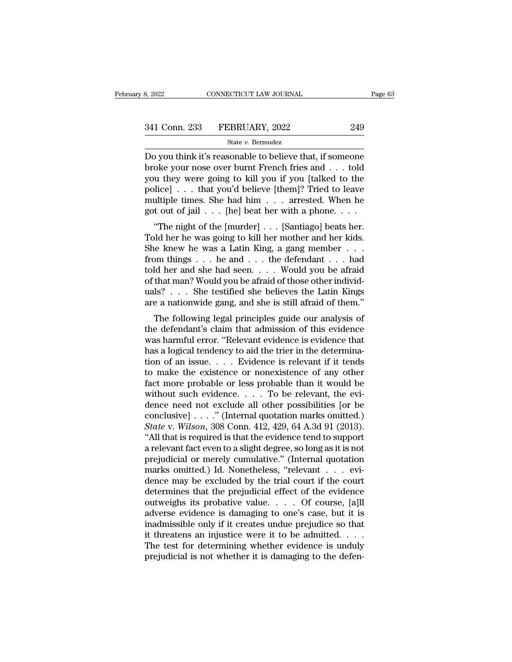Be somewheter the sum of the same of the same of the same of the state values of the state values of the state values of the state values of the state values of the state values of the state values of the state of the stat 341 Conn. 233 FEBRUARY, 2022 249<br>
State v. Bernudez<br>
Do you think it's reasonable to believe that, if someone<br>
broke your nose over burnt French fries and . . . told<br>
you they were going to kill you if you [talked to the<br> 341 Conn. 233 FEBRUARY, 2022 249<br>
State v. Bernudez<br>
Do you think it's reasonable to believe that, if someone<br>
broke your nose over burnt French fries and . . . told<br>
you they were going to kill you if you [talked to the<br> 341 Conn. 233 FEBRUARY, 2022 249<br>
State v. Bernudez<br>
Do you think it's reasonable to believe that, if someone<br>
broke your nose over burnt French fries and . . . told<br>
you they were going to kill you if you [talked to the<br> State v. Bermudez<br>Do you think it's reasonable to believe that, if someone<br>broke your nose over burnt French fries and . . . told<br>you they were going to kill you if you [talked to the<br>police] . . . that you'd believe [them State v. Bermudez<br>Do you think it's reasonable to believe that, if someone<br>broke your nose over burnt French fries and . . . told<br>you they were going to kill you if you [talked to the<br>police] . . . that you'd believe [the by you time it is reasonable to beneve that, in some<br>oke your nose over burnt French fries and . . . told<br>u they were going to kill you if you [talked to the<br>lice] . . . that you'd believe [them]? Tried to leave<br>ultiple t broke your nose over burnt French fres and  $\cdot \cdot$  tool you they were going to kill you if you [talked to the police]  $\cdot \cdot$  that you'd believe [them]? Tried to leave multiple times. She had him  $\cdot \cdot$  arrested. When he go

you they were going to kin you in you [taked to the<br>police] . . . that you'd believe [them]? Tried to leave<br>multiple times. She had him . . . arrested. When he<br>got out of jail . . . [he] beat her with a phone. . . .<br>"The ponce<sub>J</sub> . . . that you'd beneve [them]: Theu to leave<br>multiple times. She had him . . . arrested. When he<br>got out of jail . . . [he] beat her with a phone. . . .<br>"The night of the [murder] . . . [Santiago] beats her.<br>Told full the times. She had find  $\cdot$  . . . are seed. when he<br>got out of jail . . . [he] beat her with a phone. . . .<br>"The night of the [murder] . . . [Santiago] beats her.<br>Told her he was going to kill her mother and her kid got out of Jan . . . [he] beat her with a phone. . . .<br>
"The night of the [murder] . . . [Santiago] beats her.<br>
Told her he was a Latin King, a gang member . . . from things . . . he and . . . the defendant . . . had<br>
told "The night of the [murder] . . . [Santiago] beats her.<br>Told her he was going to kill her mother and her kids.<br>She knew he was a Latin King, a gang member . . . .<br>from things . . . he and . . . the defendant . . . had<br>told Told her he was going to kill her mother and her kids.<br>She knew he was a Latin King, a gang member . . . from things . . . he and . . . the defendant . . . had<br>told her and she had seen. . . . Would you be afraid<br>of that Following legal principles guide our analysis of the form and she had seen. . . . . Would you be afraid that man? Would you be afraid of those other individing? . . . . She testified she believes the Latin Kings e a nation from times  $\ldots$  he and  $\ldots$  the defendant  $\ldots$  had<br>told her and she had seen.  $\ldots$  Would you be afraid<br>of that man? Would you be afraid of those other individ-<br>uals?  $\ldots$  She testified she believes the Latin Kings<br>ar

which that man? Would you be afraid of those other individuals? . . . She testified she believes the Latin Kings are a nationwide gang, and she is still afraid of them."<br>The following legal principles guide our analysis o of that filan: would you be affail of those other filal<br>viables? . . . She testified she believes the Latin Kings<br>are a nationwide gang, and she is still afraid of them."<br>The following legal principles guide our analysis The following legal principles guide our analysis of<br>the defendant's claim that admission of this evidence<br>was harmful error. "Relevant evidence is evidence that<br>has a logical tendency to aid the trier in the determina-<br>t are a nationwide gang, and she is still affail of them.<br>The following legal principles guide our analysis of<br>the defendant's claim that admission of this evidence<br>was harmful error. "Relevant evidence is evidence that<br>has The following legal principles guide our analysis of<br>the defendant's claim that admission of this evidence<br>was harmful error. "Relevant evidence is evidence that<br>has a logical tendency to aid the trier in the determina-<br>t the defendant's claim that admission of this evidence<br>was harmful error. "Relevant evidence is evidence that<br>has a logical tendency to aid the trier in the determina-<br>tion of an issue.... Evidence is relevant if it tends<br> was harmful error. "Relevant evidence is evidence that<br>has a logical tendency to aid the trier in the determina-<br>tion of an issue. . . . Evidence is relevant if it tends<br>to make the existence or nonexistence of any other<br> has a logical tendency to aid the trier in the determination of an issue. . . . . Evidence is relevant if it tends to make the existence or nonexistence of any other fact more probable or less probable than it would be wi *State* w. *State Wexer is relevant if it tends*<br>to make the existence or nonexistence of any other<br>fact more probable or less probable than it would be<br>without such evidence. . . . To be relevant, the evi-<br>dence need not to make the existence or nonexistence of any other<br>fact more probable or less probable than it would be<br>without such evidence.... To be relevant, the evi-<br>dence need not exclude all other possibilities [or be<br>conclusive] fact more probable or less probable than it would be<br>without such evidence. . . . To be relevant, the evi-<br>dence need not exclude all other possibilities [or be<br>conclusive] . . . ." (Internal quotation marks omitted.)<br> $State$ without such evidence.... To be relevant, the evidence need not exclude all other possibilities [or be conclusive] ...." (Internal quotation marks omitted.)<br>State v. Wilson, 308 Conn. 412, 429, 64 A.3d 91 (2013).<br>"All tha dence need not exclude all other possibilities [or be conclusive] . . . ." (Internal quotation marks omitted.) State v. Wilson, 308 Conn. 412, 429, 64 A.3d 91 (2013). "All that is required is that the evidence tend to sup conclusive]  $\ldots$  ." (Internal quotation marks omitted.)<br> *State* v. *Wilson*, 308 Conn. 412, 429, 64 A.3d 91 (2013).<br>
"All that is required is that the evidence tend to support<br>
a relevant fact even to a slight degree, s State v. Wilson, 308 Conn. 412, 429, 64 A.3d 91 (2013).<br>
"All that is required is that the evidence tend to support<br>
a relevant fact even to a slight degree, so long as it is not<br>
prejudicial or merely cumulative." (Inter "All that is required is that the evidence tend to support<br>a relevant fact even to a slight degree, so long as it is not<br>prejudicial or merely cumulative." (Internal quotation<br>marks omitted.) Id. Nonetheless, "relevant  $\$ a relevant fact even to a slight degree, so long as it is not<br>prejudicial or merely cumulative." (Internal quotation<br>marks omitted.) Id. Nonetheless, "relevant . . . evi-<br>dence may be excluded by the trial court if the cou prejudicial or merely cumulative." (Internal quotation<br>marks omitted.) Id. Nonetheless, "relevant . . . evi-<br>dence may be excluded by the trial court if the court<br>determines that the prejudicial effect of the evidence<br>outw marks omitted.) Id. Nonetheless, "relevant . . . evidence may be excluded by the trial court if the court<br>determines that the prejudicial effect of the evidence<br>outweighs its probative value. . . . Of course, [a]ll<br>advers dence may be excluded by the trial court if the court<br>determines that the prejudicial effect of the evidence<br>outweighs its probative value. . . . Of course, [a]ll<br>adverse evidence is damaging to one's case, but it is<br>inadm determines that the prejudicial effect of the evidence<br>outweighs its probative value. . . . Of course, [a]ll<br>adverse evidence is damaging to one's case, but it is<br>inadmissible only if it creates undue prejudice so that<br>it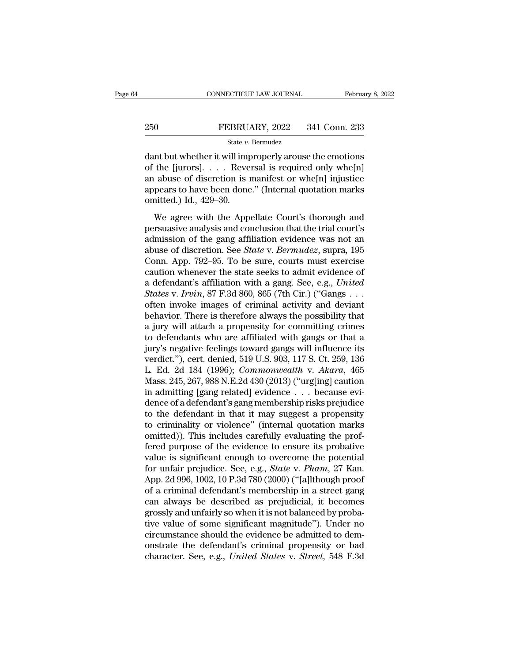# EXECUTE CONNECTICUT LAW JOURNAL February 8, 2022<br>250 FEBRUARY, 2022 341 Conn. 233<br>250 State v. Bermudez

## State *v.* Bermudez

 $\begin{array}{r} \text{COMRECTICUT LAW JOURNAL} \qquad \qquad \text{February 8, 2022} \ \end{array}$ <br>  $\begin{array}{r} \text{SEBRUARY, 2022} \qquad \text{341 Conn. 233} \ \text{State } v. \text{ Bernudez} \ \end{array}$ <br>
dant but whether it will improperly arouse the emotions of the [jurors]. . . . Reversal is required only whe[ 250 FEBRUARY, 2022 341 Conn. 233<br>
State v. Bermudez<br>
dant but whether it will improperly arouse the emotions<br>
of the [jurors]. . . . Reversal is required only whe[n]<br>
an abuse of discretion is manifest or whe[n] injustice 250 FEBRUARY, 2022 341 Conn. 233<br>
State v. Bernudez<br>
dant but whether it will improperly arouse the emotions<br>
of the [jurors].... Reversal is required only whe[n]<br>
an abuse of discretion is manifest or whe[n] injustice<br>
a 250 FEBRUARY, 2022 341 Conn. 233<br>
State v. Bernudez<br>
dant but whether it will improperly arouse the emotions<br>
of the [jurors]. . . . Reversal is required only whe[n]<br>
an abuse of discretion is manifest or whe[n] injustice  $\frac{\text{State } v}{\text{data } v}$ <br>dant but whether it will impof the [jurors].... Reve<br>an abuse of discretion is appears to have been done<br>omitted.) Id., 429–30.<br>We agree with the App In the Music of the Hartren in the Music of discretion is manifest or whe $[n]$ <br>abuse of discretion is manifest or whe $[n]$  injustice<br>pears to have been done." (Internal quotation marks<br>aitted.) Id., 429–30.<br>We agree with th of the [jurors].... Reversal is required only whe[n]<br>an abuse of discretion is manifest or whe[n] injustice<br>appears to have been done." (Internal quotation marks<br>omitted.) Id., 429–30.<br>We agree with the Appellate Court's

an abuse of discretion is manifest or whe[n] injustice<br>appears to have been done." (Internal quotation marks<br>omitted.) Id., 429–30.<br>We agree with the Appellate Court's thorough and<br>persuasive analysis and conclusion that ah as as of discretion. Is maintest of whether hydrodecomponents appears to have been done." (Internal quotation marks omitted.) Id., 429–30.<br>We agree with the Appellate Court's thorough and persuasive analysis and conclus onitted.) Id., 429–30.<br>We agree with the Appellate Court's thorough and<br>persuasive analysis and conclusion that the trial court's<br>admission of the gang affiliation evidence was not an<br>abuse of discretion. See *State* v. We agree with the Appellate Court's thorough and<br>persuasive analysis and conclusion that the trial court's<br>admission of the gang affiliation evidence was not an<br>abuse of discretion. See *State* v. *Bermudez*, supra, 195<br>C We agree with the Appellate Court's thorough and<br>persuasive analysis and conclusion that the trial court's<br>admission of the gang affiliation evidence was not an<br>abuse of discretion. See *State* v. *Bermudez*, supra, 195<br>Co persuasive analysis and conclusion that the trial court's<br>admission of the gang affiliation evidence was not an<br>abuse of discretion. See *State* v. *Bermudez*, supra, 195<br>Conn. App. 792–95. To be sure, courts must exercise admission of the gang affiliation evidence was not an abuse of discretion. See *State* v. *Bermudez*, supra, 195 Conn. App. 792–95. To be sure, courts must exercise caution whenever the state seeks to admit evidence of a d abuse of discretion. See *State* v. *Bermudez*, supra, 195<br>Conn. App. 792–95. To be sure, courts must exercise<br>caution whenever the state seeks to admit evidence of<br>a defendant's affiliation with a gang. See, e.g., *United* Conn. App. 792–95. To be sure, courts must exercise<br>caution whenever the state seeks to admit evidence of<br>a defendant's affiliation with a gang. See, e.g., *United*<br>*States* v. *Irvin*, 87 F.3d 860, 865 (7th Cir.) ("Gangs caution whenever the state seeks to admit evidence of<br>a defendant's affiliation with a gang. See, e.g., *United*<br>States v. *Irvin*, 87 F.3d 860, 865 (7th Cir.) ("Gangs . . .<br>often invoke images of criminal activity and de a defendant's affiliation with a gang. See, e.g., *United*<br>States v. Irvin, 87 F.3d 860, 865 (7th Cir.) ("Gangs . . .<br>often invoke images of criminal activity and deviant<br>behavior. There is therefore always the possibilit States v. Irvin, 87 F.3d 860, 865 (7th Cir.) ("Gangs . . .<br>
often invoke images of criminal activity and deviant<br>
behavior. There is therefore always the possibility that<br>
a jury will attach a propensity for committing cr often invoke images of criminal activity and deviant<br>behavior. There is therefore always the possibility that<br>a jury will attach a propensity for committing crimes<br>to defendants who are affiliated with gangs or that a<br>jury behavior. There is therefore always the possibility that<br>a jury will attach a propensity for committing crimes<br>to defendants who are affiliated with gangs or that a<br>jury's negative feelings toward gangs will influence its<br> a jury will attach a propensity for committing crimes<br>to defendants who are affiliated with gangs or that a<br>jury's negative feelings toward gangs will influence its<br>verdict."), cert. denied, 519 U.S. 903, 117 S. Ct. 259, to defendants who are affiliated with gangs or that a<br>jury's negative feelings toward gangs will influence its<br>verdict."), cert. denied, 519 U.S. 903, 117 S. Ct. 259, 136<br>L. Ed. 2d 184 (1996); *Commonwealth* v. *Akara*, 4 jury's negative feelings toward gangs will influence its<br>verdict."), cert. denied, 519 U.S. 903, 117 S. Ct. 259, 136<br>L. Ed. 2d 184 (1996); *Commonwealth* v. *Akara*, 465<br>Mass. 245, 267, 988 N.E.2d 430 (2013) ("urg[ing] cau verdict."), cert. denied, 519 U.S. 903, 117 S. Ct. 259, 136<br>L. Ed. 2d 184 (1996); *Commonwealth* v. *Akara*, 465<br>Mass. 245, 267, 988 N.E.2d 430 (2013) ("urg[ing] caution<br>in admitting [gang related] evidence . . . because e L. Ed. 2d 184 (1996); *Commonwealth v. Akara*, 465<br>Mass. 245, 267, 988 N.E.2d 430 (2013) ("urg[ing] caution<br>in admitting [gang related] evidence . . . because evi-<br>dence of a defendant's gang membership risks prejudice<br>to Mass. 245, 267, 988 N.E.2d 430 (2013) ("urg[ing] caution<br>in admitting [gang related] evidence . . . because evi-<br>dence of a defendant's gang membership risks prejudice<br>to the defendant in that it may suggest a propensity<br> in admitting [gang related] evidence . . . because evidence of a defendant's gang membership risks prejudice<br>to the defendant in that it may suggest a propensity<br>to criminality or violence" (internal quotation marks<br>omitt dence of a defendant's gang membership risks prejudice<br>to the defendant in that it may suggest a propensity<br>to criminality or violence" (internal quotation marks<br>omitted)). This includes carefully evaluating the prof-<br>fere to the defendant in that it may suggest a propensity<br>to criminality or violence" (internal quotation marks<br>omitted)). This includes carefully evaluating the prof-<br>fered purpose of the evidence to ensure its probative<br>valu to criminality or violence" (internal quotation marks<br>omitted)). This includes carefully evaluating the prof-<br>fered purpose of the evidence to ensure its probative<br>value is significant enough to overcome the potential<br>for omitted)). This includes carefully evaluating the prof-<br>fered purpose of the evidence to ensure its probative<br>value is significant enough to overcome the potential<br>for unfair prejudice. See, e.g., *State* v. *Pham*, 27 Kan fered purpose of the evidence to ensure its probative<br>value is significant enough to overcome the potential<br>for unfair prejudice. See, e.g., *State* v. *Pham*, 27 Kan.<br>App. 2d 996, 1002, 10 P.3d 780 (2000) ("[a]lthough pro value is significant enough to overcome the potential<br>for unfair prejudice. See, e.g., *State* v. *Pham*, 27 Kan.<br>App. 2d 996, 1002, 10 P.3d 780 (2000) ("[a]lthough proof<br>of a criminal defendant's membership in a street ga for unfair prejudice. See, e.g., *State* v. *Pham*, 27 Kan.<br>App. 2d 996, 1002, 10 P.3d 780 (2000) ("[a]lthough proof<br>of a criminal defendant's membership in a street gang<br>can always be described as prejudicial, it becomes App. 2d 996, 1002, 10 P.3d 780 (2000) ("[a]lthough proof<br>of a criminal defendant's membership in a street gang<br>can always be described as prejudicial, it becomes<br>grossly and unfairly so when it is not balanced by proba-<br>ti of a criminal defendant's membership in a street gang<br>can always be described as prejudicial, it becomes<br>grossly and unfairly so when it is not balanced by proba-<br>tive value of some significant magnitude"). Under no<br>circum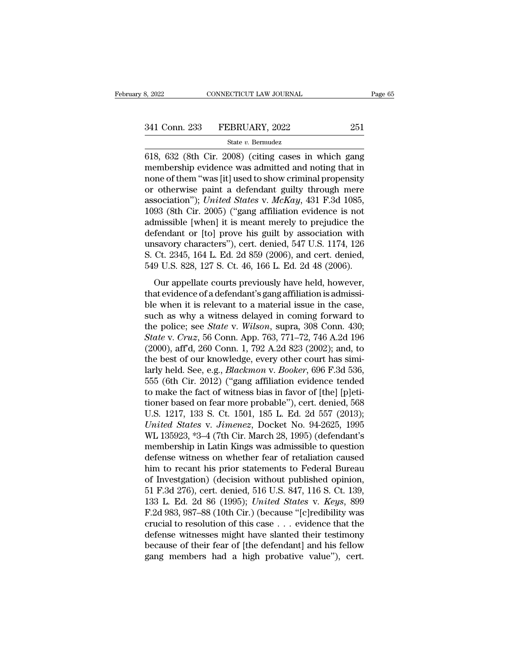8, 2022 CONNECTICUT LAW JOURNAL Page 65<br>
341 Conn. 233 FEBRUARY, 2022 251<br>
<sup>State v. Bernudez</sup><br>
618, 632 (8th Cir. 2008) (citing cases in which gang<br>
membership evidence was admitted and noting that in 341 Conn. 233 FEBRUARY, 2022 251<br>
State v. Bernudez<br>
618, 632 (8th Cir. 2008) (citing cases in which gang<br>
membership evidence was admitted and noting that in<br>
none of them "was [it] used to show criminal propensity<br>
or o 341 Conn. 233 FEBRUARY, 2022 251<br>
State v. Bermudez<br>
618, 632 (8th Cir. 2008) (citing cases in which gang<br>
membership evidence was admitted and noting that in<br>
none of them "was [it] used to show criminal propensity<br>
or o 341 Conn. 233 FEBRUARY, 2022 251<br>
State v. Bermudez<br>
618, 632 (8th Cir. 2008) (citing cases in which gang<br>
membership evidence was admitted and noting that in<br>
none of them "was [it] used to show criminal propensity<br>
or o state *v.* Bernudez<br>
State *v.* Bernudez<br>
618, 632 (8th Cir. 2008) (citing cases in which gang<br>
membership evidence was admitted and noting that in<br>
none of them "was [it] used to show criminal propensity<br>
or otherwise pai state v. Bernudez<br>
618, 632 (8th Cir. 2008) (citing cases in which gang<br>
membership evidence was admitted and noting that in<br>
none of them "was [it] used to show criminal propensity<br>
or otherwise paint a defendant guilty 618, 632 (8th Cir. 2008) (citing cases in which gang<br>membership evidence was admitted and noting that in<br>none of them "was [it] used to show criminal propensity<br>or otherwise paint a defendant guilty through mere<br>associati membership evidence was admitted and noting that in<br>none of them "was [it] used to show criminal propensity<br>or otherwise paint a defendant guilty through mere<br>association"); *United States v. McKay*, 431 F.3d 1085,<br>1093 ( none of them "was [it] used to show criminal propensity<br>or otherwise paint a defendant guilty through mere<br>association"); *United States v. McKay*, 431 F.3d 1085,<br>1093 (8th Cir. 2005) ("gang affiliation evidence is not<br>adm or otherwise paint a defendant guilty through mere<br>association"); *United States* v. *McKay*, 431 F.3d 1085,<br>1093 (8th Cir. 2005) ("gang affiliation evidence is not<br>admissible [when] it is meant merely to prejudice the<br>def association"); *United States v. McKay*, 431 F.3d 1085, 1093 (8th Cir. 2005) ("gang affiliation evidence is not admissible [when] it is meant merely to prejudice the defendant or [to] prove his guilt by association with u our calculation is meant merely to prejudice the<br>fendant or [to] prove his guilt by association with<br>savory characters"), cert. denied,  $547$  U.S.  $1174$ ,  $126$ <br>Ct.  $2345$ ,  $164$  L. Ed.  $2d$  859 ( $2006$ ), and cert. denied defendant or [to] prove his guilt by association with<br>unsavory characters"), cert. denied, 547 U.S. 1174, 126<br>S. Ct. 2345, 164 L. Ed. 2d 859 (2006), and cert. denied,<br>549 U.S. 828, 127 S. Ct. 46, 166 L. Ed. 2d 48 (2006).<br>

unsavory characters"), cert. denied, 547 U.S. 1174, 126<br>S. Ct. 2345, 164 L. Ed. 2d 859 (2006), and cert. denied,<br>549 U.S. 828, 127 S. Ct. 46, 166 L. Ed. 2d 48 (2006).<br>Our appellate courts previously have held, however,<br>th s. Ct. 2345, 164 L. Ed. 2d 859 (2006), and cert. denied,<br>549 U.S. 828, 127 S. Ct. 46, 166 L. Ed. 2d 48 (2006).<br>Our appellate courts previously have held, however,<br>that evidence of a defendant's gang affiliation is admissi 549 U.S. 828, 127 S. Ct. 46, 166 L. Ed. 2d 48 (2006).<br>Our appellate courts previously have held, however,<br>that evidence of a defendant's gang affiliation is admissi-<br>ble when it is relevant to a material issue in the case, *State v. Szo, 121 S. St. 16, 100 2. La. 2d 10 (2000).*<br>
Our appellate courts previously have held, however,<br>
that evidence of a defendant's gang affiliation is admissi-<br>
ble when it is relevant to a material issue in the Our appellate courts previously have held, however,<br>that evidence of a defendant's gang affiliation is admissi-<br>ble when it is relevant to a material issue in the case,<br>such as why a witness delayed in coming forward to<br>t that evidence of a defendant's gang affiliation is admissible when it is relevant to a material issue in the case, such as why a witness delayed in coming forward to the police; see *State* v. *Wilson*, supra, 308 Conn. 4 ble when it is relevant to a material issue in the case,<br>such as why a witness delayed in coming forward to<br>the police; see *State* v. *Wilson*, supra, 308 Conn. 430;<br>*State* v. *Cruz*, 56 Conn. App. 763, 771–72, 746 A.2d such as why a witness delayed in coming forward to<br>the police; see *State* v. *Wilson*, supra, 308 Conn. 430;<br>*State* v. *Cruz*, 56 Conn. App. 763, 771–72, 746 A.2d 196<br>(2000), aff<sup>1</sup>d, 260 Conn. 1, 792 A.2d 823 (2002); an the police; see *State* v. *Wilson*, supra, 308 Conn. 430;<br> *State* v. *Cruz*, 56 Conn. App. 763, 771–72, 746 A.2d 196<br>
(2000), aff<sup>d</sup>, 260 Conn. 1, 792 A.2d 823 (2002); and, to<br>
the best of our knowledge, every other cou State v. Cruz, 56 Conn. App. 763, 771–72, 746 A.2d 196 (2000), aff'd, 260 Conn. 1, 792 A.2d 823 (2002); and, to<br>the best of our knowledge, every other court has simi-<br>larly held. See, e.g., *Blackmon v. Booker*, 696 F.3d (2000), aff<sup>2</sup>d, 260 Conn. 1, 792 A.2d 823 (2002); and, to<br>the best of our knowledge, every other court has simi-<br>larly held. See, e.g., *Blackmon v. Booker*, 696 F.3d 536,<br>555 (6th Cir. 2012) ("gang affiliation evidence the best of our knowledge, every other court has similarly held. See, e.g., *Blackmon v. Booker*, 696 F.3d 536, 555 (6th Cir. 2012) ("gang affiliation evidence tended to make the fact of witness bias in favor of [the] [p]e larly held. See, e.g., *Blackmon v. Booker*, 696 F.3d 536, 555 (6th Cir. 2012) ("gang affiliation evidence tended to make the fact of witness bias in favor of [the] [p]etitioner based on fear more probable"), cert. denied, 555 (6th Cir. 2012) ("gang affiliation evidence tended<br>to make the fact of witness bias in favor of [the] [p]eti-<br>tioner based on fear more probable"), cert. denied, 568<br>U.S. 1217, 133 S. Ct. 1501, 185 L. Ed. 2d 557 (2013) to make the fact of witness bias in favor of [the] [p]etitioner based on fear more probable"), cert. denied, 568<br>U.S. 1217, 133 S. Ct. 1501, 185 L. Ed. 2d 557 (2013);<br>United States v. Jimenez, Docket No. 94-2625, 1995<br>WL 1 tioner based on fear more probable"), cert. denied, 568<br>U.S. 1217, 133 S. Ct. 1501, 185 L. Ed. 2d 557 (2013);<br>*United States v. Jimenez*, Docket No. 94-2625, 1995<br>WL 135923, \*3–4 (7th Cir. March 28, 1995) (defendant's<br>mem U.S. 1217, 133 S. Ct. 1501, 185 L. Ed. 2d 557 (2013);<br>
United States v. Jimenez, Docket No. 94-2625, 1995<br>
WL 135923, \*3–4 (7th Cir. March 28, 1995) (defendant's<br>
membership in Latin Kings was admissible to question<br>
defen United States v. Jimenez, Docket No. 94-2625, 1995<br>WL 135923, \*3–4 (7th Cir. March 28, 1995) (defendant's<br>membership in Latin Kings was admissible to question<br>defense witness on whether fear of retaliation caused<br>him to re WL 135923, \*3–4 (7th Cir. March 28, 1995) (defendant's<br>membership in Latin Kings was admissible to question<br>defense witness on whether fear of retaliation caused<br>him to recant his prior statements to Federal Bureau<br>of Inve membership in Latin Kings was admissible to question<br>defense witness on whether fear of retaliation caused<br>him to recant his prior statements to Federal Bureau<br>of Investgation) (decision without published opinion,<br>51 F.3d defense witness on whether fear of retaliation caused<br>him to recant his prior statements to Federal Bureau<br>of Investgation) (decision without published opinion,<br>51 F.3d 276), cert. denied, 516 U.S. 847, 116 S. Ct. 139,<br>133 him to recant his prior statements to Federal Bureau<br>of Investgation) (decision without published opinion,<br>51 F.3d 276), cert. denied, 516 U.S. 847, 116 S. Ct. 139,<br>133 L. Ed. 2d 86 (1995); *United States v. Keys*, 899<br>F.2 of Investgation) (decision without published opinion,<br>51 F.3d 276), cert. denied, 516 U.S. 847, 116 S. Ct. 139,<br>133 L. Ed. 2d 86 (1995); *United States v. Keys*, 899<br>F.2d 983, 987–88 (10th Cir.) (because "[c]redibility was 51 F.3d 276), cert. denied, 516 U.S. 847, 116 S. Ct. 139, 133 L. Ed. 2d 86 (1995); *United States v. Keys*, 899 F.2d 983, 987–88 (10th Cir.) (because "[c]redibility was crucial to resolution of this case  $\ldots$  evidence th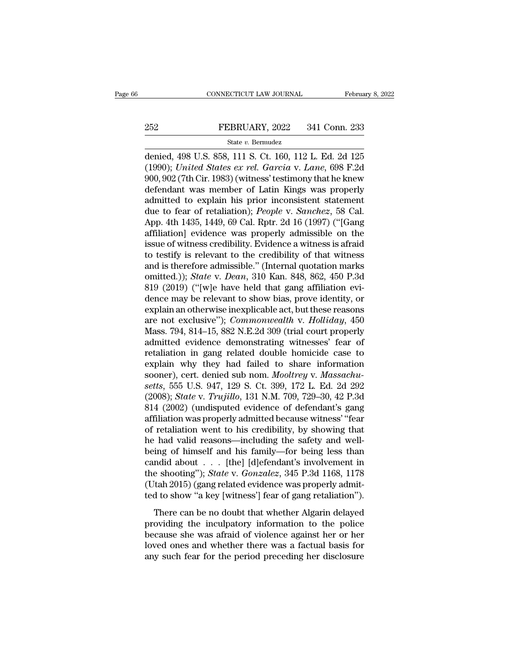# EXECUTE CONNECTICUT LAW JOURNAL February 8, 2022<br>252 FEBRUARY, 2022 341 Conn. 233<br>341 Conn. 233

## State *v.* Bermudez

CONNECTICUT LAW JOURNAL February 8, 2022<br>
252 FEBRUARY, 2022 341 Conn. 233<br>
31 State v. Bernudez<br>
341 Conn. 233<br>
341 Conn. 233<br>
341 Conn. 233<br>
341 Conn. 233<br>
341 Conn. 233<br>
341 Conn. 233<br>
341 Conn. 233<br>
341 Conn. 233<br>
341 FEBRUARY, 2022 341 Conn. 233<br>
State v. Bernudez<br>
denied, 498 U.S. 858, 111 S. Ct. 160, 112 L. Ed. 2d 125<br>
(1990); *United States ex rel. Garcia* v. *Lane*, 698 F.2d<br>
900, 902 (7th Cir. 1983) (witness' testimony that he kne 252 FEBRUARY, 2022 341 Conn. 233<br>
State v. Bernudez<br>
denied, 498 U.S. 858, 111 S. Ct. 160, 112 L. Ed. 2d 125<br>
(1990); *United States ex rel. Garcia v. Lane*, 698 F.2d<br>
900, 902 (7th Cir. 1983) (witness' testimony that he 252 FEBRUARY, 2022 341 Conn. 233<br>
State v. Bernudez<br>
denied, 498 U.S. 858, 111 S. Ct. 160, 112 L. Ed. 2d 125<br>
(1990); *United States ex rel. Garcia* v. *Lane*, 698 F.2d<br>
900, 902 (7th Cir. 1983) (witness' testimony that h State v. Bernudez<br>denied, 498 U.S. 858, 111 S. Ct. 160, 112 L. Ed. 2d 125<br>(1990); *United States ex rel. Garcia v. Lane*, 698 F.2d<br>900, 902 (7th Cir. 1983) (witness' testimony that he knew<br>defendant was member of Latin Ki state v. Bermudez<br>denied, 498 U.S. 858, 111 S. Ct. 160, 112 L. Ed. 2d 125<br>(1990); *United States ex rel. Garcia v. Lane*, 698 F.2d<br>900, 902 (7th Cir. 1983) (witness' testimony that he knew<br>defendant was member of Latin Kin denied, 498 U.S. 858, 111 S. Ct. 160, 112 L. Ed. 2d 125<br>(1990); *United States ex rel. Garcia v. Lane*, 698 F.2d<br>900, 902 (7th Cir. 1983) (witness' testimony that he knew<br>defendant was member of Latin Kings was properly<br>ad (1990); *United States ex rel. Garcia* v. *Lane*, 698 F.2d<br>900, 902 (7th Cir. 1983) (witness' testimony that he knew<br>defendant was member of Latin Kings was properly<br>admitted to explain his prior inconsistent statement<br>du 900, 902 (7th Cir. 1983) (witness' testimony that he knew<br>defendant was member of Latin Kings was properly<br>admitted to explain his prior inconsistent statement<br>due to fear of retaliation); *People* v. *Sanchez*, 58 Cal.<br>Ap defendant was member of Latin Kings was properly<br>admitted to explain his prior inconsistent statement<br>due to fear of retaliation); *People v. Sanchez*, 58 Cal.<br>App. 4th 1435, 1449, 69 Cal. Rptr. 2d 16 (1997) ("[Gang<br>affil admitted to explain his prior inconsistent statement<br>due to fear of retaliation); *People v. Sanchez*, 58 Cal.<br>App. 4th 1435, 1449, 69 Cal. Rptr. 2d 16 (1997) ("[Gang<br>affiliation] evidence was properly admissible on the<br>is due to fear of retaliation); *People v. Sanchez*, 58 Cal.<br>App. 4th 1435, 1449, 69 Cal. Rptr. 2d 16 (1997) ("[Gang<br>affiliation] evidence was properly admissible on the<br>issue of witness credibility. Evidence a witness is afr App. 4th 1435, 1449, 69 Cal. Rptr. 2d 16 (1997) ("[Gang<br>affiliation] evidence was properly admissible on the<br>issue of witness credibility. Evidence a witness is afraid<br>to testify is relevant to the credibility of that wit affiliation] evidence was properly admissible on the<br>issue of witness credibility. Evidence a witness is afraid<br>to testify is relevant to the credibility of that witness<br>and is therefore admissible." (Internal quotation m issue of witness credibility. Evidence a witness is a<br>fraid to testify is relevant to the credibility of that witness<br>and is therefore admissible." (Internal quotation marks<br>omitted.)); *State* v. *Dean*, 310 Kan. 848, 86 to testify is relevant to the credibility of that witness<br>and is therefore admissible." (Internal quotation marks<br>omitted.)); *State* v. *Dean*, 310 Kan. 848, 862, 450 P.3d<br>819 (2019) ("[w]e have held that gang affiliation and is therefore admissible." (Internal quotation marks<br>omitted.)); *State* v. *Dean*, 310 Kan. 848, 862, 450 P.3d<br>819 (2019) ("[w]e have held that gang affiliation evi-<br>dence may be relevant to show bias, prove identity, omitted.)); *State* v. *Dean*, 310 Kan. 848, 862, 450 P.3d<br>819 (2019) ("[w]e have held that gang affiliation evi-<br>dence may be relevant to show bias, prove identity, or<br>explain an otherwise inexplicable act, but these reas 819 (2019) ("[w]e have held that gang affiliation evi-<br>dence may be relevant to show bias, prove identity, or<br>explain an otherwise inexplicable act, but these reasons<br>are not exclusive"); *Commonwealth* v. *Holliday*, 450 dence may be relevant to show bias, prove identity, or<br>explain an otherwise inexplicable act, but these reasons<br>are not exclusive"); *Commonwealth* v. *Holliday*, 450<br>Mass. 794, 814–15, 882 N.E.2d 309 (trial court properl explain an otherwise inexplicable act, but these reasons<br>are not exclusive"); *Commonwealth* v. *Holliday*, 450<br>Mass. 794, 814–15, 882 N.E.2d 309 (trial court properly<br>admitted evidence demonstrating witnesses' fear of<br>ret are not exclusive"); *Commonwealth v. Holliday*, 450<br>Mass. 794, 814–15, 882 N.E.2d 309 (trial court properly<br>admitted evidence demonstrating witnesses' fear of<br>retaliation in gang related double homicide case to<br>explain wh Mass. 794, 814–15, 882 N.E.2d 309 (trial court properly<br>admitted evidence demonstrating witnesses' fear of<br>retaliation in gang related double homicide case to<br>explain why they had failed to share information<br>sooner), cert. admitted evidence demonstrating witnesses' fear of<br>retaliation in gang related double homicide case to<br>explain why they had failed to share information<br>sooner), cert. denied sub nom. *Mooltrey* v. *Massachu-<br>setts*, 555 U. retaliation in gang related double homicide case to<br>explain why they had failed to share information<br>sooner), cert. denied sub nom. *Mooltrey* v. *Massachu-<br>setts*, 555 U.S. 947, 129 S. Ct. 399, 172 L. Ed. 2d 292<br>(2008); explain why they had failed to share information<br>sooner), cert. denied sub nom. *Mooltrey* v. *Massachu-<br>setts*, 555 U.S. 947, 129 S. Ct. 399, 172 L. Ed. 2d 292<br>(2008); *State* v. *Trujillo*, 131 N.M. 709, 729–30, 42 P.3d<br> sooner), cert. denied sub nom. *Mooltrey* v. *Massachusetts*, 555 U.S. 947, 129 S. Ct. 399, 172 L. Ed. 2d 292 (2008); *State* v. *Trujillo*, 131 N.M. 709, 729–30, 42 P.3d 814 (2002) (undisputed evidence of defendant's gang setts, 555 U.S. 947, 129 S. Ct. 399, 172 L. Ed. 2d 292<br>(2008); *State* v. *Trujillo*, 131 N.M. 709, 729–30, 42 P.3d<br>814 (2002) (undisputed evidence of defendant's gang<br>affiliation was properly admitted because witness' "fe (2008); *State* v. *Trujillo*, 131 N.M. 709, 729–30, 42 P.3d<br>814 (2002) (undisputed evidence of defendant's gang<br>affiliation was properly admitted because witness' "fear<br>of retaliation went to his credibility, by showing 814 (2002) (undisputed evidence of defendant's gang<br>affiliation was properly admitted because witness' "fear<br>of retaliation went to his credibility, by showing that<br>he had valid reasons—including the safety and well-<br>being affiliation was properly admitted because witness' "fear<br>of retaliation went to his credibility, by showing that<br>he had valid reasons—including the safety and well-<br>being of himself and his family—for being less than<br>candi of retaliation went to his credibility, by showing that<br>he had valid reasons—including the safety and well-<br>being of himself and his family—for being less than<br>candid about . . . [the] [d]efendant's involvement in<br>the sho There is a variety that when the same of himself and his family—for being less than notid about  $\dots$  [the] [d]efendant's involvement in e shooting"); *State* v. *Gonzalez*, 345 P.3d 1168, 1178 (tah 2015) (gang related evi providing the inculpator in the standard about  $\ldots$  [the] [d] effendant's involvement in the shooting"); *State* v. *Gonzalez*, 345 P.3d 1168, 1178 (Utah 2015) (gang related evidence was properly admitted to show "a key

because she was affaired and a solution of the shooting"); *State* v. *Gonzalez*, 345 P.3d 1168, 1178 (Utah 2015) (gang related evidence was properly admitted to show "a key [witness'] fear of gang retaliation").<br>There can (Utah 2015) (gang related evidence was properly admitted to show "a key [witness'] fear of gang retaliation").<br>There can be no doubt that whether Algarin delayed<br>providing the inculpatory information to the police<br>because referred to show "a key [witness'] fear of gang retaliation").<br>There can be no doubt that whether Algarin delayed<br>providing the inculpatory information to the police<br>because she was afraid of violence against her or her<br>lo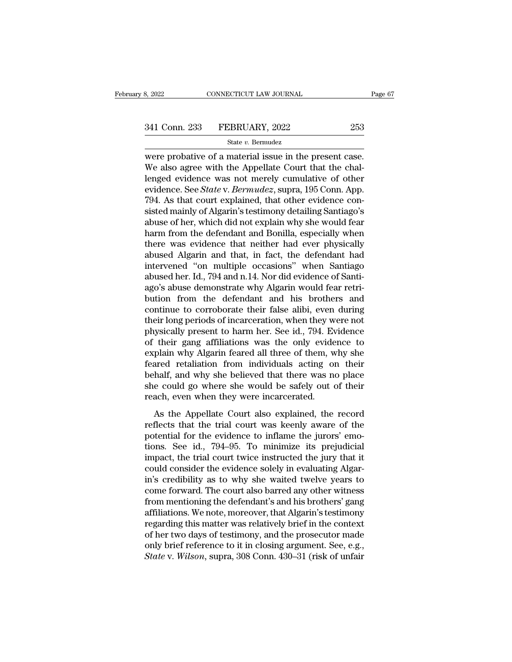EXECTE SAN SAN SURVALLED AND THE PAGE OF A MATH CONNECTICUT LAW JOURNAL Page<br>
State v. Bernudez<br>
Were probative of a material issue in the present case.<br>
We also agree with the Appellate Court that the challenged ovidence  $341$  Conn. 233 FEBRUARY, 2022 253<br>
State v. Bermudez<br>
were probative of a material issue in the present case.<br>
We also agree with the Appellate Court that the chal-<br>
lenged evidence was not merely cumulative of other<br>
wi 341 Conn. 233 FEBRUARY, 2022 253<br>
State v. Bernudez<br>
were probative of a material issue in the present case.<br>
We also agree with the Appellate Court that the challenged evidence was not merely cumulative of other<br>
evidenc exteenant 233 FEBRUARY, 2022<br>
State v. Bermudez<br>
were probative of a material issue in the present case.<br>
We also agree with the Appellate Court that the chal-<br>
lenged evidence was not merely cumulative of other<br>
evidence. State *v*. Bermudez<br>
State *v*. Bermudez<br>
Were probative of a material issue in the present case.<br>
We also agree with the Appellate Court that the chal-<br>
lenged evidence was not merely cumulative of other<br>
evidence. See state v. Bernudez<br>were probative of a material issue in the present case.<br>We also agree with the Appellate Court that the chal-<br>lenged evidence was not merely cumulative of other<br>evidence. See *State* v. *Bermudez*, supra were probative of a material issue in the present case.<br>We also agree with the Appellate Court that the chal-<br>lenged evidence was not merely cumulative of other<br>evidence. See *State* v. *Bermudez*, supra, 195 Conn. App.<br>79 We also agree with the Appellate Court that the chal-<br>lenged evidence was not merely cumulative of other<br>evidence. See *State* v. *Bermudez*, supra, 195 Conn. App.<br>794. As that court explained, that other evidence con-<br>sis lenged evidence was not merely cumulative of other<br>evidence. See *State* v. *Bermudez*, supra, 195 Conn. App.<br>794. As that court explained, that other evidence con-<br>sisted mainly of Algarin's testimony detailing Santiago's evidence. See *State* v. *Bermudez*, supra, 195 Conn. App.<br>794. As that court explained, that other evidence consisted mainly of Algarin's testimony detailing Santiago's<br>abuse of her, which did not explain why she would fe 794. As that court explained, that other evidence consisted mainly of Algarin's testimony detailing Santiago's abuse of her, which did not explain why she would fear harm from the defendant and Bonilla, especially when the sisted mainly of Algarin's testimony detailing Santiago's<br>abuse of her, which did not explain why she would fear<br>harm from the defendant and Bonilla, especially when<br>there was evidence that neither had ever physically<br>abus abuse of her, which did not explain why she would fear<br>harm from the defendant and Bonilla, especially when<br>there was evidence that neither had ever physically<br>abused Algarin and that, in fact, the defendant had<br>intervened harm from the defendant and Bonilla, especially when<br>there was evidence that neither had ever physically<br>abused Algarin and that, in fact, the defendant had<br>intervened "on multiple occasions" when Santiago<br>abused her. Id., there was evidence that neither had ever physically<br>abused Algarin and that, in fact, the defendant had<br>intervened "on multiple occasions" when Santiago<br>abused her. Id., 794 and n.14. Nor did evidence of Santi-<br>ago's abuse abused Algarin and that, in fact, the defendant had<br>intervened "on multiple occasions" when Santiago<br>abused her. Id., 794 and n.14. Nor did evidence of Santi-<br>ago's abuse demonstrate why Algarin would fear retri-<br>bution fr intervened "on multiple occasions" when Santiago<br>abused her. Id., 794 and n.14. Nor did evidence of Santi-<br>ago's abuse demonstrate why Algarin would fear retri-<br>bution from the defendant and his brothers and<br>continue to co abused her. Id., 794 and n.14. Nor did evidence of Santi-<br>ago's abuse demonstrate why Algarin would fear retri-<br>bution from the defendant and his brothers and<br>continue to corroborate their false alibi, even during<br>their lo ago's abuse demonstrate why Algarin would fear retribution from the defendant and his brothers and continue to corroborate their false alibi, even during their long periods of incarceration, when they were not physically p bution from the defendant and his brothers and<br>continue to corroborate their false alibi, even during<br>their long periods of incarceration, when they were not<br>physically present to harm her. See id., 794. Evidence<br>of their continue to corroborate their false alibi, even during<br>their long periods of incarceration, when they were not<br>physically present to harm her. See id., 794. Evidence<br>of their gang affiliations was the only evidence to<br>expl their long periods of incarceration, when they were not<br>physically present to harm her. See id., 794. Evidence<br>of their gang affiliations was the only evidence to<br>explain why Algarin feared all three of them, why she<br>feare physically present to harm her. See id., 794. Even for their gang affiliations was the only evide explain why Algarin feared all three of them, we feared retaliation from individuals acting on behalf, and why she believed Filain why Algarin feared all three of them, why she<br>ared retaliation from individuals acting on their<br>half, and why she believed that there was no place<br>e could go where she would be safely out of their<br>ach, even when the reflects that the trial court also explicitly on their<br>the behalf, and why she believed that there was no place<br>she could go where she would be safely out of their<br>reach, even when they were incarcerated.<br>As the Appellate

potential for the believed that there was no place<br>she could go where she would be safely out of their<br>reach, even when they were incarcerated.<br>As the Appellate Court also explained, the record<br>reflects that the trial cour behalf, and why she beheved and after was no place<br>she could go where she would be safely out of their<br>reach, even when they were incarcerated.<br>As the Appellate Court also explained, the record<br>reflects that the trial cour implementative since the world be stately out of all<br>reach, even when they were incarcerated.<br>As the Appellate Court also explained, the record<br>reflects that the trial court was keenly aware of the<br>potential for the eviden As the Appellate Court also explained, the record<br>reflects that the trial court was keenly aware of the<br>potential for the evidence to inflame the jurors' emo-<br>tions. See id., 794–95. To minimize its prejudicial<br>impact, the As the Appellate Court also explained, the record<br>reflects that the trial court was keenly aware of the<br>potential for the evidence to inflame the jurors' emo-<br>tions. See id., 794–95. To minimize its prejudicial<br>impact, the reflects that the trial court was keenly aware of the<br>potential for the evidence to inflame the jurors' emo-<br>tions. See id., 794–95. To minimize its prejudicial<br>impact, the trial court twice instructed the jury that it<br>cou potential for the evidence to inflame the jurors' emo-<br>tions. See id., 794–95. To minimize its prejudicial<br>impact, the trial court twice instructed the jury that it<br>could consider the evidence solely in evaluating Algar-<br>i tions. See id., 794–95. To minimize its prejudicial<br>impact, the trial court twice instructed the jury that it<br>could consider the evidence solely in evaluating Algar-<br>in's credibility as to why she waited twelve years to<br>co impact, the trial court twice instructed the jury that it<br>could consider the evidence solely in evaluating Algar-<br>in's credibility as to why she waited twelve years to<br>come forward. The court also barred any other witness<br> could consider the evidence solely in evaluating Algarin's credibility as to why she waited twelve years to come forward. The court also barred any other witness from mentioning the defendant's and his brothers' gang affil in's credibility as to why she waited twelve years to<br>come forward. The court also barred any other witness<br>from mentioning the defendant's and his brothers' gang<br>affiliations. We note, moreover, that Algarin's testimony<br>r come forward. The court also barred any other witness<br>from mentioning the defendant's and his brothers' gang<br>affiliations. We note, moreover, that Algarin's testimony<br>regarding this matter was relatively brief in the conte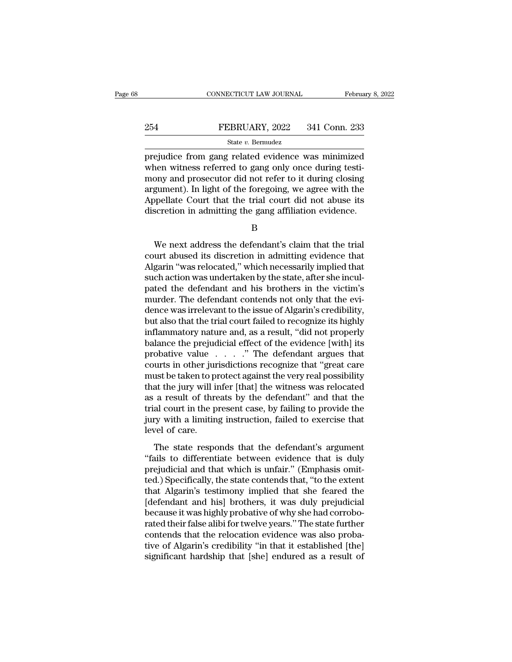# EXECUTE CONNECTICUT LAW JOURNAL February 8, 2022<br>254 FEBRUARY, 2022 341 Conn. 233<br>34 State v. Bermudez

## State *v.* Bermudez

FEBRUARY, 2022 341 Conn. 233<br>
PREBRUARY, 2022 341 Conn. 233<br>
State v. Bermudez<br>
prejudice from gang related evidence was minimized<br>
when witness referred to gang only once during testi-<br>
mony and prosocutor did not refer t  $\begin{array}{ll} \text{254} & \text{FEBRUARY, 2022} & \text{341 Conn. 233} \\ & \text{State } v. \text{ Bernudez} \\ \text{prejudice from gang related evidence was minimized when witness referred to gang only once during testi-  
many and prosector did not refer to it during closing argument). In light of the foregoing, we agree with the$  $\begin{array}{r} \text{254} & \text{FEBRUARY, 2022} & \text{341 Conn. 233} \\ \text{State } v. \text{ Bernudez} \\ \text{prejudice from gang related evidence was minimized when witness referred to gang only once during testi-  
mony and processor did not refer to it during closing argument). In light of the foregoing, we agree with the  $\Lambda$  nonleft. Court that the trial court did not above its$ 254 FEBRUARY, 2022 341 Conn. 233<br>  $\frac{\text{State } v. \text{ Bernudez}}{\text{prejudice from gang related evidence was minimized}}$ <br>
when witness referred to gang only once during testi-<br>
mony and prosecutor did not refer to it during closing<br>
argument). In light of the foregoing, we ag State v. Bernudez<br>
Prejudice from gang related evidence was minimized<br>
when witness referred to gang only once during testi-<br>
mony and prosecutor did not refer to it during closing<br>
argument). In light of the foregoing, w State v. Bermudez<br>
State v. Bermudez<br>
prejudice from gang related evidence was minimized<br>
when witness referred to gang only once during testi-<br>
mony and prosecutor did not refer to it during closing<br>
argument). In light o ony and prosecutor did not refer to it during closing<br>gument). In light of the foregoing, we agree with the<br>ppellate Court that the trial court did not abuse its<br>scretion in admitting the gang affiliation evidence.<br>B<br>We ne

B

argument). In light of the foregoing, we agree with the<br>Appellate Court that the trial court did not abuse its<br>discretion in admitting the gang affiliation evidence.<br>B<br>We next address the defendant's claim that the trial<br>c Appellate Court that the trial court did not abuse its<br>discretion in admitting the gang affiliation evidence.<br>B<br>We next address the defendant's claim that the trial<br>court abused its discretion in admitting evidence that<br>Al discretion in admitting the gang affiliation evidence.<br>B<br>We next address the defendant's claim that the trial<br>court abused its discretion in admitting evidence that<br>Algarin "was relocated," which necessarily implied that<br>s B<br>
We next address the defendant's claim that the trial<br>
court abused its discretion in admitting evidence that<br>
Algarin "was relocated," which necessarily implied that<br>
such action was undertaken by the state, after she i We next address the defendant's claim that the trial<br>court abused its discretion in admitting evidence that<br>Algarin "was relocated," which necessarily implied that<br>such action was undertaken by the state, after she incul-<br> We next address the defendant's claim that the trial<br>court abused its discretion in admitting evidence that<br>Algarin "was relocated," which necessarily implied that<br>such action was undertaken by the state, after she incul-<br> court abused its discretion in admitting evidence that<br>Algarin "was relocated," which necessarily implied that<br>such action was undertaken by the state, after she incul-<br>pated the defendant and his brothers in the victim's<br> Algarin "was relocated," which necessarily implied that<br>such action was undertaken by the state, after she incul-<br>pated the defendant and his brothers in the victim's<br>murder. The defendant contends not only that the evi-<br>d such action was undertaken by the state, after she incul-<br>pated the defendant and his brothers in the victim's<br>murder. The defendant contends not only that the evi-<br>dence was irrelevant to the issue of Algarin's credibilit pated the defendant and his brothers in the victim's<br>murder. The defendant contends not only that the evi-<br>dence was irrelevant to the issue of Algarin's credibility,<br>but also that the trial court failed to recognize its h murder. The defendant contends not only that the evidence was irrelevant to the issue of Algarin's credibility,<br>but also that the trial court failed to recognize its highly<br>inflammatory nature and, as a result, "did not pr dence was irrelevant to the issue of Algarin's credibility,<br>but also that the trial court failed to recognize its highly<br>inflammatory nature and, as a result, "did not properly<br>balance the prejudicial effect of the evidenc but also that the trial court failed to recognize its highly<br>inflammatory nature and, as a result, "did not properly<br>balance the prejudicial effect of the evidence [with] its<br>probative value . . . . " The defendant argues inflammatory nature and, as a result, "did not properly<br>balance the prejudicial effect of the evidence [with] its<br>probative value  $\ldots$ ." The defendant argues that<br>courts in other jurisdictions recognize that "great care<br> balance the prejudicial effect of the evidence [with] its<br>probative value  $\ldots$  ." The defendant argues that<br>courts in other jurisdictions recognize that "great care<br>must be taken to protect against the very real possibil probative value  $\ldots$  ." The defendant argues that courts in other jurisdictions recognize that "great care must be taken to protect against the very real possibility that the jury will infer [that] the witness was reloca courts in other jurn<br>must be taken to pi<br>that the jury will in<br>as a result of thre<br>trial court in the p<br>jury with a limitin<br>level of care.<br>The state respo at the jury will infer [that] the witness was relocated<br>a result of threats by the defendant" and that the<br>al court in the present case, by failing to provide the<br>ry with a limiting instruction, failed to exercise that<br>vel and are jury win meet [adat] are wratess was rerocated<br>as a result of threats by the defendant" and that the<br>trial court in the present case, by failing to provide the<br>jury with a limiting instruction, failed to exercise t

as a resair of ancase by the defendant and that are<br>trial court in the present case, by failing to provide the<br>jury with a limiting instruction, failed to exercise that<br>level of care.<br>The state responds that the defendant' Final court in the present ease, by namig to provide the<br>jury with a limiting instruction, failed to exercise that<br>level of care.<br>The state responds that the defendant's argument<br>"fails to differentiate between evidence th that a mining instance of care in the defendant of care.<br>The state responds that the defendant's argument<br>"fails to differentiate between evidence that is duly<br>prejudicial and that which is unfair." (Emphasis omit-<br>ted.) S The state responds that the defendant's argument<br>
"fails to differentiate between evidence that is duly<br>
prejudicial and that which is unfair." (Emphasis omit-<br>
ted.) Specifically, the state contends that, "to the extent<br> The state responds that the defendant's argument<br>
"fails to differentiate between evidence that is duly<br>
prejudicial and that which is unfair." (Emphasis omit-<br>
ted.) Specifically, the state contends that, "to the extent<br> "fails to differentiate between evidence that is duly<br>prejudicial and that which is unfair." (Emphasis omit-<br>ted.) Specifically, the state contends that, "to the extent<br>that Algarin's testimony implied that she feared the<br> prejudicial and that which is unfair." (Emphasis omitted.) Specifically, the state contends that, "to the extent<br>that Algarin's testimony implied that she feared the<br>[defendant and his] brothers, it was duly prejudicial<br>be ted.) Specifically, the state contends that, "to the extent<br>that Algarin's testimony implied that she feared the<br>[defendant and his] brothers, it was duly prejudicial<br>because it was highly probative of why she had corrobothat Algarin's testimony implied that she feared the [defendant and his] brothers, it was duly prejudicial because it was highly probative of why she had corroborated their false alibi for twelve years." The state further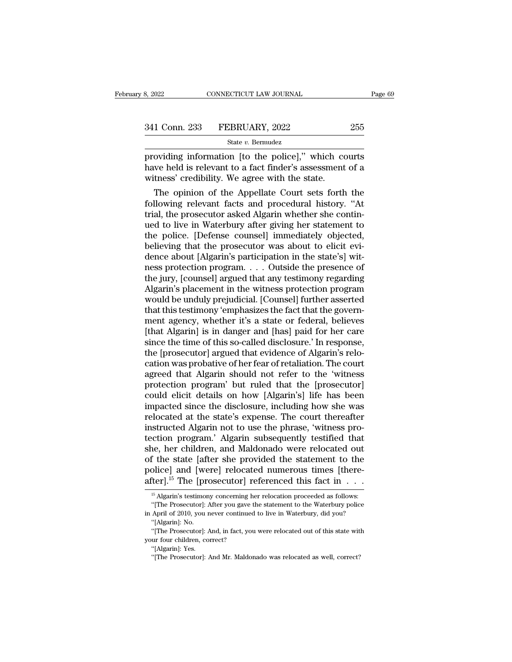Page 69<br>
Bage 69<br>
Bage 69<br>
Bage 69<br>
Bage 69<br>
Bage 69<br>
State v. Bernudez<br>
Providing information [to the police]," which courts<br>
have held is relevant to a fact finder's assessment of a<br>
witnes' credibility. We agree with th 341 Conn. 233 FEBRUARY, 2022 255<br>
State v. Bermudez<br>
providing information [to the police]," which courts<br>
have held is relevant to a fact finder's assessment of a<br>
witness' credibility. We agree with the state. 341 Conn. 233 FEBRUARY, 2022<br>
State v. Bermudez<br>
providing information [to the police]," which co<br>
have held is relevant to a fact finder's assessment<br>
witness' credibility. We agree with the state.<br>
The opinion of the Ap 1 Conn. 233 FEBRUARY, 2022 255<br>
State v. Bermudez<br>
oviding information [to the police]," which courts<br>
we held is relevant to a fact finder's assessment of a<br>
tness' credibility. We agree with the state.<br>
The opinion of t

State v. Bermudez<br>providing information [to the police]," which courts<br>have held is relevant to a fact finder's assessment of a<br>witness' credibility. We agree with the state.<br>The opinion of the Appellate Court sets forth providing information [to the police]," which courts<br>have held is relevant to a fact finder's assessment of a<br>witness' credibility. We agree with the state.<br>The opinion of the Appellate Court sets forth the<br>following relev providing information [to the police]," which courts<br>have held is relevant to a fact finder's assessment of a<br>witness' credibility. We agree with the state.<br>The opinion of the Appellate Court sets forth the<br>following relev have held is relevant to a fact finder's assessment of a<br>witness' credibility. We agree with the state.<br>The opinion of the Appellate Court sets forth the<br>following relevant facts and procedural history. "At<br>trial, the pros witness' credibility. We agree with the state.<br>The opinion of the Appellate Court sets forth the<br>following relevant facts and procedural history. "At<br>trial, the prosecutor asked Algarin whether she contin-<br>ued to live in W The opinion of the Appellate Court sets forth the following relevant facts and procedural history. "At trial, the prosecutor asked Algarin whether she continued to live in Waterbury after giving her statement to the police following relevant facts and procedural history. "At<br>trial, the prosecutor asked Algarin whether she contin-<br>ued to live in Waterbury after giving her statement to<br>the police. [Defense counsel] immediately objected,<br>believ trial, the prosecutor asked Algarin whether she continued to live in Waterbury after giving her statement to the police. [Defense counsel] immediately objected, believing that the prosecutor was about to elicit evidence ab ued to live in Waterbury after giving her statement to<br>the police. [Defense counsel] immediately objected,<br>believing that the prosecutor was about to elicit evi-<br>dence about [Algarin's participation in the state's] wit-<br>ne the police. [Defense counsel] immediately objected,<br>believing that the prosecutor was about to elicit evi-<br>dence about [Algarin's participation in the state's] wit-<br>ness protection program. . . . Outside the presence of<br>th believing that the prosecutor was about to elicit evidence about [Algarin's participation in the state's] witness protection program. . . . Outside the presence of the jury, [counsel] argued that any testimony regarding Al dence about [Algarin's participation in the state's] with<br>ness protection program. . . . Outside the presence of<br>the jury, [counsel] argued that any testimony regarding<br>Algarin's placement in the witness protection program ness protection program. . . . Outside the presence of<br>the jury, [counsel] argued that any testimony regarding<br>Algarin's placement in the witness protection program<br>would be unduly prejudicial. [Counsel] further asserted<br>t the jury, [counsel] argued that any testimony regarding<br>Algarin's placement in the witness protection program<br>would be unduly prejudicial. [Counsel] further asserted<br>that this testimony 'emphasizes the fact that the govern Algarin's placement in the witness protection program<br>would be unduly prejudicial. [Counsel] further asserted<br>that this testimony 'emphasizes the fact that the govern-<br>ment agency, whether it's a state or federal, believes would be unduly prejudicial. [Counsel] further asserted<br>that this testimony 'emphasizes the fact that the govern-<br>ment agency, whether it's a state or federal, believes<br>[that Algarin] is in danger and [has] paid for her ca that this testimony 'emphasizes the fact that the government agency, whether it's a state or federal, believes<br>[that Algarin] is in danger and [has] paid for her care<br>since the time of this so-called disclosure.' In respon ment agency, whether it's a state or federal, believes<br>[that Algarin] is in danger and [has] paid for her care<br>since the time of this so-called disclosure.' In response,<br>the [prosecutor] argued that evidence of Algarin's r [that Algarin] is in danger and [has] paid for her care<br>since the time of this so-called disclosure.' In response,<br>the [prosecutor] argued that evidence of Algarin's relo-<br>cation was probative of her fear of retaliation. T since the time of this so-called disclosure.' In response,<br>the [prosecutor] argued that evidence of Algarin's relo-<br>cation was probative of her fear of retaliation. The court<br>agreed that Algarin should not refer to the 'wi the [prosecutor] argued that evidence of Algarin's relocation was probative of her fear of retaliation. The court<br>agreed that Algarin should not refer to the 'witness<br>protection program' but ruled that the [prosecutor]<br>cou cation was probative of her fear of retaliation. The court<br>agreed that Algarin should not refer to the 'witness<br>protection program' but ruled that the [prosecutor]<br>could elicit details on how [Algarin's] life has been<br>impa agreed that Algarin should not refer to the 'witness<br>protection program' but ruled that the [prosecutor]<br>could elicit details on how [Algarin's] life has been<br>impacted since the disclosure, including how she was<br>relocated protection program' but ruled that the [prosecutor]<br>could elicit details on how [Algarin's] life has been<br>impacted since the disclosure, including how she was<br>relocated at the state's expense. The court thereafter<br>instruct could elicit details on how [Algarin's] life has been<br>impacted since the disclosure, including how she was<br>relocated at the state's expense. The court thereafter<br>instructed Algarin not to use the phrase, 'witness pro-<br>tect impacted since the disclosure, including how she was<br>relocated at the state's expense. The court thereafter<br>instructed Algarin not to use the phrase, 'witness pro-<br>tection program.' Algarin subsequently testified that<br>she relocated at the state's expense. The court thereafter<br>instructed Algarin not to use the phrase, 'witness pro-<br>tection program.' Algarin subsequently testified that<br>she, her children, and Maldonado were relocated out<br>of t 16 Algarin's testimony concerning her relocated out f the state [after she provided the statement to the police] and [were] relocated numerous times [therefter].<sup>15</sup> The [prosecutor] referenced this fact in  $\dots$  <sup>15</sup> Alga f the state [after she provided the statement to the olice] and [were] relocated numerous times [there-<br>fter].<sup>15</sup> The [prosecutor] referenced this fact in  $\dots$ <br><sup>15</sup> Algarin's testimony concerning her relocation proceeded police] and [were] relocated numerous times [thereafter].<sup>15</sup> The [prosecutor] referenced this fact in  $\cdot \cdot \cdot$ <br><sup>15</sup> Algarin's testimony concerning her relocation proceeded as follows:<br>"[The Prosecutor]: After you gave th

The Transform of the University of the University of 2010, you<br>
"[The Prosecutor]: April of 2010, you<br>
"[Algarin]: No. "[The Prosecutor]: 4 <sup>15</sup> Algarin's testimony concerning her relocation proceeded as follows:<br><sup>15</sup> Algarin's testimony concerning her relocation proceeded as follows:<br>"[The Prosecutor]: After you gave the statement to the Waterbury police<br>Apri <sup>15</sup> Algarin's testimony concerning h<br>
"[The Prosecutor]: After you gave tin April of 2010, you never continued<br>
"[Algarin]: No.<br>
"[The Prosecutor]: And, in fact, you your four children, correct?<br>
"[Algarin]: Yes. "[The Prosecutor]: After you gave the statement to the Waterbury police<br>in April of 2010, you never continued to live in Waterbury, did you?<br>"[Algarin]: No.<br>"[The Prosecutor]: And, in fact, you were relocated out of this

April of 2010, you never continued to live in Waterbury, did you?<br>
"[Algarin]: No.<br>
"[The Prosecutor]: And, in fact, you were relocated out of this state wit<br>
ur four children, correct?<br>
"[Algarin]: Yes.<br>
"[The Prosecutor]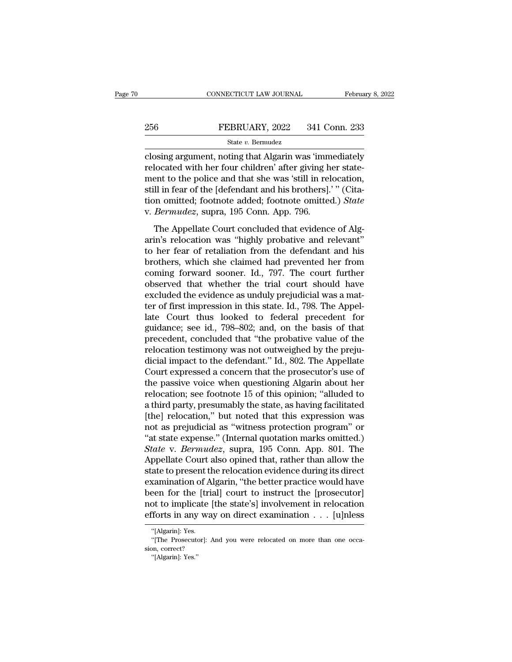# EXECUTE CONNECTICUT LAW JOURNAL February 8, 2022<br>256 FEBRUARY, 2022 341 Conn. 233<br>341 Conn. 233

## State *v.* Bermudez

CONNECTICUT LAW JOURNAL February 8, 2022<br>
256 FEBRUARY, 2022 341 Conn. 233<br>
31 State v. Bernudez<br>
200sing argument, noting that Algarin was 'immediately<br>
10 relocated with her four children' after giving her state-256 FEBRUARY, 2022 341 Conn. 233<br>  $\frac{\text{State } v. \text{ Bernudez}}{\text{close}}$ <br>
closing argument, noting that Algarin was 'immediately<br>
relocated with her four children' after giving her state-<br>
ment to the police and that she was 'still in r 256 FEBRUARY, 2022 341 Conn. 233<br>
State v. Bernudez<br>
closing argument, noting that Algarin was 'immediately<br>
relocated with her four children' after giving her state-<br>
ment to the police and that she was 'still in relocat  $\begin{array}{ll} \text{SEBRUARY, 2022} & \text{341 Conn. 233} \\ \text{State $v$. Bernudez} \\ \text{closing argument, noting that Algorithm was 'immediately  
relocated with her four children' after giving her state-  
ment to the police and that she was 'still in relocation,  
still in fear of the [defendant and his brothers].''' (Cita-  
tion omitted; footnote added; footnote omitted.) *State  
we Barmudez* sums,  $105$  Conn. Ann. 706$ State v. Bermudez<br>
closing argument, noting that Algarin was 'immediately<br>
relocated with her four children' after giving her state-<br>
ment to the police and that she was 'still in relocation,<br>
still in fear of the [defenda state *v*. Bermudez<br>closing argument, noting that Algarin was 'imm<br>relocated with her four children' after giving h<br>ment to the police and that she was 'still in rel<br>still in fear of the [defendant and his brothers].<br>tion For the Holdren' after giving her state-<br>located with her four children' after giving her state-<br>ent to the police and that she was 'still in relocation,<br>ll in fear of the [defendant and his brothers].' " (Cita-<br>on omitted arin'ny fivondronal and that she was 'still in relocation,<br>still in fear of the [defendant and his brothers].'" (Cita-<br>tion omitted; footnote added; footnote omitted.) State<br>v. Bermudez, supra, 195 Conn. App. 796.<br>The Appe

then be the perfect and rate from both in the set of the star in Ference,<br>still in fear of the [defendant and his brothers].'" (Cita-<br>tion omitted; footnote added; footnote omitted.) *State*<br>v. *Bermudez*, supra, 195 Conn broad in the claim of the presentation and the specifically. (The condition omitted; footnote added; footnote omitted.) State<br>v. Bermudez, supra, 195 Conn. App. 796.<br>The Appellate Court concluded that evidence of Alg-<br>arin of the state of the solution of the solution of the Appellate Court concluded that evidence of Algarin's relocation was "highly probative and relevant"<br>to her fear of retaliation from the defendant and his<br>brothers, which The Appellate Court concluded that evidence of Algarin's relocation was "highly probative and relevant"<br>to her fear of retaliation from the defendant and his<br>brothers, which she claimed had prevented her from<br>coming forwa The Appellate Court concluded that evidence of Algarin's relocation was "highly probative and relevant"<br>to her fear of retaliation from the defendant and his<br>brothers, which she claimed had prevented her from<br>coming forwar arin's relocation was "highly probative and relevant"<br>to her fear of retaliation from the defendant and his<br>brothers, which she claimed had prevented her from<br>coming forward sooner. Id., 797. The court further<br>observed tha to her fear of retaliation from the defendant and his<br>brothers, which she claimed had prevented her from<br>coming forward sooner. Id., 797. The court further<br>observed that whether the trial court should have<br>excluded the evi brothers, which she claimed had prevented her from<br>coming forward sooner. Id., 797. The court further<br>observed that whether the trial court should have<br>excluded the evidence as unduly prejudicial was a mat-<br>ter of first im coming forward sooner. Id., 797. The court further<br>observed that whether the trial court should have<br>excluded the evidence as unduly prejudicial was a mat-<br>ter of first impression in this state. Id., 798. The Appel-<br>late C observed that whether the trial court should have<br>excluded the evidence as unduly prejudicial was a mat-<br>ter of first impression in this state. Id., 798. The Appel-<br>late Court thus looked to federal precedent for<br>guidance; excluded the evidence as unduly prejudicial was a matter of first impression in this state. Id., 798. The Appellate Court thus looked to federal precedent for guidance; see id., 798–802; and, on the basis of that precedent ter of first impression in this state. Id., 798. The Appellate Court thus looked to federal precedent for guidance; see id., 798–802; and, on the basis of that precedent, concluded that "the probative value of the relocati late Court thus looked to federal precedent for<br>guidance; see id., 798–802; and, on the basis of that<br>precedent, concluded that "the probative value of the<br>relocation testimony was not outweighed by the preju-<br>dicial impac guidance; see id., 798–802; and, on the basis of that<br>precedent, concluded that "the probative value of the<br>relocation testimony was not outweighed by the preju-<br>dicial impact to the defendant." Id., 802. The Appellate<br>Cou precedent, concluded that "the probative value of the relocation testimony was not outweighed by the prejudicial impact to the defendant." Id., 802. The Appellate Court expressed a concern that the prosecutor's use of the relocation testimony was not outweighed by the preju-<br>dicial impact to the defendant." Id., 802. The Appellate<br>Court expressed a concern that the prosecutor's use of<br>the passive voice when questioning Algarin about her<br>rel dicial impact to the defendant." Id., 802. The Appellate<br>Court expressed a concern that the prosecutor's use of<br>the passive voice when questioning Algarin about her<br>relocation; see footnote 15 of this opinion; "alluded to<br> Court expressed a concern that the prosecutor's use of<br>the passive voice when questioning Algarin about her<br>relocation; see footnote 15 of this opinion; "alluded to<br>a third party, presumably the state, as having facilitate the passive voice when questioning Algarin about her relocation; see footnote 15 of this opinion; "alluded to a third party, presumably the state, as having facilitated [the] relocation," but noted that this expression was relocation; see footnote 15 of this opinion; "alluded to<br>a third party, presumably the state, as having facilitated<br>[the] relocation," but noted that this expression was<br>not as prejudicial as "witness protection program" o a third party, presumably the state, as having facilitated [the] relocation," but noted that this expression was not as prejudicial as "witness protection program" or "at state expense." (Internal quotation marks omitted.) [the] relocation," but noted that this expression was<br>not as prejudicial as "witness protection program" or<br>"at state expense." (Internal quotation marks omitted.)<br>State v. Bermudez, supra, 195 Conn. App. 801. The<br>Appellat not as prejudicial as "witness protection program" or<br>"at state expense." (Internal quotation marks omitted.)<br>State v. Bermudez, supra, 195 Conn. App. 801. The<br>Appellate Court also opined that, rather than allow the<br>state "at state expense." (Internal quotation marks omitted.)<br>
State v. Bermudez, supra, 195 Conn. App. 801. The<br>
Appellate Court also opined that, rather than allow the<br>
state to present the relocation evidence during its dire State v. Bermudez, supra, 195 Conn. App. 801. The<br>Appellate Court also opined that, rather than allow the<br>state to present the relocation evidence during its direct<br>examination of Algarin, "the better practice would have<br> xammation of A<br>een for the [tri<br>ot to implicate<br>fforts in any wa<br>"[Algarin]: Yes.<br>"[The Prosecutor]: een for the [trial] court to instruct the [prosecutor]<br>
ot to implicate [the state's] involvement in relocation<br>
forts in any way on direct examination . . . [u]nless<br>
"[Algarin]: Yes.<br>
"[The Prosecutor]: And you were relo not to implicate<br>efforts in any wa<br>"[Algarin]: Yes.<br>"[The Prosecutor]:<br>sion, correct?<br>"[Algarin]: Yes."

The Halparin<br>"[Algarin]: Yes.<br>"[The Prosecuto"]<br>"[Algarin]: Yes."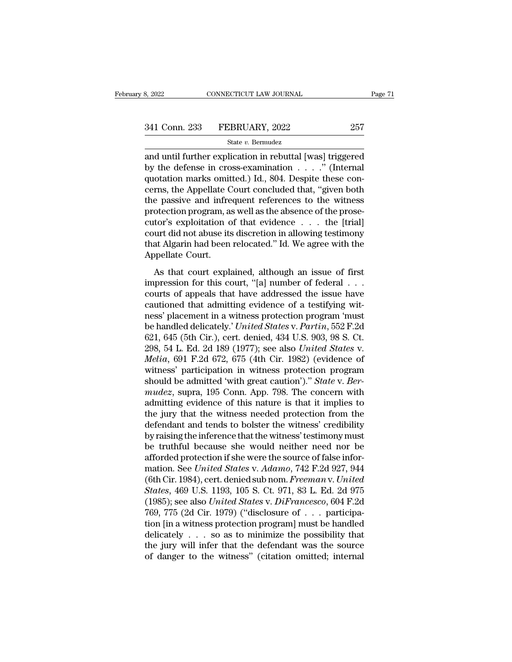3, 2022 CONNECTICUT LAW JOURNAL Page 71<br>
341 Conn. 233 FEBRUARY, 2022 257<br>
34 State v. Bermudez<br>
36 and until further explication in rebuttal [was] triggered<br>
by the defense in cross-examination . . . . " (Internal<br>
custo 341 Conn. 233 FEBRUARY, 2022 257<br>
State v. Bermudez<br>
and until further explication in rebuttal [was] triggered<br>
by the defense in cross-examination . . . . .'' (Internal<br>
quotation marks omitted.) Id., 804. Despite these 341 Conn. 233 FEBRUARY, 2022 257<br>
State v. Bermudez<br>
and until further explication in rebuttal [was] triggered<br>
by the defense in cross-examination  $\dots$ ." (Internal<br>
quotation marks omitted.) Id., 804. Despite these con-<br> 341 Conn. 233 FEBRUARY, 2022 257<br>
State v. Bernudez<br>
and until further explication in rebuttal [was] triggered<br>
by the defense in cross-examination  $\ldots$ . " (Internal<br>
quotation marks omitted.) Id., 804. Despite these con State v. Bernudez<br>
and until further explication in rebuttal [was] triggered<br>
by the defense in cross-examination  $\ldots$ ." (Internal<br>
quotation marks omitted.) Id., 804. Despite these con-<br>
cerns, the Appellate Court concl state v. Bernudez<br>and until further explication in rebuttal [was] triggered<br>by the defense in cross-examination  $\ldots$ ." (Internal<br>quotation marks omitted.) Id., 804. Despite these con-<br>cerns, the Appellate Court concluded and until further explication in rebuttal [was] triggered<br>by the defense in cross-examination . . . . ." (Internal<br>quotation marks omitted.) Id., 804. Despite these con-<br>cerns, the Appellate Court concluded that, "given b by the defense in cross-examination . . . . . " (Internal quotation marks omitted.) Id., 804. Despite these concerns, the Appellate Court concluded that, "given both the passive and infrequent references to the witness pro quotation marks omitted.) Id., 804. Despite these concerns, the Appellate Court concluded that, "given both the passive and infrequent references to the witness protection program, as well as the absence of the prosecutor' cerns, the Appellate C<br>the passive and infre<br>protection program, a<br>cutor's exploitation c<br>court did not abuse its<br>that Algarin had been<br>Appellate Court.<br>As that court expl: be passive and intequent references to the whitess<br>otection program, as well as the absence of the prose-<br>tor's exploitation of that evidence  $\dots$  the [trial]<br>urt did not abuse its discretion in allowing testimony<br>at Alga protection program, as wentus are absorbed of alternative cutor's exploitation of that evidence  $\ldots$  the [trial] court did not abuse its discretion in allowing testimony that Algarin had been relocated." Id. We agree wit

court did not abuse its discretion in allowing testimony<br>court did not abuse its discretion in allowing testimony<br>that Algarin had been relocated." Id. We agree with the<br>Appellate Court.<br>As that court explained, although that Algarin had been relocated." Id. We agree with the<br>Appellate Court.<br>As that court explained, although an issue of first<br>impression for this court, "[a] number of federal ...<br>courts of appeals that have addressed the Appellate Court.<br>
As that court explained, although an issue of first<br>
impression for this court, "[a] number of federal . . .<br>
courts of appeals that have addressed the issue have<br>
cautioned that admitting evidence of a As that court explained, although an issue of first<br>impression for this court, "[a] number of federal . . .<br>courts of appeals that have addressed the issue have<br>cautioned that admitting evidence of a testifying wit-<br>ness' As that court explained, although an issue of first<br>impression for this court, "[a] number of federal . . .<br>courts of appeals that have addressed the issue have<br>cautioned that admitting evidence of a testifying wit-<br>ness' impression for this court, "[a] number of federal . . .<br>courts of appeals that have addressed the issue have<br>cautioned that admitting evidence of a testifying wit-<br>ness' placement in a witness protection program 'must<br>be h courts of appeals that have addressed the issue have<br>cautioned that admitting evidence of a testifying wit-<br>ness' placement in a witness protection program 'must<br>be handled delicately.' *United States* v. *Partin*, 552 F.2 cautioned that admitting evidence of a testifying witness' placement in a witness protection program 'must<br>be handled delicately.' *United States v. Partin*, 552 F.2d<br>621, 645 (5th Cir.), cert. denied, 434 U.S. 903, 98 S. ness' placement in a witness protection program 'must<br>be handled delicately.' *United States v. Partin*, 552 F.2d<br>621, 645 (5th Cir.), cert. denied, 434 U.S. 903, 98 S. Ct.<br>298, 54 L. Ed. 2d 189 (1977); see also *United St* be handled delicately.' *United States* v. *Partin*, 552 F.2d<br>621, 645 (5th Cir.), cert. denied, 434 U.S. 903, 98 S. Ct.<br>298, 54 L. Ed. 2d 189 (1977); see also *United States* v.<br>*Melia*, 691 F.2d 672, 675 (4th Cir. 1982) 621, 645 (5th Cir.), cert. denied, 434 U.S. 903, 98 S. Ct.<br>298, 54 L. Ed. 2d 189 (1977); see also *United States v.*<br>*Melia*, 691 F.2d 672, 675 (4th Cir. 1982) (evidence of<br>witness' participation in witness protection pro 298, 54 L. Ed. 2d 189 (1977); see also *United States v.*<br> *Melia*, 691 F.2d 672, 675 (4th Cir. 1982) (evidence of<br>
witness' participation in witness protection program<br>
should be admitted 'with great caution')." *State v.* Melia, 691 F.2d 672, 675 (4th Cir. 1982) (evidence of<br>witness' participation in witness protection program<br>should be admitted 'with great caution')." *State* v. *Ber-<br>mudez*, supra, 195 Conn. App. 798. The concern with<br>adm witness' participation in witness protection program<br>should be admitted 'with great caution')." *State v. Ber-<br>mudez*, supra, 195 Conn. App. 798. The concern with<br>admitting evidence of this nature is that it implies to<br>the should be admitted 'with great caution')." *State v. Bermudez*, supra, 195 Conn. App. 798. The concern with admitting evidence of this nature is that it implies to the jury that the witness needed protection from the defe mudez, supra, 195 Conn. App. 798. The concern with admitting evidence of this nature is that it implies to the jury that the witness needed protection from the defendant and tends to bolster the witness' credibility by ra admitting evidence of this nature is that it implies to<br>the jury that the witness needed protection from the<br>defendant and tends to bolster the witness' credibility<br>by raising the inference that the witness' testimony must the jury that the witness needed protection from the<br>defendant and tends to bolster the witness' credibility<br>by raising the inference that the witness' testimony must<br>be truthful because she would neither need nor be<br>affor defendant and tends to bolster the witness' credibility<br>by raising the inference that the witness' testimony must<br>be truthful because she would neither need nor be<br>afforded protection if she were the source of false inforby raising the inference that the witness' testimony must<br>be truthful because she would neither need nor be<br>afforded protection if she were the source of false infor-<br>mation. See *United States* v. *Adamo*, 742 F.2d 927, 9 be truthful because she would neither need nor be<br>afforded protection if she were the source of false infor-<br>mation. See *United States* v. Adamo, 742 F.2d 927, 944<br>(6th Cir. 1984), cert. denied sub nom. *Freeman v. United* afforded protection if she were the source of false information. See *United States v. Adamo*, 742 F.2d 927, 944 (6th Cir. 1984), cert. denied sub nom. *Freeman v. United States*, 469 U.S. 1193, 105 S. Ct. 971, 83 L. Ed. 2 mation. See *United States v. Adamo*, 742 F.2d 927, 944<br>(6th Cir. 1984), cert. denied sub nom. *Freeman v. United*<br>*States*, 469 U.S. 1193, 105 S. Ct. 971, 83 L. Ed. 2d 975<br>(1985); see also *United States v. DiFrancesco*, (6th Cir. 1984), cert. denied sub nom. *Freeman* v. United States, 469 U.S. 1193, 105 S. Ct. 971, 83 L. Ed. 2d 975 (1985); see also United States v. DiFrancesco, 604 F.2d 769, 775 (2d Cir. 1979) ("disclosure of  $\ldots$  part States, 469 U.S. 1193, 105 S. Ct. 971, 83 L. Ed. 2d 975 (1985); see also *United States v. DiFrancesco*, 604 F.2d 769, 775 (2d Cir. 1979) ("disclosure of  $\ldots$  participation [in a witness protection program] must be handl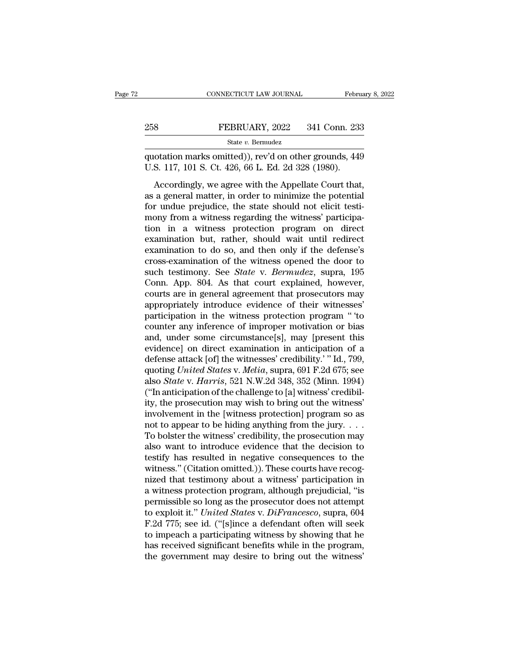## EXECUTE CONNECTICUT LAW JOURNAL February 8, 2022<br>258 FEBRUARY, 2022 341 Conn. 233<br>258 State v. Bermudez State *v.* Bermudez CONNECTICUT LAW JOURNAL February 8, 2022<br>
PEBRUARY, 2022 341 Conn. 233<br>
State v. Bermudez<br>
quotation marks omitted)), rev'd on other grounds, 449<br>
U.S. 117, 101 S. Ct. 426, 66 L. Ed. 2d 328 (1980). EEBRUARY, 2022 341 Conn. 23:<br>
State v. Bermudez<br>
quotation marks omitted)), rev'd on other grounds, 44;<br>
U.S. 117, 101 S. Ct. 426, 66 L. Ed. 2d 328 (1980).<br>
Accordingly, we agree with the Appellate Court that

FEBRUARY, 2022 341 Conn. 233<br>
State v. Bermudez<br>
otation marks omitted)), rev'd on other grounds, 449<br>
S. 117, 101 S. Ct. 426, 66 L. Ed. 2d 328 (1980).<br>
Accordingly, we agree with the Appellate Court that,<br>
a general matt 258 FEBRUARY, 2022 341 Conn. 233<br>
State v. Bernudez<br>
quotation marks omitted)), rev'd on other grounds, 449<br>
U.S. 117, 101 S. Ct. 426, 66 L. Ed. 2d 328 (1980).<br>
Accordingly, we agree with the Appellate Court that,<br>
as a g State v. Bermudez<br>quotation marks omitted)), rev'd on other grounds, 449<br>U.S. 117, 101 S. Ct. 426, 66 L. Ed. 2d 328 (1980).<br>Accordingly, we agree with the Appellate Court that,<br>as a general matter, in order to minimize th quotation marks omitted)), rev'd on other grounds, 449<br>U.S. 117, 101 S. Ct. 426, 66 L. Ed. 2d 328 (1980).<br>Accordingly, we agree with the Appellate Court that,<br>as a general matter, in order to minimize the potential<br>for und U.S. 117, 101 S. Ct. 426, 66 L. Ed. 2d 328 (1980).<br>Accordingly, we agree with the Appellate Court that,<br>as a general matter, in order to minimize the potential<br>for undue prejudice, the state should not elicit testi-<br>mony examination but, rather, should wait until redirect examination to do so, and then only if the defense's areas examination but, rather, should wait until redirect examination to do so, and then only if the defense's areas Accordingly, we agree with the Appellate Court that,<br>as a general matter, in order to minimize the potential<br>for undue prejudice, the state should not elicit testi-<br>mony from a witness regarding the witness' participa-<br>ti as a general matter, in order to minimize the potential<br>for undue prejudice, the state should not elicit testi-<br>mony from a witness regarding the witness' participa-<br>tion in a witness protection program on direct<br>examinati for undue prejudice, the state should not elicit testi-<br>mony from a witness regarding the witness' participa-<br>tion in a witness protection program on direct<br>examination but, rather, should wait until redirect<br>examination t mony from a witness regarding the witness' participation in a witness protection program on direct examination but, rather, should wait until redirect examination to do so, and then only if the defense's cross-examination tion in a witness protection program on direct<br>examination but, rather, should wait until redirect<br>examination to do so, and then only if the defense's<br>cross-examination of the witness opened the door to<br>such testimony. Se examination but, rather, should wait until redirect<br>examination to do so, and then only if the defense's<br>cross-examination of the witness opened the door to<br>such testimony. See *State* v. *Bermudez*, supra, 195<br>Conn. App. examination to do so, and then only if the defense's<br>cross-examination of the witness opened the door to<br>such testimony. See *State* v. *Bermudez*, supra, 195<br>Conn. App. 804. As that court explained, however,<br>courts are in cross-examination of the witness opened the door to<br>such testimony. See *State* v. *Bermudez*, supra, 195<br>Conn. App. 804. As that court explained, however,<br>courts are in general agreement that prosecutors may<br>appropriately such testimony. See *State* v. *Bermudez*, supra, 195<br>Conn. App. 804. As that court explained, however,<br>courts are in general agreement that prosecutors may<br>appropriately introduce evidence of their witnesses<br>participatio Conn. App. 804. As that court explained, however,<br>courts are in general agreement that prosecutors may<br>appropriately introduce evidence of their witnesses'<br>participation in the witness protection program "to<br>counter any i courts are in general agreement that prosecutors may<br>appropriately introduce evidence of their witnesses'<br>participation in the witness protection program "to<br>counter any inference of improper motivation or bias<br>and, under appropriately introduce evidence of their witnesses'<br>participation in the witness protection program " to<br>counter any inference of improper motivation or bias<br>and, under some circumstance[s], may [present this<br>evidence] on participation in the witness protection program "to<br>counter any inference of improper motivation or bias<br>and, under some circumstance[s], may [present this<br>evidence] on direct examination in anticipation of a<br>defense attac counter any inference of improper motivation or bias<br>and, under some circumstance[s], may [present this<br>evidence] on direct examination in anticipation of a<br>defense attack [of] the witnesses' credibility.' "Id., 799,<br>quoti and, under some circumstance[s], may [present this<br>evidence] on direct examination in anticipation of a<br>defense attack [of] the witnesses' credibility.' "Id., 799,<br>quoting *United States v. Melia*, supra, 691 F.2d 675; see evidence] on direct examination in anticipation of a<br>defense attack [of] the witnesses' credibility.' " Id., 799,<br>quoting *United States v. Melia*, supra, 691 F.2d 675; see<br>also *State v. Harris*, 521 N.W.2d 348, 352 (Min defense attack [of] the witnesses' credibility.' " Id., 799,<br>quoting *United States v. Melia*, supra, 691 F.2d 675; see<br>also *State v. Harris*, 521 N.W.2d 348, 352 (Minn. 1994)<br>("In anticipation of the challenge to [a] wi quoting United States v. Melia, supra, 691 F.2d 675; see<br>also *State* v. Harris, 521 N.W.2d 348, 352 (Minn. 1994)<br>("In anticipation of the challenge to [a] witness' credibil-<br>ity, the prosecution may wish to bring out the also *State* v. *Harris*, 521 N.W.2d 348, 352 (Minn. 1994)<br>("In anticipation of the challenge to [a] witness' credibil-<br>ity, the prosecution may wish to bring out the witness'<br>involvement in the [witness protection] progr ("In anticipation of the challenge to [a] witness' credibility, the prosecution may wish to bring out the witness'<br>involvement in the [witness protection] program so as<br>not to appear to be hiding anything from the jury. . ity, the prosecution may wish to bring out the witness'<br>involvement in the [witness protection] program so as<br>not to appear to be hiding anything from the jury.  $\dots$ <br>To bolster the witness' credibility, the prosecution ma involvement in the [witness protection] program so as<br>not to appear to be hiding anything from the jury. . . .<br>To bolster the witness' credibility, the prosecution may<br>also want to introduce evidence that the decision to<br> not to appear to be hiding anything from the jury. . . .<br>To bolster the witness' credibility, the prosecution may<br>also want to introduce evidence that the decision to<br>testify has resulted in negative consequences to the<br>w To bolster the witness' credibility, the prosecution may<br>also want to introduce evidence that the decision to<br>testify has resulted in negative consequences to the<br>witness." (Citation omitted.)). These courts have recog-<br>n also want to introduce evidence that the decision to<br>testify has resulted in negative consequences to the<br>witness." (Citation omitted.)). These courts have recog-<br>nized that testimony about a witness' participation in<br>a wi testify has resulted in negative consequences to the<br>witness." (Citation omitted.)). These courts have recog-<br>nized that testimony about a witness' participation in<br>a witness protection program, although prejudicial, "is<br>p witness." (Citation omitted.)). These courts have recognized that testimony about a witness' participation in<br>a witness protection program, although prejudicial, "is<br>permissible so long as the prosecutor does not attempt<br>t nized that testimony about a witness' participation in<br>a witness protection program, although prejudicial, "is<br>permissible so long as the prosecutor does not attempt<br>to exploit it." United States v. DiFrancesco, supra, 604 a witness protection program, although prejudicial, "is<br>permissible so long as the prosecutor does not attempt<br>to exploit it." *United States* v. *DiFrancesco*, supra, 604<br>F.2d 775; see id. ("[s]ince a defendant often will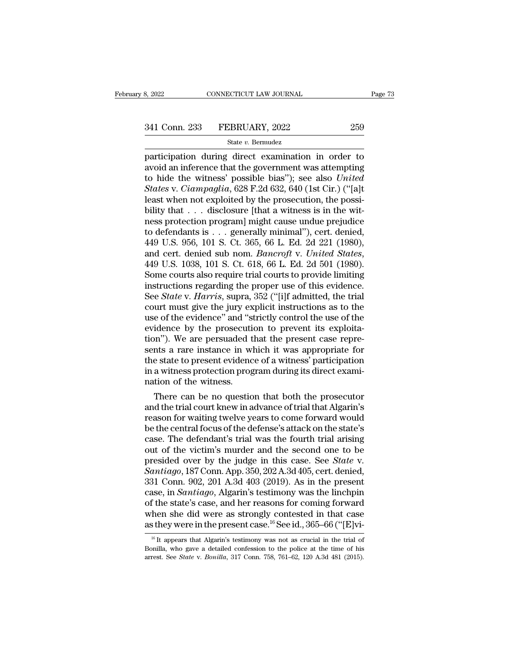$\begin{array}{ll}\n & \text{COMRECTICUT LAW JOURNAL} & \text{Page 73}\n \hline\n 341 \text{ Conn. } 233 & \text{FEBRUARY, } 2022 & 259\n \hline\n & \text{State } v. \text{ Bernudez}\n \hline\n \text{participation during direct examination in order to avoid an inference that the government was attempting to hide the witness' possible, his'': so, also *United*\n\end{array}$ 341 Conn. 233 FEBRUARY, 2022 259<br>
State v. Bermudez<br>
participation during direct examination in order to<br>
avoid an inference that the government was attempting<br>
to hide the witness' possible bias''); see also United<br>
Stat 341 Conn. 233 FEBRUARY, 2022 259<br>
State v. Bernudez<br>
participation during direct examination in order to<br>
avoid an inference that the government was attempting<br>
to hide the witness' possible bias''); see also *United*<br> *St State v. Bermudez*<br> *State v. Bermudez*<br> *State v. Bermudez*<br> *Ciampaglia Circle examination in order to*<br> *Ciampaglia*, 628 F.2d 632, 640 (1st Cir.) ("[a]t<br> *Ciampaglia*, 628 F.2d 632, 640 (1st Cir.) ("[a]t<br> *Ciampagli* Since of the processes in the positive of the processes participation during direct examination in order to avoid an inference that the government was attempting to hide the witness' possible bias"); see also *United* Sta State v. Bermudez<br>
participation during direct examination in order to<br>
avoid an inference that the government was attempting<br>
to hide the witness' possible bias"); see also *United*<br> *States* v. *Ciampaglia*, 628 F.2d 63 participation during direct examination in order to<br>avoid an inference that the government was attempting<br>to hide the witness' possible bias"); see also *United*<br>States v. Ciampaglia, 628 F.2d 632, 640 (1st Cir.) ("[a]t<br>l avoid an inference that the government was attempting<br>to hide the witness' possible bias"); see also *United*<br>States v. *Ciampaglia*, 628 F.2d 632, 640 (1st Cir.) ("[a]t<br>least when not exploited by the prosecution, the po to hide the witness' possible bias"); see also *United*<br>States v. Ciampaglia, 628 F.2d 632, 640 (1st Cir.) ("[a]t<br>least when not exploited by the prosecution, the possi-<br>bility that . . . disclosure [that a witness is in States v. *Ciampaglia*, 628 F.2d 632, 640 (1st Cir.) ("[a]t<br>least when not exploited by the prosecution, the possi-<br>bility that . . . disclosure [that a witness is in the wit-<br>ness protection program] might cause undue pre bility that . . . disclosure [that a witness is in the witness protection program] might cause undue prejudice<br>to defendants is . . . generally minimal"), cert. denied,<br> $449$  U.S. 956, 101 S. Ct. 365, 66 L. Ed. 2d 221 (19 ness protection program] might cause undue prejudice<br>to defendants is . . . generally minimal"), cert. denied,<br>449 U.S. 956, 101 S. Ct. 365, 66 L. Ed. 2d 221 (1980),<br>and cert. denied sub nom. *Bancroft v. United States*,<br> to defendants is . . . generally minimal"), cert. denied,<br>449 U.S. 956, 101 S. Ct. 365, 66 L. Ed. 2d 221 (1980),<br>and cert. denied sub nom. *Bancroft v. United States*,<br>449 U.S. 1038, 101 S. Ct. 618, 66 L. Ed. 2d 501 (1980) 449 U.S. 956, 101 S. Ct. 365, 66 L. Ed. 2d 221 (1980),<br>and cert. denied sub nom. *Bancroft v. United States*,<br>449 U.S. 1038, 101 S. Ct. 618, 66 L. Ed. 2d 501 (1980).<br>Some courts also require trial courts to provide limiti and cert. denied sub nom. *Bancroft v. United States*,<br>449 U.S. 1038, 101 S. Ct. 618, 66 L. Ed. 2d 501 (1980).<br>Some courts also require trial courts to provide limiting<br>instructions regarding the proper use of this evidenc 449 U.S. 1038, 101 S. Ct. 618, 66 L. Ed. 2d 501 (1980).<br>Some courts also require trial courts to provide limiting<br>instructions regarding the proper use of this evidence.<br>See *State* v. *Harris*, supra, 352 ("[i]f admitted Some courts also require trial courts to provide limiting<br>instructions regarding the proper use of this evidence.<br>See *State* v. *Harris*, supra, 352 ("[i]f admitted, the trial<br>court must give the jury explicit instruction instructions regarding the proper use of this evidence.<br>See *State* v. *Harris*, supra, 352 ("[i]f admitted, the trial<br>court must give the jury explicit instructions as to the<br>use of the evidence" and "strictly control th See *State* v. *Harris*, supra, 352 ("[i]f admitted, the trial court must give the jury explicit instructions as to the use of the evidence" and "strictly control the use of the evidence by the prosecution to prevent its e court must give the jury explicit instructions as to the use of the evidence" and "strictly control the use of the evidence by the prosecution to prevent its exploitation"). We are persuaded that the present case represent use of the evidence" and "s<br>evidence by the prosecuti<br>tion"). We are persuaded t<br>sents a rare instance in w!<br>the state to present evidenc<br>in a witness protection prog<br>nation of the witness.<br>There can be no questio nation of the prosecution to prevent its exploita-<br>in"). We are persuaded that the present case repre-<br>ints a rare instance in which it was appropriate for<br>e state to present evidence of a witness' participation<br>a witness tion"). We are persuaded that the present case represents a rare instance in which it was appropriate for<br>the state to present evidence of a witness' participation<br>in a witness protection program during its direct exami-<br>n

sents a rare instance in which it was appropriate for<br>the state to present evidence of a witness' participation<br>in a witness protection program during its direct exami-<br>nation of the witness.<br>There can be no question that the state to present evidence of a witness' participation<br>in a witness protection program during its direct exami-<br>nation of the witness.<br>There can be no question that both the prosecutor<br>and the trial court knew in advanc in a witness protection program during its direct exami-<br>nation of the witness.<br>There can be no question that both the prosecutor<br>and the trial court knew in advance of trial that Algarin's<br>reason for waiting twelve years mation of the witness.<br>
There can be no question that both the prosecutor<br>
and the trial court knew in advance of trial that Algarin's<br>
reason for waiting twelve years to come forward would<br>
be the central focus of the de There can be no question that both the prosecutor<br>and the trial court knew in advance of trial that Algarin's<br>reason for waiting twelve years to come forward would<br>be the central focus of the defense's attack on the state' and the trial court knew in advance of trial that Algarin's<br>reason for waiting twelve years to come forward would<br>be the central focus of the defense's attack on the state's<br>case. The defendant's trial was the fourth trial reason for waiting twelve years to come forward would<br>be the central focus of the defense's attack on the state's<br>case. The defendant's trial was the fourth trial arising<br>out of the victim's murder and the second one to be be the central focus of the defense's attack on the state's<br>case. The defendant's trial was the fourth trial arising<br>out of the victim's murder and the second one to be<br>presided over by the judge in this case. See *State* case. The defendant's trial was the fourth trial arising<br>out of the victim's murder and the second one to be<br>presided over by the judge in this case. See *State* v.<br>*Santiago*, 187 Conn. App. 350, 202 A.3d 405, cert. deni out of the victim's murder and the second one to be<br>presided over by the judge in this case. See *State* v.<br>*Santiago*, 187 Conn. App. 350, 202 A.3d 405, cert. denied,<br>331 Conn. 902, 201 A.3d 403 (2019). As in the present<br> presided over by the judge in this case. See *State* v.<br> *Santiago*, 187 Conn. App. 350, 202 A.3d 405, cert. denied,<br>
331 Conn. 902, 201 A.3d 403 (2019). As in the present<br>
case, in *Santiago*, Algarin's testimony was the ase, in *Santiago*, Algarin's testimony was the linchpin<br>f the state's case, and her reasons for coming forward<br>hen she did were as strongly contested in that case<br>sthey were in the present case.<sup>16</sup> See id., 365–66 ("[E] of the state's case, and her reasons for coming forward<br>when she did were as strongly contested in that case<br>as they were in the present case.<sup>16</sup> See id., 365–66 ("[E]vi-<br><sup>16</sup> It appears that Algarin's testimony was not when she did were as strongly contested in that case<br>as they were in the present case.<sup>16</sup> See id., 365–66 ("[E]vi-<br><sup>16</sup> It appears that Algarin's testimony was not as crucial in the trial of<br>Bonilla, who gave a detailed c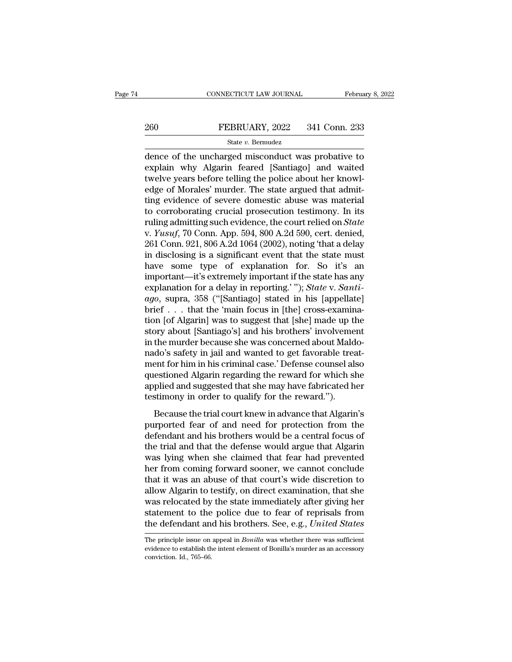# EXECUTE CONNECTICUT LAW JOURNAL February 8, 2022<br>260 FEBRUARY, 2022 341 Conn. 233<br>341 Conn. 233

## State *v.* Bermudez

CONNECTICUT LAW JOURNAL February 8, 2022<br>
260 FEBRUARY, 2022 341 Conn. 233<br>
341 Conn. 233<br>
341 Conn. 233<br>
341 Conn. 233<br>
341 Conn. 233<br>
341 Conn. 233<br>
341 Conn. 233<br>
341 Conn. 233<br>
341 Conn. 233<br>
341 Conn. 233<br>
341 Conn. 2 EXPRIDARY, 2022 341 Conn. 233<br>
State v. Bernudez<br>
dence of the uncharged misconduct was probative to<br>
explain why Algarin feared [Santiago] and waited<br>
twelve years before telling the police about her knowl-<br>
adge of Morel  $\begin{array}{lll}\n & \text{FEBRUARY, 2022} & \text{341 Conn. 233} \\
 & \text{State } v. \text{ Bernudez} \\
 \hline\n & \text{done of the uncharged misconduct was probability to explain why Algarin feared [Santiago] and waited twelve years before telling the police about her knowledge of Morales' murder. The state argued that admitting evidence of source domestic above was material.\n$ EXERUARY, 2022 341 Conn. 233<br>
State v. Bermudez<br>
dence of the uncharged misconduct was probative to<br>
explain why Algarin feared [Santiago] and waited<br>
twelve years before telling the police about her knowl-<br>
edge of Moral State v. Bermudez<br>
dence of the uncharged misconduct was probative to<br>
explain why Algarin feared [Santiago] and waited<br>
twelve years before telling the police about her knowl-<br>
edge of Morales' murder. The state argued t state v. Bernudez<br>dence of the uncharged misconduct was probative to<br>explain why Algarin feared [Santiago] and waited<br>twelve years before telling the police about her knowl-<br>edge of Morales' murder. The state argued that dence of the uncharged misconduct was probative to<br>explain why Algarin feared [Santiago] and waited<br>twelve years before telling the police about her knowl-<br>edge of Morales' murder. The state argued that admit-<br>ting evidenc explain why Algarin feared [Santiago] and waited<br>twelve years before telling the police about her knowl-<br>edge of Morales' murder. The state argued that admit-<br>ting evidence of severe domestic abuse was material<br>to corrobor twelve years before telling the police about her knowledge of Morales' murder. The state argued that admitting evidence of severe domestic abuse was material to corroborating crucial prosecution testimony. In its ruling ad edge of Morales' murder. The state argued that admitting evidence of severe domestic abuse was material<br>to corroborating crucial prosecution testimony. In its<br>ruling admitting such evidence, the court relied on *State*<br>v. ting evidence of severe domestic abuse was material<br>to corroborating crucial prosecution testimony. In its<br>ruling admitting such evidence, the court relied on *State*<br>v. *Yusuf*, 70 Conn. App. 594, 800 A.2d 590, cert. deni to corroborating crucial prosecution testimony. In its<br>ruling admitting such evidence, the court relied on *State*<br>v. *Yusuf*, 70 Conn. App. 594, 800 A.2d 590, cert. denied,<br>261 Conn. 921, 806 A.2d 1064 (2002), noting 'th ruling admitting such evidence, the court relied on *State* v. *Yusuf*, 70 Conn. App. 594, 800 A.2d 590, cert. denied, 261 Conn. 921, 806 A.2d 1064 (2002), noting 'that a delay in disclosing is a significant event that the *v. Yusuf, 70 Conn. App. 594, 800 A.2d 590, cert. denied,*<br>261 Conn. 921, 806 A.2d 1064 (2002), noting 'that a delay<br>in disclosing is a significant event that the state must<br>have some type of explanation for. So it's an<br>im 261 Conn. 921, 806 A.2d 1064 (2002), noting 'that a delay<br>in disclosing is a significant event that the state must<br>have some type of explanation for. So it's an<br>important—it's extremely important if the state has any<br>expl in disclosing is a significant event that the state must<br>have some type of explanation for. So it's an<br>important—it's extremely important if the state has any<br>explanation for a delay in reporting.'"); *State* v. *Santi-*<br> have some type of explanation for. So it's an<br>important—it's extremely important if the state has any<br>explanation for a delay in reporting.'"); *State* v. *Santi-*<br>ago, supra, 358 ("[Santiago] stated in his [appellate]<br>bri important—it's extremely important if the state has any<br>explanation for a delay in reporting.' "); *State* v. *Santi-*<br>ago, supra, 358 ("[Santiago] stated in his [appellate]<br>brief . . . that the 'main focus in [the] crossexplanation for a delay in reporting.'"); *State* v. *Santi-*<br>ago, supra, 358 ("[Santiago] stated in his [appellate]<br>brief . . . that the 'main focus in [the] cross-examina-<br>tion [of Algarin] was to suggest that [she] mad ago, supra, 358 ("[Santiago] stated in his [appellate]<br>brief . . . that the 'main focus in [the] cross-examina-<br>tion [of Algarin] was to suggest that [she] made up the<br>story about [Santiago's] and his brothers' involvement brief . . . that the 'main focus in [the] cross-examination [of Algarin] was to suggest that [she] made up the story about [Santiago's] and his brothers' involvement in the murder because she was concerned about Maldonado' tion [of Algarin] was to suggest that [she] made up the<br>story about [Santiago's] and his brothers' involvement<br>in the murder because she was concerned about Maldo-<br>nado's safety in jail and wanted to get favorable treat-<br>m story about [Santiago's] and his brothers' involveme<br>in the murder because she was concerned about Mald<br>nado's safety in jail and wanted to get favorable trea<br>ment for him in his criminal case.' Defense counsel al:<br>questio are marter secause she was concerned associated individual do's safety in jail and wanted to get favorable treatent for him in his criminal case.' Defense counsel also estioned Algarin regarding the reward for which she pl ment for him in his criminal case.' Defense counsel also<br>questioned Algarin regarding the reward for which she<br>applied and suggested that she may have fabricated her<br>testimony in order to qualify for the reward.'').<br>Becaus

ment for finit in the critical case. Betende counser also<br>questioned Algarin regarding the reward for which she<br>applied and suggested that she may have fabricated her<br>testimony in order to qualify for the reward.").<br>Becaus questioned rigarin regarding the reward for which she<br>applied and suggested that she may have fabricated her<br>testimony in order to qualify for the reward.").<br>Because the trial court knew in advance that Algarin's<br>purported dependent and suggested and she may have nastroaded her<br>testimony in order to qualify for the reward.").<br>Because the trial court knew in advance that Algarin's<br>purported fear of and need for protection from the<br>defendant a Because the trial court knew in advance that Algarin's<br>purported fear of and need for protection from the<br>defendant and his brothers would be a central focus of<br>the trial and that the defense would argue that Algarin<br>was l Because the trial court knew in advance that Algarin's<br>purported fear of and need for protection from the<br>defendant and his brothers would be a central focus of<br>the trial and that the defense would argue that Algarin<br>was l purported fear of and need for protection from the<br>defendant and his brothers would be a central focus of<br>the trial and that the defense would argue that Algarin<br>was lying when she claimed that fear had prevented<br>her from defendant and his brothers would be a central focus of<br>the trial and that the defense would argue that Algarin<br>was lying when she claimed that fear had prevented<br>her from coming forward sooner, we cannot conclude<br>that it w the trial and that the defense would argue that Algarin<br>was lying when she claimed that fear had prevented<br>her from coming forward sooner, we cannot conclude<br>that it was an abuse of that court's wide discretion to<br>allow Al was lying when she claimed that fear had prevented<br>her from coming forward sooner, we cannot conclude<br>that it was an abuse of that court's wide discretion to<br>allow Algarin to testify, on direct examination, that she<br>was re allow Algarin to testify, on direct examination, that she<br>was relocated by the state immediately after giving her<br>statement to the police due to fear of reprisals from<br>the defendant and his brothers. See, e.g., *United Sta* was relocated by the state immediately after giving her<br>statement to the police due to fear of reprisals from<br>the defendant and his brothers. See, e.g., *United States*<br>The principle issue on appeal in *Bonilla* was whethe

statement to the<br>the defendant an<br>The principle issue on<br>evidence to establish th<br>conviction. Id., 765–66.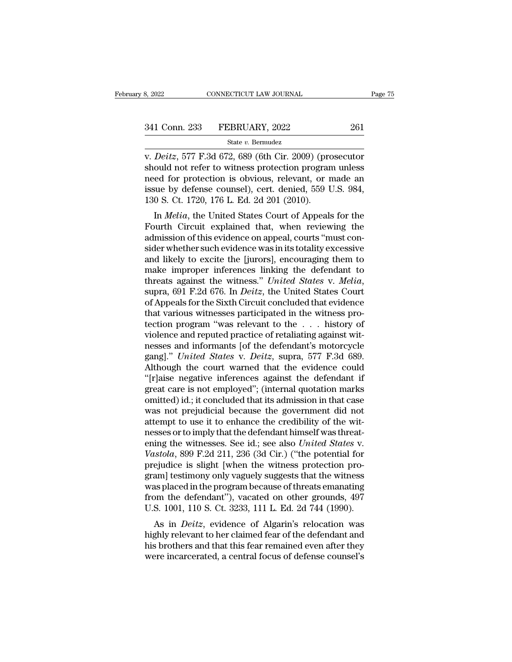v. *Deitz*, 577 F.3d 672, 689 (6th Cir. 2009) (prosecutor<br>
should not refer to witness protection program unless<br>
and for protection is obvious relevant or made and the protection is obvious relevant or made and the protec 341 Conn. 233 FEBRUARY, 2022 261<br>
State v. Bernudez<br>
v. *Deitz*, 577 F.3d 672, 689 (6th Cir. 2009) (prosecutor<br>
should not refer to witness protection program unless<br>
need for protection is obvious, relevant, or made an<br> 341 Conn. 233 FEBRUARY, 2022 261<br>
State v. Bernudez<br>
v. Deitz, 577 F.3d 672, 689 (6th Cir. 2009) (prosecutor<br>
should not refer to witness protection program unless<br>
need for protection is obvious, relevant, or made an<br>
is 341 Conn. 233 FEBRUARY, 2022 261<br>
State v. Bernudez<br>
v. Deitz, 577 F.3d 672, 689 (6th Cir. 2009) (prosecutor<br>
should not refer to witness protection program unless<br>
need for protection is obvious, relevant, or made an<br>
is State v. Bermudez<br>
v. Deitz, 577 F.3d 672, 689 (6th Cir. 2009) (pro<br>
should not refer to witness protection program<br>
need for protection is obvious, relevant, or r<br>
issue by defense counsel), cert. denied, 559 U<br>
130 S. Ct Deitz, 577 F.3d 672, 689 (6th Cir. 2009) (prosecutor<br>ould not refer to witness protection program unless<br>ed for protection is obvious, relevant, or made an<br>sue by defense counsel), cert. denied, 559 U.S. 984,<br>0 S. Ct. 1720 Fourth Circuit explained that, when reviewing the admission of this evidence was in the discussion of this evidence of the Fourth Circuit explained that, when reviewing the admission of this evidence on appeal, courts "mu

should not refer to whitess protection program uness<br>need for protection is obvious, relevant, or made an<br>issue by defense counsel), cert. denied, 559 U.S. 984,<br>130 S. Ct. 1720, 176 L. Ed. 2d 201 (2010).<br>In *Melia*, the Un reed for protection is obvious, refevant, or made an issue by defense counsel), cert. denied, 559 U.S. 984, 130 S. Ct. 1720, 176 L. Ed. 2d 201 (2010).<br>In *Melia*, the United States Court of Appeals for the Fourth Circuit e and S. Ct. 1720, 176 L. Ed. 2d 201 (2010).<br>
In *Melia*, the United States Court of Appeals for the<br>
Fourth Circuit explained that, when reviewing the<br>
admission of this evidence on appeal, courts "must con-<br>
sider whether Iso S. Ct. 1720, 170 L. Ed. 2d 201 (2010).<br>
In *Melia*, the United States Court of Appeals for the<br>
Fourth Circuit explained that, when reviewing the<br>
admission of this evidence on appeal, courts "must con-<br>
sider whether In *Melia*, the United States Court of Appeals for the<br>Fourth Circuit explained that, when reviewing the<br>admission of this evidence on appeal, courts "must con-<br>sider whether such evidence was in its totality excessive<br>and admission of this evidence on appeal, courts "must consider whether such evidence was in its totality excessive<br>and likely to excite the [jurors], encouraging them to<br>make improper inferences linking the defendant to<br>threa sider whether such evidence was in its totality excessive<br>and likely to excite the [jurors], encouraging them to<br>make improper inferences linking the defendant to<br>threats against the witness." *United States v. Melia*,<br>su and likely to excite the [jurors], encouraging them to<br>make improper inferences linking the defendant to<br>threats against the witness." *United States v. Melia*,<br>supra, 691 F.2d 676. In *Deitz*, the United States Court<br>of A make improper inferences linking the defendant to<br>threats against the witness." *United States v. Melia*,<br>supra, 691 F.2d 676. In *Deitz*, the United States Court<br>of Appeals for the Sixth Circuit concluded that evidence<br>t threats against the witness." *United States v. Melia*, supra, 691 F.2d 676. In *Deitz*, the United States Court of Appeals for the Sixth Circuit concluded that evidence that various witnesses participated in the witness p supra, 691 F.2d 676. In *Deitz*, the United States Court<br>of Appeals for the Sixth Circuit concluded that evidence<br>that various witnesses participated in the witness pro-<br>tection program "was relevant to the . . . history o of Appeals for the Sixth Circuit concluded that evidence<br>that various witnesses participated in the witness pro-<br>tection program "was relevant to the  $\dots$  history of<br>violence and reputed practice of retaliating against wi that various witnesses participated in the witness protection program "was relevant to the  $\ldots$  history of violence and reputed practice of retaliating against witnesses and informants [of the defendant's motorcycle gang tection program "was relevant to the . . . history of<br>violence and reputed practice of retaliating against wit-<br>nesses and informants [of the defendant's motorcycle<br>gang]." *United States* v. *Deitz*, supra, 577 F.3d 689.<br> violence and reputed practice of retaliating against witnesses and informants [of the defendant's motorcycle gang]." *United States v. Deitz*, supra, 577 F.3d 689.<br>Although the court warned that the evidence could "[r]aise nesses and informants [of the defendant's motorcycle gang]." *United States v. Deitz*, supra, 577 F.3d 689.<br>Although the court warned that the evidence could "[r]aise negative inferences against the defendant if great care gang]." *United States v. Deitz*, supra, 577 F.3d 689.<br>Although the court warned that the evidence could "[r]aise negative inferences against the defendant if great care is not employed"; (internal quotation marks omitted Although the court warned that the evidence could<br>"[r]aise negative inferences against the defendant if<br>great care is not employed"; (internal quotation marks<br>omitted) id.; it concluded that its admission in that case<br>was "[r]aise negative inferences against the defendant if great care is not employed"; (internal quotation marks omitted) id.; it concluded that its admission in that case was not prejudicial because the government did not att great care is not employed"; (internal quotation marks<br>omitted) id.; it concluded that its admission in that case<br>was not prejudicial because the government did not<br>attempt to use it to enhance the credibility of the wit-<br> omitted) id.; it concluded that its admission in that case<br>was not prejudicial because the government did not<br>attempt to use it to enhance the credibility of the wit-<br>nesses or to imply that the defendant himself was threa was not prejudicial because the government did not<br>attempt to use it to enhance the credibility of the wit-<br>nesses or to imply that the defendant himself was threat-<br>ening the witnesses. See id.; see also *United States* v attempt to use it to enhance the credibility of the wit-<br>nesses or to imply that the defendant himself was threat-<br>ening the witnesses. See id.; see also *United States v.*<br>Vastola, 899 F.2d 211, 236 (3d Cir.) ("the potent nesses or to imply that the defendant himself was threatening the witnesses. See id.; see also *United States v.*<br>Vastola, 899 F.2d 211, 236 (3d Cir.) ("the potential for prejudice is slight [when the witness protection pr ening the witnesses. See id.; see also *United States* v.<br>Vastola, 899 F.2d 211, 236 (3d Cir.) ("the potential for<br>prejudice is slight [when the witness protection pro-<br>gram] testimony only vaguely suggests that the witnes Bood, 899 F.2d 211, 250 (3d Cff.) (The potential for<br>ejudice is slight [when the witness protection pro-<br>am] testimony only vaguely suggests that the witness<br>as placed in the program because of threats emanating<br>pm the def prejudice is slight [when the whitess protection pro-<br>gram] testimony only vaguely suggests that the witness<br>was placed in the program because of threats emanating<br>from the defendant"), vacated on other grounds, 497<br>U.S. 1

grant) testimoly only vaguely suggests that the whitess<br>was placed in the program because of threats emanating<br>from the defendant"), vacated on other grounds, 497<br>U.S. 1001, 110 S. Ct. 3233, 111 L. Ed. 2d 744 (1990).<br>As in was placed in the program because of threats emanating<br>from the defendant"), vacated on other grounds, 497<br>U.S. 1001, 110 S. Ct. 3233, 111 L. Ed. 2d 744 (1990).<br>As in *Deitz*, evidence of Algarin's relocation was<br>highly re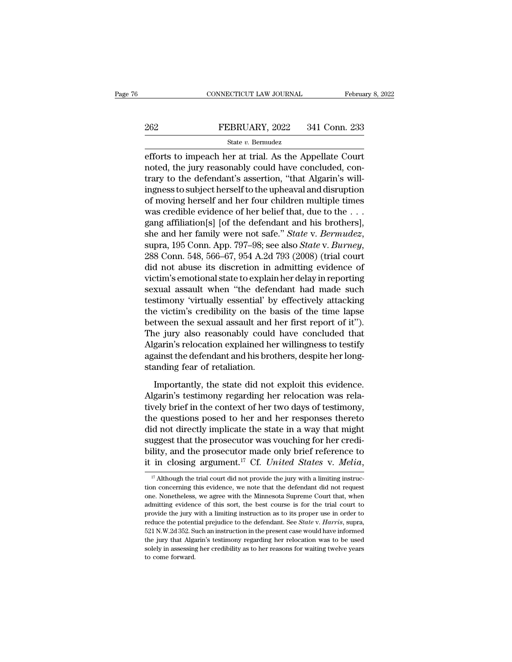# EXECUTE CONNECTICUT LAW JOURNAL February 8, 2022<br>262 FEBRUARY, 2022 341 Conn. 233<br>341 Conn. 233

## State *v.* Bermudez

EERUARY, 2022 341 Conn. 233<br>
EEBRUARY, 2022 341 Conn. 233<br>
State v. Bernudez<br>
Efforts to impeach her at trial. As the Appellate Court<br>
noted, the jury reasonably could have concluded, con-262 FEBRUARY, 2022 341 Conn. 233<br>  $\frac{\text{State } v. \text{ Bernudez}}{\text{After to impact her at trial. As the Appellate Court} \nnoted, the jury reasonably could have concluded, contrary to the defendant's assertion, "that Algarin's willingness to subject be a global distribution.}$  $\begin{array}{lll}\n & \text{FEBRUARY, 2022} & \text{341 Conn. 233}\n \hline\n & \text{State } v. \text{ Bernudez}\n \end{array}$   $\begin{array}{lll}\n & \text{state } v. \text{ Bernudez}\n \end{array}\n \begin{array}{lll}\n & \text{effective time} & \text{total time} \\
 & \text{first time} & \text{current time} \\
 & \text{first time} & \text{first time} \\
 \end{array}$ FEBRUARY, 2022 341 Conn. 233<br>
state v. Bernudez<br>
efforts to impeach her at trial. As the Appellate Court<br>
noted, the jury reasonably could have concluded, con-<br>
trary to the defendant's assertion, "that Algarin's will-<br>
i State v. Bernudez<br>
efforts to impeach her at trial. As the Appellate Court<br>
noted, the jury reasonably could have concluded, con-<br>
trary to the defendant's assertion, "that Algarin's will-<br>
ingness to subject herself to t state  $v$ . Bernudez<br>
efforts to impeach her at trial. As the Appellate Court<br>
noted, the jury reasonably could have concluded, con-<br>
trary to the defendant's assertion, "that Algarin's will-<br>
ingness to subject herself to efforts to impeach her at trial. As the Appellate Court<br>noted, the jury reasonably could have concluded, con-<br>trary to the defendant's assertion, "that Algarin's will-<br>ingness to subject herself to the upheaval and disrup noted, the jury reasonably could have concluded, contrary to the defendant's assertion, "that Algarin's will-<br>ingness to subject herself to the upheaval and disruption<br>of moving herself and her four children multiple times of moving herself and her four children multiple times<br>was credible evidence of her belief that, due to the . . .<br>gang affiliation[s] [of the defendant and his brothers],<br>she and her family were not safe." *State* v. *Berm* was credible evidence of her belief that, due to the . . .<br>gang affiliation[s] [of the defendant and his brothers],<br>she and her family were not safe." *State* v. *Bermudez*,<br>supra, 195 Conn. App. 797–98; see also *State* gang affiliation[s] [of the defendant and his brothers],<br>she and her family were not safe." *State* v. *Bermudez*,<br>supra, 195 Conn. App. 797–98; see also *State* v. *Burney*,<br>288 Conn. 548, 566–67, 954 A.2d 793 (2008) (tri she and her family were not safe." *State v. Bermudez*,<br>supra, 195 Conn. App. 797–98; see also *State v. Burney*,<br>288 Conn. 548, 566–67, 954 A.2d 793 (2008) (trial court<br>did not abuse its discretion in admitting evidence o supra, 195 Conn. App. 797–98; see also *State* v. *Burney*,<br>288 Conn. 548, 566–67, 954 A.2d 793 (2008) (trial court<br>did not abuse its discretion in admitting evidence of<br>victim's emotional state to explain her delay in rep 288 Conn. 548, 566–67, 954 A.2d 793 (2008) (trial court<br>did not abuse its discretion in admitting evidence of<br>victim's emotional state to explain her delay in reporting<br>sexual assault when "the defendant had made such<br>test did not abuse its discretion in admitting evidence of<br>victim's emotional state to explain her delay in reporting<br>sexual assault when "the defendant had made such<br>testimony 'virtually essential' by effectively attacking<br>the victim's emotional state to explain her delay in reporting<br>sexual assault when "the defendant had made such<br>testimony 'virtually essential' by effectively attacking<br>the victim's credibility on the basis of the time lapse<br>b sexual assault when "the defendant had made such testimony 'virtually essential' by effectively attacking the victim's credibility on the basis of the time lapse between the sexual assault and her first report of it"). The testimony 'virtually essential' by<br>the victim's credibility on the back<br>between the sexual assault and l<br>The jury also reasonably could<br>Algarin's relocation explained he<br>against the defendant and his brot<br>standing fear of tween the sexual assault and her first report of it").<br>The jury also reasonably could have concluded that<br>garin's relocation explained her willingness to testify<br>ainst the defendant and his brothers, despite her long-<br>andi The jury also reasonably could have concluded that<br>Algarin's relocation explained her willingness to testify<br>against the defendant and his brothers, despite her long-<br>standing fear of retaliation.<br>Importantly, the state di

Algarin's relocation explained her willingness to testify<br>against the defendant and his brothers, despite her long-<br>standing fear of retaliation.<br>Importantly, the state did not exploit this evidence.<br>Algarin's testimony re against the defendant and his brothers, despite her long-<br>standing fear of retaliation.<br>Importantly, the state did not exploit this evidence.<br>Algarin's testimony regarding her relocation was rela-<br>tively brief in the conte standing fear of retaliation.<br>
Importantly, the state did not exploit this evidence.<br>
Algarin's testimony regarding her relocation was rela-<br>
tively brief in the context of her two days of testimony,<br>
the questions posed t Importantly, the state did not exploit this evidence.<br>Algarin's testimony regarding her relocation was rela-<br>tively brief in the context of her two days of testimony,<br>the questions posed to her and her responses thereto<br>d Importantly, the state did not exploit this evidence.<br>Algarin's testimony regarding her relocation was rela-<br>tively brief in the context of her two days of testimony,<br>the questions posed to her and her responses thereto<br>d Algarin's testimony regarding her relocation was relatively brief in the context of her two days of testimony, the questions posed to her and her responses thereto did not directly implicate the state in a way that might did not directly implicate the state in a way that might<br>suggest that the prosecutor was vouching for her credi-<br>bility, and the prosecutor made only brief reference to<br>it in closing argument.<sup>17</sup> Cf. *United States v. Me* suggest that the prosecutor was vouching for her credibility, and the prosecutor made only brief reference to it in closing argument.<sup>17</sup> Cf. *United States v. Melia*,  $\frac{17}{17}$  Although the trial court did not provide

bility, and the prosecutor made only brief reference to<br>it in closing argument.<sup>17</sup> Cf. *United States v. Melia*,<br> $\frac{17}{17}$  Although the trial court did not provide the jury with a limiting instruc-<br>tion concerning this it in closing argument.<sup>17</sup> Cf. *United States v. Melia*,<br>
<sup>17</sup> Although the trial court did not provide the jury with a limiting instruction concerning this evidence, we note that the defendant did not request<br>
one. None It If Crossing argument. Of *Chitted Stutes V. Inettu*,<br>
<sup>17</sup> Although the trial court did not provide the jury with a limiting instruction concerning this evidence, we note that the defendant did not request<br>
one. Noneth <sup>17</sup> Although the trial court did not provide the jury with a limiting instruction concerning this evidence, we note that the defendant did not request one. Nonetheless, we agree with the Minnesota Supreme Court that, whe From concerning this evidence, we note that the defendant did not request<br>one. Nonetheless, we agree with the Minnesota Supreme Court that, when<br>admitting evidence of this sort, the best course is for the trial court to<br>pr one. Nonetheless, we agree with the Minnesota Supreme Court that, when admitting evidence of this sort, the best course is for the trial court to provide the jury with a limiting instruction as to its proper use in order t admitting evidence of this sort, the best course is for the trial court to provide the jury with a limiting instruction as to its proper use in order to reduce the potential prejudice to the defendant. See *State* v. *Har* provide the jury with a limiting instruction as to its proper use in order to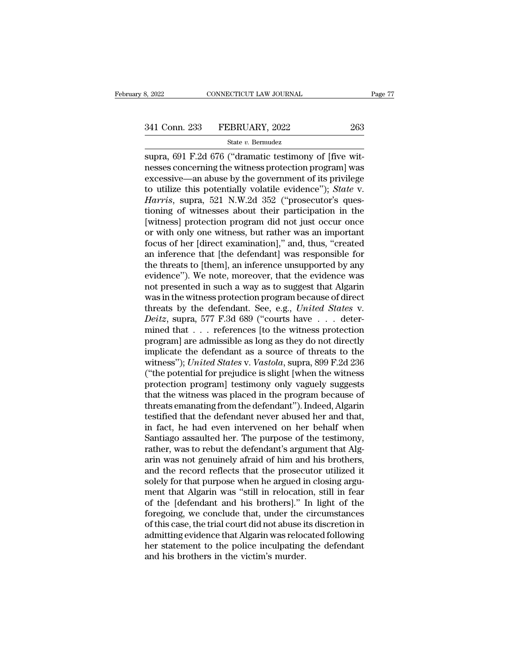s, 2022<br>
CONNECTICUT LAW JOURNAL<br>
State v. Bermudez<br>
State v. Bermudez<br>
Supra, 691 F.2d 676 ("dramatic testimony of [five wit-<br>
nesses concerning the witness protection program] was<br>
avecesive an abuse by the government of 341 Conn. 233 FEBRUARY, 2022 263<br>
State v. Bernudez<br>
supra, 691 F.2d 676 ("dramatic testimony of [five witnesses concerning the witness protection program] was<br>
excessive—an abuse by the government of its privilege<br>
to ut 341 Conn. 233 FEBRUARY, 2022 263<br>
State v. Bernudez<br>
supra, 691 F.2d 676 ("dramatic testimony of [five wit-<br>
nesses concerning the witness protection program] was<br>
excessive—an abuse by the government of its privilege<br>
to 341 Conn. 233 FEBRUARY, 2022 263<br>
<sup>State v. Bermudez<br>
supra, 691 F.2d 676 ("dramatic testimony of [five wit-<br>
nesses concerning the witness protection program] was<br>
excessive—an abuse by the government of its privilege<br>
to</sup> *Harrisrich*, 2022<br> *Harrisrich*, 2022<br> *Harris*, 691 F.2d 676 ("dramatic testimony of [five witnesses concerning the witness protection program] was<br>
excessive—an abuse by the government of its privilege<br>
to utilize this state v. Bermudez<br>supra, 691 F.2d 676 ("dramatic testimony of [five wit-<br>nesses concerning the witness protection program] was<br>excessive—an abuse by the government of its privilege<br>to utilize this potentially volatile evi supra, 691 F.2d 676 ("dramatic testimony of [five wit-<br>nesses concerning the witness protection program] was<br>excessive—an abuse by the government of its privilege<br>to utilize this potentially volatile evidence"); *State* v. nesses concerning the witness protection program] was<br>excessive—an abuse by the government of its privilege<br>to utilize this potentially volatile evidence"); *State* v.<br>*Harris*, supra, 521 N.W.2d 352 ("prosecutor's ques-<br>t excessive—an abuse by the government of its privilege<br>to utilize this potentially volatile evidence"); *State* v.<br>*Harris*, supra, 521 N.W.2d 352 ("prosecutor's ques-<br>tioning of witnesses about their participation in the<br>[ to utilize this potentially volatile evidence"); *State* v.<br>*Harris*, supra, 521 N.W.2d 352 ("prosecutor's questioning of witnesses about their participation in the<br>[witness] protection program did not just occur once<br>or w Harris, supra, 521 N.W.2d 352 ("prosecutor's questioning of witnesses about their participation in the [witness] protection program did not just occur once or with only one witness, but rather was an important focus of her tioning of witnesses about their participation in the<br>[witness] protection program did not just occur once<br>or with only one witness, but rather was an important<br>focus of her [direct examination]," and, thus, "created<br>an in [witness] protection program did not just occur once<br>or with only one witness, but rather was an important<br>focus of her [direct examination]," and, thus, "created<br>an inference that [the defendant] was responsible for<br>the t or with only one witness, but rather was an important<br>focus of her [direct examination]," and, thus, "created<br>an inference that [the defendant] was responsible for<br>the threats to [them], an inference unsupported by any<br>ev focus of her [direct examination]," and, thus, "created<br>an inference that [the defendant] was responsible for<br>the threats to [them], an inference unsupported by any<br>evidence"). We note, moreover, that the evidence was<br>not an inference that [the defendant] was responsible for<br>the threats to [them], an inference unsupported by any<br>evidence"). We note, moreover, that the evidence was<br>not presented in such a way as to suggest that Algarin<br>was the threats to [them], an inference unsupported by any<br>evidence"). We note, moreover, that the evidence was<br>not presented in such a way as to suggest that Algarin<br>was in the witness protection program because of direct<br>th evidence"). We note, moreover, that the evidence was<br>not presented in such a way as to suggest that Algarin<br>was in the witness protection program because of direct<br>threats by the defendant. See, e.g., *United States* v.<br> not presented in such a way as to suggest that Algarin<br>was in the witness protection program because of direct<br>threats by the defendant. See, e.g., *United States* v.<br>*Deitz*, supra, 577 F.3d 689 ("courts have  $\ldots$  deter was in the witness protection program because of direct<br>threats by the defendant. See, e.g., *United States* v.<br>*Deitz*, supra, 577 F.3d 689 ("courts have . . . deter-<br>mined that . . . references [to the witness protection threats by the defendant. See, e.g., *United States v.*<br> *Deitz*, supra, 577 F.3d 689 ("courts have . . . determined that . . . references [to the witness protection<br>
program] are admissible as long as they do not directl Deitz, supra, 577 F.3d 689 ("courts have  $\ldots$  determined that  $\ldots$  references [to the witness protection<br>program] are admissible as long as they do not directly<br>implicate the defendant as a source of threats to the<br>witn mined that  $\ldots$  references [to the witness protection<br>program] are admissible as long as they do not directly<br>implicate the defendant as a source of threats to the<br>witness"); United States v. Vastola, supra, 899 F.2d 236 program] are admissible as long as they do not directly<br>implicate the defendant as a source of threats to the<br>witness"); *United States* v. Vastola, supra, 899 F.2d 236<br>("the potential for prejudice is slight [when the wit implicate the defendant as a source of threats to the witness"); United States v. Vastola, supra, 899 F.2d 236 ("the potential for prejudice is slight [when the witness protection program] testimony only vaguely suggests t witness"); United States v. Vastola, supra, 899 F.2d 236<br>("the potential for prejudice is slight [when the witness<br>protection program] testimony only vaguely suggests<br>that the witness was placed in the program because of<br>t ("the potential for prejudice is slight [when the witness<br>protection program] testimony only vaguely suggests<br>that the witness was placed in the program because of<br>threats emanating from the defendant"). Indeed, Algarin<br>te protection program] testimony only vaguely suggests<br>that the witness was placed in the program because of<br>threats emanating from the defendant''). Indeed, Algarin<br>testified that the defendant never abused her and that,<br>in that the witness was placed in the program because of threats emanating from the defendant"). Indeed, Algarin testified that the defendant never abused her and that, in fact, he had even intervened on her behalf when Santi threats emanating from the defendant"). Indeed, Algarin<br>testified that the defendant never abused her and that,<br>in fact, he had even intervened on her behalf when<br>Santiago assaulted her. The purpose of the testimony,<br>rathe testified that the defendant never abused her and that,<br>in fact, he had even intervened on her behalf when<br>Santiago assaulted her. The purpose of the testimony,<br>rather, was to rebut the defendant's argument that Alg-<br>arin in fact, he had even intervened on her behalf when<br>Santiago assaulted her. The purpose of the testimony,<br>rather, was to rebut the defendant's argument that Alg-<br>arin was not genuinely afraid of him and his brothers,<br>and th Santiago assaulted her. The purpose of the testimony,<br>rather, was to rebut the defendant's argument that Alg-<br>arin was not genuinely afraid of him and his brothers,<br>and the record reflects that the prosecutor utilized it<br>s rather, was to rebut the defendant's argument that Algarin was not genuinely afraid of him and his brothers,<br>and the record reflects that the prosecutor utilized it<br>solely for that purpose when he argued in closing argu-<br>m arin was not genuinely afraid of him and his brothers,<br>and the record reflects that the prosecutor utilized it<br>solely for that purpose when he argued in closing argu-<br>ment that Algarin was "still in relocation, still in fe and the record reflects that the prosecutor utilized it<br>solely for that purpose when he argued in closing argu-<br>ment that Algarin was "still in relocation, still in fear<br>of the [defendant and his brothers]." In light of th solely for that purpose when he argued in closing argument that Algarin was "still in relocation, still in fear<br>of the [defendant and his brothers]." In light of the<br>foregoing, we conclude that, under the circumstances<br>of ment that Algarin was "still in relocation<br>of the [defendant and his brothers]." I<br>foregoing, we conclude that, under the<br>of this case, the trial court did not abuse it<br>admitting evidence that Algarin was reloc<br>her stateme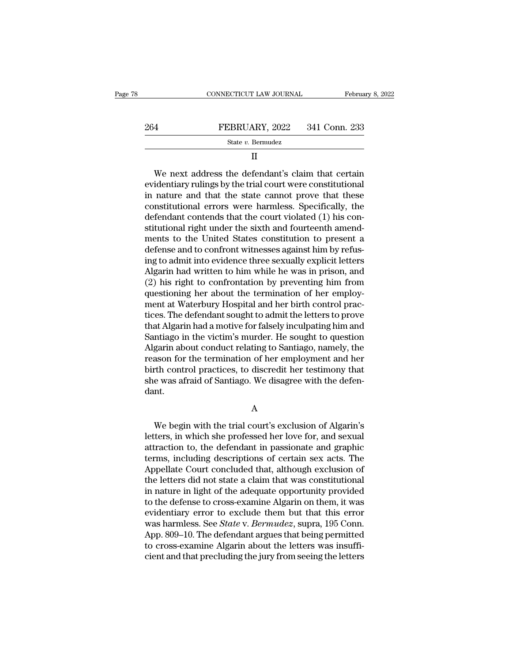| 78  | CONNECTICUT LAW JOURNAL | February 8, 2022 |
|-----|-------------------------|------------------|
|     |                         |                  |
| 264 | FEBRUARY, 2022          | 341 Conn. 233    |
|     | State v. Bermudez       |                  |

## II

FEBRUARY, 2022 341 Conn. 233<br>
State v. Bernudez<br>
II<br>
We next address the defendant's claim that certain<br>
identiary rulings by the trial court were constitutional<br>
nature and that the state cannot prove that these EVIDENTIARY, 2022 341 Conn. 233<br>
State v. Bermudez<br>
II<br>
We next address the defendant's claim that certain<br>
evidentiary rulings by the trial court were constitutional<br>
in nature and that the state cannot prove that these<br>  $\begin{array}{r} \text{264} & \text{FEBRUARY, } 2022 & 341 \text{ Conn. } 233 \\ \text{State } v. \text{ Bernudez} & \text{II} \end{array}$ <br>
We next address the defendant's claim that certain<br>
evidentiary rulings by the trial court were constitutional<br>
in nature and that the state cannot State v. Bermudez<br>
II<br>
We next address the defendant's claim that certain<br>
evidentiary rulings by the trial court were constitutional<br>
in nature and that the state cannot prove that these<br>
constitutional errors were harmle II<br>We next address the defendant's claim that certain<br>evidentiary rulings by the trial court were constitutional<br>in nature and that the state cannot prove that these<br>constitutional errors were harmless. Specifically, the<br>d We next address the defendant's claim that certain<br>evidentiary rulings by the trial court were constitutional<br>in nature and that the state cannot prove that these<br>constitutional errors were harmless. Specifically, the<br>defe We next address the defendant's claim that certain<br>evidentiary rulings by the trial court were constitutional<br>in nature and that the state cannot prove that these<br>constitutional errors were harmless. Specifically, the<br>defe evidentiary rulings by the trial court were constitutional<br>in nature and that the state cannot prove that these<br>constitutional errors were harmless. Specifically, the<br>defendant contends that the court violated (1) his conin nature and that the state cannot prove that these<br>constitutional errors were harmless. Specifically, the<br>defendant contends that the court violated (1) his con-<br>stitutional right under the sixth and fourteenth amend-<br>me constitutional errors were harmless. Specifically, the<br>defendant contends that the court violated (1) his con-<br>stitutional right under the sixth and fourteenth amend-<br>ments to the United States constitution to present a<br>de defendant contends that the court violated (1) his constitutional right under the sixth and fourteenth amendments to the United States constitution to present a defense and to confront witnesses against him by refusing to stitutional right under the sixth and fourteenth amendments to the United States constitution to present a defense and to confront witnesses against him by refusing to admit into evidence three sexually explicit letters Al ments to the United States constitution to present a<br>defense and to confront witnesses against him by refus-<br>ing to admit into evidence three sexually explicit letters<br>Algarin had written to him while he was in prison, and defense and to confront witnesses against him by refus-<br>ing to admit into evidence three sexually explicit letters<br>Algarin had written to him while he was in prison, and<br>(2) his right to confrontation by preventing him fro ing to admit into evidence three sexually explicit letters<br>Algarin had written to him while he was in prison, and<br>(2) his right to confrontation by preventing him from<br>questioning her about the termination of her employ-<br>m Algarin had written to him while he was in prison, and<br>(2) his right to confrontation by preventing him from<br>questioning her about the termination of her employ-<br>ment at Waterbury Hospital and her birth control prac-<br>tices (2) his right to confrontation by preventing him from<br>questioning her about the termination of her employ-<br>ment at Waterbury Hospital and her birth control prac-<br>tices. The defendant sought to admit the letters to prove<br>th questioning her about the termination of her employ-<br>ment at Waterbury Hospital and her birth control practices. The defendant sought to admit the letters to prove<br>that Algarin had a motive for falsely inculpating him and<br> ment at Waterbury Hospital and her birth control practices. The defendant sought to admit the letters to prove<br>that Algarin had a motive for falsely inculpating him and<br>Santiago in the victim's murder. He sought to questio tices. The defendant sought to admit the letters to prove<br>that Algarin had a motive for falsely inculpating him and<br>Santiago in the victim's murder. He sought to question<br>Algarin about conduct relating to Santiago, namely, dant. ason for the termination of her employment and her<br>th control practices, to discredit her testimony that<br>e was afraid of Santiago. We disagree with the defen-<br>nt.<br>A<br>We begin with the trial court's exclusion of Algarin's<br>te

A

birth control practices, to discredit her testimony that<br>she was afraid of Santiago. We disagree with the defen-<br>dant.<br>A<br>We begin with the trial court's exclusion of Algarin's<br>letters, in which she professed her love for, she was afraid of Santiago. We disagree with the defendant.<br>
A<br>
We begin with the trial court's exclusion of Algarin's<br>
letters, in which she professed her love for, and sexual<br>
attraction to, the defendant in passionate a A<br>A<br>We begin with the trial court's exclusion of Algarin's<br>letters, in which she professed her love for, and sexual<br>attraction to, the defendant in passionate and graphic<br>terms, including descriptions of certain sex acts. A<br>
We begin with the trial court's exclusion of Algarin's<br>
letters, in which she professed her love for, and sexual<br>
attraction to, the defendant in passionate and graphic<br>
terms, including descriptions of certain sex acts We begin with the trial court's exclusion of Algarin's<br>letters, in which she professed her love for, and sexual<br>attraction to, the defendant in passionate and graphic<br>terms, including descriptions of certain sex acts. The<br> We begin with the trial court's exclusion of Algarin's<br>letters, in which she professed her love for, and sexual<br>attraction to, the defendant in passionate and graphic<br>terms, including descriptions of certain sex acts. The<br> letters, in which she professed her love for, and sexual attraction to, the defendant in passionate and graphic<br>terms, including descriptions of certain sex acts. The<br>Appellate Court concluded that, although exclusion of<br>t attraction to, the defendant in passionate and graphic<br>terms, including descriptions of certain sex acts. The<br>Appellate Court concluded that, although exclusion of<br>the letters did not state a claim that was constitutional<br> terms, including descriptions of certain sex acts. The<br>Appellate Court concluded that, although exclusion of<br>the letters did not state a claim that was constitutional<br>in nature in light of the adequate opportunity provided Appellate Court concluded that, although exclusion of<br>the letters did not state a claim that was constitutional<br>in nature in light of the adequate opportunity provided<br>to the defense to cross-examine Algarin on them, it wa the letters did not state a claim that was constitutional<br>in nature in light of the adequate opportunity provided<br>to the defense to cross-examine Algarin on them, it was<br>evidentiary error to exclude them but that this erro in nature in light of the adequate opportunity provided<br>to the defense to cross-examine Algarin on them, it was<br>evidentiary error to exclude them but that this error<br>was harmless. See *State* v. *Bermudez*, supra, 195 Conn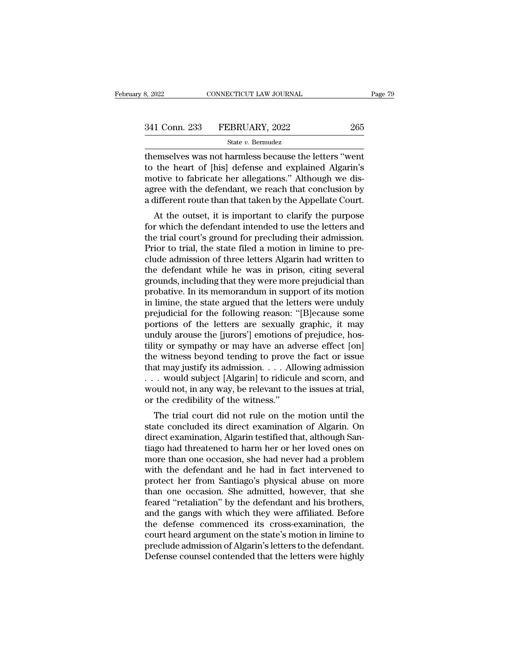3, 2022 CONNECTICUT LAW JOURNAL Page 7:<br>  $\begin{array}{r}\n 341 \text{ Conn. } 233 \quad \text{FEBRUARY, } 2022 \quad \text{265} \\
 \text{State } v. \text{ Bernudez} \\
 \text{themselves was not harmless because the letters "went to the heart of [his] defense and explained Algarin's metric to fohricate, bar allocations." Although we dis.} \end{array}$ 341 Conn. 233 FEBRUARY, 2022 265<br>State v. Bermudez<br>themselves was not harmless because the letters "went<br>to the heart of [his] defense and explained Algarin's<br>motive to fabricate her allegations." Although we dis-<br>agree w 341 Conn. 233 FEBRUARY, 2022 265<br>
State v. Bermudez<br>
themselves was not harmless because the letters "went<br>
to the heart of [his] defense and explained Algarin's<br>
motive to fabricate her allegations." Although we dis-<br>
ag 341 Conn. 233 FEBRUARY, 2022 265<br>
State v. Bernudez<br>
themselves was not harmless because the letters "went<br>
to the heart of [his] defense and explained Algarin's<br>
motive to fabricate her allegations." Although we dis-<br>
ag State v. Bernudez<br>
a different route of [his] defense and explained Algarin's<br>
motive to fabricate her allegations." Although we dis-<br>
agree with the defendant, we reach that conclusion by<br>
a different route than that tak emselves was not harmless because the letters "went<br>the heart of [his] defense and explained Algarin's<br>otive to fabricate her allegations." Although we dis-<br>ree with the defendant, we reach that conclusion by<br>lifferent rou then selves was not namiess because the letters went<br>to the heart of [his] defense and explained Algarin's<br>motive to fabricate her allegations." Although we dis-<br>agree with the defendant, we reach that conclusion by<br>a diff

to the heart of [fils] deferise and explained Algarit's<br>motive to fabricate her allegations." Although we dis-<br>agree with the defendant, we reach that conclusion by<br>a different route than that taken by the Appellate Court. mouve to fabricate her anegations. Anthough we us-<br>agree with the defendant, we reach that conclusion by<br>a different route than that taken by the Appellate Court.<br>At the outset, it is important to clarify the purpose<br>for w a different route than that taken by the Appellate Court.<br>At the outset, it is important to clarify the purpose<br>for which the defendant intended to use the letters and<br>the trial court's ground for precluding their admissio a unterent route than that taken by the Appendae Court.<br>At the outset, it is important to clarify the purpose<br>for which the defendant intended to use the letters and<br>the trial court's ground for precluding their admission. At the outset, it is important to clarify the purpose<br>for which the defendant intended to use the letters and<br>the trial court's ground for precluding their admission.<br>Prior to trial, the state filed a motion in limine to p for which the defendant intended to use the letters and<br>the trial court's ground for precluding their admission.<br>Prior to trial, the state filed a motion in limine to pre-<br>clude admission of three letters Algarin had writt the trial court's ground for precluding their admission.<br>Prior to trial, the state filed a motion in limine to pre-<br>clude admission of three letters Algarin had written to<br>the defendant while he was in prison, citing sever Prior to trial, the state filed a motion in limine to pre-<br>clude admission of three letters Algarin had written to<br>the defendant while he was in prison, citing several<br>grounds, including that they were more prejudicial tha clude admission of three letters Algarin had written to<br>the defendant while he was in prison, citing several<br>grounds, including that they were more prejudicial than<br>probative. In its memorandum in support of its motion<br>in the defendant while he was in prison, citing several grounds, including that they were more prejudicial than probative. In its memorandum in support of its motion in limine, the state argued that the letters were unduly pr grounds, including that they were more prejudicial than<br>probative. In its memorandum in support of its motion<br>in limine, the state argued that the letters were unduly<br>prejudicial for the following reason: "[B]ecause some<br>p probative. In its memorandum in support of its motion<br>in limine, the state argued that the letters were unduly<br>prejudicial for the following reason: "[B]ecause some<br>portions of the letters are sexually graphic, it may<br>undu in limine, the state argued that the letters were unduly<br>prejudicial for the following reason: "[B]ecause some<br>portions of the letters are sexually graphic, it may<br>unduly arouse the [jurors'] emotions of prejudice, hos-<br>ti prejudicial for the following reason: "[B]ecause some<br>portions of the letters are sexually graphic, it may<br>unduly arouse the [jurors'] emotions of prejudice, hos-<br>tility or sympathy or may have an adverse effect [on]<br>the w portions of the letters are sexually graphic, it may<br>unduly arouse the [jurors'] emotions of prejudice, hos-<br>tility or sympathy or may have an adverse effect [on]<br>the witness beyond tending to prove the fact or issue<br>that unduly arouse the [jurors'] emotions of tility or sympathy or may have an adthe witness beyond tending to prove that may justify its admission.  $\dots$  Allo  $\dots$  would subject [Algarin] to ridicule would not, in any way, be ty of sympatry of may have an adverse effect [oft]<br>e witness beyond tending to prove the fact or issue<br>at may justify its admission.... Allowing admission<br>... would subject [Algarin] to ridicule and scorn, and<br>ould not, i the whitess beyond tending to prove the fact of issue<br>that may justify its admission.... Allowing admission<br>... would subject [Algarin] to ridicule and scorn, and<br>would not, in any way, be relevant to the issues at trial,<br>

diat may justify its admission.  $\ldots$  Allowing admission.  $\ldots$  would subject [Algarin] to ridicule and scorn, and would not, in any way, be relevant to the issues at trial, or the credibility of the witness."<br>The trial c The trial court and stoppert examined to the issues at trial,<br>or the credibility of the witness."<br>The trial court did not rule on the motion until the<br>state concluded its direct examination of Algarin. On<br>direct examinatio would not, in any way, be relevant to the issues at that,<br>or the credibility of the witness."<br>The trial court did not rule on the motion until the<br>state concluded its direct examination of Algarin. On<br>direct examination, A or the creaminty of the witness.<br>The trial court did not rule on the motion until the<br>state concluded its direct examination of Algarin. On<br>direct examination, Algarin testified that, although San-<br>tiago had threatened to The trial court did not rule on the motion until the<br>state concluded its direct examination of Algarin. On<br>direct examination, Algarin testified that, although San-<br>tiago had threatened to harm her or her loved ones on<br>mor state concluded its direct examination of Algarin. On<br>direct examination, Algarin testified that, although San-<br>tiago had threatened to harm her or her loved ones on<br>more than one occasion, she had in fact intervened to<br>pr direct examination, Algarin testified that, although Santiago had threatened to harm her or her loved ones on<br>more than one occasion, she had never had a problem<br>with the defendant and he had in fact intervened to<br>protect tiago had threatened to harm her or her loved ones on<br>more than one occasion, she had never had a problem<br>with the defendant and he had in fact intervened to<br>protect her from Santiago's physical abuse on more<br>than one occa more than one occasion, she had never had a problem<br>with the defendant and he had in fact intervened to<br>protect her from Santiago's physical abuse on more<br>than one occasion. She admitted, however, that she<br>feared "retaliat with the defendant and he had in fact intervened to<br>protect her from Santiago's physical abuse on more<br>than one occasion. She admitted, however, that she<br>feared "retaliation" by the defendant and his brothers,<br>and the gang protect her from Santiago's physical abuse on more<br>than one occasion. She admitted, however, that she<br>feared "retaliation" by the defendant and his brothers,<br>and the gangs with which they were affiliated. Before<br>the defens than one occasion. She admitted, however, that she<br>feared "retaliation" by the defendant and his brothers,<br>and the gangs with which they were affiliated. Before<br>the defense commenced its cross-examination, the<br>court heard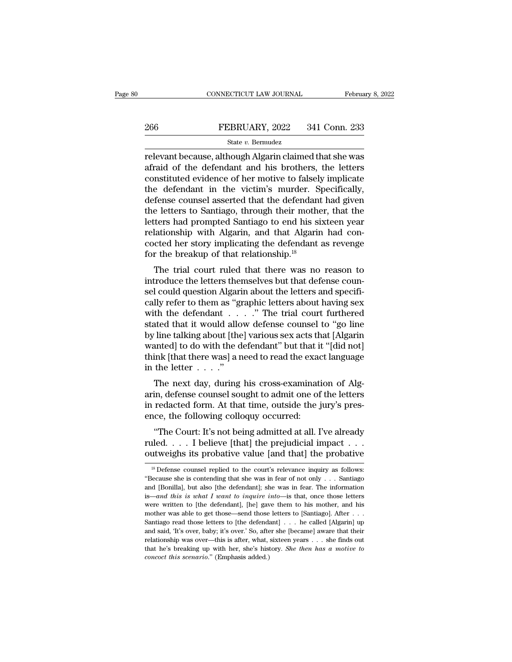# EXECUTE CONNECTICUT LAW JOURNAL February 8, 2022<br>266 FEBRUARY, 2022 341 Conn. 233<br>341 Conn. 233

## State *v.* Bermudez

CONNECTICUT LAW JOURNAL February 8, 2022<br>
PEBRUARY, 2022 341 Conn. 233<br>
State v. Bernudez<br>
FEBRUARY, 2022 341 Conn. 233<br>
Televant because, although Algarin claimed that she was<br>
afraid of the defendant and his brothers, th 266 FEBRUARY, 2022 341 Conn. 233<br>
state v. Bernudez<br>
relevant because, although Algarin claimed that she was<br>
afraid of the defendant and his brothers, the letters<br>
constituted evidence of her motive to falsely implicate<br> 266 FEBRUARY, 2022 341 Conn. 233<br>
State v. Bernudez<br>
relevant because, although Algarin claimed that she was<br>
afraid of the defendant and his brothers, the letters<br>
constituted evidence of her motive to falsely implicate<br>  $\begin{array}{ll}\n \textbf{266} & \textbf{FEBRUARY, 2022} & \textbf{341 Conn. 233} \\
 & \text{State } v. \text{ Bernudez} \\
 \hline\n \text{relevant because, although Algarin claimed that she was afraid of the defendant and his brothers, the letters constituted evidence of her motive to falsely implicate the defendant in the victim's murder. Specifically, defense course, lesserted that the defendant had given the letters to Santiago, through their mother, that the$  $\begin{array}{l}\n\hline\n\text{State } v. \text{ Bernudez} \\
\hline\n\text{relevant because, although Algarin claimed that she was} \\
\text{afraid of the defendant and his brothers, the letters} \\
\text{constituted evidence of her motive to falsely implicate} \\
\text{the defendant in the victim's murder. Specifically,} \\
\text{defense, counds asserted that the defendant had given} \\
\hline\n\text{the letters to Santiago, through their mother, that the} \\
\text{latters had prompted Santiago to and his situation, your} \\
\hline\n\end{array}$ state  $v$ . Bermudez<br>
relevant because, although Algarin claimed that she was<br>
afraid of the defendant and his brothers, the letters<br>
constituted evidence of her motive to falsely implicate<br>
the defendant in the victim's m relevant because, although Algarin claimed that she was<br>afraid of the defendant and his brothers, the letters<br>constituted evidence of her motive to falsely implicate<br>the defendant in the victim's murder. Specifically,<br>defe afraid of the defendant and his brothers, the letters<br>constituted evidence of her motive to falsely implicate<br>the defendant in the victim's murder. Specifically,<br>defense counsel asserted that the defendant had given<br>the le constituted evidence of her motive to falsely implicate<br>the defendant in the victim's murder. Specifically,<br>defense counsel asserted that the defendant had given<br>the letters to Santiago, through their mother, that the<br>lett the defendant in the victim's murder. S<br>defense counsel asserted that the defendant<br>the letters to Santiago, through their mothe<br>letters had prompted Santiago to end his si<br>relationship with Algarin, and that Algarir<br>cocte refluence courser asserted that the defendant had given<br>e letters to Santiago, through their mother, that the<br>ters had prompted Santiago to end his sixteen year<br>lationship with Algarin, and that Algarin had con-<br>cted her s interestical prompted Santiago to end his sixteen year<br>relationship with Algarin, and that Algarin had con-<br>cocted her story implicating the defendant as revenge<br>for the breakup of that relationship.<sup>18</sup><br>The trial court ru

selection and prompted santrago to end ins sixteen year<br>relationship with Algarin, and that Algarin had con-<br>cocted her story implicating the defendant as revenge<br>for the breakup of that relationship.<sup>18</sup><br>The trial court r relationship with Algarin, and that Algarin had concocted her story implicating the defendant as revenge<br>for the breakup of that relationship.<sup>18</sup><br>The trial court ruled that there was no reason to<br>introduce the letters th For the breakup of that relationship.<sup>18</sup><br>The trial court ruled that there was no reason to<br>introduce the letters themselves but that defense coun-<br>sel could question Algarin about the letters and specifi-<br>cally refer to stated that it would allow defendant" but that it "Idid not<br>be introduce the letters themselves but that defense counsel could question Algarin about the letters and specifi-<br>cally refer to them as "graphic letters about h The trial court ruled that there was no reason to<br>introduce the letters themselves but that defense coun-<br>sel could question Algarin about the letters and specifi-<br>cally refer to them as "graphic letters about having sex<br>w introduce the letters themselves but that defense counsel could question Algarin about the letters and specifically refer to them as "graphic letters about having sex with the defendant . . . . " The trial court furthered sel could question Algarin about the letters and specifically refer to them as "graphic letters about having sex with the defendant . . . . ." The trial court furthered stated that it would allow defense counsel to "go li cally refer to them as "givith the defendant . . .<br>stated that it would allo<br>by line talking about [the<br>wanted] to do with the d<br>think [that there was] a n<br>in the letter . . . . "<br>The next day, during with the defendant  $\ldots$  . . ." The trial court furthered stated that it would allow defense counsel to "go line by line talking about [the] various sex acts that [Algarin wanted] to do with the defendant" but that it "[d stated that it would allow defense counsel to go line<br>by line talking about [the] various sex acts that [Algarin<br>wanted] to do with the defendant" but that it "[did not]<br>think [that there was] a need to read the exact lang

by line tarking about [the] various sex acts that [Algarin]<br>wanted] to do with the defendant" but that it "[did not]<br>think [that there was] a need to read the exact language<br>in the letter  $\dots$ "<br>The next day, during his cr wanted to do which the defendant but that if<br>think [that there was] a need to read the exade in the letter  $\ldots$ ."<br>The next day, during his cross-examination arin, defense counsel sought to admit one of<br>in redacted form. the letter  $\ldots$ ."<br>
The next day, during his cross-examination of Alg-<br>
in, defense counsel sought to admit one of the letters<br>
redacted form. At that time, outside the jury's pres-<br>
ce, the following colloquy occurred:<br> The next day, during his cross-examination of Algarin, defense counsel sought to admit one of the letters<br>in redacted form. At that time, outside the jury's pres-<br>ence, the following colloquy occurred:<br>"The Court: It's no The hext day, during his cross-examination of Aigarin, defense counsel sought to admit one of the letters<br>in redacted form. At that time, outside the jury's pres-<br>ence, the following colloquy occurred:<br>"The Court: It's no

"The Court: It's not being admitted at all. I've already<br>
uled.... I believe [that] the prejudicial impact...<br>
utweighs its probative value [and that] the probative<br>  $\frac{18}{18}$  Defense counsel replied to the court's rele "The Court: It's not being admitted at all. I've already<br>ruled.... I believe [that] the prejudicial impact...<br>outweighs its probative value [and that] the probative<br> $\frac{1}{8}$  Defense counsel replied to the court's relevan

ruled. . . . I believe [that] the prejudicial impact . . . . outweighs its probative value [and that] the probative  $\frac{18}{15}$  Defense counsel replied to the court's relevance inquiry as follows: "Because she is contendi is—*and this is what I want to inquire into*—is that, once those letters <sup>18</sup> Defense counsel replied to the court's relevance inquiry as follows:<br><sup>18</sup> Defense counsel replied to the court's relevance inquiry as follows:<br>"Because she is contending that she was in fear of not only . . . Santiag <sup>18</sup> Defense counsel replied to the court's relevance inquiry as follows: "Because she is contending that she was in fear of not only . . . Santiago and [Bonilla], but also [the defendant]; she was in fear. The informatio "Because she is contending that she was in fear of not only . . . Santiago and [Bonilla], but also [the defendant]; she was in fear. The information is—and this is what I want to inquire into—is that, once those letters w "Because she is contending that she was in fear of not only . . . Santiago and [Bonilla], but also [the defendant]; she was in fear. The information is—and this is what I want to inquire into—is that, once those letters w is—and this is what I want to inquire into—is that, once those letters<br>were written to [the defendant], [he] gave them to his mother, and his<br>mother was able to get those—send those letters to [Santiago]. After . . .<br>Sant that the different of the defendant], [he] gave them to his mother, and his mother was able to get those—send those letters to [Santiago]. After . . . Santiago read those letters to [the defendant] . . . he called [Algarin Santiago read those letters to [the defendant] . . . he called [Algarin] up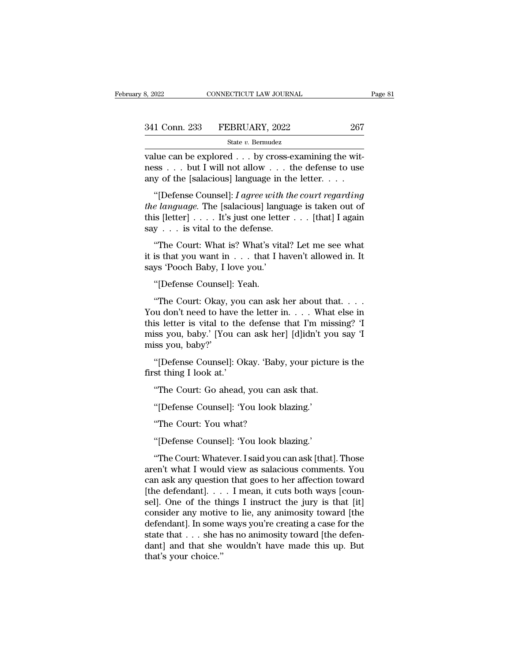value can be explored . . . by cross-examining the wit-<br>
value can be explored . . . by cross-examining the wit-<br>
ress . . . but I will not allow . . . the defense to use<br>
any of the Isalacious language in the letter 341 Conn. 233 FEBRUARY, 2022 267<br>State v. Bermudez<br>value can be explored . . . by cross-examining the wit-<br>ness . . . but I will not allow . . . the defense to use<br>any of the [salacious] language in the letter. . . . 341 Conn. 233 FEBRUARY, 2022 267<br>
State v. Bernudez<br>
value can be explored . . . by cross-examining the wit-<br>
ness . . . but I will not allow . . . the defense to use<br>
any of the [salacious] language in the letter. . . . <sup>1</sup> Conn. 233 FEBRUARY, 2022 267<br>
<sup>State v. Bernudez<br>
lue can be explored . . . by cross-examining the wit-<br>
ss . . . but I will not allow . . . the defense to use<br>
y of the [salacious] language in the letter. . . .<br>
"[Def</sup>

State v. Bermudez<br>
value can be explored . . . by cross-examining the wit-<br>
ness . . . but I will not allow . . . the defense to use<br>
any of the [salacious] language in the letter. . . .<br>
"[Defense Counsel]: *I agree with* value can be explored . . . by cross-examining the witness . . . but I will not allow . . . the defense to use any of the [salacious] language in the letter . . . .<br>"[Defense Counsel]: *I agree with the court regarding th* value can be explored  $\ldots$  by cross c<br>ness . . . but I will not allow . . . tl<br>any of the [salacious] language in the<br>"[Defense Counsel]: *I agree with th*<br>the language. The [salacious] languag<br>this [letter] . . . . It's y of the [salacious] language in the letter. . . . .<br>
"[Defense Counsel]: *I agree with the court regarding*<br> *e language*. The [salacious] language is taken out of<br>
is [letter] . . . . It's just one letter . . . [that] I "[Defense Counsel]: *I agree with the court regarding*<br>*the language*. The [salacious] language is taken out of<br>this [letter] . . . . It's just one letter . . . [that] I again<br>say . . . is vital to the defense.<br>"The Court the language. The [salacious] language. The [salacious] language. The [salacious] language.  $\ldots$  is vital to the defense.<br>"The Court: What is? What's vital is that you want in  $\ldots$  that I has says 'Pooch Baby, I love yo

is [letter] . . . . It's just one lett<br>y . . . is vital to the defense.<br>"The Court: What is? What's vir<br>is that you want in . . . that I l<br>ys 'Pooch Baby, I love you.'<br>"[Defense Counsel]: Yeah.<br>"The Court: Okay, you can as "The Court: What is? What's vital? Let me see what<br>is that you want in . . . that I haven't allowed in. It<br>ys 'Pooch Baby, I love you.'<br>"[Defense Counsel]: Yeah.<br>"The Court: Okay, you can ask her about that. . . .<br>ou don'

"The Court: What is? What's vital? Let me see what<br>it is that you want in . . . that I haven't allowed in. It<br>says 'Pooch Baby, I love you.'<br>"[Defense Counsel]: Yeah.<br>"The Court: Okay, you can ask her about that. . . .<br>Yo it is that you want in . . . that I haven't allowed in. It<br>says 'Pooch Baby, I love you.'<br>"[Defense Counsel]: Yeah.<br>"The Court: Okay, you can ask her about that. . . .<br>You don't need to have the letter in. . . . What else says 'Pooch Baby, I love you.'<br>
"[Defense Counsel]: Yeah.<br>
"The Court: Okay, you can ask her about that....<br>
You don't need to have the letter in.... What else in<br>
this letter is vital to the defense that I'm missing? 'I<br> "[Defense Counsel]"<br>"The Court: Okay,<br>You don't need to ha<br>this letter is vital to<br>miss you, baby.' [You<br>miss you, baby?'<br>"[Defense Counsel] "The Court: Okay, you can ask her about that. . . .<br>bu don't need to have the letter in. . . . What else in<br>is letter is vital to the defense that I'm missing? 'I<br>iss you, baby.' [You can ask her] [d]idn't you say 'I<br>"[Def Fire count only, you<br>Tou don't need to have this letter is vital to the<br>miss you, baby.' [You ca<br>miss you, baby?'<br>"[Defense Counsel]: Ol<br>first thing I look at.'<br>"The Court: Go ahead, is letter is vital to the defense that I'm miss<br>
iss you, baby.' [You can ask her] [d]idn't you<br>
ss you, baby?'<br>
"[Defense Counsel]: Okay. 'Baby, your picture<br>
st thing I look at.'<br>"The Court: Go ahead, you can ask that.<br>"

""<br>
"In 1998"<br>
"[Defense Counsel]: Okay. 'Baby, your pictust thing I look at.'<br>
"The Court: Go ahead, you can ask that."<br>"Defense Counsel]: 'You look blazing.'<br>"The Court: You what? "[Defense Counsel]: Okay. 'Baby"<br>st thing I look at.'<br>"The Court: Go ahead, you can<br>"[Defense Counsel]: 'You look b<br>"The Court: You what?<br>"[Defense Counsel]: 'You look b

st thing I look at.<br>"The Court: Go ahead, you can ask that.<br>"[Defense Counsel]: 'You look blazing.'<br>"The Court: You what?<br>"[Defense Counsel]: 'You look blazing.'<br>"The Court: Whatever. I said you can ask [tha "The Court: Go ahead, you can ask that.<br>"[Defense Counsel]: 'You look blazing.'<br>"The Court: You what?<br>"[Defense Counsel]: 'You look blazing.'<br>"The Court: Whatever. I said you can ask [that]. Those<br>en't what I would view as "[Defense Counsel]: 'You look blazing.'<br>"The Court: You what?<br>"[Defense Counsel]: 'You look blazing.'<br>"The Court: Whatever. I said you can ask [that]. Those<br>aren't what I would view as salacious comments. You<br>can ask any q "The Court: You what?<br>
"[Defense Counsel]: 'You look blazing.'<br>
"The Court: Whatever. I said you can ask [that]. Those<br>
aren't what I would view as salacious comments. You<br>
can ask any question that goes to her affection "The Court: You what?"<br>"[Defense Counsel]: 'You look blazing."<br>"The Court: Whatever. I said you can ask [that]. Those<br>aren't what I would view as salacious comments. You<br>can ask any question that goes to her affection towa "[Defense Counsel]: 'You look blazing.'<br>"The Court: Whatever. I said you can ask [that]. Those<br>aren't what I would view as salacious comments. You<br>can ask any question that goes to her affection toward<br>[the defendant]. . . "The Court: Whatever. I said you can ask [that]. Those<br>aren't what I would view as salacious comments. You<br>can ask any question that goes to her affection toward<br>[the defendant]. . . . I mean, it cuts both ways [coun-<br>sel "The Court: Whatever. I said you can ask [that]. Those<br>aren't what I would view as salacious comments. You<br>can ask any question that goes to her affection toward<br>[the defendant]. . . . I mean, it cuts both ways [coun-<br>sel aren't what I would view as salacious comments. You can ask any question that goes to her affection toward [the defendant]. . . . I mean, it cuts both ways [counsel]. One of the things I instruct the jury is that [it] con can ask any question that goes to her affection toward<br>[the defendant]. . . . I mean, it cuts both ways [coun-<br>sel]. One of the things I instruct the jury is that [it]<br>consider any motive to lie, any animosity toward [the [the defendant]. . .<br>sel]. One of the thi<br>consider any motive<br>defendant]. In some<br>state that . . . she h<br>dant] and that she<br>that's your choice.''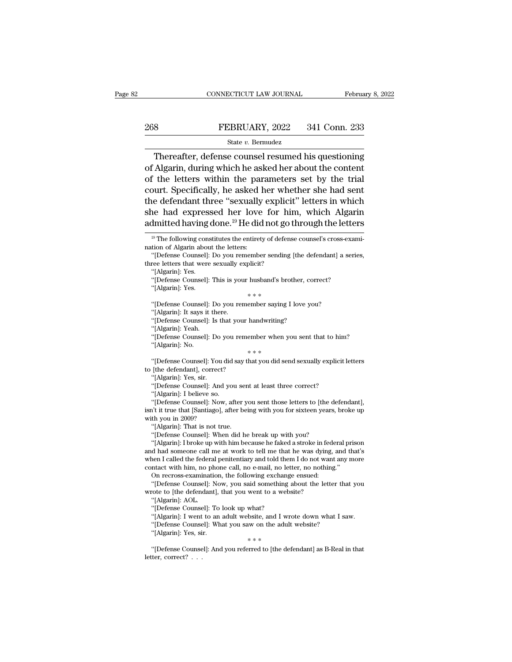# EXECUTE CONNECTICUT LAW JOURNAL February 8, 2022<br>268 FEBRUARY, 2022 341 Conn. 233<br>341 Conn. 233

## State *v.* Bermudez

CONNECTICUT LAW JOURNAL February 8, 2022<br>
State v. Bermudez<br>
Thereafter, defense counsel resumed his questioning<br>
Algarin, during which he asked her about the content<br>
the letters within the perspectors set by the trial 268 FEBRUARY, 2022 341 Conn. 233<br>
State v. Bernudez<br>
Thereafter, defense counsel resumed his questioning<br>
of Algarin, during which he asked her about the content<br>
of the letters within the parameters set by the trial<br>
sou 268 FEBRUARY, 2022 341 Conn. 233<br>
State v. Bernudez<br>
Thereafter, defense counsel resumed his questioning<br>
of Algarin, during which he asked her about the content<br>
of the letters within the parameters set by the trial<br>
cou EXECUARY, 2022 341 Conn. 233<br>
State v. Bernudez<br>
Thereafter, defense counsel resumed his questioning<br>
of Algarin, during which he asked her about the content<br>
of the letters within the parameters set by the trial<br>
court. State v. Bernudez<br>
Thereafter, defense counsel resumed his questioning<br>
of Algarin, during which he asked her about the content<br>
of the letters within the parameters set by the trial<br>
court. Specifically, he asked her whe Slate *v*. Berniddez<br>
Slate *v*. Berniddez<br>
Slate *v*. Berniddez<br>
of Algarin, during which he asked her about the content<br>
of the letters within the parameters set by the trial<br>
court. Specifically, he asked her whether s Thereafter, defense counsel resumed his questioning<br>of Algarin, during which he asked her about the content<br>of the letters within the parameters set by the trial<br>court. Specifically, he asked her whether she had sent<br>the burt. Specifically, he asked her whether she had sent<br>the defendant three "sexually explicit" letters in which<br>ne had expressed her love for him, which Algarin<br>imitted having done.<sup>19</sup> He did not go through the letters<br><sup>19</sup> the defendant three "sexually<br>she had expressed her love<br>admitted having done.<sup>19</sup> He did<br><sup>19</sup> The following constitutes the entiret<br>mation of Algarin about the letters:<br>"[Defense Counsel]: Do you remember the had expressed her love for him, which Algarin dmitted having done.<sup>19</sup> He did not go through the letters  $\frac{19}{10}$  The following constitutes the entirety of defense counsel's cross-examition of Algarin about the lett SHE TIAU EXPRESSED THET TOVE TOT THE<br>admitted having done.<sup>19</sup> He did not go<br><sup>19</sup> The following constitutes the entirety of defen<br>nation of Algarin about the letters:<br>"[Defense Counsel]: Do you remember sending<br>three lette

ree letters that were sexually e<br>"(Algarin]: Yes.<br>"(Defense Counsel]: This is you<br>"(Algarin]: Yes.<br>"(Defense Counsel]: Do you rer"<br>(Algarin]: It says it there.<br>"(Defense Counsel]: Is that you! "|Algarin]: Yes.<br>"[Defense Counsel]: This is your husband's brother, co<br>"[Algarin]: Yes.<br>"[Defense Counsel]: Do you remember saying I love yo"<br>"[Algarin]: It says it there.<br>"[Defense Counsel]: Is that your handwriting?"<br>"[

%"<br/>[Algarin]: Yes.  $$\ast\ast\ast$$  "[Defense Counsel]: Do you remember saying I love you? "[Algarin]: It says it there. "[Defense Counsel]: Is that your hand<br/>writing? "[Algarin]: Yeah. "[Defense Counsel]: Do you remember "[Algarin]: Yes. \*\*\*<br>"(Defense Counsel]: Do you remember saying I love you?<br>"[Algarin]: It says it there.<br>"[Defense Counsel]: Is that your handwriting?<br>"[Algarin]: Yeah.<br>"[Defense Counsel]: Do you remember when you sent th "(Defense Counsel]: Do you remember saying<br>
"(Algarin]: It says it there.<br>
"(Defense Counsel]: Is that your handwriting?<br>
"(Algarin]: Yeah.<br>
"(Defense Counsel]: Do you remember when y<br>
"(Algarin): No.<br>
"(Defense Counsel]:

"|Algarin]: It says it there.<br>"(Defense Counsel]: Is that your handwriting?<br>"[Algarin]: Yeah.<br>"[Defense Counsel]: Do you remember when you sent that to him?<br>"[Algarin]: No.<br>"[Defense Counsel]: You did say that you did send "[Defense Counsel]: Is that your h"<br>(Algarin]: Yeah.<br>"[Defense Counsel]: Do you remer"<br>(Algarin]: No.<br>"[Defense Counsel]: You did say that<br>to [the defendant], correct?""<br>(Algarin]: Yes, sir. "|Algarin]: Yeah.<br>"[Defense Counsel]: Do<br>"[Algarin]: No.<br>"[Defense Counsel]: You<br>"[the defendant], correct"<br>"[Algarin]: Yes, sir.<br>"[Defense Counsel]: Anc \*\*\*<br>
"[Defense Counsel]: You did say that you did send sexually explicit letters<br>
to [the defendant], correct?<br>
"[Algarin]: Yes, sir.<br>
"[Defense Counsel]: And you sent at least three correct?<br>
"[Algarin]: I believe so.<br>
"[ "|Algarin]: No.<br>"[Defense Counsel]: You did<br>"[the defendant], correct?<br>"|Algarin]: Yes, sir.<br>"[Defense Counsel]: And you"|Algarin]: I believe so.<br>"[Defense Counsel]: Now, af

"<br>
"(Defense Counsel]: You did say that you did send sexually explicit letters<br>
"(Algarin): Yes, sir.<br>
"(Algarin): I believe so.<br>
"(Algarin): I believe so.<br>
"(Algarin): I believe so.<br>
"(Defense Counsel]: Now, after you sen "[Defense Counsel]: You did say that you did send sexually explicit letters<br>to [the defendant], correct?<br>"[Algarin]: Yes, sir.<br>"[Defense Counsel]: And you sent at least three correct?<br>"[Algarin]: I believe so.<br>"[Defense Co to [the defendant], correct<br>
"[Algarin]: Yes, sir.<br>
"[Defense Counsel]: And<br>
"[Algarin]: I believe so.<br>
"[Defense Counsel]: Now<br>
in't it true that [Santiago],<br>
with you in 2009?<br>"[Algarin]: That is not tr "|Algarin]: Yes, sir.<br>"|Defense Counsel]: And you ser<br>"|Algarin]: I believe so.<br>"|Defense Counsel]: Now, after y<br>"| it true that [Santiago], after be<br>th you in 2009?<br>"|Algarin]: That is not true.<br>"|Defense Counsel]: When d "|Defense Counsel]: And you sent at least three correct?"<br>"[Algarin]: I believe so.<br>"[Defense Counsel]: Now, after you sent those letters to [the de<br>"[Defense Counsel]: Now, after being with you for sixteen years,<br>th you i "|Algarin]: I believe so.<br>"[Defense Counsel]: Now, after you sent those letters to [the defendant],<br>"It it true that [Santiago], after being with you for sixteen years, broke up<br>th you in 2009?<br>"[Algarin]: That is not true

"[Defense Counsel]: Now, after you sent those letters to [the defendant],<br>isn't it true that [Santiago], after being with you for sixteen years, broke up<br>with you in 2009?<br>"[Algarin]: That is not true.<br>"[Defense Counsel]: isn't it true that [Santiago], after being with you for sixteen years, broke up<br>with you in 2009?<br>"[Algarin]: That is not true.<br>"[Defense Counsel]: When did he break up with you?<br>"[Algarin]: I broke up with him because he with you in 2009?<br>
"[Algarin]: That is not true.<br>
"[Defense Counsel]: When did he break up with you?<br>
"[Algarin]: I broke up with him because he faked a stroke in federal pri<br>
and had someone call me at work to tell me tha "|Algarm]: That is not true.<br>"[Defense Counsel]: When did he break up with you?<br>"[Algarin]: I broke up with him because he faked a stroke in fedd<br>d had someone call me at work to tell me that he was dying,<br>nen I called the "[Defense Counsel]: When did he break up with you?<br>"[Algarin]: I broke up with him because he faked a stroke in federal prison<br>d had someone call me at work to tell me that he was dying, and that's<br>nen I called the federal "[Algarin]: I broke up with him because he faked a stroke in fear and had someone call me at work to tell me that he was dying when I called the federal penitentiary and told them I do not was contact with him, no phone ca d had someone call 1<br>
hen I called the federa<br>
ntact with him, no pl<br>
On recross-examinati<br>
"[Defense Counsel]: l'<br>
ote to [the defendan<br>
"[Algarin]: AOL.<br>
"[Defense Counsel]: l nen I called the federal penitentiary and told then<br>tact with him, no phone call, no e-mail, no let<br>On recross-examination, the following exchang<br>"[Defense Counsel]: Now, you said something<br>"[Algarin]: AOL.<br>"[Algarin]: AOL

ntact with him, no phone call, no e-mail, no letter, no nothing."<br>
On recross-examination, the following exchange ensued:<br>
"[Defense Counsel]: Now, you said something about the letter that you<br>
orde to [the defendant], tha On recross-examination, the following exchange ensued:<br>
"[Defense Counsel]: Now, you said something about the letter that<br>
orte to [the defendant], that you went to a website?<br>
"[Algarin]: AOL.<br>
"[Defense Counsel]: To look "[Defense Counsel]: Now, you said something<br>"to to [the defendant], that you went to a wel<br>"[Algarin]: AOL.<br>"[Defense Counsel]: To look up what?<br>"[Algarin]: I went to an adult website, and I w<br>"[Defense Counsel]: What you

"|Algarin]: AOL.<br>"{Defense Counsel]: To look up what?<br>"{Algarin]: I went to an adult website, and I wrote down what I saw.<br>"{Defense Counsel]: What you saw on the adult website?<br>"{Algarin]: Yes, sir.<br>"<br>"{Defense Counsel]: "[Defense Counse"<br>"[Algarin]: I went<br>"[Defense Counse"<br>"[Algarin]: Yes, si<br>"[Defense Counse<br>letter, correct?

Imitted having<br>
<sup>19</sup> The following cons<br>
<sup>19</sup> The following cons<br>
"[Defense Counsel]:<br>
ree letters that were<br>"[Algarin]: Yes.<br>"[Defense Counsel]: <sup>19</sup> The following constitutes the entirety of defense counsel's cross-exartion of Algarin about the letters:<br>
"[Defense Counsel]: Do you remember sending [the defendant] a serie<br>
ree letters that were sexually explicit?<br>

If The following constitutes the entirety of deferention of Algarin about the letters:<br>
"[Defense Counsel]: Do you remember sending<br>
ree letters that were sexually explicit?<br>
"[Algarin]: Yes.<br>
"[Defense Counsel]: This is y "[Defense Counsel]: Do you remember sending [the defendant] a s<br>
ree letters that were sexually explicit?<br>
"[Algarin]: Yes.<br>
"[Defense Counsel]: This is your husband's brother, correct?<br>
"[Algarin]: Yes.<br>
"[Defense Counsel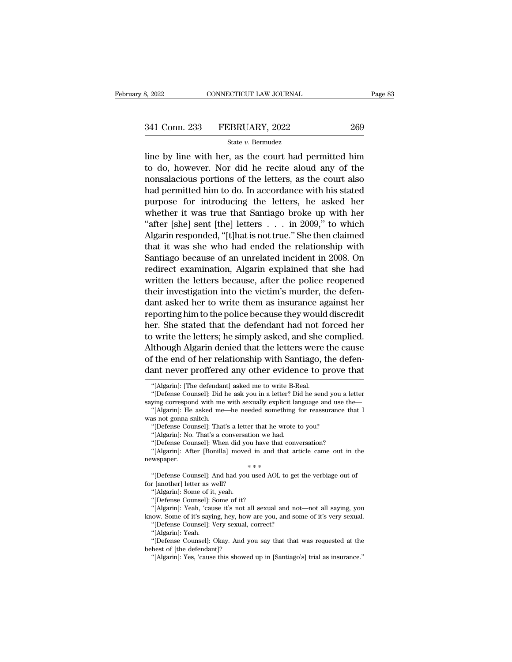$\begin{array}{r|l}\n & \text{S, } 2022 \quad \text{COMNECTICUT LAW JOURNAL} \quad \text{Page 83}\n\hline\n\end{array}$ <br>  $\begin{array}{r}\n & \text{S41 Conn. } 233 \quad \text{FEBRUARY, } 2022 \quad \text{G9}\n\hline\n & \text{State } v. \text{ Bernudez}\n\end{array}$ <br>
The by line with her, as the court had permitted him<br>
to do, however. Nor did he re 341 Conn. 233 FEBRUARY, 2022 269<br>
State v. Bermudez<br>
line by line with her, as the court had permitted him<br>
to do, however. Nor did he recite aloud any of the<br>
nonsalacious portions of the letters, as the court also<br>
hed 341 Conn. 233 FEBRUARY, 2022 269<br>
State v. Bernudez<br>
line by line with her, as the court had permitted him<br>
to do, however. Nor did he recite aloud any of the<br>
nonsalacious portions of the letters, as the court also<br>
had 341 Conn. 233 FEBRUARY, 2022 269<br>
State v. Bermudez<br>
line by line with her, as the court had permitted him<br>
to do, however. Nor did he recite aloud any of the<br>
nonsalacious portions of the letters, as the court also<br>
had State v. Bermudez<br>line by line with her, as the court had permitted him<br>to do, however. Nor did he recite aloud any of the<br>nonsalacious portions of the letters, as the court also<br>had permitted him to do. In accordance wit State *v*. Bermadez<br>line by line with her, as the court had permitted him<br>to do, however. Nor did he recite aloud any of the<br>nonsalacious portions of the letters, as the court also<br>had permitted him to do. In accordance w line by line with her, as the court had permitted him<br>to do, however. Nor did he recite aloud any of the<br>nonsalacious portions of the letters, as the court also<br>had permitted him to do. In accordance with his stated<br>purpos to do, however. Nor did he recite aloud any of the<br>nonsalacious portions of the letters, as the court also<br>had permitted him to do. In accordance with his stated<br>purpose for introducing the letters, he asked her<br>whether it nonsalacious portions of the letters, as the court also<br>had permitted him to do. In accordance with his stated<br>purpose for introducing the letters, he asked her<br>whether it was true that Santiago broke up with her<br>"after [s had permitted him to do. In accordance with his stated<br>purpose for introducing the letters, he asked her<br>whether it was true that Santiago broke up with her<br>"after [she] sent [the] letters . . . in 2009," to which<br>Algarin purpose for introducing the letters, he asked her<br>whether it was true that Santiago broke up with her<br>"after [she] sent [the] letters . . . in 2009," to which<br>Algarin responded, "[t]hat is not true." She then claimed<br>that whether it was true that Santiago broke up with her<br>
"after [she] sent [the] letters  $\dots$  in 2009," to which<br>
Algarin responded, "[t]hat is not true." She then claimed<br>
that it was she who had ended the relationship with<br> "after [she] sent [the] letters  $\dots$  in 2009," to which<br>Algarin responded, "[t]hat is not true." She then claimed<br>that it was she who had ended the relationship with<br>Santiago because of an unrelated incident in 2008. On<br>r Algarin responded, "[t]hat is not true." She then claimed<br>that it was she who had ended the relationship with<br>Santiago because of an unrelated incident in 2008. On<br>redirect examination, Algarin explained that she had<br>writt that it was she who had ended the relationship with<br>Santiago because of an unrelated incident in 2008. On<br>redirect examination, Algarin explained that she had<br>written the letters because, after the police reopened<br>their in Santiago because of an unrelated incident in 2008. On<br>redirect examination, Algarin explained that she had<br>written the letters because, after the police reopened<br>their investigation into the victim's murder, the defen-<br>dan redirect examination, Algarin explained that she had<br>written the letters because, after the police reopened<br>their investigation into the victim's murder, the defen-<br>dant asked her to write them as insurance against her<br>rep written the letters because, after the police reopened<br>their investigation into the victim's murder, the defen-<br>dant asked her to write them as insurance against her<br>reporting him to the police because they would discredit their investigation into the victim's murder, the defendant asked her to write them as insurance against her reporting him to the police because they would discredit her. She stated that the defendant had not forced her to dant asked her to write them as insurance against her<br>reporting him to the police because they would discredit<br>her. She stated that the defendant had not forced her<br>to write the letters; he simply asked, and she complied.<br> ) write the letters; he simply asked, and she<br>lthough Algarin denied that the letters were<br>f the end of her relationship with Santiago,<br>ant never proffered any other evidence to p<br>"[Algarin]: [The defendant] asked me to wr Ithough Algarin denied that the letters were the cause<br>f the end of her relationship with Santiago, the defen-<br>ant never proffered any other evidence to prove that<br>"[Algarin]: [The defendant] asked me to write B-Real.<br>"[De of the end of her relationship with Santiago, the defendant never proffered any other evidence to prove that<br>
"[Algarin]: [The defendant] asked me to write B-Real.<br>
"[Defense Counsel]: Did he ask you in a letter? Did he se

saying correspond with me with sexually explicit language and use the—<br>
"[Algarin]: He asked me—he needed something for reassurance that I<br>
was not gonna snitch.<br>
"[Defense Counsel]: That's a letter that he wrote to you?<br> ying correspond with me with sexually explicit language and use the—"[Algarin]: He asked me—he needed something for reassurance that I as not gonna snitch.<br>"[Defense Counsel]: That's a letter that he wrote to you?<br>"[Algar

dant never proffered any other evidence to prove that "[Algarin]: [The defendant] asked me to write B-Real. "[Defense Counsel]: Did he ask you in a letter? Did he send you a letter saying correspond with me with sexually e dant never profferee<br>
"[Algarin]: [The defendar<br>
"[Defense Counsel]: Did<br>
saying correspond with me<br>
"[Algarin]: He asked me<br>
was not gonna snitch.<br>
"[Defense Counsel]: That "[Algarin]: [The defendant] asked me to write B-Real.<br>"[Defense Counsel]: Did he ask you in a letter? Did he send you a<br>ying correspond with me with sexually explicit language and use<br>"[Algarin]: He asked me—he needed some "|Algarin]: [The defendant] asked me to write B-R<br>"[Defense Counsel]: Did he ask you in a letter? Diging correspond with me with sexually explicit lar<br>"[Algarin]: He asked me—he needed something f<br>as not gonna snitch.<br>"[De

<sup>&</sup>quot;[Defense Counsel]: That's a letter that he wrote to you? "[Algarin]: No. That's a conversation we had. "[Defense Counsel]: When did you have that conversation "[Algarin]: After [Bonilla] moved in and that article can new "[Defense Counsel]: That's a letter that he wrote to you?"<br>"[Algarin]: No. That's a conversation we had."<br>"[Defense Counsel]: When did you have that conversation?"<br>"[Algarin]: After [Bonilla] moved in and that article came "[Algarin]: No. That's a conversation"<br>"[Defense Counsel]: When did you<br>"[Algarin]: After [Bonilla] moved<br>newspaper.<br>"[Defense Counsel]: And had you if<br>or [another] letter as well?<br>"[Algarin]: Some of it, yeah. "[Defense Counsel]: And had you used AOL to get the verbiage out of—<br>for [another] letter as well?<br>"(Algarin]: Some of it, yeah.<br>"[Defense Counsel]: Some of it?<br>"[Algarin]: Yeah, 'cause it's not all sexual and not—not all ""<br>
"(Defense Counsel]: And had you used AOL to get the verbiage out of—<br>
r [another] letter as well?<br>
"[Algarin]: Some of it, yeah.<br>
"[Defense Counsel]: Some of it?<br>
"[Algarin]: Yeah, 'cause it's not all sexual and not—no "<sup>\*\*\*</sup><br>
"[Defense Counsel]: And had you used AOL to get the verbiage out of—<br>
of ithe interest of it, yeah.<br>
"[Algarin]: Some of it, yeah.<br>
"[Algarin]: Yeah, 'cause it's not all sexual and not—not all saying, you<br>
know. So

<sup>&</sup>quot;[Algarin]: Some of it, yeah.<br>"[Defense Counsel]: Some of it?<br>"[Algarin]: Yeah, 'cause it's not all sexual and not—not all saying, you "[Defense Counsel]: And had you used AOL to get<br>"[another] letter as well?<br>"[Algarin]: Some of it, yeah.<br>"[Defense Counsel]: Some of it?<br>"[Algarin]: Yeah, 'cause it's not all sexual and not<br>ow. Some of it's saying, hey, ho r [another] letter as w<br>"[Algarin]: Some of it<br>"[Defense Counsel]: S<br>"[Algarin]: Yeah, 'cau<br>"[Malgarin]: Yeah.<br>"[Defense Counsel]: Veah."<br>"[Defense Counsel]: 0

<sup>&</sup>quot;|Algarin]: Some of it, yeah.<br>"(Defense Counsel]: Some of it?<br>"(Algarin]: Yeah, 'cause it's not all sexual and not—not all saying, you<br>ow. Some of it's saying, hey, how are you, and some of it's very sexual.<br>"[Defense Coun "[Defense Counsel]: Some of it?"<br>"[Algarin]: Yeah, 'cause it's not a<br>know. Some of it's saying, hey, hov<br>"[Defense Counsel]: Very sexual,<br>"[Algarin]: Yeah.<br>"[Defense Counsel]: Okay. And y<br>behest of [the defendant]?"<br>"[Alga "|Algarin]: Yeah, 'cause it's not all sexual and not—not all saying, you<br>ow. Some of it's saying, hey, how are you, and some of it's very sexual.<br>"[Defense Counsel]: Very sexual, correct?<br>"[Algarin]: Yeah.<br>"[Defense Counse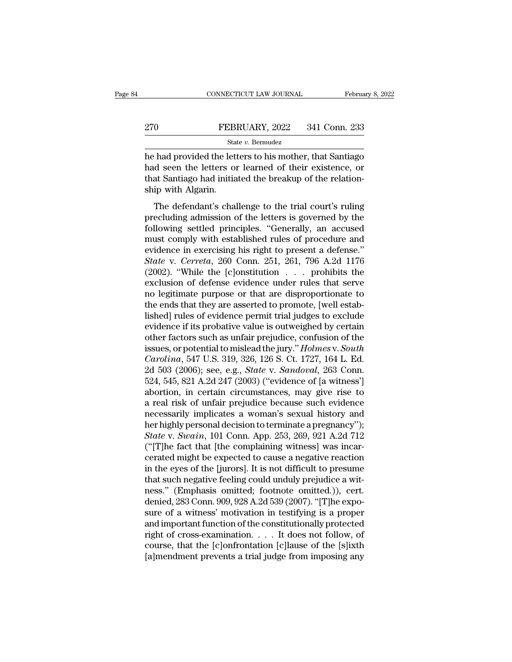## EXECUTE CONNECTICUT LAW JOURNAL February 8, 2022<br>270 FEBRUARY, 2022 341 Conn. 233<br>341 Conn. 233 State *v.* Bermudez

CONNECTICUT LAW JOURNAL February 8, 2022<br>
PEBRUARY, 2022 341 Conn. 233<br>
State v. Bermudez<br>
The had provided the letters to his mother, that Santiago<br>
had seen the letters or learned of their existence, or<br>
that Santiago ha FEBRUARY, 2022 341 Conn. 233<br>
State v. Bermudez<br>
he had provided the letters to his mother, that Santiago<br>
had seen the letters or learned of their existence, or<br>
that Santiago had initiated the breakup of the relation-<br>
s The Santiago FEBRUARY, 2022 341 Conn. 233<br>
State v. Bermudez<br>
he had provided the letters to his mother, that Santiago<br>
had seen the letters or learned of their existence, or<br>
that Santiago had initiated the breakup of th PEBED<br>
Star<br>
he had provided the lett<br>
had seen the letters of<br>
that Santiago had initia<br>
ship with Algarin.<br>
The defendant's chal State v. Bermudez<br>
had provided the letters to his mother, that Santiago<br>
d seen the letters or learned of their existence, or<br>
at Santiago had initiated the breakup of the relation-<br>
ip with Algarin.<br>
The defendant's cha relative the letters to his mother, that Santiago<br>had seen the letters or learned of their existence, or<br>that Santiago had initiated the breakup of the relation-<br>ship with Algarin.<br>The defendant's challenge to the trial co

following settled principles. "Generally, and settled principles."<br>That Santiago had initiated the breakup of the relationship with Algarin.<br>The defendant's challenge to the trial court's ruling<br>precluding admission of the must complete rules of reaction of the charactery of<br>that Santiago had initiated the breakup of the relation-<br>ship with Algarin.<br>The defendant's challenge to the trial court's ruling<br>precluding admission of the letters is that Santiago had initiated the breakup of the relationship with Algarin.<br>The defendant's challenge to the trial court's ruling precluding admission of the letters is governed by the following settled principles. "General The defendant's challenge to the trial court's ruling<br>precluding admission of the letters is governed by the<br>following settled principles. "Generally, an accused<br>must comply with established rules of procedure and<br>evidence The defendant's challenge to the trial court's ruling<br>precluding admission of the letters is governed by the<br>following settled principles. "Generally, an accused<br>must comply with established rules of procedure and<br>evidenc precluding admission of the letters is governed by the following settled principles. "Generally, an accused must comply with established rules of procedure and evidence in exercising his right to present a defense."<br>State following settled principles. "Generally, an accused<br>must comply with established rules of procedure and<br>evidence in exercising his right to present a defense."<br>State v. Cerreta, 260 Conn. 251, 261, 796 A.2d 1176<br>(2002). must comply with established rules of procedure and<br>evidence in exercising his right to present a defense."<br>State v. Cerreta, 260 Conn. 251, 261, 796 A.2d 1176<br>(2002). "While the [c]onstitution . . . prohibits the<br>exclusio evidence in exercising his right to present a defense."<br> *State* v. *Cerreta*, 260 Conn. 251, 261, 796 A.2d 1176<br>
(2002). "While the [c]onstitution . . . prohibits the<br>
exclusion of defense evidence under rules that serve State v. Cerreta, 260 Conn. 251, 261, 796 A.2d 1176 (2002). "While the [c]onstitution  $\ldots$  prohibits the exclusion of defense evidence under rules that serve no legitimate purpose or that are disproportionate to the ends (2002). "While the [c]onstitution . . . prohibits the exclusion of defense evidence under rules that serve no legitimate purpose or that are disproportionate to the ends that they are asserted to promote, [well establishe exclusion of defense evidence under rules that serve<br>no legitimate purpose or that are disproportionate to<br>the ends that they are asserted to promote, [well estab-<br>lished] rules of evidence permit trial judges to exclude<br>e no legitimate purpose or that are disproportionate to<br>the ends that they are asserted to promote, [well estab-<br>lished] rules of evidence permit trial judges to exclude<br>evidence if its probative value is outweighed by certa the ends that they are asserted to promote, [well established] rules of evidence permit trial judges to exclude<br>evidence if its probative value is outweighed by certain<br>other factors such as unfair prejudice, confusion of lished] rules of evidence permit trial judges to exclude<br>evidence if its probative value is outweighed by certain<br>other factors such as unfair prejudice, confusion of the<br>issues, or potential to mislead the jury." *Holmes* evidence if its probative value is outweighed by certain<br>other factors such as unfair prejudice, confusion of the<br>issues, or potential to mislead the jury." *Holmes v. South*<br>*Carolina*, 547 U.S. 319, 326, 126 S. Ct. 1727, other factors such as unfair prejudice, confusion of the<br>issues, or potential to mislead the jury." *Holmes v. South*<br>Carolina, 547 U.S. 319, 326, 126 S. Ct. 1727, 164 L. Ed.<br>2d 503 (2006); see, e.g., *State v. Sandoval*, issues, or potential to mislead the jury." Holmes v. South<br>Carolina, 547 U.S. 319, 326, 126 S. Ct. 1727, 164 L. Ed.<br>2d 503 (2006); see, e.g., *State v. Sandoval*, 263 Conn.<br>524, 545, 821 A.2d 247 (2003) ("evidence of [a w Carolina, 547 U.S. 319, 326, 126 S. Ct. 1727, 164 L. Ed.<br>2d 503 (2006); see, e.g., *State v. Sandoval*, 263 Conn.<br>524, 545, 821 A.2d 247 (2003) ("evidence of [a witness']<br>abortion, in certain circumstances, may give rise t 2d 503 (2006); see, e.g., *State* v. *Sandoval*, 263 Conn.<br>524, 545, 821 A.2d 247 (2003) ("evidence of [a witness"]<br>abortion, in certain circumstances, may give rise to<br>a real risk of unfair prejudice because such evidence 524, 545, 821 A.2d 247 (2003) ("evidence of [a witness'] abortion, in certain circumstances, may give rise to a real risk of unfair prejudice because such evidence necessarily implicates a woman's sexual history and her h abortion, in certain circumstances, may give rise to<br>a real risk of unfair prejudice because such evidence<br>necessarily implicates a woman's sexual history and<br>her highly personal decision to terminate a pregnancy");<br>*State* a real risk of unfair prejudice because such evidence<br>necessarily implicates a woman's sexual history and<br>her highly personal decision to terminate a pregnancy");<br>*State* v. *Swain*, 101 Conn. App. 253, 269, 921 A.2d 712<br>( necessarily implicates a woman's sexual history and<br>her highly personal decision to terminate a pregnancy");<br>*State v. Swain*, 101 Conn. App. 253, 269, 921 A.2d 712<br>("[T]he fact that [the complaining witness] was incar-<br>c her highly personal decision to terminate a pregnancy");<br> *State* v. *Swain*, 101 Conn. App. 253, 269, 921 A.2d 712<br>
("[T]he fact that [the complaining witness] was incar-<br>
cerated might be expected to cause a negative rea State v. Swain, 101 Conn. App. 253, 269, 921 A.2d 712<br>("[T]he fact that [the complaining witness] was incarcerated might be expected to cause a negative reaction<br>in the eyes of the [jurors]. It is not difficult to presume<br> ("[T]he fact that [the complaining witness] was incarcerated might be expected to cause a negative reaction<br>in the eyes of the [jurors]. It is not difficult to presume<br>that such negative feeling could unduly prejudice a w cerated might be expected to cause a negative reaction<br>in the eyes of the [jurors]. It is not difficult to presume<br>that such negative feeling could unduly prejudice a wit-<br>ness." (Emphasis omitted; footnote omitted.)), cer in the eyes of the [jurors]. It is not difficult to presume<br>that such negative feeling could unduly prejudice a wit-<br>ness." (Emphasis omitted; footnote omitted.)), cert.<br>denied, 283 Conn. 909, 928 A.2d 539 (2007). "[T]he e that such negative feeling could unduly prejudice a witness." (Emphasis omitted; footnote omitted.)), cert.<br>denied, 283 Conn. 909, 928 A.2d 539 (2007). "[T]he exposure of a witness' motivation in testifying is a proper<br>and ness." (Emphasis omitted; footnote omitted.)), cert.<br>denied, 283 Conn. 909, 928 A.2d 539 (2007). "[T]he expo-<br>sure of a witness' motivation in testifying is a proper<br>and important function of the constitutionally protected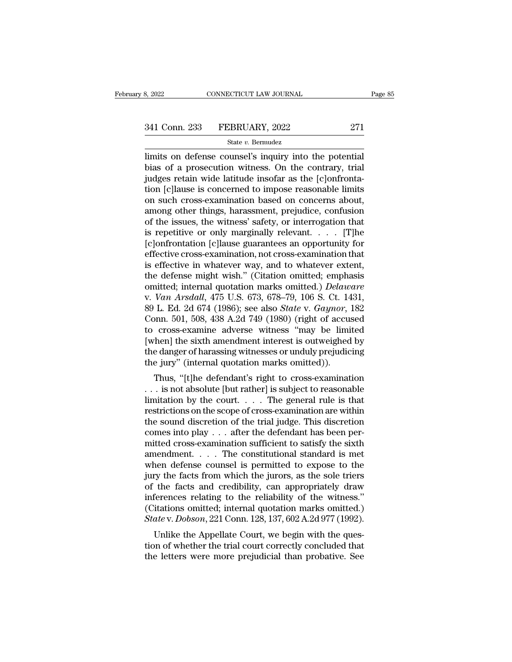# 3, 2022 CONNECTICUT LAW JOURNAL Page 85<br>341 Conn. 233 FEBRUARY, 2022 271<br>State v. Bermudez

## State *v.* Bermudez

S, 2022 CONNECTICUT LAW JOURNAL Page<br>
341 Conn. 233 FEBRUARY, 2022 271<br>
State v. Bernudez<br>
limits on defense counsel's inquiry into the potential<br>
bias of a prosecution witness. On the contrary, trial<br>
index retain wide le  $\begin{array}{ll}\n 341 \text{ Conn. } 233 \quad \text{FEBRUARY, } 2022 \quad \text{271} \\
 \text{State } v. \text{ Bernudez} \\
 \text{limits on defense course's inquiry into the potential bias of a prosecution witness. On the contrary, trial judges retain wide latitude insofar as the [c]onfrontation follows is concerned to impose reasonable limits.} \n\end{array}$ 341 Conn. 233 FEBRUARY, 2022 271<br>
State v. Bermudez<br>
limits on defense counsel's inquiry into the potential<br>
bias of a prosecution witness. On the contrary, trial<br>
judges retain wide latitude insofar as the  $[c]$ onfronta-<br> 341 Conn. 233 FEBRUARY, 2022 271<br>
State v. Bernudez<br>
limits on defense counsel's inquiry into the potential<br>
bias of a prosecution witness. On the contrary, trial<br>
judges retain wide latitude insofar as the [c]onfronta-<br> State v. Bernudez<br>
Imits on defense counsel's inquiry into the potential<br>
bias of a prosecution witness. On the contrary, trial<br>
judges retain wide latitude insofar as the [c]onfronta-<br>
tion [c]lause is concerned to impos state v. Bernudez<br>
limits on defense counsel's inquiry into the potential<br>
bias of a prosecution witness. On the contrary, trial<br>
judges retain wide latitude insofar as the [c]onfronta-<br>
tion [c]lause is concerned to impo limits on defense counsel's inquiry into the potential<br>bias of a prosecution witness. On the contrary, trial<br>judges retain wide latitude insofar as the [c]onfronta-<br>tion [c]lause is concerned to impose reasonable limits<br>on bias of a prosecution witness. On the contrary, trial<br>judges retain wide latitude insofar as the [c]onfronta-<br>tion [c]lause is concerned to impose reasonable limits<br>on such cross-examination based on concerns about,<br>among judges retain wide latitude insofar as the [c]onfrontation [c]lause is concerned to impose reasonable limits<br>on such cross-examination based on concerns about,<br>among other things, harassment, prejudice, confusion<br>of the is tion [c]lause is concerned to impose reasonable limits<br>on such cross-examination based on concerns about,<br>among other things, harassment, prejudice, confusion<br>of the issues, the witness' safety, or interrogation that<br>is r on such cross-examination based on concerns about,<br>among other things, harassment, prejudice, confusion<br>of the issues, the witness' safety, or interrogation that<br>is repetitive or only marginally relevant.... [T]he<br>[c]onfr among other things, harassment, prejudice, confusion<br>of the issues, the witness' safety, or interrogation that<br>is repetitive or only marginally relevant. . . . . [T]he<br>[c]onfrontation [c]lause guarantees an opportunity fo of the issues, the witness' safety, or interrogation that<br>is repetitive or only marginally relevant. . . . . [T]he<br>[c]onfrontation [c]lause guarantees an opportunity for<br>effective cross-examination, not cross-examination t is repetitive or only marginally relevant. . . . . [T]he [c]onfrontation [c]lause guarantees an opportunity for effective cross-examination, not cross-examination that is effective in whatever way, and to whatever extent, [c]onfrontation [c]lause guarantees an opportunity for<br>effective cross-examination, not cross-examination that<br>is effective in whatever way, and to whatever extent,<br>the defense might wish." (Citation omitted; emphasis<br>omit effective cross-examination, not cross-examination that<br>is effective in whatever way, and to whatever extent,<br>the defense might wish." (Citation omitted; emphasis<br>omitted; internal quotation marks omitted.) *Delaware*<br>v. V is effective in whatever way, and to whatever extent,<br>the defense might wish." (Citation omitted; emphasis<br>omitted; internal quotation marks omitted.) *Delaware*<br>v. *Van Arsdall*, 475 U.S. 673, 678–79, 106 S. Ct. 1431,<br>89 the defense might wish." (Citation omitted; emphasis omitted; internal quotation marks omitted.) *Delaware* v. *Van Arsdall*, 475 U.S. 673, 678–79, 106 S. Ct. 1431, 89 L. Ed. 2d 674 (1986); see also *State* v. *Gaynor*, 18 omitted; internal quotation marks omitted.) *Delaware*<br>v. Van Arsdall, 475 U.S. 673, 678–79, 106 S. Ct. 1431,<br>89 L. Ed. 2d 674 (1986); see also *State* v. *Gaynor*, 182<br>Conn. 501, 508, 438 A.2d 749 (1980) (right of accused v. Van Arsdall, 475 U.S. 673, 678–79, 106 S. Ct. 14<br>89 L. Ed. 2d 674 (1986); see also *State* v. *Gaynor*,<br>Conn. 501, 508, 438 A.2d 749 (1980) (right of accus<br>to cross-examine adverse witness "may be limi<br>[when] the sixth L. Ed. 2d 074 (1980), see also *State v. Guynor*, 182<br>pnn. 501, 508, 438 A.2d 749 (1980) (right of accused<br>cross-examine adverse witness "may be limited<br>hen] the sixth amendment interest is outweighed by<br>e danger of haras Confi. 301, 306, 436 A.2d 749 (1980) (right of accused<br>to cross-examine adverse witness "may be limited<br>[when] the sixth amendment interest is outweighed by<br>the danger of harassing witnesses or unduly prejudicing<br>the jury

Limitation by the sixth amendment interest is outweighed by the danger of harassing witnesses or unduly prejudicing the jury" (internal quotation marks omitted)).<br>Thus, "[t]he defendant's right to cross-examination  $\ldots$  [when] the stxth antendment interest is outwerghed by<br>the danger of harassing witnesses or unduly prejudicing<br>the jury" (internal quotation marks omitted)).<br>Thus, "[t]he defendant's right to cross-examination<br> $\ldots$  is not the jury" (internal quotation marks omitted)).<br>
Thus, "[t]he defendant's right to cross-examination<br>  $\dots$  is not absolute [but rather] is subject to reasonable<br>
limitation by the court.  $\dots$  The general rule is that<br>
rest the jury" (internal quotation marks omitted)).<br>Thus, "[t]he defendant's right to cross-examination ... is not absolute [but rather] is subject to reasonable<br>limitation by the court. . . . . The general rule is that<br>restri Thus, "[t]he defendant's right to cross-examination<br>
... is not absolute [but rather] is subject to reasonable<br>
limitation by the court. ... The general rule is that<br>
restrictions on the scope of cross-examination are wit ... is not absolute [but rather] is subject to reasonable<br>limitation by the court.... The general rule is that<br>restrictions on the scope of cross-examination are within<br>the sound discretion of the trial judge. This discre limitation by the court. . . . . The general rule is that<br>restrictions on the scope of cross-examination are within<br>the sound discretion of the trial judge. This discretion<br>comes into play . . . after the defendant has be restrictions on the scope of cross-examination are within<br>the sound discretion of the trial judge. This discretion<br>comes into play  $\ldots$  after the defendant has been per-<br>mitted cross-examination sufficient to satisfy the the sound discretion of the trial judge. This discretion<br>comes into play . . . after the defendant has been per-<br>mitted cross-examination sufficient to satisfy the sixth<br>amendment. . . . The constitutional standard is met comes into play  $\dots$  after the defendant has been per-<br>mitted cross-examination sufficient to satisfy the sixth<br>amendment.  $\dots$ . The constitutional standard is met<br>when defense counsel is permitted to expose to the<br>jury t mitted cross-examination sufficient to satisfy the sixth amendment. . . . The constitutional standard is met when defense counsel is permitted to expose to the jury the facts from which the jurors, as the sole triers of t amendment. . . . . The constitutional standard is met<br>when defense counsel is permitted to expose to the<br>jury the facts from which the jurors, as the sole triers<br>of the facts and credibility, can appropriately draw<br>inferen Then defense courser is permitted to expose to the<br>try the facts from which the jurors, as the sole triers<br>the facts and credibility, can appropriately draw<br>ferences relating to the reliability of the witness."<br>itations om fully the facts front which the jurors, as the sole triefs<br>of the facts and credibility, can appropriately draw<br>inferences relating to the reliability of the witness."<br>(Citations omitted; internal quotation marks omitted.) of the facts and credibility, can appropriately draw<br>inferences relating to the reliability of the witness."<br>(Citations omitted; internal quotation marks omitted.)<br>State v. Dobson, 221 Conn. 128, 137, 602 A.2d 977 (1992).<br>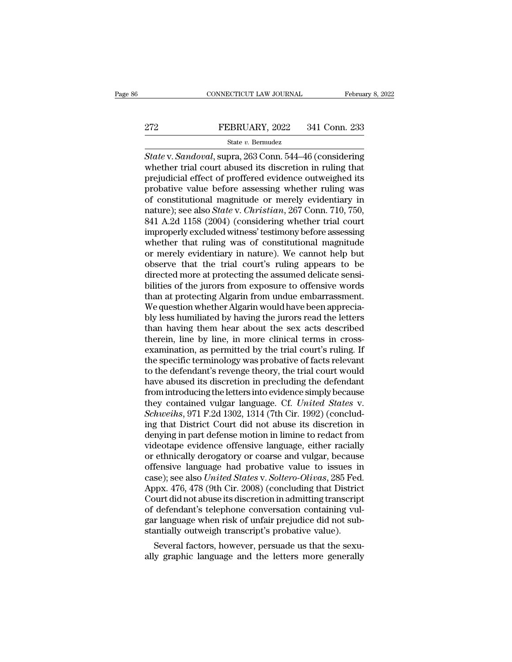# EXECUTE CONNECTICUT LAW JOURNAL February 8, 2022<br>272 FEBRUARY, 2022 341 Conn. 233<br>341 Conn. 233

## State *v.* Bermudez

FEBRUARY, 2022 341 Conn. 233<br> *State v. Sandoval*, supra, 263 Conn. 544–46 (considering<br>
whether trial court abused its discretion in ruling that<br>
projudicial offect of proffored outdones outwoided its PEBRUARY, 2022 341 Conn. 233<br>
State v. Sandoval, supra, 263 Conn. 544–46 (considering<br>
whether trial court abused its discretion in ruling that<br>
prejudicial effect of proffered evidence outweighed its<br>
probative value bef Predset of preferred and the predset of professor and the predset of professor of considering and prejudicial effect of proffered evidence outweighed its probative value before assessing whether ruling was of constitution Probative value of the state value of the state value of the state value of the state v. Sandoval, supra, 263 Conn. 544–46 (considering whether trial court abused its discretion in ruling that prejudicial effect of proffe State v. Sandoval, supra, 263 Conn. 544–46 (considering<br>
State v. Sandoval, supra, 263 Conn. 544–46 (considering<br>
whether trial court abused its discretion in ruling that<br>
prejudicial effect of proffered evidence outweigh state v. *Sandoval*, supra, 263 Conn. 544–46 (considering<br>whether trial court abused its discretion in ruling that<br>prejudicial effect of proffered evidence outweighed its<br>probative value before assessing whether ruling was State v. Sandoval, supra, 263 Conn. 544–46 (considering<br>whether trial court abused its discretion in ruling that<br>prejudicial effect of proffered evidence outweighed its<br>probative value before assessing whether ruling was<br>o whether trial court abused its discretion in ruling that<br>prejudicial effect of proffered evidence outweighed its<br>probative value before assessing whether ruling was<br>of constitutional magnitude or merely evidentiary in<br>natu prejudicial effect of proffered evidence outweighed its<br>probative value before assessing whether ruling was<br>of constitutional magnitude or merely evidentiary in<br>nature); see also *State* v. *Christian*, 267 Conn. 710, 750, probative value before assessing whether ruling was<br>of constitutional magnitude or merely evidentiary in<br>nature); see also *State* v. *Christian*, 267 Conn. 710, 750,<br>841 A.2d 1158 (2004) (considering whether trial court<br>i of constitutional magnitude or merely evidentiary in<br>nature); see also *State* v. *Christian*, 267 Conn. 710, 750,<br>841 A.2d 1158 (2004) (considering whether trial court<br>improperly excluded witness' testimony before assessi nature); see also *State* v. *Christian*, 267 Conn. 710, 750, 841 A.2d 1158 (2004) (considering whether trial court<br>improperly excluded witness' testimony before assessing<br>whether that ruling was of constitutional magnitud 841 A.2d 1158 (2004) (considering whether trial court<br>improperly excluded witness' testimony before assessing<br>whether that ruling was of constitutional magnitude<br>or merely evidentiary in nature). We cannot help but<br>observe improperly excluded witness' testimony before assessing<br>whether that ruling was of constitutional magnitude<br>or merely evidentiary in nature). We cannot help but<br>observe that the trial court's ruling appears to be<br>directed whether that ruling was of constitutional magnitude<br>or merely evidentiary in nature). We cannot help but<br>observe that the trial court's ruling appears to be<br>directed more at protecting the assumed delicate sensi-<br>bilities or merely evidentiary in nature). We cannot help but<br>observe that the trial court's ruling appears to be<br>directed more at protecting the assumed delicate sensi-<br>bilities of the jurors from exposure to offensive words<br>than observe that the trial court's ruling appears to be<br>directed more at protecting the assumed delicate sensi-<br>bilities of the jurors from exposure to offensive words<br>than at protecting Algarin from undue embarrassment.<br>We qu directed more at protecting the assumed delicate sensi-<br>bilities of the jurors from exposure to offensive words<br>than at protecting Algarin from undue embarrassment.<br>We question whether Algarin would have been apprecia-<br>bly bilities of the jurors from exposure to offensive words<br>than at protecting Algarin from undue embarrassment.<br>We question whether Algarin would have been apprecia-<br>bly less humiliated by having the jurors read the letters<br>t than at protecting Algarin from undue embarrassment.<br>We question whether Algarin would have been apprecia-<br>bly less humiliated by having the jurors read the letters<br>than having them hear about the sex acts described<br>therei We question whether Algarin would have been apprecia-<br>bly less humiliated by having the jurors read the letters<br>than having them hear about the sex acts described<br>therein, line by line, in more clinical terms in cross-<br>exa bly less humiliated by having the jurors read the letters<br>than having them hear about the sex acts described<br>therein, line by line, in more clinical terms in cross-<br>examination, as permitted by the trial court's ruling. If than having them hear about the sex acts described<br>therein, line by line, in more clinical terms in cross-<br>examination, as permitted by the trial court's ruling. If<br>the specific terminology was probative of facts relevant<br> therein, line by line, in more clinical terms in cross-<br>examination, as permitted by the trial court's ruling. If<br>the specific terminology was probative of facts relevant<br>to the defendant's revenge theory, the trial court examination, as permitted by the trial court's ruling. If<br>the specific terminology was probative of facts relevant<br>to the defendant's revenge theory, the trial court would<br>have abused its discretion in precluding the defen the specific terminology was probative of facts relevant<br>to the defendant's revenge theory, the trial court would<br>have abused its discretion in precluding the defendant<br>from introducing the letters into evidence simply bec to the defendant's revenge theory, the trial court would<br>have abused its discretion in precluding the defendant<br>from introducing the letters into evidence simply because<br>they contained vulgar language. Cf. *United States* have abused its discretion in precluding the defendant<br>from introducing the letters into evidence simply because<br>they contained vulgar language. Cf. *United States v.*<br>*Schweihs*, 971 F.2d 1302, 1314 (7th Cir. 1992) (concl from introducing the letters into evidence simply because<br>they contained vulgar language. Cf. *United States v.*<br>*Schweihs*, 971 F.2d 1302, 1314 (7th Cir. 1992) (conclud-<br>ing that District Court did not abuse its discretio they contained vulgar language. Cf. *United States v.*<br>Schweihs, 971 F.2d 1302, 1314 (7th Cir. 1992) (conclud-<br>ing that District Court did not abuse its discretion in<br>denying in part defense motion in limine to redact from Schweihs, 971 F.2d 1302, 1314 (7th Cir. 1992) (conclud-<br>ing that District Court did not abuse its discretion in<br>denying in part defense motion in limine to redact from<br>videotape evidence offensive language, either racially ing that District Court did not abuse its discretion in<br>denying in part defense motion in limine to redact from<br>videotape evidence offensive language, either racially<br>or ethnically derogatory or coarse and vulgar, because<br> denying in part defense motion in limine to redact from<br>videotape evidence offensive language, either racially<br>or ethnically derogatory or coarse and vulgar, because<br>offensive language had probative value to issues in<br>case videotape evidence offensive language, either racially<br>or ethnically derogatory or coarse and vulgar, because<br>offensive language had probative value to issues in<br>case); see also *United States* v. *Soltero-Olivas*, 285 Fed or ethnically derogatory or coarse and vulgar, because<br>offensive language had probative value to issues in<br>case); see also *United States* v. *Soltero-Olivas*, 285 Fed.<br>Appx. 476, 478 (9th Cir. 2008) (concluding that Distr offensive language had probative value to issues in case); see also *United States v. Soltero-Olivas*, 285 Fed Appx. 476, 478 (9th Cir. 2008) (concluding that Distric Court did not abuse its discretion in admitting transcr case); see also *United States* v. *Soltero-Olivas*, 285 Fed.<br>Appx. 476, 478 (9th Cir. 2008) (concluding that District<br>Court did not abuse its discretion in admitting transcript<br>of defendant's telephone conversation contai Appx. 476, 478 (9th Cir. 2008) (concluding that District<br>Court did not abuse its discretion in admitting transcript<br>of defendant's telephone conversation containing vul-<br>gar language when risk of unfair prejudice did not s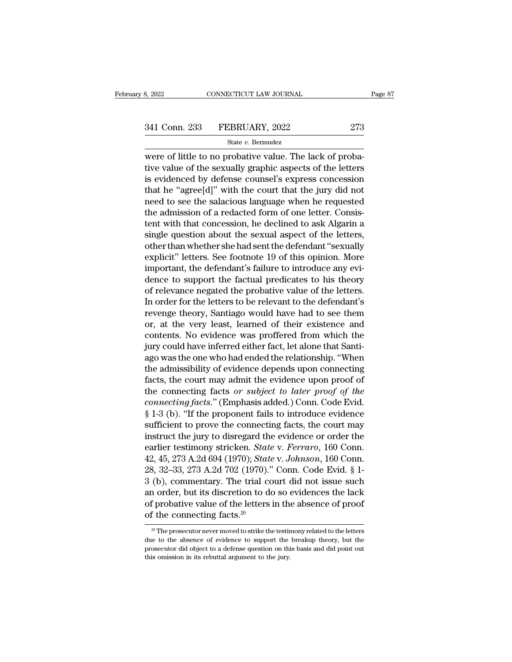8, 2022 CONNECTICUT LAW JOURNAL<br>
341 Conn. 233 FEBRUARY, 2022 273<br>
341 Conn. 233 FEBRUARY, 2022 273<br>
34 State v. Bermudez<br>
35 Were of little to no probative value. The lack of proba-<br>
4 State value of the sexually graphic 341 Conn. 233 FEBRUARY, 2022 273<br>
State v. Bernudez<br>
were of little to no probative value. The lack of probative value of the sexually graphic aspects of the letters<br>
is evidenced by defense counsel's express concession<br> 341 Conn. 233 FEBRUARY, 2022 273<br>
State v. Bernudez<br>
were of little to no probative value. The lack of probative<br>
value of the sexually graphic aspects of the letters<br>
is evidenced by defense counsel's express concession<br> 341 Conn. 233 FEBRUARY, 2022 273<br>
State v. Bernudez<br>
were of little to no probative value. The lack of proba-<br>
tive value of the sexually graphic aspects of the letters<br>
is evidenced by defense counsel's express concessio State v. Bernudez<br>were of little to no probative value. The lack of proba-<br>tive value of the sexually graphic aspects of the letters<br>is evidenced by defense counsel's express concession<br>that he "agree[d]" with the court t siate  $\overline{c}$ . Behadez<br>were of little to no probative value. The lack of proba-<br>tive value of the sexually graphic aspects of the letters<br>is evidenced by defense counsel's express concession<br>that he "agree[d]" with the c were of little to no probative value. The lack of probative value of the sexually graphic aspects of the letters<br>is evidenced by defense counsel's express concession<br>that he "agree[d]" with the court that the jury did not<br> tive value of the sexually graphic aspects of the letters<br>is evidenced by defense counsel's express concession<br>that he "agree[d]" with the court that the jury did not<br>need to see the salacious language when he requested<br>th is evidenced by defense counsel's express concession<br>that he "agree[d]" with the court that the jury did not<br>need to see the salacious language when he requested<br>the admission of a redacted form of one letter. Consis-<br>tent that he "agree[d]" with the court that the jury did not<br>need to see the salacious language when he requested<br>the admission of a redacted form of one letter. Consis-<br>tent with that concession, he declined to ask Algarin a<br>s need to see the salacious language when he requested<br>the admission of a redacted form of one letter. Consis-<br>tent with that concession, he declined to ask Algarin a<br>single question about the sexual aspect of the letters,<br>o the admission of a redacted form of one letter. Consistent with that concession, he declined to ask Algarin a single question about the sexual aspect of the letters, other than whether she had sent the defendant "sexually tent with that concession, he declined to ask Algarin a<br>single question about the sexual aspect of the letters,<br>other than whether she had sent the defendant "sexually<br>explicit" letters. See footnote 19 of this opinion. Mo single question about the sexual aspect of the letters,<br>other than whether she had sent the defendant "sexually<br>explicit" letters. See footnote 19 of this opinion. More<br>important, the defendant's failure to introduce any e other than whether she had sent the defendant "sexually<br>explicit" letters. See footnote 19 of this opinion. More<br>important, the defendant's failure to introduce any evi-<br>dence to support the factual predicates to his theor explicit" letters. See footnote 19 of this opinion. More<br>important, the defendant's failure to introduce any evi-<br>dence to support the factual predicates to his theory<br>of relevance negated the probative value of the letter important, the defendant's failure to introduce any evidence to support the factual predicates to his theory<br>of relevance negated the probative value of the letters.<br>In order for the letters to be relevant to the defendant dence to support the factual predicates to his theory<br>of relevance negated the probative value of the letters.<br>In order for the letters to be relevant to the defendant's<br>revenge theory, Santiago would have had to see them<br> of relevance negated the probative value of the letters.<br>In order for the letters to be relevant to the defendant's<br>revenge theory, Santiago would have had to see them<br>or, at the very least, learned of their existence and<br> In order for the letters to be relevant to the defendant's<br>revenge theory, Santiago would have had to see them<br>or, at the very least, learned of their existence and<br>contents. No evidence was proffered from which the<br>jury c revenge theory, Santiago would have had to see them<br>or, at the very least, learned of their existence and<br>contents. No evidence was proffered from which the<br>jury could have inferred either fact, let alone that Santi-<br>ago or, at the very least, learned of their existence and<br>contents. No evidence was proffered from which the<br>jury could have inferred either fact, let alone that Santi-<br>ago was the one who had ended the relationship. "When<br>the contents. No evidence was proffered from which the<br>jury could have inferred either fact, let alone that Santi-<br>ago was the one who had ended the relationship. "When<br>the admissibility of evidence depends upon connecting<br>fac jury could have inferred either fact, let alone that Santi-<br>ago was the one who had ended the relationship. "When<br>the admissibility of evidence depends upon connecting<br>facts, the court may admit the evidence upon proof of<br> ago was the one who had ended the relationship. "When<br>the admissibility of evidence depends upon connecting<br>facts, the court may admit the evidence upon proof of<br>the connecting facts or *subject to later proof of the<br>conn* the admissibility of evidence depends upon connecting<br>facts, the court may admit the evidence upon proof of<br>the connecting facts or *subject to later proof of the*<br>*connecting facts.*" (Emphasis added.) Conn. Code Evid.<br>§ facts, the court may admit the evidence upon proof of<br>the connecting facts *or subject to later proof of the*<br>*connecting facts.*" (Emphasis added.) Conn. Code Evid.<br>§ 1-3 (b). "If the proponent fails to introduce evidence the connecting facts *or subject to later proof of the*<br>connecting facts." (Emphasis added.) Conn. Code Evid.<br>§ 1-3 (b). "If the proponent fails to introduce evidence<br>sufficient to prove the connecting facts, the court may connecting facts." (Emphasis added.) Conn. Code Evid.<br>
§ 1-3 (b). "If the proponent fails to introduce evidence<br>
sufficient to prove the connecting facts, the court may<br>
instruct the jury to disregard the evidence or orde  $\S$  1-3 (b). "If the proponent fails to introduce evidence<br>sufficient to prove the connecting facts, the court may<br>instruct the jury to disregard the evidence or order the<br>earlier testimony stricken. *State* v. *Ferraro*, sufficient to prove the connecting facts, the court may<br>instruct the jury to disregard the evidence or order the<br>earlier testimony stricken. *State* v. *Ferraro*, 160 Conn.<br>42, 45, 273 A.2d 694 (1970); *State* v. *Johnson* instruct the jury to disregard the evidence or order the<br>earlier testimony stricken. *State v. Ferraro*, 160 Conn.<br>42, 45, 273 A.2d 694 (1970); *State v. Johnson*, 160 Conn.<br>28, 32–33, 273 A.2d 702 (1970)." Conn. Code Evi earlier testimony stricken. *Stat* 42, 45, 273 A.2d 694 (1970); *Stat* 28, 32–33, 273 A.2d 702 (1970).<sup>7</sup><br>3 (b), commentary. The trial comporter, but its discretion to dof probative value of the letters of the connecting 3 (b), commentary. The trial court did not issue such<br>an order, but its discretion to do so evidences the lack<br>of probative value of the letters in the absence of proof<br>of the connecting facts.<sup>20</sup><br> $\frac{1}{20}$ The prosecuto an order, but its discretion to do so evidences the lack<br>of probative value of the letters in the absence of proof<br>of the connecting facts.<sup>20</sup><br> $\frac{20}{100}$  The prosecutor never moved to strike the testimony related to th

of probative value of the letters in the absence of proof<br>of the connecting facts.<sup>20</sup><br> $\frac{20}{\pi}$ The prosecutor never moved to strike the testimony related to the letters<br>due to the absence of evidence to support the bre  $20$  The prosecutor never moved to strike the testimony related to the letters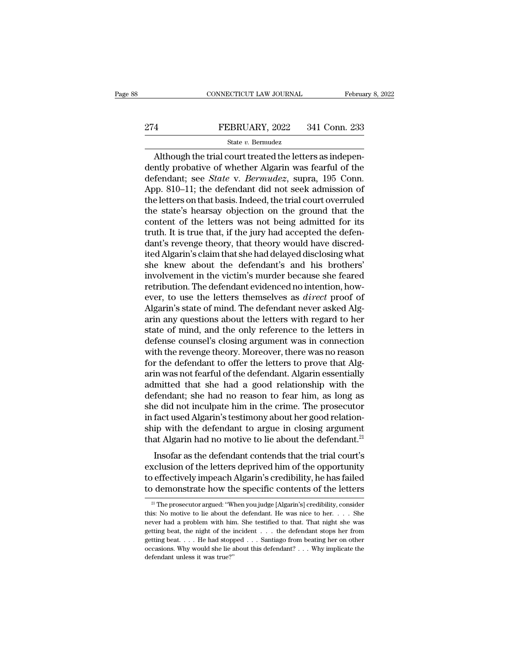# EXECUTE CONNECTICUT LAW JOURNAL February 8, 2022<br>274 FEBRUARY, 2022 341 Conn. 233<br>341 State v. Bermudez

## State *v.* Bermudez

CONNECTICUT LAW JOURNAL Februa<br>
4 FEBRUARY, 2022 341 Conn. 233<br>
5tate v. Bermudez<br>
Although the trial court treated the letters as indepen-<br>
Inty probative of whether Algarin was fearful of the<br>
fondant: see State v. Bermu EEBRUARY, 2022 341 Conn. 233<br>
State v. Bermudez<br>
Although the trial court treated the letters as independently probative of whether Algarin was fearful of the<br>
defendant; see *State* v. *Bermudez*, supra, 195 Conn.<br>
App. 8 FEBRUARY, 2022 341 Conn. 233<br>
State v. Bermudez<br>
Although the trial court treated the letters as independently probative of whether Algarin was fearful of the<br>
defendant; see *State* v. *Bermudez*, supra, 195 Conn.<br>
App. 8 EBRUARY, 2022 341 Conn. 233<br>
State v. Bermudez<br>
Although the trial court treated the letters as independently probative of whether Algarin was fearful of the<br>
defendant; see *State* v. *Bermudez*, supra, 195 Conn.<br>
App. 8 State v. Bernudez<br>
State v. Bernudez<br>
Although the trial court treated the letters as independently probative of whether Algarin was fearful of the<br>
defendant; see *State* v. *Bernudez*, supra, 195 Conn.<br>
App. 810–11; the State v. Bermudez<br>
Although the trial court treated the letters as independently probative of whether Algarin was fearful of the<br>
defendant; see *State* v. *Bermudez*, supra, 195 Conn.<br>
App. 810–11; the defendant did not Although the trial court treated the letters as independently probative of whether Algarin was fearful of the defendant; see *State* v. *Bermudez*, supra, 195 Conn. App. 810–11; the defendant did not seek admission of the dently probative of whether Algarin was fearful of the<br>defendant; see *State* v. *Bermudez*, supra, 195 Conn.<br>App. 810–11; the defendant did not seek admission of<br>the letters on that basis. Indeed, the trial court overrule defendant; see *State* v. *Bermudez*, supra, 195 Conn.<br>App. 810–11; the defendant did not seek admission of<br>the letters on that basis. Indeed, the trial court overruled<br>the state's hearsay objection on the ground that the<br> App. 810–11; the defendant did not seek admission of<br>the letters on that basis. Indeed, the trial court overruled<br>the state's hearsay objection on the ground that the<br>content of the letters was not being admitted for its<br>t the letters on that basis. Indeed, the trial court overruled<br>the state's hearsay objection on the ground that the<br>content of the letters was not being admitted for its<br>truth. It is true that, if the jury had accepted the d the state's hearsay objection on the ground that the content of the letters was not being admitted for its truth. It is true that, if the jury had accepted the defendant's revenge theory, that theory would have discredited content of the letters was not being admitted for its<br>truth. It is true that, if the jury had accepted the defen-<br>dant's revenge theory, that theory would have discred-<br>ited Algarin's claim that she had delayed disclosing truth. It is true that, if the jury had accepted the defen-<br>dant's revenge theory, that theory would have discred-<br>ited Algarin's claim that she had delayed disclosing what<br>she knew about the defendant's and his brothers'<br> dant's revenge theory, that theory would have discred-<br>ited Algarin's claim that she had delayed disclosing what<br>she knew about the defendant's and his brothers'<br>involvement in the victim's murder because she feared<br>retrib ited Algarin's claim that she had delayed disclosing what<br>she knew about the defendant's and his brothers'<br>involvement in the victim's murder because she feared<br>retribution. The defendant evidenced no intention, how-<br>ever, she knew about the defendant's and his brothers'<br>involvement in the victim's murder because she feared<br>retribution. The defendant evidenced no intention, how-<br>ever, to use the letters themselves as *direct* proof of<br>Algari involvement in the victim's murder because she feared<br>retribution. The defendant evidenced no intention, how-<br>ever, to use the letters themselves as *direct* proof of<br>Algarin's state of mind. The defendant never asked Algretribution. The defendant evidenced no intention, how-<br>ever, to use the letters themselves as *direct* proof of<br>Algarin's state of mind. The defendant never asked Alg-<br>arin any questions about the letters with regard to h ever, to use the letters themselves as *direct* proof of Algarin's state of mind. The defendant never asked Alg-<br>arin any questions about the letters with regard to her<br>state of mind, and the only reference to the letters Algarin's state of mind. The defendant never asked Algarin any questions about the letters with regard to her state of mind, and the only reference to the letters in defense counsel's closing argument was in connection wit arin any questions about the letters with regard to her<br>state of mind, and the only reference to the letters in<br>defense counsel's closing argument was in connection<br>with the revenge theory. Moreover, there was no reason<br>fo state of mind, and the only reference to the letters in<br>defense counsel's closing argument was in connection<br>with the revenge theory. Moreover, there was no reason<br>for the defendant to offer the letters to prove that Alg-<br> defense counsel's closing argument was in connection<br>with the revenge theory. Moreover, there was no reason<br>for the defendant to offer the letters to prove that Alg-<br>arin was not fearful of the defendant. Algarin essential with the revenge theory. Moreover, there was no reason<br>for the defendant to offer the letters to prove that Algarin<br>was not fearful of the defendant. Algarin essentially<br>admitted that she had a good relationship with the<br>d for the defendant to offer the letters to prove that Algarin was not fearful of the defendant. Algarin essentially admitted that she had a good relationship with the defendant; she had no reason to fear him, as long as sh arin was not fearful of the defendant. Algarin essentially<br>admitted that she had a good relationship with the<br>defendant; she had no reason to fear him, as long as<br>she did not inculpate him in the crime. The prosecutor<br>in f Instant and a site in a good relationship with the defendant; she had no reason to fear him, as long as<br>e did not inculpate him in the crime. The prosecutor<br>fact used Algarin's testimony about her good relation-<br>ip with th exclusion, she had no reason to rear him, as long as<br>she did not inculpate him in the crime. The prosecutor<br>in fact used Algarin's testimony about her good relation-<br>ship with the defendant to argue in closing argument<br>tha

She did not hedipate find in the critic. The prosecutor<br>in fact used Algarin's testimony about her good relation-<br>ship with the defendant to argue in closing argument<br>that Algarin had no motive to lie about the defendant.<sup></sup> that discussion is essimility about the good relation<br>ship with the defendant to argue in closing argument<br>that Algarin had no motive to lie about the defendant.<sup>21</sup><br>Insofar as the defendant contends that the trial court' Insotar as the detendant contends that the trial court's<br>
clusion of the letters deprived him of the opportunity<br>
offectively impeach Algarin's credibility, he has failed<br>
of demonstrate how the specific contents of the l exclusion of the letters deprived him of the opportunity<br>to effectively impeach Algarin's credibility, he has failed<br>to demonstrate how the specific contents of the letters<br> $\frac{2!}{1!}$  The prosecutor argued: "When you jud

to effectively impeach Algarin's credibility, he has failed<br>to demonstrate how the specific contents of the letters<br> $\frac{2!}{1!}$  The prosecutor argued: "When you judge [Algarin's] credibility, consider<br>this: No motive to l to demonstrate how the specific contents of the letters<br>
<sup>21</sup> The prosecutor argued: "When you judge [Algarin's] credibility, consider<br>
this: No motive to lie about the defendant. He was nice to her. . . . She<br>
never had We defind that the wave the specific contrefits of the fetters<br>
<sup>21</sup> The prosecutor argued: "When you judge [Algarin's] credibility, consider<br>
this: No motive to lie about the defendant. He was nice to her. . . . She<br>
nev <sup>21</sup> The prosecutor argued: "When you judge [Algarin's] credibility, consider this: No motive to lie about the defendant. He was nice to her. . . . She never had a problem with him. She testified to that. That night she w this: No motive to lie about the defendant. He was nice to her. . . . She never had a problem with him. She testified to that. That night she was getting beat, the night of the incident . . . the defendant stops her from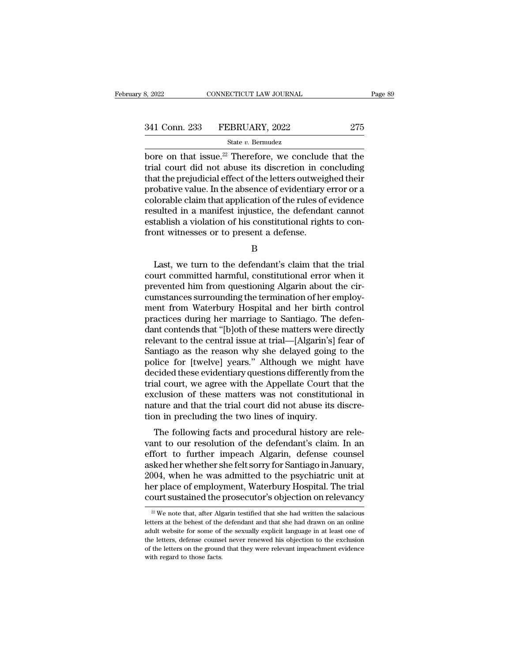$\begin{array}{cccc}\n & \text{B, 2022} & \text{COMNETICUT LAW JOURNAL} & \text{Page 89}\n \hline\n & & \text{State } v. \text{ Bernudez}\n \end{array}$ <br>
bore on that issue.<sup>22</sup> Therefore, we conclude that the<br>
trial court did not abuse its discretion in concluding<br>
that the projudicial offect of th 341 Conn. 233 FEBRUARY, 2022 275<br>
State v. Bermudez<br>
bore on that issue.<sup>22</sup> Therefore, we conclude that the<br>
trial court did not abuse its discretion in concluding<br>
that the prejudicial effect of the letters outweighed t 341 Conn. 233 FEBRUARY, 2022 275<br>
State v. Bernudez<br>
bore on that issue.<sup>22</sup> Therefore, we conclude that the<br>
trial court did not abuse its discretion in concluding<br>
that the prejudicial effect of the letters outweighed t 341 Conn. 233 FEBRUARY, 2022 275<br>
State v. Bernudez<br>
bore on that issue.<sup>22</sup> Therefore, we conclude that the<br>
trial court did not abuse its discretion in concluding<br>
that the prejudicial effect of the letters outweighed t State v. Bermudez<br>
State v. Bermudez<br>
bore on that issue.<sup>22</sup> Therefore, we conclude that the<br>
trial court did not abuse its discretion in concluding<br>
that the prejudicial effect of the letters outweighed their<br>
probative state v. Bernudez<br>bore on that issue.<sup>22</sup> Therefore, we conclude that the<br>trial court did not abuse its discretion in concluding<br>that the prejudicial effect of the letters outweighed their<br>probative value. In the absence bore on that issue.<sup>22</sup> Therefore, we conclude that the trial court did not abuse its discretion in concluding that the prejudicial effect of the letters outweighed their probative value. In the absence of evidentiary erro from that the prejudicial effect of the letters outweight that the prejudicial effect of the letters outweight probative value. In the absence of evidentiary colorable claim that application of the rules of resulted in a m lorable claim that application of the rules of evidence<br>sulted in a manifest injustice, the defendant cannot<br>tablish a violation of his constitutional rights to con-<br>ont witnesses or to present a defense.<br>B<br>Last, we turn t

B

resulted in a manifest injustice, the defendant cannot<br>establish a violation of his constitutional rights to con-<br>front witnesses or to present a defense.<br>B<br>Last, we turn to the defendant's claim that the trial<br>court commi establish a violation of his constitutional rights to confront witnesses or to present a defense.<br>
B<br>
Last, we turn to the defendant's claim that the trial<br>
court committed harmful, constitutional error when it<br>
prevented front witnesses or to present a defense.<br>B<br>Last, we turn to the defendant's claim that the trial<br>court committed harmful, constitutional error when it<br>prevented him from questioning Algarin about the cir-<br>cumstances surrou B<br>
Last, we turn to the defendant's claim that the trial<br>
court committed harmful, constitutional error when it<br>
prevented him from questioning Algarin about the cir-<br>
cumstances surrounding the termination of her employ-<br> b<br>Last, we turn to the defendant's claim that the trial<br>court committed harmful, constitutional error when it<br>prevented him from questioning Algarin about the cir-<br>cumstances surrounding the termination of her employ-<br>ment Last, we turn to the defendant's claim that the trial<br>court committed harmful, constitutional error when it<br>prevented him from questioning Algarin about the cir-<br>cumstances surrounding the termination of her employ-<br>ment f court committed harmful, constitutional error when it<br>prevented him from questioning Algarin about the cir-<br>cumstances surrounding the termination of her employ-<br>ment from Waterbury Hospital and her birth control<br>practices prevented him from questioning Algarin about the circumstances surrounding the termination of her employment from Waterbury Hospital and her birth control<br>practices during her marriage to Santiago. The defen-<br>dant contends cumstances surrounding the termination of her employment from Waterbury Hospital and her birth control<br>practices during her marriage to Santiago. The defen-<br>dant contends that "[b]oth of these matters were directly<br>relevan ment from Waterbury Hospital and her birth control<br>practices during her marriage to Santiago. The defen-<br>dant contends that "[b]oth of these matters were directly<br>relevant to the central issue at trial—[Algarin's] fear of<br> practices during her marriage to Santiago. The defendant contends that "[b]oth of these matters were directly relevant to the central issue at trial—[Algarin's] fear of Santiago as the reason why she delayed going to the p dant contends that "[b]oth of these matters were directly<br>relevant to the central issue at trial—[Algarin's] fear of<br>Santiago as the reason why she delayed going to the<br>police for [twelve] years." Although we might have<br>de relevant to the central issue at trial—[Algarin's] fear of<br>Santiago as the reason why she delayed going to the<br>police for [twelve] years." Although we might have<br>decided these evidentiary questions differently from the<br>tri Santiago as the reason why she delayed going<br>police for [twelve] years." Although we migh<br>decided these evidentiary questions differently fr<br>trial court, we agree with the Appellate Court tl<br>exclusion of these matters was The following facts and procedural history are rele-<br>the following factor and court, we agree with the Appellate Court that the<br>clusion of these matters was not constitutional in<br>ture and that the trial court did not abuse recided these evidentiary questions unferently from the<br>trial court, we agree with the Appellate Court that the<br>exclusion of these matters was not constitutional in<br>nature and that the trial court did not abuse its discre-

Final court, we agree with the Appenate Court that the<br>exclusion of these matters was not constitutional in<br>nature and that the trial court did not abuse its discre-<br>tion in precluding the two lines of inquiry.<br>The followi exclusion of these matters was not constitutional in<br>mature and that the trial court did not abuse its discre-<br>tion in precluding the two lines of inquiry.<br>The following facts and procedural history are rele-<br>vant to our r rature and that the trial court did not abuse its discretion in precluding the two lines of inquiry.<br>The following facts and procedural history are relevant to our resolution of the defendant's claim. In an effort to furth Fraction in preciding the two mies of inquity.<br>The following facts and procedural history are relevant to our resolution of the defendant's claim. In an<br>effort to further impeach Algarin, defense counsel<br>asked her whether The following facts and procedural history are relevant to our resolution of the defendant's claim. In an effort to further impeach Algarin, defense counsel asked her whether she felt sorry for Santiago in January, 2004, sked her whether she felt sorry for Santiago in January,<br>004, when he was admitted to the psychiatric unit at<br>er place of employment, Waterbury Hospital. The trial<br>ourt sustained the prosecutor's objection on relevancy<br><sup>22</sup> 2004, when he was admitted to the psychiatric unit at<br>her place of employment, Waterbury Hospital. The trial<br>court sustained the prosecutor's objection on relevancy<br> $\frac{w}{2}$  We note that, after Algarin testified that she

her place of employment, Waterbury Hospital. The trial court sustained the prosecutor's objection on relevancy<br> $\frac{w}{w}$  we note that, after Algarin testified that she had written the salacious letters at the behest of th From Sustained the prosecutor's objection on relevancy<br>  $\frac{2}{x}$  We note that, after Algarin testified that she had written the salacious<br>
letters at the behest of the defendant and that she had drawn on an online<br>
adult <sup>22</sup> We note that, after Algarin testified that she had written the salacious letters at the behest of the defendant and that she had drawn on an online adult website for some of the sexually explicit language in at least  $\approx$  We note that, after Algements at the behest of the adult website for some of the letters, defense counse of the letters on the ground with regard to those facts.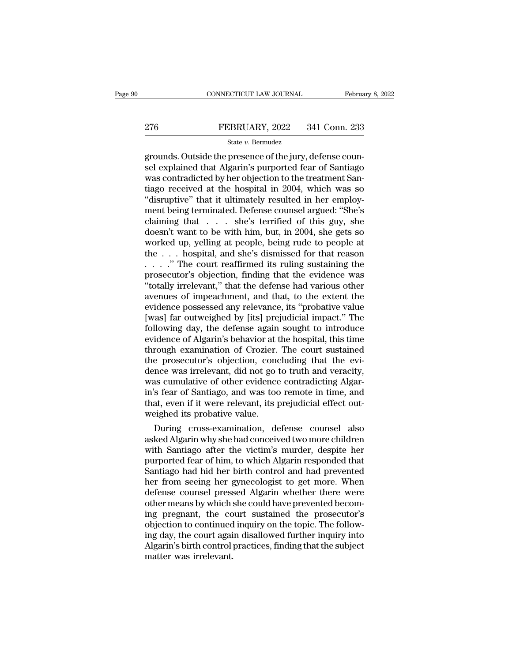# EXECUTE CONNECTICUT LAW JOURNAL February 8, 2022<br>276 FEBRUARY, 2022 341 Conn. 233<br>341 Conn. 233

## State *v.* Bermudez

CONNECTICUT LAW JOURNAL Februa<br>
Presence of the jury, defense coun-<br>
grounds. Outside the presence of the jury, defense coun-<br>
See explained that Algarin's purported fear of Santiago<br>
Nas contradicted by her objection to t  $\begin{tabular}{ll} \bf 276 & \bf FEBRUARY, 2022 & 341 Conn. 233 \\ & \bf 5tate $v$. \bf Bernudez \\ \bf grounds. Outside the presence of the jury, defense coun-  
sel explained that Algarin's purported fear of Santiago \\ \bf was contradicted by her objection to the treatment San-  
tiao received at the hospital in 2004, which was so. \end{tabular}$ 276 FEBRUARY, 2022 341 Conn. 233<br>
State v. Bermudez<br>
grounds. Outside the presence of the jury, defense counsel<br>
explained that Algarin's purported fear of Santiago<br>
was contradicted by her objection to the treatment San-FEBRUARY, 2022 341 Conn. 233<br>
State v. Bernudez<br>
grounds. Outside the presence of the jury, defense counsel<br>
explained that Algarin's purported fear of Santiago<br>
was contradicted by her objection to the treatment San-<br>
ti State v. Bermudez<br>
State v. Bermudez<br>
grounds. Outside the presence of the jury, defense counsel<br>
explained that Algarin's purported fear of Santiago<br>
was contradicted by her objection to the treatment San-<br>
tiago receive state v. Bernudez<br>grounds. Outside the presence of the jury, defense counsel explained that Algarin's purported fear of Santiago<br>was contradicted by her objection to the treatment San-<br>tiago received at the hospital in 20 grounds. Outside the presence of the jury, defense counsel explained that Algarin's purported fear of Santiago<br>was contradicted by her objection to the treatment Santiago<br>was contradicted by her objection to the treatment sel explained that Algarin's purported fear of Santiago<br>was contradicted by her objection to the treatment San-<br>tiago received at the hospital in 2004, which was so<br>"disruptive" that it ultimately resulted in her employ-<br>m was contradicted by her objection to the treatment Santiago received at the hospital in 2004, which was so "disruptive" that it ultimately resulted in her employment being terminated. Defense counsel argued: "She's claimi tiago received at the hospital in 2004, which was so<br>
"disruptive" that it ultimately resulted in her employ-<br>
ment being terminated. Defense counsel argued: "She's<br>
claiming that  $\ldots$  she's terrified of this guy, she<br>
d "disruptive" that it ultimately resulted in her employ-<br>ment being terminated. Defense counsel argued: "She's<br>claiming that  $\dots$  she's terrified of this guy, she<br>doesn't want to be with him, but, in 2004, she gets so<br>work ment being terminated. Defense counsel argued: "She's claiming that  $\ldots$  she's terrified of this guy, she doesn't want to be with him, but, in 2004, she gets so worked up, yelling at people, being rude to people at the claiming that  $\ldots$  she's terrified of this guy, she<br>doesn't want to be with him, but, in 2004, she gets so<br>worked up, yelling at people, being rude to people at<br>the  $\ldots$  hospital, and she's dismissed for that reason<br> $\ld$ doesn't want to be with him, but, in 2004, she gets so<br>worked up, yelling at people, being rude to people at<br>the  $\ldots$  hospital, and she's dismissed for that reason<br> $\ldots$ ." The court reaffirmed its ruling sustaining the<br>p worked up, yelling at people, being rude to people at the  $\ldots$  hospital, and she's dismissed for that reason  $\ldots$  ." The court reaffirmed its ruling sustaining the prosecutor's objection, finding that the evidence was " the . . . hospital, and she's dismissed for that reason<br>
. . . . ." The court reaffirmed its ruling sustaining the<br>
prosecutor's objection, finding that the evidence was<br>
"totally irrelevant," that the defense had various  $\ldots$  ." The court reaffirmed its ruling sustaining the prosecutor's objection, finding that the evidence was "totally irrelevant," that the defense had various other avenues of impeachment, and that, to the extent the ev prosecutor's objection, finding that the evidence was<br>"totally irrelevant," that the defense had various other<br>avenues of impeachment, and that, to the extent the<br>evidence possessed any relevance, its "probative value<br>[was "totally irrelevant," that the defense had various other<br>avenues of impeachment, and that, to the extent the<br>evidence possessed any relevance, its "probative value<br>[was] far outweighed by [its] prejudicial impact." The<br>fol avenues of impeachment, and that, to the extent the<br>evidence possessed any relevance, its "probative value<br>[was] far outweighed by [its] prejudicial impact." The<br>following day, the defense again sought to introduce<br>evidenc evidence possessed any relevance, its "probative value<br>[was] far outweighed by [its] prejudicial impact." The<br>following day, the defense again sought to introduce<br>evidence of Algarin's behavior at the hospital, this time<br>t [was] far outweighed by [its] prejudicial impact." The following day, the defense again sought to introduce evidence of Algarin's behavior at the hospital, this time through examination of Crozier. The court sustained the following day, the defense again sought to introduce<br>evidence of Algarin's behavior at the hospital, this time<br>through examination of Crozier. The court sustained<br>the prosecutor's objection, concluding that the evi-<br>dence evidence of Algarin's behavior at the hospital, this time<br>through examination of Crozier. The court sustained<br>the prosecutor's objection, concluding that the evi-<br>dence was irrelevant, did not go to truth and veracity,<br>was through examination of Crozier.<br>the prosecutor's objection, cond<br>dence was irrelevant, did not go<br>was cumulative of other evidence<br>in's fear of Santiago, and was toc<br>that, even if it were relevant, its p<br>weighed its probat e prosecutor's objection, concluding that the evi-<br>nce was irrelevant, did not go to truth and veracity,<br>as cumulative of other evidence contradicting Algar-<br>is fear of Santiago, and was too remote in time, and<br>at, even if dence was irrelevant, did not go to truth and veracity,<br>was cumulative of other evidence contradicting Algar-<br>in's fear of Santiago, and was too remote in time, and<br>that, even if it were relevant, its prejudicial effect ou

was cumulative of other evidence contradicting Algarin's fear of Santiago, and was too remote in time, and<br>that, even if it were relevant, its prejudicial effect out-<br>weighed its probative value.<br>During cross-examination, in s rear or Santiago, and was too remote in time, and<br>that, even if it were relevant, its prejudicial effect out-<br>weighed its probative value.<br>During cross-examination, defense counsel also<br>asked Algarin why she had conce that, even if it were relevant, its prejudicial effect out-<br>weighed its probative value.<br>During cross-examination, defense counsel also<br>asked Algarin why she had conceived two more children<br>with Santiago after the victim's weigned its probative value.<br>
During cross-examination, defense counsel also<br>
asked Algarin why she had conceived two more children<br>
with Santiago after the victim's murder, despite her<br>
purported fear of him, to which Alg During cross-examination, defense counsel also<br>asked Algarin why she had conceived two more children<br>with Santiago after the victim's murder, despite her<br>purported fear of him, to which Algarin responded that<br>Santiago had asked Algarin why she had conceived two more children<br>with Santiago after the victim's murder, despite her<br>purported fear of him, to which Algarin responded that<br>Santiago had hid her birth control and had prevented<br>her fro with Santiago after the victim's murder, despite her<br>purported fear of him, to which Algarin responded that<br>Santiago had hid her birth control and had prevented<br>her from seeing her gynecologist to get more. When<br>defense co purported fear of him, to which Algarin responded that<br>Santiago had hid her birth control and had prevented<br>her from seeing her gynecologist to get more. When<br>defense counsel pressed Algarin whether there were<br>other means Santiago had hid her birth control and had prevented<br>her from seeing her gynecologist to get more. When<br>defense counsel pressed Algarin whether there were<br>other means by which she could have prevented becom-<br>ing pregnant, her from seeing her gynecologist to get more. When<br>defense counsel pressed Algarin whether there were<br>other means by which she could have prevented becom-<br>ing pregnant, the court sustained the prosecutor's<br>objection to con defense counsel press<br>other means by which :<br>ing pregnant, the co<br>objection to continued<br>ing day, the court agai<br>Algarin's birth control ;<br>matter was irrelevant.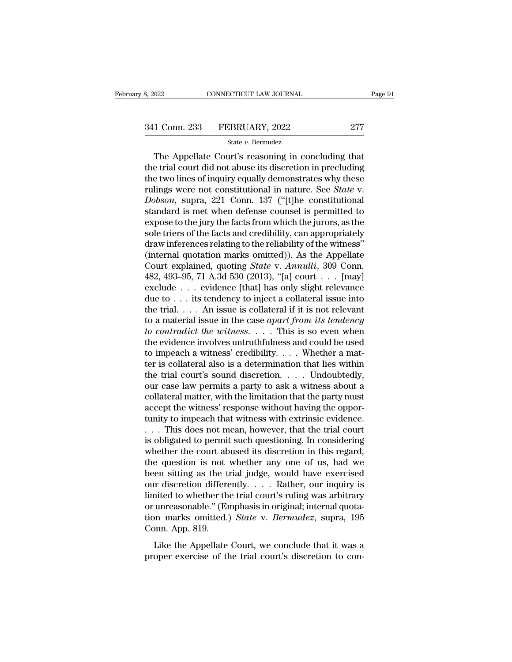$T_{\text{0.22}}$  CONNECTICUT LAW JOURNAL Page 9<br>  $\frac{1 \text{ Conn. } 233$  FEBRUARY,  $2022$  277<br>  $\frac{1 \text{ Star } v. \text{ Bernudez}}{2 \text{ The Appellate Court's reasoning in concluding that}}$ <br>
Etrial court did not abuse its discretion in precluding<br>
two lines of inquiry equally demonstrates 341 Conn. 233 FEBRUARY, 2022 277<br>
State v. Bermudez<br>
The Appellate Court's reasoning in concluding that<br>
the trial court did not abuse its discretion in precluding<br>
the two lines of inquiry equally demonstrates why these<br> 341 Conn. 233 FEBRUARY, 2022 277<br>
State v. Bernudez<br>
The Appellate Court's reasoning in concluding that<br>
the trial court did not abuse its discretion in precluding<br>
the two lines of inquiry equally demonstrates why these<br> 341 Conn. 233 FEBRUARY, 2022 277<br>
<sup>State v. Bermudez<br>
The Appellate Court's reasoning in concluding that<br>
the trial court did not abuse its discretion in precluding<br>
the two lines of inquiry equally demonstrates why these<br></sup> *State v. Bermudez*<br> *Dobson*, supra, 221 Conn. 137 ("[t]he constitutional standard is met when defense counsel is permitted to average to the jury the facts from which the jurys as the average of the jury the facts from w state v. Bermudez<br>The Appellate Court's reasoning in concluding that<br>the trial court did not abuse its discretion in precluding<br>the two lines of inquiry equally demonstrates why these<br>rulings were not constitutional in na The Appellate Court's reasoning in concluding that<br>the trial court did not abuse its discretion in precluding<br>the two lines of inquiry equally demonstrates why these<br>rulings were not constitutional in nature. See *State* v the trial court did not abuse its discretion in precluding<br>the two lines of inquiry equally demonstrates why these<br>rulings were not constitutional in nature. See *State* v.<br>*Dobson*, supra, 221 Conn. 137 ("[t]he constituti the two lines of inquiry equally demonstrates why these<br>rulings were not constitutional in nature. See *State* v.<br>*Dobson*, supra, 221 Conn. 137 ("[t]he constitutional<br>standard is met when defense counsel is permitted to<br> rulings were not constitutional in nature. See *State* v.<br> *Dobson*, supra, 221 Conn. 137 ("[t]he constitutional<br>
standard is met when defense counsel is permitted to<br>
expose to the jury the facts from which the jurors, a Dobson, supra, 221 Conn. 137 ("[t]he constitutional<br>standard is met when defense counsel is permitted to<br>expose to the jury the facts from which the jurors, as the<br>sole triers of the facts and credibility, can appropriatel standard is met when defense counsel is permitted to<br>expose to the jury the facts from which the jurors, as the<br>sole triers of the facts and credibility, can appropriately<br>draw inferences relating to the reliability of th expose to the jury the facts from which the jurors, as the<br>sole triers of the facts and credibility, can appropriately<br>draw inferences relating to the reliability of the witness"<br>(internal quotation marks omitted)). As th sole triers of the facts and credibility, can appropriately<br>draw inferences relating to the reliability of the witness"<br>(internal quotation marks omitted)). As the Appellate<br>Court explained, quoting *State* v. Annulli, 30 draw inferences relating to the reliability of the witness"<br>(internal quotation marks omitted)). As the Appellate<br>Court explained, quoting *State* v. Annulli, 309 Conn.<br>482, 493–95, 71 A.3d 530 (2013), "[a] court . . . [m (internal quotation marks omitted)). As the Appellate<br>Court explained, quoting *State* v. *Annulli*, 309 Conn.<br>482, 493–95, 71 A.3d 530 (2013), "[a] court . . . [may]<br>exclude . . . evidence [that] has only slight relevanc Court explained, quoting *State* v. *Annulli*, 309 Conn.<br>482, 493–95, 71 A.3d 530 (2013), "[a] court . . . [may]<br>exclude . . . evidence [that] has only slight relevance<br>due to . . . its tendency to inject a collateral issu 482, 493–95, 71 A.3d 530 (2013), "[a] court . . . [may] exclude . . . evidence [that] has only slight relevance due to . . . its tendency to inject a collateral issue into the trial. . . . An issue is collateral if it is exclude . . . evidence [that] has only slight relevance<br>due to . . . its tendency to inject a collateral issue into<br>the trial. . . . An issue is collateral if it is not relevant<br>to a material issue in the case *apart from* due to . . . its tendency to inject a collateral issue into<br>the trial. . . . An issue is collateral if it is not relevant<br>to a material issue in the case *apart from its tendency*<br>to *contradict the witness.* . . . This i the trial. . . . An issue is collateral if it is not relevant<br>to a material issue in the case *apart from its tendency*<br>to contradict the witness. . . . This is so even when<br>the evidence involves untruthfulness and could to a material issue in the case *apart from its tendency*<br>to contradict the witness. . . . This is so even when<br>the evidence involves untruthfulness and could be used<br>to impeach a witness' credibility. . . . Whether a mat to contradict the witness. . . . This is so even when<br>the evidence involves untruthfulness and could be used<br>to impeach a witness' credibility. . . . Whether a mat-<br>ter is collateral also is a determination that lies with the evidence involves untruthfulness and could be used<br>to impeach a witness' credibility. . . . Whether a mat-<br>ter is collateral also is a determination that lies within<br>the trial court's sound discretion. . . . Undoubted to impeach a witness' credibility.... Whether a matter is collateral also is a determination that lies within<br>the trial court's sound discretion.... Undoubtedly,<br>our case law permits a party to ask a witness about a<br>colla ter is collateral also is a determination that lies within<br>the trial court's sound discretion. . . . . Undoubtedly,<br>our case law permits a party to ask a witness about a<br>collateral matter, with the limitation that the part the trial court's sound discretion. . . . . Undoubtedly,<br>our case law permits a party to ask a witness about a<br>collateral matter, with the limitation that the party must<br>accept the witness' response without having the opp our case law permits a party to ask a witness about a collateral matter, with the limitation that the party must<br>accept the witness' response without having the oppor-<br>tunity to impeach that witness with extrinsic evidence collateral matter, with the limitation that the party must<br>accept the witness' response without having the oppor-<br>tunity to impeach that witness with extrinsic evidence.<br>. . . This does not mean, however, that the trial co accept the witness' response without having the opportunity to impeach that witness with extrinsic evidence.<br>  $\dots$  This does not mean, however, that the trial court<br>
is obligated to permit such questioning. In considering tunity to impeach that witness with extrinsic evidence.<br>
. . . This does not mean, however, that the trial court<br>
is obligated to permit such questioning. In considering<br>
whether the court abused its discretion in this reg ... This does not mean, however, that the trial court<br>is obligated to permit such questioning. In considering<br>whether the court abused its discretion in this regard,<br>the question is not whether any one of us, had we<br>been is obligated to permit such questioning. In considering<br>whether the court abused its discretion in this regard,<br>the question is not whether any one of us, had we<br>been sitting as the trial judge, would have exercised<br>our d whether the court abused its discretion in this regard,<br>the question is not whether any one of us, had we<br>been sitting as the trial judge, would have exercised<br>our discretion differently. . . . Rather, our inquiry is<br>limit the question is not<br>been sitting as the t<br>our discretion differe<br>limited to whether th<br>or unreasonable." (En<br>tion marks omitted.)<br>Conn. App. 819.<br>Like the Appellate In discretion differently.  $\ldots$  Rather, our inquiry is anted to whether the trial court's ruling was arbitrary unreasonable." (Emphasis in original; internal quota-<br>on marks omitted.) State v. Bermudez, supra, 195 ponn. For the trial court's ruling was arbitrary<br>imited to whether the trial court's ruling was arbitrary<br>or unreasonable." (Emphasis in original; internal quota-<br>tion marks omitted.) State v. Bermudez, supra, 195<br>Conn. App. 81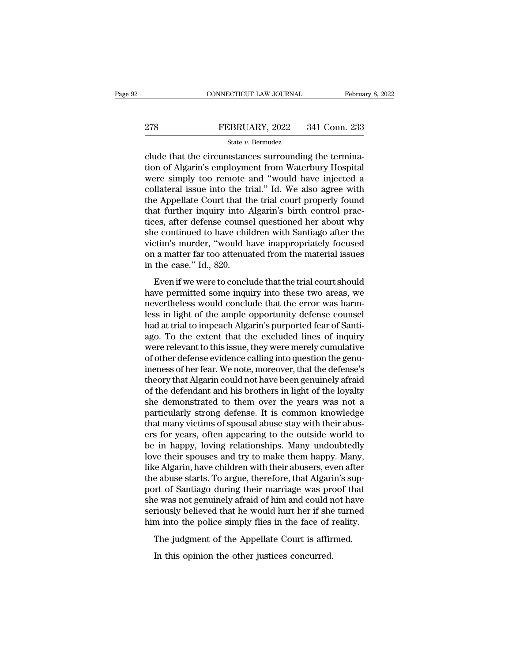# EXECUTE CONNECTICUT LAW JOURNAL February 8, 2022<br>278 FEBRUARY, 2022 341 Conn. 233<br>341 Conn. 233

## State *v.* Bermudez

CONNECTICUT LAW JOURNAL Februa<br>
PEBRUARY, 2022 341 Conn. 233<br>
State v. Bermudez<br>
Clude that the circumstances surrounding the termina-<br>
tion of Algarin's employment from Waterbury Hospital<br>
Nuone simply too romote and "wou The Same of Algarin's employment from Waterbury Hospital<br>
State v. Bermudez<br>
State v. Bermudez<br>
Clude that the circumstances surrounding the termina-<br>
tion of Algarin's employment from Waterbury Hospital<br>
were simply too PEBRUARY, 2022 341 Conn. 233<br>
State v. Bernudez<br>
clude that the circumstances surrounding the termina-<br>
tion of Algarin's employment from Waterbury Hospital<br>
were simply too remote and "would have injected a<br>
collateral i EXECTE 278 FEBRUARY, 2022 341 Conn. 233<br>
State v. Bermudez<br>
clude that the circumstances surrounding the termina-<br>
tion of Algarin's employment from Waterbury Hospital<br>
were simply too remote and "would have injected a<br>
c State v. Bermudez<br>
Clude that the circumstances surrounding the termina-<br>
tion of Algarin's employment from Waterbury Hospital<br>
were simply too remote and "would have injected a<br>
collateral issue into the trial." Id. We a state v. Bermudez<br>
clude that the circumstances surrounding the termina-<br>
tion of Algarin's employment from Waterbury Hospital<br>
were simply too remote and "would have injected a<br>
collateral issue into the trial." Id. We a clude that the circumstances surrounding the termination of Algarin's employment from Waterbury Hospital<br>were simply too remote and "would have injected a<br>collateral issue into the trial." Id. We also agree with<br>the Appell tion of Algarin's employment from Waterbury Hospital<br>were simply too remote and "would have injected a<br>collateral issue into the trial." Id. We also agree with<br>the Appellate Court that the trial court properly found<br>that f were simply too remote and "would have injected a<br>collateral issue into the trial." Id. We also agree with<br>the Appellate Court that the trial court properly found<br>that further inquiry into Algarin's birth control prac-<br>tic collateral issue into the trial." Id. We also agree with<br>the Appellate Court that the trial court properly found<br>that further inquiry into Algarin's birth control prac-<br>tices, after defense counsel questioned her about why the Appellate Court that the<br>that further inquiry into *l*<br>tices, after defense counse<br>she continued to have chil<br>victim's murder, "would h<br>on a matter far too attenua<br>in the case." Id., 820.<br>Even if we were to conclu Even if we were to conclude that the critics have a workholess would conclude that the critical court should we permitted some inquiry into these two areas, we were thought a smaller far too attenuated from the material is have considered and the ample of the solution of the victim's murder, "would have inappropriately focused<br>on a matter far too attenuated from the material issues<br>in the case." Id., 820.<br>Even if we were to conclude that the

She contained to have emidler what standage area the<br>victim's murder, "would have inappropriately focused<br>on a matter far too attenuated from the material issues<br>in the case." Id., 820.<br>Even if we were to conclude that the Moderate is marker, would have imappropriately rocused<br>on a matter far too attenuated from the material issues<br>in the case." Id., 820.<br>Even if we were to conclude that the trial court should<br>have permitted some inquiry int on a matter har too attendated from the matterial issues<br>in the case." Id., 820.<br>Even if we were to conclude that the trial court should<br>have permitted some inquiry into these two areas, we<br>nevertheless would conclude that Even if we were to conclude that the trial court should<br>have permitted some inquiry into these two areas, we<br>nevertheless would conclude that the error was harm-<br>less in light of the ample opportunity defense counsel<br>had a Even if we were to conclude that the trial court should<br>have permitted some inquiry into these two areas, we<br>nevertheless would conclude that the error was harm-<br>less in light of the ample opportunity defense counsel<br>had a have permitted some inquiry into these two areas, we nevertheless would conclude that the error was harmless in light of the ample opportunity defense counsel had at trial to impeach Algarin's purported fear of Santi-<br>ago. nevertheless would conclude that the error was harm-<br>less in light of the ample opportunity defense counsel<br>had at trial to impeach Algarin's purported fear of Santi-<br>ago. To the extent that the excluded lines of inquiry<br>w less in light of the ample opportunity defense counsel<br>had at trial to impeach Algarin's purported fear of Santi-<br>ago. To the extent that the excluded lines of inquiry<br>were relevant to this issue, they were merely cumulati had at trial to impeach Algarin's purported fear of Santi-<br>ago. To the extent that the excluded lines of inquiry<br>were relevant to this issue, they were merely cumulative<br>of other defense evidence calling into question the ago. To the extent that the excluded lines of inquiry<br>were relevant to this issue, they were merely cumulative<br>of other defense evidence calling into question the genu-<br>ineness of her fear. We note, moreover, that the defe were relevant to this issue, they were merely cumulative<br>of other defense evidence calling into question the genu-<br>ineness of her fear. We note, moreover, that the defense's<br>theory that Algarin could not have been genuinel of other defense evidence calling into question the genu-<br>ineness of her fear. We note, moreover, that the defense's<br>theory that Algarin could not have been genuinely afraid<br>of the defendant and his brothers in light of th ineness of her fear. We note, moreover, that the defense's<br>theory that Algarin could not have been genuinely afraid<br>of the defendant and his brothers in light of the loyalty<br>she demonstrated to them over the years was not theory that Algarin could not have been genuinely afraid<br>of the defendant and his brothers in light of the loyalty<br>she demonstrated to them over the years was not a<br>particularly strong defense. It is common knowledge<br>that of the defendant and his brothers in light of the loyalty<br>she demonstrated to them over the years was not a<br>particularly strong defense. It is common knowledge<br>that many victims of spousal abuse stay with their abus-<br>ers f she demonstrated to them over the years was not a<br>particularly strong defense. It is common knowledge<br>that many victims of spousal abuse stay with their abus-<br>ers for years, often appearing to the outside world to<br>be in ha particularly strong defense. It is common knowledge<br>that many victims of spousal abuse stay with their abus-<br>ers for years, often appearing to the outside world to<br>be in happy, loving relationships. Many undoubtedly<br>love t that many victims of spousal abuse stay with their abus-<br>ers for years, often appearing to the outside world to<br>be in happy, loving relationships. Many undoubtedly<br>love their spouses and try to make them happy. Many,<br>like ers for years, often appearing to the outside world to<br>be in happy, loving relationships. Many undoubtedly<br>love their spouses and try to make them happy. Many,<br>like Algarin, have children with their abusers, even after<br>the be in happy, loving relationships. Many undoubtedly<br>love their spouses and try to make them happy. Many,<br>like Algarin, have children with their abusers, even after<br>the abuse starts. To argue, therefore, that Algarin's suplowe their spouses and try to make them happy. Many,<br>like Algarin, have children with their abusers, even after<br>the abuse starts. To argue, therefore, that Algarin's sup-<br>port of Santiago during their marriage was proof th E rigarin, have emitated what also about the abuse starts. To argue, therefore, that Algarin's sup-<br>ort of Santiago during their marriage was proof that<br>e was not genuinely afraid of him and could not have<br>riously believed In the original state of Santiago during their marriage was present as a set of a riously believed that he would hurt her if she into the police simply flies in the face of in The judgment of the Appellate Court is affire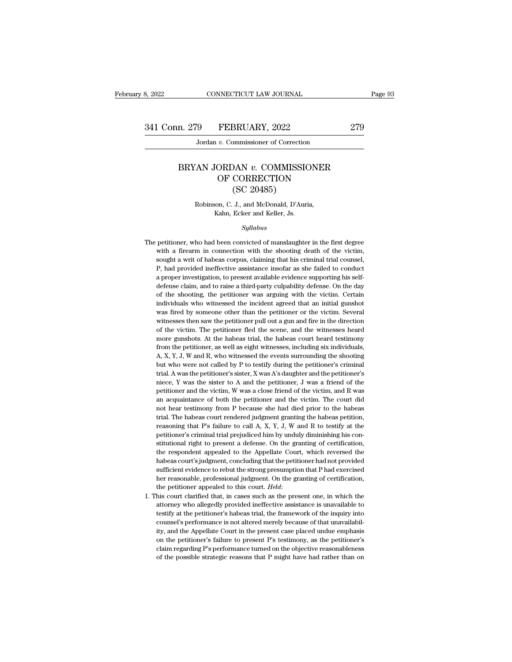## n. 279 FEBRUARY, 2022 279<br>Jordan *v.* Commissioner of Correction<br>BRYAN JORDAN *v.* COMMISSIONER<br>OF CORRECTION  $\begin{tabular}{l} FEBRUARY, 2022 \\ \hline $v$. \end{tabular} \vspace{-.05in} \begin{tabular}{l} \hline \multicolumn{2}{c}{\textbf{\textit{R}}\xspace}} \end{tabular} \vspace{-.05in} \begin{tabular}{l} \multicolumn{2}{c}{\textbf{\textit{R}}\xspace}} \end{tabular} \vspace{-.05in} \begin{tabular}{l} \multicolumn{2}{c}{\textbf{\textit{R}}\xspace}} \end{tabular} \vspace{-.05in} \begin{tabular}{l} \hline \multicolumn{2}{c}{\textbf{\textit{R}}\xspace}} \end{tabular} \vspace$ BRUARY, 2022<br>
EXECTION<br>
SUBAN v. COMMISSIC<br>
CORRECTION<br>
(SC 20485)<br>
J., and McDonald, D'Auri X JORDAN v. COMMISSIONER<br>
OF CORRECTION<br>
(SC 20485)<br>
Robinson, C. J., and McDonald, D'Auria,<br>
Kahn, Ecker and Keller, Js. FORDAN *v*. COMMISSIC<br>
OF CORRECTION<br>
(SC 20485)<br>
son, C. J., and McDonald, D'Auris<br>
Kahn, Ecker and Keller, Js.<br>
Sullabus

## *Syllabus*

Robinson, C. J., and McDonald, D'Auria,<br>Kahn, Ecker and Keller, Js.<br>Syllabus<br>The petitioner, who had been convicted of manslaughter in the first degree<br>with a firearm in connection with the shooting death of the victim, Robinson, C. J., and McDonald, D'Auria,<br>Kahn, Ecker and Keller, Js.<br>Syllabus<br>petitioner, who had been convicted of manslaughter in the first degree<br>with a firearm in connection with the shooting death of the victim,<br>sought Syllabus<br>Syllabus<br>Syllabus<br>petitioner, who had been convicted of manslaughter in the first degree<br>with a firearm in connection with the shooting death of the victim,<br>sought a writ of habeas corpus, claiming that his crimin Syllabus<br>
Petitioner, who had been convicted of manslaughter in the first degree<br>
with a firearm in connection with the shooting death of the victim,<br>
sought a writ of habeas corpus, claiming that his criminal trial counse sytabus<br>petitioner, who had been convicted of manslaughter in the first degree<br>with a firearm in connection with the shooting death of the victim,<br>sought a writ of habeas corpus, claiming that his criminal trial counsel,<br>P petitioner, who had been convicted of manslaughter in the first degree with a firearm in connection with the shooting death of the victim, sought a writ of habeas corpus, claiming that his criminal trial counsel, P, had pr petition a firearm in connection with the shooting death of the victim, sought a writ of habeas corpus, claiming that his criminal trial counsel, P, had provided ineffective assistance insofar as she failed to conduct a pr sought a writ of habeas corpus, claiming that his criminal trial counsel,  $P$ , had provided ineffective assistance insofar as she failed to conduct a proper investigation, to present available evidence supporting his selfby some of increase of the sassistance insofar as she failed to conduct a proper investigation, to present available evidence supporting his self-<br>defense claim, and to raise a third-party culpability defense. On the day<br>o example in the performation, to present available evidence supporting his self-<br>defense claim, and to raise a third-party culpability defense. On the day<br>of the shooting, the petitioner was arguing with the victim. Certain a proper and more claim, and to raise a third-party culpability defense. On the day defense claim, and to raise a third-party culpability defense. On the day of the shooting, the petitioner was arguing with the victim. Cer of the shooting, the petitioner was arguing with the victim. Certain individuals who witnessed the incident agreed that an initial gunshot was fired by someone other than the petitioner or the victim. Several witnesses the individuals, who witnessed the incident agreed that an initial gunshot was fired by someone other than the petitioner or the victim. Several witnesses then saw the petitioner pull out a gun and fire in the direction of the was fired by someone other than the petitioner or the victim. Several witnesses then saw the petitioner pull out a gun and fire in the direction of the victim. The petitioner fled the scene, and the witnesses heard more g witnesses then saw the petitioner pull out a gun and fire in the direction<br>of the victim. The petitioner fled the scene, and the witnesses heard<br>more gunshots. At the habeas trial, the habeas court heard testimony<br>from th of the victim. The petitioner fled the scene, and the witnesses heard<br>more gunshots. At the habeas trial, the habeas court heard testimony<br>from the petitioner, as well as eight witnesses, including six individuals,<br>A, X, nore gunshots. At the habeas trial, the habeas court heard testimony from the petitioner, as well as eight witnesses, including six individuals,  $A, X, Y, J, W$  and  $R$ , who witnessed the events surrounding the shooting but w from the petitioner, as well as eight witnesses, including six individuals,  $A$ ,  $X$ ,  $Y$ ,  $J$ ,  $W$  and  $R$ , who witnessed the events surrounding the shooting but who were not called by  $P$  to testify during the petitione A, X, Y, J, W and R, who witnessed the events surrounding the shooting<br>but who were not called by P to testify during the petitioner's criminal<br>trial. A was the petitioner's sister, X was A's daughter and the petitioner's not here in the whole were not called by P to testify during the petitioner's criminal trial. A was the petitioner's sister, X was A's daughter and the petitioner's niece, Y was the sister to A and the petitioner, J was a trial. A was the petitioner's sister, X was A's daughter and the petitioner's niece, Y was the sister to A and the petitioner, J was a friend of the petitioner and the victim, W was a close friend of the victim, and R was reasoning that P's failure to call A, X, Y, J, W and R to testify at the petitioner and the victim, W was a close friend of the victim, and R was an acquaintance of both the petitioner and the victim. The court did not hea niece, Y was the sister to A and the petitioner, J was a friend of the petitioner and the victim, W was a close friend of the victim, and R was an acquaintance of both the petitioner and the victim. The court did not hear an acquaintance of both the petitioner and the victim. The court did<br>not hear testimony from P because she had died prior to the habeas<br>trial. The habeas court rendered judgment granting the habeas petition,<br>reasoning that not hear testimony from P because she had died prior to the habeas trial. The habeas court rendered judgment granting the habeas petition, reasoning that P's failure to call A, X, Y, J, W and R to testify at the petitione First The habeas court rendered judgment granting the habeas petition, reasoning that P's failure to call A, X, Y, J, W and R to testify at the petitioner's criminal trial prejudiced him by unduly diminishing his constitut reasoning that P's failure to call A, X, Y, J, W and R to testify at the petitioner's criminal trial prejudiced him by unduly diminishing his constitutional right to present a defense. On the granting of certification, th petitioner's criminal trial prejudiced him by unduly diminishing his constitutional right to present a defense. On the granting of certification, the respondent appealed to the Appellate Court, which reversed the habeas c is the period of the petitional right to present a defense. On the granting of certification, the respondent appealed to the Appellate Court, which reversed the habeas court's judgment, concluding that the petitioner had n habeas court's judgment, concluding that the petitioner had not provided sufficient evidence to rebut the strong presumption that P had exercised her reasonable, professional judgment. On the granting of certification, the

sufficient evidence to rebut the strong presumption that P had exercised<br>her reasonable, professional judgment. On the granting of certification,<br>the petitioner appealed to this court. Held:<br>his court clarified that, in ca between reasonable, professional judgment. On the granting of certification, the petitioner appealed to this court. *Held*: his court clarified that, in cases such as the present one, in which the attorney who allegedly pr the petitioner appealed to this court. *Held*:<br>the petitioner appealed to this court. *Held*:<br>his court clarified that, in cases such as the present one, in which the<br>attorney who allegedly provided ineffective assistance his court clarified that, in cases such as the present one, in which the attorney who allegedly provided ineffective assistance is unavailable to testify at the petitioner's habeas trial, the framework of the inquiry into attorney who allegedly provided ineffective assistance is unavailable to testify at the petitioner's habeas trial, the framework of the inquiry into counsel's performance is not altered merely because of that unavailabili attorney who allegedly provided ineffective assistance is unavailable to testify at the petitioner's habeas trial, the framework of the inquiry into counsel's performance is not altered merely because of that unavailabili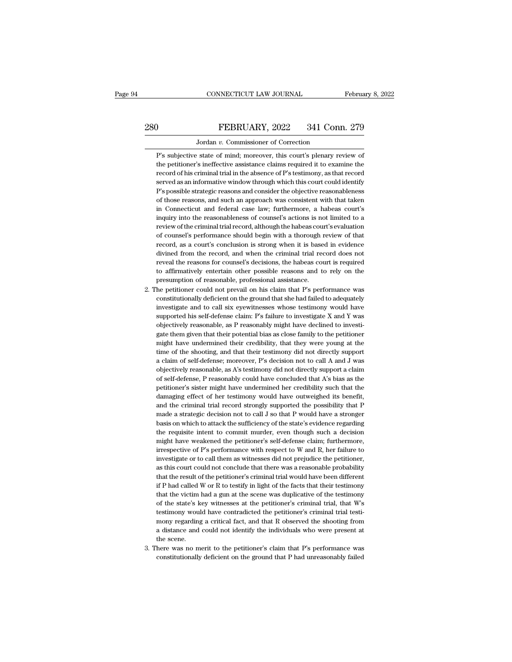# CONNECTICUT LAW JOURNAL February 8, 2022<br>280 FEBRUARY, 2022 341 Conn. 279<br>Jordan v. Commissioner of Correction

CONNECTICUT LAW JOURNAL February 8, 2022<br>
Jordan *v.* Commissioner of Correction<br>
P's subjective state of mind; moreover, this court's plenary review of FEBRUARY, 2022 341 Conn. 279<br>Jordan v. Commissioner of Correction<br>P's subjective state of mind; moreover, this court's plenary review of<br>the petitioner's ineffective assistance claims required it to examine the THEBRUARY, 2022 341 Conn. 279<br>Jordan v. Commissioner of Correction<br>P's subjective state of mind; moreover, this court's plenary review of<br>the petitioner's ineffective assistance claims required it to examine the<br>record of FEBRUARY, 2022 341 Conn. 279<br>Jordan v. Commissioner of Correction<br>P's subjective state of mind; moreover, this court's plenary review of<br>the petitioner's ineffective assistance claims required it to examine the<br>record of h Jordan v. Commissioner of Correction<br>P's subjective state of mind; moreover, this court's plenary review of<br>the petitioner's ineffective assistance claims required it to examine the<br>record of his criminal trial in the abse Jordan  $v$ . Commissioner of Correction<br>P's subjective state of mind; moreover, this court's plenary review of<br>the petitioner's ineffective assistance claims required it to examine the<br>record of his criminal trial in the a P's subjective state of mind; moreover, this court's plenary review of<br>the petitioner's ineffective assistance claims required it to examine the<br>record of his criminal trial in the absence of P's testimony, as that record<br> the petitioner's ineffective assistance claims required it to examine the record of his criminal trial in the absence of P's testimony, as that record served as an informative window through which this court could identify record of his criminal trial in the absence of P's testimony, as that record<br>served as an informative window through which this court could identify<br>P's possible strategic reasons and consider the objective reasonableness<br> served as an informative window through which this court could identify P's possible strategic reasons and consider the objective reasonableness of those reasons, and such an approach was consistent with that taken in Conn P's possible strategic reasons and consider the objective reasonableness of those reasons, and such an approach was consistent with that taken in Connecticut and federal case law; furthermore, a habeas court's inquiry into of those reasons, and such an approach was consistent with that taken<br>in Connecticut and federal case law; furthermore, a habeas court's<br>inquiry into the reasonableness of counsel's actions is not limited to a<br>review of th in Connecticut and federal case law; furthermore, a habeas court's<br>inquiry into the reasonableness of counsel's actions is not limited to a<br>review of the criminal trial record, although the habeas court's evaluation<br>of cou inquiry into the reasonableness of counsel's actions is not limited to a<br>review of the criminal trial record, although the habeas court's evaluation<br>of counsel's performance should begin with a thorough review of that<br>reco review of the criminal trial record, although the habeas court's evaluation<br>of counsel's performance should begin with a thorough review of that<br>record, as a court's conclusion is strong when it is based in evidence<br>divine of counsel's performance should begin with a thorough in record, as a court's conclusion is strong when it is based<br>invined from the record, and when the criminal trial receveal the reasons for counsel's decisions, the hab record, as a court's conclusion is strong when it is based in evidence<br>divined from the record, and when the criminal trial record does not<br>reveal the reasons for counsel's decisions, the habeas court is required<br>to affirm divined from the record, and when the criminal trial record does not<br>reveal the reasons for counsel's decisions, the habeas court is required<br>to affirmatively entertain other possible reasons and to rely on the<br>presumption

- reveal the reasons for counsel's decisions, the habeas court is required to affirmatively entertain other possible reasons and to rely on the presumption of reasonable, professional assistance.<br>he petitioner could not prev to affirmatively entertain other possible reasons and to rely on the presumption of reasonable, professional assistance.<br>he petitioner could not prevail on his claim that P's performance was constitutionally deficient on t presumption of reasonable, professional assistance.<br>
the petitioner could not prevail on his claim that P's performance was<br>
constitutionally deficient on the ground that she had failed to adequately<br>
investigate and to ca he petitioner could not prevail on his claim that P's performance was constitutionally deficient on the ground that she had failed to adequately investigate and to call six eyewitnesses whose testimony would have supported constitutionally deficient on the ground that she had failed to adequately investigate and to call six eyewitnesses whose testimony would have supported his self-defense claim: P's failure to investigate X and Y was object investigate and to call six eyewitnesses whose testimony would have supported his self-defense claim: P's failure to investigate X and Y was objectively reasonable, as P reasonably might have declined to investigate them g supported his self-defense claim: P's failure to investigate X and Y was<br>objectively reasonable, as P reasonably might have declined to investi-<br>gate them given that their potential bias as close family to the petitioner<br>m objectively reasonable, as P reasonably might have declined to investigate them given that their potential bias as close family to the petitioner might have undermined their credibility, that they were young at the time of gate them given that their potential bias as close family to the petitioner might have undermined their credibility, that they were young at the time of the shooting, and that their testimony did not directly support a cla might have undermined their credibility, that they were young at the time of the shooting, and that their testimony did not directly support a claim of self-defense; moreover, P's decision not to call A and J was objective time of the shooting, and that their testimony did not directly support a claim of self-defense; moreover, P's decision not to call A and J was objectively reasonable, as A's testimony did not directly support a claim of s a claim of self-defense; moreover, P's decision not to call A and  $J$  was objectively reasonable, as A's testimony did not directly support a claim of self-defense, P reasonably could have concluded that A's bias as the p objectively reasonable, as A's testimony did not directly support a claim of self-defense, P reasonably could have concluded that A's bias as the petitioner's sister might have undermined her credibility such that the dam of self-defense, P reasonably could have concluded that A's bias as the petitioner's sister might have undermined her credibility such that the damaging effect of her testimony would have outweighed its benefit, and the cr petitioner's sister might have undermined her credibility such that the damaging effect of her testimony would have outweighed its benefit, and the criminal trial record strongly supported the possibility that P made a str damaging effect of her testimony would have outweighed its benefit, and the criminal trial record strongly supported the possibility that  $P$  made a strategic decision not to call  $J$  so that  $P$  would have a stronger bas and the criminal trial record strongly supported the possibility that P made a strategic decision not to call J so that P would have a stronger basis on which to attack the sufficiency of the state's evidence regarding the made a strategic decision not to call J so that P would have a stronger basis on which to attack the sufficiency of the state's evidence regarding the requisite intent to commit murder, even though such a decision might ha basis on which to attack the sufficiency of the state's evidence regarding<br>the requisite intent to commit murder, even though such a decision<br>might have weakened the petitioner's self-defense claim; furthermore,<br>irrespecti the requisite intent to commit murder, even though such a decision might have weakened the petitioner's self-defense claim; furthermore, irrespective of P's performance with respect to W and R, her failure to investigate o might have weakened the petitioner's self-defense claim; furthermore, irrespective of P's performance with respect to W and R, her failure to investigate or to call them as witnesses did not prejudice the petitioner, as th irrespective of P's performance with respect to W and R, her failure to<br>investigate or to call them as witnesses did not prejudice the petitioner,<br>as this court could not conclude that there was a reasonable probability<br>th investigate or to call them as witnesses did not prejudice the petitioner,<br>as this court could not conclude that there was a reasonable probability<br>that the result of the petitioner's criminal trial would have been differe investigate or to call them as witnesses did not prejudice the petitioner, as this court could not conclude that there was a reasonable probability that the result of the petitioner's criminal trial would have been differ that the result of the petitioner's criminal trial would have been different if P had called W or R to testify in light of the facts that their testimony that the victim had a gun at the scene was duplicative of the testim if P had called W or R to testify in light of the facts that their testimony<br>that the victim had a gun at the scene was duplicative of the testimony<br>of the state's key witnesses at the petitioner's criminal trial, that W's that the victim<br>of the state's k<br>testimony woul<br>mony regarding<br>a distance and<br>the scene.<br>here was no m % of the state's key witnesses at the petitioner's criminal trial, that W's<br>testimony would have contradicted the petitioner's criminal trial testi-<br>mony regarding a critical fact, and that R observed the shooting from<br>a testimony would have contradicted the petitioner's criminal trial testimony regarding a critical fact, and that R observed the shooting from a distance and could not identify the individuals who were present at the scene.<br>
-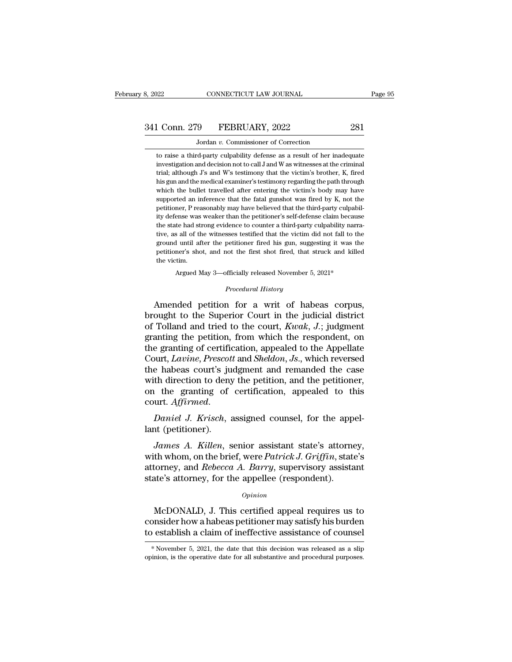# 341 Conn. 279 FEBRUARY, 2022 281<br>Jordan v. Commissioner of Correction 8, 2022 CONNECTICUT LAW JOURNAL<br>
341 Conn. 279 FEBRUARY, 2022 281<br>
Jordan *v.* Commissioner of Correction<br>
to raise a third-party culpability defense as a result of her inadequate

1 Conn. 279 FEBRUARY, 2022 281<br>Jordan v. Commissioner of Correction<br>to raise a third-party culpability defense as a result of her inadequate<br>investigation and decision not to call J and W as witnesses at the criminal <u>investigation and the commissioner of Correction</u><br>
to raise a third-party culpability defense as a result of her inadequate<br>
investigation and decision not to call J and W as witnesses at the criminal<br>
trial; although J's 1 Conn. 279 FEBRUARY, 2022 281<br>Jordan v. Commissioner of Correction<br>to raise a third-party culpability defense as a result of her inadequate<br>investigation and decision not to call J and W as witnesses at the criminal<br>trial Jordan v. Commissioner of Correction<br>to raise a third-party culpability defense as a result of her inadequate<br>investigation and decision not to call J and W as witnesses at the criminal<br>trial; although J's and W's testimon Jordan  $v$ . Commissioner of Correction<br>to raise a third-party culpability defense as a result of her inadequate<br>investigation and decision not to call J and W as witnesses at the criminal<br>trial; although  $J$ s and W's test to raise a third-party culpability defense as a result of her inadequate investigation and decision not to call J and W as witnesses at the criminal trial; although J's and W's testimony that the victim's brother, K, fired investigation and decision not to call J and W as witnesses at the criminal trial; although  $J$ 's and W's testimony that the victim's brother, K, fired his gun and the medical examiner's testimony regarding the path throu itrial; although J's and W's testimony that the victim's brother, K, fired his gun and the medical examiner's testimony regarding the path through which the bullet travelled after entering the victim's body may have suppor which the bullet travelled after entering the victim's body may have the bullet travelled after entering the victim's body may have<br>supported an inference that the fatal gunshot was fired by K, not the<br>petitioner, P reasonably may have believed that the third-party culpabil-<br>ity defense was supported an inference that the fatal gunshot was fired by K, not the petitioner, P reasonably may have believed that the third-party culpability defense was weaker than the petitioner's self-defense claim because the sta petitioner, P reasonably may have believed that the third-party culpability defense was weaker than the petitioner's self-defense claim because the state had strong evidence to counter a third-party culpability narrative, ity defense was weaker than the petitioner's self-defense claim because<br>the state had strong evidence to counter a third-party culpability narra-<br>tive, as all of the witnesses testified that the victim did not fall to the tive, as all of the witnesses testified that the victim did not fall to the ground until after the petitioner fired his gun, suggesting it was the petitioner's shot, and not the first shot fired, that struck and killed th ground until after the petitioner fired his gun, suggesting it was the petitioner's shot, and not the first shot fired, that struck and killed the victim.<br>Argued May 3—officially released November 5, 2021\*<br>*Procedural Hist* Amended petition for a writ of habeas corpus,<br>and the Superior fired his gun, suggesting it was the<br>petitioner's shot, and not the first shot fired, that struck and killed<br>the victim.<br>Argued May 3—officially released Nove

petitioner's shot, and not the first shot fired, that struck and killed<br>the victim.<br>Argued May 3—officially released November 5, 2021\*<br>*Procedural History*<br>Amended petition for a writ of habeas corpus,<br>brought to the Super the victim.<br>
Argued May 3—officially released November 5, 2021\*<br>
Procedural History<br>
Amended petition for a writ of habeas corpus,<br>
brought to the Superior Court in the judicial district<br>
of Tolland and tried to the court, Argued May 3—officially released November 5, 2021\*<br> *Procedural History*<br> **Amended petition for a writ of habeas corpus,**<br>
brought to the Superior Court in the judicial district<br>
of Tolland and tried to the court, *Kwak*, *Procedural History*<br>Amended petition for a writ of habeas corpus,<br>brought to the Superior Court in the judicial district<br>of Tolland and tried to the court, *Kwak*, *J*.; judgment<br>granting the petition, from which the resp Frotedard History<br>
Amended petition for a writ of habeas corpus,<br>
brought to the Superior Court in the judicial district<br>
of Tolland and tried to the court, *Kwak*, *J*.; judgment<br>
granting the petition, from which the res Amended petition for a writ of habeas corpus,<br>brought to the Superior Court in the judicial district<br>of Tolland and tried to the court,  $Kwak$ ,  $J$ ; judgment<br>granting the petition, from which the respondent, on<br>the grantin brought to the Superior Court in the judicial district<br>of Tolland and tried to the court,  $Kwak$ ,  $J$ .; judgment<br>granting the petition, from which the respondent, on<br>the granting of certification, appealed to the Appellate of Tolland and tried to the court, *Kwak*, *J*.; judgment<br>granting the petition, from which the respondent, on<br>the granting of certification, appealed to the Appellate<br>Court, *Lavine*, *Prescott* and *Sheldon*, *Js.*, whic court, *Lavine*, *Prescott* and *Sheldon*, *Js.*, which reversed the habeas court's judgment and remanded the case with direction to deny the petition, and the petitioner, on the granting of certification, appealed to this Court, *Eatthe*, *I* rescont<br>the habeas court's ju<br>with direction to deny<br>on the granting of<br>court. *Affirmed.*<br>Daniel J. Krisch, :<br>lant (petitioner).<br>James A. Killen, s *IA* direction to deny the petition, and the petitioner,<br> *Jamiel J. Krisch*, assigned counsel, for the appel-<br> *James A. Killen*, senior assistant state's attorney,<br> *James A. Killen*, senior assistant state's attorney,<br>

on the granting of certification, appealed to this<br>court. *Affirmed.*<br>Daniel J. Krisch, assigned counsel, for the appel-<br>lant (petitioner).<br>James A. Killen, senior assistant state's attorney,<br>with whom, on the brief, were court. *Affirmed.*<br>
Daniel J. Krisch, assigned counsel, for the appel-<br>
lant (petitioner).<br>
James A. Killen, senior assistant state's attorney,<br>
with whom, on the brief, were *Patrick J. Griffin*, state's<br>
attorney, and *R* Daniel J. Krisch, assigned counsel, for the app<br>lant (petitioner).<br>James A. Killen, senior assistant state's attorne<br>with whom, on the brief, were Patrick J. Griffin, state<br>attorney, and Rebecca A. Barry, supervisory assis *James A. Killen*, senior assistant state's attorney,<br>th whom, on the brief, were *Patrick J. Griffin*, state's<br>torney, and *Rebecca A. Barry*, supervisory assistant<br>ate's attorney, for the appellee (respondent).<br>*Opinion* with whom, on the brief, were *Patrick J. Griffin*, state's<br>attorney, and *Rebecca A. Barry*, supervisory assistant<br>state's attorney, for the appellee (respondent).<br> $opinion$ <br>McDONALD, J. This certified appeal requires us to<br>co

## *Opinion*

attorney, and *Rebecca A. Barry*, supervisory assistant<br>state's attorney, for the appellee (respondent).<br> $\frac{opinion}{\text{Monstr}}$ <br>McDONALD, J. This certified appeal requires us to<br>consider how a habeas petitioner may satisfy his bur McDONALD, J. This certified appeal requires us to consider how a habeas petitioner may satisfy his burden to establish a claim of ineffective assistance of counsel \*November 5, 2021, the date that this decision was release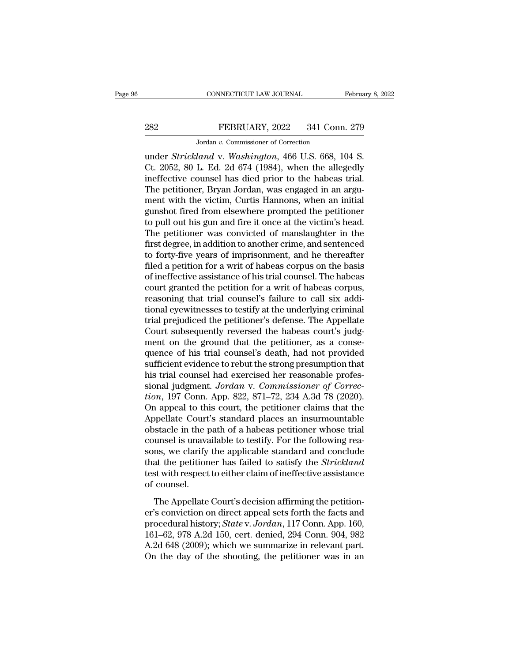# EXECUTE CONNECTICUT LAW JOURNAL February 8, 2022<br>282 FEBRUARY, 2022 341 Conn. 279<br>30 Jordan v. Commissioner of Correction EXECTICUT LAW JOURNAL<br>FEBRUARY, 2022 341 Conn<br>Jordan v. Commissioner of Correction<br>Jand v. Washinaton. 466 U.S. 668 1

CONNECTICUT LAW JOURNAL February 8, 2<br>
282 FEBRUARY, 2022 341 Conn. 279<br>
Jordan v. Commissioner of Correction<br>
under *Strickland* v. *Washington*, 466 U.S. 668, 104 S.<br>
Ct. 2052, 80 L. Ed. 2d 674 (1984), when the allegedly EXERUARY, 2022 341 Conn. 279<br>
Jordan v. Commissioner of Correction<br>
under *Strickland* v. Washington, 466 U.S. 668, 104 S.<br>
Ct. 2052, 80 L. Ed. 2d 674 (1984), when the allegedly<br>
ineffective counsel has died prior to the h FEBRUARY, 2022 341 Conn. 279<br>
Iordan v. Commissioner of Correction<br>
under *Strickland* v. *Washington*, 466 U.S. 668, 104 S.<br>
Ct. 2052, 80 L. Ed. 2d 674 (1984), when the allegedly<br>
ineffective counsel has died prior to the FEBRUARY, 2022 341 Conn. 279<br>
Jordan v. Commissioner of Correction<br>
under *Strickland* v. Washington, 466 U.S. 668, 104 S.<br>
Ct. 2052, 80 L. Ed. 2d 674 (1984), when the allegedly<br>
ineffective counsel has died prior to the h Jordan v. Commissioner of Correction<br>
under *Strickland* v. Washington, 466 U.S. 668, 104 S.<br>
Ct. 2052, 80 L. Ed. 2d 674 (1984), when the allegedly<br>
ineffective counsel has died prior to the habeas trial.<br>
The petitioner, Jordan v. Commissioner of Correction<br>
under *Strickland* v. *Washington*, 466 U.S. 668, 104 S.<br>
Ct. 2052, 80 L. Ed. 2d 674 (1984), when the allegedly<br>
ineffective counsel has died prior to the habeas trial.<br>
The petitione under *Strickland* v. *Washington*, 466 U.S. 668, 104 S.<br>Ct. 2052, 80 L. Ed. 2d 674 (1984), when the allegedly<br>ineffective counsel has died prior to the habeas trial.<br>The petitioner, Bryan Jordan, was engaged in an argu-<br>m Ct. 2052, 80 L. Ed. 2d 674 (1984), when the allegedly<br>ineffective counsel has died prior to the habeas trial.<br>The petitioner, Bryan Jordan, was engaged in an argu-<br>ment with the victim, Curtis Hannons, when an initial<br>guns ineffective counsel has died prior to the habeas trial.<br>The petitioner, Bryan Jordan, was engaged in an argument with the victim, Curtis Hannons, when an initial<br>gunshot fired from elsewhere prompted the petitioner<br>to pull The petitioner, Bryan Jordan, was engaged in an argument with the victim, Curtis Hannons, when an initial gunshot fired from elsewhere prompted the petitioner to pull out his gun and fire it once at the victim's head. The ment with the victim, Curtis Hannons, when an initial gunshot fired from elsewhere prompted the petitioner<br>to pull out his gun and fire it once at the victim's head.<br>The petitioner was convicted of manslaughter in the<br>firs gunshot fired from elsewhere prompted the petitioner<br>to pull out his gun and fire it once at the victim's head.<br>The petitioner was convicted of manslaughter in the<br>first degree, in addition to another crime, and sentenced<br> to pull out his gun and fire it once at the victim's head.<br>The petitioner was convicted of manslaughter in the<br>first degree, in addition to another crime, and sentenced<br>to forty-five years of imprisonment, and he thereafte The petitioner was convicted of manslaughter in the<br>first degree, in addition to another crime, and sentenced<br>to forty-five years of imprisonment, and he thereafter<br>filed a petition for a writ of habeas corpus on the basis first degree, in addition to another crime, and sentenced<br>to forty-five years of imprisonment, and he thereafter<br>filed a petition for a writ of habeas corpus on the basis<br>of ineffective assistance of his trial counsel. The to forty-five years of imprisonment, and he thereafter<br>filed a petition for a writ of habeas corpus on the basis<br>of ineffective assistance of his trial counsel. The habeas<br>court granted the petition for a writ of habeas co filed a petition for a writ of habeas corpus on the basis<br>of ineffective assistance of his trial counsel. The habeas<br>court granted the petition for a writ of habeas corpus,<br>reasoning that trial counsel's failure to call si of ineffective assistance of his trial counsel. The habeas<br>court granted the petition for a writ of habeas corpus,<br>reasoning that trial counsel's failure to call six addi-<br>tional eyewitnesses to testify at the underlying c court granted the petition for a writ of habeas corpus,<br>reasoning that trial counsel's failure to call six addi-<br>tional eyewitnesses to testify at the underlying criminal<br>trial prejudiced the petitioner's defense. The Appe reasoning that trial counsel's failure to call six additional eyewitnesses to testify at the underlying criminal<br>trial prejudiced the petitioner's defense. The Appellate<br>Court subsequently reversed the habeas court's judgtional eyewitnesses to testify at the underlying criminal<br>trial prejudiced the petitioner's defense. The Appellate<br>Court subsequently reversed the habeas court's judg-<br>ment on the ground that the petitioner, as a conse-<br>q trial prejudiced the petitioner's defense. The Appellate<br>Court subsequently reversed the habeas court's judg-<br>ment on the ground that the petitioner, as a conse-<br>quence of his trial counsel's death, had not provided<br>suffic Court subsequently reversed the habeas court's judgment on the ground that the petitioner, as a consequence of his trial counsel's death, had not provided sufficient evidence to rebut the strong presumption that his trial ment on the ground that the petitioner, as a consequence of his trial counsel's death, had not provided<br>sufficient evidence to rebut the strong presumption that<br>his trial counsel had exercised her reasonable profes-<br>sional quence of his trial counsel's death, had not provided<br>sufficient evidence to rebut the strong presumption that<br>his trial counsel had exercised her reasonable profes-<br>sional judgment. Jordan v. Commissioner of Correc-<br>tion, sufficient evidence to rebut the strong presumption that<br>his trial counsel had exercised her reasonable profes-<br>sional judgment. Jordan v. Commissioner of Correc-<br>tion, 197 Conn. App. 822, 871–72, 234 A.3d 78 (2020).<br>On ap his trial counsel had exercised her reasonable profes-<br>sional judgment. Jordan v. Commissioner of Correc-<br>tion, 197 Conn. App. 822, 871–72, 234 A.3d 78 (2020).<br>On appeal to this court, the petitioner claims that the<br>Appell sional judgment. Jordan v. Commissioner of Correction, 197 Conn. App. 822, 871–72, 234 A.3d 78 (2020).<br>On appeal to this court, the petitioner claims that the<br>Appellate Court's standard places an insurmountable<br>obstacle in tion, 197 Conn. App. 822, 871–72, 234 A.3d 78 (2020).<br>On appeal to this court, the petitioner claims that the<br>Appellate Court's standard places an insurmountable<br>obstacle in the path of a habeas petitioner whose trial<br>coun On appeal to this court, the petitioner claims that the Appellate Court's standard places an insurmountable obstacle in the path of a habeas petitioner whose trial counsel is unavailable to testify. For the following reaso Appellate Court<br>obstacle in the p<br>counsel is unava<br>sons, we clarify<br>that the petition<br>test with respect<br>of counsel.<br>The Appellate The Appellate Court's decision affirming the petition-<br>The Appellate Court's decision affirming rea-<br>assistance at the petitioner has failed to satisfy the *Strickland*<br>st with respect to either claim of ineffective assist soms, we clarify the applicable standard and conclude<br>that the petitioner has failed to satisfy the *Strickland*<br>test with respect to either claim of ineffective assistance<br>of counsel.<br>The Appellate Court's decision affir

procedural history; *State* v. *Jordany* and *Strickland*<br>test with respect to either claim of ineffective assistance<br>of counsel.<br>The Appellate Court's decision affirming the petition-<br>er's conviction on direct appeal sets The structure of counsel.<br>
1614–62, 978 A.2d 150, cert. denied, 294 Connection<br>
161–62, 978 A.2d 150, cert. denied, 294 Conn. 904, 982<br>
161–62, 978 A.2d 150, cert. denied, 294 Conn. 904, 982<br>
161–62, 978 A.2d 150, cert. de For the Appellate Court's decision affirming the petition-<br>er's conviction on direct appeal sets forth the facts and<br>procedural history; *State v. Jordan*, 117 Conn. App. 160,<br>161–62, 978 A.2d 150, cert. denied, 294 Conn. The Appellate Court's decision affirming the petition-<br>er's conviction on direct appeal sets forth the facts and<br>procedural history; *State v. Jordan*, 117 Conn. App. 160,<br>161–62, 978 A.2d 150, cert. denied, 294 Conn. 904,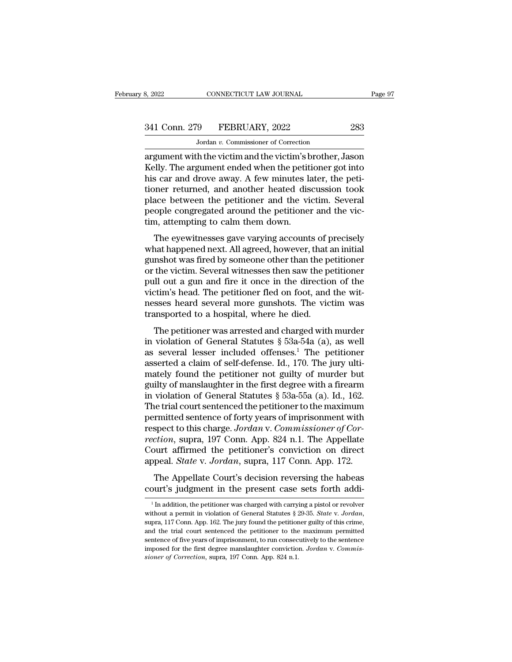CONNECTICUT LAW JOURNAL<br>
9 FEBRUARY, 2022<br>
Jordan *v*. Commissioner of Correction<br>
th the victim and the victim's brother argument with the victim and the victim's brother, Jason<br>
argument with the victim and the victim's brother, Jason<br>
argument with the victim and the victim's brother, Jason<br>
Kelly. The argument ended when the petitioner go 341 Conn. 279 FEBRUARY, 2022 283<br>
Jordan v. Commissioner of Correction<br>
argument with the victim and the victim's brother, Jason<br>
Kelly. The argument ended when the petitioner got into<br>
his car and drove away. A few minute  $\frac{341 \text{ Conn. } 279 \qquad \text{FEBRUARY, } 2022 \qquad \qquad 283}$ <br>  $\frac{3040 \text{ N} \cdot \text{Commissioner of Correction}}{2021 \text{ argument with the victim and the victim's brother, Jason Kelly. The argument ended when the pertinent got into his car and drove away. A few minutes later, the petitioner returned, and another heated discussion took place between the notificationer and the victim. Sovorals$ 341 Conn. 279 FEBRUARY, 2022 283<br>
Jordan v. Commissioner of Correction<br>
argument with the victim and the victim's brother, Jason<br>
Kelly. The argument ended when the petitioner got into<br>
his car and drove away. A few minut  $\frac{1}{\sqrt{1-\frac{1}{2}}}\sqrt{1-\frac{1}{2}-\frac{1}{2}-\frac{1}{2}-\frac{1}{2}-\frac{1}{2}-\frac{1}{2}-\frac{1}{2}-\frac{1}{2}-\frac{1}{2}-\frac{1}{2}-\frac{1}{2}-\frac{1}{2}-\frac{1}{2}-\frac{1}{2}-\frac{1}{2}-\frac{1}{2}-\frac{1}{2}-\frac{1}{2}-\frac{1}{2}-\frac{1}{2}-\frac{1}{2}-\frac{1}{2}-\frac{1}{2}-\frac{1}{2}-\frac{1}{2}-\frac{1}{2}-\frac{1}{2}-\frac{1}{2}-\frac{1$ Jordan  $v$ . Commissioner of Correction<br>argument with the victim and the victim's brother, Jason<br>Kelly. The argument ended when the petitioner got into<br>his car and drove away. A few minutes later, the peti-<br>tioner returned argument with the victim and the victim's b<br>Kelly. The argument ended when the petiti<br>his car and drove away. A few minutes la<br>tioner returned, and another heated dis<br>place between the petitioner and the vie<br>people congreg Fig. The argument entied when the pethology mito<br>is car and drove away. A few minutes later, the peti-<br>pher returned, and another heated discussion took<br>ace between the petitioner and the victim. Several<br>ople congregated a ms car and drove away. A few minities rater, the peti-<br>tioner returned, and another heated discussion took<br>place between the petitioner and the victim. Several<br>people congregated around the petitioner and the vic-<br>tim, att

place between the petitioner incated discussion took<br>place between the petitioner and the victim. Several<br>people congregated around the petitioner and the vic-<br>tim, attempting to calm them down.<br>The eyewitnesses gave varyi pace between the petholical and the victim. Several<br>people congregated around the petitioner and the vic-<br>tim, attempting to calm them down.<br>The eyewitnesses gave varying accounts of precisely<br>what happened next. All agree people congregated around the pethloner and the vic-<br>tim, attempting to calm them down.<br>The eyewitnesses gave varying accounts of precisely<br>what happened next. All agreed, however, that an initial<br>gunshot was fired by some The eyewitnesses gave varying accounts of precisely<br>what happened next. All agreed, however, that an initial<br>gunshot was fired by someone other than the petitioner<br>or the victim. Several witnesses then saw the petitioner<br>p The eyewitnesses gave varying accounts of precisely<br>what happened next. All agreed, however, that an initial<br>gunshot was fired by someone other than the petitioner<br>or the victim. Several witnesses then saw the petitioner<br>p what happened next. All agreed, however, that a<br>gunshot was fired by someone other than the po<br>or the victim. Several witnesses then saw the po<br>pull out a gun and fire it once in the directio<br>victim's head. The petitioner The victim. Several witnesses then saw the petitioner<br>the victim. Several witnesses then saw the petitioner<br>all out a gun and fire it once in the direction of the<br>tim's head. The petitioner fled on foot, and the wit-<br>sses pull out a gun and fire it once in the direction of the victim's head. The petitioner fled on foot, and the witnesses heard several more gunshots. The victim was transported to a hospital, where he died.<br>The petitioner wa

pun out a gun and me n once in the uncetton of the<br>victim's head. The petitioner fled on foot, and the wit-<br>nesses heard several more gunshots. The victim was<br>transported to a hospital, where he died.<br>The petitioner was ar Assess head: The petrioner fied of foot, and the when<br>messes heard several more gunshots. The victim was<br>transported to a hospital, where he died.<br>The petitioner was arrested and charged with murder<br>in violation of Genera mately found to a hospital, where he died.<br>The petitioner was arrested and charged with murder<br>in violation of General Statutes § 53a-54a (a), as well<br>as several lesser included offenses.<sup>1</sup> The petitioner<br>asserted a clai The petitioner was arrested and charged with murder<br>in violation of General Statutes  $\S$  53a-54a (a), as well<br>as several lesser included offenses.<sup>1</sup> The petitioner<br>asserted a claim of self-defense. Id., 170. The jury ult The petitioner was arrested and charged with murder<br>in violation of General Statutes  $\S$  53a-54a (a), as well<br>as several lesser included offenses.<sup>1</sup> The petitioner<br>asserted a claim of self-defense. Id., 170. The jury ult in violation of General Statutes § 53a-54a (a), as well<br>as several lesser included offenses.<sup>1</sup> The petitioner<br>asserted a claim of self-defense. Id., 170. The jury ulti-<br>mately found the petitioner not guilty of murder bu as several lesser included offenses.<sup>1</sup> The petitioner<br>asserted a claim of self-defense. Id., 170. The jury ulti-<br>mately found the petitioner not guilty of murder but<br>guilty of manslaughter in the first degree with a fire asserted a claim of self-defense. Id., 170. The jury ulti-<br>mately found the petitioner not guilty of murder but<br>guilty of manslaughter in the first degree with a firearm<br>in violation of General Statutes § 53a-55a (a). Id., mately found the petitioner not guilty of murder but<br>guilty of manslaughter in the first degree with a firearm<br>in violation of General Statutes § 53a-55a (a). Id., 162.<br>The trial court sentenced the petitioner to the maxim guilty of manslaughter in the first degree with a firearm<br>in violation of General Statutes § 53a-55a (a). Id., 162.<br>The trial court sentenced the petitioner to the maximum<br>permitted sentence of forty years of imprisonment in violation of General Statutes § 53a-55a (a). Id., 162.<br>The trial court sentenced the petitioner to the maximum<br>permitted sentence of forty years of imprisonment with<br>respect to this charge. Jordan v. Commissioner of Cor reflect that court scheme of forty years of imprisonment with<br>spect to this charge. Jordan v. Commissioner of Cor-<br>ction, supra, 197 Conn. App. 824 n.1. The Appellate<br>ourt affirmed the petitioner's conviction on direct<br>pea respect to this charge. Jordan v. Commissioner of Correction, supra, 197 Conn. App. 824 n.1. The Appellate Court affirmed the petitioner's conviction on direct appeal. *State* v. Jordan, supra, 117 Conn. App. 172. The Appe

popeal. *State* v. *Jordan*, supra, 117 Conn. App. 172.<br>The Appellate Court's decision reversing the habeas ourt's judgment in the present case sets forth addi-<br><sup>1</sup>In addition, the petitioner was charged with carrying a p The Appellate Court's decision reversing the habeas<br>court's judgment in the present case sets forth addi-<br><sup>1</sup> In addition, the petitioner was charged with carrying a pistol or revolver<br>without a permit in violation of Gene **court's judgment in the present case sets forth addi-**<br><sup>1</sup>In addition, the petitioner was charged with carrying a pistol or revolver without a permit in violation of General Statutes § 29-35. *State v. Jordan*, supra, 11 Followit S Judgment in the present case sets forth addi-<br>
<sup>1</sup> In addition, the petitioner was charged with carrying a pistol or revolver<br>
without a permit in violation of General Statutes § 29-35. *State v. Jordan*,<br>
supr <sup>1</sup> In addition, the petitioner was charged with carrying a pistol or revolver without a permit in violation of General Statutes § 29-35. *State v. Jordan*, supra, 117 Conn. App. 162. The jury found the petitioner guilty supra, 117 Conn. App. 162. The jury found the petitioner guilty of this crime, and the trial court sentenced the petitioner to the maximum permitted sentence of five years of imprisonment, to run consecutively to the sente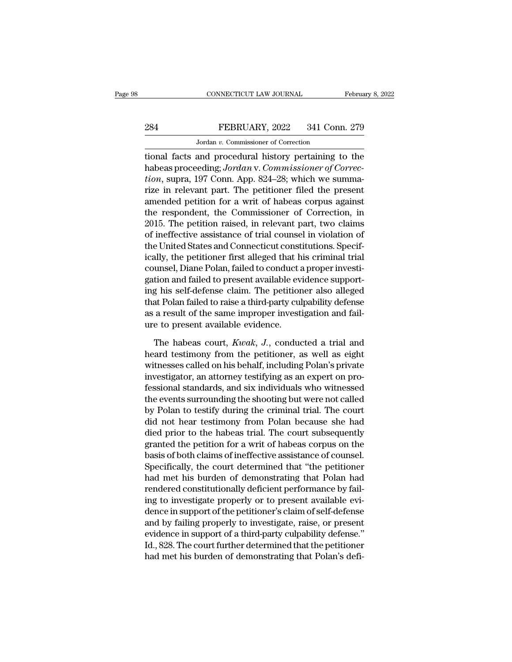# CONNECTICUT LAW JOURNAL February 8, 2022<br>284 FEBRUARY, 2022 341 Conn. 279<br>Jordan v. Commissioner of Correction EXECTICUT LAW JOURNAL<br>FEBRUARY, 2022 341 Conn<br>Jordan v. Commissioner of Correction<br>and procedural history pertaining to

CONNECTICUT LAW JOURNAL February 8, 2022<br>
FEBRUARY, 2022 341 Conn. 279<br>
Jordan v. Commissioner of Correction<br>
tional facts and procedural history pertaining to the<br>
habeas proceeding; Jordan v. Commissioner of Correction FEBRUARY, 2022 341 Conn. 279<br>
Jordan v. Commissioner of Correction<br>
tional facts and procedural history pertaining to the<br>
habeas proceeding; *Jordan* v. *Commissioner of Correc-*<br>
tion, supra, 197 Conn. App. 824–28; which *FEBRUARY, 2022* 341 Conn. 279<br> *Jordan v. Commissioner of Correction*<br> *tional facts and procedural history pertaining to the*<br> *habeas proceeding; Jordan v. Commissioner of Correction, supra, 197 Conn. App. 824–28; which* FEBRUARY, 2022 341 Conn. 279<br>
Jordan v. Commissioner of Correction<br>
tional facts and procedural history pertaining to the<br>
habeas proceeding; Jordan v. Commissioner of Correc-<br>
tion, supra, 197 Conn. App. 824–28; which we Jordan v. Commissioner of Correction<br>
tional facts and procedural history pertaining to the<br>
habeas proceeding; Jordan v. Commissioner of Correc-<br>
tion, supra, 197 Conn. App. 824–28; which we summa-<br>
rize in relevant part solutional facts and procedural history pertaining to the<br>habeas proceeding; Jordan v. Commissioner of Correction, supra, 197 Conn. App. 824–28; which we summa-<br>rize in relevant part. The petitioner filed the present<br>amen tional facts and procedural history pertaining to the<br>habeas proceeding; Jordan v. Commissioner of Correc-<br>tion, supra, 197 Conn. App. 824–28; which we summa-<br>rize in relevant part. The petitioner filed the present<br>amended habeas proceeding; Jordan v. Commissioner of Correction, supra, 197 Conn. App. 824–28; which we summarize in relevant part. The petitioner filed the present amended petition for a writ of habeas corpus against the responde tion, supra, 197 Conn. App. 824–28; which we summa-<br>rize in relevant part. The petitioner filed the present<br>amended petition for a writ of habeas corpus against<br>the respondent, the Commissioner of Correction, in<br>2015. The rize in relevant part. The petitioner filed the present<br>amended petition for a writ of habeas corpus against<br>the respondent, the Commissioner of Correction, in<br>2015. The petition raised, in relevant part, two claims<br>of ine amended petition for a writ of habeas corpus against<br>the respondent, the Commissioner of Correction, in<br>2015. The petition raised, in relevant part, two claims<br>of ineffective assistance of trial counsel in violation of<br>the the respondent, the Commissioner of Correction, in 2015. The petition raised, in relevant part, two claims of ineffective assistance of trial counsel in violation of the United States and Connecticut constitutions. Specifi 2015. The petition raised, in relevant part, two claims<br>of ineffective assistance of trial counsel in violation of<br>the United States and Connecticut constitutions. Specif-<br>ically, the petitioner first alleged that his crim of ineffective assistance of trial counsel in violation of<br>the United States and Connecticut constitutions. Specif-<br>ically, the petitioner first alleged that his criminal trial<br>counsel, Diane Polan, failed to conduct a pro the United States and Connecticut constitutions. Specifically, the petitioner first alleged that his criminal trial<br>counsel, Diane Polan, failed to conduct a proper investigation and failed to present available evidence su ically, the petitioner first alleged that h<br>counsel, Diane Polan, failed to conduct a<br>gation and failed to present available ev<br>ing his self-defense claim. The petitior<br>that Polan failed to raise a third-party cul<br>as a res tion and failed to present available evidence support-<br>g his self-defense claim. The petitioner also alleged<br>at Polan failed to raise a third-party culpability defense<br>a result of the same improper investigation and fail-<br> ing his self-defense claim. The petitioner also alleged<br>that Polan failed to raise a third-party culpability defense<br>as a result of the same improper investigation and fail-<br>ure to present available evidence.<br>The habeas c

that Polan failed to raise a third-party culpability defense<br>as a result of the same improper investigation and fail-<br>ure to present available evidence.<br>The habeas court, *Kwak*, *J*., conducted a trial and<br>heard testimony as a result of the same improper investigation and failure to present available evidence.<br>The habeas court, *Kwak*, *J*., conducted a trial and<br>heard testimony from the petitioner, as well as eight<br>witnesses called on his ure to present available evidence.<br>The habeas court, *Kwak*, *J*., conducted a trial and<br>heard testimony from the petitioner, as well as eight<br>witnesses called on his behalf, including Polan's private<br>investigator, an atto The habeas court, *Kwak*, *J*., conducted a trial and<br>heard testimony from the petitioner, as well as eight<br>witnesses called on his behalf, including Polan's private<br>investigator, an attorney testifying as an expert on pro The habeas court, *Kwak*, *J.*, conducted a trial and<br>heard testimony from the petitioner, as well as eight<br>witnesses called on his behalf, including Polan's private<br>investigator, an attorney testifying as an expert on pro heard testimony from the petitioner, as well as eight<br>witnesses called on his behalf, including Polan's private<br>investigator, an attorney testifying as an expert on pro-<br>fessional standards, and six individuals who witness witnesses called on his behalf, including Polan's private<br>investigator, an attorney testifying as an expert on pro-<br>fessional standards, and six individuals who witnessed<br>the events surrounding the shooting but were not ca investigator, an attorney testifying as an expert on professional standards, and six individuals who witnessed<br>the events surrounding the shooting but were not called<br>by Polan to testify during the criminal trial. The cour fessional standards, and six individuals who witnessed<br>the events surrounding the shooting but were not called<br>by Polan to testify during the criminal trial. The court<br>did not hear testimony from Polan because she had<br>died the events surrounding the shooting but were not called<br>by Polan to testify during the criminal trial. The court<br>did not hear testimony from Polan because she had<br>died prior to the habeas trial. The court subsequently<br>gran by Polan to testify during the criminal trial. The court<br>did not hear testimony from Polan because she had<br>died prior to the habeas trial. The court subsequently<br>granted the petition for a writ of habeas corpus on the<br>basi did not hear testimony from Polan because she had<br>died prior to the habeas trial. The court subsequently<br>granted the petition for a writ of habeas corpus on the<br>basis of both claims of ineffective assistance of counsel.<br>Sp died prior to the habeas trial. The court subsequently<br>granted the petition for a writ of habeas corpus on the<br>basis of both claims of ineffective assistance of counsel.<br>Specifically, the court determined that "the petitio granted the petition for a writ of habeas corpus on the<br>basis of both claims of ineffective assistance of counsel.<br>Specifically, the court determined that "the petitioner<br>had met his burden of demonstrating that Polan had<br> basis of both claims of ineffective assistance of counsel.<br>Specifically, the court determined that "the petitioner<br>had met his burden of demonstrating that Polan had<br>rendered constitutionally deficient performance by fail-Specifically, the court determined that "the petitioner<br>had met his burden of demonstrating that Polan had<br>rendered constitutionally deficient performance by fail-<br>ing to investigate properly or to present available evi-<br>d had met his burden of demonstrating that Polan had<br>rendered constitutionally deficient performance by fail-<br>ing to investigate properly or to present available evi-<br>dence in support of the petitioner's claim of self-defens rendered constitutionally deficient performance by failing to investigate properly or to present available evidence in support of the petitioner's claim of self-defense and by failing properly to investigate, raise, or pre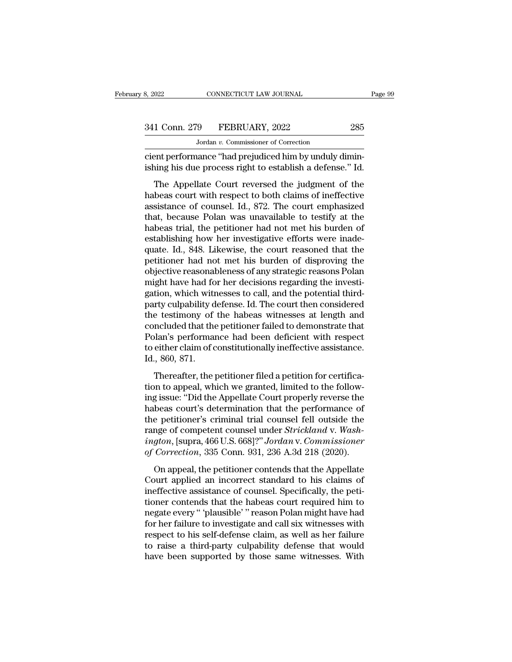MONE CONNECTICUT LAW JOURNAL<br>19 FEBRUARY, 2022<br>Jordan v. Commissioner of Correction<br>19 The "had prejudiced him by unduly d connecticut LAW JOURNAL<br>
341 Conn. 279 FEBRUARY, 2022 285<br>
Jordan v. Commissioner of Correction<br>
cient performance "had prejudiced him by unduly dimin-<br>
ishing his due process right to establish a defense." Id. 341 Conn. 279 FEBRUARY, 2022 285<br>Jordan v. Commissioner of Correction<br>Cient performance "had prejudiced him by unduly diminishing his due process right to establish a defense." Id.<br>The Appellate Court reversed the judgment

1 Conn. 279 FEBRUARY, 2022 285<br>Jordan v. Commissioner of Correction<br>ent performance "had prejudiced him by unduly dimin-<br>ing his due process right to establish a defense." Id.<br>The Appellate Court reversed the judgment of t 341 Conn. 279 FEBRUARY, 2022 285<br>
Jordan v. Commissioner of Correction<br>
cient performance "had prejudiced him by unduly dimin-<br>
ishing his due process right to establish a defense." Id.<br>
The Appellate Court reversed the j Jordan v. Commissioner of Correction<br>
cient performance "had prejudiced him by unduly dimin-<br>
ishing his due process right to establish a defense." Id.<br>
The Appellate Court reversed the judgment of the<br>
habeas court with cient performance "had prejudiced him by unduly diminishing his due process right to establish a defense." Id.<br>The Appellate Court reversed the judgment of the habeas court with respect to both claims of ineffective assist ishing his due process right to establish a defense." Id.<br>The Appellate Court reversed the judgment of the<br>habeas court with respect to both claims of ineffective<br>assistance of counsel. Id., 872. The court emphasized<br>that ishing his due process right to establish a defense." Id.<br>The Appellate Court reversed the judgment of the<br>habeas court with respect to both claims of ineffective<br>assistance of counsel. Id., 872. The court emphasized<br>that, The Appellate Court reversed the judgment of the<br>habeas court with respect to both claims of ineffective<br>assistance of counsel. Id., 872. The court emphasized<br>that, because Polan was unavailable to testify at the<br>habeas tr habeas court with respect to both claims of ineffective<br>assistance of counsel. Id., 872. The court emphasized<br>that, because Polan was unavailable to testify at the<br>habeas trial, the petitioner had not met his burden of<br>est assistance of counsel. Id., 872. The court emphasized<br>that, because Polan was unavailable to testify at the<br>habeas trial, the petitioner had not met his burden of<br>establishing how her investigative efforts were inade-<br>quat that, because Polan was unavailable to testify at the habeas trial, the petitioner had not met his burden of establishing how her investigative efforts were inadequate. Id., 848. Likewise, the court reasoned that the petit habeas trial, the petitioner had not met his burden of establishing how her investigative efforts were inadequate. Id., 848. Likewise, the court reasoned that the petitioner had not met his burden of disproving the objecti establishing how her investigative efforts were inade-<br>quate. Id., 848. Likewise, the court reasoned that the<br>petitioner had not met his burden of disproving the<br>objective reasonableness of any strategic reasons Polan<br>migh quate. Id., 848. Likewise, the court reasoned that the petitioner had not met his burden of disproving the objective reasonableness of any strategic reasons Polan might have had for her decisions regarding the investigatio petitioner had not met his burden of disproving the<br>objective reasonableness of any strategic reasons Polan<br>might have had for her decisions regarding the investi-<br>gation, which witnesses to call, and the potential third-<br> objective reasonableness of any strategic reasons Polan<br>might have had for her decisions regarding the investigation, which witnesses to call, and the potential third-<br>party culpability defense. Id. The court then consider might have had for her decisions regarding the investigation, which witnesses to call, and the potential third-<br>party culpability defense. Id. The court then considered<br>the testimony of the habeas witnesses at length and<br>c gation, which with<br>party culpability d<br>the testimony of<br>concluded that the<br>Polan's performan<br>to either claim of c<br>Id., 860, 871.<br>Thereafter, the p Thereafter, the petitioner filed a petition for certifica-<br>Thereafter, the petitioner failed to demonstrate that<br>plan's performance had been deficient with respect<br>either claim of constitutionally ineffective assistance.<br>, the costation, of the hascest whitesses at rengal and<br>concluded that the petitioner failed to demonstrate that<br>Polan's performance had been deficient with respect<br>to either claim of constitutionally ineffective assistance.

Folan's performance had been deficient with respect<br>polan's performance had been deficient with respect<br>to either claim of constitutionally ineffective assistance.<br>Id., 860, 871.<br>Thereafter, the petitioner filed a petition Folaris performance had seen deficient what respect<br>to either claim of constitutionally ineffective assistance.<br>Id., 860, 871.<br>Thereafter, the petitioner filed a petition for certifica-<br>tion to appeal, which we granted, l Id., 860, 871.<br>
Thereafter, the petitioner filed a petition for certifica-<br>
tion to appeal, which we granted, limited to the follow-<br>
ing issue: "Did the Appellate Court properly reverse the<br>
habeas court's determination rangeof, order the petitioner filed a petition for certification to appeal, which we granted, limited to the following issue: "Did the Appellate Court properly reverse the habeas court's determination that the performance Thereafter, the petitioner filed a petition for certification to appeal, which we granted, limited to the following issue: "Did the Appellate Court properly reverse the habeas court's determination that the performance of tion to appeal, which we granted, limited to the following issue: "Did the Appellate Court properly reverse the habeas court's determination that the performance of the petitioner's criminal trial counsel fell outside the beas court's determination that the performance of<br>the performance of<br>the performance of<br>the performance of competent counsel under *Strickland* v. Wash-<br>*gton*, [supra, 466 U.S. 668]?" Jordan v. Commissioner<br>Correction, 3 raiseas courts determination and are performance of<br>the petitioner's criminal trial counsel fell outside the<br>range of competent counsel under *Strickland* v. Wash-<br>ington, [supra, 466 U.S. 668]?" Jordan v. Commissioner<br>of

range of competent counsel under *Strickland v. Washington*, [supra, 466 U.S. 668]?" *Jordan v. Commissioner* of *Correction*, 335 Conn. 931, 236 A.3d 218 (2020).<br>On appeal, the petitioner contends that the Appellate Court trange of competent counser ander *Britaniaa C. Wash*<br>ington, [supra, 466 U.S. 668]?" Jordan v. Commissioner<br>of Correction, 335 Conn. 931, 236 A.3d 218 (2020).<br>On appeal, the petitioner contends that the Appellate<br>Court ap ngton, [sapra, 100 0.1.1 000]. "Obtatant": Commissioner<br>of Correction, 335 Conn. 931, 236 A.3d 218 (2020).<br>On appeal, the petitioner contends that the Appellate<br>Court applied an incorrect standard to his claims of<br>ineffect for the petitioner contends that the Appellate<br>Court applied an incorrect standard to his claims of<br>ineffective assistance of counsel. Specifically, the peti-<br>tioner contends that the habeas court required him to<br>negate ev On appeal, the petitioner contends that the Appellate<br>Court applied an incorrect standard to his claims of<br>ineffective assistance of counsel. Specifically, the peti-<br>tioner contends that the habeas court required him to<br>ne Court applied an incorrect standard to his claims of<br>ineffective assistance of counsel. Specifically, the peti-<br>tioner contends that the habeas court required him to<br>negate every "plausible" reason Polan might have had<br>for ineffective assistance of counsel. Specifically, the petitioner contends that the habeas court required him to negate every " 'plausible' " reason Polan might have had for her failure to investigate and call six witnesses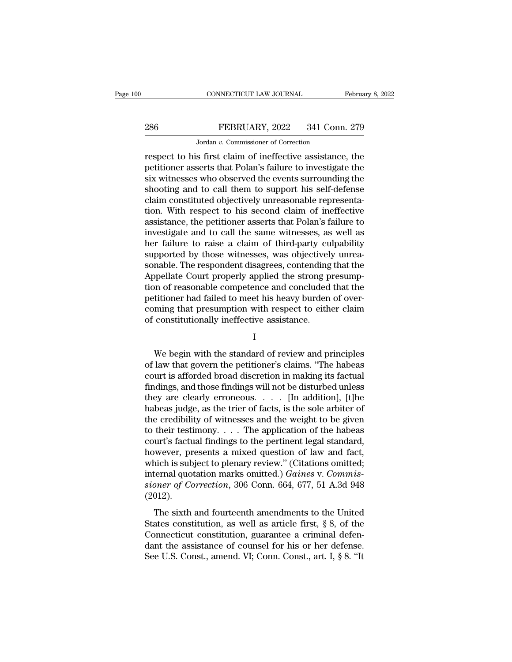# CONNECTICUT LAW JOURNAL February 8, 2022<br>286 FEBRUARY, 2022 341 Conn. 279<br>Jordan v. Commissioner of Correction CONNECTICUT LAW JOURNAL<br>FEBRUARY, 2022 341 Conn<br>Jordan *v*. Commissioner of Correction<br>s first claim of ineffective assistance

CONNECTICUT LAW JOURNAL February 8, 2022<br>
286 FEBRUARY, 2022 341 Conn. 279<br>
Jordan v. Commissioner of Correction<br>
respect to his first claim of ineffective assistance, the<br>
petitioner asserts that Polan's failure to invest PEBRUARY, 2022 341 Conn. 279<br>
Jordan v. Commissioner of Correction<br>
respect to his first claim of ineffective assistance, the<br>
petitioner asserts that Polan's failure to investigate the<br>
six witnesses who observed the even  $\begin{tabular}{l} \multicolumn{1}{l}{{\bf PEBRUARY, 2022 \quad \quad 341 Conn. 279}}\\ \hline \multicolumn{1}{l}{\begin{tabular}{l} \hline & Jordan $v$. \emph{Commissioner of Correction} \end{tabular}}\\ \hline \multicolumn{1}{l}{\bf respect to his first claim of ineffective assistance, the}\end{tabular} \\ \hline \multicolumn{1}{l}{\bf performance asserts that Polan's failure to investigate the}\end{tabular} \\ \hline \multicolumn{1}{l}{\bf six witnesses who observed the events surrounding the}\n$ shooting and to call them to support his self-defense Jordan v. Commissioner of Correction<br>respect to his first claim of ineffective assistance, the<br>petitioner asserts that Polan's failure to investigate the<br>six witnesses who observed the events surrounding the<br>shooting and t Jordan v. Commissioner of Correction<br>
respect to his first claim of ineffective assistance, the<br>
petitioner asserts that Polan's failure to investigate the<br>
six witnesses who observed the events surrounding the<br>
shooting respect to his first claim of ineffective assistance, the petitioner asserts that Polan's failure to investigate the six witnesses who observed the events surrounding the shooting and to call them to support his self-defen petitioner asserts that Polan's failure to investigate the<br>six witnesses who observed the events surrounding the<br>shooting and to call them to support his self-defense<br>claim constituted objectively unreasonable representa-<br> six witnesses who observed the events surrounding the shooting and to call them to support his self-defense claim constituted objectively unreasonable representation. With respect to his second claim of ineffective assista shooting and to call them to support his self-defense<br>claim constituted objectively unreasonable representa-<br>tion. With respect to his second claim of ineffective<br>assistance, the petitioner asserts that Polan's failure to<br> claim constituted objectively unreasonable representation. With respect to his second claim of ineffective assistance, the petitioner asserts that Polan's failure to investigate and to call the same witnesses, as well as h tion. With respect to his second claim of ineffective<br>assistance, the petitioner asserts that Polan's failure to<br>investigate and to call the same witnesses, as well as<br>her failure to raise a claim of third-party culpabilit assistance, the petitioner asserts that Polan's failure to<br>investigate and to call the same witnesses, as well as<br>her failure to raise a claim of third-party culpability<br>supported by those witnesses, was objectively unreainvestigate and to call the same witnesses, as well as<br>her failure to raise a claim of third-party culpability<br>supported by those witnesses, was objectively unrea-<br>sonable. The respondent disagrees, contending that the<br>App her failure to raise a claim of third-party culpability<br>supported by those witnesses, was objectively unrea-<br>sonable. The respondent disagrees, contending that the<br>Appellate Court properly applied the strong presump-<br>tion supported by those witnesses, was objectivel<br>sonable. The respondent disagrees, contending<br>Appellate Court properly applied the strong p<br>tion of reasonable competence and concluded<br>petitioner had failed to meet his heavy b or of reasonable competence and concluded that the<br>titioner had failed to meet his heavy burden of over-<br>ming that presumption with respect to either claim<br>constitutionally ineffective assistance.<br>I<br>We begin with the stand

I

petitioner had failed to meet his heavy burden of over-<br>coming that presumption with respect to either claim<br>of constitutionally ineffective assistance.<br>I<br>We begin with the standard of review and principles<br>of law that gov coming that presumption with respect to either claim<br>of constitutionally ineffective assistance.<br>I<br>We begin with the standard of review and principles<br>of law that govern the petitioner's claims. "The habeas<br>court is afford of constitutionally ineffective assistance.<br>
I<br>
We begin with the standard of review and principles<br>
of law that govern the petitioner's claims. "The habeas<br>
court is afforded broad discretion in making its factual<br>
findin I<br>We begin with the standard of review and principles<br>of law that govern the petitioner's claims. "The habeas<br>court is afforded broad discretion in making its factual<br>findings, and those findings will not be disturbed unle We begin with the standard of review and principles<br>of law that govern the petitioner's claims. "The habeas<br>court is afforded broad discretion in making its factual<br>findings, and those findings will not be disturbed unless We begin with the standard of review and principles<br>of law that govern the petitioner's claims. "The habeas<br>court is afforded broad discretion in making its factual<br>findings, and those findings will not be disturbed unles of law that govern the petitioner's claims. "The habeas<br>court is afforded broad discretion in making its factual<br>findings, and those findings will not be disturbed unless<br>they are clearly erroneous. . . . [In addition], [ court is afforded broad discretion in making its factual findings, and those findings will not be disturbed unless<br>they are clearly erroneous. . . . . [In addition], [t]he<br>habeas judge, as the trier of facts, is the sole findings, and those findings will not be disturbed unless<br>they are clearly erroneous. . . . [In addition], [t]he<br>habeas judge, as the trier of facts, is the sole arbiter of<br>the credibility of witnesses and the weight to b they are clearly erroneous. . . . . [In addition], [t]he<br>habeas judge, as the trier of facts, is the sole arbiter of<br>the credibility of witnesses and the weight to be given<br>to their testimony. . . . The application of the habeas judge, as the trier of facts, is the sole arbiter of<br>the credibility of witnesses and the weight to be given<br>to their testimony. . . . The application of the habeas<br>court's factual findings to the pertinent legal st the credibility of witnesses and the weight to be given<br>to their testimony. . . . The application of the habeas<br>court's factual findings to the pertinent legal standard,<br>however, presents a mixed question of law and fact,<br> (2012). wever, presents a mixed question of law and fact,<br>inch is subject to plenary review." (Citations omitted;<br>ternal quotation marks omitted.) *Gaines* v. *Commis-<br>oner of Correction*, 306 Conn. 664, 677, 51 A.3d 948<br>012).<br>Th Fraction, presents a mated question of fail and race,<br>which is subject to plenary review." (Citations omitted;<br>internal quotation marks omitted.) *Gaines v. Commis-<br>sioner of Correction*, 306 Conn. 664, 677, 51 A.3d 948<br>(

internal quotation marks omitted.) *Gaines v. Commissioner of Correction*, 306 Conn. 664, 677, 51 A.3d 948 (2012).<br>The sixth and fourteenth amendments to the United<br>States constitution, as well as article first, § 8, of t meethal quotation matrix of directing of contracting sioner of Correction, 306 Conn. 664, 677, 51 A.3d 948 (2012).<br>The sixth and fourteenth amendments to the United States constitution, as well as article first, § 8, of t (2012).<br>The sixth and fourteenth amendments to the United States constitution, as well as article first, § 8, of the Connecticut constitution, guarantee a criminal defendant the assistance of counsel for his or her defens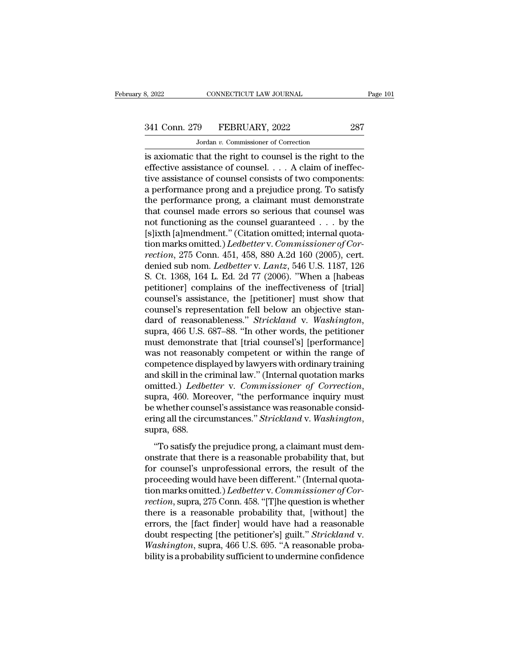# 3, 2022 CONNECTICUT LAW JOURNAL Page 101<br>341 Conn. 279 FEBRUARY, 2022 287<br>Jordan v. Commissioner of Correction

CONNECTICUT LAW JOURNAL<br>
9 FEBRUARY, 2022<br>
Jordan *v.* Commissioner of Correction<br>
that the right to counsel is the right t EXECUTE SAN SOURNAL Page 101<br>
341 Conn. 279 FEBRUARY, 2022 287<br>
36 Jordan v. Commissioner of Correction<br>
is axiomatic that the right to counsel is the right to the<br>
effective assistance of counsel. . . . A claim of ineffec 341 Conn. 279 FEBRUARY, 2022 287<br>Jordan v. Commissioner of Correction<br>is axiomatic that the right to counsel is the right to the<br>effective assistance of counsel. . . . A claim of ineffec-<br>tive assistance of counsel consis 341 Conn. 279 FEBRUARY, 2022 287<br>Jordan v. Commissioner of Correction<br>is axiomatic that the right to counsel is the right to the<br>effective assistance of counsel. . . . A claim of ineffec-<br>tive assistance of counsel consis 341 Conn. 279 FEBRUARY, 2022 287<br>Jordan v. Commissioner of Correction<br>is axiomatic that the right to counsel is the right to the<br>effective assistance of counsel.... A claim of ineffec-<br>tive assistance of counsel consists Jordan v. Commissioner of Correction<br>
is axiomatic that the right to counsel is the right to the<br>
effective assistance of counsel.... A claim of ineffec-<br>
tive assistance of counsel consists of two components:<br>
a performa Jordan v. Commissioner of Correction<br>
is axiomatic that the right to counsel is the right to the<br>
effective assistance of counsel . . . . A claim of ineffec-<br>
tive assistance of counsel consists of two components:<br>
a perf is axiomatic that the right to counsel is the right to the<br>effective assistance of counsel. . . . A claim of ineffec-<br>tive assistance of counsel consists of two components:<br>a performance prong and a prejudice prong. To sa effective assistance of counsel.... A claim of ineffective assistance of counsel consists of two components:<br>a performance prong and a prejudice prong. To satisfy<br>the performance prong, a claimant must demonstrate<br>that co tive assistance of counsel consists of two components:<br>a performance prong and a prejudice prong. To satisfy<br>the performance prong, a claimant must demonstrate<br>that counsel made errors so serious that counsel was<br>not funct a performance prong and a prejudice prong. To satisfy<br>the performance prong, a claimant must demonstrate<br>that counsel made errors so serious that counsel was<br>not functioning as the counsel guaranteed . . . by the<br>[s]ixth [ the performance prong, a claimant must demonstrate<br>that counsel made errors so serious that counsel was<br>not functioning as the counsel guaranteed . . . by the<br>[s]ixth [a]mendment." (Citation omitted; internal quota-<br>tion m that counsel made errors so serious that counsel was<br>not functioning as the counsel guaranteed . . . by the<br>[s]ixth [a]mendment." (Citation omitted; internal quota-<br>tion marks omitted.) *Ledbetter* v. *Commissioner of Cor* not functioning as the counsel guaranteed . . . by the [s]ixth [a]mendment." (Citation omitted; internal quotation marks omitted.) *Ledbetter* v. *Commissioner of Correction*, 275 Conn. 451, 458, 880 A.2d 160 (2005), cert [s]ixth [a]mendment." (Citation omitted; internal quotation marks omitted.) *Ledbetter* v. *Commissioner of Correction*, 275 Conn. 451, 458, 880 A.2d 160 (2005), cert. denied sub nom. *Ledbetter* v. *Lantz*, 546 U.S. 1187 tion marks omitted.) *Ledbetter* v. *Commissioner of Correction*, 275 Conn. 451, 458, 880 A.2d 160 (2005), cert.<br>denied sub nom. *Ledbetter* v. *Lantz*, 546 U.S. 1187, 126<br>S. Ct. 1368, 164 L. Ed. 2d 77 (2006). "When a [hab rection, 275 Conn. 451, 458, 880 A.2d 160 (2005), cert.<br>denied sub nom. *Ledbetter* v. *Lantz*, 546 U.S. 1187, 126<br>S. Ct. 1368, 164 L. Ed. 2d 77 (2006). "When a [habeas<br>petitioner] complains of the ineffectiveness of [tria S. Ct. 1368, 164 L. Ed. 2d 77 (2006). "When a [habeas petitioner] complains of the ineffectiveness of [trial] counsel's assistance, the [petitioner] must show that counsel's representation fell below an objective standard petitioner] complains of the ineffectiveness of [trial]<br>counsel's assistance, the [petitioner] must show that<br>counsel's representation fell below an objective stan-<br>dard of reasonableness." *Strickland* v. Washington,<br>supr counsel's assistance, the [petitioner] must show that<br>counsel's representation fell below an objective stan-<br>dard of reasonableness." *Strickland* v. *Washington*,<br>supra, 466 U.S. 687–88. "In other words, the petitioner<br>mu counsel's representation fell below an objective stan-<br>dard of reasonableness." *Strickland* v. *Washington*,<br>supra, 466 U.S. 687–88. "In other words, the petitioner<br>must demonstrate that [trial counsel's] [performance]<br>wa dard of reasonableness." *Strickland* v. *Washington*,<br>supra, 466 U.S. 687–88. "In other words, the petitioner<br>must demonstrate that [trial counsel's] [performance]<br>was not reasonably competent or within the range of<br>compe must demonstrate that [trial counsel's] [performance]<br>was not reasonably competent or within the range of<br>competence displayed by lawyers with ordinary training<br>and skill in the criminal law." (Internal quotation marks<br>omi was not reasonably competent or within the range of<br>competence displayed by lawyers with ordinary training<br>and skill in the criminal law." (Internal quotation marks<br>omitted.) *Ledbetter* v. *Commissioner of Correction*,<br>su inted.) *Ledbetter* v. *Commissioner of Correction*,<br>pra, 460. Moreover, "the performance inquiry must<br>whether counsel's assistance was reasonable consid-<br>ing all the circumstances." *Strickland* v. *Washington*,<br>pra, 688. supra, 460. Moreover, "the performance inquiry must<br>be whether counsel's assistance was reasonable consid-<br>ering all the circumstances." *Strickland* v. *Washington*,<br>supra, 688.<br>"To satisfy the prejudice prong, a claimant

be whether counsel's assistance was reasonable considering all the circumstances." *Strickland* v. *Washington*, supra, 688.<br>"To satisfy the prejudice prong, a claimant must demonstrate that there is a reasonable probabil be whence ocalisers assistance was reasonable only a<br>ering all the circumstances." *Strickland* v. *Washington*,<br>supra, 688.<br>"To satisfy the prejudice prong, a claimant must demonstrate that there is a reasonable probabili supra, 688.<br>
"To satisfy the prejudice prong, a claimant must demonstrate that there is a reasonable probability that, but<br>
for counsel's unprofessional errors, the result of the<br>
proceeding would have been different." (In "To satisfy the prejudice prong, a claimant must demonstrate that there is a reasonable probability that, but<br>for counsel's unprofessional errors, the result of the<br>proceeding would have been different." (Internal quota-<br>t "To satisfy the prejudice prong, a claimant must demonstrate that there is a reasonable probability that, but<br>for counsel's unprofessional errors, the result of the<br>proceeding would have been different." (Internal quota-<br> on trate that there is a reasonable probability that, but<br>for counsel's unprofessional errors, the result of the<br>proceeding would have been different." (Internal quota-<br>tion marks omitted.) *Ledbetter* v. *Commissioner of* for counsel's unprofessional errors, the result of the<br>proceeding would have been different." (Internal quota-<br>tion marks omitted.) *Ledbetter* v. *Commissioner of Cor-*<br>rection, supra, 275 Conn. 458. "[T]he question is wh proceeding would have been different." (Internal quotation marks omitted.) *Ledbetter* v. *Commissioner of Correction*, supra, 275 Conn. 458. "[T]he question is whether there is a reasonable probability that, [without] the tion marks omitted.) *Ledbetter* v. *Commissioner of Correction*, supra, 275 Conn. 458. "[T]he question is whether there is a reasonable probability that, [without] the errors, the [fact finder] would have had a reasonable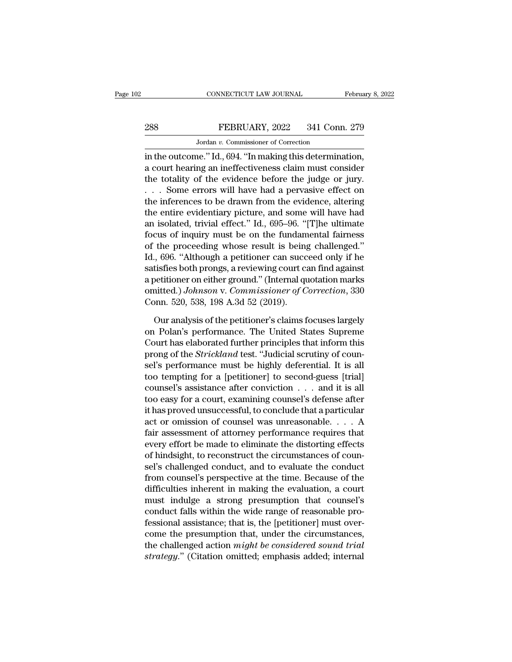# CONNECTICUT LAW JOURNAL February 8, 2022<br>288 FEBRUARY, 2022 341 Conn. 279<br>Jordan v. Commissioner of Correction CONNECTICUT LAW JOURNAL<br>FEBRUARY, 2022 341 Conn<br>Jordan v. Commissioner of Correction<br>Je " Id \_694 "In making this determina

CONNECTICUT LAW JOURNAL February 8, 2<br>
288 FEBRUARY, 2022 341 Conn. 279<br>
Jordan v. Commissioner of Correction<br>
in the outcome.'' Id., 694. "In making this determination,<br>
a court hearing an ineffectiveness claim must consi 288 FEBRUARY, 2022 341 Conn. 279<br>
Jordan v. Commissioner of Correction<br>
in the outcome." Id., 694. "In making this determination,<br>
a court hearing an ineffectiveness claim must consider<br>
the totality of the evidence befor 288 FEBRUARY, 2022 341 Conn. 279<br>
Jordan v. Commissioner of Correction<br>
in the outcome." Id., 694. "In making this determination,<br>
a court hearing an ineffectiveness claim must consider<br>
the totality of the evidence befor 288 FEBRUARY, 2022 341 Conn. 279<br>
Jordan v. Commissioner of Correction<br>
in the outcome." Id., 694. "In making this determination,<br>
a court hearing an ineffectiveness claim must consider<br>
the totality of the evidence befor Jordan v. Commissioner of Correction<br>in the outcome." Id., 694. "In making this determination,<br>a court hearing an ineffectiveness claim must consider<br>the totality of the evidence before the judge or jury.<br> $\ldots$  Some error solution of conducts of consistent of consecuent<br>in the outcome." Id., 694. "In making this determination,<br>a court hearing an ineffectiveness claim must consider<br>the totality of the evidence before the judge or jury.<br> $\ldots$ in the outcome." Id., 694. "In making this determination,<br>a court hearing an ineffectiveness claim must consider<br>the totality of the evidence before the judge or jury.<br> $\ldots$  Some errors will have had a pervasive effect on a court hearing an ineffectiveness claim must consider<br>the totality of the evidence before the judge or jury.<br>... Some errors will have had a pervasive effect on<br>the inferences to be drawn from the evidence, altering<br>the the totality of the evidence before the judge or jury.<br>  $\ldots$  Some errors will have had a pervasive effect on<br>
the inferences to be drawn from the evidence, altering<br>
the entire evidentiary picture, and some will have had ... Some errors will have had a pervasive effect on<br>the inferences to be drawn from the evidence, altering<br>the entire evidentiary picture, and some will have had<br>an isolated, trivial effect." Id., 695–96. "[T]he ultimate<br>f the inferences to be drawn from the evidence, altering<br>the entire evidentiary picture, and some will have had<br>an isolated, trivial effect." Id., 695–96. "[T]he ultimate<br>focus of inquiry must be on the fundamental fairness<br> the entire evidentiary picture, and some will have had<br>an isolated, trivial effect." Id., 695–96. "[T]he ultimate<br>focus of inquiry must be on the fundamental fairness<br>of the proceeding whose result is being challenged."<br>I an isolated, trivial effect." Id., 695–96. "[T]he ultimate<br>focus of inquiry must be on the fundamental fairness<br>of the proceeding whose result is being challenged."<br>Id., 696. "Although a petitioner can succeed only if he<br>s focus of inquiry must be on the fundam<br>of the proceeding whose result is being<br>Id., 696. "Although a petitioner can succ<br>satisfies both prongs, a reviewing court ca<br>a petitioner on either ground." (Internal qu<br>omitted.) Jo ., 696. "Although a petitioner can succeed only if he<br>tisfies both prongs, a reviewing court can find against<br>petitioner on either ground." (Internal quotation marks<br>nitted.) Johnson v. Commissioner of Correction, 330<br>pon. satisfies both prongs, a reviewing court can find against<br>a petitioner on either ground." (Internal quotation marks<br>omitted.) Johnson v. Commissioner of Correction, 330<br>Conn. 520, 538, 198 A.3d 52 (2019).<br>Our analysis of t

a petitioner on either ground." (Internal quotation marks<br>
omitted.) Johnson v. Commissioner of Correction, 330<br>
Conn. 520, 538, 198 A.3d 52 (2019).<br>
Our analysis of the petitioner's claims focuses largely<br>
on Polan's perf omitted.) *Johnson* v. *Commissioner of Correction*, 330<br>Conn. 520, 538, 198 A.3d 52 (2019).<br>Our analysis of the petitioner's claims focuses largely<br>on Polan's performance. The United States Supreme<br>Court has elaborated fu Conn. 520, 538, 198 A.3d 52 (2019).<br>
Our analysis of the petitioner's claims focuses largely<br>
on Polan's performance. The United States Supreme<br>
Court has elaborated further principles that inform this<br>
prong of the *Stric* Our analysis of the petitioner's claims focuses largely<br>on Polan's performance. The United States Supreme<br>Court has elaborated further principles that inform this<br>prong of the *Strickland* test. "Judicial scrutiny of coun-Our analysis of the petitioner's claims focuses largely<br>on Polan's performance. The United States Supreme<br>Court has elaborated further principles that inform this<br>prong of the *Strickland* test. "Judicial scrutiny of coun on Polan's performance. The United States Supreme<br>Court has elaborated further principles that inform this<br>prong of the *Strickland* test. "Judicial scrutiny of coun-<br>sel's performance must be highly deferential. It is al Court has elaborated further principles that inform this<br>prong of the *Strickland* test. "Judicial scrutiny of coun-<br>sel's performance must be highly deferential. It is all<br>too tempting for a [petitioner] to second-guess prong of the *Strickland* test. "Judicial scrutiny of counsel's performance must be highly deferential. It is all<br>too tempting for a [petitioner] to second-guess [trial]<br>counsel's assistance after conviction  $\dots$  and it i sel's performance must be highly deferential. It is all<br>too tempting for a [petitioner] to second-guess [trial]<br>counsel's assistance after conviction . . . and it is all<br>too easy for a court, examining counsel's defense af too tempting for a [petitioner] to second-guess [trial]<br>counsel's assistance after conviction  $\dots$  and it is all<br>too easy for a court, examining counsel's defense after<br>it has proved unsuccessful, to conclude that a parti counsel's assistance after conviction  $\ldots$  and it is all<br>too easy for a court, examining counsel's defense after<br>it has proved unsuccessful, to conclude that a particular<br>act or omission of counsel was unreasonable.  $\ldots$ too easy for a court, examining counsel's defense after<br>it has proved unsuccessful, to conclude that a particular<br>act or omission of counsel was unreasonable. . . . A<br>fair assessment of attorney performance requires that<br>e it has proved unsuccessful, to conclude that a particular<br>act or omission of counsel was unreasonable. . . . A<br>fair assessment of attorney performance requires that<br>every effort be made to eliminate the distorting effects<br> act or omission of counsel was unreasonable.... A<br>fair assessment of attorney performance requires that<br>every effort be made to eliminate the distorting effects<br>of hindsight, to reconstruct the circumstances of coun-<br>sel' fair assessment of attorney performance requires that<br>every effort be made to eliminate the distorting effects<br>of hindsight, to reconstruct the circumstances of coun-<br>sel's challenged conduct, and to evaluate the conduct<br>f every effort be made to eliminate the distorting effects<br>of hindsight, to reconstruct the circumstances of coun-<br>sel's challenged conduct, and to evaluate the conduct<br>from counsel's perspective at the time. Because of the<br> of hindsight, to reconstruct the circumstances of counsel's challenged conduct, and to evaluate the conduct<br>from counsel's perspective at the time. Because of the<br>difficulties inherent in making the evaluation, a court<br>mus sel's challenged conduct, and to evaluate the conduct<br>from counsel's perspective at the time. Because of the<br>difficulties inherent in making the evaluation, a court<br>must indulge a strong presumption that counsel's<br>conduct from counsel's perspective at the time. Because of the difficulties inherent in making the evaluation, a court must indulge a strong presumption that counsel's conduct falls within the wide range of reasonable professional difficulties inherent in making the evaluation, a court<br>must indulge a strong presumption that counsel's<br>conduct falls within the wide range of reasonable pro-<br>fessional assistance; that is, the [petitioner] must over-<br>com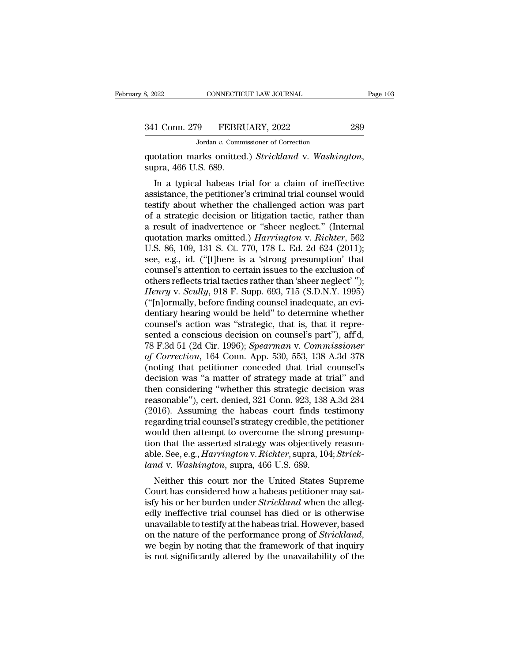MONNECTICUT LAW JOURNAL<br>
19 FEBRUARY, 2022<br>
Jordan *v.* Commissioner of Correction<br>
arks. omitted.) *Strickland*, v. Washin

quotation marks omitted.) *Strickland* v. *Washington*, supra, 466 U.S. 689.<br>
In a typical habeas trial for a claim of ineffective

1 Conn. 279 FEBRUARY, 2022 289<br>
Jordan v. Commissioner of Correction<br>
otation marks omitted.) Strickland v. Washington,<br>
pra, 466 U.S. 689.<br>
In a typical habeas trial for a claim of ineffective<br>
sistance, the petitioner's 341 Conn. 279 FEBRUARY, 2022 289<br>
Jordan v. Commissioner of Correction<br>
quotation marks omitted.) Strickland v. Washington,<br>
supra, 466 U.S. 689.<br>
In a typical habeas trial for a claim of ineffective<br>
assistance, the peti Jordan v. Commissioner of Correction<br>
quotation marks omitted.) Strickland v. Washington,<br>
supra, 466 U.S. 689.<br>
In a typical habeas trial for a claim of ineffective<br>
assistance, the petitioner's criminal trial counsel wo quotation marks omitted.) *Strickland* v. Washington,<br>supra, 466 U.S. 689.<br>In a typical habeas trial for a claim of ineffective<br>assistance, the petitioner's criminal trial counsel would<br>testify about whether the challenged quotation marks omitted.) *Strickdind* v. *Washington*,<br>supra, 466 U.S. 689.<br>In a typical habeas trial for a claim of ineffective<br>assistance, the petitioner's criminal trial counsel would<br>testify about whether the challen supra, 400 U.S. 069.<br>
In a typical habeas trial for a claim of ineffective<br>
assistance, the petitioner's criminal trial counsel would<br>
testify about whether the challenged action was part<br>
of a strategic decision or litiga In a typical habeas trial for a claim of ineffective<br>assistance, the petitioner's criminal trial counsel would<br>testify about whether the challenged action was part<br>of a strategic decision or litigation tactic, rather than<br> assistance, the petitioner's criminal trial counsel would<br>testify about whether the challenged action was part<br>of a strategic decision or litigation tactic, rather than<br>a result of inadvertence or "sheer neglect." (Intern testify about whether the challenged action was part<br>of a strategic decision or litigation tactic, rather than<br>a result of inadvertence or "sheer neglect." (Internal<br>quotation marks omitted.) *Harrington* v. *Richter*, 56 of a strategic decision or litigation tactic, rather than<br>a result of inadvertence or "sheer neglect." (Internal<br>quotation marks omitted.) *Harrington* v. *Richter*, 562<br>U.S. 86, 109, 131 S. Ct. 770, 178 L. Ed. 2d 624 (201 a result of inadvertence or "sheer neglect." (Internal quotation marks omitted.) *Harrington* v. *Richter*, 562 U.S. 86, 109, 131 S. Ct. 770, 178 L. Ed. 2d 624 (2011); see, e.g., id. ("[t]here is a 'strong presumption' tha quotation marks omitted.) *Harrington* v. *Richter*, 562<br>U.S. 86, 109, 131 S. Ct. 770, 178 L. Ed. 2d 624 (2011);<br>see, e.g., id. ("[t]here is a 'strong presumption' that<br>counsel's attention to certain issues to the exclusio U.S. 86, 109, 131 S. Ct. 770, 178 L. Ed. 2d 624 (2011);<br>see, e.g., id. ("[t]here is a 'strong presumption' that<br>counsel's attention to certain issues to the exclusion of<br>others reflects trial tactics rather than 'sheer neg see, e.g., id. ("[t]here is a 'strong presumption' that counsel's attention to certain issues to the exclusion of others reflects trial tactics rather than 'sheer neglect' ''); *Henry v. Scully*, 918 F. Supp. 693, 715 (S. counsel's attention to certain issues to the exclusion of<br>others reflects trial tactics rather than 'sheer neglect' '');<br>*Henry v. Scully*, 918 F. Supp. 693, 715 (S.D.N.Y. 1995)<br>("[n]ormally, before finding counsel inadequ others reflects trial tactics rather than 'sheer neglect' '');<br> *Henry v. Scully*, 918 F. Supp. 693, 715 (S.D.N.Y. 1995)<br>
("[n]ormally, before finding counsel inadequate, an evi-<br>
dentiary hearing would be held" to determi *Henry v. Scully,* 918 F. Supp. 693, 715 (S.D.N.Y. 1995)<br>("[n]ormally, before finding counsel inadequate, an evi-<br>dentiary hearing would be held" to determine whether<br>counsel's action was "strategic, that is, that it repre ("[n]ormally, before finding counsel inadequate, an evi-<br>dentiary hearing would be held" to determine whether<br>counsel's action was "strategic, that is, that it repre-<br>sented a conscious decision on counsel's part"), aff'd, dentiary hearing would be held" to determine whether<br>counsel's action was "strategic, that is, that it repre-<br>sented a conscious decision on counsel's part"), aff'd,<br>78 F.3d 51 (2d Cir. 1996); *Spearman v. Commissioner*<br>of counsel's action was "strategic, that is, that it represented a conscious decision on counsel's part"), aff'd,<br>78 F.3d 51 (2d Cir. 1996); *Spearman v. Commissioner*<br>of Correction, 164 Conn. App. 530, 553, 138 A.3d 378<br>(not sented a conscious decision on counsel's part"), aff'd,<br>78 F.3d 51 (2d Cir. 1996); *Spearman v. Commissioner*<br>of Correction, 164 Conn. App. 530, 553, 138 A.3d 378<br>(noting that petitioner conceded that trial counsel's<br>decis 78 F.3d 51 (2d Cir. 1996); *Spearman v. Commissioner*<br>of *Correction*, 164 Conn. App. 530, 553, 138 A.3d 378<br>(noting that petitioner conceded that trial counsel's<br>decision was "a matter of strategy made at trial" and<br>then of Correction, 164 Conn. App. 530, 553, 138 A.3d 378 (noting that petitioner conceded that trial counsel's decision was "a matter of strategy made at trial" and then considering "whether this strategic decision was reasona (noting that petitioner conceded that trial counsel's<br>decision was "a matter of strategy made at trial" and<br>then considering "whether this strategic decision was<br>reasonable"), cert. denied, 321 Conn. 923, 138 A.3d 284<br>(20 decision was "a matter of strategy made at trial" and<br>then considering "whether this strategic decision was<br>reasonable"), cert. denied, 321 Conn. 923, 138 A.3d 284<br>(2016). Assuming the habeas court finds testimony<br>regardin then considering "whether this strategic decision was<br>reasonable"), cert. denied, 321 Conn. 923, 138 A.3d 284<br>(2016). Assuming the habeas court finds testimony<br>regarding trial counsel's strategy credible, the petitioner<br>wo reasonable"), cert. denied, 321 Conn. 923, 138.<br>(2016). Assuming the habeas court finds te<br>regarding trial counsel's strategy credible, the p<br>would then attempt to overcome the strong p<br>tion that the asserted strategy was Forty. Assuming the habeas Court must lest<br>similarly garding trial counsel's strategy credible, the petitioner<br>ould then attempt to overcome the strong presump-<br>on that the asserted strategy was objectively reason-<br>le. See regarding trial coursers strategy credible, the petitioner<br>would then attempt to overcome the strong presump-<br>tion that the asserted strategy was objectively reason-<br>able. See, e.g., *Harrington* v. *Richter*, supra, 104;

would then attempt to overcome the strong presumption that the asserted strategy was objectively reasonable. See, e.g., *Harrington* v. *Richter*, supra, 104; *Strickland* v. *Washington*, supra, 466 U.S. 689.<br>Neither this tion that the asserted strategy was objectively reasonable. See, e.g., *Harrington* v. *Richter*, supra, 104; *Strickland* v. *Washington*, supra, 466 U.S. 689.<br>Neither this court nor the United States Supreme Court has co able. see, e.g., *Harrington* v. *Kithler*, supla, 104, *Strick-*<br>*land* v. *Washington*, supra, 466 U.S. 689.<br>Neither this court nor the United States Supreme<br>Court has considered how a habeas petitioner may sat-<br>isfy his Neither this court nor the United States Supreme<br>Court has considered how a habeas petitioner may satisfy his or her burden under *Strickland* when the alleg-<br>edly ineffective trial counsel has died or is otherwise<br>unavail Court has considered how a habeas petitioner may satisfy his or her burden under *Strickland* when the allegedly ineffective trial counsel has died or is otherwise unavailable to testify at the habeas trial. However, based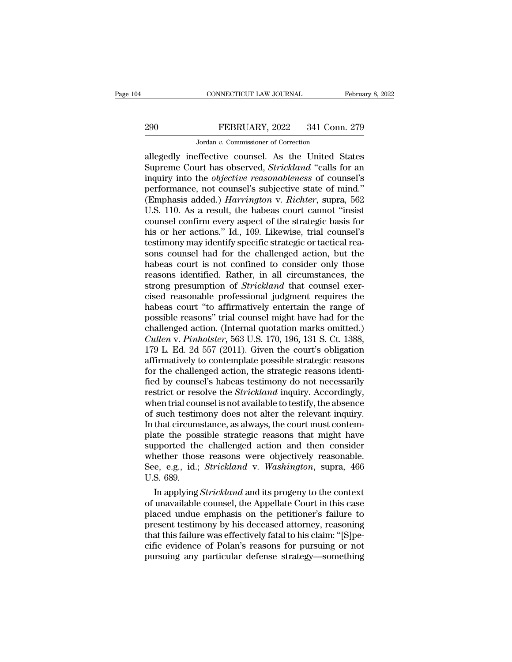# CONNECTICUT LAW JOURNAL February 8, 2022<br>290 FEBRUARY, 2022 341 Conn. 279<br>Jordan v. Commissioner of Correction

CONNECTICUT LAW JOURNAL<br>FEBRUARY, 2022 341 Conn<br>Jordan *v.* Commissioner of Correction<br>offective counsel As the United S CONNECTICUT LAW JOURNAL February 8, 2022<br>
290 FEBRUARY, 2022 341 Conn. 279<br>
Jordan v. Commissioner of Correction<br>
allegedly ineffective counsel. As the United States<br>
Supreme Court has observed, *Strickland* "calls for an<br> FEBRUARY, 2022 341 Conn. 279<br>
Jordan v. Commissioner of Correction<br>
allegedly ineffective counsel. As the United States<br>
Supreme Court has observed, *Strickland* "calls for an<br>
inquiry into the *objective reasonableness* o FEBRUARY, 2022 341 Conn. 279<br>
Jordan v. Commissioner of Correction<br>
allegedly ineffective counsel. As the United States<br>
Supreme Court has observed, *Strickland* "calls for an<br>
inquiry into the *objective reasonableness* o FEBRUARY, 2022 341 Conn. 279<br>
Jordan v. Commissioner of Correction<br>
allegedly ineffective counsel. As the United States<br>
Supreme Court has observed, *Strickland* "calls for an<br>
inquiry into the *objective reasonableness* o Jordan *v.* Commissioner of Correction<br>allegedly ineffective counsel. As the United States<br>Supreme Court has observed, *Strickland* "calls for an<br>inquiry into the *objective reasonableness* of counsel's<br>performance, not co Jordan v. Commissioner of Correction<br>
allegedly ineffective counsel. As the United States<br>
Supreme Court has observed, *Strickland* "calls for an<br>
inquiry into the *objective reasonableness* of counsel's<br>
performance, not allegedly ineffective counsel. As the United States<br>Supreme Court has observed, *Strickland* "calls for an<br>inquiry into the *objective reasonableness* of counsel's<br>performance, not counsel's subjective state of mind."<br>(Emp Supreme Court has observed, *Strickland* "calls for an inquiry into the *objective reasonableness* of counsel's performance, not counsel's subjective state of mind."<br>(Emphasis added.) *Harrington* v. *Richter*, supra, 562 inquiry into the *objective reasonableness* of counsel's<br>performance, not counsel's subjective state of mind."<br>(Emphasis added.) *Harrington* v. *Richter*, supra, 562<br>U.S. 110. As a result, the habeas court cannot "insist<br> performance, not counsel's subjective state of mind."<br>(Emphasis added.) *Harrington* v. *Richter*, supra, 562<br>U.S. 110. As a result, the habeas court cannot "insist<br>counsel confirm every aspect of the strategic basis for<br>h (Emphasis added.) *Harrington* v. *Richter*, supra, 562<br>U.S. 110. As a result, the habeas court cannot "insist<br>counsel confirm every aspect of the strategic basis for<br>his or her actions." Id., 109. Likewise, trial counsel' U.S. 110. As a result, the habeas court cannot "insist<br>counsel confirm every aspect of the strategic basis for<br>his or her actions." Id., 109. Likewise, trial counsel's<br>testimony may identify specific strategic or tactical counsel confirm every aspect of the strategic basis for<br>his or her actions." Id., 109. Likewise, trial counsel's<br>testimony may identify specific strategic or tactical rea-<br>sons counsel had for the challenged action, but th his or her actions." Id., 109. Likewise, trial counsel's<br>testimony may identify specific strategic or tactical rea-<br>sons counsel had for the challenged action, but the<br>habeas court is not confined to consider only those<br>re testimony may identify specific strategic or tactical reasons counsel had for the challenged action, but the habeas court is not confined to consider only those reasons identified. Rather, in all circumstances, the strong sons counsel had for the challenged action, but the<br>habeas court is not confined to consider only those<br>reasons identified. Rather, in all circumstances, the<br>strong presumption of *Strickland* that counsel exer-<br>cised reas habeas court is not confined to consider only those<br>reasons identified. Rather, in all circumstances, the<br>strong presumption of *Strickland* that counsel exer-<br>cised reasonable professional judgment requires the<br>habeas cou reasons identified. Rather, in all circumstances, the<br>strong presumption of *Strickland* that counsel exer-<br>cised reasonable professional judgment requires the<br>habeas court "to affirmatively entertain the range of<br>possible strong presumption of *Strickland* that counsel exercised reasonable professional judgment requires the habeas court "to affirmatively entertain the range of possible reasons" trial counsel might have had for the challenge cised reasonable professional judgment requires the<br>habeas court "to affirmatively entertain the range of<br>possible reasons" trial counsel might have had for the<br>challenged action. (Internal quotation marks omitted.)<br>*Culle* habeas court "to affirmatively entertain the range of<br>possible reasons" trial counsel might have had for the<br>challenged action. (Internal quotation marks omitted.)<br>*Cullen v. Pinholster*, 563 U.S. 170, 196, 131 S. Ct. 1388 possible reasons" trial counsel might have had for the challenged action. (Internal quotation marks omitted.)<br>Cullen v. Pinholster, 563 U.S. 170, 196, 131 S. Ct. 1388, 179 L. Ed. 2d 557 (2011). Given the court's obligation challenged action. (Internal quotation marks omitted.)<br>Cullen v. Pinholster, 563 U.S. 170, 196, 131 S. Ct. 1388,<br>179 L. Ed. 2d 557 (2011). Given the court's obligation<br>affirmatively to contemplate possible strategic reason Cullen v. Pinholster, 563 U.S. 170, 196, 131 S. Ct. 1388, 179 L. Ed. 2d 557 (2011). Given the court's obligation affirmatively to contemplate possible strategic reasons for the challenged action, the strategic reasons iden 179 L. Ed. 2d 557 (2011). Given the court's obligation<br>affirmatively to contemplate possible strategic reasons<br>for the challenged action, the strategic reasons identi-<br>fied by counsel's habeas testimony do not necessarily<br> affirmatively to contemplate possible strategic reasons<br>for the challenged action, the strategic reasons identi-<br>fied by counsel's habeas testimony do not necessarily<br>restrict or resolve the *Strickland* inquiry. According for the challenged action, the strategic reasons identified by counsel's habeas testimony do not necessarily restrict or resolve the *Strickland* inquiry. Accordingly, when trial counsel is not available to testify, the ab fied by counsel's habeas testimony do not necessarily<br>restrict or resolve the *Strickland* inquiry. Accordingly,<br>when trial counsel is not available to testify, the absence<br>of such testimony does not alter the relevant inq restrict or resolve the *Strickland* inquiry. Accordingly,<br>when trial counsel is not available to testify, the absence<br>of such testimony does not alter the relevant inquiry.<br>In that circumstance, as always, the court must when trial counsel is not available to testify, the absence<br>of such testimony does not alter the relevant inquiry.<br>In that circumstance, as always, the court must contem-<br>plate the possible strategic reasons that might hav of such testin<br>In that circum:<br>plate the poss<br>supported the<br>whether thoss<br>See, e.g., id.;<br>U.S. 689.<br>In applying. In a circumstance, as always, the court must contem-<br>ate the possible strategic reasons that might have<br>pported the challenged action and then consider<br>nether those reasons were objectively reasonable.<br>e, e.g., id.; *Stric* plate the possible strategic reasons that might have<br>supported the challenged action and then consider<br>whether those reasons were objectively reasonable.<br>See, e.g., id.; *Strickland* v. *Washington*, supra, 466<br>U.S. 689.<br>I

supported the cnallenged action and then consider<br>whether those reasons were objectively reasonable.<br>See, e.g., id.; *Strickland* v. *Washington*, supra, 466<br>U.S. 689.<br>In applying *Strickland* and its progeny to the contex whether those reasons were objectively reasonable.<br>See, e.g., id.; *Strickland* v. *Washington*, supra, 466<br>U.S. 689.<br>In applying *Strickland* and its progeny to the context<br>of unavailable counsel, the Appellate Court in t See, e.g., 1d.; *Strickland v. Washington*, supra, 400<br>U.S. 689.<br>In applying *Strickland* and its progeny to the context<br>of unavailable counsel, the Appellate Court in this case<br>placed undue emphasis on the petitioner's fa U.S. 689.<br>In applying *Strickland* and its progeny to the context<br>of unavailable counsel, the Appellate Court in this case<br>placed undue emphasis on the petitioner's failure to<br>present testimony by his deceased attorney, re In applying *Strickland* and its progeny to the context<br>of unavailable counsel, the Appellate Court in this case<br>placed undue emphasis on the petitioner's failure to<br>present testimony by his deceased attorney, reasoning<br>th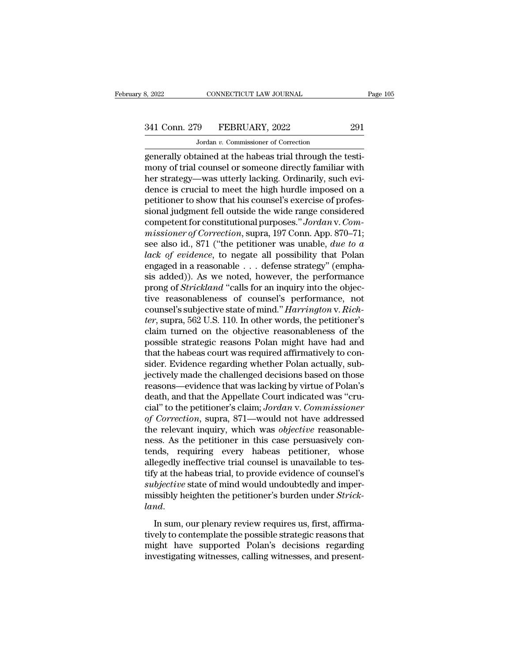# 341 Conn. 279 FEBRUARY, 2022 291<br>Jordan v. Commissioner of Correction

CONNECTICUT LAW JOURNAL<br>
9 FEBRUARY, 2022<br>
Jordan *v.* Commissioner of Correction<br>
ained at the habeas trial through the generally obtained at the habeas trial through the testi-<br>generally obtained at the habeas trial through the testi-<br>mony of trial counsel or someone directly familiar with<br>hor strategy was uttorly lacking. Ordinarily, such  $\frac{341 \text{ Conn. } 279 \qquad \text{FEBRUARY, } 2022 \qquad \qquad 291}{ \text{Jordan } v. \text{ Commissioner of Correction} }$ <br>generally obtained at the habeas trial through the testimony of trial counsel or someone directly familiar with<br>her strategy—was utterly lacking. Ordinarily,  $\frac{341 \text{ Conn. } 279 \qquad \text{FEBRUARY, } 2022 \qquad \qquad 291}{\text{Jordan } v. \text{ Commissioner of Correction}}$ <br>generally obtained at the habeas trial through the testi-<br>mony of trial counsel or someone directly familiar with<br>her strategy—was utterly lacking. Ordinarily,  $\frac{341 \text{ Conn. } 279 \qquad \text{FEBRUARY, } 2022 \qquad \qquad 291}{\text{Jordan } v. \text{ Commissioner of Correction}}$ <br>generally obtained at the habeas trial through the testi-<br>mony of trial counsel or someone directly familiar with<br>her strategy—was utterly lacking. Ordinarily, beta that the show that his commissioner of Correction<br>generally obtained at the habeas trial through the testi-<br>mony of trial counsel or someone directly familiar with<br>her strategy—was utterly lacking. Ordinarily, such ev Jordan v. Commissioner of Correction<br>generally obtained at the habeas trial through the testi-<br>mony of trial counsel or someone directly familiar with<br>her strategy—was utterly lacking. Ordinarily, such evi-<br>dence is cruci generally obtained at the habeas trial through the testi-<br>mony of trial counsel or someone directly familiar with<br>her strategy—was utterly lacking. Ordinarily, such evi-<br>dence is crucial to meet the high hurdle imposed on mony of trial counsel or someone directly familiar with<br>her strategy—was utterly lacking. Ordinarily, such evi-<br>dence is crucial to meet the high hurdle imposed on a<br>petitioner to show that his counsel's exercise of profes her strategy—was utterly lacking. Ordinarily, such evi-<br>dence is crucial to meet the high hurdle imposed on a<br>petitioner to show that his counsel's exercise of profes-<br>sional judgment fell outside the wide range considered dence is crucial to meet the high hurdle imposed on a<br>petitioner to show that his counsel's exercise of profes-<br>sional judgment fell outside the wide range considered<br>competent for constitutional purposes." Jordan v. Com-<br> petitioner to show that his counsel's exercise of professional judgment fell outside the wide range considered<br>competent for constitutional purposes." Jordan v. Com-<br>missioner of Correction, supra, 197 Conn. App. 870–71;<br>s sional judgment fell outside the wide range considered<br>competent for constitutional purposes." Jordan v. Com-<br>missioner of Correction, supra, 197 Conn. App. 870–71;<br>see also id., 871 ("the petitioner was unable, due to a<br>l competent for constitutional purposes." *Jordan* v. Commissioner of Correction, supra, 197 Conn. App. 870–71;<br>see also id., 871 ("the petitioner was unable, *due to a*<br>*lack of evidence*, to negate all possibility that Pol missioner of Correction, supra, 197 Conn. App. 870–71;<br>see also id., 871 ("the petitioner was unable, *due to a*<br>lack of evidence, to negate all possibility that Polan<br>engaged in a reasonable . . . defense strategy" (emph see also id., 871 ("the petitioner was unable, *due to a*<br>*lack of evidence*, to negate all possibility that Polan<br>engaged in a reasonable . . . defense strategy" (empha-<br>sis added)). As we noted, however, the performance<br> *tack of evidence*, to negate all possibility that Polan engaged in a reasonable . . . defense strategy" (emphasis added)). As we noted, however, the performance prong of *Strickland* "calls for an inquiry into the objecti engaged in a reasonable . . . defense strategy" (emphasis added)). As we noted, however, the performance<br>prong of *Strickland* "calls for an inquiry into the objec-<br>tive reasonableness of counsel's performance, not<br>counse sis added)). As we noted, however, the performance<br>prong of *Strickland* "calls for an inquiry into the objec-<br>tive reasonableness of counsel's performance, not<br>counsel's subjective state of mind." *Harrington* v. *Rich-*<br> prong of *Strickland* "calls for an inquiry into the objective reasonableness of counsel's performance, not counsel's subjective state of mind." *Harrington* v. *Richter*, supra, 562 U.S. 110. In other words, the petitione tive reasonableness of counsel's performance, not<br>counsel's subjective state of mind." *Harrington* v. *Rich-*<br>*ter*, supra, 562 U.S. 110. In other words, the petitioner's<br>claim turned on the objective reasonableness of th counsel's subjective state of mind." *Harrington* v. *Richter*, supra, 562 U.S. 110. In other words, the petitioner's claim turned on the objective reasonableness of the possible strategic reasons Polan might have had and ter, supra, 562 U.S. 110. In other words, the petitioner's<br>claim turned on the objective reasonableness of the<br>possible strategic reasons Polan might have had and<br>that the habeas court was required affirmatively to con-<br>si claim turned on the objective reasonableness of the<br>possible strategic reasons Polan might have had and<br>that the habeas court was required affirmatively to con-<br>sider. Evidence regarding whether Polan actually, sub-<br>jectiv possible strategic reasons Polan might have had and<br>
that the habeas court was required affirmatively to consider. Evidence regarding whether Polan actually, sub-<br>
jectively made the challenged decisions based on those<br>
re that the habeas court was required affirmatively to consider. Evidence regarding whether Polan actually, subjectively made the challenged decisions based on those reasons—evidence that was lacking by virtue of Polan's deat sider. Evidence regarding whether Polan actually, sub-<br>jectively made the challenged decisions based on those<br>reasons—evidence that was lacking by virtue of Polan's<br>death, and that the Appellate Court indicated was "cru-<br>c jectively made the challenged decisions based on those reasons—evidence that was lacking by virtue of Polan's death, and that the Appellate Court indicated was "crucial" to the petitioner's claim; Jordan v. Commissioner of reasons—evidence that was lacking by virtue of Polan's<br>death, and that the Appellate Court indicated was "cru-<br>cial" to the petitioner's claim; Jordan v. Commissioner<br>of Correction, supra, 871—would not have addressed<br>the death, and that the Appellate Court indicated was "cru-<br>cial" to the petitioner's claim; Jordan v. Commissioner<br>of Correction, supra, 871—would not have addressed<br>the relevant inquiry, which was objective reasonable-<br>ness. cial" to the petitioner's claim; Jordan v. Commissioner<br>of Correction, supra, 871—would not have addressed<br>the relevant inquiry, which was objective reasonable-<br>ness. As the petitioner in this case persuasively con-<br>tends, of Correction, supra, 871—would not have addressed<br>the relevant inquiry, which was objective reasonable-<br>ness. As the petitioner in this case persuasively con-<br>tends, requiring every habeas petitioner, whose<br>allegedly inef the relevant inquiry, which was *objective* reasonableness. As the petitioner in this case persuasively contends, requiring every habeas petitioner, whose allegedly ineffective trial counsel is unavailable to testify at th *landary landary landary landary landary landary**landary**landary**landary**landary**landary**landary**landary**landary**landary**landary**landary**landary**landary**landary* **<b>landary la** the habeas trial counsel is and dialized to controller the provide evidence of counsel's<br>subjective state of mind would undoubtedly and imper-<br>missibly heighten the petitioner's burden under *Strick-*<br>land.<br>In sum, our ple

might that the performal exists of examples the subjective state of mind would undoubtedly and imper-<br>missibly heighten the petitioner's burden under *Strick-<br>land*.<br>In sum, our plenary review requires us, first, affirma-<br> missibly heighten the petitioner's burden under *Strick-land*.<br>In sum, our plenary review requires us, first, affirma-<br>tively to contemplate the possible strategic reasons that<br>might have supported Polan's decisions regard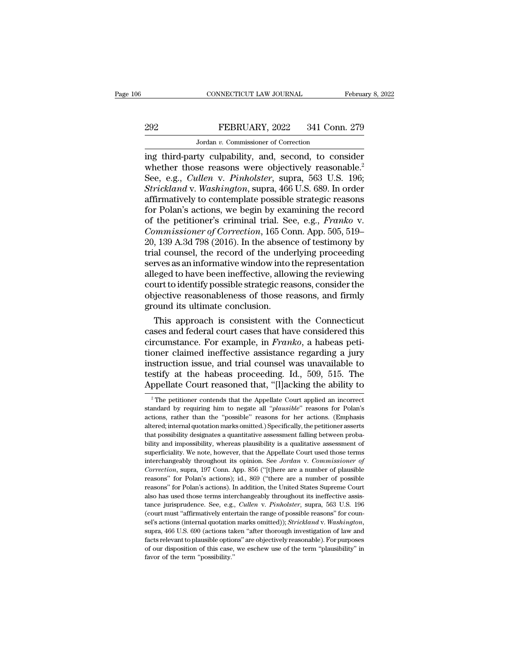# EXECUTE CONNECTICUT LAW JOURNAL February 8, 2022<br>292 FEBRUARY, 2022 341 Conn. 279<br>300 Jordan v. Commissioner of Correction CONNECTICUT LAW JOURNAL<br>FEBRUARY, 2022 341 Conn<br>Jordan *v.* Commissioner of Correction<br>tv. culpability and second to con

CONNECTICUT LAW JOURNAL February 8, 2022<br>
FEBRUARY, 2022 341 Conn. 279<br>
Jordan v. Commissioner of Correction<br>
ing third-party culpability, and, second, to consider<br>
whether those reasons were objectively reasonable.<sup>2</sup><br>
So EEBRUARY, 2022 341 Conn. 279<br>
Jordan v. Commissioner of Correction<br>
ing third-party culpability, and, second, to consider<br>
whether those reasons were objectively reasonable.<sup>2</sup><br>
See, e.g., *Cullen v. Pinholster*, supra, 56 FEBRUARY, 2022 341 Conn. 279<br>
Jordan v. Commissioner of Correction<br>
ing third-party culpability, and, second, to consider<br>
whether those reasons were objectively reasonable.<sup>2</sup><br>
See, e.g., *Cullen* v. *Pinholster*, supra, *Strickland* v. *Commissioner of Correction*<br> *Strickland* v. *Commissioner of Correction*<br> *Strickland* v. *Washington*, supra, 563 U.S. 196;<br> *Strickland* v. *Washington*, supra, 466 U.S. 689. In order<br> *Affirmatively to* FERENCIA:  $\frac{1}{2622}$  on contract 216<br>ing third-party culpability, and, second, to consider<br>whether those reasons were objectively reasonable.<sup>2</sup><br>See, e.g., *Cullen* v. *Pinholster*, supra, 563 U.S. 196;<br>*Strickland* v. Jordan v. Commissioner of Correction<br>
ing third-party culpability, and, second, to consider<br>
whether those reasons were objectively reasonable.<sup>2</sup><br>
See, e.g., *Cullen* v. *Pinholster*, supra, 563 U.S. 196;<br> *Strickland* v ing third-party culpability, and, second, to consider<br>whether those reasons were objectively reasonable.<sup>2</sup><br>See, e.g., *Cullen v. Pinholster*, supra, 563 U.S. 196;<br>*Strickland v. Washington*, supra, 466 U.S. 689. In order<br> *Whether those reasons were objectively reasonable.<sup>2</sup>*<br> *See, e.g., Cullen v. Pinholster, supra, 563 U.S. 196;<br>
<i>Strickland* v. *Washington*, supra, 466 U.S. 689. In order<br> *affirmatively to contemplate possible strategic* See, e.g., *Cullen v. Pinholster*, supra, 563 U.S. 196;<br>*Strickland v. Washington*, supra, 466 U.S. 689. In order<br>affirmatively to contemplate possible strategic reasons<br>for Polan's actions, we begin by examining the recor Strickland v. Washington, supra, 466 U.S. 689. In order<br>affirmatively to contemplate possible strategic reasons<br>for Polan's actions, we begin by examining the record<br>of the petitioner's criminal trial. See, e.g., *Franko* affirmatively to contemplate possible strategic reasons<br>for Polan's actions, we begin by examining the record<br>of the petitioner's criminal trial. See, e.g., *Franko* v.<br>*Commissioner of Correction*, 165 Conn. App. 505, 519 for Polan's actions, we begin by examining the record<br>of the petitioner's criminal trial. See, e.g., *Franko* v.<br>*Commissioner of Correction*, 165 Conn. App. 505, 519–<br>20, 139 A.3d 798 (2016). In the absence of testimony b of the petitioner's criminal trial. See, e.g., *Franko v.*<br>Commissioner of Correction, 165 Conn. App. 505, 519–20, 139 A.3d 798 (2016). In the absence of testimony by<br>trial counsel, the record of the underlying proceeding<br> Commissioner of Correction, 165 Conn. App. 505, 519–20, 139 A.3d 798 (2016). In the absence of testimony by trial counsel, the record of the underlying proceeding serves as an informative window into the representation all 20, 139 A.3d 798 (2016). In the absentrial counsel, the record of the undeserves as an informative window into alleged to have been ineffective, allow court to identify possible strategic reading objective reasonableness o al counsel, the record of the underlying proceeding<br>rves as an informative window into the representation<br>eged to have been ineffective, allowing the reviewing<br>urt to identify possible strategic reasons, consider the<br>jecti serves as an informative window into the representation<br>alleged to have been ineffective, allowing the reviewing<br>court to identify possible strategic reasons, consider the<br>objective reasonableness of those reasons, and fir

alleged to have been mettective, allowing the reviewing<br>court to identify possible strategic reasons, consider the<br>objective reasonableness of those reasons, and firmly<br>ground its ultimate conclusion.<br>This approach is cons court to identity possible strategic reasons, consider the<br>objective reasonableness of those reasons, and firmly<br>ground its ultimate conclusion.<br>This approach is consistent with the Connecticut<br>cases and federal court cas objective reasonableness of those reasons, and firmly<br>ground its ultimate conclusion.<br>This approach is consistent with the Connecticut<br>cases and federal court cases that have considered this<br>circumstance. For example, in ground its ultimate conclusion.<br>
This approach is consistent with the Connecticut<br>
cases and federal court cases that have considered this<br>
circumstance. For example, in *Franko*, a habeas peti-<br>
tioner claimed ineffective This approach is consistent with the Connecticut cases and federal court cases that have considered this circumstance. For example, in *Franko*, a habeas petitioner claimed ineffective assistance regarding a jury instruct oner claimed ineffective assistance regarding a jury<br>struction issue, and trial counsel was unavailable to<br>stify at the habeas proceeding. Id., 509, 515. The<br>ppellate Court reasoned that, "[I]acking the ability to<br><sup>2</sup> The instruction issue, and trial counsel was unavailable to<br>testify at the habeas proceeding. Id., 509, 515. The<br>Appellate Court reasoned that, "[I]acking the ability to<br><sup>2</sup> The petitioner contends that the Appellate Court app

testify at the habeas proceeding. Id., 509, 515. The<br>Appellate Court reasoned that, "[I]acking the ability to<br> $\frac{1}{2}$  The petitioner contends that the Appellate Court applied an incorrect<br>standard by requiring him to ne Appellate Court reasoned that, "[I] acking the ability to  $\frac{1}{2}$  The petitioner contends that the Appellate Court applied an incorrect standard by requiring him to negate all "*plausible*" reasons for Polan's actions, Example in the synchronoutr calculate Court possible  $\overline{P}$ <br><sup>2</sup> The petitioner contends that the Appellate Court applied an incorrect<br>standard by requiring him to negate all "*plausible*" reasons for Polan's<br>actions, ra <sup>2</sup> The petitioner contends that the Appellate Court applied an incorrect standard by requiring him to negate all "*plausible*" reasons for Polan's actions, rather than the "possible" reasons for her actions. (Emphasis al standard by requiring him to negate all "*plausible*" reasons for Polan's actions, rather than the "possible" reasons for her actions. (Emphasis altered; internal quotation marks omitted.) Specifically, the petitioner ass interchangeably throughout its opinion. See *Jordan* v. *Commission* is actions, rather than the "possible" reasons for her actions. (Emphasis altered; internal quotation marks omitted.) Specifically, the petitioner assert attered; internal quotation marks omitted.) Specifically, the petitioner asserts that possibility designates a quantitative assessment falling between probability and impossibility, whereas plausibility is a qualitative as that possibility designates a quantitative assessment falling between probability and impossibility, whereas plausibility is a qualitative assessment of superficiality. We note, however, that the Appellate Court used those bility and impossibility, whereas plausibility is a qualitative assessment of superficiality. We note, however, that the Appellate Court used those terms interchangeably throughout its opinion. See *Jordan v. Commissioner* superficiality. We note, however, that the Appellate Court used those terms interchangeably throughout its opinion. See *Jordan* v. *Commissioner of Correction*, supra, 197 Conn. App. 856 ("[t]here are a number of plausib interchangeably throughout its opinion. See Jordan v. Commissioner of Correction, supra, 197 Conn. App. 856 ("[t]here are a number of plausible reasons" for Polan's actions); id., 869 ("there are a number of possible reaso *Correction*, supra, 197 Conn. App. 856 ("(t)here are a number of plausible reasons" for Polan's actions); id., 869 ("there are a number of possible reasons" for Polan's actions); id., 869 ("there are a number of possible reasons" for Polan's actions); id., 869 ("there are a number of possible reasons" for Polan's actions). In addition, the United States Supreme Court also has used those terms interchangeably throughout its ineffective assi reasons" for Polan's actions). In addition, the United States Supreme Court also has used those terms interchangeably throughout its ineffective assistance jurisprudence. See, e.g., *Cullen v. Pinholster*, supra, 563 U.S. tance jurisprudence. See, e.g., *Cullen* v. *Pinholster*, supra, 563 U.S. 196 (court must "affirmatively entertain the range of possible reasons" for counsel's actions (internal quotation marks omitted)); *Strickland* v. (court must "affirmatively entertain the range of possible reasons" for coun-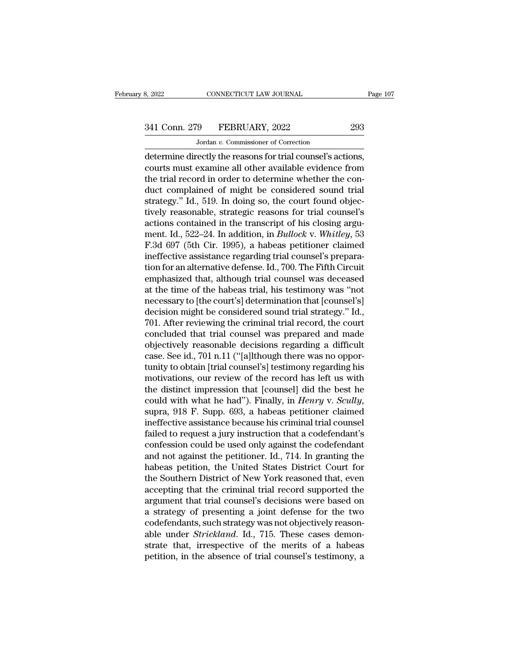# 341 Conn. 279 FEBRUARY, 2022 293<br>Jordan v. Commissioner of Correction

CONNECTICUT LAW JOURNAL<br>
9 FEBRUARY, 2022<br>
Jordan *v*. Commissioner of Correction<br>
rectly the reasons for trial counsel's act Example 2022<br>
determine directly the reasons for trial counsel's actions,<br>
determine directly the reasons for trial counsel's actions,<br>
courts must examine all other available evidence from<br>
the trial reasons in order to d 341 Conn. 279 FEBRUARY, 2022 293<br>Jordan v. Commissioner of Correction<br>determine directly the reasons for trial counsel's actions,<br>courts must examine all other available evidence from<br>the trial record in order to determin 341 Conn. 279 FEBRUARY, 2022 293<br>
Jordan v. Commissioner of Correction<br>
determine directly the reasons for trial counsel's actions,<br>
courts must examine all other available evidence from<br>
the trial record in order to dete  $341$  Conn. 279 FEBRUARY, 2022 293<br>Jordan v. Commissioner of Correction<br>determine directly the reasons for trial counsel's actions,<br>courts must examine all other available evidence from<br>the trial record in order to determ Jordan v. Commissioner of Correction<br>determine directly the reasons for trial counsel's actions,<br>courts must examine all other available evidence from<br>the trial record in order to determine whether the con-<br>duct complained **Example 19 Formulassion and Confection**<br>determine directly the reasons for trial counsel's actions,<br>courts must examine all other available evidence from<br>the trial record in order to determine whether the con-<br>duct compl determine directly the reasons for trial counsel's actions,<br>courts must examine all other available evidence from<br>the trial record in order to determine whether the con-<br>duct complained of might be considered sound trial<br> courts must examine all other available evidence from<br>the trial record in order to determine whether the con-<br>duct complained of might be considered sound trial<br>strategy." Id., 519. In doing so, the court found objec-<br>tive the trial record in order to determine whether the con-<br>duct complained of might be considered sound trial<br>strategy." Id., 519. In doing so, the court found objec-<br>tively reasonable, strategic reasons for trial counsel's<br>a duct complained of might be considered sound trial strategy." Id., 519. In doing so, the court found objectively reasonable, strategic reasons for trial counsel's actions contained in the transcript of his closing argument strategy." Id., 519. In doing so, the court found objectively reasonable, strategic reasons for trial counsel's<br>actions contained in the transcript of his closing argu-<br>ment. Id., 522–24. In addition, in *Bullock* v. Whitl tively reasonable, strategic reasons for trial counsel's<br>actions contained in the transcript of his closing argu-<br>ment. Id., 522–24. In addition, in *Bullock* v. *Whitley*, 53<br>F.3d 697 (5th Cir. 1995), a habeas petitioner actions contained in the transcript of his closing argument. Id., 522–24. In addition, in *Bullock* v. *Whitley*, 53<br>F.3d 697 (5th Cir. 1995), a habeas petitioner claimed<br>ineffective assistance regarding trial counsel's pr ment. Id., 522–24. In addition, in *Bullock v. Whitley*, 53<br>F.3d 697 (5th Cir. 1995), a habeas petitioner claimed<br>ineffective assistance regarding trial counsel's prepara-<br>tion for an alternative defense. Id., 700. The Fif F.3d 697 (5th Cir. 1995), a habeas petitioner claimed<br>ineffective assistance regarding trial counsel's prepara-<br>tion for an alternative defense. Id., 700. The Fifth Circuit<br>emphasized that, although trial counsel was decea ineffective assistance regarding trial counsel's preparation for an alternative defense. Id., 700. The Fifth Circuit emphasized that, although trial counsel was deceased at the time of the habeas trial, his testimony was " tion for an alternative defense. Id., 700. The Fifth Circuit<br>emphasized that, although trial counsel was deceased<br>at the time of the habeas trial, his testimony was "not<br>necessary to [the court's] determination that [couns emphasized that, although trial counsel was deceased<br>at the time of the habeas trial, his testimony was "not<br>necessary to [the court's] determination that [counsel's]<br>decision might be considered sound trial strategy." Id. at the time of the habeas trial, his testimony was "not<br>necessary to [the court's] determination that [counsel's]<br>decision might be considered sound trial strategy." Id.,<br>701. After reviewing the criminal trial record, the necessary to [the court's] determination that [counsel's]<br>decision might be considered sound trial strategy." Id.,<br>701. After reviewing the criminal trial record, the court<br>concluded that trial counsel was prepared and mad decision might be considered sound trial strategy." Id.,<br>701. After reviewing the criminal trial record, the court<br>concluded that trial counsel was prepared and made<br>objectively reasonable decisions regarding a difficult<br>c 701. After reviewing the criminal trial record, the court<br>concluded that trial counsel was prepared and made<br>objectively reasonable decisions regarding a difficult<br>case. See id., 701 n.11 ("[a]lthough there was no oppor-<br> concluded that trial counsel was prepared and made<br>objectively reasonable decisions regarding a difficult<br>case. See id., 701 n.11 ("[a]lthough there was no oppor-<br>tunity to obtain [trial counsel's] testimony regarding his<br> case. See id., 701 n.11 ("[a]lthough there was no opportunity to obtain [trial counsel's] testimony regarding his motivations, our review of the record has left us with the distinct impression that [counsel] did the best tunity to obtain [trial counsel's] testimony regarding his<br>motivations, our review of the record has left us with<br>the distinct impression that [counsel] did the best he<br>could with what he had"). Finally, in *Henry v. Scull* motivations, our review of the record has left us with<br>the distinct impression that [counsel] did the best he<br>could with what he had"). Finally, in *Henry v. Scully*,<br>supra, 918 F. Supp. 693, a habeas petitioner claimed<br>in the distinct impression that [counsel] did the best he could with what he had"). Finally, in *Henry v. Scully*, supra, 918 F. Supp. 693, a habeas petitioner claimed ineffective assistance because his criminal trial counsel could with what he had"). Finally, in *Henry v. Scully*, supra, 918 F. Supp. 693, a habeas petitioner claimed ineffective assistance because his criminal trial counsel failed to request a jury instruction that a codefendan supra, 918 F. Supp. 693, a habeas petitioner claimed<br>ineffective assistance because his criminal trial counsel<br>failed to request a jury instruction that a codefendant's<br>confession could be used only against the codefendant ineffective assistance because his criminal trial counsel<br>failed to request a jury instruction that a codefendant's<br>confession could be used only against the codefendant<br>and not against the petitioner. Id., 714. In grantin failed to request a jury instruction that a codefendant's<br>confession could be used only against the codefendant<br>and not against the petitioner. Id., 714. In granting the<br>habeas petition, the United States District Court fo confession could be used only against the codefendant<br>and not against the petitioner. Id., 714. In granting the<br>habeas petition, the United States District Court for<br>the Southern District of New York reasoned that, even<br>ac and not against the petitioner. Id., 714. In granting the<br>habeas petition, the United States District Court for<br>the Southern District of New York reasoned that, even<br>accepting that the criminal trial record supported the<br>a habeas petition, the United States District Court for<br>the Southern District of New York reasoned that, even<br>accepting that the criminal trial record supported the<br>argument that trial counsel's decisions were based on<br>a str the Southern District of New York reasoned that, even<br>accepting that the criminal trial record supported the<br>argument that trial counsel's decisions were based on<br>a strategy of presenting a joint defense for the two<br>codefe accepting that the criminal trial record supported the argument that trial counsel's decisions were based on a strategy of presenting a joint defense for the two codefendants, such strategy was not objectively reasonable u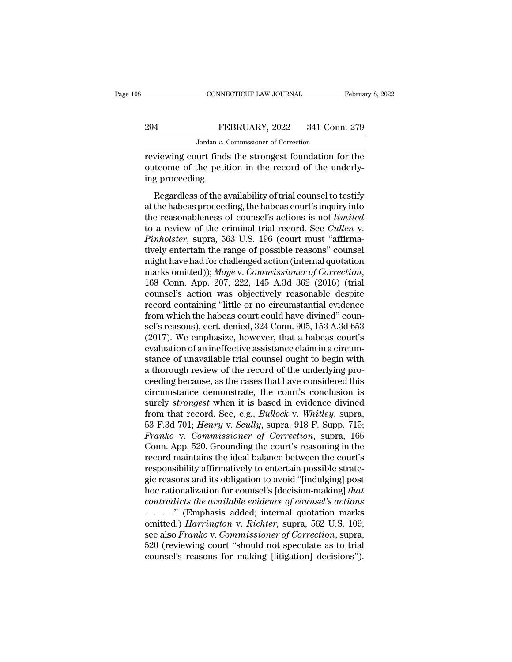# CONNECTICUT LAW JOURNAL February 8, 2022<br>294 FEBRUARY, 2022 341 Conn. 279<br>Jordan v. Commissioner of Correction CONNECTICUT LAW JOURNAL<br>FEBRUARY, 2022 341 Conn<br>Jordan *v.* Commissioner of Correction<br>Jurt finds the strongest foundation fo

CONNECTICUT LAW JOURNAL February 8, 2022<br>
PEBRUARY, 2022 341 Conn. 279<br>
Jordan v. Commissioner of Correction<br>
Teviewing court finds the strongest foundation for the<br>
putcome of the petition in the record of the underly-294 FEBRUARY, 2022 341 Conn. 279<br>
Jordan v. Commissioner of Correction<br>
reviewing court finds the strongest foundation for the<br>
outcome of the petition in the record of the underly-<br>
ing proceeding.  $\begin{array}{cc}\n 294 & \text{Fr}\n \hline\n \text{reviewing court find:} \n \text{outcome of the peti} \n \text{ing proceeding.} \n \text{Regardless of the a} \n\end{array}$ FEBRUARY, 2022 341 Conn. 279<br>Jordan v. Commissioner of Correction<br>viewing court finds the strongest foundation for the<br>tecome of the petition in the record of the underly-<br>g proceeding.<br>Regardless of the availability of t

Jordan v. Commissioner of Correction<br>
reviewing court finds the strongest foundation for the<br>
outcome of the petition in the record of the underly-<br>
ing proceeding.<br>
Regardless of the availability of trial counsel to test reviewing court finds the strongest foundation for the<br>outcome of the petition in the record of the underly-<br>ing proceeding.<br>Regardless of the availability of trial counsel to testify<br>at the habeas proceeding, the habeas c Forte whis court into are strongest roundation for are<br>outcome of the petition in the record of the underly-<br>ing proceeding.<br>Regardless of the availability of trial counsel to testify<br>at the habeas proceeding, the habeas c France of the peakers in the record of the diaterlying proceeding.<br> *Regardless of the availability of trial counsel to testify*<br>
at the habeas proceeding, the habeas court's inquiry into<br>
the reasonableness of counsel's a Regardless of the availability of trial counsel to testify<br>at the habeas proceeding, the habeas court's inquiry into<br>the reasonableness of counsel's actions is not *limited*<br>to a review of the criminal trial record. See Regardless of the availability of trial counsel to testify<br>at the habeas proceeding, the habeas court's inquiry into<br>the reasonableness of counsel's actions is not *limited*<br>to a review of the criminal trial record. See at the habeas proceeding, the habeas court's inquiry into<br>the reasonableness of counsel's actions is not *limited*<br>to a review of the criminal trial record. See *Cullen* v.<br>*Pinholster*, supra, 563 U.S. 196 (court must "af to a review of the criminal trial record. See *Cullen v.*<br> *Pinholster*, supra, 563 U.S. 196 (court must "affirma-<br>
tively entertain the range of possible reasons" counsel<br>
might have had for challenged action (internal qu *Pinholster*, supra, 563 U.S. 196 (court must "affirmatively entertain the range of possible reasons" counsel<br>might have had for challenged action (internal quotation<br>marks omitted)); *Moye* v. *Commissioner of Correction* tively entertain the range of possible reasons" counsel<br>might have had for challenged action (internal quotation<br>marks omitted)); Moye v. Commissioner of Correction,<br>168 Conn. App. 207, 222, 145 A.3d 362 (2016) (trial<br>coun might have had for challenged action (internal quotation<br>marks omitted)); *Moye* v. *Commissioner of Correction*,<br>168 Conn. App. 207, 222, 145 A.3d 362 (2016) (trial<br>counsel's action was objectively reasonable despite<br>reco marks omitted)); *Moye* v. *Commissioner of Correction*,<br>168 Conn. App. 207, 222, 145 A.3d 362 (2016) (trial<br>counsel's action was objectively reasonable despite<br>record containing "little or no circumstantial evidence<br>from 168 Conn. App. 207, 222, 145 A.3d 362 (2016) (trial counsel's action was objectively reasonable despite record containing "little or no circumstantial evidence from which the habeas court could have divined" counsel's rea counsel's action was objectively reasonable despite<br>record containing "little or no circumstantial evidence<br>from which the habeas court could have divined" coun-<br>sel's reasons), cert. denied, 324 Conn. 905, 153 A.3d 653<br>(2 record containing "little or no circumstantial evidence<br>from which the habeas court could have divined" coun-<br>sel's reasons), cert. denied, 324 Conn. 905, 153 A.3d 653<br>(2017). We emphasize, however, that a habeas court's<br>e from which the habeas court could have divined" counsel's reasons), cert. denied, 324 Conn. 905, 153 A.3d 653 (2017). We emphasize, however, that a habeas court's evaluation of an ineffective assistance claim in a circumst sel's reasons), cert. denied, 324 Conn. 905, 153 A.3d 653<br>(2017). We emphasize, however, that a habeas court's<br>evaluation of an ineffective assistance claim in a circum-<br>stance of unavailable trial counsel ought to begin w (2017). We emphasize, however, that a habeas court's<br>evaluation of an ineffective assistance claim in a circum-<br>stance of unavailable trial counsel ought to begin with<br>a thorough review of the record of the underlying pro evaluation of an ineffective assistance claim in a circum-<br>stance of unavailable trial counsel ought to begin with<br>a thorough review of the record of the underlying pro-<br>ceeding because, as the cases that have considered t stance of unavailable trial counsel ought to begin with<br>a thorough review of the record of the underlying pro-<br>ceeding because, as the cases that have considered this<br>circumstance demonstrate, the court's conclusion is<br>sur a thorough review of the record of the underlying proceeding because, as the cases that have considered this circumstance demonstrate, the court's conclusion is surely *strongest* when it is based in evidence divined from ceeding because, as the cases that have considered this<br>circumstance demonstrate, the court's conclusion is<br>surely *strongest* when it is based in evidence divined<br>from that record. See, e.g., *Bullock* v. *Whitley*, supra circumstance demonstrate, the court's conclusion is<br>surely *strongest* when it is based in evidence divined<br>from that record. See, e.g., *Bullock* v. *Whitley*, supra,<br>53 F.3d 701; *Henry* v. *Scully*, supra, 918 F. Supp. surely *strongest* when it is based in evidence divined<br>from that record. See, e.g., *Bullock* v. *Whitley*, supra,<br>53 F.3d 701; *Henry* v. *Scully*, supra, 918 F. Supp. 715;<br>*Franko* v. *Commissioner of Correction*, supra from that record. See, e.g., *Bullock v. Whitley*, supra, 53 F.3d 701; *Henry v. Scully*, supra, 918 F. Supp. 715; *Franko v. Commissioner of Correction*, supra, 165 Conn. App. 520. Grounding the court's reasoning in the r 53 F.3d 701; *Henry v. Scully*, supra, 918 F. Supp. 715;<br>*Franko v. Commissioner of Correction*, supra, 165<br>Conn. App. 520. Grounding the court's reasoning in the<br>record maintains the ideal balance between the court's<br>resp *Franko v. Commissioner of Correction*, supra, 165<br>
Conn. App. 520. Grounding the court's reasoning in the<br>
record maintains the ideal balance between the court's<br>
responsibility affirmatively to entertain possible strate-Conn. App. 520. Grounding the court's reasoning in the<br>record maintains the ideal balance between the court's<br>responsibility affirmatively to entertain possible strate-<br>gic reasons and its obligation to avoid "[indulging] record maintains the ideal balance between the court's<br>responsibility affirmatively to entertain possible strate-<br>gic reasons and its obligation to avoid "[indulging] post<br>hoc rationalization for counsel's [decision-making responsibility affirmatively to entertain possible strate-<br>gic reasons and its obligation to avoid "[indulging] post<br>hoc rationalization for counsel's [decision-making] *that*<br>contradicts the available evidence of counsel' gic reasons and its obligation to avoid "[indulging] post<br>hoc rationalization for counsel's [decision-making] *that*<br>contradicts the available evidence of counsel's actions<br>. . . . . " (Emphasis added; internal quotation m hoc rationalization for counsel's [decision-making] *that* contradicts the available evidence of counsel's actions . . . . . " (Emphasis added; internal quotation marks omitted.) *Harrington* v. *Richter*, supra, 562 U.S.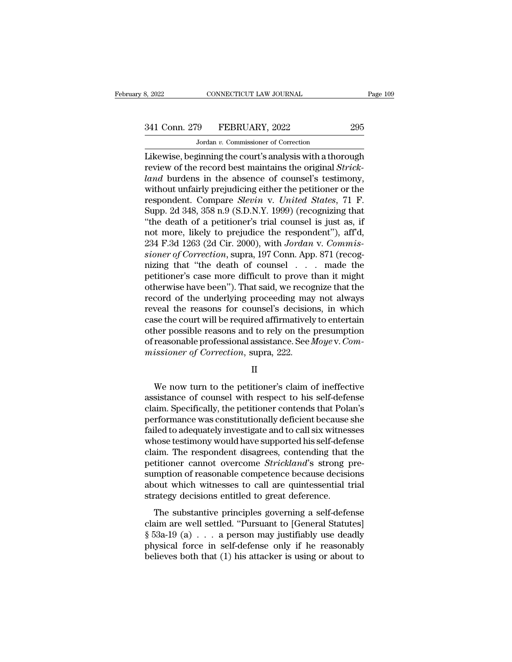# 341 Conn. 279 FEBRUARY, 2022 295<br>Jordan v. Commissioner of Correction

MONE CONNECTICUT LAW JOURNAL<br>19 FEBRUARY, 2022<br>Jordan *v*. Commissioner of Correction<br>2011 in the court's analysis with a thor EXECTIVE SAN SOURNAL Page 109<br>
295<br>
295<br>
296 Jordan v. Commissioner of Correction<br>
295 Jordan v. Commissioner of Correction<br>
295 Likewise, beginning the court's analysis with a thorough<br>
The court's analysis with a thoroug <sup>341</sup> Conn. 279 FEBRUARY, 2022 295<br>
<sup>Jordan</sup> *v*. Commissioner of Correction<br>
Likewise, beginning the court's analysis with a thorough<br>
review of the record best maintains the original *Strick-*<br> *Land* burdens in the abse <sup>279</sup> FEBRUARY, 2022<br>
<sup>Jordan</sup> *v.* Commissioner of Correction<br>
Likewise, beginning the court's analysis with a thorough<br>
review of the record best maintains the original *Strick-*<br> *land* burdens in the absence of counsel 341 Conn. 279 FEBRUARY, 2022 295<br>
Jordan v. Commissioner of Correction<br>
Likewise, beginning the court's analysis with a thorough<br>
review of the record best maintains the original *Strick-*<br> *land* burdens in the absence o *Solar 216 Philometrici, 2022*<br>*Jordan v. Commissioner of Correction*<br>**Experience** *Sleginning the court's analysis with a thorough***<br>review of the record best maintains the original** *Strick-***<br>***Land* **burdens in the absen** Jordan v. Commissioner of Correction<br>Likewise, beginning the court's analysis with a thorough<br>review of the record best maintains the original *Strick-*<br>*land* burdens in the absence of counsel's testimony,<br>without unfair Likewise, beginning the court's analysis with a thorough<br>
review of the record best maintains the original *Strick-*<br> *land* burdens in the absence of counsel's testimony,<br>
without unfairly prejudicing either the petition review of the record best maintains the original *Strick-*<br>land burdens in the absence of counsel's testimony,<br>without unfairly prejudicing either the petitioner or the<br>respondent. Compare *Slevin* v. United States, 71 F.<br> land burdens in the absence of counsel's testimony, without unfairly prejudicing either the petitioner or the respondent. Compare *Slevin* v. *United States*, 71 F. Supp. 2d 348, 358 n.9 (S.D.N.Y. 1999) (recognizing that " without unfairly prejudicing either the petitioner or the respondent. Compare *Slevin* v. *United States*, 71 F. Supp. 2d 348, 358 n.9 (S.D.N.Y. 1999) (recognizing that "the death of a petitioner's trial counsel is just as respondent. Compare *Slevin* v. *United States*, 71 F.<br>
Supp. 2d 348, 358 n.9 (S.D.N.Y. 1999) (recognizing that<br>
"the death of a petitioner's trial counsel is just as, if<br>
not more, likely to prejudice the respondent"), af Supp. 2d 348, 358 n.9 (S.D.N.Y. 1999) (recognizing that<br>
"the death of a petitioner's trial counsel is just as, if<br>
not more, likely to prejudice the respondent"), aff'd,<br>
234 F.3d 1263 (2d Cir. 2000), with Jordan v. Comm "the death of a petitioner's trial counsel is just as, if<br>not more, likely to prejudice the respondent"), aff'd,<br> $234$  F.3d 1263 (2d Cir. 2000), with Jordan v. Commis-<br>sioner of Correction, supra, 197 Conn. App. 871 (reco not more, likely to prejudice the respondent"), aff'd,<br>234 F.3d 1263 (2d Cir. 2000), with Jordan v. Commis-<br>sioner of Correction, supra, 197 Conn. App. 871 (recog-<br>nizing that "the death of counsel . . . made the<br>petitione 234 F.3d 1263 (2d Cir. 2000), with *Jordan* v. *Commissioner of Correction*, supra, 197 Conn. App. 871 (recognizing that "the death of counsel  $\ldots$  made the petitioner's case more difficult to prove than it might otherwi sioner of Correction, supra, 197 Conn. App. 871 (recognizing that "the death of counsel  $\ldots$  made the petitioner's case more difficult to prove than it might otherwise have been"). That said, we recognize that the record mizing that "the death of counsel  $\ldots$  and the petitioner's case more difficult to prove than it might otherwise have been"). That said, we recognize that the record of the underlying proceeding may not always reveal the petitioner's case more difficult to prove than it might otherwise have been"). That said, we recognize that the record of the underlying proceeding may not always reveal the reasons for counsel's decisions, in which case t otherwise have been"). That said, we recognecord of the underlying proceeding may<br>reveal the reasons for counsel's decision<br>case the court will be required affirmatively<br>other possible reasons and to rely on the<br>of reasona se the court will be required affirmatively to entertain<br>her possible reasons and to rely on the presumption<br>reasonable professional assistance. See  $Moye$  v.  $Com-  
issioner of Correction, supra, 222.$ <br>II<br>We now turn to the petitioner's claim o

## II

other possible reasons and to rely on the presumption<br>of reasonable professional assistance. See *Moye* v. *Commissioner of Correction*, supra, 222.<br>II<br>We now turn to the petitioner's claim of ineffective<br>assistance of cou of reasonable professional assistance. See *Moye* v. *Commissioner of Correction*, supra, 222.<br>  $\Pi$ <br>
We now turn to the petitioner's claim of ineffective<br>
assistance of counsel with respect to his self-defense<br>
claim. Sp missioner of Correction, supra, 222.<br>
II<br>
We now turn to the petitioner's claim of ineffective<br>
assistance of counsel with respect to his self-defense<br>
claim. Specifically, the petitioner contends that Polan's<br>
performance II<br>We now turn to the petitioner's claim of ineffective<br>assistance of counsel with respect to his self-defense<br>claim. Specifically, the petitioner contends that Polan's<br>performance was constitutionally deficient because sh We now turn to the petitioner's claim of ineffective<br>assistance of counsel with respect to his self-defense<br>claim. Specifically, the petitioner contends that Polan's<br>performance was constitutionally deficient because she<br>f We now turn to the petitioner's claim of ineffective<br>assistance of counsel with respect to his self-defense<br>claim. Specifically, the petitioner contends that Polan's<br>performance was constitutionally deficient because she<br>f assistance of counsel with respect to his self-defense<br>claim. Specifically, the petitioner contends that Polan's<br>performance was constitutionally deficient because she<br>failed to adequately investigate and to call six witne claim. Specifically, the petitioner contends that Polan's<br>performance was constitutionally deficient because she<br>failed to adequately investigate and to call six witnesses<br>whose testimony would have supported his self-defe performance was constitutionally deficient because she<br>failed to adequately investigate and to call six witnesses<br>whose testimony would have supported his self-defense<br>claim. The respondent disagrees, contending that the<br>p failed to adequately investigate and to call six witnes<br>whose testimony would have supported his self-deference.<br>claim. The respondent disagrees, contending that<br>petitioner cannot overcome *Strickland*'s strong p<br>sumption im. The respondent disagrees, contending that the<br>titioner cannot overcome *Strickland*'s strong pre-<br>mption of reasonable competence because decisions<br>out which witnesses to call are quintessential trial<br>rategy decisions elain. The responsent disagrees, contenting and are<br>petitioner cannot overcome *Strickland*'s strong pre-<br>sumption of reasonable competence because decisions<br>about which witnesses to call are quintessential trial<br>strategy

sumption of reasonable competence because decisions<br>about which witnesses to call are quintessential trial<br>strategy decisions entitled to great deference.<br>The substantive principles governing a self-defense<br>claim are well physical forces<br>about which witnesses to call are quintessential trial<br>strategy decisions entitled to great deference.<br>The substantive principles governing a self-defense<br>claim are well settled. "Pursuant to [General Stat strategy decisions entitled to great deference.<br>The substantive principles governing a self-defense<br>claim are well settled. "Pursuant to [General Statutes]<br> $\S$  53a-19 (a) . . . a person may justifiably use deadly<br>physica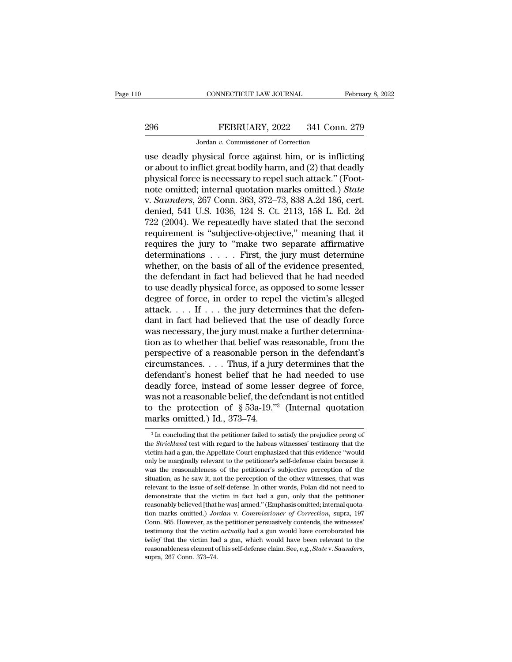# CONNECTICUT LAW JOURNAL February 8, 2022<br>296 FEBRUARY, 2022 341 Conn. 279<br>Jordan v. Commissioner of Correction

CONNECTICUT LAW JOURNAL<br>FEBRUARY, 2022 341 Conn<br>Jordan *v.* Commissioner of Correction<br>hysical force against him or is infli CONNECTICUT LAW JOURNAL February 8, 2022<br>
296 FEBRUARY, 2022 341 Conn. 279<br>
Jordan v. Commissioner of Correction<br>
use deadly physical force against him, or is inflicting<br>
or about to inflict great bodily harm, and (2) that FEBRUARY, 2022 341 Conn. 279<br>
Jordan v. Commissioner of Correction<br>
use deadly physical force against him, or is inflicting<br>
or about to inflict great bodily harm, and (2) that deadly<br>
physical force is necessary to repel 296 FEBRUARY, 2022 341 Conn. 279<br>
Jordan v. Commissioner of Correction<br>
use deadly physical force against him, or is inflicting<br>
or about to inflict great bodily harm, and (2) that deadly<br>
physical force is necessary to r FEBRUARY, 2022 341 Conn. 279<br>
Jordan v. Commissioner of Correction<br>
use deadly physical force against him, or is inflicting<br>
or about to inflict great bodily harm, and (2) that deadly<br>
physical force is necessary to repel Jordan *v.* Commissioner of Correction<br>use deadly physical force against him, or is inflicting<br>or about to inflict great bodily harm, and (2) that deadly<br>physical force is necessary to repel such attack." (Foot-<br>note omitt Jordan v. Commissioner of Correction<br>use deadly physical force against him, or is inflicting<br>or about to inflict great bodily harm, and (2) that deadly<br>physical force is necessary to repel such attack." (Foot-<br>note omitte use deadly physical force against him, or is inflicting<br>or about to inflict great bodily harm, and (2) that deadly<br>physical force is necessary to repel such attack." (Foot-<br>note omitted; internal quotation marks omitted.) or about to inflict great bodily harm, and (2) that deadly<br>physical force is necessary to repel such attack." (Foot-<br>note omitted; internal quotation marks omitted.) *State*<br>v. *Saunders*, 267 Conn. 363, 372–73, 838 A.2d 1 physical force is necessary to repel such attack." (Foot-<br>note omitted; internal quotation marks omitted.) *State*<br>v. *Saunders*, 267 Conn. 363, 372–73, 838 A.2d 186, cert.<br>denied, 541 U.S. 1036, 124 S. Ct. 2113, 158 L. E note omitted; internal quotation marks omitted.) *State* v. *Saunders*, 267 Conn. 363, 372–73, 838 A.2d 186, cert. denied, 541 U.S. 1036, 124 S. Ct. 2113, 158 L. Ed. 2d 722 (2004). We repeatedly have stated that the second v. *Saunders*, 267 Conn. 363, 372–73, 838 A.2d 186, cert.<br>denied, 541 U.S. 1036, 124 S. Ct. 2113, 158 L. Ed. 2d<br>722 (2004). We repeatedly have stated that the second<br>requirement is "subjective-objective," meaning that it<br>r denied, 541 U.S. 1036, 124 S. Ct. 2113, 158 L. Ed. 2d<br>722 (2004). We repeatedly have stated that the second<br>requirement is "subjective-objective," meaning that it<br>requires the jury to "make two separate affirmative<br>determi 722 (2004). We repeatedly have stated that the second<br>requirement is "subjective-objective," meaning that it<br>requires the jury to "make two separate affirmative<br>determinations  $\dots$ . First, the jury must determine<br>whether, requirement is "subjective-objective," meaning that it<br>requires the jury to "make two separate affirmative<br>determinations . . . . First, the jury must determine<br>whether, on the basis of all of the evidence presented,<br>the requires the jury to "make two separate affirmative<br>determinations . . . . First, the jury must determine<br>whether, on the basis of all of the evidence presented,<br>the defendant in fact had believed that he had needed<br>to us determinations . . . . . First, the jury must determine<br>whether, on the basis of all of the evidence presented,<br>the defendant in fact had believed that he had needed<br>to use deadly physical force, as opposed to some lesser<br> whether, on the basis of all of the evidence presented,<br>the defendant in fact had believed that he had needed<br>to use deadly physical force, as opposed to some lesser<br>degree of force, in order to repel the victim's alleged the defendant in fact had believed that he had needed<br>to use deadly physical force, as opposed to some lesser<br>degree of force, in order to repel the victim's alleged<br>attack.... If ... the jury determines that the defen-<br>d to use deadly physical force, as opposed to some lesser<br>degree of force, in order to repel the victim's alleged<br>attack.... If ... the jury determines that the defen-<br>dant in fact had believed that the use of deadly force<br> degree of force, in order to repel the victim's alleged<br>attack. . . . If . . . the jury determines that the defen-<br>dant in fact had believed that the use of deadly force<br>was necessary, the jury must make a further determi attack. . . . If . . . the jury determines that the defendant in fact had believed that the use of deadly force was necessary, the jury must make a further determination as to whether that belief was reasonable, from the dant in fact had believed that the use of deadly force<br>was necessary, the jury must make a further determina-<br>tion as to whether that belief was reasonable, from the<br>perspective of a reasonable person in the defendant's<br>c was necessary, the jury must make a further determination as to whether that belief was reasonable, from the perspective of a reasonable person in the defendant's circumstances. . . . Thus, if a jury determines that the d tion as to whether that belief was reasonable, from the<br>perspective of a reasonable person in the defendant's<br>circumstances....Thus, if a jury determines that the<br>defendant's honest belief that he had needed to use<br>deadly perspective of a reasonable persecircumstances.... Thus, if a jure defendant's honest belief that he deadly force, instead of some le was not a reasonable belief, the de to the protection of § 53a-19."<sup>5</sup> marks omitted.) exadly force, instead of some lesser degree of force,<br>as not a reasonable belief, the defendant is not entitled<br>of the protection of § 53a-19."<sup>3</sup> (Internal quotation<br>arks omitted.) Id., 373–74.<br><sup>3</sup> In concluding that the was not a reasonable belief, the defendant is not entitled<br>to the protection of  $\S$  53a-19."<sup>3</sup> (Internal quotation<br>marks omitted.) Id., 373–74.<br><sup>3</sup> In concluding that the petitioner failed to satisfy the prejudice prong

to the protection of § 53a-19."<sup>3</sup> (Internal quotation marks omitted.) Id., 373–74.<br><sup>3</sup>In concluding that the petitioner failed to satisfy the prejudice prong of the *Strickland* test with regard to the habeas witnesses' marks omitted.) Id., 373–74.<br>
<sup>3</sup> In concluding that the petitioner failed to satisfy the prejudice prong of<br>
the *Strickland* test with regard to the habeas witnesses' testimory that the<br>
victim had a gun, the Appellate C <sup>3</sup> In concluding that the petitioner failed to satisfy the prejudice prong of the *Strickland* test with regard to the habeas witnesses' testimony that the victim had a gun, the Appellate Court emphasized that this evide <sup>3</sup> In concluding that the petitioner failed to satisfy the prejudice prong of the *Strickland* test with regard to the habeas witnesses' testimony that the victim had a gun, the Appellate Court emphasized that this evide the *Strickland* test with regard to the habeas witnesses' testimony that the *Strickland* test with regard to the habeas witnesses' testimony that the victim had a gun, the Appellate Court emphasized that this evidence "w victim had a gun, the Appellate Court emphasized that this evidence "would only be marginally relevant to the petitioner's self-defense claim because it was the reasonableness of the petitioner's subjective perception of t only be marginally relevant to the petitioner's self-defense claim because it was the reasonableness of the petitioner's subjective perception of the situation, as he saw it, not the perception of the other witnesses, that outed.<br> *Marks the reasonableness of the petitioner's subjective perception of the situation, as he saw it, not the perception of the other witnesses, that was relevant to the issue of self-defense. In other words, Polan d* Sultuation, as he saw it, not the perception of the other witnesses, that was relevant to the issue of self-defense. In other words, Polan did not need to demonstrate that the victim in fact had a gun, only that the petit relevant to the issue of self-defense. In other words, Polan did not need to demonstrate that the victim in fact had a gun, only that the petitioner reasonably believed [that he was] armed." (Emphasis omitted; internal qu **belieff that the victim in fact had a gun, only that the petitioner**<br>reasonably believed [that he was] armed." (Emphasis omitted; internal quota-<br>tion marks omitted.) *Jordan* v. *Commissioner of Correction*, supra, 197<br>C reasonably believed [that he was] armed." (Emphasis omitted; internal quotation marks omitted.) *Jordan* v. *Commissioner of Correction*, supra, 197 Conn. 865. However, as the petitioner persuasively contends, the witnesse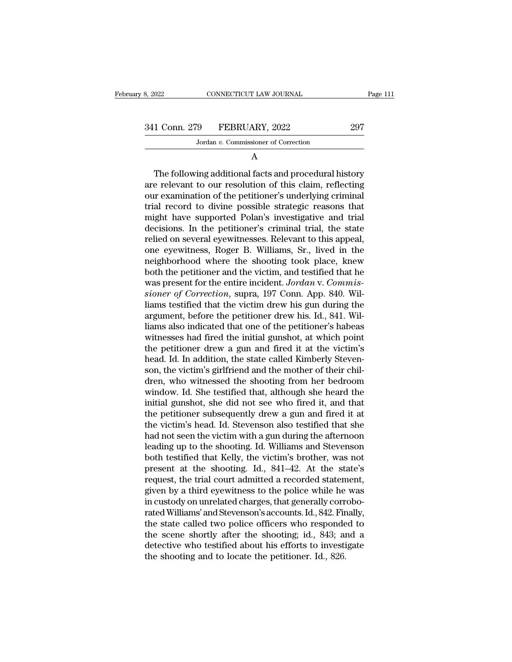3, 2022 CONNECTICUT LAW JOURNAL Page 111<br>341 Conn. 279 FEBRUARY, 2022 297<br>Jordan v. Commissioner of Correction MONE CONNECTICUT LAW JOURNAL<br>
19 FEBRUARY, 2022<br>
Jordan *v*. Commissioner of Correction

# A

1 Conn. 279 FEBRUARY, 2022 297<br>Jordan v. Commissioner of Correction<br>A<br>The following additional facts and procedural history<br>e relevant to our resolution of this claim, reflecting<br>are examination of the potitioner's underly 341 Conn. 279 FEBRUARY, 2022 297<br>Jordan v. Commissioner of Correction<br>A<br>The following additional facts and procedural history<br>are relevant to our resolution of this claim, reflecting<br>our examination of the petitioner's un 341 Conn. 279 FEBRUARY, 2022 297<br>Jordan v. Commissioner of Correction<br>A<br>The following additional facts and procedural history<br>are relevant to our resolution of this claim, reflecting<br>our examination of the petitioner's un Jordan  $v$ . Commissioner of Correction<br>  $A$ <br>
The following additional facts and procedural history<br>
are relevant to our resolution of this claim, reflecting<br>
our examination of the petitioner's underlying criminal<br>
trial A<br>
The following additional facts and procedural history<br>
are relevant to our resolution of this claim, reflecting<br>
our examination of the petitioner's underlying criminal<br>
trial record to divine possible strategic reasons The following additional facts and procedural history<br>are relevant to our resolution of this claim, reflecting<br>our examination of the petitioner's underlying criminal<br>trial record to divine possible strategic reasons that<br> The following additional facts and procedural history<br>are relevant to our resolution of this claim, reflecting<br>our examination of the petitioner's underlying criminal<br>trial record to divine possible strategic reasons that<br> are relevant to our resolution of this claim, reflecting<br>our examination of the petitioner's underlying criminal<br>trial record to divine possible strategic reasons that<br>might have supported Polan's investigative and trial<br>d our examination of the petitioner's underlying criminal<br>trial record to divine possible strategic reasons that<br>might have supported Polan's investigative and trial<br>decisions. In the petitioner's criminal trial, the state<br>r trial record to divine possible strategic reasons that<br>might have supported Polan's investigative and trial<br>decisions. In the petitioner's criminal trial, the state<br>relied on several eyewitnesses. Relevant to this appeal,<br> might have supported Polan's investigative and trial decisions. In the petitioner's criminal trial, the state relied on several eyewitnesses. Relevant to this appeal, one eyewitness, Roger B. Williams, Sr., lived in the ne decisions. In the petitioner's criminal trial, the state relied on several eyewitnesses. Relevant to this appeal, one eyewitness, Roger B. Williams, Sr., lived in the neighborhood where the shooting took place, knew both t relied on several eyewitnesses. Relevant to this appeal,<br>one eyewitness, Roger B. Williams, Sr., lived in the<br>neighborhood where the shooting took place, knew<br>both the petitioner and the victim, and testified that he<br>was p one eyewitness, Roger B. Williams, Sr., lived in the neighborhood where the shooting took place, knew both the petitioner and the victim, and testified that he was present for the entire incident. Jordan v. Commissioner of neighborhood where the shooting took place, knew<br>both the petitioner and the victim, and testified that he<br>was present for the entire incident. Jordan v. Commis-<br>sioner of Correction, supra, 197 Conn. App. 840. Wil-<br>liams both the petitioner and the victim, and testified that he<br>was present for the entire incident. Jordan v. Commis-<br>sioner of Correction, supra, 197 Conn. App. 840. Wil-<br>liams testified that the victim drew his gun during the was present for the entire incident. Jordan v. Commissioner of Correction, supra, 197 Conn. App. 840. Will-<br>liams testified that the victim drew his gun during the<br>argument, before the petitioner drew his. Id., 841. Wil-<br>l sioner of Correction, supra, 197 Conn. App. 840. Will-<br>liams testified that the victim drew his gun during the<br>argument, before the petitioner drew his. Id., 841. Wil-<br>liams also indicated that one of the petitioner's habe liams testified that the victim drew his gun during the argument, before the petitioner drew his. Id., 841. Williams also indicated that one of the petitioner's habeas witnesses had fired the initial gunshot, at which poin argument, before the petitioner drew his. Id., 841. Wil-<br>liams also indicated that one of the petitioner's habeas<br>witnesses had fired the initial gunshot, at which point<br>the petitioner drew a gun and fired it at the victim liams also indicated that one of the petitioner's habeas<br>witnesses had fired the initial gunshot, at which point<br>the petitioner drew a gun and fired it at the victim's<br>head. Id. In addition, the state called Kimberly Steve witnesses had fired the initial gunshot, at which point<br>the petitioner drew a gun and fired it at the victim's<br>head. Id. In addition, the state called Kimberly Steven-<br>son, the victim's girlfriend and the mother of their c the petitioner drew a gun and fired it at the victim's<br>head. Id. In addition, the state called Kimberly Steven-<br>son, the victim's girlfriend and the mother of their chil-<br>dren, who witnessed the shooting from her bedroom<br>w head. Id. In addition, the state called Kimberly Stevenson, the victim's girlfriend and the mother of their children, who witnessed the shooting from her bedroom window. Id. She testified that, although she heard the initi son, the victim's girlfriend and the mother of their children, who witnessed the shooting from her bedroom window. Id. She testified that, although she heard the initial gunshot, she did not see who fired it, and that the dren, who witnessed the shooting from her bedroom<br>window. Id. She testified that, although she heard the<br>initial gunshot, she did not see who fired it, and that<br>the petitioner subsequently drew a gun and fired it at<br>the vi window. Id. She testified that, although she heard the<br>initial gunshot, she did not see who fired it, and that<br>the petitioner subsequently drew a gun and fired it at<br>the victim's head. Id. Stevenson also testified that she initial gunshot, she did not see who fired it, and that<br>the petitioner subsequently drew a gun and fired it at<br>the victim's head. Id. Stevenson also testified that she<br>had not seen the victim with a gun during the afternoo the petitioner subsequently drew a gun and fired it at<br>the victim's head. Id. Stevenson also testified that she<br>had not seen the victim with a gun during the afternoon<br>leading up to the shooting. Id. Williams and Stevenson the victim's head. Id. Stevenson also testified that she<br>had not seen the victim with a gun during the afternoon<br>leading up to the shooting. Id. Williams and Stevenson<br>both testified that Kelly, the victim's brother, was n had not seen the victim with a gun during the afternoon<br>leading up to the shooting. Id. Williams and Stevenson<br>both testified that Kelly, the victim's brother, was not<br>present at the shooting. Id., 841–42. At the state's<br>r leading up to the shooting. Id. Williams and Stevenson<br>both testified that Kelly, the victim's brother, was not<br>present at the shooting. Id., 841–42. At the state's<br>request, the trial court admitted a recorded statement,<br> both testified that Kelly, the victim's brother, was not<br>present at the shooting. Id., 841–42. At the state's<br>request, the trial court admitted a recorded statement,<br>given by a third eyewitness to the police while he was<br>i present at the shooting. Id., 841–42. At the state's<br>request, the trial court admitted a recorded statement,<br>given by a third eyewitness to the police while he was<br>in custody on unrelated charges, that generally corrobo-<br>r request, the trial court admitted a recorded statement,<br>given by a third eyewitness to the police while he was<br>in custody on unrelated charges, that generally corrobo-<br>rated Williams' and Stevenson's accounts. Id., 842. Fi given by a third eyewitness to the police while he<br>in custody on unrelated charges, that generally corr<br>rated Williams' and Stevenson's accounts. Id., 842. Fir<br>the state called two police officers who responde<br>the scene sh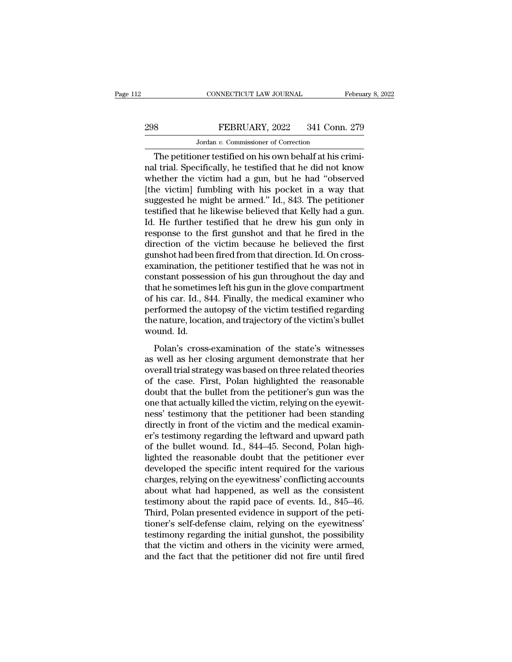# CONNECTICUT LAW JOURNAL February 8, 2022<br>298 FEBRUARY, 2022 341 Conn. 279<br>Jordan v. Commissioner of Correction EXECTICUT LAW JOURNAL<br>FEBRUARY, 2022 341 Conn<br>Jordan *v.* Commissioner of Correction<br>ner testified on his own behalf at his o

CONNECTICUT LAW JOURNAL Februa<br>
Sand The PEBRUARY, 2022 341 Conn. 279<br>
Jordan v. Commissioner of Correction<br>
The petitioner testified on his own behalf at his crimi-<br>
I trial. Specifically, he testified that he did not kno 298 FEBRUARY, 2022 341 Conn. 279<br>Jordan v. Commissioner of Correction<br>The petitioner testified on his own behalf at his crimi-<br>nal trial. Specifically, he testified that he did not know<br>whether the victim had a gun, but h  $\frac{298}{\text{Jordan } v. \text{ Commissioner of Correction}}$ <br>The petitioner testified on his own behalf at his criminal trial. Specifically, he testified that he did not know whether the victim had a gun, but he had "observed [the victim] fumbling with his  $298$  FEBRUARY, 2022 341 Conn. 279<br>Jordan v. Commissioner of Correction<br>The petitioner testified on his own behalf at his crimi-<br>nal trial. Specifically, he testified that he did not know<br>whether the victim had a gun, but Jordan v. Commissioner of Correction<br>The petitioner testified on his own behalf at his crimi-<br>nal trial. Specifically, he testified that he did not know<br>whether the victim had a gun, but he had "observed<br>[the victim] fumbl Jordan v. Commissioner of Correction<br>The petitioner testified on his own behalf at his crimi-<br>nal trial. Specifically, he testified that he did not know<br>whether the victim had a gun, but he had "observed<br>[the victim] fumb The petitioner testified on his own behalf at his crimi-<br>nal trial. Specifically, he testified that he did not know<br>whether the victim had a gun, but he had "observed<br>[the victim] fumbling with his pocket in a way that<br>sug response to the victim had a gun, but he did not know whether the victim had a gun, but he had "observed [the victim] fumbling with his pocket in a way that suggested he might be armed." Id., 843. The petitioner testified whether the victim had a gun, but he had "observed<br>[the victim] fumbling with his pocket in a way that<br>suggested he might be armed." Id., 843. The petitioner<br>testified that he likewise believed that Kelly had a gun.<br>Id. He [the victim] fumbling with his pocket in a way that suggested he might be armed." Id., 843. The petitioner testified that he likewise believed that Kelly had a gun. Id. He further testified that he drew his gun only in res suggested he might be armed." Id., 843. The petitioner<br>testified that he likewise believed that Kelly had a gun.<br>Id. He further testified that he drew his gun only in<br>response to the first gunshot and that he fired in the<br> testified that he likewise believed that Kelly had a gun.<br>Id. He further testified that he drew his gun only in<br>response to the first gunshot and that he fired in the<br>direction of the victim because he believed the first<br>g Id. He further testified that he drew his gun only in<br>response to the first gunshot and that he fired in the<br>direction of the victim because he believed the first<br>gunshot had been fired from that direction. Id. On cross-<br>e response to the first gunshot and that he fired in the<br>direction of the victim because he believed the first<br>gunshot had been fired from that direction. Id. On cross-<br>examination, the petitioner testified that he was not i direction of the victim because he believed the first<br>gunshot had been fired from that direction. Id. On cross-<br>examination, the petitioner testified that he was not in<br>constant possession of his gun throughout the day and gunshot had been fired from that direction. Id. On cross-<br>examination, the petitioner testified that he was not in<br>constant possession of his gun throughout the day and<br>that he sometimes left his gun in the glove compartme examination, the<br>constant posses<br>that he sometim<br>of his car. Id., 8<br>performed the a<br>the nature, locat<br>wound. Id.<br>Polan's cross restant possession of the gair anoughout are any and<br>at he sometimes left his gun in the glove compartment<br>his car. Id., 844. Finally, the medical examiner who<br>rformed the autopsy of the victim testified regarding<br>e nature and he solitennes ferrins gan in the give comparation<br>of his car. Id., 844. Finally, the medical examiner who<br>performed the autopsy of the victim testified regarding<br>the nature, location, and trajectory of the victim's bul

or his car. Ia., 911. I many, are medical examiner who<br>performed the autopsy of the victim testified regarding<br>the nature, location, and trajectory of the victim's bullet<br>wound. Id.<br>Polan's cross-examination of the state's performed are allopsy of the victim essined regarding<br>the nature, location, and trajectory of the victim's bullet<br>wound. Id.<br>Polan's cross-examination of the state's witnesses<br>as well as her closing argument demonstrate th doubt Id.<br>
Wound. Id.<br>
Polan's cross-examination of the state's witnesses<br>
as well as her closing argument demonstrate that her<br>
overall trial strategy was based on three related theories<br>
of the case. First, Polan highlig Folan's cross-examination of the state's witnesses<br>as well as her closing argument demonstrate that her<br>overall trial strategy was based on three related theories<br>of the case. First, Polan highlighted the reasonable<br>doubt Polan's cross-examination of the state's witnesses<br>as well as her closing argument demonstrate that her<br>overall trial strategy was based on three related theories<br>of the case. First, Polan highlighted the reasonable<br>doubt as well as her closing argument demonstrate that her<br>overall trial strategy was based on three related theories<br>of the case. First, Polan highlighted the reasonable<br>doubt that the bullet from the petitioner's gun was the<br>o overall trial strategy was based on three related theories<br>of the case. First, Polan highlighted the reasonable<br>doubt that the bullet from the petitioner's gun was the<br>one that actually killed the victim, relying on the ey of the case. First, Polan highlighted the reasonable<br>doubt that the bullet from the petitioner's gun was the<br>one that actually killed the victim, relying on the eyewit-<br>ness' testimony that the petitioner had been standing doubt that the bullet from the petitioner's gun was the<br>one that actually killed the victim, relying on the eyewit-<br>ness' testimony that the petitioner had been standing<br>directly in front of the victim and the medical exam one that actually killed the victim, relying on the eyewit-<br>ness' testimony that the petitioner had been standing<br>directly in front of the victim and the medical examin-<br>er's testimony regarding the leftward and upward pat ness' testimony that the petitioner had been standing<br>directly in front of the victim and the medical examin-<br>er's testimony regarding the leftward and upward path<br>of the bullet wound. Id., 844–45. Second, Polan high-<br>ligh directly in front of the victim and the medical examiner's testimony regarding the leftward and upward path of the bullet wound. Id., 844–45. Second, Polan high-lighted the reasonable doubt that the petitioner ever develop er's testimony regarding the leftward and upward path<br>of the bullet wound. Id., 844–45. Second, Polan high-<br>lighted the reasonable doubt that the petitioner ever<br>developed the specific intent required for the various<br>charg of the bullet wound. Id., 844–45. Second, Polan high-<br>lighted the reasonable doubt that the petitioner ever<br>developed the specific intent required for the various<br>charges, relying on the eyewitness' conflicting accounts<br>ab lighted the reasonable doubt that the petitioner ever<br>developed the specific intent required for the various<br>charges, relying on the eyewitness' conflicting accounts<br>about what had happened, as well as the consistent<br>testi developed the specific intent required for the various<br>charges, relying on the eyewitness' conflicting accounts<br>about what had happened, as well as the consistent<br>testimony about the rapid pace of events. Id., 845–46.<br>Thir charges, relying on the eyewitness' conflicting accounts<br>about what had happened, as well as the consistent<br>testimony about the rapid pace of events. Id., 845–46.<br>Third, Polan presented evidence in support of the peti-<br>tio about what had happened, as well as the consistent<br>testimony about the rapid pace of events. Id., 845–46.<br>Third, Polan presented evidence in support of the peti-<br>tioner's self-defense claim, relying on the eyewitness'<br>test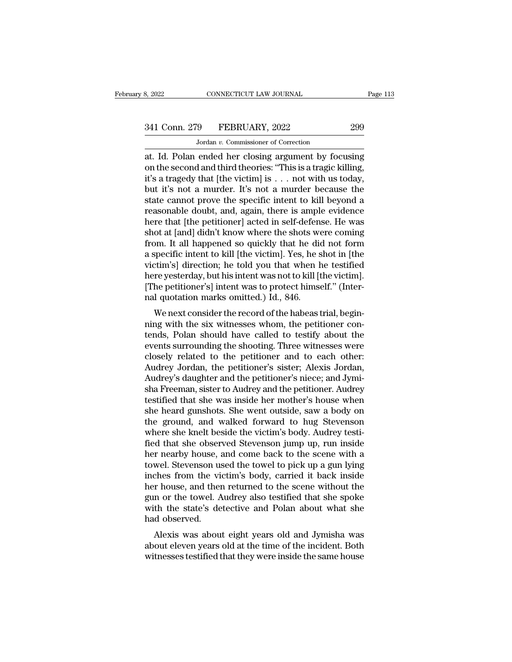# 341 Conn. 279 FEBRUARY, 2022 299<br>Jordan v. Commissioner of Correction

MONE CONNECTICUT LAW JOURNAL<br>19 FEBRUARY, 2022<br>Jordan *v.* Commissioner of Correction<br>19 FEBRUARY, 2022 at. Id. Polan ended her closing argument by focusing<br>
id. Id. Polan ended her closing argument by focusing<br>
id. Id. Polan ended her closing argument by focusing<br>
id. a tragedy that Ithe victimal is a new with us today. 341 Conn. 279 FEBRUARY, 2022 299<br>Jordan v. Commissioner of Correction<br>at. Id. Polan ended her closing argument by focusing<br>on the second and third theories: "This is a tragic killing,<br>it's a tragedy that [the victim] is . 341 Conn. 279 FEBRUARY, 2022 299<br>
Jordan v. Commissioner of Correction<br>
at. Id. Polan ended her closing argument by focusing<br>
on the second and third theories: "This is a tragic killing,<br>
it's a tragedy that [the victim] 341 Conn. 279 FEBRUARY, 2022 299<br>
Jordan v. Commissioner of Correction<br>
at. Id. Polan ended her closing argument by focusing<br>
on the second and third theories: "This is a tragic killing,<br>
it's a tragedy that [the victim] Jordan v. Commissioner of Correction<br>at. Id. Polan ended her closing argument by focusing<br>on the second and third theories: "This is a tragic killing,<br>it's a tragedy that [the victim] is . . . not with us today,<br>but it's Jordan v. Commissioner of Correction<br>at. Id. Polan ended her closing argument by focusing<br>on the second and third theories: "This is a tragic killing,<br>it's a tragedy that [the victim] is . . . not with us today,<br>but it's at. Id. Polan ended her closing argument by focusing<br>on the second and third theories: "This is a tragic killing,<br>it's a tragedy that [the victim] is . . . not with us today,<br>but it's not a murder. It's not a murder becaus on the second and third theories: "This is a tragic killing,<br>it's a tragedy that [the victim] is . . . not with us today,<br>but it's not a murder. It's not a murder because the<br>state cannot prove the specific intent to kill it's a tragedy that [the victim] is . . . not with us today,<br>but it's not a murder. It's not a murder because the<br>state cannot prove the specific intent to kill beyond a<br>reasonable doubt, and, again, there is ample evidenc but it's not a murder. It's not a murder because the<br>state cannot prove the specific intent to kill beyond a<br>reasonable doubt, and, again, there is ample evidence<br>here that [the petitioner] acted in self-defense. He was<br>sh state cannot prove the specific intent to kill beyond a<br>reasonable doubt, and, again, there is ample evidence<br>here that [the petitioner] acted in self-defense. He was<br>shot at [and] didn't know where the shots were coming<br>f reasonable doubt, and, again, there is ample evidence<br>here that [the petitioner] acted in self-defense. He was<br>shot at [and] didn't know where the shots were coming<br>from. It all happened so quickly that he did not form<br>a s here that [the petitioner] acted in self-defense. He was<br>shot at [and] didn't know where the shots were coming<br>from. It all happened so quickly that he did not form<br>a specific intent to kill [the victim]. Yes, he shot in [ shot at [and] didn't know where the shots we<br>from. It all happened so quickly that he did<br>a specific intent to kill [the victim]. Yes, he s<br>victim's] direction; he told you that when h<br>here yesterday, but his intent was no Fin. It all happened so quickly that he did not form<br>specific intent to kill [the victim]. Yes, he shot in [the<br>ctim's] direction; he told you that when he testified<br>re yesterday, but his intent was not to kill [the victim a specific intent to kill [the victin]. Tes, he shot if [the victim's] direction; he told you that when he testified<br>here yesterday, but his intent was not to kill [the victim].<br>[The petitioner's] intent was to protect him

Fraction, the total you that when he testified<br>here yesterday, but his intent was not to kill [the victim].<br>[The petitioner's] intent was to protect himself." (Inter-<br>nal quotation marks omitted.) Id., 846.<br>We next conside reflexed to the petitioner's limit was not to kin the victing.<br>
[The petitioner's] intent was to protect himself." (Inter-<br>
nal quotation marks omitted.) Id., 846.<br>
We next consider the record of the habeas trial, begin-<br> The petitioner spintent was to protect infilsen. (Inter-<br>nal quotation marks omitted.) Id., 846.<br>We next consider the record of the habeas trial, begin-<br>ning with the six witnesses whom, the petitioner con-<br>tends, Polan sh Mar quotation marks omitted.) Id., 840.<br>We next consider the record of the habeas trial, begin-<br>ning with the six witnesses whom, the petitioner con-<br>tends, Polan should have called to testify about the<br>events surrounding We next consider the record of the habeas trial, beginning with the six witnesses whom, the petitioner contends, Polan should have called to testify about the events surrounding the shooting. Three witnesses were closely r ning with the six witnesses whom, the petitioner contends, Polan should have called to testify about the events surrounding the shooting. Three witnesses were closely related to the petitioner and to each other:<br>Audrey Jor tends, Polan should have called to testify about the<br>events surrounding the shooting. Three witnesses were<br>closely related to the petitioner and to each other:<br>Audrey Jordan, the petitioner's sister; Alexis Jordan,<br>Audrey' events surrounding the shooting. Three witnesses were<br>closely related to the petitioner and to each other:<br>Audrey Jordan, the petitioner's sister; Alexis Jordan,<br>Audrey's daughter and the petitioner's niece; and Jymi-<br>sha closely related to the petitioner and to each other:<br>Audrey Jordan, the petitioner's sister; Alexis Jordan,<br>Audrey's daughter and the petitioner's niece; and Jymi-<br>sha Freeman, sister to Audrey and the petitioner. Audrey<br>t Audrey Jordan, the petitioner's sister; Alexis Jordan, Audrey's daughter and the petitioner's niece; and Jymisha Freeman, sister to Audrey and the petitioner. Audrey testified that she was inside her mother's house when sh Audrey's daughter and the petitioner's niece; and Jymisha Freeman, sister to Audrey and the petitioner. Audrey<br>testified that she was inside her mother's house when<br>she heard gunshots. She went outside, saw a body on<br>the g sha Freeman, sister to Audrey and the petitioner. Audrey<br>testified that she was inside her mother's house when<br>she heard gunshots. She went outside, saw a body on<br>the ground, and walked forward to hug Stevenson<br>where she k testified that she was inside her mother's house when<br>she heard gunshots. She went outside, saw a body on<br>the ground, and walked forward to hug Stevenson<br>where she knelt beside the victim's body. Audrey testi-<br>fied that sh she heard gunshots. She went outside, saw a body on<br>the ground, and walked forward to hug Stevenson<br>where she knelt beside the victim's body. Audrey testi-<br>fied that she observed Stevenson jump up, run inside<br>her nearby ho the ground, and walked forward to hug Stevenson<br>where she knelt beside the victim's body. Audrey testi-<br>fied that she observed Stevenson jump up, run inside<br>her nearby house, and come back to the scene with a<br>towel. Steven where she knelt beside the victim's body. Audrey testified that she observed Stevenson jump up, run inside<br>her nearby house, and come back to the scene with a<br>towel. Stevenson used the towel to pick up a gun lying<br>inches f fied that she observed Stevenson jump up, run inside<br>her nearby house, and come back to the scene with a<br>towel. Stevenson used the towel to pick up a gun lying<br>inches from the victim's body, carried it back inside<br>her hous her nearby house, a<br>towel. Stevenson us<br>inches from the vi-<br>her house, and ther<br>gun or the towel. A<br>with the state's de-<br>had observed.<br>Alexis was abou Wer. Stevenson used the tower to pick up a gun tying<br>ches from the victim's body, carried it back inside<br>r house, and then returned to the scene without the<br>n or the towel. Audrey also testified that she spoke<br>th the state Fraction and the victility body, carried it back first<br>ther house, and then returned to the scene without the<br>gun or the towel. Audrey also testified that she spoke<br>with the state's detective and Polan about what she<br>had o Free notice, and then returned to the scene without the<br>gun or the towel. Audrey also testified that she spoke<br>with the state's detective and Polan about what she<br>had observed.<br>Alexis was about eight years old and Jymisha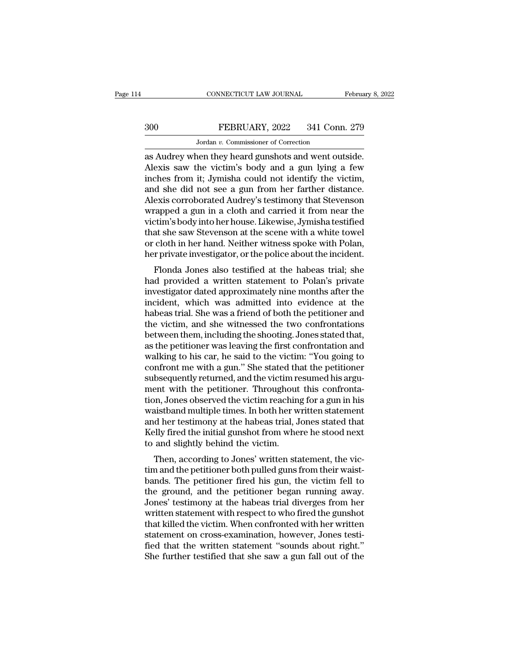# CONNECTICUT LAW JOURNAL February 8, 2022<br>300 FEBRUARY, 2022 341 Conn. 279<br>Jordan v. Commissioner of Correction CONNECTICUT LAW JOURNAL<br>FEBRUARY, 2022 341 Conn<br>Jordan *v.* Commissioner of Correction<br>Den they heard gunshots and went out

CONNECTICUT LAW JOURNAL February 8, 2<br>
300 FEBRUARY, 2022 341 Conn. 279<br>
300 Jordan v. Commissioner of Correction<br>
as Audrey when they heard gunshots and went outside.<br>
Alexis saw the victim's body and a gun lying a few<br>
i FEBRUARY, 2022 341 Conn. 279<br>Jordan v. Commissioner of Correction<br>as Audrey when they heard gunshots and went outside.<br>Alexis saw the victim's body and a gun lying a few<br>inches from it; Jymisha could not identify the victi  $\begin{array}{c|l} \text{300} & \text{FEBRUARY, 2022} & \text{341 Conn. 279} \\ \hline \text{Jordan } v. \text{ Commissioner of Correction} \\ \text{as Audrey when they heard gunshots and went outside.} \\ \text{Alexis saw the victim's body and a gun lying a few inches from it; Jymisha could not identify the victim,} \\ \text{and she did not see a gun from her farther distance.} \\ \text{Alovis corroborated Audrov's testimony that Stavanson.} \end{array}$ 300 FEBRUARY, 2022 341 Conn. 279<br>
Jordan v. Commissioner of Correction<br>
as Audrey when they heard gunshots and went outside.<br>
Alexis saw the victim's body and a gun lying a few<br>
inches from it; Jymisha could not identify Jordan v. Commissioner of Correction<br>as Audrey when they heard gunshots and went outside.<br>Alexis saw the victim's body and a gun lying a few<br>inches from it; Jymisha could not identify the victim,<br>and she did not see a gun Jordan v. Commissioner of Correction<br>
as Audrey when they heard gunshots and went outside.<br>
Alexis saw the victim's body and a gun lying a few<br>
inches from it; Jymisha could not identify the victim,<br>
and she did not see a as Audrey when they heard gunshots and went outside.<br>Alexis saw the victim's body and a gun lying a few<br>inches from it; Jymisha could not identify the victim,<br>and she did not see a gun from her farther distance.<br>Alexis cor Alexis saw the victim's body and a gun lying a few<br>inches from it; Jymisha could not identify the victim,<br>and she did not see a gun from her farther distance.<br>Alexis corroborated Audrey's testimony that Stevenson<br>wrapped a inches from it; Jymisha could not identify the victim,<br>and she did not see a gun from her farther distance.<br>Alexis corroborated Audrey's testimony that Stevenson<br>wrapped a gun in a cloth and carried it from near the<br>victim and she did not see a gun from her farther distance.<br>Alexis corroborated Audrey's testimony that Stevenson<br>wrapped a gun in a cloth and carried it from near the<br>victim's body into her house. Likewise, Jymisha testified<br>tha Exis corroborated Audrey's testified it from near the<br>rapped a gun in a cloth and carried it from near the<br>tim's body into her house. Likewise, Jymisha testified<br>at she saw Stevenson at the scene with a white towel<br>cloth i wrapped a guit in a cloud and carried it from hear the<br>victim's body into her house. Likewise, Jymisha testified<br>that she saw Stevenson at the scene with a white towel<br>or cloth in her hand. Neither witness spoke with Polan

Final shows model in the scene with a white towel<br>or cloth in her hand. Neither witness spoke with Polan,<br>her private investigator, or the police about the incident.<br>Flonda Jones also testified at the habeas trial; she<br>had In the saw stevenson at the scene with a while tower<br>or cloth in her hand. Neither witness spoke with Polan,<br>her private investigator, or the police about the incident.<br>Flonda Jones also testified at the habeas trial; she<br> or cloth in her hand. Neither withess spoke with I bland,<br>her private investigator, or the police about the incident.<br>Flonda Jones also testified at the habeas trial; she<br>had provided a written statement to Polan's private The private investigator, or the police about the incident.<br>Flonda Jones also testified at the habeas trial; she<br>had provided a written statement to Polan's private<br>investigator dated approximately nine months after the<br>in Flonda Jones also testified at the habeas trial; she<br>had provided a written statement to Polan's private<br>investigator dated approximately nine months after the<br>incident, which was admitted into evidence at the<br>habeas trial had provided a written statement to Polan's private<br>investigator dated approximately nine months after the<br>incident, which was admitted into evidence at the<br>habeas trial. She was a friend of both the petitioner and<br>the vic investigator dated approximately nine months after the<br>incident, which was admitted into evidence at the<br>habeas trial. She was a friend of both the petitioner and<br>the victim, and she witnessed the two confrontations<br>betwee incident, which was admitted into evidence at the<br>habeas trial. She was a friend of both the petitioner and<br>the victim, and she witnessed the two confrontations<br>between them, including the shooting. Jones stated that,<br>as t habeas trial. She was a friend of both the petitioner and<br>the victim, and she witnessed the two confrontations<br>between them, including the shooting. Jones stated that,<br>as the petitioner was leaving the first confrontation the victim, and she witnessed the two confrontations<br>between them, including the shooting. Jones stated that,<br>as the petitioner was leaving the first confrontation and<br>walking to his car, he said to the victim: "You going between them, including the shooting. Jones stated that,<br>as the petitioner was leaving the first confrontation and<br>walking to his car, he said to the victim: "You going to<br>confront me with a gun." She stated that the petit as the petitioner was leaving the first confrontation and<br>walking to his car, he said to the victim: "You going to<br>confront me with a gun." She stated that the petitioner<br>subsequently returned, and the victim resumed his a walking to his car, he said to the victim: "You going to confront me with a gun." She stated that the petitioner subsequently returned, and the victim resumed his argument with the petitioner. Throughout this confrontation confront me with a gun." She stated that the petitioner<br>subsequently returned, and the victim resumed his argu-<br>ment with the petitioner. Throughout this confronta-<br>tion, Jones observed the victim reaching for a gun in his subsequently returned, and the victim rement with the petitioner. Throughout<br>tion, Jones observed the victim reachin<br>waistband multiple times. In both her w<br>and her testimony at the habeas trial, J<br>Kelly fired the initial Find with the pethology. Throughout this commonization, Jones observed the victim reaching for a gun in his aistband multiple times. In both her written statement d her testimony at the habeas trial, Jones stated that elly tion, sones observed the victim reacting for a gun in his<br>waistband multiple times. In both her written statement<br>and her testimony at the habeas trial, Jones stated that<br>Kelly fired the initial gunshot from where he stood

wastband mutiple times. In both her written statement<br>and her testimony at the habeas trial, Jones stated that<br>Kelly fired the initial gunshot from where he stood next<br>to and slightly behind the victim.<br>Then, according to and her testimony at the habeas trial, Jones stated that<br>Kelly fired the initial gunshot from where he stood next<br>to and slightly behind the victim.<br>Then, according to Jones' written statement, the vic-<br>tim and the petitio Reny fired the finital guilshot from where he stood hext<br>to and slightly behind the victim.<br>Then, according to Jones' written statement, the vic-<br>tim and the petitioner both pulled guns from their waist-<br>bands. The petitio to and signtly benind the victini.<br>Then, according to Jones' written statement, the victim<br>and the petitioner both pulled guns from their waist-<br>bands. The petitioner fired his gun, the victim fell to<br>the ground, and the p Then, according to Jones' written statement, the victim and the petitioner both pulled guns from their waist-<br>bands. The petitioner fired his gun, the victim fell to<br>the ground, and the petitioner began running away.<br>Jones tim and the petitioner both pulled guns from their waist-<br>bands. The petitioner fired his gun, the victim fell to<br>the ground, and the petitioner began running away.<br>Jones' testimony at the habeas trial diverges from her<br>wr bands. The petitioner fired his gun, the victim fell to<br>the ground, and the petitioner began running away.<br>Jones' testimony at the habeas trial diverges from her<br>written statement with respect to who fired the gunshot<br>that the ground, and the petitioner began running away.<br>Jones' testimony at the habeas trial diverges from her<br>written statement with respect to who fired the gunshot<br>that killed the victim. When confronted with her written<br>sta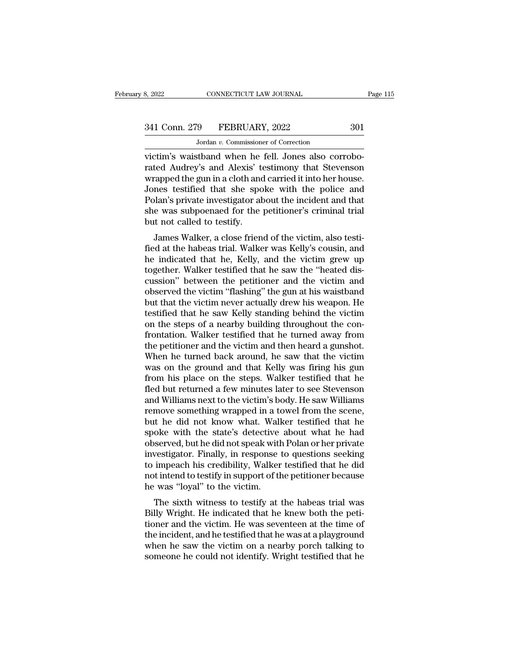# 341 Conn. 279 FEBRUARY, 2022 301<br>Jordan v. Commissioner of Correction

CONNECTICUT LAW JOURNAL<br>
9 FEBRUARY, 2022<br>
Jordan *v.* Commissioner of Correction<br>
sthand when he fell Jones also corr victim's waistband when he fell. Jones also corrobo-<br>victim's waistband when he fell. Jones also corrobo-<br>victim's waistband when he fell. Jones also corrobo-<br>rated Audrey's and Alexis' testimony that Stevenson<br>wrapped the 341 Conn. 279 FEBRUARY, 2022 301<br>Jordan v. Commissioner of Correction<br>victim's waistband when he fell. Jones also corrobo-<br>rated Audrey's and Alexis' testimony that Stevenson<br>wrapped the gun in a cloth and carried it into  $\frac{341 \text{ Conn. } 279 \qquad \text{FEBRUARY, } 2022 \qquad \qquad 301}{\text{Jordan } v. \text{ Commissioner of Correction}}$ <br>victim's waistband when he fell. Jones also corrobo-<br>rated Audrey's and Alexis' testimony that Stevenson<br>wrapped the gun in a cloth and carried it into her hou  $\frac{341 \text{ Conn. } 279 \qquad \text{FEBRUARY, } 2022 \qquad \qquad 301}{\text{Jordan } v. \text{ Commissioner of Correction}}$ <br>
victim's waistband when he fell. Jones also corrobo-<br>
rated Audrey's and Alexis' testimony that Stevenson<br>
wrapped the gun in a cloth and carried it into her Jordan v. Commissioner of Correction<br>
victim's waistband when he fell. Jones also corrobo-<br>
rated Audrey's and Alexis' testimony that Stevenson<br>
wrapped the gun in a cloth and carried it into her house.<br>
Jones testified th Jordan  $v$ . Commissioner of Correction<br>victim's waistband when he fell. Jones also corrobo-<br>rated Audrey's and Alexis' testimony that Stevenson<br>wrapped the gun in a cloth and carried it into her house.<br>Jones testified tha victim's waistband when he<br>rated Audrey's and Alexis' to<br>wrapped the gun in a cloth and<br>Jones testified that she spo<br>Polan's private investigator at<br>she was subpoenaed for the<br>but not called to testify.<br>James Walker, a clo Frame Marker, a close friend of the victim, also testi-<br>James Walker, a close friend of the police and<br>plan's private investigator about the incident and that<br>e was subpoenaed for the petitioner's criminal trial<br>that not c wrapped the gun in a cloth and carried it into her house.<br>Jones testified that she spoke with the police and<br>Polan's private investigator about the incident and that<br>she was subpoenaed for the petitioner's criminal trial<br>b

Folan's private investigator about the incident and that<br>he was subpoenaed for the petitioner's criminal trial<br>but not called to testify.<br>James Walker, a close friend of the victim, also testi-<br>fied at the habeas trial. Wa Tolari's private investigator about the incluent and that<br>she was subpoenaed for the petitioner's criminal trial<br>but not called to testify.<br>James Walker, a close friend of the victim, also testi-<br>fied at the habeas trial. she was subpoenaed for the petitioner's Criminal that<br>but not called to testify.<br>James Walker, a close friend of the victim, also testi-<br>fied at the habeas trial. Walker was Kelly's cousin, and<br>he indicated that he, Kelly, but not caned to testny.<br>James Walker, a close friend of the victim, also testi-<br>fied at the habeas trial. Walker was Kelly's cousin, and<br>he indicated that he, Kelly, and the victim grew up<br>together. Walker testified that James Walker, a close friend of the victim, also testi-<br>fied at the habeas trial. Walker was Kelly's cousin, and<br>he indicated that he, Kelly, and the victim grew up<br>together. Walker testified that he saw the "heated dis-<br>c fied at the habeas trial. Walker was Kelly's cousin, and<br>he indicated that he, Kelly, and the victim grew up<br>together. Walker testified that he saw the "heated dis-<br>cussion" between the petitioner and the victim and<br>observ he indicated that he, Kelly, and the victim grew up<br>together. Walker testified that he saw the "heated dis-<br>cussion" between the petitioner and the victim and<br>observed the victim "flashing" the gun at his waistband<br>but tha together. Walker testified that he saw the "heated discussion" between the petitioner and the victim and observed the victim "flashing" the gun at his waistband but that the victim never actually drew his weapon. He testif cussion" between the petitioner and the victim and<br>observed the victim "flashing" the gun at his waistband<br>but that the victim never actually drew his weapon. He<br>testified that he saw Kelly standing behind the victim<br>on th observed the victim "flashing" the gun at his waistband<br>but that the victim never actually drew his weapon. He<br>testified that he saw Kelly standing behind the victim<br>on the steps of a nearby building throughout the con-<br>fr but that the victim never actually drew his weapon. He<br>testified that he saw Kelly standing behind the victim<br>on the steps of a nearby building throughout the con-<br>frontation. Walker testified that he turned away from<br>the testified that he saw Kelly standing behind the victim<br>on the steps of a nearby building throughout the con-<br>frontation. Walker testified that he turned away from<br>the petitioner and the victim and then heard a gunshot.<br>Whe on the steps of a nearby building throughout the confrontation. Walker testified that he turned away from<br>the petitioner and the victim and then heard a gunshot.<br>When he turned back around, he saw that the victim<br>was on th frontation. Walker testified that he turned away from<br>the petitioner and the victim and then heard a gunshot.<br>When he turned back around, he saw that the victim<br>was on the ground and that Kelly was firing his gun<br>from his the petitioner and the victim and then heard a gunshot.<br>When he turned back around, he saw that the victim<br>was on the ground and that Kelly was firing his gun<br>from his place on the steps. Walker testified that he<br>fled but When he turned back around, he saw that the victim<br>was on the ground and that Kelly was firing his gun<br>from his place on the steps. Walker testified that he<br>fled but returned a few minutes later to see Stevenson<br>and Willia was on the ground and that Kelly was firing his gun<br>from his place on the steps. Walker testified that he<br>fled but returned a few minutes later to see Stevenson<br>and Williams next to the victim's body. He saw Williams<br>remov from his place on the steps. Walker testified that he<br>fled but returned a few minutes later to see Stevenson<br>and Williams next to the victim's body. He saw Williams<br>remove something wrapped in a towel from the scene,<br>but h fled but returned a few minutes later to see Stevenson<br>and Williams next to the victim's body. He saw Williams<br>remove something wrapped in a towel from the scene,<br>but he did not know what. Walker testified that he<br>spoke wi and Williams next to the victim's body. He saw Williams<br>remove something wrapped in a towel from the scene,<br>but he did not know what. Walker testified that he<br>spoke with the state's detective about what he had<br>observed, bu remove something wrapped in a towel from the scene,<br>but he did not know what. Walker testified that he<br>spoke with the state's detective about what he had<br>observed, but he did not speak with Polan or her private<br>investigato but he did not know what. Wall<br>spoke with the state's detective<br>observed, but he did not speak with<br>investigator. Finally, in response<br>to impeach his credibility, Walker<br>not intend to testify in support of th<br>he was "loyal bke with the state's detective about what he had<br>served, but he did not speak with Polan or her private<br>vestigator. Finally, in response to questions seeking<br>impeach his credibility, Walker testified that he did<br>t intend t billy westigator. Finally, in response to questions seeking<br>to impeach his credibility, Walker testified that he did<br>not intend to testify in support of the petitioner because<br>he was "loyal" to the victim.<br>The sixth witnes

Investigator. Finany, in response to questions seeking<br>to impeach his credibility, Walker testified that he did<br>not intend to testify in support of the petitioner because<br>he was "loyal" to the victim.<br>The sixth witness to to impeach ins credibility, waker testified that he did<br>not intend to testify in support of the petitioner because<br>he was "loyal" to the victim.<br>The sixth witness to testify at the habeas trial was<br>Billy Wright. He indicat From the same of the victim of the petrioner because<br>he was "loyal" to the victim.<br>The sixth witness to testify at the habeas trial was<br>Billy Wright. He indicated that he knew both the peti-<br>tioner and the victim. He was s The sixth witness to testify at the habeas trial was<br>Billy Wright. He indicated that he knew both the peti-<br>tioner and the victim. He was seventeen at the time of<br>the incident, and he testified that he was at a playground<br>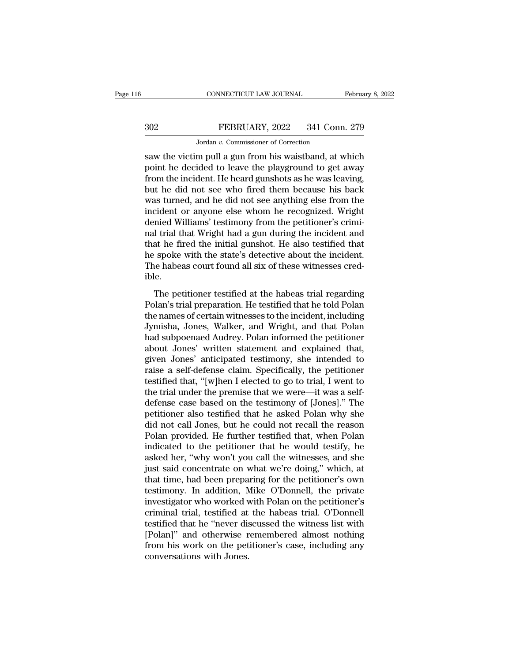# CONNECTICUT LAW JOURNAL February 8, 2022<br>302 FEBRUARY, 2022 341 Conn. 279<br>Jordan v. Commissioner of Correction CONNECTICUT LAW JOURNAL<br>FEBRUARY, 2022 341 Connection<br>Jordan *v.* Commissioner of Correction<br>m pull a gun from his waistband at v

CONNECTICUT LAW JOURNAL February 8, 2022<br>
Saw the victim pull a gun from his waistband, at which<br>
FEBRUARY, 2022 341 Conn. 279<br>
Saw the victim pull a gun from his waistband, at which<br>
point he decided to leave the playgrou FEBRUARY, 2022 341 Conn. 279<br>
Jordan v. Commissioner of Correction<br>
saw the victim pull a gun from his waistband, at which<br>
point he decided to leave the playground to get away<br>
from the incident. He heard gunshots as he w  $\begin{array}{c} \text{302} & \text{FEBRUARY, 2022} & \text{341 Conn. 279} \\ \text{303} & \text{Jordan } v. \text{ Commissioner of Correction} \\ \text{304} & \text{Saw the victim pull a gun from his waistband, at which point he decided to leave the playground to get away from the incident. He heard gunshots as he was leaving, but he did not see who fired them because his back was turned, and he did not see anything also from the$  $\begin{array}{c|c} \text{302} & \text{FEBRUARY, 2022} & \text{341 Conn. 279} \\ \hline \text{Jordan } v. \text{ Commissioner of Correction} \\ \text{saw the victim pull a gun from his waistband, at which point he decided to leave the playground to get away from the incident. He heard gunshots as he was leaving, but he did not see who fired them because his back was turned, and he did not see anything else from the incident or anyone also when he recognized. Write the incident of the object is not provided.} \end{array}$ Jordan v. Commissioner of Correction<br>saw the victim pull a gun from his waistband, at which<br>point he decided to leave the playground to get away<br>from the incident. He heard gunshots as he was leaving,<br>but he did not see w Jordan v. Commissioner of Correction<br>
saw the victim pull a gun from his waistband, at which<br>
point he decided to leave the playground to get away<br>
from the incident. He heard gunshots as he was leaving,<br>
but he did not s saw the victim pull a gun from his waistband, at which<br>point he decided to leave the playground to get away<br>from the incident. He heard gunshots as he was leaving,<br>but he did not see who fired them because his back<br>was tur point he decided to leave the playground to get away<br>from the incident. He heard gunshots as he was leaving,<br>but he did not see who fired them because his back<br>was turned, and he did not see anything else from the<br>incident from the incident. He heard gunshots as he was leaving,<br>but he did not see who fired them because his back<br>was turned, and he did not see anything else from the<br>incident or anyone else whom he recognized. Wright<br>denied Wil but he did not see who fired them because his back<br>was turned, and he did not see anything else from the<br>incident or anyone else whom he recognized. Wright<br>denied Williams' testimony from the petitioner's crimi-<br>nal trial was turned, and he did not see anything else from the incident or anyone else whom he recognized. Wright denied Williams' testimony from the petitioner's criminal trial that Wright had a gun during the incident and that he ible. The petitioner testified at the habeas trial regarding<br>The period at the fired the initial gunshot. He also testified that<br>spoke with the state's detective about the incident.<br>the habeas court found all six of these witnes rad and ongent made a gain dainty are included that<br>that he fired the initial gunshot. He also testified that<br>he spoke with the state's detective about the incident.<br>The habeas court found all six of these witnesses cred-<br>

the spoke with the state's detective about the incident.<br>The habeas court found all six of these witnesses cred-<br>ible.<br>The petitioner testified at the habeas trial regarding<br>Polan's trial preparation. He testified that he In the same is also also the meader.<br>The habeas court found all six of these witnesses cred-<br>ible.<br>The petitioner testified at the habeas trial regarding<br>Polan's trial preparation. He testified that he told Polan<br>the names The nasces coal from an six of diese wratesses ered<br>ible.<br>The petitioner testified at the habeas trial regarding<br>Polan's trial preparation. He testified that he told Polan<br>the names of certain witnesses to the incident, in The petitioner testified at the habeas trial regarding<br>Polan's trial preparation. He testified that he told Polan<br>the names of certain witnesses to the incident, including<br>Jymisha, Jones, Walker, and Wright, and that Polan The petitioner testified at the habeas trial regarding<br>Polan's trial preparation. He testified that he told Polan<br>the names of certain witnesses to the incident, including<br>Jymisha, Jones, Walker, and Wright, and that Polan Polan's trial preparation. He testified that he told Polan<br>the names of certain witnesses to the incident, including<br>Jymisha, Jones, Walker, and Wright, and that Polan<br>had subpoenaed Audrey. Polan informed the petitioner<br>a the names of certain witnesses to the incident, including<br>Jymisha, Jones, Walker, and Wright, and that Polan<br>had subpoenaed Audrey. Polan informed the petitioner<br>about Jones' written statement and explained that,<br>given Jon Jymisha, Jones, Walker, and Wright, and that Polan<br>had subpoenaed Audrey. Polan informed the petitioner<br>about Jones' written statement and explained that,<br>given Jones' anticipated testimony, she intended to<br>raise a self-de had subpoenaed Audrey. Polan informed the petitioner<br>about Jones' written statement and explained that,<br>given Jones' anticipated testimony, she intended to<br>raise a self-defense claim. Specifically, the petitioner<br>testified about Jones' written statement and explained that,<br>given Jones' anticipated testimony, she intended to<br>raise a self-defense claim. Specifically, the petitioner<br>testified that, "[w]hen I elected to go to trial, I went to<br>th given Jones' anticipated testimony, she intended to<br>raise a self-defense claim. Specifically, the petitioner<br>testified that, "[w]hen I elected to go to trial, I went to<br>the trial under the premise that we were—it was a sel raise a self-defense claim. Specifically, the petitioner<br>testified that, "[w]hen I elected to go to trial, I went to<br>the trial under the premise that we were—it was a self-<br>defense case based on the testimony of [Jones]." testified that, "[w]hen I elected to go to trial, I went to<br>the trial under the premise that we were—it was a self-<br>defense case based on the testimony of [Jones]." The<br>petitioner also testified that he asked Polan why she the trial under the premise that we were—it was a self-<br>defense case based on the testimony of [Jones]." The<br>petitioner also testified that he asked Polan why she<br>did not call Jones, but he could not recall the reason<br>Pola defense case based on the testimony of [Jones]." The<br>petitioner also testified that he asked Polan why she<br>did not call Jones, but he could not recall the reason<br>Polan provided. He further testified that, when Polan<br>indica petitioner also testified that he asked Polan why she<br>did not call Jones, but he could not recall the reason<br>Polan provided. He further testified that, when Polan<br>indicated to the petitioner that he would testify, he<br>asked did not call Jones, but he could not recall the reason<br>Polan provided. He further testified that, when Polan<br>indicated to the petitioner that he would testify, he<br>asked her, "why won't you call the witnesses, and she<br>just Polan provided. He further testified that, when Polan indicated to the petitioner that he would testify, he asked her, "why won't you call the witnesses, and she just said concentrate on what we're doing," which, at that t indicated to the petitioner that he would testify, he<br>asked her, "why won't you call the witnesses, and she<br>just said concentrate on what we're doing," which, at<br>that time, had been preparing for the petitioner's own<br>testi asked her, "why won't you call the witnesses, and she<br>just said concentrate on what we're doing," which, at<br>that time, had been preparing for the petitioner's own<br>testimony. In addition, Mike O'Donnell, the private<br>investi just said concentrate on what we're doing," which, at<br>that time, had been preparing for the petitioner's own<br>testimony. In addition, Mike O'Donnell, the private<br>investigator who worked with Polan on the petitioner's<br>crimin that time, had been preparing for the petitioner's own<br>testimony. In addition, Mike O'Donnell, the private<br>investigator who worked with Polan on the petitioner's<br>criminal trial, testified at the habeas trial. O'Donnell<br>tes testimony. In addition, M<br>investigator who worked v<br>criminal trial, testified at<br>testified that he "never dis<br>[Polan]" and otherwise r<br>from his work on the pet<br>conversations with Jones.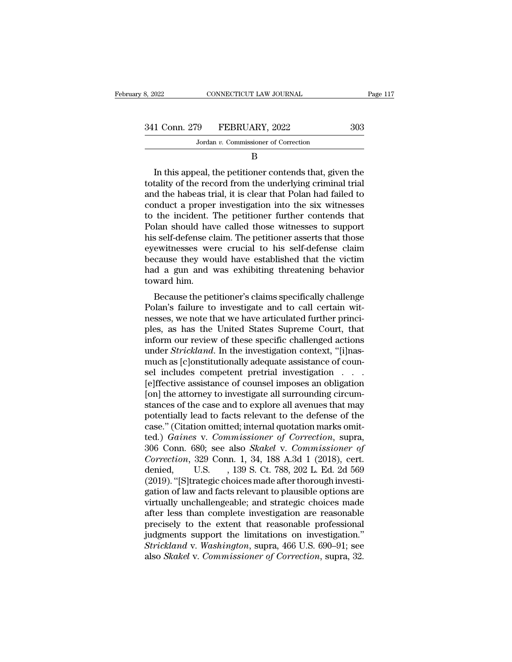| 3, 2022       | CONNECTICUT LAW JOURNAL              | Page 117 |
|---------------|--------------------------------------|----------|
|               |                                      |          |
| 341 Conn. 279 | FEBRUARY, 2022                       | 303      |
|               | Jordan v. Commissioner of Correction |          |
|               |                                      |          |

B

1 Conn. 279 FEBRUARY, 2022 303<br>Jordan v. Commissioner of Correction<br>B<br>In this appeal, the petitioner contends that, given the<br>tality of the record from the underlying criminal trial<br>d the baboas trial it is clear that Pola 341 Conn. 279 FEBRUARY, 2022 303<br>Jordan v. Commissioner of Correction<br>B<br>In this appeal, the petitioner contends that, given the totality of the record from the underlying criminal trial<br>and the habeas trial, it is clear t 341 Conn. 279 FEBRUARY, 2022 303<br>
Jordan v. Commissioner of Correction<br>
B<br>
In this appeal, the petitioner contends that, given the<br>
totality of the record from the underlying criminal trial<br>
and the habeas trial, it is cl Jordan  $v$ . Commissioner of Correction<br>  $B$ <br>
In this appeal, the petitioner contends that, given the<br>
totality of the record from the underlying criminal trial<br>
and the habeas trial, it is clear that Polan had failed to<br> B<br>
In this appeal, the petitioner contends that, given the<br>
totality of the record from the underlying criminal trial<br>
and the habeas trial, it is clear that Polan had failed to<br>
conduct a proper investigation into the six Domain is appeal, the petitioner contends that, given the totality of the record from the underlying criminal trial and the habeas trial, it is clear that Polan had failed to conduct a proper investigation into the six wit In this appeal, the petitioner contends that, given the totality of the record from the underlying criminal trial<br>and the habeas trial, it is clear that Polan had failed to<br>conduct a proper investigation into the six witne totality of the record from the underlying criminal trial<br>and the habeas trial, it is clear that Polan had failed to<br>conduct a proper investigation into the six witnesses<br>to the incident. The petitioner further contends th and the habeas trial, it is clear that Polan had failed to<br>conduct a proper investigation into the six witnesses<br>to the incident. The petitioner further contends that<br>Polan should have called those witnesses to support<br>his conduct a proper investigation into the six witnesses<br>to the incident. The petitioner further contends that<br>Polan should have called those witnesses to support<br>his self-defense claim. The petitioner asserts that those<br>eyew to the incident.<br>
Polan should have<br>
his self-defense cl<br>
eyewitnesses we<br>
because they wo<br>
had a gun and<br>
toward him.<br>
Because the per France Self-defense claim. The petitioner asserts that those<br>ewitnesses were crucial to his self-defense claim<br>cause they would have established that the victim<br>d a gun and was exhibiting threatening behavior<br>ward him.<br>Bec Ins sen-defense claim. The permoner asserts that those<br>eyewitnesses were crucial to his self-defense claim<br>because they would have established that the victim<br>had a gun and was exhibiting threatening behavior<br>toward him.<br>B

because they would have established that the victim<br>had a gun and was exhibiting threatening behavior<br>toward him.<br>Because the petitioner's claims specifically challenge<br>Polan's failure to investigate and to call certain wi plecause they would have established that the victin<br>had a gun and was exhibiting threatening behavior<br>toward him.<br>Because the petitioner's claims specifically challenge<br>Polan's failure to investigate and to call certain w read a gun and was exhibiting threatening behavior<br>toward him.<br>Because the petitioner's claims specifically challenge<br>Polan's failure to investigate and to call certain wit-<br>nesses, we note that we have articulated further Because the petitioner's claims specifically challenge<br>Polan's failure to investigate and to call certain wit-<br>nesses, we note that we have articulated further princi-<br>ples, as has the United States Supreme Court, that<br>inf Because the petitioner's claims specifically challenge<br>Polan's failure to investigate and to call certain wit-<br>nesses, we note that we have articulated further princi-<br>ples, as has the United States Supreme Court, that<br>inf Polan's failure to investigate and to call certain witnesses, we note that we have articulated further principles, as has the United States Supreme Court, that inform our review of these specific challenged actions under nesses, we note that we have articulated further princi-<br>ples, as has the United States Supreme Court, that<br>inform our review of these specific challenged actions<br>under *Strickland*. In the investigation context, "[i]nas-<br> ples, as has the United States Supreme Court, that<br>inform our review of these specific challenged actions<br>under *Strickland*. In the investigation context, "[i]nas-<br>much as [c]onstitutionally adequate assistance of coun-<br>s inform our review of these specific challenged actions<br>under *Strickland*. In the investigation context, "[i]nas-<br>much as [c]onstitutionally adequate assistance of coun-<br>sel includes competent pretrial investigation . . .<br> under *Strickland*. In the investigation context, "[i]nas-<br>much as [c]onstitutionally adequate assistance of coun-<br>sel includes competent pretrial investigation  $\ldots$ .<br>[e]ffective assistance of counsel imposes an obligati much as [c]onstitutionally adequate assistance of counsel includes competent pretrial investigation  $\ldots$  [e] ffective assistance of counsel imposes an obligation [on] the attorney to investigate all surrounding circumsta sel includes competent pretrial investigation . . . .<br>[e]ffective assistance of counsel imposes an obligation<br>[on] the attorney to investigate all surrounding circum-<br>stances of the case and to explore all avenues that may [e]ffective assistance of counsel imposes an obligation<br>[on] the attorney to investigate all surrounding circum-<br>stances of the case and to explore all avenues that may<br>potentially lead to facts relevant to the defense of [on] the attorney to investigate all surrounding circum-<br>stances of the case and to explore all avenues that may<br>potentially lead to facts relevant to the defense of the<br>case." (Citation omitted; internal quotation marks o stances of the case and to explore all avenues that may<br>potentially lead to facts relevant to the defense of the<br>case." (Citation omitted; internal quotation marks omit-<br>ted.) *Gaines* v. *Commissioner of Correction*, supr potentially lead to facts relevant to the defense of the case." (Citation omitted; internal quotation marks omitted.) *Gaines* v. *Commissioner of Correction*, supra, 306 Conn. 680; see also *Skakel* v. *Commissioner of Co* case." (Citation omitted; internal quotation marks omitted.) *Gaines* v. *Commissioner of Correction*, supra, 306 Conn. 680; see also *Skakel* v. *Commissioner of Correction*, 329 Conn. 1, 34, 188 A.3d 1 (2018), cert. deni ted.) *Gaines* v. *Commissioner of Correction*, supra, 306 Conn. 680; see also *Skakel* v. *Commissioner of Correction*, 329 Conn. 1, 34, 188 A.3d 1 (2018), cert. denied, U.S. , 139 S. Ct. 788, 202 L. Ed. 2d 569 (2019). "[ 306 Conn. 680; see also *Skakel* v. *Commissioner of*<br> *Correction*, 329 Conn. 1, 34, 188 A.3d 1 (2018), cert.<br>
denied, U.S. , 139 S. Ct. 788, 202 L. Ed. 2d 569<br>
(2019). "[S]trategic choices made after thorough investigati Correction, 329 Conn. 1, 34, 188 A.3d 1 (2018), cert.<br>denied, U.S. , 139 S. Ct. 788, 202 L. Ed. 2d 569<br>(2019). "[S]trategic choices made after thorough investigation of law and facts relevant to plausible options are<br>virt denied, U.S. , 139 S. Ct. 788, 202 L. Ed. 2d 569<br>(2019). "[S]trategic choices made after thorough investigation of law and facts relevant to plausible options are<br>virtually unchallengeable; and strategic choices made<br>after (2019). "[S]trategic choices made after thorough investigation of law and facts relevant to plausible options are virtually unchallengeable; and strategic choices made after less than complete investigation are reasonable gation of law and facts relevant to plausible options are<br>virtually unchallengeable; and strategic choices made<br>after less than complete investigation are reasonable<br>precisely to the extent that reasonable professional<br>jud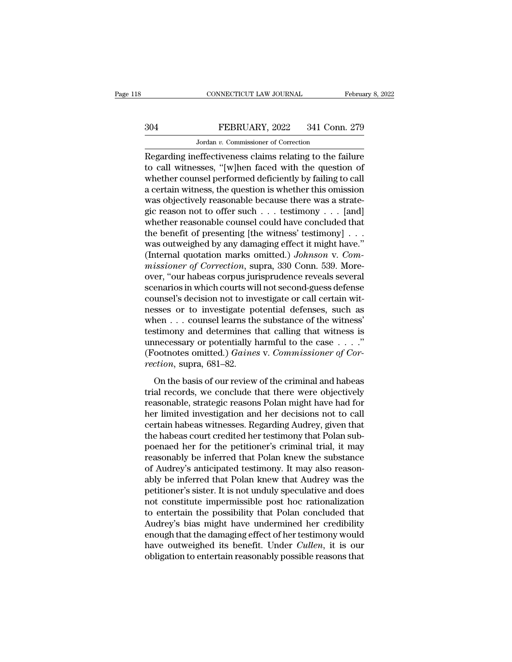# CONNECTICUT LAW JOURNAL February 8, 2022<br>304 FEBRUARY, 2022 341 Conn. 279<br>Jordan v. Commissioner of Correction CONNECTICUT LAW JOURNAL<br>FEBRUARY, 2022 341 Conn<br>Jordan *v.* Commissioner of Correction<br>effectiveness claims relating to the fa

CONNECTICUT LAW JOURNAL February 8, 2022<br>
SO4 FEBRUARY, 2022 341 Conn. 279<br>
Jordan v. Commissioner of Correction<br>
Regarding ineffectiveness claims relating to the failure<br>
to call witnesses, "[w]hen faced with the question THE STRIDEN SALE WARY, 2022 341 Conn. 279<br>
Jordan v. Commissioner of Correction<br>
Regarding ineffectiveness claims relating to the failure<br>
to call witnesses, "[w]hen faced with the question of<br>
whether counsel performed de  $304$  FEBRUARY, 2022 341 Conn. 279<br>Jordan v. Commissioner of Correction<br>Regarding ineffectiveness claims relating to the failure<br>to call witnesses, "[w]hen faced with the question of<br>whether counsel performed deficiently  $304$  FEBRUARY, 2022 341 Conn. 279<br>
Jordan v. Commissioner of Correction<br>
Regarding ineffectiveness claims relating to the failure<br>
to call witnesses, "[w]hen faced with the question of<br>
whether counsel performed deficien Jordan v. Commissioner of Correction<br>Regarding ineffectiveness claims relating to the failure<br>to call witnesses, "[w]hen faced with the question of<br>whether counsel performed deficiently by failing to call<br>a certain witnes Jordan v. Commissioner of Correction<br>Regarding ineffectiveness claims relating to the failure<br>to call witnesses, "[w]hen faced with the question of<br>whether counsel performed deficiently by failing to call<br>a certain witnes Regarding ineffectiveness claims relating to the failure<br>to call witnesses, "[w]hen faced with the question of<br>whether counsel performed deficiently by failing to call<br>a certain witness, the question is whether this omiss to call witnesses, "[w]hen faced with the question of<br>whether counsel performed deficiently by failing to call<br>a certain witness, the question is whether this omission<br>was objectively reasonable because there was a strate whether counsel performed deficiently by failing to call<br>a certain witness, the question is whether this omission<br>was objectively reasonable because there was a strate-<br>gic reason not to offer such  $\ldots$  testimony  $\ldots$  [ a certain witness, the question is whether this omission<br>was objectively reasonable because there was a strate-<br>gic reason not to offer such . . . testimony . . . [and]<br>whether reasonable counsel could have concluded that<br> *mas* objectively reasonable because there was a strategic reason not to offer such . . . testimony . . . [and] whether reasonable counsel could have concluded that the benefit of presenting [the witness' testimony] . . . gic reason not to offer such  $\ldots$  testimony  $\ldots$  [and]<br>whether reasonable counsel could have concluded that<br>the benefit of presenting [the witness' testimony]  $\ldots$ <br>was outweighed by any damaging effect it might have."<br> whether reasonable counsel could have concluded that<br>the benefit of presenting [the witness' testimony] . . .<br>was outweighed by any damaging effect it might have."<br>(Internal quotation marks omitted.) Johnson v. Com-<br>missi the benefit of presenting [the witness' testimony] . . . was outweighed by any damaging effect it might have."<br>(Internal quotation marks omitted.) *Johnson v. Commissioner of Correction*, supra, 330 Conn. 539. More-<br>over, was outweighed by any damaging effect it might have."<br>(Internal quotation marks omitted.) *Johnson v. Commissioner of Correction*, supra, 330 Conn. 539. More-<br>over, "our habeas corpus jurisprudence reveals several<br>scenari (Internal quotation marks omitted.) *Johnson v. Commissioner of Correction*, supra, 330 Conn. 539. Moreover, "our habeas corpus jurisprudence reveals several scenarios in which courts will not second-guess defense counsel missioner of Correction, supra, 330 Conn. 539. More-<br>over, "our habeas corpus jurisprudence reveals several<br>scenarios in which courts will not second-guess defense<br>counsel's decision not to investigate or call certain wit over, "our habeas corpus jurisprudence reveals several<br>scenarios in which courts will not second-guess defense<br>counsel's decision not to investigate or call certain wit-<br>nesses or to investigate potential defenses, such a scenarios in which courts will not second-guess defense<br>counsel's decision not to investigate or call certain wit-<br>nesses or to investigate potential defenses, such as<br>when . . . counsel learns the substance of the witness *recounsel's decision not to inversing po*<br>messes or to investigate po<br>when . . . counsel learns the<br>testimony and determines t<br>unnecessary or potentially l<br>(Footnotes omitted.) *Gaine.*<br>rection, supra, 681–82.<br>On the basi The basis of the metalling potential detensies, such as<br>
area ... counsel learns the substance of the witness'<br>
stimony and determines that calling that witness is<br>
necessary or potentially harmful to the case ...."<br>
coot testimony and determines that calling that witness is<br>testimony and determines that calling that witness is<br>unnecessary or potentially harmful to the case  $\dots$ ."<br>(Footnotes omitted.) *Gaines* v. *Commissioner of Cor-<br>rect* 

is unnecessary or potentially harmful to the case  $\dots$ ."<br>
(Footnotes omitted.) *Gaines v. Commissioner of Correction*, supra, 681–82.<br>
On the basis of our review of the criminal and habeas<br>
trial records, we conclude that diffeoduces omitted.) Gaines v. Commissioner of Correction, supra, 681–82.<br>
On the basis of our review of the criminal and habeas<br>
trial records, we conclude that there were objectively<br>
reasonable, strategic reasons Pola rection, supra, 681–82.<br>
On the basis of our review of the criminal and habeas<br>
trial records, we conclude that there were objectively<br>
reasonable, strategic reasons Polan might have had for<br>
her limited investigation and Focton, sapra, sor oz.<br>
On the basis of our review of the criminal and habeas<br>
trial records, we conclude that there were objectively<br>
reasonable, strategic reasons Polan might have had for<br>
her limited investigation and h On the basis of our review of the criminal and habeas<br>trial records, we conclude that there were objectively<br>reasonable, strategic reasons Polan might have had for<br>her limited investigation and her decisions not to call<br>ce trial records, we conclude that there were objectively<br>reasonable, strategic reasons Polan might have had for<br>her limited investigation and her decisions not to call<br>certain habeas witnesses. Regarding Audrey, given that<br>t reasonable, strategic reasons Polan might have had for<br>her limited investigation and her decisions not to call<br>certain habeas witnesses. Regarding Audrey, given that<br>the habeas court credited her testimony that Polan sub-<br> her limited investigation and her decisions not to call<br>certain habeas witnesses. Regarding Audrey, given that<br>the habeas court credited her testimony that Polan sub-<br>poenaed her for the petitioner's criminal trial, it may certain habeas witnesses. Regarding Audrey, given that<br>the habeas court credited her testimony that Polan sub-<br>poenaed her for the petitioner's criminal trial, it may<br>reasonably be inferred that Polan knew the substance<br>of the habeas court credited her testimony that Polan sub-<br>poenaed her for the petitioner's criminal trial, it may<br>reasonably be inferred that Polan knew the substance<br>of Audrey's anticipated testimony. It may also reason-<br>ab poenaed her for the petitioner's criminal trial, it may<br>reasonably be inferred that Polan knew the substance<br>of Audrey's anticipated testimony. It may also reason-<br>ably be inferred that Polan knew that Audrey was the<br>petit reasonably be inferred that Polan knew the substance<br>of Audrey's anticipated testimony. It may also reason-<br>ably be inferred that Polan knew that Audrey was the<br>petitioner's sister. It is not unduly speculative and does<br>no of Audrey's anticipated testimony. It may also reasonably be inferred that Polan knew that Audrey was the petitioner's sister. It is not unduly speculative and does not constitute impermissible post hoc rationalization to ably be inferred that Polan knew that Audrey was the petitioner's sister. It is not unduly speculative and does not constitute impermissible post hoc rationalization to entertain the possibility that Polan concluded that A petitioner's sister. It is not unduly speculative and does<br>not constitute impermissible post hoc rationalization<br>to entertain the possibility that Polan concluded that<br>Audrey's bias might have undermined her credibility<br>en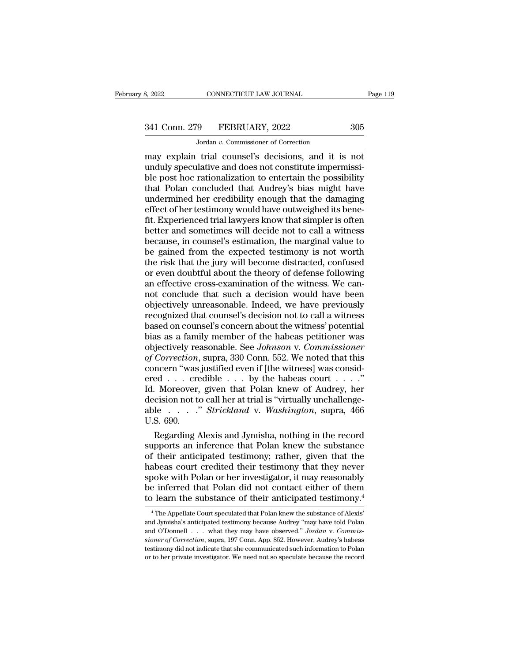# 341 Conn. 279 FEBRUARY, 2022 305<br>Jordan v. Commissioner of Correction

CONNECTICUT LAW JOURNAL<br>
9 FEBRUARY, 2022<br>
Jordan *v*. Commissioner of Correction<br>
trial counsel's decisions and it is may explain trial counsel's decisions, and it is not<br>an explain trial counsel's decisions, and it is not<br>and the peculative and does not constitute impermissi-<br>the nost hoc rationalization to entertain the nossibility 341 Conn. 279 FEBRUARY, 2022 305<br>Jordan v. Commissioner of Correction<br>may explain trial counsel's decisions, and it is not<br>unduly speculative and does not constitute impermissi-<br>ble post hoc rationalization to entertain th  $\frac{341 \text{ Conn. } 279 \qquad \text{FEBRUARY, } 2022 \qquad \qquad 305}{\text{Jordan } v. \text{ Commissioner of Correction}}$ <br>
may explain trial counsel's decisions, and it is not<br>
unduly speculative and does not constitute impermissi-<br>
ble post hoc rationalization to entertain the p 341 Conn. 279 FEBRUARY, 2022 305<br>Jordan v. Commissioner of Correction<br>may explain trial counsel's decisions, and it is not<br>unduly speculative and does not constitute impermissi-<br>ble post hoc rationalization to entertain t Jordan v. Commissioner of Correction<br>
may explain trial counsel's decisions, and it is not<br>
unduly speculative and does not constitute impermissi-<br>
ble post hoc rationalization to entertain the possibility<br>
that Polan con Jordan v. Commissioner of Correction<br>may explain trial counsel's decisions, and it is not<br>unduly speculative and does not constitute impermissi-<br>ble post hoc rationalization to entertain the possibility<br>that Polan conclude may explain trial counsel's decisions, and it is not<br>unduly speculative and does not constitute impermissi-<br>ble post hoc rationalization to entertain the possibility<br>that Polan concluded that Audrey's bias might have<br>under unduly speculative and does not constitute impermissible post hoc rationalization to entertain the possibility<br>that Polan concluded that Audrey's bias might have<br>undermined her credibility enough that the damaging<br>effect o ble post hoc rationalization to entertain the possibility<br>that Polan concluded that Audrey's bias might have<br>undermined her credibility enough that the damaging<br>effect of her testimony would have outweighed its bene-<br>fit. that Polan concluded that Audrey's bias might have<br>undermined her credibility enough that the damaging<br>effect of her testimony would have outweighed its bene-<br>fit. Experienced trial lawyers know that simpler is often<br>bette undermined her credibility enough that the damaging<br>effect of her testimony would have outweighed its bene-<br>fit. Experienced trial lawyers know that simpler is often<br>better and sometimes will decide not to call a witness<br>b effect of her testimony would have outweighed its bene-<br>fit. Experienced trial lawyers know that simpler is often<br>better and sometimes will decide not to call a witness<br>because, in counsel's estimation, the marginal value fit. Experienced trial lawyers know that simpler is often<br>better and sometimes will decide not to call a witness<br>because, in counsel's estimation, the marginal value to<br>be gained from the expected testimony is not worth<br>th better and sometimes will decide not to call a witness<br>because, in counsel's estimation, the marginal value to<br>be gained from the expected testimony is not worth<br>the risk that the jury will become distracted, confused<br>or e because, in counsel's estimation, the marginal value to<br>be gained from the expected testimony is not worth<br>the risk that the jury will become distracted, confused<br>or even doubtful about the theory of defense following<br>an e be gained from the expected testimony is not worth<br>the risk that the jury will become distracted, confused<br>or even doubtful about the theory of defense following<br>an effective cross-examination of the witness. We can-<br>not c the risk that the jury will become distracted, confused<br>or even doubtful about the theory of defense following<br>an effective cross-examination of the witness. We can-<br>not conclude that such a decision would have been<br>object or even doubtful about the theory of defense following<br>an effective cross-examination of the witness. We can-<br>not conclude that such a decision would have been<br>objectively unreasonable. Indeed, we have previously<br>recognize an effective cross-examination of the witness. We cannot conclude that such a decision would have been<br>objectively unreasonable. Indeed, we have previously<br>recognized that counsel's decision not to call a witness<br>based on not conclude that such a decision would have been<br>objectively unreasonable. Indeed, we have previously<br>recognized that counsel's decision not to call a witness<br>based on counsel's concern about the witness' potential<br>bias a objectively unreasonable. Indeed, we have previously<br>recognized that counsel's decision not to call a witness<br>based on counsel's concern about the witness' potential<br>bias as a family member of the habeas petitioner was<br>obj recognized that counsel's decision not to call a witness<br>based on counsel's concern about the witness' potential<br>bias as a family member of the habeas petitioner was<br>objectively reasonable. See Johnson v. Commissioner<br>of C based on counsel's concern about the witness' potential<br>bias as a family member of the habeas petitioner was<br>objectively reasonable. See *Johnson v. Commissioner*<br>of Correction, supra, 330 Conn. 552. We noted that this<br>co bias as a family member of the habeas petitioner was<br>objectively reasonable. See *Johnson v. Commissioner*<br>of Correction, supra, 330 Conn. 552. We noted that this<br>concern "was justified even if [the witness] was consid-<br>er objectively reasonable. See *Johnson* v. *Commissioner*<br>of Correction, supra, 330 Conn. 552. We noted that this<br>concern "was justified even if [the witness] was consid-<br>ered . . . credible . . . by the habeas court . . . . of Correction,<br>concern "was<br>ered . . . cre<br>Id. Moreover,<br>decision not to<br>able . . . . . .<br>U.S. 690.<br>Regarding A ncern "was justified even if [the witness] was consided . . . . credible . . . by the habeas court . . . ."<br>
Moreover, given that Polan knew of Audrey, her cision not to call her at trial is "virtually unchallenge-<br>
le . ered . . . credible . . . by the habeas court . . . ."<br>Id. Moreover, given that Polan knew of Audrey, her<br>decision not to call her at trial is "virtually unchallenge-<br>able . . . . ." *Strickland* v. *Washington*, supra, 46

Id. Moreover, given that Polan knew of Audrey, her<br>decision not to call her at trial is "virtually unchallenge-<br>able . . . . " *Strickland* v. *Washington*, supra, 466<br>U.S. 690.<br>Regarding Alexis and Jymisha, nothing in the decision not to call her at trial is "virtually unchallenge-<br>able . . . . " *Strickland* v. *Washington*, supra, 466<br>U.S. 690.<br>Regarding Alexis and Jymisha, nothing in the record<br>supports an inference that Polan knew the s able  $\ldots$   $\ldots$  *Strickland v. Washington*, supra, 466<br>U.S. 690.<br>Regarding Alexis and Jymisha, nothing in the record<br>supports an inference that Polan knew the substance<br>of their anticipated testimony; rather, given that U.S. 690.<br>Regarding Alexis and Jymisha, nothing in the record<br>supports an inference that Polan knew the substance<br>of their anticipated testimony; rather, given that the<br>habeas court credited their testimony that they never Regarding Alexis and Jymisha, nothing in the record<br>supports an inference that Polan knew the substance<br>of their anticipated testimony; rather, given that the<br>habeas court credited their testimony that they never<br>spoke wit abeas court credited their testimony that they never<br>poke with Polan or her investigator, it may reasonably<br>e inferred that Polan did not contact either of them<br>learn the substance of their anticipated testimony.<sup>4</sup><br><sup>4</sup>The spoke with Polan or her investigator, it may reasonably<br>be inferred that Polan did not contact either of them<br>to learn the substance of their anticipated testimony.<sup>4</sup><br> $\frac{4}{1}$ The Appellate Court speculated that Polan kn

be inferred that Polan did not contact either of them<br>to learn the substance of their anticipated testimony.<sup>4</sup><br><sup>4</sup> The Appellate Court speculated that Polan knew the substance of Alexis'<br>and Jymisha's anticipated testimon **Since 1973**<br> **Since 1974** The Substance of their anticipated testimony.<sup>4</sup><br>
<sup>4</sup> The Appellate Court speculated that Polan knew the substance of Alexis'<br>
and Jymisha's anticipated testimony because Audrey "may have told Po to Tearn the Substance of their anticepated testimony.<br>
<sup>4</sup> The Appellate Court speculated that Polan knew the substance of Alexis'<br>
and Jymisha's anticipated testimony because Audrey "may have told Polan<br>
and O'Donnell . <sup>4</sup> The Appellate Court speculated that Polan knew the substance of Alexis' and Jymisha's anticipated testimony because Audrey "may have told Polan and O'Donnell  $\ldots$  what they may have observed." *Jordan* v. *Commission*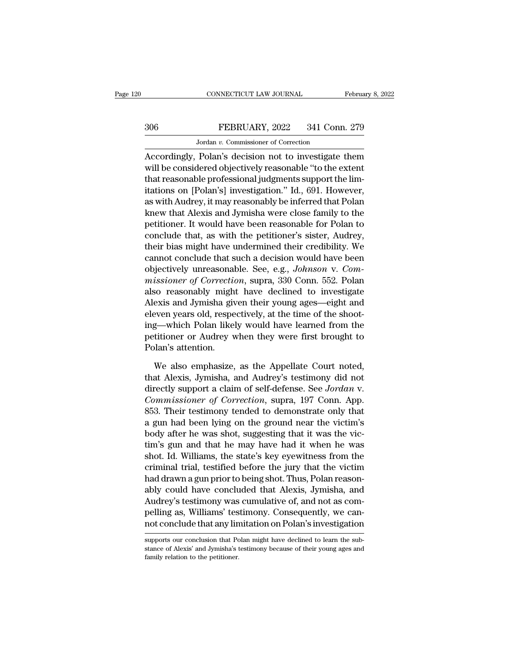# CONNECTICUT LAW JOURNAL February 8, 2022<br>306 FEBRUARY, 2022 341 Conn. 279<br>Jordan v. Commissioner of Correction CONNECTICUT LAW JOURNAL<br>FEBRUARY, 2022 341 Conn<br>Jordan *v.* Commissioner of Correction<br>Polan's decision not to investigate

CONNECTICUT LAW JOURNAL February 8, 2022<br>
306 FEBRUARY, 2022 341 Conn. 279<br>
306 Jordan v. Commissioner of Correction<br>
Accordingly, Polan's decision not to investigate them<br>
will be considered objectively reasonable "to the Will be considered objectively reasonable "to the extent<br>that reasonable professional judgments support the limitations on [Dalan's] investigation," Id. 601 However, FEBRUARY, 2022 341 Conn. 279<br>
Jordan v. Commissioner of Correction<br>
Accordingly, Polan's decision not to investigate them<br>
will be considered objectively reasonable "to the extent<br>
that reasonable professional judgments su 306 FEBRUARY, 2022 341 Conn. 279<br>
Jordan v. Commissioner of Correction<br>
Accordingly, Polan's decision not to investigate them<br>
will be considered objectively reasonable "to the extent<br>
that reasonable professional judgmen Jordan v. Commissioner of Correction<br>Accordingly, Polan's decision not to investigate them<br>will be considered objectively reasonable "to the extent<br>that reasonable professional judgments support the lim-<br>itations on [Polan solution is collarly contracted to concelled<br>Accordingly, Polan's decision not to investigate them<br>will be considered objectively reasonable "to the extent<br>that reasonable professional judgments support the lim-<br>itations o Accordingly, Polan's decision not to investigate them<br>will be considered objectively reasonable "to the extent<br>that reasonable professional judgments support the lim-<br>itations on [Polan's] investigation." Id., 691. However will be considered objectively reasonable "to the extent<br>that reasonable professional judgments support the lim-<br>itations on [Polan's] investigation." Id., 691. However,<br>as with Audrey, it may reasonably be inferred that P that reasonable professional judgments support the limitations on [Polan's] investigation." Id., 691. However, as with Audrey, it may reasonably be inferred that Polan knew that Alexis and Jymisha were close family to the itations on [Polan's] investigation." Id., 691. However,<br>as with Audrey, it may reasonably be inferred that Polan<br>knew that Alexis and Jymisha were close family to the<br>petitioner. It would have been reasonable for Polan t as with Audrey, it may reasonably be inferred that Polan<br>knew that Alexis and Jymisha were close family to the<br>petitioner. It would have been reasonable for Polan to<br>conclude that, as with the petitioner's sister, Audrey,<br> knew that Alexis and Jymisha were close family to the<br>petitioner. It would have been reasonable for Polan to<br>conclude that, as with the petitioner's sister, Audrey,<br>their bias might have undermined their credibility. We<br>ca petitioner. It would have been reasonable for Polan to<br>conclude that, as with the petitioner's sister, Audrey,<br>their bias might have undermined their credibility. We<br>cannot conclude that such a decision would have been<br>obj conclude that, as with the petitioner's sister, Audrey,<br>their bias might have undermined their credibility. We<br>cannot conclude that such a decision would have been<br>objectively unreasonable. See, e.g., *Johnson v. Com-<br>miss* their bias might have undermined their credibility. We<br>cannot conclude that such a decision would have been<br>objectively unreasonable. See, e.g., *Johnson v. Com-*<br>missioner of Correction, supra, 330 Conn. 552. Polan<br>also r cannot conclude that such a decision would have been<br>objectively unreasonable. See, e.g., *Johnson v. Com-*<br>*missioner of Correction*, supra, 330 Conn. 552. Polan<br>also reasonably might have declined to investigate<br>Alexis a objectively unreasonable. See, e.g., *Johnson v. Commissioner of Correction*, supra, 330 Conn. 552. Polan also reasonably might have declined to investigate Alexis and Jymisha given their young ages—eight and eleven years missioner of Correctia<br>also reasonably migh<br>Alexis and Jymisha give<br>eleven years old, respe<br>ing—which Polan like<br>petitioner or Audrey v<br>Polan's attention.<br>We also emphasize, exis and Jymisha given their young ages—eight and<br>even years old, respectively, at the time of the shoot-<br>g—which Polan likely would have learned from the<br>titioner or Audrey when they were first brought to<br>lan's attention. eleven years old, respectively, at the time of the shoot-<br>ing—which Polan likely would have learned from the<br>petitioner or Audrey when they were first brought to<br>Polan's attention.<br>We also emphasize, as the Appellate Court

ing—which Polan likely would have learned from the<br>petitioner or Audrey when they were first brought to<br>Polan's attention.<br>We also emphasize, as the Appellate Court noted,<br>that Alexis, Jymisha, and Audrey's testimony did n petitioner or Audrey when they were first brought to<br>Polan's attention.<br>We also emphasize, as the Appellate Court noted,<br>that Alexis, Jymisha, and Audrey's testimony did not<br>directly support a claim of self-defense. See *J* Polan's attention.<br>
We also emphasize, as the Appellate Court noted,<br>
that Alexis, Jymisha, and Audrey's testimony did not<br>
directly support a claim of self-defense. See *Jordan* v.<br>
Commissioner of Correction, supra, 197 We also emphasize, as the Appellate Court noted,<br>that Alexis, Jymisha, and Audrey's testimony did not<br>directly support a claim of self-defense. See *Jordan* v.<br>*Commissioner of Correction*, supra, 197 Conn. App.<br>853. Their We also emphasize, as the Appellate Court noted,<br>that Alexis, Jymisha, and Audrey's testimony did not<br>directly support a claim of self-defense. See *Jordan* v.<br>*Commissioner of Correction*, supra, 197 Conn. App.<br>853. Their that Alexis, Jymisha, and Audrey's testimony did not<br>directly support a claim of self-defense. See *Jordan* v.<br>*Commissioner of Correction*, supra, 197 Conn. App.<br>853. Their testimony tended to demonstrate only that<br>a gun directly support a claim of self-defense. See *Jordan* v.<br>Commissioner of Correction, supra, 197 Conn. App.<br>853. Their testimony tended to demonstrate only that<br>a gun had been lying on the ground near the victim's<br>body aft Commissioner of Correction, supra, 197 Conn. App.<br>853. Their testimony tended to demonstrate only that<br>a gun had been lying on the ground near the victim's<br>body after he was shot, suggesting that it was the vic-<br>tim's gun 853. Their testimony tended to demonstrate only that<br>a gun had been lying on the ground near the victim's<br>body after he was shot, suggesting that it was the vic-<br>tim's gun and that he may have had it when he was<br>shot. Id. a gun had been lying on the ground near the victim's<br>body after he was shot, suggesting that it was the vic-<br>tim's gun and that he may have had it when he was<br>shot. Id. Williams, the state's key eyewitness from the<br>crimina body after he was shot, suggesting that it was the vic-<br>tim's gun and that he may have had it when he was<br>shot. Id. Williams, the state's key eyewitness from the<br>criminal trial, testified before the jury that the victim<br>ha tim's gun and that he may have had it when he was<br>shot. Id. Williams, the state's key eyewitness from the<br>criminal trial, testified before the jury that the victim<br>had drawn a gun prior to being shot. Thus, Polan reason-<br>a shot. Id. Williams, the state's key eyewitness from the<br>criminal trial, testified before the jury that the victim<br>had drawn a gun prior to being shot. Thus, Polan reason-<br>ably could have concluded that Alexis, Jymisha, and ably could have concluded that Alexis, Jymisha, and Audrey's testimony was cumulative of, and not as compelling as, Williams' testimony. Consequently, we cannot conclude that any limitation on Polan's investigation support Audrey's testimony was cumulative of, and not as compelling as, Williams' testimony. Consequently, we cannot conclude that any limitation on Polan's investigation<br>supports our conclusion that Polan might have declined to l

for pelling as, Williams' test<br>not conclude that any line<br>supports our conclusion that Perface of Alexis' and Jymisha's<br>family relation to the petitioner.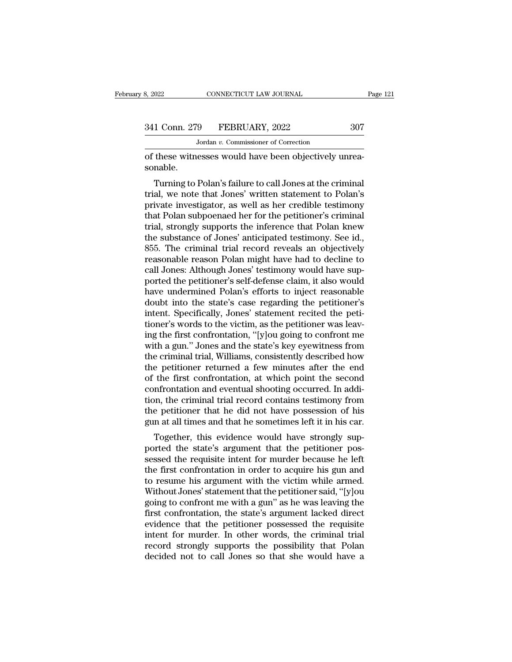Jordan *v.* Commissioner of Correction

of these witnesses would have been objectively unrea-<br>
Sandble.<br>
Sandble.<br>
Solution of these witnesses would have been objectively unrea-<br>
Sonable. sonable.

1 Conn. 279 FEBRUARY, 2022 307<br>Jordan v. Commissioner of Correction<br>these witnesses would have been objectively unrea-<br>nable.<br>Turning to Polan's failure to call Jones at the criminal<br>al, we note that Jones' written stateme 341 Conn. 279 FEBRUARY, 2022 307<br>
Jordan v. Commissioner of Correction<br>
of these witnesses would have been objectively unrea-<br>
sonable.<br>
Turning to Polan's failure to call Jones at the criminal<br>
trial, we note that Jones' Jordan v. Commissioner of Correction<br>
of these witnesses would have been objectively unrea-<br>
sonable.<br>
Turning to Polan's failure to call Jones at the criminal<br>
trial, we note that Jones' written statement to Polan's<br>
priv of these witnesses would have been objectively unreasonable.<br>Turning to Polan's failure to call Jones at the criminal<br>trial, we note that Jones' written statement to Polan's<br>private investigator, as well as her credible te or these witnesses would have been objectively unreasonable.<br>
Turning to Polan's failure to call Jones at the criminal<br>
trial, we note that Jones' written statement to Polan's<br>
private investigator, as well as her credible Turning to Polan's failure to call Jones at the criminal<br>trial, we note that Jones' written statement to Polan's<br>private investigator, as well as her credible testimony<br>that Polan subpoenaed her for the petitioner's crimin Turning to Polan's failure to call Jones at the criminal<br>trial, we note that Jones' written statement to Polan's<br>private investigator, as well as her credible testimony<br>that Polan subpoenaed her for the petitioner's crimin trial, we note that Jones' written statement to Polan's<br>private investigator, as well as her credible testimony<br>that Polan subpoenaed her for the petitioner's criminal<br>trial, strongly supports the inference that Polan knew private investigator, as well as her credible testimony<br>that Polan subpoenaed her for the petitioner's criminal<br>trial, strongly supports the inference that Polan knew<br>the substance of Jones' anticipated testimony. See id., that Polan subpoenaed her for the petitioner's criminal<br>trial, strongly supports the inference that Polan knew<br>the substance of Jones' anticipated testimony. See id.,<br>855. The criminal trial record reveals an objectively<br>r trial, strongly supports the inference that Polan knew<br>the substance of Jones' anticipated testimony. See id.,<br>855. The criminal trial record reveals an objectively<br>reasonable reason Polan might have had to decline to<br>call the substance of Jones' anticipated testimony. See id.,<br>855. The criminal trial record reveals an objectively<br>reasonable reason Polan might have had to decline to<br>call Jones: Although Jones' testimony would have sup-<br>porte 855. The criminal trial record reveals an objectively<br>reasonable reason Polan might have had to decline to<br>call Jones: Although Jones' testimony would have sup-<br>ported the petitioner's self-defense claim, it also would<br>hav reasonable reason Polan might have had to decline to<br>call Jones: Although Jones' testimony would have sup-<br>ported the petitioner's self-defense claim, it also would<br>have undermined Polan's efforts to inject reasonable<br>doub call Jones: Although Jones' testimony would have supported the petitioner's self-defense claim, it also would<br>have undermined Polan's efforts to inject reasonable<br>doubt into the state's case regarding the petitioner's<br>inte ported the petitioner's self-defense claim, it also would<br>have undermined Polan's efforts to inject reasonable<br>doubt into the state's case regarding the petitioner's<br>intent. Specifically, Jones' statement recited the petihave undermined Polan's efforts to inject reasonable<br>doubt into the state's case regarding the petitioner's<br>intent. Specifically, Jones' statement recited the peti-<br>tioner's words to the victim, as the petitioner was leavdoubt into the state's case regarding the petitioner's<br>intent. Specifically, Jones' statement recited the peti-<br>tioner's words to the victim, as the petitioner was leav-<br>ing the first confrontation, "[y]ou going to confron intent. Specifically, Jones' statement recited the petitioner's words to the victim, as the petitioner was leaving the first confrontation, "[y]ou going to confront me with a gun." Jones and the state's key eyewitness from tioner's words to the victim, as the petitioner was leaving the first confrontation, "[y]ou going to confront me<br>with a gun." Jones and the state's key eyewitness from<br>the criminal trial, Williams, consistently described h ing the first confrontation, "[y]ou going to confront me<br>with a gun." Jones and the state's key eyewitness from<br>the criminal trial, Williams, consistently described how<br>the petitioner returned a few minutes after the end<br>o with a gun." Jones and the state's key eyewitness from<br>the criminal trial, Williams, consistently described how<br>the petitioner returned a few minutes after the end<br>of the first confrontation, at which point the second<br>conf the criminal trial, Williams, consistently described how<br>the petitioner returned a few minutes after the end<br>of the first confrontation, at which point the second<br>confrontation and eventual shooting occurred. In addi-<br>tion Functional returned a few finallies after the end<br>the first confrontation, at which point the second<br>infrontation and eventual shooting occurred. In addi-<br>on, the criminal trial record contains testimony from<br>e petitioner of the first conformation, at which point the second<br>confrontation and eventual shooting occurred. In addi-<br>tion, the criminal trial record contains testimony from<br>the petitioner that he did not have possession of his<br>gun

confrontation and eventual shooting occurred. In addition, the criminal trial record contains testimony from the petitioner that he did not have possession of his gun at all times and that he sometimes left it in his car.<br> tion, the criminal trial record columns testimoly from<br>the petitioner that he did not have possession of his<br>gun at all times and that he sometimes left it in his car.<br>Together, this evidence would have strongly sup-<br>porte the petholier that he during that possession of his<br>gun at all times and that he sometimes left it in his car.<br>Together, this evidence would have strongly sup-<br>ported the state's argument that the petitioner pos-<br>sessed th gun at an unles and that he solietimes left it in his car.<br>Together, this evidence would have strongly sup-<br>ported the state's argument that the petitioner pos-<br>sessed the requisite intent for murder because he left<br>the fi Together, this evidence would have strongly sup-<br>ported the state's argument that the petitioner pos-<br>sessed the requisite intent for murder because he left<br>the first confrontation in order to acquire his gun and<br>to resume ported the state's argument that the petitioner possessed the requisite intent for murder because he left<br>the first confrontation in order to acquire his gun and<br>to resume his argument with the victim while armed.<br>Without sessed the requisite intent for murder because he left<br>the first confrontation in order to acquire his gun and<br>to resume his argument with the victim while armed.<br>Without Jones' statement that the petitioner said, "[y]ou<br>g the first confrontation in order to acquire his gun and<br>to resume his argument with the victim while armed.<br>Without Jones' statement that the petitioner said, "[y]ou<br>going to confront me with a gun" as he was leaving the<br>f to resume his argument with the victim while armed.<br>Without Jones' statement that the petitioner said, "[y]ou<br>going to confront me with a gun" as he was leaving the<br>first confrontation, the state's argument lacked direct<br>e Without Jones' statement that the petitioner said, "[y]ou going to confront me with a gun" as he was leaving the first confrontation, the state's argument lacked direct evidence that the petitioner possessed the requisite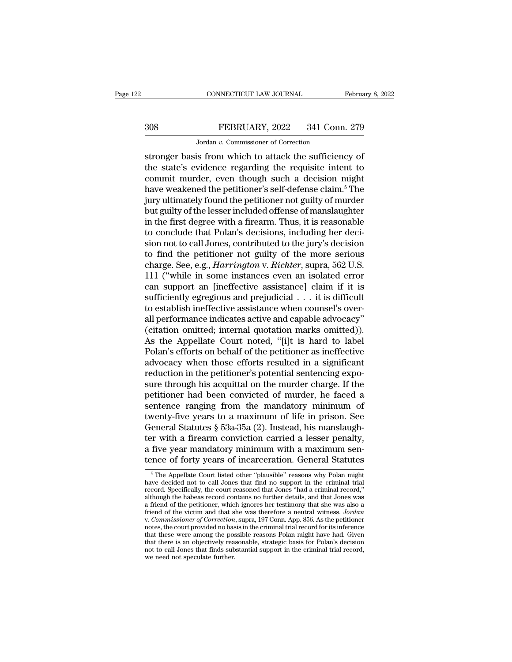# CONNECTICUT LAW JOURNAL February 8, 2022<br>308 FEBRUARY, 2022 341 Conn. 279<br>Jordan v. Commissioner of Correction CONNECTICUT LAW JOURNAL<br>FEBRUARY, 2022 341 Conn<br>Jordan *v.* Commissioner of Correction<br>is from which to attack the sufficien

CONNECTICUT LAW JOURNAL February 8, 202<br>
SOB FEBRUARY, 2022 341 Conn. 279<br>
Jordan v. Commissioner of Correction<br>
Stronger basis from which to attack the sufficiency of<br>
the state's evidence regarding the requisite intent t 308 FEBRUARY, 2022 341 Conn. 279<br>Jordan v. Commissioner of Correction<br>stronger basis from which to attack the sufficiency of<br>the state's evidence regarding the requisite intent to<br>commit murder, even though such a decisio 308 FEBRUARY, 2022 341 Conn. 279<br>
Jordan v. Commissioner of Correction<br>
stronger basis from which to attack the sufficiency of<br>
the state's evidence regarding the requisite intent to<br>
commit murder, even though such a dec  $\frac{\text{FEBRUARY, 2022}}{\text{Jordan } v. \text{ Commissioner of Correction}}$ <br>
stronger basis from which to attack the sufficiency of<br>
the state's evidence regarding the requisite intent to<br>
commit murder, even though such a decision might<br>
have weakened the petiti Jordan v. Commissioner of Correction<br>stronger basis from which to attack the sufficiency of<br>the state's evidence regarding the requisite intent to<br>commit murder, even though such a decision might<br>have weakened the petitio but guilty of the sufficiency of<br>stronger basis from which to attack the sufficiency of<br>the state's evidence regarding the requisite intent to<br>commit murder, even though such a decision might<br>have weakened the petitioner' stronger basis from which to attack the sufficiency of<br>the state's evidence regarding the requisite intent to<br>commit murder, even though such a decision might<br>have weakened the petitioner's self-defense claim.<sup>5</sup> The<br>jury the state's evidence regarding the requisite intent to commit murder, even though such a decision might have weakened the petitioner's self-defense claim.<sup>5</sup> The jury ultimately found the petitioner not guilty of murder bu commit murder, even though such a decision might<br>have weakened the petitioner's self-defense claim.<sup>5</sup> The<br>jury ultimately found the petitioner not guilty of murder<br>but guilty of the lesser included offense of manslaughter have weakened the petitioner's self-defense claim.<sup>5</sup> The<br>jury ultimately found the petitioner not guilty of murder<br>but guilty of the lesser included offense of manslaughter<br>in the first degree with a firearm. Thus, it is jury ultimately found the petitioner not guilty of murder<br>but guilty of the lesser included offense of manslaughter<br>in the first degree with a firearm. Thus, it is reasonable<br>to conclude that Polan's decisions, including h but guilty of the lesser included offense of manslaughter<br>in the first degree with a firearm. Thus, it is reasonable<br>to conclude that Polan's decisions, including her deci-<br>sion not to call Jones, contributed to the jury's in the first degree with a firearm. Thus, it is reasonable<br>to conclude that Polan's decisions, including her deci-<br>sion not to call Jones, contributed to the jury's decision<br>to find the petitioner not guilty of the more s to conclude that Polan's decisions, including her decision not to call Jones, contributed to the jury's decision<br>to find the petitioner not guilty of the more serious<br>charge. See, e.g., *Harrington* v. *Richter*, supra, 56 sion not to call Jones, contributed to the jury's decision<br>to find the petitioner not guilty of the more serious<br>charge. See, e.g., *Harrington* v. *Richter*, supra, 562 U.S.<br>111 ("while in some instances even an isolated to find the petitioner not guilty of the more serious<br>charge. See, e.g., *Harrington* v. *Richter*, supra, 562 U.S.<br>111 ("while in some instances even an isolated error<br>can support an [ineffective assistance] claim if it charge. See, e.g., *Harrington* v. *Richter*, supra, 562 U.S.<br>111 ("while in some instances even an isolated error<br>can support an [ineffective assistance] claim if it is<br>sufficiently egregious and prejudicial . . . it is d 111 ("while in some instances even an isolated error<br>can support an [ineffective assistance] claim if it is<br>sufficiently egregious and prejudicial  $\ldots$  it is difficult<br>to establish ineffective assistance when counsel's o can support an [ineffective assistance] claim if it is<br>sufficiently egregious and prejudicial  $\ldots$  it is difficult<br>to establish ineffective assistance when counsel's over-<br>all performance indicates active and capable adv sufficiently egregious and prejudicial . . . it is difficult<br>to establish ineffective assistance when counsel's over-<br>all performance indicates active and capable advocacy"<br>(citation omitted; internal quotation marks omitt to establish ineffective assistance when counsel's over-<br>all performance indicates active and capable advocacy"<br>(citation omitted; internal quotation marks omitted)).<br>As the Appellate Court noted, "[i]t is hard to label<br>Po all performance indicates active and capable advocacy"<br>(citation omitted; internal quotation marks omitted)).<br>As the Appellate Court noted, "[i]t is hard to label<br>Polan's efforts on behalf of the petitioner as ineffective<br> (citation omitted; internal quotation marks omitted)).<br>As the Appellate Court noted, "[i]t is hard to label<br>Polan's efforts on behalf of the petitioner as ineffective<br>advocacy when those efforts resulted in a significant<br>r As the Appellate Court noted, "[i]t is hard to label<br>Polan's efforts on behalf of the petitioner as ineffective<br>advocacy when those efforts resulted in a significant<br>reduction in the petitioner's potential sentencing expo Polan's efforts on behalf of the petitioner as ineffective<br>advocacy when those efforts resulted in a significant<br>reduction in the petitioner's potential sentencing expo-<br>sure through his acquittal on the murder charge. If advocacy when those efforts resulted in a significant<br>reduction in the petitioner's potential sentencing expo-<br>sure through his acquittal on the murder charge. If the<br>petitioner had been convicted of murder, he faced a<br>sen reduction in the petitioner's potential sentencing exposure through his acquittal on the murder charge. If the petitioner had been convicted of murder, he faced a sentence ranging from the mandatory minimum of twenty-five sure through his acquittal on the murder charge. If the petitioner had been convicted of murder, he faced a sentence ranging from the mandatory minimum of twenty-five years to a maximum of life in prison. See General Statu petitioner had been convicted of murder, he faced a<br>sentence ranging from the mandatory minimum of<br>twenty-five years to a maximum of life in prison. See<br>General Statutes § 53a-35a (2). Instead, his manslaugh-<br>ter with a fi eneral Statutes § 53a-35a (2). Instead, his manslaugh-<br>r with a firearm conviction carried a lesser penalty,<br>five year mandatory minimum with a maximum sen-<br>nce of forty years of incarceration. General Statutes<br><sup>5</sup>The Appe ter with a firearm conviction carried a lesser penalty,<br>a five year mandatory minimum with a maximum sen-<br>tence of forty years of incarceration. General Statutes<br><sup>5</sup>The Appellate Court listed other "plausible" reasons why

rect with a meanin conviction carried a resser penatty,<br>a five year mandatory minimum with a maximum sen-<br>tence of forty years of incarceration. General Statutes<br> $\frac{1}{\sqrt{2}}$  The Appellate Court listed other "plausible" re a five year mandatory minimum with a maximum sentence of forty years of incarceration. General Statutes<br>  $\frac{1}{\sqrt{2}}$   $\frac{1}{\sqrt{2}}$   $\frac{1}{\sqrt{2}}$   $\frac{1}{\sqrt{2}}$   $\frac{1}{\sqrt{2}}$   $\frac{1}{\sqrt{2}}$   $\frac{1}{\sqrt{2}}$   $\frac{1}{\sqrt{2}}$   $\frac{1}{\sqrt{2}}$ tence of forty years of incarceration. General Statutes<br>
<sup>5</sup> The Appellate Court listed other "plausible" reasons why Polan might<br>
have decided not to call Jones that find no support in the criminal trial<br>
record. Specifi <sup>6</sup> The Appellate Court listed other "plausible" reasons why Polan might have decided not to call Jones that find no support in the criminal trial record. Specifically, the court reasoned that Jones "had a criminal record, <sup>5</sup> The Appellate Court listed other "plausible" reasons why Polan might have decided not to call Jones that find no support in the criminal trial record. Specifically, the court reasoned that Jones "had a criminal record, notes, the court provided no basis in the criminal trial record. Specifically, the court reasoned that Jones "had a criminal record," although the habeas record contains no further details, and that Jones was a friend of t the correct that these were among the court reasoned that Jones "had a criminal record,"<br>although the habeas record contains no further details, and that Jones was<br>a friend of the petitioner, which ignores her testimony th atthough the habeas record contains no further details, and that Jones was<br>a friend of the petitioner, which ignores her testimony that she was also a<br>friend of the victim and that she was therefore a neutral witness. Jord a friend of the petitioner, which ignores her testimony that she was also a friend of the petitioner, which ignores her testimony that she was also a friend of the victim and that she was therefore a neutral witness. *Jord* friend of the victim and that she was therefore a neutral witness. Jordan v. Commissioner of Correction, supra, 197 Conn. App. 856. As the petitioner notes, the court provided no basis in the criminal trial record for its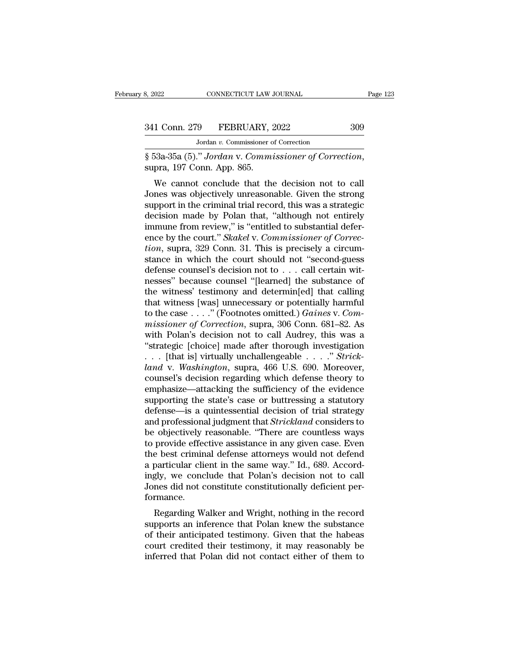MONE CONNECTICUT LAW JOURNAL<br>
19 FEBRUARY, 2022<br>
Jordan v. Commissioner of Correction<br>
19 Jordan v. Commissioner of Correction

§ 53a-35a (5).'' *Jordan* v. *Commissioner of Correction*, supra, 197 Conn. App. 865.

1 Conn. 279 FEBRUARY, 2022 309<br>
Jordan v. Commissioner of Correction<br>
53a-35a (5)." Jordan v. Commissioner of Correction,<br>
pra, 197 Conn. App. 865.<br>
We cannot conclude that the decision not to call<br>
nes was objectively unr 341 Conn. 279 FEBRUARY, 2022 309<br>Jordan v. Commissioner of Correction<br> $\S$  53a-35a (5)." Jordan v. Commissioner of Correction,<br>supra, 197 Conn. App. 865.<br>We cannot conclude that the decision not to call<br>Jones was objective Jordan v. Commissioner of Correction<br>
§ 53a-35a (5)." Jordan v. Commissioner of Correction,<br>
supra, 197 Conn. App. 865.<br>
We cannot conclude that the decision not to call<br>
Jones was objectively unreasonable. Given the stro  $\frac{1}{8}$  53a-35a (5)." Jordan v. Commissioner of Correction,<br>supra, 197 Conn. App. 865.<br>We cannot conclude that the decision not to call<br>Jones was objectively unreasonable. Given the strong<br>support in the criminal trial s 55a-55a (5). Jordan v. Commissioner of Correction,<br>supra, 197 Conn. App. 865.<br>We cannot conclude that the decision not to call<br>Jones was objectively unreasonable. Given the strong<br>support in the criminal trial record, t We cannot conclude that the decision not to call<br>Jones was objectively unreasonable. Given the strong<br>support in the criminal trial record, this was a strategic<br>decision made by Polan that, "although not entirely<br>immune fr We cannot conclude that the decision not to call<br>Jones was objectively unreasonable. Given the strong<br>support in the criminal trial record, this was a strategic<br>decision made by Polan that, "although not entirely<br>immune fr Jones was objectively unreasonable. Given the strong<br>support in the criminal trial record, this was a strategic<br>decision made by Polan that, "although not entirely<br>immune from review," is "entitled to substantial defer-<br>en support in the criminal trial record, this was a strategic<br>decision made by Polan that, "although not entirely<br>immune from review," is "entitled to substantial defer-<br>ence by the court." *Skakel* v. *Commissioner of Correc* decision made by Polan that, "although not entirely<br>immune from review," is "entitled to substantial defer-<br>ence by the court." *Skakel* v. *Commissioner of Correc-<br>tion*, supra, 329 Conn. 31. This is precisely a circum-<br>s immune from review," is "entitled to substantial defer-<br>ence by the court." *Skakel* v. *Commissioner of Correction*, supra, 329 Conn. 31. This is precisely a circum-<br>stance in which the court should not "second-guess<br>def ence by the court." *Skakel* v. *Commissioner of Correction*, supra, 329 Conn. 31. This is precisely a circumstance in which the court should not "second-guess defense counsel's decision not to . . . call certain witnesse tion, supra, 329 Conn. 31. This is precisely a circum-<br>stance in which the court should not "second-guess<br>defense counsel's decision not to . . . call certain wit-<br>nesses" because counsel "[learned] the substance of<br>the w stance in which the court should not "second-guess<br>defense counsel's decision not to . . . call certain wit-<br>nesses" because counsel "[learned] the substance of<br>the witness' testimony and determin[ed] that calling<br>that wit defense counsel's decision not to . . . call certain wit-<br>nesses" because counsel "[learned] the substance of<br>the witness' testimony and determin[ed] that calling<br>that witness [was] unnecessary or potentially harmful<br>to t nesses" because counsel "[learned] the substance of<br>the witness' testimony and determin[ed] that calling<br>that witness [was] unnecessary or potentially harmful<br>to the case . . . ." (Footnotes omitted.) *Gaines v. Com-<br>missi* the witness' testimony and determin[ed] that calling<br>that witness [was] unnecessary or potentially harmful<br>to the case . . . ." (Footnotes omitted.) *Gaines v. Com-*<br>missioner of Correction, supra, 306 Conn. 681–82. As<br>wit *landon* witness [was] unnecessary or potentially harmful<br>to the case ...." (Footnotes omitted.) *Gaines* v. *Com-*<br>*missioner of Correction*, supra, 306 Conn. 681–82. As<br>with Polan's decision not to call Audrey, this was to the case  $\dots$ ." (Footnotes omitted.) *Gaines v. Commissioner of Correction*, supra, 306 Conn. 681–82. As<br>with Polan's decision not to call Audrey, this was a<br>"strategic [choice] made after thorough investigation<br> $\dots$  [ missioner of Correction, supra, 306 Conn. 681–82. As<br>with Polan's decision not to call Audrey, this was a<br>"strategic [choice] made after thorough investigation<br>... [that is] virtually unchallengeable ...." Strick-<br>land v. with Polan's decision not to call Audrey, this was a<br>
"strategic [choice] made after thorough investigation<br>  $\dots$  [that is] virtually unchallengeable  $\dots$   $\therefore$  *Strick-*<br>
land v. Washington, supra, 466 U.S. 690. Moreover "strategic [choice] made after thorough investigation<br>  $\dots$  [that is] virtually unchallengeable  $\dots$ ." Strick-<br>  $land$  v. Washington, supra, 466 U.S. 690. Moreover,<br>
counsel's decision regarding which defense theory to<br>
emph

... [that is] virtually unchallengeable ....." *Strick-*<br>land v. Washington, supra, 466 U.S. 690. Moreover,<br>counsel's decision regarding which defense theory to<br>emphasize—attacking the sufficiency of the evidence<br>supportin land v. Washington, supra, 466 U.S. 690. Moreover,<br>counsel's decision regarding which defense theory to<br>emphasize—attacking the sufficiency of the evidence<br>supporting the state's case or buttressing a statutory<br>defense—is counsel's decision regarding which defense theory to<br>emphasize—attacking the sufficiency of the evidence<br>supporting the state's case or buttressing a statutory<br>defense—is a quintessential decision of trial strategy<br>and pro emphasize—attacking the sufficiency of the evidence<br>supporting the state's case or buttressing a statutory<br>defense—is a quintessential decision of trial strategy<br>and professional judgment that *Strickland* considers to<br>be supporting the state's case or buttressing a statutory<br>defense—is a quintessential decision of trial strategy<br>and professional judgment that *Strickland* considers to<br>be objectively reasonable. "There are countless ways<br>to defense—is a quintessential decision of trial strategy<br>and professional judgment that *Strickland* considers to<br>be objectively reasonable. "There are countless ways<br>to provide effective assistance in any given case. Even<br>t and professional judgment that *Strickland* considers to<br>be objectively reasonable. "There are countless ways<br>to provide effective assistance in any given case. Even<br>the best criminal defense attorneys would not defend<br>a p formance. provide enective assistance in any given case. Even<br>e best criminal defense attorneys would not defend<br>particular client in the same way." Id., 689. Accord-<br>gly, we conclude that Polan's decision not to call<br>nes did not co a particular client in the same way." Id., 689. Accordingly, we conclude that Polan's decision not to call<br>Jones did not constitute constitutionally deficient performance.<br>Regarding Walker and Wright, nothing in the record

a particular chent in the same way. Tu., 669. Accordingly, we conclude that Polan's decision not to call<br>Jones did not constitute constitutionally deficient per-<br>formance.<br>Regarding Walker and Wright, nothing in the record diate that Tolars decision not to can<br>Jones did not constitute constitutionally deficient per-<br>formance.<br>Regarding Walker and Wright, nothing in the record<br>supports an inference that Polan knew the substance<br>of their antic Formance.<br>
Regarding Walker and Wright, nothing in the record<br>
supports an inference that Polan knew the substance<br>
of their anticipated testimony. Given that the habeas<br>
court credited their testimony, it may reasonably b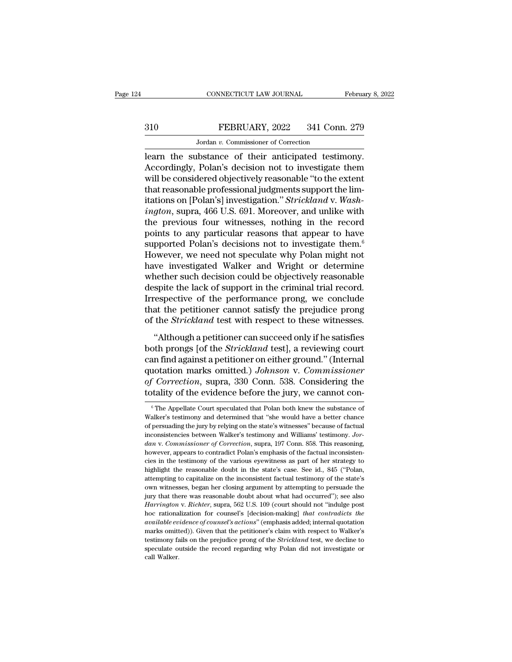# CONNECTICUT LAW JOURNAL February 8, 2022<br>310 FEBRUARY, 2022 341 Conn. 279<br>Jordan v. Commissioner of Correction CONNECTICUT LAW JOURNAL<br>FEBRUARY, 2022 341 Conn<br>Jordan *v.* Commissioner of Correction<br>Ibstance of their anticinated testin

CONNECTICUT LAW JOURNAL February 8, 2<br>
Side of their anticipated testimony.<br>
Tordan v. Commissioner of Correction<br>
The substance of their anticipated testimony.<br>
Accordingly, Polan's decision not to investigate them<br>
will FEBRUARY, 2022 341 Conn. 279<br>
Jordan v. Commissioner of Correction<br>
learn the substance of their anticipated testimony.<br>
Accordingly, Polan's decision not to investigate them<br>
will be considered objectively reasonable "to 310 FEBRUARY, 2022 341 Conn. 279<br>
Jordan v. Commissioner of Correction<br>
Learn the substance of their anticipated testimony.<br>
Accordingly, Polan's decision not to investigate them<br>
will be considered objectively reasonable FEBRUARY, 2022 341 Conn. 279<br>
Jordan v. Commissioner of Correction<br>
learn the substance of their anticipated testimony.<br>
Accordingly, Polan's decision not to investigate them<br>
will be considered objectively reasonable "to Jordan *v.* Commissioner of Correction<br>
learn the substance of their anticipated testimony.<br>
Accordingly, Polan's decision not to investigate them<br>
will be considered objectively reasonable "to the extent<br>
that reasonable *Iordan v.* Commissioner of Correction<br>
Iearn the substance of their anticipated testimony.<br>
Accordingly, Polan's decision not to investigate them<br>
will be considered objectively reasonable "to the extent<br>
that reasonable learn the substance of their anticipated testimony.<br>Accordingly, Polan's decision not to investigate them<br>will be considered objectively reasonable "to the extent<br>that reasonable professional judgments support the lim-<br>it Accordingly, Polan's decision not to investigate them<br>will be considered objectively reasonable "to the extent<br>that reasonable professional judgments support the lim-<br>itations on [Polan's] investigation." *Strickland* v. will be considered objectively reasonable "to the extent<br>that reasonable professional judgments support the limitations on [Polan's] investigation." *Strickland* v. *Wash-<br>ington*, supra, 466 U.S. 691. Moreover, and unlike that reasonable professional judgments support the limitations on [Polan's] investigation." *Strickland* v. *Washington*, supra, 466 U.S. 691. Moreover, and unlike with the previous four witnesses, nothing in the record po itations on [Polan's] investigation." *Strickland* v. *Wash-<br>ington*, supra, 466 U.S. 691. Moreover, and unlike with<br>the previous four witnesses, nothing in the record<br>points to any particular reasons that appear to have<br>s ington, supra, 466 U.S. 691. Moreover, and unlike with<br>the previous four witnesses, nothing in the record<br>points to any particular reasons that appear to have<br>supported Polan's decisions not to investigate them.<sup>6</sup><br>However the previous four witnesses, nothing in the record<br>points to any particular reasons that appear to have<br>supported Polan's decisions not to investigate them.<sup>6</sup><br>However, we need not speculate why Polan might not<br>have invest points to any particular reasons that appear to have<br>supported Polan's decisions not to investigate them.<sup>6</sup><br>However, we need not speculate why Polan might not<br>have investigated Walker and Wright or determine<br>whether such supported Polan's decisions not to investigate them.<sup>6</sup><br>However, we need not speculate why Polan might not<br>have investigated Walker and Wright or determine<br>whether such decision could be objectively reasonable<br>despite the However, we need not speculate why Polan might not<br>have investigated Walker and Wright or determine<br>whether such decision could be objectively reasonable<br>despite the lack of support in the criminal trial record.<br>Irrespecti The mether such decision could be objectively reasonable<br>
spite the lack of support in the criminal trial record.<br>
respective of the performance prong, we conclude<br>
at the petitioner cannot satisfy the prejudice prong<br>
the both properties and the objectively reasonable<br>despite the lack of support in the criminal trial record.<br>Irrespective of the performance prong, we conclude<br>that the petitioner cannot satisfy the prejudice prong<br>of the *Str* 

Irrespective of the performance prong, we conclude<br>that the petitioner cannot satisfy the prejudice prong<br>of the *Strickland* test with respect to these witnesses.<br>"Although a petitioner can succeed only if he satisfies<br>bo marks of the performance profig, we concrease<br>that the petitioner cannot satisfy the prejudice prong<br>of the *Strickland* test with respect to these witnesses.<br>"Although a petitioner can succeed only if he satisfies<br>both pr of the *Strickland* test with respect to these witnesses.<br>
"Although a petitioner can succeed only if he satisfies<br>
both prongs [of the *Strickland* test], a reviewing court<br>
can find against a petitioner on either ground. "Although a petitioner can succeed only if he satisfies<br>both prongs [of the *Strickland* test], a reviewing court<br>can find against a petitioner on either ground." (Internal<br>quotation marks omitted.) Johnson v. Commissione and find a symbol contributed.) Johnson v. Commissioner<br>f Correction, supra, 330 Conn. 538. Considering the<br>tality of the evidence before the jury, we cannot con-<br> $\delta$ <sup>6</sup>The Appellate Court speculated that Polan both knew quotation marks omitted.) Johnson v. Commissioner<br>of Correction, supra, 330 Conn. 538. Considering the<br>totality of the evidence before the jury, we cannot con-<br> $\frac{1}{10}$  The Appellate Court speculated that Polan both kne

of Correction, supra, 330 Conn. 538. Considering the totality of the evidence before the jury, we cannot con-<br>  $*$ The Appellate Court speculated that Polan both knew the substance of Walker's testimony and determined that totality of the evidence before the jury, we cannot con-<br>
<sup>6</sup> The Appellate Court speculated that Polan both knew the substance of Walker's testimony and determined that "she would have a better chance of persuading the ju <sup>6</sup> The Appellate Court speculated that Polan both knew the substance of Walker's testimony and determined that "she would have a better chance of persuading the jury by relying on the state's witnesses" because of factual <sup>6</sup> The Appellate Court speculated that Polan both knew the substance of Walker's testimony and determined that "she would have a better chance of persuading the jury by relying on the state's witnesses" because of factua Walker's testimony and determined that "she would have a better chance of persuading the jury by relying on the state's witnesses" because of factual inconsistencies between Walker's testimony and Williams' testimony. Jord of persuading the jury by relying on the state's witnesses" because of factual inconsistencies between Walker's testimony and Williams' testimony. Jordan v. Commissioner of Correction, supra, 197 Conn. 858. This reasoning, are consistencies between Walker's testimony and Williams' testimony. Jordan v. Commissioner of Correction, supra, 197 Conn. 858. This reasoning, however, appears to contradict Polan's emphasis of the factual inconsistenci dan v. Commissioner of Correction, supra, 197 Conn. 858. This reasoning, however, appears to contradict Polan's emphasis of the factual inconsistencies in the testimony of the various eyewitness as part of her strategy to however, appears to contradict Polan's emphasis of the factual inconsistencies in the testimony of the various eyewitness as part of her strategy to highlight the reasonable doubt in the state's case. See id., 845 ("Polan, rices in the testimony of the various eyewitness as part of her strategy to highlight the reasonable doubt in the state's case. See id., 845 ("Polan, attempting to capitalize on the inconsistent factual testimony of the st highlight the reasonable doubt in the state's case. See id., 845 ("Polan, attempting to capitalize on the inconsistent factual testimony of the state's own witnesses, began her closing argument by attempting to persuade th *attempting to capitalize on the inconsistent factual testimony of the state's* own witnesses, began her closing argument by attempting to persuade the jury that there was reasonable doubt about what had occurred''); see a attempting to capitalize on the inconsistent factual testimony of the state's<br>own witnesses, began her closing argument by attempting to persuade the<br>jury that there was reasonable doubt about what had occurred''); see al by that there was reasonable doubt about what had occurred"); see also<br>*Harrington* v. *Richter*, supra, 562 U.S. 109 (court should not "indulge post<br>hoc rationalization for counsel's [decision-making] *that contradicts th* Harrington v. Richter, supra, 562 U.S. 109 (court should not "indulge post hoc rationalization for counsel's [decision-making] *that contradicts the available evidence of counsel's actions*" (emphasis added; internal quota hoc rationalization for counsel's [decision-making] that contradicts the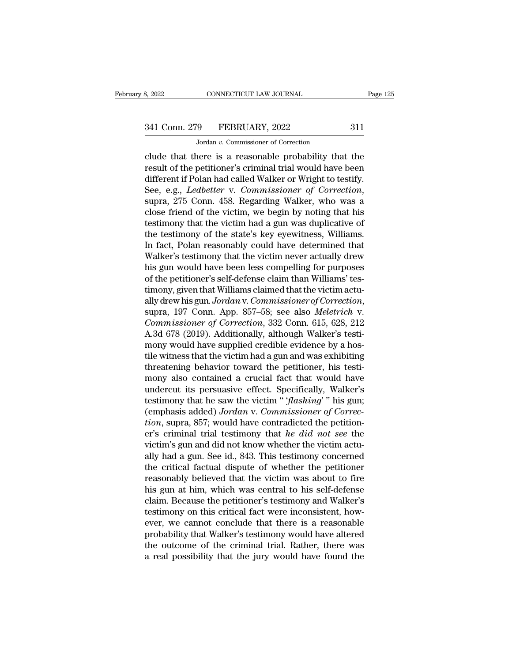# 341 Conn. 279 FEBRUARY, 2022 311<br>Jordan v. Commissioner of Correction

MONE CONNECTICUT LAW JOURNAL<br>19 FEBRUARY, 2022<br>Jordan *v.* Commissioner of Correction<br>19 FEBRUARY, 2022 Example 125<br>
S. 2022 CONNECTICUT LAW JOURNAL Page 125<br>
341 Conn. 279 FEBRUARY, 2022 311<br>
311<br>
311<br>
310<br>
310<br>
310<br>
2010 Clude that there is a reasonable probability that the<br>
result of the petitioner's criminal trial would 341 Conn. 279 FEBRUARY, 2022 311<br>Jordan v. Commissioner of Correction<br>clude that there is a reasonable probability that the<br>result of the petitioner's criminal trial would have been<br>different if Polan had called Walker or 341 Conn. 279 FEBRUARY, 2022 311<br>
Jordan v. Commissioner of Correction<br>
clude that there is a reasonable probability that the<br>
result of the petitioner's criminal trial would have been<br>
different if Polan had called Walke See, 279 FEBRUARY, 2022 311<br>
Jordan *v*. Commissioner of Correction<br>
clude that there is a reasonable probability that the<br>
result of the petitioner's criminal trial would have been<br>
different if Polan had called Walker or solution of conducts for concellent<br>clude that there is a reasonable probability that the<br>result of the petitioner's criminal trial would have been<br>different if Polan had called Walker or Wright to testify.<br>See, e.g., *Le* clude that there is a reasonable probability that the<br>result of the petitioner's criminal trial would have been<br>different if Polan had called Walker or Wright to testify.<br>See, e.g., *Ledbetter* v. *Commissioner of Correcti* result of the petitioner's criminal trial would have been<br>different if Polan had called Walker or Wright to testify.<br>See, e.g., *Ledbetter v. Commissioner of Correction*,<br>supra, 275 Conn. 458. Regarding Walker, who was a<br>c different if Polan had called Walker or Wright to testify.<br>See, e.g., *Ledbetter* v. *Commissioner of Correction*,<br>supra, 275 Conn. 458. Regarding Walker, who was a<br>close friend of the victim, we begin by noting that his<br>t See, e.g., *Ledbetter* v. *Commissioner of Correction*,<br>supra, 275 Conn. 458. Regarding Walker, who was a<br>close friend of the victim, we begin by noting that his<br>testimony that the victim had a gun was duplicative of<br>the t supra, 275 Conn. 458. Regarding Walker, who was a<br>close friend of the victim, we begin by noting that his<br>testimony that the victim had a gun was duplicative of<br>the testimony of the state's key eyewitness, Williams.<br>In fac close friend of the victim, we begin by noting that his<br>testimony that the victim had a gun was duplicative of<br>the testimony of the state's key eyewitness, Williams.<br>In fact, Polan reasonably could have determined that<br>Wal testimony that the victim had a gun was duplicative of<br>the testimony of the state's key eyewitness, Williams.<br>In fact, Polan reasonably could have determined that<br>Walker's testimony that the victim never actually drew<br>his the testimony of the state's key eyewitness, Williams.<br>In fact, Polan reasonably could have determined that<br>Walker's testimony that the victim never actually drew<br>his gun would have been less compelling for purposes<br>of the Walker's testimony that the victim never actually drew<br>his gun would have been less compelling for purposes<br>of the petitioner's self-defense claim than Williams' tes-<br>timony, given that Williams claimed that the victim act his gun would have been less compelling for purposes<br>of the petitioner's self-defense claim than Williams' tes-<br>timony, given that Williams claimed that the victim actu-<br>ally drew his gun. Jordan v. Commissioner of Correct of the petitioner's self-defense claim than Williams' tes-<br>timony, given that Williams claimed that the victim actu-<br>ally drew his gun. Jordan v. Commissioner of Correction,<br>supra, 197 Conn. App. 857–58; see also Meletrich timony, given that Williams claimed that the victim actually drew his gun. Jordan v. Commissioner of Correction, supra, 197 Conn. App. 857–58; see also *Meletrich* v. Commissioner of Correction, 332 Conn. 615, 628, 212 A.3 ally drew his gun. Jordan v. Commissioner of Correction,<br>supra, 197 Conn. App. 857–58; see also Meletrich v.<br>Commissioner of Correction, 332 Conn. 615, 628, 212<br>A.3d 678 (2019). Additionally, although Walker's testi-<br>mony supra, 197 Conn. App. 857–58; see also *Meletrich* v.<br>Commissioner of Correction, 332 Conn. 615, 628, 212<br>A.3d 678 (2019). Additionally, although Walker's testi-<br>mony would have supplied credible evidence by a hos-<br>tile wi Commissioner of Correction, 332 Conn. 615, 628, 212<br>A.3d 678 (2019). Additionally, although Walker's testi-<br>mony would have supplied credible evidence by a hos-<br>tile witness that the victim had a gun and was exhibiting<br>th A.3d 678 (2019). Additionally, although Walker's testi-<br>mony would have supplied credible evidence by a hos-<br>tile witness that the victim had a gun and was exhibiting<br>threatening behavior toward the petitioner, his testi-<br> mony would have supplied credible evidence by a hostile witness that the victim had a gun and was exhibiting threatening behavior toward the petitioner, his testimony also contained a crucial fact that would have undercut tile witness that the victim had a gun and was exhibiting<br>threatening behavior toward the petitioner, his testi-<br>mony also contained a crucial fact that would have<br>undercut its persuasive effect. Specifically, Walker's<br>tes threatening behavior toward the petitioner, his testi-<br>mony also contained a crucial fact that would have<br>undercut its persuasive effect. Specifically, Walker's<br>testimony that he saw the victim "*flashing*" his gun;<br>(empha mony also contained a crucial fact that would have<br>undercut its persuasive effect. Specifically, Walker's<br>testimony that he saw the victim "*'flashing*' " his gun;<br>(emphasis added) Jordan v. Commissioner of Correc-<br>tion, s undercut its persuasive effect. Specifically, Walker's<br>testimony that he saw the victim "*flashing*'" his gun;<br>(emphasis added) Jordan v. Commissioner of Correc-<br>tion, supra, 857; would have contradicted the petition-<br>er's testimony that he saw the victim "*flashing*" his gun;<br>(emphasis added) *Jordan v. Commissioner of Correction*, supra, 857; would have contradicted the petition-<br>er's criminal trial testimony that *he did not see* the<br>vict (emphasis added) Jordan v. Commissioner of Correction, supra, 857; would have contradicted the petition-<br>er's criminal trial testimony that he did not see the<br>victim's gun and did not know whether the victim actu-<br>ally ha tion, supra, 857; would have contradicted the petition-<br>er's criminal trial testimony that *he did not see* the<br>victim's gun and did not know whether the victim actu-<br>ally had a gun. See id., 843. This testimony concerned<br> er's criminal trial testimony that *he did not see* the victim's gun and did not know whether the victim actually had a gun. See id., 843. This testimony concerned the critical factual dispute of whether the petitioner rea victim's gun and did not know whether the victim actually had a gun. See id., 843. This testimony concerned<br>the critical factual dispute of whether the petitioner<br>reasonably believed that the victim was about to fire<br>his g ally had a gun. See id., 843. This testimony concerned<br>the critical factual dispute of whether the petitioner<br>reasonably believed that the victim was about to fire<br>his gun at him, which was central to his self-defense<br>clai the critical factual dispute of whether the petitioner<br>reasonably believed that the victim was about to fire<br>his gun at him, which was central to his self-defense<br>claim. Because the petitioner's testimony and Walker's<br>test reasonably believed that the victim was about to fire<br>his gun at him, which was central to his self-defense<br>claim. Because the petitioner's testimony and Walker's<br>testimony on this critical fact were inconsistent, how-<br>eve his gun at him, which was central to his self-defense<br>claim. Because the petitioner's testimony and Walker's<br>testimony on this critical fact were inconsistent, how-<br>ever, we cannot conclude that there is a reasonable<br>proba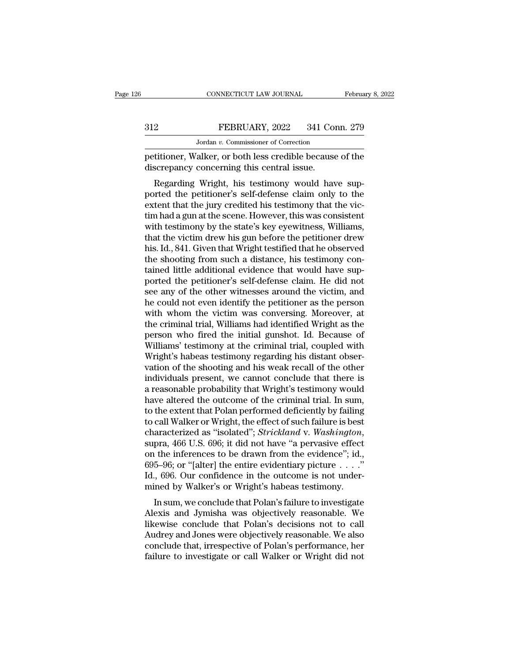# CONNECTICUT LAW JOURNAL February 8, 2022<br>312 FEBRUARY, 2022 341 Conn. 279<br>Jordan v. Commissioner of Correction CONNECTICUT LAW JOURNAL<br>FEBRUARY, 2022 341 Conn<br>Jordan *v.* Commissioner of Correction<br>alker or both less credible because o

February 8, 2022<br>
PEBRUARY, 2022 341 Conn. 279<br>
Jordan v. Commissioner of Correction<br>
petitioner, Walker, or both less credible because of the<br>
discrepancy concerning this central issue. FEBRUARY, 2022 341 Co.<br>
Jordan v. Commissioner of Correction<br>
petitioner, Walker, or both less credible because<br>
discrepancy concerning this central issue.<br>
Regarding Wright, his testimony would have

FEBRUARY, 2022 341 Conn. 279<br>
Jordan v. Commissioner of Correction<br>
titioner, Walker, or both less credible because of the<br>
screpancy concerning this central issue.<br>
Regarding Wright, his testimony would have sup-<br>
the pet FEBRUARY, 2022 341 Conn. 279<br>
Jordan v. Commissioner of Correction<br>
petitioner, Walker, or both less credible because of the<br>
discrepancy concerning this central issue.<br>
Regarding Wright, his testimony would have sup-<br>
po Jordan v. Commissioner of Correction<br>petitioner, Walker, or both less credible because of the<br>discrepancy concerning this central issue.<br>Regarding Wright, his testimony would have sup-<br>ported the petitioner's self-defense petitioner, Walker, or both less credible because of the discrepancy concerning this central issue.<br>Regarding Wright, his testimony would have supported the petitioner's self-defense claim only to the extent that the jury petitioner, warker, or both less credible because of the<br>discrepancy concerning this central issue.<br>Regarding Wright, his testimony would have sup-<br>ported the petitioner's self-defense claim only to the<br>extent that the jur the victim draw in the victim draw the supported the petitioner's self-defense claim only to the extent that the jury credited his testimony that the victim had a gun at the scene. However, this was consistent with testimo Regarding Wright, his testimony would have sup-<br>ported the petitioner's self-defense claim only to the<br>extent that the jury credited his testimony that the vic-<br>tim had a gun at the scene. However, this was consistent<br>with ported the petitioner's self-defense claim only to the extent that the jury credited his testimony that the victim had a gun at the scene. However, this was consistent with testimony by the state's key eyewitness, Williams extent that the jury credited his testimony that the victim had a gun at the scene. However, this was consistent with testimony by the state's key eyewitness, Williams, that the victim drew his gun before the petitioner dr tim had a gun at the scene. However, this was consistent<br>with testimony by the state's key eyewitness, Williams,<br>that the victim drew his gun before the petitioner drew<br>his. Id., 841. Given that Wright testified that he ob with testimony by the state's key eyewitness, Williams,<br>that the victim drew his gun before the petitioner drew<br>his. Id., 841. Given that Wright testified that he observed<br>the shooting from such a distance, his testimony c that the victim drew his gun before the petitioner drew<br>his. Id., 841. Given that Wright testified that he observed<br>the shooting from such a distance, his testimony con-<br>tained little additional evidence that would have su his. Id., 841. Given that Wright testified that he observed<br>the shooting from such a distance, his testimony con-<br>tained little additional evidence that would have sup-<br>ported the petitioner's self-defense claim. He did no the shooting from such a distance, his testimony contained little additional evidence that would have supported the petitioner's self-defense claim. He did not see any of the other witnesses around the victim, and he could tained little additional evidence that would have supported the petitioner's self-defense claim. He did not<br>see any of the other witnesses around the victim, and<br>he could not even identify the petitioner as the person<br>with ported the petitioner's self-defense claim. He did not<br>see any of the other witnesses around the victim, and<br>he could not even identify the petitioner as the person<br>with whom the victim was conversing. Moreover, at<br>the cri see any of the other witnesses around the victim, and<br>he could not even identify the petitioner as the person<br>with whom the victim was conversing. Moreover, at<br>the criminal trial, Williams had identified Wright as the<br>pers he could not even identify the petitioner as the person<br>with whom the victim was conversing. Moreover, at<br>the criminal trial, Williams had identified Wright as the<br>person who fired the initial gunshot. Id. Because of<br>Willi with whom the victim was conversing. Moreover, at<br>the criminal trial, Williams had identified Wright as the<br>person who fired the initial gunshot. Id. Because of<br>Williams' testimony at the criminal trial, coupled with<br>Wrigh the criminal trial, Williams had identified Wright as the<br>person who fired the initial gunshot. Id. Because of<br>Williams' testimony at the criminal trial, coupled with<br>Wright's habeas testimony regarding his distant obser-<br> person who fired the initial gunshot. Id. Because of<br>Williams' testimony at the criminal trial, coupled with<br>Wright's habeas testimony regarding his distant obser-<br>vation of the shooting and his weak recall of the other<br>in Williams' testimony at the criminal trial, coupled with<br>Wright's habeas testimony regarding his distant observation of the shooting and his weak recall of the other<br>individuals present, we cannot conclude that there is<br>a r Wright's habeas testimony regarding his distant observation of the shooting and his weak recall of the other individuals present, we cannot conclude that there is a reasonable probability that Wright's testimony would have vation of the shooting and his weak recall of the other<br>individuals present, we cannot conclude that there is<br>a reasonable probability that Wright's testimony would<br>have altered the outcome of the criminal trial. In sum,<br>t a reasonable probability that Wright's testimony would<br>have altered the outcome of the criminal trial. In sum,<br>to the extent that Polan performed deficiently by failing<br>to call Walker or Wright, the effect of such failure have altered the outcome of the criminal trial. In sum,<br>to the extent that Polan performed deficiently by failing<br>to call Walker or Wright, the effect of such failure is best<br>characterized as "isolated"; *Strickland* v. to the extent that Polan performed deficiently by failing<br>to call Walker or Wright, the effect of such failure is best<br>characterized as "isolated"; *Strickland v. Washington*,<br>supra, 466 U.S. 696; it did not have "a pervas to call Walker or Wright, the effect of such failure is best characterized as "isolated"; *Strickland* v. Washington, supra, 466 U.S. 696; it did not have "a pervasive effect on the inferences to be drawn from the evidenc anacterized as "isolated", *Strichand v. washington*,<br>pra, 466 U.S. 696; it did not have "a pervasive effect<br>i the inferences to be drawn from the evidence"; id.,<br>5–96; or "[alter] the entire evidentiary picture  $\dots$ ."<br>., supra, 400 U.S. 090, it dut not have a pervasive enect<br>on the inferences to be drawn from the evidence"; id.,<br>695–96; or "[alter] the entire evidentiary picture  $\ldots$ ."<br>Id., 696. Our confidence in the outcome is not under

on the interences to be thawn nont the evidence , id.,<br>695–96; or "[alter] the entire evidentiary picture . . . ."<br>Id., 696. Our confidence in the outcome is not under-<br>mined by Walker's or Wright's habeas testimony.<br>In su  $\alpha$ <br>Id., 696. Our confidence in the outcome is not under-<br>mined by Walker's or Wright's habeas testimony.<br>In sum, we conclude that Polan's failure to investigate<br>Alexis and Jymisha was objectively reasonable. We<br>likewise rd., 050. Our confinence in the outcome is not under-<br>mined by Walker's or Wright's habeas testimony.<br>In sum, we conclude that Polan's failure to investigate<br>Alexis and Jymisha was objectively reasonable. We<br>likewise concl filmed by warker's or wright's habeas testimoly.<br>
In sum, we conclude that Polan's failure to investigate<br>
Alexis and Jymisha was objectively reasonable. We<br>
likewise conclude that Polan's decisions not to call<br>
Audrey and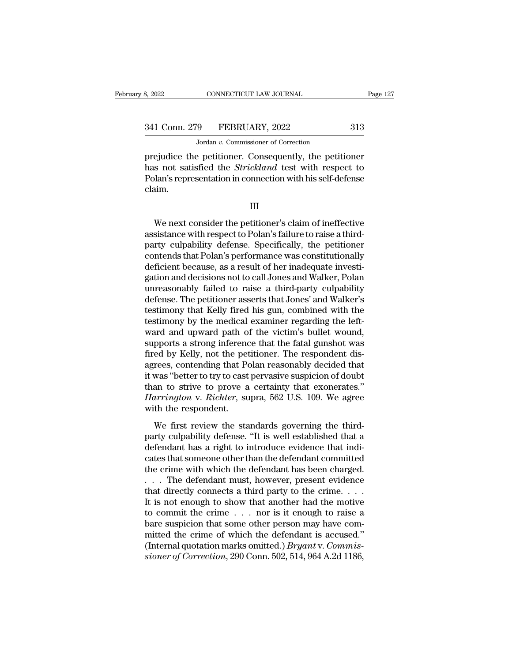CONNECTICUT LAW JOURNAL<br>
9 FEBRUARY, 2022<br>
Jordan *v.* Commissioner of Correction<br>
2 petitioner Consequently the netit Page 127<br>
Page 127<br>
241 Conn. 279 FEBRUARY, 2022 313<br>
Jordan v. Commissioner of Correction<br>
prejudice the petitioner. Consequently, the petitioner<br>
has not satisfied the *Strickland* test with respect to<br>
Polan's represent 341 Conn. 279 FEBRUARY, 2022 313<br>
Jordan v. Commissioner of Correction<br>
prejudice the petitioner. Consequently, the petitioner<br>
has not satisfied the *Strickland* test with respect to<br>
Polan's representation in connection Polan's representation in connection with his self-defense claim. ejudice the petitioner. Consequently, the petitioner<br>
s not satisfied the *Strickland* test with respect to<br>
lan's representation in connection with his self-defense<br>
aim.<br>
III<br>
We next consider the petitioner's claim of i

III

has not satisfied the *Strickland* test with respect to<br>Polan's representation in connection with his self-defense<br>claim.<br>III<br>We next consider the petitioner's claim of ineffective<br>assistance with respect to Polan's failur Polan's representation in connection with his self-defense<br>claim.<br>We next consider the petitioner's claim of ineffective<br>assistance with respect to Polan's failure to raise a third-<br>party-culpability-defense. Specifically, claim.<br>
We next consider the petitioner's claim of ineffective<br>
assistance with respect to Polan's failure to raise a third-<br>
party culpability defense. Specifically, the petitioner<br>
contends that Polan's performance was c III<br>We next consider the petitioner's claim of ineffective<br>assistance with respect to Polan's failure to raise a third-<br>party-culpability-defense. Specifically, the petitioner<br>contends that Polan's performance was constitu We next consider the petitioner's claim of ineffective<br>assistance with respect to Polan's failure to raise a third-<br>party culpability defense. Specifically, the petitioner<br>contends that Polan's performance was constitution We next consider the petitioner's claim of ineffective<br>assistance with respect to Polan's failure to raise a third-<br>party culpability defense. Specifically, the petitioner<br>contends that Polan's performance was constitution assistance with respect to Polan's failure to raise a third-<br>party-culpability-defense. Specifically, the petitioner<br>contends that Polan's performance was constitutionally<br>deficient because, as a result of her inadequate i party culpability defense. Specifically, the petitioner<br>contends that Polan's performance was constitutionally<br>deficient because, as a result of her inadequate investi-<br>gation and decisions not to call Jones and Walker, Po contends that Polan's performance was constitutionally<br>deficient because, as a result of her inadequate investigation and decisions not to call Jones and Walker, Polan<br>unreasonably failed to raise a third-party culpability deficient because, as a result of her inadequate investigation and decisions not to call Jones and Walker, Polan unreasonably failed to raise a third-party culpability defense. The petitioner asserts that Jones' and Walker gation and decisions not to call Jones and Walker, Polan<br>unreasonably failed to raise a third-party culpability<br>defense. The petitioner asserts that Jones' and Walker's<br>testimony that Kelly fired his gun, combined with the unreasonably failed to raise a third-party culpability<br>defense. The petitioner asserts that Jones' and Walker's<br>testimony that Kelly fired his gun, combined with the<br>testimony by the medical examiner regarding the left-<br>wa defense. The petitioner asserts that Jones' and Walker's<br>testimony that Kelly fired his gun, combined with the<br>testimony by the medical examiner regarding the left-<br>ward and upward path of the victim's bullet wound,<br>suppor testimony that Kelly fired his gun, combined with the<br>testimony by the medical examiner regarding the left-<br>ward and upward path of the victim's bullet wound,<br>supports a strong inference that the fatal gunshot was<br>fired by testimony by the medical examiner regarding the left-<br>ward and upward path of the victim's bullet wound,<br>supports a strong inference that the fatal gunshot was<br>fired by Kelly, not the petitioner. The respondent dis-<br>agrees ward and upward path of the victim's bullet wound,<br>supports a strong inference that the fatal gunshot was<br>fired by Kelly, not the petitioner. The respondent dis-<br>agrees, contending that Polan reasonably decided that<br>it was supports a strong inference<br>fired by Kelly, not the pet<br>agrees, contending that Pe<br>it was "better to try to cast<br>than to strive to prove a<br>*Harrington* v. *Richter*, su<br>with the respondent.<br>We first review the sta East *Sy* Refy, hot are pearloner. The response also<br>rees, contending that Polan reasonably decided that<br>was "better to try to cast pervasive suspicion of doubt<br>an to strive to prove a certainty that exonerates."<br>*arringto* defects, contenting that I clair reasonably decided that<br>it was "better to try to cast pervasive suspicion of doubt<br>than to strive to prove a certainty that exonerates."<br>*Harrington* v. *Richter*, supra, 562 U.S. 109. We a

definant to strive to any so cast per vasive suspector of usual<br>than to strive to prove a certainty that exonerates."<br>Harrington v. Richter, supra, 562 U.S. 109. We agree<br>with the respondent.<br>We first review the standards Harrington v. Richter, supra, 562 U.S. 109. We agree<br>with the respondent.<br>We first review the standards governing the third-<br>party culpability defense. "It is well established that a<br>defendant has a right to introduce evid The crime with the respondent.<br>We first review the standards governing the third-<br>party culpability defense. "It is well established that a<br>defendant has a right to introduce evidence that indi-<br>cates that someone other t We first review the standards governing the third-<br>party culpability defense. "It is well established that a<br>defendant has a right to introduce evidence that indi-<br>cates that someone other than the defendant committed<br>the We first review the standards governing the third-<br>party culpability defense. "It is well established that a<br>defendant has a right to introduce evidence that indi-<br>cates that someone other than the defendant committed<br>the party culpability defense. "It is well established that a<br>defendant has a right to introduce evidence that indi-<br>cates that someone other than the defendant committed<br>the crime with which the defendant has been charged.<br>defendant has a right to introduce evidence that indicates that someone other than the defendant committed<br>the crime with which the defendant has been charged.<br>. . . The defendant must, however, present evidence<br>that direc cates that someone other than the defendant committed<br>the crime with which the defendant has been charged.<br>... The defendant must, however, present evidence<br>that directly connects a third party to the crime....<br>It is not the crime with which the defendant has been charged.<br>  $\ldots$  The defendant must, however, present evidence<br>
that directly connects a third party to the crime.<br>
It is not enough to show that another had the motive<br>
to commi ... The defendant must, however, present evidence<br>that directly connects a third party to the crime....<br>It is not enough to show that another had the motive<br>to commit the crime ... nor is it enough to raise a<br>bare suspici that directly connects a third party to the crime. . . . It is not enough to show that another had the motive to commit the crime . . . nor is it enough to raise a bare suspicion that some other person may have committed t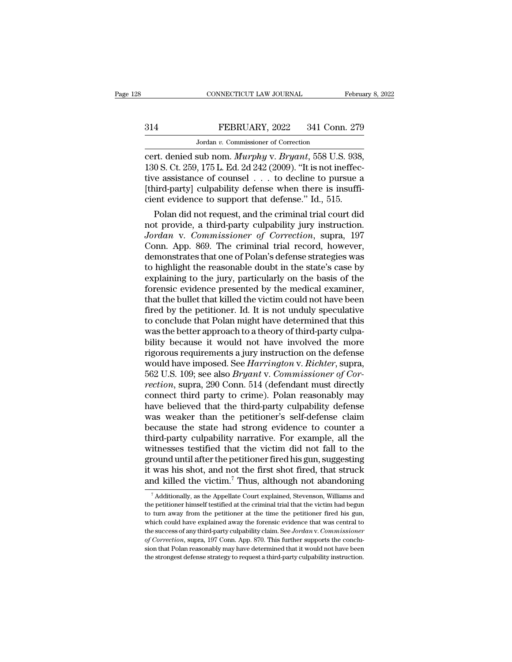# CONNECTICUT LAW JOURNAL February 8, 2022<br>314 FEBRUARY, 2022 341 Conn. 279<br>Jordan v. Commissioner of Correction EXECTICUT LAW JOURNAL<br>FEBRUARY, 2022 341 Conn<br>Jordan v. Commissioner of Correction<br>Sub nom *Murnbu v. Bruant*, 558 U.S

connecticut LAW JOURNAL February 8, 2<br>
FEBRUARY, 2022 341 Conn. 279<br>
Jordan v. Commissioner of Correction<br>
cert. denied sub nom. *Murphy* v. *Bryant*, 558 U.S. 938,<br>
130 S. Ct. 259, 175 L. Ed. 2d 242 (2009). "It is not ine 314 FEBRUARY, 2022 341 Conn. 279<br>
Jordan v. Commissioner of Correction<br>
cert. denied sub nom. *Murphy* v. *Bryant*, 558 U.S. 938,<br>
130 S. Ct. 259, 175 L. Ed. 2d 242 (2009). "It is not ineffec-<br>
tive assistance of counsel . 314 FEBRUARY, 2022 341 Conn. 279<br>
Jordan v. Commissioner of Correction<br>
cert. denied sub nom. *Murphy* v. *Bryant*, 558 U.S. 938,<br>
130 S. Ct. 259, 175 L. Ed. 2d 242 (2009). "It is not ineffec-<br>
tive assistance of counsel FEBRUARY, 2022 341 Conn. 279<br>Jordan v. Commissioner of Correction<br>cert. denied sub nom. *Murphy* v. *Bryant*, 558 U.S. 938,<br>130 S. Ct. 259, 175 L. Ed. 2d 242 (2009). "It is not ineffec-<br>tive assistance of counsel . . . to Jordan v. Commissioner of Correction<br>
cert. denied sub nom. *Murphy* v. *Bryant*, 558 U.S. 938,<br>
130 S. Ct. 259, 175 L. Ed. 2d 242 (2009). "It is not ineffec-<br>
tive assistance of counsel . . . to decline to pursue a<br>
[thir The denied sub nom. *Murphy v. Bryant*, 558 U.S. 938,<br>0 S. Ct. 259, 175 L. Ed. 2d 242 (2009). "It is not ineffec-<br>re assistance of counsel  $\ldots$  to decline to pursue a<br>hird-party] culpability defense when there is insuffi cert. denied sub nom. *Murphy v. Bryant*, 558 U.S. 938,<br>130 S. Ct. 259, 175 L. Ed. 2d 242 (2009). "It is not ineffec-<br>tive assistance of counsel  $\ldots$  to decline to pursue a<br>[third-party] culpability defense when there is

*J30 S. Ct. 259, 175 L. Ed. 2d 242 (2009).* "It is not ineffec-<br>tive assistance of counsel . . . to decline to pursue a<br>[third-party] culpability defense when there is insuffi-<br>cient evidence to support that defense." Id., tive assistance of counsel . . . to decline to pursue a<br>[third-party] culpability defense when there is insuffi-<br>cient evidence to support that defense." Id., 515.<br>Polan did not request, and the criminal trial court did<br>no [third-party] culpability defense when there is insufficient evidence to support that defense." Id., 515.<br>Polan did not request, and the criminal trial court did<br>not provide, a third-party culpability jury instruction.<br>Jo cient evidence to support that defense." Id., 515.<br>
Polan did not request, and the criminal trial court did<br>
not provide, a third-party culpability jury instruction.<br>
Jordan v. Commissioner of Correction, supra, 197<br>
Conn. Polan did not request, and the criminal trial court did<br>not provide, a third-party culpability jury instruction.<br>Jordan v. Commissioner of Correction, supra, 197<br>Conn. App. 869. The criminal trial record, however,<br>demonstr not provide, a third-party culpability jury instruction.<br>
Jordan v. Commissioner of Correction, supra, 197<br>
Conn. App. 869. The criminal trial record, however,<br>
demonstrates that one of Polan's defense strategies was<br>
to h Jordan v. Commissioner of Correction, supra, 197<br>Conn. App. 869. The criminal trial record, however,<br>demonstrates that one of Polan's defense strategies was<br>to highlight the reasonable doubt in the state's case by<br>explaini Conn. App. 869. The criminal trial record, however,<br>demonstrates that one of Polan's defense strategies was<br>to highlight the reasonable doubt in the state's case by<br>explaining to the jury, particularly on the basis of the<br> demonstrates that one of Polan's defense strategies was<br>to highlight the reasonable doubt in the state's case by<br>explaining to the jury, particularly on the basis of the<br>forensic evidence presented by the medical examiner, to highlight the reasonable doubt in the state's case by explaining to the jury, particularly on the basis of the forensic evidence presented by the medical examiner, that the bullet that killed the victim could not have b explaining to the jury, particularly on the basis of the<br>forensic evidence presented by the medical examiner,<br>that the bullet that killed the victim could not have been<br>fired by the petitioner. Id. It is not unduly specula forensic evidence presented by the medical examiner,<br>that the bullet that killed the victim could not have been<br>fired by the petitioner. Id. It is not unduly speculative<br>to conclude that Polan might have determined that th that the bullet that killed the victim could not have been<br>fired by the petitioner. Id. It is not unduly speculative<br>to conclude that Polan might have determined that this<br>was the better approach to a theory of third-party fired by the petitioner. Id. It is not unduly speculative<br>to conclude that Polan might have determined that this<br>was the better approach to a theory of third-party culpa-<br>bility because it would not have involved the more<br> to conclude that Polan might have determined that this<br>was the better approach to a theory of third-party culpa-<br>bility because it would not have involved the more<br>rigorous requirements a jury instruction on the defense<br>wo was the better approach to a theory of third-party culpability because it would not have involved the more<br>rigorous requirements a jury instruction on the defense<br>would have imposed. See *Harrington* v. *Richter*, supra,<br>5 bility because it would not have involved the more<br>rigorous requirements a jury instruction on the defense<br>would have imposed. See *Harrington* v. *Richter*, supra,<br>562 U.S. 109; see also *Bryant* v. *Commissioner of Cor-<br>* rigorous requirements a jury instruction on the defense<br>would have imposed. See *Harrington* v. *Richter*, supra,<br>562 U.S. 109; see also *Bryant* v. *Commissioner of Cor-<br>rection*, supra, 290 Conn. 514 (defendant must dire would have imposed. See *Harrington* v. *Richter*, supra, 562 U.S. 109; see also *Bryant* v. *Commissioner of Correction*, supra, 290 Conn. 514 (defendant must directly connect third party to crime). Polan reasonably may h 562 U.S. 109; see also *Bryant* v. *Commissioner of Correction*, supra, 290 Conn. 514 (defendant must directly connect third party to crime). Polan reasonably may have believed that the third-party culpability defense was rection, supra, 290 Conn. 514 (defendant must directly<br>connect third party to crime). Polan reasonably may<br>have believed that the third-party culpability defense<br>was weaker than the petitioner's self-defense claim<br>because connect third party to crime). Polan reasonably may<br>have believed that the third-party culpability defense<br>was weaker than the petitioner's self-defense claim<br>because the state had strong evidence to counter a<br>third-party have believed that the third-party culpability defense<br>was weaker than the petitioner's self-defense claim<br>because the state had strong evidence to counter a<br>third-party culpability narrative. For example, all the<br>witnesse was weaker than the petitioner's self-defense claim<br>because the state had strong evidence to counter a<br>third-party culpability narrative. For example, all the<br>witnesses testified that the victim did not fall to the<br>ground itnesses testified that the victim did not fall to the round until after the petitioner fired his gun, suggesting was his shot, and not the first shot fired, that struck and killed the victim.<sup>7</sup> Thus, although not abando ground until after the petitioner fired his gun, suggesting<br>it was his shot, and not the first shot fired, that struck<br>and killed the victim.<sup>7</sup> Thus, although not abandoning<br> $\frac{1}{4}$  additionally, as the Appellate Court

it was his shot, and not the first shot fired, that struck<br>and killed the victim.<sup>7</sup> Thus, although not abandoning<br> $\frac{1}{4}$  Additionally, as the Appellate Court explained, Stevenson, Williams and<br>the petitioner himself t and killed the victim.<sup>7</sup> Thus, although not abandoning<br>  $\frac{1}{4}$  Additionally, as the Appellate Court explained, Stevenson, Williams and<br>
the petitioner himself testified at the criminal trial that the victim had begun<br> The success of any third-party culpability claim. See *Jordan* v. *Commissioner* and the petitioner himself testified at the criminal trial that the victim had begun to turn away from the petitioner at the time the petitio <sup>7</sup> Additionally, as the Appellate Court explained, Stevenson, Williams and the petitioner himself testified at the criminal trial that the victim had begun to turn away from the petitioner at the time the petitioner fire the petitioner himself testified at the criminal trial that the victim had begun<br>to turn away from the petitioner at the time the petitioner fired his gun,<br>which could have explained away the forensic evidence that was cen to turn away from the petitioner at the time the petitioner fired his gun,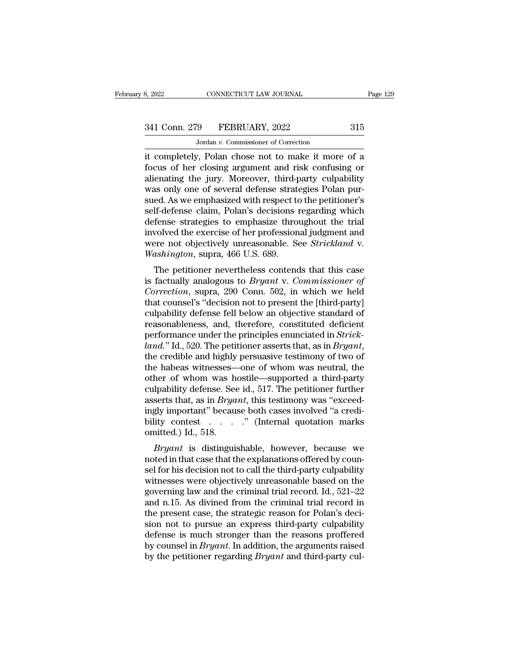CONNECTICUT LAW JOURNAL<br>
9 FEBRUARY, 2022<br>
Jordan *v.* Commissioner of Correction<br>
7 Polan, chose, not to make it more EXECT BOOT CONNECTICUT LAW JOURNAL Page 129<br>
341 Conn. 279 FEBRUARY, 2022 315<br>
315<br>
316 Jordan v. Commissioner of Correction<br>
it completely, Polan chose not to make it more of a<br>
focus of her closing argument and risk conf 341 Conn. 279 FEBRUARY, 2022 315<br>Jordan v. Commissioner of Correction<br>it completely, Polan chose not to make it more of a<br>focus of her closing argument and risk confusing or<br>alienating the jury. Moreover, third-party culpa 341 Conn. 279 FEBRUARY, 2022 315<br>
Jordan v. Commissioner of Correction<br>
it completely, Polan chose not to make it more of a<br>
focus of her closing argument and risk confusing or<br>
alienating the jury. Moreover, third-party 341 Conn. 279 FEBRUARY, 2022 315<br>Jordan v. Commissioner of Correction<br>it completely, Polan chose not to make it more of a<br>focus of her closing argument and risk confusing or<br>alienating the jury. Moreover, third-party culpa Jordan v. Commissioner of Correction<br>it completely, Polan chose not to make it more of a<br>focus of her closing argument and risk confusing or<br>alienating the jury. Moreover, third-party culpability<br>was only one of several d Jordan v. Commissioner of Correction<br>it completely, Polan chose not to make it more of a<br>focus of her closing argument and risk confusing or<br>alienating the jury. Moreover, third-party culpability<br>was only one of several d it completely, Polan chose not to make it more of a<br>focus of her closing argument and risk confusing or<br>alienating the jury. Moreover, third-party culpability<br>was only one of several defense strategies Polan pur-<br>sued. As focus of her closing argument and risk confusing or<br>alienating the jury. Moreover, third-party culpability<br>was only one of several defense strategies Polan pur-<br>sued. As we emphasized with respect to the petitioner's<br>selfalienating the jury. Moreover, third-party culpability<br>was only one of several defense strategies Polan pur-<br>sued. As we emphasized with respect to the petitioner's<br>self-defense claim, Polan's decisions regarding which<br>def was only one of several defense strate<br>sued. As we emphasized with respect to<br>self-defense claim, Polan's decisions if<br>defense strategies to emphasize thro<br>involved the exercise of her profession<br>were not objectively unrea Eq. As we emphasized while respect to the pethoder s<br>If-defense claim, Polan's decisions regarding which<br>fense strategies to emphasize throughout the trial<br>volved the exercise of her professional judgment and<br>are not obje sen-defense claim, Folaris decisions regarding which<br>defense strategies to emphasize throughout the trial<br>involved the exercise of her professional judgment and<br>were not objectively unreasonable. See *Strickland* v.<br>*Washi* 

deferise strategies to emphasize throughout the that<br>involved the exercise of her professional judgment and<br>were not objectively unreasonable. See *Strickland* v.<br>*Washington*, supra, 466 U.S. 689.<br>The petitioner neverthel Involved the exercise of her professional judgment and<br>were not objectively unreasonable. See *Strickland* v.<br>Washington, supra, 466 U.S. 689.<br>The petitioner nevertheless contends that this case<br>is factually analogous to Were not objectively uneasonable. See *Strichand v.*<br>
Washington, supra, 466 U.S. 689.<br>
The petitioner nevertheless contends that this case<br>
is factually analogous to *Bryant v. Commissioner of*<br> *Correction*, supra, 290 C The petitioner nevertheless contends that this case<br>is factually analogous to *Bryant v. Commissioner of*<br>*Correction*, supra, 290 Conn. 502, in which we held<br>that counsel's "decision not to present the [third-party]<br>culp The petitioner nevertheless contends that this case<br>is factually analogous to *Bryant v. Commissioner of*<br>*Correction*, supra, 290 Conn. 502, in which we held<br>that counsel's "decision not to present the [third-party]<br>culpa *land.*'' Is factually analogous to *Bryant* v. *Commissioner of*<br> *Correction*, supra, 290 Conn. 502, in which we held<br>
that counsel's "decision not to present the [third-party]<br>
culpability defense fell below an objectiv that counsel's "decision not to present the [third-party]<br>culpability defense fell below an objective standard of<br>reasonableness, and, therefore, constituted deficient<br>performance under the principles enunciated in *Strick* culpability defense fell below an objective standard of<br>reasonableness, and, therefore, constituted deficient<br>performance under the principles enunciated in *Strick-*<br>*land.*" Id., 520. The petitioner asserts that, as in reasonableness, and, therefore, constituted deficient<br>performance under the principles enunciated in *Strick-*<br>*land.*" Id., 520. The petitioner asserts that, as in *Bryant*,<br>the credible and highly persuasive testimony of performance under the principles enunciated in *Strick-land.*" Id., 520. The petitioner asserts that, as in *Bryant*, the credible and highly persuasive testimony of two of the habeas witnesses—one of whom was neutral, the land." Id., 520. The petitioner asserts that, as in *Bryant*, the credible and highly persuasive testimony of two of the habeas witnesses—one of whom was neutral, the other of whom was hostile—supported a third-party culp the credible and highly persuasive testimony of two of<br>the habeas witnesses—one of whom was neutral, the<br>other of whom was hostile—supported a third-party<br>culpability defense. See id., 517. The petitioner further<br>asserts the habeas witnesses—<br>other of whom was h<br>culpability defense. See<br>asserts that, as in *Brya*<br>ingly important" becau<br>bility contest<br>omitted.) Id., 518.<br>*Bryant* is distinguis *Bryant* is distinguishable, however, because we<br>discussed in that, as in *Bryant*, this testimony was "exceed-<br>gly important" because both cases involved "a credi-<br>ity contest . . . . . . " (Internal quotation marks<br>initt cupability defense. See Rit, 517. The performer further<br>asserts that, as in *Bryant*, this testimony was "exceed-<br>ingly important" because both cases involved "a credi-<br>bility contest . . . . . . . " (Internal quotation m

selver that, as in *Bryant*, this testimoly was exceedingly important" because both cases involved "a credi-<br>bility contest . . . . . " (Internal quotation marks<br>omitted.) Id., 518.<br>*Bryant* is distinguishable, however, b mgly important because both cases involved a credi-<br>bility contest . . . . . " (Internal quotation marks<br>omitted.) Id., 518.<br>*Bryant* is distinguishable, however, because we<br>noted in that case that the explanations offere binty contest  $\cdot$   $\cdot$   $\cdot$  (internal quotation marks) contracted.) Id., 518.<br> *Bryant* is distinguishable, however, because we noted in that case that the explanations offered by counsel for his decision not to call the *Bryant* is distinguishable, however, because we noted in that case that the explanations offered by counsel for his decision not to call the third-party culpability witnesses were objectively unreasonable based on the go *Bryant* is distinguishable, however, because we noted in that case that the explanations offered by counsel for his decision not to call the third-party culpability witnesses were objectively unreasonable based on the go noted in that case that the explanations offered by counsel for his decision not to call the third-party culpability witnesses were objectively unreasonable based on the governing law and the criminal trial record. Id., 52 sel for his decision not to call the third-party culpability<br>witnesses were objectively unreasonable based on the<br>governing law and the criminal trial record. Id., 521–22<br>and n.15. As divined from the criminal trial record witnesses were objectively unreasonable based on the governing law and the criminal trial record. Id., 521–22 and n.15. As divined from the criminal trial record in the present case, the strategic reason for Polan's decisi governing law and the criminal trial record. Id., 521–22 and n.15. As divined from the criminal trial record in the present case, the strategic reason for Polan's decision not to pursue an express third-party culpability d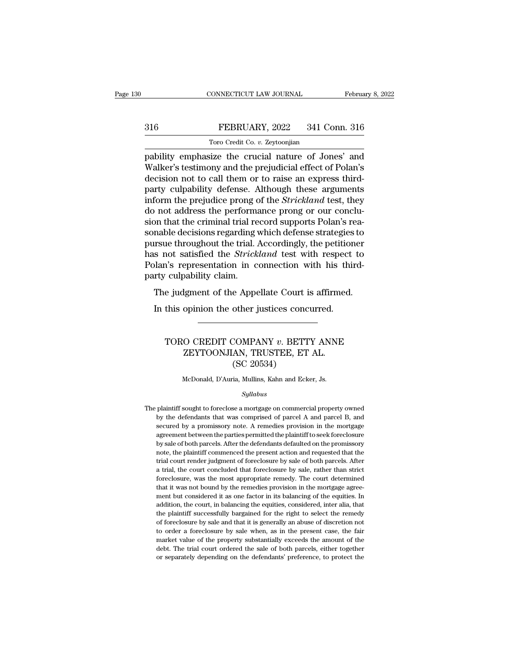# EBRUARY, 2022<br>
FEBRUARY, 2022<br>
Toro Credit Co. v. Zeytoonjian TORO CONNECTICUT LAW JOURNAL<br>FEBRUARY, 2022 341 Co.<br>Toro Credit Co. *v.* Zeytoonjian<br>size the crucial nature of Jon

February 8, 2022<br>
Pability emphasize the crucial nature of Jones' and<br>
Walker's testimony and the prejudicial effect of Polan's<br>
docsion not to call them or to raise an express third The Same of the Polandary and the prejudicial effect of Polan's<br>Toro Credit Co. v. Zeytoonjian<br>The prejudicial effect of Polan's<br>decision not to call them or to raise an express third-<br>Darty culpability defense. Although t  $\begin{array}{c|c} \text{316} & \text{FEBRUARY, 2022} & \text{341 Conn. 316} \ \hline \text{7oro Credit Co. } v. \text{Zeytoonjian} \end{array}$  pability emphasize the crucial nature of Jones' and Walker's testimony and the prejudicial effect of Polan's decision not to call them or to rai  $\begin{array}{ll} \text{316} & \text{FEBRUARY, 2022} & \text{341 Conn. 316} \ \hline \text{316} & \text{7oro Credit Co. } v. \text{Zeytoonjian} \end{array}$ <br>
pability emphasize the crucial nature of Jones' and Walker's testimony and the prejudicial effect of Polan's decision not to call them or The Credit Co. *v.* Zeytoonjian<br>
pability emphasize the crucial nature of Jones' and<br>
Walker's testimony and the prejudicial effect of Polan's<br>
decision not to call them or to raise an express third-<br>
party culpability def Toro Credit Co. *v. Zeytoonyan*<br>pability emphasize the crucial nature of Jones' and<br>Walker's testimony and the prejudicial effect of Polan's<br>decision not to call them or to raise an express third-<br>party culpability defense pability emphasize the crucial nature of Jones' and<br>Walker's testimony and the prejudicial effect of Polan's<br>decision not to call them or to raise an express third-<br>party culpability defense. Although these arguments<br>infor Walker's testimony and the prejudicial effect of Polan's<br>decision not to call them or to raise an express third-<br>party culpability defense. Although these arguments<br>inform the prejudice prong of the *Strickland* test, they decision not to call them or to raise an express third-<br>party culpability defense. Although these arguments<br>inform the prejudice prong of the *Strickland* test, they<br>do not address the performance prong or our conclu-<br>sion party culpability defense. Although these arguments<br>inform the prejudice prong of the *Strickland* test, they<br>do not address the performance prong or our conclu-<br>sion that the criminal trial record supports Polan's rea-<br>so inform the prejudice prong of the *Strickland* test, they do not address the performance prong or our conclusion that the criminal trial record supports Polan's reasonable decisions regarding which defense strategies to pu do not address the performs<br>sion that the criminal trial re<br>sonable decisions regarding<br>pursue throughout the trial.<br>has not satisfied the *Strick*<br>Polan's representation in c<br>party culpability claim.<br>The judgment of the A In that the criminal that record supports I olaris rea-<br>nable decisions regarding which defense strategies to<br>rsue throughout the trial. Accordingly, the petitioner<br>s not satisfied the *Strickland* test with respect to<br>lan In this opinion the trial. Accordingly, the petition<br>
In this not satisfied the *Strickland* test with respect<br>
Idan's representation in connection with his this<br>
In this opinion the other justices concurred.<br>
In this opin

# culpability claim.<br>
e judgment of the Appellate Court is affirmed.<br>
this opinion the other justices concurred.<br>
TORO CREDIT COMPANY *v*. BETTY ANNE<br>
ZEYTOONJIAN, TRUSTEE, ET AL.<br>
(SC 20524) Expediance Court is affirmed<br>
Spinion the other justices concurred.<br>
CO CREDIT COMPANY v. BETTY ANNE<br>
ZEYTOONJIAN, TRUSTEE, ET AL.<br>
(SC 20534) other justices concerned to the product of the SC 20534)<br>COMPANY v. BETT<br>(SC 20534)<br>ia, Mullins, Kahn and Eck TORO CREDIT COMPANY *v*. BETTY ANNE<br>
ZEYTOONJIAN, TRUSTEE, ET AL.<br>
(SC 20534)<br>
McDonald, D'Auria, Mullins, Kahn and Ecker, Js.

# *Syllabus*

 ${\rm (SC~20534)}$  McDonald, D'Auria, Mullins, Kahn and Ecker, Js.<br>  $Syllabus$ <br>
The plaintiff sought to foreclose a mortgage on commercial property owned<br>
by the defendants that was comprised of parcel A and parcel B, and McDonald, D'Auria, Mullins, Kahn and Ecker, Js.<br> *Syllabus*<br>
plaintiff sought to foreclose a mortgage on commercial property owned<br>
by the defendants that was comprised of parcel A and parcel B, and<br>
secured by a promissor McDonald, D'Auria, Mullins, Kahn and Ecker, Js.<br>Syllabus<br>plaintiff sought to foreclose a mortgage on commercial property owned<br>by the defendants that was comprised of parcel A and parcel B, and<br>secured by a promissory note *Syllabus*<br>plaintiff sought to foreclose a mortgage on commercial property owned<br>by the defendants that was comprised of parcel A and parcel B, and<br>secured by a promissory note. A remedies provision in the mortgage<br>agreeme Syllabus<br>by the defendants that was comprised of parcel A and parcel B, and<br>by the defendants that was comprised of parcel A and parcel B, and<br>secured by a promissory note. A remedies provision in the mortgage<br>agreement be plaintiff sought to foreclose a mortgage on commercial property owned<br>by the defendants that was comprised of parcel A and parcel B, and<br>secured by a promissory note. A remedies provision in the mortgage<br>agreement between parallel the defendants that was compised of parcel A and parcel B, and secured by a promissory note. A remedies provision in the mortgage agreement between the parties permitted the plaintiff to seek foreclosure by sale o by a trial, and points are the particle in the mortgage secured by a promissory note. A remedies provision in the mortgage agreement between the parties permitted the plaintiff to seek foreclosure by sale of both parcels. agreement between the parties permitted the plaintiff to seek foreclosure by sale of both parcels. After the defendants defaulted on the promissory note, the plaintiff commenced the present action and requested that the tr by sale of both parcels. After the defendants defaulted on the promissory hote, the plaintiff commenced the present action and requested that the trial court render judgment of foreclosure by sale of both parcels. After a note, the plaintiff commenced the present action and requested that the trial court render judgment of foreclosure by sale of both parcels. After a trial, the court concluded that foreclosure by sale, rather than strict fo trial court render judgment of foreclosure by sale of both parcels. After a trial, the court concluded that foreclosure by sale, rather than strict foreclosure, was the most appropriate remedy. The court determined that it a trial, the court concluded that foreclosure by sale, rather than strict foreclosure, was the most appropriate remedy. The court determined that it was not bound by the remedies provision in the mortgage agreement but con foreclosure, was the most appropriate remedy. The court determined<br>that it was not bound by the remedies provision in the mortgage agree-<br>ment but considered it as one factor in its balancing of the equities. In<br>addition, that it was not bound by the remedies provision in the mortgage agreement but considered it as one factor in its balancing of the equities. In addition, the court, in balancing the equities, considered, inter alia, that th ment but considered it as one factor in its balancing of the equities. In addition, the court, in balancing the equities, considered, inter alia, that the plaintiff successfully bargained for the right to select the remedy addition, the court, in balancing the equities, considered, inter alia, that the plaintiff successfully bargained for the right to select the remedy of foreclosure by sale and that it is generally an abuse of discretion no the plaintiff successfully bargained for the right to select the remedy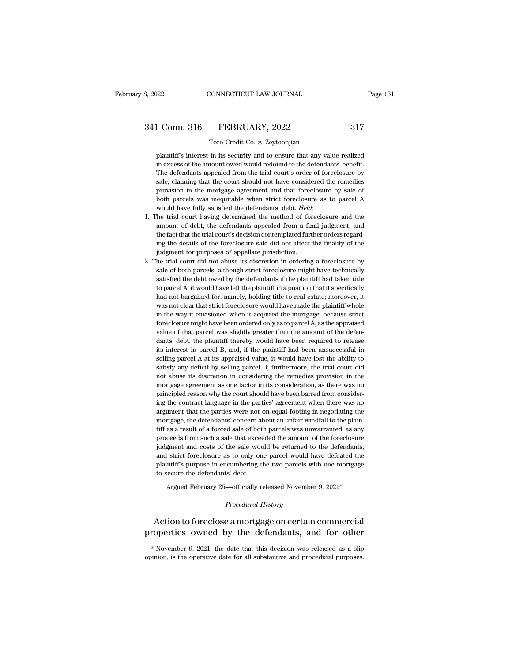# 3, 2022 CONNECTICUT LAW JOURNAL Page 131<br>341 Conn. 316 FEBRUARY, 2022 317<br>Toro Credit Co. v. Zeytoonjian

Toro Credit Co. *v.* Zeytoonjian 1 Conn. 316 FEBRUARY, 2022 317<br>Toro Credit Co. v. Zeytoonjian<br>plaintiff's interest in its security and to ensure that any value realized<br>in excess of the amount owed would redound to the defendants' benefit. <u>in EXC of</u> the amount owed would redound to the defendants' benefit.<br>
Toro credit Co. *v*. Zeytoonjian<br>
plaintiff's interest in its security and to ensure that any value realized<br>
in excess of the amount owed would redoun 1 Conn. 316 FEBRUARY, 2022 317<br>Toro Credit Co. v. Zeytoonjian<br>plaintiff's interest in its security and to ensure that any value realized<br>in excess of the amount owed would redound to the defendants' benefit.<br>The defendants From Credit Co. v. Zeytoonjian<br>plaintiff's interest in its security and to ensure that any value realized<br>in excess of the amount owed would redound to the defendants' benefit.<br>The defendants appealed from the trial court' Toro Credit Co. v. Zeytoonjian<br>plaintiff's interest in its security and to ensure that any value realized<br>in excess of the amount owed would redound to the defendants' benefit.<br>The defendants appealed from the trial court' plaintiff's interest in its security and to ensure that any value realized<br>in excess of the amount owed would redound to the defendants' benefit.<br>The defendants appealed from the trial court's order of foreclosure by<br>sale, in excess of the amount owed would redound to the defendants' benefit.<br>The defendants appealed from the trial court's order of foreclosure by sale, claiming that the court should not have considered the remedies provision sale, claiming that the court should not have considered the remedies<br>provision in the mortgage agreement and that foreclosure by sale of<br>both parcels was inequitable when strict foreclosure as to parcel A<br>would have fully

- % sale, claiming that the court should not have considered the remedies provision in the mortgage agreement and that foreclosure by sale of both parcels was inequitable when strict foreclosure as to parcel A would have fu both parcels was inequitable when strict foreclosure as to parcel A would have fully satisfied the defendants' debt. *Held*:<br>The trial court having determined the method of foreclosure and the amount of debt, the defendant % would have fully satisfied the defendants' debt. Held:<br>
1. The trial court having determined the method of foreclosure and the<br>
amount of debt, the defendants appealed from a final judgment, and<br>
the fact that the trial 2. The trial court having determined the method of foreclosure and the amount of debt, the defendants appealed from a final judgment, and the fact that the trial court's decision contemplated further orders regarding the amount of debt, the defendants appealed from a final judgment, and<br>the fact that the trial court's decision contemplated further orders regard-<br>ing the details of the foreclosure sale did not affect the finality of the<br>jud
- the fact that the trial court's decision contemplated further orders regarding the details of the foreclosure sale did not affect the finality of the judgment for purposes of appellate jurisdiction.<br>he trial court did not ing the details of the foreclosure sale did not affect the finality of the judgment for purposes of appellate jurisdiction.<br>he trial court did not abuse its discretion in ordering a foreclosure by sale of both parcels: alt judgment for purposes of appellate jurisdiction.<br>he trial court did not abuse its discretion in ordering a foreclosure by<br>sale of both parcels: although strict foreclosure might have technically<br>satisfied the debt owed by he trial court did not abuse its discretion in ordering a foreclosure by sale of both parcels: although strict foreclosure might have technically satisfied the debt owed by the defendants if the plaintiff had taken title t sale of both parcels: although strict foreclosure might have technically satisfied the debt owed by the defendants if the plaintiff had taken title to parcel A, it would have left the plaintiff in a position that it specif satisfied the debt owed by the defendants if the plaintiff had taken title to parcel A, it would have left the plaintiff in a position that it specifically had not bargained for, namely, holding title to real estate; moreo satisfied the debt owed by the defendants if the plaintiff had taken title to parcel A, it would have left the plaintiff in a position that it specifically had not bargained for, namely, holding title to real estate; more had not bargained for, namely, holding title to real estate; moreover, it was not clear that strict foreclosure would have made the plaintiff whole in the way it envisioned when it acquired the mortgage, because strict for was not clear that strict foreclosure would have made the plaintiff whole<br>in the way it envisioned when it acquired the mortgage, because strict<br>foreclosure might have been ordered only as to parcel A, as the appraised<br>val in the way it envisioned when it acquired the mortgage, because strict foreclosure might have been ordered only as to parcel A, as the appraised value of that parcel was slightly greater than the amount of the defendants' foreclosure might have been ordered only as to parcel A, as the appraised value of that parcel was slightly greater than the amount of the defendants' debt, the plaintiff thereby would have been required to release its int value of that parcel was slightly greater than the amount of the defendants' debt, the plaintiff thereby would have been required to release its interest in parcel B, and, if the plaintiff had been unsuccessful in selling dants' debt, the plaintiff thereby would have been required to release its interest in parcel B, and, if the plaintiff had been unsuccessful in selling parcel A at its appraised value, it would have lost the ability to sat its interest in parcel B, and, if the plaintiff had been unsuccessful in selling parcel A at its appraised value, it would have lost the ability to satisfy any deficit by selling parcel B; furthermore, the trial court did selling parcel A at its appraised value, it would have lost the ability to satisfy any deficit by selling parcel B; furthermore, the trial court did not abuse its discretion in considering the remedies provision in the mor satisfy any deficit by selling parcel B; furthermore, the trial court did<br>not abuse its discretion in considering the remedies provision in the<br>mortgage agreement as one factor in its consideration, as there was no<br>princip not abuse its discretion in considering the remedies provision in the mortgage agreement as one factor in its consideration, as there was no principled reason why the court should have been barred from considering the cont mortgage agreement as one factor in its consideration, as there was no<br>principled reason why the court should have been barred from consider-<br>ing the contract language in the parties' agreement when there was no<br>argument t principled reason why the court should have been barred from considering the contract language in the parties' agreement when there was no argument that the parties were not on equal footing in negotiating the mortgage, th ing the contract language in the parties' agreement when there was no argument that the parties were not on equal footing in negotiating the mortgage, the defendants' concern about an unfair windfall to the plaintiff as a argument that the parties were not on equal footing in negotiating the mortgage, the defendants' concern about an unfair windfall to the plaintiff as a result of a forced sale of both parcels was unwarranted, as any procee mortgage, the defendants' concern about an unfair windfall to the plaintiff as a result of a forced sale of both parcels was unwarranted, as any proceeds from such a sale that exceeded the amount of the foreclosure judgmen proceeds from such a sale that exceeded the amount of the foreclosure judgment and costs of the sale would be returned to the defendants, and strict foreclosure as to only one parcel would have defeated the plaintiff's pur and strict foreclosure as to only one parcel would have defeated the plaintiff's purpose in encumbering the two parcels with one mortgage to secure the defendants' debt.<br>Argued February 25—officially released November 9, and strict foreclosure as to only one parcel would have defeated the<br>plaintiff's purpose in encumbering the two parcels with one mortgage<br>to secure the defendants' debt.<br>Argued February 25—officially released November 9, 2

# Argued February 25—officially released November 9, 2021\*<br>*Procedural History*<br>Action to foreclose a mortgage on certain commercial plaintiff's purpose in encumbering the two parcels with one mortgage<br>to secure the defendants' debt.<br>Argued February 25—officially released November 9, 2021\*<br>Procedural History<br>Action to foreclose a mortgage on certain com *Procedural History*<br>Action to foreclose a mortgage on certain commercial<br>roperties owned by the defendants, and for other<br>\*November 9, 2021, the date that this decision was released as a slip<br>inion, is the operative date Action to foreclose a mortgage on certain commercial<br>properties owned by the defendants, and for other<br>\*November 9, 2021, the date that this decision was released as a slip<br>opinion, is the operative date for all substantiv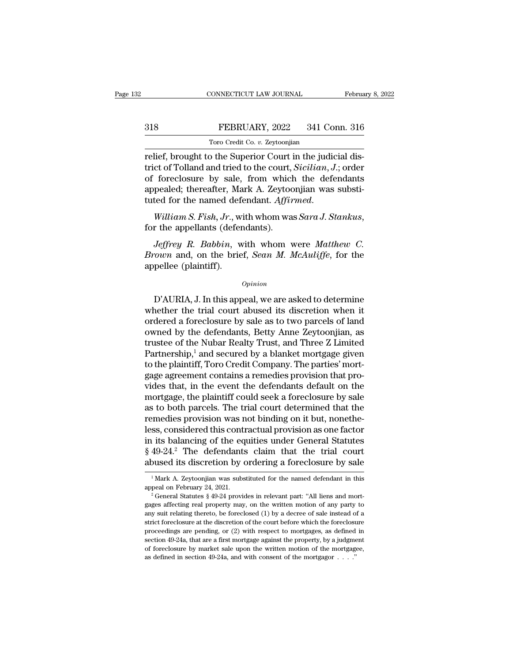# EBRUARY, 2022<br>
FEBRUARY, 2022<br>
Toro Credit Co. v. Zeytoonjian TORO CONNECTICUT LAW JOURNAL<br>FEBRUARY, 2022 341 Co.<br>Toro Credit Co. *v.* Zeytoonjian<br>The Superior Court in the judi

CONNECTICUT LAW JOURNAL Februa<br>
Toro Credit Co. v. Zeytoonjian<br>
Toro Credit Co. v. Zeytoonjian<br>
Telief, brought to the Superior Court in the judicial dis-<br>
trict of Tolland and tried to the court, *Sicilian*, J.; order<br>
of The Same of Tolland and tried to the court, *Sicilian*, *J*.; order the foreclosure by sale, from which the defendants<br>
The court, *Sicilian*, *J*.; order of foreclosure by sale, from which the defendants<br>
The court, *Sici* 318 FEBRUARY, 2022 341 Conn. 316<br>
Toro Credit Co. *v.* Zeytoonjian<br>
relief, brought to the Superior Court in the judicial dis-<br>
trict of Tolland and tried to the court, *Sicilian*, *J*.; order<br>
of foreclosure by sale, fro FEBRUARY, 2022 341 Conn. 316<br>
Toro Credit Co. v. Zeytoonjian<br>
relief, brought to the Superior Court in the judicial dis-<br>
trict of Tolland and tried to the court, *Sicilian*, *J*.; order<br>
of foreclosure by sale, from which Toro Credit Co. *v.* Zeytoonjian<br>
relief, brought to the Superior Court in the judicial dis-<br>
trict of Tolland and tried to the court, *Sicilian*, *J*.; order<br>
of foreclosure by sale, from which the defendants<br>
appealed; t foreclosure by sale, from which the defendants<br>pealed; thereafter, Mark A. Zeytoonjian was substi-<br>ted for the named defendant. *Affirmed.*<br>William S. Fish, Jr., with whom was Sara J. Stankus,<br>r the appellants (defendants)

appealed; thereafter, Mark A. Zeytoonjian was substituted for the named defendant. *Affirmed.*<br> *William S. Fish, Jr.*, with whom was *Sara J. Stankus*, for the appellants (defendants).<br> *Jeffrey R. Babbin*, with whom were tuted for the named defa<br>
William S. Fish, Jr., w<br>
for the appellants (defer<br>
Jeffrey R. Babbin, w<br>
Brown and, on the brie<br>
appellee (plaintiff). *Jeffrey R. Babbin*, with whom were *Matthew C.*<br> *own* and, on the brief, *Sean M. McAuliffe*, for the<br>
pellee (plaintiff).<br>  $\frac{opinion}{D'AURIA}$ , J. In this appeal, we are asked to determine<br>
nether the trial court abused its

# *Opinion*

*Jeffrey R. Babbin*, with whom were *Matthew C.*<br>*Brown* and, on the brief, *Sean M. McAuliffe*, for the<br>appellee (plaintiff).<br> $o_{pinion}$ <br> $D'AURIA, J. In this appeal, we are asked to determine  
whether the trial court abused its discretion when it  
ordered a forceclosure by sale as to two parcels of land  
oumod by the deformates. Botty. Anne Zoutconiian as$ *Brown* and, on the brief, *Sean M. McAuliffe*, for the<br>appellee (plaintiff).<br>*Opinion*<br>D'AURIA, J. In this appeal, we are asked to determine<br>whether the trial court abused its discretion when it<br>ordered a foreclosure by s opinion<br>
opinion<br>
D'AURIA, J. In this appeal, we are asked to determine<br>
whether the trial court abused its discretion when it<br>
ordered a foreclosure by sale as to two parcels of land<br>
owned by the defendants, Betty Anne Z  $\Omega$ <br>
D'AURIA, J. In this appeal, we are asked to determine<br>
whether the trial court abused its discretion when it<br>
ordered a foreclosure by sale as to two parcels of land<br>
owned by the defendants, Betty Anne Zeytoonjian, D'AURIA, J. In this appeal, we are asked to determine<br>whether the trial court abused its discretion when it<br>ordered a foreclosure by sale as to two parcels of land<br>owned by the defendants, Betty Anne Zeytoonjian, as<br>trust D'AURIA, J. In this appeal, we are asked to determine<br>whether the trial court abused its discretion when it<br>ordered a foreclosure by sale as to two parcels of land<br>owned by the defendants, Betty Anne Zeytoonjian, as<br>truste whether the trial court abused its discretion when it<br>ordered a foreclosure by sale as to two parcels of land<br>owned by the defendants, Betty Anne Zeytoonjian, as<br>trustee of the Nubar Realty Trust, and Three Z Limited<br>Partn ordered a foreclosure by sale as to two parcels of land<br>owned by the defendants, Betty Anne Zeytoonjian, as<br>trustee of the Nubar Realty Trust, and Three Z Limited<br>Partnership,<sup>1</sup> and secured by a blanket mortgage given<br>to owned by the defendants, Betty Anne Zeytoonjian, as<br>trustee of the Nubar Realty Trust, and Three Z Limited<br>Partnership,<sup>1</sup> and secured by a blanket mortgage given<br>to the plaintiff, Toro Credit Company. The parties' mort-<br>g trustee of the Nubar Realty Trust, and Three Z Limited<br>Partnership,<sup>1</sup> and secured by a blanket mortgage given<br>to the plaintiff, Toro Credit Company. The parties' mort-<br>gage agreement contains a remedies provision that pro Partnership,<sup>1</sup> and secured by a blanket mortgage given<br>to the plaintiff, Toro Credit Company. The parties' mort-<br>gage agreement contains a remedies provision that pro-<br>vides that, in the event the defendants default on th to the plaintiff, Toro Credit Company. The parties' mortgage agreement contains a remedies provision that provides that, in the event the defendants default on the mortgage, the plaintiff could seek a foreclosure by sale gage agreement contains a remedies provision that provides that, in the event the defendants default on the mortgage, the plaintiff could seek a foreclosure by sale as to both parcels. The trial court determined that the r vides that, in the event the defendants default on the<br>mortgage, the plaintiff could seek a foreclosure by sale<br>as to both parcels. The trial court determined that the<br>remedies provision was not binding on it but, nonethemortgage, the plaintiff could seek a foreclosure by sale<br>as to both parcels. The trial court determined that the<br>remedies provision was not binding on it but, nonethe-<br>less, considered this contractual provision as one fa less, considered this contractual provision as one factor<br>in its balancing of the equities under General Statutes<br> $§ 49-24.^2$  The defendants claim that the trial court<br>abused its discretion by ordering a foreclosure by sa  $\S 49-24$ <sup>2</sup>. The defendants claim that the trial court

abused its discretion by ordering a foreclosure by sale<br>
<sup>1</sup> Mark A. Zeytoonjian was substituted for the named defendant in this<br>
appeal on February 24, 2021.<br>
<sup>2</sup> General Statutes § 49-24 provides in relevant part: "All abused its discretion by ordering a foreclosure by safe<br>
<sup>1</sup> Mark A. Zeytoonjian was substituted for the named defendant in this<br>
appeal on February 24, 2021.<br>
<sup>2</sup> General Statutes § 49-24 provides in relevant part: "All <sup>1</sup> Mark A. Zeytoonjian was substituted for the named defendant in this appeal on February 24, 2021.<br><sup>2</sup> General Statutes § 49-24 provides in relevant part: "All liens and mort-<br>gages affecting real property may, on the w appeal on February 24, 2021.<br>
<sup>2</sup> General Statutes § 49-24 provides in relevant part: "All liens and mort-<br>
<sup>2</sup> General Statutes § 49-24 provides in relevant part: "All liens and mort-<br>
gages affecting real property may, <sup>2</sup> General Statutes § 49-24 provides in relevant part: "All liens and mort-<br><sup>2</sup> General Statutes § 49-24 provides in relevant part: "All liens and mort-<br>gages affecting real property may, on the written motion of any par gages affecting real property may, on the written motion of any party to any suit relating thereto, be foreclosed (1) by a decree of sale instead of a strict foreclosure at the discretion of the court before which the for any suit relating thereto, be foreclosed (1) by a decree of sale instead of a strict foreclosure at the discretion of the court before which the foreclosure proceedings are pending, or (2) with respect to mortgages, as de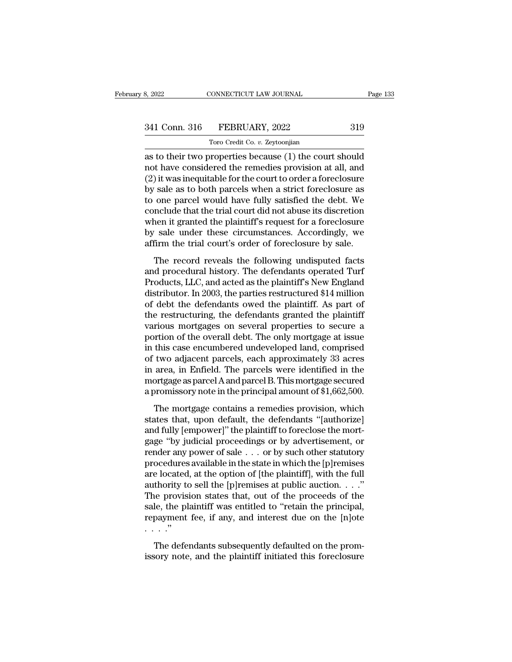| 8, 2022       | CONNECTICUT LAW JOURNAL        | Page 133 |
|---------------|--------------------------------|----------|
| 341 Conn. 316 | FEBRUARY, 2022                 | 319      |
|               | Toro Credit Co. v. Zeytoonjian |          |

TORO CONNECTICUT LAW JOURNAL<br>FEBRUARY, 2022<br>Toro Credit Co. *v.* Zeytoonjian<br>properties because (1) the court as to their two properties because (1) the court should<br>
as to their two properties because (1) the court should<br>
and have considered the remedies provision at all, and<br>
(2) it was inoquitable for the court to order a fore 341 Conn. 316 FEBRUARY, 2022 319<br>Toro Credit Co. v. Zeytoonjian<br>as to their two properties because (1) the court should<br>not have considered the remedies provision at all, and<br>(2) it was inequitable for the court to order a 341 Conn. 316 FEBRUARY, 2022 319<br>Toro Credit Co. v. Zeytoonjian<br>as to their two properties because (1) the court should<br>not have considered the remedies provision at all, and<br>(2) it was inequitable for the court to order  $\begin{array}{r} \text{341 Conn. } 316 \quad \text{FEBRUARY, } 2022 \quad \text{319} \\ \hline \text{345} \quad \text{35} \quad \text{36} \quad \text{37} \quad \text{38} \quad \text{38} \quad \text{6} \quad \text{68} \quad \text{69} \quad \text{69} \quad \text{60} \quad \text{60} \quad \text{60} \quad \text{60} \quad \text{60} \quad \text{60} \quad \text{60} \quad \text{60} \quad \text{60} \quad \text{60} \quad \text{60} \quad \text{$ The Collinson of the controller one parameters of the court should<br>and have considered the remedies provision at all, and<br>(2) it was inequitable for the court to order a foreclosure<br>by sale as to both parcels when a stric Trow Credit Co.  $v$ . Zeytoonjian<br>as to their two properties because (1) the court should<br>not have considered the remedies provision at all, and<br>(2) it was inequitable for the court to order a foreclosure<br>by sale as to bot as to their two properties because (1) the court should<br>not have considered the remedies provision at all, and<br>(2) it was inequitable for the court to order a foreclosure<br>by sale as to both parcels when a strict foreclosur not have considered the remedies provision at all, and (2) it was inequitable for the court to order a foreclosure by sale as to both parcels when a strict foreclosure as to one parcel would have fully satisfied the debt. (2) it was inequitable for the court to order a foreclosure<br>by sale as to both parcels when a strict foreclosure as<br>to one parcel would have fully satisfied the debt. We<br>conclude that the trial court did not abuse its dis Sace as to boar parecis when a strict forcefosare as<br>one parcel would have fully satisfied the debt. We<br>nclude that the trial court did not abuse its discretion<br>nen it granted the plaintiff's request for a foreclosure<br>sale and particle would have rany sadisfied are designed. We<br>conclude that the trial court did not abuse its discretion<br>when it granted the plaintiff's request for a foreclosure<br>by sale under these circumstances. Accordingly, w

Explorate that the train court did not assase its discretion<br>when it granted the plaintiff's request for a foreclosure<br>by sale under these circumstances. Accordingly, we<br>affirm the trial court's order of foreclosure by sal When *R* granded are plantain 5 request for a foreclostic by sale under these circumstances. Accordingly, we affirm the trial court's order of foreclosure by sale.<br>The record reveals the following undisputed facts and proc by sure under allest encantralities. Heterungty, we<br>affirm the trial court's order of foreclosure by sale.<br>The record reveals the following undisputed facts<br>and procedural history. The defendants operated Turf<br>Products, LL The record reveals the following undisputed facts<br>and procedural history. The defendants operated Turf<br>Products, LLC, and acted as the plaintiff's New England<br>distributor. In 2003, the parties restructured \$14 million<br>of d The record reveals the following undisputed facts<br>and procedural history. The defendants operated Turf<br>Products, LLC, and acted as the plaintiff's New England<br>distributor. In 2003, the parties restructured \$14 million<br>of d and procedural history. The defendants operated Turf<br>Products, LLC, and acted as the plaintiff's New England<br>distributor. In 2003, the parties restructured \$14 million<br>of debt the defendants owed the plaintiff. As part of<br> Products, LLC, and acted as the plaintiff's New England<br>distributor. In 2003, the parties restructured \$14 million<br>of debt the defendants owed the plaintiff. As part of<br>the restructuring, the defendants granted the plainti distributor. In 2003, the parties restructured \$14 million<br>of debt the defendants owed the plaintiff. As part of<br>the restructuring, the defendants granted the plaintiff<br>various mortgages on several properties to secure a<br>p of debt the defendants owed the plaintiff. As part of<br>the restructuring, the defendants granted the plaintiff<br>various mortgages on several properties to secure a<br>portion of the overall debt. The only mortgage at issue<br>in t the restructuring, the defendants granted the plaintiff<br>various mortgages on several properties to secure a<br>portion of the overall debt. The only mortgage at issue<br>in this case encumbered undeveloped land, comprised<br>of two various mortgages on several properties to secure a<br>portion of the overall debt. The only mortgage at issue<br>in this case encumbered undeveloped land, comprised<br>of two adjacent parcels, each approximately 33 acres<br>in area, The mortgage in the sector and distributed land, comprised<br>two adjacent parcels, each approximately 33 acres<br>area, in Enfield. The parcels were identified in the<br>ortgage as parcel A and parcel B. This mortgage secured<br>pro In ans case cheamsered and versped nata, comprised<br>of two adjacent parcels, each approximately 33 acres<br>in area, in Enfield. The parcels were identified in the<br>mortgage as parcel A and parcel B. This mortgage secured<br>a pro

and fully and fully are the planet of subsection area, in Enfield. The parcels were identified in the mortgage as parcel A and parcel B. This mortgage secured a promissory note in the principal amount of \$1,662,500. The mo metrical properties were included in the mortgage as parcel A and parcel B. This mortgage secured<br>a promissory note in the principal amount of \$1,662,500.<br>The mortgage contains a remedies provision, which<br>states that, upon a promissory note in the principal amount of \$1,662,500.<br>The mortgage contains a remedies provision, which<br>states that, upon default, the defendants "[authorize]<br>and fully [empower]" the plaintiff to foreclose the mort-<br>g The mortgage contains a remedies provision, which<br>states that, upon default, the defendants "[authorize]<br>and fully [empower]" the plaintiff to foreclose the mort-<br>gage "by judicial proceedings or by advertisement, or<br>rend The mortgage contains a remedies provision, which<br>states that, upon default, the defendants "[authorize]<br>and fully [empower]" the plaintiff to foreclose the mort-<br>gage "by judicial proceedings or by advertisement, or<br>rend states that, upon default, the defendants "[authorize]<br>and fully [empower]" the plaintiff to foreclose the mort-<br>gage "by judicial proceedings or by advertisement, or<br>render any power of sale . . . or by such other statuto and fully [empower]" the plaintiff to foreclose the mortgage "by judicial proceedings or by advertisement, or render any power of sale . . . or by such other statutory procedures available in the state in which the [p]rem gage "by judicial proceedings or by advertisement, or<br>render any power of sale  $\ldots$  or by such other statutory<br>procedures available in the state in which the [p]remises<br>are located, at the option of [the plaintiff], with render any power of sale  $\ldots$  or by such other statutory<br>procedures available in the state in which the [p]remises<br>are located, at the option of [the plaintiff], with the full<br>authority to sell the [p]remises at public a procedures<br>are located<br>authority to<br>The provisi<br>sale, the pli<br>repayment<br>....."<br>The defer thority to sell the [p]remises at public auction.  $\ldots$ "<br>thority to sell the [p]remises at public auction.  $\ldots$ "<br>ne provision states that, out of the proceeds of the<br>le, the plaintiff was entitled to "retain the principa The provision states that, out of the proceeds of the sale, the plaintiff was entitled to "retain the principal, repayment fee, if any, and interest due on the [n]ote  $\ldots$ ."<br>The defendants subsequently defaulted on the p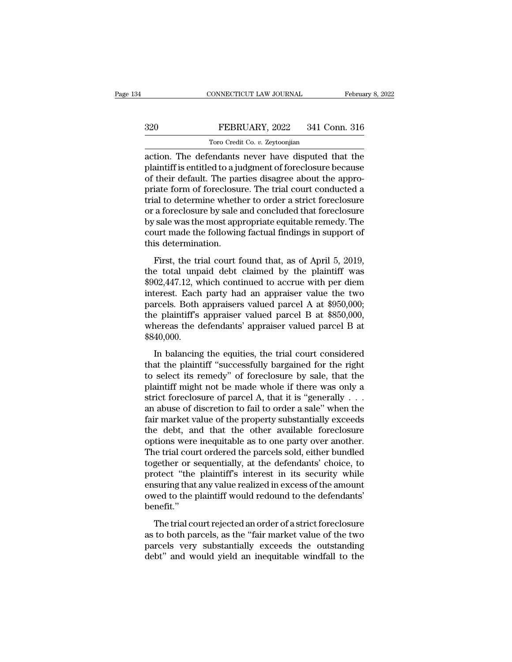# EBRUARY, 2022<br>
FEBRUARY, 2022<br>
Toro Credit Co. v. Zeytoonjian TORO CONNECTICUT LAW JOURNAL<br>FEBRUARY, 2022 341 Co.<br>Toro Credit Co. *v.* Zeytoonjian<br>endants never have disputed 1

CONNECTICUT LAW JOURNAL February 8, 2022<br>
320 FEBRUARY, 2022 341 Conn. 316<br>
Toro Credit Co. v. Zeytoonjian<br>
action. The defendants never have disputed that the<br>
plaintiff is entitled to a judgment of foreclosure because<br>
o FEBRUARY, 2022 341 Conn. 316<br>
Toro Credit Co. v. Zeytoonjian<br>
action. The defendants never have disputed that the<br>
plaintiff is entitled to a judgment of foreclosure because<br>
of their default. The parties disagree about th  $\begin{array}{c|c} \text{320} & \text{FEBRUARY, 2022} & \text{341 Conn. 316} \ \hline \text{7oro Credit Co. v. Zeytoonjian} \end{array}$ <br>action. The defendants never have disputed that the plaintiff is entitled to a judgment of foreclosure because of their default. The parties disagre  $\begin{array}{r} \text{320} & \text{FEBRUARY, 2022} & \text{341 Conn. 316} \\ \hline \text{7oro Credit Co. } v. \text{Zeytoonjian} \\ \text{action. The defendants never have displaced that the plaintiff is entitled to a judgment of foreclosure because of their default. The parties disagree about the appropriate form of foreclosure. The trial court conducted a trial to determine whether to order a strict foreclosure or a foreclosure by sale and concluded that forvelocity.} \end{array}$ The Credit Co.  $v$ . Zeytoonjian<br>action. The defendants never have disputed that the<br>plaintiff is entitled to a judgment of foreclosure because<br>of their default. The parties disagree about the appro-<br>priate form of foreclo Toro Credit Co. *v.* Zeytoonjian<br>action. The defendants never have disputed that the<br>plaintiff is entitled to a judgment of foreclosure because<br>of their default. The parties disagree about the appro-<br>priate form of foreclo action. The defendants never have disputed that the plaintiff is entitled to a judgment of foreclosure because of their default. The parties disagree about the appropriate form of foreclosure. The trial court conducted a t plaintiff is entitled to a judgment of foreclosure because<br>of their default. The parties disagree about the appro-<br>priate form of foreclosure. The trial court conducted a<br>trial to determine whether to order a strict forecl of their default. The party<br>priate form of foreclosure trial to determine wheth<br>or a foreclosure by sale as<br>by sale was the most app<br>court made the following<br>this determination.<br>First, the trial court f First, the trial court found that, as of April 5, 2019,<br>a foreclosure by sale and concluded that foreclosure<br>sale was the most appropriate equitable remedy. The<br>urt made the following factual findings in support of<br>is dete or a foreclosure by sale and concluded that foreclosure<br>by sale was the most appropriate equitable remedy. The<br>court made the following factual findings in support of<br>this determination.<br>First, the trial court found that,

by sale was the most appropriate equitable remedy. The<br>court made the following factual findings in support of<br>this determination.<br>First, the trial court found that, as of April 5, 2019,<br>the total unpaid debt claimed by t by sate mas are most appropriate equation entretay. The<br>court made the following factual findings in support of<br>this determination.<br>First, the trial court found that, as of April 5, 2019,<br>the total unpaid debt claimed by but a first, the trial court found that, as of April 5, 2019,<br>the total unpaid debt claimed by the plaintiff was<br>\$902,447.12, which continued to accrue with per diem<br>interest. Each party had an appraiser value the two<br>parc First, the trial court found that, as of April 5, 2019,<br>the total unpaid debt claimed by the plaintiff was<br>\$902,447.12, which continued to accrue with per diem<br>interest. Each party had an appraiser value the two<br>parcels. B First, the trial court found that, as of April 5, 2019,<br>the total unpaid debt claimed by the plaintiff was<br>\$902,447.12, which continued to accrue with per diem<br>interest. Each party had an appraiser value the two<br>parcels. B \$840,000. Exercist. Each party had an appraiser value the two<br>rcels. Both appraisers valued parcel A at \$950,000;<br>e plaintiff's appraiser valued parcel B at \$850,000,<br>nereas the defendants' appraiser valued parcel B at<br>40,000.<br>In ba merest. Each party had an approach value are two<br>parcels. Both appraisers valued parcel A at \$950,000;<br>the plaintiff's appraiser valued parcel B at<br>\$840,000.<br>In balancing the equities, the trial court considered<br>that the p

parecis: Doch appraisers valued pareel H at  $\frac{1}{2}$  650,000,<br>the plaintiff's appraiser valued parcel B at<br>\$840,000.<br>In balancing the equities, the trial court considered<br>that the plaintiff "successfully bargained for the whereas the defendants' appraiser valued parcel B at \$840,000.<br>In balancing the equities, the trial court considered<br>that the plaintiff "successfully bargained for the right<br>to select its remedy" of foreclosure by sale, t strict foreclosure of particles in the trial court considered<br>that the plaintiff "successfully bargained for the right<br>to select its remedy" of foreclosure by sale, that the<br>plaintiff might not be made whole if there was In balancing the equities, the trial court considered<br>that the plaintiff "successfully bargained for the right<br>to select its remedy" of foreclosure by sale, that the<br>plaintiff might not be made whole if there was only a<br>s In balancing the equities, the trial court considered<br>that the plaintiff "successfully bargained for the right<br>to select its remedy" of foreclosure by sale, that the<br>plaintiff might not be made whole if there was only a<br>s that the plaintiff "successfully bargained for the right<br>to select its remedy" of foreclosure by sale, that the<br>plaintiff might not be made whole if there was only a<br>strict foreclosure of parcel A, that it is "generally . to select its remedy" of foreclosure by sale, that the plaintiff might not be made whole if there was only a strict foreclosure of parcel A, that it is "generally . . . an abuse of discretion to fail to order a sale" when plaintiff might not be made whole if there was only a<br>strict foreclosure of parcel A, that it is "generally  $\ldots$ <br>an abuse of discretion to fail to order a sale" when the<br>fair market value of the property substantially ex strict foreclosure of parcel A, that it is "generally . . .<br>an abuse of discretion to fail to order a sale" when the<br>fair market value of the property substantially exceeds<br>the debt, and that the other available foreclosur an abuse of discretion to fail to order a sale" when the<br>fair market value of the property substantially exceeds<br>the debt, and that the other available foreclosure<br>options were inequitable as to one party over another.<br>The fair market value of the property substantially exceeds<br>the debt, and that the other available foreclosure<br>options were inequitable as to one party over another.<br>The trial court ordered the parcels sold, either bundled<br>tog the debt, and that the other available foreclosure<br>options were inequitable as to one party over another.<br>The trial court ordered the parcels sold, either bundled<br>together or sequentially, at the defendants' choice, to<br>pro benefit.'' re and court ordered are parecis sond, enter standard<br>gether or sequentially, at the defendants' choice, to<br>otect "the plaintiff's interest in its security while<br>suring that any value realized in excess of the amount<br>ved t better of sequentially, at the determinist entirely, to<br>protect "the plaintiff's interest in its security while<br>ensuring that any value realized in excess of the amount<br>owed to the plaintiff would redound to the defendants

protect and plant in matrics in the security wind<br>ensuring that any value realized in excess of the amount<br>owed to the plaintiff would redound to the defendants'<br>benefit."<br>The trial court rejected an order of a strict fore debt of the plaintiff would redound to the defendants'<br>
benefit."<br>
The trial court rejected an order of a strict foreclosure<br>
as to both parcels, as the "fair market value of the two<br>
parcels very substantially exceeds the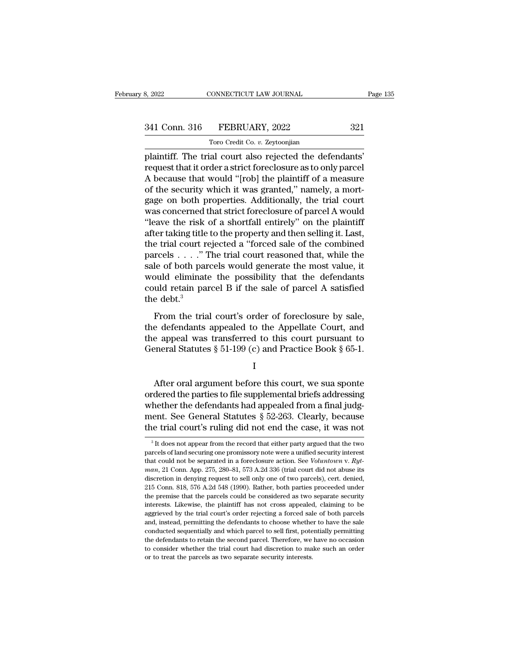TORO CONNECTICUT LAW JOURNAL<br>FEBRUARY, 2022<br>Toro Credit Co. *v.* Zeytoonjian<br>al court also rejected the defe B. 2022 CONNECTICUT LAW JOURNAL Page<br>
341 Conn. 316 FEBRUARY, 2022 321<br>
Toro Credit Co. v. Zeytoonjian<br>
plaintiff. The trial court also rejected the defendants'<br>
request that it order a strict foreclosure as to only parcel 341 Conn. 316 FEBRUARY, 2022 321<br>Toro Credit Co. v. Zeytoonjian<br>plaintiff. The trial court also rejected the defendants'<br>request that it order a strict foreclosure as to only parcel<br>A because that would "[rob] the plainti  $\frac{341 \text{ Conn. } 316 \qquad \text{FEBRUARY, } 2022 \qquad \qquad 321 \qquad \qquad \text{Toro Credit Co. } v. \text{ Zeytoonjian}}$ <br>
plaintiff. The trial court also rejected the defendants'<br>
request that it order a strict foreclosure as to only parcel<br>
A because that would "[rob] t 341 Conn. 316 FEBRUARY, 2022 321<br>Toro Credit Co.  $v$ . Zeytoonjian<br>plaintiff. The trial court also rejected the defendants'<br>request that it order a strict foreclosure as to only parcel<br>A because that would "[rob] the plain Toro Credit Co. *v.* Zeytoonjian<br>plaintiff. The trial court also rejected the defendants'<br>request that it order a strict foreclosure as to only parcel<br>A because that would "[rob] the plaintiff of a measure<br>of the security From Creati Co.  $v$ . Zeytoonjian<br>plaintiff. The trial court also rejected the defendants'<br>request that it order a strict foreclosure as to only parcel<br>A because that would "[rob] the plaintiff of a measure<br>of the security plaintiff. The trial court also rejected the defendants'<br>
request that it order a strict foreclosure as to only parcel<br>
A because that would "[rob] the plaintiff of a measure<br>
of the security which it was granted," namely, request that it order a strict foreclosure as to only parcel<br>A because that would "[rob] the plaintiff of a measure<br>of the security which it was granted," namely, a mort-<br>gage on both properties. Additionally, the trial co A because that would "[rob] the plaintiff of a measure<br>of the security which it was granted," namely, a mort-<br>gage on both properties. Additionally, the trial court<br>was concerned that strict foreclosure of parcel A would<br> of the security which it was granted," namely, a mortgage on both properties. Additionally, the trial court<br>was concerned that strict foreclosure of parcel A would<br>"leave the risk of a shortfall entirely" on the plaintiff<br> gage on both properties. Additionally, the trial court<br>was concerned that strict foreclosure of parcel A would<br>"leave the risk of a shortfall entirely" on the plaintiff<br>after taking title to the property and then selling i was concerned that strict foreclosure of parcel A would<br>
"leave the risk of a shortfall entirely" on the plaintiff<br>
after taking title to the property and then selling it. Last,<br>
the trial court rejected a "forced sale of "leave the risk of a shortfall entirely" on the plaintiff<br>after taking title to the property and then selling it. Last,<br>the trial court rejected a "forced sale of the combined<br>parcels  $\dots$ ." The trial court reasoned that, after taking title to the property and then selling it. Last,<br>the trial court rejected a "forced sale of the combined<br>parcels  $\ldots$ ." The trial court reasoned that, while the<br>sale of both parcels would generate the most v From the trial court's order of the scheme of the trial court<br>also to the trial court reasoned that, while the<br>ple of both parcels would generate the most value, it<br>build retain parcel B if the sale of parcel A satisfied<br> sale of both parcels would generate the most value, it<br>sale of both parcels would generate the most value, it<br>would retain parcel B if the sale of parcel A satisfied<br>the debt.<sup>3</sup><br>From the trial court's order of foreclosur

state of soan pareals would generate the most value, it<br>would eliminate the possibility that the defendants<br>could retain parcel B if the sale of parcel A satisfied<br>the debt.<sup>3</sup><br>From the trial court's order of foreclosure From the trial court's order of parcel A satisfied<br>the debt.<sup>3</sup><br>From the trial court's order of foreclosure by sale,<br>the defendants appealed to the Appellate Court, and<br>the appeal was transferred to this court pursuant to From the trial court's order of foreclosure by sale,<br>
e defendants appealed to the Appellate Court, and<br>
e appeal was transferred to this court pursuant to<br>
eneral Statutes § 51-199 (c) and Practice Book § 65-1.<br>
I<br>
After

I and the set of  $\mathbf{I}$ 

the defendants appealed to the Appellate Court, and<br>the appeal was transferred to this court pursuant to<br>General Statutes  $\S 51-199$  (c) and Practice Book  $\S 65-1$ .<br>I<br>After oral argument before this court, we sua sponte<br>o the appeal was transferred to this court pursuant to<br>General Statutes  $\S~51$ -199 (c) and Practice Book  $\S~65$ -1.<br>I<br>After oral argument before this court, we sua sponte<br>ordered the parties to file supplemental briefs addre General Statutes § 51-199 (c) and Practice Book § 65-1.<br>
I<br>
After oral argument before this court, we sua sponte<br>
ordered the parties to file supplemental briefs addressing<br>
whether the defendants had appealed from a fina I<br>
After oral argument before this court, we sua sponte<br>
ordered the parties to file supplemental briefs addressing<br>
whether the defendants had appealed from a final judg-<br>
ment. See General Statutes § 52-263. Clearly, be rdered the parties to file supplemental briefs addressing<br>hether the defendants had appealed from a final judg-<br>ent. See General Statutes  $\S$  52-263. Clearly, because<br>the trial court's ruling did not end the case, it was whether the defendants had appealed from a final judgment. See General Statutes  $\S 52-263$ . Clearly, because the trial court's ruling did not end the case, it was not  $\frac{3}{1}$  it does not appear from the record that eith

ment. See General Statutes § 52-263. Clearly, because<br>the trial court's ruling did not end the case, it was not<br> $a^3$ <sup>t</sup> does not appear from the record that either party argued that the two<br>parcels of land securing one p The trial COUTES Fulling GIG HOU CHCLIE Case, it was HOU<br>
<sup>3</sup> It does not appear from the record that either party argued that the two<br>
parcels of land securing one promissory note were a unified security interest<br>
that c <sup>3</sup> It does not appear from the record that either party argued that the two parcels of land securing one promissory note were a unified security interest that could not be separated in a foreclosure action. See *Voluntow* parcels of land securing one promissory note were a unified security interest that could not be separated in a foreclosure action. See *Voluntown* v.  $Rytman$ , 21 Conn. App. 275, 280–81, 573 A.2d 336 (trial court did not abu that could not be separated in a foreclosure action. See *Voluntown* v.  $Rytmann$ , 21 Conn. App. 275, 280–81, 573 A.2d 336 (trial court did not abuse its discretion in denying request to sell only one of two parcels), cert. d man, 21 Conn. App. 275, 280–81, 573 A.2d 336 (trial court did not abuse its discretion in denying request to sell only one of two parcels), cert. denied, 215 Conn. 818, 576 A.2d 548 (1990). Rather, both parties proceeded u discretion in denyite request to sell only one of two parcels), cert. denied,  $215$  Conn. 818, 576 A.2d 548 (1990). Rather, both parties proceeded under the premise that the parcels could be considered as two separate sec 215 Conn. 818, 576 A.2d 548 (1990). Rather, both parties proceeded under<br>215 Conn. 818, 576 A.2d 548 (1990). Rather, both parties proceeded under<br>the premise that the parcels could be considered as two separate security<br>in The premise that the parcels could be considered as two separate security interests. Likewise, the plaintiff has not cross appealed, claiming to be aggrieved by the trial court's order rejecting a forced sale of both parce the premise that the parcels could be considered as two separate security interests. Likewise, the plaintiff has not cross appealed, claiming to be aggrieved by the trial court's order rejecting a forced sale of both parce aggrieved by the trial court's order rejecting a forced sale of both parcels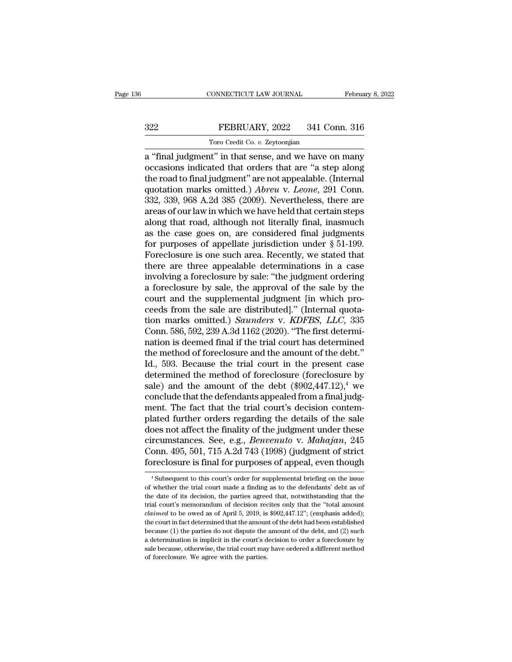# EBRUARY, 2022<br>
FEBRUARY, 2022<br>
341 Conn. 316<br>
Toro Credit Co. v. Zeytoonjian TORO CONNECTICUT LAW JOURNAL<br>FEBRUARY, 2022 341 Co.<br>Toro Credit Co. *v.* Zeytoonjian<br>It'' in that sense and we have c

CONNECTICUT LAW JOURNAL February 8, 2022<br>
322 FEBRUARY, 2022 341 Conn. 316<br>
Toro Credit Co. v. Zeytoonjian<br>
a "final judgment" in that sense, and we have on many<br>
occasions indicated that orders that are "a step along<br>
the SEPRUARY, 2022 341 Conn. 316<br>
Toro Credit Co. v. Zeytoonjian<br>
a "final judgment" in that sense, and we have on many<br>
occasions indicated that orders that are "a step along<br>
the road to final judgment" are not appealable. (  $\begin{tabular}{ c c c c} \multicolumn{1}{c}{{\bf FEBRUARY, 2022 \quad \quad 341 Conn. 316}}\\ \hline {\multicolumn{1}{c}{{\bf Toro Credit Co. $v. Zeytoonjian}}\\ \hline a \text{ ``final judgment'' in that sense, and we have on many occasions indicated that orders that are ``a step along the road to final judgment'' are not appealing. (Internal quotation marks omitted.) \textit{Abreu v. Leone, 291 Conn.}\\ \hline \end{tabular}$ FEBRUARY, 2022 341 Conn. 316<br>
Toro Credit Co. *v.* Zeytoonjian<br>
a "final judgment" in that sense, and we have on many<br>
occasions indicated that orders that are "a step along<br>
the road to final judgment" are not appealable. Toro Credit Co. *v.* Zeytoonjian<br>
a "final judgment" in that sense, and we have on many<br>
occasions indicated that orders that are "a step along<br>
the road to final judgment" are not appealable. (Internal<br>
quotation marks om Toro Creat Co.  $v$ . Zeytoonjian<br>
a "final judgment" in that sense, and we have on many<br>
occasions indicated that orders that are "a step along<br>
the road to final judgment" are not appealable. (Internal<br>
quotation marks om a "final judgment" in that sense, and we have on many<br>occasions indicated that orders that are "a step along<br>the road to final judgment" are not appealable. (Internal<br>quotation marks omitted.) Abreu v. Leone, 291 Conn.<br>332 occasions indicated that orders that are "a step along<br>the road to final judgment" are not appealable. (Internal<br>quotation marks omitted.) *Abreu* v. Leone, 291 Conn.<br>332, 339, 968 A.2d 385 (2009). Nevertheless, there are the road to final judgment" are not appealable. (Internal quotation marks omitted.) *Abreu* v. *Leone*, 291 Conn. 332, 339, 968 A.2d 385 (2009). Nevertheless, there are areas of our law in which we have held that certain quotation marks omitted.) *Abreu* v. *Leone*, 291 Conn.<br>332, 339, 968 A.2d 385 (2009). Nevertheless, there are<br>areas of our law in which we have held that certain steps<br>along that road, although not literally final, inasm 332, 339, 968 A.2d 385 (2009). Nevertheless, there are areas of our law in which we have held that certain steps<br>along that road, although not literally final, inasmuch<br>as the case goes on, are considered final judgments<br> areas of our law in which we have held that certain steps<br>along that road, although not literally final, inasmuch<br>as the case goes on, are considered final judgments<br>for purposes of appellate jurisdiction under § 51-199.<br>F along that road, although not literally final, inasmuch<br>as the case goes on, are considered final judgments<br>for purposes of appellate jurisdiction under § 51-199.<br>Foreclosure is one such area. Recently, we stated that<br>ther as the case goes on, are considered final judgments<br>for purposes of appellate jurisdiction under  $\S 51-199$ .<br>Foreclosure is one such area. Recently, we stated that<br>there are three appealable determinations in a case<br>invol for purposes of appellate jurisdiction under  $\S$  51-199.<br>Foreclosure is one such area. Recently, we stated that<br>there are three appealable determinations in a case<br>involving a foreclosure by sale. "the judgment ordering<br>a Foreclosure is one such area. Recently, we stated that<br>there are three appealable determinations in a case<br>involving a foreclosure by sale: "the judgment ordering<br>a foreclosure by sale, the approval of the sale by the<br>cour there are three appealable determinations in a case<br>involving a foreclosure by sale: "the judgment ordering<br>a foreclosure by sale, the approval of the sale by the<br>court and the supplemental judgment [in which pro-<br>ceeds fr involving a foreclosure by sale: "the judgment ordering<br>a foreclosure by sale, the approval of the sale by the<br>court and the supplemental judgment [in which pro-<br>ceeds from the sale are distributed]." (Internal quota-<br>tio a foreclosure by sale, the approval of the sale by the court and the supplemental judgment [in which proceeds from the sale are distributed]." (Internal quotation marks omitted.) *Saunders v. KDFBS, LLC*, 335 Conn. 586, 59 court and the supplemental judgment [in which proceeds from the sale are distributed]." (Internal quotation marks omitted.) *Saunders* v. *KDFBS*, *LLC*, 335 Conn. 586, 592, 239 A.3d 1162 (2020). "The first determination ceeds from the sale are distributed]." (Internal quotation marks omitted.) *Saunders* v. *KDFBS*, *LLC*, 335 Conn. 586, 592, 239 A.3d 1162 (2020). "The first determination is deemed final if the trial court has determined tion marks omitted.) *Saunders* v. *KDFBS*, *LLC*, 335<br>Conn. 586, 592, 239 A.3d 1162 (2020). "The first determi-<br>nation is deemed final if the trial court has determined<br>the method of foreclosure and the amount of the deb Conn. 586, 592, 239 A.3d 1162 (2020). "The first determination is deemed final if the trial court has determined<br>the method of foreclosure and the amount of the debt."<br>Id., 593. Because the trial court in the present case nation is deemed final if the trial court has determined<br>the method of foreclosure and the amount of the debt."<br>Id., 593. Because the trial court in the present case<br>determined the method of foreclosure (foreclosure by<br>sal the method of foreclosure and the amount of the debt."<br>Id., 593. Because the trial court in the present case<br>determined the method of foreclosure (foreclosure by<br>sale) and the amount of the debt  $(\$902,447.12)$ ,<sup>4</sup> we<br>conc Id., 593. Because the trial court in the present case<br>determined the method of foreclosure (foreclosure by<br>sale) and the amount of the debt  $(\$902,447.12)$ ,<sup>4</sup> we<br>conclude that the defendants appealed from a final judg-<br>me determined the method of foreclosure (foreclosure by<br>sale) and the amount of the debt (\$902,447.12),<sup>4</sup> we<br>conclude that the defendants appealed from a final judg-<br>ment. The fact that the trial court's decision contem-<br>pla sale) and the amount of the debt (\$902,447.12),<sup>4</sup> we<br>conclude that the defendants appealed from a final judg-<br>ment. The fact that the trial court's decision contem-<br>plated further orders regarding the details of the sale<br> conclude that the defendants appealed from a final judg-<br>ment. The fact that the trial court's decision contem-<br>plated further orders regarding the details of the sale<br>does not affect the finality of the judgment under the does not affect the finality of the judgment under these<br>circumstances. See, e.g., *Benvenuto* v. *Mahajan*, 245<br>Conn. 495, 501, 715 A.2d 743 (1998) (judgment of strict<br>foreclosure is final for purposes of appeal, even th circumstances. See, e.g., *Benvenuto* v. *Mahajan*, 245<br>Conn. 495, 501, 715 A.2d 743 (1998) (judgment of strict<br>foreclosure is final for purposes of appeal, even though<br><sup>4</sup> Subsequent to this court's order for supplemental

Conn. 495, 501, 715 A.2d 743 (1998) (judgment of strict<br>foreclosure is final for purposes of appeal, even though<br><sup>4</sup> Subsequent to this court's order for supplemental briefing on the issue<br>of whether the trial court made a foreclosure is final for purposes of appeal, even though  $\frac{4 \text{ Subsequent to this court's order for supplemental briefly on the issue of whether the trial court made a finding as to the defendants' debt as of the date of its decision, the parties agreed that, notwithstanding that the trial court's memorandum of decision recites only that the "total amount claimed to be owed as of April 5, 2019, is $902,447.12"; (emphasis added); the court in fact determined that the amount of the debt had been established.$ of whether the trial court made a finding as to the defendants' debt as of the date of its decision, the parties agreed that, notwithstanding that the trial court's memorandum of decision recites only that the "total amou <sup>4</sup> Subsequent to this court's order for supplemental briefing on the issue of whether the trial court made a finding as to the defendants' debt as of the date of its decision, the parties agreed that, notwithstanding tha because (1) the parties do not dispute the amount of the debt as of the date of its decision, the parties agreed that, notwithstanding that the trial court's memorandum of decision recites only that the "total amount *cla* the date of its decision, the parties agreed that, notwithstanding that the trial court's memorandum of decision recites only that the "total amount *claimed* to be owed as of April 5, 2019, is \$902,447.12"; (emphasis adde trial court's memorandum of decision recites only that the "total amount *claimed* to be owed as of April 5, 2019, is \$902,447.12"; (emphasis added); the court in fact determined that the amount of the debt had been estab *claimed* to be owed as of April 5, 2019, is \$902,447.12"; (emphasis added); the court in fact determined that the amount of the debt had been established because (1) the parties do not dispute the amount of the debt, and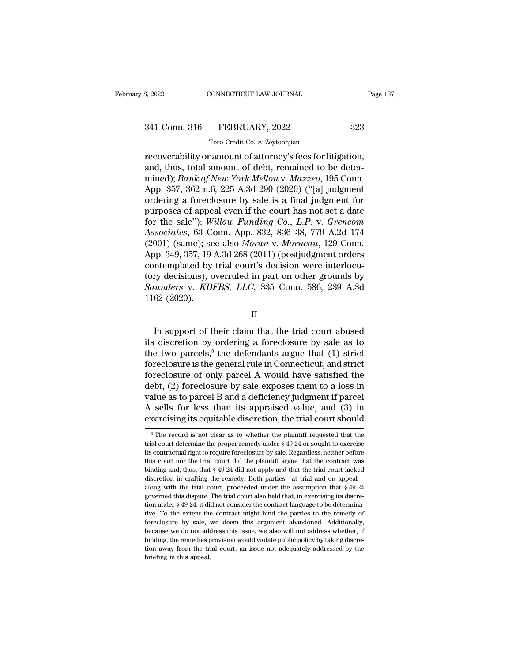TORO CONNECTICUT LAW JOURNAL<br>FEBRUARY, 2022<br>Toro Credit Co. *v.* Zeytoonjian<br>Martin Co. *v. Tero Credit Co. v. Zeytoonjian* recoverability or amount of attorney's fees for litigation,<br>and, thus, total amount of attorney's fees for litigation,<br>and, thus, total amount of debt, remained to be deter-<br>mined): Bank of New York Mellon v. Masseo, 105 C 341 Conn. 316 FEBRUARY, 2022 323<br>
Toro Credit Co. v. Zeytoonjian<br>
recoverability or amount of attorney's fees for litigation,<br>
and, thus, total amount of debt, remained to be deter-<br>
mined); *Bank of New York Mellon v. Maz* 341 Conn. 316 FEBRUARY, 2022 323<br>
Toro Credit Co. *v. Zeytoonjian*<br>
recoverability or amount of attorney's fees for litigation,<br>
and, thus, total amount of debt, remained to be deter-<br>
mined); *Bank of New York Mellon* v. 341 Conn. 316 FEBRUARY, 2022 323<br>
Toro Credit Co. v. Zeytoonjian<br>
recoverability or amount of attorney's fees for litigation,<br>
and, thus, total amount of debt, remained to be deter-<br>
mined); *Bank of New York Mellon* v. *M* Transferred a formulation of a formulation of a formulation and, thus, total amount of debt, remained to be determined); Bank of New York Mellon v. Mazzeo, 195 Conn.<br>App. 357, 362 n.6, 225 A.3d 290 (2020) ("[a] judgment o Toro Credit Co. *v.* Zeytoonjian<br>
recoverability or amount of attorney's fees for litigation,<br>
and, thus, total amount of debt, remained to be deter-<br>
mined); *Bank of New York Mellon v. Mazzeo*, 195 Conn.<br>
App. 357, 362 recoverability or amount of attorney's fees for litigation,<br>and, thus, total amount of debt, remained to be deter-<br>mined); *Bank of New York Mellon v. Mazzeo*, 195 Conn.<br>App. 357, 362 n.6, 225 A.3d 290 (2020) ("[a] judgmen and, thus, total amount of debt, remained to be deter-<br>mined); *Bank of New York Mellon v. Mazzeo*, 195 Conn.<br>App. 357, 362 n.6, 225 A.3d 290 (2020) ("[a] judgment<br>ordering a foreclosure by sale is a final judgment for<br>pur mined); *Bank of New York Mellon v. Mazzeo*, 195 Conn.<br>App. 357, 362 n.6, 225 A.3d 290 (2020) ("[a] judgment<br>ordering a foreclosure by sale is a final judgment for<br>purposes of appeal even if the court has not set a date<br>fo App. 357, 362 n.6, 225 A.3d 290 (2020) ("[a] judgment<br>ordering a foreclosure by sale is a final judgment for<br>purposes of appeal even if the court has not set a date<br>for the sale"); *Willow Funding Co., L.P. v. Grencom*<br>As ordering a foreclosure by sale is a final judgment for<br>purposes of appeal even if the court has not set a date<br>for the sale"); Willow Funding Co., L.P. v. Grencom<br>Associates, 63 Conn. App. 832, 836–38, 779 A.2d 174<br>(2001) purposes of appeal even if the court has not set a date<br>for the sale"); Willow Funding Co., L.P. v. Grencom<br>Associates, 63 Conn. App. 832, 836–38, 779 A.2d 174<br>(2001) (same); see also Moran v. Morneau, 129 Conn.<br>App. 349, for the sale"); *Willow Funding Co., L.P. v. Grencom*<br>*Associates*, 63 Conn. App. 832, 836–38, 779 A.2d 174<br>(2001) (same); see also *Moran v. Morneau*, 129 Conn.<br>App. 349, 357, 19 A.3d 268 (2011) (postjudgment orders<br>conte Associates, 63 Co.<br>(2001) (same); se<br>App. 349, 357, 19.<br>contemplated by<br>tory decisions), o<br>Saunders v. KDI<br>1162 (2020). In support of their claim that the trial court abused<br>  $\alpha$  support of their claim that the trial court abused<br>  $\alpha$  (2020).<br>
II<br>
In support of their claim that the trial court abused<br>  $\alpha$  discretion by ordering a forecl

II

tory decisions), overruled in part on other grounds by<br>
Saunders v. KDFBS, LLC, 335 Conn. 586, 239 A.3d<br>
1162 (2020).<br>
II<br>
In support of their claim that the trial court abused<br>
its discretion by ordering a foreclosure by Saunders v. KDFBS, LLC, 335 Conn. 586, 239 A.3d<br>1162 (2020).<br> $II$ <br>In support of their claim that the trial court abused<br>its discretion by ordering a foreclosure by sale as to<br>the two parcels,<sup>5</sup> the defendants argue that ( 1162 (2020).<br>
II<br>
In support of their claim that the trial court abused<br>
its discretion by ordering a foreclosure by sale as to<br>
the two parcels,<sup>5</sup> the defendants argue that (1) strict<br>
foreclosure is the general rule in II<br>In support of their claim that the trial court abused<br>its discretion by ordering a foreclosure by sale as to<br>the two parcels,<sup>5</sup> the defendants argue that (1) strict<br>foreclosure is the general rule in Connecticut, and In support of their claim that the trial court abused<br>its discretion by ordering a foreclosure by sale as to<br>the two parcels,<sup>5</sup> the defendants argue that (1) strict<br>foreclosure is the general rule in Connecticut, and str In support of their claim that the trial court abused<br>its discretion by ordering a foreclosure by sale as to<br>the two parcels,<sup>5</sup> the defendants argue that (1) strict<br>foreclosure is the general rule in Connecticut, and str its discretion by ordering a foreclosure by sale as to<br>the two parcels,<sup>5</sup> the defendants argue that (1) strict<br>foreclosure is the general rule in Connecticut, and strict<br>foreclosure of only parcel A would have satisfied the two parcels,<sup>5</sup> the defendants argue that (1) strict foreclosure is the general rule in Connecticut, and strict foreclosure of only parcel A would have satisfied the debt, (2) foreclosure by sale exposes them to a los Exercise the record is not clear as to whether the plaintiff requested that the al court should be discretion, the trial court should  $\frac{5}{n}$  The record is not clear as to whether the plaintiff requested that the al cou value as to parcel B and a deficiency judgment if parcel<br>A sells for less than its appraised value, and (3) in<br>exercising its equitable discretion, the trial court should<br> $\frac{1}{\pi}$ <br> $\frac{1}{\pi}$  The record is not clear as t

A sells for less than its appraised value, and (3) in exercising its equitable discretion, the trial court should  $\frac{1}{\pi}$  The record is not clear as to whether the plaintiff requested that the trial court determine the exercising its equitable discretion, the trial court should<br>  $\overline{ }$ <sup>5</sup> The record is not clear as to whether the plaintiff requested that the trial court determine the proper remedy under  $\S$  49-24 or sought to exercise EXET CISING ITS Equitable discretion, the trial court should<br>
<sup>5</sup> The record is not clear as to whether the plaintiff requested that the<br>
trial court determine the proper remedy under  $\S$  49-24 or sought to exercise<br>
its <sup>5</sup> The record is not clear as to whether the plaintiff requested that the trial court determine the proper remedy under  $\S$  49-24 or sought to exercise its contractual right to require foreclosure by sale. Regardless, ne along with the trial court of the trial court determine the proper remedy under  $\S$  49-24 or sought to exercise it is contractual right to require foreclosure by sale. Regardless, neither before this court nor the trial c its contractual right to require foreclosure by sale. Regardless, neither before this court nor the trial court did the plaintiff argue that the contract was binding and, thus, that  $\S$  49-24 did not apply and that the tr this court nor the trial court did the plaintiff argue that the contract was binding and, thus, that  $\S$  49-24 did not apply and that the trial court lacked discretion in crafting the remedy. Both parties—at trial and on binding and, thus, that  $\S$  49-24 did not apply and that the trial court lacked discretion in crafting the remedy. Both parties—at trial and on appeal—<br>along with the trial court, proceeded under the assumption that  $\S$  4 business that is discretion in crafting the remedy. Both parties—at trial and on appeal—<br>along with the trial court, proceeded under the assumption that  $\S$  49-24<br>governed this dispute. The trial court also held that, in along with the trial court, proceeded under the assumption that § 49-24 governed this dispute. The trial court also held that, in exercising its discretion under § 49-24, it did not consider the contract language to be det governed this dispute. The trial court also held that, in exercising its discretion under  $\S$  49-24, it did not consider the contract language to be determinative. To the extent the contract might bind the parties to the tion under § 49-24, it did not consider the contract language to be determina-<br>tive. To the extent the contract might bind the parties to the remedy of<br>foreclosure by sale, we deem this argument abandoned. Additionally,<br>b tive. To the extent the contract might bind the parties to the remedy of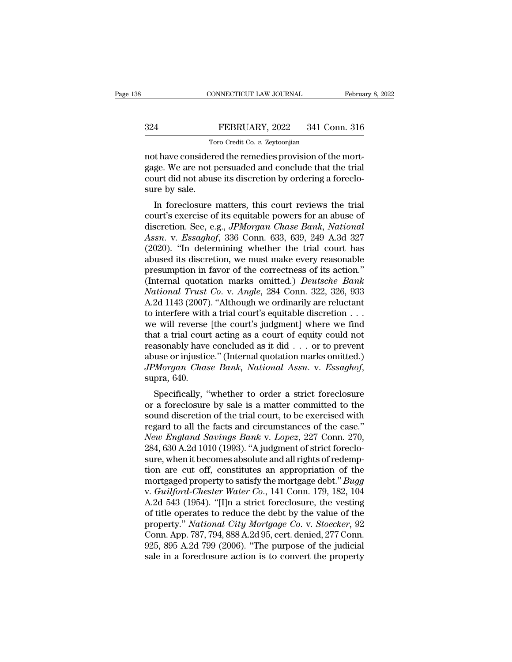# EBRUARY, 2022<br>
FEBRUARY, 2022<br>
Toro Credit Co. v. Zeytoonjian  $\begin{minipage}{.4\linewidth} \vspace{1mm} \begin{tabular}{l} \multicolumn{2}{c}{\textbf{FEBRUARY, 2022 \quad \quad 341 Cc}} \ \hline \end{tabular} \vspace{1mm} \vspace{1mm} \begin{tabular}{l} \multicolumn{2}{c}{\textbf{Toro Credit Co. $v. Zeytoonjian}} \ \hline \end{tabular} \end{minipage} \vspace{1mm} \begin{tabular}{l} \multicolumn{2}{c}{\textbf{Proof of the remediies provision of the}} \ \hline \end{tabular} \end{minipage} \vspace{1mm}$

CONNECTICUT LAW JOURNAL Februa<br>
324 FEBRUARY, 2022 341 Conn. 316<br>
Toro Credit Co. v. Zeytoonjian<br>
not have considered the remedies provision of the mort-<br>
gage. We are not persuaded and conclude that the trial<br>
gourt did n FEBRUARY, 2022 341 Conn. 316<br>Toro Credit Co. v. Zeytoonjian<br>not have considered the remedies provision of the mort-<br>gage. We are not persuaded and conclude that the trial<br>court did not abuse its discretion by ordering a fo 324 FEBRUARY, 2022 341 Conn. 316<br>
Toro Credit Co. v. Zeytoonjian<br>
not have considered the remedies provision of the mort-<br>
gage. We are not persuaded and conclude that the trial<br>
court did not abuse its discretion by orde 324<br>
To<br>
not have considere<br>
gage. We are not p<br>
court did not abus<br>
sure by sale.<br>
In foreclosure Toro Credit Co.  $v$ . Zeytoonjian<br>
t have considered the remedies provision of the mort-<br>
ge. We are not persuaded and conclude that the trial<br>
urt did not abuse its discretion by ordering a foreclo-<br>
re by sale.<br>
In forec not have considered the remedies provision of the mortgage. We are not persuaded and conclude that the trial<br>court did not abuse its discretion by ordering a foreclo-<br>sure by sale.<br>In foreclosure matters, this court review

not nave considered the remedies provision of the inort-<br>gage. We are not persuaded and conclude that the trial<br>court did not abuse its discretion by ordering a foreclo-<br>sure by sale.<br>In foreclosure matters, this court rev gage. we are not persuaded and conclude that the trial<br>court did not abuse its discretion by ordering a foreclo-<br>sure by sale.<br>In foreclosure matters, this court reviews the trial<br>court's exercise of its equitable powers f Fraction by ordering a forecto-<br>sure by sale.<br>In foreclosure matters, this court reviews the trial<br>court's exercise of its equitable powers for an abuse of<br>discretion. See, e.g., *JPMorgan Chase Bank*, *National*<br>*Assn.* v sure by sale.<br>
In foreclosure matters, this court reviews the trial<br>
court's exercise of its equitable powers for an abuse of<br>
discretion. See, e.g., *JPMorgan Chase Bank*, *National*<br> *Assn.* v. *Essaghof*, 336 Conn. 633, In foreclosure matters, this court reviews the trial<br>court's exercise of its equitable powers for an abuse of<br>discretion. See, e.g., *JPMorgan Chase Bank*, *National*<br>Assn. v. Essaghof, 336 Conn. 633, 639, 249 A.3d 327<br>(2 court's exercise of its equitable powers for an abuse of<br>discretion. See, e.g., *JPMorgan Chase Bank*, *National*<br>Assn. v. *Essaghof*, 336 Conn. 633, 639, 249 A.3d 327<br>(2020). "In determining whether the trial court has<br>ab discretion. See, e.g., *JPMorgan Chase Bank*, *National*<br>*Assn.* v. *Essaghof*, 336 Conn. 633, 639, 249 A.3d 327<br>(2020). "In determining whether the trial court has<br>abused its discretion, we must make every reasonable<br>pres Assn. v. Essaghof, 336 Conn. 633, 639, 249 A.3d 327 (2020). "In determining whether the trial court has abused its discretion, we must make every reasonable presumption in favor of the correctness of its action." (Internal (2020). "In determining whether the trial court has<br>abused its discretion, we must make every reasonable<br>presumption in favor of the correctness of its action."<br>(Internal quotation marks omitted.) *Deutsche Bank*<br>National abused its discretion, we must make every reasonable<br>presumption in favor of the correctness of its action."<br>(Internal quotation marks omitted.) *Deutsche Bank*<br>National Trust Co. v. Angle, 284 Conn. 322, 326, 933<br>A.2d 11 presumption in favor of the correctness of its action."<br>(Internal quotation marks omitted.) *Deutsche Bank*<br>National Trust Co. v. Angle, 284 Conn. 322, 326, 933<br>A.2d 1143 (2007). "Although we ordinarily are reluctant<br>to i (Internal quotation marks omitted.) *Deutsche Bank*<br>National Trust Co. v. Angle, 284 Conn. 322, 326, 933<br>A.2d 1143 (2007). "Although we ordinarily are reluctant<br>to interfere with a trial court's equitable discretion . . . National Trust Co. v. Angle, 284 Conn. 322, 326, 933<br>A.2d 1143 (2007). "Although we ordinarily are reluctant<br>to interfere with a trial court's equitable discretion . . .<br>we will reverse [the court's judgment] where we find *A.2d 1143 (2007).* "Although we ordinarily are reluctant to interfere with a trial court's equitable discretion . . . we will reverse [the court's judgment] where we find that a trial court acting as a court of equity cou E will reverse [the court s judgment] where we find<br>at a trial court acting as a court of equity could not<br>asonably have concluded as it did . . . or to prevent<br>use or injustice." (Internal quotation marks omitted.)<br>*Morga* The forecast and count acting as a court of equity could not<br>reasonably have concluded as it did . . . or to prevent<br>abuse or injustice." (Internal quotation marks omitted.)<br> $JPMorgan$  *Chase Bank*, *National Assn.* v. *Essagh* 

reasonably have concluded as it did  $\ldots$  or to be even abuse or injustice." (Internal quotation marks omitted.)<br>*JPMorgan Chase Bank*, *National Assn.* v. *Essaghof*, supra, 640.<br>Specifically, "whether to order a strict *JPMorgan Chase Bank, National Assn. v. Essaghof,*<br>*JPMorgan Chase Bank, National Assn. v. Essaghof,*<br>supra, 640.<br>Specifically, "whether to order a strict foreclosure<br>or a foreclosure by sale is a matter committed to the<br>s *NEW THROFORD* CHUSE *Dank*, *National Assn.* v. *Lssaghof*, supra, 640.<br>
Specifically, "whether to order a strict foreclosure or a foreclosure by sale is a matter committed to the sound discretion of the trial court, to Specifically, "whether to order a strict foreclosure<br>or a foreclosure by sale is a matter committed to the<br>sound discretion of the trial court, to be exercised with<br>regard to all the facts and circumstances of the case."<br>N Specifically, "whether to order a strict foreclosure<br>or a foreclosure by sale is a matter committed to the<br>sound discretion of the trial court, to be exercised with<br>regard to all the facts and circumstances of the case."<br> or a foreclosure by sale is a matter committed to the<br>sound discretion of the trial court, to be exercised with<br>regard to all the facts and circumstances of the case."<br>New England Savings Bank v. Lopez, 227 Conn. 270,<br>284 sound discretion of the trial court, to be exercised with<br>regard to all the facts and circumstances of the case."<br>*New England Savings Bank v. Lopez*, 227 Conn. 270,<br>284, 630 A.2d 1010 (1993). "A judgment of strict foreclo regard to all the facts and circumstances of the case."<br> *New England Savings Bank v. Lopez*, 227 Conn. 270,<br>
284, 630 A.2d 1010 (1993). "A judgment of strict foreclo-<br>
sure, when it becomes absolute and all rights of rede New England Savings Bank v. Lopez, 227 Conn. 270,<br>284, 630 A.2d 1010 (1993). "A judgment of strict foreclo-<br>sure, when it becomes absolute and all rights of redemp-<br>tion are cut off, constitutes an appropriation of the<br>mor 284, 630 A.2d 1010 (1993). "A judgment of strict foreclosure, when it becomes absolute and all rights of redemption are cut off, constitutes an appropriation of the mortgaged property to satisfy the mortgage debt." *Bugg* sure, when it becomes absolute and all rights of redemption are cut off, constitutes an appropriation of the<br>mortgaged property to satisfy the mortgage debt." *Bugg*<br>v. *Guilford-Chester Water Co.*, 141 Conn. 179, 182, 104 tion are cut off, constitutes an appropriation of the<br>mortgaged property to satisfy the mortgage debt." *Bugg*<br>v. *Guilford-Chester Water Co.*, 141 Conn. 179, 182, 104<br>A.2d 543 (1954). "[I]n a strict foreclosure, the vesti mortgaged property to satisfy the mortgage debt." *Bugg*<br>v. *Guilford-Chester Water Co.*, 141 Conn. 179, 182, 104<br>A.2d 543 (1954). "[I]n a strict foreclosure, the vesting<br>of title operates to reduce the debt by the value o v. *Guilford-Chester Water Co.*, 141 Conn. 179, 182, 104<br>A.2d 543 (1954). "[I]n a strict foreclosure, the vesting<br>of title operates to reduce the debt by the value of the<br>property." *National City Mortgage Co.* v. *Stoecke*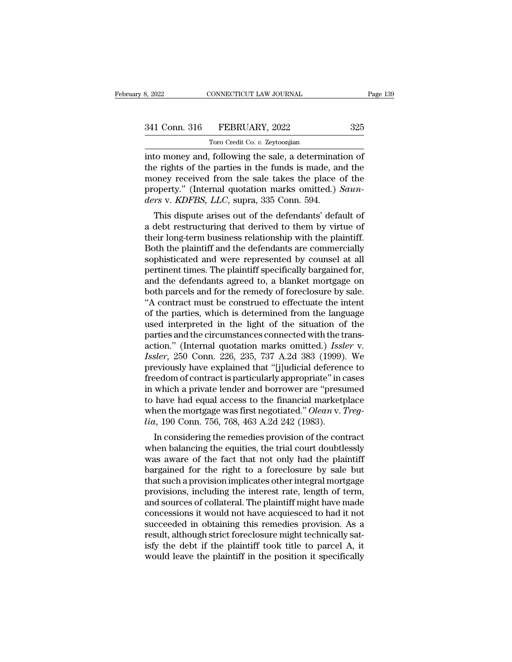| 8, 2022       | CONNECTICUT LAW JOURNAL        | Page 139 |
|---------------|--------------------------------|----------|
| 341 Conn. 316 | FEBRUARY, 2022                 | 325      |
|               | Toro Credit Co. v. Zeytoonjian |          |

TORO CONNECTICUT LAW JOURNAL<br>FEBRUARY, 2022<br>Toro Credit Co. *v.* Zeytoonjian<br>following the sale a determin EXECTIVE SOFTIGHT SOFTIGHT AND SOFTIME AND SERVING MANUS Page 13:<br>
341 Conn. 316 FEBRUARY, 2022 325<br>
1700 Credit Co. v. Zeytoonjian<br>
25 Toro Credit Co. v. Zeytoonjian<br>
into money and, following the sale, a determination of 341 Conn. 316 FEBRUARY, 2022 325<br>Toro Credit Co. v. Zeytoonjian<br>into money and, following the sale, a determination of<br>the rights of the parties in the funds is made, and the<br>money received from the sale takes the place of 341 Conn. 316 FEBRUARY, 2022 325<br>Toro Credit Co. v. Zeytoonjian<br>into money and, following the sale, a determination of<br>the rights of the parties in the funds is made, and the<br>money received from the sale takes the place o **Property.** 316 **FEBRUARY**, 2022 325<br>
Toro Credit Co. *v.* Zeytoonjian<br>
into money and, following the sale, a determination of<br>
the rights of the parties in the funds is made, and the<br>
money received from the sale takes th *Toro Credit Co. v. Zeytoonjian*<br>*ders* v. *K determinat*<br>the rights of the parties in the funds is made, are money received from the sale takes the place of<br>property." (Internal quotation marks omitted.) *iders* v. *KDF* to money and, following the sale, a determination of<br>e rights of the parties in the funds is made, and the<br>oney received from the sale takes the place of the<br>operty." (Internal quotation marks omitted.) *Saun-<br>rs* v. *KDFB* mo money and, following the sale, a determination of<br>the rights of the parties in the funds is made, and the<br>money received from the sale takes the place of the<br>property." (Internal quotation marks omitted.) *Saun-<br>ders* v

the rights of the parties in the runts is made, and the<br>money received from the sale takes the place of the<br>property." (Internal quotation marks omitted.) *Saun-<br>ders* v. *KDFBS*, *LLC*, supra, 335 Conn. 594.<br>This dispute money received front the safe takes the place of the<br>property." (Internal quotation marks omitted.) *Saun-<br>ders v. KDFBS, LLC*, supra, 335 Conn. 594.<br>This dispute arises out of the defendants' default of<br>a debt restructuri property. (Internal quotation marks onlitted.) Suan-<br>ders v. KDFBS, LLC, supra, 335 Conn. 594.<br>This dispute arises out of the defendants' default of<br>a debt restructuring that derived to them by virtue of<br>their long-term bu ders v. ADPB3, EEC, supra, 333 Confi. 354.<br>This dispute arises out of the defendants' default of<br>a debt restructuring that derived to them by virtue of<br>their long-term business relationship with the plaintiff.<br>Both the pla This dispute arises out of the defendants' default of<br>a debt restructuring that derived to them by virtue of<br>their long-term business relationship with the plaintiff.<br>Both the plaintiff and the defendants are commercially<br> a debt restructuring that derived to them by virtue of<br>their long-term business relationship with the plaintiff.<br>Both the plaintiff and the defendants are commercially<br>sophisticated and were represented by counsel at all<br>p their long-term business relationship with the plaintiff.<br>Both the plaintiff and the defendants are commercially<br>sophisticated and were represented by counsel at all<br>pertinent times. The plaintiff specifically bargained fo Both the plaintiff and the defendants are commercially<br>sophisticated and were represented by counsel at all<br>pertinent times. The plaintiff specifically bargained for,<br>and the defendants agreed to, a blanket mortgage on<br>bot sophisticated and were represented by counsel at all<br>pertinent times. The plaintiff specifically bargained for,<br>and the defendants agreed to, a blanket mortgage on<br>both parcels and for the remedy of foreclosure by sale.<br>"A pertinent times. The plaintiff specifically bargained for,<br>and the defendants agreed to, a blanket mortgage on<br>both parcels and for the remedy of foreclosure by sale.<br>"A contract must be construed to effectuate the intent and the defendants agreed to, a blanket mortgage on<br>both parcels and for the remedy of foreclosure by sale.<br>"A contract must be construed to effectuate the intent<br>of the parties, which is determined from the language<br>used both parcels and for the remedy of foreclosure by sale.<br>
"A contract must be construed to effectuate the intent<br>
of the parties, which is determined from the language<br>
used interpreted in the light of the situation of the<br> "A contract must be construed to effectuate the intent<br>of the parties, which is determined from the language<br>used interpreted in the light of the situation of the<br>parties and the circumstances connected with the trans-<br>ac of the parties, which is determined from the language<br>used interpreted in the light of the situation of the<br>parties and the circumstances connected with the trans-<br>action." (Internal quotation marks omitted.) *Issler* v.<br>I used interpreted in the light of the situation of the<br>parties and the circumstances connected with the trans-<br>action." (Internal quotation marks omitted.) *Issler* v.<br>*Issler*, 250 Conn. 226, 235, 737 A.2d 383 (1999). We<br>p parties and the circumstances connected with the trans-<br>action." (Internal quotation marks omitted.) *Issler* v.<br>*Issler*, 250 Conn. 226, 235, 737 A.2d 383 (1999). We<br>previously have explained that "[j]udicial deference t action." (Internal quotation marks omitted.) *Issler* v.<br>*Issler*, 250 Conn. 226, 235, 737 A.2d 383 (1999). We<br>previously have explained that "[j]udicial deference to<br>freedom of contract is particularly appropriate" in cas *Issler*, 250 Conn. 226, 235, 737 A.2d 383 (1999).<br>previously have explained that "[j]udicial deferent<br>freedom of contract is particularly appropriate" in c<br>in which a private lender and borrower are "presu<br>to have had equ Evidisity have explained that Iffudicial deference to<br>redom of contract is particularly appropriate" in cases<br>which a private lender and borrower are "presumed<br>have had equal access to the financial marketplace<br>nen the mo meedon of contract is particularly appropriate in cases<br>in which a private lender and borrower are "presumed<br>to have had equal access to the financial marketplace<br>when the mortgage was first negotiated." Olean v. Treg-<br>lia

In which a private lender and borrower are presumed<br>to have had equal access to the financial marketplace<br>when the mortgage was first negotiated." Olean v. Treg-<br>lia, 190 Conn. 756, 768, 463 A.2d 242 (1983).<br>In considering to have had equal access to the mialclar market<br>place when the mortgage was first negotiated." Olean v. Treg-<br> $lia$ , 190 Conn. 756, 768, 463 A.2d 242 (1983).<br>In considering the remedies provision of the contract<br>when balanc when the mortgage was first hegotiated. Orient v. 17eg-<br>  $lia$ , 190 Conn. 756, 768, 463 A.2d 242 (1983).<br>
In considering the remedies provision of the contract<br>
when balancing the equities, the trial court doubtlessly<br>
was *Formalien 1990* Connict 750, 708, 405 A.2d 242 (1985).<br>
In considering the remedies provision of the contract<br>
when balancing the equities, the trial court doubtlessly<br>
was aware of the fact that not only had the plainti In considering the remedies provision of the contract<br>when balancing the equities, the trial court doubtlessly<br>was aware of the fact that not only had the plaintiff<br>bargained for the right to a foreclosure by sale but<br>tha when balancing the equities, the trial court doubtlessly<br>was aware of the fact that not only had the plaintiff<br>bargained for the right to a foreclosure by sale but<br>that such a provision implicates other integral mortgage<br>p was aware of the fact that not only had the plaintiff<br>bargained for the right to a foreclosure by sale but<br>that such a provision implicates other integral mortgage<br>provisions, including the interest rate, length of term,<br>a bargained for the right to a foreclosure by sale but<br>that such a provision implicates other integral mortgage<br>provisions, including the interest rate, length of term,<br>and sources of collateral. The plaintiff might have mad that such a provision implicates other integral mortgage<br>provisions, including the interest rate, length of term,<br>and sources of collateral. The plaintiff might have made<br>concessions it would not have acquiesced to had it provisions, including the interest rate, length of term, and sources of collateral. The plaintiff might have made concessions it would not have acquiesced to had it not succeeded in obtaining this remedies provision. As a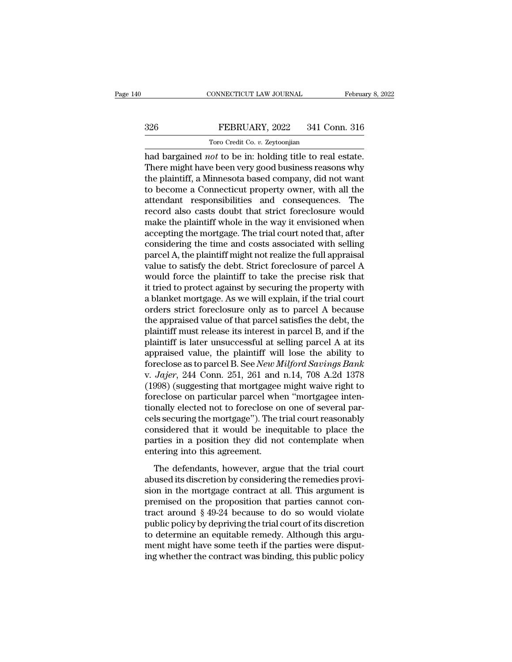# EBRUARY, 2022<br>
FEBRUARY, 2022<br>
Toro Credit Co. v. Zeytoonjian TORO CONNECTICUT LAW JOURNAL<br>FEBRUARY, 2022 341 Co.<br>Toro Credit Co. *v.* Zeytoonjian<br>Cot to be in: holding title to rea

CONNECTICUT LAW JOURNAL February 8, 2<br>
FEBRUARY, 2022 341 Conn. 316<br>
Toro Credit Co. *v.* Zeytoonjian<br>
had bargained *not* to be in: holding title to real estate.<br>
There might have been very good business reasons why<br>
the There are might have been very good business reasons why<br>the plaintiff, a Minnesota based company, did not want<br>the plaintiff, a Minnesota based company, did not want<br>to become a Connecticut property event with all the  $\begin{tabular}{ll} \multicolumn{1}{l}{{\bf FEBRUARY, 2022 \quad \quad 341 Conn. 316}}\\ \hline & {\color{red}\text{Toro Credit Co. $v$.} \text{Zeytoonjian}}\\ \hline \text{had bargained $not$ to be in: holding title to real estate.}\\ \text{There might have been very good business reasons why the plaintiff, a Minnesota based company, did not want to become a Connecticut property owner, with all the attachment, responsibilities, and, consequences. The\n$ to become a Connecticut property owner, with all the Toro Credit Co. *v.* Zeytoonjian<br>had bargained *not* to be in: holding title to real estate.<br>There might have been very good business reasons why<br>the plaintiff, a Minnesota based company, did not want<br>to become a Connectic Transferred also create to  $v$ . Zeytoonyian<br>had bargained *not* to be in: holding title to real estate.<br>There might have been very good business reasons why<br>the plaintiff, a Minnesota based company, did not want<br>to become had bargained *not* to be in: holding title to real estate.<br>There might have been very good business reasons why<br>the plaintiff, a Minnesota based company, did not want<br>to become a Connecticut property owner, with all the<br>a There might have been very good business reasons why<br>the plaintiff, a Minnesota based company, did not want<br>to become a Connecticut property owner, with all the<br>attendant responsibilities and consequences. The<br>record also the plaintiff, a Minnesota based company, did not want<br>to become a Connecticut property owner, with all the<br>attendant responsibilities and consequences. The<br>record also casts doubt that strict foreclosure would<br>make the pl to become a Connecticut property owner, with all the attendant responsibilities and consequences. The record also casts doubt that strict foreclosure would make the plaintiff whole in the way it envisioned when accepting t attendant responsibilities and consequences. The<br>record also casts doubt that strict foreclosure would<br>make the plaintiff whole in the way it envisioned when<br>accepting the mortgage. The trial court noted that, after<br>consid record also casts doubt that strict foreclosure would<br>make the plaintiff whole in the way it envisioned when<br>accepting the mortgage. The trial court noted that, after<br>considering the time and costs associated with selling<br> make the plaintiff whole in the way it envisioned when<br>accepting the mortgage. The trial court noted that, after<br>considering the time and costs associated with selling<br>parcel A, the plaintiff might not realize the full app accepting the mortgage. The trial court noted that, after considering the time and costs associated with selling parcel A, the plaintiff might not realize the full appraisal value to satisfy the debt. Strict foreclosure of considering the time and costs associated with selling<br>parcel A, the plaintiff might not realize the full appraisal<br>value to satisfy the debt. Strict foreclosure of parcel A<br>would force the plaintiff to take the precise ri parcel A, the plaintiff might not realize the full appraisal<br>value to satisfy the debt. Strict foreclosure of parcel A<br>would force the plaintiff to take the precise risk that<br>it tried to protect against by securing the pro value to satisfy the debt. Strict foreclosure of parcel A<br>would force the plaintiff to take the precise risk that<br>it tried to protect against by securing the property with<br>a blanket mortgage. As we will explain, if the tri would force the plaintiff to take the precise risk that<br>it tried to protect against by securing the property with<br>a blanket mortgage. As we will explain, if the trial court<br>orders strict foreclosure only as to parcel A bec it tried to protect against by securing the property with<br>a blanket mortgage. As we will explain, if the trial court<br>orders strict foreclosure only as to parcel A because<br>the appraised value of that parcel satisfies the d a blanket mortgage. As we will explain, if the trial court<br>orders strict foreclosure only as to parcel A because<br>the appraised value of that parcel satisfies the debt, the<br>plaintiff must release its interest in parcel B, a orders strict foreclosure only as to parcel A because<br>the appraised value of that parcel satisfies the debt, the<br>plaintiff must release its interest in parcel B, and if the<br>plaintiff is later unsuccessful at selling parcel the appraised value of that parcel satisfies the debt, the plaintiff must release its interest in parcel B, and if the plaintiff is later unsuccessful at selling parcel A at its appraised value, the plaintiff will lose the plaintiff must release its interest in parcel B, and if the plaintiff is later unsuccessful at selling parcel A at its appraised value, the plaintiff will lose the ability to foreclose as to parcel B. See *New Milford Savi* plaintiff is later unsuccessful at selling parcel A at its<br>appraised value, the plaintiff will lose the ability to<br>foreclose as to parcel B. See *New Milford Savings Bank*<br>v. *Jajer*, 244 Conn. 251, 261 and n.14, 708 A.2d appraised value, the plaintiff will lose the ability to<br>foreclose as to parcel B. See *New Milford Savings Bank*<br>v. *Jajer*, 244 Conn. 251, 261 and n.14, 708 A.2d 1378<br>(1998) (suggesting that mortgagee might waive right to foreclose as to parcel B. See *New Milford Savings Bank*<br>v. *Jajer*, 244 Conn. 251, 261 and n.14, 708 A.2d 1378<br>(1998) (suggesting that mortgagee might waive right to<br>foreclose on particular parcel when "mortgagee inten-<br>t v. Jajer, 244 Conn. 251, 261 and n.14, 708 A.2d 1378<br>(1998) (suggesting that mortgagee might waive right to<br>foreclose on particular parcel when "mortgagee inten-<br>tionally elected not to foreclose on one of several par-<br>cel (1998) (suggesting that mortgagee<br>foreclose on particular parcel whe<br>tionally elected not to foreclose on<br>cels securing the mortgage"). The t<br>considered that it would be ineq<br>parties in a position they did not<br>entering int The defendants particular particle interfering the mortgage.<br>The defected not to foreclose on one of several parties in a position they did not contemplate the referrence in a position they did not contemplate when tering abused its discretion of the critical particles securing the mortgage"). The trial court reasonably considered that it would be inequitable to place the parties in a position they did not contemplate when entering into thi

considered that it would be inequitable to place the<br>parties in a position they did not contemplate when<br>entering into this agreement.<br>The defendants, however, argue that the trial court<br>abused its discretion by consideri parties in a position they did not contemplate when<br>entering into this agreement.<br>The defendants, however, argue that the trial court<br>abused its discretion by considering the remedies provi-<br>sion in the mortgage contract Frances In a position andy and not concemprate when<br>entering into this agreement.<br>The defendants, however, argue that the trial court<br>abused its discretion by considering the remedies provi-<br>sion in the mortgage contract a The defendants, however, argue that the trial court<br>abused its discretion by considering the remedies provi-<br>sion in the mortgage contract at all. This argument is<br>premised on the proposition that parties cannot con-<br>trac The defendants, however, argue that the trial court<br>abused its discretion by considering the remedies provi-<br>sion in the mortgage contract at all. This argument is<br>premised on the proposition that parties cannot con-<br>tract abused its discretion by considering the remedies provision in the mortgage contract at all. This argument is<br>premised on the proposition that parties cannot con-<br>tract around § 49-24 because to do so would violate<br>public sion in the mortgage contract at all. This argument is<br>premised on the proposition that parties cannot con-<br>tract around § 49-24 because to do so would violate<br>public policy by depriving the trial court of its discretion<br>t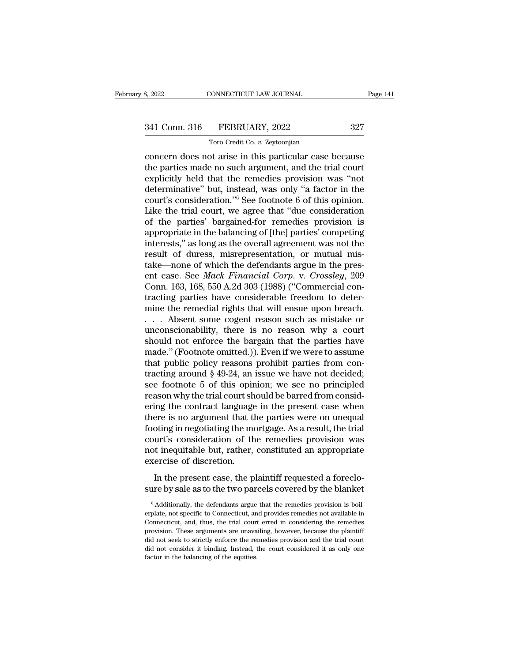# 341 Conn. 316 FEBRUARY, 2022 327<br>Toro Credit Co. v. Zeytoonjian

TORO CONNECTICUT LAW JOURNAL<br>FEBRUARY, 2022<br>Toro Credit Co. *v.* Zeytoonjian<br>of arise in this narticular case l Examples 2022<br>
S. 2022<br>
S. 2022<br>
Conn. 316 FEBRUARY, 2022<br>
Toro Credit Co. v. Zeytoonjian<br>
Concern does not arise in this particular case because<br>
the parties made no such argument, and the trial court<br>
conclicitly hold th 341 Conn. 316 FEBRUARY, 2022 327<br>
Toro Credit Co. v. Zeytoonjian<br>
concern does not arise in this particular case because<br>
the parties made no such argument, and the trial court<br>
explicitly held that the remedies provision 341 Conn. 316 FEBRUARY, 2022 327<br>
Toro Credit Co. v. Zeytoonjian<br>
concern does not arise in this particular case because<br>
the parties made no such argument, and the trial court<br>
explicitly held that the remedies provision 341 Conn. 316 FEBRUARY, 2022 327<br>
Toro Credit Co. v. Zeytoonjian<br>
concern does not arise in this particular case because<br>
the parties made no such argument, and the trial court<br>
explicitly held that the remedies provision Toro Credit Co. *v.* Zeytoonjian<br>
concern does not arise in this particular case because<br>
the parties made no such argument, and the trial court<br>
explicitly held that the remedies provision was "not<br>
determinative" but, in Trow Credit Co.  $v$ . Zeytoonyian<br>
concern does not arise in this particular case because<br>
the parties made no such argument, and the trial court<br>
explicitly held that the remedies provision was "not<br>
determinative" but, i concern does not arise in this particular case because<br>the parties made no such argument, and the trial court<br>explicitly held that the remedies provision was "not<br>determinative" but, instead, was only "a factor in the<br>cour the parties made no such argument, and the trial court<br>explicitly held that the remedies provision was "not<br>determinative" but, instead, was only "a factor in the<br>court's consideration."<sup>6</sup> See footnote 6 of this opinion.<br> explicitly held that the remedies provision was "not<br>determinative" but, instead, was only "a factor in the<br>court's consideration."<sup>6</sup> See footnote 6 of this opinion.<br>Like the trial court, we agree that "due consideration<br> determinative" but, instead, was only "a factor in the court's consideration."<sup>6</sup> See footnote 6 of this opinion.<br>Like the trial court, we agree that "due consideration<br>of the parties' bargained-for remedies provision is<br>a court's consideration."<sup>6</sup> See footnote 6 of this opinion.<br>Like the trial court, we agree that "due consideration<br>of the parties' bargained-for remedies provision is<br>appropriate in the balancing of [the] parties' competin Like the trial court, we agree that "due consideration<br>of the parties' bargained-for remedies provision is<br>appropriate in the balancing of [the] parties' competing<br>interests," as long as the overall agreement was not the<br>r of the parties' bargained-for remedies provision is<br>appropriate in the balancing of [the] parties' competing<br>interests," as long as the overall agreement was not the<br>result of duress, misrepresentation, or mutual mis-<br>take appropriate in the balancing of [the] parties' competing<br>interests," as long as the overall agreement was not the<br>result of duress, misrepresentation, or mutual mis-<br>take—none of which the defendants argue in the pres-<br>ent interests," as long as the overall agreement was not the<br>result of duress, misrepresentation, or mutual mis-<br>take—none of which the defendants argue in the pres-<br>ent case. See *Mack Financial Corp.* v. *Crossley*, 209<br>Conn result of duress, misrepresentation, or mutual mis-<br>take—none of which the defendants argue in the pres-<br>ent case. See *Mack Financial Corp.* v. *Crossley*, 209<br>Conn. 163, 168, 550 A.2d 303 (1988) ("Commercial con-<br>tracti take—none of which the defendants argue in the present case. See *Mack Financial Corp.* v. *Crossley*, 209 Conn. 163, 168, 550 A.2d 303 (1988) ("Commercial contracting parties have considerable freedom to determine the re ent case. See *Mack Financial Corp.* v. *Crossley*, 209<br>Conn. 163, 168, 550 A.2d 303 (1988) ("Commercial con-<br>tracting parties have considerable freedom to deter-<br>mine the remedial rights that will ensue upon breach.<br>... A Conn. 163, 168, 550 A.2d 303 (1988) ("Commercial contracting parties have considerable freedom to determine the remedial rights that will ensue upon breach.<br>  $\ldots$  Absent some cogent reason such as mistake or unconscionab tracting parties have considerable freedom to determine the remedial rights that will ensue upon breach.<br>
... Absent some cogent reason such as mistake or<br>
unconscionability, there is no reason why a court<br>
should not enf mine the remedial rights that will ensue upon breach.<br>  $\ldots$  Absent some cogent reason such as mistake or<br>
unconscionability, there is no reason why a court<br>
should not enforce the bargain that the parties have<br>
made." (F ... Absent some cogent reason such as mistake or<br>unconscionability, there is no reason why a court<br>should not enforce the bargain that the parties have<br>made." (Footnote omitted.)). Even if we were to assume<br>that public po unconscionability, there is no reason why a court<br>should not enforce the bargain that the parties have<br>made." (Footnote omitted.)). Even if we were to assume<br>that public policy reasons prohibit parties from con-<br>tracting should not enforce the bargain that the parties have<br>made." (Footnote omitted.)). Even if we were to assume<br>that public policy reasons prohibit parties from con-<br>tracting around § 49-24, an issue we have not decided;<br>see f made." (Footnote omitted.)). Even if we were to assume<br>that public policy reasons prohibit parties from con-<br>tracting around  $\S 49-24$ , an issue we have not decided;<br>see footnote 5 of this opinion; we see no principled<br>re that public policy reasons prohibit parties from contracting around § 49-24, an issue we have not decided;<br>see footnote 5 of this opinion; we see no principled<br>reason why the trial court should be barred from consid-<br>ering tracting around  $\S$  49-24, an issue we have not decided;<br>see footnote 5 of this opinion; we see no principled<br>reason why the trial court should be barred from consid-<br>ering the contract language in the present case when<br>t see footnote 5 of this opinion; we see no principled<br>reason why the trial court should be barred from consid-<br>ering the contract language in the present case when<br>there is no argument that the parties were on unequal<br>footi reason why the trial court sh<br>ering the contract language<br>there is no argument that tl<br>footing in negotiating the me<br>court's consideration of th<br>not inequitable but, rather,<br>exercise of discretion.<br>In the present case, the In the present case, when<br>there is no argument that the parties were on unequal<br>oting in negotiating the mortgage. As a result, the trial<br>urt's consideration of the remedies provision was<br>t inequitable but, rather, constit s no argument that the parties were on ancidiate footing in negotiating the mortgage. As a result, the trial court's consideration of the remedies provision was not inequitable but, rather, constituted an appropriate exerc

Fractionally, the plaintiff requested a forecloure by sale as to the two parcels covered by the blanket  $\frac{6}{6}$  Additionally, the defendants argue that the remedies provision is boil-plate, not specific to Connecticut,

In the present case, the plaintiff requested a foreclosure by sale as to the two parcels covered by the blanket  $\frac{1}{6}$  Additionally, the defendants argue that the remedies provision is boilerplate, not specific to Conn In the present case, the plaintiff requested a foreclosure by sale as to the two parcels covered by the blanket  $\frac{1}{6}$  Additionally, the defendants argue that the remedies provision is boilerplate, not specific to Conn sure by sale as to the two parcels covered by the blanket  $\overline{\phantom{a}}$   $\overline{\phantom{a}}$  and  $\overline{\phantom{a}}$  and  $\overline{\phantom{a}}$  argue that the remedies provision is boilerplate, not specific to Connecticut, and provides remedies not av Sure by safe as to the two parters covered by the blanket<br>  $\delta$  Additionally, the defendants argue that the remedies provision is boil-<br>
erplate, not specific to Connecticut, and provides remedies not available in<br>
Connec  $^\circ$  Additionally, the defendants argue that the remedies provision is boilerplate, not specific to Connecticut, and provides remedies not available in Connecticut, and, thus, the trial court erred in considering the reme erplate, not specific to Connecticut, and provides remedies not available in Connecticut, and, thus, the trial court erred in considering the remedies provision. These arguments are unavailing, however, because the plainti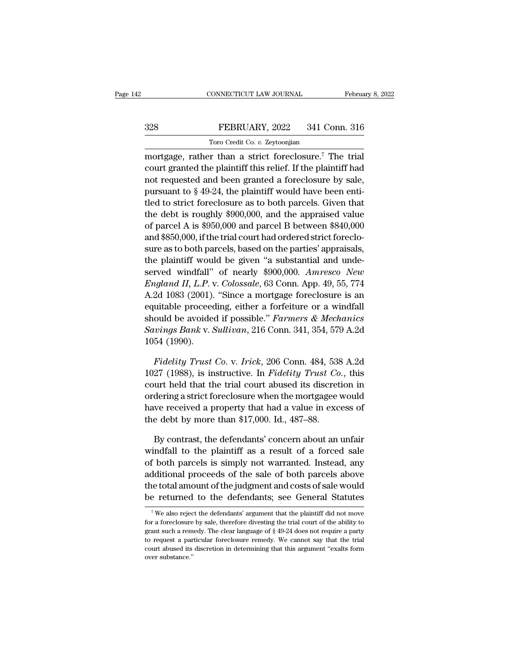# EBRUARY, 2022<br>
FEBRUARY, 2022<br>
Toro Credit Co. v. Zeytoonjian EXECTICUT LAW JOURNAL<br>FEBRUARY, 2022 341 Co.<br>Toro Credit Co. *v.* Zeytoonjian<br>r than a strict foreclosure<sup>7</sup> T

CONNECTICUT LAW JOURNAL February 8, 20<br>
Toro Credit Co. v. Zeytoonjian<br>
Toro Credit Co. v. Zeytoonjian<br>
Toro Credit Co. v. Zeytoonjian<br>
Toro Credit Co. v. Zeytoonjian<br>
Court granted the plaintiff this relief. If the plaint 328 FEBRUARY, 2022 341 Conn. 316<br>Toro Credit Co. v. Zeytoonjian<br>mortgage, rather than a strict foreclosure.<sup>7</sup> The trial<br>court granted the plaintiff this relief. If the plaintiff had<br>not requested and been granted a forec 328 FEBRUARY, 2022 341 Conn. 316<br>
Toro Credit Co. *v.* Zeytoonjian<br>
mortgage, rather than a strict foreclosure.<sup>7</sup> The trial<br>
court granted the plaintiff this relief. If the plaintiff had<br>
not requested and been granted a **PURSUARY, 2022** 341 Conn. 316<br>
Toro Credit Co. v. Zeytoonjian<br>
mortgage, rather than a strict foreclosure.<sup>7</sup> The trial<br>
court granted the plaintiff this relief. If the plaintiff had<br>
not requested and been granted a for Toro Credit Co. v. Zeytoonjian<br>mortgage, rather than a strict foreclosure.<sup>7</sup> The trial<br>court granted the plaintiff this relief. If the plaintiff had<br>not requested and been granted a foreclosure by sale,<br>pursuant to § 49mortgage, rather than a strict foreclosure.<sup>7</sup> The trial<br>court granted the plaintiff this relief. If the plaintiff had<br>not requested and been granted a foreclosure by sale,<br>pursuant to § 49-24, the plaintiff would have bee mortgage, rather than a strict foreclosure. The trial<br>court granted the plaintiff this relief. If the plaintiff had<br>not requested and been granted a foreclosure by sale,<br>pursuant to  $\S 49-24$ , the plaintiff would have bee court granted the plaintiff this reflet. If the plaintiff nad<br>not requested and been granted a foreclosure by sale,<br>pursuant to  $\S$  49-24, the plaintiff would have been enti-<br>tled to strict foreclosure as to both parcels. not requested and been granted a foreclosure by sale,<br>pursuant to § 49-24, the plaintiff would have been enti-<br>tled to strict foreclosure as to both parcels. Given that<br>the debt is roughly \$900,000, and the appraised valu pursuant to  $\frac{1}{8}$  49-24, the plaintiff would have been enti-<br>tled to strict foreclosure as to both parcels. Given that<br>the debt is roughly \$900,000, and the appraised value<br>of parcel A is \$950,000 and parcel B between the debt is roughly \$900,000, and the appraised value<br>of parcel A is \$950,000 and parcel B between \$840,000<br>and \$850,000, if the trial court had ordered strict foreclo-<br>sure as to both parcels, based on the parties' apprai *England II, L.P.* v. *Colossale*, 63 Conn. App. 49, 55, 774<br>*England 18850,000*, if the trial court had ordered strict foreclosure as to both parcels, based on the parties' appraisals,<br>the plaintiff would be given "a subs or parcel A is \$950,000 and parcel B between \$640,000<br>and \$850,000, if the trial court had ordered strict foreclo-<br>sure as to both parcels, based on the parties' appraisals,<br>the plaintiff would be given "a substantial and and  $\delta$ 850,000, if the trial court had ordered strict forecto-<br>sure as to both parcels, based on the parties' appraisals,<br>the plaintiff would be given "a substantial and unde-<br>served windfall" of nearly  $$900,000$ . *Amre* sure as to both parcels, based on the parties appraisals,<br>the plaintiff would be given "a substantial and unde-<br>served windfall" of nearly \$900,000. *Amresco New*<br>*England II, L.P.* v. *Colossale*, 63 Conn. App. 49, 55, 77 Interpath would be given a substantial and unde-<br>served windfall" of nearly \$900,000. *Amresco New*<br>*England II, L.P. v. Colossale,* 63 Conn. App. 49, 55, 774<br>A.2d 1083 (2001). "Since a mortgage foreclosure is an<br>equitable served windfall" of nearly \$900,000. Amresco New<br>England II, L.P. v. Colossale, 63 Conn. App. 49, 55, 774<br>A.2d 1083 (2001). "Since a mortgage foreclosure is an<br>equitable proceeding, either a forfeiture or a windfall<br>should 2d 1083 (2001). "Since a mortgage foreclosure is an<br>uitable proceeding, either a forfeiture or a windfall<br>ould be avoided if possible." *Farmers & Mechanics*<br>vings Bank v. Sullivan, 216 Conn. 341, 354, 579 A.2d<br>54 (1990).<br> equitable proceeding, either a forfeiture or a windfall<br>should be avoided if possible." *Farmers & Mechanics*<br>Savings Bank v. Sullivan, 216 Conn. 341, 354, 579 A.2d<br>1054 (1990).<br>*Fidelity Trust Co.* v. *Irick*, 206 Conn. 4

should be avoided if possible." Farmers & Mechanics<br>
Savings Bank v. Sullivan, 216 Conn. 341, 354, 579 A.2d<br>
1054 (1990).<br>
Fidelity Trust Co. v. Irick, 206 Conn. 484, 538 A.2d<br>
1027 (1988), is instructive. In Fidelity Tru Savings Bank v. Sullivan, 216 Conn. 341, 354, 579 A.2d<br>1054 (1990).<br>Fidelity Trust Co. v. Irick, 206 Conn. 484, 538 A.2d<br>1027 (1988), is instructive. In Fidelity Trust Co., this<br>court held that the trial court abused its 1054 (1990).<br>
Fidelity Trust Co. v. Irick, 206 Conn. 484, 538 A.2d<br>
1027 (1988), is instructive. In Fidelity Trust Co., this<br>
court held that the trial court abused its discretion in<br>
ordering a strict foreclosure when th *Fidelity Trust Co. v. Irick*, 206 Conn. 484, 538<br>1027 (1988), is instructive. In *Fidelity Trust Co*<br>court held that the trial court abused its discret<br>ordering a strict foreclosure when the mortgagee<br>have received a prop 27 (1988), is instructive. In *Fidelity Trust Co.*, this<br>urt held that the trial court abused its discretion in<br>dering a strict foreclosure when the mortgagee would<br>we received a property that had a value in excess of<br>e d court held that the trial court abused its discretion in<br>ordering a strict foreclosure when the mortgagee would<br>have received a property that had a value in excess of<br>the debt by more than \$17,000. Id., 487–88.<br>By contrast

ordering a strict foreclosure when the mortgagee would<br>have received a property that had a value in excess of<br>the debt by more than \$17,000. Id., 487–88.<br>By contrast, the defendants' concern about an unfair<br>windfall to the have received a property that had a value in excess of<br>the debt by more than \$17,000. Id., 487–88.<br>By contrast, the defendants' concern about an unfair<br>windfall to the plaintiff as a result of a forced sale<br>of both parcels the debt by more than \$17,000. Id., 487–88.<br>By contrast, the defendants' concern about an unfair<br>windfall to the plaintiff as a result of a forced sale<br>of both parcels is simply not warranted. Instead, any<br>additional proce By contrast, the defendants' concern about an unfair<br>windfall to the plaintiff as a result of a forced sale<br>of both parcels is simply not warranted. Instead, any<br>additional proceeds of the sale of both parcels above<br>the t Four parcels is simply not warranted. Instead, any<br>dditional proceeds of the sale of both parcels above<br>ne total amount of the judgment and costs of sale would<br> $e$  returned to the defendants' argument that the plaintiff d additional proceeds of the sale of both parcels above<br>the total amount of the judgment and costs of sale would<br>be returned to the defendants; see General Statutes<br> $\frac{1}{\sqrt{2}}$  we also reject the defendants' argument that

the total amount of the judgment and costs of sale would<br>be returned to the defendants; see General Statutes<br> $\frac{7}{100}$  We also reject the defendants' argument that the plaintiff did not move<br>for a foreclosure by sale, t be returned to the defendants; see General Statutes<br>
<sup>7</sup>We also reject the defendants' argument that the plaintiff did not move<br>
for a foreclosure by sale, therefore divesting the trial court of the ability to<br>
grant such <sup>7</sup> We also reject the defendants' argument that the plaintiff did not move<br>for a foreclosure by sale, therefore divesting the trial court of the ability to<br>grant such a remedy. The clear language of § 49-24 does not requ  $^7$  We also reject the defendants' argument that the plaintiff did not move for a foreclosure by sale, therefore divesting the trial court of the ability to grant such a remedy. The clear language of  $\S$  49-24 does not r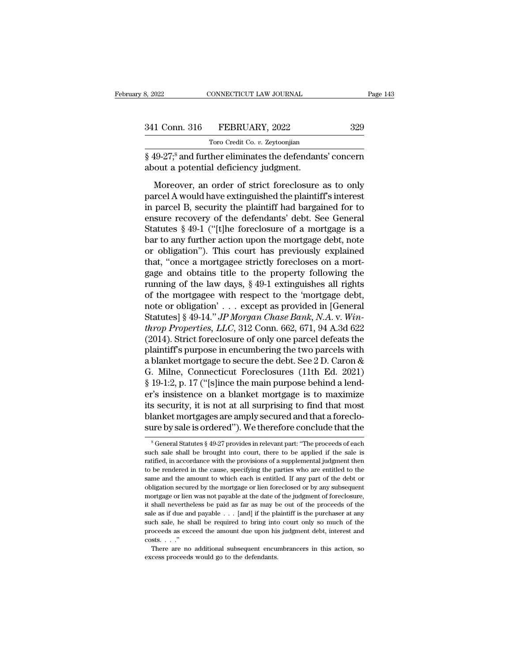| 3, 2022       | CONNECTICUT LAW JOURNAL                                   | Page 143 |
|---------------|-----------------------------------------------------------|----------|
|               |                                                           |          |
| 341 Conn. 316 | FEBRUARY, 2022                                            | 329      |
|               | Toro Credit Co. v. Zeytoonjian                            |          |
|               | $8.49-278$ and further eliminates the defendants' concern |          |

8, 2022 CONNECTICUT LAW JOURNAL Page 143<br>
341 Conn. 316 FEBRUARY, 2022 329<br>
Toro Credit Co. v. Zeytoonjian<br>
§ 49-27;<sup>8</sup> and further eliminates the defendants' concern<br>
about a potential deficiency judgment. 341 Conn. 316 FEBRUARY, 2022<br>Toro Credit Co. v. Zeytoonjian<br> $\S$  49-27;<sup>8</sup> and further eliminates the defendant<br>about a potential deficiency judgment.<br>Moreover, an order of strict foreclosure

1 Conn. 316 FEBRUARY, 2022 329<br>Toro Credit Co. v. Zeytoonjian<br>19-27;<sup>8</sup> and further eliminates the defendants' concern<br>out a potential deficiency judgment.<br>Moreover, an order of strict foreclosure as to only<br>rcel A would h  $\frac{341 \text{ Com. } 316 \qquad \text{FEBKUAKY, } 2022 \qquad \text{329}}{\text{Toro Credit Co. } v. \text{Zeytoonjian}}$ <br>  $\S 49\text{-}27; \S$  and further eliminates the defendants' concern<br>
about a potential deficiency judgment.<br>
Moreover, an order of strict foreclosure as to From Credit Co. v. Zeytoonjian<br>  $\S$  49-27;<sup>8</sup> and further eliminates the defendants' concern<br>
about a potential deficiency judgment.<br>
Moreover, an order of strict foreclosure as to only<br>
parcel A would have extinguished t  $\frac{1}{8}$  49-27;<sup>8</sup> and further eliminates the defendants' concern<br>about a potential deficiency judgment.<br>Moreover, an order of strict foreclosure as to only<br>parcel A would have extinguished the plaintiff's interest<br>in pa S 19-1.) and radical eminimates the determining estable.<br>
about a potential deficiency judgment.<br>
Moreover, an order of strict foreclosure as to only<br>
parcel A would have extinguished the plaintiff's interest<br>
in parcel B, Moreover, an order of strict foreclosure as to only<br>parcel A would have extinguished the plaintiff's interest<br>in parcel B, security the plaintiff had bargained for to<br>ensure recovery of the defendants' debt. See General<br>S Moreover, an order of strict foreclosure as to only<br>parcel A would have extinguished the plaintiff's interest<br>in parcel B, security the plaintiff had bargained for to<br>ensure recovery of the defendants' debt. See General<br>St parcel A would have extinguished the plaintiff's interest<br>in parcel B, security the plaintiff had bargained for to<br>ensure recovery of the defendants' debt. See General<br>Statutes § 49-1 ("[t]he foreclosure of a mortgage is a in parcel B, security the plaintiff had bargained for to<br>ensure recovery of the defendants' debt. See General<br>Statutes  $\S 49-1$  ("[t]he foreclosure of a mortgage is a<br>bar to any further action upon the mortgage debt, note ensure recovery of the defendants' debt. See General<br>Statutes § 49-1 ("[t]he foreclosure of a mortgage is a<br>bar to any further action upon the mortgage debt, note<br>or obligation"). This court has previously explained<br>that, Statutes § 49-1 ("[t]he foreclosure of a mortgage is a<br>bar to any further action upon the mortgage debt, note<br>or obligation"). This court has previously explained<br>that, "once a mortgagee strictly forecloses on a mort-<br>gag bar to any further action upon the mortgage debt, note<br>or obligation''). This court has previously explained<br>that, "once a mortgagee strictly forecloses on a mort-<br>gage and obtains title to the property following the<br>runn or obligation"). This court has previously explained<br>that, "once a mortgagee strictly forecloses on a mort-<br>gage and obtains title to the property following the<br>running of the law days, § 49-1 extinguishes all rights<br>of th that, "once a mortgagee strictly forecloses on a mortgage and obtains title to the property following the running of the law days, § 49-1 extinguishes all rights of the mortgagee with respect to the "mortgage debt, note or gage and obtains title to the property following the<br>running of the law days, § 49-1 extinguishes all rights<br>of the mortgagee with respect to the 'mortgage debt,<br>note or obligation'... except as provided in [General<br>Statu running of the law days, § 49-1 extinguishes all rights<br>of the mortgagee with respect to the 'mortgage debt,<br>note or obligation' . . . except as provided in [General<br>Statutes] § 49-14." *JP Morgan Chase Bank*, *N.A.* v. of the mortgagee with respect to the 'mortgage debt,<br>note or obligation' . . . except as provided in [General<br>Statutes] § 49-14." *JP Morgan Chase Bank*, *N.A*. v. *Win-<br>throp Properties, LLC*, 312 Conn. 662, 671, 94 A.3d note or obligation' . . . except as provided in [General Statutes] § 49-14." *JP Morgan Chase Bank*, *N.A.* v. *Win-throp Properties, LLC*, 312 Conn. 662, 671, 94 A.3d 622 (2014). Strict foreclosure of only one parcel def Statutes] § 49-14." *JP Morgan Chase Bank*, *N.A.* v. *Win-<br>throp Properties, LLC*, 312 Conn. 662, 671, 94 A.3d 622<br>(2014). Strict foreclosure of only one parcel defeats the<br>plaintiff's purpose in encumbering the two parce throp Properties, LLC, 312 Conn. 662, 671, 94 A.3d 622<br>(2014). Strict foreclosure of only one parcel defeats the<br>plaintiff's purpose in encumbering the two parcels with<br>a blanket mortgage to secure the debt. See 2 D. Caron (2014). Strict foreclosure of only one parcel defeats the plaintiff's purpose in encumbering the two parcels with a blanket mortgage to secure the debt. See 2 D. Caron & G. Milne, Connecticut Foreclosures (11th Ed. 2021) plaintiff's purpose in encumbering the two parcels with<br>a blanket mortgage to secure the debt. See 2 D. Caron &<br>G. Milne, Connecticut Foreclosures (11th Ed. 2021)<br>§ 19-1:2, p. 17 ("[s]ince the main purpose behind a lend-<br>e a blanket mortgage to secure the debt. See 2 D. Caron &<br>
G. Milne, Connecticut Foreclosures (11th Ed. 2021)<br>
§ 19-1:2, p. 17 ("[s]ince the main purpose behind a lend-<br>
er's insistence on a blanket mortgage is to maximize<br> For small status is not at all surprising to find that most lanket mortgages are amply secured and that a forecloure by sale is ordered"). We therefore conclude that the  $^8$  General Statutes § 49-27 provides in relevant its security, it is not at all surprising to find that most<br>blanket mortgages are amply secured and that a foreclo-<br>sure by sale is ordered"). We therefore conclude that the<br> $8\%$ -<br> $8\%$  General Statutes  $8\%$ -27 provides

blanket mortgages are amply secured and that a foreclosure by sale is ordered"). We therefore conclude that the<br>  $*$  General Statutes  $*$  49-27 provides in relevant part: "The proceeds of each<br>
such sale shall be brought sure by sale is ordered"). We therefore conclude that the  $\frac{8}{3}$  General Statutes  $\frac{8}{3}$  49-27 provides in relevant part: "The proceeds of each such sale shall be brought into court, there to be applied if the sale Same by same is of defect of the amount of the amount of the amount of the sale is entitled, in accordance with the provisions of a supplemental judgment then to be rendered in the cause, specifying the parties who are en  $\degree$  General Statutes  $\S$  49-27 provides in relevant part: "The proceeds of each such sale shall be brought into court, there to be applied if the sale is ratified, in accordance with the provisions of a supplemental judg such sale shall be brought into court, there to be applied if the sale is ratified, in accordance with the provisions of a supplemental judgment then to be rendered in the cause, specifying the parties who are entitled to ratified, in accordance with the provisions of a supplemental judgment then to be rendered in the cause, specifying the parties who are entitled to the same and the amount to which each is entitled. If any part of the deb state as if due and payable and payable in the purchaser and the purchase and the amount to which each is entitled. If any part of the debt or obligation secured by the mortgage or lien foreclosed or by any subsequent mor same and the amount to which each is entitled. If any part of the debt or obligation secured by the mortgage or lien foreclosed or by any subsequent mortgage or lien was not payable at the date of the judgment of foreclos bobligation secured by the mortgage or lien foreclosed or by any subsequent<br>mortgage or lien was not payable at the date of the judgment of foreclosure,<br>it shall nevertheless be paid as far as may be out of the proceeds of obligation secured by the mortgage or lien foreclosed or by any subsequent mortgage or lien was not payable at the date of the judgment of foreclosure, it shall nevertheless be paid as far as may be out of the proceeds of Shall nevertheless be paid as far as may be out of the proceeds of the le as if due and payable  $\ldots$  [and] if the plaintiff is the purchaser at any ch sale, he shall be required to bring into court only so much of the oc sale as if due and payable  $\ldots$  [and] if the plaintiff is the purchaser at any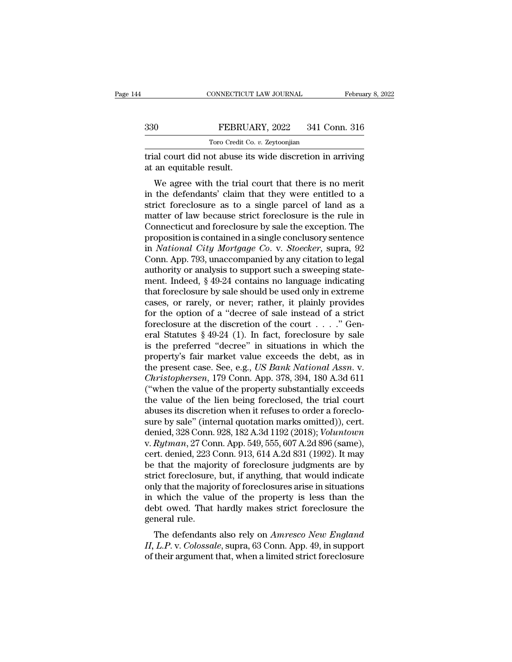|                                                      | CONNECTICUT LAW JOURNAL                                   | February 8, 2022 |  |
|------------------------------------------------------|-----------------------------------------------------------|------------------|--|
| 330                                                  | FEBRUARY, 2022                                            | 341 Conn. 316    |  |
|                                                      | Toro Credit Co. v. Zeytoonjian                            |                  |  |
| at an equitable result.                              | trial court did not abuse its wide discretion in arriving |                  |  |
| We agree with the trial court that there is no merit |                                                           |                  |  |

We agree with the trial court that there is no merit<br>
we agree with the trial court that there is no merit<br>
the defendants' claim that they were entitled to a<br>
gict forcelesure as to a single parcel of land as a FEBRUARY, 2022 341 Conn. 316<br>
Toro Credit Co. *v.* Zeytoonjian<br>
Trial court did not abuse its wide discretion in arriving<br>
at an equitable result.<br>
We agree with the trial court that there is no merit<br>
in the defendants' For Credit Co.  $v$ . Zeytoonjian<br>
trial court did not abuse its wide discretion in arriving<br>
at an equitable result.<br>
We agree with the trial court that there is no merit<br>
in the defendants' claim that they were entitled t Firial court did not abuse its wide discretion in arriving<br>at an equitable result.<br>We agree with the trial court that there is no merit<br>in the defendants' claim that they were entitled to a<br>strict foreclosure as to a singl That court did not abuse its wide discretion in arriving<br>at an equitable result.<br>We agree with the trial court that there is no merit<br>in the defendants' claim that they were entitled to a<br>strict foreclosure as to a single We agree with the trial court that there is no merit<br>in the defendants' claim that they were entitled to a<br>strict foreclosure as to a single parcel of land as a<br>matter of law because strict foreclosure is the rule in<br>Conne We agree with the trial court that there is no merit<br>in the defendants' claim that they were entitled to a<br>strict foreclosure as to a single parcel of land as a<br>matter of law because strict foreclosure is the rule in<br>Conne in the defendants' claim that they were entitled to a<br>strict foreclosure as to a single parcel of land as a<br>matter of law because strict foreclosure is the rule in<br>Connecticut and foreclosure by sale the exception. The<br>pr strict foreclosure as to a single parcel of land as a<br>matter of law because strict foreclosure is the rule in<br>Connecticut and foreclosure by sale the exception. The<br>proposition is contained in a single conclusory sentence<br> matter of law because strict foreclosure is the rule in<br>Connecticut and foreclosure by sale the exception. The<br>proposition is contained in a single conclusory sentence<br>in *National City Mortgage Co.* v. *Stoecker*, supra, Connecticut and foreclosure by sale the exception. The<br>proposition is contained in a single conclusory sentence<br>in *National City Mortgage Co.* v. *Stoecker*, supra, 92<br>Conn. App. 793, unaccompanied by any citation to lega proposition is contained in a single conclusory sentence<br>in *National City Mortgage Co.* v. *Stoecker*, supra, 92<br>Conn. App. 793, unaccompanied by any citation to legal<br>authority or analysis to support such a sweeping stat in *National City Mortgage Co.* v. *Stoecker*, supra, 92<br>Conn. App. 793, unaccompanied by any citation to legal<br>authority or analysis to support such a sweeping state-<br>ment. Indeed, § 49-24 contains no language indicating Conn. App. 793, unaccompanied by any citation to legal authority or analysis to support such a sweeping statement. Indeed, § 49-24 contains no language indicating that foreclosure by sale should be used only in extreme ca authority or analysis to support such a sweeping statement. Indeed,  $\S$  49-24 contains no language indicating that foreclosure by sale should be used only in extreme cases, or rarely, or never; rather, it plainly provides ment. Indeed, § 49-24 contains no language indicating<br>that foreclosure by sale should be used only in extreme<br>cases, or rarely, or never; rather, it plainly provides<br>for the option of a "decree of sale instead of a strict that foreclosure by sale should be used only in extreme<br>cases, or rarely, or never; rather, it plainly provides<br>for the option of a "decree of sale instead of a strict<br>foreclosure at the discretion of the court  $\dots$ ." Gen cases, or rarely, or never; rather, it plainly provides<br>for the option of a "decree of sale instead of a strict<br>foreclosure at the discretion of the court . . . ." Gen-<br>eral Statutes § 49-24 (1). In fact, foreclosure by sa for the option of a "decree of sale instead of a strict<br>foreclosure at the discretion of the court . . . . " Gen-<br>eral Statutes § 49-24 (1). In fact, foreclosure by sale<br>is the preferred "decree" in situations in which the foreclosure at the discretion of the court  $\ldots$ ." General Statutes § 49-24 (1). In fact, foreclosure by sale<br>is the preferred "decree" in situations in which the<br>property's fair market value exceeds the debt, as in<br>the p eral Statutes § 49-24 (1). In fact, foreclosure by sale<br>is the preferred "decree" in situations in which the<br>property's fair market value exceeds the debt, as in<br>the present case. See, e.g., *US Bank National Assn.* v.<br>*C* is the preferred "decree" in situations in which the<br>property's fair market value exceeds the debt, as in<br>the present case. See, e.g., *US Bank National Assn.* v.<br>*Christophersen*, 179 Conn. App. 378, 394, 180 A.3d 611<br>(" property's fair market value exceeds the debt, as in<br>the present case. See, e.g., *US Bank National Assn.* v.<br>*Christophersen*, 179 Conn. App. 378, 394, 180 A.3d 611<br>("when the value of the property substantially exceeds<br>t the present case. See, e.g., *US Bank National Assn.* v.<br>Christophersen, 179 Conn. App. 378, 394, 180 A.3d 611<br>("when the value of the property substantially exceeds<br>the value of the lien being foreclosed, the trial court<br> Christophersen, 179 Conn. App. 378, 394, 180 A.3d 611 ("when the value of the property substantially exceeds<br>the value of the lien being foreclosed, the trial court<br>abuses its discretion when it refuses to order a foreclo-("when the value of the property substantially exceeds<br>the value of the lien being foreclosed, the trial court<br>abuses its discretion when it refuses to order a foreclo-<br>sure by sale" (internal quotation marks omitted)), c the value of the lien being foreclosed, the trial court<br>abuses its discretion when it refuses to order a foreclo-<br>sure by sale" (internal quotation marks omitted)), cert.<br>denied, 328 Conn. 928, 182 A.3d 1192 (2018); Volunt abuses its discretion when it refuses to order a foreclosure by sale" (internal quotation marks omitted)), cert.<br>denied, 328 Conn. 928, 182 A.3d 1192 (2018); *Voluntown*<br>v. *Rytman*, 27 Conn. App. 549, 555, 607 A.2d 896 (s sure by sale" (internal quotation marks omitted)), cert.<br>denied, 328 Conn. 928, 182 A.3d 1192 (2018); *Voluntown*<br>v. *Rytman*, 27 Conn. App. 549, 555, 607 A.2d 896 (same),<br>cert. denied, 223 Conn. 913, 614 A.2d 831 (1992). denied, 328 Conn. 928, 182 A.3d 1192 (2018); *Voluntown*<br>v. *Rytman*, 27 Conn. App. 549, 555, 607 A.2d 896 (same),<br>cert. denied, 223 Conn. 913, 614 A.2d 831 (1992). It may<br>be that the majority of foreclosure judgments are v. Rytman, 27 Conn. App. 549, 555, 607 A.2d 896 (same),<br>cert. denied, 223 Conn. 913, 614 A.2d 831 (1992). It may<br>be that the majority of foreclosure judgments are by<br>strict foreclosure, but, if anything, that would indicat cert. denied, 223 C<br>be that the major<br>strict foreclosure,<br>only that the majo<br>in which the value<br>debt owed. That<br>general rule.<br>The defendants First divided in the majority of foreclosure judgments are by<br>
rict foreclosure, but, if anything, that would indicate<br>
ly that the majority of foreclosures arise in situations<br>
which the value of the property is less than *III* EU TOFETOSUFE, DUI, IT anything, that would indicate<br>
III, which the majority of foreclosures arise in situations<br>
in which the value of the property is less than the<br>
debt owed. That hardly makes strict foreclosure only that the hiajority of foreclosures arise in situations<br>in which the value of the property is less than the<br>debt owed. That hardly makes strict foreclosure the<br>general rule.<br>The defendants also rely on *Amresco New Eng*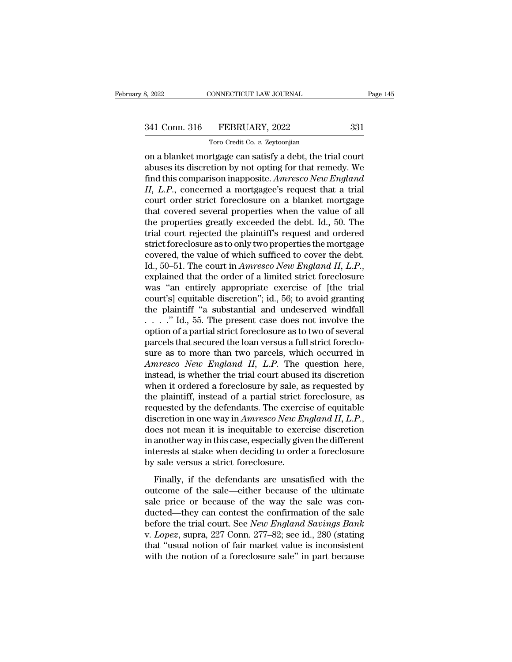# 341 Conn. 316 FEBRUARY, 2022 331<br>Toro Credit Co. v. Zeytoonjian

TORO CONNECTICUT LAW JOURNAL<br>FEBRUARY, 2022<br>Toro Credit Co. *v.* Zeytoonjian<br>Tragge can satisfy a debt, the tri on a blanket mortgage can satisfy a debt, the trial court abuses its discretion by not opting for that remedy. We<br>
that this comparison ipprocure function of the trial court<br>
discretion by not opting for that remedy. We<br>
f 341 Conn. 316 FEBRUARY, 2022 331<br>
Toro Credit Co. v. Zeytoonjian<br>
on a blanket mortgage can satisfy a debt, the trial court<br>
abuses its discretion by not opting for that remedy. We<br>
find this comparison inapposite. Amresco FILER 1992 331<br>
Toro Credit Co. *v.* Zeytoonjian<br>
on a blanket mortgage can satisfy a debt, the trial court<br>
abuses its discretion by not opting for that remedy. We<br>
find this comparison inapposite. Amresco New England<br>
II **II, 1988 1989** Toro Credit Co. *v.* Zeytoonjian<br>
Toro Credit Co. *v.* Zeytoonjian<br> **II, concerned a mortgage can satisfy a debt, the trial court<br>
abuses its discretion by not opting for that remedy. We<br>
find this comparis** Toro Credit Co. *v.* Zeytoonjian<br>
on a blanket mortgage can satisfy a debt, the trial court<br>
abuses its discretion by not opting for that remedy. We<br>
find this comparison inapposite. Amresco New England<br>
II, L.P., concerne Toro Creat Co.  $v$ . Zeytoonjian<br>
on a blanket mortgage can satisfy a debt, the trial court<br>
abuses its discretion by not opting for that remedy. We<br>
find this comparison inapposite. Amresco New England<br>
II, L.P., concerne on a blanket mortgage can satisfy a debt, the trial court<br>abuses its discretion by not opting for that remedy. We<br>find this comparison inapposite. Amresco New England<br>II, L.P., concerned a mortgagee's request that a trial<br> abuses its discretion by not opting for that remedy. We<br>find this comparison inapposite. Amresco New England<br>II, L.P., concerned a mortgagee's request that a trial<br>court order strict foreclosure on a blanket mortgage<br>that find this comparison inapposite. Amresco New England II, L.P., concerned a mortgagee's request that a trial court order strict foreclosure on a blanket mortgage that covered several properties when the value of all the pr II, L.P., concerned a mortgagee's request that a trial<br>court order strict foreclosure on a blanket mortgage<br>that covered several properties when the value of all<br>the properties greatly exceeded the debt. Id., 50. The<br>tria court order strict foreclosure on a blanket mortgage<br>that covered several properties when the value of all<br>the properties greatly exceeded the debt. Id., 50. The<br>trial court rejected the plaintiff's request and ordered<br>str the properties greatly exceeded the debt. Id., 50. The<br>trial court rejected the plaintiff's request and ordered<br>strict foreclosure as to only two properties the mortgage<br>covered, the value of which sufficed to cover the de trial court rejected the plaintiff's request and ordered<br>strict foreclosure as to only two properties the mortgage<br>covered, the value of which sufficed to cover the debt.<br>Id., 50–51. The court in *Amresco New England II*, strict foreclosure as to only two properties the mortgage<br>covered, the value of which sufficed to cover the debt.<br>Id., 50–51. The court in *Amresco New England II*, *L.P.*,<br>explained that the order of a limited strict for covered, the value of which sufficed to cover the debt.<br>Id., 50–51. The court in *Amresco New England II*, *L.P.*,<br>explained that the order of a limited strict foreclosure<br>was "an entirely appropriate exercise of [the tri Id., 50–51. The court in *Amresco New England II*, *L.P.*, explained that the order of a limited strict foreclosure was "an entirely appropriate exercise of [the trial court's] equitable discretion"; id., 56; to avoid gra explained that the order of a limited strict foreclosure<br>was "an entirely appropriate exercise of [the trial<br>court's] equitable discretion"; id., 56; to avoid granting<br>the plaintiff "a substantial and undeserved windfall<br> was "an entirely appropriate exercise of [the trial court's] equitable discretion"; id., 56; to avoid granting<br>the plaintiff "a substantial and undeserved windfall<br> $\dots$ ." Id., 55. The present case does not involve the<br>opt *Amresco New England II, L.P.* The question when it orders in the plaintiff "a substantial and undeserved windfall  $\ldots$ ..." Id., 55. The present case does not involve the option of a partial strict foreclosure as to two o the plaintiff "a substantial and undeserved windfall<br>  $\ldots$ ." Id., 55. The present case does not involve the<br>
option of a partial strict foreclosure as to two of several<br>
parcels that secured the loan versus a full strict  $\dots$   $\therefore$  Id., 55. The present case does not involve the option of a partial strict foreclosure as to two of several parcels that secured the loan versus a full strict foreclosure as to more than two parcels, which occur option of a partial strict foreclosure as to two of several<br>parcels that secured the loan versus a full strict foreclo-<br>sure as to more than two parcels, which occurred in<br>Amresco New England II, L.P. The question here,<br>i parcels that secured the loan versus a full strict foreclosure as to more than two parcels, which occurred in *Amresco New England II*, *L.P*. The question here, instead, is whether the trial court abused its discretion wh sure as to more than two parcels, which occurred in<br>*Amresco New England II, L.P.* The question here,<br>instead, is whether the trial court abused its discretion<br>when it ordered a foreclosure by sale, as requested by<br>the pla instead, is whether the trial court abused its discretion<br>when it ordered a foreclosure by sale, as requested by<br>the plaintiff, instead of a partial strict foreclosure, as<br>requested by the defendants. The exercise of equit when it ordered a foreclosure by sale, as requested by<br>the plaintiff, instead of a partial strict foreclosure, as<br>requested by the defendants. The exercise of equitable<br>discretion in one way in  $Amresco New England II, L.P.,$ <br>does not mean the plaintiff, instead of a partial strict if requested by the defendants. The exerci discretion in one way in *Amresco New En* does not mean it is inequitable to exer in another way in this case, especially given interest Scretion in one way in *Amresco New England II, L.P.*,<br>ses not mean it is inequitable to exercise discretion<br>another way in this case, especially given the different<br>terests at stake when deciding to order a foreclosure<br>s does not mean it is inequitable to exercise discretion<br>in another way in this case, especially given the different<br>interests at stake when deciding to order a foreclosure<br>by sale versus a strict foreclosure.<br>Finally, if th

in another way in this case, especially given the different<br>in another way in this case, especially given the different<br>interests at stake when deciding to order a foreclosure<br>by sale versus a strict foreclosure.<br>Finally, interests at stake when deciding to order a foreclosure<br>by sale versus a strict foreclosure.<br>Finally, if the defendants are unsatisfied with the<br>outcome of the sale—either because of the ultimate<br>sale price or because of by sale versus a strict foreclosure.<br>
Finally, if the defendants are unsatisfied with the<br>
outcome of the sale—either because of the ultimate<br>
sale price or because of the way the sale was con-<br>
ducted—they can contest the Finally, if the defendants are unsatisfied with the<br>outcome of the sale—either because of the ultimate<br>sale price or because of the way the sale was con-<br>ducted—they can contest the confirmation of the sale<br>before the tria Finally, if the defendants are unsatisfied with the outcome of the sale—either because of the ultimate sale price or because of the way the sale was conducted—they can contest the confirmation of the sale before the trial outcome of the sale—either because of the ultimate<br>sale price or because of the way the sale was con-<br>ducted—they can contest the confirmation of the sale<br>before the trial court. See *New England Savings Bank*<br>v. *Lopez*,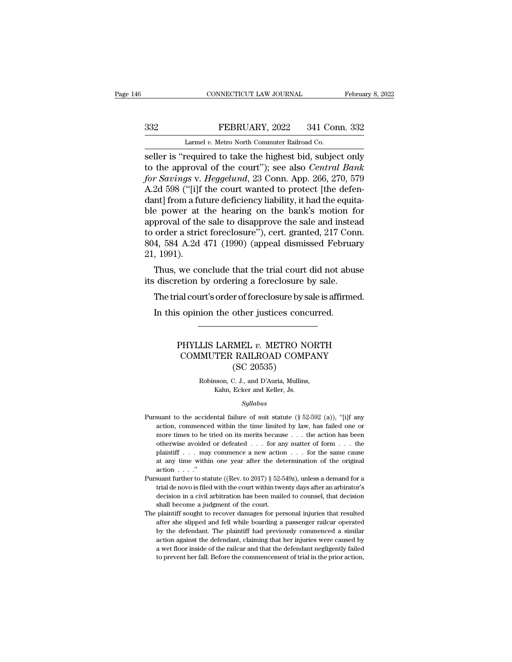CONNECTICUT LAW JOURNAL<br>FEBRUARY, 2022 341 Con<br>Larmel *v.* Metro North Commuter Railroad Co.<br>Considered to take the highest bid subject SER CONNECTICUT LAW JOURNAL February 8, 2022<br>
SER CONNECTICUT LAW JOURNAL February 8, 2022<br>
SER LATER V. Metro North Commuter Railroad Co.<br>
SER SCRIPT IS "required to take the highest bid, subject only to the approval of t THE ALT AND THE ALT AND THE SERVIARY AND THE SERVIARY AND THE SERVIARY of the court''); see also *Central Bank*<br>for *Savings* v. *Heggelund*, 23 Conn. App. 266, 270, 579<br>A 24.508 ("Lift the court wanted to protect life dof *FEBRUARY*, 2022 341 Conn. 332<br> *Larmel v. Metro North Commuter Railroad Co.*<br> *seller is "required to take the highest bid, subject only*<br> *to the approval of the court"); see also Central Bank*<br> *for Savings v. Heggelund* 332 EEBRUARY, 2022 341 Conn. 332<br>
Larmel v. Metro North Commuter Railroad Co.<br>
Seller is "required to take the highest bid, subject only<br>
to the approval of the court"); see also *Central Bank*<br>
for *Savings* v. *Heggelun* Larmel v. Metro North Commuter Railroad Co.<br>
seller is "required to take the highest bid, subject only<br>
to the approval of the court"); see also *Central Bank*<br>
for *Savings* v. *Heggelund*, 23 Conn. App. 266, 270, 579<br>
A Larmel v. Metro North Commuter Railroad Co.<br>
seller is "required to take the highest bid, subject only<br>
to the approval of the court"); see also *Central Bank*<br>
for Savings v. Heggelund, 23 Conn. App. 266, 270, 579<br>
A.2d seller is "required to take the highest bid, subject only<br>to the approval of the court"); see also *Central Bank*<br>for *Savings* v. *Heggelund*, 23 Conn. App. 266, 270, 579<br>A.2d 598 ("[i]f the court wanted to protect [the d to the approval of the court"); see also *Central Bank*<br>for Savings v. Heggelund, 23 Conn. App. 266, 270, 579<br>A.2d 598 ("[i]f the court wanted to protect [the defen-<br>dant] from a future deficiency liability, it had the equ for Savings v. Heggelund, 23 Conn. App. 266, 270, 579<br>A.2d 598 ("[i]f the court wanted to protect [the defen-<br>dant] from a future deficiency liability, it had the equita-<br>ble power at the hearing on the bank's motion for<br>a A.2d 598 ("[i]f<br>dant] from a fu<br>ble power at<br>approval of the<br>to order a stric<br>804, 584 A.2d<br>21, 1991).<br>Thus, we con Thus, that the heart of the bank's motion for<br>proval of the sale to disapprove the sale and instead<br>order a strict foreclosure"), cert. granted, 217 Conn.<br>4, 584 A.2d 471 (1990) (appeal dismissed February<br>1991).<br>Thus, we c ble power at the hearing on the banks motion it<br>approval of the sale to disapprove the sale and instea<br>to order a strict foreclosure"), cert. granted, 217 Coni<br>804, 584 A.2d 471 (1990) (appeal dismissed Februar<br>21, 1991).<br> order a strict foreclosure"), cert. granted, 217 Conn.<br>4, 584 A.2d 471 (1990) (appeal dismissed February<br>, 1991).<br>Thus, we conclude that the trial court did not abuse<br>discretion by ordering a foreclosure by sale.<br>The trial

 $\frac{1}{2}$ ,  $\frac{1}{2}$ ,  $\frac{1}{2}$ ,  $\frac{1}{2}$ ,  $\frac{1}{2}$ . Thus, we conclude that the trial court did not abuse discretion by ordering a foreclosure by sale.<br>The trial court's order of foreclosure by sale is affirmed.<br>In this

# etion by ordering a foreclosure by sale.<br>
ial court's order of foreclosure by sale is affirmed.<br>
s opinion the other justices concurred.<br>
PHYLLIS LARMEL  $v$ . METRO NORTH<br>
COMMUTER RAILROAD COMPANY<br>
(SC 20535) % all court's order of foreclosure by sale is affirmed.<br>
opinion the other justices concurred.<br>
<br>
PHYLLIS LARMEL  $v$ . METRO NORTH<br>
COMMUTER RAILROAD COMPANY<br>
(SC 20535) other justices concerned by set of interesting by set of the MC<br>(SC 20535)<br>C. J., and D'Auria, Mullins, LIS LARMEL *v*. METRO NORT<br>IMUTER RAILROAD COMPAN<br>(SC 20535)<br>Robinson, C. J., and D'Auria, Mullins,<br>Kahn, Ecker and Keller, Js. LARMEL v. METRO NOTER RAILROAD COMP<br>
(SC 20535)<br>
nson, C. J., and D'Auria, Mullins,<br>
Kahn, Ecker and Keller, Js.<br>
Sullabus

# *Syllabus*

- ( $50C$  20033)<br>
Robinson, C. J., and D'Auria, Mullins,<br>
Kahn, Ecker and Keller, Js.<br>
Syllabus<br>
Pursuant to the accidental failure of suit statute (§ 52-592 (a)), "[i]f any<br>
action, commenced within the time limited by law, Robinson, C. J., and D'Auria, Mullins,<br>Kahn, Ecker and Keller, Js.<br>Syllabus<br>suant to the accidental failure of suit statute (§ 52-592 (a)), "[i]f any<br>action, commenced within the time limited by law, has failed one or<br>more Example 19 Kahn, Ecker and Keller, Js.<br>Syllabus<br>suant to the accidental failure of suit statute (§ 52-592 (a)), "[i]f any<br>action, commenced within the time limited by law, has failed one or<br>more times to be tried on its m *Syllabus*<br>suant to the accidental failure of suit statute  $(\S 52-592 \text{ (a)})$ , "[i]f any<br>action, commenced within the time limited by law, has failed one or<br>more times to be tried on its merits because . . . the action ha *Syllabus*<br>
suant to the accidental failure of suit statute (§ 52-592 (a)), "[i]f any<br>
action, commenced within the time limited by law, has failed one or<br>
more times to be tried on its merits because . . . the action has suant to the accidental failure of suit statute (§ 52-592 (a)), "[i]f any action, commenced within the time limited by law, has failed one or more times to be tried on its merits because . . . the action has been otherwis  $\frac{1}{2}$ <br>action, commence times to be to<br>therwise avoided plaintiff . . . may<br>at any time within<br>action . . . ."<br>suant further to sta more times to be tried on its merits because ... the action has been<br>otherwise avoided or defeated ... for any matter of form ... the<br>plaintiff ... may commence a new action ... for the same cause<br>at any time within one y the view a coided or defeated ... for any matter of form ... the plaintiff ... may commence a new action ... for the same cause at any time within one year after the determination of the original action ...."<br>suant furthe
- plaintiff . . . may commence a new action . . . for the same cause<br>at any time within one year after the determination of the original<br>action . . . ."<br>suant further to statute ((Rev. to 2017) § 52-549z), unless a demand f at any time within one year after the detaction  $\ldots$ ."<br>shall become status ((Rev. to 2017) § 52-5 trial de novo is filed with the court within two decision in a civil arbitration has been mailed shall become a judgment o For an action  $\ldots$ ."<br>
Pursuant further to statute ((Rev. to 2017) § 52-549z), unless a demand for a trial de novo is filed with the court within twenty days after an arbirator's decision in a civil arbitration has been m about further to statute ((Rev. to 2017) § 52-549z), unless a demand for a trial de novo is filed with the court within twenty days after an arbirator's decision in a civil arbitration has been mailed to counsel, that dec
- trial de novo is filed with the court within twenty days after an arbirator's decision in a civil arbitration has been mailed to counsel, that decision shall become a judgment of the court.<br>
plaintiff sought to recover dam decision in a civil arbitration has been mailed to counsel, that decision<br>shall become a judgment of the court.<br>plaintiff sought to recover damages for personal injuries that resulted<br>after she slipped and fell while board shall become a judgment of the court.<br>
plaintiff sought to recover damages for personal injuries that resulted<br>
after she slipped and fell while boarding a passenger railcar operated<br>
by the defendant. The plaintiff had pr The plaintiff sought to recover damages for personal injuries that resulted after she slipped and fell while boarding a passenger railcar operated by the defendant. The plaintiff had previously commenced a similar action a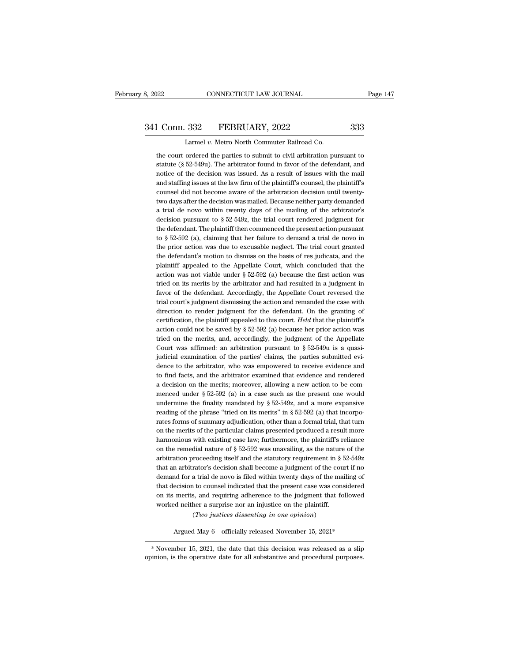# 341 Conn. 332 FEBRUARY, 2022 333<br>
Larmel v. Metro North Commuter Railroad Co.

8, 2022 CONNECTICUT LAW JOURNAL<br>
241 Conn. 332 FEBRUARY, 2022 333<br>
Larmel *v.* Metro North Commuter Railroad Co.<br>
the court ordered the parties to submit to civil arbitration pursuant to 1 Conn. 332 FEBRUARY, 2022 333<br>
Larmel v. Metro North Commuter Railroad Co.<br>
the court ordered the parties to submit to civil arbitration pursuant to<br>
statute (§ 52-549u). The arbitrator found in favor of the defendant, an Statute (§ 52-549u). The arbitrator found in favor of the defendant, and notice of the decision was issued. As a result of issues with the mail  $\frac{1}{2}$  and notice of the decision was issued. As a result of issues with th 1 Conn. 332 FEBRUARY, 2022 333<br>
Larmel v. Metro North Commuter Railroad Co.<br>
the court ordered the parties to submit to civil arbitration pursuant to<br>
statute (§ 52-549u). The arbitrator found in favor of the defendant, an Larmel v. Metro North Commuter Railroad Co.<br>the court ordered the parties to submit to civil arbitration pursuant to<br>statute (§ 52-549u). The arbitrator found in favor of the defendant, and<br>notice of the decision was issu Larmel v. Metro North Commuter Kailroad Co.<br>the court ordered the parties to submit to civil arbitration pursuant to<br>statute (§ 52-549u). The arbitrator found in favor of the defendant, and<br>notice of the decision was issu the court ordered the parties to submit to civil arbitration pursuant to statute (§ 52-549u). The arbitrator found in favor of the defendant, and notice of the decision was issued. As a result of issues with the mail and s statute (§ 52-549u). The arbitrator found in favor of the defendant, and notice of the decision was issued. As a result of issues with the mail and staffing issues at the law firm of the plaintiff's counsel, the plaintiff notice of the decision was issued. As a result of issues with the mail<br>and staffing issues at the law firm of the plaintiff's counsel, the plaintiff's<br>counsel did not become aware of the arbitration decision until twentyand staffing issues at the law firm of the plaintiff's counsel, the plaintiff's counsel did not become aware of the arbitration decision until twenty-<br>two days after the decision was mailed. Because neither party demanded counsel did not become aware of the arbitration decision until twenty-<br>two days after the decision was mailed. Because neither party demanded<br>a trial de novo within twenty days of the mailing of the arbitrator's<br>decision two days after the decision was mailed. Because neither party demanded<br>a trial de novo within twenty days of the mailing of the arbitrator's<br>decision pursuant to  $\S 52-549z$ , the trial court rendered judgment for<br>the defe a trial de novo within twenty days of the mailing of the arbitrator's decision pursuant to  $\S 52-549z$ , the trial court rendered judgment for the defendant. The plaintiff then commenced the present action pursuant to  $\S 5$ decision pursuant to  $\S$  52-549z, the trial court rendered judgment for<br>the defendant. The plaintiff then commenced the present action pursuant<br>to  $\S$  52-592 (a), claiming that her failure to demand a trial de novo in<br>the the defendant. The plaintiff then commenced the present action pursuant<br>to  $\S$  52-592 (a), claiming that her failure to demand a trial de novo in<br>the prior action was due to excusable neglect. The trial court granted<br>the to  $\S$  52-592 (a), claiming that her failure to demand a trial de novo in<br>the prior action was due to excusable neglect. The trial court granted<br>the defendant's motion to dismiss on the basis of res judicata, and the<br>plai the prior action was due to excusable neglect. The trial court granted<br>the defendant's motion to dismiss on the basis of res judicata, and the<br>plaintiff appealed to the Appellate Court, which concluded that the<br>action was the defendant's motion to dismiss on the basis of res judicata, and the plaintiff appealed to the Appellate Court, which concluded that the action was not viable under  $\S 52-592$  (a) because the first action was tried on plaintiff appealed to the Appellate Court, which concluded that the action was not viable under  $\S 52-592$  (a) because the first action was tried on its merits by the arbitrator and had resulted in a judgment in favor of action was not viable under  $\S$  52-592 (a) because the first action was<br>tried on its merits by the arbitrator and had resulted in a judgment in<br>favor of the defendant. Accordingly, the Appellate Court reversed the<br>trial c tried on its merits by the arbitrator and had resulted in a judgment in favor of the defendant. Accordingly, the Appellate Court reversed the trial court's judgment dismissing the action and remanded the case with directi favor of the defendant. Accordingly, the Appellate Court reversed the trial court's judgment dismissing the action and remanded the case with direction to render judgment for the defendant. On the granting of certificatio trial court's judgment dismissing the action and remanded the case with direction to render judgment for the defendant. On the granting of certification, the plaintiff appealed to this court. *Held* that the plaintiff's a action could not be saved by  $\S$  52-592 (a) because her prior action was tried on the merits, and, accordingly, the judgment of the Appellate Court was affirmed: an arbitration pursuant to  $\S$  52-549u is a quasi-judicial certification, the plaintiff appealed to this court. *Held* that the plaintiff's action could not be saved by  $\S$  52-592 (a) because her prior action was tried on the merits, and, accordingly, the judgment of the Appellat action could not be saved by  $\S$  52-592 (a) because her prior action was tried on the merits, and, accordingly, the judgment of the Appellate Court was affirmed: an arbitration pursuant to  $\S$  52-549u is a quasi-judicial tried on the merits, and, accordingly, the judgment of the Appellate Court was affirmed: an arbitration pursuant to  $\S$  52-549u is a quasi-<br>judicial examination of the parties' claims, the parties submitted evi-<br>dence to Court was affirmed: an arbitration pursuant to  $\S$  52-549 $u$  is a quasi-<br>judicial examination of the parties' claims, the parties submitted evi-<br>dence to the arbitrator, who was empowered to receive evidence and<br>to find f judicial examination of the parties' claims, the parties submitted evidence to the arbitrator, who was empowered to receive evidence and to find facts, and the arbitrator examined that evidence and rendered a decision on dence to the arbitrator, who was empowered to receive evidence and to find facts, and the arbitrator examined that evidence and rendered a decision on the merits; moreover, allowing a new action to be commenced under  $\S 5$ to find facts, and the arbitrator examined that evidence and rendered a decision on the merits; moreover, allowing a new action to be com-<br>menced under § 52-592 (a) in a case such as the present one would<br>undermine the fi a decision on the merits; moreover, allowing a new action to be com-<br>menced under § 52-592 (a) in a case such as the present one would<br>undermine the finality mandated by § 52-549z, and a more expansive<br>reading of the phra menced under  $\S$  52-592 (a) in a case such as the present one would<br>undermine the finality mandated by  $\S$  52-549z, and a more expansive<br>reading of the phrase "tried on its merits" in  $\S$  52-592 (a) that incorpo-<br>rates fo undermine the finality mandated by  $\S$  52-549z, and a more expansive reading of the phrase "tried on its merits" in  $\S$  52-592 (a) that incorporates forms of summary adjudication, other than a formal trial, that turn on t reading of the phrase "tried on its merits" in § 52-592 (a) that incorporates forms of summary adjudication, other than a formal trial, that turn<br>on the merits of the particular claims presented produced a result more<br>har rates forms of summary adjudication, other than a formal trial, that turn<br>on the merits of the particular claims presented produced a result more<br>harmonious with existing case law; furthermore, the plaintiff's reliance<br>on on the merits of the particular claims presented produced a result more harmonious with existing case law; furthermore, the plaintiff's reliance on the remedial nature of  $\S$  52-592 was unavailing, as the nature of the ar harmonious with existing case law; furthermore, the plaintiff's reliance<br>on the remedial nature of  $\S 52-592$  was unavailing, as the nature of the<br>arbitration proceeding itself and the statutory requirement in  $\S 52-549z$ on the remedial nature of  $\S$  52-592 was unavailing, as the nature of the arbitration proceeding itself and the statutory requirement in  $\S$  52-549z that an arbitrator's decision shall become a judgment of the court if no arbitration proceeding itself and the statutory requirement in § { that an arbitrator's decision shall become a judgment of the couldem<br>and for a trial de novo is filed within twenty days of the mathat decision to counsel rator's decision shall become a judgment of the co<br>a trial de novo is filed within twenty days of the m<br>to counsel indicated that the present case was co<br>s, and requiring adherence to the judgment that if<br>ther a surprise n ecision to counsel indicated that the present case was considered merits, and requiring adherence to the judgment that followed neither a surprise nor an injustice on the plaintiff.<br>
(*Two justices dissenting in one opinio* 

<sup>%</sup> worked neither a surprise nor an injustice on the plaintiff.<br>
(*Two justices dissenting in one opinion*)<br>
Argued May 6—officially released November 15, 2021\*<br>
\*November 15, 2021, the date that this decision was released The operation of the principal control of the operation (Two justices dissenting in one opinion)<br>Argued May 6—officially released November 15, 2021\*<br>\*November 15, 2021, the date that this decision was released as a slip<br>op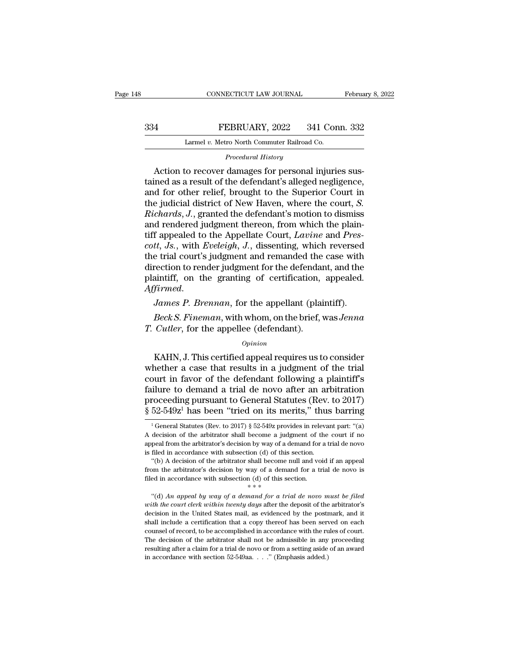### EXECUTE CONNECTICUT LAW JOURNAL February 8, 2022<br>334 FEBRUARY, 2022 341 Conn. 332<br>2 Larmel v. Metro North Commuter Railroad Co. CONNECTICUT LAW JOURNAL<br>FEBRUARY, 2022 341 Con<br>Larmel *v.* Metro North Commuter Railroad Co.<br>Procedural History *PEBRUARY*, 2022 341 Conn. 332<br>
Larmel *v.* Metro North Commuter Railroad Co.<br> *Procedural History*<br> *Procedural History*<br> *Procedural History*

FEBRUARY, 2022 341 Conn. 332<br>
Larmel v. Metro North Commuter Railroad Co.<br> *Procedural History*<br>
Action to recover damages for personal injuries sus-<br>
ined as a result of the defendant's alleged negligence,<br>
d for other re 334 **EEBRUARY**, 2022 341 Conn. 332<br>
Larmel v. Metro North Commuter Railroad Co.<br> *Procedural History*<br>
Action to recover damages for personal injuries sus-<br>
tained as a result of the defendant's alleged negligence,<br>
and f FEBRUARY, 2022 341 Conn. 332<br>
Larmel v. Metro North Commuter Railroad Co.<br>
Procedural History<br>
Action to recover damages for personal injuries sus-<br>
tained as a result of the defendant's alleged negligence,<br>
and for other Larmel v. Metro North Commuter Railroad Co.<br>
Procedural History<br>
Action to recover damages for personal injuries sus-<br>
tained as a result of the defendant's alleged negligence,<br>
and for other relief, brought to the Superio *Procedural History*<br>*Procedural History*<br>Action to recover damages for personal injuries sus-<br>tained as a result of the defendant's alleged negligence,<br>and for other relief, brought to the Superior Court in<br>the judicial d *Procedural History*<br>Action to recover damages for personal injuries sus-<br>tained as a result of the defendant's alleged negligence,<br>and for other relief, brought to the Superior Court in<br>the judicial district of New Haven, Action to recover damages for personal injuries sustained as a result of the defendant's alleged negligence, and for other relief, brought to the Superior Court in the judicial district of New Haven, where the court, *S.* tained as a result of the defendant's alleged negligence,<br>and for other relief, brought to the Superior Court in<br>the judicial district of New Haven, where the court, *S.*<br>*Richards*, *J.*, granted the defendant's motion to and for other relief, brought to the Superior Court in<br>the judicial district of New Haven, where the court, *S.<br>Richards*, *J.*, granted the defendant's motion to dismiss<br>and rendered judgment thereon, from which the plain the judicial district of New Haven, where the court, *S.*<br>*Richards*, *J.*, granted the defendant's motion to dismiss<br>and rendered judgment thereon, from which the plain-<br>tiff appealed to the Appellate Court, *Lavine* and Richards, J., granted the defendant's motion to dismiss<br>and rendered judgment thereon, from which the plain-<br>tiff appealed to the Appellate Court, Lavine and Pres-<br>cott, Js., with Eveleigh, J., dissenting, which reversed<br>t for the Appellate Court, *Lavine* and *Prescott*, *Js.*, with *Eveleigh*, *J.*, dissenting, which reversed the trial court's judgment and remanded the case with direction to render judgment for the defendant, and the plain *Beck S. Fineman*, is *i*, and a remanded the case with rection to render judgment and remanded the case with rection to render judgment for the defendant, and the aintiff, on the granting of certification, appealed. *Jame The difference of the syddynem and remainted the*<br>direction to render judgment for the defendant<br>plaintiff, on the granting of certification,<br>Affirmed.<br>James P. Brennan, for the appellant (plaint).<br> $P.$  Cutler, for the ap

### *Opinion*

*James P. Brennan*, for the appellant (plaintiff).<br> *Beck S. Fineman*, with whom, on the brief, was *Jenna*<br> *Cutler*, for the appellee (defendant).<br> *Opinion*<br>
KAHN, J. This certified appeal requires us to consider<br>
neth James P. Brennan, for the appellant (plaintiff).<br>
Beck S. Fineman, with whom, on the brief, was Jenna<br>
T. Cutler, for the appellee (defendant).<br>  $opinion$ <br>
KAHN, J. This certified appeal requires us to consider<br>
whether a case *Beck S. Fineman*, with whom, on the brief, was *Jenna*<br> *Cutler*, for the appellee (defendant).<br> *Opinion*<br>
KAHN, J. This certified appeal requires us to consider<br>
whether a case that results in a judgment of the trial<br>
c F. Cutler, for the appellee (defendant).<br>  $\frac{Opinion}{opinion}$ <br>
KAHN, J. This certified appeal requires us to consider<br>
whether a case that results in a judgment of the trial<br>
court in favor of the defendant following a plaintif *Opinion*<br> *Opinion*<br> **KAHN, J. This certified appeal requires us to consider whether a case that results in a judgment of the trial court in favor of the defendant following a plaintiff's failure to demand a trial de nov** <sup>Opinion</sup><br>
KAHN, J. This certified appeal requires us to consider<br>
whether a case that results in a judgment of the trial<br>
court in favor of the defendant following a plaintiff's<br>
failure to demand a trial de novo after a burt in favor of the defendant following a plaintiff's<br>ilure to demand a trial de novo after an arbitration<br>roceeding pursuant to General Statutes (Rev. to 2017)<br> $52-549z^1$  has been "tried on its merits," thus barring<br> $\$ failure to demand a trial de novo after an arbitration<br>proceeding pursuant to General Statutes (Rev. to 2017)<br> $\frac{8}{52-549z}$ <sup>1</sup> has been "tried on its merits," thus barring<br><sup>1</sup> General Statutes (Rev. to 2017)  $\frac{8}{52-54$ 

proceeding pursuant to General Statutes (Rev. to 2017)  $\S$  52-549z<sup>1</sup> has been "tried on its merits," thus barring<br><sup>1</sup>General Statutes (Rev. to 2017)  $\S$  52-549z provides in relevant part: "(a)<br>A decision of the arbitrato  $\S$  52-549z<sup>1</sup> has been "tried on its merits," thus barring<br>
<sup>1</sup> General Statutes (Rev. to 2017)  $\S$  52-549z provides in relevant part: "(a)<br>
A decision of the arbitrator shall become a judgment of the court if no<br>
appeal  $^{1}$ General Statutes (Rev. to 2017) § 52-549z provides in relevant part: "(a) decision of the arbitrator shall become a judgment of the court if no peal from the arbitrator's decision by way of a demand for a trial de no <sup>1</sup> General Statutes (Rev. to 2017) § 52-549z provides in relevant part: "(a) A decision of the arbitrator's decision by way of a demand for a trial de novo is filed in accordance with subsection (d) of this section. "(b) A decision of the arbitrator shall become a judgment of the appeal from the arbitrator's decision by way of a demand for is filed in accordance with subsection (d) of this section. "(b) A decision of the arbitrator shall

Fied in accordance with subsection (d) of this section.<br>
"(b) A decision of the arbitrator shall become null and void if an appeal<br>
om the arbitrator's decision by way of a demand for a trial de novo is<br>
ed in accordance

*w* (b) A decision of the arbitrator shall become null and void if an appeal from the arbitrator's decision by way of a demand for a trial de novo is filed in accordance with subsection of d) of this section.<br>  $*$  (d) An from the arbitrator's decision by way of a demand for a trial de novo is<br>filed in accordance with subsection (d) of this section.<br> $**$ <br>"(d) An appeal by way of a demand for a trial de novo must be filed<br>with the court cler filed in accordance with subsection (d) of this section.<br>  $**$ <br>
"(d) An appeal by way of a demand for a trial de novo must be filed<br>
with the court clerk within twenty days after the deposit of the arbitrator's<br>
decision i counsel in accordance with subsection  $**$ <br>  $**$ <br>
"(d) An appeal by way of a demand for a trial de novo must be filed<br>
with the court clerk within twenty days after the deposit of the arbitrator's<br>
decision in the United St "(d) An appeal by way of a demand for a trial de novo must be filed with the court clerk within twenty days after the deposit of the arbitrator's decision in the United States mail, as evidenced by the postmark, and it sh with the court clerk within twenty days after the deposit of the arbitrator's decision in the United States mail, as evidenced by the postmark, and it shall include a certification that a copy thereof has been served on e decision in the United States mail, as evidenced by the postmark, and it shall include a certification that a copy thereof has been served on each counsel of record, to be accomplished in accordance with the rules of cour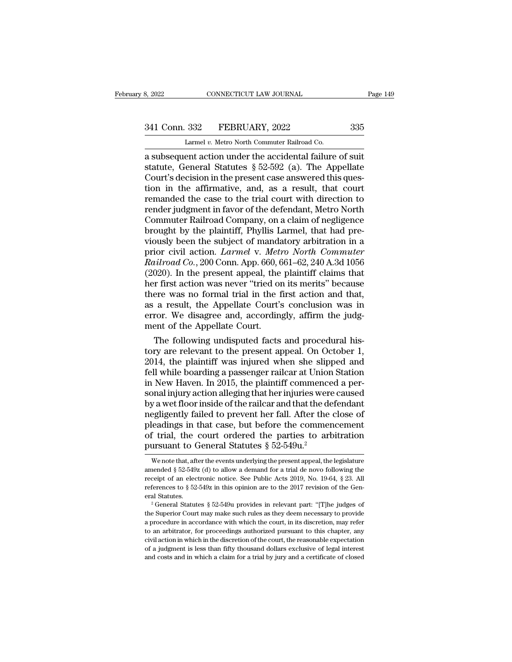# 341 Conn. 332 FEBRUARY, 2022 335<br>
Larmel v. Metro North Commuter Railroad Co.

8, 2022 CONNECTICUT LAW JOURNAL<br>
241 Conn. 332 FEBRUARY, 2022 335<br>
Larmel *v.* Metro North Commuter Railroad Co.<br>
28 a subsequent action under the accidental failure of suit 3, 2022 CONNECTICUT LAW JOURNAL Page 14:<br>  $341$  Conn. 332 FEBRUARY, 2022 335<br>
Larmel v. Metro North Commuter Railroad Co.<br>
a subsequent action under the accidental failure of suit<br>
statute, General Statutes  $\S 52-592$  (a) 341 Conn. 332 FEBRUARY, 2022 335<br>
Larmel v. Metro North Commuter Railroad Co.<br>
a subsequent action under the accidental failure of suit<br>
statute, General Statutes § 52-592 (a). The Appellate<br>
Court's decision in the presen 341 Conn. 332 FEBRUARY, 2022 335<br>
Larmel v. Metro North Commuter Railroad Co.<br>
a subsequent action under the accidental failure of suit<br>
statute, General Statutes § 52-592 (a). The Appellate<br>
Court's decision in the prese 341 Conn. 332 FEBRUARY, 2022 335<br>
Larmel v. Metro North Commuter Railroad Co.<br>
a subsequent action under the accidental failure of suit<br>
statute, General Statutes § 52-592 (a). The Appellate<br>
Court's decision in the prese Larmel v. Metro North Commuter Railroad Co.<br>
a subsequent action under the accidental failure of suit<br>
statute, General Statutes § 52-592 (a). The Appellate<br>
Court's decision in the present case answered this ques-<br>
tion Larmel v. Metro North Commuter Railroad Co.<br>
a subsequent action under the accidental failure of suit<br>
statute, General Statutes  $\S$  52-592 (a). The Appellate<br>
Court's decision in the present case answered this ques-<br>
tio a subsequent action under the accidental failure of suit<br>statute, General Statutes § 52-592 (a). The Appellate<br>Court's decision in the present case answered this ques-<br>tion in the affirmative, and, as a result, that court<br> statute, General Statutes § 52-592 (a). The Appellate<br>Court's decision in the present case answered this ques-<br>tion in the affirmative, and, as a result, that court<br>remanded the case to the trial court with direction to<br>r Court's decision in the present case answered this ques-<br>tion in the affirmative, and, as a result, that court<br>remanded the case to the trial court with direction to<br>render judgment in favor of the defendant, Metro North<br> tion in the affirmative, and, as a result, that court<br>remanded the case to the trial court with direction to<br>render judgment in favor of the defendant, Metro North<br>Commuter Railroad Company, on a claim of negligence<br>brough remanded the case to the trial court with direction to<br>render judgment in favor of the defendant, Metro North<br>Commuter Railroad Company, on a claim of negligence<br>brought by the plaintiff, Phyllis Larmel, that had pre-<br>viou render judgment in favor of the defendant, Metro North<br>Commuter Railroad Company, on a claim of negligence<br>brought by the plaintiff, Phyllis Larmel, that had pre-<br>viously been the subject of mandatory arbitration in a<br>prio Commuter Railroad Company, on a claim of negligence<br>brought by the plaintiff, Phyllis Larmel, that had pre-<br>viously been the subject of mandatory arbitration in a<br>prior civil action. *Larmel* v. *Metro North Commuter*<br>Rail brought by the plaintiff, Phyllis Larmel, that had previously been the subject of mandatory arbitration in a<br>prior civil action. *Larmel* v. *Metro North Commuter*<br>Railroad Co., 200 Conn. App. 660, 661–62, 240 A.3d 1056<br>(2 viously been the subject of mandatory arbitration in a<br>prior civil action. *Larmel* v. *Metro North Commuter*<br>Railroad Co., 200 Conn. App. 660, 661–62, 240 A.3d 1056<br>(2020). In the present appeal, the plaintiff claims that prior civil action. *Larmel v. Metro North Commuter*<br>Railroad Co., 200 Conn. App. 660, 661–62, 240 A.3d 1056<br>(2020). In the present appeal, the plaintiff claims that<br>her first action was never "tried on its merits" because Railroad Co., 200 Conn. App. 660,  $\epsilon$  (2020). In the present appeal, the her first action was never "tried on there was no formal trial in the fas a result, the Appellate Court's error. We disagree and, according ment of 020). In the present appeal, the plaintiff claims that<br>in first action was never "tried on its merits" because<br>ere was no formal trial in the first action and that,<br>a result, the Appellate Court's conclusion was in<br>ror. We ther first action was never "tried on its merits" because<br>there was no formal trial in the first action and that,<br>as a result, the Appellate Court's conclusion was in<br>error. We disagree and, accordingly, affirm the judg-<br>m

there was no formal trial in the first action and that,<br>as a result, the Appellate Court's conclusion was in<br>error. We disagree and, accordingly, affirm the judg-<br>ment of the Appellate Court.<br>The following undisputed facts as a result, the Appellate Court's conclusion was in<br>error. We disagree and, accordingly, affirm the judg-<br>ment of the Appellate Court.<br>The following undisputed facts and procedural his-<br>tory are relevant to the present ap error. We disagree and, accordingly, affirm the judgment of the Appellate Court.<br>The following undisputed facts and procedural history are relevant to the present appeal. On October 1,<br>2014, the plaintiff was injured when ment of the Appellate Court.<br>The following undisputed facts and procedural his-<br>tory are relevant to the present appeal. On October 1,<br>2014, the plaintiff was injured when she slipped and<br>fell while boarding a passenger ra The following undisputed facts and procedural history are relevant to the present appeal. On October 1, 2014, the plaintiff was injured when she slipped and fell while boarding a passenger railcar at Union Station in New H tory are relevant to the present appeal. On October 1,<br>2014, the plaintiff was injured when she slipped and<br>fell while boarding a passenger railcar at Union Station<br>in New Haven. In 2015, the plaintiff commenced a per-<br>son 2014, the plaintiff was injured when she slipped and<br>fell while boarding a passenger railcar at Union Station<br>in New Haven. In 2015, the plaintiff commenced a per-<br>sonal injury action alleging that her injuries were cause fell while boarding a passenger railcar at Union Station<br>in New Haven. In 2015, the plaintiff commenced a per-<br>sonal injury action alleging that her injuries were caused<br>by a wet floor inside of the railcar and that the d in New Haven. In 2015, the plaintiff commence<br>sonal injury action alleging that her injuries were<br>by a wet floor inside of the railcar and that the de<br>negligently failed to prevent her fall. After the<br>pleadings in that ca egligently failed to prevent her fall. After the close of leadings in that case, but before the commencement f trial, the court ordered the parties to arbitration ursuant to General Statutes  $\S 52-549u^2$ <br>We note that, af pleadings in that case, but before the commencement<br>of trial, the court ordered the parties to arbitration<br>pursuant to General Statutes  $\S 52-549u^2$ <br>we note that, after the events underlying the present appeal, the legis

of trial, the court ordered the parties to arbitration<br>pursuant to General Statutes § 52-549 $u$ .<sup>2</sup><br>we note that, after the events underlying the present appeal, the legislature<br>amended § 52-549z (d) to allow a demand for amended § 52-549z (d) to allow a demand for a trial de novo following the receipt of an electronic notice. See Public Acts 2019, No. 19-64, § 23. All references to § 52-549z in this opinion are to the 2017 revision of the pursuant to General Statutes §  $32-549$ u.<br>
We note that, after the events underlying the present appeal, the legislature<br>
amended §  $52-549z$  (d) to allow a demand for a trial de novo following the<br>
receipt of an electron amended § 52-549z (d) to allow a demand for a trial de novo following the receipt of an electronic notice. See Public Acts 2019, No. 19-64, § 23. All references to § 52-549z in this opinion are to the 2017 revision of the

receipt of an electronic notice. See Public Acts 2019, No. 19-64, § 23. All references to § 52-549z in this opinion are to the 2017 revision of the General Statutes.<br><sup>2</sup> General Statutes § 52-549u provides in relevant par references to § 52-549z in this opinion are to the 2017 revision of the General Statutes.<br>
<sup>2</sup> General Statutes § 52-549u provides in relevant part: "[T]he judges of the Superior Court may make such rules as they deem nec eral Statutes.<br>
<sup>2</sup> General Statutes § 52-549u provides in relevant part: "[T]he judges of<br>
the Superior Court may make such rules as they deem necessary to provide<br>
a procedure in accordance with which the court, in its <sup>2</sup> General Statutes § 52-549u provides in relevant part: "[T]he judges of the Superior Court may make such rules as they deem necessary to provide a procedure in accordance with which the court, in its discretion, may re the Superior Court may make such rules as they deem necessary to provide<br>a procedure in accordance with which the court, in its discretion, may refer<br>to an arbitrator, for proceedings authorized pursuant to this chapter, a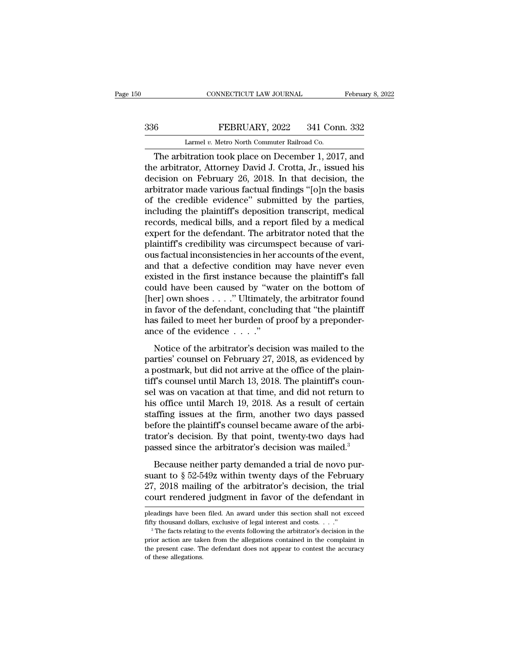# EXECUTE CONNECTICUT LAW JOURNAL February 8, 2022<br>336 FEBRUARY, 2022 341 Conn. 332<br>Larmel v. Metro North Commuter Railroad Co.

CONNECTICUT LAW JOURNAL Februa<br>
FEBRUARY, 2022 341 Conn. 332<br>
Larmel *v.* Metro North Commuter Railroad Co.<br>
The arbitration took place on December 1, 2017, and CONNECTICUT LAW JOURNAL February 8, 2022<br>
FEBRUARY, 2022 341 Conn. 332<br>
Larmel v. Metro North Commuter Railroad Co.<br>
The arbitration took place on December 1, 2017, and<br>
e arbitrator, Attorney David J. Crotta, Jr., issued The arbitrator, Attorney David J. Crotta, Jr., issued his decision on February 26, 2018. In that decision, the arbitrator made various factual findings "(oln the bosis 336 FEBRUARY, 2022 341 Conn. 332<br>
Larmel v. Metro North Commuter Railroad Co.<br>
The arbitration took place on December 1, 2017, and<br>
the arbitrator, Attorney David J. Crotta, Jr., issued his<br>
decision on February 26, 2018. 336 **EEBRUARY**, 2022 341 Conn. 332<br>
Larmel *v.* Metro North Commuter Railroad Co.<br>
The arbitration took place on December 1, 2017, and<br>
the arbitrator, Attorney David J. Crotta, Jr., issued his<br>
decision on February 26, 2 Larmel v. Metro North Commuter Railroad Co.<br>
The arbitration took place on December 1, 2017, and<br>
the arbitrator, Attorney David J. Crotta, Jr., issued his<br>
decision on February 26, 2018. In that decision, the<br>
arbitrator Larmet v. Metro North Commuter Railroad Co.<br>
The arbitration took place on December 1, 2017, and<br>
the arbitrator, Attorney David J. Crotta, Jr., issued his<br>
decision on February 26, 2018. In that decision, the<br>
arbitrator The arbitration took place on December 1, 2017, and<br>the arbitrator, Attorney David J. Crotta, Jr., issued his<br>decision on February 26, 2018. In that decision, the<br>arbitrator made various factual findings "[o]n the basis<br>of the arbitrator, Attorney David J. Crotta, Jr., issued his<br>decision on February 26, 2018. In that decision, the<br>arbitrator made various factual findings "[o]n the basis<br>of the credible evidence" submitted by the parties,<br>in decision on February 26, 2018. In that decision, the arbitrator made various factual findings "[o]n the basis of the credible evidence" submitted by the parties, including the plaintiff's deposition transcript, medical rec arbitrator made various factual findings "[o]n the basis<br>of the credible evidence" submitted by the parties,<br>including the plaintiff's deposition transcript, medical<br>records, medical bills, and a report filed by a medical<br> of the credible evidence" submitted by the parties,<br>including the plaintiff's deposition transcript, medical<br>records, medical bills, and a report filed by a medical<br>expert for the defendant. The arbitrator noted that the<br>p including the plaintiff's deposition transcript, medical<br>records, medical bills, and a report filed by a medical<br>expert for the defendant. The arbitrator noted that the<br>plaintiff's credibility was circumspect because of va records, medical bills, and a report filed by a medical<br>expert for the defendant. The arbitrator noted that the<br>plaintiff's credibility was circumspect because of vari-<br>ous factual inconsistencies in her accounts of the ev expert for the defendant. The arbitrator noted that the plaintiff's credibility was circumspect because of various factual inconsistencies in her accounts of the event, and that a defective condition may have never even ex plaintiff's credibility was circumspect because of vari-<br>ous factual inconsistencies in her accounts of the event,<br>and that a defective condition may have never even<br>existed in the first instance because the plaintiff's fa ous factual inconsistencies in her accounts of the event,<br>and that a defective condition may have never even<br>existed in the first instance because the plaintiff's fall<br>could have been caused by "water on the bottom of<br>[he and that a defective condition nexisted in the first instance becare<br>could have been caused by "wat<br>[her] own shoes . . . ." Ultimately<br>in favor of the defendant, conclude<br>has failed to meet her burden of p<br>ance of the ev noted in the first mistance because the plainting in<br>the arbitrator of the defendant, concluding that "the plaintiff<br>for the defendant, concluding that "the plaintiff<br>s failed to meet her burden of proof by a preponder-<br>c [her] own shoes  $\dots$ ." Ultimately, the arbitrator found<br>in favor of the defendant, concluding that "the plaintiff<br>has failed to meet her burden of proof by a preponder-<br>ance of the evidence  $\dots$ ."<br>Notice of the arbitrator

First point shows  $\ldots$  columnately, the arbitrator found<br>in favor of the defendant, concluding that "the plaintiff<br>has failed to meet her burden of proof by a preponder-<br>ance of the evidence  $\ldots$ ."<br>Notice of the arbitra th rayst of are determinity, concreasing and the plainting<br>has failed to meet her burden of proof by a preponder-<br>ance of the evidence  $\ldots$ ."<br>Notice of the arbitrator's decision was mailed to the<br>parties' counsel on Febr sel and the evidence  $\ldots$ ."<br>
Notice of the arbitrator's decision was mailed to the<br>
parties' counsel on February 27, 2018, as evidenced by<br>
a postmark, but did not arrive at the office of the plain-<br>
tiff's counsel was o Notice of the arbitrator's decision was mailed to the<br>parties' counsel on February 27, 2018, as evidenced by<br>a postmark, but did not arrive at the office of the plain-<br>tiff's counsel until March 13, 2018. The plaintiff's Notice of the arbitrator's decision was mailed to the<br>parties' counsel on February 27, 2018, as evidenced by<br>a postmark, but did not arrive at the office of the plain-<br>tiff's counsel until March 13, 2018. The plaintiff's c parties' counsel on February 27, 2018, as evidenced by<br>a postmark, but did not arrive at the office of the plain-<br>tiff's counsel until March 13, 2018. The plaintiff's coun-<br>sel was on vacation at that time, and did not ret a postmark, but did not arrive at the office of the plain-<br>tiff's counsel until March 13, 2018. The plaintiff's coun-<br>sel was on vacation at that time, and did not return to<br>his office until March 19, 2018. As a result of tiff's counsel until March 13, 2018. The plaintiff's counsel was on vacation at that time, and did not return to his office until March 19, 2018. As a result of certain staffing issues at the firm, another two days passed Because neither party demanded a trial de novo pur-<br>analysis office until March 19, 2018. As a result of certain<br>affing issues at the firm, another two days passed<br>fore the plaintiff's counsel became aware of the arbi-<br>at staffing issues at the firm, another two days passed<br>before the plaintiff's counsel became aware of the arbitrator's decision. By that point, twenty-two days had<br>passed since the arbitrator's decision was mailed.<sup>3</sup><br>Becau

Example Example 2022 of the arbitrator's decision. By that point, twenty-two days had passed since the arbitrator's decision was mailed.<sup>3</sup><br>Because neither party demanded a trial de novo pursuant to § 52-549z within twenty trator's decision. By that point, twenty-two days had<br>passed since the arbitrator's decision was mailed.<sup>3</sup><br>Because neither party demanded a trial de novo pur-<br>suant to  $\S 52-549z$  within twenty days of the February<br>27, 2 Because neither party demanded a trial de novo pursuant to  $\S 52-549z$  within twenty days of the February 27, 2018 mailing of the arbitrator's decision, the trial court rendered judgment in favor of the defendant in plead suant to § 52-549z within twenty days of the February 27, 2018 mailing of the arbitrator's decision, the trial court rendered judgment in favor of the defendant in pleadings have been filed. An award under this section sh

pleadings have been filed. An award under this section shall not exceed

**court rendered judgment in favor of the defendant in**<br>pleadings have been filed. An award under this section shall not exceed<br>fifty thousand dollars, exclusive of legal interest and costs. . . ."<br><sup>3</sup> The facts relating t Deadings have been filed. An award under this section shall not exceed<br>pleadings have been filed. An award under this section shall not exceed<br>fifty thousand dollars, exclusive of legal interest and costs. . . ."<br><sup>3</sup> The f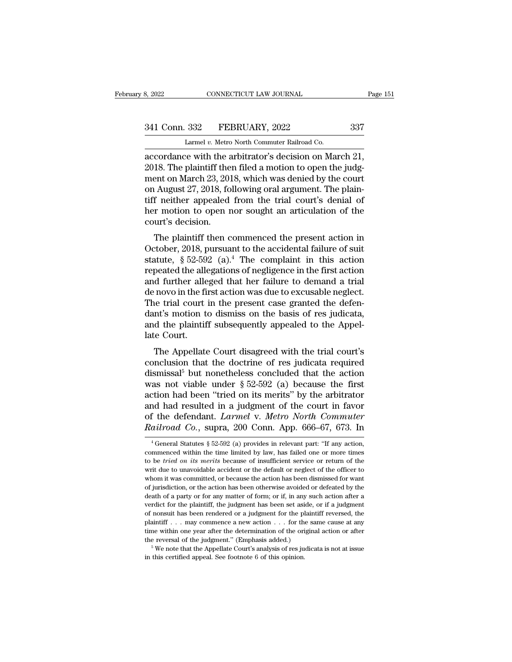# 341 Conn. 332 FEBRUARY, 2022 337<br>
Larmel v. Metro North Commuter Railroad Co.

CONNECTICUT LAW JOURNAL<br>
332 FEBRUARY, 2022<br>
Larmel *v.* Metro North Commuter Railroad Co.<br>
20 with the arbitrator's decision on Man

accordance with the arbitrator's decision on March 21,<br>
accordance with the arbitrator's decision on March 21,<br>
accordance with the arbitrator's decision on March 21,<br>
2018. The plaintiff then filed a motion to open the ju 341 Conn. 332 FEBRUARY, 2022 337<br>
Larmel v. Metro North Commuter Railroad Co.<br>
accordance with the arbitrator's decision on March 21,<br>
2018. The plaintiff then filed a motion to open the judg-<br>
ment on March 23, 2018, whic 341 Conn. 332 FEBRUARY, 2022 337<br>
Larmel v. Metro North Commuter Railroad Co.<br>
accordance with the arbitrator's decision on March 21,<br>
2018. The plaintiff then filed a motion to open the judg-<br>
ment on March 23, 2018, whi 341 Conn. 332 FEBRUARY, 2022 337<br>
Larmel v. Metro North Commuter Railroad Co.<br>
accordance with the arbitrator's decision on March 21,<br>
2018. The plaintiff then filed a motion to open the judg-<br>
ment on March 23, 2018, whi Larmel v. Metro North Commuter Railroad Co.<br>
accordance with the arbitrator's decision on March 21,<br>
2018. The plaintiff then filed a motion to open the judg-<br>
ment on March 23, 2018, which was denied by the court<br>
on Aug Larmel v. Metro North Commuter Railroad Co.<br>accordance with the arbitrator's decision on March 21,<br>2018. The plaintiff then filed a motion to open the judg-<br>ment on March 23, 2018, which was denied by the court<br>on August accordance with the a<br>2018. The plaintiff the<br>ment on March 23, 201<br>on August 27, 2018, fo<br>tiff neither appealed<br>her motion to open r<br>court's decision.<br>The plaintiff then c To. The plaintiff then then so a motion to open the judgent<br>on March 23, 2018, which was denied by the court<br>f neither appealed from the trial court's denial of<br>r motion to open nor sought an articulation of the<br>urt's dec on August 27, 2018, which was defined by the court<br>on August 27, 2018, following oral argument. The plain-<br>tiff neither appealed from the trial court's denial of<br>her motion to open nor sought an articulation of the<br>court'

on August 27, 2010, following oral argument. The plant-<br>tiff neither appealed from the trial court's denial of<br>her motion to open nor sought an articulation of the<br>court's decision.<br>The plaintiff then commenced the presen Fin field a appeared from the that court's deniat of<br>her motion to open nor sought an articulation of the<br>court's decision.<br>The plaintiff then commenced the present action in<br>October, 2018, pursuant to the accidental fail Fraction to open not sought an articulation of the<br>court's decision.<br>The plaintiff then commenced the present action in<br>October, 2018, pursuant to the accidental failure of suit<br>statute, § 52-592 (a).<sup>4</sup> The complaint in t The plaintiff then commenced the present action in<br>October, 2018, pursuant to the accidental failure of suit<br>statute,  $\S 52-592$  (a).<sup>4</sup> The complaint in this action<br>repeated the allegations of negligence in the first act The plaintiff then commenced the present action in<br>October, 2018, pursuant to the accidental failure of suit<br>statute,  $\S 52-592$  (a).<sup>4</sup> The complaint in this action<br>repeated the allegations of negligence in the first act October, 2018, pursuant to the accidental failure of suit statute,  $\S 52-592$  (a).<sup>4</sup> The complaint in this action repeated the allegations of negligence in the first action and further alleged that her failure to demand statute,  $\S$  52-592 (a).<sup>4</sup> The complaint in this action repeated the allegations of negligence in the first action and further alleged that her failure to demand a trial de novo in the first action was due to excusable n repeated the alle<br>and further alle<br>de novo in the fi<br>The trial court<br>dant's motion to<br>and the plaintif<br>late Court.<br>The Appellate In the Appellate Court disagreed with the trial court's<br>The Appellate Court in the present case granted the defen-<br>nt's motion to dismiss on the basis of res judicata,<br>d the plaintiff subsequently appealed to the Appel-<br>re conclusion that the present case granted the defendant's motion to dismiss on the basis of res judicata, and the plaintiff subsequently appealed to the Appellate Court.<br>The Appellate Court disagreed with the trial court's

The that court in the present case granted the defendant's motion to dismiss on the basis of res judicata, and the plaintiff subsequently appealed to the Appellate Court.<br>The Appellate Court disagreed with the trial court want s motion to ussinss on the basis of res judicata,<br>and the plaintiff subsequently appealed to the Appel-<br>late Court.<br>The Appellate Court disagreed with the trial court's<br>conclusion that the doctrine of res judicata re and the plantin subsequently appeared to the Appenlate Court.<br>
The Appellate Court disagreed with the trial court's<br>
conclusion that the doctrine of res judicata required<br>
dismissal<sup>5</sup> but nonetheless concluded that the a The Appellate Court disagreed with the trial court's<br>conclusion that the doctrine of res judicata required<br>dismissal<sup>5</sup> but nonetheless concluded that the action<br>was not viable under  $\S 52-592$  (a) because the first<br>actio The Appellate Court disagreed with the trial court's<br>conclusion that the doctrine of res judicata required<br>dismissal<sup>5</sup> but nonetheless concluded that the action<br>was not viable under § 52-592 (a) because the first<br>action h conclusion that the doctrine of res judicata required<br>dismissal<sup>5</sup> but nonetheless concluded that the action<br>was not viable under § 52-592 (a) because the first<br>action had been "tried on its merits" by the arbitrator<br>and h tion had been "tried on its merits" by the arbitrator<br>and had resulted in a judgment of the court in favor<br>f the defendant. *Larmel* v. *Metro North Commuter*<br>ailroad Co., supra, 200 Conn. App. 666–67, 673. In<br> $\frac{4}{6}$  G and had resulted in a judgment of the court in favor<br>of the defendant. *Larmel* v. *Metro North Commuter*<br>*Railroad Co.*, supra, 200 Conn. App. 666–67, 673. In<br><sup>4</sup>General Statutes § 52-592 (a) provides in relevant part: "

of the defendant. *Larmel* v. *Metro North Commuter*<br>*Railroad Co.*, supra, 200 Conn. App. 666–67, 673. In<br><sup>4</sup>General Statutes § 52-592 (a) provides in relevant part: "If any action,<br>commenced within the time limited by la Railroad Co., supra, 200 Conn. App. 666–67, 673. In<br>  $^{4}$  General Statutes § 52-592 (a) provides in relevant part: "If any action,<br>
commenced within the time limited by law, has failed one or more times<br>
to be *tried on* From it was committed, or because the action has been dismissed or defeated by the action, commenced within the time limited by law, has failed one or more times to be *tried on its merits* because of insufficient service <sup>4</sup> General Statutes § 52-592 (a) provides in relevant part: "If any action, commenced within the time limited by law, has failed one or more times to be *tried on its merits* because of insufficient service or return of commenced within the time limited by law, has failed one or more times<br>to be *tried on its merits* because of insufficient service or return of the<br>writ due to unavoidable accident or the default or neglect of the officer to be *tried on its merits* because of insufficient service or return of the writ due to unavoidable accident or the default or neglect of the officer to whom it was committed, or because the action has been dismissed for writ due to unavoidable accident or the default or neglect of the officer to whom it was committed, or because the action has been dismissed for want of jurisdiction, or the action has been otherwise avoided or defeated b whom it was committed, or because the action has been dismissed for want of jurisdiction, or the action has been otherwise avoided or defeated by the death of a party or for any matter of form; or if, in any such action a of jurisdiction, or the action has been otherwise avoided or defeated by the death of a party or for any matter of form; or if, in any such action after a verdict for the plaintiff, the judgment has been set aside, or if death of a party or for any matter of form; or if, in any such action after a verdict for the plaintiff, the judgment has been set aside, or if a judgment of nonsuit has been rendered or a judgment for the plaintiff rever and or the plaintiff, the judgment has been set aside, or if a judgment nonsuit has been rendered or a judgment for the plaintiff reversed, the aintiff . . . may commence a new action . . . for the same cause at any me wi of nonsuit has been rendered or a judgment for the plaintiff reversed, the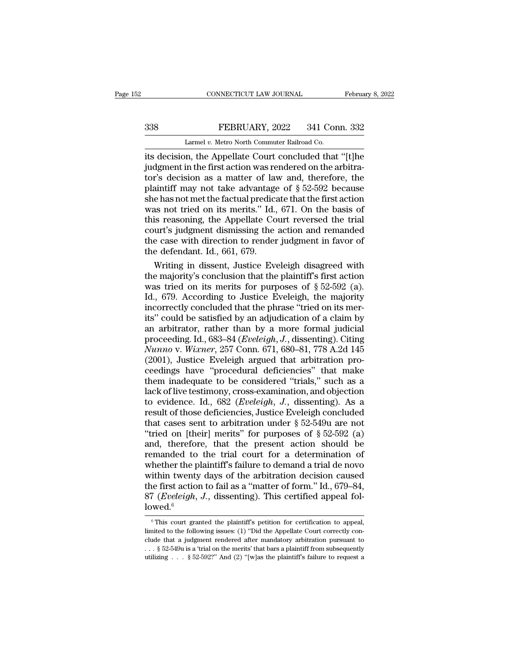## EXECUTE CONNECTICUT LAW JOURNAL February 8, 2022<br>338 FEBRUARY, 2022 341 Conn. 332<br>Larmel v. Metro North Commuter Railroad Co. CONNECTICUT LAW JOURNAL<br>FEBRUARY, 2022 341 Con<br>Larmel *v.* Metro North Commuter Railroad Co.<br>In the Appellate Court concluded that

CONNECTICUT LAW JOURNAL February 8, 2022<br>
S38 FEBRUARY, 2022 341 Conn. 332<br>
Larmel v. Metro North Commuter Railroad Co.<br>
its decision, the Appellate Court concluded that "[t]he<br>
judgment in the first action was rendered on 338 FEBRUARY, 2022 341 Conn. 332<br>
Larmel v. Metro North Commuter Railroad Co.<br>
its decision, the Appellate Court concluded that "[t]he<br>
judgment in the first action was rendered on the arbitra-<br>
tor's decision as a matter 338 FEBRUARY, 2022 341 Conn. 332<br>
Larmel v. Metro North Commuter Railroad Co.<br>
its decision, the Appellate Court concluded that "[t]he<br>
judgment in the first action was rendered on the arbitra-<br>
tor's decision as a matter FEBRUARY, 2022 341 Conn. 332<br>
Larmel v. Metro North Commuter Railroad Co.<br>
its decision, the Appellate Court concluded that "[t]he<br>
judgment in the first action was rendered on the arbitra-<br>
tor's decision as a matter of Larmel v. Metro North Commuter Railroad Co.<br>
its decision, the Appellate Court concluded that "[t]he<br>
judgment in the first action was rendered on the arbitra-<br>
tor's decision as a matter of law and, therefore, the<br>
plain Larmel v. Metro North Commuter Railroad Co.<br>
its decision, the Appellate Court concluded that "[t]he<br>
judgment in the first action was rendered on the arbitra-<br>
tor's decision as a matter of law and, therefore, the<br>
plain its decision, the Appellate Court concluded that "[t]he<br>judgment in the first action was rendered on the arbitra-<br>tor's decision as a matter of law and, therefore, the<br>plaintiff may not take advantage of § 52-592 because<br>s judgment in the first action was rendered on the arbitra-<br>tor's decision as a matter of law and, therefore, the<br>plaintiff may not take advantage of  $\S 52{\text -}592$  because<br>she has not met the factual predicate that the firs tor's decision as a matter of law and, therefore, the plaintiff may not take advantage of  $\S$  52-592 because<br>she has not met the factual predicate that the first action<br>was not tried on its merits.'' Id., 671. On the basi plaintiff may not take advantage<br>she has not met the factual predica<br>was not tried on its merits." Id.,<br>this reasoning, the Appellate Co<br>court's judgment dismissing the<br>the case with direction to render<br>the defendant. Id., e has not met the factual predicate that the first action<br>as not tried on its merits." Id., 671. On the basis of<br>is reasoning, the Appellate Court reversed the trial<br>urt's judgment dismissing the action and remanded<br>e case was not tried on its merits." Id., 671. On the basis of<br>this reasoning, the Appellate Court reversed the trial<br>court's judgment dismissing the action and remanded<br>the case with direction to render judgment in favor of<br>the

this reasoning, the Appellate Court reversed the trial<br>court's judgment dismissing the action and remanded<br>the case with direction to render judgment in favor of<br>the defendant. Id., 661, 679.<br>Writing in dissent, Justice Ev court's judgment dismissing the action and remanded<br>the case with direction to render judgment in favor of<br>the defendant. Id., 661, 679.<br>Writing in dissent, Justice Eveleigh disagreed with<br>the majority's conclusion that th the case with direction to render judgment in favor of<br>the defendant. Id., 661, 679.<br>Writing in dissent, Justice Eveleigh disagreed with<br>the majority's conclusion that the plaintiff's first action<br>was tried on its merits the defendant. Id., 661, 679.<br>
Writing in dissent, Justice Eveleigh disagreed with<br>
the majority's conclusion that the plaintiff's first action<br>
was tried on its merits for purposes of  $\S 52-592$  (a).<br>
Id., 679. According Writing in dissent, Justice Eveleigh disagreed with<br>the majority's conclusion that the plaintiff's first action<br>was tried on its merits for purposes of  $\S 52-592$  (a).<br>Id., 679. According to Justice Eveleigh, the majority the majority's conclusion that the plaintiff's first action<br>was tried on its merits for purposes of § 52-592 (a).<br>Id., 679. According to Justice Eveleigh, the majority<br>incorrectly concluded that the phrase "tried on its me *Nunno* v. *Numerity* concluded that the phrase "tried on its merits" could be satisfied by an adjudication of a claim by an arbitrator, rather than by a more formal judicial proceeding. Id., 683–84 (*Eveleigh, J.*, dissen Id., 679. According to Justice Eveleigh, the majority<br>incorrectly concluded that the phrase "tried on its mer-<br>its" could be satisfied by an adjudication of a claim by<br>an arbitrator, rather than by a more formal judicial<br> incorrectly concluded that the phrase "tried on its merits" could be satisfied by an adjudication of a claim by<br>an arbitrator, rather than by a more formal judicial<br>proceeding. Id., 683–84 (*Eveleigh*, *J.*, dissenting). C its" could be satisfied by an adjudication of a claim by<br>an arbitrator, rather than by a more formal judicial<br>proceeding. Id., 683–84 (*Eveleigh, J.*, dissenting). Citing<br>*Nunno* v. *Wixner*, 257 Conn. 671, 680–81, 778 A. an arbitrator, rather than by a more formal judicial<br>proceeding. Id., 683–84 (*Eveleigh*, *J*., dissenting). Citing<br>*Nunno* v. *Wixner*, 257 Conn. 671, 680–81, 778 A.2d 145<br>(2001), Justice Eveleigh argued that arbitration proceeding. Id., 683–84 (*Eveleigh*, *J*., dissenting). Citing<br> *Nunno* v. *Wixner*, 257 Conn. 671, 680–81, 778 A.2d 145<br>
(2001), Justice Eveleigh argued that arbitration pro-<br>
ceedings have "procedural deficiencies" that Nunno v. Wixner, 257 Conn. 671, 680–81, 778 A.2d 145 (2001), Justice Eveleigh argued that arbitration proceedings have "procedural deficiencies" that make<br>them inadequate to be considered "trials," such as a lack of live (2001), Justice Eveleigh argued that arbitration proceedings have "procedural deficiencies" that make<br>them inadequate to be considered "trials," such as a<br>lack of live testimony, cross-examination, and objection<br>to eviden ceedings have "procedural deficiencies" that make<br>them inadequate to be considered "trials," such as a<br>lack of live testimony, cross-examination, and objection<br>to evidence. Id., 682 (*Eveleigh*, *J.*, dissenting). As a<br>re them inadequate to be considered "trials," such as a<br>lack of live testimony, cross-examination, and objection<br>to evidence. Id., 682 (*Eveleigh, J.*, dissenting). As a<br>result of those deficiencies, Justice Eveleigh conclud lack of live testimony, cross-examination, and objection<br>to evidence. Id., 682 (*Eveleigh*, *J*., dissenting). As a<br>result of those deficiencies, Justice Eveleigh concluded<br>that cases sent to arbitration under  $\S 52-549u$ to evidence. Id., 682 (*Eveleigh*, *J.*, dissenting). As a<br>result of those deficiencies, Justice Eveleigh concluded<br>that cases sent to arbitration under  $\S 52-549u$  are not<br>"tried on [their] merits" for purposes of  $\S 52$ result of those deficiencies, Justice Eveleigh concluded<br>that cases sent to arbitration under  $\S$  52-549u are not<br>"tried on [their] merits" for purposes of  $\S$  52-592 (a)<br>and, therefore, that the present action should be<br> that cases sent to arbitration under  $\S$  52-549u are not<br>"tried on [their] merits" for purposes of  $\S$  52-592 (a)<br>and, therefore, that the present action should be<br>remanded to the trial court for a determination of<br>whethe "tried on [their] merits" for purposes of  $\S$  52-592 (a) and, therefore, that the present action should be remanded to the trial court for a determination of whether the plaintiff's failure to demand a trial de novo withi lowed.<sup>6</sup> ithin twenty days of the arbitration decision caused<br>ne first action to fail as a "matter of form." Id., 679–84,<br>7 (*Eveleigh*, *J*., dissenting). This certified appeal fol-<br>wed.<sup>6</sup><br><sup>6</sup>This court granted the plaintiff's p the first action to fail as a "matter of form." Id., 679–84,<br>  $87$  (*Eveleigh*, *J*., dissenting). This certified appeal fol-<br>
lowed.<sup>6</sup><br>
<sup>6</sup> This court granted the plaintiff's petition for certification to appeal,<br>
limit

<sup>87 (</sup>*Eveleigh*, *J*., dissenting). This certified appeal fol-<br>
lowed.<sup>6</sup><br>
<sup>6</sup> This court granted the plaintiff's petition for certification to appeal,<br>
limited to the following issues: (1) "Did the Appellate Court correct Lowed.<sup>6</sup><br>
<sup>6</sup> This court granted the plaintiff's petition for certification to appeal,<br>
limited to the following issues: (1) "Did the Appellate Court correctly con-<br>
clude that a judgment rendered after mandatory arbitra <sup>6</sup> This court granted the plaintiff's petition for certification to appeal, limited to the following issues: (1) "Did the Appellate Court correctly conclude that a judgment rendered after mandatory arbitration pursuant t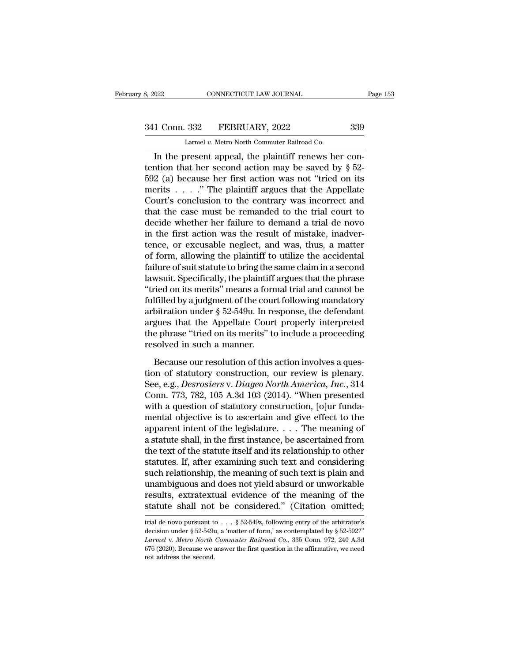# 341 Conn. 332 FEBRUARY, 2022 339<br>
Larmel v. Metro North Commuter Railroad Co.

8, 2022 CONNECTICUT LAW JOURNAL<br>
241 Conn. 332 FEBRUARY, 2022 339<br>
Larmel *v.* Metro North Commuter Railroad Co.<br>
In the present appeal, the plaintiff renews her con-CONNECTICUT LAW JOURNAL<br>
1 Conn. 332 FEBRUARY, 2022 339<br>
Larmel v. Metro North Commuter Railroad Co.<br>
In the present appeal, the plaintiff renews her con-<br>
thin that her second action may be saved by § 52-<br>
2 (0) because h 341 Conn. 332 FEBRUARY, 2022 339<br>
Larmel v. Metro North Commuter Railroad Co.<br>
In the present appeal, the plaintiff renews her contention that her second action may be saved by § 52-<br>
592 (a) because her first action was 341 Conn. 332 FEBRUARY, 2022 339<br>
Larmel v. Metro North Commuter Railroad Co.<br>
In the present appeal, the plaintiff renews her con-<br>
tention that her second action may be saved by § 52-<br>
592 (a) because her first action w 341 Conn. 332 FEBRUARY, 2022 339<br>
Larmel v. Metro North Commuter Railroad Co.<br>
In the present appeal, the plaintiff renews her con-<br>
tention that her second action may be saved by § 52-<br>
592 (a) because her first action w Larmel v. Metro North Commuter Railroad Co.<br>
In the present appeal, the plaintiff renews her contention that her second action may be saved by  $\S$  52-<br>
592 (a) because her first action was not "tried on its<br>
merits . . . Larmer v. Metro North Commuter Railroad Co.<br>
In the present appeal, the plaintiff renews her con-<br>
tention that her second action may be saved by § 52-<br>
592 (a) because her first action was not "tried on its<br>
merits . . . In the present appeal, the plaintiff renews her con-<br>tention that her second action may be saved by  $\S$  52-<br>592 (a) because her first action was not "tried on its<br>merits . . . . ." The plaintiff argues that the Appellate<br> tention that her second action may be saved by  $\S$  52-592 (a) because her first action was not "tried on its merits . . . ." The plaintiff argues that the Appellate Court's conclusion to the contrary was incorrect and tha 592 (a) because her first action was not "tried on its<br>merits  $\ldots$ ." The plaintiff argues that the Appellate<br>Court's conclusion to the contrary was incorrect and<br>that the case must be remanded to the trial court to<br>decid merits  $\ldots$  ." The plaintiff argues that the Appellate<br>Court's conclusion to the contrary was incorrect and<br>that the case must be remanded to the trial court to<br>decide whether her failure to demand a trial de novo<br>in the Court's conclusion to the contrary was incorrect and<br>that the case must be remanded to the trial court to<br>decide whether her failure to demand a trial de novo<br>in the first action was the result of mistake, inadver-<br>tence, that the case must be remanded to the trial court to<br>decide whether her failure to demand a trial de novo<br>in the first action was the result of mistake, inadver-<br>tence, or excusable neglect, and was, thus, a matter<br>of form decide whether her failure to demand a trial de novo<br>
in the first action was the result of mistake, inadver-<br>
tence, or excusable neglect, and was, thus, a matter<br>
of form, allowing the plaintiff to utilize the accidental in the first action was the result of mistake, inadvertence, or excusable neglect, and was, thus, a matter of form, allowing the plaintiff to utilize the accidental failure of suit statute to bring the same claim in a sec tence, or excusable neglect, and was, thus, a matter<br>of form, allowing the plaintiff to utilize the accidental<br>failure of suit statute to bring the same claim in a second<br>lawsuit. Specifically, the plaintiff argues that th of form, allowing the plaintiff to utilize the accidental<br>failure of suit statute to bring the same claim in a second<br>lawsuit. Specifically, the plaintiff argues that the phrase<br>"tried on its merits" means a formal trial a failure of suit statute to bring the same claim in a second<br>lawsuit. Specifically, the plaintiff argues that the phrase<br>"tried on its merits" means a formal trial and cannot be<br>fulfilled by a judgment of the court followin lawsuit. Specifically, the plaintiff<br>"tried on its merits" means a forr<br>fulfilled by a judgment of the cour<br>arbitration under § 52-549u. In re<br>argues that the Appellate Court<br>the phrase "tried on its merits" to<br>resolved in If<br>illed by a judgment of the court following mandatory<br>bitration under  $\S$  52-549u. In response, the defendant<br>gues that the Appellate Court properly interpreted<br>e phrase "tried on its merits" to include a proceeding<br>sol arbitration under § 52-549u. In response, the defendant<br>argues that the Appellate Court properly interpreted<br>the phrase "tried on its merits" to include a proceeding<br>resolved in such a manner.<br>Because our resolution of th

Examples that the Appellate Court properly interpreted<br>the phrase "tried on its merits" to include a proceeding<br>resolved in such a manner.<br>Because our resolution of this action involves a ques-<br>tion of statutory constructi the phrase "tried on its merits" to include a proceeding<br>resolved in such a manner.<br>Because our resolution of this action involves a ques-<br>tion of statutory construction, our review is plenary.<br>See, e.g., *Desrosiers* v. resolved in such a manner.<br>
Because our resolution of this action involves a question of statutory construction, our review is plenary.<br>
See, e.g., *Desrosiers v. Diageo North America*, *Inc.*, 314<br>
Conn. 773, 782, 105 A.3 Because our resolution of this action involves a question of statutory construction, our review is plenary.<br>See, e.g., *Desrosiers v. Diageo North America*, *Inc.*, 314<br>Conn. 773, 782, 105 A.3d 103 (2014). "When presented<br> Because our resolution of this action involves a question of statutory construction, our review is plenary.<br>See, e.g., *Desrosiers* v. *Diageo North America*, *Inc.*, 314<br>Conn. 773, 782, 105 A.3d 103 (2014). "When present tion of statutory construction, our review is plenary.<br>See, e.g., *Desrosiers* v. *Diageo North America*, *Inc.*, 314<br>Conn. 773, 782, 105 A.3d 103 (2014). "When presented<br>with a question of statutory construction, [o]ur f See, e.g., *Desrosiers* v. *Diageo North America*, *Inc.*, 314<br>Conn. 773, 782, 105 A.3d 103 (2014). "When presented<br>with a question of statutory construction, [o]ur funda-<br>mental objective is to ascertain and give effect t Conn. 773, 782, 105 A.3d 103 (2014). "When presented<br>with a question of statutory construction, [o]ur funda-<br>mental objective is to ascertain and give effect to the<br>apparent intent of the legislature. . . . The meaning of<br> with a question of statutory construction, [o]ur funda-<br>mental objective is to ascertain and give effect to the<br>apparent intent of the legislature.... The meaning of<br>a statute shall, in the first instance, be ascertained mental objective is to ascertain and give effect to the<br>apparent intent of the legislature. . . . The meaning of<br>a statute shall, in the first instance, be ascertained from<br>the text of the statute itself and its relations apparent intent of the legislature. . . . The meaning of<br>a statute shall, in the first instance, be ascertained from<br>the text of the statute itself and its relationship to other<br>statutes. If, after examining such text and a statute shall, in the first instance, be ascertained from<br>the text of the statute itself and its relationship to other<br>statutes. If, after examining such text and considering<br>such relationship, the meaning of such text such relationship, the meaning of such text is plain and<br>unambiguous and does not yield absurd or unworkable<br>results, extratextual evidence of the meaning of the<br>statute shall not be considered." (Citation omitted;<br>trial unambiguous and does not yield absurd or unworkable<br>results, extratextual evidence of the meaning of the<br>statute shall not be considered." (Citation omitted;<br> $\frac{1}{100}$ <br>trial de novo pursuant to . . . § 52-549z, followin

results, extratextual evidence of the meaning of the<br>statute shall not be considered." (Citation omitted;<br>trial de novo pursuant to . . . § 52-549z, following entry of the arbitrator's<br>decision under § 52-549u, a 'matter o **Statute Shall not be considered.**" (Citation omitted;<br>trial de novo pursuant to . . . § 52-549z, following entry of the arbitrator's<br>decision under § 52-549u, a 'matter of form,' as contemplated by § 52-592?"<br>*Larmel v.* trial de novo pursuant to . . . § 52-549z, following entry of the arbitrator's decision under § 52-549u, a 'matter of form,' as contemplated by § 52-592?" *Larmel* v. *Metro North Commuter Railroad Co.*, 335 Conn. 972, 24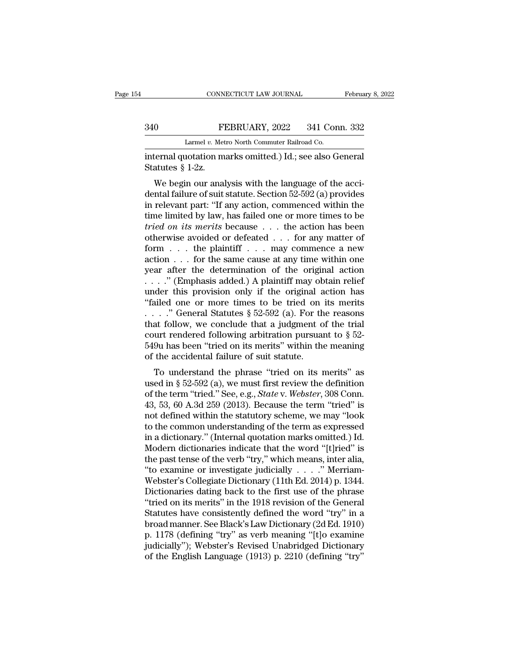## EXECUTE CONNECTICUT LAW JOURNAL February 8, 2022<br>340 FEBRUARY, 2022 341 Conn. 332<br>Larmel v. Metro North Commuter Railroad Co. CONNECTICUT LAW JOURNAL<br>FEBRUARY, 2022 341 Con<br>Larmel *v.* Metro North Commuter Railroad Co.<br>Lotation marks omitted ) Id : see also G

CONNECTICUT LAW JOURNAL February 8, 20<br>
340 FEBRUARY, 2022 341 Conn. 332<br>
Larmel v. Metro North Commuter Railroad Co.<br>
internal quotation marks omitted.) Id.; see also General<br>
Statutes § 1-2z. Statutes § 1-2z.<br>We begin our analysis<br>We begin our analysis<br>We begin our analysis

340 FEBRUARY, 2022 341 Conn. 332<br>
Larmel v. Metro North Commuter Railroad Co.<br>
internal quotation marks omitted.) Id.; see also General<br>
Statutes § 1-2z.<br>
We begin our analysis with the language of the acci-<br>
dental failu 340 FEBRUARY, 2022 341 Conn. 332<br>
Larmel v. Metro North Commuter Railroad Co.<br>
internal quotation marks omitted.) Id.; see also General<br>
Statutes § 1-2z.<br>
We begin our analysis with the language of the accidental failure Larmel v. Metro North Commuter Railroad Co.<br>
internal quotation marks omitted.) Id.; see also General<br>
Statutes § 1-2z.<br>
We begin our analysis with the language of the acci-<br>
dental failure of suit statute. Section 52-592 internal quotation marks omitted.) Id.; see also General<br>Statutes § 1-2z.<br>We begin our analysis with the language of the acci-<br>dental failure of suit statute. Section 52-592 (a) provides<br>in relevant part: "If any action, c *tried in the tried on its merits* on the anguage of the accidental failure of suit statute. Section 52-592 (a) provides<br>in relevant part: "If any action, commenced within the<br>time limited by law, has failed one or more ti We begin our analysis with the language of the accidental failure of suit statute. Section 52-592 (a) provides<br>in relevant part: "If any action, commenced within the<br>time limited by law, has failed one or more times to be We begin our analysis with the language of the acci-<br>dental failure of suit statute. Section 52-592 (a) provides<br>in relevant part: "If any action, commenced within the<br>time limited by law, has failed one or more times to dental failure of suit statute. Section 52-592 (a) provides<br>in relevant part: "If any action, commenced within the<br>time limited by law, has failed one or more times to be<br>*tried on its merits* because . . . the action has in relevant part: "If any action, commenced within the<br>time limited by law, has failed one or more times to be<br>*tried on its merits* because . . . the action has been<br>otherwise avoided or defeated . . . for any matter of<br> time limited by law, has failed one or more times to be *tried on its merits* because . . . the action has been otherwise avoided or defeated . . . for any matter of form . . . the plaintiff . . . may commence a new actio tried on its merits because . . . the action has been<br>otherwise avoided or defeated . . . for any matter of<br>form . . . the plaintiff . . . may commence a new<br>action . . . for the same cause at any time within one<br>year aft otherwise avoided or defeated . . . for any matter of<br>form . . . the plaintiff . . . may commence a new<br>action . . . for the same cause at any time within one<br>year after the determination of the original action<br>. . . . " form . . . the plaintiff . . . may commence a new<br>action . . . for the same cause at any time within one<br>year after the determination of the original action<br>. . . ." (Emphasis added.) A plaintiff may obtain relief<br>under t action . . . for the same cause at any time within one<br>year after the determination of the original action<br>....." (Emphasis added.) A plaintiff may obtain relief<br>under this provision only if the original action has<br>"faile year after the determination of the original action<br>
...." (Emphasis added.) A plaintiff may obtain relief<br>
under this provision only if the original action has<br>
"failed one or more times to be tried on its merits<br>
...." ...." (Emphasis added.) A plaintiff may obtain relief under this provision only if the original action has "failed one or more times to be tried on its merits ....." General Statutes  $\S 52-592$  (a). For the reasons that f under this provision only if the original action has<br>
"failed one or more times to be tried on its merits<br>
...." General Statutes  $\S 52-592$  (a). For the reasons<br>
that follow, we conclude that a judgment of the trial<br>
cou ..." General Statutes § 52-592 (a). For the reasons<br>at follow, we conclude that a judgment of the trial<br>urt rendered following arbitration pursuant to § 52-<br>9u has been "tried on its merits" within the meaning<br>the acciden used in § 52-592 (a), For the reasons<br>that follow, we conclude that a judgment of the trial<br>court rendered following arbitration pursuant to § 52-<br>549u has been "tried on its merits" within the meaning<br>of the accidental f

of the term 'tried' on its merits'' within the meaning<br>of the accidental failure of suit statute.<br>To understand the phrase "tried on its merits" as<br>used in § 52-592 (a), we must first review the definition<br>of the term "tri 549u has been "tried on its merits" within the meaning<br>549u has been "tried on its merits" within the meaning<br>of the accidental failure of suit statute.<br>To understand the phrase "tried on its merits" as<br>used in § 52-592 ( 3450 has been tried on its merks whill the meaning<br>of the accidental failure of suit statute.<br>To understand the phrase "tried on its merits" as<br>used in § 52-592 (a), we must first review the definition<br>of the term "tried. To understand the phrase "tried on its merits" as<br>used in § 52-592 (a), we must first review the definition<br>of the term "tried." See, e.g., *State v. Webster*, 308 Conn.<br>43, 53, 60 A.3d 259 (2013). Because the term "tried To understand the phrase "tried on its merits" as<br>used in § 52-592 (a), we must first review the definition<br>of the term "tried." See, e.g., *State* v. Webster, 308 Conn.<br>43, 53, 60 A.3d 259 (2013). Because the term "tried used in § 52-592 (a), we must first review the definition<br>of the term "tried." See, e.g., *State* v. *Webster*, 308 Conn.<br>43, 53, 60 A.3d 259 (2013). Because the term "tried" is<br>not defined within the statutory scheme, we of the term "tried." See, e.g., *State* v. *Webster*, 308 Conn.<br>43, 53, 60 A.3d 259 (2013). Because the term "tried" is<br>not defined within the statutory scheme, we may "look<br>to the common understanding of the term as expr 43, 53, 60 A.3d 259 (2013). Because the term "tried" is<br>not defined within the statutory scheme, we may "look<br>to the common understanding of the term as expressed<br>in a dictionary." (Internal quotation marks omitted.) Id.<br> not defined within the statutory scheme, we may "look<br>to the common understanding of the term as expressed<br>in a dictionary." (Internal quotation marks omitted.) Id.<br>Modern dictionaries indicate that the word "[t]ried" is<br>t to the common understanding of the term as expressed<br>in a dictionary." (Internal quotation marks omitted.) Id.<br>Modern dictionaries indicate that the word "[t]ried" is<br>the past tense of the verb "try," which means, inter a in a dictionary." (Internal quotation marks omitted.) Id.<br>Modern dictionaries indicate that the word "[t]ried" is<br>the past tense of the verb "try," which means, inter alia,<br>"to examine or investigate judicially  $\ldots$ ." Me Modern dictionaries indicate that the word "[t]ried" is<br>the past tense of the verb "try," which means, inter alia,<br>"to examine or investigate judicially  $\ldots$ ." Merriam-<br>Webster's Collegiate Dictionary (11th Ed. 2014) p. the past tense of the verb "try," which means, inter alia,<br>
"to examine or investigate judicially  $\ldots$ ." Merriam-<br>
Webster's Collegiate Dictionary (11th Ed. 2014) p. 1344.<br>
Dictionaries dating back to the first use of th "to examine or investigate judicially . . . . " Merriam-Webster's Collegiate Dictionary (11th Ed. 2014) p. 1344.<br>Dictionaries dating back to the first use of the phrase "tried on its merits" in the 1918 revision of the Ge Webster's Collegiate Dictionary (11th Ed. 2014) p. 1344.<br>Dictionaries dating back to the first use of the phrase<br>"tried on its merits" in the 1918 revision of the General<br>Statutes have consistently defined the word "try" i Dictionaries dating back to the first use of the phrase<br>"tried on its merits" in the 1918 revision of the General<br>Statutes have consistently defined the word "try" in a<br>broad manner. See Black's Law Dictionary (2d Ed. 1910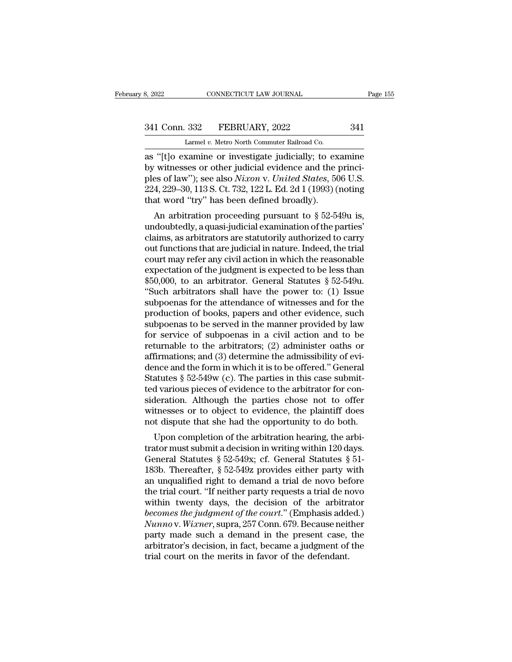8, 2022 CONNECTICUT LAW JOURNAL<br>
341 Conn. 332 FEBRUARY, 2022 341<br>
Larmel *v.* Metro North Commuter Railroad Co.<br>
as "[t]o examine or investigate judicially; to examine as 2022 CONNECTICUT LAW JOURNAL Page 155<br>
341 Conn. 332 FEBRUARY, 2022 341<br>
Larmel v. Metro North Commuter Railroad Co.<br>
as "[t]o examine or investigate judicially; to examine<br>
by witnesses or other judicial evidence and t 341 Conn. 332 FEBRUARY, 2022 341<br>
Larmel v. Metro North Commuter Railroad Co.<br>
as "[t]o examine or investigate judicially; to examine<br>
by witnesses or other judicial evidence and the princi-<br>
ples of law"); see also *Nixon* 341 Conn. 332 FEBRUARY, 2022 341<br>Larmel v. Metro North Commuter Railroad Co.<br>as "[t]o examine or investigate judicially; to examine<br>by witnesses or other judicial evidence and the princi-<br>ples of law"); see also *Nixon* v. 341 Conn. 332 FEBRUARY, 2022 341<br>
Larmel v. Metro North Commuter Railroad Co.<br>
as "[t]o examine or investigate judicially; to examine<br>
by witnesses or other judicial evidence and the princi-<br>
ples of law"); see also *Nixo* Larmel v. Metro North Commuter Railroad Co.<br>as "[t]o examine or investigate judicially; to ex<br>by witnesses or other judicial evidence and the ples of law"); see also *Nixon* v. *United States*, 50<br>224, 229–30, 113 S. Ct. "(t]o examine or investigate judicially; to examine<br>
vitnesses or other judicial evidence and the princi-<br>
es of law"); see also *Nixon* v. *United States*, 506 U.S.<br>
4, 229–30, 113 S. Ct. 732, 122 L. Ed. 2d 1 (1993) (not as  $\pm$  [t]0 examine of investigate Judicialy, to examine<br>by witnesses or other judicial evidence and the princi-<br>ples of law"); see also *Nixon* v. United States, 506 U.S.<br>224, 229–30, 113 S. Ct. 732, 122 L. Ed. 2d 1 (19

by whilesses of other judicial evidence and the principles of law"); see also *Nixon* v. United States, 506 U.S.<br>224, 229–30, 113 S. Ct. 732, 122 L. Ed. 2d 1 (1993) (noting that word "try" has been defined broadly).<br>An ar ples of law *f*, see also *Nuton v. Ontied States*, 500 0.5.<br>224, 229–30, 113 S. Ct. 732, 122 L. Ed. 2d 1 (1993) (noting<br>that word "try" has been defined broadly).<br>An arbitration proceeding pursuant to § 52-549u is,<br>undoub 224, 225–50, 115 S. Ct. 752, 122 L. Ed. 2d 1 (1995) (hoting<br>that word "try" has been defined broadly).<br>An arbitration proceeding pursuant to § 52-549u is,<br>undoubtedly, a quasi-judicial examination of the parties'<br>claims, An arbitration proceeding pursuant to  $\S$  52-549u is,<br>undoubtedly, a quasi-judicial examination of the parties'<br>claims, as arbitrators are statutorily authorized to carry<br>out functions that are judicial in nature. Indeed, An arbitration proceeding pursuant to  $\S$  52-549u is,<br>undoubtedly, a quasi-judicial examination of the parties'<br>claims, as arbitrators are statutorily authorized to carry<br>out functions that are judicial in nature. Indeed, undoubtedly, a quasi-judicial examination of the parties'<br>
claims, as arbitrators are statutorily authorized to carry<br>
out functions that are judicial in nature. Indeed, the trial<br>
court may refer any civil action in which claims, as arbitrators are statutorily authorized to carry<br>out functions that are judicial in nature. Indeed, the trial<br>court may refer any civil action in which the reasonable<br>expectation of the judgment is expected to be out functions that are judicial in nature. Indeed, the trial<br>court may refer any civil action in which the reasonable<br>expectation of the judgment is expected to be less than<br>\$50,000, to an arbitrator. General Statutes § 52 court may refer any civil action in which the reasonable<br>expectation of the judgment is expected to be less than<br>\$50,000, to an arbitrator. General Statutes § 52-549u.<br>"Such arbitrators shall have the power to: (1) Issue<br>s expectation of the judgment is expected to be less than<br>\$50,000, to an arbitrator. General Statutes § 52-549u.<br>"Such arbitrators shall have the power to: (1) Issue<br>subpoenas for the attendance of witnesses and for the<br>pro \$50,000, to an arbitrator. General Statutes  $\S$  52-549u.<br>
"Such arbitrators shall have the power to: (1) Issue<br>
subpoenas for the attendance of witnesses and for the<br>
production of books, papers and other evidence, such<br> "Such arbitrators shall have the power to: (1) Issue<br>subpoenas for the attendance of witnesses and for the<br>production of books, papers and other evidence, such<br>subpoenas to be served in the manner provided by law<br>for serv subpoenas for the attendance of witnesses and for the<br>production of books, papers and other evidence, such<br>subpoenas to be served in the manner provided by law<br>for service of subpoenas in a civil action and to be<br>returnabl production of books, papers and other evidence, such<br>subpoenas to be served in the manner provided by law<br>for service of subpoenas in a civil action and to be<br>returnable to the arbitrators; (2) administer oaths or<br>affirmat subpoenas to be served in the manner provided by law<br>for service of subpoenas in a civil action and to be<br>returnable to the arbitrators; (2) administer oaths or<br>affirmations; and (3) determine the admissibility of evi-<br>den for service of subpoenas in a civil action and to be<br>returnable to the arbitrators; (2) administer oaths or<br>affirmations; and (3) determine the admissibility of evi-<br>dence and the form in which it is to be offered." Gener returnable to the arbitrators; (2) administer oaths or<br>affirmations; and (3) determine the admissibility of evi-<br>dence and the form in which it is to be offered." General<br>Statutes § 52-549w (c). The parties in this case su affirmations; and (3) determine the admissibility of evidence and the form in which it is to be offered." General Statutes § 52-549w (c). The parties in this case submitted various pieces of evidence to the arbitrator for The and the form in which it is to be onefed. General atutes  $\S$  52-549w (c). The parties in this case submit-<br>d various pieces of evidence to the arbitrator for con-<br>deration. Although the parties chose not to offer<br>tnes statutes  $\S$  52-545W (C). The parties in this case submitted various pieces of evidence to the arbitrator for consideration. Although the parties chose not to offer witnesses or to object to evidence, the plaintiff does n

France Community of the about and the various precess of evidence to the about<br>and the parties chose not to offer witnesses or to object to evidence, the plaintiff does<br>not dispute that she had the opportunity to do both.<br> sideration. Although the parties chose not to oner<br>witnesses or to object to evidence, the plaintiff does<br>not dispute that she had the opportunity to do both.<br>Upon completion of the arbitration hearing, the arbi-<br>trator m whilesses of to object to evidence, the plannin does<br>not dispute that she had the opportunity to do both.<br>Upon completion of the arbitration hearing, the arbi-<br>trator must submit a decision in writing within 120 days.<br>Gen The trial court is a trial court in the dependence of the arbitrator must submit a decision in writing within 120 days.<br>General Statutes § 52-549x; cf. General Statutes § 51-183b. Thereafter, § 52-549z provides either par Upon completion of the arbitration hearing, the arbitrator must submit a decision in writing within 120 days.<br>General Statutes § 52-549x; cf. General Statutes § 51-<br>183b. Thereafter, § 52-549z provides either party with<br>a *becomes trator must submit a decision in writing within 120 days.*<br> *General Statutes* § 52-549x; cf. General Statutes § 51-<br> *becomes the fight to demand a trial de novo before*<br> *the trial court.* "If neither party requ General Statutes § 52-549x; cf. General Statutes § 51-<br>183b. Thereafter, § 52-549z provides either party with<br>an unqualified right to demand a trial de novo before<br>the trial court. "If neither party requests a trial de nov 183b. Thereafter, § 52-549z provides either party with<br>an unqualified right to demand a trial de novo before<br>the trial court. "If neither party requests a trial de novo<br>within twenty days, the decision of the arbitrator<br>b an unqualified right to demand a trial de novo before<br>the trial court. "If neither party requests a trial de novo<br>within twenty days, the decision of the arbitrator<br>becomes the judgment of the court." (Emphasis added.)<br>Nun the trial court. "If neither party requests a trial de n<br>within twenty days, the decision of the arbitrace becomes the judgment of the court." (Emphasis add<br>Nunno v. Wixner, supra, 257 Conn. 679. Because neit<br>party made su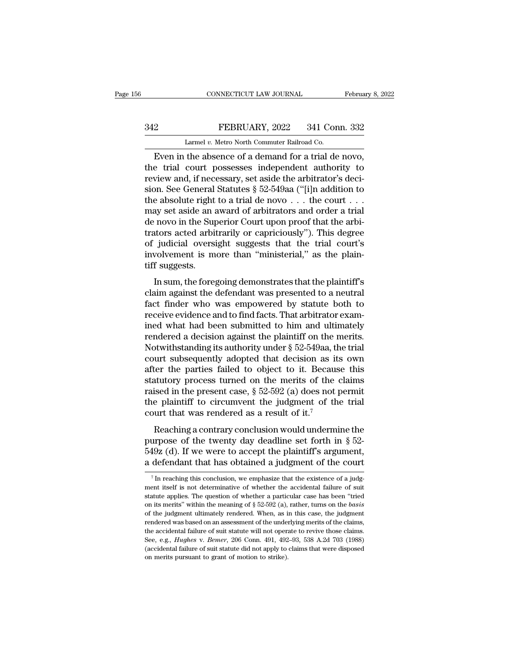## EXECUTE CONNECTICUT LAW JOURNAL February 8, 2022<br>342 FEBRUARY, 2022 341 Conn. 332<br>2 Larmel v. Metro North Commuter Railroad Co. CONNECTICUT LAW JOURNAL<br>FEBRUARY, 2022 341 Con<br>Larmel *v.* Metro North Commuter Railroad Co.<br>the absence of a demand for a trial de

CONNECTICUT LAW JOURNAL February 8, 2<br>
PEBRUARY, 2022 341 Conn. 332<br>
Larmel v. Metro North Commuter Railroad Co.<br>
Even in the absence of a demand for a trial de novo,<br>
e trial court possesses independent authority to THE TRIAL SALE of the trial court possesses independent authority to<br>the trial court possesses independent authority to<br>review and, if necessary, set aside the arbitrator's deci-<br>sion. Soo Gonoral Statutes  $8.52,549$ a ("fi FEBRUARY, 2022 341 Conn. 332<br>
Larmel v. Metro North Commuter Railroad Co.<br>
Even in the absence of a demand for a trial de novo,<br>
the trial court possesses independent authority to<br>
review and, if necessary, set aside the SHERUARY, 2022 341 Conn. 332<br>
Larmel v. Metro North Commuter Railroad Co.<br>
Even in the absence of a demand for a trial de novo,<br>
the trial court possesses independent authority to<br>
review and, if necessary, set aside the Larmel v. Metro North Commuter Railroad Co.<br>
Even in the absence of a demand for a trial de novo,<br>
the trial court possesses independent authority to<br>
review and, if necessary, set aside the arbitrator's deci-<br>
sion. See Larmel v. Metro North Commuter Railroad Co.<br>
Even in the absence of a demand for a trial de novo,<br>
the trial court possesses independent authority to<br>
review and, if necessary, set aside the arbitrator's deci-<br>
sion. See Even in the absence of a demand for a trial de novo,<br>the trial court possesses independent authority to<br>review and, if necessary, set aside the arbitrator's deci-<br>sion. See General Statutes § 52-549aa ("[i]n addition to<br>t the trial court possesses independent authority to<br>review and, if necessary, set aside the arbitrator's deci-<br>sion. See General Statutes § 52-549aa ("[i]n addition to<br>the absolute right to a trial de novo  $\dots$  the court review and, if necessary, set aside the arbitrator's decision. See General Statutes § 52-549aa ("[i]n addition to the absolute right to a trial de novo . . . the court . . . may set aside an award of arbitrators and order sion. See General Statutes § 52-549aa ("[i]n addition to the absolute right to a trial de novo  $\ldots$  the court  $\ldots$  may set aside an award of arbitrators and order a trial de novo in the Superior Court upon proof that th the absolute right<br>may set aside an a<br>de novo in the Sup<br>trators acted arbit<br>of judicial oversi<br>involvement is m<br>tiff suggests.<br>In sum, the fore<sub>?</sub> In surface and a matrix of a binadicity and order a that<br>in novo in the Superior Court upon proof that the arbi-<br>intors acted arbitrarily or capriciously"). This degree<br>judicial oversight suggests that the trial court's<br>vo claim and the deferred board upon proof that are and<br>trators acted arbitrarily or capriciously"). This degree<br>of judicial oversight suggests that the trial court's<br>involvement is more than "ministerial," as the plain-<br>tiff

Factor's acted abordary of expressionly *f*. This degree<br>of judicial oversight suggests that the trial court's<br>involvement is more than "ministerial," as the plain-<br>tiff suggests.<br>In sum, the foregoing demonstrates that th or judicial oversignt suggests that the trial courts<br>involvement is more than "ministerial," as the plain-<br>tiff suggests.<br>In sum, the foregoing demonstrates that the plaintiff's<br>claim against the defendant was presented to In sum, the foregoing demonstrates that the plaintiff's<br>claim against the defendant was presented to a neutral<br>fact finder who was empowered by statute both to<br>receive evidence and to find facts. That arbitrator exam-<br>ine In sum, the foregoing demonstrates that the plaintiff's<br>claim against the defendant was presented to a neutral<br>fact finder who was empowered by statute both to<br>receive evidence and to find facts. That arbitrator exam-<br>ine In sum, the foregoing demonstrates that the plaintiff's<br>claim against the defendant was presented to a neutral<br>fact finder who was empowered by statute both to<br>receive evidence and to find facts. That arbitrator exam-<br>ine claim against the defendant was presented to a neutral<br>fact finder who was empowered by statute both to<br>receive evidence and to find facts. That arbitrator exam-<br>ined what had been submitted to him and ultimately<br>rendered fact finder who was empowered by statute both to<br>receive evidence and to find facts. That arbitrator exam-<br>ined what had been submitted to him and ultimately<br>rendered a decision against the plaintiff on the merits.<br>Notwit receive evidence and to find facts. That arbitrator examined what had been submitted to him and ultimately<br>rendered a decision against the plaintiff on the merits.<br>Notwithstanding its authority under  $\S 52-549$ aa, the tri ined what had been submitted to him and ultimately<br>rendered a decision against the plaintiff on the merits.<br>Notwithstanding its authority under § 52-549aa, the trial<br>court subsequently adopted that decision as its own<br>aft rendered a decision against the plaintiff on the merits.<br>Notwithstanding its authority under  $\S$  52-549aa, the trial<br>court subsequently adopted that decision as its own<br>after the parties failed to object to it. Because th Notwithstanding its authority under  $\S$  52-549aa, the court subsequently adopted that decision as it after the parties failed to object to it. Becaus statutory process turned on the merits of the raised in the present cas For the parties failed to object that decision as its own<br>ter the parties failed to object to it. Because this<br>sised in the present case,  $\S 52-592$  (a) does not permit<br>e plaintiff to circumvent the judgment of the trial<br> statutory process turned on the merits of the claims<br>raised in the present case,  $\S 52-592$  (a) does not permit<br>the plaintiff to circumvent the judgment of the trial<br>court that was rendered as a result of it.<sup>7</sup><br>Reaching

Fraction process tanded on the method of the claims<br>raised in the present case,  $\S$  52-592 (a) does not permit<br>the plaintiff to circumvent the judgment of the trial<br>court that was rendered as a result of it.<sup>7</sup><br>Reaching a Figure 1 and present ease,  $\frac{1}{2}$  or  $\frac{1}{2}$  or  $\frac{1}{2}$  does not permit the plaintiff to circumvent the judgment of the trial court that was rendered as a result of it.<sup>7</sup><br>Reaching a contrary conclusion would under Reaching a contrary conclusion would undermine the<br>purpose of the twenty day deadline set forth in  $\S$  52-<br>549z (d). If we were to accept the plaintiff's argument,<br>a defendant that has obtained a judgment of the court purpose of the twenty day deadline set forth in § 52-549z (d). If we were to accept the plaintiff's argument, a defendant that has obtained a judgment of the court  $\frac{7}{1}$  In reaching this conclusion, we emphasize that

<sup>549</sup>z (d). If we were to accept the plaintiff's argument,<br>a defendant that has obtained a judgment of the court<br> $\frac{1}{1}$  in reaching this conclusion, we emphasize that the existence of a judgment itself is not determinati a defendant that has obtained a judgment of the court<br><sup>7</sup> In reaching this conclusion, we emphasize that the existence of a judgment itself is not determinative of whether the accidental failure of suit statute applies. Th The reaching this conclusion, we emphasize that the existence of a judgment itself is not determinative of whether the accidental failure of suit statute applies. The question of whether a particular case has been "tried The reaching this conclusion, we emphasize that the existence of a judgment itself is not determinative of whether the accidental failure of suit statute applies. The question of whether a particular case has been "tried ment itself is not determinative of whether the accidental failure of suit statute applies. The question of whether a particular case has been "tried on its merits" within the meaning of  $\S$  52-592 (a), rather, turns on t statute applies. The question of whether a particular case has been "tried on its merits" within the meaning of  $\S$  52-592 (a), rather, turns on the *basis* of the judgment ultimately rendered. When, as in this case, the boat a septime within the meaning of § 52-592 (a), rather, turns on the *basis* of the judgment ultimately rendered. When, as in this case, the judgment rendered was based on an assessment of the underlying merits of the of the judgment ultimately rendered. When, as in this case, the judgment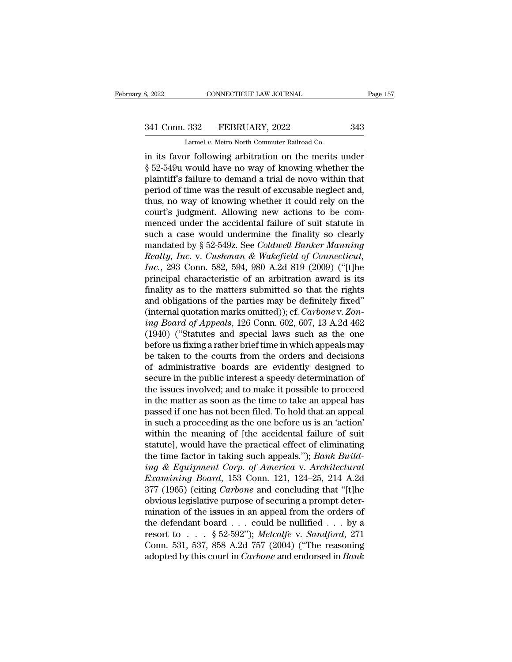# 341 Conn. 332 FEBRUARY, 2022 343<br>
Larmel v. Metro North Commuter Railroad Co.

CONNECTICUT LAW JOURNAL<br>
332 FEBRUARY, 2022<br>
Larmel *v.* Metro North Commuter Railroad Co.<br>
In following arbitration on the merits

3, 2022 CONNECTICUT LAW JOURNAL Page 157<br>
341 Conn. 332 FEBRUARY, 2022 343<br>
Larmel v. Metro North Commuter Railroad Co.<br>
in its favor following arbitration on the merits under<br>
§ 52-549u would have no way of knowing whethe <sup>341</sup> Conn. 332 FEBRUARY, 2022 343<br>
Larmel v. Metro North Commuter Railroad Co.<br>
in its favor following arbitration on the merits under<br>
§ 52-549u would have no way of knowing whether the<br>
plaintiff's failure to demand a t 341 Conn. 332 FEBRUARY, 2022 343<br>
Larmel v. Metro North Commuter Railroad Co.<br>
in its favor following arbitration on the merits under<br>
§ 52-549u would have no way of knowing whether the<br>
plaintiff's failure to demand a tr 341 Conn. 332 FEBRUARY, 2022 343<br>
Larmel v. Metro North Commuter Railroad Co.<br>
in its favor following arbitration on the merits under<br>
§ 52-549u would have no way of knowing whether the<br>
plaintiff's failure to demand a tr Larmel v. Metro North Commuter Railroad Co.<br>
in its favor following arbitration on the merits under<br>
§ 52-549u would have no way of knowing whether the<br>
plaintiff's failure to demand a trial de novo within that<br>
period of Lamer *v.* Metro North Commuter Rainbad Co.<br>
in its favor following arbitration on the merits under<br>
§ 52-549u would have no way of knowing whether the<br>
plaintiff's failure to demand a trial de novo within that<br>
period of in its favor following arbitration on the merits under<br>§ 52-549u would have no way of knowing whether the<br>plaintiff's failure to demand a trial de novo within that<br>period of time was the result of excusable neglect and,<br>t § 52-549u would have no way of knowing whether the plaintiff's failure to demand a trial de novo within that period of time was the result of excusable neglect and, thus, no way of knowing whether it could rely on the cou plaintiff's failure to demand a trial de novo within that<br>period of time was the result of excusable neglect and,<br>thus, no way of knowing whether it could rely on the<br>court's judgment. Allowing new actions to be com-<br>mence period of time was the result of excusable neglect and,<br>thus, no way of knowing whether it could rely on the<br>court's judgment. Allowing new actions to be com-<br>menced under the accidental failure of suit statute in<br>such a c thus, no way of knowing whether it could rely on the<br>court's judgment. Allowing new actions to be com-<br>menced under the accidental failure of suit statute in<br>such a case would undermine the finality so clearly<br>mandated by court's judgment. Allowing new actions to be com-<br>menced under the accidental failure of suit statute in<br>such a case would undermine the finality so clearly<br>mandated by § 52-549z. See *Coldwell Banker Manning*<br>*Realty, In* menced under the accidental failure of suit statute in<br>such a case would undermine the finality so clearly<br>mandated by § 52-549z. See *Coldwell Banker Manning*<br>Realty, Inc. v. Cushman & Wakefield of Connecticut,<br>Inc., 293 such a case would undermine the finality so clearly<br>mandated by § 52-549z. See *Coldwell Banker Manning*<br>*Realty, Inc.* v. *Cushman & Wakefield of Connecticut,*<br>*Inc.*, 293 Conn. 582, 594, 980 A.2d 819 (2009) ("[t]he<br>prin mandated by § 52-549z. See *Coldwell Banker Manning*<br> *Realty, Inc.* v. *Cushman & Wakefield of Connecticut,*<br> *Inc.*, 293 Conn. 582, 594, 980 A.2d 819 (2009) ("[t]he<br>
principal characteristic of an arbitration award is i *Realty, Inc.* v. *Cushman & Wakefield of Connecticut, Inc.*, 293 Conn. 582, 594, 980 A.2d 819 (2009) ("[t]he principal characteristic of an arbitration award is its finality as to the matters submitted so that the rights Inc., 293 Conn. 582, 594, 980 A.2d 819 (2009) ("[t]he<br>principal characteristic of an arbitration award is its<br>finality as to the matters submitted so that the rights<br>and obligations of the parties may be definitely fixed" principal characteristic of an arbitration award is its<br>finality as to the matters submitted so that the rights<br>and obligations of the parties may be definitely fixed"<br>(internal quotation marks omitted)); cf. *Carbone* v. finality as to the matters submitted so that the rights<br>and obligations of the parties may be definitely fixed"<br>(internal quotation marks omitted)); cf. *Carbone* v. *Zon-*<br>ing Board of Appeals, 126 Conn. 602, 607, 13 A.2 and obligations of the parties may be definitely fixed"<br>(internal quotation marks omitted)); cf. *Carbone* v. Zon-<br>ing Board of Appeals, 126 Conn. 602, 607, 13 A.2d 462<br>(1940) ("Statutes and special laws such as the one<br>be (internal quotation marks omitted)); cf. *Carbone* v. *Zoning Board of Appeals*, 126 Conn. 602, 607, 13 A.2d 462 (1940) ("Statutes and special laws such as the one before us fixing a rather brief time in which appeals may ing Board of Appeals, 126 Conn. 602, 607, 13 A.2d 462<br>(1940) ("Statutes and special laws such as the one<br>before us fixing a rather brief time in which appeals may<br>be taken to the courts from the orders and decisions<br>of adm (1940) ("Statutes and special laws such as the one<br>before us fixing a rather brief time in which appeals may<br>be taken to the courts from the orders and decisions<br>of administrative boards are evidently designed to<br>secure i before us fixing a rather brief time in which appeals may<br>be taken to the courts from the orders and decisions<br>of administrative boards are evidently designed to<br>secure in the public interest a speedy determination of<br>the be taken to the courts from the orders and decisions<br>of administrative boards are evidently designed to<br>secure in the public interest a speedy determination of<br>the issues involved; and to make it possible to proceed<br>in the of administrative boards are evidently designed to<br>secure in the public interest a speedy determination of<br>the issues involved; and to make it possible to proceed<br>in the matter as soon as the time to take an appeal has<br>pas secure in the public interest a speedy determination of<br>the issues involved; and to make it possible to proceed<br>in the matter as soon as the time to take an appeal has<br>passed if one has not been filed. To hold that an app the issues involved; and to make it possible to proceed<br>in the matter as soon as the time to take an appeal has<br>passed if one has not been filed. To hold that an appeal<br>in such a proceeding as the one before us is an 'acti in the matter as soon as the time to take an appeal has<br>passed if one has not been filed. To hold that an appeal<br>in such a proceeding as the one before us is an 'action'<br>within the meaning of [the accidental failure of sui passed if one has not been filed. To hold that an appeal<br>in such a proceeding as the one before us is an 'action'<br>within the meaning of [the accidental failure of suit<br>statute], would have the practical effect of eliminati in such a proceeding as the one before us is an 'action'<br>within the meaning of [the accidental failure of suit<br>statute], would have the practical effect of eliminating<br>the time factor in taking such appeals."); *Bank Build* within the meaning of [the accidental failure of suit statute], would have the practical effect of eliminating the time factor in taking such appeals."); *Bank Building & Equipment Corp. of America v. Architectural Examin* statute], would have the practical effect of eliminating<br>the time factor in taking such appeals."); *Bank Build-*<br>ing & Equipment Corp. of America v. Architectural<br>Examining Board, 153 Conn. 121, 124–25, 214 A.2d<br>377 (196 the time factor in taking such appeals."); *Bank Build-*<br> *ing & Equipment Corp. of America v. Architectural*<br> *Examining Board*, 153 Conn. 121, 124–25, 214 A.2d<br>
377 (1965) (citing *Carbone* and concluding that "[t]he<br>
o ing & Equipment Corp. of America v. Architectural<br>Examining Board, 153 Conn. 121, 124–25, 214 A.2d<br>377 (1965) (citing Carbone and concluding that "[t]he<br>obvious legislative purpose of securing a prompt deter-<br>mination of t *Examining Board*, 153 Conn. 121, 124–25, 214 A.2d 377 (1965) (citing *Carbone* and concluding that "[t]he obvious legislative purpose of securing a prompt determination of the issues in an appeal from the orders of the d 377 (1965) (citing *Carbone* and concluding that "[t]he<br>obvious legislative purpose of securing a prompt deter-<br>mination of the issues in an appeal from the orders of<br>the defendant board . . . could be nullified . . . by a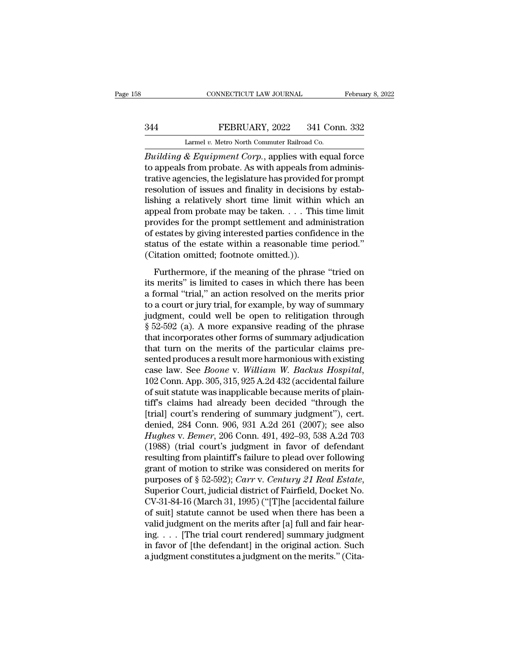# EXECUTE CONNECTICUT LAW JOURNAL February 8, 2022<br>344 FEBRUARY, 2022 341 Conn. 332<br>2 Larmel v. Metro North Commuter Railroad Co.

CONNECTICUT LAW JOURNAL Februa<br>
244 FEBRUARY, 2022 341 Conn. 332<br>
Larmel *v.* Metro North Commuter Railroad Co.<br>
21 Building & Equipment Corp., applies with equal force *CONNECTICUT LAW JOURNAL* February 8, 2022<br> **Building & Equipment Corp.**, applies with equal force<br>
to appeals from probate. As with appeals from administrative agencies the legislature has provided for promot EXERUARY, 2022 341 Conn. 332<br>
Larmel v. Metro North Commuter Railroad Co.<br>
Building & Equipment Corp., applies with equal force<br>
to appeals from probate. As with appeals from administrative agencies, the legislature has pr FEBRUARY, 2022 341 Conn. 332<br>
Larmel v. Metro North Commuter Railroad Co.<br>
Building & Equipment Corp., applies with equal force<br>
to appeals from probate. As with appeals from administrative agencies, the legislature has p FEBRUARY, 2022 341 Conn. 332<br>
Larmel v. Metro North Commuter Railroad Co.<br>
Building & Equipment Corp., applies with equal force<br>
to appeals from probate. As with appeals from administrative agencies, the legislature has p Larmel v. Metro North Commuter Railroad Co.<br>
Building & Equipment Corp., applies with equal force<br>
to appeals from probate. As with appeals from adminis-<br>
trative agencies, the legislature has provided for prompt<br>
resolut Larmet v. Metro North Commuter Railroad Co.<br>
Building & Equipment Corp., applies with equal force<br>
to appeals from probate. As with appeals from administrative agencies, the legislature has provided for prompt<br>
resolution Building & Equipment Corp., applies with equal force<br>to appeals from probate. As with appeals from adminis-<br>trative agencies, the legislature has provided for prompt<br>resolution of issues and finality in decisions by estab to appeals from probate. As with appeals from administrative agencies, the legislature has provided for prompt<br>resolution of issues and finality in decisions by estab-<br>lishing a relatively short time limit within which an<br> trative agencies, the legislature has provided for prompt<br>resolution of issues and finality in decisions by estab-<br>lishing a relatively short time limit within which an<br>appeal from probate may be taken.... This time limit resolution of issues and finality in decision<br>lishing a relatively short time limit within<br>appeal from probate may be taken.  $\dots$  This<br>provides for the prompt settlement and adn<br>of estates by giving interested parties con Furthermore, if the meaning of the phrase "tried on the meaning of the prompt settlement and administration estates by giving interested parties confidence in the atus of the estate within a reasonable time period."<br>
itat provides for the prompt settlement and administration<br>of estates by giving interested parties confidence in the<br>status of the estate within a reasonable time period."<br>(Citation omitted; footnote omitted.)).<br>Furthermore, i

provides for the prompt section<br>and administration of estates by giving interested parties confidence in the<br>status of the estate within a reasonable time period."<br>(Citation omitted; footnote omitted.)).<br>Furthermore, if th status of the estate within a reasonable time period."<br>(Citation omitted; footnote omitted.)).<br>Furthermore, if the meaning of the phrase "tried on<br>its merits" is limited to cases in which there has been<br>a formal "trial," (Citation omitted; footnote omitted.)).<br>
Furthermore, if the meaning of the phrase "tried on<br>
its merits" is limited to cases in which there has been<br>
a formal "trial," an action resolved on the merits prior<br>
to a court o Furthermore, if the meaning of the phrase "tried on<br>its merits" is limited to cases in which there has been<br>a formal "trial," an action resolved on the merits prior<br>to a court or jury trial, for example, by way of summary Furthermore, if the meaning of the phrase "tried on<br>its merits" is limited to cases in which there has been<br>a formal "trial," an action resolved on the merits prior<br>to a court or jury trial, for example, by way of summary<br> its merits" is limited to cases in which there has been<br>a formal "trial," an action resolved on the merits prior<br>to a court or jury trial, for example, by way of summary<br>judgment, could well be open to relitigation throug a formal "trial," an action resolved on the merits prior<br>to a court or jury trial, for example, by way of summary<br>judgment, could well be open to relitigation through<br> $\S 52-592$  (a). A more expansive reading of the phrase to a court or jury trial, for example, by way of summary<br>judgment, could well be open to relitigation through<br>§ 52-592 (a). A more expansive reading of the phrase<br>that incorporates other forms of summary adjudication<br>that § 52-592 (a). A more expansive reading of the phrase<br>that incorporates other forms of summary adjudication<br>that turn on the merits of the particular claims pre-<br>sented produces a result more harmonious with existing<br>case that incorporates other forms of summary adjudication<br>that turn on the merits of the particular claims pre-<br>sented produces a result more harmonious with existing<br>case law. See *Boone* v. William W. Backus Hospital,<br>102 C that turn on the merits of the particular claims presented produces a result more harmonious with existing case law. See *Boone* v. *William W. Backus Hospital*, 102 Conn. App. 305, 315, 925 A.2d 432 (accidental failure o sented produces a result more harmonious with existing<br>case law. See *Boone* v. William W. Backus Hospital,<br>102 Conn. App. 305, 315, 925 A.2d 432 (accidental failure<br>of suit statute was inapplicable because merits of plain case law. See *Boone* v. *William W. Backus Hospital*,<br>102 Conn. App. 305, 315, 925 A.2d 432 (accidental failure<br>of suit statute was inapplicable because merits of plain-<br>tiff's claims had already been decided "through the 102 Conn. App. 305, 315, 925 A.2d 432 (accidental failure<br>of suit statute was inapplicable because merits of plain-<br>tiff's claims had already been decided "through the<br>[trial] court's rendering of summary judgment"), cert of suit statute was inapplicable because merits of plain-<br>tiff's claims had already been decided "through the<br>[trial] court's rendering of summary judgment"), cert.<br>denied, 284 Conn. 906, 931 A.2d 261 (2007); see also<br>*Hu* tiff's claims had already been decided "through the<br>[trial] court's rendering of summary judgment"), cert.<br>denied, 284 Conn. 906, 931 A.2d 261 (2007); see also<br>*Hughes* v. *Bemer*, 206 Conn. 491, 492–93, 538 A.2d 703<br>(198 [trial] court's rendering of summary judgment"), cert.<br>denied, 284 Conn. 906, 931 A.2d 261 (2007); see also<br>Hughes v. Bemer, 206 Conn. 491, 492–93, 538 A.2d 703<br>(1988) (trial court's judgment in favor of defendant<br>resultin Hughes v. Bemer, 206 Conn. 491, 492–93, 538 A.2d 703<br>(1988) (trial court's judgment in favor of defendant<br>resulting from plaintiff's failure to plead over following<br>grant of motion to strike was considered on merits for<br>pu (1988) (trial court's judgment in favor of defendant<br>resulting from plaintiff's failure to plead over following<br>grant of motion to strike was considered on merits for<br>purposes of § 52-592); *Carr* v. *Century 21 Real Esta* resulting from plaintiff's failure to plead over following<br>grant of motion to strike was considered on merits for<br>purposes of § 52-592); *Carr* v. *Century 21 Real Estate*,<br>Superior Court, judicial district of Fairfield, grant of motion to strike was considered on merits for<br>purposes of § 52-592); *Carr* v. *Century 21 Real Estate*,<br>Superior Court, judicial district of Fairfield, Docket No.<br>CV-31-84-16 (March 31, 1995) ("[T]he [accidental purposes of § 52-592); *Carr* v. *Century 21 Real Estate*,<br>Superior Court, judicial district of Fairfield, Docket No.<br>CV-31-84-16 (March 31, 1995) ("[T]he [accidental failure<br>of suit] statute cannot be used when there has Superior Court, judicial district of Fairfield, Docket No.<br>CV-31-84-16 (March 31, 1995) ("[T]he [accidental failure<br>of suit] statute cannot be used when there has been a<br>valid judgment on the merits after [a] full and fair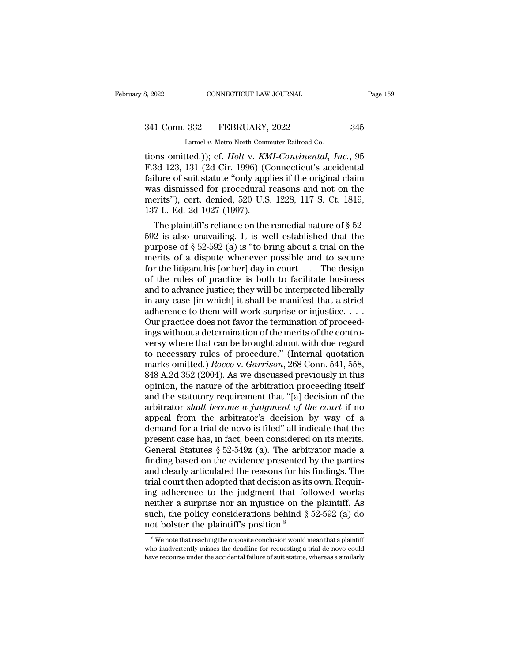# 341 Conn. 332 FEBRUARY, 2022 345<br>
Larmel v. Metro North Commuter Railroad Co.

CONNECTICUT LAW JOURNAL<br>
332 FEBRUARY, 2022<br>
Larmel *v.* Metro North Commuter Railroad Co.<br>
(Hed )): cf. Holt v. KMI-Continental. Ia the same of same of suite terms of suite terms of suite terms of suite terms of suite terms of suite terms of suite terms of suite terms of suite terms of suite terms of suite terms of suite terms of suite terms of suite t 341 Conn. 332 FEBRUARY, 2022 345<br>
Larmel v. Metro North Commuter Railroad Co.<br>
tions omitted.)); cf. *Holt* v. *KMI-Continental*, *Inc.*, 95<br>
F.3d 123, 131 (2d Cir. 1996) (Connecticut's accidental<br>
failure of suit statute 341 Conn. 332 FEBRUARY, 2022 345<br>
Larmel v. Metro North Commuter Railroad Co.<br>
tions omitted.)); cf. *Holt* v. *KMI-Continental*, *Inc.*, 95<br>
F.3d 123, 131 (2d Cir. 1996) (Connecticut's accidental<br>
failure of suit statute 341 Conn. 332 FEBRUARY, 2022 345<br>
Larmel v. Metro North Commuter Railroad Co.<br>
tions omitted.)); cf. *Holt* v. *KMI*-Continental, Inc., 95<br>
F.3d 123, 131 (2d Cir. 1996) (Connecticut's accidental<br>
failure of suit statute "o Larmel v. Metro North Commuter Railroad Co.<br>
tions omitted.)); cf. *Holt v. KMI-Continental*, *Inc.*, 95<br>
F.3d 123, 131 (2d Cir. 1996) (Connecticut's accidental<br>
failure of suit statute "only applies if the original claim Larmel v. Metro North Comm<br>tions omitted.)); cf. *Holt* v. *KM*<br>F.3d 123, 131 (2d Cir. 1996) (C<br>failure of suit statute "only appl<br>was dismissed for procedural i<br>merits"), cert. denied, 520 U.S.<br>137 L. Ed. 2d 1027 (1997). Sol 123, 131 (2d Cir. 1996) (Connecticut's accidental<br>3d 123, 131 (2d Cir. 1996) (Connecticut's accidental<br>ilure of suit statute "only applies if the original claim<br>as dismissed for procedural reasons and not on the<br>erits F.3d 123, 131 (2d CIF. 1996) (Connecticut s accidental<br>failure of suit statute "only applies if the original claim<br>was dismissed for procedural reasons and not on the<br>merits"), cert. denied, 520 U.S. 1228, 117 S. Ct. 1819

railure of suit statute only applies if the original claim<br>was dismissed for procedural reasons and not on the<br>merits"), cert. denied, 520 U.S. 1228, 117 S. Ct. 1819,<br>137 L. Ed. 2d 1027 (1997).<br>The plaintiff's reliance on was dismissed for procedural reasons and not on the<br>merits"), cert. denied, 520 U.S. 1228, 117 S. Ct. 1819,<br>137 L. Ed. 2d 1027 (1997).<br>The plaintiff's reliance on the remedial nature of § 52-<br>592 is also unavailing. It is merits ), cert. denied, 520 U.S. 1228, 117 S. Ct. 1819,<br>137 L. Ed. 2d 1027 (1997).<br>The plaintiff's reliance on the remedial nature of § 52-<br>592 is also unavailing. It is well established that the<br>purpose of § 52-592 (a) i 137 L. Ed. 2d 1027 (1997).<br>
The plaintiff's reliance on the remedial nature of § 52-<br>
592 is also unavailing. It is well established that the<br>
purpose of § 52-592 (a) is "to bring about a trial on the<br>
merits of a dispute The plaintiff's reliance on the remedial nature of  $\S$  52-592 is also unavailing. It is well established that the purpose of  $\S$  52-592 (a) is "to bring about a trial on the merits of a dispute whenever possible and to se 592 is also unavailing. It is well established that the<br>purpose of  $\S 52-592$  (a) is "to bring about a trial on the<br>merits of a dispute whenever possible and to secure<br>for the litigant his [or her] day in court. . . . The purpose of  $\S 52-592$  (a) is "to bring about a trial on the<br>merits of a dispute whenever possible and to secure<br>for the litigant his [or her] day in court. . . . The design<br>of the rules of practice is both to facilitate b merits of a dispute whenever possible and to secure<br>for the litigant his [or her] day in court. . . . The design<br>of the rules of practice is both to facilitate business<br>and to advance justice; they will be interpreted lib for the litigant his [or her] day in court. . . . The design<br>of the rules of practice is both to facilitate business<br>and to advance justice; they will be interpreted liberally<br>in any case [in which] it shall be manifest t % of the rules of practice is both to facilitate business<br>and to advance justice; they will be interpreted liberally<br>in any case [in which] it shall be manifest that a strict<br>adherence to them will work surprise or injust and to advance justice; they will be interpreted liberally<br>in any case [in which] it shall be manifest that a strict<br>adherence to them will work surprise or injustice....<br>Our practice does not favor the termination of pro in any case [in which] it shall be manifest that a strict<br>adherence to them will work surprise or injustice. . . .<br>Our practice does not favor the termination of proceed-<br>ings without a determination of the merits of the c adherence to them will work surprise or injustice....<br>Our practice does not favor the termination of proceed-<br>ings without a determination of the merits of the contro-<br>versy where that can be brought about with due regard Our practice does not favor the termination of proceedings without a determination of the merits of the contro-<br>versy where that can be brought about with due regard<br>to necessary rules of procedure." (Internal quotation<br>ma ings without a determination of the merits of the contro-<br>versy where that can be brought about with due regard<br>to necessary rules of procedure." (Internal quotation<br>marks omitted.) *Rocco* v. *Garrison*, 268 Conn. 541, 55 versy where that can be brought about with due regard<br>to necessary rules of procedure." (Internal quotation<br>marks omitted.) *Rocco* v. *Garrison*, 268 Conn. 541, 558,<br>848 A.2d 352 (2004). As we discussed previously in this to necessary rules of procedure." (Internal quotation<br>marks omitted.)  $Rocco$  v.  $Garrison$ , 268 Conn. 541, 558,<br>848 A.2d 352 (2004). As we discussed previously in this<br>opinion, the nature of the arbitration proceeding itself<br>an marks omitted.) *Rocco* v. *Garrison*, 268 Conn. 541, 558, 848 A.2d 352 (2004). As we discussed previously in this opinion, the nature of the arbitration proceeding itself and the statutory requirement that "[a] decision 848 A.2d 352 (2004). As we discussed previously in this opinion, the nature of the arbitration proceeding itself and the statutory requirement that "[a] decision of the arbitrator *shall become a judgment of the court* if opinion, the nature of the arbitration proceeding itself<br>and the statutory requirement that "[a] decision of the<br>arbitrator *shall become a judgment of the court* if no<br>appeal from the arbitrator's decision by way of a<br>dem and the statutory requirement that "[a] decision of the arbitrator *shall become a judgment of the court* if no appeal from the arbitrator's decision by way of a demand for a trial de novo is filed" all indicate that the arbitrator *shall become a judgment of the court* if no<br>appeal from the arbitrator's decision by way of a<br>demand for a trial de novo is filed" all indicate that the<br>present case has, in fact, been considered on its merits appeal from the arbitrator's decision by way of a<br>demand for a trial de novo is filed" all indicate that the<br>present case has, in fact, been considered on its merits.<br>General Statutes § 52-549z (a). The arbitrator made a<br>f demand for a trial de novo is filed" all indicate that the<br>present case has, in fact, been considered on its merits.<br>General Statutes  $\S~52-549z$  (a). The arbitrator made a<br>finding based on the evidence presented by the p present case has, in fact, been considered on its merits.<br>General Statutes  $\S 52-549z$  (a). The arbitrator made a<br>finding based on the evidence presented by the parties<br>and clearly articulated the reasons for his findings General Statutes § 52-549z (a). The arbitrator made a finding based on the evidence presented by the parties and clearly articulated the reasons for his findings. The trial court then adopted that decision as its own. Req finding based on the evidence presented l<br>and clearly articulated the reasons for his<br>trial court then adopted that decision as its<br>ing adherence to the judgment that fol<br>neither a surprise nor an injustice on the<br>such, t ing adherence to the judgment that followed works<br>neither a surprise nor an injustice on the plaintiff. As<br>such, the policy considerations behind  $\S 52-592$  (a) do<br>not bolster the plaintiff's position.<sup>8</sup><br>we note that rea meither a surprise nor an injustice on the plaintiff. As<br>such, the policy considerations behind  $\S 52-592$  (a) do<br>not bolster the plaintiff's position.<sup>8</sup><br><sup>8</sup> We note that reaching the opposite conclusion would mean that such, the policy considerations behind  $\S 52-592$  (a) do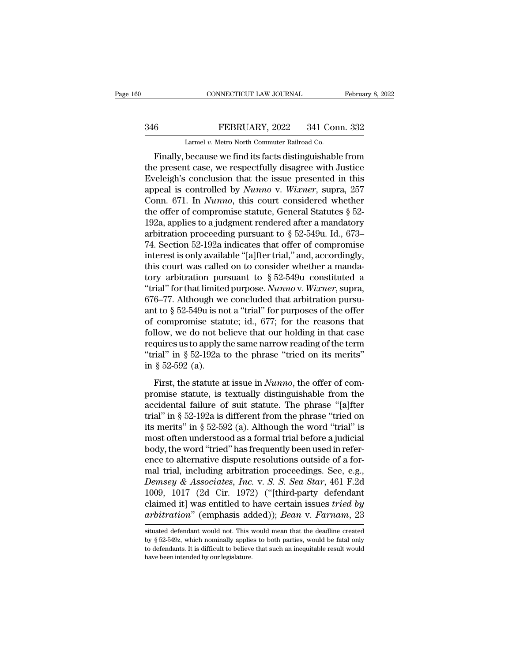## EXECUTE CONNECTICUT LAW JOURNAL February 8, 2022<br>346 FEBRUARY, 2022 341 Conn. 332<br>Larmel v. Metro North Commuter Railroad Co. CONNECTICUT LAW JOURNAL<br>FEBRUARY, 2022 341 Con<br>Larmel *v.* Metro North Commuter Railroad Co.<br>because we find its facts distinguishabl

CONNECTICUT LAW JOURNAL February 8, 2022<br>
FEBRUARY, 2022 341 Conn. 332<br>
Larmel v. Metro North Commuter Railroad Co.<br>
Finally, because we find its facts distinguishable from<br>
e present case, we respectfully disagree with Ju The Present case, we respectfully disagree with Justice Eveleigh's conclusion that the issue presented in this<br>the present case, we respectfully disagree with Justice Eveleigh's conclusion that the issue presented in this<br> EVERUARY, 2022 341 Conn. 332<br>
Larmel v. Metro North Commuter Railroad Co.<br>
Finally, because we find its facts distinguishable from<br>
the present case, we respectfully disagree with Justice<br>
Eveleigh's conclusion that the i FEBRUARY, 2022 341 Conn. 332<br>
Larmel *v.* Metro North Commuter Railroad Co.<br>
Finally, because we find its facts distinguishable from<br>
the present case, we respectfully disagree with Justice<br>
Eveleigh's conclusion that the Larmel v. Metro North Commuter Railroad Co.<br>
Finally, because we find its facts distinguishable from<br>
the present case, we respectfully disagree with Justice<br>
Eveleigh's conclusion that the issue presented in this<br>
appeal Larmer v. Metro North Commuter Railroad Co.<br>
Finally, because we find its facts distinguishable from<br>
the present case, we respectfully disagree with Justice<br>
Eveleigh's conclusion that the issue presented in this<br>
appeal Finally, because we find its facts distinguishable from<br>the present case, we respectfully disagree with Justice<br>Eveleigh's conclusion that the issue presented in this<br>appeal is controlled by *Nunno* v. *Wixner*, supra, 25 the present case, we respectfully disagree with Justice<br>Eveleigh's conclusion that the issue presented in this<br>appeal is controlled by *Nunno* v. *Wixner*, supra, 257<br>Conn. 671. In *Nunno*, this court considered whether<br>t Eveleigh's conclusion that the issue presented in this<br>appeal is controlled by *Nunno* v. *Wixner*, supra, 257<br>Conn. 671. In *Nunno*, this court considered whether<br>the offer of compromise statute, General Statutes § 52-<br>1 appeal is controlled by *Nunno* v. Wixner, supra, 257<br>Conn. 671. In *Nunno*, this court considered whether<br>the offer of compromise statute, General Statutes § 52-<br>192a, applies to a judgment rendered after a mandatory<br>arb Conn. 671. In *Nunno*, this court considered whether<br>the offer of compromise statute, General Statutes § 52-<br>192a, applies to a judgment rendered after a mandatory<br>arbitration proceeding pursuant to § 52-549u. Id., 673–<br>7 the offer of compromise statute, General Statutes § 52-<br>192a, applies to a judgment rendered after a mandatory<br>arbitration proceeding pursuant to § 52-549u. Id., 673–<br>74. Section 52-192a indicates that offer of compromise 192a, applies to a judgment rendered after a mandatory<br>arbitration proceeding pursuant to  $\S$  52-549u. Id., 673–<br>74. Section 52-192a indicates that offer of compromise<br>interest is only available "[a]fter trial," and, acco arbitration proceeding pursuant to § 52-549u. Id., 673–74. Section 52-192a indicates that offer of compromise<br>interest is only available "[a]fter trial," and, accordingly,<br>this court was called on to consider whether a ma 74. Section 52-192a indicates that offer of compromise<br>interest is only available "[a]fter trial," and, accordingly,<br>this court was called on to consider whether a manda-<br>tory arbitration pursuant to  $\S 52-549u$  constitut interest is only available "[a]fter trial," and, accordingly,<br>this court was called on to consider whether a manda-<br>tory arbitration pursuant to § 52-549u constituted a<br>"trial" for that limited purpose. Nunno v. Wixner, s this court was called on to consider whether a manda-<br>tory arbitration pursuant to § 52-549u constituted a<br>"trial" for that limited purpose. *Nunno* v. Wixner, supra,<br>676–77. Although we concluded that arbitration pursu-<br> tory arbitration pursuant to § 52-549u constituted a<br>
"trial" for that limited purpose. *Nunno* v. *Wixner*, supra,<br>
676–77. Although we concluded that arbitration pursu-<br>
ant to § 52-549u is not a "trial" for purposes of "trial" for that limited purpose. *Nunno* v. Wixner, supra, 676–77. Although we concluded that arbitration pursuant to § 52-549u is not a "trial" for purposes of the offer of compromise statute; id., 677; for the reasons 676–77. Although we<br>ant to § 52-549u is no<br>of compromise stat<br>follow, we do not be<br>requires us to apply t<br>"trial" in § 52-192a t<br>in § 52-592 (a).<br>First, the statute a compromise statute; id., 677; for the reasons that<br>llow, we do not believe that our holding in that case<br>quires us to apply the same narrow reading of the term<br>rial" in § 52-192a to the phrase "tried on its merits"<br>§ 52-5 follow, we do not believe that our holding in that case<br>requires us to apply the same narrow reading of the term<br>"trial" in § 52-192a to the phrase "tried on its merits"<br>in § 52-592 (a).<br>First, the statute at issue in *Nu* 

requires us to apply the same narrow reading of the term<br>
"trial" in § 52-192a to the phrase "tried on its merits"<br>
in § 52-592 (a).<br>
First, the statute at issue in *Nunno*, the offer of com-<br>
promise statute, is textuall The same of the phrase "tried on its merits"<br>
"trial" in § 52-192a to the phrase "tried on its merits"<br>
in § 52-592 (a).<br>
First, the statute at issue in *Nunno*, the offer of com-<br>
promise statute, is textually distinguis in § 52-592 (a).<br>
First, the statute at issue in *Nunno*, the offer of compromise statute, is textually distinguishable from the accidental failure of suit statute. The phrase "[a]fter trial" in § 52-192a is different fro First, the statute at issue in *Nunno*, the offer of compromise statute, is textually distinguishable from the accidental failure of suit statute. The phrase "[a]fter trial" in § 52-192a is different from the phrase "trie First, the statute at issue in *Nunno*, the offer of compromise statute, is textually distinguishable from the accidental failure of suit statute. The phrase "[a]fter trial" in § 52-192a is different from the phrase "trie promise statute, is textually distinguishable from the accidental failure of suit statute. The phrase "[a]fter trial" in § 52-192a is different from the phrase "tried on its merits" in § 52-592 (a). Although the word "tri accidental failure of suit statute. The phrase "[a]fter<br>trial" in § 52-192a is different from the phrase "tried on<br>its merits" in § 52-592 (a). Although the word "trial" is<br>most often understood as a formal trial before a *Demindstrial"* in § 52-192a is different from the phrase "tried on<br>its merits" in § 52-592 (a). Although the word "trial" is<br>most often understood as a formal trial before a judicial<br>body, the word "tried" has frequently its merits" in § 52-592 (a). Although the word "trial" is<br>most often understood as a formal trial before a judicial<br>body, the word "tried" has frequently been used in refer-<br>ence to alternative dispute resolutions outside most often understood as a formal trial before a judicial<br>body, the word "tried" has frequently been used in refer-<br>ence to alternative dispute resolutions outside of a for-<br>mal trial, including arbitration proceedings. Se body, the word "tried" has frequently been used in reference to alternative dispute resolutions outside of a formal trial, including arbitration proceedings. See, e.g., *Demsey & Associates, Inc.* v. *S. S. Sea Star*, 461 Demsey & Associates, Inc. v. S. S. Sea Star, 461 F.2d 1009, 1017 (2d Cir. 1972) ("[third-party defendant claimed it] was entitled to have certain issues *tried by arbitration*" (emphasis added)); *Bean v. Farnam*, 23 situ 1009, 1017 (2d Cir. 1972) ("[third-party defendant claimed it] was entitled to have certain issues *tried by* arbitration" (emphasis added)); *Bean v. Farnam*, 23 situated defendant would not. This would mean that the dea

claimed it] was entitled to have certain issues *tried by*<br>arbitration" (emphasis added)); *Bean* v. Farnam, 23<br>situated defendant would not. This would mean that the deadline created<br>by § 52-549z, which nominally applies arbitration" (emphasis ad<br>
situated defendant would not. This v<br>
by § 52-549z, which nominally applie<br>
to defendants. It is difficult to believe<br>
have been intended by our legislature.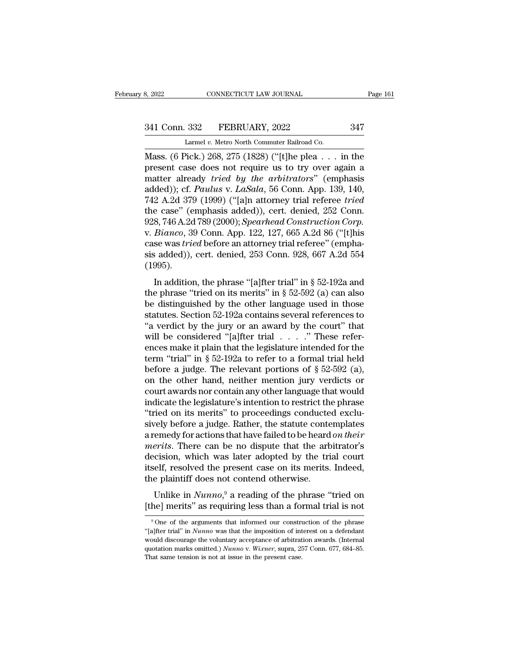CONNECTICUT LAW JOURNAL<br>
332 FEBRUARY, 2022<br>
Larmel *v.* Metro North Commuter Railroad Co.<br>
2ick 1 268 275 (1828) ("It the plea

S, 2022 CONNECTICUT LAW JOURNAL Page 161<br>
341 Conn. 332 FEBRUARY, 2022 347<br>
Larmel v. Metro North Commuter Railroad Co.<br>
Mass. (6 Pick.) 268, 275 (1828) ("[t]he plea . . . in the present case does not require us to try ove 341 Conn. 332 FEBRUARY, 2022 347<br>
Larmel v. Metro North Commuter Railroad Co.<br>
Mass. (6 Pick.) 268, 275 (1828) ("[t]he plea . . . in the<br>
present case does not require us to try over again a<br>
matter already *tried by the a* 341 Conn. 332 FEBRUARY, 2022 347<br>
Larmel *v.* Metro North Commuter Railroad Co.<br>
Mass. (6 Pick.) 268, 275 (1828) ("[t]he plea . . . in the<br>
present case does not require us to try over again a<br>
matter already *tried by the* 341 Conn. 332 FEBRUARY, 2022 347<br>
Larmel v. Metro North Commuter Railroad Co.<br>
Mass. (6 Pick.) 268, 275 (1828) ("[t]he plea . . . in the<br>
present case does not require us to try over again a<br>
matter already *tried by the a* Larmel v. Metro North Commuter Railroad Co.<br>
Mass. (6 Pick.) 268, 275 (1828) ("[t]he plea . . . in the<br>
present case does not require us to try over again a<br>
matter already *tried by the arbitrators*" (emphasis<br>
added)); c Larmel v. Metro North Commuter Railroad Co.<br>
Mass. (6 Pick.) 268, 275 (1828) ("[t]he plea... in the<br>
present case does not require us to try over again a<br>
matter already *tried by the arbitrators*" (emphasis<br>
added)); cf. Mass. (6 Pick.) 268, 275 (1828) ("[t]he plea . . . in the present case does not require us to try over again a matter already *tried by the arbitrators*" (emphasis added)); cf. *Paulus v. LaSala*, 56 Conn. App. 139, 140, 7 present case does not require us to try over again a<br>matter already *tried by the arbitrators*" (emphasis<br>added)); cf. *Paulus* v. *LaSala*, 56 Conn. App. 139, 140,<br>742 A.2d 379 (1999) ("[a]n attorney trial referee *tried* matter already *tried by the arbitrators*" (emphasis added)); cf. *Paulus v. LaSala*, 56 Conn. App. 139, 140, 742 A.2d 379 (1999) ("[a]n attorney trial referee *tried* the case" (emphasis added)), cert. denied, 252 Conn. 9 added)); cf. *Paulus v. LaSala*, 56 Conn. App. 139, 140,<br>742 A.2d 379 (1999) ("[a]n attorney trial referee *tried*<br>the case" (emphasis added)), cert. denied, 252 Conn.<br>928, 746 A.2d 789 (2000); *Spearhead Construction Corp* (1995). 8, 746 A.2d 789 (2000); *Spearhead Construction Corp.*<br> *Bianco*, 39 Conn. App. 122, 127, 665 A.2d 86 ("[t]his<br>
se was *tried* before an attorney trial referee" (empha-<br> *i*, added)), cert. denied, 253 Conn. 928, 667 A.2d belo, i formal roo (2000), Spearmedia construction corp.<br>
v. Bianco, 39 Conn. App. 122, 127, 665 A.2d 86 ("[t]his<br>
case was *tried* before an attorney trial referee" (empha-<br>
sis added)), cert. denied, 253 Conn. 928, 667

be distinguished by the internal parameteric conditions and the phrase "faller trial" in § 52-192a and the phrase "tried on its merits" in § 52-592 (a) can also be distinguished by the other language used in those statute sis added)), cert. denied, 253 Conn. 928, 667 A.2d 554<br>(1995).<br>In addition, the phrase "[a]fter trial" in § 52-192a and<br>the phrase "tried on its merits" in § 52-592 (a) can also<br>be distinguished by the other language used (1995).<br>
In addition, the phrase "[a]fter trial" in § 52-192a and<br>
the phrase "tried on its merits" in § 52-592 (a) can also<br>
be distinguished by the other language used in those<br>
statutes. Section 52-192a contains severa In addition, the phrase "[a]fter trial" in § 52-192a and<br>the phrase "tried on its merits" in § 52-592 (a) can also<br>be distinguished by the other language used in those<br>statutes. Section 52-192a contains several references In addition, the phrase "[a]fter trial" in § 52-192a and<br>the phrase "tried on its merits" in § 52-592 (a) can also<br>be distinguished by the other language used in those<br>statutes. Section 52-192a contains several references the phrase "tried on its merits" in § 52-592 (a) can also<br>be distinguished by the other language used in those<br>statutes. Section 52-192a contains several references to<br>"a verdict by the jury or an award by the court" that be distinguished by the other language used in those<br>statutes. Section 52-192a contains several references to<br>"a verdict by the jury or an award by the court" that<br>will be considered "[a]fter trial  $\ldots$ ." These refer-<br>en statutes. Section 52-192a contains several references to<br>
"a verdict by the jury or an award by the court" that<br>
will be considered "[a]fter trial  $\ldots$ ." These refer-<br>
ences make it plain that the legislature intended fo "a verdict by the jury or an award by the court" that<br>will be considered "[a]fter trial  $\ldots$ ." These refer-<br>ences make it plain that the legislature intended for the<br>term "trial" in § 52-192a to refer to a formal trial h will be considered "[a]fter trial  $\ldots$  ." These references make it plain that the legislature intended for the term "trial" in § 52-192a to refer to a formal trial held before a judge. The relevant portions of § 52-592 ( ences make it plain that the legislature intended for the term "trial" in § 52-192a to refer to a formal trial held before a judge. The relevant portions of § 52-592 (a), on the other hand, neither mention jury verdicts o term "trial" in § 52-192a to refer to a formal trial held<br>before a judge. The relevant portions of § 52-592 (a),<br>on the other hand, neither mention jury verdicts or<br>court awards nor contain any other language that would<br>i before a judge. The relevant portions of  $\S$  52-592 (a),<br>on the other hand, neither mention jury verdicts or<br>court awards nor contain any other language that would<br>indicate the legislature's intention to restrict the phra on the other hand, neither mention jury verdicts or<br>court awards nor contain any other language that would<br>indicate the legislature's intention to restrict the phrase<br>"tried on its merits" to proceedings conducted exclu-<br>s court awards nor contain any other language that would<br>indicate the legislature's intention to restrict the phrase<br>"tried on its merits" to proceedings conducted exclu-<br>sively before a judge. Rather, the statute contemplat indicate the legislature's intention to restrict the phrase<br>"tried on its merits" to proceedings conducted exclu-<br>sively before a judge. Rather, the statute contemplates<br>a remedy for actions that have failed to be heard *o* "tried on its merits" to proceedings conducte<br>sively before a judge. Rather, the statute conte<br>a remedy for actions that have failed to be heard<br>*merits*. There can be no dispute that the art<br>decision, which was later ado The phase of the state of the phrase of the phrase emedy for actions that have failed to be heard *on their* erits. There can be no dispute that the arbitrator's cision, which was later adopted by the trial court elf, reso *the merits*. There can be no dispute that the arbitrator's decision, which was later adopted by the trial court itself, resolved the present case on its merits. Indeed, the plaintiff does not contend otherwise.<br>Unlike in

e plaintiff does not contend otherwise.<br>
Unlike in  $Numno<sup>9</sup>$  a reading of the phrase "tried on<br>
he] merits" as requiring less than a formal trial is not<br>  $9^9$ One of the arguments that informed our construction of the p

Unlike in *Nunno*,<sup>9</sup> a reading of the phrase "tried on [the] merits" as requiring less than a formal trial is not  $\frac{9}{100}$  one of the arguments that informed our construction of the phrase "[a]fter trial" in *Nunno* w Unlike in *Nunno*,<sup>9</sup> a reading of the phrase "tried on [the] merits" as requiring less than a formal trial is not "one of the arguments that informed our construction of the phrase "[a]fter trial" in *Nunno* was that the [the] merits" as requiring less than a formal trial is not<br><sup>9</sup> One of the arguments that informed our construction of the phrase<br>"[a]fter trial" in *Nunno* was that the imposition of interest on a defendant<br>would discourag The price is a strep internal and the property of the arguments that informed our construed algebra in the present case.<br>
"[alter trial" in *Nunno* was that the imposition of int would discourage the voluntary acceptance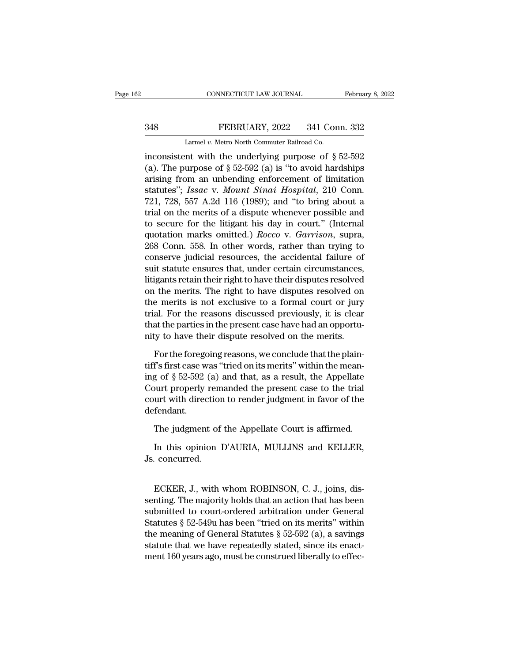# EXECUTE CONNECTICUT LAW JOURNAL February 8, 2022<br>348 FEBRUARY, 2022 341 Conn. 332<br>Larmel v. Metro North Commuter Railroad Co.

CONNECTICUT LAW JOURNAL Februa<br>
248 FEBRUARY, 2022 341 Conn. 332<br>
Larmel *v.* Metro North Commuter Railroad Co.<br>
inconsistent with the underlying purpose of §52-592 CONNECTICUT LAW JOURNAL February 8, 2022<br>
348 FEBRUARY, 2022 341 Conn. 332<br>
Larmel v. Metro North Commuter Railroad Co.<br>
inconsistent with the underlying purpose of  $\S 52-592$ <br>
(a). The purpose of  $\S 52-592$  (a) is "to av (a). The purpose of § 52-592 (a). The purpose of § 52-592 (a) is "to avoid hardships arising from an unbending enforcement of limitation and the method of  $\frac{1}{2}$  and  $\frac{1}{2}$  and  $\frac{1}{2}$  and  $\frac{1}{2}$  and  $\frac{1}{2}$  348 FEBRUARY, 2022 341 Conn. 332<br>
Larmel v. Metro North Commuter Railroad Co.<br>
inconsistent with the underlying purpose of  $\S$  52-592<br>
(a). The purpose of  $\S$  52-592 (a) is "to avoid hardships<br>
arising from an unbending e Statutes'', *Issac v. Metro North Commuter Railroad Co.*<br>
inconsistent with the underlying purpose of § 52-592<br>
(a). The purpose of § 52-592 (a) is "to avoid hardships<br>
arising from an unbending enforcement of limitation<br> Larmel v. Metro North Commuter Railroad Co.<br>
inconsistent with the underlying purpose of § 52-592<br>
(a). The purpose of § 52-592 (a) is "to avoid hardships<br>
arising from an unbending enforcement of limitation<br>
statutes"; I Lamer *i*. Meto Notal Container hand co.<br>
inconsistent with the underlying purpose of § 52-592<br>
(a). The purpose of § 52-592 (a) is "to avoid hardships<br>
arising from an unbending enforcement of limitation<br>
statutes"; *Iss* inconsistent with the underlying purpose of  $\S$  52-592 (a). The purpose of  $\S$  52-592 (a) is "to avoid hardships arising from an unbending enforcement of limitation statutes"; *Issac v. Mount Sinai Hospital*, 210 Conn. 72 (a). The purpose of  $\S 52-592$  (a) is "to avoid hardships<br>arising from an unbending enforcement of limitation<br>statutes"; *Issac* v. *Mount Sinai Hospital*, 210 Conn.<br>721, 728, 557 A.2d 116 (1989); and "to bring about a<br>tr arising from an unbending enforcement of limitation<br>statutes"; *Issac* v. *Mount Sinai Hospital*, 210 Conn.<br>721, 728, 557 A.2d 116 (1989); and "to bring about a<br>trial on the merits of a dispute whenever possible and<br>to sec statutes"; Issac v. Mount Sinai Hospital, 210 Conn.<br>721, 728, 557 A.2d 116 (1989); and "to bring about a<br>trial on the merits of a dispute whenever possible and<br>to secure for the litigant his day in court." (Internal<br>quotat 721, 728, 557 A.2d 116 (1989); and "to bring about a<br>trial on the merits of a dispute whenever possible and<br>to secure for the litigant his day in court." (Internal<br>quotation marks omitted.) *Rocco* v. *Garrison*, supra,<br>2 trial on the merits of a dispute whenever possible and<br>to secure for the litigant his day in court." (Internal<br>quotation marks omitted.) *Rocco* v. *Garrison*, supra,<br>268 Conn. 558. In other words, rather than trying to<br>co to secure for the litigant his day in court." (Internal<br>quotation marks omitted.) *Rocco* v. *Garrison*, supra,<br>268 Conn. 558. In other words, rather than trying to<br>conserve judicial resources, the accidental failure of<br>su quotation marks omitted.) *Rocco* v. *Garrison*, supra, 268 Conn. 558. In other words, rather than trying to conserve judicial resources, the accidental failure of suit statute ensures that, under certain circumstances, li 268 Conn. 558. In other words, rather than trying to<br>conserve judicial resources, the accidental failure of<br>suit statute ensures that, under certain circumstances,<br>litigants retain their right to have their disputes resolv conserve judicial resources, the accidental failure of<br>suit statute ensures that, under certain circumstances,<br>litigants retain their right to have their disputes resolved<br>on the merits. The right to have disputes resolved suit statute ensures that, under certain circumstances,<br>litigants retain their right to have their disputes resolved<br>on the merits. The right to have disputes resolved on<br>the merits is not exclusive to a formal court or ju For the merits. The right to have disputes resolved on<br>the merits is not exclusive to a formal court or jury<br>al. For the reasons discussed previously, it is clear<br>at the parties in the present case have had an opportu-<br>ty the merits is not exclusive to a formal court or jury<br>trial. For the reasons discussed previously, it is clear<br>that the parties in the present case have had an opportu-<br>nity to have their dispute resolved on the merits.<br>F

trial. For the reasons discussed previously, it is clear<br>that the parties in the present case have had an opportu-<br>nity to have their dispute resolved on the merits.<br>For the foregoing reasons, we conclude that the plain-<br>t that the parties in the present case have had an opportunity to have their dispute resolved on the merits.<br>For the foregoing reasons, we conclude that the plaintiff's first case was "tried on its merits" within the meaning nity to have their dispute resolved on the merits.<br>For the foregoing reasons, we conclude that the plaintiff's first case was "tried on its merits" within the meaning of § 52-592 (a) and that, as a result, the Appellate Co defendant. f's first case was "tried on its merits" within the mean-<br>g of  $\S 52-592$  (a) and that, as a result, the Appellate<br>ourt properly remanded the present case to the trial<br>urt with direction to render judgment in favor of the In this opinion D'AURIA, MULLINS and KELLER, concurred.<br>
The judgment of the Appellate Court is affirmed.<br>
In this opinion D'AURIA, MULLINS and KELLER, concurred. Figure 1.1 Count properly removed.<br>
The judgment of<br>
In this opinion<br>
Js. concurred.

The judgment of the Appellate Court is affirmed.<br>
In this opinion D'AURIA, MULLINS and KELLER,<br>
concurred.<br>
ECKER, J., with whom ROBINSON, C. J., joins, dis-<br>
nting. The majority holds that an action that has been<br>
hmitted In this opinion D'AURIA, MULLINS and KELLER,<br>Js. concurred.<br>ECKER, J., with whom ROBINSON, C. J., joins, dissenting. The majority holds that an action that has been<br>submitted to court-ordered arbitration under General<br>Stat In this opinion D'AURIA, MULLINS and KELLER,<br>Js. concurred.<br>ECKER, J., with whom ROBINSON, C. J., joins, dissenting. The majority holds that an action that has been<br>submitted to court-ordered arbitration under General<br>Stat Js. concurred.<br>
ECKER, J., with whom ROBINSON, C. J., joins, dissenting. The majority holds that an action that has been<br>
submitted to court-ordered arbitration under General<br>
Statutes § 52-549u has been "tried on its meri ECKER, J., with whom ROBINSON, C. J., joins, dissenting. The majority holds that an action that has been<br>submitted to court-ordered arbitration under General<br>Statutes § 52-549u has been "tried on its merits" within<br>the mea ECKER, J., with whom ROBINSON, C. J., joins, dissenting. The majority holds that an action that has been submitted to court-ordered arbitration under General Statutes § 52-549u has been "tried on its merits" within the mea ECKER, J., with whom ROBINSON, C. J., joins, dissenting. The majority holds that an action that has been submitted to court-ordered arbitration under General Statutes § 52-549u has been "tried on its merits" within the me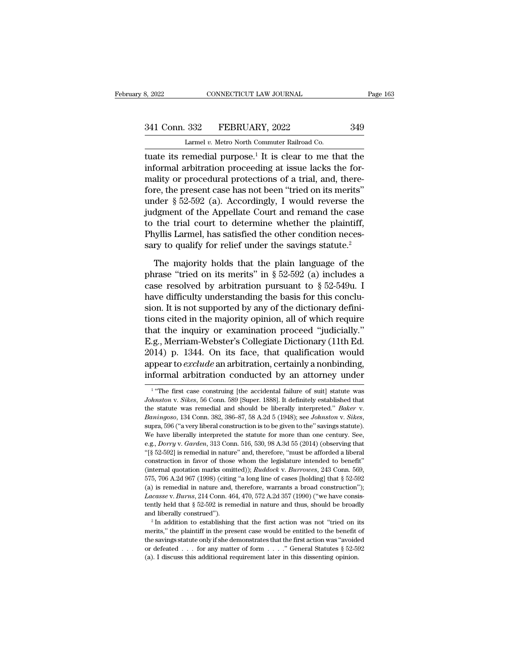# 341 Conn. 332 FEBRUARY, 2022 349<br>
Larmel v. Metro North Commuter Railroad Co.

8, 2022 CONNECTICUT LAW JOURNAL<br>
241 Conn. 332 FEBRUARY, 2022 349<br>
Larmel *v.* Metro North Commuter Railroad Co.<br>
tuate its remedial purpose.<sup>1</sup> It is clear to me that the the set of the set of the set of the set of the set of the set of the set of the set of the set of the set of the set of the set of the set of the set of the set of the set of the set of the set of the set of the set of th 341 Conn. 332 FEBRUARY, 2022 349<br>
Larmel v. Metro North Commuter Railroad Co.<br>
Luate its remedial purpose.<sup>1</sup> It is clear to me that the<br>
informal arbitration proceeding at issue lacks the for-<br>
mality or procedural prote 341 Conn. 332 FEBRUARY, 2022 349<br>
Larmel v. Metro North Commuter Railroad Co.<br>
tuate its remedial purpose.<sup>1</sup> It is clear to me that the<br>
informal arbitration proceeding at issue lacks the for-<br>
mality or procedural prote  $\frac{341 \text{ Conn. } 332 \qquad \text{FEBRUARY, } 2022 \qquad \qquad 349}$ <br>
Larmel v. Metro North Commuter Railroad Co.<br>
tuate its remedial purpose.<sup>1</sup> It is clear to me that the<br>
informal arbitration proceeding at issue lacks the for-<br>
mality or pr Larmel v. Metro North Commuter Railroad Co.<br>
tuate its remedial purpose.<sup>1</sup> It is clear to me that the<br>
informal arbitration proceeding at issue lacks the for-<br>
mality or procedural protections of a trial, and, there-<br>
fo Lamer v. Metro North Commuter Raiload Co.<br>
tuate its remedial purpose.<sup>1</sup> It is clear to me that the<br>
informal arbitration proceeding at issue lacks the for-<br>
mality or procedural protections of a trial, and, there-<br>
fore tuate its remedial purpose.<sup>1</sup> It is clear to me that the<br>informal arbitration proceeding at issue lacks the for-<br>mality or procedural protections of a trial, and, there-<br>fore, the present case has not been "tried on its informal arbitration proceeding at issue lacks the formality or procedural protections of a trial, and, therefore, the present case has not been "tried on its merits" under  $\S 52-592$  (a). Accordingly, I would reverse the mality or procedural protections of a trial, and, therefore, the present case has not been "tried on its merits" under  $§$  52-592 (a). Accordingly, I would reverse the judgment of the Appellate Court and remand the case t der § 52-592 (a). Accordingly, I would reverse the<br>dgment of the Appellate Court and remand the case<br>the trial court to determine whether the plaintiff,<br>syllis Larmel, has satisfied the other condition neces-<br>ry to qualif judgment of the Appellate Court and remand the case<br>to the trial court to determine whether the plaintiff,<br>Phyllis Larmel, has satisfied the other condition neces-<br>sary to qualify for relief under the savings statute.<sup>2</sup><br>

to the trial court to determine whether the plaintiff,<br>Phyllis Larmel, has satisfied the other condition necessary to qualify for relief under the savings statute.<sup>2</sup><br>The majority holds that the plain language of the<br>phra Phyllis Larmel, has satisfied the other condition necessary to qualify for relief under the savings statute.<sup>2</sup><br>The majority holds that the plain language of the phrase "tried on its merits" in  $\S 52-592$  (a) includes a c sary to qualify for relief under the savings statute.<sup>2</sup><br>The majority holds that the plain language of the<br>phrase "tried on its merits" in § 52-592 (a) includes a<br>case resolved by arbitration pursuant to § 52-549u. I<br>have The majority holds that the plain language of the<br>phrase "tried on its merits" in § 52-592 (a) includes a<br>case resolved by arbitration pursuant to § 52-549u. I<br>have difficulty understanding the basis for this conclu-<br>sion The majority holds that the plain language of the<br>phrase "tried on its merits" in § 52-592 (a) includes a<br>case resolved by arbitration pursuant to § 52-549u. I<br>have difficulty understanding the basis for this conclu-<br>sion phrase "tried on its merits" in § 52-592 (a) includes a<br>case resolved by arbitration pursuant to § 52-549u. I<br>have difficulty understanding the basis for this conclu-<br>sion. It is not supported by any of the dictionary def case resolved by arbitration pursuant to  $\S$  52-549u. I<br>have difficulty understanding the basis for this conclu-<br>sion. It is not supported by any of the dictionary defini-<br>tions cited in the majority opinion, all of which have difficulty understanding the basis for this conclusion. It is not supported by any of the dictionary definitions cited in the majority opinion, all of which require that the inquiry or examination proceed "judicially. sion. It is not supported by any of the dictionary defini-<br>tions cited in the majority opinion, all of which require<br>that the inquiry or examination proceed "judicially."<br>E.g., Merriam-Webster's Collegiate Dictionary (11t Eq. , Merriam-webster s Coneglate Dictionary (11th Ed. 14) p. 1344. On its face, that qualification would pear to *exclude* an arbitration, certainly a nonbinding, formal arbitration conducted by an attorney under "The fi 2014) p. 1344. On its face, that qualification would<br>appear to *exclude* an arbitration, certainly a nonbinding,<br>informal arbitration conducted by an attorney under<br><sup>1</sup> "The first case construing [the accidental failure of

<sup>&</sup>lt;sup>1</sup> "The first case construing [the accidental failure of suit] statute was *Johnston v. Sikes*, 56 Conn. 589 [Super. 1888]. It definitely established that the statute was remedial and should be liberally interpreted." *B* appear to exclude an arbitration, certainly a nonbinding,<br>informal arbitration conducted by an attorney under<br> $\frac{1}{1}$  "The first case construing [the accidental failure of suit] statute was<br>Johnston v. Sikes, 56 Conn. 5 Johnston v. *Sikes*, 56 Conn. 589 [Super. 1888]. It definitely established that the statute was remedial and should be liberally interpreted." *Baker* v. *Baningoso*, 134 Conn. 382, 386–87, 58 A.2d 5 (1948); see *Johnston* the statute was remedial and should be liberally interpreted." *Baker v.* Baningoso, 134 Conn. 382, 386–87, 58 A.2d 5 (1948); see *Johnston v. Sikes*, supra, 596 ("a very liberal construction is to be given to the" saving *Baningoso*, 134 Conn. 382, 386–87, 58 A.2d 5 (1948); see *Johnston v. Sikes*, supra, 596 ("a very liberal construction is to be given to the" savings statute). We have liberally interpreted the statute for more than one c supra, 596 ("a very liberal construction is to be given to the" savings statute).<br>We have liberally interpreted the statute for more than one century. See,<br>e.g., *Dorry* v. *Garden*, 313 Conn. 516, 530, 98 A.3d 55 (2014) ( Superior and the statute for more than one century. See, we have liberally interpreted the statute for more than one century. See, e.g., *Dorry* v. *Garden*, 313 Conn. 516, 530, 98 A.3d 55 (2014) (observing that  $\binom{6}{5}$ (a) is remedial in nature and, therefore, "must be afforded a liberal" (§ 52-592) is remedial in nature" and, therefore, "must be afforded a liberal construction in favor of those whom the legislature intended to benefit" <sup>2</sup><sup>1</sup>[§ 52-592] is remedial in nature" and, therefore, "must be afforded a liberal construction in favor of those whom the legislature intended to benefit" (internal quotation marks omitted)); *Ruddock v. Burrowes*, 243 C construction in favor of those whom the legislature intended to benefit"<br>(internal quotation marks omitted)); *Ruddock v. Burrowes*, 243 Conn. 569,<br>575, 706 A.2d 967 (1998) (citing "a long line of cases [holding] that § 52 (internal quotation marks omitted)); *Ruddock v. Burrowes*, 243 Conn. 569, 575, 706 A.2d 967 (1998) (citing "a long line of cases [holding] that § 52-592 (a) is remedial in nature and, therefore, warrants a broad construc 575, 706 A.2d 967 (1998) (citing "a long line of cases [holding] that § 52-592 (a) is remedial in nature and, therefore, warrants a broad construction"); *Lacasse* v. *Burns*, 214 Conn. 464, 470, 572 A.2d 357 (1990) ("we

Lacasse v. Burns, 214 Com. 464, 470, 572 A.2d 357 (1990) ("we have consistently held that § 52-592 is remedial in nature and thus, should be broadly and liberally construed").<br>
<sup>2</sup> In addition to establishing that the fir the first action was the first action was not "tried on its and liberally construed").<br>
<sup>2</sup> In addition to establishing that the first action was not "tried on its merits," the plaintiff in the present case would be entit <sup>2</sup> In addition to establishing that the first action was not "tried on its merits," the plaintiff in the present case would be entitled to the benefit of the savings statute only if she demonstrates that the first action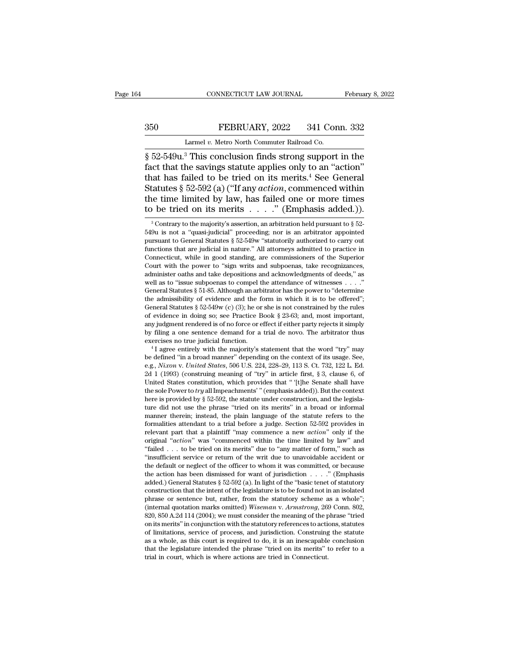# EXECUTE CONNECTICUT LAW JOURNAL February 8, 2022<br>350 FEBRUARY, 2022 341 Conn. 332<br>Larmel v. Metro North Commuter Railroad Co.

CONNECTICUT LAW JOURNAL<br>FEBRUARY, 2022 341 Con<br>Larmel *v.* Metro North Commuter Railroad Co.<br><sup>3</sup> This conclusion finds strong support CONNECTICUT LAW JOURNAL February 8, 2022<br>
S50 FEBRUARY, 2022 341 Conn. 332<br>
Larmel v. Metro North Commuter Railroad Co.<br>
S52-549u.<sup>3</sup> This conclusion finds strong support in the<br>
fact that the savings statute applies only FEBRUARY, 2022 341 Conn. 332<br>
Larmel v. Metro North Commuter Railroad Co.<br>  $\frac{1}{2}$  52-549 $u$ .<sup>3</sup> This conclusion finds strong support in the<br>
fact that the savings statute applies only to an "action"<br>
that has failed to 350 FEBRUARY, 2022 341 Conn. 332<br>
Larmel v. Metro North Commuter Railroad Co.<br>  $\S 52-549u$ .<sup>3</sup> This conclusion finds strong support in the<br>
fact that the savings statute applies only to an "action"<br>
that has failed to be Statutes 8 52-549u.<sup>3</sup> This conclusion finds strong support in the fact that the savings statute applies only to an "action"<br>that has failed to be tried on its merits.<sup>4</sup> See General Statutes § 52-592 (a) ("If any *action* Larmel v. Metro North Commuter Railroad Co.<br>
§ 52-549u.<sup>3</sup> This conclusion finds strong support in the fact that the savings statute applies only to an "action" that has failed to be tried on its merits.<sup>4</sup> See General St Larmel v. Metro North Commuter Railroad Co.<br>
§ 52-549 $u$ .<sup>3</sup> This conclusion finds strong support in the<br>
fact that the savings statute applies only to an "action"<br>
that has failed to be tried on its merits.<sup>4</sup> See Genera at has failed to be tried on its merits.<sup>4</sup> See General tatutes § 52-592 (a) ("If any *action*, commenced within the time limited by law, has failed one or more times be tried on its merits . . . . " (Emphasis added.)).<sup>3</sup> Statutes § 52-592 (a) ("If any *action*, commenced within<br>the time limited by law, has failed one or more times<br>to be tried on its merits . . . . " (Emphasis added.)).<br><sup>3</sup> Contrary to the majority's assertion, an arbitrat

the time limited by law, has failed one or more times<br>to be tried on its merits . . . . " (Emphasis added.)).<br> $\frac{1}{3}$ Contrary to the majority's assertion, an arbitration held pursuant to § 52-<br>549u is not a "quasi-judic to be tried on its merits . . . . . " (Emphasis added.)).<br>
<sup>3</sup> Contrary to the majority's assertion, an arbitration held pursuant to  $\S$  52-549u is not a "quasi-judicial" proceeding; nor is an arbitrator appointed pursuan to be tried on its merits  $\ldots$ ." (Emphasis added.)).<br>
<sup>3</sup> Contrary to the majority's assertion, an arbitration held pursuant to § 52-<br>
549 $u$  is not a "quasi-judicial" proceeding; nor is an arbitrator appointed<br>
pursuant <sup>3</sup> Contrary to the majority's assertion, an arbitration held pursuant to  $\S$  52-549u is not a "quasi-judicial" proceeding; nor is an arbitrator appointed pursuant to General Statutes  $\S$  52-549w "statutorily authorized t <sup>3</sup> Contrary to the majority s assertion, an arbitration held pursuant to  $\frac{1}{8}$  as not a "quasi-judicial" proceeding; nor is an arbitrator appointed pursuant to General Statutes  $\frac{8}{5}$  52-549w "statutorily authoriz based is not a "quasi-judicial" proceeding; nor is an arbitrator appointed pursuant to General Statutes § 52-549w "statutorily authorized to carry out functions that are judicial in nature." All attorneys admitted to pract pursuant to General Statutes § 52-5439W statutorily authorized to carry out functions that are judicial in nature." All attorneys admitted to practice in Connecticut, while in good standing, are commissioners of the Super functions that are judicial in nature. All attorneys admitted to practice in Connecticut, while in good standing, are commissioners of the Superior Court with the power to "sign writs and subpoenas, take recognizances, ad Connecticut, while in good standing, are commissioners of the superior Court with the power to "sign writs and subpoenas, take recognizances, administer oaths and take depositions and acknowledgments of deeds," as well as Court with the power to "sign writs and subpoenas, take recognizances, administer oaths and take depositions and acknowledgments of deeds," as well as to "issue subpoenas to compel the attendance of witnesses . . . ." Gen any judgment rendered is of no force or effect if either party rejects it simply shown and a sto "issue subpoenas to compel the attendance of witnesses . . . ." General Statutes § 51-85. Although an arbitrator has the pow well as to "issue subpoenas to compet the attendance of witnesses . . . . General Statutes § 51-85. Although an arbitrator has the power to "determine the admissibility of evidence and the form in which it is to be offere General statutes  $\frac{1}{8}$  51-85. Atthough an arbitrator has the power to 'determine<br>the admissibility of evidence and the form in which it is to be offered";<br>General Statutes  $\frac{8}{5}$  52-549w (c) (3); he or she is not c General statutes  $\frac{1}{8}$   $\frac{1}{2}$   $\frac{2}{3}$   $\frac{1}{10}$ ; he or sne is not constrained by the rules of evidence in doing so; see Practice Book  $\frac{8}{8}$   $\frac{23}{63}$ ; and, most important, any judgment rendered is of no fo % of evidence in doing so; see Practice Book § 23-63; and, most important, any judgment rendered is of no force or effect if either party rejects it simply by filing a one sentence demand for a trial de novo. The arbitrat

any judgment rendered is of no force or effect if either party rejects it simply<br>by filing a one sentence demand for a trial de novo. The arbitrator thus<br>exercises no true judicial function.<br><sup>4</sup> I agree entirely with the m by nimg a one sentence demand for a trial de novo. The arbitrator thus<br>exercises no true judicial function.<br> $^4$ I agree entirely with the majority's statement that the word "try" may<br>be defined "in a broad manner" dependi <sup>4</sup> I agree entirely with the majority's statement that the word "try" may<br>be defined "in a broad manner" depending on the context of its usage. See,<br>e.g., *Nixon v. United States*, 506 U.S. 224, 228–29, 113 S. Ct. 732, 12 I agree entirely with the majority's statement that the word Try Thay<br>be defined "in a broad manner" depending on the context of its usage. See,<br>e.g., *Nixon* v. *United States*, 506 U.S. 224, 228–29, 113 S. Ct. 732, 122 be defined in a broad manner depending on the context of its usage. see, e.g., *Nixon v. United States*, 506 U.S. 224, 228–29, 113 S. Ct. 732, 122 L. Ed. 2d 1 (1993) (construing meaning of "try" in article first, § 3, cla e.g., *Nuxon v. United States*, 506 U.S. 224, 228–29, 113 S. Ct. *(32*, 122 L. Ed. 2d 1 (1993) (construing meaning of "try" in article first, § 3, clause 6, of United States constitution, which provides that "[t]he Senate 2d 1 (1993) (construing meaning of "try" in article first,  $\frac{1}{3}$  3, clause 6, of United States constitution, which provides that "'[t]he Senate shall have the sole Power to *try* all Impeachments' "(emphasis added)). United States constitution, which provides that "[t]ne Senate shall have the sole Power to *try* all Impeachments' "(emphasis added)). But the context here is provided by  $\S 52-592$ , the statute under construction, and th the sole Power to *try* all impeachments (emphasis added)). But the context<br>here is provided by § 52-592, the statute under construction, and the legisla-<br>ture did not use the phrase "tried on its merits" in a broad or in here is provided by § 52-592, the statute under construction, and the legisla-<br>ture did not use the phrase "tried on its merits" in a broad or informal<br>manner therein; instead, the plain language of the statute refers to t ture and not use the phrase 'tried on its ments' in a broad or informal<br>
manner therein; instead, the plain language of the statute refers to the<br>
formalities attendant to a trial before a judge. Section 52-592 provides in manner therein; instead, the piant language of the statute refers to the formalities attendant to a trial before a judge. Section 52-592 provides in relevant part that a plaintiff "may commence a new *action*" only if the formalities attendant to a trial before a judge. Section  $52-592$  provides in relevant part that a plaintiff "may commence a new *action*" only if the original "*action*" was "commenced within the time limited by law" and relevant part that a plantum "may commence a new *action*" only if the original "*action*" was "commenced within the time limited by law" and "failed . . . to be tried on its merits" due to "any matter of form," such as " original *action* was "commenced within the time limited by law" and "failed . . . to be tried on its merits" due to "any matter of form," such as "insufficient service or return of the writ due to unavoidable accident or Talled . . . to be tried on its ments due to "any matter or form," such as<br>"insufficient service or return of the writ due to unavoidable accident or<br>the default or neglect of the officer to whom it was committed, or beca Insulate Service or return of the writ due to unavoidable accident or<br>the default or neglect of the officer to whom it was committed, or because<br>the action has been dismissed for want of jurisdiction . . . . " (Emphasis<br>ad the derault or neglect of the officer to whom it was committed, or because<br>the action has been dismissed for want of jurisdiction  $\ldots$ ." (Emphasis<br>added.) General Statutes § 52-592 (a). In light of the "basic tenet of st the action has been dishussed for want of jurisdiction  $\ldots$  (Emphasis added.) General Statutes § 52-592 (a). In light of the "basic tenet of statutory construction that the intent of the legislature is to be found not in added.) General statutes  $\frac{1}{2}$  52-592 (a). In light of the 'basic tenet of statutory<br>construction that the intent of the legislature is to be found not in an isolated<br>phrase or sentence but, rather, from the statutory construction that the intent of the legislature is to be found not in an isolated phrase or sentence but, rather, from the statutory scheme as a whole"; (internal quotation marks omitted) *Wiseman v. Armstrong*, 269 Conn. phrase or sentence but, rather, from the statutory scheme as a whole ;<br>(internal quotation marks omitted) *Wiseman v. Armstrong*, 269 Conn. 802,<br>820, 850 A.2d 114 (2004); we must consider the meaning of the phrase "tried<br> (internal quotation marks omitted) Wiseman v. Armstrong, 269 Conn. 802, 820, 850 A.2d 114 (2004); we must consider the meaning of the phrase "tried on its merits" in conjunction with the statutory references to actions, s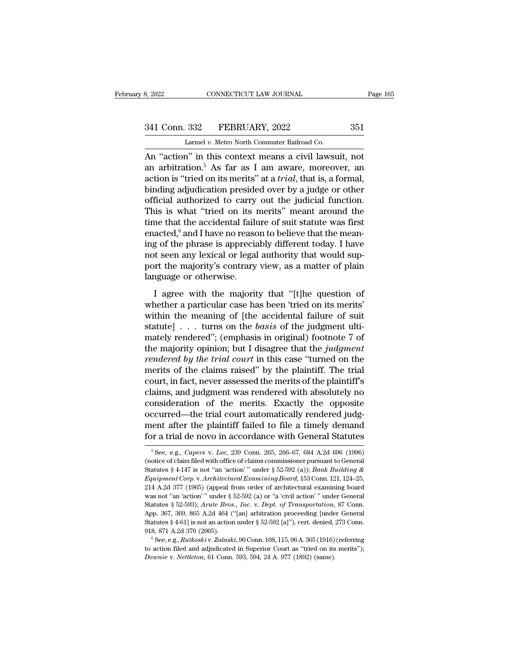# 341 Conn. 332 FEBRUARY, 2022 351<br>
Larmel v. Metro North Commuter Railroad Co.

8, 2022 CONNECTICUT LAW JOURNAL<br>
341 Conn. 332 FEBRUARY, 2022 351<br>
Larmel *v.* Metro North Commuter Railroad Co.<br>
An "action" in this context means a civil lawsuit, not Be a sensible means a civil and the sensible means a civil and a civil and a civil and a civil lawsuit, not<br>an "action" in this context means a civil lawsuit, not<br>an arbitration.<sup>5</sup> As far as I am aware, moreover, an<br>actio 341 Conn. 332 FEBRUARY, 2022 351<br>Larmel v. Metro North Commuter Railroad Co.<br>An "action" in this context means a civil lawsuit, not<br>an arbitration.<sup>5</sup> As far as I am aware, moreover, an<br>action is "tried on its merits" at a 341 Conn. 332 FEBRUARY, 2022 351<br>
Larmel v. Metro North Commuter Railroad Co.<br>
An "action" in this context means a civil lawsuit, not<br>
an arbitration.<sup>5</sup> As far as I am aware, moreover, an<br>
action is "tried on its merits" 341 Conn. 332 FEBRUARY, 2022 351<br>
Larmel v. Metro North Commuter Railroad Co.<br>
An "action" in this context means a civil lawsuit, not<br>
an arbitration.<sup>5</sup> As far as I am aware, moreover, an<br>
action is "tried on its merits" Larmel v. Metro North Commuter Railroad Co.<br>
An "action" in this context means a civil lawsuit, not<br>
an arbitration.<sup>5</sup> As far as I am aware, moreover, an<br>
action is "tried on its merits" at a *trial*, that is, a formal,<br> Larmet v. Metro North Commuter Railroad Co.<br>An "action" in this context means a civil lawsuit, not<br>an arbitration.<sup>5</sup> As far as I am aware, moreover, an<br>action is "tried on its merits" at a *trial*, that is, a formal,<br>bin An "action" in this context means a civil lawsuit, not<br>an arbitration.<sup>5</sup> As far as I am aware, moreover, an<br>action is "tried on its merits" at a *trial*, that is, a formal,<br>binding adjudication presided over by a judge o an arbitration.<sup>5</sup> As far as I am aware, moreover, an action is "tried on its merits" at a *trial*, that is, a formal, binding adjudication presided over by a judge or other official authorized to carry out the judicial f action is "tried on its merits" at a *trial*, that is, a formal,<br>binding adjudication presided over by a judge or other<br>official authorized to carry out the judicial function.<br>This is what "tried on its merits" meant aroun binding adjudication presided over by a judge or other<br>official authorized to carry out the judicial function.<br>This is what "tried on its merits" meant around the<br>time that the accidental failure of suit statute was first<br> official authorized to carry out the judicial function.<br>This is what "tried on its merits" meant around the<br>time that the accidental failure of suit statute was first<br>enacted,<sup>6</sup> and I have no reason to believe that the m This is what "tried on its i<br>time that the accidental failu<br>enacted,<sup>6</sup> and I have no reaso<br>ing of the phrase is apprecia<br>not seen any lexical or legal<br>port the majority's contrary<br>language or otherwise.<br>I agree with the m In the majority is a more with the mean-<br>acted,<sup>6</sup> and I have no reason to believe that the mean-<br>g of the phrase is appreciably different today. I have<br>t seen any lexical or legal authority that would sup-<br>rt the majority enacted, and Have no realish to better that the metal-<br>ing of the phrase is appreciably different today. I have<br>not seen any lexical or legal authority that would sup-<br>port the majority's contrary view, as a matter of plai

may of the phase is approachly directly today. Thave<br>not seen any lexical or legal authority that would sup-<br>port the majority's contrary view, as a matter of plain<br>language or otherwise.<br>I agree with the majority that "[ statute and *statute in the majority's* contrary view, as a matter of plain language or otherwise.<br>
I agree with the majority that "[t]he question of whether a particular case has been 'tried on its merits' within the mean Ianguage or otherwise.<br>
I agree with the majority that "[t]he question of<br>
whether a particular case has been 'tried on its merits'<br>
within the meaning of [the accidental failure of suit<br>
statute] . . . turns on the *basi* I agree with the majority that "[t]he question of<br>whether a particular case has been 'tried on its merits'<br>within the meaning of [the accidental failure of suit<br>statute] . . . turns on the *basis* of the judgment ulti-<br>ma I agree with the majority that "[t]he question of<br>whether a particular case has been 'tried on its merits'<br>within the meaning of [the accidental failure of suit<br>statute] . . . turns on the *basis* of the judgment ulti-<br>ma whether a particular case has been 'tried on its merits'<br>within the meaning of [the accidental failure of suit<br>statute] . . . turns on the *basis* of the judgment ulti-<br>mately rendered''; (emphasis in original) footnote 7 within the meaning of [the accidental failure of suit statute] . . . turns on the *basis* of the judgment ulti-<br>mately rendered"; (emphasis in original) footnote 7 of<br>the majority opinion; but I disagree that the *judgmen* statute] . . . turns on the *basis* of the judgment ulti-<br>mately rendered"; (emphasis in original) footnote 7 of<br>the majority opinion; but I disagree that the *judgment*<br>rendered by the trial court in this case "turned on mately rendered"; (emphasis in original) footnote 7 of<br>the majority opinion; but I disagree that the *judgment*<br>rendered by the trial court in this case "turned on the<br>merits of the claims raised" by the plaintiff. The tr the majority opinion; but I disagree that the *judgment*<br>rendered by the trial court in this case "turned on the<br>merits of the claims raised" by the plaintiff. The trial<br>court, in fact, never assessed the merits of the pla rendered by the trial court in this case "turned on the<br>merits of the claims raised" by the plaintiff. The trial<br>court, in fact, never assessed the merits of the plaintiff's<br>claims, and judgment was rendered with absolutel merits of the claims raised" by the plaintiff. The trial court, in fact, never assessed the merits of the plaintiff's claims, and judgment was rendered with absolutely no consideration of the merits. Exactly the opposite consideration of the merits. Exactly the opposite<br>occurred—the trial court automatically rendered judg-<br>ment after the plaintiff failed to file a timely demand<br>for a trial de novo in accordance with General Statutes<br><sup>5</sup>See % occurred—the trial court automatically rendered judgment after the plaintiff failed to file a timely demand<br>for a trial de novo in accordance with General Statutes<br> $\frac{5}{100}$ <br> $\frac{5}{100}$ <br> $\frac{5}{100}$ ,  $\frac{69}{100}$ ,  $\frac{$ 

ment after the plaintiff failed to file a timely demand<br>for a trial de novo in accordance with General Statutes<br><sup>5</sup>See, e.g., *Capers v. Lee*, 239 Conn. 265, 266–67, 684 A.2d 696 (1996)<br>(notice of claim filed with office o For a trial de novo in accordance with General Statutes<br>
<sup>5</sup> See, e.g., *Capers v. Lee*, 239 Conn. 265, 266–67, 684 A.2d 696 (1996)<br>
(notice of claim filed with office of claims commissioner pursuant to General<br>
Statutes § <sup>5</sup> See, e.g., *Capers v. Lee*, 239 Conn. 265, 266-67, 684 A.2d 696 (1996)<br>
<sup>5</sup> See, e.g., *Capers v. Lee*, 239 Conn. 265, 266-67, 684 A.2d 696 (1996)<br>
(notice of claim filed with office of claims commissioner pursuant to <sup>5</sup> See, e.g., *Capers v. Lee*, 239 Conn. 265, 266–67, 684 A.2d 696 (1996) (notice of claim filed with office of claims commissioner pursuant to General Statutes § 4-147 is not "an 'action' " under § 52-592 (a)); *Bank Bu* (notice of claim filed with office of claims commissioner pursuant to General<br>Statutes § 4-147 is not "an 'action' " under § 52-592 (a)); *Bank Building &*<br>*Equipment Corp.* v. *Architectural Examining Board*, 153 Conn. 12 Statutes § 4-147 is not "an 'action' " under § 52-592 (a)); *Bank Building & Equipment Corp.* v. *Architectural Examining Board*, 153 Conn. 121, 124–25, 214 A.2d 377 (1965) (appeal from order of architectural examining Equipment Corp. v. Architectural Examining Board, 153 Conn. 121, 124–25, 214 A.2d 377 (1965) (appeal from order of architectural examining board was not "an 'action" under § 52-592 (a) or "a 'civil action" under General S 214 A.2d 377 (1965) (appeal from order of architectural examining board<br>was not "an 'action'" under § 52-592 (a) or "a 'civil action'" under General<br>Statutes § 52-593); Arute Bros., Inc. v. Dept. of Transportation, 87 Conn Statutes § 52-593); Arute Bros., Inc. v. Dept. of Transportation, 87 Conn.<br>App. 367, 369, 865 A.2d 464 ("[an] arbitration proceeding [under General<br>Statutes § 4-61] is not an action under § 52-592 [a]"), cert. denied, 273 App. 367, 369, 865 A.2d 464 ("[an] arbitration proceeding [under General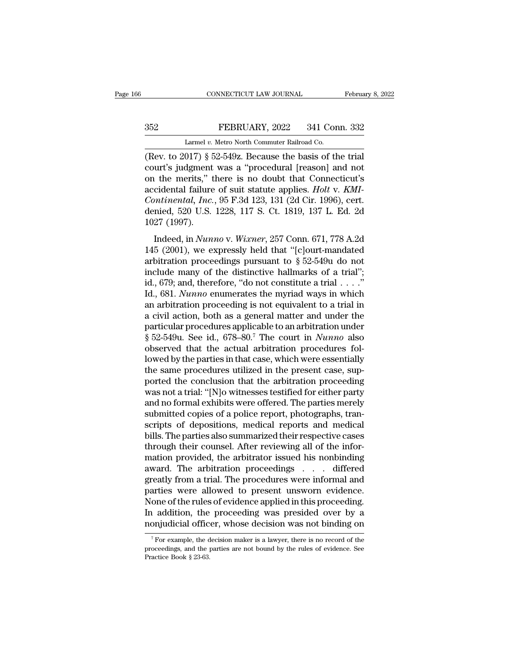CONNECTICUT LAW JOURNAL Februa<br>
252 FEBRUARY, 2022 341 Conn. 332<br>
Larmel *v.* Metro North Commuter Railroad Co.<br>
(Rev. to 2017) § 52-549z. Because the basis of the trial CONNECTICUT LAW JOURNAL February 8, 20<br>
S52 FEBRUARY, 2022 341 Conn. 332<br>
Larmel v. Metro North Commuter Railroad Co.<br>
(Rev. to 2017) § 52-549z. Because the basis of the trial<br>
court's judgment was a "procedural [reason] a 352 FEBRUARY, 2022 341 Conn. 332<br>
Larmel v. Metro North Commuter Railroad Co.<br>
(Rev. to 2017) § 52-549z. Because the basis of the trial<br>
court's judgment was a "procedural [reason] and not<br>
on the merits," there is no dou 352 FEBRUARY, 2022 341 Conn. 332<br>
Larmel v. Metro North Commuter Railroad Co.<br>
(Rev. to 2017) § 52-549z. Because the basis of the trial<br>
court's judgment was a "procedural [reason] and not<br>
on the merits," there is no dou EBRUARY, 2022 341 Conn. 332<br>
Larmel *v.* Metro North Commuter Railroad Co.<br>
(Rev. to 2017) § 52-549z. Because the basis of the trial<br>
court's judgment was a "procedural [reason] and not<br>
on the merits," there is no doubt t Larmel *v.* Metro North Commuter Railroad Co.<br> **Continental** *Continent* **Continent Continent Continent Continent Continent Continent Continents**," there is no doubt that Connecticut's accidental failure of sui Larmel v. Metro North Commuter Railroad Co.<br>
(Rev. to 2017) § 52-549z. Because the basis of the trial<br>
court's judgment was a "procedural [reason] and not<br>
on the merits," there is no doubt that Connecticut's<br>
accidental (Rev. to 2017) §  $\epsilon$ <br>court's judgment<br>on the merits," t<br>accidental failure<br>*Continental, Inc.*<br>denied, 520 U.S.<br>1027 (1997).<br>Indeed, in *Nun*: Indeed, in *Nunno* v. *Wixner*, 257 Conn. 671, 778 A.2d<br>5 (2001), we expressly held that "[classes] The Mathematical, *Inc.*, 95 F.3d 123, 131 (2d Cir. 1996), cert.<br>nied, 520 U.S. 1228, 117 S. Ct. 1819, 137 L. Ed. 2d<br>27 (1 accidental failure of suit statute applies. *Holt v. KMI-*<br>Continental, Inc., 95 F.3d 123, 131 (2d Cir. 1996), cert.<br>denied, 520 U.S. 1228, 117 S. Ct. 1819, 137 L. Ed. 2d<br>1027 (1997).<br>Indeed, in *Nunno v. Wixner*, 257 Con

Continental, Inc., 95 F.3d 123, 131 (2d Cir. 1996), cert.<br>denied, 520 U.S. 1228, 117 S. Ct. 1819, 137 L. Ed. 2d<br>1027 (1997).<br>Indeed, in Nunno v. Wixner, 257 Conn. 671, 778 A.2d<br>145 (2001), we expressly held that "[c]ourtdenied, 520 U.S. 1228, 117 S. Ct. 1819, 137 L. Ed. 2d<br>1027 (1997).<br>Indeed, in *Nunno* v. *Wixner*, 257 Conn. 671, 778 A.2d<br>145 (2001), we expressly held that "[c]ourt-mandated<br>arbitration proceedings pursuant to § 52-549u id., 679; and, therefore, "do not constitute a trial . . . ."<br>
Ideed, in *Nunno* v. *Wixner*, 257 Conn. 671, 778 A.2d<br>
145 (2001), we expressly held that "[c]ourt-mandated<br>
arbitration proceedings pursuant to § 52-549u do Indeed, in *Nunno* v. *Wixner*, 257 Conn. 671, 778 A.2d<br>145 (2001), we expressly held that "[c]ourt-mandated<br>arbitration proceedings pursuant to § 52-549u do not<br>include many of the distinctive hallmarks of a trial";<br>id., Indeed, in *Nunno* v. *Wixner*, 257 Conn. 671, 778 A.2d<br>145 (2001), we expressly held that "[c]ourt-mandated<br>arbitration proceedings pursuant to  $\S$  52-549u do not<br>include many of the distinctive hallmarks of a trial";<br>id 145 (2001), we expressly held that "[c]ourt-mandated<br>arbitration proceedings pursuant to § 52-549u do not<br>include many of the distinctive hallmarks of a trial";<br>id., 679; and, therefore, "do not constitute a trial . . . . arbitration proceedings pursuant to § 52-549u do not<br>include many of the distinctive hallmarks of a trial";<br>id., 679; and, therefore, "do not constitute a trial . . . ."<br>Id., 681. *Nunno* enumerates the myriad ways in whi include many of the distinctive hallmarks of a trial";<br>id., 679; and, therefore, "do not constitute a trial . . . ."<br>Id., 681. *Nunno* enumerates the myriad ways in which<br>an arbitration proceeding is not equivalent to a t id., 679; and, therefore, "do not constitute a trial  $\dots$ ."<br>Id., 681. *Nunno* enumerates the myriad ways in which<br>an arbitration proceeding is not equivalent to a trial in<br>a civil action, both as a general matter and unde Id., 681. *Nunno* enumerates the myriad ways in which<br>an arbitration proceeding is not equivalent to a trial in<br>a civil action, both as a general matter and under the<br>particular procedures applicable to an arbitration unde an arbitration proceeding is not equivalent to a trial in<br>a civil action, both as a general matter and under the<br>particular procedures applicable to an arbitration under<br> $$52-549u$ . See id.,  $678-80.<sup>7</sup>$  The court in a civil action, both as a general matter and under the<br>particular procedures applicable to an arbitration under<br>§ 52-549u. See id., 678–80.<sup>7</sup> The court in *Nunno* also<br>observed that the actual arbitration procedures fol-<br> particular procedures applicable to an arbitration under<br>§ 52-549u. See id., 678–80.<sup>7</sup> The court in *Nunno* also<br>observed that the actual arbitration procedures fol-<br>lowed by the parties in that case, which were essential  $\S$  52-549u. See id., 678–80.<sup>7</sup> The court in *Nunno* also<br>observed that the actual arbitration procedures fol-<br>lowed by the parties in that case, which were essentially<br>the same procedures utilized in the present case, s observed that the actual arbitration procedures followed by the parties in that case, which were essentially the same procedures utilized in the present case, supported the conclusion that the arbitration proceeding was no lowed by the parties in that case, which were essentially<br>the same procedures utilized in the present case, sup-<br>ported the conclusion that the arbitration proceeding<br>was not a trial: "[N]o witnesses testified for either p the same procedures utilized in the present case, sup-<br>ported the conclusion that the arbitration proceeding<br>was not a trial: "[N]o witnesses testified for either party<br>and no formal exhibits were offered. The parties mere ported the conclusion that the arbitration proceeding<br>was not a trial: "[N]o witnesses testified for either party<br>and no formal exhibits were offered. The parties merely<br>submitted copies of a police report, photographs, tr was not a trial: "[N]o witnesses testified for either party<br>and no formal exhibits were offered. The parties merely<br>submitted copies of a police report, photographs, tran-<br>scripts of depositions, medical reports and medica and no formal exhibits were offered. The parties merely<br>submitted copies of a police report, photographs, tran-<br>scripts of depositions, medical reports and medical<br>bills. The parties also summarized their respective cases<br> submitted copies of a police report, photographs, transcripts of depositions, medical reports and medical<br>bills. The parties also summarized their respective cases<br>through their counsel. After reviewing all of the infor-<br>m scripts of depositions, medical reports and medical<br>bills. The parties also summarized their respective cases<br>through their counsel. After reviewing all of the infor-<br>mation provided, the arbitrator issued his nonbinding<br>a bills. The parties also summarized their respective cases<br>through their counsel. After reviewing all of the infor-<br>mation provided, the arbitrator issued his nonbinding<br>award. The arbitration proceedings . . . differed<br>gre through their counsel. After reviewing all of the information provided, the arbitrator issued his nonbinding<br>award. The arbitration proceedings . . . differed<br>greatly from a trial. The procedures were informal and<br>parties mation provided, the arbitrator issued his nonbinding<br>award. The arbitration proceedings . . . differed<br>greatly from a trial. The procedures were informal and<br>parties were allowed to present unsworn evidence.<br>None of the r arties were allowed to present unsworn evidence.<br>
one of the rules of evidence applied in this proceeding.<br>
addition, the proceeding was presided over by a<br>
onjudicial officer, whose decision was not binding on<br>
<sup>7</sup>For ex None of the rules of evidence applied in this proceeding.<br>In addition, the proceeding was presided over by a nonjudicial officer, whose decision was not binding on<br><sup>7</sup> For example, the decision maker is a lawyer, there is

In addition, the<br>nonjudicial offic<br> $\frac{7}{10}$  For example, the d<br>proceedings, and the p<br>Practice Book § 23-63.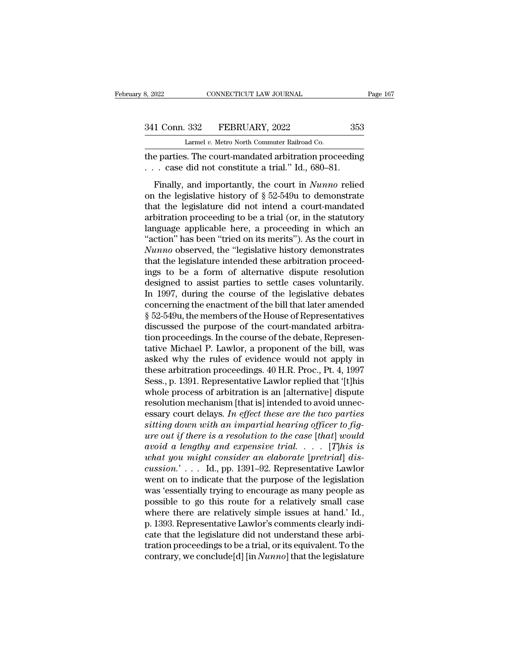CONNECTICUT LAW JOURNAL<br>
332 FEBRUARY, 2022<br>
Larmel *v.* Metro North Commuter Railroad Co.<br>
8 The court-mandated arbitration proce

the parties. The connection of the parties. The court-mandated arbitration proceeding<br>
The parties. The court-mandated arbitration proceeding<br>
The parties. The court-mandated arbitration proceeding<br>
The case did not consti 341 Conn. 332 FEBRUARY, 2022 35.<br>
Larmel v. Metro North Commuter Railroad Co.<br>
the parties. The court-mandated arbitration proceeding<br>
... case did not constitute a trial.'' Id., 680–81.<br>
Finally, and importantly, the cour

1 Conn. 332 FEBRUARY, 2022 353<br>
Larmel v. Metro North Commuter Railroad Co.<br>
e parties. The court-mandated arbitration proceeding<br>
. case did not constitute a trial." Id., 680–81.<br>
Finally, and importantly, the court in *N* 341 Conn. 332 FEBRUARY, 2022 353<br>
Larmel v. Metro North Commuter Railroad Co.<br>
the parties. The court-mandated arbitration proceeding<br>
... case did not constitute a trial." Id., 680–81.<br>
Finally, and importantly, the cour Larmel v. Metro North Commuter Railroad Co.<br>
the parties. The court-mandated arbitration proceeding<br>
... case did not constitute a trial." Id., 680–81.<br>
Finally, and importantly, the court in *Nunno* relied<br>
on the legisl the parties. The court-mandated arbitration proceeding<br>  $\ldots$  case did not constitute a trial." Id., 680–81.<br>
Finally, and importantly, the court in *Nunno* relied<br>
on the legislative history of  $\S 52-549u$  to demonstrate Let paracs. The coard manufactor around and proceeding<br>
... case did not constitute a trial." Id., 680–81.<br>
Finally, and importantly, the court in *Nunno* relied<br>
on the legislative history of § 52-549u to demonstrate<br>
th Finally, and importantly, the court in *Nunno* relied<br>on the legislative history of  $\S$  52-549u to demonstrate<br>that the legislature did not intend a court-mandated<br>arbitration proceeding to be a trial (or, in the statutor Finally, and importantly, the court in *Nunno* relied<br>on the legislative history of  $\S$  52-549u to demonstrate<br>that the legislature did not intend a court-mandated<br>arbitration proceeding to be a trial (or, in the statutor on the legislative history of  $\S$  52-549u to demonstrate<br>that the legislature did not intend a court-mandated<br>arbitration proceeding to be a trial (or, in the statutory<br>language applicable here, a proceeding in which an<br>" that the legislature did not intend a court-mandated<br>arbitration proceeding to be a trial (or, in the statutory<br>language applicable here, a proceeding in which an<br>"action" has been "tried on its merits"). As the court in<br>N arbitration proceeding to be a trial (or, in the statutory<br>language applicable here, a proceeding in which an<br>"action" has been "tried on its merits"). As the court in<br>Nunno observed, the "legislative history demonstrates<br> language applicable here, a proceeding in which an "action" has been "tried on its merits"). As the court in  $Nunno$  observed, the "legislative history demonstrates that the legislature intended these arbitration proceeding "action" has been "tried on its merits"). As the court in Nunno observed, the "legislative history demonstrates that the legislature intended these arbitration proceedings to be a form of alternative dispute resolution de Nunno observed, the "legislative history demonstrates<br>that the legislature intended these arbitration proceed-<br>ings to be a form of alternative dispute resolution<br>designed to assist parties to settle cases voluntarily.<br>In that the legislature intended these arbitration proceedings to be a form of alternative dispute resolution<br>designed to assist parties to settle cases voluntarily.<br>In 1997, during the course of the legislative debates<br>conce ings to be a form of alternative dispute resolution<br>designed to assist parties to settle cases voluntarily.<br>In 1997, during the course of the legislative debates<br>concerning the enactment of the bill that later amended<br> $\$  designed to assist parties to settle cases voluntarily.<br>In 1997, during the course of the legislative debates<br>concerning the enactment of the bill that later amended<br> $\S 52-549u$ , the members of the House of Representative In 1997, during the course of the legislative debates<br>concerning the enactment of the bill that later amended<br> $\S$  52-549u, the members of the House of Representatives<br>discussed the purpose of the court-mandated arbitra-<br>t concerning the enactment of the bill that later amended<br>
§ 52-549u, the members of the House of Representatives<br>
discussed the purpose of the court-mandated arbitra-<br>
tion proceedings. In the course of the debate, Represen § 52-549u, the members of the House of Representatives<br>discussed the purpose of the court-mandated arbitra-<br>tion proceedings. In the course of the debate, Represen-<br>tative Michael P. Lawlor, a proponent of the bill, was<br>as discussed the purpose of the court-mandated arbitration proceedings. In the course of the debate, Representative Michael P. Lawlor, a proponent of the bill, was asked why the rules of evidence would not apply in these arbi tion proceedings. In the course of the debate, Representative Michael P. Lawlor, a proponent of the bill, was asked why the rules of evidence would not apply in these arbitration proceedings. 40 H.R. Proc., Pt. 4, 1997 Se tative Michael P. Lawlor, a proponent of the bill, was<br>asked why the rules of evidence would not apply in<br>these arbitration proceedings. 40 H.R. Proc., Pt. 4, 1997<br>Sess., p. 1391. Representative Lawlor replied that '[t]his asked why the rules of evidence would not apply in<br>these arbitration proceedings. 40 H.R. Proc., Pt. 4, 1997<br>Sess., p. 1391. Representative Lawlor replied that '[t]his<br>whole process of arbitration is an [alternative] dispu *ure is a resolution proceedings.* 40 H.R. Proc., Pt. 4, 1997<br>
Sess., p. 1391. Representative Lawlor replied that '[t]his<br>
whole process of arbitration is an [alternative] dispute<br>
resolution mechanism [that is] intended t Sess., p. 1391. Representative Lawlor replied that '[t]his whole process of arbitration is an [alternative] dispute resolution mechanism [that is] intended to avoid unnecessary court delays. *In effect these are the two pa whole process of arbitration is an [alternative] dispute*<br>resolution mechanism [that is] intended to avoid unnec-<br>essary court delays. In effect these are the two parties<br>sitting down with an impartial hearing officer to resolution mechanism [that is] intended to avoid unnec-<br>essary court delays. *In effect these are the two parties*<br>sitting down with an impartial hearing officer to fig-<br>ure out if there is a resolution to the case [that] essary court delays. In effect these are the two parties<br>sitting down with an impartial hearing officer to fig-<br>ure out if there is a resolution to the case [that] would<br>avoid a lengthy and expensive trial.... [T]his is<br>w sitting down with an impartial hearing officer to fig-<br>ure out if there is a resolution to the case [that] would<br>avoid a lengthy and expensive trial. . . . [This is<br>what you might consider an elaborate [pretrial] dis-<br>cus ure out if there is a resolution to the case [that] would<br>avoid a lengthy and expensive trial. . . . [T]his is<br>what you might consider an elaborate [pretrial] dis-<br>cussion.' . . . Id., pp. 1391–92. Representative Lawlor<br>w avoid a lengthy and expensive trial.  $\ldots$  [This is<br>what you might consider an elaborate [pretrial] dis-<br>cussion.'  $\ldots$  Id., pp. 1391–92. Representative Lawlor<br>went on to indicate that the purpose of the legislation<br>was what you might consider an elaborate [pretrial] dis-<br>cussion.'... Id., pp. 1391–92. Representative Lawlor<br>went on to indicate that the purpose of the legislation<br>was 'essentially trying to encourage as many people as<br>poss cussion.' . . . Id., pp. 1391–92. Representative Lawlor<br>went on to indicate that the purpose of the legislation<br>was 'essentially trying to encourage as many people as<br>possible to go this route for a relatively small case<br> went on to indicate that the purpose of the legislation<br>was 'essentially trying to encourage as many people as<br>possible to go this route for a relatively small case<br>where there are relatively simple issues at hand.' Id.,<br> was 'essentially trying to encourage as many people as possible to go this route for a relatively small case where there are relatively simple issues at hand.' Id., p. 1393. Representative Lawlor's comments clearly indicat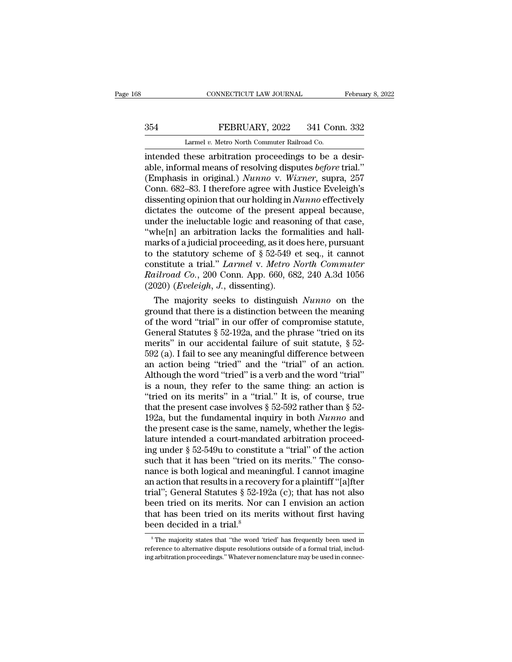# EXECUTE CONNECTICUT LAW JOURNAL February 8, 2022<br>354 FEBRUARY, 2022 341 Conn. 332<br>254 Larmel v. Metro North Commuter Railroad Co.

CONNECTICUT LAW JOURNAL<br>FEBRUARY, 2022 341 Con<br>Larmel *v.* Metro North Commuter Railroad Co.<br>these arbitration proceedings to be a CONNECTICUT LAW JOURNAL Februa<br>
354 FEBRUARY, 2022 341 Conn. 332<br>
Larmel v. Metro North Commuter Railroad Co.<br>
intended these arbitration proceedings to be a desir-<br>
able, informal means of resolving disputes before trial. FEBRUARY, 2022 341 Conn. 332<br>
Larmel v. Metro North Commuter Railroad Co.<br>
intended these arbitration proceedings to be a desir-<br>
able, informal means of resolving disputes *before* trial.''<br>
(Emphasis in original.) *Nunno* FEBRUARY, 2022 341 Conn. 332<br>
Larmel v. Metro North Commuter Railroad Co.<br>
intended these arbitration proceedings to be a desirable, informal means of resolving disputes *before* trial."<br>
(Emphasis in original.) *Nunno* v. EXERUARY, 2022 341 Conn. 332<br>
Larmel v. Metro North Commuter Railroad Co.<br>
intended these arbitration proceedings to be a desir-<br>
able, informal means of resolving disputes before trial."<br>
(Emphasis in original.) Nunno v. Larmel v. Metro North Commuter Railroad Co.<br>
intended these arbitration proceedings to be a desir-<br>
able, informal means of resolving disputes *before* trial."<br>
(Emphasis in original.) *Nunno* v. *Wixner*, supra, 257<br>
Conn Larmel v. Metro North Commuter Railroad Co.<br>
intended these arbitration proceedings to be a desir-<br>
able, informal means of resolving disputes *before* trial."<br>
(Emphasis in original.) *Nunno* v. Wixmer, supra, 257<br>
Conn. intended these arbitration proceedings to be a desirable, informal means of resolving disputes *before* trial."<br>(Emphasis in original.) *Nunno* v. Wixner, supra, 257<br>Conn. 682–83. I therefore agree with Justice Eveleigh's<br> able, informal means of resolving disputes *before* trial."<br>
(Emphasis in original.) *Nunno* v. *Wixner*, supra, 257<br>
Conn. 682–83. I therefore agree with Justice Eveleigh's<br>
dissenting opinion that our holding in *Nunno* (Emphasis in original.) *Nunno* v. *Wixner*, supra, 257<br>Conn. 682–83. I therefore agree with Justice Eveleigh's<br>dissenting opinion that our holding in *Nunno* effectively<br>dictates the outcome of the present appeal because Conn. 682–83. I therefore agree with Justice Eveleigh's<br>dissenting opinion that our holding in *Nunno* effectively<br>dictates the outcome of the present appeal because,<br>under the ineluctable logic and reasoning of that case dissenting opinion that our holding in *Nunno* effectively<br>dictates the outcome of the present appeal because,<br>under the ineluctable logic and reasoning of that case,<br>"whe[n] an arbitration lacks the formalities and hall-<br> dictates the outcome of the present appeal because,<br>under the ineluctable logic and reasoning of that case,<br>"whe[n] an arbitration lacks the formalities and hall-<br>marks of a judicial proceeding, as it does here, pursuant<br>t under the ineluctable logic and reasor<br>"whe[n] an arbitration lacks the form<br>marks of a judicial proceeding, as it do<br>to the statutory scheme of § 52-549 e<br>constitute a trial." *Larmel* v. *Metro l*<br>Railroad Co., 200 Conn. The majority scheme of § 52-549 et seq., jurnalized the statutory scheme of § 52-549 et seq., it cannot institute a trial." *Larmel* v. *Metro North Commuter illroad Co.*, 200 Conn. App. 660, 682, 240 A.3d 1056 020) *(Evel* marks or a judicial proceeding, as it does nere, pursuant<br>to the statutory scheme of § 52-549 et seq., it cannot<br>constitute a trial." *Larmel* v. *Metro North Commuter*<br>Railroad Co., 200 Conn. App. 660, 682, 240 A.3d 1056

to the statutory scheme of  $\S$  52-549 et seq., it cannot<br>constitute a trial." *Larmel* v. *Metro North Commuter*<br>Railroad Co., 200 Conn. App. 660, 682, 240 A.3d 1056<br>(2020) (*Eveleigh*, *J*., dissenting).<br>The majority see constitute a trial." *Larmet* v. *Metro North Commuter*<br>
Railroad Co., 200 Conn. App. 660, 682, 240 A.3d 1056<br>
(2020) (*Eveleigh*, *J*., dissenting).<br>
The majority seeks to distinguish *Nunno* on the<br>
ground that there is Rauroad Co., 200 Conn. App. 660, 682, 240 A.3d 1056<br>
(2020) (*Eveleigh*, *J*., dissenting).<br>
The majority seeks to distinguish *Nunno* on the<br>
ground that there is a distinction between the meaning<br>
of the word "trial" in (2020) (*Eveleigh, J.*, dissenting).<br>
The majority seeks to distinguish *Nunno* on the<br>
ground that there is a distinction between the meaning<br>
of the word "trial" in our offer of compromise statute,<br>
General Statutes § 5 The majority seeks to distinguish *Nunno* on the ground that there is a distinction between the meaning of the word "trial" in our offer of compromise statute, General Statutes § 52-192a, and the phrase "tried on its meri ground that there is a distinction between the meaning<br>of the word "trial" in our offer of compromise statute,<br>General Statutes § 52-192a, and the phrase "tried on its<br>merits" in our accidental failure of suit statute, § of the word "trial" in our offer of compromise statute,<br>General Statutes § 52-192a, and the phrase "tried on its<br>merits" in our accidental failure of suit statute, § 52-<br>592 (a). I fail to see any meaningful difference be General Statutes § 52-192a, and the phrase "tried on its<br>merits" in our accidental failure of suit statute, § 52-<br>592 (a). I fail to see any meaningful difference between<br>an action being "tried" and the "trial" of an acti merits" in our accidental failure of suit statute,  $\S$  52-592 (a). I fail to see any meaningful difference between<br>an action being "tried" and the "trial" of an action.<br>Although the word "tried" is a verb and the word "tr 592 (a). I fail to see any meaningful difference between<br>an action being "tried" and the "trial" of an action.<br>Although the word "tried" is a verb and the word "trial"<br>is a noun, they refer to the same thing: an action is an action being "tried" and the "trial" of an action.<br>Although the word "tried" is a verb and the word "trial"<br>is a noun, they refer to the same thing: an action is<br>"tried on its merits" in a "trial." It is, of course, tr Although the word "tried" is a verb and the word "trial"<br>is a noun, they refer to the same thing: an action is<br>"tried on its merits" in a "trial." It is, of course, true<br>that the present case involves  $\S 52-592$  rather th is a noun, they refer to the same thing: an action is<br>
"tried on its merits" in a "trial." It is, of course, true<br>
that the present case involves  $\S 52-592$  rather than  $\S 52-192a$ , but the fundamental inquiry in both *Nu* "tried on its merits" in a "trial." It is, of course, true<br>that the present case involves  $\S$  52-592 rather than  $\S$  52-<br>192a, but the fundamental inquiry in both *Nunno* and<br>the present case is the same, namely, whether that the present case involves  $\S$  52-592 rather than  $\S$  52-192a, but the fundamental inquiry in both *Nunno* and<br>the present case is the same, namely, whether the legis-<br>lature intended a court-mandated arbitration proc 192a, but the fundamental inquiry in both *Nunno* and<br>the present case is the same, namely, whether the legis-<br>lature intended a court-mandated arbitration proceed-<br>ing under  $\S 52-549u$  to constitute a "trial" of the act the present case is the same, namely, whether the legis-<br>lature intended a court-mandated arbitration proceed-<br>ing under § 52-549u to constitute a "trial" of the action<br>such that it has been "tried on its merits." The cons lature intended a court-mandated arbitration proceed-<br>ing under  $\S 52-549u$  to constitute a "trial" of the action<br>such that it has been "tried on its merits." The conso-<br>nance is both logical and meaningful. I cannot imag ing under  $\S$  52-549u to constitute a "trial" of the action<br>such that it has been "tried on its merits." The conso-<br>nance is both logical and meaningful. I cannot imagine<br>an action that results in a recovery for a plainti such that it has been "tried or<br>nance is both logical and mean<br>an action that results in a recov<br>trial"; General Statutes § 52-19<br>been tried on its merits. Nor<br>that has been tried on its me<br>been decided in a trial.<sup>8</sup> ial"; General Statutes  $\S$  52-192a (c); that has not also<br>een tried on its merits. Nor can I envision an action<br>at has been tried on its merits without first having<br>een decided in a trial.<sup>8</sup><br> $S$ <sup>8</sup>The majority states tha been tried on its merits. Nor can I envision an action<br>that has been tried on its merits without first having<br>been decided in a trial.<sup>8</sup><br>Fine majority states that "the word 'tried' has frequently been used in<br>reference to that has been tried on its merits without first having.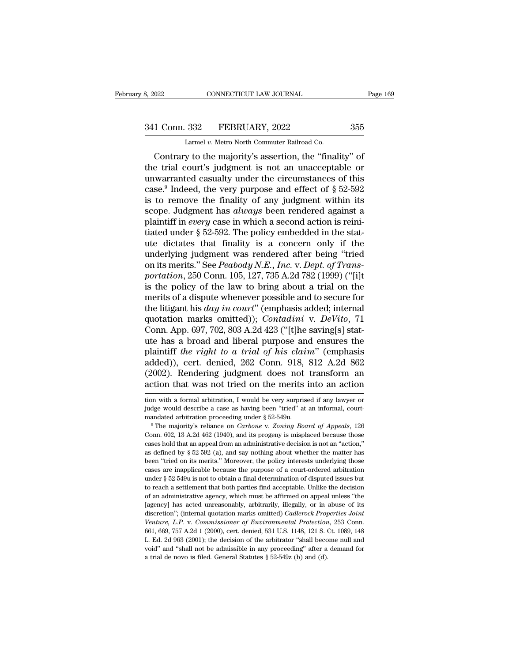# 341 Conn. 332 FEBRUARY, 2022 355<br>
Larmel v. Metro North Commuter Railroad Co.

8, 2022 CONNECTICUT LAW JOURNAL<br>
241 Conn. 332 FEBRUARY, 2022 355<br>
Larmel *v.* Metro North Commuter Railroad Co.<br>
Contrary to the majority's assertion, the "finality" of CONNECTICUT LAW JOURNAL Page 169<br>
1 Conn. 332 FEBRUARY, 2022 355<br>
Larmel v. Metro North Commuter Railroad Co.<br>
Contrary to the majority's assertion, the "finality" of<br>
e trial court's judgment is not an unacceptable or<br>
Nu 341 Conn. 332 FEBRUARY, 2022 355<br>
Larmel v. Metro North Commuter Railroad Co.<br>
Contrary to the majority's assertion, the "finality" of<br>
the trial court's judgment is not an unacceptable or<br>
unwarranted casualty under the 341 Conn. 332 FEBRUARY, 2022 355<br>
Larmel v. Metro North Commuter Railroad Co.<br>
Contrary to the majority's assertion, the "finality" of<br>
the trial court's judgment is not an unacceptable or<br>
unwarranted casualty under the 341 Conn. 332 FEBRUARY, 2022 355<br>
Larmel v. Metro North Commuter Railroad Co.<br>
Contrary to the majority's assertion, the "finality" of<br>
the trial court's judgment is not an unacceptable or<br>
unwarranted casualty under the Larmel v. Metro North Commuter Railroad Co.<br>
Contrary to the majority's assertion, the "finality" of<br>
the trial court's judgment is not an unacceptable or<br>
unwarranted casualty under the circumstances of this<br>
case.<sup>9</sup> In Larmel v. Metro North Commuter Railroad Co.<br>
Contrary to the majority's assertion, the "finality" of<br>
the trial court's judgment is not an unacceptable or<br>
unwarranted casualty under the circumstances of this<br>
case.<sup>9</sup> Ind Contrary to the majority's assertion, the "finality" of<br>the trial court's judgment is not an unacceptable or<br>unwarranted casualty under the circumstances of this<br>case.<sup>9</sup> Indeed, the very purpose and effect of  $\S 52-592$ <br> the trial court's judgment is not an unacceptable or<br>unwarranted casualty under the circumstances of this<br>case.<sup>9</sup> Indeed, the very purpose and effect of  $\S$  52-592<br>is to remove the finality of any judgment within its<br>sco unwarranted casualty under the circumstances of this<br>case.<sup>9</sup> Indeed, the very purpose and effect of § 52-592<br>is to remove the finality of any judgment within its<br>scope. Judgment has *always* been rendered against a<br>plain case.<sup>9</sup> Indeed, the very purpose and effect of § 52-592 is to remove the finality of any judgment within its scope. Judgment has *always* been rendered against a plaintiff in *every* case in which a second action is rein is to remove the finality of any judgment within its<br>scope. Judgment has *always* been rendered against a<br>plaintiff in *every* case in which a second action is reini-<br>tiated under § 52-592. The policy embedded in the stat*scope. Judgment has always been rendered against a plaintiff in <i>every* case in which a second action is reinitiated under § 52-592. The policy embedded in the statute dictates that finality is a concern only if the under plaintiff in *every* case in which a second action is reinitiated under  $\S$  52-592. The policy embedded in the stattute dictates that finality is a concern only if the underlying judgment was rendered after being "tried o tiated under § 52-592. The policy embedded in the stat-<br>ute dictates that finality is a concern only if the<br>underlying judgment was rendered after being "tried<br>on its merits." See *Peabody N.E., Inc.* v. *Dept. of Trans*ute dictates that finality is a concern only if the<br>underlying judgment was rendered after being "tried<br>on its merits." See *Peabody N.E.*, *Inc.* v. *Dept. of Trans-<br>portation*, 250 Conn. 105, 127, 735 A.2d 782 (1999) ("[ underlying judgment was rendered after being "tried<br>on its merits." See *Peabody N.E., Inc.* v. *Dept. of Trans-<br>portation*, 250 Conn. 105, 127, 735 A.2d 782 (1999) ("[i]t<br>is the policy of the law to bring about a trial on on its merits." See *Peabody N.E.*, *Inc.* v. *Dept. of Transportation*, 250 Conn. 105, 127, 735 A.2d 782 (1999) ("[i]t is the policy of the law to bring about a trial on the merits of a dispute whenever possible and to s portation, 250 Conn. 105, 127, 735 A.2d 782 (1999) ("[i]t<br>is the policy of the law to bring about a trial on the<br>merits of a dispute whenever possible and to secure for<br>the litigant his *day in court*" (emphasis added; in is the policy of the law to bring about a trial on the<br>merits of a dispute whenever possible and to secure for<br>the litigant his *day in court*" (emphasis added; internal<br>quotation marks omitted)); *Contadini* v. *DeVito*, merits of a dispute whenever possible and to secure for<br>the litigant his *day in court*" (emphasis added; internal<br>quotation marks omitted)); *Contadini* v. *DeVito*, 71<br>Conn. App. 697, 702, 803 A.2d 423 ("[t]he saving[s] the litigant his *day in court*" (emphasis added; internal quotation marks omitted)); *Contadini* v. *DeVito*, 71 Conn. App. 697, 702, 803 A.2d 423 ("[t]he saving[s] statute has a broad and liberal purpose and ensures the quotation marks omitted)); *Contadini* v. *DeVito*, 71<br>Conn. App. 697, 702, 803 A.2d 423 ("[t]he saving[s] stat-<br>ute has a broad and liberal purpose and ensures the<br>plaintiff the right to a trial of his claim" (emphasis<br>a plaintiff the right to a trial of his claim" (emphasis added)), cert. denied, 262 Conn. 918, 812 A.2d 862 (2002). Rendering judgment does not transform an action that was not tried on the merits into an action ion with a added)), cert. denied, 262 Conn. 918, 812 A.2d 862 (2002). Rendering judgment does not transform an action that was not tried on the merits into an action with a formal arbitration, I would be very surprised if any lawyer

(2002). Rendering judgment does not transform an action that was not tried on the merits into an action ion with a formal arbitration, I would be very surprised if any lawyer or judge would describe a case as having been "

action triat was not tried on the nierits into an action<br>tion with a formal arbitration, I would be very surprised if any lawyer or<br>judge would describe a case as having been "tried" at an informal, court-<br>mandated arbitra tion with a formal arbitration, I would be very surprised if any lawyer or judge would describe a case as having been "tried" at an informal, court-<br>mandated arbitration proceeding under  $\S 52-549$ u.<br><sup>9</sup> The majority's re inder would describe a case as having been "tried" at an informal, court-<br>mandated arbitration proceeding under § 52-549u.<br><sup>9</sup> The majority's reliance on *Carbone* v. Zoning Board of Appeals, 126<br>Conn. 602, 13 A.2d 462 (1 mandated arbitration proceeding under  $\S$  52-549u.<br>
<sup>9</sup> The majority's reliance on *Carbone* v. *Zoning Board of Appeals*, 126<br>
Conn. 602, 13 A.2d 462 (1940), and its progeny is misplaced because those<br>
cases hold that an <sup>a</sup> The majority's reliance on *Carbone* v. *Zoning Board of Appeals*, 126 Conn. 602, 13 A.2d 462 (1940), and its progeny is misplaced because those cases hold that an appeal from an administrative decision is not an "act Conn. 602, 13 A.2d 462 (1940), and its progeny is misplaced because those cases hold that an appeal from an administrative decision is not an "action," as defined by  $\S 52-592$  (a), and say nothing about whether the matte cases hold that an appeal from an administrative decision is not an "action,"<br>as defined by  $\S$  52-592 (a), and say nothing about whether the matter has<br>been "tried on its merits." Moreover, the policy interests underlyin as defined by  $\S 52-592$  (a), and say nothing about whether the matter has<br>been "tried on its merits." Moreover, the policy interests underlying those<br>cases are inapplicable because the purpose of a court-ordered arbitrat been "tried on its merits." Moreover, the policy interests underlying those cases are inapplicable because the purpose of a court-ordered arbitration under  $\S 52-549u$  is not to obtain a final determination of disputed is cases are inapplicable because the purpose of a court-ordered arbitration under § 52-549u is not to obtain a final determination of disputed issues but to reach a settlement that both parties find acceptable. Unlike the de *Venture, 1.2. Venture, and the independent of Andel assess but* the set  $\S$  52-549u is not to obtain a final determination of disputed issues but to reach a settlement that both parties find acceptable. Unlike the decis to reach a settlement that both parties find acceptable. Unlike the decision<br>of an administrative agency, which must be affirmed on appeal unless "the<br>[agency] has acted unreasonably, arbitrarily, illegally, or in abuse of of an administrative agency, which must be affirmed on appeal unless "the [agency] has acted unreasonably, arbitrarily, illegally, or in abuse of its discretion"; (internal quotation marks omitted) *Cadlerock Properties Jo* of an administrative agency, which must be affirmed on appeal unless "the [agency] has acted unreasonably, arbitrarily, illegally, or in abuse of its discretion"; (internal quotation marks omitted) *Cadlerock Properties J* discretion"; (internal quotation marks omitted) Cadlerock Properties Joint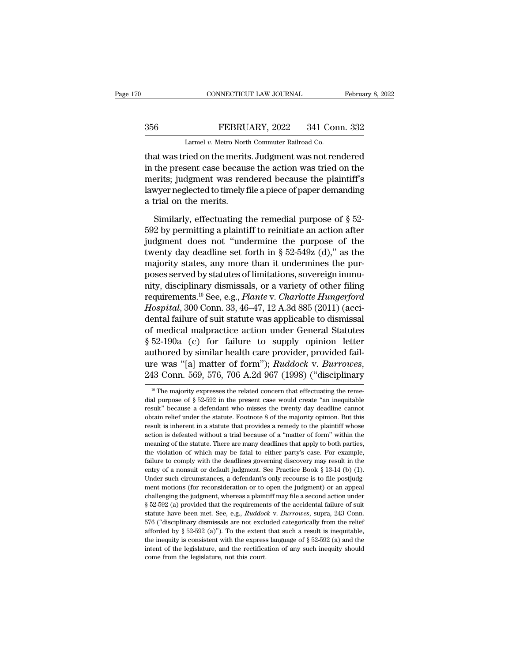## EXECUTE CONNECTICUT LAW JOURNAL February 8, 2022<br>356 FEBRUARY, 2022 341 Conn. 332<br>Larmel v. Metro North Commuter Railroad Co. CONNECTICUT LAW JOURNAL Februa<br>
256 FEBRUARY, 2022 341 Conn. 332<br>
Larmel *v.* Metro North Commuter Railroad Co.<br>
1. That was tried on the merits. Judgment was not rendered

CONNECTICUT LAW JOURNAL February 8, 2022<br>
356 FEBRUARY, 2022 341 Conn. 332<br>
Larmel v. Metro North Commuter Railroad Co.<br>
that was tried on the merits. Judgment was not rendered<br>
in the present case because the action was t FEBRUARY, 2022 341 Conn. 332<br>
Larmel v. Metro North Commuter Railroad Co.<br>
that was tried on the merits. Judgment was not rendered<br>
in the present case because the action was tried on the<br>
merits; judgment was rendered bec 356 FEBRUARY, 2022 341 Conn. 332<br>
Larmel v. Metro North Commuter Railroad Co.<br>
that was tried on the merits. Judgment was not rendered<br>
in the present case because the action was tried on the<br>
merits; judgment was rendere 356 FEBRUARY, 2022 341 Conn. 332<br>
Larmel v. Metro North Commuter Railroad Co.<br>
that was tried on the merits. Judgment was not rendered<br>
in the present case because the action was tried on the<br>
merits; judgment was rendere Larmel v. Metro North<br>that was tried on the merits<br>in the present case becaus<br>merits; judgment was ren<br>lawyer neglected to timely f<br>a trial on the merits.<br>Similarly, effectuating t at was tried on the merits. Judgment was not rendered<br>the present case because the action was tried on the<br>erits; judgment was rendered because the plaintiff's<br>wyer neglected to timely file a piece of paper demanding<br>trial in the present case because the action was tried on the<br>merits; judgment was rendered because the plaintiff's<br>lawyer neglected to timely file a piece of paper demanding<br>a trial on the merits.<br>Similarly, effectuating the r

merits; judgment was rendered because the plaintiff's<br>lawyer neglected to timely file a piece of paper demanding<br>a trial on the merits.<br>Similarly, effectuating the remedial purpose of  $\S$  52-<br>592 by permitting a plaintiff lawyer neglected to timely file a piece of paper demanding<br>a trial on the merits.<br>Similarly, effectuating the remedial purpose of  $\S$  52-<br>592 by permitting a plaintiff to reinitiate an action after<br>judgment does not "unde a trial on the merits.<br>
Similarly, effectuating the remedial purpose of  $\S$  52-<br>
592 by permitting a plaintiff to reinitiate an action after<br>
judgment does not "undermine the purpose of the<br>
twenty day deadline set forth Similarly, effectuating the remedial purpose of  $\S$  52-592 by permitting a plaintiff to reinitiate an action after judgment does not "undermine the purpose of the twenty day deadline set forth in  $\S$  52-549z (d)," as the Similarly, effectuating the remedial purpose of § 52-<br>592 by permitting a plaintiff to reinitiate an action after<br>judgment does not "undermine the purpose of the<br>twenty day deadline set forth in § 52-549z (d)," as the<br>maj 592 by permitting a plaintiff to reinitiate an action after<br>judgment does not "undermine the purpose of the<br>twenty day deadline set forth in § 52-549z (d)," as the<br>majority states, any more than it undermines the pur-<br>pose judgment does not "undermine the purpose of the<br>twenty day deadline set forth in § 52-549z (d)," as the<br>majority states, any more than it undermines the pur-<br>poses served by statutes of limitations, sovereign immu-<br>nity, d twenty day deadline set forth in § 52-549z (d)," as the<br>majority states, any more than it undermines the pur-<br>poses served by statutes of limitations, sovereign immu-<br>nity, disciplinary dismissals, or a variety of other f majority states, any more than it undermines the pur-<br>poses served by statutes of limitations, sovereign immu-<br>nity, disciplinary dismissals, or a variety of other filing<br>requirements.<sup>10</sup> See, e.g., *Plante* v. *Charlotte* poses served by statutes of limitations, sovereign immu-<br>nity, disciplinary dismissals, or a variety of other filing<br>requirements.<sup>10</sup> See, e.g., *Plante* v. *Charlotte Hungerford*<br>*Hospital*, 300 Conn. 33, 46–47, 12 A.3d mity, disciplinary dismissals, or a variety of other filing<br>requirements.<sup>10</sup> See, e.g., *Plante* v. *Charlotte Hungerford*<br>*Hospital*, 300 Conn. 33, 46–47, 12 A.3d 885 (2011) (acci-<br>dental failure of suit statute was appl requirements.<sup>10</sup> See, e.g., *Plante* v. *Charlotte Hungerford*<br>*Hospital*, 300 Conn. 33, 46–47, 12 A.3d 885 (2011) (accidental failure of suit statute was applicable to dismissal<br>of medical malpractice action under Genera <sup>10</sup> The majority expresses the related concern that effectuating the remeauthored by similar health care provider, provided fail-<br>ure was "[a] matter of form");  $Ruddock$  v.  $Burrows$ ,<br>243 Conn. 569, 576, 706 A.2d 967 (1998) ("disciplinary<br><sup>10</sup> The majority expresses the related concern that effectuati

ure was "[a] matter of form"); *Ruddock v. Burrowes*, 243 Conn. 569, 576, 706 A.2d 967 (1998) ("disciplinary<br><sup>10</sup> The majority expresses the related concern that effectuating the remedial purpose of  $\S 52-592$  in the pres 243 Conn. 569, 576, 706 A.2d 967 (1998) ("disciplinary<br>
<sup>10</sup> The majority expresses the related concern that effectuating the reme-<br>
dial purpose of § 52-592 in the present case would create "an inequitable<br>
result" becau The majority expresses the related concern that effectuating the remedial purpose of § 52-592 in the present case would create "an inequitable result" because a defendant who misses the twenty day deadline cannot obtain r <sup>10</sup> The majority expresses the related concern that effectuating the remedial purpose of  $\S 52-592$  in the present case would create "an inequitable result" because a defendant who misses the twenty day deadline cannot o dial purpose of  $\S 52-592$  in the present case would create "an inequitable result" because a defendant who misses the twenty day deadline cannot obtain relief under the statute. Footnote 8 of the majority opinion. But th the violation of which may be fatal to either party's case. The viewing the statute information relief under the statute. Footnote 8 of the majority opinion. But this result is inherent in a statute that provides a remedy failure to comply with the deadlines governing discovery may result is inherent in a statute that provides a remedy to the plaintiff whose action is defeated without a trial because of a "matter of form" within the meaning result is inherent in a statute that provides a remedy to the plaintiff whose<br>result is inherent in a statute that provides a remedy to the plaintiff whose<br>action is defeated without a trial because of a "matter of form" w Exaction is defeated without a trial because of a "matter of form" within the meaning of the statute. There are many deadlines that apply to both parties, the violation of which may be fatal to either party's case. For ex meaning of the statute. There are many deadlines that apply to both parties, the violation of which may be fatal to either party's case. For example, failure to comply with the deadlines governing discovery may result in t the violation of which may be fatal to either party's case. For example, failure to comply with the deadlines governing discovery may result in the entry of a nonsuit or default judgment. See Practice Book § 13-14 (b) (1) failure to comply with the deadlines governing discovery may result in the entry of a nonsuit or default judgment. See Practice Book § 13-14 (b) (1). Under such circumstances, a defendant's only recourse is to file postju entry of a nonsuit or default judgment. See Practice Book § 13-14 (b) (1).<br>Under such circumstances, a defendant's only recourse is to file postjudgment motions (for reconsideration or to open the judgment) or an appeal<br>ch Under such circumstances, a defendant's only recourse is to file postjudgment motions (for reconsideration or to open the judgment) or an appeal challenging the judgment, whereas a plaintiff may file a second action under ment motions (for reconsideration or to open the judgment) or an appeal challenging the judgment, whereas a plaintiff may file a second action under  $\S$  52-592 (a) provided that the requirements of the accidental failure challenging the judgment, whereas a plaintiff may file a second action under § 52-592 (a) provided that the requirements of the accidental failure of suit statute have been met. See, e.g., *Ruddock v. Burrowes*, supra, 24 s and the requirements of the accidental failure of suit statute have been met. See, e.g., *Ruddock v. Burrowes*, supra, 243 Conn. 576 ("disciplinary dismissals are not excluded categorically from the relief afforded by § statute have been met. See, e.g., *Ruddock v. Burrowes*, supra, 243 Conn. 576 ("disciplinary dismissals are not excluded categorically from the relief afforded by § 52-592 (a)"). To the extent that such a result is inequi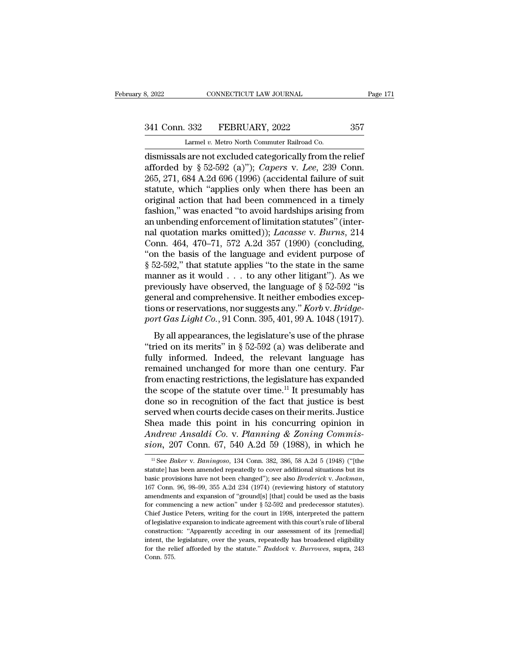# 3, 2022 CONNECTICUT LAW JOURNAL Page 171<br>341 Conn. 332 FEBRUARY, 2022 357<br>Larmel v. Metro North Commuter Railroad Co.

Larmel *v.* Metro North Commuter Railroad Co. 8, 2022 CONNECTICUT LAW JOURNAL Page 17<br>
341 Conn. 332 FEBRUARY, 2022 357<br>
Larmel v. Metro North Commuter Railroad Co.<br>
dismissals are not excluded categorically from the relief<br>
afforded by § 52-592 (a)"); *Capers* v. *Le* 341 Conn. 332 FEBRUARY, 2022 357<br>
Larmel v. Metro North Commuter Railroad Co.<br>
dismissals are not excluded categorically from the relief<br>
afforded by § 52-592 (a)"); *Capers* v. *Lee*, 239 Conn.<br>
265, 271, 684 A.2d 696 (19 341 Conn. 332 FEBRUARY, 2022 357<br>
Larmel v. Metro North Commuter Railroad Co.<br>
dismissals are not excluded categorically from the relief<br>
afforded by § 52-592 (a)"); *Capers* v. *Lee*, 239 Conn.<br>
265, 271, 684 A.2d 696 (1 341 Conn. 332 FEBRUARY, 2022 357<br>
Larmel v. Metro North Commuter Railroad Co.<br>
dismissals are not excluded categorically from the relief<br>
afforded by § 52-592 (a)"); *Capers* v. *Lee*, 239 Conn.<br>
265, 271, 684 A.2d 696 (1 Larmel v. Metro North Commuter Railroad Co.<br>
dismissals are not excluded categorically from the relief<br>
afforded by § 52-592 (a)"); *Capers* v. *Lee*, 239 Conn.<br>
265, 271, 684 A.2d 696 (1996) (accidental failure of suit<br> Larmel v. Metro North Commuter Railroad Co.<br>
dismissals are not excluded categorically from the relief<br>
afforded by § 52-592 (a)"); *Capers* v. *Lee*, 239 Conn.<br>
265, 271, 684 A.2d 696 (1996) (accidental failure of suit<br> dismissals are not excluded categorically from the relief<br>afforded by § 52-592 (a)"); *Capers* v. *Lee*, 239 Conn.<br>265, 271, 684 A.2d 696 (1996) (accidental failure of suit<br>statute, which "applies only when there has been afforded by § 52-592 (a)"); *Capers* v. *Lee*, 239 Conn.<br>265, 271, 684 A.2d 696 (1996) (accidental failure of suit<br>statute, which "applies only when there has been an<br>original action that had been commenced in a timely<br>fas 265, 271, 684 A.2d 696 (1996) (accidental failure of suit statute, which "applies only when there has been an original action that had been commenced in a timely fashion," was enacted "to avoid hardships arising from an u statute, which "applies only when there has been an original action that had been commenced in a timely fashion," was enacted "to avoid hardships arising from an unbending enforcement of limitation statutes" (internal quot original action that had been commenced in a timely<br>fashion," was enacted "to avoid hardships arising from<br>an unbending enforcement of limitation statutes" (inter-<br>nal quotation marks omitted)); *Lacasse* v. *Burns*, 214<br> fashion," was enacted "to avoid hardships arising from<br>an unbending enforcement of limitation statutes" (inter-<br>nal quotation marks omitted)); *Lacasse* v. *Burns*, 214<br>Conn. 464, 470–71, 572 A.2d 357 (1990) (concluding,<br> an unbending enforcement of limitation statutes" (inter-<br>nal quotation marks omitted)); *Lacasse* v. *Burns*, 214<br>Conn. 464, 470–71, 572 A.2d 357 (1990) (concluding,<br>"on the basis of the language and evident purpose of<br> $\S$ nal quotation marks omitted)); *Lacasse* v. *Burns*, 214<br>Conn. 464, 470–71, 572 A.2d 357 (1990) (concluding,<br>"on the basis of the language and evident purpose of<br> $\S 52-592$ ," that statute applies "to the state in the same Conn. 464, 470–71, 572 A.2d 357 (1990) (concluding,<br>"on the basis of the language and evident purpose of<br>§ 52-592," that statute applies "to the state in the same<br>manner as it would . . . to any other litigant"). As we<br>pre "on the basis of the language and evident purpose of  $\S$  52-592," that statute applies "to the state in the same manner as it would . . . to any other litigant"). As we previously have observed, the language of  $\S$  52-592 below and in the same state in the same<br>anner as it would . . . to any other litigant"). As we<br>eviously have observed, the language of  $\S$  52-592 "is<br>neral and comprehensive. It neither embodies excep-<br>ns or reservations, manner as it would  $\cdot \cdot \cdot$  to any other migant *j*. As we<br>previously have observed, the language of § 52-592 "is<br>general and comprehensive. It neither embodies excep-<br>tions or reservations, nor suggests any." *Korb* v.

general and comprehensive. It neither embodies exceptions or reservations, nor suggests any." *Korb* v. *Bridge-*<br>port *Gas Light Co.*, 91 Conn. 395, 401, 99 A. 1048 (1917).<br>By all appearances, the legislature's use of th general and comprenensive. It nettited embodies exceptions or reservations, nor suggests any." *Korb* v. *Bridge-*<br>port *Gas Light Co.*, 91 Conn. 395, 401, 99 A. 1048 (1917).<br>By all appearances, the legislature's use of t from enactions, the legislature's use of the phrase<br>port Gas Light Co., 91 Conn. 395, 401, 99 A. 1048 (1917).<br>By all appearances, the legislature's use of the phrase<br>"tried on its merits" in § 52-592 (a) was deliberate an By all appearances, the legislature's use of the phrase<br>"tried on its merits" in § 52-592 (a) was deliberate and<br>fully informed. Indeed, the relevant language has<br>remained unchanged for more than one century. Far<br>from ena By all appearances, the legislature's use of the phrase<br>
"tried on its merits" in  $\S$  52-592 (a) was deliberate and<br>
fully informed. Indeed, the relevant language has<br>
remained unchanged for more than one century. Far<br>
fr "tried on its merits" in § 52-592 (a) was deliberate and<br>fully informed. Indeed, the relevant language has<br>remained unchanged for more than one century. Far<br>from enacting restrictions, the legislature has expanded<br>the sco fully informed. Indeed, the relevant language has<br>remained unchanged for more than one century. Far<br>from enacting restrictions, the legislature has expanded<br>the scope of the statute over time.<sup>11</sup> It presumably has<br>done s remained unchanged for more than one century. Far<br>from enacting restrictions, the legislature has expanded<br>the scope of the statute over time.<sup>11</sup> It presumably has<br>done so in recognition of the fact that justice is best<br>s from enacting restrictions, the legislature has expanded<br>the scope of the statute over time.<sup>11</sup> It presumably has<br>done so in recognition of the fact that justice is best<br>served when courts decide cases on their merits. Ju Shea made this point in his concurring opinion in<br>Andrew Ansaldi Co. v. Planning & Zoning Commis-<br>sion, 207 Conn. 67, 540 A.2d 59 (1988), in which he<br><sup>11</sup> See *Baker* v. *Baningoso*, 134 Conn. 382, 386, 58 A.2d 5 (1948) (" sion, 207 Conn. 67, 540 A.2d 59 (1988), in which he

Andrew Ansaldi Co. v. Planning & Zoning Commission, 207 Conn. 67, 540 A.2d 59 (1988), in which he<br>
<sup>11</sup> See *Baker* v. *Baningoso*, 134 Conn. 382, 386, 58 A.2d 5 (1948) ("[the statute] has been amended repeatedly to cover about, 201 COIIII. 01, 040 A.2d 09 (1900), III WHICH HE<br>
<sup>11</sup> See *Baker* v. *Baningoso*, 134 Conn. 382, 386, 58 A.2d 5 (1948) ("[the<br>
statute] has been amended repeatedly to cover additional situations but its<br>
basic pro <sup>11</sup> See *Baker* v. *Baningoso*, 134 Conn. 382, 386, 58 A.2d 5 (1948) ("[the statute] has been amended repeatedly to cover additional situations but its basic provisions have not been changed"); see also *Broderick* v. *J* statute] has been amended repeatedly to cover additional situations but its basic provisions have not been changed"); see also *Broderick* v. Jackman, 167 Conn. 96, 98–99, 355 A.2d 234 (1974) (reviewing history of statuto basic provisions have not been changed"); see also *Broderick* v. Jackman, 167 Conn. 96, 98–99, 355 A.2d 234 (1974) (reviewing history of statutory amendments and expansion of "ground[s] [that] could be used as the basis 167 Conn. 96, 98–99, 355 A.2d 234 (1974) (reviewing history of statutory amendments and expansion of "ground[s] [that] could be used as the basis for commencing a new action" under  $\S$  52-592 and predecessor statutes). Ch intention, the legislature, over the years, repeatedly has broadened eligibility commencing a new action" under  $\S$  52-592 and predecessor statutes). Chief Justice Peters, writing for the court in 1998, interpreted the pa for commencing a new action" under § 52-592 and predecessor statutes).<br>Chief Justice Peters, writing for the court in 1998, interpreted the pattern<br>of legislative expansion to indicate agreement with this court's rule of l Chief Justice Peters, writing for the court in 1998, interpreted the pattern of legislative expansion to indicate agreement with this court's rule of liberal construction: "Apparently acceding in our assessment of its [re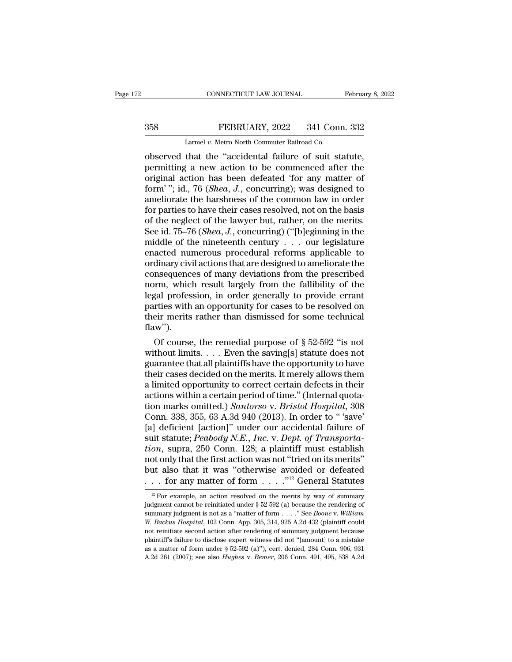## EXECUTE CONNECTICUT LAW JOURNAL February 8, 2022<br>358 FEBRUARY, 2022 341 Conn. 332<br>Larmel v. Metro North Commuter Railroad Co. CONNECTICUT LAW JOURNAL<br>FEBRUARY, 2022 341 Con<br>Larmel *v.* Metro North Commuter Railroad Co.<br>that the "accidental failure of suit s

CONNECTICUT LAW JOURNAL February 8, 2<br>
S58 FEBRUARY, 2022 341 Conn. 332<br>
Larmel v. Metro North Commuter Railroad Co.<br>
Observed that the "accidental failure of suit statute,<br>
permitting a new action to be commenced after th FEBRUARY, 2022 341 Conn. 332<br>
Larmel v. Metro North Commuter Railroad Co.<br>
observed that the "accidental failure of suit statute,<br>
permitting a new action to be commenced after the<br>
original action has been defeated 'for a 358 FEBRUARY, 2022 341 Conn. 332<br>
Larmel v. Metro North Commuter Railroad Co.<br>
observed that the "accidental failure of suit statute,<br>
permitting a new action to be commenced after the<br>
original action has been defeated ' FEBRUARY, 2022 341 Conn. 332<br>
Larmel v. Metro North Commuter Railroad Co.<br>
observed that the "accidental failure of suit statute,<br>
permitting a new action to be commenced after the<br>
original action has been defeated 'for a Larmel v. Metro North Commuter Railroad Co.<br>
observed that the "accidental failure of suit statute,<br>
permitting a new action to be commenced after the<br>
original action has been defeated 'for any matter of<br>
form'"; id., 76 Larmel v. Metro North Commuter Railroad Co.<br>
observed that the "accidental failure of suit statute,<br>
permitting a new action to be commenced after the<br>
original action has been defeated 'for any matter of<br>
form'"; id., 76 observed that the "accidental failure of suit statute,<br>permitting a new action to be commenced after the<br>original action has been defeated 'for any matter of<br>form'"; id., 76 (*Shea*, *J*., concurring); was designed to<br>amel permitting a new action to be commenced after the<br>original action has been defeated 'for any matter of<br>form'"; id., 76 (*Shea*, *J*., concurring); was designed to<br>ameliorate the harshness of the common law in order<br>for par original action has been defeated 'for any matter of<br>form'"; id., 76 (*Shea*, *J*., concurring); was designed to<br>ameliorate the harshness of the common law in order<br>for parties to have their cases resolved, not on the bas form'"; id., 76 (*Shea*, *J*., concurring); was designed to<br>ameliorate the harshness of the common law in order<br>for parties to have their cases resolved, not on the basis<br>of the neglect of the lawyer but, rather, on the m ameliorate the harshness of the common law in order<br>for parties to have their cases resolved, not on the basis<br>of the neglect of the lawyer but, rather, on the merits.<br>See id. 75–76 (*Shea*, *J*., concurring) ("[b]eginnin for parties to have their cases resolved, not on the basis<br>of the neglect of the lawyer but, rather, on the merits.<br>See id. 75–76 (*Shea, J.*, concurring) ("[b]eginning in the<br>middle of the nineteenth century  $\dots$  our leg of the neglect of the lawyer but, rather, on the merits.<br>See id. 75–76 (*Shea*, *J*., concurring) ("[b]eginning in the<br>middle of the nineteenth century  $\ldots$  our legislature<br>enacted numerous procedural reforms applicable See id.  $75-76$  (*Shea*, *J*., concurring) ("[b]eginning in the middle of the nineteenth century . . . our legislature enacted numerous procedural reforms applicable to ordinary civil actions that are designed to ameliora middle of the nineteenth century . . . our legislature<br>enacted numerous procedural reforms applicable to<br>ordinary civil actions that are designed to ameliorate the<br>consequences of many deviations from the prescribed<br>norm, enacted numerous procedural reforms applicable to<br>ordinary civil actions that are designed to ameliorate the<br>consequences of many deviations from the prescribed<br>norm, which result largely from the fallibility of the<br>legal flaw''). msequences of many deviations from the prescribed<br>prm, which result largely from the fallibility of the<br>gal profession, in order generally to provide errant<br>rties with an opportunity for cases to be resolved on<br>eir merits norm, which result largely from the fallibility of the<br>legal profession, in order generally to provide errant<br>parties with an opportunity for cases to be resolved on<br>their merits rather than dismissed for some technical<br>f

legal protession, in order generally to provide errant<br>parties with an opportunity for cases to be resolved on<br>their merits rather than dismissed for some technical<br>flaw").<br>Of course, the remedial purpose of § 52-592 "is n parties with an opportunity for cases to be resolved on<br>their merits rather than dismissed for some technical<br>flaw").<br>Of course, the remedial purpose of  $\S 52-592$  "is not<br>without limits. . . . Even the saving[s] statute their merits rather than dismissed for some technical<br>flaw").<br>Of course, the remedial purpose of  $\S 52-592$  "is not<br>without limits. . . . Even the saving[s] statute does not<br>guarantee that all plaintiffs have the opportun Of course, the remedial purpose of  $\S$  52-592 "is not without limits. . . . Even the saving[s] statute does not guarantee that all plaintiffs have the opportunity to have their cases decided on the merits. It merely allow Of course, the remedial purpose of  $\S$  52-592 "is not<br>without limits. . . . Even the saving[s] statute does not<br>guarantee that all plaintiffs have the opportunity to have<br>their cases decided on the merits. It merely allow without limits. . . . . Even the saving[s] statute does not guarantee that all plaintiffs have the opportunity to have their cases decided on the merits. It merely allows them a limited opportunity to correct certain defe guarantee that all plaintiffs have the opportunity to have<br>their cases decided on the merits. It merely allows them<br>a limited opportunity to correct certain defects in their<br>actions within a certain period of time." (Inter their cases decided on the merits. It merely allows them<br>a limited opportunity to correct certain defects in their<br>actions within a certain period of time." (Internal quota-<br>tion marks omitted.) *Santorso* v. *Bristol Hosp* a limited opportunity to correct certain defects in their<br>actions within a certain period of time." (Internal quota-<br>tion marks omitted.) *Santorso* v. *Bristol Hospital*, 308<br>Conn. 338, 355, 63 A.3d 940 (2013). In order t actions within a certain period of time." (Internal quotation marks omitted.) *Santorso* v. *Bristol Hospital*, 308<br>Conn. 338, 355, 63 A.3d 940 (2013). In order to "save"<br>[a] deficient [action]" under our accidental failu tion marks omitted.) *Santorso* v. *Bristol Hospital*, 308<br>Conn. 338, 355, 63 A.3d 940 (2013). In order to "'save'<br>[a] deficient [action]" under our accidental failure of<br>suit statute; *Peabody N.E., Inc.* v. *Dept. of Tr* Conn. 338, 355, 63 A.3d 940 (2013). In order to "'save'<br>
[a] deficient [action]" under our accidental failure of<br>
suit statute; *Peabody N.E., Inc.* v. *Dept. of Transporta-*<br> *tion*, supra, 250 Conn. 128; a plaintiff mus on, supra, 250 Conn. 128; a plaintiff must establish<br>ot only that the first action was not "tried on its merits"<br>ut also that it was "otherwise avoided or defeated<br>... for any matter of form ...."<sup>12</sup> General Statutes<br><sup>12</sup> not only that the first action was not "tried on its merits"<br>but also that it was "otherwise avoided or defeated<br> $\ldots$  for any matter of form  $\ldots$ ."<sup>12</sup> General Statutes<br><sup>12</sup> For example, an action resolved on the merits

but also that it was "otherwise avoided or defeated<br>
. . . for any matter of form . . . . .<sup>''12</sup> General Statutes<br>
<sup>12</sup> For example, an action resolved on the merits by way of summary<br>
judgment cannot be reinitiated under *W. Gackus Hospital*, 102 Conn. App. 305, 314, 925 A.2d 432 (plaintiff could not reinitiate second action after rendering of summary indigment is not as a "matter of form . . . . "See *Boone* v. *William W. Backus Hospita* <sup>12</sup> For example, an action resolved on the merits by way of summary judgment cannot be reinitiated under § 52-592 (a) because the rendering of summary judgment is not as a "matter of form . . . . " See *Boone v. William* <sup>12</sup> For example, an action resolved on the merits by way of summary judgment cannot be reinitiated under  $\S$  52-592 (a) because the rendering of summary judgment is not as a "matter of form . . . . " See *Boone* v. *Will* judgment cannot be reinitiated under § 52-592 (a) because the rendering of summary judgment is not as a "matter of form . . . . " See *Boone* v. *William* W. *Backus Hospital*, 102 Conn. App. 305, 314, 925 A.2d 432 (plain judgment cannot be reinitiated under § 52-592 (a) because the rendering of summary judgment is not as a "matter of form . . . . " See *Boone* v. *William W. Backus Hospital*, 102 Conn. App. 305, 314, 925 A.2d 432 (plaint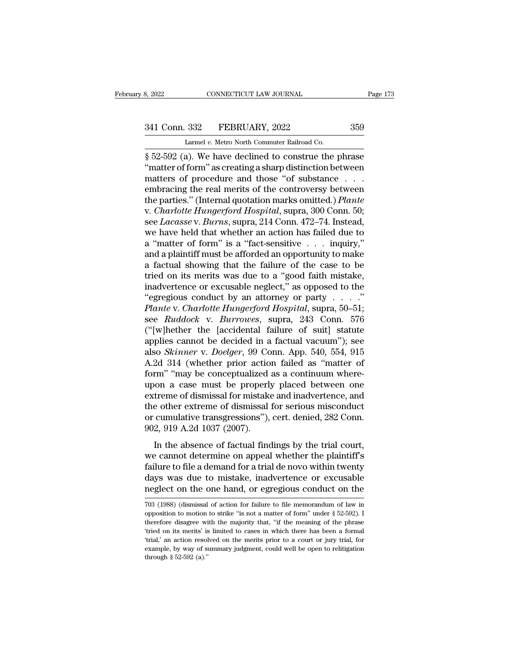# 341 Conn. 332 FEBRUARY, 2022 359<br>
Larmel v. Metro North Commuter Railroad Co.

8, 2022 CONNECTICUT LAW JOURNAL<br>
241 Conn. 332 FEBRUARY, 2022 359<br>
Larmel *v.* Metro North Commuter Railroad Co.<br>
8 52-592 (a). We have declined to construe the phrase s, 2022 CONNECTICUT LAW JOURNAL Page 173<br>
341 Conn. 332 FEBRUARY, 2022 359<br>
Larmel v. Metro North Commuter Railroad Co.<br>
§ 52-592 (a). We have declined to construe the phrase "matter of form" as creating a sharp distinctio <sup>341</sup> Conn. 332 FEBRUARY, 2022 359<br>
Larmel v. Metro North Commuter Railroad Co.<br>
§ 52-592 (a). We have declined to construe the phrase "matter of form" as creating a sharp distinction between<br>
matters of procedure and thos 341 Conn. 332 FEBRUARY, 2022 359<br>
Larmel v. Metro North Commuter Railroad Co.<br>
§ 52-592 (a). We have declined to construe the phrase<br>
"matter of form" as creating a sharp distinction between<br>
matters of procedure and thos 341 Conn. 332 FEBRUARY, 2022 359<br>
Larmel v. Metro North Commuter Railroad Co.<br>
§ 52-592 (a). We have declined to construe the phrase<br>
"matter of form" as creating a sharp distinction between<br>
matters of procedure and thos Larmel v. Metro North Commuter Railroad Co.<br>  $\S$  52-592 (a). We have declined to construe the phrase<br>
"matter of form" as creating a sharp distinction between<br>
matters of procedure and those "of substance . . .<br>
embracing *Larmel v. Metro North Commuter Railroad Co.*<br>
§ 52-592 (a). We have declined to construe the phrase<br>
"matter of form" as creating a sharp distinction between<br>
matters of procedure and those "of substance . . .<br>
embracing § 52-592 (a). We have declined to construe the phrase<br>"matter of form" as creating a sharp distinction between<br>matters of procedure and those "of substance...<br>embracing the real merits of the controversy between<br>the partie "matter of form" as creating a sharp distinction between<br>matters of procedure and those "of substance...<br>embracing the real merits of the controversy between<br>the parties." (Internal quotation marks omitted.) *Plante*<br>v. matters of procedure and those "of substance . . . . embracing the real merits of the controversy between<br>the parties." (Internal quotation marks omitted.) *Plante*<br>v. *Charlotte Hungerford Hospital*, supra, 300 Conn. 50; embracing the real merits of the controversy between<br>the parties." (Internal quotation marks omitted.) *Plante*<br>v. *Charlotte Hungerford Hospital*, supra, 300 Conn. 50;<br>see *Lacasse* v. *Burns*, supra, 214 Conn. 472–74. I the parties." (Internal quotation marks omitted.) *Plante*<br>v. *Charlotte Hungerford Hospital*, supra, 300 Conn. 50;<br>see *Lacasse* v. *Burns*, supra, 214 Conn. 472–74. Instead,<br>we have held that whether an action has failed v. *Charlotte Hungerford Hospital*, supra, 300 Conn. 50;<br>see *Lacasse* v. *Burns*, supra, 214 Conn. 472–74. Instead,<br>we have held that whether an action has failed due to<br>a "matter of form" is a "fact-sensitive . . . inqui see *Lacasse* v. *Burns*, supra, 214 Conn. 472–74. Instead,<br>we have held that whether an action has failed due to<br>a "matter of form" is a "fact-sensitive . . . inquiry,"<br>and a plaintiff must be afforded an opportunity to we have held that whether an action has failed due to<br>a "matter of form" is a "fact-sensitive . . . inquiry,"<br>and a plaintiff must be afforded an opportunity to make<br>a factual showing that the failure of the case to be<br>tr a "matter of form" is a "fact-sensitive . . . inquiry,"<br>and a plaintiff must be afforded an opportunity to make<br>a factual showing that the failure of the case to be<br>tried on its merits was due to a "good faith mistake,<br>ina and a plaintiff must be afforded an opportunity to make<br>a factual showing that the failure of the case to be<br>tried on its merits was due to a "good faith mistake,<br>inadvertence or excusable neglect," as opposed to the<br>"egre a factual showing that the failure of the case to be<br>tried on its merits was due to a "good faith mistake,<br>inadvertence or excusable neglect," as opposed to the<br>"egregious conduct by an attorney or party  $\ldots$ ."<br>*Plante* tried on its merits was due to a "good faith mistake,<br>inadvertence or excusable neglect," as opposed to the<br>"egregious conduct by an attorney or party  $\dots$ ."<br>*Plante* v. *Charlotte Hungerford Hospital*, supra, 50–51;<br>see inadvertence or excusable neglect," as opposed to the<br>
"egregious conduct by an attorney or party . . . . ."<br> *Plante* v. *Charlotte Hungerford Hospital*, supra, 50–51;<br>
see *Ruddock* v. *Burrowes*, supra, 243 Conn. 576<br>
( "egregious conduct by an attorney or party  $\dots$ "<br> *Plante* v. *Charlotte Hungerford Hospital*, supra, 50–51;<br>
see *Ruddock* v. *Burrowes*, supra, 243 Conn. 576<br>
("[w]hether the [accidental failure of suit] statute<br>
applie Plante v. Charlotte Hungerford Hospital, supra, 50–51;<br>see Ruddock v. Burrowes, supra, 243 Conn. 576<br>("[w]hether the [accidental failure of suit] statute<br>applies cannot be decided in a factual vacuum"); see<br>also *Skinner* see *Ruddock* v. *Burrowes*, supra, 243 Conn. 576<br>("[w]hether the [accidental failure of suit] statute<br>applies cannot be decided in a factual vacuum"); see<br>also *Skinner* v. *Doelger*, 99 Conn. App. 540, 554, 915<br>A.2d 314 ("[w]hether the [accidental failure of suit] statute<br>applies cannot be decided in a factual vacuum"); see<br>also *Skinner* v. *Doelger*, 99 Conn. App. 540, 554, 915<br>A.2d 314 (whether prior action failed as "matter of<br>form" applies cannot be decided in a factual vacuum"); see<br>also *Skinner* v. *Doelger*, 99 Conn. App. 540, 554, 915<br>A.2d 314 (whether prior action failed as "matter of<br>form" "may be conceptualized as a continuum where-<br>upon a c also *Skinner* v. *Doelger*, 99 Conn. App. 540, 554, 915<br>A.2d 314 (whether prior action failed as "matter of<br>form" "may be conceptualized as a continuum where-<br>upon a case must be properly placed between one<br>extreme of dis A.2d 314 (whether prior actio<br>form" "may be conceptualized<br>upon a case must be properl;<br>extreme of dismissal for mistake<br>the other extreme of dismissal<br>or cumulative transgressions"),<br>902, 919 A.2d 1037 (2007).<br>In the abse In the absence properly placed between one<br>treme of dismissal for mistake and inadvertence, and<br>e other extreme of dismissal for serious misconduct<br>cumulative transgressions"), cert. denied, 282 Conn.<br>2, 919 A.2d 1037 (200 extreme of dismissal for mistake and inadvertence, and<br>the other extreme of dismissal for serious misconduct<br>or cumulative transgressions"), cert. denied, 282 Conn.<br>902, 919 A.2d 1037 (2007).<br>In the absence of factual find

Exactine of dismissarior mistake and madvertence, and<br>the other extreme of dismissal for serious misconduct<br>or cumulative transgressions"), cert. denied, 282 Conn.<br>902, 919 A.2d 1037 (2007).<br>In the absence of factual findi days was due to mistake, inadvertence or excusable meghed. The absence of factual findings by the trial court, we cannot determine on appeal whether the plaintiff's failure to file a demand for a trial de novo within twent 902, 919 A.2d 1037 (2007).<br>In the absence of factual findings by the trial court,<br>we cannot determine on appeal whether the plaintiff's<br>failure to file a demand for a trial de novo within twenty<br>days was due to mistake, i we cannot determine on appeal whether the plaintiff's<br>failure to file a demand for a trial de novo within twenty<br>days was due to mistake, inadvertence or excusable<br>neglect on the one hand, or egregious conduct on the<br>703 ( failure to file a demand for a trial de novo within twenty<br>days was due to mistake, inadvertence or excusable<br>neglect on the one hand, or egregious conduct on the<br>703 (1988) (dismissal of action for failure to file memoran

days was due to mistake, inadvertence or excusable<br>neglect on the one hand, or egregious conduct on the<br> $\frac{703}{1088}$  (1988) (dismissal of action for failure to file memorandum of law in<br>opposition to motion to strike "is neglect on the one hand, or egregious conduct on the merits' (1988) (dismissal of action for failure to file memorandum of law in opposition to motion to strike "is not a matter of form" under § 52-592). I therefore disagr 703 (1988) (dismissal of action for failure to file memorandum of law in opposition to motion to strike "is not a matter of form" under  $\S$  52-592). I therefore disagree with the majority that, "if the meaning of the phra 703 (1988) (dismissal of action for failure to file memorandum of law in opposition to motion to strike "is not a matter of form" under  $\S$  52-592). I therefore disagree with the majority that, "if the meaning of the phra opposition to motion to strike "is not a matter of form" under § 52-592). I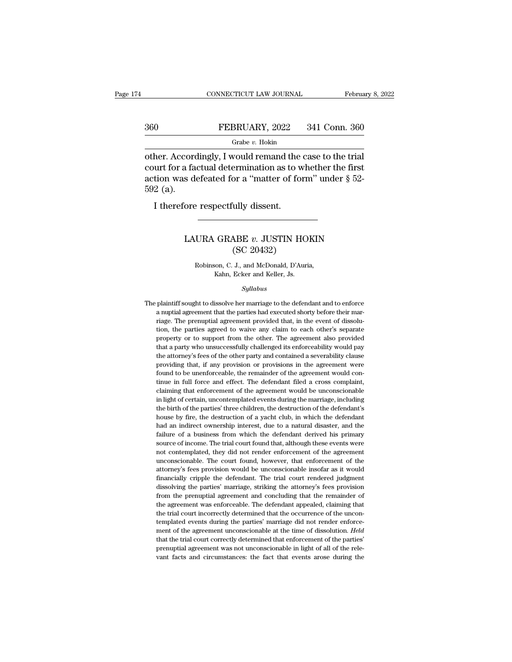### CONNECTICUT LAW JOURNAL February 8, 2022<br>360 FEBRUARY, 2022 341 Conn. 360<br>Grabe v. Hokin Grabe *v.* Hokin

CONNECTICUT LAW JOURNAL February 8, 20<br>
360 FEBRUARY, 2022 341 Conn. 360<br>
Grabe v. Hokin<br>
other. Accordingly, I would remand the case to the trial<br>
court for a factual determination as to whether the first<br>
action was defe 360 FEBRUARY, 2022 341 Conn. 360<br>
Grabe v. Hokin<br>
other. Accordingly, I would remand the case to the trial<br>
court for a factual determination as to whether the first<br>
action was defeated for a "matter of form" under  $\S$  5 360 FEBRUARY, 2022 341 Conn. 360<br>
Grabe v. Hokin<br>
other. Accordingly, I would remand the case to the trial<br>
court for a factual determination as to whether the first<br>
action was defeated for a "matter of form" under § 52-360<br>
Inter Accord<br>
Solut for a faction<br>
Sole (a).<br>
Interefore Grabe  $v$ . Hokin<br>
her. Accordingly, I would remand the<br>
urt for a factual determination as to v<br>
tion was defeated for a "matter of fo<br>
2 (a).<br>
I therefore respectfully dissent. Experimentation as to whence the mot<br>s defeated for a "matter of form" under § 52-<br>ore respectfully dissent.<br>LAURA GRABE *v*. JUSTIN HOKIN (SC 20432)

### for a matter of form<br>
illy dissent.<br>
ABE  $v$ . JUSTIN HO<br>
(SC 20432)<br>
J., and McDonald, D'Auri URA GRABE *v*. JUSTIN HOKIN<br>
(SC 20432)<br>
Robinson, C. J., and McDonald, D'Auria,<br>
Kahn, Ecker and Keller, Js. GRABE  $v$ . JUSTIN HO.<br>
(SC 20432)<br>
Son, C. J., and McDonald, D'Auria<br>
Kahn, Ecker and Keller, Js.<br>
Sullabus

### *Syllabus*

Robinson, C. J., and McDonald, D'Auria,<br>Kahn, Ecker and Keller, Js.<br>Syllabus<br>The plaintiff sought to dissolve her marriage to the defendant and to enforce<br>a nuptial agreement that the parties had executed shorty before the Robinson, C. J., and McDonald, D'Auria,<br>Kahn, Ecker and Keller, Js.<br>Syllabus<br>plaintiff sought to dissolve her marriage to the defendant and to enforce<br>a nuptial agreement that the parties had executed shorty before their m Kahn, Ecker and Keller, Js.<br>Syllabus<br>plaintiff sought to dissolve her marriage to the defendant and to enforce<br>a nuptial agreement that the parties had executed shorty before their mar-<br>riage. The prenuptial agreement prov Syllabus<br>
splaintiff sought to dissolve her marriage to the defendant and to enforce<br>
a nuptial agreement that the parties had executed shorty before their mar-<br>
riage. The prenuptial agreement provided that, in the event sylabus<br>plaintiff sought to dissolve her marriage to the defendant and to enforce<br>a nuptial agreement that the parties had executed shorty before their mar-<br>riage. The prenuptial agreement provided that, in the event of di plaintiff sought to dissolve her marriage to the defendant and to enforce<br>a nuptial agreement that the parties had executed shorty before their mar-<br>riage. The prenuptial agreement provided that, in the event of dissolu-<br>t a muptial agreement that the parties had executed shorty before their marriage. The prenuptial agreement provided that, in the event of dissolution, the parties agreed to waive any claim to each other's separate property o riage. The prenuptial agreement provided that, in the event of dissolution, the parties agreed to waive any claim to each other's separate property or to support from the other. The agreement also provided that a party who from, the parties agreed to waive any claim to each other's separate property or to support from the other. The agreement also provided that a party who unsuccessfully challenged its enforceability would pay the attorney's property or to support from the other. The agreement also provided that a party who unsuccessfully challenged its enforceability would pay the attorney's fees of the other party and contained a severability clause providin Fraction and that a party who unsuccessfully challenged its enforceability would pay the attorney's fees of the other party and contained a severability clause providing that, if any provision or provisions in the agreemen the attorney's fees of the other party and contained a severability clause<br>providing that, if any provision or provisions in the agreement were<br>found to be unenforceable, the remainder of the agreement would con-<br>tinue in providing that, if any provision or provisions in the agreement were<br>found to be unenforceable, the remainder of the agreement would con-<br>tinue in full force and effect. The defendant filed a cross complaint,<br>claiming that fromd to be unenforceable, the remainder of the agreement would continue in full force and effect. The defendant filed a cross complaint, claiming that enforcement of the agreement would be unconscionable in light of certa Finue in full force and effect. The defendant filed a cross complaint, claiming that enforcement of the agreement would be unconscionable in light of certain, uncontemplated events during the marriage, including the birth claiming that enforcement of the agreement would be unconscionable<br>in light of certain, uncontemplated events during the marriage, including<br>the birth of the parties' three children, the destruction of the defendant<br>house in light of certain, uncontemplated events during the marriage, including the birth of the parties' three children, the destruction of the defendant's house by fire, the destruction of a yacht club, in which the defendant not be birth of the parties' three children, the destruction of the defendant's house by fire, the destruction of a yacht club, in which the defendant had an indirect ownership interest, due to a natural disaster, and the house by fire, the destruction of a yacht club, in which the defendant had an indirect ownership interest, due to a natural disaster, and the failure of a business from which the defendant derived his primary source of inc had an indirect ownership interest, due to a natural disaster, and the failure of a business from which the defendant derived his primary source of income. The trial court found that, although these events were not contemp failure of a business from which the defendant derived his primary source of income. The trial court found that, although these events were not contemplated, they did not render enforcement of the agreement unconscionable. source of income. The trial court found that, although these events were not contemplated, they did not render enforcement of the agreement unconscionable. The court found, however, that enforcement of the attorney's fees from the prenuptial agreement of the agreement unconscionable. The court found, however, that enforcement of the attorney's fees provision would be unconscionable insofar as it would financially cripple the defendant. The the conscionable. The court found, however, that enforcement of the attorney's fees provision would be unconscionable insofar as it would financially cripple the defendant. The trial court rendered judgment dissolving the attorney's fees provision would be unconscionable insofar as it would financially cripple the defendant. The trial court rendered judgment dissolving the parties' marriage, striking the attorney's fees provision from the p financially cripple the defendant. The trial court rendered judgment dissolving the parties' marriage, striking the attorney's fees provision from the prenuptial agreement and concluding that the remainder of the agreemen mention of the parties' marriage, striking the attorney's fees provision from the prenuptial agreement and concluding that the remainder of the agreement was enforceable. The defendant appealed, claiming that the trial cou from the prenuptial agreement and concluding that the remainder of the agreement was enforceable. The defendant appealed, claiming that the trial court incorrectly determined that the occurrence of the uncontemplated event the agreement was enforceable. The defendant appealed, claiming that the trial court incorrectly determined that the occurrence of the uncontemplated events during the parties' marriage did not render enforcement of the a the trial court incorrectly determined that the occurrence of the uncon-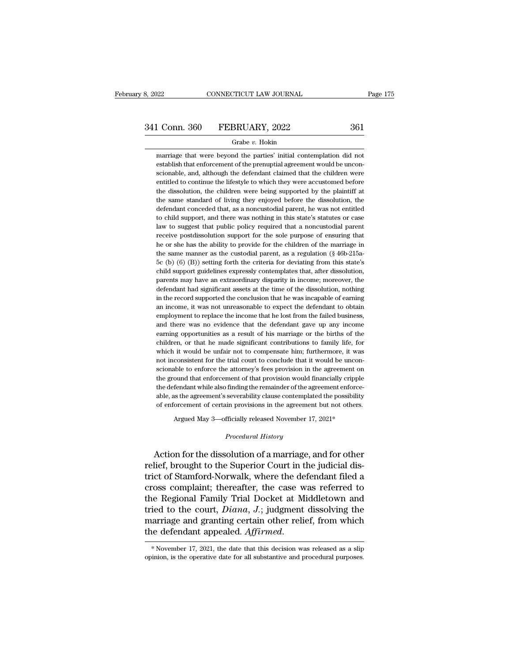# 3, 2022 CONNECTICUT LAW JOURNAL Page 175<br>341 Conn. 360 FEBRUARY, 2022 361<br>Grabe v. Hokin

### Grabe *v.* Hokin

 $\frac{1 \text{ Conn. } 360 \qquad \text{FEBRUARY, } 2022 \qquad \qquad 361 \qquad \qquad \text{Grabe } v. \text{ Hokin}$ <br>
marriage that were beyond the parties' initial contemplation did notestablish that enforcement of the prenuptial agreement would be uncon-341 Conn. 360 FEBRUARY, 2022 361<br>
Grabe v. Hokin<br>
marriage that were beyond the parties' initial contemplation did not<br>
establish that enforcement of the prenuptial agreement would be uncon-<br>
scionable, and, although the  $\fbox{10cm. } \begin{tabular}{ll} \multicolumn{1}{l}{{\bf CPBRUARY, 2022}} & \multicolumn{1}{l}{{\bf 361}}\\ \multicolumn{1}{l}{\begin{tabular}{l} \multicolumn{1}{l}{{\bf 361}}\\ \multicolumn{1}{l}{\bf 481} & \multicolumn{1}{l}{\bf 582} & \multicolumn{1}{l}{\bf 383} & \multicolumn{1}{l}{\bf 384} & \multicolumn{1}{l}{\bf 385} & \multicolumn{1}{l}{\bf 386} & \multicolumn{1}{l}{\bf 387} & \multicolumn{1}{l$ Grabe  $v$ . Hokin<br>marriage that were beyond the parties' initial contemplation did not<br>establish that enforcement of the prenuptial agreement would be uncon-<br>scionable, and, although the defendant claimed that the children Grabe v. Hokin<br>marriage that were beyond the parties' initial contemplation did not<br>establish that enforcement of the prenuptial agreement would be uncon-<br>scionable, and, although the defendant claimed that the children we marriage that were beyond the parties' initial contemplation did not establish that enforcement of the prenuptial agreement would be unconscionable, and, although the defendant claimed that the children were entitled to co establish that enforcement of the prenuptial agreement would be unconscionable, and, although the defendant claimed that the children were entitled to continue the lifestyle to which they were accustomed before the dissolu scionable, and, although the defendant claimed that the children were<br>entitled to continue the lifestyle to which they were accustomed before<br>the dissolution, the children were being supported by the plaintiff at<br>the same entitled to continue the lifestyle to which they were accustomed before the dissolution, the children were being supported by the plaintiff at the same standard of living they enjoyed before the dissolution, the defendant the dissolution, the children were being supported by the plaintiff at the same standard of living they enjoyed before the dissolution, the defendant conceded that, as a noncustodial parent, he was not entitled to child su the same standard of living they enjoyed before the dissolution, the defendant conceded that, as a noncustodial parent, he was not entitled to child support, and there was nothing in this state's statutes or case law to su defendant conceded that, as a noncustodial parent, he was not entitled<br>to child support, and there was nothing in this state's statutes or case<br>law to suggest that public policy required that a noncustodial parent<br>receive to child support, and there was nothing in this state's statutes or case<br>law to suggest that public policy required that a noncustodial parent<br>receive postdissolution support for the sole purpose of ensuring that<br>he or sh law to suggest that public policy required that a noncustodial parent<br>receive postdissolution support for the sole purpose of ensuring that<br>he or she has the ability to provide for the children of the marriage in<br>the same receive postdissolution support for the sole purpose of ensuring that<br>he or she has the ability to provide for the children of the marriage in<br>the same manner as the custodial parent, as a regulation (§ 46b-215a-<br>5c (b) (6 he or she has the ability to provide for the children of the marriage in the same manner as the custodial parent, as a regulation  $(\S 46b-215a-5c$  (b)  $(6)$  (B)) setting forth the criteria for deviating from this state's the same manner as the custodial parent, as a regulation ( $\S$  46b-215a-5c (b) (6) (B)) setting forth the criteria for deviating from this state's child support guidelines expressly contemplates that, after dissolution, pa  $5c$  (b) (6) (B)) setting forth the criteria for deviating from this state's child support guidelines expressly contemplates that, after dissolution, parents may have an extraordinary disparity in income; moreover, the de child support guidelines expressly contemplates that, after dissolution, parents may have an extraordinary disparity in income; moreover, the defendant had significant assets at the time of the dissolution, nothing in the parents may have an extraordinary disparity in income; moreover, the defendant had significant assets at the time of the dissolution, nothing in the record supported the conclusion that he was incapable of earning an incom defendant had significant assets at the time of the dissolution, nothing<br>in the record supported the conclusion that he was incapable of earning<br>an income, it was not unreasonable to expect the defendant to obtain<br>employme in the record supported the conclusion that he was incapable of earning<br>an income, it was not unreasonable to expect the defendant to obtain<br>employment to replace the income that he lost from the failed business,<br>and there an income, it was not unreasonable to expect the defendant to obtain employment to replace the income that he lost from the failed business, and there was no evidence that the defendant gave up any income earning opportuni employment to replace the income that he lost from the failed business, and there was no evidence that the defendant gave up any income earning opportunities as a result of his marriage or the births of the children, or th and there was no evidence that the defendant gave up any income earning opportunities as a result of his marriage or the births of the children, or that he made significant contributions to family life, for which it would earning opportunities as a result of his marriage or the births of the children, or that he made significant contributions to family life, for which it would be unfair not to compensate him; furthermore, it was not inconsi children, or that he made significant contributions to family life, for which it would be unfair not to compensate him; furthermore, it was not inconsistent for the trial court to conclude that it would be unconscionable t which it would be unfair not to compensate him; furthermore, it was not inconsistent for the trial court to conclude that it would be unconscionable to enforce the attorney's fees provision in the agreement on the ground t not inconsistent for the trial court to conclude that it would be unconscionable to enforce the attorney's fees provision in the agreement on the ground that enforcement of that provision would financially cripple the defe ble to entorce the attorney's tees provision in the agreement of cound that enforcement of that provision would financially cripple<br>fendant while also finding the remainder of the agreement enforce<br>is the agreement's sever able, as the agreement's severability clause contemplated the possibility<br>of enforcement of certain provisions in the agreement but not others.<br>Argued May 3—officially released November 17, 2021\*<br>*Procedural History*<br>Actio

the defendant while also finding the remainder of the agreement enforce-<br>able, as the agreement's severability clause contemplated the possibility<br>of enforcement of certain provisions in the agreement but not others.<br>Argue able, as the agreement s severability clause contemplated the possibility<br>of enforcement of certain provisions in the agreement but not others.<br>Argued May 3—officially released November 17, 2021\*<br>*Procedural History*<br>Actio Argued May 3—officially released November 17, 2021\*<br>
Procedural History<br>
Action for the dissolution of a marriage, and for other<br>
relief, brought to the Superior Court in the judicial dis-<br>
trict of Stamford-Norwalk, where Argued May 3—officially released November 17, 2021\*<br>
Procedural History<br>
Action for the dissolution of a marriage, and for other<br>
relief, brought to the Superior Court in the judicial dis-<br>
trict of Stamford-Norwalk, where *Procedural History*<br>Action for the dissolution of a marriage, and for other<br>relief, brought to the Superior Court in the judicial dis-<br>trict of Stamford-Norwalk, where the defendant filed a<br>cross complaint; thereafter, th Action for the dissolution of a marriage, and for other<br>relief, brought to the Superior Court in the judicial dis-<br>trict of Stamford-Norwalk, where the defendant filed a<br>cross complaint; thereafter, the case was referred t Action for the dissolution of a marriage, and for other<br>relief, brought to the Superior Court in the judicial dis-<br>trict of Stamford-Norwalk, where the defendant filed a<br>cross complaint; thereafter, the case was referred t relief, brought to the Superior Court in the judicial dis-<br>trict of Stamford-Norwalk, where the defendant filed a<br>cross complaint; thereafter, the case was referred to<br>the Regional Family Trial Docket at Middletown and<br>tri tried to the court, *Diana*, *J*.; judgment dissolving the<br>marriage and granting certain other relief, from which<br>the defendant appealed. *Affirmed*.<br>\*November 17, 2021, the date that this decision was released as a slip<br>o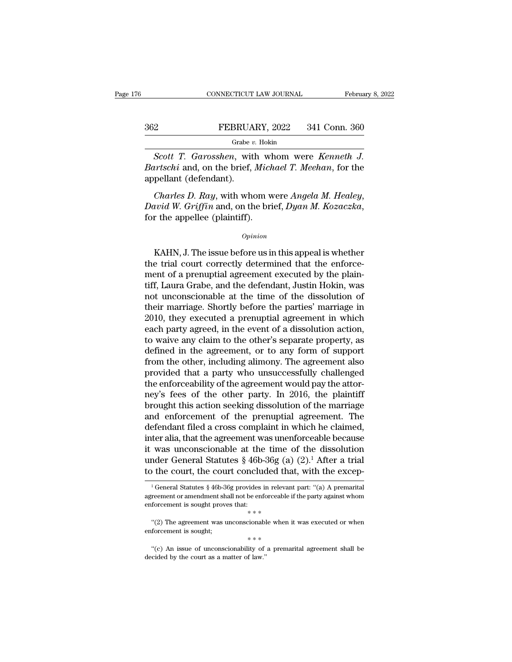### CONNECTICUT LAW JOURNAL February 8, 2022<br>362 FEBRUARY, 2022 341 Conn. 360<br>Grabe v. Hokin Grabe *v.* Hokin

*SCONNECTICUT LAW JOURNAL* February 8, 20<br> *SCOTT T. Garosshen*, with whom were *Kenneth J.*<br> *SCOTT T. Garosshen*, with whom were *Kenneth J.*<br> *SCOTT T. Garosshen*, with whom were *Kenneth J.*<br> *SCOTT T. Garosshen, with Bartian Bartian Bartschi* and, on the brief, *Michael T. Meehan*, for the appellant (defendant). 362 FEBRUA<br>
Grabe v<br>
Scott T. Garosshen, with<br>
Bartschi and, on the brief,<br>
appellant (defendant).<br>
Charles D. Ray, with who *Charles D. Ray*, with whom were *Kenneth J.*<br> *Charles D. Ray,* with whom were *Kenneth J.*<br> *Charles D. Ray*, with whom were *Angela M. Healey*, *David W. Griffin* and, on the brief, *Dyan M. Kozaczka*, for the appellee

Charles D. Ray, with whom were Angela M. Healey,<br>
wid W. Griffin and, on the brief, Dyan M. Kozaczka,<br>
r the appellee (plaintiff).<br>  $\frac{opinion}{Dpinion}$ <br>
KAHN, J. The issue before us in this appeal is whether<br>
e trial court corre

### *Opinion*

Charles D. Ray, with whom were Angela M. Healey,<br>David W. Griffin and, on the brief, Dyan M. Kozaczka,<br>for the appellee (plaintiff).<br> $o_{pinion}$ <br>KAHN, J. The issue before us in this appeal is whether<br>the trial court correctly David W. Griffin and, on the brief, Dyan M. Kozaczka,<br>for the appellee (plaintiff).<br> $\frac{opinion}{opinion}$ <br>KAHN, J. The issue before us in this appeal is whether<br>the trial court correctly determined that the enforce-<br>ment of a prenu opinion<br>
opinion<br>
KAHN, J. The issue before us in this appeal is whether<br>
the trial court correctly determined that the enforce-<br>
ment of a prenuptial agreement executed by the plain-<br>
tiff, Laura Grabe, and the defendant,  $o$ *pinion*<br>
KAHN, J. The issue before us in this appeal is whether<br>
the trial court correctly determined that the enforce-<br>
ment of a prenuptial agreement executed by the plain-<br>
tiff, Laura Grabe, and the defendant, Jus KAHN, J. The issue before us in this appeal is whether<br>the trial court correctly determined that the enforce-<br>ment of a prenuptial agreement executed by the plain-<br>tiff, Laura Grabe, and the defendant, Justin Hokin, was<br>n KAHN, J. The issue before us in this appeal is whether<br>the trial court correctly determined that the enforce-<br>ment of a prenuptial agreement executed by the plain-<br>tiff, Laura Grabe, and the defendant, Justin Hokin, was<br>no the trial court correctly determined that the enforcement of a prenuptial agreement executed by the plain-<br>tiff, Laura Grabe, and the defendant, Justin Hokin, was<br>not unconscionable at the time of the dissolution of<br>their ment of a prenuptial agreement executed by the plain-<br>tiff, Laura Grabe, and the defendant, Justin Hokin, was<br>not unconscionable at the time of the dissolution of<br>their marriage. Shortly before the parties' marriage in<br>201 tiff, Laura Grabe, and the defendant, Justin Hokin, was<br>not unconscionable at the time of the dissolution of<br>their marriage. Shortly before the parties' marriage in<br>2010, they executed a prenuptial agreement in which<br>each not unconscionable at the time of the dissolution of<br>their marriage. Shortly before the parties' marriage in<br>2010, they executed a prenuptial agreement in which<br>each party agreed, in the event of a dissolution action,<br>to w their marriage. Shortly before the parties' marriage in 2010, they executed a prenuptial agreement in which<br>each party agreed, in the event of a dissolution action,<br>to waive any claim to the other's separate property, as<br>d 2010, they executed a prenuptial agreement in which<br>each party agreed, in the event of a dissolution action,<br>to waive any claim to the other's separate property, as<br>defined in the agreement, or to any form of support<br>from each party agreed, in the event of a dissolution action,<br>to waive any claim to the other's separate property, as<br>defined in the agreement, or to any form of support<br>from the other, including alimony. The agreement also<br>pro to waive any claim to the other's separate property, as<br>defined in the agreement, or to any form of support<br>from the other, including alimony. The agreement also<br>provided that a party who unsuccessfully challenged<br>the enfo defined in the agreement, or to any form of support<br>from the other, including alimony. The agreement also<br>provided that a party who unsuccessfully challenged<br>the enforceability of the agreement would pay the attor-<br>ney's f from the other, including alimony. The agreement also<br>provided that a party who unsuccessfully challenged<br>the enforceability of the agreement would pay the attor-<br>ney's fees of the other party. In 2016, the plaintiff<br>broug provided that a party who unsuccessfully challenged<br>the enforceability of the agreement would pay the attor-<br>ney's fees of the other party. In 2016, the plaintiff<br>brought this action seeking dissolution of the marriage<br>an the enforceability of the agreement would pay the attor-<br>ney's fees of the other party. In 2016, the plaintiff<br>brought this action seeking dissolution of the marriage<br>and enforcement of the prenuptial agreement. The<br>defen ney's fees of the other party. In 2016, the plaintiff<br>brought this action seeking dissolution of the marriage<br>and enforcement of the prenuptial agreement. The<br>defendant filed a cross complaint in which he claimed,<br>inter a brought this action seeking dissolution of the marriage<br>and enforcement of the prenuptial agreement. The<br>defendant filed a cross complaint in which he claimed,<br>inter alia, that the agreement was unenforceable because<br>it w ter alla, that the agreement was unenforceable because<br>was unconscionable at the time of the dissolution<br>nder General Statutes § 46b-36g (a) (2).<sup>1</sup> After a trial<br>the court, the court concluded that, with the excep-<br> $\frac{1$ it was unconscionable at the time of the dissolution<br>under General Statutes § 46b-36g (a) (2).<sup>1</sup> After a trial<br>to the court, the court concluded that, with the excep-<br><sup>1</sup>General Statutes § 46b-36g provides in relevant pa

under General Statutes  $\S$  46b-36g (ato the court, the court concluded the court of statutes  $\S$  46b-36g provides in releval agreement or amendment shall not be enforceable enforcement is sought proves that:<br>  $**$ <br>
"(2) Th <sup>1</sup> General Statutes § 46b-36g provides in relevant part: "(a) A premarital reement or amendment shall not be enforceable if the party against whom forcement is sought proves that:<br>  $**$ <br>
"(2) The agreement was unconsciona  $^\mathrm{1}$  General Statutes § 46b-36g provides in relevangreement or amendment shall not be enforceable enforcement is sought proves that:<br>  $\ast \ast \ast$ <br>
"(2) The agreement was unconscionable when enforcement is sought;<br>  $\ast \ast \ast$ 

forcement is sought proves that:<br>  $**$ <br>
"(2) The agreement was unconscionable when it was executed or when<br>
forcement is sought;<br>  $***$ <br>
"(c) An issue of unconscionability of a premarital agreement shall be<br>
cided by the cou  $* * *$ <br>
"(2) The agreement was unconscionables<br>
enforcement is sought;<br>
"(c) An issue of unconscionability of<br>
decided by the court as a matter of law."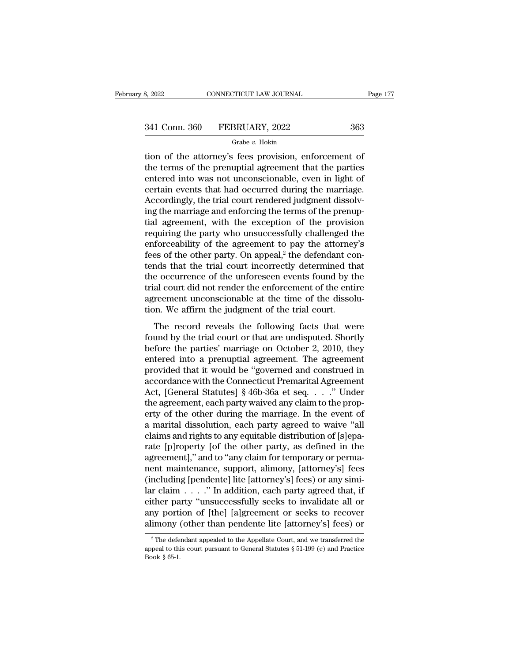### Grabe *v.* Hokin

the attorney's fees provision, enforcement of<br>the terms of the attorney's fees provision, enforcement of<br>the terms of the prenuptial agreement that the parties<br>ontered into was not unconscioushed oven in light of  $\begin{array}{r} \text{341 Conn. } 360 \quad \text{FEBRUARY, } 2022 \qquad \qquad 363 \ \text{Grabe } v. \text{ Hokin} \end{array}$ <br>tion of the attorney's fees provision, enforcement of the terms of the prenuptial agreement that the parties entered into was not unconscionable, even i 341 Conn. 360 FEBRUARY, 2022 363<br>
Grabe v. Hokin<br>
tion of the attorney's fees provision, enforcement of<br>
the terms of the prenuptial agreement that the parties<br>
entered into was not unconscionable, even in light of<br>
certa  $\frac{341 \text{ Conn. } 360 \qquad \text{FEBRUARY, } 2022 \qquad \qquad 363}{\text{Grade } v. \text{ Hokin}}$ <br>tion of the attorney's fees provision, enforcement of<br>the terms of the prenuptial agreement that the parties<br>entered into was not unconscionable, even in light o  $\frac{Gr_{\text{label}}}{\text{label }v}$   $\frac{Gr_{\text{label }v}}{\text{label }v}$   $\frac{Gr_{\text{label }v}}{\text{label }v}$   $\frac{Gr_{\text{label }v}}{\text{label }v}$   $\frac{Gr_{\text{label }v}}{\text{label }v}$   $\frac{Gr_{\text{label }v}}{\text{label }v}$   $\frac{Gr_{\text{label }v}}{\text{label }v}$   $\frac{Gr_{\text{label }v}}{\text{label }v}$   $\frac{Gr_{\text{label }v}}{\text{label }v}$   $\frac{Gr_{\text{label }v}}{\$  $\frac{Grabe}{dt}$  is the marriage and enforcement of the terms of the prenuptial agreement that the parties entered into was not unconscionable, even in light of certain events that had occurred during the marriage. Accordingly tion of the attorney's fees provision, enforcement of<br>the terms of the prenuptial agreement that the parties<br>entered into was not unconscionable, even in light of<br>certain events that had occurred during the marriage.<br>Accor the terms of the prenuptial agreement that the parties<br>entered into was not unconscionable, even in light of<br>certain events that had occurred during the marriage.<br>Accordingly, the trial court rendered judgment dissolv-<br>ing entered into was not unconscionable, even in light of<br>certain events that had occurred during the marriage.<br>Accordingly, the trial court rendered judgment dissolv-<br>ing the marriage and enforcing the terms of the prenup-<br>ti certain events that had occurred during the marriage.<br>Accordingly, the trial court rendered judgment dissolving the marriage and enforcing the terms of the prenup-<br>tial agreement, with the exception of the provision<br>requir Accordingly, the trial court rendered judgment dissolving the marriage and enforcing the terms of the prenuptial agreement, with the exception of the provision requiring the party who unsuccessfully challenged the enforce ing the marriage and enforcing the terms of the prenuptial agreement, with the exception of the provision<br>requiring the party who unsuccessfully challenged the<br>enforceability of the agreement to pay the attorney's<br>fees of tial agreement, with the exception of the provision<br>requiring the party who unsuccessfully challenged the<br>enforceability of the agreement to pay the attorney's<br>fees of the other party. On appeal,<sup>2</sup> the defendant con-<br>tend requiring the party who unsuccessfully challenged the enforceability of the agreement to pay the attorney's fees of the other party. On appeal,<sup>2</sup> the defendant contends that the trial court incorrectly determined that the enforceability of the agreement to pay the attorney<br>fees of the other party. On appeal,<sup>2</sup> the defendant co<br>tends that the trial court incorrectly determined th<br>the occurrence of the unforeseen events found by tl<br>trial cou nds that the trial court incorrectly determined that<br>a e occurrence of the unforeseen events found by the<br>al court did not render the enforcement of the entire<br>reement unconscionable at the time of the dissolu-<br>on. We affi following the trial court incorrectly determined that<br>the occurrence of the unforeseen events found by the<br>trial court did not render the enforcement of the entire<br>agreement unconscionable at the time of the dissolu-<br>tion.

are occurrence of are antorescent events found by are<br>trial court did not render the enforcement of the entire<br>agreement unconscionable at the time of the dissolu-<br>tion. We affirm the judgment of the trial court.<br>The recor and code did not chack the embeddient of the chance<br>agreement unconscionable at the time of the dissolu-<br>tion. We affirm the judgment of the trial court.<br>The record reveals the following facts that were<br>found by the trial From the judgment of the trial court.<br>The record reveals the following facts that were<br>found by the trial court or that are undisputed. Shortly<br>before the parties' marriage on October 2, 2010, they<br>entered into a prenupti The record reveals the following facts that were<br>found by the trial court or that are undisputed. Shortly<br>before the parties' marriage on October 2, 2010, they<br>entered into a prenuptial agreement. The agreement<br>provided t The record reveals the following facts that were<br>found by the trial court or that are undisputed. Shortly<br>before the parties' marriage on October 2, 2010, they<br>entered into a prenuptial agreement. The agreement<br>provided th found by the trial court or that are undisputed. Shortly<br>before the parties' marriage on October 2, 2010, they<br>entered into a prenuptial agreement. The agreement<br>provided that it would be "governed and construed in<br>accord before the parties' marriage on October 2, 2010, they<br>entered into a prenuptial agreement. The agreement<br>provided that it would be "governed and construed in<br>accordance with the Connecticut Premarital Agreement<br>Act, [Gener entered into a prenuptial agreement. The agreement<br>provided that it would be "governed and construed in<br>accordance with the Connecticut Premarital Agreement<br>Act, [General Statutes] § 46b-36a et seq...." Under<br>the agreement provided that it would be "governed and construed in accordance with the Connecticut Premarital Agreement Act, [General Statutes]  $§$  46b-36a et seq. . . ." Under the agreement, each party waived any claim to the property accordance with the Connecticut Premarital Agreement<br>Act, [General Statutes] § 46b-36a et seq. . . ." Under<br>the agreement, each party waived any claim to the prop-<br>erty of the other during the marriage. In the event of<br>a m Act, [General Statutes] § 46b-36a et seq. . . . " Under<br>the agreement, each party waived any claim to the prop-<br>erty of the other during the marriage. In the event of<br>a marital dissolution, each party agreed to waive "all<br> the agreement, each party waived any claim to the property of the other during the marriage. In the event of<br>a marital dissolution, each party agreed to waive "all<br>claims and rights to any equitable distribution of [s]epaerty of the other during the marriage. In the event of<br>a marital dissolution, each party agreed to waive "all<br>claims and rights to any equitable distribution of [s]epa-<br>rate [p]roperty [of the other party, as defined in th a marital dissolution, each party agreed to waive "all<br>claims and rights to any equitable distribution of [s]epa-<br>rate [p]roperty [of the other party, as defined in the<br>agreement]," and to "any claim for temporary or perma claims and rights to any equitable distribution of [s]eparate [p]roperty [of the other party, as defined in the agreement]," and to "any claim for temporary or permanent maintenance, support, alimony, [attorney's] fees (in rate [p]roperty [of the other party, as defined in the agreement]," and to "any claim for temporary or perma-<br>nent maintenance, support, alimony, [attorney's] fees<br>(including [pendente] lite [attorney's] fees) or any simiagreement]," and to "any claim for temporary or perma-<br>nent maintenance, support, alimony, [attorney's] fees<br>(including [pendente] lite [attorney's] fees) or any simi-<br>lar claim . . . . " In addition, each party agreed tha 2 The defendant appealed to the Appellate Court, and we transferred the peak of the Appellate Court, and we transferred the peak of this court pursuant to General Statutes  $\S 51-199$  (c) and Practice either party "unsuccessfully seeks to invalidate all or<br>any portion of [the] [a]greement or seeks to recover<br>alimony (other than pendente lite [attorney's] fees) or<br><sup>2</sup>The defendant appealed to the Appellate Court, and we

any porti<br>alimony (<br><sup>2</sup>The defe<br>appeal to thi<br>Book § 65-1.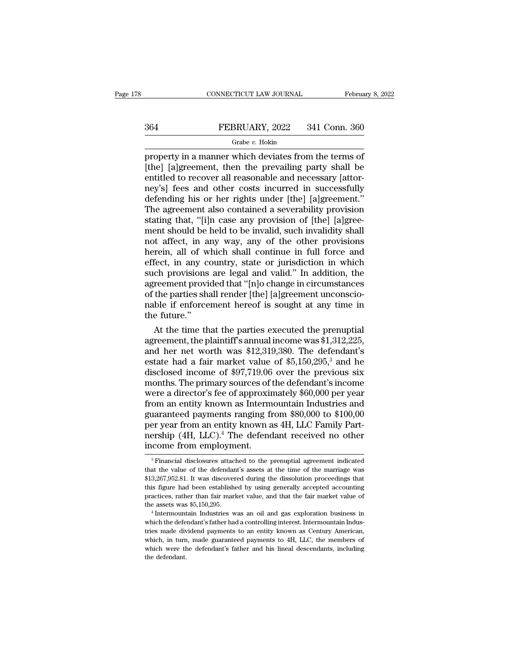# CONNECTICUT LAW JOURNAL February 8, 2022<br>364 FEBRUARY, 2022 341 Conn. 360<br>Grabe v. Hokin

### Grabe *v.* Hokin

February 8, 202<br>
Property in a manner which deviates from the terms of<br>
property in a manner which deviates from the terms of<br>
[the] [a]greement, then the prevailing party shall be<br>
entitled to recover all reasonable and n  $\begin{array}{r} \text{364} & \text{FEBRUARY, 2022} & \text{341 Conn. } 360 \\ \text{464} & \text{47} & \text{48} \\ \text{57} & \text{48} & \text{49} \\ \text{58} & \text{49} & \text{49} \\ \text{58} & \text{49} & \text{49} \\ \text{59} & \text{49} & \text{49} \\ \text{50} & \text{49} & \text{49} \\ \text{50} & \text{49} & \text{49} \\ \text{51} & \text{40} & \text{40} \\ \text{52} &$ EEBRUARY, 2022 341 Conn. 360<br>
FEBRUARY, 2022 341 Conn. 360<br>
property in a manner which deviates from the terms of<br>
[the] [a]greement, then the prevailing party shall be<br>
entitled to recover all reasonable and necessary [a  $\begin{tabular}{l} \multicolumn{1}{l}{{\bf FEBRUARY, 2022}} & \multicolumn{1}{l}{341}\,\,{\rm Conn.}\,\, {\bf 360} \\\hline \hline \end{tabular}$  $\frac{G_{\text{Table }v}}{G_{\text{Table }v}}$  Hokin<br>property in a manner which deviates from the terms of<br>[the] [a]greement, then the prevailing party shall be<br>entitled to recover all reasonable and necessary [attor-<br>ney's] fees and other cos Grabe v. Hokin<br>property in a manner which deviates from the terms of<br>[the] [a]greement, then the prevailing party shall be<br>entitled to recover all reasonable and necessary [attor-<br>ney's] fees and other costs incurred in s property in a manner which deviates from the terms of<br>[the] [a]greement, then the prevailing party shall be<br>entitled to recover all reasonable and necessary [attor-<br>ney's] fees and other costs incurred in successfully<br>defe [the] [a]greement, then the prevailing party shall be<br>entitled to recover all reasonable and necessary [attor-<br>ney's] fees and other costs incurred in successfully<br>defending his or her rights under [the] [a]greement."<br>The entitled to recover all reasonable and necessary [attor-<br>ney's] fees and other costs incurred in successfully<br>defending his or her rights under [the] [a]greement."<br>The agreement also contained a severability provision<br>stat ney's] fees and other costs incurred in successfully<br>defending his or her rights under [the] [a]greement."<br>The agreement also contained a severability provision<br>stating that, "[i]n case any provision of [the] [a]gree-<br>ment defending his or her rights under [the] [a]greement."<br>The agreement also contained a severability provision<br>stating that, "[i]n case any provision of [the] [a]gree-<br>ment should be held to be invalid, such invalidity shall<br> The agreement also contained a severability provision<br>stating that, "[i]n case any provision of [the] [a]gree-<br>ment should be held to be invalid, such invalidity shall<br>not affect, in any way, any of the other provisions<br>he stating that, "[i]n case any provision of [the] [a]greement should be held to be invalid, such invalidity shall<br>not affect, in any way, any of the other provisions<br>herein, all of which shall continue in full force and<br>effe ment should be held to be invalid, such invalidity shall<br>not affect, in any way, any of the other provisions<br>herein, all of which shall continue in full force and<br>effect, in any country, state or jurisdiction in which<br>such not affect, in any way, any of the other provisions<br>herein, all of which shall continue in full force and<br>effect, in any country, state or jurisdiction in which<br>such provisions are legal and valid." In addition, the<br>agreem herein, all of w<br>effect, in any c<br>such provisions<br>agreement provi<br>of the parties sh<br>nable if enforce<br>the future."<br>At the time th Fect, in any country, state or jurisdiction in which<br>ch provisions are legal and valid." In addition, the<br>reement provided that "[n]o change in circumstances<br>the parties shall render [the] [a]greement unconscio-<br>ble if en such provisions are legal and valid." In addition, the<br>agreement provided that "[n]o change in circumstances<br>of the parties shall render [the] [a]greement unconscio-<br>nable if enforcement hereof is sought at any time in<br>th

agreement provided that "[n]o change in circumstances<br>of the parties shall render [the] [a]greement unconscio-<br>nable if enforcement hereof is sought at any time in<br>the future."<br>At the time that the parties executed the pr of the parties shall render [the] [a]greement unconscionable if enforcement hereof is sought at any time in<br>the future."<br>At the time that the parties executed the prenuptial<br>agreement, the plaintiff's annual income was \$1 mable if enforcement hereof is sought at any time in<br>the future."<br>At the time that the parties executed the prenuptial<br>agreement, the plaintiff's annual income was \$1,312,225,<br>and her net worth was \$12,319,380. The defend the future."<br>
At the time that the parties executed the prenuptial<br>
agreement, the plaintiff's annual income was \$1,312,225,<br>
and her net worth was \$12,319,380. The defendant's<br>
estate had a fair market value of \$5,150,29 At the time that the parties executed the prenuptial<br>agreement, the plaintiff's annual income was \$1,312,225,<br>and her net worth was \$12,319,380. The defendant's<br>estate had a fair market value of \$5,150,295,<sup>3</sup> and he<br>disc agreement, the plaintiff's annual income was \$1,312,225,<br>and her net worth was \$12,319,380. The defendant's<br>estate had a fair market value of \$5,150,295,<sup>3</sup> and he<br>disclosed income of \$97,719.06 over the previous six<br>mont and her net worth was \$12,319,380. The defendant's<br>estate had a fair market value of \$5,150,295,<sup>3</sup> and he<br>disclosed income of \$97,719.06 over the previous six<br>months. The primary sources of the defendant's income<br>were a estate had a fair market value of \$5,150,295,<sup>3</sup> and he<br>disclosed income of \$97,719.06 over the previous six<br>months. The primary sources of the defendant's income<br>were a director's fee of approximately \$60,000 per year<br>fro disclosed income of \$97,719.06 over the previous six<br>months. The primary sources of the defendant's income<br>were a director's fee of approximately \$60,000 per year<br>from an entity known as Intermountain Industries and<br>guaran months. The primary sources of<br>were a director's fee of approxin<br>from an entity known as Interm<br>guaranteed payments ranging fi<br>per year from an entity known a<br>nership (4H, LLC).<sup>4</sup> The defend<br>income from employment. Laranteed payments ranging from \$80,000 to \$100,00<br>
er year from an entity known as 4H, LLC Family Part-<br>
ership (4H, LLC).<sup>4</sup> The defendant received no other<br>
come from employment.<br>
<sup>3</sup> Financial disclosures attached to per year from an entity known as 4H, LLC Family Part-<br>nership (4H, LLC).<sup>4</sup> The defendant received no other<br>income from employment.<br><sup>3</sup> Financial disclosures attached to the prenuptial agreement indicated<br>that the value of mership (4H, LLC).<sup>4</sup> The defendant received no other<br>income from employment.<br> $\frac{1}{\sqrt[3]{\text{Financial disclosures attached to the premuptial agreement indicated}}}$ 

The streship (TH, 2009). The determinant received no other<br>income from employment.<br><sup>3</sup> Financial disclosures attached to the prenuptial agreement indicated<br>that the value of the defendant's assets at the time of the marria that the value of the defendant's assets at the time of the marriage was  $$13,267,952.81$ . It was discovered during the dissolution proceedings that this figure had been established by using generally accepted accounting <sup>3</sup> Financial disclosures attached to the prenuptial agreement indicated that the value of the defendant's assets at the time of the marriage was \$13,267,952.81. It was discovered during the dissolution proceedings that t  $\$13,267,952.81.$  It was discovered during the dissolution proceedings that this figure had been established by using generally accepted accounting practices, rather than fair market value, and that the fair market value

this figure had been established by using generally accepted accounting<br>practices, rather than fair market value, and that the fair market value of<br>the assets was \$5,150,295.<br>
<sup>4</sup> Intermountain Industries was an oil and ga practices, rather than fair market value, and that the fair market value of the assets was  $$5,150,295$ .<br>
"Intermountain Industries was an oil and gas exploration business in which the defendant's father had a controlling Free assets was \$5,150,295.<br>
the assets was \$5,150,295.<br>
<sup>4</sup> Intermountain Industries was an oil and gas exploration business in<br>
which the defendant's father had a controlling interest. Intermountain Indus-<br>
tries made di which the defendant's father had a controlling interest. Intermountain Indus-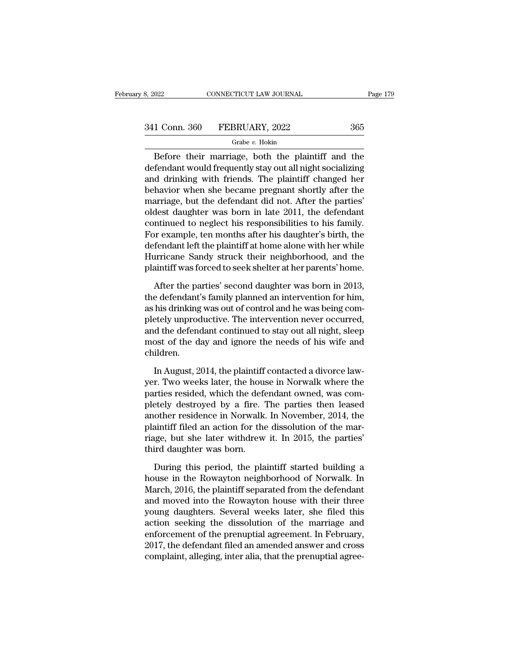### Grabe *v.* Hokin

 $\begin{array}{r|l} \hline \text{022} & \text{CONNETICUT LAW JOURNAL} & \text{Page 179} \ \hline \end{array}$ <br>
1 Conn. 360 FEBRUARY, 2022 365 Grabe v. Hokin<br>
Before their marriage, both the plaintiff and the fendant would frequently stay out all night socializing<br>
d drinking  $\begin{array}{r} \text{341 Conn. } 360 \quad \text{FEBRUARY, } 2022 \quad \text{365} \\ \text{601} \quad \text{Grabe } v. \text{ Hokin} \end{array}$  Before their marriage, both the plaintiff and the defendant would frequently stay out all night socializing and drinking with friends. The plain 341 Conn. 360 FEBRUARY, 2022 365<br>
Grabe v. Hokin<br>
Before their marriage, both the plaintiff and the<br>
defendant would frequently stay out all night socializing<br>
and drinking with friends. The plaintiff changed her<br>
behavio  $\begin{array}{r} \text{341 Conn. } 360 \quad \text{FEBRUARY, } 2022 \quad \text{365} \\ \hline \text{Before their marriage, both the plaintiff and the defendant would frequently stay out all night socializing and drinking with friends. The plaintiff changed her behavior when she became pregnant shortly after the marriage, but the defendant did not. After the parties' oldest daughter was born in late 2011, the defendant. } \end{array}$  $\frac{Grabe}{e}$ . Hokin<br>Before their marriage, both the plaintiff and the<br>defendant would frequently stay out all night socializing<br>and drinking with friends. The plaintiff changed her<br>behavior when she became pregnant shortly **State v. Hokin**<br>
Before their marriage, both the plaintiff and the<br>
defendant would frequently stay out all night socializing<br>
and drinking with friends. The plaintiff changed her<br>
behavior when she became pregnant short Before their marriage, both the plaintiff and the<br>defendant would frequently stay out all night socializing<br>and drinking with friends. The plaintiff changed her<br>behavior when she became pregnant shortly after the<br>marriage, defendant would frequently stay out all night socializing<br>and drinking with friends. The plaintiff changed her<br>behavior when she became pregnant shortly after the<br>marriage, but the defendant did not. After the parties'<br>old and drinking with friends. The plaintiff changed her<br>behavior when she became pregnant shortly after the<br>marriage, but the defendant did not. After the parties'<br>oldest daughter was born in late 2011, the defendant<br>continue behavior when she became pregnant shortly after the<br>marriage, but the defendant did not. After the parties'<br>oldest daughter was born in late 2011, the defendant<br>continued to neglect his responsibilities to his family.<br>For marriage, but the defendant did not. After the parties'<br>oldest daughter was born in late 2011, the defendant<br>continued to neglect his responsibilities to his family.<br>For example, ten months after his daughter's birth, the<br> ntinued to neglect his responsibilities to his family.<br>
In example, ten months after his daughter's birth, the<br>
fendant left the plaintiff at home alone with her while<br>
urricane Sandy struck their neighborhood, and the<br>
ai For example, ten months after his daughter's birth, the<br>defendant left the plaintiff at home alone with her while<br>Hurricane Sandy struck their neighborhood, and the<br>plaintiff was forced to seek shelter at her parents' home

defendant left the plaintiff at home alone with her while<br>Hurricane Sandy struck their neighborhood, and the<br>plaintiff was forced to seek shelter at her parents' home.<br>After the parties' second daughter was born in 2013,<br>t Hurricane Sandy struck their neighborhood, and the plaintiff was forced to seek shelter at her parents' home.<br>After the parties' second daughter was born in 2013, the defendant's family planned an intervention for him, as plaintiff was forced to seek shelter at her parents' home.<br>After the parties' second daughter was born in 2013,<br>the defendant's family planned an intervention for him,<br>as his drinking was out of control and he was being co After the parties' second daughter was born in 2013,<br>the defendant's family planned an intervention for him,<br>as his drinking was out of control and he was being com-<br>pletely unproductive. The intervention never occurred,<br>a children. his drinking was out of control and he was being com-<br>teely unproductive. The intervention never occurred,<br>d the defendant continued to stay out all night, sleep<br>ost of the day and ignore the needs of his wife and<br>ildren.<br> pletely unproductive. The intervention never occurred,<br>and the defendant continued to stay out all night, sleep<br>most of the day and ignore the needs of his wife and<br>children.<br>In August, 2014, the plaintiff contacted a divo

and the defendant continued to stay out all night, sleep<br>most of the day and ignore the needs of his wife and<br>children.<br>In August, 2014, the plaintiff contacted a divorce law-<br>yer. Two weeks later, the house in Norwalk wh most of the day and ignore the needs of his wife and<br>children.<br>In August, 2014, the plaintiff contacted a divorce law-<br>yer. Two weeks later, the house in Norwalk where the<br>parties resided, which the defendant owned, was co children.<br>
In August, 2014, the plaintiff contacted a divorce law-<br>
yer. Two weeks later, the house in Norwalk where the<br>
parties resided, which the defendant owned, was com-<br>
pletely destroyed by a fire. The parties then In August, 2014, the plaintiff contacted a divorce law-<br>yer. Two weeks later, the house in Norwalk where the<br>parties resided, which the defendant owned, was com-<br>pletely destroyed by a fire. The parties then leased<br>another In August, 2014, the plaintiff contacted a divorce law-<br>yer. Two weeks later, the house in Norwalk where the<br>parties resided, which the defendant owned, was com-<br>pletely destroyed by a fire. The parties then leased<br>another yer. Two weeks later, the hous<br>parties resided, which the defe<br>pletely destroyed by a fire. T<br>another residence in Norwalk.<br>plaintiff filed an action for the<br>riage, but she later withdrew<br>third daughter was born.<br>During th etely destroyed by a fire. The parties then leased<br>other residence in Norwalk. In November, 2014, the<br>aintiff filed an action for the dissolution of the mar-<br>uge, but she later withdrew it. In 2015, the parties'<br>ird daught another residence in Norwalk. In November, 2014, the<br>plaintiff filed an action for the dissolution of the mar-<br>riage, but she later withdrew it. In 2015, the parties'<br>third daughter was born.<br>During this period, the plaint

plaintiff filed an action for the dissolution of the marriage, but she later withdrew it. In 2015, the parties'<br>third daughter was born.<br>During this period, the plaintiff started building a<br>house in the Rowayton neighborho riage, but she later withdrew it. In 2015, the parties'<br>third daughter was born.<br>During this period, the plaintiff started building a<br>house in the Rowayton neighborhood of Norwalk. In<br>March, 2016, the plaintiff separated f third daughter was born.<br>
During this period, the plaintiff started building a<br>
house in the Rowayton neighborhood of Norwalk. In<br>
March, 2016, the plaintiff separated from the defendant<br>
and moved into the Rowayton house During this period, the plaintiff started building a<br>house in the Rowayton neighborhood of Norwalk. In<br>March, 2016, the plaintiff separated from the defendant<br>and moved into the Rowayton house with their three<br>young daught During this period, the plaintiff started building a<br>house in the Rowayton neighborhood of Norwalk. In<br>March, 2016, the plaintiff separated from the defendant<br>and moved into the Rowayton house with their three<br>young daught house in the Rowayton neighborhood of Norwalk. In<br>March, 2016, the plaintiff separated from the defendant<br>and moved into the Rowayton house with their three<br>young daughters. Several weeks later, she filed this<br>action seeki March, 2016, the plaintiff separated from the defendant<br>and moved into the Rowayton house with their three<br>young daughters. Several weeks later, she filed this<br>action seeking the dissolution of the marriage and<br>enforcement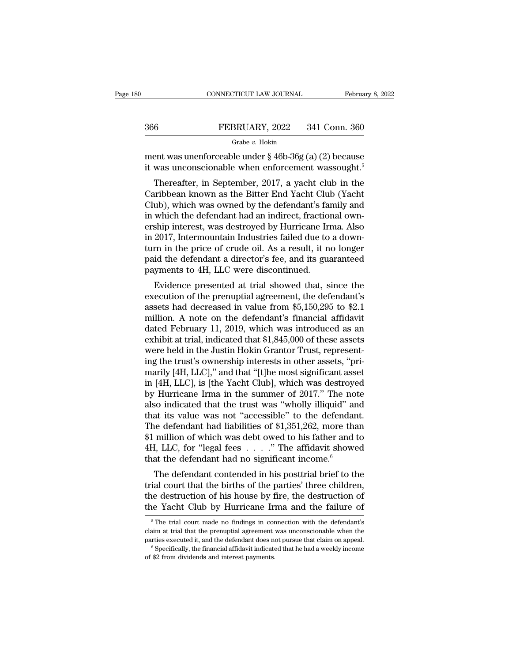|     | CONNECTICUT LAW JOURNAL                                                                                                                                                    | February 8, 2022 |
|-----|----------------------------------------------------------------------------------------------------------------------------------------------------------------------------|------------------|
|     |                                                                                                                                                                            |                  |
| 366 | FEBRUARY, 2022                                                                                                                                                             | 341 Conn. 360    |
|     | Grabe v. Hokin                                                                                                                                                             |                  |
|     | ment was unenforceable under $\S 46b-36g (a) (2)$ because<br>it was unconscionable when enforcement was sought. <sup>5</sup>                                               |                  |
|     | Thereafter, in September, 2017, a yacht club in the<br>Caribbean known as the Bitter End Yacht Club (Yacht<br>$\binom{n}{k}$ which was owned by the defendant's family and |                  |

366 FEBRUARY, 2022 341 Conn. 360<br>
Grabe v. Hokin<br>
ment was unenforceable under § 46b-36g (a) (2) because<br>
it was unconscionable when enforcement wassought.<sup>5</sup><br>
Thereafter, in September, 2017, a yacht club in the<br>
Caribbea Grabe v. Hokin<br>
ment was unconscionable under § 46b-36g (a) (2) because<br>
it was unconscionable when enforcement wassought.<sup>5</sup><br>
Thereafter, in September, 2017, a yacht club in the<br>
Caribbean known as the Bitter End Yacht C ment was unenforceable under  $\S$  46b-36g (a) (2) because<br>it was unconscionable when enforcement wassought.<sup>5</sup><br>Thereafter, in September, 2017, a yacht club in the<br>Caribbean known as the Bitter End Yacht Club (Yacht<br>Club), Fractional means interesting the effective of crude oil  $\Lambda$  and  $\Lambda$  are proportional means of the Caribbean known as the Bitter End Yacht Club (Yacht Club), which was owned by the defendant's family and in which the def It was unconscionable when emorcement was<br>sought.<br>Thereafter, in September, 2017, a yacht club in the<br>Caribbean known as the Bitter End Yacht Club (Yacht<br>Club), which was owned by the defendant's family and<br>in which the de Thereafter, in September, 2017, a yacht club in the<br>Caribbean known as the Bitter End Yacht Club (Yacht<br>Club), which was owned by the defendant's family and<br>in which the defendant had an indirect, fractional own-<br>ership in Caribbean known as the Bitter End Yacht Club (Yacht Club), which was owned by the defendant's family and in which the defendant had an indirect, fractional ownership interest, was destroyed by Hurricane Irma. Also in 2017, Club), which was owned by the defendant's fain which the defendant had an indirect, fraction ership interest, was destroyed by Hurricane Iri 2017, Intermountain Industries failed due to turn in the price of crude oil. As a which the defendant had an indirect, fractional own-<br>ship interest, was destroyed by Hurricane Irma. Also<br>2017, Intermountain Industries failed due to a down-<br>rn in the price of crude oil. As a result, it no longer<br>id the ersinp interest, was destroyed by ridiricate final. Also<br>in 2017, Intermountain Industries failed due to a down-<br>turn in the price of crude oil. As a result, it no longer<br>paid the defendant a director's fee, and its guara

m 2017, intermountain mutstries raned due to a down-<br>turn in the price of crude oil. As a result, it no longer<br>paid the defendant a director's fee, and its guaranteed<br>payments to 4H, LLC were discontinued.<br>Evidence presen paid the defendant a director's fee, and its guaranteed<br>payments to 4H, LLC were discontinued.<br>Evidence presented at trial showed that, since the<br>execution of the prenuptial agreement, the defendant's<br>assets had decreased para the defendant a different stee, and its guaranteed<br>payments to 4H, LLC were discontinued.<br>Evidence presented at trial showed that, since the<br>execution of the prenuptial agreement, the defendant's<br>assets had decreased payments to 411, LEC were discontinued.<br>
Evidence presented at trial showed that, since the<br>
execution of the prenuptial agreement, the defendant's<br>
assets had decreased in value from \$5,150,295 to \$2.1<br>
million. A note on Evidence presented at trial showed that, since the execution of the prenuptial agreement, the defendant's assets had decreased in value from \$5,150,295 to \$2.1 million. A note on the defendant's financial affidavit dated execution of the prenuptial agreement, the defendant's<br>assets had decreased in value from \$5,150,295 to \$2.1<br>million. A note on the defendant's financial affidavit<br>dated February 11, 2019, which was introduced as an<br>exhibi assets had decreased in value from \$5,150,295 to \$2.1<br>million. A note on the defendant's financial affidavit<br>dated February 11, 2019, which was introduced as an<br>exhibit at trial, indicated that \$1,845,000 of these assets<br>w million. A note on the defendant's financial affidavit<br>dated February 11, 2019, which was introduced as an<br>exhibit at trial, indicated that \$1,845,000 of these assets<br>were held in the Justin Hokin Grantor Trust, representdated February 11, 2019, which was introduced as an exhibit at trial, indicated that \$1,845,000 of these assets<br>were held in the Justin Hokin Grantor Trust, representing the trust's ownership interests in other assets, "pr exhibit at trial, indicated that \$1,845,000 of these assets<br>were held in the Justin Hokin Grantor Trust, represent-<br>ing the trust's ownership interests in other assets, "pri-<br>marily [4H, LLC]," and that "[t]he most signifi were held in the Justin Hokin Grantor Trust, represent-<br>ing the trust's ownership interests in other assets, "pri-<br>marily [4H, LLC]," and that "[t]he most significant asset<br>in [4H, LLC], is [the Yacht Club], which was dest ing the trust's ownership interests in other assets, "pri-<br>marily [4H, LLC]," and that "[t]he most significant asset<br>in [4H, LLC], is [the Yacht Club], which was destroyed<br>by Hurricane Irma in the summer of 2017." The note marily [4H, LLC]," and that "[t]he most significant asset<br>in [4H, LLC], is [the Yacht Club], which was destroyed<br>by Hurricane Irma in the summer of 2017." The note<br>also indicated that the trust was "wholly illiquid" and<br>t in [4H, LLC], is [the Yacht Club], which was destroyed<br>by Hurricane Irma in the summer of 2017." The note<br>also indicated that the trust was "wholly illiquid" and<br>that its value was not "accessible" to the defendant.<br>The d by Hurricane Irma in the summer of 2017." The note<br>also indicated that the trust was "wholly illiquid" and<br>that its value was not "accessible" to the defendant.<br>The defendant had liabilities of \$1,351,262, more than<br>\$1 mi and its value was not "accessible" to the defendant.<br>
Le defendant had liabilities of \$1,351,262, more than<br>
million of which was debt owed to his father and to<br>
L, LLC, for "legal fees  $\dots$ ." The affidavit showed<br>
at the The defendant had liabilities of \$1,351,262, more than<br>\$1 million of which was debt owed to his father and to<br>4H, LLC, for "legal fees  $\dots$ ." The affidavit showed<br>that the defendant had no significant income.<sup>6</sup><br>The defen

The defendant had habilities of  $\ast$ 1,551,202, fliore than<br>\$1 million of which was debt owed to his father and to<br>4H, LLC, for "legal fees  $\ldots$ ." The affidavit showed<br>that the defendant had no significant income.<sup>6</sup><br>The  $4H$ , LLC, for "legal fees  $\ldots$ ." The affidavit showed<br>that the defendant had no significant income.<sup>6</sup><br>The defendant contended in his posttrial brief to the<br>trial court that the births of the parties' three children,<br>th trial court that the births of the parties' three children,<br>the destruction of his house by fire, the destruction of<br>the Yacht Club by Hurricane Irma and the failure of<br> $\frac{1}{\pi}$ The trial court made no findings in connec trial court that the births of the parties' three children,<br>the destruction of his house by fire, the destruction of<br>the Yacht Club by Hurricane Irma and the failure of<br><sup>5</sup>The trial court made no findings in connection wit

the destruction of his house by fire, the destruction of the Yacht Club by Hurricane Irma and the failure of  $\frac{1}{\pi}$  The trial court made no findings in connection with the defendant's claim at trial that the prenuptia The Fractic City by Fituricante Intervalse and the set of the set of the present parties executed it, and the defendant does not approximate in the set of \$2 from dividends and interest payments.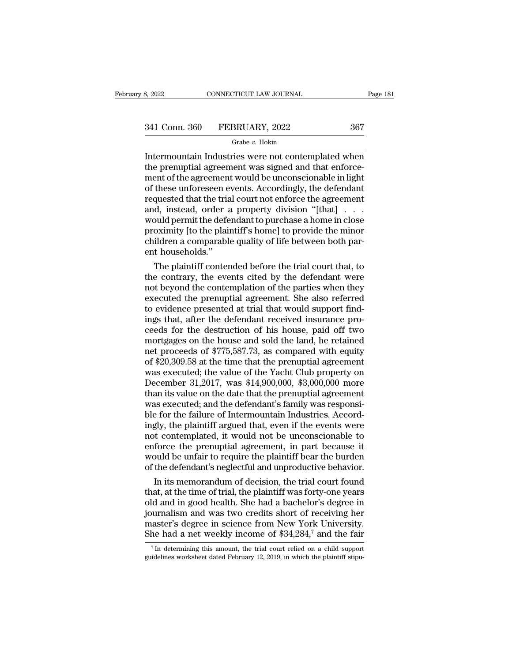| 3, 2022       | CONNECTICUT LAW JOURNAL | Page 181 |  |
|---------------|-------------------------|----------|--|
|               |                         |          |  |
| 341 Conn. 360 | FEBRUARY, 2022          | 367      |  |
|               | Grabe v. Hokin          |          |  |

### Grabe *v.* Hokin

EXECTE SAN SAN SURIAL Page 181<br>
Intermountain Industries were not contemplated when<br>
the prenuptial agreement was signed and that enforcement of the agreement would be unconscioushed in light 367<br>
The prenuptial agreement was signed and that enforce-<br>
The prenuptial agreement was signed and that enforce-<br>
ment of the agreement would be unconscionable in light<br>
of these unforeseen events. Accordingly, the defen  $\begin{array}{r} \text{341 Conn. } 360 \qquad \text{FEBRUARY, } 2022 \qquad \qquad 367 \ \text{Grabe } v. \text{ Hokin} \end{array}$ Intermountain Industries were not contemplated when the prenuptial agreement was signed and that enforcement of the agreement would be unconscionable i 341 Conn. 360 FEBRUARY, 2022 367<br>
Grabe v. Hokin<br>
Intermountain Industries were not contemplated when<br>
the prenuptial agreement was signed and that enforce-<br>
ment of the agreement would be unconscionable in light<br>
of thes requested that the trial court not enforce the agreement  $\begin{array}{l} \text{Grabe }v. \text{ Hokin} \\ \text{Intermountain Industries were not contemplated when} \\ \text{the premuptial agreement was signed and that enforcement of the agreement would be unconscionale in light} \\ \text{of these unforeseen events. Accordingly, the defendant} \\ \text{requested that the trial court not enforce the agreement} \\ \text{and, instead, order a property division "[that] . . .} \\ \text{would permit the defendant to purchase a home in close} \\ \text{provimity} \\ \text{Ito the plaintiff's homel to provide the minor} \end{array}$ Intermountain Industries were not contemplated when<br>the prenuptial agreement was signed and that enforce-<br>ment of the agreement would be unconscionable in light<br>of these unforeseen events. Accordingly, the defendant<br>reques the prenuptial agreement was signed and that enforce-<br>ment of the agreement would be unconscionable in light<br>of these unforeseen events. Accordingly, the defendant<br>requested that the trial court not enforce the agreement<br>a ment of the agreement would be unconscionable in light<br>of these unforeseen events. Accordingly, the defendant<br>requested that the trial court not enforce the agreement<br>and, instead, order a property division "[that] . . .<br>w of these unforeseen e<br>requested that the tria<br>and, instead, order a<br>would permit the defe<br>proximity [to the plain<br>children a comparable<br>ent households.''<br>The plaintiff conter quested that the trial court not enforce the agreement<br>d, instead, order a property division "[that] . . .<br>buld permit the defendant to purchase a home in close<br>oximity [to the plaintiff's home] to provide the minor<br>ildren and, instead, order a property division "[that] . . .<br>would permit the defendant to purchase a home in close<br>proximity [to the plaintiff's home] to provide the minor<br>children a comparable quality of life between both par-<br>

would permit the defendant to purchase a home in close<br>proximity [to the plaintiff's home] to provide the minor<br>children a comparable quality of life between both par-<br>ent households."<br>The plaintiff contended before the tr proximity [to the plaintiff's home] to provide the minor<br>children a comparable quality of life between both par-<br>ent households."<br>The plaintiff contended before the trial court that, to<br>the contrary, the events cited by th children a comparable quality of life between both parent households."<br>The plaintiff contended before the trial court that, to<br>the contrary, the events cited by the defendant were<br>not beyond the contemplation of the partie ent households."<br>The plaintiff contended before the trial court that, to<br>the contrary, the events cited by the defendant were<br>not beyond the contemplation of the parties when they<br>executed the prenuptial agreement. She als The plaintiff contended before the trial court that, to<br>the contrary, the events cited by the defendant were<br>not beyond the contemplation of the parties when they<br>executed the prenuptial agreement. She also referred<br>to ev the contrary, the events cited by the defendant were<br>not beyond the contemplation of the parties when they<br>executed the prenuptial agreement. She also referred<br>to evidence presented at trial that would support find-<br>ings t not beyond the contemplation of the parties when they<br>executed the prenuptial agreement. She also referred<br>to evidence presented at trial that would support find-<br>ings that, after the defendant received insurance pro-<br>ceed executed the prenuptial agreement. She also referred<br>to evidence presented at trial that would support find-<br>ings that, after the defendant received insurance pro-<br>ceeds for the destruction of his house, paid off two<br>mort to evidence presented at trial that would support find-<br>ings that, after the defendant received insurance pro-<br>ceeds for the destruction of his house, paid off two<br>mortgages on the house and sold the land, he retained<br>net ings that, after the defendant received insurance proceeds for the destruction of his house, paid off two<br>mortgages on the house and sold the land, he retained<br>net proceeds of \$775,587.73, as compared with equity<br>of \$20,30 ceeds for the destruction of his house, paid off two<br>mortgages on the house and sold the land, he retained<br>net proceeds of \$775,587.73, as compared with equity<br>of \$20,309.58 at the time that the prenuptial agreement<br>was ex mortgages on the house and sold the land, he retained<br>net proceeds of \$775,587.73, as compared with equity<br>of \$20,309.58 at the time that the prenuptial agreement<br>was executed; the value of the Yacht Club property on<br>Decem net proceeds of \$775,587.73, as compared with equity<br>of \$20,309.58 at the time that the prenuptial agreement<br>was executed; the value of the Yacht Club property on<br>December 31,2017, was \$14,900,000, \$3,000,000 more<br>than its of \$20,309.58 at the time that the prenuptial agreement<br>was executed; the value of the Yacht Club property on<br>December 31,2017, was \$14,900,000, \$3,000,000 more<br>than its value on the date that the prenuptial agreement<br>was was executed; the value of the Yacht Club property on<br>December 31,2017, was \$14,900,000, \$3,000,000 more<br>than its value on the date that the prenuptial agreement<br>was executed; and the defendant's family was responsi-<br>ble f December 31,2017, was \$14,900,000, \$3,000,000 more<br>than its value on the date that the prenuptial agreement<br>was executed; and the defendant's family was responsi-<br>ble for the failure of Intermountain Industries. Accord-<br>i than its value on the date that the prenuptial agreement<br>was executed; and the defendant's family was responsi-<br>ble for the failure of Intermountain Industries. Accord-<br>ingly, the plaintiff argued that, even if the events was executed; and the defendant's family was responsi-<br>ble for the failure of Intermountain Industries. Accord-<br>ingly, the plaintiff argued that, even if the events were<br>not contemplated, it would not be unconscionable to<br> e for the failure of Intermountain Industries. Accord-<br>gly, the plaintiff argued that, even if the events were<br>to contemplated, it would not be unconscionable to<br>force the prenuptial agreement, in part because it<br>build be ingly, the plaintiff argued that, even if the events were<br>not contemplated, it would not be unconscionable to<br>enforce the prenuptial agreement, in part because it<br>would be unfair to require the plaintiff bear the burden<br>of

not contemplated, it would not be unconscionable to<br>enforce the prenuptial agreement, in part because it<br>would be unfair to require the plaintiff bear the burden<br>of the defendant's neglectful and unproductive behavior.<br>In enforce the prenuptial agreement, in part because it<br>would be unfair to require the plaintiff bear the burden<br>of the defendant's neglectful and unproductive behavior.<br>In its memorandum of decision, the trial court found<br>t would be unfair to require the plaintiff bear the burden<br>of the defendant's neglectful and unproductive behavior.<br>In its memorandum of decision, the trial court found<br>that, at the time of trial, the plaintiff was forty-one of the defendant's neglectful and unproductive behavior.<br>
In its memorandum of decision, the trial court found<br>
that, at the time of trial, the plaintiff was forty-one years<br>
old and in good health. She had a bachelor's d Id and in good health. She had a bachelor's degree in vurnalism and was two credits short of receiving her aster's degree in science from New York University.<br>he had a net weekly income of \$34,284,<sup>7</sup> and the fair  $\frac{7}{1$ guidelines and was two credits short of receiving her master's degree in science from New York University.<br>She had a net weekly income of \$34,284,<sup>7</sup> and the fair  $\frac{7}{1}$  In determining this amount, the trial court reli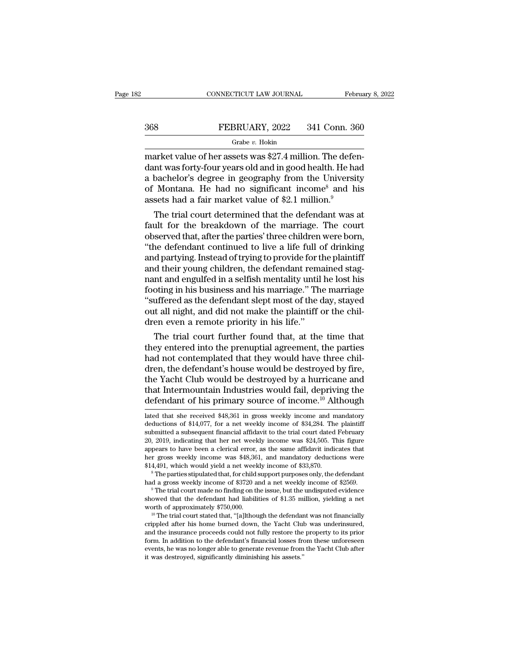### CONNECTICUT LAW JOURNAL February 8, 2022<br>368 FEBRUARY, 2022 341 Conn. 360<br>Grabe v. Hokin Grabe *v.* Hokin

CONNECTICUT LAW JOURNAL Februa<br>
368 FEBRUARY, 2022 341 Conn. 360<br>
Grabe v. Hokin<br>
market value of her assets was \$27.4 million. The defen-<br>
dant was forty-four years old and in good health. He had 368 FEBRUARY, 2022 341 Conn. 360<br>
Grabe v. Hokin<br>
market value of her assets was \$27.4 million. The defendant was forty-four years old and in good health. He had<br>
a bachelor's degree in geography from the University<br>
of Mo 368 FEBRUARY, 2022 341 Conn. 360<br>
Grabe v. Hokin<br>
market value of her assets was \$27.4 million. The defendant was forty-four years old and in good health. He had<br>
a bachelor's degree in geography from the University<br>
of M **S68** FEBRUARY, 2022 341 Conn. 360<br>
Grabe v. Hokin<br>
market value of her assets was \$27.4 million. The defendant was forty-four years old and in good health. He had<br>
a bachelor's degree in geography from the University<br>
of Grabe v. Hokin<br>
Grabe v. Hokin<br>
market value of her assets was \$27.4 million. The defendant was forty-four years old and in good health. He had<br>
a bachelor's degree in geography from the Universit<br>
of Montana. He had no s arket value of her assets was \$27.4 million. The defen-<br>nt was forty-four years old and in good health. He had<br>bachelor's degree in geography from the University<br>Montana. He had no significant income<sup>8</sup> and his<br>sets had a market value of her assets was \$27.4 million. The defendant was forty-four years old and in good health. He had<br>a bachelor's degree in geography from the University<br>of Montana. He had no significant income<sup>8</sup> and his<br>asse

dant was forty-four years old and in good neafth. He had<br>a bachelor's degree in geography from the University<br>of Montana. He had no significant income<sup>8</sup> and his<br>assets had a fair market value of \$2.1 million.<sup>9</sup><br>The trial a bachelor's degree in geography from the University<br>of Montana. He had no significant income<sup>8</sup> and his<br>assets had a fair market value of \$2.1 million.<sup>9</sup><br>The trial court determined that the defendant was at<br>fault for th or Montana. He nad no significant income<sup>5</sup> and his<br>assets had a fair market value of \$2.1 million.<sup>9</sup><br>The trial court determined that the defendant was at<br>fault for the breakdown of the marriage. The court<br>observed that, assets nad a fair market value of \$2.1 million."<br>The trial court determined that the defendant was at<br>fault for the breakdown of the marriage. The court<br>observed that, after the parties' three children were born,<br>"the defe The trial court determined that the defendant was at fault for the breakdown of the marriage. The court observed that, after the parties' three children were born, "the defendant continued to live a life full of drinking a fault for the breakdown of the marriage. The court<br>observed that, after the parties' three children were born,<br>"the defendant continued to live a life full of drinking<br>and partying. Instead of trying to provide for the pla observed that, after the parties' three children were born,<br>
"the defendant continued to live a life full of drinking<br>
and partying. Instead of trying to provide for the plaintiff<br>
and their young children, the defendant r "the defendant continued to live a life full of drinking<br>and partying. Instead of trying to provide for the plaintiff<br>and their young children, the defendant remained stag-<br>nant and engulfed in a selfish mentality until he and partying. Instead of trying to provide for the and their young children, the defendant rema<br>nant and engulfed in a selfish mentality until<br>footing in his business and his marriage." The<br>"suffered as the defendant slept In their young chuldren, the defendant remained stagnant and engulfed in a selfish mentality until he lost his<br>oting in his business and his marriage." The marriage<br>uffered as the defendant slept most of the day, stayed<br>t mant and enguired in a seinsh mentailty until ne lost his<br>footing in his business and his marriage." The marriage<br>"suffered as the defendant slept most of the day, stayed<br>out all night, and did not make the plaintiff or th

footing in his business and his marriage." The marriage<br>"suffered as the defendant slept most of the day, stayed<br>out all night, and did not make the plaintiff or the chil-<br>dren even a remote priority in his life."<br>The tria "suffered as the defendant slept most of the day, stayed<br>out all night, and did not make the plaintiff or the chil-<br>dren even a remote priority in his life."<br>The trial court further found that, at the time that<br>they entere out all night, and did not make the plaintiff or the chil-<br>dren even a remote priority in his life."<br>The trial court further found that, at the time that<br>they entered into the prenuptial agreement, the parties<br>had not cont dren even a remote priority in his life."<br>The trial court further found that, at the time that<br>they entered into the prenuptial agreement, the parties<br>had not contemplated that they would have three chil-<br>dren, the defenda The trial court further found that, at the time that<br>they entered into the prenuptial agreement, the parties<br>had not contemplated that they would have three chil-<br>dren, the defendant's house would be destroyed by fire,<br>th dren, the defendant's house would be destroyed by fire,<br>the Yacht Club would be destroyed by a hurricane and<br>that Intermountain Industries would fail, depriving the<br>defendant of his primary source of income.<sup>10</sup> Although<br>l the Yacht Club would be destroyed by a hurricane and<br>that Intermountain Industries would fail, depriving the<br>defendant of his primary source of income.<sup>10</sup> Although<br>lated that she received \$48,361 in gross weekly income an

that Intermountain Industries would fail, depriving the defendant of his primary source of income.<sup>10</sup> Although lated that she received \$48,361 in gross weekly income and mandatory deductions of \$14,077, for a net weekly defendant of his primary source of income.<sup>10</sup> Although<br>lated that she received \$48,361 in gross weekly income and mandatory<br>deductions of \$14,077, for a net weekly income of \$34,284. The plaintiff<br>submitted a subsequent f deductions of \$14,077, for a net weekly income of \$34,284. The plaintiff submitted a subsequent financial affidavit to the trial court dated February 20, 2019, indicating that her net weekly income was \$24,505. This figur lated that she received \$48,361 in gross weekly income and mandatory deductions of \$14,077, for a net weekly income of \$34,284. The plaintiff submitted a subsequent financial affidavit to the trial court dated February 20, faced that she received \$45,301 in gross weekly income and mandatory deductions of \$14,077, for a net weekly income of \$34,284. The plaintiff submitted a subsequent financial affidavit to the trial court dated February 20, submitted a subsequent mancial amdavit to the trial court dated rebruary<br>20, 2019, indicating that her net weekly income was \$24,505. This figure<br>appears to have been a clerical error, as the same affidavit indicates that<br>

 $^8$  The parties stipulated that, for child support purposes only, the defendant had a gross weekly income of \$2520 and a net weekly income of \$2569.<br> $^9$  The trial court made no finding on the issue, but the undisputed e ner gross weekly income was \$48,301, and mandatory deductions were \$14,491, which would yield a net weekly income of \$33,870.<br>
<sup>8</sup> The parties stipulated that, for child support purposes only, the defendant had a gross wee

The parties supulated that, for child support purposes only, the defendant had a gross weekly income of \$3720 and a net weekly income of \$2569.<br>
<sup>9</sup> The trial court made no finding on the issue, but the undisputed evidenc and a gross weekly mcome of  $\frac{1}{2}$  and a net weekly mcome of  $\frac{1}{2}$  above.<br>
<sup>9</sup> The trial court made no finding on the issue, but the undisputed evidence<br>
showed that the defendant had liabilities of \$1.35 million, For the defendant had liabilities of \$1.35 million, yielding a net worth of approximately \$750,000.<br>
<sup>10</sup> The trial court stated that, "[a]lthough the defendant was not financially crippled after his home burned down, the showed that the derendant had habilities of  $\ast$ 1.35 million, yielding a net worth of approximately  $\ast$ 750,000.<br><sup>10</sup> The trial court stated that, "[a]lthough the defendant was not financially crippled after his home burn worth of approximately  $\frac{1}{2}$  (500,000).<br>  $\frac{10}{2}$  The trial court stated that, "[a]lthough the defendar<br>
crippled after his home burned down, the Yacht Clul<br>
and the insurance proceeds could not fully restore the<br>
f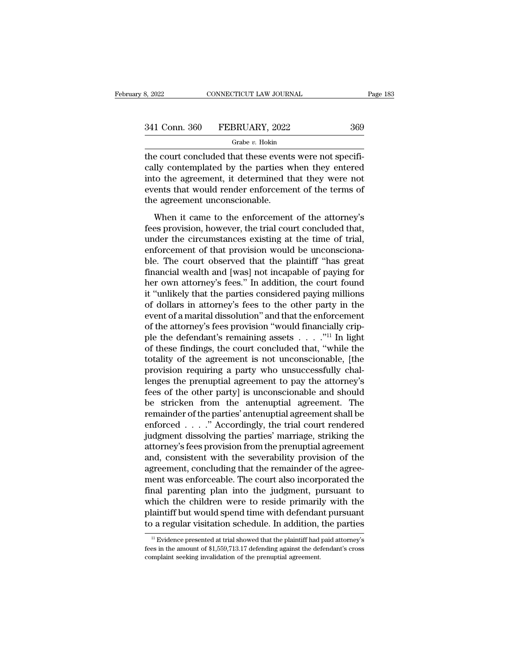| 8, 2022       | CONNECTICUT LAW JOURNAL | Page 183 |
|---------------|-------------------------|----------|
| 341 Conn. 360 | FEBRUARY, 2022          | 369      |
|               | Grabe $v$ . Hokin       |          |

the connective connective connective concluded that these events were not specifically contemplated by the parties when they entered<br>
the court concluded that these events were not specifically contemplated by the parties  $\begin{array}{r} \text{341 Conn. } 360 \quad \text{FEBRUARY, } 2022 \quad \text{369} \\ \text{601} \quad \text{602} \quad \text{603} \end{array}$  and the court concluded that these events were not specifically contemplated by the parties when they entered into the agreement, it determine  $\begin{array}{r} \text{341 Conn. } 360 \quad \text{FEBRUARY, } 2022 \quad \text{369} \\ \text{41} \quad \text{6} \quad \text{6} \quad \text{6} \quad \text{6} \quad \text{6} \quad \text{6} \quad \text{6} \quad \text{6} \quad \text{6} \quad \text{6} \quad \text{6} \quad \text{6} \quad \text{6} \quad \text{6} \quad \text{6} \quad \text{6} \quad \text{6} \quad \text{6} \quad \text{6} \quad \text{6} \quad \text{6} \quad \text{6} \quad \text{6} \quad \text{6}$ 341 Conn. 360 FEBRUARY, 2022 369<br>
Grabe v. Hokin<br>
the court concluded that these events were not specifically contemplated by the parties when they entered<br>
into the agreement, it determined that they were not<br>
events tha  $\begin{array}{c}\n\hline\n\text{Grade vector} & \text{Laplace} \\ \hline\n\end{array}$   $\begin{array}{c}\n\text{Grabe } v. \text{ Hokin} \\
\text{cally contemplated by the parties with a different, it determined the current under the agreement unconscionale.} \\
\hline\n\end{array}$   $\begin{array}{c}\n\text{When it came to the enforcement} \\
\end{array}$ e court concluded that these events were not specifi-<br>Ily contemplated by the parties when they entered<br>to the agreement, it determined that they were not<br>ents that would render enforcement of the terms of<br>e agreement unco fee coal concluded that these creats were not speem<br>cally contemplated by the parties when they entered<br>into the agreement, it determined that they were not<br>events that would render enforcement of the terms of<br>the agreemen

between the agreement, it determined that they were not<br>events that would render enforcement of the terms of<br>the agreement unconscionable.<br>When it came to the enforcement of the attorney's<br>fees provision, however, the tria mos are agreement, a determined and any were not<br>events that would render enforcement of the terms of<br>the agreement unconscionable.<br>When it came to the enforcement of the attorney's<br>fees provision, however, the trial court ble agreement unconscionable.<br>
When it came to the enforcement of the attorney's<br>
fees provision, however, the trial court concluded that,<br>
under the circumstances existing at the time of trial,<br>
enforcement of that provis When it came to the enforcement of the attorney's<br>fees provision, however, the trial court concluded that,<br>under the circumstances existing at the time of trial,<br>enforcement of that provision would be unconsciona-<br>ble. The When it came to the enforcement of the attorney's<br>fees provision, however, the trial court concluded that,<br>under the circumstances existing at the time of trial,<br>enforcement of that provision would be unconsciona-<br>ble. The fees provision, however, the trial court concluded that,<br>
under the circumstances existing at the time of trial,<br>
enforcement of that provision would be unconsciona-<br>
ble. The court observed that the plaintiff "has great<br> under the circumstances existing at the time of trial,<br>enforcement of that provision would be unconsciona-<br>ble. The court observed that the plaintiff "has great<br>financial wealth and [was] not incapable of paying for<br>her ow enforcement of that provision would be unconsciona-<br>ble. The court observed that the plaintiff "has great<br>financial wealth and [was] not incapable of paying for<br>her own attorney's fees." In addition, the court found<br>it "un ble. The court observed that the plaintiff "has great financial wealth and [was] not incapable of paying for<br>her own attorney's fees." In addition, the court found<br>it "unlikely that the parties considered paying millions<br> financial wealth and [was] not incapable of paying for<br>her own attorney's fees." In addition, the court found<br>it "unlikely that the parties considered paying millions<br>of dollars in attorney's fees to the other party in th her own attorney's fees." In addition, the court found<br>it "unlikely that the parties considered paying millions<br>of dollars in attorney's fees to the other party in the<br>event of a marital dissolution" and that the enforcem it "unlikely that the parties considered paying millions<br>of dollars in attorney's fees to the other party in the<br>event of a marital dissolution" and that the enforcement<br>of the attorney's fees provision "would financially of dollars in attorney's fees to the other party in the event of a marital dissolution" and that the enforcement of the attorney's fees provision "would financially cripple the defendant's remaining assets  $\dots$ ."<sup>11</sup> In l event of a marital dissolution" and that the enforcement<br>of the attorney's fees provision "would financially crip-<br>ple the defendant's remaining assets  $\ldots$ ."<sup>11</sup> In light<br>of these findings, the court concluded that, "wh of the attorney's fees provision "would financially crip-<br>ple the defendant's remaining assets  $\ldots$ ."<sup>11</sup> In light<br>of these findings, the court concluded that, "while the<br>totality of the agreement is not unconscionable, ple the defendant's remaining assets  $\ldots$  ..."<sup>11</sup> In light<br>of these findings, the court concluded that, "while the<br>totality of the agreement is not unconscionable, [the<br>provision requiring a party who unsuccessfully cha of these findings, the court concluded that, "while the<br>totality of the agreement is not unconscionable, [the<br>provision requiring a party who unsuccessfully chal-<br>lenges the prenuptial agreement to pay the attorney's<br>fees totality of the agreement is not unconscionable, [the<br>provision requiring a party who unsuccessfully chal-<br>lenges the prenuptial agreement to pay the attorney's<br>fees of the other party] is unconscionable and should<br>be stri provision requiring a party who unsuccessfully chal-<br>lenges the prenuptial agreement to pay the attorney's<br>fees of the other party] is unconscionable and should<br>be stricken from the antenuptial agreement. The<br>remainder of lenges the prenuptial agreement to pay the attorney's<br>fees of the other party] is unconscionable and should<br>be stricken from the antenuptial agreement. The<br>remainder of the parties' antenuptial agreement shall be<br>enforced fees of the other party] is unconscionable and should<br>be stricken from the antenuptial agreement. The<br>remainder of the parties' antenuptial agreement shall be<br>enforced . . . . . " Accordingly, the trial court rendered<br>judg be stricken from the antenuptial agreement. The remainder of the parties' antenuptial agreement shall be enforced  $\ldots$  ." Accordingly, the trial court rendered judgment dissolving the parties' marriage, striking the atto remainder of the parties' antenuptial agreement shall be<br>enforced  $\ldots$ ." Accordingly, the trial court rendered<br>judgment dissolving the parties' marriage, striking the<br>attorney's fees provision from the prenuptial agreeme enforced  $\ldots$  ." Accordingly, the trial court rendered<br>judgment dissolving the parties' marriage, striking the<br>attorney's fees provision from the prenuptial agreement<br>and, consistent with the severability provision of th judgment dissolving the parties' marriage, striking the<br>attorney's fees provision from the prenuptial agreement<br>and, consistent with the severability provision of the<br>agreement, concluding that the remainder of the agree-<br> attorney's fees provision from the prenuptial agreement<br>and, consistent with the severability provision of the<br>agreement, concluding that the remainder of the agree-<br>ment was enforceable. The court also incorporated the<br>fi and, consistent with the severability provision of the agreement, concluding that the remainder of the agreement was enforceable. The court also incorporated the final parenting plan into the judgment, pursuant to which th mal parenting plan into the judgment, pursuant to<br>hich the children were to reside primarily with the<br>laintiff but would spend time with defendant pursuant<br>at at trial showed that the plaintiff had paid attorney's<br> $\frac{11}{$ which the children were to reside primarily with the plaintiff but would spend time with defendant pursuant to a regular visitation schedule. In addition, the parties  $\frac{11 \text{ Evidence presented at trial showed that the plaintiff had paid attorney's}}{\text{fees in the amount of $1,559,713.17 depending against the defendant's cross complaint seeking$ 

plaintiff but would spend time with defendar<br>to a regular visitation schedule. In addition,<br> $\frac{1}{12}$  Evidence presented at trial showed that the plaintiff had<br>fees in the amount of \$1,559,713.17 defending against the det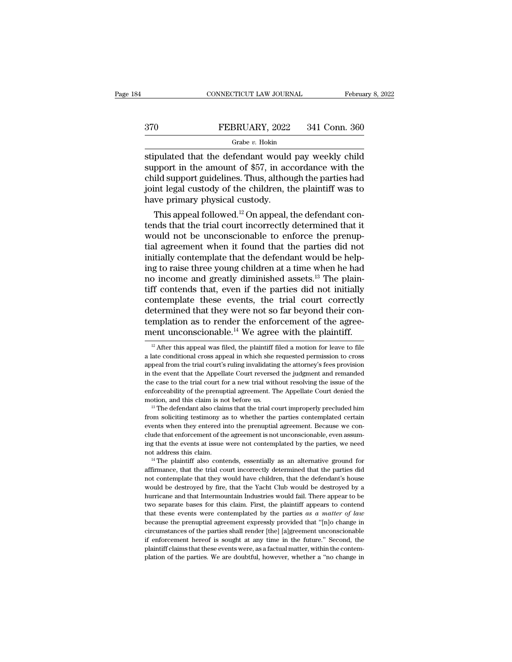# CONNECTICUT LAW JOURNAL February 8, 2022<br>370 FEBRUARY, 2022 341 Conn. 360<br>Grabe v. Hokin

### Grabe *v.* Hokin

CONNECTICUT LAW JOURNAL February 8, 2022<br>
STO FEBRUARY, 2022 341 Conn. 360<br>
Grabe v. Hokin<br>
Stipulated that the defendant would pay weekly child<br>
support in the amount of \$57, in accordance with the<br>
child support guidelin  $\begin{array}{r} \text{S}170 \text{ } \text{FEBRUARY, 2022} \text{ } 341 \text{ Conn. } 360 \text{ } \text{Grabe } v. \text{ Hokin} \end{array}$ <br>
stipulated that the defendant would pay weekly child<br>
support in the amount of \$57, in accordance with the<br>
child support guidelines. Thus, alt FEBRUARY, 2022 341 Conn. 360<br>
Grabe v. Hokin<br>
stipulated that the defendant would pay weekly child<br>
support in the amount of \$57, in accordance with the<br>
child support guidelines. Thus, although the parties had<br>
joint leg FEBRUARY, 2022 341 Conn. 360<br>
Grabe v. Hokin<br>
stipulated that the defendant would pay weekly child<br>
support in the amount of \$57, in accordance with the<br>
child support guidelines. Thus, although the parties had<br>
joint leg  $\begin{array}{c}\n\hline\n\text{Grade } v. \text{ Hokin} \\
\hline\n\text{stipulated that the defendant would support in the amount of $57, in acchild support guidelines. Thus, although a custom idea of the children, the time of the children, the time of the children. This appeal followed. \end{array}$ pulated that the defendant would pay weekly child<br>pport in the amount of \$57, in accordance with the<br>ild support guidelines. Thus, although the parties had<br>int legal custody of the children, the plaintiff was to<br>we primary supulated that the defendant would pay weekly child<br>support in the amount of \$57, in accordance with the<br>child support guidelines. Thus, although the parties had<br>joint legal custody of the children, the plaintiff was to<br>h

support in the amount of  $\ast$ 57, in accordance with the child support guidelines. Thus, although the parties had<br>joint legal custody of the children, the plaintiff was to<br>have primary physical custody.<br>This appeal followe child support guidelines. Thus, although the parties had<br>joint legal custody of the children, the plaintiff was to<br>have primary physical custody.<br>This appeal followed.<sup>12</sup> On appeal, the defendant con-<br>tends that the tria Figure 10 and the contemporal custody.<br>
This appeal followed.<sup>12</sup> On appeal, the defendant contends that the trial court incorrectly determined that it<br>
would not be unconscionable to enforce the prenup-<br>
tial agreement w have primary physical custody.<br>
This appeal followed.<sup>12</sup> On appeal, the defendant contends that the trial court incorrectly determined that it<br>
would not be unconscionable to enforce the prenup-<br>
tial agreement when it f This appeal followed.<sup>12</sup> On appeal, the defendant contends that the trial court incorrectly determined that it would not be unconscionable to enforce the prenuptial agreement when it found that the parties did not initia tends that the trial court incorrectly determined that it<br>would not be unconscionable to enforce the prenup-<br>tial agreement when it found that the parties did not<br>initially contemplate that the defendant would be help-<br>ing would not be unconscionable to enforce the prenup-<br>tial agreement when it found that the parties did not<br>initially contemplate that the defendant would be help-<br>ing to raise three young children at a time when he had<br>no in tial agreement when it found that the parties did not<br>initially contemplate that the defendant would be help-<br>ing to raise three young children at a time when he had<br>no income and greatly diminished assets.<sup>13</sup> The plaininitially contemplate that the defendant would be help-<br>ing to raise three young children at a time when he had<br>no income and greatly diminished assets.<sup>13</sup> The plain-<br>tiff contemplate these events, the trial court correc ing to raise three young children at a time when he had<br>no income and greatly diminished assets.<sup>13</sup> The plain-<br>tiff contends that, even if the parties did not initially<br>contemplate these events, the trial court correctly be ontemplate these events, the trial court correctly<br>etermined that they were not so far beyond their con-<br>mplation as to render the enforcement of the agree-<br>ent unconscionable.<sup>14</sup> We agree with the plaintiff.<br><sup>12</sup> Aft determined that they were not so far beyond their con-<br>templation as to render the enforcement of the agree-<br>ment unconscionable.<sup>14</sup> We agree with the plaintiff.<br><sup>12</sup> After this appeal was filed, the plaintiff filed a mot

not contemplate that the defendant is not unconscionable, even assuming that the events at issue were not contemplated by the parties, we need not address this claim.<br>
<sup>14</sup> The plaintiff also contends, essentially as an al ing that the events at issue were not contemplated by the parties, we need not address this claim.<br>
<sup>14</sup> The plaintiff also contends, essentially as an alternative ground for affirmance, that the trial court incorrectly de hurricane and that Intermoverative and that the particle and that the parties did not contemplate that the trial court incorrectly determined that the parties did not contemplate that they would have children, that the def <sup>14</sup> The plaintiff also contends, essentially as an alternative ground for affirmance, that the trial court incorrectly determined that the parties did not contemplate that they would have children, that the defendant's h firmance, that the trial court incorrectly determined that the parties did<br>not contemplate that they would have children, that the defendant's house<br>would be destroyed by fire, that the Yacht Club would be destroyed by a<br>h and contemplate that they would have children, that the defendant's house<br>would be destroyed by fire, that the Yacht Club would be destroyed by a<br>hurricane and that Intermountain Industries would fail. There appear to be<br> would be destroyed by fire, that the Yacht Club would be destroyed by a hurricane and that Intermountain Industries would fail. There appear to be two separate bases for this claim. First, the plaintiff appears to contend if enforcement hereof is coupled that the future. The plaintiff appear to be two separate bases for this claim. First, the plaintiff appears to contend that these events were contemplated by the parties as a matter of law hurricane and that Intermountain Industries would fail. There appear to be two separate bases for this claim. First, the plaintiff appears to contend that these events were contemplated by the parties as a matter of law b that these events were contemplated by the parties as a matter of law

templation as to render the enforcement of the agreement unconscionable.<sup>14</sup> We agree with the plaintiff.<br><sup>12</sup> After this appeal was filed, the plaintiff filed a motion for leave to file a late conditional cross appeal in ment unconscionable.<sup>14</sup> We agree with the plaintiff.<br><sup>12</sup> After this appeal was filed, the plaintiff filed a motion for leave to file<br>a late conditional cross appeal in which she requested permission to cross<br>appeal from The case to the trial court is appear to the trial content of the trial conditional cross appeal in which she requested permission to cross appeal from the trial court's ruling invalidating the attorney's fees provision i <sup>12</sup> After this appeal was filed, the plaintiff filed a motion for leave to file a late conditional cross appeal in which she requested permission to cross appeal from the trial court's ruling invalidating the attorney's and the conditional cross appeal in which she requested permission to cross appeal from the trial court's ruling invalidating the attorney's fees provision in the event that the Appellate Court reversed the judgment and re from soliciting testimony as to whether the parties contemplated certain the event that the Appellate Court reversed the judgment and remanded the case to the trial court for a new trial without resolving the issue of the

in the event that the Appellate Court reversed the judgment and remanded<br>the case to the trial court for a new trial without resolving the issue of the<br>enforceability of the prenuptial agreement. The Appellate Court denie enforceability of the prenuptial agreement. The Appellate Court denied the motion, and this claim is not before us.<br>  $^{13}$  The defendant also claims that the trial court improperly precluded him from soliciting testimony motion, and this claim is not before us.<br>
<sup>13</sup> The defendant also claims that the trial court improperly precluded him<br>
from soliciting testimony as to whether the parties contemplated certain<br>
events when they entered int <sup>13</sup> The defendant also claims that the trial court improperly precluded him<br>from soliciting testimony as to whether the parties contemplated certain<br>events when they entered into the prenuptial agreement. Because we con-Events when they entered into the prenuptial agreement. Because we conclude that enforcement of the agreement is not unconscionable, even assuming that the events at issue were not contemplated by the parties, we need not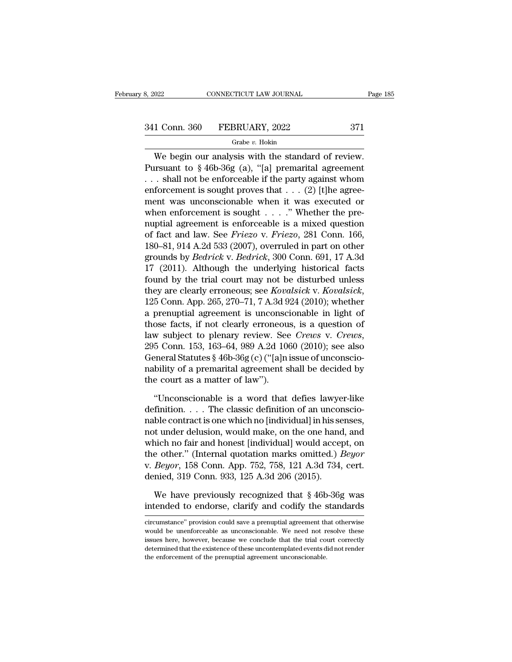3, 2022 CONNECTICUT LAW JOURNAL Page 185<br>341 Conn. 360 FEBRUARY, 2022 371<br>Grabe v. Hokin

### Grabe *v.* Hokin

CONNECTICUT LAW JOURNAL Page<br>
1 Conn. 360 FEBRUARY, 2022 371<br>
Grabe v. Hokin<br>
We begin our analysis with the standard of review.<br>
Insuant to §46b-36g (a), "[a] premarital agreement<br>
chall not be arforeashle if the next ver 341 Conn. 360 FEBRUARY, 2022 371<br>
Grabe v. Hokin<br>
We begin our analysis with the standard of review.<br>
Pursuant to § 46b-36g (a), "[a] premarital agreement<br>
... shall not be enforceable if the party against whom 341 Conn. 360 FEBRUARY, 2022 371<br>
Grabe v. Hokin<br>
We begin our analysis with the standard of review.<br>
Pursuant to §46b-36g (a), "[a] premarital agreement<br>
... shall not be enforceable if the party against whom<br>
enforcemen 341 Conn. 360 FEBRUARY, 2022 371<br>
Grabe v. Hokin<br>
We begin our analysis with the standard of review.<br>
Pursuant to §46b-36g (a), "[a] premarital agreement<br>
... shall not be enforceable if the party against whom<br>
enforcemen Grabe v. Hokin<br>
We begin our analysis with the standard of review.<br>
Pursuant to § 46b-36g (a), "[a] premarital agreement<br>
... shall not be enforceable if the party against whom<br>
enforcement is sought proves that ... (2) [ We begin our analysis with the standard of review.<br>Pursuant to §46b-36g (a), "[a] premarital agreement<br>... shall not be enforceable if the party against whom<br>enforcement is sought proves that ... (2) [t]he agree-<br>ment was We begin our analysis with the standard of review.<br>Pursuant to §46b-36g (a), "[a] premarital agreement<br>...shall not be enforceable if the party against whom<br>enforcement is sought proves that ...(2) [t]he agree-<br>ment was u Pursuant to § 46b-36g (a), "[a] premarital agreement<br>
... shall not be enforceable if the party against whom<br>
enforcement is sought proves that ... (2) [t]he agree-<br>
ment was unconscionable when it was executed or<br>
when en ... shall not be enforceable if the party against whom<br>enforcement is sought proves that ... (2) [t]he agree-<br>ment was unconscionable when it was executed or<br>when enforcement is sought ....." Whether the pre-<br>nuptial agre enforcement is sought proves that  $\ldots$  (2) [t]he agreement was unconscionable when it was executed or when enforcement is sought  $\ldots$ ." Whether the pre-<br>nuptial agreement is enforceable is a mixed question of fact and l ment was unconscionable when it was executed or<br>when enforcement is sought . . . ." Whether the pre-<br>nuptial agreement is enforceable is a mixed question<br>of fact and law. See *Friezo* v. *Friezo*, 281 Conn. 166,<br>180–81, 9 when enforcement is sought . . . ." Whether the pre-<br>nuptial agreement is enforceable is a mixed question<br>of fact and law. See *Friezo* v. *Friezo*, 281 Conn. 166,<br>180–81, 914 A.2d 533 (2007), overruled in part on other<br>g nuptial agreement is enforceable is a mixed question<br>of fact and law. See *Friezo* v. *Friezo*, 281 Conn. 166,<br>180–81, 914 A.2d 533 (2007), overruled in part on other<br>grounds by *Bedrick* v. *Bedrick*, 300 Conn. 691, 17 A. 180–81, 914 A.2d 533 (2007), overruled in part on other<br>grounds by *Bedrick* v. *Bedrick*, 300 Conn. 691, 17 A.3d<br>17 (2011). Although the underlying historical facts<br>found by the trial court may not be disturbed unless<br>th grounds by *Bedrick* v. *Bedrick*, 300 Conn. 691, 17 A.3d<br>17 (2011). Although the underlying historical facts<br>found by the trial court may not be disturbed unless<br>they are clearly erroneous; see *Kovalsick* v. *Kovalsick* 17 (2011). Although the underlying historical facts<br>found by the trial court may not be disturbed unless<br>they are clearly erroneous; see *Kovalsick* v. *Kovalsick*,<br>125 Conn. App. 265, 270–71, 7 A.3d 924 (2010); whether<br>a they are clearly erroneous; see *Kovalsick* v. *Kovalsick*, 125 Conn. App. 265, 270–71, 7 A.3d 924 (2010); whether a prenuptial agreement is unconscionable in light of those facts, if not clearly erroneous, is a question 125 Conn. App. 265, 270–71, 7 A.3d 924 (2010); whether<br>a prenuptial agreement is unconscionable in light of<br>those facts, if not clearly erroneous, is a question of<br>law subject to plenary review. See *Crews v. Crews*,<br>295 a prenuptial agreement is unconsci<br>those facts, if not clearly erroneou<br>law subject to plenary review. See<br>295 Conn. 153, 163–64, 989 A.2d 100<br>General Statutes § 46b-36g (c) ("[a]n:<br>nability of a premarital agreement s<br>the w subject to plenary review. See *Crews* v. *Crews*,<br>5 Conn. 153, 163–64, 989 A.2d 1060 (2010); see also<br>eneral Statutes § 46b-36g (c) ("[a]n issue of unconscio-<br>bility of a premarital agreement shall be decided by<br>e cour 295 Conn. 153, 163–64, 989 A.2d 1060 (2010); see also<br>General Statutes § 46b-36g (c) ("[a]n issue of unconscio-<br>nability of a premarital agreement shall be decided by<br>the court as a matter of law").<br>"Unconscionable is a w

General Statutes § 46b-36g (c) ("[a]n issue of unconscionability of a premarital agreement shall be decided by<br>the court as a matter of law").<br>"Unconscionable is a word that defies lawyer-like<br>definition.... The classic d mability of a premarital agreement shall be decided by<br>the court as a matter of law").<br>"Unconscionable is a word that defies lawyer-like<br>definition.... The classic definition of an unconscio-<br>nable contract is one which n the court as a matter of law").<br>
"Unconscionable is a word that defies lawyer-like<br>
definition.... The classic definition of an unconscio-<br>
nable contract is one which no [individual] in his senses,<br>
not under delusion, w "Unconscionable is a word that defies lawyer-like<br>definition. . . . The classic definition of an unconscio-<br>nable contract is one which no [individual] in his senses,<br>not under delusion, would make, on the one hand, and<br>w "Unconscionable is a word that defies lawyer-like<br>definition. . . . The classic definition of an unconscio-<br>nable contract is one which no [individual] in his senses,<br>not under delusion, would make, on the one hand, and<br>wh definition. . . . The classic definition of an uncomable contract is one which no [individual] in his send to under delusion, would make, on the one hand which no fair and honest [individual] would accepthe other." (Inter t under delusion, would make, on the one hand, and<br>nich no fair and honest [individual] would accept, on<br>e other." (Internal quotation marks omitted.) *Beyor*<br>*Beyor*, 158 Conn. App. 752, 758, 121 A.3d 734, cert.<br>nied, 319 which no fair and honest [individual] would accept, on<br>the other." (Internal quotation marks omitted.) *Beyor*<br>v. *Beyor*, 158 Conn. App. 752, 758, 121 A.3d 734, cert.<br>denied, 319 Conn. 933, 125 A.3d 206 (2015).<br>We have pr

denied, 319 Conn. 933, 125 A.3d 206 (2015).<br>We have previously recognized that § 46b-36g was<br>intended to endorse, clarify and codify the standards<br>circumstance'' provision could save a prenuptial agreement that otherwise<br>w

We have previously recognized that § 46b-36g was<br>intended to endorse, clarify and codify the standards<br>circumstance" provision could save a prenuptial agreement that otherwise<br>would be unenforceable as unconscionable. We n We have previously recognized that  $\S$  46b-36g was<br>intended to endorse, clarify and codify the standards<br>circumstance" provision could save a prenuptial agreement that otherwise<br>would be unenforceable as unconscionable. W intended to endorse, clarify and codify the standards<br>circumstance" provision could save a prenuptial agreement that otherwise<br>would be unenforceable as unconscionable. We need not resolve these<br>issues here, however, becau circumstance" provision could save a prenuptial agreement that otherwise<br>would be unenforceable as unconscionable. We need not resolve these<br>issues here, however, because we conclude that the trial court correctly<br>determin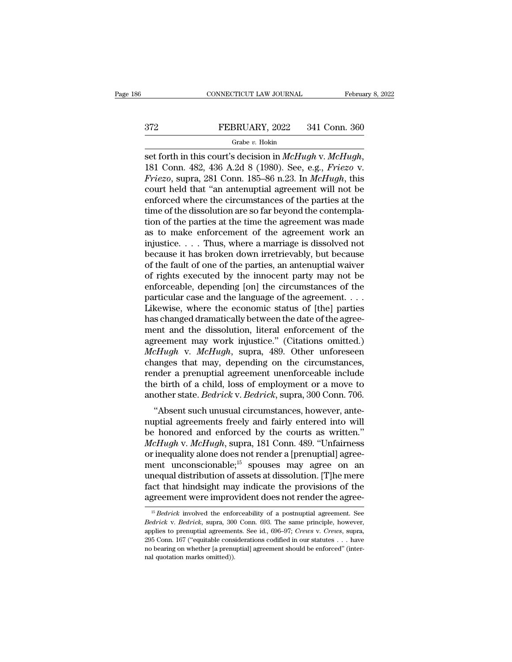# CONNECTICUT LAW JOURNAL February 8, 2022<br>372 FEBRUARY, 2022 341 Conn. 360<br>Grabe v. Hokin

### Grabe *v.* Hokin

set forth in this court's decision in *McHugh* v. *McHugh*, 181 Conn. 482, 436 A.2d 8 (1980). See, e.g., *Friezo* v. *Friezo*, supra, 281 Conn. 185–86 n.23. In *McHugh*, this court hold that "an antenuntial agreement will *FEBRUARY*, 2022 341 Conn. 360<br> *Grabe v. Hokin*<br> *Friezo*, supra, 281 Conn. 185–86 n.23. In *McHugh*, this<br>
court held that "an antenuptial agreement will not be<br>
approved where the circumstances of the parties at the FEBRUARY, 2022 341 Conn. 360<br>
Grabe v. Hokin<br>
set forth in this court's decision in  $McHugh$  v.  $McHugh$ ,<br>
181 Conn. 482, 436 A.2d 8 (1980). See, e.g., *Friezo* v.<br> *Friezo*, supra, 281 Conn. 185–86 n.23. In  $McHugh$ , this<br>
court Grabe v. Hokin<br>
set forth in this court's decision in McHugh v. McHugh,<br>
181 Conn. 482, 436 A.2d 8 (1980). See, e.g., *Friezo v.*<br> *Friezo*, supra, 281 Conn. 185–86 n.23. In McHugh, this<br>
court held that "an antenuptial a Grabe v. Hokin<br>set forth in this court's decision in *McHugh* v. *McHugh*,<br>181 Conn. 482, 436 A.2d 8 (1980). See, e.g., *Friezo* v.<br>*Friezo*, supra, 281 Conn. 185–86 n.23. In *McHugh*, this<br>court held that "an antenuptial set forth in this court's decision in *McHugh* v. *McHugh*,<br>181 Conn. 482, 436 A.2d 8 (1980). See, e.g., *Friezo* v.<br>*Friezo*, supra, 281 Conn. 185–86 n.23. In *McHugh*, this<br>court held that "an antenuptial agreement will 181 Conn. 482, 436 A.2d 8 (1980). See, e.g., *Friezo* v.<br>*Friezo*, supra, 281 Conn. 185–86 n.23. In *McHugh*, this<br>court held that "an antenuptial agreement will not be<br>enforced where the circumstances of the parties at t Friezo, supra, 281 Conn. 185–86 n.23. In *McHugh*, this court held that "an antenuptial agreement will not be enforced where the circumstances of the parties at the time of the dissolution are so far beyond the contemplat court held that "an antenuptial agreement will not be<br>enforced where the circumstances of the parties at the<br>time of the dissolution are so far beyond the contempla-<br>tion of the parties at the time the agreement was made<br>a enforced where the circumstances of the parties at the<br>time of the dissolution are so far beyond the contempla-<br>tion of the parties at the time the agreement was made<br>as to make enforcement of the agreement work an<br>injusti time of the dissolution are so far beyond the contemplation of the parties at the time the agreement was made<br>as to make enforcement of the agreement work an<br>injustice.....Thus, where a marriage is dissolved not<br>because i tion of the parties at the time the agreement was made<br>as to make enforcement of the agreement work an<br>injustice.....Thus, where a marriage is dissolved not<br>because it has broken down irretrievably, but because<br>of the fau as to make enforcement of the agreement work an injustice. . . . Thus, where a marriage is dissolved not because it has broken down irretrievably, but because of the fault of one of the parties, an antenuptial waiver of r injustice. . . . Thus, where a marriage is dissolved not<br>because it has broken down irretrievably, but because<br>of the fault of one of the parties, an antenuptial waiver<br>of rights executed by the innocent party may not be<br>e because it has broken down irretrievably, but because<br>of the fault of one of the parties, an antenuptial waiver<br>of rights executed by the innocent party may not be<br>enforceable, depending [on] the circumstances of the<br>parti of the fault of one of the parties, an antenuptial waiver<br>of rights executed by the innocent party may not be<br>enforceable, depending [on] the circumstances of the<br>particular case and the language of the agreement....<br>Like of rights executed by the innocent party may not be enforceable, depending [on] the circumstances of the particular case and the language of the agreement....<br>Likewise, where the economic status of [the] parties has chang enforceable, depending [on] the circumstances of the<br>particular case and the language of the agreement....<br>Likewise, where the economic status of [the] parties<br>has changed dramatically between the date of the agreement<br>and particular case and the language of the agreement....<br>Likewise, where the economic status of [the] parties<br>has changed dramatically between the date of the agreement and the dissolution, literal enforcement of the<br>agreeme Likewise, where the economic status of [the] parties<br>has changed dramatically between the date of the agreement and the dissolution, literal enforcement of the<br>agreement may work injustice." (Citations omitted.)<br> $McHugh$  v. has changed dramatically between the date of the agreement and the dissolution, literal enforcement of the agreement may work injustice." (Citations omitted.) *McHugh* v. *McHugh*, supra, 489. Other unforeseen changes that ment and the dissolution, literal enforcement of the agreement may work injustice." (Citations omitted.) *McHugh* v. *McHugh*, supra, 489. Other unforeseen changes that may, depending on the circumstances, render a prenupt *EHugh v. McHugh*, supra, 489. Other unforeseen<br>anges that may, depending on the circumstances,<br>nder a prenuptial agreement unenforceable include<br>e birth of a child, loss of employment or a move to<br>other state. *Bedrick v.* metriagh v. metriagh, supra, 439. Other unioneseen<br>changes that may, depending on the circumstances,<br>render a prenuptial agreement unenforceable include<br>the birth of a child, loss of employment or a move to<br>another state.

ranges that hay, depending on the circumstances,<br>render a prenuptial agreement unenforceable include<br>the birth of a child, loss of employment or a move to<br>another state. *Bedrick* v. *Bedrick*, supra, 300 Conn. 706.<br>"Absen *McHugh v. McHugh,* supra, 181 Conn. 2010, 2010<br> *McHugh v. McHugh,* supra, 200 Conn. 706.<br> *McHugh v. McHugh,* supra, 181 Conn. 489. "Unfairness<br>
or inequality alone does not render a [prenuptial] agreement<br> *McHugh v. Mc* the birth of a child, loss of employment of a hlove to<br>another state. *Bedrick* v. *Bedrick*, supra, 300 Conn. 706.<br>"Absent such unusual circumstances, however, ante-<br>nuptial agreements freely and fairly entered into will<br> another state. *Detrick* v. *Detrick*, supra, 500 Collit. 700.<br>
"Absent such unusual circumstances, however, ante-<br>
nuptial agreements freely and fairly entered into will<br>
be honored and enforced by the courts as written. "Absent such unusual circumstances, however, ante-<br>nuptial agreements freely and fairly entered into will<br>be honored and enforced by the courts as written."<br> $McHugh$  v.  $McHugh$ , supra, 181 Conn. 489. "Unfairness<br>or inequality nuptial agreements freely and fairly entered into will<br>be honored and enforced by the courts as written."<br>*McHugh* v. *McHugh*, supra, 181 Conn. 489. "Unfairness<br>or inequality alone does not render a [prenuptial] agree-<br>me be honored and enforced by the courts as written."<br>McHugh v. McHugh, supra, 181 Conn. 489. "Unfairness<br>or inequality alone does not render a [prenuptial] agree-<br>ment unconscionable;<sup>15</sup> spouses may agree on an<br>unequal dis is a product in the enforceability of a postnuptial agreement were improvident does not render the agreement were improvident does not render the agreement were improvident does not render the agreement. See the enforceabi unequal distribution of assets at dissolution. [T]he mere<br>fact that hindsight may indicate the provisions of the<br>agreement were improvident does not render the agree-<br> $\frac{1}{15}$  *Bedrick* involved the enforceability of a p

fact that hindsight may indicate the provisions of the agreement were improvident does not render the agreement. See  $\frac{15}{3}$  *Bedrick* involved the enforceability of a postmuptial agreement. See *Bedrick* v. *Bedrick*, 295 Conn. 167 ("equitable considerations codified in our statutes ... . . have mediate in the agreement. See Bedrick v. Bedrick, supra, 300 Conn. 693. The same principle, however, applies to prenuptial agreements. See id., <sup>15</sup> *Bedrick* involved the enforceability of a postnuptial agreement. See *Bedrick* v. *Bedrick*, supra, 300 Conn. 693. The same principle, however, applies to prenuptial agreements. See id., 696–97; Crews v. Crews, supr <sup>15</sup> *Bedrick* involved the enfo<br> *Bedrick* v. *Bedrick*, supra, 300<br>
applies to prenuptial agreemer<br>
295 Conn. 167 ("equitable cons<br>
no bearing on whether [a prenu<br>
nal quotation marks omitted)).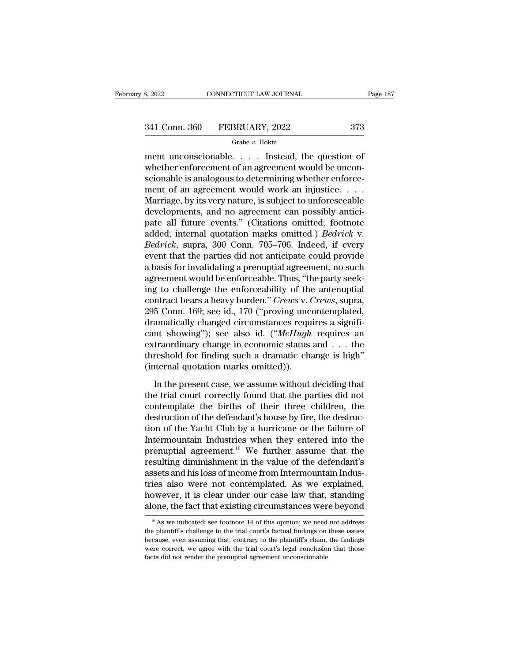Grabe *v.* Hokin

ment unconscionable. . . . . Instead, the question of<br>
ment unconscionable. . . . Instead, the question of<br>
whether enforcement of an agreement would be unconscionable is an<br>
straightforward of the straightforward of the s  $\begin{array}{r} \text{341 Conn. } 360 \quad \text{FEBRUARY, } 2022 \quad \text{373} \\ \text{41 Conv. } 360 \quad \text{FEBRUARY, } 2022 \quad \text{373} \\ \text{42 Cov. } \text{44 Cov.} \quad \text{45 Cov.} \end{array}$ 341 Conn. 360 FEBRUARY, 2022 373<br>
Grabe v. Hokin<br>
ment unconscionable.... Instead, the question of<br>
whether enforcement of an agreement would be unconscionable is analogous to determining whether enforce-<br>
ment of an agre ment of an agreement would work an injustice. . . .  $\frac{Grabe v. Hokin}{dVe v}$ <br>
Member unconscionable. . . . Instead, the question of<br>
whether enforcement of an agreement would be unconscionable is analogous to determining whether enforce-<br>
ment of an agreement would work an inju  $\begin{tabular}{ll} \hline \textbf{graph} & \textbf{graph} & \textbf{graph} \\ \hline \textbf{ment unconscionable. . . . Instead, the question of whether enforcement of an agreement would be uncon-  
scionable is analogous to determining whether enforce-  
ment of an agreement would work an injustice. . . .  
Marriage, by its very nature, is subject to unforeseable  
developments, and no agreement can possibly anticipate all future events." (Citations omitted), Podriche  
addeds interval question marks omitted.) Redrichs.$ ment unconscionable. . . . Instead, the question of<br>whether enforcement of an agreement would be unconscionable is analogous to determining whether enforce-<br>ment of an agreement would work an injustice. . . . .<br>Marriage, whether enforcement of an agreement would be unconscionable is analogous to determining whether enforcement of an agreement would work an injustice. . . . . Marriage, by its very nature, is subject to unforeseeable develop *Beriands is analogous to determining whether enforcement of an agreement would work an injustice....*<br>*Marriage, by its very nature, is subject to unforeseeable developments, and no agreement can possibly anticipate all f* ment of an agreement would work an injustice. . . . .<br>Marriage, by its very nature, is subject to unforeseeable<br>developments, and no agreement can possibly antici-<br>pate all future events." (Citations omitted; footnote<br>add Marriage, by its very nature, is subject to unforeseeable<br>developments, and no agreement can possibly antici-<br>pate all future events." (Citations omitted; footnote<br>added; internal quotation marks omitted.) *Bedrick* v.<br>*Be* developments, and no agreement can possibly antici-<br>pate all future events." (Citations omitted; footnote<br>added; internal quotation marks omitted.) *Bedrick* v.<br>*Bedrick*, supra, 300 Conn. 705–706. Indeed, if every<br>event t pate all future events." (Citations omitted; footnote added; internal quotation marks omitted.) *Bedrick* v. *Bedrick*, supra, 300 Conn. 705–706. Indeed, if every event that the parties did not anticipate could provide a b added; internal quotation marks omitted.) *Bedrick* v.<br> *Bedrick*, supra, 300 Conn. 705–706. Indeed, if every<br>
event that the parties did not anticipate could provide<br>
a basis for invalidating a prenuptial agreement, no su *Bedrick*, supra, 300 Conn. 705–706. Indeed, if every<br>event that the parties did not anticipate could provide<br>a basis for invalidating a prenuptial agreement, no such<br>agreement would be enforceable. Thus, "the party seekevent that the parties did not anticipate could provide<br>a basis for invalidating a prenuptial agreement, no such<br>agreement would be enforceable. Thus, "the party seek-<br>ing to challenge the enforceability of the antenuptial a basis for invalidating a prenuptial agreement, no such<br>agreement would be enforceable. Thus, "the party seek-<br>ing to challenge the enforceability of the antenuptial<br>contract bears a heavy burden." *Crews* v. *Crews*, sup agreement would be enforceable. Thus, "the party seeking to challenge the enforceability of the antenuptial<br>contract bears a heavy burden." *Crews v. Crews*, supra,<br>295 Conn. 169; see id., 170 ("proving uncontemplated,<br>dr ing to challenge the enforceability of the antenuptial<br>contract bears a heavy burden." *Crews* v. *Crews*, supra,<br>295 Conn. 169; see id., 170 ("proving uncontemplated,<br>dramatically changed circumstances requires a signifi contract bears a heavy burden." *Crews v.* (295 Conn. 169; see id., 170 ("proving uncedramatically changed circumstances requent showing"); see also id. ("*McHugh* extraordinary change in economic status threshold for find amatically changed circumstances requires a signifi-<br>nt showing"); see also id. ("*McHugh* requires an<br>traordinary change in economic status and . . . the<br>reshold for finding such a dramatic change is high"<br>iternal quotat cant showing"); see also id. ("*McHugh* requires an extraordinary change in economic status and . . . the threshold for finding such a dramatic change is high" (internal quotation marks omitted)).<br>In the present case, we

extraordinary change in economic status and  $\ldots$  the threshold for finding such a dramatic change is high" (internal quotation marks omitted)).<br>In the present case, we assume without deciding that the trial court correct threshold for finding such a dramatic change is high"<br>(internal quotation marks omitted)).<br>In the present case, we assume without deciding that<br>the trial court correctly found that the parties did not<br>contemplate the birth (internal quotation marks omitted)).<br>
In the present case, we assume without deciding that<br>
the trial court correctly found that the parties did not<br>
contemplate the births of their three children, the<br>
destruction of the In the present case, we assume without deciding that<br>the trial court correctly found that the parties did not<br>contemplate the births of their three children, the<br>destruction of the defendant's house by fire, the destruc-<br> In the present case, we assume without deciding that<br>the trial court correctly found that the parties did not<br>contemplate the births of their three children, the<br>destruction of the defendant's house by fire, the destruc-<br> the trial court correctly found that the parties did not<br>contemplate the births of their three children, the<br>destruction of the defendant's house by fire, the destruc-<br>tion of the Yacht Club by a hurricane or the failure o contemplate the births of their three children, the destruction of the defendant's house by fire, the destruction of the Yacht Club by a hurricane or the failure of Intermountain Industries when they entered into the pren destruction of the defendant's house by fire, the destruction of the Yacht Club by a hurricane or the failure of<br>Intermountain Industries when they entered into the<br>prenuptial agreement.<sup>16</sup> We further assume that the<br>resu tion of the Yacht Club by a hurricane or the failure of<br>Intermountain Industries when they entered into the<br>prenuptial agreement.<sup>16</sup> We further assume that the<br>resulting diminishment in the value of the defendant's<br>assets Intermountain Industries when they entered into the<br>prenuptial agreement.<sup>16</sup> We further assume that the<br>resulting diminishment in the value of the defendant's<br>assets and his loss of income from Intermountain Indus-<br>tries ssets and nis loss of income from intermountain indus-<br>ies also were not contemplated. As we explained,<br>owever, it is clear under our case law that, standing<br>one, the fact that existing circumstances were beyond<br><sup>16</sup> As we tries also were not contemplated. As we explained,<br>however, it is clear under our case law that, standing<br>alone, the fact that existing circumstances were beyond<br> $\frac{16}{16}$  As we indicated; see footnote 14 of this opinio

however, it is clear under our case law that, standing alone, the fact that existing circumstances were beyond  $\frac{16}{16}$  As we indicated; see footnote 14 of this opinion; we need not address the plaintiff's challenge to alone, the fact that existing circumstances were beyond<br>
<sup>16</sup> As we indicated; see footnote 14 of this opinion; we need not address<br>
the plaintiff's challenge to the trial court's factual findings on these issues<br>
because  $^{16}$  As we indicated; see footnote 14 of this opinion; we need not address the plaintiff's challenge to the trial court's factual findings on these issues because, even assuming that, contrary to the plaintiff's claim,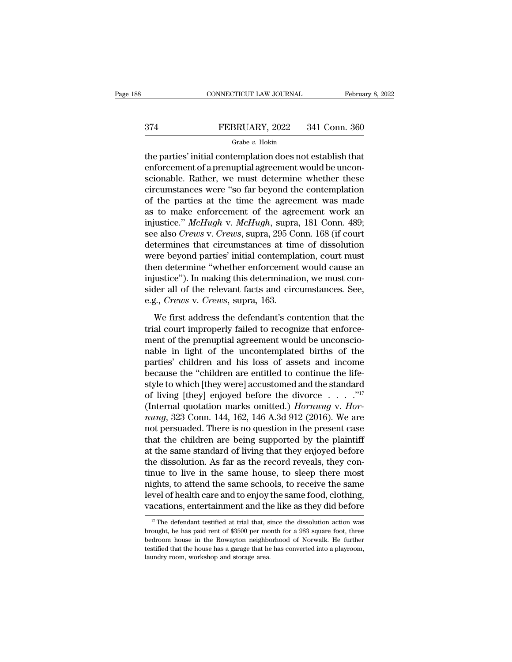# CONNECTICUT LAW JOURNAL February 8, 2022<br>374 FEBRUARY, 2022 341 Conn. 360<br>Grabe v. Hokin

### Grabe *v.* Hokin

CONNECTICUT LAW JOURNAL February 8, 202<br>
FEBRUARY, 2022 341 Conn. 360<br>
Grabe v. Hokin<br>
the parties' initial contemplation does not establish that<br>
enforcement of a prenuptial agreement would be uncon-EEBRUARY, 2022 341 Conn. 360<br>  $\frac{6 \text{rabe } v}{2}$  Hokin<br>
the parties' initial contemplation does not establish that<br>
enforcement of a prenuptial agreement would be uncon-<br>
scionable. Rather, we must determine whether these  $\begin{tabular}{ll} \multicolumn{1}{l}{{\bf FEBRUARY, 2022 \quad \quad 341 Conn. 360}}\\ \hline \multicolumn{1}{l}{\bf{Grabe $v$. Hokin}}\\ \hline \multicolumn{1}{l}{\bf{the parties' initial contention does not establish that}}\\ \hline \end{tabular}$ EEBRUARY, 2022 341 Conn. 360<br>
Grabe v. Hokin<br>
the parties' initial contemplation does not establish that<br>
enforcement of a prenuptial agreement would be uncon-<br>
scionable. Rather, we must determine whether these<br>
circumst Grabe v. Hokin<br>the parties' initial contemplation does not establish that<br>enforcement of a prenuptial agreement would be uncon-<br>scionable. Rather, we must determine whether these<br>circumstances were "so far beyond the cont as the parties' initial contemplation does not establish that<br>enforcement of a prenuptial agreement would be uncon-<br>scionable. Rather, we must determine whether these<br>circumstances were "so far beyond the contemplation<br>of the parties' initial contemplation does not establish that<br>enforcement of a prenuptial agreement would be uncon-<br>scionable. Rather, we must determine whether these<br>circumstances were "so far beyond the contemplation<br>of the enforcement of a prenuptial agreement would be unconscionable. Rather, we must determine whether these circumstances were "so far beyond the contemplation of the parties at the time the agreement was made as to make enforc scionable. Rather, we must determine whether these<br>circumstances were "so far beyond the contemplation<br>of the parties at the time the agreement was made<br>as to make enforcement of the agreement work an<br>injustice." McHugh v. circumstances were "so far beyond the contemplation<br>of the parties at the time the agreement was made<br>as to make enforcement of the agreement work an<br>injustice." McHugh v. McHugh, supra, 181 Conn. 489;<br>see also Crews v. Cr of the parties at the time the agreement was made<br>as to make enforcement of the agreement work an<br>injustice." McHugh v. McHugh, supra, 181 Conn. 489;<br>see also Crews v. Crews, supra, 295 Conn. 168 (if court<br>determines that as to make enforcement of the agreement work an<br>injustice." *McHugh* v. *McHugh*, supra, 181 Conn. 489;<br>see also *Crews* v. *Crews*, supra, 295 Conn. 168 (if court<br>determines that circumstances at time of dissolution<br>were injustice." McHugh v. McHugh, supra, 181 Conn. 489;<br>see also Crews v. Crews, supra, 295 Conn. 168 (if court<br>determines that circumstances at time of dissolution<br>were beyond parties' initial contemplation, court must<br>then d see also *Crews* v. *Crews*, supra, 295 Condetermines that circumstances at tin were beyond parties' initial contemplation were beyond parties' initial contemplation determine "whether enforcement injustice"). In making th ere beyond parties' initial contemplation, court must<br>en determine "whether enforcement would cause an<br>justice"). In making this determination, we must con-<br>der all of the relevant facts and circumstances. See,<br>g., *Crews* then determine "whether enforcement would cause an injustice"). In making this determination, we must consider all of the relevant facts and circumstances. See, e.g., *Crews* v. *Crews*, supra, 163.<br>We first address the de

injustice"). In making this determination, we must consider all of the relevant facts and circumstances. See, e.g., *Crews* v. *Crews*, supra, 163.<br>We first address the defendant's contention that the trial court improperl sider all of the relevant facts and circumstances. See,<br>e.g., *Crews* v. *Crews*, supra, 163.<br>We first address the defendant's contention that the<br>trial court improperly failed to recognize that enforce-<br>ment of the prenup e.g., *Crews* v. *Crews*, supra, 163.<br>We first address the defendant's contention that the<br>trial court improperly failed to recognize that enforce-<br>ment of the prenuptial agreement would be unconscio-<br>nable in light of the We first address the defendant's contention that the<br>trial court improperly failed to recognize that enforce-<br>ment of the prenuptial agreement would be unconscio-<br>nable in light of the uncontemplated births of the<br>parties We first address the defendant's contention that the<br>trial court improperly failed to recognize that enforce-<br>ment of the prenuptial agreement would be unconscio-<br>nable in light of the uncontemplated births of the<br>parties trial court improperly failed to recognize that enforce-<br>ment of the prenuptial agreement would be unconscio-<br>nable in light of the uncontemplated births of the<br>parties' children and his loss of assets and income<br>because ment of the prenuptial agreement would be unconscionable in light of the uncontemplated births of the parties' children and his loss of assets and income because the "children are entitled to continue the life-<br>style to wh nable in light of the uncontemplated births of the<br>parties' children and his loss of assets and income<br>because the "children are entitled to continue the life-<br>style to which [they were] accustomed and the standard<br>of livi parties' children and his loss of assets and income<br>because the "children are entitled to continue the life-<br>style to which [they were] accustomed and the standard<br>of living [they] enjoyed before the divorce . . . . . . . because the "children are entitled to continue the life-<br>style to which [they were] accustomed and the standard<br>of living [they] enjoyed before the divorce . . . . . . . . . . .<br>(Internal quotation marks omitted.) *Hornun* style to which [they were] accustomed and the standard<br>of living [they] enjoyed before the divorce . . . . . "<sup>17</sup><br>(Internal quotation marks omitted.) *Hornung* v. *Hor-<br>nung*, 323 Conn. 144, 162, 146 A.3d 912 (2016). We of living [they] enjoyed before the divorce  $\ldots$   $\ldots$   $\ldots$  (Internal quotation marks omitted.) *Hornung* v. *Hornung*, 323 Conn. 144, 162, 146 A.3d 912 (2016). We are not persuaded. There is no question in the present (Internal quotation marks omitted.) *Hornung* v. *Hornung*, 323 Conn. 144, 162, 146 A.3d 912 (2016). We are not persuaded. There is no question in the present case that the children are being supported by the plaintiff at nung, 323 Conn. 144, 162, 146 A.3d 912 (2016). We are<br>not persuaded. There is no question in the present case<br>that the children are being supported by the plaintiff<br>at the same standard of living that they enjoyed before<br>t not persuaded. There is no question in the present case<br>that the children are being supported by the plaintiff<br>at the same standard of living that they enjoyed before<br>the dissolution. As far as the record reveals, they con that the children are being supported by the plaintiff<br>at the same standard of living that they enjoyed before<br>the dissolution. As far as the record reveals, they con-<br>tinue to live in the same house, to sleep there most<br> tinue to live in the same house, to sleep there most<br>nights, to attend the same schools, to receive the same<br>level of health care and to enjoy the same food, clothing,<br>vacations, entertainment and the like as they did bef mights, to attend the same schools, to receive the same<br>level of health care and to enjoy the same food, clothing,<br>vacations, entertainment and the like as they did before<br><sup>17</sup> The defendant testified at trial that, since

level of health care and to enjoy the same food, clothing,<br>vacations, entertainment and the like as they did before<br> $\frac{17}{17}$  The defendant testified at trial that, since the dissolution action was<br>brought, he has paid r **vacations, entertainment and the like as they did before**<br> $\frac{17}{17}$  The defendant testified at trial that, since the dissolution action was brought, he has paid rent of \$3500 per month for a 983 square foot, three bedr <sup>17</sup> The defendant testified at trial that, since the dissolution action was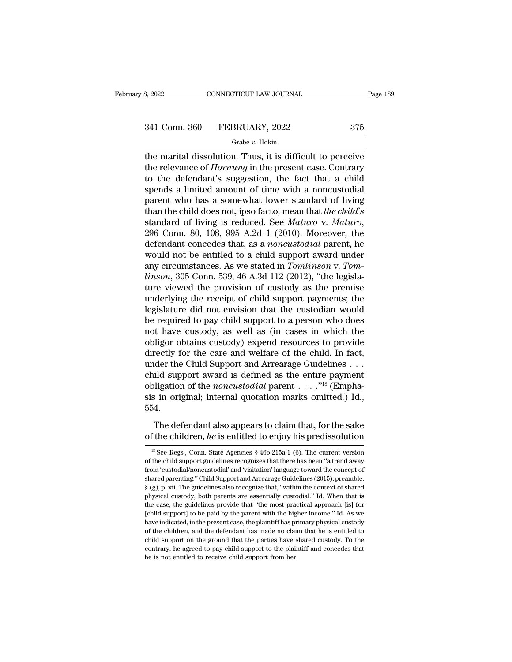# 3, 2022 CONNECTICUT LAW JOURNAL Page 189<br>341 Conn. 360 FEBRUARY, 2022 375<br>Grabe v. Hokin

### Grabe *v.* Hokin

3, 2022 CONNECTICUT LAW JOURNAL Page 189<br>  $341$  Conn. 360 FEBRUARY, 2022 375<br>
Grabe v. Hokin<br>
the marital dissolution. Thus, it is difficult to perceive<br>
the relevance of *Hornung* in the present case. Contrary<br>
to the de 341 Conn. 360 FEBRUARY, 2022 375<br>
<sup>Grabe v. Hokin</sup><br>
the marital dissolution. Thus, it is difficult to perceive<br>
the relevance of *Hornung* in the present case. Contrary<br>
to the defendant's suggestion, the fact that a child 341 Conn. 360 FEBRUARY, 2022 375<br>
Grabe v. Hokin<br>
the marital dissolution. Thus, it is difficult to perceive<br>
the relevance of *Hornung* in the present case. Contrary<br>
to the defendant's suggestion, the fact that a child<br> 341 Conn. 360 FEBRUARY, 2022 375<br>
Grabe v. Hokin<br>
the marital dissolution. Thus, it is difficult to perceive<br>
the relevance of *Hornung* in the present case. Contrary<br>
to the defendant's suggestion, the fact that a child<br> Grabe v. Hokin<br>
the marital dissolution. Thus, it is difficult to perceive<br>
the relevance of *Hornung* in the present case. Contrary<br>
to the defendant's suggestion, the fact that a child<br>
spends a limited amount of time w Grabe *v*. Hokin<br>the marital dissolution. Thus, it is difficult to perceive<br>the relevance of *Hornung* in the present case. Contrary<br>to the defendant's suggestion, the fact that a child<br>spends a limited amount of time with the marital dissolution. Thus, it is difficult to perceive<br>the relevance of *Hornung* in the present case. Contrary<br>to the defendant's suggestion, the fact that a child<br>spends a limited amount of time with a noncustodial<br>p to the defendant's suggestion, the fact that a child<br>spends a limited amount of time with a noncustodial<br>parent who has a somewhat lower standard of living<br>than the child does not, ipso facto, mean that the child's<br>standar spends a limited amount of time with a noncustodial<br>parent who has a somewhat lower standard of living<br>than the child does not, ipso facto, mean that the child's<br>standard of living is reduced. See *Maturo* v. *Maturo*,<br>29 parent who has a somewhat lower standard of living<br>than the child does not, ipso facto, mean that *the child's*<br>standard of living is reduced. See *Maturo* v. *Maturo*,<br>296 Conn. 80, 108, 995 A.2d 1 (2010). Moreover, the<br>d than the child does not, ipso facto, mean that *the child's* standard of living is reduced. See *Maturo* v. *Maturo*, 296 Conn. 80, 108, 995 A.2d 1 (2010). Moreover, the defendant concedes that, as a *noncustodial* parent, standard of living is reduced. See *Maturo* v. *Maturo*,<br>296 Conn. 80, 108, 995 A.2d 1 (2010). Moreover, the<br>defendant concedes that, as a *noncustodial* parent, he<br>would not be entitled to a child support award under<br>any 296 Conn. 80, 108, 995 A.2d 1 (2010). Moreover, the defendant concedes that, as a *noncustodial* parent, he would not be entitled to a child support award under any circumstances. As we stated in *Tomlinson* v. *Tomlinson* defendant concedes that, as a *noncustodial* parent, he<br>would not be entitled to a child support award under<br>any circumstances. As we stated in *Tomlinson* v. *Tom-<br>linson*, 305 Conn. 539, 46 A.3d 112 (2012), "the legislawould not be entitled to a child support award under<br>any circumstances. As we stated in *Tomlinson* v. *Tom-<br>linson*, 305 Conn. 539, 46 A.3d 112 (2012), "the legisla-<br>ture viewed the provision of custody as the premise<br>und any circumstances. As we stated in *Tomlinson* v. *Tom-*<br>*linson*, 305 Conn. 539, 46 A.3d 112 (2012), "the legisla-<br>ture viewed the provision of custody as the premise<br>underlying the receipt of child support payments; the<br> *linson*, 305 Conn. 539, 46 A.3d 112 (2012), "the legislature viewed the provision of custody as the premise underlying the receipt of child support payments; the legislature did not envision that the custodian would be r ture viewed the provision of custody as the premise<br>underlying the receipt of child support payments; the<br>legislature did not envision that the custodian would<br>be required to pay child support to a person who does<br>not have underlying the receipt of child support payments; the legislature did not envision that the custodian would<br>be required to pay child support to a person who does<br>not have custody, as well as (in cases in which the<br>obligor legislature did not envision that the custodian would<br>be required to pay child support to a person who does<br>not have custody, as well as (in cases in which the<br>obligor obtains custody) expend resources to provide<br>directly be required to pay child support to a person who does<br>not have custody, as well as (in cases in which the<br>obligor obtains custody) expend resources to provide<br>directly for the care and welfare of the child. In fact,<br>under not have custody, as well as (in cases in which the obligor obtains custody) expend resources to provide directly for the care and welfare of the child. In fact, under the Child Support and Arrearage Guidelines . . . chil 554. The defendant also appears to claim that, for the sake child support award is defined as the entire payment<br>obligation of the *noncustodial* parent . . . . . .<sup>"18</sup> (Empha-<br>sis in original; internal quotation marks omitted.) Id.,<br>554.<br>The defendant also appears to claim that,

<sup>54.&</sup>lt;br>The defendant also appears to claim that, for the sake<br>the children, he is entitled to enjoy his predissolution<br><sup>18</sup> See Regs., Conn. State Agencies § 46b-215a-1 (6). The current version<br>the child support guidelines r The defendant also appears to claim that, for the sake<br>of the children,  $he$  is entitled to enjoy his predissolution<br><sup>18</sup> See Regs., Conn. State Agencies § 46b-215a-1 (6). The current version<br>of the child support guideline The defendant also appears to claim that, for the sake<br>of the children,  $he$  is entitled to enjoy his predissolution<br><sup>18</sup> See Regs., Conn. State Agencies  $\S$  46b-215a-1 (6). The current version<br>of the child support guideli of the children, *he* is entitled to enjoy his predissolution<br>
<sup>18</sup> See Regs., Conn. State Agencies § 46b-215a-1 (6). The current version<br>
of the child support guidelines recognizes that there has been "a trend away<br>
from <sup>is</sup> See Regs., Conn. State Agencies § 46b-215a-1 (6). The current version of the child support guidelines recognizes that there has been "a trend away from 'custodial/noncustodial' and 'visitation' language toward the co <sup>18</sup> See Regs., Conn. State Agencies § 46b-215a-1 (6). The current version of the child support guidelines recognizes that there has been "a trend away from 'custodial/noncustodial' and 'visitation' language toward the co of the child support guidelines recognizes that there has been "a trend away from 'custodial/noncustodial' and 'visitation' language toward the concept of shared parenting." Child Support and Arrearage Guidelines (2015), from 'custodial/noncustodial' and 'visitation' language toward the concept of shared parenting." Child Support and Arrearage Guidelines (2015), preamble,  $\S$  (g), p. xii. The guidelines also recognize that, "within the co have indicated, in the present case, the plaintiff has primar between the presented,  $\S$  (g), p. xii. The guidelines also recognize that, "within the context of shared physical custody, both parents are essentially custod  $\S$  (g), p. xii. The guidelines also recognize that, "within the context of shared physical custody, both parents are essentially custodial." Id. When that is the case, the guidelines provide that "the most practical app s (s), p. in the ground that supported that the case, the guidelines provide that "the most practical approach [is] for [child support] to be paid by the parent with the higher income." Id. As we have indicated, in the pre physical custody, both parents are essentially custodial." Id. When that is the case, the guidelines provide that "the most practical approach [is] for [child support] to be paid by the parent with the higher income." Id. [child support] to be paid by the parent with the higher income." Id. As we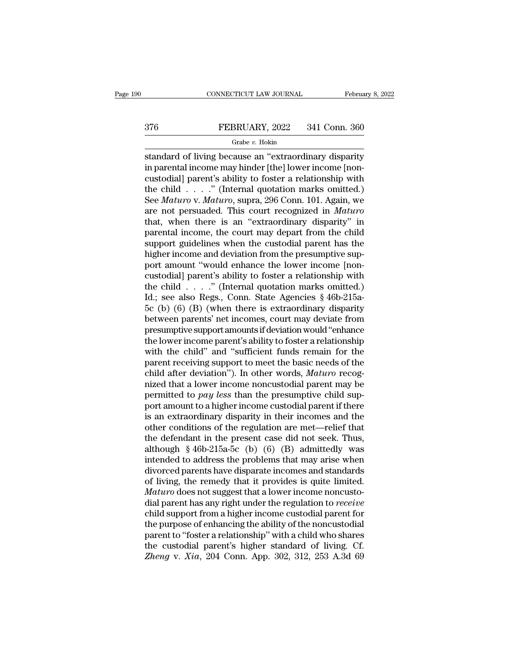# CONNECTICUT LAW JOURNAL February 8, 2022<br>376 FEBRUARY, 2022 341 Conn. 360<br>Grabe v. Hokin

### Grabe *v.* Hokin

CONNECTICUT LAW JOURNAL February 8, 2022<br>
ST6 FEBRUARY, 2022 341 Conn. 360<br>
Grabe v. Hokin<br>
Standard of living because an "extraordinary disparity<br>
in parental income may hinder [the] lower income [non-<br>
custodiall parent' FEBRUARY, 2022 341 Conn. 360<br>
Grabe v. Hokin<br>
standard of living because an "extraordinary disparity<br>
in parental income may hinder [the] lower income [non-<br>
custodial] parent's ability to foster a relationship with<br>
the c  $\begin{array}{r} \text{376} \text{} \text{FEBRUARY, } 2022 \text{} \text{341 Conn. } 360 \text{} \text{6} \text{rabe } v. \text{ Hokin} \text{1} \text{standard of living because an "extraordinary disparity in parental income may hinder [the] lower income [non-custodial] parent's ability to foster a relationship with the child . . . .". (Internal quotation marks omitted.) \text{See Matrix V. Matrixs. Sunra, } 206 \text{ Conn. } 101 \text{ Again, we have a more good.} \end{array}$ FEBRUARY, 2022 341 Conn. 360<br>  $\frac{Grabe v. Hokin}{\text{Standard of living because an "extraordinary disparity}}$ <br>
in parental income may hinder [the] lower income [non-<br>
custodial] parent's ability to foster a relationship with<br>
the child . . . . ." (Internal quotation ma Grabe *v.* Hokin<br>
Standard of living because an "extraordinary disparity<br>
in parental income may hinder [the] lower income [non-<br>
custodial] parent's ability to foster a relationship with<br>
the child . . . . ." (Internal qu Frabe v. Hokin<br>standard of living because an "extraordinary disparity<br>in parental income may hinder [the] lower income [non-<br>custodial] parent's ability to foster a relationship with<br>the child . . . . ." (Internal quotati standard of living because an "extraordinary disparity<br>in parental income may hinder [the] lower income [non-<br>custodial] parent's ability to foster a relationship with<br>the child  $\ldots$ ." (Internal quotation marks omitted.) in parental income may hinder [the] lower income [non-<br>custodial] parent's ability to foster a relationship with<br>the child  $\ldots$ ..." (Internal quotation marks omitted.)<br>See *Maturo* v. *Maturo*, supra, 296 Conn. 101. Agai custodial) parent's ability to foster a relationship with<br>the child . . . . ." (Internal quotation marks omitted.)<br>See *Maturo* v. *Maturo*, supra, 296 Conn. 101. Again, we<br>are not persuaded. This court recognized in *Mat* the child  $\ldots$  ." (Internal quotation marks omitted.)<br>See *Maturo* v. *Maturo*, supra, 296 Conn. 101. Again, we<br>are not persuaded. This court recognized in *Maturo*<br>that, when there is an "extraordinary disparity" in<br>par See *Maturo* v. *Maturo*, supra, 296 Conn. 101. Again, we<br>are not persuaded. This court recognized in *Maturo*<br>that, when there is an "extraordinary disparity" in<br>parental income, the court may depart from the child<br>suppor are not persuaded. This court recognized in *Maturo*<br>that, when there is an "extraordinary disparity" in<br>parental income, the court may depart from the child<br>support guidelines when the custodial parent has the<br>higher inc that, when there is an "extraordinary disparity" in<br>parental income, the court may depart from the child<br>support guidelines when the custodial parent has the<br>higher income and deviation from the presumptive sup-<br>port amou parental income, the court may depart from the child<br>support guidelines when the custodial parent has the<br>higher income and deviation from the presumptive sup-<br>port amount "would enhance the lower income [non-<br>custodial] support guidelines when the custodial parent has the<br>higher income and deviation from the presumptive sup-<br>port amount "would enhance the lower income [non-<br>custodial] parent's ability to foster a relationship with<br>the ch higher income and deviation from the presumptive support amount "would enhance the lower income [non-<br>custodial] parent's ability to foster a relationship with<br>the child . . . . . " (Internal quotation marks omitted.)<br>Id.; port amount "would enhance the lower income [non-<br>custodial] parent's ability to foster a relationship with<br>the child  $\ldots$ . " (Internal quotation marks omitted.)<br>Id.; see also Regs., Conn. State Agencies § 46b-215a-<br>5c ( custodial] parent's ability to foster a relationship with<br>the child . . . . ." (Internal quotation marks omitted.)<br>Id.; see also Regs., Conn. State Agencies § 46b-215a-<br>5c (b) (6) (B) (when there is extraordinary disparity the child  $\ldots$  ." (Internal quotation marks omitted.)<br>Id.; see also Regs., Conn. State Agencies § 46b-215a-<br>5c (b) (6) (B) (when there is extraordinary disparity<br>between parents' net incomes, court may deviate from<br>presu Id.; see also Regs., Conn. State Agencies § 46b-215a-<br>5c (b) (6) (B) (when there is extraordinary disparity<br>between parents' net incomes, court may deviate from<br>presumptive support amounts if deviation would "enhance<br>the 5c (b) (6) (B) (when there is extraordinary disparity<br>between parents' net incomes, court may deviate from<br>presumptive support amounts if deviation would "enhance<br>the lower income parent's ability to foster a relationship between parents' net incomes, court may deviate from<br>presumptive support amounts if deviation would "enhance<br>the lower income parent's ability to foster a relationship<br>with the child" and "sufficient funds remain for the<br> presumptive support amounts if deviation would "enhance<br>the lower income parent's ability to foster a relationship<br>with the child" and "sufficient funds remain for the<br>parent receiving support to meet the basic needs of th the lower income parent's ability to foster a relationship<br>with the child" and "sufficient funds remain for the<br>parent receiving support to meet the basic needs of the<br>child after deviation"). In other words, *Maturo* rec with the child" and "sufficient funds remain for the parent receiving support to meet the basic needs of the child after deviation"). In other words, *Maturo* recognized that a lower income noncustodial parent may be perm parent receiving support to meet the basic needs of the<br>child after deviation"). In other words, *Maturo* recog-<br>nized that a lower income noncustodial parent may be<br>permitted to *pay less* than the presumptive child supchild after deviation"). In other words, *Maturo* recognized that a lower income noncustodial parent may be permitted to *pay less* than the presumptive child support amount to a higher income custodial parent if there is mized that a lower income noncustodial parent may be<br>permitted to *pay less* than the presumptive child sup-<br>port amount to a higher income custodial parent if there<br>is an extraordinary disparity in their incomes and the<br> permitted to *pay less* than the presumptive child sup-<br>port amount to a higher income custodial parent if there<br>is an extraordinary disparity in their incomes and the<br>other conditions of the regulation are met—relief tha port amount to a higher income custodial parent if there<br>is an extraordinary disparity in their incomes and the<br>other conditions of the regulation are met—relief that<br>the defendant in the present case did not seek. Thus,<br>a is an extraordinary disparity in their incomes and the<br>other conditions of the regulation are met—relief that<br>the defendant in the present case did not seek. Thus,<br>although  $\S$  46b-215a-5c (b) (6) (B) admittedly was<br>inten other conditions of the regulation are met—relief that<br>the defendant in the present case did not seek. Thus,<br>although §46b-215a-5c (b) (6) (B) admittedly was<br>intended to address the problems that may arise when<br>divorced pa the defendant in the present case did not seek. Thus,<br>although § 46b-215a-5c (b) (6) (B) admittedly was<br>intended to address the problems that may arise when<br>divorced parents have disparate incomes and standards<br>of living, although § 46b-215a-5c (b) (6) (B) admittedly was<br>intended to address the problems that may arise when<br>divorced parents have disparate incomes and standards<br>of living, the remedy that it provides is quite limited.<br> $Mature$  do intended to address the problems that may arise when<br>divorced parents have disparate incomes and standards<br>of living, the remedy that it provides is quite limited.<br>Maturo does not suggest that a lower income noncusto-<br>dial divorced parents have disparate incomes and standards<br>of living, the remedy that it provides is quite limited.<br>Maturo does not suggest that a lower income noncusto-<br>dial parent has any right under the regulation to *receiv* of living, the remedy that it provides is quite limited.<br> *Maturo* does not suggest that a lower income noncusto-<br>
dial parent has any right under the regulation to *receive*<br>
child support from a higher income custodial *Maturo* does not suggest that a lower income noncustodial parent has any right under the regulation to *receive* child support from a higher income custodial parent for the purpose of enhancing the ability of the noncusto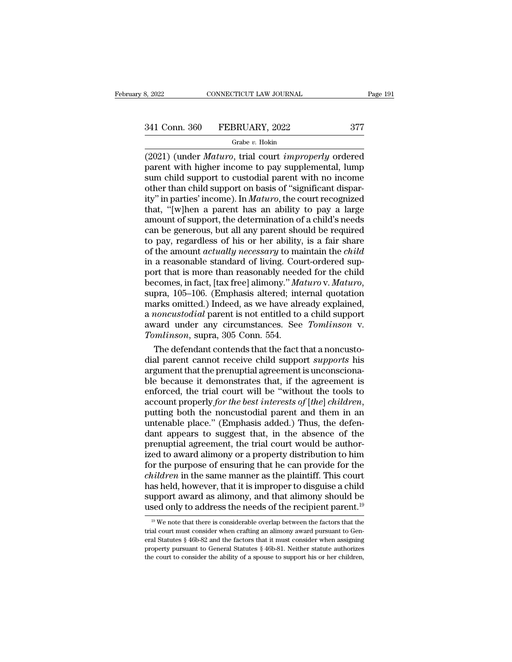# 3, 2022 CONNECTICUT LAW JOURNAL Page 191<br>  $\frac{341 \text{ Conn. } 360 \qquad \text{FEBRUARY, } 2022 \qquad \qquad 377}{\text{Grabe } v. \text{ Holsin}}$

### Grabe *v.* Hokin

(2021) (under *Maturo*, trial court *improperly* ordered<br>
(2021) (under *Maturo*, trial court *improperly* ordered<br>
parent with higher income to pay supplemental, lump<br>
sum child support to custodial parent with no income  $\begin{array}{ll} \textbf{341} \text{ Conn. } 360 & \textbf{FEBRUARY, } 2022 & 377 \\ \textbf{60} & \textbf{61} \text{ Grabe } v. \text{ Hokin} \end{array}$ <br>
(2021) (under *Maturo*, trial court *improperly* ordered parent with higher income to pay supplemental, lump sum child support to cust 341 Conn. 360 FEBRUARY, 2022 377<br>
Grabe v. Hokin<br>
(2021) (under *Maturo*, trial court *improperly* ordered<br>
parent with higher income to pay supplemental, lump<br>
sum child support to custodial parent with no income<br>
other 341 Conn. 360 FEBRUARY, 2022 377<br>
Grabe v. Hokin<br>
(2021) (under *Maturo*, trial court *improperly* ordered<br>
parent with higher income to pay supplemental, lump<br>
sum child support to custodial parent with no income<br>
other Grabe v. Hokin<br>
Grabe v. Hokin<br>
(2021) (under *Maturo*, trial court *improperly* ordered<br>
parent with higher income to pay supplemental, lump<br>
sum child support to custodial parent with no income<br>
other than child support Grabe v. Hokin<br>
(2021) (under *Maturo*, trial court *improperly* ordered<br>
parent with higher income to pay supplemental, lump<br>
sum child support to custodial parent with no income<br>
other than child support on basis of "si (2021) (under *Maturo*, trial court *improperly* ordered<br>parent with higher income to pay supplemental, lump<br>sum child support to custodial parent with no income<br>other than child support on basis of "significant dispar-<br>i parent with higher income to pay supplemental, lump<br>sum child support to custodial parent with no income<br>other than child support on basis of "significant dispar-<br>ity" in parties' income). In *Maturo*, the court recognized sum child support to custodial parent with no income<br>other than child support on basis of "significant dispar-<br>ity" in parties' income). In *Maturo*, the court recognized<br>that, "[w]hen a parent has an ability to pay a lar other than child support on basis of "significant dispar-<br>ity" in parties' income). In *Maturo*, the court recognized<br>that, "[w]hen a parent has an ability to pay a large<br>amount of support, the determination of a child's n ity" in parties' income). In *Maturo*, the court recognized<br>that, "[w]hen a parent has an ability to pay a large<br>amount of support, the determination of a child's needs<br>can be generous, but all any parent should be require that, "[w]hen a parent has an ability to pay a large<br>amount of support, the determination of a child's needs<br>can be generous, but all any parent should be required<br>to pay, regardless of his or her ability, is a fair share<br> amount of support, the determination of a child's needs<br>can be generous, but all any parent should be required<br>to pay, regardless of his or her ability, is a fair share<br>of the amount *actually necessary* to maintain the *c* to pay, regardless of his or her ability, is a fair share<br>of the amount *actually necessary* to maintain the *child*<br>in a reasonable standard of living. Court-ordered sup-<br>port that is more than reasonably needed for the of the amount *actually necessary* to maintain the *child*<br>in a reasonable standard of living. Court-ordered sup-<br>port that is more than reasonably needed for the child<br>becomes, in fact, [tax free] alimony." *Maturo* v. *M* in a reasonable standard of living. Court-ordered sup-<br>port that is more than reasonably needed for the child<br>becomes, in fact, [tax free] alimony." *Maturo* v. *Maturo*,<br>supra, 105–106. (Emphasis altered; internal quotati in a reasonable standard of living. Court-ordered support that is more than reasonably needed for the child becomes, in fact, [tax free] alimony." *Maturo* v. *Maturo*, supra, 105–106. (Emphasis altered; internal quotation comes, in fact, [tax free] alimony." *Maturo* v. *Maturo*, pra, 105–106. (Emphasis altered; internal quotation arks omitted.) Indeed, as we have already explained, *noncustodial* parent is not entitled to a child support supra, 105–106. (Emphasis altered; internal quotation<br>marks omitted.) Indeed, as we have already explained,<br>a *noncustodial* parent is not entitled to a child support<br>award under any circumstances. See *Tomlinson* v.<br>Tomli

marks omitted.) Indeed, as we have already explained,<br>a *noncustodial* parent is not entitled to a child support<br>award under any circumstances. See *Tomlinson* v.<br>Tomlinson, supra, 305 Conn. 554.<br>The defendant contends th a *noncustodial* parent is not entitled to a child support<br>award under any circumstances. See *Tomlinson* v.<br>Tomlinson, supra, 305 Conn. 554.<br>The defendant contends that the fact that a noncusto-<br>dial parent cannot receive award under any circumstances. See *Tomlinson* v.<br> *Tomlinson*, supra, 305 Conn. 554.<br>
The defendant contends that the fact that a noncusto-<br>
dial parent cannot receive child support *supports* his<br>
argument that the prenu Tomlinson, supra, 305 Conn. 554.<br>The defendant contends that the fact that a noncusto-<br>dial parent cannot receive child support *supports* his<br>argument that the prenuptial agreement is unconsciona-<br>ble because it demonstra dial parent cannot receive child support *supports* his<br>argument that the prenuptial agreement is unconsciona-<br>ble because it demonstrates that, if the agreement is<br>enforced, the trial court will be "without the tools to<br>a argument that the prenuptial agreement is unconscionable because it demonstrates that, if the agreement is<br>enforced, the trial court will be "without the tools to<br>account properly *for the best interests of* [*the*] *child* ble because it demonstrates that, if the agreement is<br>enforced, the trial court will be "without the tools to<br>account properly *for the best interests of* [*the*] *children*,<br>putting both the noncustodial parent and them i enforced, the trial court will be "without the tools to<br>account properly *for the best interests of [the] children*,<br>putting both the noncustodial parent and them in an<br>untenable place." (Emphasis added.) Thus, the defen-<br> account properly *for the best interests of* [*the*] *children*,<br>putting both the noncustodial parent and them in an<br>untenable place." (Emphasis added.) Thus, the defen-<br>dant appears to suggest that, in the absence of the<br> putting both the noncustodial parent and them in an untenable place." (Emphasis added.) Thus, the defendant appears to suggest that, in the absence of the prenuptial agreement, the trial court would be authorized to award untenable place." (Emphasis added.) Thus, the defendant appears to suggest that, in the absence of the prenuptial agreement, the trial court would be authorized to award alimony or a property distribution to him for the p dant appears to suggest that, in the absence of the<br>prenuptial agreement, the trial court would be author-<br>ized to award alimony or a property distribution to him<br>for the purpose of ensuring that he can provide for the<br>*ch* prenuptial agreement, the trial court would be authorized to award alimony or a property distribution to him<br>for the purpose of ensuring that he can provide for the<br>*children* in the same manner as the plaintiff. This cou *uildren* in the same manner as the plaintiff. This court as held, however, that it is improper to disguise a child upport award as alimony, and that alimony should be sed only to address the needs of the recipient parent has held, however, that it is improper to disguise a child<br>support award as alimony, and that alimony should be<br>used only to address the needs of the recipient parent.<sup>19</sup><br><sup>19</sup> We note that there is considerable overlap b

support award as alimony, and that alimony should be used only to address the needs of the recipient parent.<sup>19</sup> <sup>19</sup> We note that there is considerable overlap between the factors that the trial court must consider when used only to address the needs of the recipient parent.<sup>19</sup><br><sup>19</sup> We note that there is considerable overlap between the factors that the trial court must consider when crafting an alimony award pursuant to General Statute  $19$  We note that there is considerable overlap between the factors that the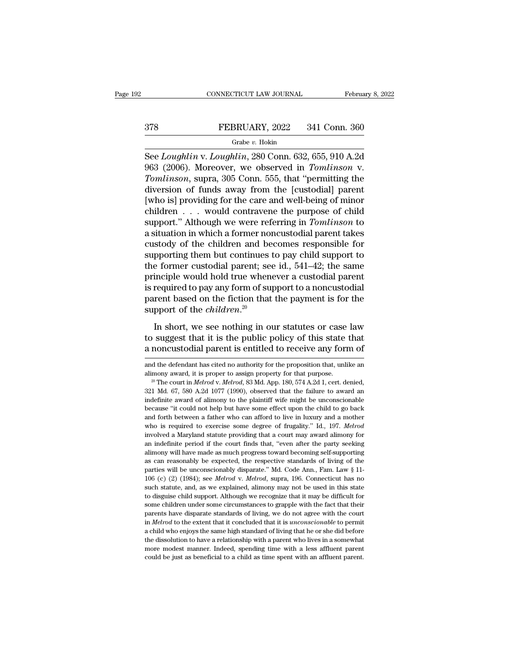# CONNECTICUT LAW JOURNAL February 8, 2022<br>378 FEBRUARY, 2022 341 Conn. 360<br>Grabe v. Hokin

### Grabe *v.* Hokin

CONNECTICUT LAW JOURNAL February 8, 2022<br>
ST8 FEBRUARY, 2022 341 Conn. 360<br>
Grabe v. Hokin<br>
See *Loughlin* v. *Loughlin*, 280 Conn. 632, 655, 910 A.2d<br>
963 (2006). Moreover, we observed in *Tomlinson* v.<br>
Temlinson supre 3 FEBRUARY, 2022 341 Conn. 360<br>
Grabe v. Hokin<br>
See Loughlin v. Loughlin, 280 Conn. 632, 655, 910 A.2d<br>
963 (2006). Moreover, we observed in *Tomlinson* v.<br>
Tomlinson, supra, 305 Conn. 555, that "permitting the<br>
diversion of *Tomlinson*, STOMLARY, 2022 341 Conn. 360<br> *Tombe v. Hokin*<br> *Tomghlin v. Loughlin,* 280 Conn. 632, 655, 910 A.2d<br>
963 (2006). Moreover, we observed in *Tomlinson* v.<br> *Tomlinson*, supra, 305 Conn. 555, that "permitting th  $\begin{array}{lll}\n & \text{FEBRUARY, 2022} & \text{341 Conn. 360} \\
 \hline\n & \text{Grade } v. \text{ Hokin} \\
 \text{See } Loughlin \text{ v. } Loughlin, 280 \text{ Conn. } 632, 655, 910 \text{ A.2d} \\
 963 (2006). \text{ Moreover, we observed in } Tomlinson \text{ v.} \\
 & \text{Tomlinson, supra, 305 Conn. } 555, \text{ that "permitting the} \\
 \text{diversion of funds away from the [custodial] parent} \\
 \text{[who is] providing for the care and well-being of minor} \\
 \text{children} & \text{would contrav$ From Text of the care and well-being of child<br>
See Loughlin v. Loughlin, 280 Conn. 632, 655, 910 A.2d<br>
963 (2006). Moreover, we observed in *Tomlinson* v.<br> *Tomlinson*, supra, 305 Conn. 555, that "permitting the<br>
diversio Grabe v. Hokin<br>
See *Loughlin* v. *Loughlin*, 280 Conn. 632, 655, 910 A.2d<br>
963 (2006). Moreover, we observed in *Tomlinson* v.<br> *Tomlinson*, supra, 305 Conn. 555, that "permitting the<br>
diversion of funds away from the [c See *Loughlin* v. *Loughlin*, 280 Conn. 632, 655, 910 A.2d<br>963 (2006). Moreover, we observed in *Tomlinson* v.<br>*Tomlinson*, supra, 305 Conn. 555, that "permitting the<br>diversion of funds away from the [custodial] parent<br>[wh 963 (2006). Moreover, we observed in *Tomlinson* v.<br> *Tomlinson*, supra, 305 Conn. 555, that "permitting the<br>
diversion of funds away from the [custodial] parent<br>
[who is] providing for the care and well-being of minor<br>
c Tomlinson, supra, 305 Conn. 555, that "permitting the<br>diversion of funds away from the [custodial] parent<br>[who is] providing for the care and well-being of minor<br>children  $\dots$  would contravene the purpose of child<br>support diversion of funds away from the [custodial] parent<br>[who is] providing for the care and well-being of minor<br>children  $\dots$  would contravene the purpose of child<br>support." Although we were referring in *Tomlinson* to<br>a situ [who is] providing for the care and well-being of minor<br>children  $\ldots$  would contravene the purpose of child<br>support." Although we were referring in *Tomlinson* to<br>a situation in which a former noncustodial parent takes<br>c children . . . . would contravene the purpose of child<br>support." Although we were referring in *Tomlinson* to<br>a situation in which a former noncustodial parent takes<br>custody of the children and becomes responsible for<br>supp support." Although we were referring in *Tomlinson* to<br>a situation in which a former noncustodial parent takes<br>custody of the children and becomes responsible for<br>supporting them but continues to pay child support to<br>the a situation in which a former noncustodial parent takes<br>custody of the children and becomes responsible for<br>supporting them but continues to pay child support to<br>the former custodial parent; see id., 541–42; the same<br>prin custody of the children and be<br>supporting them but continues<br>the former custodial parent; see<br>principle would hold true when<br>is required to pay any form of su<br>parent based on the fiction that<br>support of the *children*.<sup>20</sup> Experimently and the contribute or pay of the same<br>inciple would hold true whenever a custodial parent<br>required to pay any form of support to a noncustodial<br>rent based on the fiction that the payment is for the<br>pport of t The sum of the subsetional particle, see Fall, 3.11–12, are state<br>principle would hold true whenever a custodial parent<br>is required to pay any form of support to a noncustodial<br>parent based on the fiction that the payment is required to pay any form of support to a noncustodial<br>parent based on the fiction that the payment is for the<br>support of the *children*.<sup>20</sup><br>In short, we see nothing in our statutes or case law<br>to suggest that it is th

In short, we see nothing in our statutes or case law<br>to suggest that it is the public policy of this state that<br>a noncustodial parent is entitled to receive any form of<br>and the defendant has cited no authority for the prop In short, we see nothing in our statutes or case law<br>to suggest that it is the public policy of this state that<br>a noncustodial parent is entitled to receive any form of<br>and the defendant has cited no authority for the prop

<sup>22</sup> **are above that is entitled to receive any form of**<br>and the defendant has cited no authority for the proposition that, unlike an<br>alimony award, it is proper to assign property for that purpose.<br><sup>29</sup> The court in *Melrod* and the defendant has cited no authority for the proposition that, unlike an alimony award, it is proper to assign property for that purpose.<br><sup>20</sup> The court in *Melrod* v. *Melrod*, 83 Md. App. 180, 574 A.2d 1, cert. denie and the defendant has cited no authority for the proposition that, unlike an alimony award, it is proper to assign property for that purpose.<br><sup>20</sup> The court in *Melrod* v. *Melrod*, 83 Md. App. 180, 574 A.2d 1, cert. deni alimony award, it is proper to assign property for that purpose.<br><sup>20</sup> The court in *Melrod* v. *Melrod*, 83 Md. App. 180, 574 A.2d 1, cert. denied, 321 Md. 67, 580 A.2d 1077 (1990), observed that the failure to award an i <sup>20</sup> The court in *Melrod* v. *Melrod*, 83 Md. App. 180, 574 A.2d 1, cert. denied, 321 Md. 67, 580 A.2d 1077 (1990), observed that the failure to award an indefinite award of alimony to the plaintiff wife might be unconsci <sup>21</sup> Md. 67, 580 A.2d 1077 (1990), observed that the failure to award an indefinite award of alimony to the plaintiff wife might be unconscionable because "it could not help but have some effect upon the child to go back a and indefinite award of alimony to the plaintiff wife might be unconscionable because "it could not help but have some effect upon the child to go back and forth between a father who can afford to live in luxury and a mot because "it could not help but have some effect upon the child to go back<br>and forth between a father who can afford to live in luxury and a mother<br>who is required to exercise some degree of frugality." Id., 197. Melrod<br>inv and forth between a father who can afford to live in luxury and a mother who is required to exercise some degree of frugality." Id., 197. *Melrod* involved a Maryland statute providing that a court may award alimony for an who is required to exercise some degree of frugality." Id., 197. *Melrod* involved a Maryland statute providing that a court may award alimony for an indefinite period if the court finds that, "even after the party seekin mvolved a Maryland statute providing that a court may award alimony for<br>an indefinite period if the court finds that, "even after the party seeking<br>alimony will have made as much progress toward becoming self-supporting<br>as an indefinite period if the court finds that, "even after the party seeking alimony will have made as much progress toward becoming self-supporting as can reasonably be expected, the respective standards of living of the alimony will have made as much progress toward becoming self-supporting<br>as can reasonably be expected, the respective standards of living of the<br>parties will be unconscionably disparate." Md. Code Ann., Fam. Law § 11-<br> $10$ as can reasonably be expected, the respective standards of living of the parties will be unconscionably disparate." Md. Code Ann., Fam. Law § 11-106 (c) (2) (1984); see *Melrod v. Melrod*, supra, 196. Connecticut has no s parties will be unconsciously disparate." Md. Code Ann., Fam. Law § 11-<br>106 (c) (2) (1984); see *Melrod* v. *Melrod*, supra, 196. Connecticut has no<br>such statute, and, as we explained, alimony may not be used in this stat 106 (c) (2) (1984); see *Melrod* v. *Melrod*, supra, 196. Connecticut has no such statute, and, as we explained, alimony may not be used in this state to disguise child support. Although we recognize that it may be diffic EVOCUTE CONTROLLATE SURFACT THEORY OF SURFACT SURFACT SURFACT SURFACT SURFACT AND SURFACT AND A child standard of living we do not agree with the court in *Melrod* to the extent that it concluded that it is *unconscionabl* to disguise child support. Although we recognize that it may be difficult for some children under some circumstances to grapple with the fact that their parents have disparate standards of living, we do not agree with the some children under some circumstances to grapple with the fact that their parents have disparate standards of living, we do not agree with the court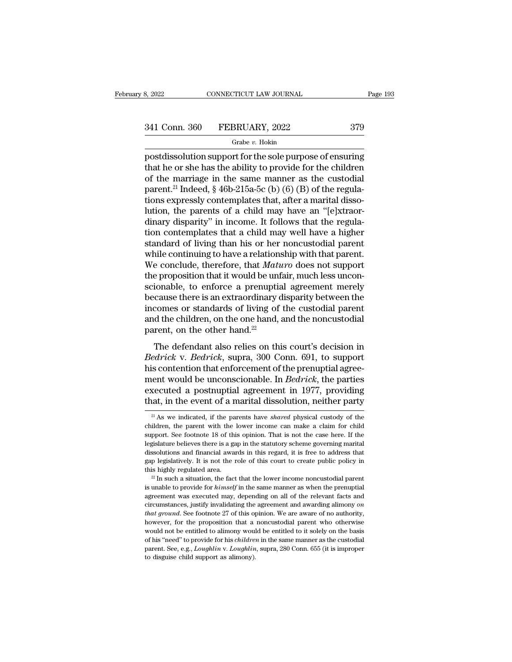# 3, 2022 CONNECTICUT LAW JOURNAL Page 193<br>341 Conn. 360 FEBRUARY, 2022 379<br>Grabe v. Hokin

### Grabe *v.* Hokin

 $\begin{array}{cccc}\n & \text{8, } & 2022 \text{} & \text{COMNETICUT LAW JOURNAL} & \text{Page 193}\n \hline\n & & \text{6. } & 341 \text{ Conn. } & 360 \text{ } & \text{FEBRUARY, } & 2022 \text{ } & 379 \text{ Grabe } v. \text{ Hokin} & \text{postdissolution support for the sole purpose of ensuring that he or she has the ability to provide for the children of the marriage in the same manner as the autodial.\n\end{array}$ 341 Conn. 360 FEBRUARY, 2022 379<br>
Grabe v. Hokin<br>
postdissolution support for the sole purpose of ensuring<br>
that he or she has the ability to provide for the children<br>
of the marriage in the same manner as the custodial<br> 341 Conn. 360 FEBRUARY, 2022 379<br>
Grabe v. Hokin<br>
postdissolution support for the sole purpose of ensuring<br>
that he or she has the ability to provide for the children<br>
of the marriage in the same manner as the custodial<br> 341 Conn. 360 FEBRUARY, 2022 379<br>
Grabe v. Hokin<br>
postdissolution support for the sole purpose of ensuring<br>
that he or she has the ability to provide for the children<br>
of the marriage in the same manner as the custodial<br> Grabe v. Hokin<br>
Tax above that, and the sole purpose of ensuring<br>
that he or she has the ability to provide for the children<br>
of the marriage in the same manner as the custodial<br>
parent.<sup>21</sup> Indeed, § 46b-215a-5c (b) (6) Grabe v. Hokin<br>postdissolution support for the sole purpose of ensuring<br>that he or she has the ability to provide for the children<br>of the marriage in the same manner as the custodial<br>parent.<sup>21</sup> Indeed, § 46b-215a-5c (b) postdissolution support for the sole purpose of ensuring<br>that he or she has the ability to provide for the children<br>of the marriage in the same manner as the custodial<br>parent.<sup>21</sup> Indeed, § 46b-215a-5c (b) (6) (B) of the r that he or she has the ability to provide for the children<br>of the marriage in the same manner as the custodial<br>parent.<sup>21</sup> Indeed,  $\S$  46b-215a-5c (b) (6) (B) of the regula-<br>tions expressly contemplates that, after a mari of the marriage in the same manner as the custodial<br>parent.<sup>21</sup> Indeed, § 46b-215a-5c (b) (6) (B) of the regula-<br>tions expressly contemplates that, after a marital disso-<br>lution, the parents of a child may have an "[e]xtr parent.<sup>21</sup> Indeed, § 46b-215a-5c (b) (6) (B) of the regulations expressly contemplates that, after a marital dissolution, the parents of a child may have an "[e]xtraordinary disparity" in income. It follows that the regu tions expressly contemplates that, after a marital dissolution, the parents of a child may have an "[e]xtraordinary disparity" in income. It follows that the regulation contemplates that a child may well have a higher stan lution, the parents of a child may have an "[e]xtraordinary disparity" in income. It follows that the regulation contemplates that a child may well have a higher standard of living than his or her noncustodial parent while dinary disparity" in income. It follows that the regulation contemplates that a child may well have a higher standard of living than his or her noncustodial parent while continuing to have a relationship with that parent. tion contemplates that a child may well have a higher<br>standard of living than his or her noncustodial parent<br>while continuing to have a relationship with that parent.<br>We conclude, therefore, that *Maturo* does not support<br> standard of living than his or her noncustodial parent<br>while continuing to have a relationship with that parent.<br>We conclude, therefore, that *Maturo* does not support<br>the proposition that it would be unfair, much less unc while continuing to have a relationship with that parent.<br>We conclude, therefore, that  $Maturo$  does not support<br>the proposition that it would be unfair, much less uncon-<br>scionable, to enforce a prenuptial agreement merely<br>b We conclude, therefore, that *Mati*<br>the proposition that it would be unf<br>scionable, to enforce a prenuptia<br>because there is an extraordinary c<br>incomes or standards of living of<br>and the children, on the one hand,<br>parent, o ionable, to enforce a prenuptial agreement merely<br>cause there is an extraordinary disparity between the<br>comes or standards of living of the custodial parent<br>d the children, on the one hand, and the noncustodial<br>rent, on t because there is an extraordinary disparity between the<br>incomes or standards of living of the custodial parent<br>and the children, on the one hand, and the noncustodial<br>parent, on the other hand.<sup>22</sup><br>The defendant also relie

because there is an extraordinary disparity between the<br>incomes or standards of living of the custodial parent<br>and the children, on the one hand, and the noncustodial<br>parent, on the other hand.<sup>22</sup><br>The defendant also reli meones of standards of hying of the edistodial parent<br>and the children, on the one hand, and the noncustodial<br>parent, on the other hand.<sup>22</sup><br>The defendant also relies on this court's decision in<br>*Bedrick* v. *Bedrick*, sup parent, on the one hand, and the honetastotical<br>parent, on the other hand.<sup>22</sup><br>The defendant also relies on this court's decision in<br>*Bedrick* v. *Bedrick*, supra, 300 Conn. 691, to support<br>his contention that enforcement The defendant also relies on this court's decision in *Bedrick* v. *Bedrick*, supra, 300 Conn. 691, to support his contention that enforcement of the prenuptial agreement would be unconscionable. In *Bedrick*, the parties is contention that enforcement of the prenuptial agreement would be unconscionable. In *Bedrick*, the parties **xecuted** a postnuptial agreement in 1977, providing at, in the event of a marital dissolution, neither party <sup>2</sup> ment would be unconscionable. In *Bedrick*, the parties executed a postnuptial agreement in 1977, providing that, in the event of a marital dissolution, neither party  $\frac{21}{4}$  As we indicated, if the parents have *share* 

executed a postnuptial agreement in 1977, providing<br>that, in the event of a marital dissolution, neither party<br> $\frac{21}{4}$  As we indicated, if the parents have *shared* physical custody of the<br>children, the parent with the that, in the event of a marital dissolution, neither party  $\frac{21}{1}$  As we indicated, if the parents have *shared* physical custody of the children, the parent with the lower income can make a claim for child support. Se <sup>21</sup> As we indicated, if the parents have *shared* physical custody of the children, the parent with the lower income can make a claim for child support. See footnote 18 of this opinion. That is not the case here. If the <sup>21</sup> As we indicated, if the parents have *shared* physical custody of the children, the parent with the lower income can make a claim for child support. See footnote 18 of this opinion. That is not the case here. If the children, the parent with the lower income can make a claim for child support. See footnote 18 of this opinion. That is not the case here. If the legislature believes there is a gap in the statutory scheme governing marit is unable believes there is a gap in the statutory scheme governing marital dissolutions and financial awards in this regard, it is free to address that gap legislatively. It is not the role of this court to create public

dissolutions and financial awards in this regard, it is free to address that gap legislatively. It is not the role of this court to create public policy in this highly regulated area.<br><sup>22</sup> In such a situation, the fact th gap legislatively. It is not the role of this court to create public policy in this highly regulated area.<br><sup>22</sup> In such a situation, the fact that the lower income noncustodial parent  $\frac{20}{10}$  and a situation, the fact *this highly regulated area.* <sup>22</sup> In such a situation, the fact that the lower income noncustodial parent <sup>22</sup> In such a situation, the fact that the lower income noncustodial parent is unable to provide for *himself* in <sup>22</sup> In such a situation, the fact that the lower income noncustodial parent is unable to provide for *himself* in the same manner as when the prenuptial agreement was executed may, depending on all of the relevant facts is unable to provide for *himself* in the same manner as when the prenuptial agreement was executed may, depending on all of the relevant facts and circumstances, justify invalidating the agreement and awarding alimony *o* agreement was executed may, depending on all of the relevant facts and circumstances, justify invalidating the agreement and awarding alimony *on that ground*. See footnote 27 of this opinion. We are aware of no authorit circumstances, justify invalidating the agreement and awarding alimony on that ground. See footnote 27 of this opinion. We are aware of no authority, however, for the proposition that a noncustodial parent who otherwise wo that ground. See footnote 27 of this opinion. We are aware of no authority,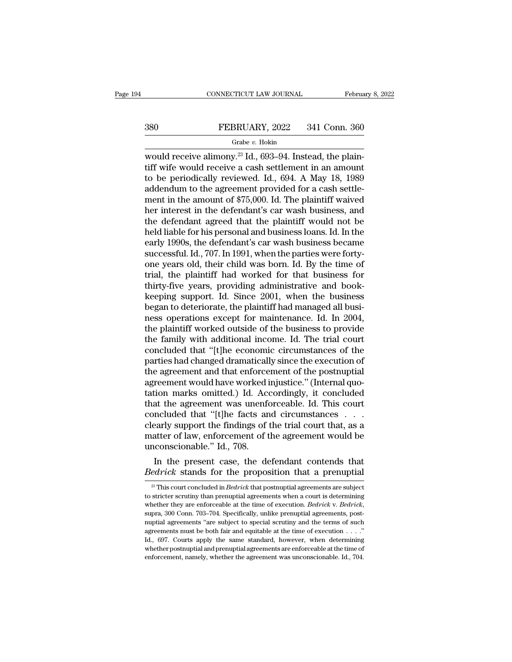# CONNECTICUT LAW JOURNAL February 8, 2022<br>380 FEBRUARY, 2022 341 Conn. 360<br>Grabe v. Hokin

### Grabe *v.* Hokin

CONNECTICUT LAW JOURNAL Februa<br>
380 FEBRUARY, 2022 341 Conn. 360<br>
<sup>Grabe v. Hokin</sup><br>
would receive alimony.<sup>23</sup> Id., 693–94. Instead, the plain-<br>
tiff wife would receive a cash settlement in an amount 380 FEBRUARY, 2022 341 Conn. 360<br>
Grabe v. Hokin<br>
would receive a cash settlement in an amount<br>
to be periodically reviewed. Id., 694. A May 18, 1989<br>
addendum to the agreement provided for a cash settle-380 FEBRUARY, 2022 341 Conn. 360<br>
Grabe v. Hokin<br>
would receive alimony.<sup>23</sup> Id., 693–94. Instead, the plaintiff wife would receive a cash settlement in an amount<br>
to be periodically reviewed. Id., 694. A May 18, 1989<br>
ad 380 FEBRUARY, 2022 341 Conn. 360<br>
Grabe *v.* Hokin<br>
would receive alimony.<sup>23</sup> Id., 693–94. Instead, the plain-<br>
tiff wife would receive a cash settlement in an amount<br>
to be periodically reviewed. Id., 694. A May 18, 198 Grabe v. Hokin<br>
would receive alimony.<sup>23</sup> Id., 693–94. Instead, the plain-<br>
tiff wife would receive a cash settlement in an amount<br>
to be periodically reviewed. Id., 694. A May 18, 1989<br>
addendum to the agreement provide Grabe v. Hokin<br>would receive alimony.<sup>23</sup> Id., 693–94. Instead, the plain-<br>tiff wife would receive a cash settlement in an amount<br>to be periodically reviewed. Id., 694. A May 18, 1989<br>addendum to the agreement provided fo would receive alimony.<sup>23</sup> Id., 693–94. Instead, the plaintiff wife would receive a cash settlement in an amount<br>to be periodically reviewed. Id., 694. A May 18, 1989<br>addendum to the agreement provided for a cash settle-<br> tiff wife would receive a cash settlement in an amount<br>to be periodically reviewed. Id., 694. A May 18, 1989<br>addendum to the agreement provided for a cash settle-<br>ment in the amount of \$75,000. Id. The plaintiff waived<br>her to be periodically reviewed. Id., 694. A May 18, 1989<br>addendum to the agreement provided for a cash settle-<br>ment in the amount of \$75,000. Id. The plaintiff waived<br>her interest in the defendant's car wash business, and<br>the addendum to the agreement provided for a cash settlement in the amount of \$75,000. Id. The plaintiff waived<br>her interest in the defendant's car wash business, and<br>the defendant agreed that the plaintiff would not be<br>held l ment in the amount of \$75,000. Id. The plaintiff waived<br>her interest in the defendant's car wash business, and<br>the defendant agreed that the plaintiff would not be<br>held liable for his personal and business loans. Id. In th her interest in the defendant's car wash business, and<br>the defendant agreed that the plaintiff would not be<br>held liable for his personal and business loans. Id. In the<br>early 1990s, the defendant's car wash business became<br> the defendant agreed that the plaintiff would not be<br>held liable for his personal and business loans. Id. In the<br>early 1990s, the defendant's car wash business became<br>successful. Id., 707. In 1991, when the parties were fo held liable for his personal and business loans. Id. In the<br>early 1990s, the defendant's car wash business became<br>successful. Id., 707. In 1991, when the parties were forty-<br>one years old, their child was born. Id. By the early 1990s, the defendant's car wash business became<br>successful. Id., 707. In 1991, when the parties were forty-<br>one years old, their child was born. Id. By the time of<br>trial, the plaintiff had worked for that business fo successful. Id., 707. In 1991, when the parties were forty-<br>one years old, their child was born. Id. By the time of<br>trial, the plaintiff had worked for that business for<br>thirty-five years, providing administrative and book one years old, their child was born. Id. By the time of<br>trial, the plaintiff had worked for that business for<br>thirty-five years, providing administrative and book-<br>keeping support. Id. Since 2001, when the business<br>began t trial, the plaintiff had worked for that business for<br>thirty-five years, providing administrative and book-<br>keeping support. Id. Since 2001, when the business<br>began to deteriorate, the plaintiff had managed all busi-<br>ness thirty-five years, providing administrative and book-<br>keeping support. Id. Since 2001, when the business<br>began to deteriorate, the plaintiff had managed all busi-<br>ness operations except for maintenance. Id. In 2004,<br>the pl keeping support. Id. Since 2001, when the business<br>began to deteriorate, the plaintiff had managed all busi-<br>ness operations except for maintenance. Id. In 2004,<br>the plaintiff worked outside of the business to provide<br>the began to deteriorate, the plaintiff had managed all business operations except for maintenance. Id. In 2004, the plaintiff worked outside of the business to provide the family with additional income. Id. The trial court co ness operations except for maintenance. Id. In 2004, the plaintiff worked outside of the business to provide the family with additional income. Id. The trial court concluded that "[t]he economic circumstances of the partie the plaintiff worked outside of the business to provide<br>the family with additional income. Id. The trial court<br>concluded that "[t]he economic circumstances of the<br>parties had changed dramatically since the execution of<br>the the family with additional income. Id. The trial court<br>concluded that "[t]he economic circumstances of the<br>parties had changed dramatically since the execution of<br>the agreement and that enforcement of the postnuptial<br>agree concluded that "[t]he economic circumstances of the<br>parties had changed dramatically since the execution of<br>the agreement and that enforcement of the postnuptial<br>agreement would have worked injustice." (Internal quo-<br>tatio parties had changed dramatically since the execution of<br>the agreement and that enforcement of the postnuptial<br>agreement would have worked injustice." (Internal quo-<br>tation marks omitted.) Id. Accordingly, it concluded<br>that the agreement and that enforcement of the postnuptial<br>agreement would have worked injustice." (Internal quo-<br>tation marks omitted.) Id. Accordingly, it concluded<br>that the agreement was unenforceable. Id. This court<br>conclud agreement would have worked if<br>tation marks omitted.) Id. Acc<br>that the agreement was unenfe<br>concluded that "[t]he facts an<br>clearly support the findings of<br>matter of law, enforcement of t<br>unconscionable." Id., 708.<br>In the p Let us marks omitted.) Id. Accordingly, it concluded<br>at the agreement was unenforceable. Id. This court<br>ncluded that "[t]he facts and circumstances . . .<br>early support the findings of the trial court that, as a<br>atter of l that the agreement was unentorceable. Id. This court<br>concluded that "[t]he facts and circumstances  $\ldots$ <br>clearly support the findings of the trial court that, as a<br>matter of law, enforcement of the agreement would be<br>unco

Example: The present case, the defendant contends that edrick stands for the proposition that a prenuptial agreements are subject as a prenuptial agreements are subject stricter scrutiny than prenuptial agreements when a c In the present case, the defendant contends that<br> *Bedrick* stands for the proposition that a prenuptial<br>
<sup>23</sup> This court concluded in *Bedrick* that postnuptial agreements are subject<br>
to stricter scrutiny than prenuptia In the present case, the defendant contends that  $Bedrick$  stands for the proposition that a prenuptial  $\frac{1}{2}$ . This court concluded in *Bedrick* that postnuptial agreements are subject to stricter scrutiny than prenuptial **DEUTICK STATION TOT THE PLOPOSITION THAT A PTENTIPULAL**<br>
<sup>23</sup> This court concluded in *Bedrick* that postnuptial agreements are subject to stricter scrutiny than prenuptial agreements when a court is determining whether <sup>23</sup> This court concluded in *Bedrick* that postnuptial agreements are subject to stricter scrutiny than prenuptial agreements when a court is determining whether they are enforceable at the time of execution. *Bedrick* v to stricter scrutiny than prenuptial agreements when a court is determining whether they are enforceable at the time of execution. *Bedrick* v. *Bedrick*, supra, 300 Conn. 703–704. Specifically, unlike prenuptial agreemen whether they are enforceable at the time of execution. *Bedrick* v. *Bedrick*, supra, 300 Conn. 703–704. Specifically, unlike prenuptial agreements, post-<br>nuptial agreements "are subject to special scrutiny and the terms supra, 300 Conn. 703–704. Specifically, unlike prenuptial agreements, post-<br>nuptial agreements "are subject to special scrutiny and the terms of such<br>agreements must be both fair and equitable at the time of execution  $\ld$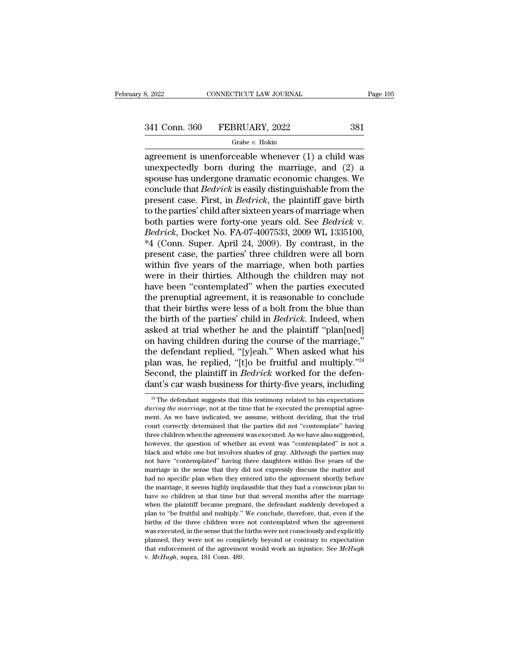# 3, 2022 CONNECTICUT LAW JOURNAL Page 195<br>341 Conn. 360 FEBRUARY, 2022 381<br>Grabe v. Hokin

### Grabe *v.* Hokin

 $\begin{array}{cccc}\n & \text{8, } & 2022 \quad \text{COMRECTICUT LAW JOURNAL} & \text{Page 195}\n \hline\n & & \text{6. } & 341 \text{ Conn. } & 360 \quad \text{FEBRUARY, } & 2022 \quad \text{381}\n \hline\n & & \text{6. } & 381 \quad \text{Grabe } v. \text{ Hokin}\n \hline\n & & \text{agreement is unenforceable whenever (1) a child was} & \text{unexpectedly born during the marriage, and (2) a} & \text{grouge has undaction of ramatic economic changes. } & \text{We}\n\end{array}$ 341 Conn. 360 FEBRUARY, 2022 381<br>
Grabe v. Hokin<br>
agreement is unenforceable whenever (1) a child was<br>
unexpectedly born during the marriage, and (2) a<br>
spouse has undergone dramatic economic changes. We<br>
conclude that *R* 341 Conn. 360 FEBRUARY, 2022 381<br>
Grabe v. Hokin<br>
agreement is unenforceable whenever (1) a child was<br>
unexpectedly born during the marriage, and (2) a<br>
spouse has undergone dramatic economic changes. We<br>
conclude that *B* 341 Conn. 360 FEBRUARY, 2022 381<br>
Grabe *v*. Hokin<br>
agreement is unenforceable whenever (1) a child was<br>
unexpectedly born during the marriage, and (2) a<br>
spouse has undergone dramatic economic changes. We<br>
conclude that Grabe *v*. Hokin<br>
agreement is unenforceable whenever (1) a child was<br>
unexpectedly born during the marriage, and (2) a<br>
spouse has undergone dramatic economic changes. We<br>
conclude that *Bedrick* is easily distinguishabl Grabe v. Hokin<br>agreement is unenforceable whenever (1) a child was<br>unexpectedly born during the marriage, and (2) a<br>spouse has undergone dramatic economic changes. We<br>conclude that *Bedrick* is easily distinguishable from agreement is unenforceable whenever (1) a child was<br>unexpectedly born during the marriage, and (2) a<br>spouse has undergone dramatic economic changes. We<br>conclude that *Bedrick* is easily distinguishable from the<br>present cas unexpectedly born during the marriage, and (2) a<br>spouse has undergone dramatic economic changes. We<br>conclude that *Bedrick* is easily distinguishable from the<br>present case. First, in *Bedrick*, the plaintiff gave birth<br>to spouse has undergone dramatic economic changes. We<br>conclude that *Bedrick* is easily distinguishable from the<br>present case. First, in *Bedrick*, the plaintiff gave birth<br>to the parties' child after sixteen years of marriag conclude that *Bedrick* is easily distinguishable from the<br>present case. First, in *Bedrick*, the plaintiff gave birth<br>to the parties' child after sixteen years of marriage when<br>both parties were forty-one years old. See present case. First, in *Bedrick*, the plaintiff gave birth<br>to the parties' child after sixteen years of marriage when<br>both parties were forty-one years old. See *Bedrick* v.<br>*Bedrick*, Docket No. FA-07-4007533, 2009 WL 13 to the parties' child after sixteen years of marriage when<br>both parties were forty-one years old. See *Bedrick* v.<br>*Bedrick*, Docket No. FA-07-4007533, 2009 WL 1335100,<br>\*4 (Conn. Super. April 24, 2009). By contrast, in the both parties were forty-one years old. See *Bedrick* v.<br> *Bedrick*, Docket No. FA-07-4007533, 2009 WL 1335100,<br>
\*4 (Conn. Super. April 24, 2009). By contrast, in the<br>
present case, the parties' three children were all born Bedrick, Docket No. FA-07-4007533, 2009 WL 1335100,<br>\*4 (Conn. Super. April 24, 2009). By contrast, in the<br>present case, the parties' three children were all born<br>within five years of the marriage, when both parties<br>were in \*4 (Conn. Super. April 24, 2009). By contrast, in the present case, the parties' three children were all born within five years of the marriage, when both parties were in their thirties. Although the children may not have present case, the parties' three children were all born<br>within five years of the marriage, when both parties<br>were in their thirties. Although the children may not<br>have been "contemplated" when the parties executed<br>the pren within five years of the marriage, when both parties<br>were in their thirties. Although the children may not<br>have been "contemplated" when the parties executed<br>the prenuptial agreement, it is reasonable to conclude<br>that thei were in their thirties. Although the children may not<br>have been "contemplated" when the parties executed<br>the prenuptial agreement, it is reasonable to conclude<br>that their births were less of a bolt from the blue than<br>the have been "contemplated" when the parties executed<br>the prenuptial agreement, it is reasonable to conclude<br>that their births were less of a bolt from the blue than<br>the birth of the parties' child in *Bedrick*. Indeed, when<br> the prenuptial agreement, it is reasonable to conclude<br>that their births were less of a bolt from the blue than<br>the birth of the parties' child in *Bedrick*. Indeed, when<br>asked at trial whether he and the plaintiff "plan[n that their births were less of a bolt from the blue than<br>the birth of the parties' child in *Bedrick*. Indeed, when<br>asked at trial whether he and the plaintiff "plan[ned]<br>on having children during the course of the marriag the birth of the parties' child in *Bedrick*. Indeed, when<br>asked at trial whether he and the plaintiff "plan[ned]<br>on having children during the course of the marriage,"<br>the defendant replied, "[y]eah." When asked what his<br> is defendant replied, "[y]eah." When asked what his<br>lan was, he replied, "[t]o be fruitful and multiply."<sup>24</sup><br>econd, the plaintiff in *Bedrick* worked for the defen-<br>ant's car wash business for thirty-five years, includin plan was, he replied, "[t]o be fruitful and multiply."<sup>24</sup><br>Second, the plaintiff in *Bedrick* worked for the defen-<br>dant's car wash business for thirty-five years, including<br><sup>24</sup> The defendant suggests that this testimony

Second, the plaintiff in *Bedrick* worked for the defendant's car wash business for thirty-five years, including  $\frac{24}{1}$  The defendant suggests that this testimony related to his expectations *during the marriage*, not courta, are plantially in Downton worked for the determined dant's car wash business for thirty-five years, including  $\frac{24}{10}$  The defendant suggests that this testimony related to his expectations *during the marriage* The defendant suggests that this testimony related to his expectations<br>  $u\nu$  <sup>24</sup> The defendant suggests that this testimony related to his expectations<br>
during the marriage, not at the time that he executed the prenupti <sup>24</sup> The defendant suggests that this testimony related to his expectations *during the marriage*, not at the time that he executed the prenuptial agreement. As we have indicated, we assume, without deciding, that the tri during the marriage, not at the time that he executed the prenuptial agreement. As we have indicated, we assume, without deciding, that the trial court correctly determined that the parties did not "contemplate" having thr not have ''contemplated'' having three daughters without deciding, that the trial<br>court correctly determined that the parties did not "contemplate" having<br>three children when the agreement was executed. As we have also sug marriage in the sense that they entered in the sense that the parties did not "contemplate" having three children when the agreement was executed. As we have also suggested, however, the question of whether an event was "c three children when the agreement was executed. As we have also suggested, thowever, the question of whether an event was "contemplated" is not a black and white one but involves shades of gray. Although the parties may no the marriage, it seems highly implausible that they had a conscious planet marriage in the sense that they did not expressly discuss the matter and had no specific plan when they did not expressly discuss the matter and ha black and white one but involves shades of gray. Although the parties may not have "contemplated" having three daughters within five years of the marriage in the sense that they did not expressly discuss the matter and had not have "contemplated" having three daughters within five years of the marriage in the sense that they did not expressly discuss the matter and had no specific plan when they entered into the agreement shortly before the marriage in the sense that they did not expressly discuss the matter and had no specific plan when they entered into the agreement shortly before the marriage, it seems highly implausible that they had a conscious plan to marriage in the sense that they did not expressly discuss the matter and had no specific plan when they entered into the agreement shortly before the marriage, it seems highly implausible that they had a conscious plan to when the marriage, it seems highly implausible that they had a conscious plan to have *no* children at that time but that several months after the marriage when the plaintiff became pregnant, the defendant suddenly develo also a matter and that time but that several months after the marriage when the plaintiff became pregnant, the defendant suddenly developed a plan to "be fruitful and multiply." We conclude, therefore, that, even if the bi when the plaintiff became pregnant, the defendant suddenly developed a<br>plan to "be fruitful and multiply." We conclude, therefore, that, even if the<br>births of the three children were not contemplated when the agreement<br>was plan to "be fruitful and multiply." We conclude, therefore, that, even if the births of the three children were not contemplated when the agreement was executed, in the sense that the births were not consciously and explic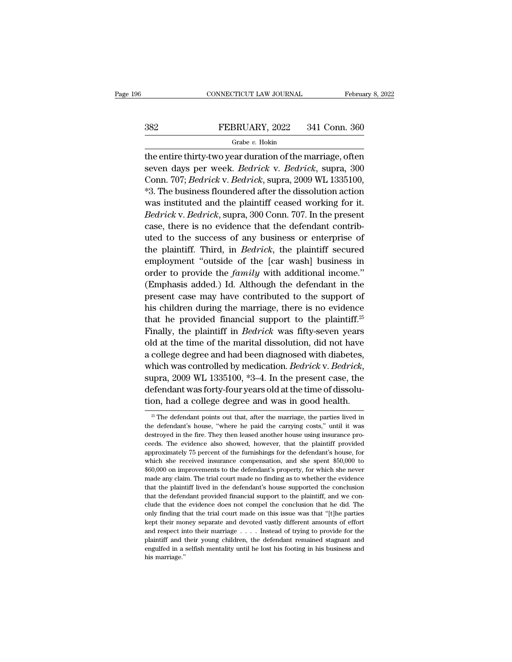# CONNECTICUT LAW JOURNAL February 8, 2022<br>382 FEBRUARY, 2022 341 Conn. 360<br>Grabe v. Hokin

### Grabe *v.* Hokin

CONNECTICUT LAW JOURNAL February 8, 2022<br>
SEP FEBRUARY, 2022 341 Conn. 360<br>
Grabe v. Hokin<br>
the entire thirty-two year duration of the marriage, often<br>
seven days per week. *Bedrick* v. *Bedrick*, supra, 300 Seven days per week. *Bedrick* v. *Bedrick*, supra, 300<br>
Seven days per week. *Bedrick* v. *Bedrick*, supra, 300<br>
Conn. 707; *Bedrick* v. *Bedrick*, supra, 2009 WL 1335100, FEBRUARY, 2022 341 Conn. 360<br>
Grabe *v.* Hokin<br>
the entire thirty-two year duration of the marriage, often<br>
seven days per week. *Bedrick* v. *Bedrick*, supra, 300<br>
Conn. 707; *Bedrick* v. *Bedrick*, supra, 2009 WL 1335100 \*3. The business floundered after the dissolution action Grabe v. Hokin<br>the entire thirty-two year duration of the marriage, often<br>seven days per week. *Bedrick* v. *Bedrick*, supra, 300<br>Conn. 707; *Bedrick* v. *Bedrick*, supra, 2009 WL 1335100,<br>\*3. The business floundered afte the entire thirty-two year duration of the marriage, often<br>seven days per week. *Bedrick* v. *Bedrick*, supra, 300<br>Conn. 707; *Bedrick* v. *Bedrick*, supra, 2009 WL 1335100,<br>\*3. The business floundered after the dissolutio the entire thirty-two year duration of the marriage, otten<br>seven days per week. *Bedrick* v. *Bedrick*, supra, 300<br>Conn. 707; *Bedrick* v. *Bedrick*, supra, 2009 WL 1335100,<br>\*3. The business floundered after the dissolutio Seven days per week. *Bearick* v. *Bearick*, supra, 300<br>Conn. 707; *Bedrick* v. *Bedrick*, supra, 2009 WL 1335100,<br>\*3. The business floundered after the dissolution action<br>was instituted and the plaintiff ceased working f Confl. 707; *Beartock* V. *Beartock*, supra, 2009 WL 1555100,<br>
\*3. The business floundered after the dissolution action<br>
was instituted and the plaintiff ceased working for it.<br> *Bedrick* v. *Bedrick*, supra, 300 Conn. 707 <sup>1</sup>.5. The business noundered after the dissolution action<br>was instituted and the plaintiff ceased working for it.<br>Bedrick v. Bedrick, supra, 300 Conn. 707. In the present<br>case, there is no evidence that the defendant con was instituted and the plaintiff ceased working for it.<br>Bedrick v. Bedrick, supra, 300 Conn. 707. In the present<br>case, there is no evidence that the defendant contrib-<br>uted to the success of any business or enterprise of<br>t *Bearith V. Bearith*, supra, 500 Collit. 707. If the present case, there is no evidence that the defendant contributed to the success of any business or enterprise of the plaintiff. Third, in *Bedrick*, the plaintiff secu case, there is no evidence that the defendant contributed to the success of any business or enterprise of the plaintiff. Third, in *Bedrick*, the plaintiff secured employment "outside of the [car wash] business in order t the plaintiff. Third, in *Bedrick*, the plaintiff secured<br>employment "outside of the [car wash] business in<br>order to provide the *family* with additional income."<br>(Emphasis added.) Id. Although the defendant in the<br>present the plant. Thut, in *Beartok*, the plant. Secured<br>employment "outside of the [car wash] business in<br>order to provide the *family* with additional income."<br>(Emphasis added.) Id. Although the defendant in the<br>present case m Finally, the plaintiff in *Bedrick* was fifty-seven years old at the time of the marriage, there is no evidence that he provided financial support to the plaintiff.<sup>25</sup> Finally, the plaintiff in *Bedrick* was fifty-seven y (Emphasis added.) Id. Although the defendant in the<br>present case may have contributed to the support of<br>his children during the marriage, there is no evidence<br>that he provided financial support to the plaintiff.<sup>25</sup><br>Final (Emphasis added.) Id. Antiough the defendant in the<br>present case may have contributed to the support of<br>his children during the marriage, there is no evidence<br>that he provided financial support to the plaintiff.<sup>25</sup><br>Final present case may have contributed to the support of<br>his children during the marriage, there is no evidence<br>that he provided financial support to the plaintiff.<sup>25</sup><br>Finally, the plaintiff in *Bedrick* was fifty-seven years<br> Finally, the plaintiff in *Bedrick* was fifty-seven years<br>old at the time of the marital dissolution, did not have<br>a college degree and had been diagnosed with diabetes,<br>which was controlled by medication. *Bedrick* v. *Be* Thany, the plant in *Bearton* was inty-seven years<br>old at the time of the marital dissolution, did not have<br>a college degree and had been diagnosed with diabetes,<br>which was controlled by medication. *Bedrick* v. *Bedrick* which was controlled by medication. *Bedrick* v. *Bedrick*, supra, 2009 WL 1335100, \*3–4. In the present case, the defendant was forty-four years old at the time of dissolution, had a college degree and was in good health supra, 2009 WL 1335100, \*3–4. In the present case, the defendant was forty-four years old at the time of dissolution, had a college degree and was in good health.<br> $\frac{25}{\pi}$  The defendant points out that, after the marri

defendant was forty-four years old at the time of dissolution, had a college degree and was in good health.<br><sup>25</sup> The defendant points out that, after the marriage, the parties lived in the defendant's house, "where he paid tion, had a college degree and was in good health.<br>  $\frac{25}{5}$  The defendant points out that, after the marriage, the parties lived in<br>
the defendant's house, "where he paid the carrying costs," until it was<br>
destroyed in  $\frac{25}{3}$  The defendant points out that, after the marriage, the parties lived in the defendant's house, "where he paid the carrying costs," until it was destroyed in the fire. They then leased another house using insura <sup>25</sup> The defendant points out that, after the marriage, the parties lived in the defendant's house, "where he paid the carrying costs," until it was destroyed in the fire. They then leased another house using insurance pr from the defendant's house, "where he paid the carrying costs," until it was destroyed in the fire. They then leased another house using insurance proceeds. The evidence also showed, however, that the plaintiff provided ap destroyed in the fire. They then leased another house using insurance proceeds. The evidence also showed, however, that the plaintiff provided approximately 75 percent of the furnishings for the defendant's house, for whic ceeds. The evidence also showed, however, that the plaintiff provided approximately 75 percent of the furnishings for the defendant's house, for which she received insurance compensation, and she spent \$50,000 to \$60,000 o approximately 75 percent of the furnishings for the defendant's house, for which she received insurance compensation, and she spent \$50,000 to \$60,000 on improvements to the defendant's property, for which she never made a which she received insurance compensation, and she spent  $$50,000$  to  $$60,000$  on improvements to the defendant's property, for which she never made any claim. The trial court made no finding as to whether the evidence t  $*60,000$  on improvements to the defendant's property, for which she never made any claim. The trial court made no finding as to whether the evidence that the plaintiff lived in the defendant's house supported the conclus wade any claim. The trial court made no finding as to whether the evidence that the plaintiff lived in the defendant's house supported the conclusion that the defendant provided financial support to the plaintiff, and we that the plaintiff lived in the defendant's house supported the conclusion<br>that the plaintiff lived in the defendant's house supported the conclusion<br>that the defendant provided financial support to the plaintiff, and we that the defendant provided financial support to the plaintiff, and we conclude that the evidence does not compel the conclusion that he did. The only finding that the trial court made on this issue was that "[t]he parties engulfed in a selfish mentality until he lost his footing in his business and clude that the evidence does not compel the conclusion that he did. The only finding that the trial court made on this issue was that "[t]he par clude that the evidence does not compel the conclusion that he did. The only finding that the trial court made on this issue was that "[t]he parties kept their money separate and devoted vastly different amounts of effort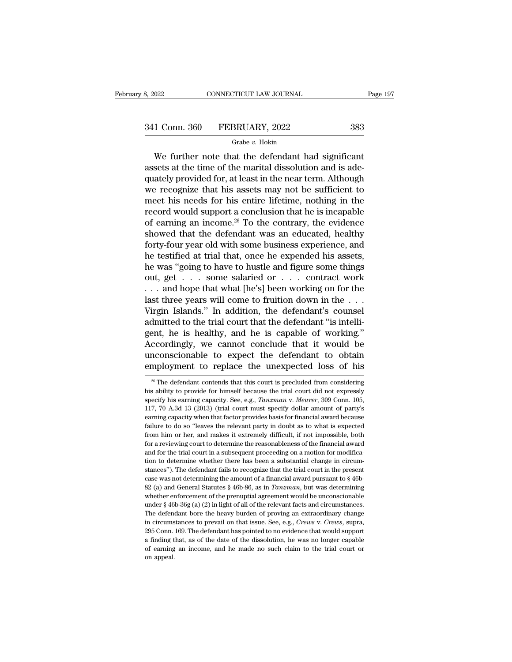# 341 Conn. 360 FEBRUARY, 2022 383

### Grabe *v.* Hokin

 $\begin{array}{r|l}\n 0.22 & \multicolumn{1}{c|}{\text{COMRECTICUT LAW JOURNAL}} & \text{Page 19'} \\
 \hline\n 1 & \multicolumn{1}{c|}{\text{Conn. 360}} & \text{FEBRUARY, 2022} & \text{383} \\
 \hline\n \text{Grade } v. \text{ Hokin} & \text{We further note that the defendant had significant sets at the time of the marital dissolution and is adequately provided for at least in the near term. Although}\n \end{array}$  $\begin{array}{r} \text{341 Conn. } 360 \quad \text{FEBRUARY, } 2022 \quad \text{383} \\ \text{Grade } v. \text{ Hokin} \end{array}$ <br>We further note that the defendant had significant assets at the time of the marital dissolution and is ade-quately provided for, at least in the near ter  $\begin{array}{r} \n 341 \text{ Conn. } 360 \quad \text{FEBRUARY, } 2022 \quad \text{383} \\
 \hline \n \text{We further note that the defendant had significant assets at the time of the marital dissolution and is adequately provided for, at least in the near term. Although we recognize that his assets may not be sufficient to meet his needs for his entire lifetime, nothing in the$  $341$  Conn.  $360$  FEBRUARY,  $2022$   $383$ <br>
Grabe v. Hokin<br>
We further note that the defendant had significant<br>
assets at the time of the marital dissolution and is ade-<br>
quately provided for, at least in the near term. Alt Frake v. Hokin<br>We further note that the defendant had significant<br>assets at the time of the marital dissolution and is ade-<br>quately provided for, at least in the near term. Although<br>we recognize that his assets may not be We further note that the defendant had significant<br>assets at the time of the marital dissolution and is ade-<br>quately provided for, at least in the near term. Although<br>we recognize that his assets may not be sufficient to<br> We further note that the defendant had significant<br>assets at the time of the marital dissolution and is ade-<br>quately provided for, at least in the near term. Although<br>we recognize that his assets may not be sufficient to<br> assets at the time of the marital dissolution and is ade-<br>quately provided for, at least in the near term. Although<br>we recognize that his assets may not be sufficient to<br>meet his needs for his entire lifetime, nothing in t quately provided for, at least in the near term. Although<br>we recognize that his assets may not be sufficient to<br>meet his needs for his entire lifetime, nothing in the<br>record would support a conclusion that he is incapable<br> we recognize that his assets may not be sufficient to<br>meet his needs for his entire lifetime, nothing in the<br>record would support a conclusion that he is incapable<br>of earning an income.<sup>26</sup> To the contrary, the evidence<br>sh meet his needs for his entire lifetime, nothing in the record would support a conclusion that he is incapable of earning an income.<sup>26</sup> To the contrary, the evidence showed that the defendant was an educated, healthy fort record would support a conclusion that he is incapable<br>of earning an income.<sup>26</sup> To the contrary, the evidence<br>showed that the defendant was an educated, healthy<br>forty-four year old with some business experience, and<br>he t of earning an income.<sup>26</sup> To the contrary, the evidence<br>showed that the defendant was an educated, healthy<br>forty-four year old with some business experience, and<br>he testified at trial that, once he expended his assets,<br>he showed that the defendant was an educated, healthy<br>forty-four year old with some business experience, and<br>he testified at trial that, once he expended his assets,<br>he was "going to have to hustle and figure some things<br>out, forty-four year old with some business experience, and<br>he testified at trial that, once he expended his assets,<br>he was "going to have to hustle and figure some things<br>out, get . . . some salaried or . . . contract work<br> $\$ he testified at trial that, once he expended his assets,<br>he was "going to have to hustle and figure some things<br>out, get  $\ldots$  some salaried or  $\ldots$  contract work<br> $\ldots$  and hope that what [he's] been working on for the<br>l he was "going to have to hustle and figure some things<br>out, get . . . some salaried or . . . contract work<br>... and hope that what [he's] been working on for the<br>last three years will come to fruition down in the . . .<br>Virg out, get . . . some salaried or . . . contract work<br>
. . . and hope that what [he's] been working on for the<br>
last three years will come to fruition down in the . . .<br>
Virgin Islands." In addition, the defendant's counsel<br> ... and hope that what [he's] been working on for the<br>last three years will come to fruition down in the ...<br>Virgin Islands." In addition, the defendant's counsel<br>admitted to the trial court that the defendant "is intellilast three years will come to fruition down in the  $\dots$ <br>Virgin Islands." In addition, the defendant's counsel<br>admitted to the trial court that the defendant "is intelli-<br>gent, he is healthy, and he is capable of working." gent, he is healthy, and he is capable of working."<br>Accordingly, we cannot conclude that it would be<br>unconscionable to expect the defendant to obtain<br>employment to replace the unexpected loss of his<br> $\frac{1}{26}$  The defenda Accordingly, we cannot conclude that it would be<br>unconscionable to expect the defendant to obtain<br>employment to replace the unexpected loss of his<br> $\frac{1}{20}$  The defendant contends that this court is precluded from consid

unconscionable to expect the defendant to obtain<br>employment to replace the unexpected loss of his<br><sup>26</sup> The defendant contends that this court is precluded from considering<br>his ability to provide for himself because the tri **EXECUTE 117, 117, 120 A.3d 13** (2013) (trial court must specify dollar amount of party's earning capacity. See, e.g., *Tanzman v. Meurer*, 309 Conn. 105, 117, 70 A.3d 13 (2013) (trial court must specify dollar amount of Entproyment to Teprace the unexpected 1058 of filst<br>
<sup>26</sup> The defendant contends that this court is precluded from considering<br>
specify his earning capacity. See, e.g., *Tanzman v. Meurer*; 309 Conn. 105,<br>
117, 70 A.3d 13 <sup>26</sup> The defendant contends that this court is precluded from considering his ability to provide for himself because the trial court did not expressly specify his earning capacity. See, e.g., *Tanzman v. Meurer*, 309 Conn from him or her, and makes it extremely difficult, if not impossible, both for a reviewing conactly. See, e.g., *Tanzman v. Meurer*, 309 Conn. 105, 117, 70 A.3d 13 (2013) (trial court must specify dollar amount of party's specify his earning capacity. See, e.g., *Tanzman v. Meurer*, 309 Conn. 105, 117, 70 A.3d 13 (2013) (trial court must specify dollar amount of party's earning capacity when that factor provides basis for financial award b 117, 70 A.3d 13 (2013) (trial court must specify dollar amount of party's earning capacity when that factor provides basis for financial award because failure to do so "leaves the relevant party in doubt as to what is exp earning capacity when that factor provides basis for financial award because failure to do so "leaves the relevant party in doubt as to what is expected from him or her, and makes it extremely difficult, if not impossible stances''). The defendant fails to recognize that the trial court in the present failure to do so "leaves the relevant party in doubt as to what is expected from him or her, and makes it extremely difficult, if not imposs from him or her, and makes it extremely difficult, if not impossible, both for a reviewing court to determine the reasonableness of the financial award and for the trial court in a subsequent proceeding on a motion for mo for a reviewing court to determine the reasonableness of the financial award and for the trial court in a subsequent proceeding on a motion for modification to determine whether there has been a substantial change in circ and for the trial court in a subsequent proceeding on a motion for modification to determine whether there has been a substantial change in circumstances"). The defendant fails to recognize that the trial court in the pre under the state of the prendict and substantial change in circum-<br>stances"). The defendant fails to recognize that the trial court in the present<br>case was not determining the amount of a financial award pursuant to § 46bstances"). The defendant fails to recognize that the trial court in the present case was not determining the amount of a financial award pursuant to  $\S$  46b-82 (a) and General Statutes  $\S$  46b-86, as in *Tanzman*, but was exase was not determining the amount of a financial award pursuant to § 46b-82 (a) and General Statutes § 46b-86, as in *Tanzman*, but was determining whether enforcement of the prenuptial agreement would be unconscionable <sup>82</sup> Conn. 169. The defendant has pointed to no evidence that would be unconscionable under § 46b-36g (a) (2) in light of all of the relevant facts and circumstances. The defendant bore the heavy burden of proving an extr be the enforcement of the prenuptial agreement would be unconscionable under § 46b-36g (a) (2) in light of all of the relevant facts and circumstances. The defendant bore the heavy burden of proving an extraordinary chang whether enforcement of the prenuptial agreement would be unconscionable under  $§$  46b-36g (a) (2) in light of all of the relevant facts and circumstances. The defendant bore the heavy burden of proving an extraordinary ch The defendant bore the heavy burden of proving an extraordinary change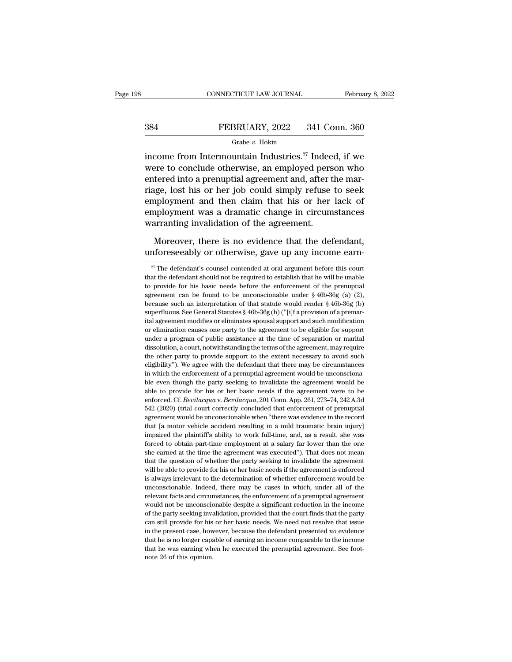### CONNECTICUT LAW JOURNAL February 8, 2022<br>384 FEBRUARY, 2022 341 Conn. 360<br>Grabe v. Hokin Grabe *v.* Hokin

CONNECTICUT LAW JOURNAL February 8, 2022<br>  $341$  Conn. 360<br>
Grabe v. Hokin<br>
income from Intermountain Industries.<sup>27</sup> Indeed, if we<br>
were to conclude otherwise, an employed person who  $\begin{array}{r} \text{SEBRUARY, 2022} \qquad \text{341 Conn. } 360 \\ \text{Grade } v. \text{ Hokin} \end{array}$ <br>income from Intermountain Industries.<sup>27</sup> Indeed, if we were to conclude otherwise, an employed person who entered into a prenuptial agreement and, after the marr EEBRUARY, 2022 341 Conn. 360<br>
FEBRUARY, 2022 341 Conn. 360<br>
income from Intermountain Industries.<sup>27</sup> Indeed, if we<br>
were to conclude otherwise, an employed person who<br>
entered into a prenuptial agreement and, after the m FEBRUARY, 2022 341 Conn. 360<br>
FEBRUARY, 2022 341 Conn. 360<br>
income from Intermountain Industries.<sup>27</sup> Indeed, if we<br>
were to conclude otherwise, an employed person who<br>
entered into a prenuptial agreement and, after the m Grabe  $v$ . Hokin<br>income from Intermountain Industries.<sup>27</sup> Indeed, if we<br>were to conclude otherwise, an employed person who<br>entered into a prenuptial agreement and, after the mar-<br>riage, lost his or her job could simply r extra income from Intermountain Industries.<sup>27</sup> Indeed, if we were to conclude otherwise, an employed person who entered into a prenuptial agreement and, after the marriage, lost his or her job could simply refuse to seek income from Intermountain Industries.<sup>27</sup> Indee<br>were to conclude otherwise, an employed pers<br>entered into a prenuptial agreement and, after t<br>riage, lost his or her job could simply refuse<br>employment and then claim that hi tered into a prenuptial agreement and, after the mar-<br>uge, lost his or her job could simply refuse to seek<br>pployment and then claim that his or her lack of<br>ployment was a dramatic change in circumstances<br>arranting invalida riage, lost his or her job could simply refuse to seek<br>employment and then claim that his or her lack of<br>employment was a dramatic change in circumstances<br>warranting invalidation of the agreement.<br>Moreover, there is no ev

arranting invalidation of the agreement.<br>
Moreover, there is no evidence that the defendant,<br>
nforeseeably or otherwise, gave up any income earn-<br>  $\frac{27}{27}$  The defendant's counsel contended at oral argument before this

Moreover, there is no evidence that the defendant,<br>unforeseeably or otherwise, gave up any income earn-<br> $\frac{27}{7}$  The defendant's counsel contended at oral argument before this court<br>that the defendant should not be requ Moreover, there is no evidence that the defendant,<br>unforeseeably or otherwise, gave up any income earn-<br><sup>27</sup> The defendant's counsel contended at oral argument before this court<br>that the defendant should not be required t unforeseeably or otherwise, gave up any income earn-<br>
<sup>27</sup> The defendant's counsel contended at oral argument before this court<br>
that the defendant should not be required to establish that he will be unable<br>
to provide fo The defendant's counsel contended at oral argument before this court<br>
<sup>27</sup> The defendant should not be required to establish that he will be unable<br>
to provide for his basic needs before the enforcement of the prenuptial<br> <sup>27</sup> The defendant's counsel contended at oral argument before this court that the defendant should not be required to establish that he will be unable to provide for his basic needs before the enforcement of the prenupti that the defendant should not be required to establish that he will be unable to provide for his basic needs before the enforcement of the prenuptial agreement can be found to be unconscionable under  $\frac{8}{9}$  46b-36g (a) are to provide for his basic needs before the enforcement of the prenuptial agreement can be found to be unconscionable under  $\S$  46b-36g (a) (2), because such an interpretation of that statute would render  $\S$  46b-36g (b agreement can be found to be unconscionable under  $\S$  46b-36g (a) (2), because such an interpretation of that statute would render  $\S$  46b-36g (b) superfluous. See General Statutes  $\S$  46b-36g (b) ("[i]f a provision of a decause such an interpretation of that statute would render  $\S$  46b-36g (b) superfluous. See General Statutes  $\S$  46b-36g (b) ("[i]f a provision of a premarital agreement modifies or eliminates spousal support and such mo superfluous. See General Statutes § 46b-36g (b) ("[i]f a provision of a premarital agreement modifies or eliminates spousal support and such modification or elimination causes one party to the agreement to be eligible for Elial agreement modifies or eliminates spousal support and such modification or elimination causes one party to the agreement to be eligible for support under a program of public assistance at the time of separation or ma or elimination causes one party to the agreement to be eligible for support under a program of public assistance at the time of separation or marital dissolution, a court, notwithstanding the terms of the agreement, may re ble a program of public assistance at the time of separation or marital dissolution, a court, notwithstanding the terms of the agreement, may require the other party to provide support to the extent necessary to avoid such dissolution, a court, notwithstanding the terms of the agreement, may require<br>the other party to provide support to the extent necessary to avoid such<br>eligibility"). We agree with the defendant that there may be circumsta the other party to provide support to the extent necessary to avoid such eligibility"). We agree with the defendant that there may be circumstances in which the enforcement of a prenuptial agreement would be unconscionable eligibility"). We agree with the defendant that there may be circumstances<br>in which the enforcement of a prenuptial agreement would be unconsciona-<br>ble even though the party seeking to invalidate the agreement would be<br>abl in which the enforcement of a prenuptial agreement would be unconscionable even though the party seeking to invalidate the agreement would be able to provide for his or her basic needs if the agreement were to be enforced. the even though the party seking to invalidate the agreement would be able to provide for his or her basic needs if the agreement were to be enforced. Cf. *Bevilacqua* v. *Bevilacqua*, 201 Conn. App. 261, 273–74, 242 A.3d able to provide for his or her basic needs if the agreement were to be enforced. Cf. *Bevilacqua* v. *Bevilacqua*, 201 Conn. App. 261, 273–74, 242 A.3d 542 (2020) (trial court correctly concluded that enforcement of prenup enforced Cf. Bevilacqua v. Bevilacqua, 201 Conn. App. 261, 273–74, 242 A.3d 542 (2020) (trial court correctly concluded that enforcement of prenuptial agreement would be unconscionable when "there was evidence in the recor  $542$  (2020) (trial court correctly concluded that enforcement of prenuptial agreement would be unconscionable when "there was evidence in the record that [a motor vehicle accident resulting in a mild traumatic brain inju Example and the unconscionable when "there was evidence in the record that [a motor vehicle accident resulting in a mild traumatic brain injury] impaired the plaintiff's ability to work full-time, and, as a result, she wa what [a motor vehicle accident resulting in a mild traumatic brain injury] impaired the plaintiff's ability to work full-time, and, as a result, she was forced to obtain part-time employment at a salary far lower than the is always irrelevant to the determination of whether enforcement  $\alpha$ , when forced to obtain part-time employment at a salary far lower than the one she earned at the time the agreement was executed"). That does not mean forced to obtain part-time employment at a salary far lower than the one forced to obtain part-time employment at a salary far lower than the one she earned at the time the agreement was executed"). That does not mean that forced to obtain part-time employment at a salary far lower than the one she earned at the time the agreement was executed"). That does not mean that the question of whether the party seeking to invalidate the agreement wi that the question of whether the party seeking to invalidate the agreement will be able to provide for his or her basic needs if the agreement is enforced is always irrelevant to the determination of whether enforcement wo will be able to provide for his or her basic needs if the agreement is enforced is always irrelevant to the determination of whether enforcement would be unconscionable. Indeed, there may be cases in which, under all of th is always irrelevant to the determination of whether enforcement would be unconscionable. Indeed, there may be cases in which, under all of the relevant facts and circumstances, the enforcement of a prenuptial agreement w in the present facts and circumstances, the enforcement of a prenuptial agreement facts and circumstances, the enforcement of a prenuptial agreement would not be unconscionable despite a significant reduction in the income relevant facts and circumstances, the enforcement of a prenuptial agreement would not be unconscionable despite a significant reduction in the income of the party seeking invalidation, provided that the court finds that th would not be unconscionable despite a significant reduction in the income of the party seeking invalidation, provided that the court finds that the party can still provide for his or her basic needs. We need not resolve t of the party seeking invalidation, provided that the court finds that the party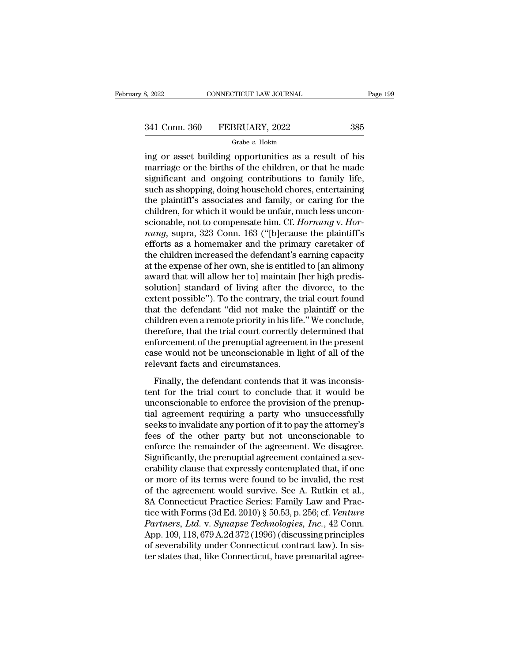# 3, 2022 CONNECTICUT LAW JOURNAL Page 199<br>341 Conn. 360 FEBRUARY, 2022 385<br>Grabe v. Hokin

### Grabe *v.* Hokin

EXECT BOOT CONNECTICUT LAW JOURNAL Page 199<br>
341 Conn. 360 FEBRUARY, 2022 385<br>
6 Grabe v. Hokin<br>
ing or asset building opportunities as a result of his<br>
marriage or the births of the children, or that he made<br>
significant  $\frac{341 \text{ Conn. } 360 \qquad \text{FEBRUARY, } 2022 \qquad \qquad 385}$ <br>
orabe *v*. Hokin<br>
ing or asset building opportunities as a result of his<br>
marriage or the births of the children, or that he made<br>
significant and ongoing contributions to f  $\begin{array}{r} \text{341 Conn. } 360 \quad \text{FEBRUARY, } 2022 \quad \text{385} \\ \text{601} \quad \text{602} \quad \text{603} \quad \text{604} \quad \text{605} \end{array}$ <br>
Sing or asset building opportunities as a result of his<br>
marriage or the births of the children, or that he made<br>
significa 341 Conn. 360 FEBRUARY, 2022 385<br>
Grabe v. Hokin<br>
ing or asset building opportunities as a result of his<br>
marriage or the births of the children, or that he made<br>
significant and ongoing contributions to family life,<br>
suc Grabe v. Hokin<br>
ing or asset building opportunities as a result of his<br>
marriage or the births of the children, or that he made<br>
significant and ongoing contributions to family life,<br>
such as shopping, doing household cho Grabe v. Hokin<br>ing or asset building opportunities as a result of his<br>marriage or the births of the children, or that he made<br>significant and ongoing contributions to family life,<br>such as shopping, doing household chores, ing or asset building opportunities as a result of his<br>marriage or the births of the children, or that he made<br>significant and ongoing contributions to family life,<br>such as shopping, doing household chores, entertaining<br>th marriage or the births of the children, or that he made<br>significant and ongoing contributions to family life,<br>such as shopping, doing household chores, entertaining<br>the plaintiff's associates and family, or caring for the<br> significant and ongoing contributions to family life,<br>such as shopping, doing household chores, entertaining<br>the plaintiff's associates and family, or caring for the<br>children, for which it would be unfair, much less unconsuch as shopping, doing household chores, entertaining<br>the plaintiff's associates and family, or caring for the<br>children, for which it would be unfair, much less uncon-<br>scionable, not to compensate him. Cf. *Hornung* v. *H* the plaintiff's associates and family, or caring for the children, for which it would be unfair, much less unconscionable, not to compensate him. Cf. *Hornung* v. *Hornung*, supra, 323 Conn. 163 ("[b]ecause the plaintiff's children, for which it would be unfair, much less unconscionable, not to compensate him. Cf. *Hornung* v. *Hornung*, supra, 323 Conn. 163 ("[b]ecause the plaintiff's efforts as a homemaker and the primary caretaker of the scionable, not to compensate him. Cf. *Hornung* v. *Hornung*, supra, 323 Conn. 163 ("[b]ecause the plaintiff's efforts as a homemaker and the primary caretaker of the children increased the defendant's earning capacity at mung, supra, 323 Conn. 163 ("[b]ecause the plaintiff's<br>efforts as a homemaker and the primary caretaker of<br>the children increased the defendant's earning capacity<br>at the expense of her own, she is entitled to [an alimony<br>a efforts as a homemaker and the primary caretaker of<br>the children increased the defendant's earning capacity<br>at the expense of her own, she is entitled to [an alimony<br>award that will allow her to] maintain [her high predisthe children increased the defendant's earning capacity<br>at the expense of her own, she is entitled to [an alimony<br>award that will allow her to] maintain [her high predis-<br>solution] standard of living after the divorce, to at the expense of her own, she is entitled to [an alimony award that will allow her to] maintain [her high predissolution] standard of living after the divorce, to the extent possible"). To the contrary, the trial court fo award that will allow her to] maintain [her high predissolution] standard of living after the divorce, to the extent possible"). To the contrary, the trial court found that the defendant "did not make the plaintiff or the solution] standard of living after the divorce, to the extent possible"). To the contrary, the trial court found that the defendant "did not make the plaintiff or the children even a remote priority in his life." We conclu extent possible"). To the contrary, the t<br>that the defendant "did not make the<br>children even a remote priority in his life<br>therefore, that the trial court correctly<br>enforcement of the prenuptial agreemer<br>case would not be ildren even a remote priority in his life." We conclude,<br>ildren even a remote priority in his life." We conclude,<br>erefore, that the trial court correctly determined that<br>forcement of the prenuptial agreement in the present therefore, that the trial court correctly determined that<br>enforcement of the prenuptial agreement in the present<br>case would not be unconscionable in light of all of the<br>relevant facts and circumstances.<br>Finally, the defend

enforcement of the prenuptial agreement in the present<br>case would not be unconscionable in light of all of the<br>relevant facts and circumstances.<br>Finally, the defendant contends that it was inconsis-<br>tent for the trial cour Example and the premaple and greener in the present<br>case would not be unconscionable in light of all of the<br>relevant facts and circumstances.<br>Finally, the defendant contends that it was inconsis-<br>tent for the trial court t relevant facts and circumstances.<br>Finally, the defendant contends that it was inconsistent for the trial court to conclude that it would be<br>unconscionable to enforce the provision of the prenup-<br>tial agreement requiring a Finally, the defendant contends that it was inconsistent for the trial court to conclude that it would be unconscionable to enforce the provision of the prenuptial agreement requiring a party who unsuccessfully seeks to in Finally, the defendant contends that it was inconsistent for the trial court to conclude that it would be unconscionable to enforce the provision of the prenuptial agreement requiring a party who unsuccessfully seeks to in tent for the trial court to conclude that it would be<br>unconscionable to enforce the provision of the prenup-<br>tial agreement requiring a party who unsuccessfully<br>seeks to invalidate any portion of it to pay the attorney's<br>f unconscionable to enforce the provision of the prenuptial agreement requiring a party who unsuccessfully<br>seeks to invalidate any portion of it to pay the attorney's<br>fees of the other party but not unconscionable to<br>enforce tial agreement requiring a party who unsuccessfully<br>seeks to invalidate any portion of it to pay the attorney's<br>fees of the other party but not unconscionable to<br>enforce the remainder of the agreement. We disagree.<br>Signifi seeks to invalidate any portion of it to pay the attorney's<br>fees of the other party but not unconscionable to<br>enforce the remainder of the agreement. We disagree.<br>Significantly, the prenuptial agreement contained a sev-<br>er fees of the other party but not unconscionable to<br>enforce the remainder of the agreement. We disagree.<br>Significantly, the prenuptial agreement contained a sev-<br>erability clause that expressly contemplated that, if one<br>or enforce the remainder of the agreement. We disagree.<br>Significantly, the prenuptial agreement contained a sev-<br>erability clause that expressly contemplated that, if one<br>or more of its terms were found to be invalid, the res *Significantly, the prenuptial agreement contained a severability clause that expressly contemplated that, if one or more of its terms were found to be invalid, the rest of the agreement would survive. See A. Rutkin et al.* erability clause that expressly contemplated that, if one<br>or more of its terms were found to be invalid, the rest<br>of the agreement would survive. See A. Rutkin et al.,<br>8A Connecticut Practice Series: Family Law and Prac-<br>t or more of its terms were found to be invalid, the rest<br>of the agreement would survive. See A. Rutkin et al.,<br>8A Connecticut Practice Series: Family Law and Prac-<br>tice with Forms (3d Ed. 2010) § 50.53, p. 256; cf. *Venture* of the agreement would survive. See A. Rutkin et al., 8A Connecticut Practice Series: Family Law and Practice with Forms (3d Ed. 2010) § 50.53, p. 256; cf. *Venture Partners, Ltd.* v. *Synapse Technologies, Inc.*, 42 Conn.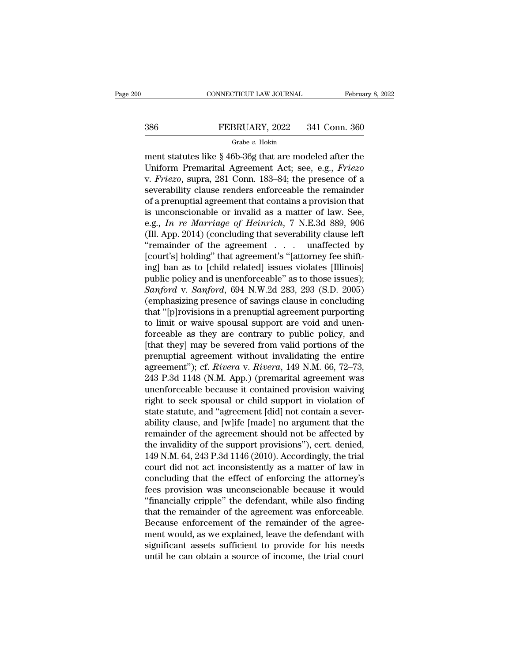# CONNECTICUT LAW JOURNAL February 8, 2022<br>386 FEBRUARY, 2022 341 Conn. 360<br>Grabe v. Hokin

### Grabe *v.* Hokin

CONNECTICUT LAW JOURNAL February 8, 2022<br>
386 FEBRUARY, 2022 341 Conn. 360<br>
Grabe v. Hokin<br>
ment statutes like § 46b-36g that are modeled after the<br>
Uniform Premarital Agreement Act; see, e.g., *Friezo* EXERUARY, 2022 341 Conn. 360<br>
Grabe v. Hokin<br>
The v. Hokin<br>
The v. Hokin<br>
Uniform Premarital Agreement Act; see, e.g., *Friezo*<br>
v. *Friezo*, supra, 281 Conn. 183–84; the presence of a<br>
soverability clause readers or force FEBRUARY, 2022 341 Conn. 360<br>
FEBRUARY, 2022 341 Conn. 360<br>
The present statutes like § 46b-36g that are modeled after the<br>
Uniform Premarital Agreement Act; see, e.g., *Friezo*<br>
v. *Friezo*, supra, 281 Conn. 183–84; the p Several of the vertex of the set of law Section 1990<br>
State  $v$  Hokin<br>
ment statutes like § 46b-36g that are modeled after the<br>
Uniform Premarital Agreement Act; see, e.g., *Friezo*<br>
v. *Friezo*, supra, 281 Conn. 183–84; Grabe v. Hokin<br>
ment statutes like § 46b-36g that are modeled after the<br>
Uniform Premarital Agreement Act; see, e.g., *Friezo*<br>
v. *Friezo*, supra, 281 Conn. 183–84; the presence of a<br>
severability clause renders enforcea ment statutes like § 46b-36g that are modeled after the<br>Uniform Premarital Agreement Act; see, e.g., *Friezo*<br>v. *Friezo*, supra, 281 Conn. 183–84; the presence of a<br>severability clause renders enforceable the remainder<br>o ment statutes like § 46b-36g that are modeled after the<br>Uniform Premarital Agreement Act; see, e.g., *Friezo*<br>v. *Friezo*, supra, 281 Conn. 183–84; the presence of a<br>severability clause renders enforceable the remainder<br>of Uniform Premarital Agreement Act; see, e.g., *Friezo*<br>v. *Friezo*, supra, 281 Conn. 183–84; the presence of a<br>severability clause renders enforceable the remainder<br>of a prenuptial agreement that contains a provision that<br>i v. *Friezo*, supra, 281 Conn. 183–84; the presence of a<br>severability clause renders enforceable the remainder<br>of a prenuptial agreement that contains a provision that<br>is unconscionable or invalid as a matter of law. See,<br> severability clause renders enforceable the remainder<br>of a prenuptial agreement that contains a provision that<br>is unconscionable or invalid as a matter of law. See,<br>e.g., In re Marriage of Heinrich, 7 N.E.3d 889, 906<br>(Ill of a prenuptial agreement that contains a provision that<br>is unconscionable or invalid as a matter of law. See,<br>e.g., In re Marriage of Heinrich, 7 N.E.3d 889, 906<br>(Ill. App. 2014) (concluding that severability clause left is unconscionable or invalid as a matter of law. See,<br>e.g., *In re Marriage of Heinrich*, 7 N.E.3d 889, 906<br>(Ill. App. 2014) (concluding that severability clause left<br>"remainder of the agreement".... unaffected by<br>[court' *Sanford* v. *Sanford*, 694 N.W.2d 283, 293 (S.D. 2005)<br> *Sanford* v. *Sanford*, 694 N.W.2d 283, 293 (S.D. 2005)<br> *Sanford* v. *Sanford*, 694 N.W.2d 283, 293 (S.D. 2005)<br> *Sanford* v. *Sanford*, 694 N.W.2d 283, 293 (S.D. 2 (Ill. App. 2014) (concluding that severability clause left<br>
"remainder of the agreement . . . . unaffected by<br>
[court's] holding" that agreement's "[attorney fee shift-<br>
ing] ban as to [child related] issues violates [Ill "remainder of the agreement . . . unaffected by<br>[court's] holding" that agreement's "[attorney fee shift-<br>ing] ban as to [child related] issues violates [Illinois]<br>public policy and is unenforceable" as to those issues);<br>[court's] holding" that agreement's "[attorney fee shift-<br>ing] ban as to [child related] issues violates [Illinois]<br>public policy and is unenforceable" as to those issues);<br> $Sanford$  v.  $Sanford$ , 694 N.W.2d 283, 293 (S.D. 2005)<br>( ing] ban as to [child related] issues violates [Illinois]<br>public policy and is unenforceable" as to those issues);<br>Sanford v. Sanford, 694 N.W.2d 283, 293 (S.D. 2005)<br>(emphasizing presence of savings clause in concluding<br>t public policy and is unenforceable" as to those issues);<br>
Sanford v. Sanford, 694 N.W.2d 283, 293 (S.D. 2005)<br>
(emphasizing presence of savings clause in concluding<br>
that "[p]rovisions in a prenuptial agreement purporting Sanford v. Sanford, 694 N.W.2d 283, 293 (S.D. 2005)<br>(emphasizing presence of savings clause in concluding<br>that "[p]rovisions in a prenuptial agreement purporting<br>to limit or waive spousal support are void and unen-<br>forcea (emphasizing presence of savings clause in concluding<br>that "[p]rovisions in a prenuptial agreement purporting<br>to limit or waive spousal support are void and unen-<br>forceable as they are contrary to public policy, and<br>[that that "[p]rovisions in a prenuptial agreement purporting<br>to limit or waive spousal support are void and unen-<br>forceable as they are contrary to public policy, and<br>[that they] may be severed from valid portions of the<br>prenup to limit or waive spousal support are void and unen-<br>forceable as they are contrary to public policy, and<br>[that they] may be severed from valid portions of the<br>prenuptial agreement without invalidating the entire<br>agreement forceable as they are contrary to public policy, and<br>[that they] may be severed from valid portions of the<br>prenuptial agreement without invalidating the entire<br>agreement"); cf. *Rivera* v. *Rivera*, 149 N.M. 66, 72–73,<br>24 [that they] may be severed from valid portions of the<br>prenuptial agreement without invalidating the entire<br>agreement"); cf. *Rivera* v. *Rivera*, 149 N.M. 66, 72–73,<br>243 P.3d 1148 (N.M. App.) (premarital agreement was<br>une prenuptial agreement without invalidating the entire<br>agreement"); cf. *Rivera* v. *Rivera*, 149 N.M. 66, 72–73,<br>243 P.3d 1148 (N.M. App.) (premarital agreement was<br>unenforceable because it contained provision waiving<br>right agreement"); cf. *Rivera* v. *Rivera*, 149 N.M. 66, 72–73,<br>243 P.3d 1148 (N.M. App.) (premarital agreement was<br>unenforceable because it contained provision waiving<br>right to seek spousal or child support in violation of<br>st 243 P.3d 1148 (N.M. App.) (premarital agreement was<br>unenforceable because it contained provision waiving<br>right to seek spousal or child support in violation of<br>state statute, and "agreement [did] not contain a sever-<br>abili unenforceable because it contained provision waiving<br>right to seek spousal or child support in violation of<br>state statute, and "agreement [did] not contain a sever-<br>ability clause, and [w]ife [made] no argument that the<br>re right to seek spousal or child support in violation of<br>state statute, and "agreement [did] not contain a sever-<br>ability clause, and [w]ife [made] no argument that the<br>remainder of the agreement should not be affected by<br>th state statute, and "agreement [did] not contain a sever-<br>ability clause, and [w]ife [made] no argument that the<br>remainder of the agreement should not be affected by<br>the invalidity of the support provisions"), cert. denied, ability clause, and [w]ife [made] no argument that the<br>remainder of the agreement should not be affected by<br>the invalidity of the support provisions"), cert. denied,<br>149 N.M. 64, 243 P.3d 1146 (2010). Accordingly, the tria remainder of the agreement should not be affected by<br>
the invalidity of the support provisions"), cert. denied,<br>
149 N.M. 64, 243 P.3d 1146 (2010). Accordingly, the trial<br>
court did not act inconsistently as a matter of la the invalidity of the support provisions"), cert. denied,<br>149 N.M. 64, 243 P.3d 1146 (2010). Accordingly, the trial<br>court did not act inconsistently as a matter of law in<br>concluding that the effect of enforcing the attorne 149 N.M. 64, 243 P.3d 1146 (2010). Accordingly, the trial<br>court did not act inconsistently as a matter of law in<br>concluding that the effect of enforcing the attorney's<br>fees provision was unconscionable because it would<br>"fi court did not act inconsistently as a matter of law in<br>concluding that the effect of enforcing the attorney's<br>fees provision was unconscionable because it would<br>"financially cripple" the defendant, while also finding<br>that concluding that the effect of enforcing the attorney's<br>fees provision was unconscionable because it would<br>"financially cripple" the defendant, while also finding<br>that the remainder of the agreement was enforceable.<br>Because fees provision was unconscionable because it would<br>"financially cripple" the defendant, while also finding<br>that the remainder of the agreement was enforceable.<br>Because enforcement of the remainder of the agree-<br>ment would,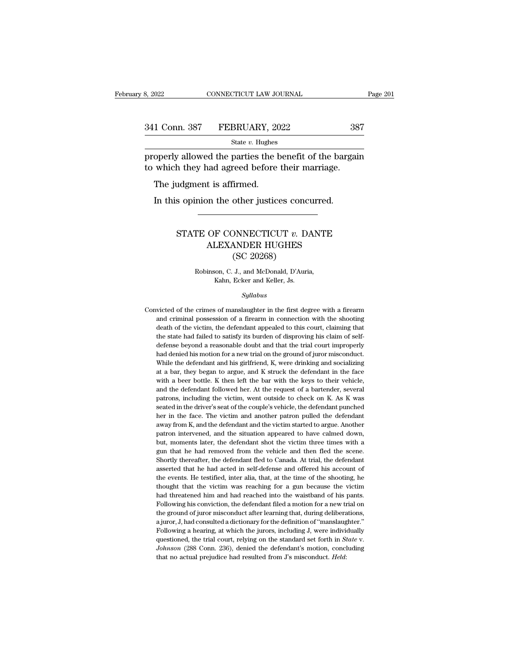| 3, 2022       | CONNECTICUT LAW JOURNAL | Page 201 |  |
|---------------|-------------------------|----------|--|
|               |                         |          |  |
| 341 Conn. 387 | FEBRUARY, 2022          | 387      |  |
|               | State $v$ . Hughes      |          |  |

Page 201<br>
properly allowed the parties the benefit of the bargain<br>
properly allowed the parties the benefit of the bargain<br>
to which they had agreed before their marriage. 341 Conn. 387 FEBRUARY, 2022 38'<br>
<sup>State v. Hughes</sup><br>
properly allowed the parties the benefit of the bargain<br>
to which they had agreed before their marriage.<br>
The judgment is affirmed. 1 Conn. 387 FEBRUARY, 20<br>
State v. Hughes<br>
operly allowed the parties the b<br>
which they had agreed before<br>
The judgment is affirmed.<br>
In this opinion the other justic State  $v$ . Hughes<br>
operly allowed the parties the benefit of the barga<br>
which they had agreed before their marriage.<br>
The judgment is affirmed.<br>
In this opinion the other justices concurred.

### h they had agreed before their marriage.<br>
udgment is affirmed.<br>
s opinion the other justices concurred.<br>
STATE OF CONNECTICUT *v*. DANTE<br>
ALEXANDER HUGHES<br>
(SC 20268) % to is affirmed.<br>  $\begin{minipage}{0.5\textwidth} \centering \begin{tabular}{c} \multicolumn{2}{c}{\textbf{A}} \end{tabular} \end{minipage}$   $\begin{minipage}{0.5\textwidth} \centering \begin{tabular}{c} \multicolumn{2}{c}{\textbf{A}} \end{tabular} \end{minipage} \begin{minipage}{0.5\textwidth} \centering \begin{tabular}{c} \multicolumn{2}{c}{\textbf{A}} \end{tabular} \end{minipage} \end{minipage} \begin{minipage}{0.5\textwidth} \centering \begin{tabular}{c} \multicolumn{2}{$ other justices concerned and the same of the MNDER HUGHES<br>(SC 20268)<br>J., and McDonald, D'Auri TE OF CONNECTICUT *v*. DANTI<br>ALEXANDER HUGHES<br>(SC 20268)<br>Robinson, C. J., and McDonald, D'Auria,<br>Kahn, Ecker and Keller, Js. F CONNECTICUT  $v$ . D.<br>LEXANDER HUGHES<br>(SC 20268)<br>son, C. J., and McDonald, D'Auris<br>Kahn, Ecker and Keller, Js.<br>Sullabus

### *Syllabus*

Robinson, C. J., and McDonald, D'Auria,<br>Kahn, Ecker and Keller, Js.<br>Syllabus<br>Convicted of the crimes of manslaughter in the first degree with a firearm<br>and criminal possession of a firearm in connection with the shooting Robinson, C. J., and McDonald, D'Auria,<br>Kahn, Ecker and Keller, Js.<br>Syllabus<br>victed of the crimes of manslaughter in the first degree with a firearm<br>and criminal possession of a firearm in connection with the shooting<br>deat Kahn, Ecker and Keller, Js.<br>
Syllabus<br>
victed of the crimes of manslaughter in the first degree with a firearm<br>
and criminal possession of a firearm in connection with the shooting<br>
death of the victim, the defendant appea Convicted of the crimes of manslaughter in the first degree with a firearm and criminal possession of a firearm in connection with the shooting death of the victim, the defendant appealed to this court, claiming that the syuabus<br>victed of the crimes of manslaughter in the first degree with a firearm<br>and criminal possession of a firearm in connection with the shooting<br>death of the victim, the defendant appealed to this court, claiming that<br> victed of the crimes of manslaughter in the first degree with a firearm<br>and criminal possession of a firearm in connection with the shooting<br>death of the victim, the defendant appealed to this court, claiming that<br>the stat and criminal possession of a firearm in connection with the shooting<br>death of the victim, the defendant appealed to this court, claiming that<br>the state had failed to satisfy its burden of disproving his claim of self-<br>defe death of the victim, the defendant appealed to this court, claiming that the state had failed to satisfy its burden of disproving his claim of self-<br>defense beyond a reasonable doubt and that the trial court improperly<br>had the state had failed to satisfy its burden of disproving his claim of self-<br>defense beyond a reasonable doubt and that the trial court improperly<br>had denied his motion for a new trial on the ground of juror misconduct.<br>Whi defense beyond a reasonable doubt and that the trial court improperly<br>had denied his motion for a new trial on the ground of juror misconduct.<br>While the defendant and his girlfriend, K, were drinking and socializing<br>at a b had denied his motion for a new trial on the ground of juror misconduct.<br>While the defendant and his girlfriend, K, were drinking and socializing<br>at a bar, they began to argue, and K struck the defendant in the face<br>with a While the defendant and his girlfriend, K, were drinking and socializing<br>at a bar, they began to argue, and K struck the defendant in the face<br>with a beer bottle. K then left the bar with the keys to their vehicle,<br>and the at a bar, they began to argue, and K struck the defendant in the face<br>with a beer bottle. K then left the bar with the keys to their vehicle,<br>and the defendant followed her. At the request of a bartender, several<br>patrons, with a beer bottle. K then left the bar with the keys to their vehicle, and the defendant followed her. At the request of a bartender, several patrons, including the victim, went outside to check on K. As K was seated in t and the defendant followed her. At the request of a bartender, several patrons, including the victim, went outside to check on K. As K was seated in the driver's seat of the couple's vehicle, the defendant punched her in t patrons, including the victim, went outside to check on K. As K was<br>seated in the driver's seat of the couple's vehicle, the defendant punched<br>her in the face. The victim and another patron pulled the defendant<br>away from K seated in the driver's seat of the couple's vehicle, the defendant punched<br>her in the face. The victim and another patron pulled the defendant<br>away from K, and the defendant and the victim started to argue. Another<br>patron her in the face. The victim and another patron pulled the defendant away from K, and the defendant and the victim started to argue. Another patron intervened, and the situation appeared to have calmed down, but, moments la away from K, and the defendant and the victim started to argue. Another patron intervened, and the situation appeared to have calmed down, but, moments later, the defendant shot the victim three times with a gun that he ha patron intervened, and the situation appeared to have calmed down, but, moments later, the defendant shot the victim three times with a gun that he had removed from the vehicle and then fled the scene. Shortly thereafter, but, moments later, the defendant shot the victim three times with a gun that he had removed from the vehicle and then fled the scene.<br>Shortly thereafter, the defendant fled to Canada. At trial, the defendant asserted that gun that he had removed from the vehicle and then fled the scene.<br>Shortly thereafter, the defendant fled to Canada. At trial, the defendant<br>asserted that he had acted in self-defense and offered his account of<br>the events. Shortly thereafter, the defendant fled to Canada. At trial, the defendant asserted that he had acted in self-defense and offered his account of the events. He testified, inter alia, that, at the time of the shooting, he th asserted that he had acted in self-defense and offered his account of the events. He testified, inter alia, that, at the time of the shooting, he thought that the victim was reaching for a gun because the victim had threat the events. He testified, inter alia, that, at the time of the shooting, he thought that the victim was reaching for a gun because the victim had threatened him and had reached into the waistband of his pants. Following hi thought that the victim was reaching for a gun because the victim<br>had threatened him and had reached into the waistband of his pants.<br>Following his conviction, the defendant filed a motion for a new trial on<br>the ground of had threatened him and had reached into the waistband of his pants.<br>Following his conviction, the defendant filed a motion for a new trial on<br>the ground of juror misconduct after learning that, during deliberations,<br>a juro Following his conviction, the defendant filed a motion for a new trial on the ground of juror misconduct after learning that, during deliberations, a juror, J, had consulted a dictionary for the definition of "manslaughter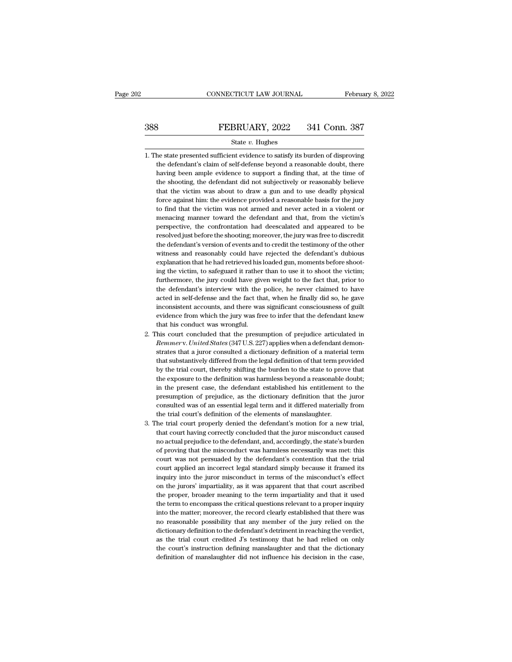# EXECUTE CONNECTICUT LAW JOURNAL February 8, 2022<br>388 FEBRUARY, 2022 341 Conn. 387<br>384 State v. Hughes

### State *v.* Hughes

- 388 FEBRUARY, 2022 341 Conn. 387<br>
State v. Hughes<br>
1. The state presented sufficient evidence to satisfy its burden of disproving<br>
the defendant's claim of self-defense beyond a reasonable doubt, there FEBRUARY, 2022 341 Conn. 387<br>
State v. Hughes<br>
the state presented sufficient evidence to satisfy its burden of disproving<br>
the defendant's claim of self-defense beyond a reasonable doubt, there<br>
having been ample evidence **Having been ample evidence to support a finding been ample evidence to support a finding that, at the time of the shooting, the defendant is claim of self-defense beyond a reasonable doubt, there having been ample eviden** State  $v$ . Hughes<br>he state presented sufficient evidence to satisfy its burden of disproving<br>the defendant's claim of self-defense beyond a reasonable doubt, there<br>having been ample evidence to support a finding that, at State  $v$ . Hughes<br>the state presented sufficient evidence to satisfy its burden of disproving<br>the defendant's claim of self-defense beyond a reasonable doubt, there<br>having been ample evidence to support a finding that, at he state presented sufficient evidence to satisfy its burden of disproving<br>the defendant's claim of self-defense beyond a reasonable doubt, there<br>having been ample evidence to support a finding that, at the time of<br>the sho the defendant's claim of self-defense beyond a reasonable doubt, there having been ample evidence to support a finding that, at the time of the shooting, the defendant did not subjectively or reasonably believe that the vi having been ample evidence to support a finding that, at the time of<br>the shooting, the defendant did not subjectively or reasonably believe<br>that the victim was about to draw a gun and to use deadly physical<br>force against h the shooting, the defendant did not subjectively or reasonably believe that the victim was about to draw a gun and to use deadly physical force against him: the evidence provided a reasonable basis for the jury to find tha that the victim was about to draw a gun and to use deadly physical force against him: the evidence provided a reasonable basis for the jury to find that the victim was not armed and never acted in a violent or menacing man force against him: the evidence provided a reasonable basis for the jury<br>to find that the victim was not armed and never acted in a violent or<br>menacing manner toward the defendant and that, from the victim's<br>perspective, t to find that the victim was not armed and never acted in a violent or<br>menacing manner toward the defendant and that, from the victim's<br>perspective, the confrontation had deescalated and appeared to be<br>resolved just before menacing manner toward the defendant and that, from the victim's<br>perspective, the confrontation had deescalated and appeared to be<br>resolved just before the shooting; moreover, the jury was free to discredit<br>the defendant's perspective, the confrontation had deescalated and appeared to be resolved just before the shooting; moreover, the jury was free to discredit the defendant's version of events and to credit the testimony of the other witne resolved just before the shooting; moreover, the jury was free to discredit<br>the defendant's version of events and to credit the testimony of the other<br>witness and reasonably could have rejected the defendant's dubious<br>expl the defendant's version of events and to credit the testimony of the other witness and reasonably could have rejected the defendant's dubious explanation that he had retrieved his loaded gun, moments before shooting the vi witness and reasonably could have rejected the defendant's dubious<br>explanation that he had retrieved his loaded gun, moments before shoot-<br>ing the victim, to safeguard it rather than to use it to shoot the victim;<br>furtherm witness and reasonably could have rejected the defendant's dubious<br>explanation that he had retrieved his loaded gun, moments before shoot-<br>ing the victim, to safeguard it rather than to use it to shoot the victim;<br>furtherm ing the victim, to safeguard it rather than to use it to shoot the victim;<br>furthermore, the jury could have given weight to the fact that, prior to<br>the defendant's interview with the police, he never claimed to have<br>acted furthermore, the jury could have given weight to the fact that, prior to<br>the defendant's interview with the police, he never claimed to have<br>acted in self-defense and the fact that, when he finally did so, he gave<br>inconsis the defendant's interview with the police, he never claimed to have<br>acted in self-defense and the fact that, when he finally did so, he gave<br>inconsistent accounts, and there was significant consciousness of guilt<br>evidence acted in self-defense and the fact that, when he finally did so, he gave<br>inconsistent accounts, and there was significant consciousness of guilt<br>evidence from which the jury was free to infer that the defendant knew<br>that h
- inconsistent accounts, and there was significant consciousness of guilt<br>evidence from which the jury was free to infer that the defendant knew<br>that his court concluded that the presumption of prejudice articulated in<br>*Remm* evidence from which the jury was free to infer that the defendant knew<br>that his conduct was wrongful.<br>his court concluded that the presumption of prejudice articulated in<br>*Remmerv. United States* (347 U.S. 227) applies whe that his conduct was wrongful.<br>
his court concluded that the presumption of prejudice articulated in<br> *Remmerv. United States* (347 U.S. 227) applies when a defendant demon-<br>
strates that a juror consulted a dictionary def his court concluded that the presumption of prejudice articulated in *Remmerv. United States* (347 U.S. 227) applies when a defendant demonstrates that a juror consulted a dictionary definition of a material term that subs *Remmerv. United States* (347 U.S. 227) applies when a defendant demonstrates that a juror consulted a dictionary definition of a material term that substantively differed from the legal definition of that term provided by strates that a juror consulted a dictionary definition of a material term<br>that substantively differed from the legal definition of that term provided<br>by the trial court, thereby shifting the burden to the state to prove th that substantively differed from the legal definition of that term provided<br>by the trial court, thereby shifting the burden to the state to prove that<br>the exposure to the definition was harmless beyond a reasonable doubt;<br> by the trial court, thereby shifting the burden to the state to prov<br>the exposure to the definition was harmless beyond a reasonable in<br>the present case, the defendant established his entitlement t<br>presumption of prejudice the exposure to the definition was harmless beyond a reasonable doubt;<br>in the present case, the defendant established his entitlement to the<br>presumption of prejudice, as the dictionary definition that the juror<br>consulted w in the present case, the defendant established his entitlement to the presumption of prejudice, as the dictionary definition that the juror consulted was of an essential legal term and it differed materially from the trial
- presumption of prejudice, as the dictionary definition that the juror consulted was of an essential legal term and it differed materially from the trial court's definition of the elements of manslaughter.<br>he trial court pr consulted was of an essential legal term and it differed materially from<br>the trial court's definition of the elements of manslaughter.<br>he trial court properly denied the defendant's motion for a new trial,<br>that court havin the trial court's definition of the elements of manslaughter.<br>
the trial court properly denied the defendant's motion for a new trial,<br>
that court having correctly concluded that the juror misconduct caused<br>
no actual prej he trial court properly denied the defendant's motion for a new trial, that court having correctly concluded that the juror misconduct caused no actual prejudice to the defendant, and, accordingly, the state's burden of pr that court having correctly concluded that the juror misconduct caused<br>no actual prejudice to the defendant, and, accordingly, the state's burden<br>of proving that the misconduct was harmless necessarily was met: this<br>court no actual prejudice to the defendant, and, accordingly, the state's burden<br>of proving that the misconduct was harmless necessarily was met: this<br>court was not persuaded by the defendant's contention that the trial<br>court ap of proving that the misconduct was harmless necessarily was met: this court was not persuaded by the defendant's contention that the trial court applied an incorrect legal standard simply because it framed its inquiry into court was not persuaded by the defendant's contention that the trial court applied an incorrect legal standard simply because it framed its inquiry into the juror misconduct in terms of the misconduct's effect on the juror court applied an incorrect legal standard simply because it framed its<br>inquiry into the juror misconduct in terms of the misconduct's effect<br>on the jurors' impartiality, as it was apparent that that court ascribed<br>the prop inquiry into the juror misconduct in terms of the misconduct's effect<br>on the jurors' impartiality, as it was apparent that that court ascribed<br>the proper, broader meaning to the term impartiality and that it used<br>the term on the jurors' impartiality, as it was apparent that that court ascribed<br>the proper, broader meaning to the term impartiality and that it used<br>the term to encompass the critical questions relevant to a proper inquiry<br>into the proper, broader meaning to the term impartiality and that it used<br>the term to encompass the critical questions relevant to a proper inquiry<br>into the matter; moreover, the record clearly established that there was<br>no re the term to encompass the critical questions relevant to a proper inquiry<br>into the matter; moreover, the record clearly established that there was<br>no reasonable possibility that any member of the jury relied on the<br>diction into the matter; moreover, the record clearly established that there was no reasonable possibility that any member of the jury relied on the dictionary definition to the defendant's detriment in reaching the verdict, as t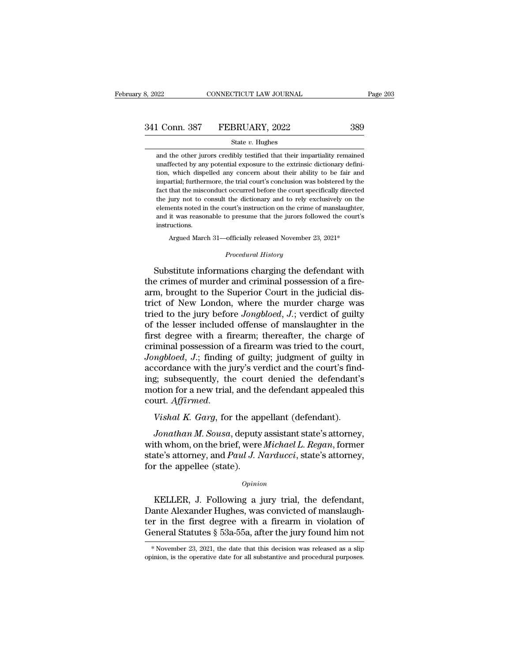1 Conn. 387 FEBRUARY, 2022 389<br>
State v. Hughes<br>
and the other jurors credibly testified that their impartiality remained<br>
unaffected by any potential exposure to the extrinsic dictionary defini-341 Conn. 387 FEBRUARY, 2022 389<br>
State v. Hughes<br>
and the other jurors credibly testified that their impartiality remained<br>
unaffected by any potential exposure to the extrinsic dictionary defini-<br>
tion, which dispelled the U.S. Command State V. Hughes<br>
State V. Hughes<br>
and the other jurors credibly testified that their impartiality remained<br>
unaffected by any potential exposure to the extrinsic dictionary defini-<br>
tion, which dispelled a State  $v$ . Hughes<br>
and the other jurors credibly testified that their impartiality remained<br>
unaffected by any potential exposure to the extrinsic dictionary defini-<br>
tion, which dispelled any concern about their ability State  $v$ . Hughes<br>
and the other jurors credibly testified that their impartiality remained<br>
unaffected by any potential exposure to the extrinsic dictionary defini-<br>
tion, which dispelled any concern about their ability and the other jurors credibly testified that their impartiality remained unaffected by any potential exposure to the extrinsic dictionary definition, which dispelled any concern about their ability to be fair and impartial unaffected by any potential exposure to the extrinsic dictionary defini-<br>tion, which dispelled any concern about their ability to be fair and<br>impartial; furthermore, the trial court's conclusion was bolstered by the<br>fact t and it was reasonable to presume that the jurors followed the court is conclusion, which dispelled any concern about their ability to be fair and impartial; furthermore, the trial court's conclusion was bolstered by the fa instructions. fact that the misconduct occurred before the court specifically directed<br>the jury not to consult the dictionary and to rely exclusively on the<br>elements noted in the court's instruction on the crime of manslaughter,<br>and it Examples 12. The court of the court's instruction on the crime of manislaughter,<br>and it was reasonable to presume that the jurors followed the court's<br>instructions.<br>Argued March 31—officially released November 23, 2021\*<br>Pr

Argued March 31—officially released November 23, 2021\*<br>*Procedural History*<br>Substitute informations charging the defendant with and it was reasonable to presume that the jurors followed the court's<br>instructions.<br>Argued March 31—officially released November 23, 2021\*<br>*Procedural History*<br>Substitute informations charging the defendant with<br>the crimes instructions.<br>
Argued March 31—officially released November 23, 2021\*<br>
Procedural History<br>
Substitute informations charging the defendant with<br>
the crimes of murder and criminal possession of a fire-<br>
arm, brought to the S Argued March 31—officially released November 23, 2021\*<br>
Procedural History<br>
Substitute informations charging the defendant with<br>
the crimes of murder and criminal possession of a fire-<br>
arm, brought to the Superior Court i Frocedural History<br>Substitute informations charging the defendant with<br>the crimes of murder and criminal possession of a fire-<br>arm, brought to the Superior Court in the judicial dis-<br>trict of New London, where the murder c Froceaand Essary<br>Substitute informations charging the defendant with<br>the crimes of murder and criminal possession of a fire-<br>arm, brought to the Superior Court in the judicial dis-<br>trict of New London, where the murder cha Substitute informations charging the defendant with<br>the crimes of murder and criminal possession of a fire-<br>arm, brought to the Superior Court in the judicial dis-<br>trict of New London, where the murder charge was<br>tried to the crimes of murder and criminal possession of a fire-<br>arm, brought to the Superior Court in the judicial dis-<br>trict of New London, where the murder charge was<br>tried to the jury before *Jongbloed*, *J*.; verdict of guilty arm, brought to the Superior Court in the judicial district of New London, where the murder charge was<br>tried to the jury before *Jongbloed*, *J*.; verdict of guilty<br>of the lesser included offense of manslaughter in the<br>fir trict of New London, where the murder charge was<br>tried to the jury before *Jongbloed*, *J*.; verdict of guilty<br>of the lesser included offense of manslaughter in the<br>first degree with a firearm; thereafter, the charge of<br>cr tried to the jury before *Jongbloed*, *J*.; verdict of guilty<br>of the lesser included offense of manslaughter in the<br>first degree with a firearm; thereafter, the charge of<br>criminal possession of a firearm was tried to the c of the lesser included offense of manslaughter in the<br>first degree with a firearm; thereafter, the charge of<br>criminal possession of a firearm was tried to the court,<br>*Jongbloed*, *J*.; finding of guilty; judgment of guilty *Jongbloed, J.*; finding of guilty; judgment of guilty in accordance with the jury's verdict and the court's finding; subsequently, the court denied the defendant's motion for a new trial, and the defendant appealed this c *Cordance with the jury's verdict and the court's find-<br>
<i>Jonathan M. Sousa*, deputy assistant state's attorney,<br> *Jonathan M. Sousa*, deputy assistant state's attorney,<br> *Jonathan M. Sousa*, deputy assistant state's attor

ing; subsequently, the court denied the defendant's<br>motion for a new trial, and the defendant appealed this<br>court. *Affirmed.*<br>Vishal K. Garg, for the appellant (defendant).<br>Jonathan M. Sousa, deputy assistant state's atto motion for a new trial, and the defendant appealed this<br>court. *Affirmed.*<br>Vishal K. Garg, for the appellant (defendant).<br>Jonathan M. Sousa, deputy assistant state's attorney,<br>with whom, on the brief, were *Michael L. Rega* court. Affirmed.<br>Vishal K. Garg, for the appellee (state).<br>Jonathan M. Sousa, deputy<br>with whom, on the brief, were<br>state's attorney, and Paul J. I<br>for the appellee (state). *Jonathan M. Sousa*, deputy assistant state's attorney,<br>th whom, on the brief, were *Michael L. Regan*, former<br>ate's attorney, and *Paul J. Narducci*, state's attorney,<br>r the appellee (state).<br>*Opinion*<br>KELLER, J. Followin

*Opinion*

with whom, on the brief, were *Michael L. Regan*, former<br>state's attorney, and *Paul J. Narducci*, state's attorney,<br>for the appellee (state).<br> $o$ <sub>*opinion*<br>KELLER, J. Following a jury trial, the defendant,<br>Dante Alexande</sub> state's attorney, and *Paul J. Narducci*, state's attorney,<br>for the appellee (state).<br>*Opinion*<br>KELLER, J. Following a jury trial, the defendant,<br>Dante Alexander Hughes, was convicted of manslaugh-<br>ter in the first degree For the appellee (state).<br>  $\phi_{pinion}$ <br>
KELLER, J. Following a jury trial, the defendant,<br>
Dante Alexander Hughes, was convicted of manslaugh-<br>
ter in the first degree with a firearm in violation of<br>
General Statutes § 53a-5 KELLER, J. Following a jury trial, the defendant,<br>Dante Alexander Hughes, was convicted of manslaugh-<br>ter in the first degree with a firearm in violation of<br>General Statutes § 53a-55a, after the jury found him not<br>\*Novemb General Statutes  $\S$  53a-55a, after the jury found him not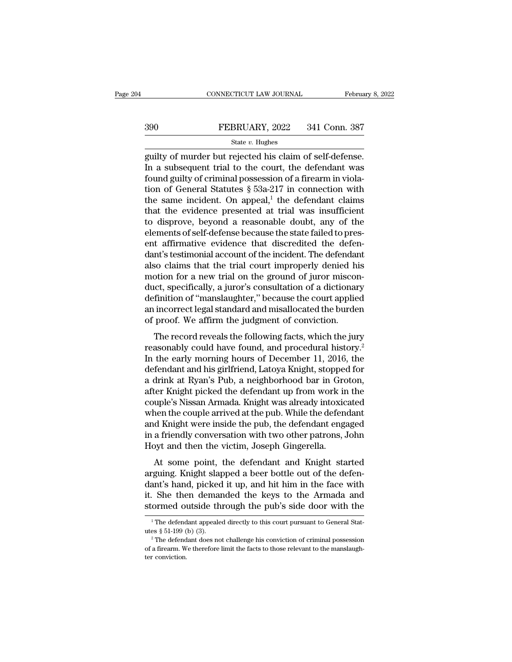# EXECUTE CONNECTICUT LAW JOURNAL February 8, 2022<br>390 FEBRUARY, 2022 341 Conn. 387<br>31 State v. Hughes

### State *v.* Hughes

CONNECTICUT LAW JOURNAL February 8, 2<br>
SHOCK THE REBRUARY, 2022 341 Conn. 387<br>
State v. Hughes<br>
State v. Hughes<br>
Equilty of murder but rejected his claim of self-defense.<br>
In a subsequent trial to the court, the defendant  $\begin{array}{r} \text{390} \\ \text{501} \\ \text{513} \\ \text{521} \\ \text{533} \\ \text{633} \\ \text{644} \\ \text{65} \\ \text{65} \\ \text{666} \\ \text{67} \\ \text{68} \\ \text{68} \\ \text{67} \\ \text{68} \\ \text{68} \\ \text{67} \\ \text{68} \\ \text{67} \\ \text{68} \\ \text{67} \\ \text{68} \\ \text{67} \\ \text{68} \\ \text{67} \\ \text{67} \\ \text{67} \\ \text{67} \\ \text{67} \\ \text$ FEBRUARY, 2022 341 Conn. 387<br>
State v. Hughes<br>
guilty of murder but rejected his claim of self-defense.<br>
In a subsequent trial to the court, the defendant was<br>
found guilty of criminal possession of a firearm in viola-<br>
t FEBRUARY, 2022 341 Conn. 387<br>
State v. Hughes<br>
guilty of murder but rejected his claim of self-defense.<br>
In a subsequent trial to the court, the defendant was<br>
found guilty of criminal possession of a firearm in viola-<br>
t State v. Hughes<br>
state v. Hughes<br>
guilty of murder but rejected his claim of self-defense.<br>
In a subsequent trial to the court, the defendant was<br>
found guilty of criminal possession of a firearm in viola-<br>
tion of Genera state v. Hughes<br>guilty of murder but rejected his claim of self-defense.<br>In a subsequent trial to the court, the defendant was<br>found guilty of criminal possession of a firearm in viola-<br>tion of General Statutes § 53a-217 guilty of murder but rejected his claim of self-defense.<br>In a subsequent trial to the court, the defendant was<br>found guilty of criminal possession of a firearm in viola-<br>tion of General Statutes § 53a-217 in connection wit In a subsequent trial to the court, the defendant was<br>found guilty of criminal possession of a firearm in viola-<br>tion of General Statutes  $\S$  53a-217 in connection with<br>the same incident. On appeal,<sup>1</sup> the defendant claim found guilty of criminal possession of a firearm in violation of General Statutes  $\S$  53a-217 in connection with the same incident. On appeal,<sup>1</sup> the defendant claims that the evidence presented at trial was insufficient tion of General Statutes  $\S$  53a-217 in connection with<br>the same incident. On appeal,<sup>1</sup> the defendant claims<br>that the evidence presented at trial was insufficient<br>to disprove, beyond a reasonable doubt, any of the<br>elemen the same incident. On appeal,<sup>1</sup> the defendant claims<br>that the evidence presented at trial was insufficient<br>to disprove, beyond a reasonable doubt, any of the<br>elements of self-defense because the state failed to pres-<br>ent that the evidence presented at trial was insufficient<br>to disprove, beyond a reasonable doubt, any of the<br>elements of self-defense because the state failed to pres-<br>ent affirmative evidence that discredited the defen-<br>dant' to disprove, beyond a reasonable doubt, any of the<br>elements of self-defense because the state failed to pres-<br>ent affirmative evidence that discredited the defen-<br>dant's testimonial account of the incident. The defendant<br>a elements of self-defense because the state failed to present affirmative evidence that discredited the defendant's testimonial account of the incident. The defendant also claims that the trial court improperly denied his m ent affirmative evidence that discredited the defen-<br>dant's testimonial account of the incident. The defendant<br>also claims that the trial court improperly denied his<br>motion for a new trial on the ground of juror miscon-<br>du dant's testimonial account of the incident. The defendant<br>also claims that the trial court improperly denied his<br>motion for a new trial on the ground of juror miscon-<br>duct, specifically, a juror's consultation of a diction bo claims that the that coart improperly defice his<br>otion for a new trial on the ground of juror miscon-<br>ict, specifically, a juror's consultation of a dictionary<br>finition of "manslaughter," because the court applied<br>incor reason for a new trial of the ground of julior miseon<br>duct, specifically, a juror's consultation of a dictionary<br>definition of "manslaughter," because the court applied<br>an incorrect legal standard and misallocated the burd

definition of "manslaughter," because the court applied<br>an incorrect legal standard and misallocated the burden<br>of proof. We affirm the judgment of conviction.<br>The record reveals the following facts, which the jury<br>reasona definition of manisial<br>giner, because are coard applied<br>an incorrect legal standard and misallocated the burden<br>of proof. We affirm the judgment of conviction.<br>The record reveals the following facts, which the jury<br>reasona an meorice regarstandard and misanocated are barden<br>of proof. We affirm the judgment of conviction.<br>The record reveals the following facts, which the jury<br>reasonably could have found, and procedural history.<sup>2</sup><br>In the earl The record reveals the following facts, which the jury<br>reasonably could have found, and procedural history.<sup>2</sup><br>In the early morning hours of December 11, 2016, the<br>defendant and his girlfriend, Latoya Knight, stopped for<br>a The record reveals the following facts, which the jury<br>reasonably could have found, and procedural history.<sup>2</sup><br>In the early morning hours of December 11, 2016, the<br>defendant and his girlfriend, Latoya Knight, stopped for<br>a reasonably could have found, and procedural history.<sup>2</sup><br>In the early morning hours of December 11, 2016, the<br>defendant and his girlfriend, Latoya Knight, stopped for<br>a drink at Ryan's Pub, a neighborhood bar in Groton,<br>aft In the early morning hours of December 11, 2016, the<br>defendant and his girlfriend, Latoya Knight, stopped for<br>a drink at Ryan's Pub, a neighborhood bar in Groton,<br>after Knight picked the defendant up from work in the<br>coupl defendant and his girlfriend, Latoya Knight, stopped for<br>a drink at Ryan's Pub, a neighborhood bar in Groton,<br>after Knight picked the defendant up from work in the<br>couple's Nissan Armada. Knight was already intoxicated<br>whe a drink at Ryan's Pub, a neighborhood bar in Groafter Knight picked the defendant up from work in couple's Nissan Armada. Knight was already intoxic when the couple arrived at the pub. While the defendant engine at Knight Example Solid and Contribution and the defendant and the couple's Nissan Armada. Knight was already intoxicated<br>nen the couple arrived at the pub. While the defendant<br>d Knight were inside the pub, the defendant engaged<br>a f bouple s Nissan Armada. Kinght was aready intoxicated<br>when the couple arrived at the pub. While the defendant<br>and Knight were inside the pub, the defendant engaged<br>in a friendly conversation with two other patrons, John<br>Ho

when the coapte arrived at the pub. While the defendant<br>and Knight were inside the pub, the defendant engaged<br>in a friendly conversation with two other patrons, John<br>Hoyt and then the victim, Joseph Gingerella.<br>At some poi in a friendly conversation with two other patrons, John<br>Hoyt and then the victim, Joseph Gingerella.<br>At some point, the defendant and Knight started<br>arguing. Knight slapped a beer bottle out of the defen-<br>dant's hand, pick Hoyt and then the victim, Joseph Gingerella.<br>At some point, the defendant and Knight started<br>arguing. Knight slapped a beer bottle out of the defen-<br>dant's hand, picked it up, and hit him in the face with<br>it. She then dema arguing. Knight slapped a beer bottle out of the defendant's hand, picked it up, and hit him in the face with it. She then demanded the keys to the Armada and stormed outside through the pub's side door with the  $\frac{1}{1}$ dant's hand, picked it up, and hit him in the face with<br>it. She then demanded the keys to the Armada and<br>stormed outside through the pub's side door with the<br> $\frac{1}{1}$ The defendant appealed directly to this court pursuant

**stormed outside through the pub's side door with the**<br><sup>1</sup>The defendant appealed directly to this court pursuant to General Statures § 51-199 (b) (3).<br><sup>2</sup>The defendant does not challenge his conviction of criminal possess SCOTTICE OF<br>
The defend<br>
lutes § 51-199 (<br>
<sup>2</sup> The defend<br>
of a firearm. Wer conviction.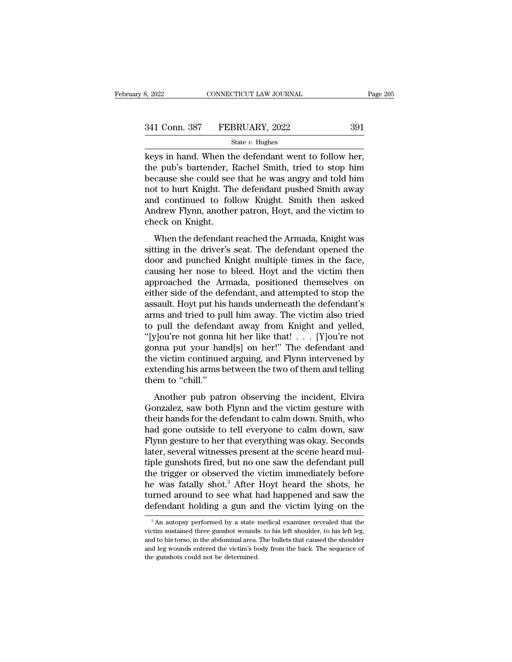| 8, 2022       | CONNECTICUT LAW JOURNAL | Page 205 |
|---------------|-------------------------|----------|
| 341 Conn. 387 | FEBRUARY, 2022          | 391      |
|               | State $v$ . Hughes      |          |

 $\begin{array}{cccc}\n & \text{Ric} & \text{Ric} & \text{Ric} \\
\text{Ric} & \text{Ric} & \text{Ric} & \text{Ric} \\
\hline\n & \text{Ric} & \text{Ric} & \text{Ric} & \text{Ric} \\
\hline\n & \text{Ric} & \text{Ric} & \text{Ric} & \text{Ric} \\
\hline\n & \text{Ric} & \text{Ric} & \text{Ric} & \text{Ric} & \text{Ric} & \text{Ric} \\
\hline\n & \text{Ric} & \text{Ric} & \text{Ric} & \text{Ric} & \text{Ric} & \text{Ric} & \text$ 341 Conn. 387 FEBRUARY, 2022 391<br>
State v. Hughes<br>
Reys in hand. When the defendant went to follow her,<br>
the pub's bartender, Rachel Smith, tried to stop him<br>
because she could see that he was angry and told him<br>
not to bu  $\begin{array}{ccc}\n 341 \text{ Conn. } 387 & \text{FEBRUARY, } 2022 & 391 \\
 \hline\n \text{State } v. \text{ Hughes} \\
 \text{keys in hand. When the defendant went to follow her, the pub's bartender, Rachel Smith, tried to stop him because she could see that he was angry and told him not to hurt Knight. The defendant pushed Smith away and continued to follow. Knight. Smith, then asked$ 341 Conn. 387 FEBRUARY, 2022 391<br>
State v. Hughes<br>
Reys in hand. When the defendant went to follow her,<br>
the pub's bartender, Rachel Smith, tried to stop him<br>
because she could see that he was angry and told him<br>
not to h Sincesian set Thermann, 2011<br>
State v. Hughes<br>
Reys in hand. When the defendant went to follow her,<br>
the pub's bartender, Rachel Smith, tried to stop him<br>
because she could see that he was angry and told him<br>
not to hurt state  $v$ . Hughes<br>keys in hand. When the defendant went to follow her,<br>the pub's bartender, Rachel Smith, tried to stop him<br>because she could see that he was angry and told him<br>not to hurt Knight. The defendant pushed Smi keys in hand. When the pub's bartender, I<br>because she could see<br>not to hurt Knight. Th<br>and continued to fol<br>Andrew Flynn, anothe<br>check on Knight.<br>When the defendant re pas s satemet, nather shind, thed to stop him<br>cause she could see that he was angry and told him<br>t to hurt Knight. The defendant pushed Smith away<br>d continued to follow Knight. Smith then asked<br>drew Flynn, another patro site sittle collid set that he was angly and told him<br>not to hurt Knight. The defendant pushed Smith away<br>and continued to follow Knight. Smith then asked<br>Andrew Flynn, another patron, Hoyt, and the victim to<br>check on Knig

not to hard might. The detendant pashed shift away<br>and continued to follow Knight. Smith then asked<br>Andrew Flynn, another patron, Hoyt, and the victim to<br>check on Knight.<br>When the defendant reached the Armada, Knight was<br>s Andrew Flynn, another patron, Hoyt, and the victim to<br>check on Knight.<br>When the defendant reached the Armada, Knight was<br>sitting in the driver's seat. The defendant opened the<br>door and punched Knight multiple times in the Findrew Frynt, another patron, Hoyt, and the vietnit to<br>check on Knight.<br>When the defendant reached the Armada, Knight was<br>sitting in the driver's seat. The defendant opened the<br>door and punched Knight multiple times in th When the defendant reached the Armada, Knight was<br>sitting in the driver's seat. The defendant opened the<br>door and punched Knight multiple times in the face,<br>causing her nose to bleed. Hoyt and the victim then<br>approached th When the defendant reached the Armada, Knight was<br>sitting in the driver's seat. The defendant opened the<br>door and punched Knight multiple times in the face,<br>causing her nose to bleed. Hoyt and the victim then<br>approached th sitting in the driver's seat. The defendant opened the<br>door and punched Knight multiple times in the face,<br>causing her nose to bleed. Hoyt and the victim then<br>approached the Armada, positioned themselves on<br>either side of door and punched Knight multiple times in the face,<br>causing her nose to bleed. Hoyt and the victim then<br>approached the Armada, positioned themselves on<br>either side of the defendant, and attempted to stop the<br>assault. Hoyt causing her nose to bleed. Hoyt and the victim then<br>approached the Armada, positioned themselves on<br>either side of the defendant, and attempted to stop the<br>assault. Hoyt put his hands underneath the defendant's<br>arms and tr approached the Armada, positioned themselves on<br>either side of the defendant, and attempted to stop the<br>assault. Hoyt put his hands underneath the defendant's<br>arms and tried to pull him away. The victim also tried<br>to pull either side of the defendant, and attempted to stop the<br>assault. Hoyt put his hands underneath the defendant's<br>arms and tried to pull him away. The victim also tried<br>to pull the defendant away from Knight and yelled,<br>"[y]o assault. Hoyt put his hands underneath the defendant's<br>arms and tried to pull him away. The victim also tried<br>to pull the defendant away from Knight and yelled,<br>"[y]ou're not gonna hit her like that! . . . [Y]ou're not<br>gon arms and tried to pu<br>to pull the defenda<br>"[y]ou're not gonna<br>gonna put your har<br>the victim continued<br>extending his arms t<br>them to "chill."<br>Another pub patr pun are detendant away from Engine and yened,<br>
y]ou're not gonna hit her like that!  $\ldots$  [Y]ou're not<br>
mna put your hand[s] on her!" The defendant and<br>
e victim continued arguing, and Flynn intervened by<br>
tending his arm gonna put your hand[s] on her!" The defendant and<br>gonna put your hand[s] on her!" The defendant and<br>the victim continued arguing, and Flynn intervened by<br>extending his arms between the two of them and telling<br>them to "chi

gonia par your nand[5] on her. The defendant and<br>the victim continued arguing, and Flynn intervened by<br>extending his arms between the two of them and telling<br>them to "chill."<br>Another pub patron observing the incident, Elvi extending his arms between the two of them and telling<br>them to "chill."<br>Another pub patron observing the incident, Elvira<br>Gonzalez, saw both Flynn and the victim gesture with<br>their hands for the defendant to calm down. Smi Exaction generates and section are two or dictionate them to "chill."<br>Another pub patron observing the incident, Elvira<br>Gonzalez, saw both Flynn and the victim gesture with<br>their hands for the defendant to calm down. Smith Another pub patron observing the incident, Elvira<br>Gonzalez, saw both Flynn and the victim gesture with<br>their hands for the defendant to calm down. Smith, who<br>had gone outside to tell everyone to calm down, saw<br>Flynn gestur Another pub patron observing the incident, Elvira<br>Gonzalez, saw both Flynn and the victim gesture with<br>their hands for the defendant to calm down. Smith, who<br>had gone outside to tell everyone to calm down, saw<br>Flynn gestur Gonzalez, saw both Flynn and the victim gesture with<br>their hands for the defendant to calm down. Smith, who<br>had gone outside to tell everyone to calm down, saw<br>Flynn gesture to her that everything was okay. Seconds<br>later, their hands for the defendant to calm down. Smith, who<br>had gone outside to tell everyone to calm down, saw<br>Flynn gesture to her that everything was okay. Seconds<br>later, several witnesses present at the scene heard mul-<br>tip had gone outside to tell everyone to calm down, saw<br>Flynn gesture to her that everything was okay. Seconds<br>later, several witnesses present at the scene heard mul-<br>tiple gunshots fired, but no one saw the defendant pull<br>th Flynn gesture to her that everything was okay. Seconds<br>later, several witnesses present at the scene heard mul-<br>tiple gunshots fired, but no one saw the defendant pull<br>the trigger or observed the victim immediately before the trigger or observed the victim immediately before<br>he was fatally shot.<sup>3</sup> After Hoyt heard the shots, he<br>turned around to see what had happened and saw the<br>defendant holding a gun and the victim lying on the<br> $\frac{3}{\text{$ he was fatally shot.<sup>3</sup> After Hoyt heard the shots, he turned around to see what had happened and saw the defendant holding a gun and the victim lying on the  $\frac{3}{4}$ An autopsy performed by a state medical examiner revea

turned around to see what had happened and saw the defendant holding a gun and the victim lying on the  $\frac{3}{10}$  An autopsy performed by a state medical examiner revealed that the victim sustained three gunshot wounds: to defendant holding a gun and the victim lying on the  $\frac{3}{\text{An} \text{ autopy performed by a state medical examine revealed that the victim sustained three gunshot wounds: to his left shoulder, to his left leg, and to his torso, in the abdominal area. The bullets that caused the shoulder and leg wounds entered the victim's body from the back. The sequence of the gunshots could not be determined.$  $3$  An autopsy performed by a state medical examiner revealed that the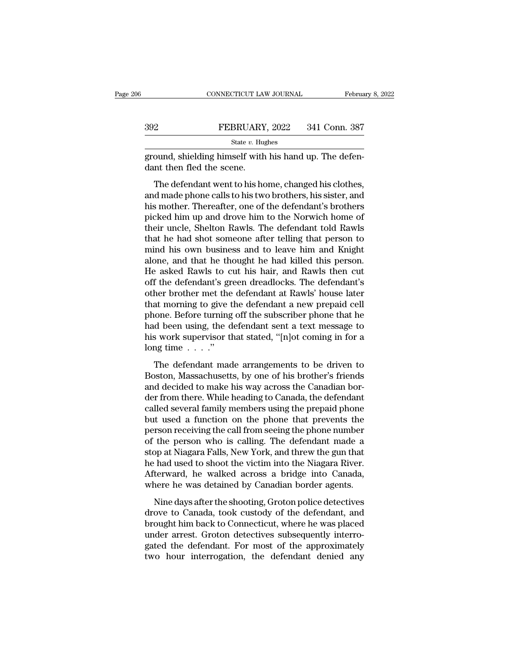|                           | CONNECTICUT LAW JOURNAL                                                                                                                                                      | February 8, 2022 |
|---------------------------|------------------------------------------------------------------------------------------------------------------------------------------------------------------------------|------------------|
|                           |                                                                                                                                                                              |                  |
| 392                       | FEBRUARY, 2022                                                                                                                                                               | 341 Conn. 387    |
|                           | State $v$ . Hughes                                                                                                                                                           |                  |
| dant then fled the scene. | ground, shielding himself with his hand up. The defen-                                                                                                                       |                  |
|                           | The defendant went to his home, changed his clothes,<br>and made phone calls to his two brothers, his sister, and<br>his mother. Thereafter, one of the defendant's brothers |                  |

FEBRUARY, 2022 341 Conn. 387<br>
state v. Hughes<br>
ground, shielding himself with his hand up. The defen-<br>
dant then fled the scene.<br>
The defendant went to his home, changed his clothes,<br>
and made phone calls to his two broth  $\frac{1}{100}$  shielding himself with his hand up. The defendant then fled the scene.<br>The defendant went to his home, changed his clothes,<br>and made phone calls to his two brothers, his sister, and<br>his mother. Thereafter, one pround, shielding himself with his hand up. The defendant then fled the scene.<br>The defendant went to his home, changed his clothes,<br>and made phone calls to his two brothers, his sister, and<br>his mother. Thereafter, one of t dant then fled the scene.<br>
The defendant went to his home, changed his clothes,<br>
and made phone calls to his two brothers, his sister, and<br>
his mother. Thereafter, one of the defendant's brothers<br>
picked him up and drove h The defendant went to his home, changed his clothes,<br>and made phone calls to his two brothers, his sister, and<br>his mother. Thereafter, one of the defendant's brothers<br>picked him up and drove him to the Norwich home of<br>thei The defendant went to his home, changed his clothes,<br>and made phone calls to his two brothers, his sister, and<br>his mother. Thereafter, one of the defendant's brothers<br>picked him up and drove him to the Norwich home of<br>thei and made phone calls to his two brothers, his sister, and<br>his mother. Thereafter, one of the defendant's brothers<br>picked him up and drove him to the Norwich home of<br>their uncle, Shelton Rawls. The defendant told Rawls<br>that his mother. Thereafter, one of the defendant's brothers<br>picked him up and drove him to the Norwich home of<br>their uncle, Shelton Rawls. The defendant told Rawls<br>that he had shot someone after telling that person to<br>mind his picked him up and drove him to the Norwich home of<br>their uncle, Shelton Rawls. The defendant told Rawls<br>that he had shot someone after telling that person to<br>mind his own business and to leave him and Knight<br>alone, and tha their uncle, Shelton Rawls. The defendant told Rawls<br>that he had shot someone after telling that person to<br>mind his own business and to leave him and Knight<br>alone, and that he thought he had killed this person.<br>He asked Ra that he had shot someone after telling that person to<br>mind his own business and to leave him and Knight<br>alone, and that he thought he had killed this person.<br>He asked Rawls to cut his hair, and Rawls then cut<br>off the defen mind his own business and to leave him and Knight<br>alone, and that he thought he had killed this person.<br>He asked Rawls to cut his hair, and Rawls then cut<br>off the defendant's green dreadlocks. The defendant's<br>other brother alone, and that he thought he had killed this person.<br>He asked Rawls to cut his hair, and Rawls then cut<br>off the defendant's green dreadlocks. The defendant's<br>other brother met the defendant at Rawls' house later<br>that morn He asked Rawls to cut his hair, and Rawls then cut<br>off the defendant's green dreadlocks. The defendant's<br>other brother met the defendant at Rawls' house later<br>that morning to give the defendant a new prepaid cell<br>phone. B off the defendant's gr<br>other brother met the<br>that morning to give t<br>phone. Before turning<br>had been using, the d<br>his work supervisor tl<br>long time . . . ."<br>The defendant mad at morning to give the defendant a new prepaid cell<br>at morning to give the defendant a new prepaid cell<br>one. Before turning off the subscriber phone that he<br>d been using, the defendant sent a text message to<br>swork supervi and morning to give the detendant  $\alpha$  here prepare con-<br>phone. Before turning off the subscriber phone that he<br>had been using, the defendant sent a text message to<br>his work supervisor that stated, "[n]ot coming in for a<br>

and been using, the defendant sent a text message to<br>his work supervisor that stated, "[n]ot coming in for a<br>long time  $\ldots$ ."<br>The defendant made arrangements to be driven to<br>Boston, Massachusetts, by one of his brother's der from the section of the section of the defendant of the defendant of the defendant made arrangements to be driven to denotion, Massachusetts, by one of his brother's friends and decided to make his way across the Cana The defendant made arrangements to be driven to<br>Boston, Massachusetts, by one of his brother's friends<br>and decided to make his way across the Canadian bor-<br>der from there. While heading to Canada, the defendant<br>called sev The defendant made arrangements to be driven to<br>Boston, Massachusetts, by one of his brother's friends<br>and decided to make his way across the Canadian bor-<br>der from there. While heading to Canada, the defendant<br>called sev The defendant made arrangements to be driven to<br>Boston, Massachusetts, by one of his brother's friends<br>and decided to make his way across the Canadian bor-<br>der from there. While heading to Canada, the defendant<br>called seve Boston, Massachusetts, by one of his brother's friends<br>and decided to make his way across the Canadian bor-<br>der from there. While heading to Canada, the defendant<br>called several family members using the prepaid phone<br>but u and decided to make his way across the Canadian border from there. While heading to Canada, the defendant called several family members using the prepaid phone but used a function on the phone that prevents the person rece der from there. While heading to Canada, the defendant called several family members using the prepaid phone but used a function on the phone that prevents the person receiving the call from seeing the phone number of the called several family members using the prepaid phone<br>but used a function on the phone that prevents the<br>person receiving the call from seeing the phone number<br>of the person who is calling. The defendant made a<br>stop at Nia but used a function on the phone that prevents the<br>person receiving the call from seeing the phone number<br>of the person who is calling. The defendant made a<br>stop at Niagara Falls, New York, and threw the gun that<br>he had us The shoot receiving the can from seeing the phone named the person who is calling. The defendant made a shoot that had used to shoot the victim into the Niagara River.<br>The shoot the victim into the Niagara River.<br>The shoot of are person who is earnig. The defendant made a<br>stop at Niagara Falls, New York, and threw the gun that<br>he had used to shoot the victim into the Niagara River.<br>Afterward, he walked across a bridge into Canada,<br>where he w

brought a magneticular controller into the Niagara River.<br>Afterward, he walked across a bridge into Canada,<br>where he was detained by Canadian border agents.<br>Nine days after the shooting, Groton police detectives<br>drove to C In the radiated to shoot the vielant mas the ringtant raver.<br>Afterward, he walked across a bridge into Canada,<br>where he was detained by Canadian border agents.<br>Nine days after the shooting, Groton police detectives<br>drove t methoda, it was detained by Canadian border agents.<br>
Nine days after the shooting, Groton police detectives<br>
drove to Canada, took custody of the defendant, and<br>
brought him back to Connecticut, where he was placed<br>
under Nine days after the shooting, Groton police detectives<br>drove to Canada, took custody of the defendant, and<br>brought him back to Connecticut, where he was placed<br>under arrest. Groton detectives subsequently interro-<br>gated th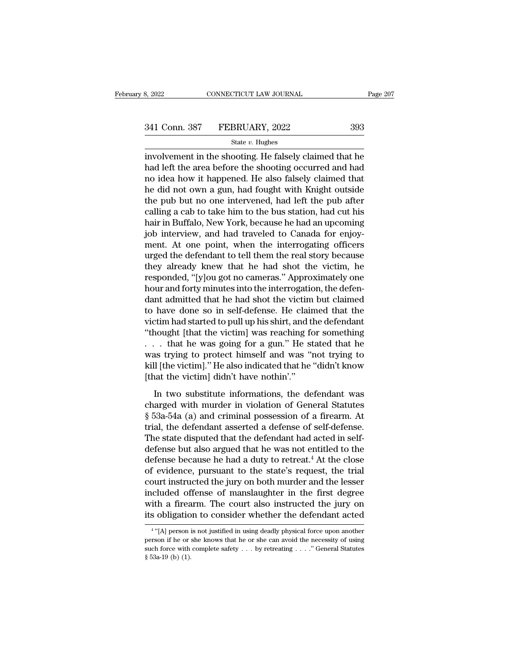# 341 Conn. 387 FEBRUARY, 2022 393

### State *v.* Hughes

3, 2022 CONNECTICUT LAW JOURNAL Page 207<br>
341 Conn. 387 FEBRUARY, 2022 393<br>  $\frac{\text{State } v. \text{ Hughes}}{\text{involvement in the shooting. He falsely claimed that he}}$ <br>
had left the area before the shooting occurred and had  $\begin{array}{r} \text{341 Conn. } \text{387} \qquad \text{FEBRUARY, } \text{2022} \qquad \text{393} \ \text{State } v. \text{ Hughes} \ \text{involvement in the shooting. He falsely claimed that he had left the area before the shooting occurred and had no idea how it happened. He also falsely claimed that he did not own a sum, had fourth with Knight outside.} \end{array}$ 341 Conn. 387 FEBRUARY, 2022 393<br>
State v. Hughes<br>
involvement in the shooting. He falsely claimed that he<br>
had left the area before the shooting occurred and had<br>
no idea how it happened. He also falsely claimed that<br>
he 341 Conn. 387 FEBRUARY, 2022 393<br>  $\frac{\text{State } v. \text{ Hughes}}{\text{involvement in the shooting. He falsely claimed that he had left the area before the shooting occurred and had no idea how it happened. He also falsely claimed that he did not own a gun, had fought with Knight outside the pub but no one interviewed, had left the pub after calling a each to take him to the bug station, be done with its$ State v. Hughes<br>involvement in the shooting. He falsely claimed that he<br>had left the area before the shooting occurred and had<br>no idea how it happened. He also falsely claimed that<br>he did not own a gun, had fought with Kn state *v*. Hugnes<br>involvement in the shooting. He falsely claimed that he<br>had left the area before the shooting occurred and had<br>no idea how it happened. He also falsely claimed that<br>he did not own a gun, had fought with involvement in the shooting. He falsely claimed that he<br>had left the area before the shooting occurred and had<br>no idea how it happened. He also falsely claimed that<br>he did not own a gun, had fought with Knight outside<br>the had left the area before the shooting occurred and had<br>no idea how it happened. He also falsely claimed that<br>he did not own a gun, had fought with Knight outside<br>the pub but no one intervened, had left the pub after<br>callin no idea how it happened. He also falsely claimed that<br>he did not own a gun, had fought with Knight outside<br>the pub but no one intervened, had left the pub after<br>calling a cab to take him to the bus station, had cut his<br>hai he did not own a gun, had fought with Knight outside<br>the pub but no one intervened, had left the pub after<br>calling a cab to take him to the bus station, had cut his<br>hair in Buffalo, New York, because he had an upcoming<br>job the pub but no one intervened, had left the pub after<br>calling a cab to take him to the bus station, had cut his<br>hair in Buffalo, New York, because he had an upcoming<br>job interview, and had traveled to Canada for enjoy-<br>men calling a cab to take him to the bus station, had cut his<br>hair in Buffalo, New York, because he had an upcoming<br>job interview, and had traveled to Canada for enjoy-<br>ment. At one point, when the interrogating officers<br>urged hair in Buffalo, New York, because he had an upcoming<br>job interview, and had traveled to Canada for enjoy-<br>ment. At one point, when the interrogating officers<br>urged the defendant to tell them the real story because<br>they al job interview, and had traveled to Canada for enjoy-<br>ment. At one point, when the interrogating officers<br>urged the defendant to tell them the real story because<br>they already knew that he had shot the victim, he<br>responded, ment. At one point, when the interrogating officers<br>urged the defendant to tell them the real story because<br>they already knew that he had shot the victim, he<br>responded, "[y]ou got no cameras." Approximately one<br>hour and fo urged the defendant to tell them the real story because<br>they already knew that he had shot the victim, he<br>responded, "[y]ou got no cameras." Approximately one<br>hour and forty minutes into the interrogation, the defen-<br>dant they already knew that he had shot the victim, he<br>responded, "[y]ou got no cameras." Approximately one<br>hour and forty minutes into the interrogation, the defen-<br>dant admitted that he had shot the victim but claimed<br>to have responded, "[y]ou got no cameras." Approximately one<br>hour and forty minutes into the interrogation, the defen-<br>dant admitted that he had shot the victim but claimed<br>to have done so in self-defense. He claimed that the<br>vict hour and forty minutes into the interrogation, the defendant admitted that he had shot the victim but claimed<br>to have done so in self-defense. He claimed that the<br>victim had started to pull up his shirt, and the defendant<br> dant admitted that he had shot the victim but claimed<br>to have done so in self-defense. He claimed that the<br>victim had started to pull up his shirt, and the defendant<br>"thought [that the victim] was reaching for something<br>.. to have done so in self-defense. He clair<br>victim had started to pull up his shirt, and the<br>"thought [that the victim] was reaching fo<br> $\ldots$  that he was going for a gun." He st<br>was trying to protect himself and was "in<br>kil In the victim was reaching for something<br>
In that the victim was reaching for something<br>
In the was going for a gun." He stated that he<br>
III [the victim]." He also indicated that he "didn't know<br>
In two substitute informa charged phase are rechtly that received that the was going for a gun." He stated that he was trying to protect himself and was "not trying to kill [the victim]." He also indicated that he "didn't know [that the victim] di

Final He was going for a gain. The stated that he<br>was trying to protect himself and was "not trying to<br>kill [the victim]." He also indicated that he "didn't know<br>[that the victim] didn't have nothin'."<br>In two substitute in The defendant asserted a defendant was the defendant was that the victim] didn't have nothin'."<br>In two substitute informations, the defendant was charged with murder in violation of General Statutes § 53a-54a (a) and crimi The state of the state of the state disputed that the victim didn't have nothin'."<br>
In two substitute informations, the defendant was<br>
charged with murder in violation of General Statutes<br>
§ 53a-54a (a) and criminal posse In two substitute informations, the defendant was<br>charged with murder in violation of General Statutes<br> $\S$  53a-54a (a) and criminal possession of a firearm. At<br>trial, the defendant asserted a defense of self-defense.<br>The In two substitute informations, the defendant was<br>charged with murder in violation of General Statutes<br> $\S$  53a-54a (a) and criminal possession of a firearm. At<br>trial, the defendant asserted a defense of self-defense.<br>The charged with murder in violation of General Statutes<br>§ 53a-54a (a) and criminal possession of a firearm. At<br>trial, the defendant asserted a defense of self-defense.<br>The state disputed that the defendant had acted in self-<br> § 53a-54a (a) and criminal possession of a firearm. At<br>trial, the defendant asserted a defense of self-defense.<br>The state disputed that the defendant had acted in self-<br>defense but also argued that he was not entitled to t trial, the defendant asserted a defense of self-defense.<br>The state disputed that the defendant had acted in self-<br>defense but also argued that he was not entitled to the<br>defense because he had a duty to retreat.<sup>4</sup> At the The state disputed that the defendant had acted in self-<br>defense but also argued that he was not entitled to the<br>defense because he had a duty to retreat.<sup>4</sup> At the close<br>of evidence, pursuant to the state's request, the t defense but also argued that he was not entitled to the<br>defense because he had a duty to retreat.<sup>4</sup> At the close<br>of evidence, pursuant to the state's request, the trial<br>court instructed the jury on both murder and the les The unit instructed the jury on both murder and the lesser<br>
cluded offense of manslaughter in the first degree<br>
th a firearm. The court also instructed the jury on<br>
obligation to consider whether the defendant acted<br>
"[A] included offense of manslaughter in the first degree<br>with a firearm. The court also instructed the jury on<br>its obligation to consider whether the defendant acted<br> $\frac{4}{16}$  (Al person is not justified in using deadly phys

<sup>&</sup>lt;sup>4</sup> "[A] person is not justified in using deadly physical force upon another with a firearm. The court also instructed the jury on<br>its obligation to consider whether the defendant acted<br> $\frac{4}{16}$  (A] person is not justified in using deadly physical force upon another<br>person if he or she knows tha **EXECUTE:**<br> **EXECUTE:**<br> **EXECUTE:**<br> **EXECUTE:**<br> **EXECUTE:**<br> **EXECUTE:**<br> **EXECUTE:**<br> **EXECUTE:**<br> **EXECUTE:**<br> **EXECUTE:**<br> **EXECUTE:**<br> **EXECUTE:**<br> **EXECUTE:**<br> **EXECUTE:**<br> **EXECUTE:**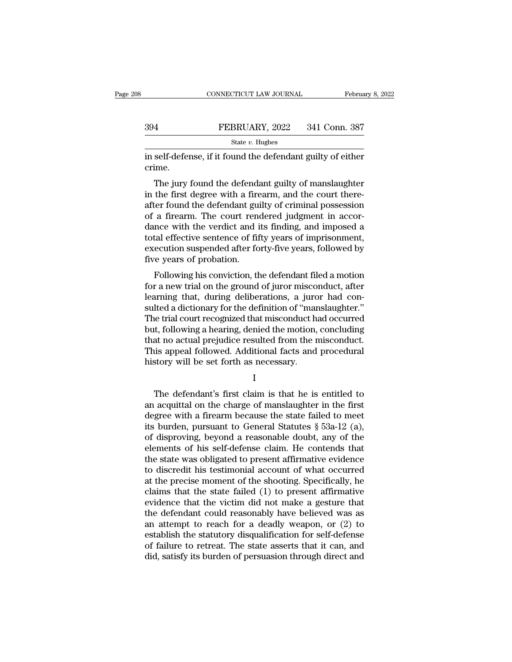|     | CONNECTICUT LAW JOURNAL | February 8, 2022 |
|-----|-------------------------|------------------|
|     |                         |                  |
| 394 | FEBRUARY, 2022          | 341 Conn. 387    |
|     | State $v$ . Hughes      |                  |

CONNECTICUT LAW JOURNAL February 8, 2022<br>
FEBRUARY, 2022 341 Conn. 387<br>
State v. Hughes<br>
in self-defense, if it found the defendant guilty of either<br>
crime. crime.

FEBRUARY, 2022 341 Conn. 387<br>
State v. Hughes<br>
Self-defense, if it found the defendant guilty of either<br>
ime.<br>
The jury found the defendant guilty of manslaughter<br>
the first degree with a firearm, and the court there-<br>
to FEBRUARY, 2022 341 Conn. 387<br>
state v. Hughes<br>
in self-defense, if it found the defendant guilty of either<br>
crime.<br>
The jury found the defendant guilty of manslaughter<br>
in the first degree with a firearm, and the court th State  $v$ . Hughes<br>
in self-defense, if it found the defendant guilty of either<br>
crime.<br>
The jury found the defendant guilty of manslaughter<br>
in the first degree with a firearm, and the court there-<br>
after found the defend in self-defense, if it found the defendant guilty of either<br>crime.<br>The jury found the defendant guilty of manslaughter<br>in the first degree with a firearm, and the court there-<br>after found the defendant guilty of criminal p m sen-derense, if it found the defendant guity of entier<br>crime.<br>The jury found the defendant guilty of manslaughter<br>in the first degree with a firearm, and the court there-<br>after found the defendant guilty of criminal poss The jury found the defendant guilty of manslaughter<br>in the first degree with a firearm, and the court there-<br>after found the defendant guilty of criminal possession<br>of a firearm. The court rendered judgment in accor-<br>dance The jury found the defendant guilty of manslaughter<br>in the first degree with a firearm, and the court there-<br>after found the defendant guilty of criminal possession<br>of a firearm. The court rendered judgment in accor-<br>dance in the first degree with a fire<br>after found the defendant gui<br>of a firearm. The court rend<br>ance with the verdict and i<br>total effective sentence of fit<br>execution suspended after fo<br>five years of probation.<br>Following his con Following his conviction, the defendant filed a motion<br>a firearm. The court rendered judgment in accor-<br>nce with the verdict and its finding, and imposed a<br>tal effective sentence of fifty years of imprisonment,<br>ecution sus or a meann. The court rendered judgment in accordance with the verdict and its finding, and imposed a total effective sentence of fifty years of imprisonment, execution suspended after forty-five years, followed by five ye

deliberation in the vertice and its finding, and imposed a<br>total effective sentence of fifty years of imprisonment,<br>execution suspended after forty-five years, followed by<br>five years of probation.<br>Following his conviction, sulted a diction suspended after forty-five years, followed by<br>five years of probation.<br>Following his conviction, the defendant filed a motion<br>for a new trial on the ground of juror misconduct, after<br>learning that, during Execution suspended arter forty-five years, followed by<br>five years of probation.<br>Following his conviction, the defendant filed a motion<br>for a new trial on the ground of juror misconduct, after<br>learning that, during deliber Following his conviction, the defendant filed a motion<br>for a new trial on the ground of juror misconduct, after<br>learning that, during deliberations, a juror had con-<br>sulted a dictionary for the definition of "manslaughter. Following his conviction, the defendant filed a motion<br>for a new trial on the ground of juror misconduct, after<br>learning that, during deliberations, a juror had con-<br>sulted a dictionary for the definition of "manslaughter. for a new trial on the ground of juror misconduct, after<br>learning that, during deliberations, a juror had con-<br>sulted a dictionary for the definition of "manslaughter."<br>The trial court recognized that misconduct had occurr learning that, during deliberations, a juro<br>sulted a dictionary for the definition of "mar<br>The trial court recognized that misconduct h<br>but, following a hearing, denied the motion,<br>that no actual prejudice resulted from th It, following a hearing, denied the motion, concluding<br>at no actual prejudice resulted from the misconduct.<br>is appeal followed. Additional facts and procedural<br>story will be set forth as necessary.<br>I<br>The defendant's first

I and the set of  $\mathbf I$ 

that no actual prejudice resulted from the misconduct.<br>This appeal followed. Additional facts and procedural<br>history will be set forth as necessary.<br> $I$ <br>The defendant's first claim is that he is entitled to<br>an acquittal o This appeal followed. Additional facts and procedural<br>history will be set forth as necessary.<br> $I$ <br>The defendant's first claim is that he is entitled to<br>an acquittal on the charge of manslaughter in the first<br>degree with a history will be set forth as necessary.<br>
I<br>
The defendant's first claim is that he is entitled to<br>
an acquittal on the charge of manslaughter in the first<br>
degree with a firearm because the state failed to meet<br>
its burde I<br>
I<br>
The defendant's first claim is that he is entitled to<br>
an acquittal on the charge of manslaughter in the first<br>
degree with a firearm because the state failed to meet<br>
its burden, pursuant to General Statutes § 53a-1 The defendant's first claim is that he is entitled to<br>an acquittal on the charge of manslaughter in the first<br>degree with a firearm because the state failed to meet<br>its burden, pursuant to General Statutes  $\S$  53a-12 (a), The defendant's first claim is that he is entitled to<br>an acquittal on the charge of manslaughter in the first<br>degree with a firearm because the state failed to meet<br>its burden, pursuant to General Statutes  $\S$  53a-12 (a), an acquittal on the charge of manslaughter in the first<br>degree with a firearm because the state failed to meet<br>its burden, pursuant to General Statutes  $\S$  53a-12 (a),<br>of disproving, beyond a reasonable doubt, any of the<br> degree with a firearm because the state failed to meet<br>its burden, pursuant to General Statutes § 53a-12 (a),<br>of disproving, beyond a reasonable doubt, any of the<br>elements of his self-defense claim. He contends that<br>the st its burden, pursuant to General Statutes  $\S$  53a-12 (a),<br>of disproving, beyond a reasonable doubt, any of the<br>elements of his self-defense claim. He contends that<br>the state was obligated to present affirmative evidence<br>to of disproving, beyond a reasonable doubt, any of the<br>elements of his self-defense claim. He contends that<br>the state was obligated to present affirmative evidence<br>to discredit his testimonial account of what occurred<br>at th elements of his self-defense claim. He contends that<br>the state was obligated to present affirmative evidence<br>to discredit his testimonial account of what occurred<br>at the precise moment of the shooting. Specifically, he<br>cla the state was obligated to present affirmative evidence<br>to discredit his testimonial account of what occurred<br>at the precise moment of the shooting. Specifically, he<br>claims that the state failed (1) to present affirmative<br> to discredit his testimonial account of what occurred<br>at the precise moment of the shooting. Specifically, he<br>claims that the state failed (1) to present affirmative<br>evidence that the victim did not make a gesture that<br>the at the precise moment of the shooting. Specifically, he claims that the state failed (1) to present affirmative evidence that the victim did not make a gesture that the defendant could reasonably have believed was as an at claims that the state failed (1) to present affirmative<br>evidence that the victim did not make a gesture that<br>the defendant could reasonably have believed was as<br>an attempt to reach for a deadly weapon, or (2) to<br>establish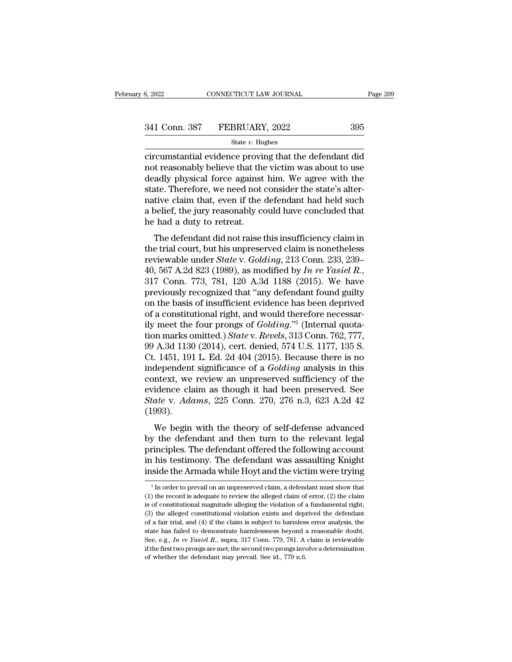| 3, 2022       | CONNECTICUT LAW JOURNAL | Page 209 |  |
|---------------|-------------------------|----------|--|
|               |                         |          |  |
| 341 Conn. 387 | FEBRUARY, 2022          | 395      |  |
|               | State $v$ . Hughes      |          |  |

Example 2022<br>
connectricum Law Journal Page 209<br>  $\frac{341 \text{ Conn. } 387 \qquad \text{FEBRUARY, } 2022 \qquad \qquad 395}$ <br>  $\frac{841 \text{ Conn. } 387 \qquad \text{FEBRUARY, } 2022 \qquad \qquad 395}$ <br>
circumstantial evidence proving that the defendant did<br>
not reasonably belie 341 Conn. 387 FEBRUARY, 2022 395<br>
state v. Hughes<br>
circumstantial evidence proving that the defendant did<br>
not reasonably believe that the victim was about to use<br>
deadly physical force against him. We agree with the<br>
stat  $\begin{array}{c|l} \text{341 Conn. } \text{387} & \text{FEBRUARY, } \text{2022} & \text{395} \\ \hline \text{State } v. \text{ Hughes} & \\ \hline \text{circ} & \\ \text{circ} & \\ \text{not reasonably believe that the victim was about to use} \\ \text{deadly physical force against him. We agree with the state. Therefore, we need not consider the state's alternative claim that, even if the dependent had hold such. \end{array}$ 341 Conn. 387 FEBRUARY, 2022 395<br>  $\frac{\text{State } v. \text{ Hughes}}{\text{circumstantial evidence proving that the defendant did}$ not reasonably believe that the victim was about to use<br>
deadly physical force against him. We agree with the<br>
state. Therefore, we need not consider the sta Since Collar Sove Produces, 2002<br>
State v. Hughes<br>
circumstantial evidence proving that the defendant did<br>
not reasonably believe that the victim was about to use<br>
deadly physical force against him. We agree with the<br>
sta state  $v$ . Hughes<br>circumstantial evidence proving that the defendant did<br>not reasonably believe that the victim was about to use<br>deadly physical force against him. We agree with the<br>state. Therefore, we need not consider circumstantial evidence provinc<br>not reasonably believe that the<br>deadly physical force against<br>state. Therefore, we need not<br>native claim that, even if the<br>a belief, the jury reasonably co<br>he had a duty to retreat.<br>The defe relates that the view of the defendant did not consider the state's alter-<br>tive claim that, even if the defendant had held such<br>pelief, the jury reasonably could have concluded that<br>had a duty to retreat.<br>The defendant did the trial court, we agree with the state. Therefore, we need not consider the state's alternative claim that, even if the defendant had held such a belief, the jury reasonably could have concluded that he had a duty to re

state. Therefore, we need not consider the state *s* and<br>
native claim that, even if the defendant had held such<br>
a belief, the jury reasonably could have concluded that<br>
he had a duty to retreat.<br>
The defendant did not ra hadve claim that, even if the defendant had field such<br>a belief, the jury reasonably could have concluded that<br>he had a duty to retreat.<br>The defendant did not raise this insufficiency claim in<br>the trial court, but his unpr The defendant did not raise this insufficiency claim in<br>the trial court, but his unpreserved claim is nonetheless<br>reviewable under *State* v. *Golding*, 213 Conn. 233, 239–<br>40, 567 A.2d 823 (1989), as modified by *In re Y* The defendant did not raise this insufficiency claim in<br>the trial court, but his unpreserved claim is nonetheless<br>reviewable under *State* v. *Golding*, 213 Conn. 233, 239–<br>40, 567 A.2d 823 (1989), as modified by *In re Y* the trial court, but his unpreserved claim is nonetheless<br>reviewable under *State* v. *Golding*, 213 Conn. 233, 239–40, 567 A.2d 823 (1989), as modified by *In re Yasiel R.*,<br>317 Conn. 773, 781, 120 A.3d 1188 (2015). We h reviewable under *State* v. *Golding*, 213 Conn. 233, 239–40, 567 A.2d 823 (1989), as modified by *In re Yasiel R.*, 317 Conn. 773, 781, 120 A.3d 1188 (2015). We have previously recognized that "any defendant found guilty 40, 567 A.2d 823 (1989), as modified by *In re Yasiel R.*, 317 Conn. 773, 781, 120 A.3d 1188 (2015). We have previously recognized that "any defendant found guilty on the basis of insufficient evidence has been deprived o 317 Conn. 773, 781, 120 A.3d 1188 (2015). We have<br>previously recognized that "any defendant found guilty<br>on the basis of insufficient evidence has been deprived<br>of a constitutional right, and would therefore necessar-<br>ily previously recognized that "any defendant found guilty<br>on the basis of insufficient evidence has been deprived<br>of a constitutional right, and would therefore necessar-<br>ily meet the four prongs of *Golding*."<sup>5</sup> (Internal q on the basis of insufficient evidence has been deprived<br>of a constitutional right, and would therefore necessar-<br>ily meet the four prongs of *Golding*."<sup>5</sup> (Internal quota-<br>tion marks omitted.) *State* v. *Revels*, 313 Con of a constitutional right, and would therefore necessarily meet the four prongs of *Golding.*"<sup>5</sup> (Internal quotation marks omitted.) *State* v. *Revels*, 313 Conn. 762, 777, 99 A.3d 1130 (2014), cert. denied, 574 U.S. 11 ily meet the four prongs of *Golding.*"<sup>5</sup> (Internal quotation marks omitted.) *State* v. *Revels*, 313 Conn. 762, 777, 99 A.3d 1130 (2014), cert. denied, 574 U.S. 1177, 135 S. Ct. 1451, 191 L. Ed. 2d 404 (2015). Because tion marks omitted.) *State* v. *Revels*, 313 Conn. 762, 777, 99 A.3d 1130 (2014), cert. denied, 574 U.S. 1177, 135 S.<br>Ct. 1451, 191 L. Ed. 2d 404 (2015). Because there is no<br>independent significance of a *Golding* analysi (1993).  $(1451, 151)$  E. Ed. 2d 404 (2015). Because there is no<br>dependent significance of a *Golding* analysis in this<br>ntext, we review an unpreserved sufficiency of the<br>idence claim as though it had been preserved. See<br>ate v. Ad macpendent significance of a columny analysis in this<br>context, we review an unpreserved sufficiency of the<br>evidence claim as though it had been preserved. See<br>*State* v. *Adams*, 225 Conn. 270, 276 n.3, 623 A.2d 42<br>(1993).

branchate, we review an angless over summerting of the evidence claim as though it had been preserved. See State v. Adams, 225 Conn. 270, 276 n.3, 623 A.2d 42 (1993).<br>We begin with the theory of self-defense advanced by th State v. Adams, 225 Conn. 270, 276 n.3, 623 A.2d 42 (1993).<br>We begin with the theory of self-defense advanced<br>by the defendant and then turn to the relevant legal<br>principles. The defendant offered the following account<br>in (1993).<br>
We begin with the theory of self-defense advanced<br>
by the defendant and then turn to the relevant legal<br>
principles. The defendant offered the following account<br>
in his testimony. The defendant was assaulting Kni by the defendant and then turn to the relevant legal<br>principles. The defendant offered the following account<br>in his testimony. The defendant was assaulting Knight<br>inside the Armada while Hoyt and the victim were trying<br> $\$ principles. The defendant offered the following account<br>in his testimony. The defendant was assaulting Knight<br>inside the Armada while Hoyt and the victim were trying<br><sup>5</sup> In order to prevail on an unpreserved claim, a defen

in his testimony. The defendant was assaulting Knight<br>inside the Armada while Hoyt and the victim were trying<br> $\frac{1}{10}$  in order to prevail on an unpreserved claim, a defendant must show that<br>(1) the record is adequate t in the vector of the alleged while Hoyt and the victim were trying<br>  $\frac{1}{10}$  in order to prevail on an unpreserved claim, a defendant must show that<br>
(1) the record is adequate to review the alleged claim of error, (2) This trial, and the correct and the victom were trying<br>  $\frac{1}{2}$  in order to prevail on an unpreserved claim, a defendant must show that<br>
(1) the record is adequate to review the alleged claim of error, (2) the claim<br>
is <sup>5</sup> In order to prevail on an unpreserved claim, a defendant must show that (1) the record is adequate to review the alleged claim of error, (2) the claim is of constitutional magnitude alleging the violation of a fundame (1) the record is adequate to review the alleged claim of error, (2) the claim is of constitutional magnitude alleging the violation of a fundamental right, (3) the alleged constitutional violation exists and deprived the is of constitutional magnitude alleging the violation of a fundamental right, (3) the alleged constitutional violation exists and deprived the defendant of a fair trial, and (4) if the claim is subject to harmless error a (3) the alleged constitutional violation exists and deprived the defendant of a fair trial, and (4) if the claim is subject to harmless error analysis, the state has failed to demonstrate harmlessness beyond a reasonable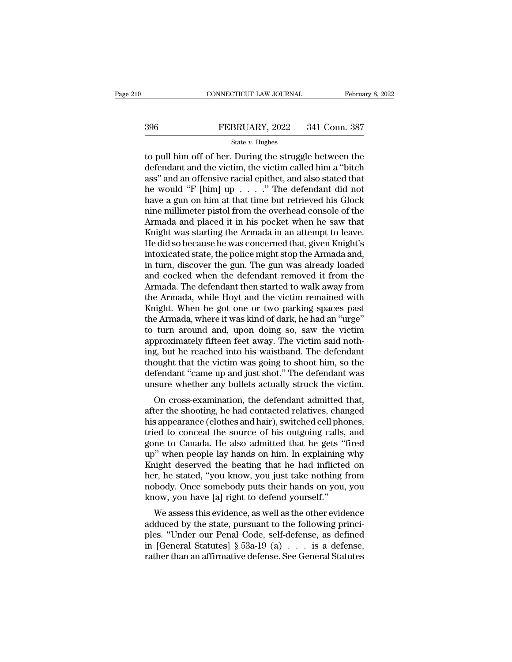# EXECUTE CONNECTICUT LAW JOURNAL February 8, 2022<br>396 FEBRUARY, 2022 341 Conn. 387<br>31 State v. Hughes

### State *v.* Hughes

CONNECTICUT LAW JOURNAL February 8, 2022<br>  $396$  FEBRUARY, 2022 341 Conn. 387<br>  $\frac{\text{State } v. \text{ Hughes}}{\text{A} \cdot \text{B} \cdot \text{B} \cdot \text{B} \cdot \text{B}}$ <br>  $\frac{\text{State } v. \text{ Hughes}}{\text{A} \cdot \text{B} \cdot \text{C} \cdot \text{C} \cdot \text{C} \cdot \text{C} \cdot \text{C} \cdot \text{C} \cdot \text{C} \cdot \text{C} \cdot \text{C} \cdot$  $\begin{array}{r} \text{396} \text{} \text{FEBRUARY, 2022} \text{341 Conn. } \text{387} \ \text{541} \text{Conn. } \text{387} \end{array}$ <br>to pull him off of her. During the struggle between the defendant and the victim, the victim called him a "bitch ass" and an offensive racial ep 396 FEBRUARY, 2022 341 Conn. 387<br>
State v. Hughes<br>
to pull him off of her. During the struggle between the<br>
defendant and the victim, the victim called him a "bitch<br>
ass" and an offensive racial epithet, and also stated t **EXECUARY, 2022** 341 Conn. 387<br>
State v. Hughes<br>
to pull him off of her. During the struggle between the<br>
defendant and the victim, the victim called him a "bitch<br>
ass" and an offensive racial epithet, and also stated tha State v. Hughes<br>
to pull him off of her. During the struggle between the<br>
defendant and the victim, the victim called him a "bitch<br>
ass" and an offensive racial epithet, and also stated that<br>
he would "F [him] up . . . ." state v. Hughes<br>to pull him off of her. During the struggle between the<br>defendant and the victim, the victim called him a "bitch<br>ass" and an offensive racial epithet, and also stated that<br>he would "F [him] up  $\ldots$  ." The to pull him off of her. During the struggle between the defendant and the victim, the victim called him a "bitch ass" and an offensive racial epithet, and also stated that he would "F [him] up  $\ldots$  ." The defendant did n defendant and the victim, the victim called him a "bitch<br>ass" and an offensive racial epithet, and also stated that<br>he would "F [him] up . . . ." The defendant did not<br>have a gun on him at that time but retrieved his Glock ass" and an offensive racial epithet, and also stated that<br>he would "F [him] up  $\ldots$ " The defendant did not<br>have a gun on him at that time but retrieved his Glock<br>nine millimeter pistol from the overhead console of the<br>A he would "F [him] up  $\ldots$ " The defendant did not<br>have a gun on him at that time but retrieved his Glock<br>nine millimeter pistol from the overhead console of the<br>Armada and placed it in his pocket when he saw that<br>Knight w have a gun on him at that time but retrieved his Glock<br>nine millimeter pistol from the overhead console of the<br>Armada and placed it in his pocket when he saw that<br>Knight was starting the Armada in an attempt to leave.<br>He d nine millimeter pistol from the overhead console of the<br>Armada and placed it in his pocket when he saw that<br>Knight was starting the Armada in an attempt to leave.<br>He did so because he was concerned that, given Knight's<br>int Armada and placed it in his pocket when he saw that<br>Knight was starting the Armada in an attempt to leave.<br>He did so because he was concerned that, given Knight's<br>intoxicated state, the police might stop the Armada and,<br>in Knight was starting the Armada in an attempt to leave.<br>He did so because he was concerned that, given Knight's<br>intoxicated state, the police might stop the Armada and,<br>in turn, discover the gun. The gun was already loaded<br> He did so because he was concerned that, given Knight's<br>intoxicated state, the police might stop the Armada and,<br>in turn, discover the gun. The gun was already loaded<br>and cocked when the defendant removed it from the<br>Armad intoxicated state, the police might stop the Armada and,<br>in turn, discover the gun. The gun was already loaded<br>and cocked when the defendant removed it from the<br>Armada. The defendant then started to walk away from<br>the Arma in turn, discover the gun. The gun was already loaded<br>and cocked when the defendant removed it from the<br>Armada. The defendant then started to walk away from<br>the Armada, while Hoyt and the victim remained with<br>Knight. When and cocked when the defendant removed it from the Armada. The defendant then started to walk away from the Armada, while Hoyt and the victim remained with Knight. When he got one or two parking spaces past the Armada, wher Armada. The defendant then started to walk away from<br>the Armada, while Hoyt and the victim remained with<br>Knight. When he got one or two parking spaces past<br>the Armada, where it was kind of dark, he had an "urge"<br>to turn ar the Armada, while Hoyt and the victim remained with<br>Knight. When he got one or two parking spaces past<br>the Armada, where it was kind of dark, he had an "urge"<br>to turn around and, upon doing so, saw the victim<br>approximately Knight. When he got one or two parking spaces past<br>the Armada, where it was kind of dark, he had an "urge"<br>to turn around and, upon doing so, saw the victim<br>approximately fifteen feet away. The victim said noth-<br>ing, but h the Armada, where it was kind of dark, he had an "urge"<br>to turn around and, upon doing so, saw the victim<br>approximately fifteen feet away. The victim said noth-<br>ing, but he reached into his waistband. The defendant<br>thought From a bound and, upon doing so, saw the victint<br>proximately fifteen feet away. The victim said noth-<br>g, but he reached into his waistband. The defendant<br>ought that the victim was going to shoot him, so the<br>fendant "came u approximately inteen feet away. The victim sati nothing, but he reached into his waistband. The defendant<br>thought that the victim was going to shoot him, so the<br>defendant "came up and just shot." The defendant was<br>unsure w

ing, but he reached into his waistband. The defendant<br>thought that the victim was going to shoot him, so the<br>defendant "came up and just shot." The defendant was<br>unsure whether any bullets actually struck the victim.<br>On cr thought that the victint was going to shoot him, so the<br>defendant "came up and just shot." The defendant was<br>unsure whether any bullets actually struck the victim.<br>On cross-examination, the defendant admitted that,<br>after t defendant cante up and just shot. The defendant was<br>unsure whether any bullets actually struck the victim.<br>On cross-examination, the defendant admitted that,<br>after the shooting, he had contacted relatives, changed<br>his appe Unsure whether any bunets actuany struck the victim.<br>
On cross-examination, the defendant admitted that,<br>
after the shooting, he had contacted relatives, changed<br>
his appearance (clothes and hair), switched cell phones,<br>
t On cross-examination, the defendant admitted that,<br>after the shooting, he had contacted relatives, changed<br>his appearance (clothes and hair), switched cell phones,<br>tried to conceal the source of his outgoing calls, and<br>gon after the shooting, he had contacted relatives, changed<br>his appearance (clothes and hair), switched cell phones,<br>tried to conceal the source of his outgoing calls, and<br>gone to Canada. He also admitted that he gets "fired<br>u his appearance (clothes and hair), switched cell phones,<br>tried to conceal the source of his outgoing calls, and<br>gone to Canada. He also admitted that he gets "fired<br>up" when people lay hands on him. In explaining why<br>Knigh tried to conceal the source of his outgoing calls,<br>gone to Canada. He also admitted that he gets "j<br>up" when people lay hands on him. In explaining<br>Knight deserved the beating that he had inflicted<br>her, he stated, "you kno Inter to Canada. The also admitted that he gets fired<br>
" when people lay hands on him. In explaining why<br>
uight deserved the beating that he had inflicted on<br>
r, he stated, "you know, you just take nothing from<br>
body. Once adduced by the state, pursuant to the following with Knight deserved the beating that he had inflicted on<br>her, he stated, "you know, you just take nothing from<br>nobody. Once somebody puts their hands on you, you<br>know, you h

Kinght deserved the beating that he had inflicted on<br>her, he stated, "you know, you just take nothing from<br>nobody. Once somebody puts their hands on you, you<br>know, you have [a] right to defend yourself."<br>We assess this evi in the stated, you know, you just take houting from<br>nobody. Once somebody puts their hands on you, you<br>know, you have [a] right to defend yourself."<br>We assess this evidence, as well as the other evidence<br>adduced by the sta France Scheebody puts their hands on you, you know, you have [a] right to defend yourself."<br>We assess this evidence, as well as the other evidence<br>adduced by the state, pursuant to the following princi-<br>ples. "Under our P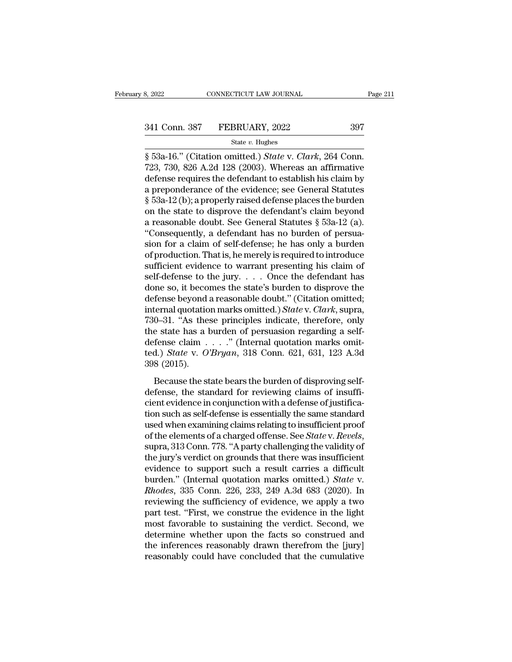8, 2022 CONNECTICUT LAW JOURNAL Page<br>
341 Conn. 387 FEBRUARY, 2022 397<br>
<sup>35</sup> State *v*. Hughes<br>
8 53a-16.'' (Citation omitted.) *State* v. *Clark*, 264 Conn.<br>
723, 730, 826 A.2d 128 (2003). Whereas an affirmative<br>
defense 341 Conn. 387 FEBRUARY, 2022 397<br>
State v. Hughes<br>  $\frac{1}{2}$  53a-16." (Citation omitted.) *State v. Clark*, 264 Conn.<br>
723, 730, 826 A.2d 128 (2003). Whereas an affirmative<br>
defense requires the defendant to establish his 341 Conn. 387 FEBRUARY, 2022 397<br>
State v. Hughes<br>
State v. Hughes<br>
State v. Clark, 264 Conn.<br>
723, 730, 826 A.2d 128 (2003). Whereas an affirmative<br>
defense requires the defendant to establish his claim by<br>
a preponderan 341 Conn. 387 FEBRUARY, 2022 397<br>
state v. Hughes<br>
§ 53a-16." (Citation omitted.) *State v. Clark*, 264 Conn.<br>
723, 730, 826 A.2d 128 (2003). Whereas an affirmative<br>
defense requires the defendant to establish his claim b State v. Hughes<br>
§ 53a-16." (Citation omitted.) *State v. Clark*, 264 Conn.<br>
723, 730, 826 A.2d 128 (2003). Whereas an affirmative<br>
defense requires the defendant to establish his claim by<br>
a preponderance of the evidence state v. Hugnes<br>
§ 53a-16." (Citation omitted.) *State* v. *Clark*, 264 Conn.<br>
723, 730, 826 A.2d 128 (2003). Whereas an affirmative<br>
defense requires the defendant to establish his claim by<br>
a preponderance of the eviden § 53a-16." (Citation omitted.) *State* v. *Clark*, 264 Conn.<br>723, 730, 826 A.2d 128 (2003). Whereas an affirmative<br>defense requires the defendant to establish his claim by<br>a preponderance of the evidence; see General Stat 723, 730, 826 A.2d 128 (2003). Whereas an affirmative<br>defense requires the defendant to establish his claim by<br>a preponderance of the evidence; see General Statutes<br> $\S$  53a-12 (b); a properly raised defense places the bur defense requires the defendant to establish his claim by<br>a preponderance of the evidence; see General Statutes<br>§ 53a-12 (b); a properly raised defense places the burden<br>on the state to disprove the defendant's claim beyond a preponderance of the evidence; see General Statutes<br>
§ 53a-12 (b); a properly raised defense places the burden<br>
on the state to disprove the defendant's claim beyond<br>
a reasonable doubt. See General Statutes § 53a-12 (a)  $\S$  53a-12 (b); a properly raised defense places the burden<br>on the state to disprove the defendant's claim beyond<br>a reasonable doubt. See General Statutes  $\S$  53a-12 (a).<br>"Consequently, a defendant has no burden of persua on the state to disprove the defendant's claim beyond<br>a reasonable doubt. See General Statutes § 53a-12 (a).<br>"Consequently, a defendant has no burden of persua-<br>sion for a claim of self-defense; he has only a burden<br>of pr a reasonable doubt. See General Statutes  $\S$  53a-12 (a).<br>
"Consequently, a defendant has no burden of persua-<br>
sion for a claim of self-defense; he has only a burden<br>
of production. That is, he merely is required to intro "Consequently, a defendant has no burden of persuasion for a claim of self-defense; he has only a burden of production. That is, he merely is required to introduce sufficient evidence to warrant presenting his claim of se sion for a claim of self-defense; he has only a burden<br>of production. That is, he merely is required to introduce<br>sufficient evidence to warrant presenting his claim of<br>self-defense to the jury. . . . Once the defendant h of production. That is, he merely is required to introduce<br>sufficient evidence to warrant presenting his claim of<br>self-defense to the jury. . . . Once the defendant has<br>done so, it becomes the state's burden to disprove t sufficient evidence to warrant presenting his claim of<br>self-defense to the jury. . . . Once the defendant has<br>done so, it becomes the state's burden to disprove the<br>defense beyond a reasonable doubt." (Citation omitted;<br>i self-defense to the jury. . . . . Once the defendant has<br>done so, it becomes the state's burden to disprove the<br>defense beyond a reasonable doubt." (Citation omitted;<br>internal quotation marks omitted.) *State* v. *Clark*, done so, it becomes the state's burden to disprove the<br>defense beyond a reasonable doubt." (Citation omitted;<br>internal quotation marks omitted.) *State* v. *Clark*, supra,<br>730–31. "As these principles indicate, therefore, defense beyond<br>internal quotatio<br>730–31. "As the<br>the state has a l<br>defense claim .<br>ted.) *State* v. *O*<br>398 (2015).<br>Because the st 0–31. "As these principles indicate, therefore, only<br>0–31. "As these principles indicate, therefore, only<br>be state has a burden of persuasion regarding a self-<br>fense claim . . . . " (Internal quotation marks omit-<br>d.) *St* the state has a burden of persuasion regarding a self-<br>defense claim  $\ldots$ ." (Internal quotation marks omit-<br>ted.) *State v. O'Bryan*, 318 Conn. 621, 631, 123 A.3d<br>398 (2015).<br>Because the state bears the burden of disprov

defense claim  $\ldots$ ." (Internal quotation marks omitted.) *State v. O'Bryan*, 318 Conn. 621, 631, 123 A.3d 398 (2015).<br>Because the state bears the burden of disproving self-<br>defense, the standard for reviewing claims of i ted.) *State* v. *O'Bryan*, 318 Conn. 621, 631, 123 A.3d<br>398 (2015).<br>Because the state bears the burden of disproving self-<br>defense, the standard for reviewing claims of insuffi-<br>cient evidence in conjunction with a defen Because the state bears the burden of disproving self-<br>defense, the standard for reviewing claims of insuffi-<br>cient evidence in conjunction with a defense of justifica-<br>tion such as self-defense is essentially the same st Because the state bears the burden of disproving self-<br>defense, the standard for reviewing claims of insuffi-<br>cient evidence in conjunction with a defense of justifica-<br>tion such as self-defense is essentially the same sta defense, the standard for reviewing claims of insufficient evidence in conjunction with a defense of justification such as self-defense is essentially the same standard used when examining claims relating to insufficient p cient evidence in conjunction with a defense of justification such as self-defense is essentially the same standard<br>used when examining claims relating to insufficient proof<br>of the elements of a charged offense. See *Stat* tion such as self-defense is essentially the same standard<br>used when examining claims relating to insufficient proof<br>of the elements of a charged offense. See *State* v. *Revels*,<br>supra, 313 Conn. 778. "A party challenging used when examining claims relating to insufficient proof<br>of the elements of a charged offense. See *State* v. *Revels*,<br>supra, 313 Conn. 778. "A party challenging the validity of<br>the jury's verdict on grounds that there w of the elements of a charged offense. See *State* v. *Revels*,<br>supra, 313 Conn. 778. "A party challenging the validity of<br>the jury's verdict on grounds that there was insufficient<br>evidence to support such a result carries supra, 313 Conn. 778. "A party challenging the validity of<br>the jury's verdict on grounds that there was insufficient<br>evidence to support such a result carries a difficult<br>burden." (Internal quotation marks omitted.) *State* the jury's verdict on grounds that there was insufficient<br>evidence to support such a result carries a difficult<br>burden." (Internal quotation marks omitted.) *State* v.<br>*Rhodes*, 335 Conn. 226, 233, 249 A.3d 683 (2020). In<br> evidence to support such a result carries a difficult<br>burden." (Internal quotation marks omitted.) *State* v.<br>*Rhodes*, 335 Conn. 226, 233, 249 A.3d 683 (2020). In<br>reviewing the sufficiency of evidence, we apply a two<br>part burden." (Internal quotation marks omitted.) *State* v.<br>*Rhodes*, 335 Conn. 226, 233, 249 A.3d 683 (2020). In<br>reviewing the sufficiency of evidence, we apply a two<br>part test. "First, we construe the evidence in the light<br>m Rhodes, 335 Conn. 226, 233, 249 A.3d 683 (2020). In reviewing the sufficiency of evidence, we apply a two part test. "First, we construe the evidence in the light most favorable to sustaining the verdict. Second, we determ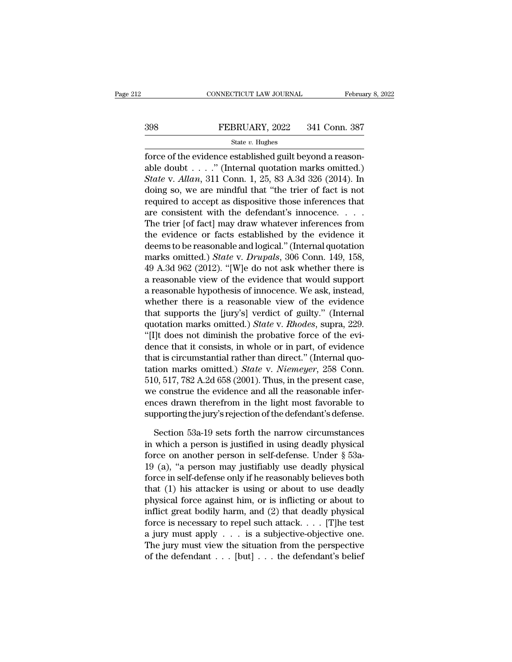# EXECUTE CONNECTICUT LAW JOURNAL February 8, 2022<br>398 FEBRUARY, 2022 341 Conn. 387<br>31 State v. Hughes

### State *v.* Hughes

Februa<br>
FEBRUARY, 2022 341 Conn. 387<br>
State v. Hughes<br>
force of the evidence established guilt beyond a reason-<br>
able doubt . . . ." (Internal quotation marks omitted.)<br>
State v.  $\frac{M_{R20}}{211}$  Conn. 1, 35, 99, 4, 24, 2 398 FEBRUARY, 2022 341 Conn. 387<br>  $\frac{\text{State } v. \text{ Hughes}}{\text{force of the evidence established guilty beyond a reasonable doubt . . . '' (Internal quotation marks omitted.)}$ <br>
State v. Allan, 311 Conn. 1, 25, 83 A.3d 326 (2014). In **State v. Hughes**<br> **State v. Hughes**<br> **State v. Allance established guilt beyond a reason-<br>
able doubt . . . . ." (Internal quotation marks omitted.)<br>** *State* **v.** *Allan***, 311 Conn. 1, 25, 83 A.3d 326 (2014). In<br>
doing so,** 398 FEBRUARY, 2022 341 Conn. 387<br>
State v. Hughes<br>
force of the evidence established guilt beyond a reason-<br>
able doubt . . . . " (Internal quotation marks omitted.)<br>
State v. Allan, 311 Conn. 1, 25, 83 A.3d 326 (2014). I State v. Hughes<br>force of the evidence established guilt beyond a reason-<br>able doubt . . . . " (Internal quotation marks omitted.)<br>State v. Allan, 311 Conn. 1, 25, 83 A.3d 326 (2014). In<br>doing so, we are mindful that "the state v. mights<br>force of the evidence established guilt beyond a reason-<br>able doubt . . . ." (Internal quotation marks omitted.)<br>*State* v. *Allan*, 311 Conn. 1, 25, 83 A.3d 326 (2014). In<br>doing so, we are mindful that "t force of the evidence established guilt beyond a reason-<br>able doubt . . . . " (Internal quotation marks omitted.)<br>State v. Allan, 311 Conn. 1, 25, 83 A.3d 326 (2014). In<br>doing so, we are mindful that "the trier of fact is able doubt . . . ." (Internal quotation marks omitted.)<br> *State* v. *Allan*, 311 Conn. 1, 25, 83 A.3d 326 (2014). In<br>
doing so, we are mindful that "the trier of fact is not<br>
required to accept as dispositive those infere *State* v. *Allan*, 311 Conn. 1, 25, 83 A.3d 326 (2014). In<br>doing so, we are mindful that "the trier of fact is not<br>required to accept as dispositive those inferences that<br>are consistent with the defendant's innocence. . doing so, we are mindful that "the trier of fact is not<br>required to accept as dispositive those inferences that<br>are consistent with the defendant's innocence. . . .<br>The trier [of fact] may draw whatever inferences from<br>the required to accept as dispositive those inferences that<br>are consistent with the defendant's innocence. . . .<br>The trier [of fact] may draw whatever inferences from<br>the evidence or facts established by the evidence it<br>deems are consistent with the defendant's innocence. . . . . The trier [of fact] may draw whatever inferences from<br>the evidence or facts established by the evidence it<br>deems to be reasonable and logical." (Internal quotation<br>ma The trier [of fact] may draw whatever inferences from<br>the evidence or facts established by the evidence it<br>deems to be reasonable and logical." (Internal quotation<br>marks omitted.) *State* v. *Drupals*, 306 Conn. 149, 158, the evidence or facts established by the evidence it<br>deems to be reasonable and logical." (Internal quotation<br>marks omitted.) *State* v. *Drupals*, 306 Conn. 149, 158,<br>49 A.3d 962 (2012). "[W]e do not ask whether there is deems to be reasonable and logical." (Internal quotation<br>marks omitted.) *State* v. *Drupals*, 306 Conn. 149, 158,<br>49 A.3d 962 (2012). "[W]e do not ask whether there is<br>a reasonable view of the evidence that would support<br> marks omitted.) *State* v. *Drupals*, 306 Conn. 149, 158, 49 A.3d 962 (2012). "[W]e do not ask whether there is a reasonable view of the evidence that would support a reasonable hypothesis of innocence. We ask, instead, wh 49 A.3d 962 (2012). "[W]e do not ask whether there is<br>a reasonable view of the evidence that would support<br>a reasonable hypothesis of innocence. We ask, instead,<br>whether there is a reasonable view of the evidence<br>that sup a reasonable view of the evidence that would support<br>a reasonable hypothesis of innocence. We ask, instead,<br>whether there is a reasonable view of the evidence<br>that supports the [jury's] verdict of guilty." (Internal<br>quota a reasonable hypothesis of innocence. We ask, instead,<br>whether there is a reasonable view of the evidence<br>that supports the [jury's] verdict of guilty." (Internal<br>quotation marks omitted.) *State* v. *Rhodes*, supra, 229. whether there is a reasonable view of the evidence<br>that supports the [jury's] verdict of guilty." (Internal<br>quotation marks omitted.) *State* v. *Rhodes*, supra, 229.<br>"[I]t does not diminish the probative force of the evithat supports the [jury's] verdict of guilty." (Internal<br>quotation marks omitted.) *State* v. *Rhodes*, supra, 229.<br>"[I]t does not diminish the probative force of the evi-<br>dence that it consists, in whole or in part, of ev quotation marks omitted.) *State* v. *Rhodes*, supra, 229.<br>
"[I]t does not diminish the probative force of the evidence that it consists, in whole or in part, of evidence<br>
that is circumstantial rather than direct." (Inte "[I]t does not diminish the probative force of the evidence that it consists, in whole or in part, of evidence that is circumstantial rather than direct." (Internal quotation marks omitted.) *State* v. *Niemeyer*, 258 Con dence that it consists, in whole or in part, of evidence<br>that is circumstantial rather than direct." (Internal quo-<br>tation marks omitted.) *State* v. *Niemeyer*, 258 Conn.<br>510, 517, 782 A.2d 658 (2001). Thus, in the presen tion marks omitted.) *State v. Niemeyer*, 258 Conn.<br>0, 517, 782 A.2d 658 (2001). Thus, in the present case,<br>e construe the evidence and all the reasonable infer-<br>ces drawn therefrom in the light most favorable to<br>pporting 510, 517, 782 A.2d 658 (2001). Thus, in the present case,<br>we construe the evidence and all the reasonable infer-<br>ences drawn therefrom in the light most favorable to<br>supporting the jury's rejection of the defendant's defe

we construe the evidence and all the reasonable inferences drawn therefrom in the light most favorable to supporting the jury's rejection of the defendant's defense.<br>Section 53a-19 sets forth the narrow circumstances in wh ences drawn therefrom in the light most favorable to<br>supporting the jury's rejection of the defendant's defense.<br>Section 53a-19 sets forth the narrow circumstances<br>in which a person is justified in using deadly physical<br>fo supporting the jury's rejection of the defendant's defense.<br>
Section 53a-19 sets forth the narrow circumstances<br>
in which a person is justified in using deadly physical<br>
force on another person in self-defense. Under § 53a Section 53a-19 sets forth the narrow circumstances<br>in which a person is justified in using deadly physical<br>force on another person in self-defense. Under  $\S$  53a-<br>19 (a), "a person may justifiably use deadly physical<br>forc Section 53a-19 sets forth the narrow circumstances<br>in which a person is justified in using deadly physical<br>force on another person in self-defense. Under  $\S$  53a-<br>19 (a), "a person may justifiably use deadly physical<br>forc in which a person is justified in using deadly physical<br>force on another person in self-defense. Under  $\S$  53a-<br>19 (a), "a person may justifiably use deadly physical<br>force in self-defense only if he reasonably believes bo force on another person in self-defense. Under  $\S$  53a-<br>19 (a), "a person may justifiably use deadly physical<br>force in self-defense only if he reasonably believes both<br>that (1) his attacker is using or about to use deadly 19 (a), "a person may justifiably use deadly physical<br>force in self-defense only if he reasonably believes both<br>that (1) his attacker is using or about to use deadly<br>physical force against him, or is inflicting or about t force in self-defense only if he reasonably believes both<br>that (1) his attacker is using or about to use deadly<br>physical force against him, or is inflicting or about to<br>inflict great bodily harm, and (2) that deadly physi that (1) his attacker is using or about to use deadly<br>physical force against him, or is inflicting or about to<br>inflict great bodily harm, and (2) that deadly physical<br>force is necessary to repel such attack.... [T]he test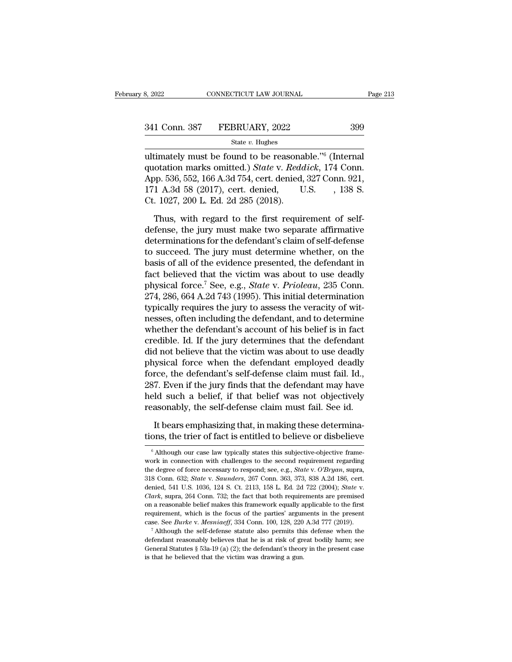8, 2022 CONNECTICUT LAW JOURNAL Page 2<br>
341 Conn. 387 FEBRUARY, 2022 399<br>
341 Conn. 387 FEBRUARY, 2022 399<br>
399<br>
341 Conn. 387 FEBRUARY, 2022 399<br>
399<br>
341 Conn. 387 FEBRUARY, 2022 399<br>
399<br>
241 Conn. 4 Conn. 4 m 526 552 1 341 Conn. 387 FEBRUARY, 2022<br>
<sup>State v. Hughes</sup><br>
ultimately must be found to be reasonable."<sup>6</sup> (Internal<br>
quotation marks omitted.) *State* v. *Reddick*, 174 Conn.<br>
App. 536, 552, 166 A.3d 754, cert. denied, 327 Conn. 921 341 Conn. 387 FEBRUARY, 2022 399<br>
State v. Hughes<br>
ultimately must be found to be reasonable."<sup>6</sup> (Internal<br>
quotation marks omitted.) *State* v. *Reddick*, 174 Conn.<br>
App. 536, 552, 166 A.3d 754, cert. denied, 327 Conn. 341 Conn. 387 FEBRUARY, 2022 399<br>
State v. Hughes<br>
ultimately must be found to be reasonable."<sup>6</sup> (Internal<br>
quotation marks omitted.) *State* v. *Reddick*, 174 Conn.<br>
App. 536, 552, 166 A.3d 754, cert. denied, 327 Conn. State v. Hughes<br>
ultimately must be found to be reasona<br>
quotation marks omitted.) State v. Redo<br>
App. 536, 552, 166 A.3d 754, cert. denied,<br>
171 A.3d 58 (2017), cert. denied,<br>
Ct. 1027, 200 L. Ed. 2d 285 (2018).<br>
Thus, w timately must be found to be reasonable."<sup>6</sup> (Internal otation marks omitted.) *State* v. *Reddick*, 174 Conn.<br>pp. 536, 552, 166 A.3d 754, cert. denied, 327 Conn. 921, 1 A.3d 58 (2017), cert. denied, U.S., 138 S.<br>. 1027, quotation marks omitted.) *State* v. *Reddick*, 174 Conn.<br>App. 536, 552, 166 A.3d 754, cert. denied, 327 Conn. 921,<br>171 A.3d 58 (2017), cert. denied, U.S., 138 S.<br>Ct. 1027, 200 L. Ed. 2d 285 (2018).<br>Thus, with regard to th

App. 536, 552, 166 A.3d 754, cert. denied, 327 Conn. 921,<br>171 A.3d 58 (2017), cert. denied, U.S., 138 S.<br>Ct. 1027, 200 L. Ed. 2d 285 (2018).<br>Thus, with regard to the first requirement of self-<br>defense, the jury must make t 171 A.3d 58 (2017), cert. denied, U.S. , 138 S.<br>
Ct. 1027, 200 L. Ed. 2d 285 (2018).<br>
Thus, with regard to the first requirement of self-<br>
defense, the jury must make two separate affirmative<br>
determinations for the defen Ct. 1027, 200 L. Ed. 2d 285 (2018).<br>
Thus, with regard to the first requirement of self-<br>
defense, the jury must make two separate affirmative<br>
determinations for the defendant's claim of self-defense<br>
to succeed. The jur Thus, with regard to the first requirement of self-<br>defense, the jury must make two separate affirmative<br>determinations for the defendant's claim of self-defense<br>to succeed. The jury must determine whether, on the<br>basis o Thus, with regard to the first requirement of self-<br>defense, the jury must make two separate affirmative<br>determinations for the defendant's claim of self-defense<br>to succeed. The jury must determine whether, on the<br>basis of defense, the jury must make two separate affirmative<br>determinations for the defendant's claim of self-defense<br>to succeed. The jury must determine whether, on the<br>basis of all of the evidence presented, the defendant in<br>fac determinations for the defendant's claim of self-defense<br>to succeed. The jury must determine whether, on the<br>basis of all of the evidence presented, the defendant in<br>fact believed that the victim was about to use deadly<br>ph to succeed. The jury must determine whether, on the<br>basis of all of the evidence presented, the defendant in<br>fact believed that the victim was about to use deadly<br>physical force.<sup>7</sup> See, e.g., *State v. Prioleau*, 235 Con basis of all of the evidence presented, the defendant in fact believed that the victim was about to use deadly physical force.<sup>7</sup> See, e.g., *State* v. *Prioleau*, 235 Conn. 274, 286, 664 A.2d 743 (1995). This initial det fact believed that the victim was about to use deadly<br>physical force.<sup>7</sup> See, e.g., *State* v. *Prioleau*, 235 Conn.<br>274, 286, 664 A.2d 743 (1995). This initial determination<br>typically requires the jury to assess the verac physical force.<sup>7</sup> See, e.g., *State* v. *Prioleau*, 235 Conn.<br>274, 286, 664 A.2d 743 (1995). This initial determination<br>typically requires the jury to assess the veracity of wit-<br>nesses, often including the defendant, and 274, 286, 664 A.2d 743 (1995). This initial determination<br>typically requires the jury to assess the veracity of wit-<br>nesses, often including the defendant, and to determine<br>whether the defendant's account of his belief is typically requires the jury to assess the veracity of witnesses, often including the defendant, and to determine<br>whether the defendant's account of his belief is in fact<br>credible. Id. If the jury determines that the defend nesses, often including the defendant, and to determine<br>whether the defendant's account of his belief is in fact<br>credible. Id. If the jury determines that the defendant<br>did not believe that the victim was about to use dead whether the defendant's account of his belief is in fact<br>credible. Id. If the jury determines that the defendant<br>did not believe that the victim was about to use deadly<br>physical force when the defendant employed deadly<br>for credible. Id. If the jury determines that the defendant<br>did not believe that the victim was about to use deadly<br>physical force when the defendant employed deadly<br>force, the defendant's self-defense claim must fail. Id.,<br>28 It is upsical force when the defendant employed deadly<br>
It compared that, in the defendant is self-defense claim must fail. Id.,<br>
7. Even if the jury finds that the defendant may have<br>
ld such a belief, if that belief was force, the defendant's self-defense claim must fail. Id., 287. Even if the jury finds that the defendant may have held such a belief, if that belief was not objectively reasonably, the self-defense claim must fail. See id.

reasonably, the self-defense claim must fail. See id.<br>It bears emphasizing that, in making these determina-<br>tions, the trier of fact is entitled to believe or disbelieve<br> $\frac{1}{\sqrt{2}}$  Although our case law typically states It bears emphasizing that, in making these determina-<br>tions, the trier of fact is entitled to believe or disbelieve<br> $\frac{1}{\pi}$  Although our case law typically states this subjective-objective frame-<br>work in connection wit It bears emphasizing that, in making these determina-<br>tions, the trier of fact is entitled to believe or disbelieve<br><sup>6</sup> Although our case law typically states this subjective-objective frame-<br>work in connection with challe <sup>6</sup> Although our case law typically states this subjective-objective framework in connection with challenges to the second requirement regarding the degree of force necessary to respond; see, e.g., *State* v. *O'Bryan*, su dentical denied of the secular of the second requirement regarding work in connection with challenges to the second requirement regarding the degree of force necessary to respond; see, e.g., *State* v. *O'Bryan*, supra, 31 work in connection with challenges to the second requirement regarding<br>the degree of force necessary to respond; see, e.g., *State* v. O'Bryan, supra,<br>318 Conn. 632; *State* v. *Saunders*, 267 Conn. 363, 373, 838 A.2d 186, the degree of force necessary to respond; see, e.g., *State v. O'Bryan*, supra, 318 Conn. 632; *State v. Saunders*, 267 Conn. 363, 373, 838 A.2d 186, cert. denied, 541 U.S. 1036, 124 S. Ct. 2113, 158 L. Ed. 2d 722 (2004); as a case. See *Burke* v. *Saunders*, 267 Conn. 363, 373, 838 A.2d 186, cert.<br>denied, 541 U.S. 1036, 124 S. Ct. 2113, 158 L. Ed. 2d 722 (2004); *State* v.<br>*Clark*, supra, 264 Conn. 732; the fact that both requirements are Clark, supra, 264 Conn. 732; the fact that both requirements are premised on a reasonable belief makes this framework equally applicable to the first requirement, which is the focus of the parties' arguments in the presen

For a reasonable belief makes this framework equily applicable to the first requirement, which is the focus of the parties' arguments in the present case. See *Burke* v. *Mesniaeff*, 334 Conn. 100, 128, 220 A.3d 777 (2019 on a reasonable belief makes this framework equally applicable to the first requirement, which is the focus of the parties' arguments in the present case. See *Burke* v. *Mesniaeff*, 334 Conn. 100, 128, 220 A.3d 777 (2019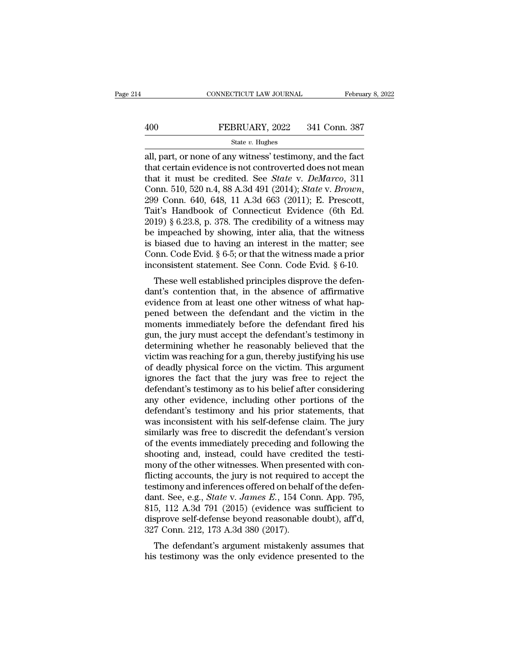CONNECTICUT LAW JOURNAL February 8, 202<br>
400 FEBRUARY, 2022 341 Conn. 387<br>
5tate v. Hughes<br>
all, part, or none of any witness' testimony, and the fact<br>
that certain evidence is not controverted does not mean<br>
that it must 400 FEBRUARY, 2022 341 Conn. 387<br>
state v. Hughes<br>
all, part, or none of any witness' testimony, and the fact<br>
that certain evidence is not controverted does not mean<br>
that it must be credited. See *State* v. *DeMarco*, 3 FEBRUARY, 2022 341 Conn. 387<br>
State v. Hughes<br>
all, part, or none of any witness' testimony, and the fact<br>
that certain evidence is not controverted does not mean<br>
that it must be credited. See *State* v. *DeMarco*, 311<br>
C FEBRUARY, 2022 341 Conn. 387<br>
State *v*. Hughes<br>
all, part, or none of any witness' testimony, and the fact<br>
that certain evidence is not controverted does not mean<br>
that it must be credited. See *State v*. *DeMarco*, 31 state v. Hughes<br>
all, part, or none of any witness' testimony, and the fact<br>
that certain evidence is not controverted does not mean<br>
that it must be credited. See *State* v. *DeMarco*, 311<br>
Conn. 510, 520 n.4, 88 A.3d 49 all, part, or none of any witness' testimony, and the fact<br>that certain evidence is not controverted does not mean<br>that it must be credited. See *State* v. DeMarco, 311<br>Conn. 510, 520 n.4, 88 A.3d 491 (2014); *State* v. Br that certain evidence is not controverted does not mean<br>that it must be credited. See *State* v. *DeMarco*, 311<br>Conn. 510, 520 n.4, 88 A.3d 491 (2014); *State* v. *Brown*,<br>299 Conn. 640, 648, 11 A.3d 663 (2011); E. Presco that it must be credited. See *State v. DeMarco*, 311<br>Conn. 510, 520 n.4, 88 A.3d 491 (2014); *State v. Brown*,<br>299 Conn. 640, 648, 11 A.3d 663 (2011); E. Prescott,<br>Tait's Handbook of Connecticut Evidence (6th Ed.<br>2019) § Conn. 510, 520 n.4, 88 A.3d 491 (2014); *State* v. *Brown*, 299 Conn. 640, 648, 11 A.3d 663 (2011); E. Prescott, Tait's Handbook of Connecticut Evidence (6th Ed. 2019) § 6.23.8, p. 378. The credibility of a witness may be 299 Conn. 640, 648, 11 A.3d 663 (2011); E. Prescott, Tait's Handbook of Connecticut Evidence (6th Ed. 2019) § 6.23.8, p. 378. The credibility of a witness may be impeached by showing, inter alia, that the witness is biase It is Trandbook of Connecticut Evidence (of Ed. 19) § 6.23.8, p. 378. The credibility of a witness may impeached by showing, inter alia, that the witness biased due to having an interest in the matter; see ponn. Code Evid  $\frac{2019}{98}$  o.25.6, p. 576. The creaming of a witness hiay<br>be impeached by showing, inter alia, that the witness<br>is biased due to having an interest in the matter; see<br>Conn. Code Evid. § 6-5; or that the witness made a

be impeached by showing, inter and, that the witness<br>is biased due to having an interest in the matter; see<br>Conn. Code Evid. § 6-5; or that the witness made a prior<br>inconsistent statement. See Conn. Code Evid. § 6-10.<br>Thes per solution. Code Evid.  $\S$  6-5; or that the witness made a prior<br>inconsistent statement. See Conn. Code Evid.  $\S$  6-10.<br>These well established principles disprove the defen-<br>dant's contention that, in the absence of aff Confirm Code Evid.  $\frac{1}{8}$  0-5, or that the witness made a prior<br>inconsistent statement. See Conn. Code Evid.  $\frac{8}{8}$  6-10.<br>These well established principles disprove the defen-<br>dant's contention that, in the absence mconsistent statement. See Comt. Code Evid. § 0-10.<br>These well established principles disprove the defendant's contention that, in the absence of affirmative<br>evidence from at least one other witness of what hap-<br>pened betw These well established principles disprove the defendant's contention that, in the absence of affirmative evidence from at least one other witness of what happened between the defendant and the victim in the moments immedi dant's contention that, in the absence of affirmative<br>evidence from at least one other witness of what hap-<br>pened between the defendant and the victim in the<br>moments immediately before the defendant fired his<br>gun, the jury evidence from at least one other witness of what hap-<br>pened between the defendant and the victim in the<br>moments immediately before the defendant fired his<br>gun, the jury must accept the defendant's testimony in<br>determining pened between the defendant and the victim in the<br>moments immediately before the defendant fired his<br>gun, the jury must accept the defendant's testimony in<br>determining whether he reasonably believed that the<br>victim was rea moments immediately before the defendant fired his<br>gun, the jury must accept the defendant's testimony in<br>determining whether he reasonably believed that the<br>victim was reaching for a gun, thereby justifying his use<br>of dea gun, the jury must accept the defendant's testimony in<br>determining whether he reasonably believed that the<br>victim was reaching for a gun, thereby justifying his use<br>of deadly physical force on the victim. This argument<br>ign determining whether he reasonably believed that the victim was reaching for a gun, thereby justifying his use of deadly physical force on the victim. This argument ignores the fact that the jury was free to reject the defe victim was reaching for a gun, thereby justifying his use<br>of deadly physical force on the victim. This argument<br>ignores the fact that the jury was free to reject the<br>defendant's testimony as to his belief after considering of deadly physical force on the victim. This argument<br>ignores the fact that the jury was free to reject the<br>defendant's testimony as to his belief after considering<br>any other evidence, including other portions of the<br>defen ignores the fact that the jury was free to reject the<br>defendant's testimony as to his belief after considering<br>any other evidence, including other portions of the<br>defendant's testimony and his prior statements, that<br>was in defendant's testimony as to his belief after considering<br>any other evidence, including other portions of the<br>defendant's testimony and his prior statements, that<br>was inconsistent with his self-defense claim. The jury<br>simil any other evidence, including other portions of the<br>defendant's testimony and his prior statements, that<br>was inconsistent with his self-defense claim. The jury<br>similarly was free to discredit the defendant's version<br>of the defendant's testimony and his prior statements, that<br>was inconsistent with his self-defense claim. The jury<br>similarly was free to discredit the defendant's version<br>of the events immediately preceding and following the<br>sho was inconsistent with his self-defense claim. The jury<br>similarly was free to discredit the defendant's version<br>of the events immediately preceding and following the<br>shooting and, instead, could have credited the testi-<br>mo similarly was free to discredit the defendant's version<br>of the events immediately preceding and following the<br>shooting and, instead, could have credited the testi-<br>mony of the other witnesses. When presented with con-<br>flic of the events immediately preceding and following the<br>shooting and, instead, could have credited the testi-<br>mony of the other witnesses. When presented with con-<br>flicting accounts, the jury is not required to accept the<br>t shooting and, instead, could have credited the testi-<br>mony of the other witnesses. When presented with con-<br>flicting accounts, the jury is not required to accept the<br>testimony and inferences offered on behalf of the defenmony of the other witnesses. When preser<br>flicting accounts, the jury is not required<br>testimony and inferences offered on behal<br>dant. See, e.g., *State* v. *James E.*, 154 Co<br>815, 112 A.3d 791 (2015) (evidence was<br>disprove the defendant's argument mistakenly assumes that its defendant. See, e.g., *State v. James E.*, 154 Conn. App. 795, 5, 112 A.3d 791 (2015) (evidence was sufficient to sprove self-defense beyond reasonable doubt), aff'd, 7 dant. See, e.g., *State v. James E.*, 154 Conn. App. 795, 815, 112 A.3d 791 (2015) (evidence was sufficient to disprove self-defense beyond reasonable doubt), aff d, 327 Conn. 212, 173 A.3d 380 (2017). The defendant's argu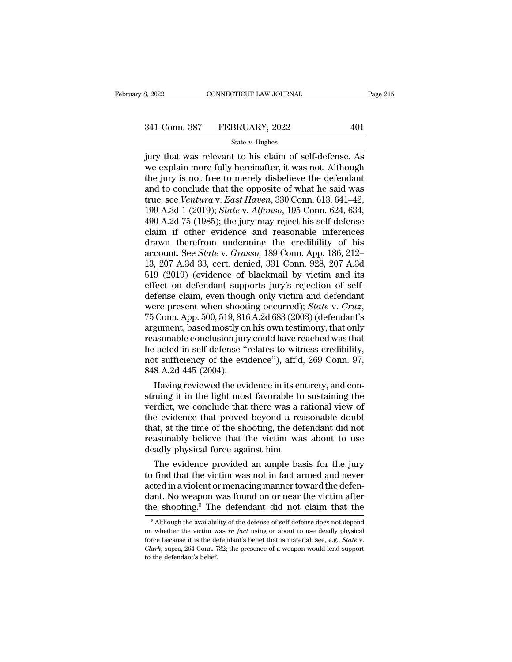# 332022 CONNECTICUT LAW JOURNAL Page 215<br>341 Conn. 387 FEBRUARY, 2022 401<br>344 State v. Hughes

### State *v.* Hughes

 $\begin{array}{cccc}\n & \text{3, } & \text{2022} & \text{COMNETICUT LAW JOURNAL} & \text{Page 215}\n \hline\n & & \text{341 Conn. } & \text{387} & \text{FEBRUARY, } & \text{2022} & 401\n \end{array}$ <br>  $\begin{array}{cccc}\n & \text{State } v. \text{ Hughes} \\
 \text{jury that was relevant to his claim of self-defense. As} \\
 \text{we explain more fully hereinafter, it was not. Although} \\
 \text{the iury is not free to merely disholius to the defendant}\n\end{array}$  $341$  Conn. 387 FEBRUARY, 2022 401<br>
state v. Hughes<br>
jury that was relevant to his claim of self-defense. As<br>
we explain more fully hereinafter, it was not. Although<br>
the jury is not free to merely disbelieve the defendan 341 Conn. 387 FEBRUARY, 2022 401<br>
State v. Hughes<br>
jury that was relevant to his claim of self-defense. As<br>
we explain more fully hereinafter, it was not. Although<br>
the jury is not free to merely disbelieve the defendant<br> 341 Conn. 387 FEBRUARY, 2022 401<br>
state *v*. Hughes<br>
jury that was relevant to his claim of self-defense. As<br>
we explain more fully hereinafter, it was not. Although<br>
the jury is not free to merely disbelieve the defendan state *v.* Hushes<br>
jury that was relevant to his claim of self-defense. As<br>
we explain more fully hereinafter, it was not. Although<br>
the jury is not free to merely disbelieve the defendant<br>
and to conclude that the opposit state *v*. *Hughes*<br>
jury that was relevant to his claim of self-defense. As<br>
we explain more fully hereinafter, it was not. Although<br>
the jury is not free to merely disbelieve the defendant<br>
and to conclude that the oppos jury that was relevant to his claim of self-defense. As<br>we explain more fully hereinafter, it was not. Although<br>the jury is not free to merely disbelieve the defendant<br>and to conclude that the opposite of what he said was<br> we explain more fully hereinafter, it was not. Although<br>the jury is not free to merely disbelieve the defendant<br>and to conclude that the opposite of what he said was<br>true; see *Ventura* v. *East Haven*, 330 Conn. 613, 641 the jury is not free to merely disbelieve the defendant<br>and to conclude that the opposite of what he said was<br>true; see *Ventura* v. *East Haven*, 330 Conn. 613, 641–42,<br>199 A.3d 1 (2019); *State* v. *Alfonso*, 195 Conn. and to conclude that the opposite of what he said was<br>true; see *Ventura v. East Haven*, 330 Conn. 613, 641–42,<br>199 A.3d 1 (2019); *State v. Alfonso*, 195 Conn. 624, 634,<br>490 A.2d 75 (1985); the jury may reject his self-de true; see *Ventura* v. *East Haven*, 330 Conn. 613, 641–42,<br>199 A.3d 1 (2019); *State* v. *Alfonso*, 195 Conn. 624, 634,<br>490 A.2d 75 (1985); the jury may reject his self-defense<br>claim if other evidence and reasonable infer 199 A.3d 1 (2019); *State v. Alfonso*, 195 Conn. 624, 634, 490 A.2d 75 (1985); the jury may reject his self-defense claim if other evidence and reasonable inferences drawn therefrom undermine the credibility of his accoun 490 A.2d 75 (1985); the jury may reject his self-defense<br>claim if other evidence and reasonable inferences<br>drawn therefrom undermine the credibility of his<br>account. See *State* v. *Grasso*, 189 Conn. App. 186, 212-<br>13, 20 claim if other evidence and reasonable inferences<br>drawn therefrom undermine the credibility of his<br>account. See *State* v. *Grasso*, 189 Conn. App. 186, 212–<br>13, 207 A.3d 33, cert. denied, 331 Conn. 928, 207 A.3d<br>519 (201 drawn therefrom undermine the credibility of his<br>account. See *State* v. *Grasso*, 189 Conn. App. 186, 212–<br>13, 207 A.3d 33, cert. denied, 331 Conn. 928, 207 A.3d<br>519 (2019) (evidence of blackmail by victim and its<br>effect 13, 207 A.3d 33, cert. denied, 331 Conn. 928, 207 A.3d<br>519 (2019) (evidence of blackmail by victim and its<br>effect on defendant supports jury's rejection of self-<br>defense claim, even though only victim and defendant<br>were p 519 (2019) (evidence of blackmail by victim and its<br>effect on defendant supports jury's rejection of self-<br>defense claim, even though only victim and defendant<br>were present when shooting occurred); *State* v. *Cruz*,<br>75 C effect on defendant supports jury's rejection of self-<br>defense claim, even though only victim and defendant<br>were present when shooting occurred); *State* v. *Cruz*,<br>75 Conn. App. 500, 519, 816 A.2d 683 (2003) (defendant's defense claim, even though only victim and defendant<br>were present when shooting occurred); *State* v. *Cruz*,<br>75 Conn. App. 500, 519, 816 A.2d 683 (2003) (defendant's<br>argument, based mostly on his own testimony, that only<br> were present when shoot<br>75 Conn. App. 500, 519, 816<br>argument, based mostly or<br>reasonable conclusion jury<br>he acted in self-defense "<br>not sufficiency of the evi<br>848 A.2d 445 (2004).<br>Having reviewed the evi Conn. App. 500, 519, 816 A.2d 683 (2003) (defendant s<br>gument, based mostly on his own testimony, that only<br>assonable conclusion jury could have reached was that<br>acted in self-defense "relates to witness credibility,<br>it suf argument, based mostly on his own testimony, that only<br>reasonable conclusion jury could have reached was that<br>he acted in self-defense "relates to witness credibility,<br>not sufficiency of the evidence"), aff'd, 269 Conn. 97

reasonable conclusion jury could have reached was that<br>he acted in self-defense "relates to witness credibility,<br>not sufficiency of the evidence"), aff'd, 269 Conn. 97,<br>848 A.2d 445 (2004).<br>Having reviewed the evidence in the acted in self-defense "relates to witness credibility,<br>not sufficiency of the evidence"), aff'd, 269 Conn. 97,<br>848 A.2d 445 (2004).<br>Having reviewed the evidence in its entirety, and con-<br>struing it in the light most fa not sufficiency of the evidence"), aff d, 269 Conn. 97,<br>848 A.2d 445 (2004).<br>Having reviewed the evidence in its entirety, and construing it in the light most favorable to sustaining the<br>verdict, we conclude that there was 848 A.2d 445 (2004).<br>
Having reviewed the evidence in its entirety, and construing it in the light most favorable to sustaining the<br>
verdict, we conclude that there was a rational view of<br>
the evidence that proved beyond a Having reviewed the evidence in its en<br>struing it in the light most favorable to<br>verdict, we conclude that there was a r<br>the evidence that proved beyond a rea<br>that, at the time of the shooting, the det<br>reasonably believe t rung it in the light most ravorable to sustaining the<br>rdict, we conclude that there was a rational view of<br>e evidence that proved beyond a reasonable doubt<br>at, at the time of the shooting, the defendant did not<br>assonably b veralct, we conclude that there was a rational view of<br>the evidence that proved beyond a reasonable doubt<br>that, at the time of the shooting, the defendant did not<br>reasonably believe that the victim was about to use<br>deadly

the evidence that proved beyond a reasonable doubt<br>that, at the time of the shooting, the defendant did not<br>reasonably believe that the victim was about to use<br>deadly physical force against him.<br>The evidence provided an am that, at the time of the shooting, the defendant did not<br>reasonably believe that the victim was about to use<br>deadly physical force against him.<br>The evidence provided an ample basis for the jury<br>to find that the victim was reasonably believe that the victim was about to use<br>deadly physical force against him.<br>The evidence provided an ample basis for the jury<br>to find that the victim was not in fact armed and never<br>acted in a violent or menacin 9 find that the victim was not in fact armed and never<br>cted in a violent or menacing manner toward the defen-<br>ant. No weapon was found on or near the victim after<br>lee shooting.<sup>8</sup> The defendant did not claim that the<br><sup>8</sup> acted in a violent or menacing manner toward the defendant. No weapon was found on or near the victim after the shooting.<sup>8</sup> The defendant did not claim that the shooting.<sup>8</sup> The defendant did not claim that the shall phys

dant. No weapon was found on or near the victim after<br>the shooting.<sup>8</sup> The defendant did not claim that the<br><sup>8</sup> Although the availability of the defense of self-defense does not depend<br>on whether the victim was *in fact* u  $\frac{1}{s}$  Although the availabil<br>on whether the victim was<br>force because it is the defendant's belief.<br>*Clark*, supra, 264 Conn. 7<br>to the defendant's belief.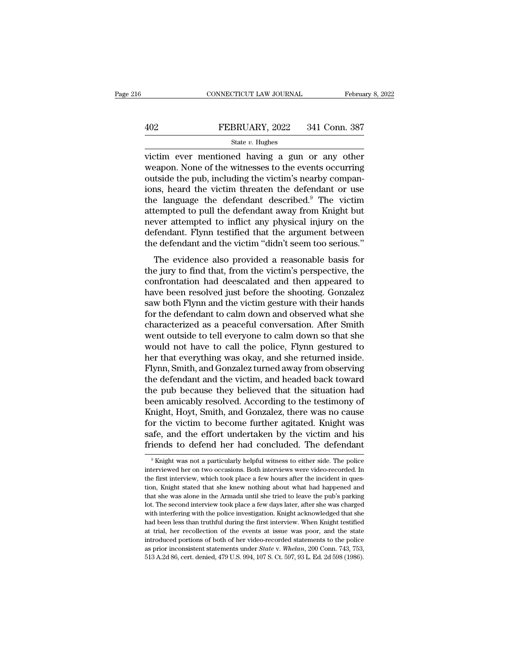# EXECUTE CONNECTICUT LAW JOURNAL February 8, 2022<br>402 FEBRUARY, 2022 341 Conn. 387<br>5tate v. Hughes

### State *v.* Hughes

CONNECTICUT LAW JOURNAL February 8, 2022<br>
FEBRUARY, 2022 341 Conn. 387<br>
State v. Hughes<br>
victim ever mentioned having a gun or any other<br>
weapon. None of the witnesses to the events occurring<br>
cutside the pub, including th FEBRUARY, 2022 341 Conn. 387<br>
State v. Hughes<br>
victim ever mentioned having a gun or any other<br>
weapon. None of the witnesses to the events occurring<br>
outside the pub, including the victim's nearby compan-<br>
shord the victi 402 FEBRUARY, 2022 341 Conn. 387<br>
State v. Hughes<br>
victim ever mentioned having a gun or any other<br>
weapon. None of the witnesses to the events occurring<br>
outside the pub, including the victim's nearby compan-<br>
ions, hear FEBRUARY, 2022 341 Conn. 387<br>
State v. Hughes<br>
victim ever mentioned having a gun or any other<br>
weapon. None of the witnesses to the events occurring<br>
outside the pub, including the victim's nearby compan-<br>
ions, heard th State v. Hughes<br>
victim ever mentioned having a gun or any other<br>
weapon. None of the witnesses to the events occurring<br>
outside the pub, including the victim's nearby compan-<br>
ions, heard the victim threaten the defendan state v. Hughes<br>victim ever mentioned having a gun or any other<br>weapon. None of the witnesses to the events occurring<br>outside the pub, including the victim's nearby compan-<br>ions, heard the victim threaten the defendant or victim ever mentioned having a gun or any other<br>weapon. None of the witnesses to the events occurring<br>outside the pub, including the victim's nearby compan-<br>ions, heard the victim threaten the defendant or use<br>the language weapon. None of the witnesses to the events occurring<br>outside the pub, including the victim's nearby compan-<br>ions, heard the victim threaten the defendant or use<br>the language the defendant described.<sup>9</sup> The victim<br>attempte outside the pub, including the victim's nearby companions, heard the victim threaten the defendant or use the language the defendant described.<sup>9</sup> The victim attempted to pull the defendant away from Knight but never attem the language the defendant described.<sup>9</sup> The victim<br>tempted to pull the defendant away from Knight but<br>ver attempted to inflict any physical injury on the<br>fendant. Flynn testified that the argument between<br>e defendant and attempted to pull the defendant attention. The victim<br>attempted to pull the defendant away from Knight but<br>never attempted to inflict any physical injury on the<br>defendant. Flynn testified that the argument between<br>the defe

attempted to pun the defendant away from Engin but<br>never attempted to inflict any physical injury on the<br>defendant. Flynn testified that the argument between<br>the defendant and the victim "didn't seem too serious."<br>The evid have a templed to finite any physical hijury of the defendant. Flynn testified that the argument between the defendant and the victim "didn't seem too serious."<br>The evidence also provided a reasonable basis for the jury to decendant. Tryint testince that the digament between<br>the defendant and the victim "didn't seem too serious."<br>The evidence also provided a reasonable basis for<br>the jury to find that, from the victim's perspective, the<br>confr The evidence also provided a reasonable basis for<br>the jury to find that, from the victim's perspective, the<br>confrontation had deescalated and then appeared to<br>have been resolved just before the shooting. Gonzalez<br>saw both The evidence also provided a reasonable basis for<br>the jury to find that, from the victim's perspective, the<br>confrontation had deescalated and then appeared to<br>have been resolved just before the shooting. Gonzalez<br>saw both the jury to find that, from the victim's perspective, the confrontation had deescalated and then appeared to have been resolved just before the shooting. Gonzalez saw both Flynn and the victim gesture with their hands for confrontation had deescalated and then appeared to<br>have been resolved just before the shooting. Gonzalez<br>saw both Flynn and the victim gesture with their hands<br>for the defendant to calm down and observed what she<br>character have been resolved just before the shooting. Gonzalez<br>saw both Flynn and the victim gesture with their hands<br>for the defendant to calm down and observed what she<br>characterized as a peaceful conversation. After Smith<br>went o saw both Flynn and the victim gesture with their hands<br>for the defendant to calm down and observed what she<br>characterized as a peaceful conversation. After Smith<br>went outside to tell everyone to calm down so that she<br>would for the defendant to calm down and observed what she<br>characterized as a peaceful conversation. After Smith<br>went outside to tell everyone to calm down so that she<br>would not have to call the police, Flynn gestured to<br>her tha characterized as a peaceful conversation. After Smith<br>went outside to tell everyone to calm down so that she<br>would not have to call the police, Flynn gestured to<br>her that everything was okay, and she returned inside.<br>Flynn went outside to tell everyone to calm down so that she<br>would not have to call the police, Flynn gestured to<br>her that everything was okay, and she returned inside.<br>Flynn, Smith, and Gonzalez turned away from observing<br>the d would not have to call the police, Flynn gestured to<br>her that everything was okay, and she returned inside.<br>Flynn, Smith, and Gonzalez turned away from observing<br>the defendant and the victim, and headed back toward<br>the pub her that everything was okay, and she returned inside.<br>Flynn, Smith, and Gonzalez turned away from observing<br>the defendant and the victim, and headed back toward<br>the pub because they believed that the situation had<br>been am Flynn, Smith, and Gonzalez turned away from observing<br>the defendant and the victim, and headed back toward<br>the pub because they believed that the situation had<br>been amicably resolved. According to the testimony of<br>Knight, the defendant and the victim, and headed back toward<br>the pub because they believed that the situation had<br>been amicably resolved. According to the testimony of<br>Knight, Hoyt, Smith, and Gonzalez, there was no cause<br>for the Knight, Hoyt, Smith, and Gonzalez, there was no cause<br>for the victim to become further agitated. Knight was<br>safe, and the effort undertaken by the victim and his<br>friends to defend her had concluded. The defendant<br> $\frac{1}{\pi$ for the victim to become further agitated. Knight was safe, and the effort undertaken by the victim and his friends to defend her had concluded. The defendant  $\frac{9}{10}$  Knight was not a particularly helpful witness to ei

safe, and the effort undertaken by the victim and his<br>friends to defend her had concluded. The defendant<br><sup>9</sup>Knight was not a particularly helpful witness to either side. The police<br>interviewed her on two occasions. Both in Triends to defend her had concluded. The defendant<br>
<sup>9</sup> Knight was not a particularly helpful witness to either side. The police<br>
interviewed her on two occasions. Both interviews were video-recorded. In<br>
the first intervi Thends to determ the Haut Concruded. The determinant<br>
<sup>9</sup> Knight was not a particularly helpful witness to either side. The police<br>
interviewed her on two occasions. Both interviews were video-recorded. In<br>
the first inter <sup>9</sup> Knight was not a particularly helpful witness to either side. The police interviewed her on two occasions. Both interviews were video-recorded. In the first interview, which took place a few hours after the incident i interviewed her on two occasions. Both interviews were video-recorded. In the first interview, which took place a few hours after the incident in question, Knight stated that she knew nothing about what had happened and th the first interview, which took place a few hours after the incident in question, Knight stated that she knew nothing about what had happened and that she was alone in the Armada until she tried to leave the pub's parking at trial, her recollection of the events at issue was poor, and the policient, Knight stated that she knew nothing about what had happened and that she was alone in the Armada until she tried to leave the pub's parking lot that she was alone in the Armada until she tried to leave the pub's parking lot. The second interview took place a few days later, after she was charged with interfering with the police investigation. Knight acknowledged that she was alone in the Armada until she tried to leave the pub's parking lot. The second interview took place a few days later, after she was charged with interfering with the police investigation. Knight acknowledged t with interfering with the police investigation. Knight acknowledged that she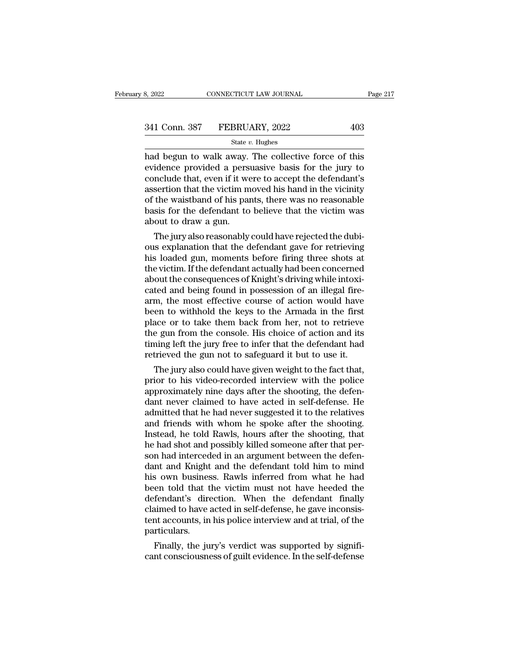| 3, 2022       | CONNECTICUT LAW JOURNAL |     | Page 217 |
|---------------|-------------------------|-----|----------|
|               |                         |     |          |
| 341 Conn. 387 | FEBRUARY, 2022          | 403 |          |
|               | State $v$ . Hughes      |     |          |

 $\begin{array}{r|l} \text{B, 2022} & \text{COMRECTICUT LAW JOURNAL} & \text{Page 217} \ \hline \text{341 Conn. } 387 & \text{FEBRUARY, } 2022 & 403 \ \hline \text{State } v. \text{ Hughes} \ \hline \text{had begun to walk away. The collective force of this evidence provided a pervasive basis for the jury to conclude that even if it were to accept the deformation's.} \end{array}$ 341 Conn. 387 FEBRUARY, 2022 403<br>
state v. Hughes<br>
had begun to walk away. The collective force of this<br>
evidence provided a persuasive basis for the jury to<br>
conclude that, even if it were to accept the defendant's<br>
asse 341 Conn. 387 FEBRUARY, 2022 403<br>
State v. Hughes<br>
had begun to walk away. The collective force of this<br>
evidence provided a persuasive basis for the jury to<br>
conclude that, even if it were to accept the defendant's<br>
asse 341 Conn. 387 FEBRUARY, 2022 403<br>
State v. Hughes<br>
had begun to walk away. The collective force of this<br>
evidence provided a persuasive basis for the jury to<br>
conclude that, even if it were to accept the defendant's<br>
asse State v. Hughes<br>
had begun to walk away. The collective force of this<br>
evidence provided a persuasive basis for the jury to<br>
conclude that, even if it were to accept the defendant's<br>
assertion that the victim moved his ha state  $v$ . Hughes<br>had begun to walk away. The collective force of this<br>evidence provided a persuasive basis for the jury to<br>conclude that, even if it were to accept the defendant's<br>assertion that the victim moved his hand had begun to walk away.<br>evidence provided a pers<br>conclude that, even if it we<br>assertion that the victim m<br>of the waistband of his par<br>basis for the defendant to<br>about to draw a gun.<br>The jury also reasonably next<br>network of a persuasive basis for the jury to<br>nelude that, even if it were to accept the defendant's<br>sertion that the victim moved his hand in the vicinity<br>the waistband of his pants, there was no reasonable<br>sis for t conclude that, even if it were to accept the defendant s<br>assertion that the victim moved his hand in the vicinity<br>of the waistband of his pants, there was no reasonable<br>basis for the defendant to believe that the victim wa

assertion that the victim moved his hand in the victinty<br>of the waistband of his pants, there was no reasonable<br>basis for the defendant to believe that the victim was<br>about to draw a gun.<br>The jury also reasonably could hav or the waistband of his pants, there was no reasonable<br>basis for the defendant to believe that the victim was<br>about to draw a gun.<br>The jury also reasonably could have rejected the dubi-<br>ous explanation that the defendant g basis for the defendant to believe that the victim was<br>about to draw a gun.<br>The jury also reasonably could have rejected the dubi-<br>ous explanation that the defendant gave for retrieving<br>his loaded gun, moments before firin about to draw a gun.<br>The jury also reasonably could have rejected the dubi-<br>ous explanation that the defendant gave for retrieving<br>his loaded gun, moments before firing three shots at<br>the victim. If the defendant actually The jury also reasonably could have rejected the dubious explanation that the defendant gave for retrieving<br>his loaded gun, moments before firing three shots at<br>the victim. If the defendant actually had been concerned<br>abou ous explanation that the defendant gave for retrieving<br>his loaded gun, moments before firing three shots at<br>the victim. If the defendant actually had been concerned<br>about the consequences of Knight's driving while intoxi-<br> his loaded gun, moments before firing three shots at<br>the victim. If the defendant actually had been concerned<br>about the consequences of Knight's driving while intoxi-<br>cated and being found in possession of an illegal firethe victim. If the defendant actually had been concerned<br>about the consequences of Knight's driving while intoxi-<br>cated and being found in possession of an illegal fire-<br>arm, the most effective course of action would have<br> about the consequences of Knight's driving while intoxicated and being found in possession of an illegal fire-<br>arm, the most effective course of action would have<br>been to withhold the keys to the Armada in the first<br>place cated and being found in possession of an illegal fire-<br>arm, the most effective course of action would have<br>been to withhold the keys to the Armada in the first<br>place or to take them back from her, not to retrieve<br>the gun m, the most effective course of action would have<br>een to withhold the keys to the Armada in the first<br>ace or to take them back from her, not to retrieve<br>e gun from the console. His choice of action and its<br>ning left the ju been to withhold the keys to the Armada in the first<br>place or to take them back from her, not to retrieve<br>the gun from the console. His choice of action and its<br>timing left the jury free to infer that the defendant had<br>ret

place or to take them back from her, not to retrieve<br>the gun from the console. His choice of action and its<br>timing left the jury free to infer that the defendant had<br>retrieved the gun not to safeguard it but to use it.<br>The the gun from the console. His choice or action and its<br>timing left the jury free to infer that the defendant had<br>retrieved the gun not to safeguard it but to use it.<br>The jury also could have given weight to the fact that,<br> timing left the jury free to infer that the defendant had<br>retrieved the gun not to safeguard it but to use it.<br>The jury also could have given weight to the fact that,<br>prior to his video-recorded interview with the police<br>a retrieved the gun not to safeguard it but to use it.<br>The jury also could have given weight to the fact that,<br>prior to his video-recorded interview with the police<br>approximately nine days after the shooting, the defen-<br>dant The jury also could have given weight to the fact that,<br>prior to his video-recorded interview with the police<br>approximately nine days after the shooting, the defen-<br>dant never claimed to have acted in self-defense. He<br>admi prior to his video-recorded interview with the police<br>approximately nine days after the shooting, the defen-<br>dant never claimed to have acted in self-defense. He<br>admitted that he had never suggested it to the relatives<br>and approximately nine days after the shooting, the defendant never claimed to have acted in self-defense. He admitted that he had never suggested it to the relatives and friends with whom he spoke after the shooting, that he dant never claimed to have acted in self-defense. He<br>admitted that he had never suggested it to the relatives<br>and friends with whom he spoke after the shooting.<br>Instead, he told Rawls, hours after the shooting, that<br>he had admitted that he had never suggested it to the relatives<br>and friends with whom he spoke after the shooting.<br>Instead, he told Rawls, hours after the shooting, that<br>he had shot and possibly killed someone after that per-<br>son and friends with whom he spoke after the shooting.<br>Instead, he told Rawls, hours after the shooting, that<br>he had shot and possibly killed someone after that per-<br>son had interceded in an argument between the defen-<br>dant an Instead, he told Rawls, hours after the shooting, that<br>he had shot and possibly killed someone after that per-<br>son had interceded in an argument between the defen-<br>dant and Knight and the defendant told him to mind<br>his own he had shot and possibly killed someone after that per-<br>son had interceded in an argument between the defen-<br>dant and Knight and the defendant told him to mind<br>his own business. Rawls inferred from what he had<br>been told th son had interceded in an argument between the defendant and Knight and the defendant told him to mind his own business. Rawls inferred from what he had been told that the victim must not have heeded the defendant's directi particulars. is own business. Rawis inferred from what he had<br>en told that the victim must not have heeded the<br>fendant's direction. When the defendant finally<br>aimed to have acted in self-defense, he gave inconsis-<br>nt accounts, in his p been told that the victim must not have heeded the<br>defendant's direction. When the defendant finally<br>claimed to have acted in self-defense, he gave inconsis-<br>tent accounts, in his police interview and at trial, of the<br>part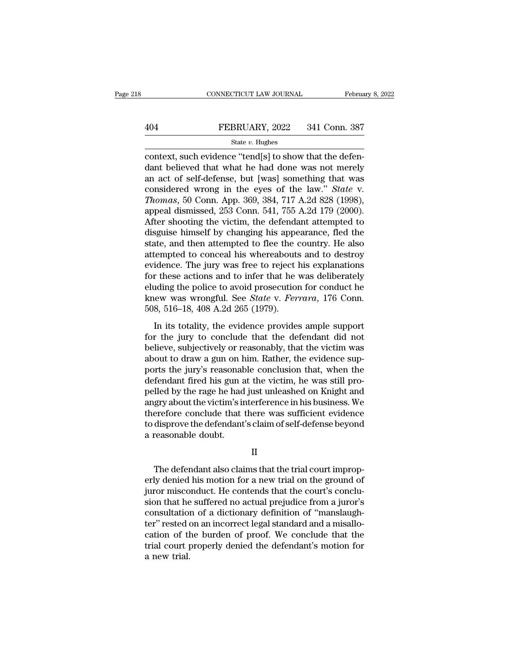# EXECUTE CONNECTICUT LAW JOURNAL February 8, 2022<br>404 FEBRUARY, 2022 341 Conn. 387<br>5tate v. Hughes

### State *v.* Hughes

CONNECTICUT LAW JOURNAL Februa<br>
404 FEBRUARY, 2022 341 Conn. 387<br>
5tate v. Hughes<br>
context, such evidence "tend[s] to show that the defen-<br>
dant believed that what he had done was not merely<br>
an act of self-defense, but [w FEBRUARY, 2022 341 Conn. 387<br>
State v. Hughes<br>
context, such evidence "tend[s] to show that the defendant believed that what he had done was not merely<br>
an act of self-defense, but [was] something that was<br>
considered wron 404 FEBRUARY, 2022 341 Conn. 387<br>
State v. Hughes<br>
context, such evidence "tend[s] to show that the defendant believed that what he had done was not merely<br>
an act of self-defense, but [was] something that was<br>
considered FEBRUARY, 2022 341 Conn. 387<br>
State *v*. Hughes<br>
context, such evidence "tend[s] to show that the defendant believed that what he had done was not merely<br>
an act of self-defense, but [was] something that was<br>
considered wr *Thusismay*, 2022 *Thromas*, 30 Conn. 367.<br> *Thushes*<br>
context, such evidence "tend[s] to show that the defendant believed that what he had done was not merely<br>
an act of self-defense, but [was] something that was<br>
consi state v. Hughes<br>
context, such evidence "tend[s] to show that the defen-<br>
dant believed that what he had done was not merely<br>
an act of self-defense, but [was] something that was<br>
considered wrong in the eyes of the law." context, such evidence "tend[s] to show that the defen-<br>dant believed that what he had done was not merely<br>an act of self-defense, but [was] something that was<br>considered wrong in the eyes of the law." *State* v.<br>*Thomas*, dant believed that what he had done was not merely<br>an act of self-defense, but [was] something that was<br>considered wrong in the eyes of the law." *State* v.<br>*Thomas*, 50 Conn. App. 369, 384, 717 A.2d 828 (1998),<br>appeal dis an act of self-defense, but [was] something that was<br>considered wrong in the eyes of the law." *State* v.<br>*Thomas*, 50 Conn. App. 369, 384, 717 A.2d 828 (1998),<br>appeal dismissed, 253 Conn. 541, 755 A.2d 179 (2000).<br>After s considered wrong in the eyes of the law." *State v.*<br>Thomas, 50 Conn. App. 369, 384, 717 A.2d 828 (1998),<br>appeal dismissed, 253 Conn. 541, 755 A.2d 179 (2000).<br>After shooting the victim, the defendant attempted to<br>disguise Thomas, 50 Conn. App. 369, 384, 717 A.2d 828 (1998), appeal dismissed, 253 Conn. 541, 755 A.2d 179 (2000).<br>After shooting the victim, the defendant attempted to disguise himself by changing his appearance, fled the state, appeal dismissed, 253 Conn. 541, 755 A.2d 179 (2000).<br>After shooting the victim, the defendant attempted to<br>disguise himself by changing his appearance, fled the<br>state, and then attempted to flee the country. He also<br>attem After shooting the victim, the defendant attempted to disguise himself by changing his appearance, fled the state, and then attempted to flee the country. He also attempted to conceal his whereabouts and to destroy eviden disguise himself by changing his appearance, fled the state, and then attempted to flee the country. He also attempted to conceal his whereabouts and to destroy evidence. The jury was free to reject his explanations for th state, and then attempted to flee the c<br>attempted to conceal his whereabouts<br>evidence. The jury was free to reject l<br>for these actions and to infer that he<br>eluding the police to avoid prosecution<br>knew was wrongful. See *St* idence. The jury was free to reject his explanations<br>r these actions and to infer that he was deliberately<br>uding the police to avoid prosecution for conduct he<br>lew was wrongful. See *State* v. *Ferrara*, 176 Conn.<br>8, 516–1 for these actions and to infer that he was deliberately<br>eluding the police to avoid prosecution for conduct he<br>knew was wrongful. See *State v. Ferrara*, 176 Conn.<br>508, 516–18, 408 A.2d 265 (1979).<br>In its totality, the ev

believe and the master of the victim conduct he<br>conduct he<br>knew was wrongful. See *State* v. *Ferrara*, 176 Conn.<br>508, 516–18, 408 A.2d 265 (1979).<br>In its totality, the evidence provides ample support<br>for the jury to conc knew was wrongful. See *State v. Ferrara*, 176 Conn.<br>508, 516–18, 408 A.2d 265 (1979).<br>In its totality, the evidence provides ample support<br>for the jury to conclude that the defendant did not<br>believe, subjectively or reaso for the jury's reasonable conclude that the defendant did not<br>believe, subjectively or reasonably, that the victim was<br>about to draw a gun on him. Rather, the evidence sup-<br>ports the jury's reasonable conclusion that, whe In its totality, the evidence provides ample support<br>for the jury to conclude that the defendant did not<br>believe, subjectively or reasonably, that the victim was<br>about to draw a gun on him. Rather, the evidence sup-<br>ports In its totality, the evidence provides ample support<br>for the jury to conclude that the defendant did not<br>believe, subjectively or reasonably, that the victim was<br>about to draw a gun on him. Rather, the evidence sup-<br>ports for the jury to conclude that the defendant did not<br>believe, subjectively or reasonably, that the victim was<br>about to draw a gun on him. Rather, the evidence sup-<br>ports the jury's reasonable conclusion that, when the<br>defen believe, subjectively or reasonably, that the victim was<br>about to draw a gun on him. Rather, the evidence sup-<br>ports the jury's reasonable conclusion that, when the<br>defendant fired his gun at the victim, he was still pro-<br> about to draw a gun on him. Rather, the evidence supports the jury's reasonable conclusion that, when the defendant fired his gun at the victim, he was still propelled by the rage he had just unleashed on Knight and angry ports the jury's reasonal:<br>defendant fired his gun a<br>pelled by the rage he had<br>angry about the victim's ir<br>therefore conclude that t<br>to disprove the defendant<br>a reasonable doubt. gry about the victim's interference in his business. We<br>erefore conclude that there was sufficient evidence<br>disprove the defendant's claim of self-defense beyond<br>reasonable doubt.<br>II<br>The defendant also claims that the tria

II

therefore conclude that there was sufficient evidence<br>to disprove the defendant's claim of self-defense beyond<br>a reasonable doubt.<br>II<br>The defendant also claims that the trial court improp-<br>erly denied his motion for a new to disprove the defendant's claim of self-defense beyond<br>a reasonable doubt.<br>H<br>The defendant also claims that the trial court improp-<br>erly denied his motion for a new trial on the ground of<br>juror misconduct. He contends th II<br>II<br>The defendant also claims that the trial court improp-<br>erly denied his motion for a new trial on the ground of<br>juror misconduct. He contends that the court's conclu-<br>sion that he suffered no actual prejudice from a j II<br>The defendant also claims that the trial court improperly denied his motion for a new trial on the ground of<br>juror misconduct. He contends that the court's conclu-<br>sion that he suffered no actual prejudice from a juror' The defendant also claims that the trial court improperly denied his motion for a new trial on the ground of juror misconduct. He contends that the court's conclusion that he suffered no actual prejudice from a juror's con The defendant also claims that the trial court improperly denied his motion for a new trial on the ground of<br>juror misconduct. He contends that the court's conclu-<br>sion that he suffered no actual prejudice from a juror's<br>c erly denied his motion for a new trial on the ground of<br>juror misconduct. He contends that the court's conclu-<br>sion that he suffered no actual prejudice from a juror's<br>consultation of a dictionary definition of "manslaughiuror misco<br>sion that he<br>consultation<br>ter'' rested d<br>cation of th<br>trial court <sub>l</sub><br>a new trial.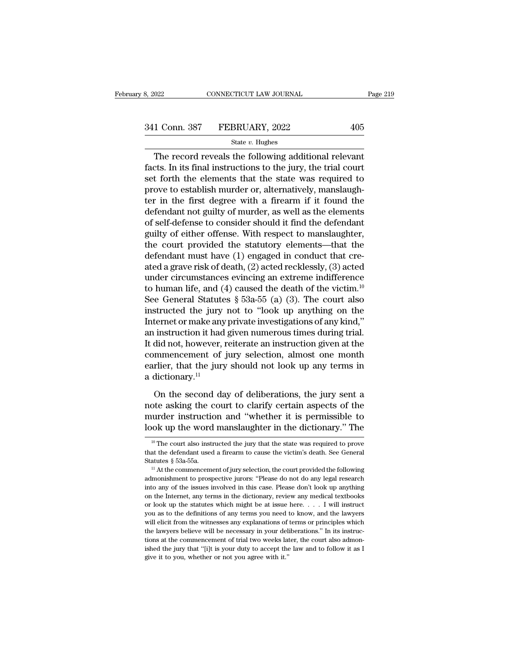# 341 Conn. 387 FEBRUARY, 2022 405<br>341 Conn. 387 FEBRUARY, 2022 405<br>344 State v. Hughes

### State *v.* Hughes

 $T_{\text{1}}$  CONNECTICUT LAW JOURNAL Page 21:<br>  $\frac{1 \text{ Conn. } 387 \qquad \text{FEBRUARY, } 2022 \qquad \qquad 405}{\text{State } v. \text{ Hughes}}$ <br>
The record reveals the following additional relevant<br>
record reveals the following additional relevant<br>
res. In its fin  $\begin{array}{r} \text{341 Conn. } 387 \quad \text{FEBRUARY, } 2022 \quad \text{405} \\ \text{State } v. \text{ Hughes} \end{array}$ The record reveals the following additional relevant facts. In its final instructions to the jury, the trial court set forth the elements that the state wa 341 Conn. 387 FEBRUARY, 2022 405<br>
State v. Hughes<br>
The record reveals the following additional relevant<br>
facts. In its final instructions to the jury, the trial court<br>
set forth the elements that the state was required to 341 Conn. 387 FEBRUARY, 2022 405<br>
State v. Hughes<br>
The record reveals the following additional relevant<br>
facts. In its final instructions to the jury, the trial court<br>
set forth the elements that the state was required to State v. Hughes<br>The record reveals the following additional relevant<br>facts. In its final instructions to the jury, the trial court<br>set forth the elements that the state was required to<br>prove to establish murder or, altern State *v*. Hugnes<br>The record reveals the following additional relevant<br>facts. In its final instructions to the jury, the trial court<br>set forth the elements that the state was required to<br>prove to establish murder or, alte The record reveals the following additional relevant<br>facts. In its final instructions to the jury, the trial court<br>set forth the elements that the state was required to<br>prove to establish murder or, alternatively, manslaug facts. In its final instructions to the jury, the trial court<br>set forth the elements that the state was required to<br>prove to establish murder or, alternatively, manslaugh-<br>ter in the first degree with a firearm if it found set forth the elements that the state was required to<br>prove to establish murder or, alternatively, manslaugh-<br>ter in the first degree with a firearm if it found the<br>defendant not guilty of murder, as well as the elements<br>o prove to establish murder or, alternatively, manslaughter in the first degree with a firearm if it found the defendant not guilty of murder, as well as the elements of self-defense to consider should it find the defendant ter in the first degree with a firearm if it found the<br>defendant not guilty of murder, as well as the elements<br>of self-defense to consider should it find the defendant<br>guilty of either offense. With respect to manslaughter defendant not guilty of murder, as well as the elements<br>of self-defense to consider should it find the defendant<br>guilty of either offense. With respect to manslaughter,<br>the court provided the statutory elements—that the<br>d of self-defense to consider should it find the defendant<br>guilty of either offense. With respect to manslaughter,<br>the court provided the statutory elements—that the<br>defendant must have (1) engaged in conduct that cre-<br>ated guilty of either offense. With respect to manslaughter,<br>the court provided the statutory elements—that the<br>defendant must have (1) engaged in conduct that cre-<br>ated a grave risk of death, (2) acted recklessly, (3) acted<br>un the court provided the statutory elements—that the<br>defendant must have (1) engaged in conduct that cre-<br>ated a grave risk of death, (2) acted recklessly, (3) acted<br>under circumstances evincing an extreme indifference<br>to h defendant must have (1) engaged in conduct that created a grave risk of death, (2) acted recklessly, (3) acted<br>under circumstances evincing an extreme indifference<br>to human life, and (4) caused the death of the victim.<sup>10</sup> ated a grave risk of death, (2) acted recklessly, (3) acted<br>under circumstances evincing an extreme indifference<br>to human life, and (4) caused the death of the victim.<sup>10</sup><br>See General Statutes § 53a-55 (a) (3). The court a under circumstances evincing an extreme indifference<br>to human life, and (4) caused the death of the victim.<sup>10</sup><br>See General Statutes  $\S$  53a-55 (a) (3). The court also<br>instructed the jury not to "look up anything on the<br>I to human life, and (4) caused the death of the victim.<sup>10</sup><br>See General Statutes § 53a-55 (a) (3). The court also<br>instructed the jury not to "look up anything on the<br>Internet or make any private investigations of any kind, See General Statutes § 53a-55 (a) (3). The court also<br>instructed the jury not to "look up anything on the<br>Internet or make any private investigations of any kind,"<br>an instruction it had given numerous times during trial.<br> instructed the jury<br>Internet or make any<br>an instruction it had<br>It did not, however, a<br>commencement of<br>earlier, that the jury<br>a dictionary.<sup>11</sup><br>On the second da instruction it had given numerous times during trial.<br>
did not, however, reiterate an instruction given at the<br>
mmencement of jury selection, almost one month<br>
rlier, that the jury should not look up any terms in<br>
diction It did not, however, reiterate an instruction given at the commencement of jury selection, almost one month earlier, that the jury should not look up any terms in a dictionary.<sup>11</sup><br>On the second day of deliberations, the

murder, that the jury selection, almost one month<br>earlier, that the jury should not look up any terms in<br>a dictionary.<sup>11</sup><br>On the second day of deliberations, the jury sent a<br>note asking the court to clarify certain aspect earlier, that the jury should not look up any terms in<br>a dictionary.<sup>11</sup><br>On the second day of deliberations, the jury sent a<br>note asking the court to clarify certain aspects of the<br>murder instruction and "whether it is pe On the second day of deliberations, the jury sent a<br>ote asking the court to clarify certain aspects of the<br>urder instruction and "whether it is permissible to<br>ok up the word manslaughter in the dictionary." The<br><sup>10</sup> The co note asking the court to clarify certain aspects of the murder instruction and "whether it is permissible to look up the word manslaughter in the dictionary." The  $\frac{10 \text{ T}}{10 \text{ T}}$  The court also instructed the jury th

murder instruction and "whether it is permissible to<br>look up the word manslaughter in the dictionary." The<br> $\frac{10}{10}$  The court also instructed the jury that the state was required to prove<br>that the defendant used a fire

Fook up the word manisfaughter in the unctionary. The  $\frac{1}{10}$  The court also instructed the jury that the state was required to prove that the defendant used a firearm to cause the victim's death. See General Statutes <sup>10</sup> The court also instructed the jury that the state was required to prove<br>that the defendant used a firearm to cause the victim's death. See General<br>Statutes § 53a-55a.<br> $^{11}$  At the commencement of jury selection, the that the defendant used a firearm to cause the victim's death. See General Statutes  $\S$  53a-55a.<br>
<sup>11</sup> At the commencement of jury selection, the court provided the following admonishment to prospective jurors: "Please do Statutes § 53a-55a.<br>
<sup>11</sup> At the commencement of jury selection, the court provided the following<br>
admonishment to prospective jurors: "Please do not do any legal research<br>
into any of the issues involved in this case. Pl <sup>21</sup> In the commencement of jury selection, the court provided the following admonishment to prospective jurors: "Please do not do any legal research into any of the issues involved in this case. Please don't look up anyt admonishment to prospective jurors: "Please do not do any legal research<br>into any of the issues involved in this case. Please don't look up anything<br>on the Internet, any terms in the dictionary, review any medical textbook into any of the issues involved in this case. Please don't look up anything on the Internet, any terms in the dictionary, review any medical textbooks or look up the statutes which might be at issue here.  $\ldots$  I will ins on the Internet, any terms in the dictionary, review any medical textbooks or look up the statutes which might be at issue here.  $\ldots$  I will instruct you as to the definitions of any terms you need to know, and the lawye or look up the statutes which might be at issue here.  $\ldots$  I will instruct you as to the definitions of any terms you need to know, and the lawyers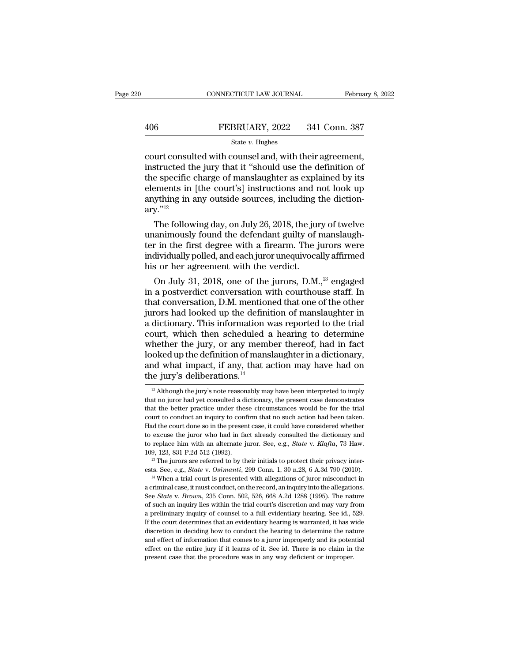# EXECUTE CONNECTICUT LAW JOURNAL February 8, 2022<br>406 FEBRUARY, 2022 341 Conn. 387<br>5tate v. Hughes

### State *v.* Hughes

 $\begin{array}{r} \text{COMRECTICUT LAW JOURNAL} \qquad \qquad \text{February 8, 2} \ \end{array}$ <br>  $\begin{array}{r} \text{HEBRUARY, 2022} \qquad \text{341 Conn. } \text{387} \ \text{State } v. \ \text{Huples} \ \text{count consulted with counds and, with their agreement, \ \text{instructed the jury that it "should use the definition of \ \text{the specific charge of mansloubter as explained by its} \end{array}$ 406 FEBRUARY, 2022 341 Conn. 387<br>
State v. Hughes<br>
court consulted with counsel and, with their agreement,<br>
instructed the jury that it "should use the definition of<br>
the specific charge of manslaughter as explained by it 406 FEBRUARY, 2022 341 Conn. 387<br>
State v. Hughes<br>
court consulted with counsel and, with their agreement,<br>
instructed the jury that it "should use the definition of<br>
the specific charge of manslaughter as explained by it FEBRUARY, 2022 341 Conn. 387<br>
State v. Hughes<br>
court consulted with counsel and, with their agreement,<br>
instructed the jury that it "should use the definition of<br>
the specific charge of manslaughter as explained by its<br>
e FERENTITY, 2022 FOIT COILE. SOTT COILE SOTT COILE SOTT COILE SOTT COILE SOTT COILE SOTT COILE SOTT COILE SOURCES COILE COILE SOTT COILE SOTTING THE SERVICE SOURCES AND SURFACT AND REPORT ON THE DISPONENT OF A REPORT OF A  $arv.$ "<sup>12</sup> urt consulted with counsel and, with their agreement,<br>structed the jury that it "should use the definition of<br>e specific charge of manslaughter as explained by its<br>ments in [the court's] instructions and not look up<br>ything instructed the jury that it "should use the definition of<br>the specific charge of manslaughter as explained by its<br>elements in [the court's] instructions and not look up<br>anything in any outside sources, including the dicti

the spectic charge of manslaughter as explained by its<br>elements in [the court's] instructions and not look up<br>anything in any outside sources, including the diction-<br>ary."<sup>12</sup><br>The following day, on July 26, 2018, the jury elements in [the court's] instructions and not look up<br>anything in any outside sources, including the diction-<br>ary."<sup>12</sup><br>The following day, on July 26, 2018, the jury of twelve<br>unanimously found the defendant guilty of man anything in any outside sources, including t<br>ary."<sup>12</sup><br>The following day, on July 26, 2018, the jur<br>unanimously found the defendant guilty of 1<br>ter in the first degree with a firearm. The j<br>individually polled, and each ju The following day, on July 26, 2018, the jury of twelve<br>animously found the defendant guilty of manslaugh-<br>r in the first degree with a firearm. The jurors were<br>dividually polled, and each juror unequivocally affirmed<br>s o The following day, on July 26, 2018, the jury of twelve<br>unanimously found the defendant guilty of manslaugh-<br>ter in the first degree with a firearm. The jurors were<br>individually polled, and each juror unequivocally affirm

unanimously found the defendant guilty of manslaugh-<br>ter in the first degree with a firearm. The jurors were<br>individually polled, and each juror unequivocally affirmed<br>his or her agreement with the verdict.<br>On July 31, 201 ter in the first degree with a firearm. The jurors were<br>individually polled, and each juror unequivocally affirmed<br>his or her agreement with the verdict.<br>On July 31, 2018, one of the jurors, D.M.,<sup>13</sup> engaged<br>in a postverd individually polled, and each juror unequivocally affirmed<br>his or her agreement with the verdict.<br>On July 31, 2018, one of the jurors, D.M.,<sup>13</sup> engaged<br>in a postverdict conversation with courthouse staff. In<br>that conversa his or her agreement with the verdict.<br>
On July 31, 2018, one of the jurors, D.M.,<sup>13</sup> engaged<br>
in a postverdict conversation with courthouse staff. In<br>
that conversation, D.M. mentioned that one of the other<br>
jurors had l On July 31, 2018, one of the jurors, D.M.,<sup>13</sup> engaged<br>in a postverdict conversation with courthouse staff. In<br>that conversation, D.M. mentioned that one of the other<br>jurors had looked up the definition of manslaughter in<br> in a postverdict conversation with courthouse staff. In<br>that conversation, D.M. mentioned that one of the other<br>jurors had looked up the definition of manslaughter in<br>a dictionary. This information was reported to the tria that conversation, D.M. mentioned that one of the other<br>jurors had looked up the definition of manslaughter in<br>a dictionary. This information was reported to the trial<br>court, which then scheduled a hearing to determine<br>whe jurors had looked up the defini<br>a dictionary. This information v<br>court, which then scheduled a<br>whether the jury, or any meml<br>looked up the definition of mans<br>and what impact, if any, that a<br>the jury's deliberations.<sup>14</sup> hether the jury, or any member thereof, had in fact<br>ooked up the definition of manslaughter in a dictionary,<br>nd what impact, if any, that action may have had on<br>le jury's deliberations.<sup>14</sup><br><sup>12</sup> Although the jury's note re looked up the definition of manslaughter in a dictionary,<br>and what impact, if any, that action may have had on<br>the jury's deliberations.<sup>14</sup><br> $\frac{12}{12}$  Although the jury's note reasonably may have been interpreted to imp

and what impact, if any, that action may have had on<br>the jury's deliberations.<sup>14</sup><br> $\frac{12}{12}$  Although the jury's note reasonably may have been interpreted to imply<br>that no juror had yet consulted a dictionary, the prese the jury's deliberations.<sup>14</sup><br>
<sup>12</sup> Although the jury's note reasonably may have been interpreted to imply<br>
that no juror had yet consulted a dictionary, the present case demonstrates<br>
that the better practice under these The Jury S definerations.<br>  $\frac{12}{12}$  Although the jury's note reasonably may have been interpreted to imply that no juror had yet consulted a dictionary, the present case demonstrates that the better practice under thes <sup>12</sup> Although the jury's note reasonably may have been interpreted to imply that no juror had yet consulted a dictionary, the present case demonstrates that the better practice under these circumstances would be for the t that no juror had yet consulted a dictionary, the present case demonstrates that the better practice under these circumstances would be for the trial court to conduct an inquiry to confirm that no such action had been take that the better practice under these circumstances would be for the trial<br>court to conduct an inquiry to confirm that no such action had been taken.<br>Had the court done so in the present case, it could have considered whet Estad the court done so in the present case, it could have considered whether to excuse the juror who had in fact already consulted the dictionary and to replace him with an alternate juror. See, e.g., *State* v. *Klafta*,

to replace him with an alternate juror. See, e.g., *State* v. *Klafta*, 73 Haw.<br>109, 123, 831 P.2d 512 (1992).<br><sup>13</sup> The jurors are referred to by their initials to protect their privacy inter-<br>ests. See, e.g., *State* v. 109, 123, 831 P.2d 512 (1992).<br><sup>13</sup> The jurors are referred to by their initials to protect their privacy inter-<br>ests. See, e.g., *State* v. *Osimanti*, 299 Conn. 1, 30 n.28, 6 A.3d 790 (2010).<br><sup>14</sup> When a trial court is p <sup>13</sup> The jurors are referred to by their initials to protect their privacy interests. See, e.g., *State* v. *Osimanti*, 299 Conn. 1, 30 n.28, 6 A.3d 790 (2010).<br><sup>14</sup> When a trial court is presented with allegations of jur as the grade of counsel to a full evidentiary hearing of counsel of the counterpart of the a full evidentiary incomponent in a criminal case, it must conduct, on the record, an inquiry into the allegations. See *State v. B* <sup>14</sup> When a trial court is presented with allegations of juror misconduct in a criminal case, it must conduct, on the record, an inquiry into the allegations. See *State v. Brown*, 235 Conn. 502, 526, 668 A.2d 1288 (1995) a criminal case, it must conduct, on the record, an inquiry into the allegations.<br>See *State* v. *Brown*, 235 Conn. 502, 526, 668 A.2d 1288 (1995). The nature of such an inquiry lies within the trial court's discretion and See *State* v. *Brown*, 235 Conn. 502, 526, 668 A.2d 1288 (1995). The nature of such an inquiry lies within the trial court's discretion and may vary from a preliminary inquiry of counsel to a full evidentiary hearing. Se soft such an inquiry lies within the trial court's discretion and may vary from a preliminary inquiry of counsel to a full evidentiary hearing. See id., 529. If the court determines that an evidentiary hearing is warranted If the court determines that an evidentiary hearing is warranted, it has wide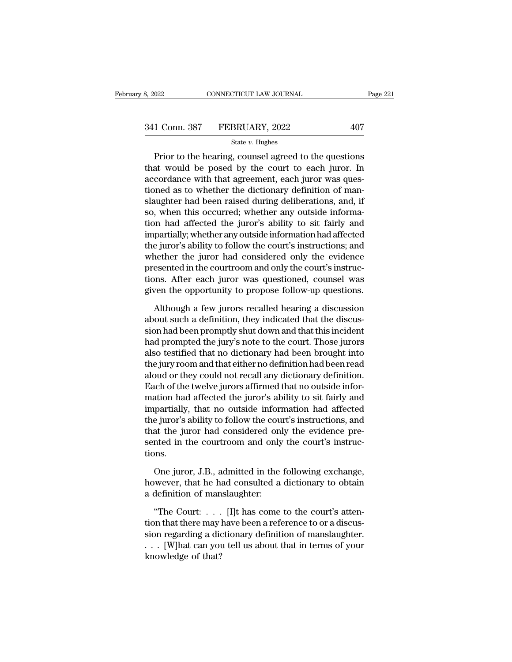# 3, 2022 CONNECTICUT LAW JOURNAL Page 221<br>341 Conn. 387 FEBRUARY, 2022 407<br>3tate v. Hughes

### State *v.* Hughes

 $\begin{array}{r|l}\n 0.22 & \multicolumn{1}{c}{\text{COMRECTICUT LAW JOURNAL}} & \text{Page 221} \\
 \hline\n 1 & \multicolumn{1}{c}{\text{Conn. 387}} & \text{FEBRUARY, 2022} & \multicolumn{1}{c}{\text{State } v. Hughes}\n \end{array}$ <br>
Prior to the hearing, counsel agreed to the questions<br>
at would be posed by the court to each juror 341 Conn. 387 FEBRUARY, 2022 407<br>
State v. Hughes<br>
Prior to the hearing, counsel agreed to the questions<br>
that would be posed by the court to each juror. In<br>
accordance with that agreement, each juror was ques-<br>
tioned as 341 Conn. 387 FEBRUARY, 2022 407<br>
State v. Hughes<br>
Prior to the hearing, counsel agreed to the questions<br>
that would be posed by the court to each juror. In<br>
accordance with that agreement, each juror was ques-<br>
tioned as 341 Conn. 387 FEBRUARY, 2022 407<br>
State v. Hughes<br>
Prior to the hearing, counsel agreed to the questions<br>
that would be posed by the court to each juror. In<br>
accordance with that agreement, each juror was ques-<br>
tioned as State v. Hughes<br>
Prior to the hearing, counsel agreed to the questions<br>
that would be posed by the court to each juror. In<br>
accordance with that agreement, each juror was ques-<br>
tioned as to whether the dictionary definit State v. Hughes<br>
Prior to the hearing, counsel agreed to the questions<br>
that would be posed by the court to each juror. In<br>
accordance with that agreement, each juror was ques-<br>
tioned as to whether the dictionary definit Prior to the hearing, counsel agreed to the questions<br>that would be posed by the court to each juror. In<br>accordance with that agreement, each juror was ques-<br>tioned as to whether the dictionary definition of man-<br>slaughter that would be posed by the court to each juror. In<br>accordance with that agreement, each juror was ques-<br>tioned as to whether the dictionary definition of man-<br>slaughter had been raised during deliberations, and, if<br>so, whe accordance with that agreement, each juror was ques-<br>tioned as to whether the dictionary definition of man-<br>slaughter had been raised during deliberations, and, if<br>so, when this occurred; whether any outside informa-<br>tion tioned as to whether the dictionary definition of man-<br>slaughter had been raised during deliberations, and, if<br>so, when this occurred; whether any outside informa-<br>tion had affected the juror's ability to sit fairly and<br>im slaughter had been raised during deliberations, and, if<br>so, when this occurred; whether any outside informa-<br>tion had affected the juror's ability to sit fairly and<br>impartially; whether any outside information had affected so, when this occurred; whether any outside information had affected the juror's ability to sit fairly and impartially; whether any outside information had affected the juror's ability to follow the court's instructions; a tion had affected the juror's ability to sit fairly and<br>impartially; whether any outside information had affected<br>the juror's ability to follow the court's instructions; and<br>whether the juror had considered only the eviden e juror's ability to follow the court's instructions; and<br>nether the juror had considered only the evidence<br>esented in the courtroom and only the court's instruc-<br>ons. After each juror was questioned, counsel was<br>ven the o whether the juror had considered only the evidence<br>presented in the courtroom and only the court's instruc-<br>tions. After each juror was questioned, counsel was<br>given the opportunity to propose follow-up questions.<br>Although

presented in the courtroom and only the court's instructions.<br>
After each juror was questioned, counsel was<br>
given the opportunity to propose follow-up questions.<br>
Although a few jurors recalled hearing a discussion<br>
about tions. After each juror was questioned, counsel was<br>given the opportunity to propose follow-up questions.<br>Although a few jurors recalled hearing a discussion<br>about such a definition, they indicated that the discus-<br>sion ha given the opportunity to propose follow-up questions.<br>Although a few jurors recalled hearing a discussion<br>about such a definition, they indicated that the discus-<br>sion had been promptly shut down and that this incident<br>had Although a few jurors recalled hearing a discussion<br>about such a definition, they indicated that the discus-<br>sion had been promptly shut down and that this incident<br>had prompted the jury's note to the court. Those jurors<br>a Although a few jurors recalled hearing a discussion<br>about such a definition, they indicated that the discus-<br>sion had been promptly shut down and that this incident<br>had prompted the jury's note to the court. Those jurors<br>a about such a definition, they indicated that the discussion had been promptly shut down and that this incident<br>had prompted the jury's note to the court. Those jurors<br>also testified that no dictionary had been brought into sion had been promptly shut down and that this incident<br>had prompted the jury's note to the court. Those jurors<br>also testified that no dictionary had been brought into<br>the jury room and that either no definition had been r had prompted the jury's note to the court. Those jurors<br>also testified that no dictionary had been brought into<br>the jury room and that either no definition had been read<br>aloud or they could not recall any dictionary defini also testified that no dictionary had been brought into<br>the jury room and that either no definition had been read<br>aloud or they could not recall any dictionary definition.<br>Each of the twelve jurors affirmed that no outside the jury room and that either no definition had been read<br>aloud or they could not recall any dictionary definition.<br>Each of the twelve jurors affirmed that no outside infor-<br>mation had affected the juror's ability to sit f aloud or they could not recall any dictionary definition.<br>Each of the twelve jurors affirmed that no outside information had affected the juror's ability to sit fairly and<br>impartially, that no outside information had affec tions. partially, that no outside information had affected<br>e juror's ability to follow the court's instructions, and<br>at the juror had considered only the evidence pre-<br>nted in the courtroom and only the court's instruc-<br>nns.<br>One the juror's ability to follow the court's instructions, and<br>that the juror had considered only the evidence pre-<br>sented in the courtroom and only the court's instruc-<br>tions.<br>One juror, J.B., admitted in the following excha that the juror had considered onl<br>sented in the courtroom and only<br>tions.<br>One juror, J.B., admitted in the<br>however, that he had consulted a<br>a definition of manslaughter:<br>"The Court: . . . . [I]t has come

% sented in the courtroom and only the court's instructions.<br>
One juror, J.B., admitted in the following exchange,<br>
however, that he had consulted a dictionary to obtain<br>
a definition of manslaughter:<br>
"The Court: . . . [

One juror, J.B., admitted in the following exchange,<br>however, that he had consulted a dictionary to obtain<br>a definition of manslaughter:<br>"The Court: . . . . [I]t has come to the court's atten-<br>tion that there may have been One juror, J.B., admitted in the following exchange,<br>however, that he had consulted a dictionary to obtain<br>a definition of manslaughter:<br>"The Court: . . . . [I]t has come to the court's atten-<br>tion that there may have bee however, that he had consulted a dictionary to obtain<br>a definition of manslaughter:<br>"The Court: . . . [I]t has come to the court's atten-<br>tion that there may have been a reference to or a discus-<br>sion regarding a dictiona a definition of man<br>
"The Court: . . . .<br>
tion that there may l<br>
sion regarding a did<br>
. . . [W]hat can you<br>
knowledge of that?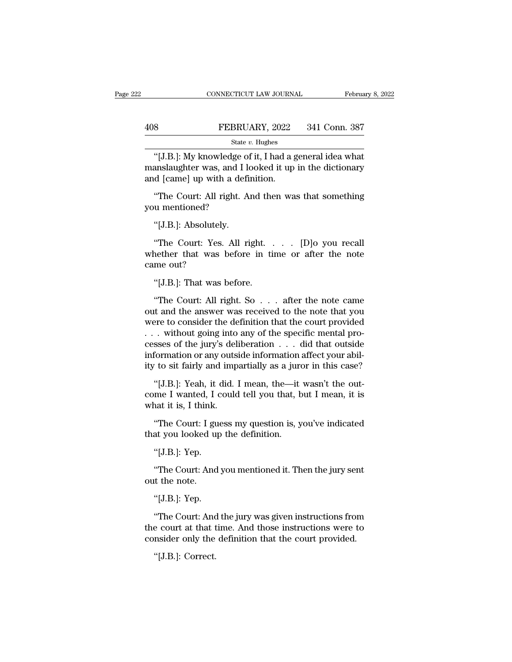|     | CONNECTICUT LAW JOURNAL | February 8, 2022 |
|-----|-------------------------|------------------|
|     |                         |                  |
| 408 | FEBRUARY, 2022          | 341 Conn. 387    |
|     | State $v$ . Hughes      |                  |

CONNECTICUT LAW JOURNAL February 8, 202<br>
Second the FEBRUARY, 2022 341 Conn. 387<br>
State v. Hughes<br>
"[J.B.]: My knowledge of it, I had a general idea what<br>
anslaughter was, and I looked it up in the dictionary<br>
decomplement FEBRUARY, 2022 341 Conn. 387<br>
State v. Hughes<br>
"[J.B.]: My knowledge of it, I had a general idea what<br>
manslaughter was, and I looked it up in the dictionary<br>
and [came] up with a definition. 408 FEBRUARY, 2022<br>
State v. Hughes<br>
"[J.B.]: My knowledge of it, I had a g<br>
manslaughter was, and I looked it up<br>
and [came] up with a definition.<br>
"The Court: All right. And then wa <sup>8</sup><br>
FEBRUART, 2022 341 Conn. 387<br>
<sup>State v. Hughes<br>
"[J.B.]: My knowledge of it, I had a general idea what<br>
anslaughter was, and I looked it up in the dictionary<br>
d [came] up with a definition.<br>
"The Court: All right. An</sup> State<br>
"[J.B.]: My knowledge c<br>
manslaughter was, and I<br>
and [came] up with a det<br>
"The Court: All right. 1<br>
you mentioned?<br>
"[J.B.]: Absolutely. "[J.B.]: My knowledge of it, I had a general idea what<br>manslaughter was, and I looked it up in the dictionary<br>and [came] up with a definition.<br>"The Court: All right. And then was that something<br>you mentioned?<br>"[J.B.]: Abso

d [came] up with a definition.<br>
"The Court: All right. And then was that something<br>
u mentioned?<br>
"[J.B.]: Absolutely.<br>
"The Court: Yes. All right. . . . . [D]o you recall<br>
nether that was before in time or after the note<br> "The Court: All right. And then was that something<br>you mentioned?<br>"[J.B.]: Absolutely.<br>"The Court: Yes. All right..... [D]o you recall<br>whether that was before in time or after the note<br>came out? The Court: All r<br>you mentioned?<br>"[J.B.]: Absolutel;<br>"The Court: Yes.<br>whether that was<br>came out?<br>"[J.B.]: That was "[J.B.]: Absolutely.<br>"The Court: Yes. All right.<br>nether that was before in time out?<br>"[J.B.]: That was before.<br>"The Court: All right. So... "The Court: Yes. All right. . . . . [D]o you recall<br>nether that was before in time or after the note<br>me out?<br>"[J.B.]: That was before.<br>"The Court: All right. So . . . after the note came<br>it and the answer was received to t

The Court: Yes. All right. . . . . [D]o you recall<br>whether that was before in time or after the note<br>came out?<br>"[J.B.]: That was before.<br>"The Court: All right. So . . . after the note came<br>out and the answer was received t whether that was before in time or after the note<br>came out?<br>"[J.B.]: That was before.<br>"The Court: All right. So . . . after the note came<br>out and the answer was received to the note that you<br>were to consider the definition % "[J.B.]: That was before.<br>
"The Court: All right. So  $\ldots$  after the note came<br>
out and the answer was received to the note that you<br>
were to consider the definition that the court provided<br>  $\ldots$  without going into any "[J.B.]: That was before.<br>
"The Court: All right. So . . . after the note came<br>
out and the answer was received to the note that you<br>
were to consider the definition that the court provided<br>
. . . without going into any o "The Court: All right. So  $\ldots$  after the note came<br>out and the answer was received to the note that you<br>were to consider the definition that the court provided<br> $\ldots$  without going into any of the specific mental pro-<br>ces "The Court: All right. So  $\ldots$  after the note came<br>out and the answer was received to the note that you<br>were to consider the definition that the court provided<br> $\ldots$  without going into any of the specific mental pro-<br>ces Fracture in the district was received to the host dia year<br>
ere to consider the definition that the court provided<br>
. without going into any of the specific mental pro-<br>
sses of the jury's deliberation . . . did that outsi comes to bound for the definition of the specific mental processes of the jury's deliberation  $\dots$  did that outside information or any outside information affect your ability to sit fairly and impartially as a juror in th resses of the jury's del<br>information or any outs<br>ity to sit fairly and imp<br>"[J.B.]: Yeah, it did.<br>come I wanted, I could<br>what it is, I think.<br>"The Court: I guess r

r to sit fairly and impartially as a juror in this case?<br>"[J.B.]: Yeah, it did. I mean, the—it wasn't the out-<br>me I wanted, I could tell you that, but I mean, it is<br>nat it is, I think.<br>"The Court: I guess my question is, y ity to sit rairly and impartially as a jure<br>
"[J.B.]: Yeah, it did. I mean, the—it<br>
come I wanted, I could tell you that, b<br>
what it is, I think.<br>
"The Court: I guess my question is, y<br>
that you looked up the definition.<br> "[J.B.]: Yean, it c<br>me I wanted, I c<br>nat it is, I think.<br>"The Court: I gue<br>at you looked up<br>"[J.B.]: Yep.<br>"The Court: And !

nat it is, I think.<br>"The Court: I guess my question is, you've indicated<br>at you looked up the definition.<br>"[J.B.]: Yep.<br>"The Court: And you mentioned it. Then the jury sent<br>it the note. "The Court: I guess<br>that you looked us<br>"[J.B.]: Yep.<br>"The Court: And<br>out the note.<br>"[J.B.]: Yep. at you looked up<br>"[J.B.]: Yep.<br>"The Court: And <sub>!</sub><br>"the note.<br>"[J.B.]: Yep.<br>"The Court: And !

"[J.B.]: Yep.<br>"The Court: And you mentioned it. Then the jury sent<br>t the note.<br>"[J.B.]: Yep.<br>"The Court: And the jury was given instructions from<br>e court at that time. And those instructions were to<br>project only the defini "The Court: And you mentioned it. Then the jury sent<br>out the note.<br>"[J.B.]: Yep.<br>"The Court: And the jury was given instructions from<br>the court at that time. And those instructions were to<br>consider only the definition that Ine Court: And you mentioned it. Then the jury sent<br>out the note.<br>"[J.B.]: Yep.<br>"The Court: And the jury was given instructions from<br>the court at that time. And those instructions were to<br>consider only the definition that "[J.B.]: Yep.<br>"The Court: And<br>e court at that t<br>nsider only the<br>"[J.B.]: Correct.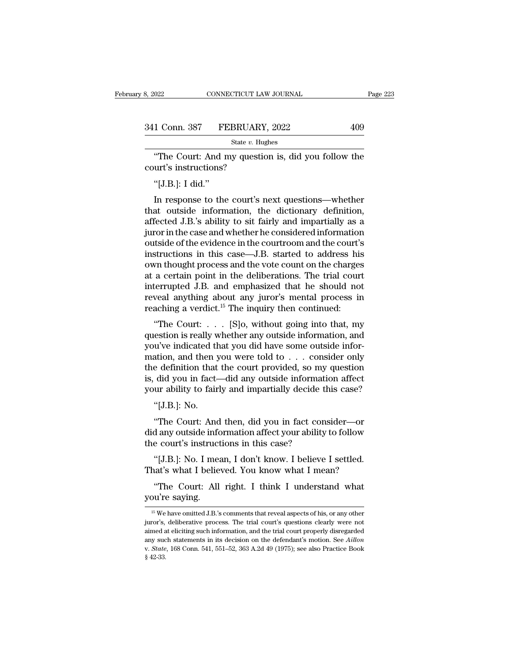| 8, 2022       | CONNECTICUT LAW JOURNAL | Page 223 |
|---------------|-------------------------|----------|
| 341 Conn. 387 | FEBRUARY, 2022          | 409      |
|               | State $v$ . Hughes      |          |

The Court: And my question is, did you follow the Urt's instructions? 341 Conn. 387 FEBRUARY<br>
State v. Hu<br>
"The Court: And my questic<br>
court's instructions?<br>
"[J.B.]: I did." "The Court: And my question is, did you follow the court's instructions?<br>"[J.B.]: I did."<br>In response to the court's next questions—whether

State v. Hughes<br>
"The Court: And my question is, did you follow the<br>
urt's instructions?<br>
"[J.B.]: I did."<br>
In response to the court's next questions—whether<br>
at outside information, the dictionary definition,<br>
focted J.B state v. Hughes<br>
"The Court: And my question is, did you follow the<br>
court's instructions?<br>
"[J.B.]: I did."<br>
In response to the court's next questions—whether<br>
that outside information, the dictionary definition,<br>
affect "The Court: And my question is, did you follow the<br>court's instructions?<br>"[J.B.]: I did."<br>In response to the court's next questions—whether<br>that outside information, the dictionary definition,<br>affected J.B.'s ability to si court's instructions?<br>
"[J.B.]: I did."<br>
In response to the court's next questions—whether<br>
that outside information, the dictionary definition,<br>
affected J.B.'s ability to sit fairly and impartially as a<br>
juror in the cas "[J.B.]: I did."<br>In response to the court's next questions—whether<br>that outside information, the dictionary definition,<br>affected J.B.'s ability to sit fairly and impartially as a<br>juror in the case and whether he considered [ $\sigma$ .D.]. I did.<br>In response to the court's next questions—whether<br>that outside information, the dictionary definition,<br>affected J.B.'s ability to sit fairly and impartially as a<br>juror in the case and whether he consider In response to the court's next questions—whether<br>that outside information, the dictionary definition,<br>affected J.B.'s ability to sit fairly and impartially as a<br>juror in the case and whether he considered information<br>outs that outside information, the dictionary definition,<br>affected J.B.'s ability to sit fairly and impartially as a<br>juror in the case and whether he considered information<br>outside of the evidence in the courtroom and the court affected J.B.'s ability to sit fairly and impartially as a<br>juror in the case and whether he considered information<br>outside of the evidence in the courtroom and the court's<br>instructions in this case—J.B. started to address juror in the case and whether he considered information<br>outside of the evidence in the courtroom and the court's<br>instructions in this case—J.B. started to address his<br>own thought process and the vote count on the charges<br>a outside of the evidence in the courtroom and the court's<br>instructions in this case—J.B. started to address his<br>own thought process and the vote count on the charges<br>at a certain point in the deliberations. The trial cour<br> or thought process and the vote count on the charges<br>a certain point in the deliberations. The trial court<br>terrupted J.B. and emphasized that he should not<br>veal anything about any juror's mental process in<br>aching a verdic bown thought process and the vote count on the charges<br>at a certain point in the deliberations. The trial court<br>interrupted J.B. and emphasized that he should not<br>reveal anything about any juror's mental process in<br>reachin

at a certain point in the democrations. The trial court<br>interrupted J.B. and emphasized that he should not<br>reveal anything about any juror's mental process in<br>reaching a verdict.<sup>15</sup> The inquiry then continued:<br>"The Court merrupted J.B. and emphasized that he should not<br>reveal anything about any juror's mental process in<br>reaching a verdict.<sup>15</sup> The inquiry then continued:<br>"The Court: . . . [S]o, without going into that, my<br>question is real tevear anything about any jurior's inertial process in<br>reaching a verdict.<sup>15</sup> The inquiry then continued:<br>"The Court: . . . [S]o, without going into that, my<br>question is really whether any outside information, and<br>you've Fracting a vertuct. The inquity then continued.<br>
"The Court: . . . [S]o, without going into that, my<br>
question is really whether any outside information, and<br>
you've indicated that you did have some outside infor-<br>
mation "The Court: . . . . [S]o, without going into that, my<br>question is really whether any outside information, and<br>you've indicated that you did have some outside infor-<br>mation, and then you were told to . . . consider only<br>th % question is really whether any outside information, and you've indicated that you did have some outside information, and then you were told to  $\ldots$  consider only the definition that the court provided, so my question i ation, and then you were told to . . . consider only<br>
e definition that the court provided, so my question<br>
did you in fact—did any outside information affect<br>
ur ability to fairly and impartially decide this case?<br>
"[J.B. the definition that the court provided, so my question<br>is, did you in fact—did any outside information affect<br>your ability to fairly and impartially decide this case?<br>"[J.B.]: No.<br>"The Court: And then, did you in fact cons

is, did you in fact—did any outside information<br>your ability to fairly and impartially decide the "[J.B.]: No.<br>"The Court: And then, did you in fact conselid any outside information affect your ability<br>the court's instruct "[J.B.]: No.<br>"The Court: And then, did you in fact consider—or<br>d any outside information affect your ability to follow<br>e court's instructions in this case?<br>"[J.B.]: No. I mean, I don't know. I believe I settled.<br>hat's what "[J.B.]: No.<br>"The Court: And then, did you in fact consider—or<br>did any outside information affect your ability to follow<br>the court's instructions in this case?<br>"[J.B.]: No. I mean, I don't know. I believe I settled.<br>That's "The Court: And then, did you in fact consider—or<br>d any outside information affect your ability to follow<br>e court's instructions in this case?<br>"[J.B.]: No. I mean, I don't know. I believe I settled.<br>aat's what I believed. did any outside informed the court's instruct<br>
"[J.B.]: No. I mean<br>
That's what I belie<br>
"The Court: All<br>
you're saying.<br>
"

that's what I believed. You know what I mean?<br>
"The Court: All right. I think I understand what<br>
nu're saying.<br>
"We have omitted J.B.'s comments that reveal aspects of his, or any other<br>
"The New omitted J.B.'s comments th That is what I beneved. Tod know what I fited.<br>
"The Court: All right. I think I understand what<br>
you're saying.<br>
"<br>
<sup>15</sup> We have omitted J.B.'s comments that reveal aspects of his, or any other<br>
juror's, deliberative pro "The Court: All right. I think I understand what<br>you're saying.<br> $\frac{15 \text{ We}}{15 \text{ We}}$  have omitted J.B.'s comments that reveal aspects of his, or any other<br>juror's, deliberative process. The trial court's questions clear you're saying.<br>
<sup>15</sup> We have omitted J.B.'s comments that reveal aspects of his, or any other<br>
juror's, deliberative process. The trial court's questions clearly were not<br>
aimed at eliciting such information, and the trial <sup>15</sup> We have omitted J.B.'s comments that reveal aspects of his, or any other juror's, deliberative process. The trial court's questions clearly were not aimed at eliciting such information, and the trial court properly di juror's, deliberative process. The trial court's questions clearly were not aimed at eliciting such information, and the trial court properly disregarded any such statements in its decision on the defendant's motion. See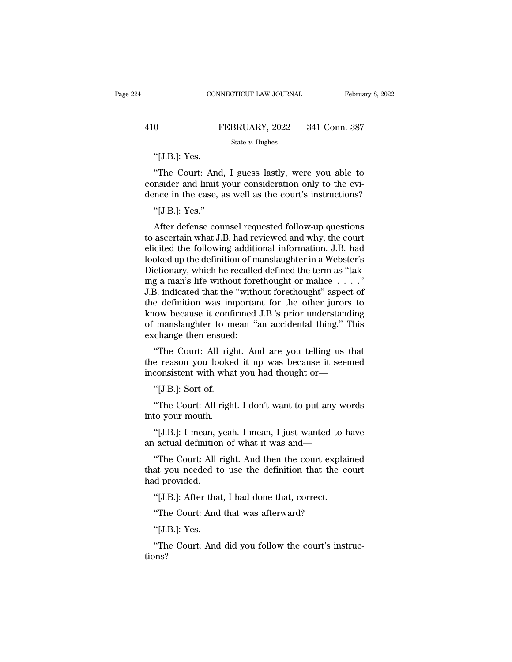# EXECUTE CONNECTICUT LAW JOURNAL February 8, 2022<br>410 FEBRUARY, 2022 341 Conn. 387<br>5tate v. Hughes

State *v.* Hughes

CON.<br>
0 I<br>
"[J.B.]: Yes.<br>
"The Court: And <sup>0</sup><br>
FEBRUARY, 2022 341 Conn. 387<br>  $\frac{1}{2}$ <br>  $\frac{1}{2}$ <br>  $\frac{1}{2}$ <br>  $\frac{1}{2}$ <br>  $\frac{1}{2}$ <br>  $\frac{1}{2}$ <br>  $\frac{1}{2}$  guess lastly, were you able to<br>
msider and limit your consideration only to the evi-<br>
meg in the case, as well 410 FEBRUARY, 2022 341 Conn. 387<br>
State v. Hughes<br>
"[J.B.]: Yes.<br>
"The Court: And, I guess lastly, were you able to consider and limit your consideration only to the evi-<br>
dence in the case, as well as the court's instruc 410 FEBRUARY, 2022 341 Conn. 387<br>
State v. Hughes<br>
"[J.B.]: Yes.<br>
"The Court: And, I guess lastly, were you able to consider and limit your consideration only to the evidence in the case, as well as the court's instructio "[J.B.]: Yes.<br>"The Court: And<br>nsider and limit ;<br>nce in the case, a<br>"[J.B.]: Yes."<br>After defense cou "The Court: And, I guess lastly, were you able to<br>msider and limit your consideration only to the evi-<br>nce in the case, as well as the court's instructions?<br>"[J.B.]: Yes."<br>After defense counsel requested follow-up questio

"The Court: And, I guess lastly, were you able to<br>consider and limit your consideration only to the evi-<br>dence in the case, as well as the court's instructions?<br>"[J.B.]: Yes."<br>After defense counsel requested follow-up ques consider and limit your consideration only to the evi-<br>dence in the case, as well as the court's instructions?<br>"[J.B.]: Yes."<br>After defense counsel requested follow-up questions<br>to ascertain what J.B. had reviewed and why, dence in the case, as well as the court's instructions?<br>
"[J.B.]: Yes."<br>
After defense counsel requested follow-up questions<br>
to ascertain what J.B. had reviewed and why, the court<br>
elicited the following additional inform "[J.B.]: Yes."<br>After defense counsel requested follow-up questions<br>to ascertain what J.B. had reviewed and why, the court<br>elicited the following additional information. J.B. had<br>looked up the definition of manslaughter in a many alternative means of the definition was important for the definition of the definition of manipulation. I.B. had looked up the definition of manipulation in a Webster's Dictionary, which he recalled defined the ter After defense counsel requested follow-up questions<br>to ascertain what J.B. had reviewed and why, the court<br>elicited the following additional information. J.B. had<br>looked up the definition of manslaughter in a Webster's<br>Dic to ascertain what J.B. had reviewed and why, the court<br>elicited the following additional information. J.B. had<br>looked up the definition of manslaughter in a Webster's<br>Dictionary, which he recalled defined the term as "tak elicited the following additional information. J.B. had<br>looked up the definition of manslaughter in a Webster's<br>Dictionary, which he recalled defined the term as "tak-<br>ing a man's life without forethought or malice . . . . looked up the definition of manslaughter in a Webster's<br>Dictionary, which he recalled defined the term as "tak-<br>ing a man's life without forethought or malice  $\dots$ ."<br>J.B. indicated that the "without forethought" aspect of Dictionary, which he recalled defined the term as "taking a man's life without forethought or malice  $\ldots$ ."<br>J.B. indicated that the "without forethought" aspect of the definition was important for the other jurors to kno  $\overline{B}$  a man's me without foremought of mance  $\overline{B}$ .  $\overline{C}$ .  $\overline{C}$ . And  $\overline{C}$  and  $\overline{C}$  are definition was important for the other jurors to low because it confirmed J.B.'s prior understanding manslaughter F.B. indicated that the Without forethought aspect of<br>the definition was important for the other jurors to<br>know because it confirmed J.B.'s prior understanding<br>of manslaughter to mean "an accidental thing." This<br>exchange t income vast inconsing the definition was important for the other jurors to<br>know because it confirmed J.B.'s prior understanding<br>of manslaughter to mean "an accidental thing." This<br>exchange then ensued:<br>"The Court: All righ

inconsistent with what you had thought or—<br>"[J.B.]: Sort of.<br>"The Court: All right. I don't want to put any words" "The Court: All right. And are you telling us that<br>e reason you looked it up was because it seemed<br>consistent with what you had thought or—<br>"[J.B.]: Sort of.<br>"The Court: All right. I don't want to put any words<br>to your mou "The Court: All right<br>the reason you looke<br>inconsistent with wha<br>"[J.B.]: Sort of.<br>"The Court: All right<br>into your mouth.<br>"[J.B.]: I mean, yeal

e reason you looked it up was because it seemed<br>
consistent with what you had thought or—<br>
"[J.B.]: Sort of.<br>
"The Court: All right. I don't want to put any words<br>
to your mouth.<br>"[J.B.]: I mean, yeah. I mean, I just wante "[J.B.]: Sort of.<br>"The Court: All right. I don't want to put any words<br>into your mouth.<br>"[J.B.]: I mean, yeah. I mean, I just wanted to have<br>an actual definition of what it was and—<br>"The Court: All right. And then the cour

"The Court: All right. I don't want to put any words<br>"(J.B.): I mean, yeah. I mean, I just wanted to have<br>actual definition of what it was and—<br>"The Court: All right. And then the court explained<br>at you needed to use the d "The Court: All right. I don't want to put any words<br>into your mouth.<br>"[J.B.]: I mean, yeah. I mean, I just wanted to have<br>an actual definition of what it was and—<br>"The Court: All right. And then the court explained<br>that y into your mouth.<br>
"[J.B.]: I mean, y<br>
an actual definitior<br>
"The Court: All 1<br>
that you needed to<br>
had provided.<br>
"[J.B.]: After that "[J.B.]: I mean, yeah. I mean, I just wanted to heat actual definition of what it was and—<br>"The Court: All right. And then the court explaint you needed to use the definition that the cod provided.<br>"[J.B.]: After that, I h "The Court: All right. And then the court explat you needed to use the definition that the<br>d provided.<br>"[J.B.]: After that, I had done that, correct.<br>"The Court: And that was afterward?<br>"[J.B.]: Yes. The Court. An I<br>at you needed to<br>d provided.<br>"[J.B.]: After that<br>"The Court: And<br>"[J.B.]: Yes.

d provided.<br>"[J.B.]: After that, I had done that, correct.<br>"The Court: And that was afterward?<br>"[J.B.]: Yes.<br>"The Court: And did you follow the court's instruc-<br>nns? tions?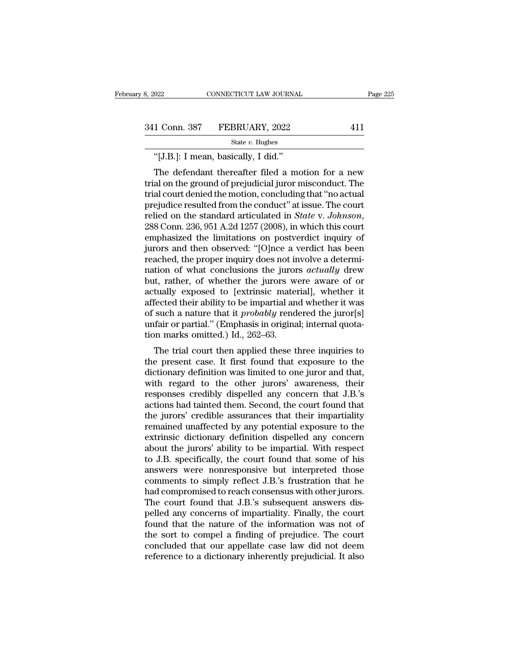# 3, 2022 CONNECTICUT LAW JOURNAL Page 225<br>341 Conn. 387 FEBRUARY, 2022 411<br>5tate v. Hughes

State *v.* Hughes

022 CONNECTICUT LAW JOURNAL<br>
1 Conn. 387 FEBRUARY, 2022<br>
<sup>State v.</sup> Hughes<br>
"[J.B.]: I mean, basically, I did."<br>
The defendant thereafter filed a mo  $\begin{array}{lll} \text{1 Conn. } 387 & \text{FEBRUARY, } 2022 & \text{411} \ \text{State } v. \text{ Hughes} \ \text{``[J.B.]: I mean, basically, I did.''} \ \text{The defendant thereafter filed a motion for a new} \text{al on the ground of prejudicial juror misconduct. The} \ \text{al court denied the motion, concluding that "no actual" \end{array}$ 341 Conn. 387 FEBRUARY, 2022 411<br>
State v. Hughes<br>
"[J.B.]: I mean, basically, I did."<br>
The defendant thereafter filed a motion for a new<br>
trial on the ground of prejudicial juror misconduct. The<br>
trial court denied the m 341 Conn. 387 FEBRUARY, 2022 411<br>  $\frac{1}{\text{State } v. \text{ Hughes}}$  411<br>
"[J.B.]: I mean, basically, I did."<br>
The defendant thereafter filed a motion for a new<br>
trial on the ground of prejudicial juror misconduct. The<br>
trial court deni State *v*. Hughes<br>
"[J.B.]: I mean, basically, I did."<br>
The defendant thereafter filed a motion for a new<br>
trial on the ground of prejudicial juror misconduct. The<br>
trial court denied the motion, concluding that "no actua <sup>"</sup>[J.B.]: I mean, basically, I did."<br>The defendant thereafter filed a motion for a new trial on the ground of prejudicial juror misconduct. The trial court denied the motion, concluding that "no actual prejudice resulted The defendant thereafter filed a motion for a new<br>trial on the ground of prejudicial juror misconduct. The<br>trial court denied the motion, concluding that "no actual<br>prejudice resulted from the conduct" at issue. The court<br> trial on the ground of prejudicial juror misconduct. The<br>trial court denied the motion, concluding that "no actual<br>prejudice resulted from the conduct" at issue. The court<br>relied on the standard articulated in *State* v. J trial court denied the motion, concluding that "no actual<br>prejudice resulted from the conduct" at issue. The court<br>relied on the standard articulated in *State v. Johnson*,<br>288 Conn. 236, 951 A.2d 1257 (2008), in which thi prejudice resulted from the conduct" at issue. The court<br>relied on the standard articulated in *State* v. *Johnson*,<br>288 Conn. 236, 951 A.2d 1257 (2008), in which this court<br>emphasized the limitations on postverdict inquir relied on the standard articulated in *State* v. *Johnson*,<br>288 Conn. 236, 951 A.2d 1257 (2008), in which this court<br>emphasized the limitations on postverdict inquiry of<br>jurors and then observed: "[O]nce a verdict has been 288 Conn. 236, 951 A.2d 1257 (2008), in which this court<br>emphasized the limitations on postverdict inquiry of<br>jurors and then observed: "[O]nce a verdict has been<br>reached, the proper inquiry does not involve a determi-<br>na emphasized the limitations on postverdict inquiry of<br>jurors and then observed: "[O]nce a verdict has been<br>reached, the proper inquiry does not involve a determi-<br>nation of what conclusions the jurors *actually* drew<br>but, r jurors and then observed: "[O]nce a verdict has been<br>reached, the proper inquiry does not involve a determi-<br>nation of what conclusions the jurors *actually* drew<br>but, rather, of whether the jurors were aware of or<br>actuall reached, the proper inquiry does not involve a determination of what conclusions the jurors *actually* drew<br>but, rather, of whether the jurors were aware of or<br>actually exposed to [extrinsic material], whether it<br>affected nation of what conclusions the juror<br>but, rather, of whether the jurors w<br>actually exposed to [extrinsic mate:<br>affected their ability to be impartial an<br>of such a nature that it *probably* rend<br>unfair or partial." (Emphasi the trial court then applied these three inquiries to the trial court of their ability to be impartial and whether it was such a nature that it *probably* rendered the juror[s] fair or partial." (Emphasis in original; int actually exposed to [extinsic material], whether it affected their ability to be impartial and whether it was<br>of such a nature that it *probably* rendered the juror[s]<br>unfair or partial." (Emphasis in original; internal qu

anected then ability to be impartial and whether it was<br>of such a nature that it *probably* rendered the juror[s]<br>unfair or partial." (Emphasis in original; internal quota-<br>tion marks omitted.) Id., 262–63.<br>The trial cour or such a nature that it *probably* rendered the juror[s]<br>unfair or partial." (Emphasis in original; internal quota-<br>tion marks omitted.) Id., 262–63.<br>The trial court then applied these three inquiries to<br>the present case. responses the court here in the court is a series to the present case. It first found that exposure to the dictionary definition was limited to one juror and that, with regard to the other jurors' awareness, their response The trial court then applied these three inquiries to<br>the present case. It first found that exposure to the<br>dictionary definition was limited to one juror and that,<br>with regard to the other jurors' awareness, their<br>respons The trial court then applied these three inquiries to<br>the present case. It first found that exposure to the<br>dictionary definition was limited to one juror and that,<br>with regard to the other jurors' awareness, their<br>respons the present case. It first found that exposure to the dictionary definition was limited to one juror and that, with regard to the other jurors' awareness, their responses credibly dispelled any concern that J.B.'s actions dictionary definition was limited to one juror and that,<br>with regard to the other jurors' awareness, their<br>responses credibly dispelled any concern that J.B.'s<br>actions had tainted them. Second, the court found that<br>the jur with regard to the other jurors' awareness, their<br>responses credibly dispelled any concern that J.B.'s<br>actions had tainted them. Second, the court found that<br>the jurors' credible assurances that their impartiality<br>remained responses credibly dispelled any concern that J.B.'s<br>actions had tainted them. Second, the court found that<br>the jurors' credible assurances that their impartiality<br>remained unaffected by any potential exposure to the<br>extri actions had tainted them. Second, the court found that<br>the jurors' credible assurances that their impartiality<br>remained unaffected by any potential exposure to the<br>extrinsic dictionary definition dispelled any concern<br>abou the jurors' credible assurances that their impartiality<br>remained unaffected by any potential exposure to the<br>extrinsic dictionary definition dispelled any concern<br>about the jurors' ability to be impartial. With respect<br>to remained unaffected by any potential exposure to the extrinsic dictionary definition dispelled any concern<br>about the jurors' ability to be impartial. With respect<br>to J.B. specifically, the court found that some of his<br>answ extrinsic dictionary definition dispelled any concern<br>about the jurors' ability to be impartial. With respect<br>to J.B. specifically, the court found that some of his<br>answers were nonresponsive but interpreted those<br>comments about the jurors' ability to be impartial. With respect<br>to J.B. specifically, the court found that some of his<br>answers were nonresponsive but interpreted those<br>comments to simply reflect J.B.'s frustration that he<br>had comp to J.B. specifically, the court found that some of his<br>answers were nonresponsive but interpreted those<br>comments to simply reflect J.B.'s frustration that he<br>had compromised to reach consensus with other jurors.<br>The court answers were nonresponsive but interpreted those<br>comments to simply reflect J.B.'s frustration that he<br>had compromised to reach consensus with other jurors.<br>The court found that J.B.'s subsequent answers dis-<br>pelled any co comments to simply reflect J.B.'s frustration that he<br>had compromised to reach consensus with other jurors.<br>The court found that J.B.'s subsequent answers dis-<br>pelled any concerns of impartiality. Finally, the court<br>found had compromised to reach consensus with other jurors.<br>The court found that J.B.'s subsequent answers dis-<br>pelled any concerns of impartiality. Finally, the court<br>found that the nature of the information was not of<br>the sort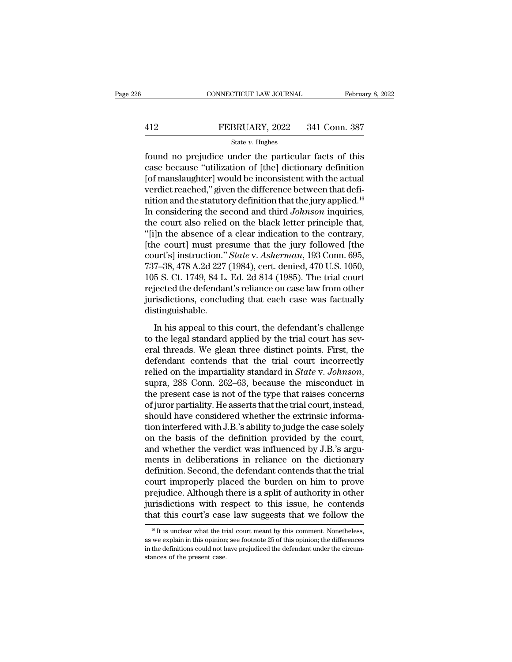# EXECUTE CONNECTICUT LAW JOURNAL February 8, 2022<br>412 FEBRUARY, 2022 341 Conn. 387<br>5tate v. Hughes

### State *v.* Hughes

FEBRUARY, 2022 341 Conn. 387<br>
FEBRUARY, 2022 341 Conn. 387<br>
State v. Hughes<br>
found no prejudice under the particular facts of this<br>
case because "utilization of [the] dictionary definition<br>
International state would be in FEBRUARY, 2022 341 Conn. 387<br>
state v. Hughes<br>
found no prejudice under the particular facts of this<br>
case because "utilization of [the] dictionary definition<br>
[of manslaughter] would be inconsistent with the actual<br>
word FEBRUARY, 2022 341 Conn. 387<br>
State v. Hughes<br>
found no prejudice under the particular facts of this<br>
case because "utilization of [the] dictionary definition<br>
[of manslaughter] would be inconsistent with the actual<br>
verd FEBRUARY, 2022 341 Conn. 387<br>
State v. Hughes<br>
found no prejudice under the particular facts of this<br>
case because "utilization of [the] dictionary definition<br>
[of manslaughter] would be inconsistent with the actual<br>
verd State v. Hughes<br>
found no prejudice under the particular facts of this<br>
case because "utilization of [the] dictionary definition<br>
[of manslaughter] would be inconsistent with the actual<br>
verdict reached," given the differ State *v*. Hugnes<br>
found no prejudice under the particular facts of this<br>
case because "utilization of [the] dictionary definition<br>
[of manslaughter] would be inconsistent with the actual<br>
verdict reached," given the diff found no prejudice under the particular facts of this<br>case because "utilization of [the] dictionary definition<br>[of manslaughter] would be inconsistent with the actual<br>verdict reached," given the difference between that de case because "utilization of [the] dictionary definition<br>[of manslaughter] would be inconsistent with the actual<br>verdict reached," given the difference between that defi-<br>nition and the statutory definition that the jury [of manslaughter] would be inconsistent with the actual<br>verdict reached," given the difference between that defi-<br>nition and the statutory definition that the jury applied.<sup>16</sup><br>In considering the second and third *Johnson* verdict reached," given the difference between that definition and the statutory definition that the jury applied.<sup>16</sup><br>In considering the second and third *Johnson* inquiries,<br>the court also relied on the black letter prin nition and the statutory definition that the jury applied.<sup>16</sup><br>In considering the second and third *Johnson* inquiries,<br>the court also relied on the black letter principle that,<br>"[i]n the absence of a clear indication to t In considering the second and third *Johnson* inquiries,<br>the court also relied on the black letter principle that,<br>"[i]n the absence of a clear indication to the contrary,<br>[the court] must presume that the jury followed [t the court also relied on the black letter principle that,<br>"[i]n the absence of a clear indication to the contrary,<br>[the court] must presume that the jury followed [the<br>court's] instruction." *State* v. Asherman, 193 Conn. "[i]n the absence of a clear indication to the contrary,<br>[the court] must presume that the jury followed [the<br>court's] instruction." *State* v. Asherman, 193 Conn. 695,<br>737–38, 478 A.2d 227 (1984), cert. denied, 470 U.S. distinguishable. 7–38, 478 A.2d 227 (1984), cert. denied, 470 U.S. 1050,<br>5 S. Ct. 1749, 84 L. Ed. 2d 814 (1985). The trial court<br>jected the defendant's reliance on case law from other<br>risdictions, concluding that each case was factually<br>s 105 S. Ct. 1749, 84 L. Ed. 2d 814 (1985). The trial court<br>rejected the defendant's reliance on case law from other<br>jurisdictions, concluding that each case was factually<br>distinguishable.<br>In his appeal to this court, the d

rejected the defendant's reliance on case law from other<br>jurisdictions, concluding that each case was factually<br>distinguishable.<br>In his appeal to this court, the defendant's challenge<br>to the legal standard applied by the t distinguishable.<br>
In his appeal to this court, the defendant's challenge<br>
to the legal standard applied by the trial court has sev-<br>
eral threads. We glean three distinct points. First, the<br>
defendant contends that the tr relieved on the impartiality standard opplied by the trial court has several threads. We glean three distinct points. First, the defendant contends that the trial court incorrectly relied on the impartiality standard in *S* In his appeal to this court, the defendant's challenge<br>to the legal standard applied by the trial court has sev-<br>eral threads. We glean three distinct points. First, the<br>defendant contends that the trial court incorrectly<br> to the legal standard applied by the trial court has several threads. We glean three distinct points. First, the defendant contends that the trial court incorrectly relied on the impartiality standard in *State* v. *Johnso* eral threads. We glean three distinct points. First, the defendant contends that the trial court incorrectly relied on the impartiality standard in *State* v. *Johnson*, supra, 288 Conn. 262–63, because the misconduct in t defendant contends that the trial court incorrectly<br>relied on the impartiality standard in *State* v. *Johnson*,<br>supra, 288 Conn. 262–63, because the misconduct in<br>the present case is not of the type that raises concerns<br>o relied on the impartiality standard in *State* v. *Johnson*, supra, 288 Conn. 262–63, because the misconduct in the present case is not of the type that raises concerns of juror partiality. He asserts that the trial court, supra, 288 Conn. 262–63, because the misconduct in<br>the present case is not of the type that raises concerns<br>of juror partiality. He asserts that the trial court, instead,<br>should have considered whether the extrinsic inform the present case is not of the type that raises concerns<br>of juror partiality. He asserts that the trial court, instead,<br>should have considered whether the extrinsic informa-<br>tion interfered with J.B.'s ability to judge the of juror partiality. He asserts that the trial court, instead,<br>should have considered whether the extrinsic informa-<br>tion interfered with J.B.'s ability to judge the case solely<br>on the basis of the definition provided by t should have considered whether the extrinsic information interfered with J.B.'s ability to judge the case solely<br>on the basis of the definition provided by the court,<br>and whether the verdict was influenced by J.B.'s argu-<br> tion interfered with J.B.'s ability to judge the case solely<br>on the basis of the definition provided by the court,<br>and whether the verdict was influenced by J.B.'s argu-<br>ments in deliberations in reliance on the dictionary on the basis of the definition provided by the court,<br>and whether the verdict was influenced by J.B.'s argu-<br>ments in deliberations in reliance on the dictionary<br>definition. Second, the defendant contends that the trial<br>co and whether the verdict was influenced by J.B.'s arguments in deliberations in reliance on the dictionary definition. Second, the defendant contends that the trial court improperly placed the burden on him to prove prejud bourt improperly placed the burden on him to prove<br>rejudice. Although there is a split of authority in other<br>irisdictions with respect to this issue, he contends<br>at this court's case law suggests that we follow the<br><sup>16</sup> It prejudice. Although there is a split of authority in other<br>jurisdictions with respect to this issue, he contends<br>that this court's case law suggests that we follow the<br> $\frac{16}{16}$  It is unclear what the trial court meant

jurisdictions with respect to this issue, he contends that this court's case law suggests that we follow the  $\frac{16}{16}$  It is unclear what the trial court meant by this comment. Nonetheless, as we explain in this opinion that this court's case.<br>  $\frac{16 \text{ It is unclear what the tr}}{16 \text{ It is unclear what the tr}}$ <br>
as we explain in this opinion<br>
in the definitions could not h<br>
stances of the present case.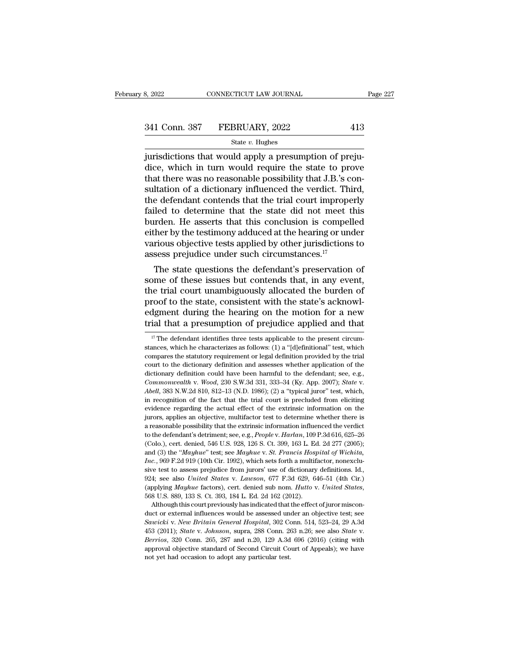# 341 Conn. 387 FEBRUARY, 2022 413<br>
State v. Hughes

### State *v.* Hughes

 $\begin{array}{lll} \text{3, } & \text{2022} \end{array} \qquad \begin{array}{lll} \text{COMNETICUT LAW JOURNAL} \ \text{341 Conn. } & \text{387} & \text{FEBRUARY, } & \text{2022} \ \text{341} & \text{State } v. \ \text{Huples} \ \text{surisdictions that would apply a presupption of prejudice, which in turn would require the state to prove that there was no reasonable possibility that LP's component.} \end{array}$ 341 Conn. 387 FEBRUARY, 2022 413<br>
state v. Hughes<br>
jurisdictions that would apply a presumption of prejudice, which in turn would require the state to prove<br>
that there was no reasonable possibility that J.B.'s consultatio 341 Conn. 387 FEBRUARY, 2022 413<br>
State v. Hughes<br>
jurisdictions that would apply a presumption of prejudice, which in turn would require the state to prove<br>
that there was no reasonable possibility that J.B.'s con-<br>
sult 341 Conn. 387 FEBRUARY, 2022 413<br>
state v. Hughes<br>
jurisdictions that would apply a presumption of prejudice, which in turn would require the state to prove<br>
that there was no reasonable possibility that J.B.'s consultati State v. Hughes<br>
intrisdictions that would apply a presumption of prejudice, which in turn would require the state to prove<br>
that there was no reasonable possibility that J.B.'s consultation of a dictionary influenced the state  $v$ . Hughes<br>jurisdictions that would apply a presumption of preju-<br>dice, which in turn would require the state to prove<br>that there was no reasonable possibility that J.B.'s con-<br>sultation of a dictionary influenced jurisdictions that would apply a presumption of prejudice, which in turn would require the state to prove<br>that there was no reasonable possibility that J.B.'s con-<br>sultation of a dictionary influenced the verdict. Third,<br>t dice, which in turn would require the state to prove<br>that there was no reasonable possibility that J.B.'s con-<br>sultation of a dictionary influenced the verdict. Third,<br>the defendant contends that the trial court improperl that there was no reasonable possibility that J.B.'s consultation of a dictionary influenced the verdict. Third, the defendant contends that the trial court improperly failed to determine that the state did not meet this b sultation of a dictionary influenced the verdict. This the defendant contends that the trial court improperfailed to determine that the state did not meet that burden. He asserts that this conclusion is compel either by t Following that the state did not meet this<br>orden. He asserts that this conclusion is compelled<br>ther by the testimony adduced at the hearing or under<br>rious objective tests applied by other jurisdictions to<br>sess prejudice u railed to determine that the state did not meet this<br>burden. He asserts that this conclusion is compelled<br>either by the testimony adduced at the hearing or under<br>various objective tests applied by other jurisdictions to<br>as

burden. He asserts that this conclusion is competied<br>either by the testimony adduced at the hearing or under<br>various objective tests applied by other jurisdictions to<br>assess prejudice under such circumstances.<sup>17</sup><br>The sta entier by the testimony adduced at the nearing or under<br>various objective tests applied by other jurisdictions to<br>assess prejudice under such circumstances.<sup>17</sup><br>The state questions the defendant's preservation of<br>some of t various objective tests applied by other jurisdictions to<br>assess prejudice under such circumstances.<sup>17</sup><br>The state questions the defendant's preservation of<br>some of these issues but contends that, in any event,<br>the trial c assess prejudice under such circumstances.<br>
The state questions the defendant's preservation of<br>
some of these issues but contends that, in any event,<br>
the trial court unambiguously allocated the burden of<br>
proof to the s ie trial court unambiguously allocated the burden of<br>roof to the state, consistent with the state's acknowl-<br>dgment during the hearing on the motion for a new<br>ial that a presumption of prejudice applied and that<br><sup>17</sup> The d proof to the state, consistent with the state's acknowledgment during the hearing on the motion for a new trial that a presumption of prejudice applied and that  $\frac{17}{17}$  The defendant identifies three tests applicable

<sup>924</sup>; see also *United States v. Lawson*, 677 F.3d 629, 646–51 (4th Cir.)<br>
(applying *Mayhue* factors), cert. denied sub nom. *Hutto v. United States*,<br>
568 U.S. 889, 133 S. Ct. 393, 184 L. Ed. 2d 162 (2012).<br>
Although th (applying *Mayhue* factors), cert. denied sub nom. *Hutto* v. *United States*, 568 U.S. 889, 133 S. Ct. 393, 184 L. Ed. 2d 162 (2012).<br>Although this court previously has indicated that the effect of juror misconduct or ext Although this court previously has indicated that the effect of juror misconduct or external influences would be assessed under an objective test; see Sawicki v. New Britain General Hospital, 302 Conn. 514, 523–24, 29 A.3d Although this court previously has indicated that the effect of juror misconduct or external influences would be assessed under an objective test; see Sawicki v. New Britain General Hospital, 302 Conn. 514, 523–24, 29 A.3

edgment during the hearing on the motion for a new trial that a presumption of prejudice applied and that  $\frac{17}{17}$  The defendant identifies three tests applicable to the present circumstances, which he characterizes as trial that a presumption of prejudice applied and that  $\frac{17}{17}$  The defendant identifies three tests applicable to the present circumstances, which he characterizes as follows: (1) a "[d]efinitional" test, which compar The defendant identifies three tests applicable to the present circum-<br>stances, which he characterizes as follows: (1) a "[d]efinitional" test, which<br>compares the statutory requirement or legal definition provided by the <sup>I7</sup> The defendant identifies three tests applicable to the present circumstances, which he characterizes as follows: (1) a "[d]efinitional" test, which compares the statutory requirement or legal definition provided by t compares the statutory requirement or legal definition provided by the trial court to the dictionary definition and assesses whether application of the dictionary definition could have been harmful to the defendant; see, court to the dictionary definition and assesses whether application of the dictionary definition could have been harmful to the defendant; see, e.g., *Commonwealth* v. *Wood*, 230 S.W.3d 331, 333–34 (Ky. App. 2007); *State* dictionary definition could have been harmful to the defendant; see, e.g., *Commonwealth* v. *Wood*, 230 S.W.3d 331, 333-34 (Ky. App. 2007); *State* v. *Abell*, 383 N.W.2d 810, 812-13 (N.D. 1986); (2) a "typical juror" tes Commonwealth v. Wood, 230 S.W.3d 331, 333-34 (Ky. App. 2007); *State v.*<br>*Abell*, 383 N.W.2d 810, 812-13 (N.D. 1986); (2) a "typical juror" test, which, in recognition of the fact that the trial court is precluded from eli Abell, 383 N.W.2d 810, 812–13 (N.D. 1986); (2) a "typical juror" test, which, in recognition of the fact that the trial court is precluded from eliciting evidence regarding the actual effect of the extrinsic information on in recognition of the fact that the trial court is precluded from eliciting evidence regarding the actual effect of the extrinsic information on the jurors, applies an objective, multifactor test to determine whether ther and (3) the "*Mayhue*" test; see *Mayhue* v. *St. Francis Hospital* of Wichita, *St.* and Survey applies an objective, multifactor test to determine whether there is a reasonable possibility that the extrinsic information *Incores,* applies an objective, multifactor test to determine whether there is a reasonable possibility that the extrinsic information influenced the verdict to the defendant's detriment; see, e.g., *People v. Harlan*, 10 sizes, upper assess prejudice from influenced the verdict to the defendant's detriment; see, e.g., People v. Harlan, 109 P.3d 616, 625–26 (Colo.), cert. denied, 546 U.S. 928, 126 S. Ct. 399, 163 L. Ed. 2d 277 (2005); and 1 and *defendant's detriment*; see, e.g., *People v. Harlan*, 109 P.3d 616, 625–26 (Colo.), cert. denied, 546 U.S. 928, 126 S. Ct. 399, 163 L. Ed. 2d 277 (2005); and (3) the *"Mayhue"* test; see *Mayhue v. St. Francis Hosp* (Colo.), cert. denied, 546 U.S. 928, 126 S. Ct. 399, 163 L. Ed. 2d 277 (2005);<br>and (3) the "*Mayhue*" test; see *Mayhue* v. *St. Francis Hospital of Wichita*, *Inc.*, 969 F.2d 919 (10th Cir. 1992), which sets forth a multi *c.*, 969 F.2d 919 (10th Cir. 1992), which sets forth a multifactor, nonexclu-<br>*e* test to assess prejudice from jurors' use of dictionary definitions. Id.,<br>4; see also *United States v. Lawson*, 677 F.3d 629, 646–51 (4th sive test to assess prejudice from jurors' use of dictionary definitions. Id., 924; see also *United States v. Lawson*, 677 F.3d 629, 646–51 (4th Cir.) (applying *Mayhue* factors), cert. denied sub nom. *Hutto v. United St*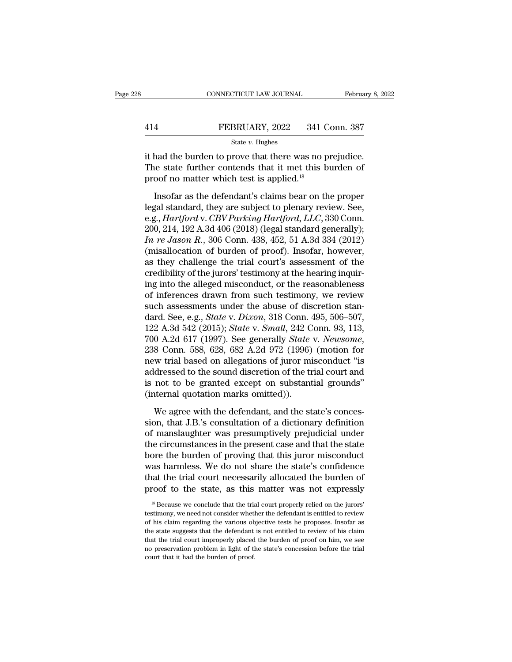|     | CONNECTICUT LAW JOURNAL | February 8, 2022 |
|-----|-------------------------|------------------|
|     |                         |                  |
| 414 | FEBRUARY, 2022          | 341 Conn. 387    |
|     | State $v$ . Hughes      |                  |

CONNECTICUT LAW JOURNAL February 8, 2<br>
FEBRUARY, 2022 341 Conn. 387<br>
State v. Hughes<br>
it had the burden to prove that there was no prejudice.<br>
The state further contends that it met this burden of The state further contends that it met this burden of proof no matter which test is applied.<sup>18</sup> 414 FEBRUARY, 2022 341 C<br>
State v. Hughes<br>
it had the burden to prove that there was no p<br>
The state further contends that it met this b<br>
proof no matter which test is applied.<sup>18</sup><br>
Insofar as the defendant's claims bear FEBRUARY, 2022 341 Conn. 387<br>
State v. Hughes<br>
had the burden to prove that there was no prejudice.<br>
i.e state further contends that it met this burden of<br>
oof no matter which test is applied.<sup>18</sup><br>
Insofar as the defendan

State *v*. Hughes<br>it had the burden to prove that there was no prejudice.<br>The state further contends that it met this burden of<br>proof no matter which test is applied.<sup>18</sup><br>Insofar as the defendant's claims bear on the prop it had the burden to prove that there was no prejudice.<br>The state further contends that it met this burden of<br>proof no matter which test is applied.<sup>18</sup><br>Insofar as the defendant's claims bear on the proper<br>legal standard, The state further contends that it met this burden of<br>proof no matter which test is applied.<sup>18</sup><br>Insofar as the defendant's claims bear on the proper<br>legal standard, they are subject to plenary review. See,<br>e.g., *Hartfor Ine state rature establish take to the singled.*<sup>18</sup><br>
Insofar as the defendant's claims bear on the proper<br>
legal standard, they are subject to plenary review. See,<br>
e.g., *Hartford v. CBV Parking Hartford*, *LLC*, 330 Co Insofar as the defendant's claims bear on the proper<br>legal standard, they are subject to plenary review. See,<br>e.g., *Hartford* v. *CBV Parking Hartford*, *LLC*, 330 Conn.<br>200, 214, 192 A.3d 406 (2018) (legal standard gene Insofar as the defendant's claims bear on the proper<br>legal standard, they are subject to plenary review. See,<br>e.g., *Hartford* v. *CBV Parking Hartford*, *LLC*, 330 Conn.<br>200, 214, 192 A.3d 406 (2018) (legal standard gene legal standard, they are subject to plenary review. See,<br>e.g., *Hartford* v. *CBV Parking Hartford*, *LLC*, 330 Conn.<br>200, 214, 192 A.3d 406 (2018) (legal standard generally);<br>*In re Jason R.*, 306 Conn. 438, 452, 51 A.3d e.g., *Hartford v. CBV Parking Hartford, LLC*, 330 Conn.<br>200, 214, 192 A.3d 406 (2018) (legal standard generally);<br>*In re Jason R.*, 306 Conn. 438, 452, 51 A.3d 334 (2012)<br>(misallocation of burden of proof). Insofar, howev 200, 214, 192 A.3d 406 (2018) (legal standard generally);<br> *In re Jason R.*, 306 Conn. 438, 452, 51 A.3d 334 (2012)<br>
(misallocation of burden of proof). Insofar, however,<br>
as they challenge the trial court's assessment of *In re Jason R.*, 306 Conn. 438, 452, 51 A.3d 334 (2012) (misallocation of burden of proof). Insofar, however, as they challenge the trial court's assessment of the credibility of the jurors' testimony at the hearing inqu (misallocation of burden of proof). Insofar, however,<br>as they challenge the trial court's assessment of the<br>credibility of the jurors' testimony at the hearing inquir-<br>ing into the alleged misconduct, or the reasonableness as they challenge the trial court's assessment of the<br>credibility of the jurors' testimony at the hearing inquir-<br>ing into the alleged misconduct, or the reasonableness<br>of inferences drawn from such testimony, we review<br>su credibility of the jurors' testimony at the hearing inquiring into the alleged misconduct, or the reasonableness<br>of inferences drawn from such testimony, we review<br>such assessments under the abuse of discretion stan-<br>dard. of inferences drawn from such testimony, we review<br>such assessments under the abuse of discretion stan-<br>dard. See, e.g., *State* v. *Dixon*, 318 Conn. 495, 506–507,<br>122 A.3d 542 (2015); *State* v. *Small*, 242 Conn. 93, 11 such assessments under the abuse of discretion stan-<br>dard. See, e.g., *State* v. *Dixon*, 318 Conn. 495, 506–507,<br>122 A.3d 542 (2015); *State* v. *Small*, 242 Conn. 93, 113,<br>700 A.2d 617 (1997). See generally *State* v. *N* dard. See, e.g., *State* v. *Dixon*, 318 Conn. 495, 506–507, 122 A.3d 542 (2015); *State* v. *Small*, 242 Conn. 93, 113, 700 A.2d 617 (1997). See generally *State* v. *Newsome*, 238 Conn. 588, 628, 682 A.2d 972 (1996) (mo 122 A.3d 542 (2015); *State* v. *Small*, 242 C 700 A.2d 617 (1997). See generally *State* 238 Conn. 588, 628, 682 A.2d 972 (1996) new trial based on allegations of juror minital based to the sound discretion of the tris n 8 Conn. 588, 628, 682 A.2d 972 (1996) (motion for<br>8 Conn. 588, 628, 682 A.2d 972 (1996) (motion for<br>w trial based on allegations of juror misconduct "is<br>dressed to the sound discretion of the trial court and<br>not to be gran since that J.B.'s consultation of juror misconduct "is<br>addressed to the sound discretion of the trial court and<br>is not to be granted except on substantial grounds"<br>(internal quotation marks omitted)).<br>We agree with the def

From Example 12 and discretion of the trial court and<br>is not to be granted except on substantial grounds"<br>(internal quotation marks omitted)).<br>We agree with the defendant, and the state's conces-<br>sion, that J.B.'s consulta is not to be granted except on substantial grounds"<br>(internal quotation marks omitted)).<br>We agree with the defendant, and the state's concession, that J.B.'s consultation of a dictionary definition<br>of manslaughter was pres bore the burden marks omitted)).<br>
We agree with the defendant, and the state's concession, that J.B.'s consultation of a dictionary definition<br>
of manslaughter was presumptively prejudicial under<br>
the circumstances in the We agree with the defendant, and the state's concession, that J.B.'s consultation of a dictionary definition<br>of manslaughter was presumptively prejudicial under<br>the circumstances in the present case and that the state<br>bore We agree with the defendant, and the state's concession, that J.B.'s consultation of a dictionary definition of manslaughter was presumptively prejudicial under the circumstances in the present case and that the state bore sion, that J.B.'s consultation of a dictionary definition<br>of manslaughter was presumptively prejudicial under<br>the circumstances in the present case and that the state<br>bore the burden of proving that this juror misconduct<br> The burden of proving that this juror misconduct<br>as harmless. We do not share the state's confidence<br>at the trial court necessarily allocated the burden of<br>roof to the state, as this matter was not expressly<br> $^{18}$  Because was harmless. We do not share the state's confidence<br>that the trial court necessarily allocated the burden of<br>proof to the state, as this matter was not expressly<br> $\frac{18}{18}$  Because we conclude that the trial court prope

that the trial court necessarily allocated the burden of<br>proof to the state, as this matter was not expressly<br><sup>18</sup> Because we conclude that the trial court properly relied on the jurors'<br>testimony, we need not consider whe proof to the state, as this matter was not expressly<br>
<sup>18</sup> Because we conclude that the trial court properly relied on the jurors'<br>
testimony, we need not consider whether the defendant is entitled to review<br>
of his claim The trial court in that the trial court properly relied on the jurors'<br>
Is Because we conclude that the trial court properly relied on the jurors'<br>
testimony, we need not consider whether the defendant is entitled to revi <sup>18</sup> Because we conclude that the trial court properly relied on the jurors' testimony, we need not consider whether the defendant is entitled to review of his claim regarding the various objective tests he proposes. Inso testimony, we need not consider whether the defendant is entitled to review of his claim regarding the various objective tests he proposes. Insofar as the state suggests that the defendant is not entitled to review of his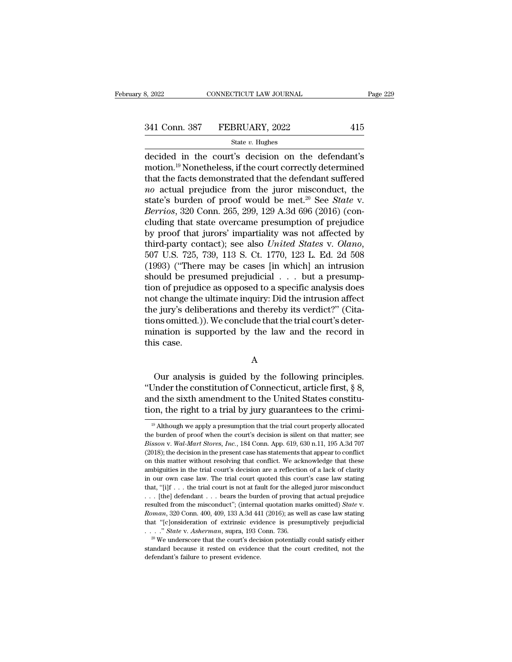$\begin{array}{ll}\n & \text{COMRECTICUT LAW JOURNAL} & \text{Page 229}\n \hline\n 341 \text{ Conn. } 387 & \text{FEBRUARY, } 2022 & 415\n \end{array}\n \begin{array}{ll}\n & \text{State } v. \text{ Hughes} \\
 \hline\n & \text{State } v. \text{ Hughes} \\
 \hline\n \text{decided in the court's decision on the defendant's motion.} \text{19 Nonetheless, if the court correctly determined that the defendant suffored\nend\n\end{array}$ 341 Conn. 387 FEBRUARY, 2022 415<br>
state v. Hughes<br>
decided in the court's decision on the defendant's<br>
motion.<sup>19</sup> Nonetheless, if the court correctly determined<br>
that the facts demonstrated that the defendant suffered<br>
a 341 Conn. 387 FEBRUARY, 2022 415<br>
State v. Hughes<br>
decided in the court's decision on the defendant's<br>
motion.<sup>19</sup> Nonetheless, if the court correctly determined<br>
that the facts demonstrated that the defendant suffered<br> <sup>341</sup> Conn. 387 **FEBRUARY**, 2022 415<br> **and Exerce from the state v. Hughes**<br> **actual prejudice from the defendant** is that the facts demonstrated that the defendant suffered<br> *no* actual prejudice from the juror misconduc state v. Hughes<br>decided in the court's decision on the defendant's<br>motion.<sup>19</sup> Nonetheless, if the court correctly determined<br>that the facts demonstrated that the defendant suffered<br>no actual prejudice from the juror misco decided in the court's decision on the defendant's<br>motion.<sup>19</sup> Nonetheless, if the court correctly determined<br>that the facts demonstrated that the defendant suffered<br>*no* actual prejudice from the juror misconduct, the<br>sta decided in the court's decision on the defendant's<br>motion.<sup>19</sup> Nonetheless, if the court correctly determined<br>that the facts demonstrated that the defendant suffered<br>*no* actual prejudice from the juror misconduct, the<br>st motion.<sup>19</sup> Nonetheless, if the court correctly determined<br>that the facts demonstrated that the defendant suffered<br>*no* actual prejudice from the juror misconduct, the<br>state's burden of proof would be met.<sup>20</sup> See *State* that the facts demonstrated that the defendant suffered<br> *no* actual prejudice from the juror misconduct, the<br>
state's burden of proof would be met.<sup>20</sup> See *State* v.<br> *Derrios*, 320 Conn. 265, 299, 129 A.3d 696 (2016) (c state's burden of proof would be met.<sup>20</sup> See *State* v.<br>Berrios, 320 Conn. 265, 299, 129 A.3d 696 (2016) (concluding that state overcame presumption of prejudice<br>by proof that jurors' impartiality was not affected by<br>thi Berrios, 320 Conn. 265, 299, 129 A.3d 696 (2016) (concluding that state overcame presumption of prejudice<br>by proof that jurors' impartiality was not affected by<br>third-party contact); see also *United States v. Olano*,<br>507 cluding that state overcame presumption of prejudice<br>by proof that jurors' impartiality was not affected by<br>third-party contact); see also *United States v. Olano*,<br>507 U.S. 725, 739, 113 S. Ct. 1770, 123 L. Ed. 2d 508<br>(19 by proof that jurors' impartiality was not affected by<br>third-party contact); see also *United States v. Olano*,<br>507 U.S. 725, 739, 113 S. Ct. 1770, 123 L. Ed. 2d 508<br>(1993) ("There may be cases [in which] an intrusion<br>sho third-party contact); see also *United States v. Olano*, 507 U.S. 725, 739, 113 S. Ct. 1770, 123 L. Ed. 2d 508 (1993) ("There may be cases [in which] an intrusion should be presumed prejudicial  $\ldots$  but a presumption of 507 U.S. 725, 739, 113 S. Ct. 1770, 123 L. Ed. 2d 508 (1993) ("There may be cases [in which] an intrusion should be presumed prejudicial . . . but a presumption of prejudice as opposed to a specific analysis does not chang (1993) ("There may be cases [in which] an intrusion<br>should be presumed prejudicial  $\ldots$  but a presump-<br>tion of prejudice as opposed to a specific analysis does<br>not change the ultimate inquiry: Did the intrusion affect<br>th tion of prejudion<br>to change the<br>the jury's delit<br>tions omitted.)<br>mination is su<br>this case. e jury's deliberations and thereby its verdict?" (Cita-<br>ons omitted.)). We conclude that the trial court's deter-<br>ination is supported by the law and the record in<br>is case.<br>A<br>Our analysis is guided by the following princip

A

tions omitted.)). We conclude that the trial court's deter-<br>
mination is supported by the law and the record in<br>
this case.<br>
A<br>
Our analysis is guided by the following principles.<br>
"Under the constitution of Connecticut, a mination is supported by the law and the record in<br>this case.<br>A<br>Our analysis is guided by the following principles.<br>"Under the constitution of Connecticut, article first, § 8,<br>and the sixth amendment to the United States c this case.<br>
A<br>
Our analysis is guided by the following principles.<br>
"Under the constitution of Connecticut, article first,  $\S$  8,<br>
and the sixth amendment to the United States constitu-<br>
tion, the right to a trial by jury Our analysis is guided by the following principles.<br>
Under the constitution of Connecticut, article first, § 8,<br>
and the sixth amendment to the United States constitu-<br>
on, the right to a trial by jury guarantees to the c "Under the constitution of Connecticut, article first, § 8, and the sixth amendment to the United States constitution, the right to a trial by jury guarantees to the crimi-<br><sup>19</sup> Although we apply a presumption that the tr

and the sixth amendment to the United States constitu-<br>tion, the right to a trial by jury guarantees to the crimi-<br><sup>19</sup> Although we apply a presumption that the trial court properly allocated<br>the burden of proof when the c tion, the right to a trial by jury guarantees to the crimi-<br>
<sup>19</sup> Although we apply a presumption that the trial court properly allocated<br>
the burden of proof when the court's decision is silent on that matter; see<br> *Biss* <sup>19</sup> Although we apply a presumption that the trial court properly allocated the burden of proof when the court's decision is silent on that matter; see *Bisson v. Wal-Mart Stores, Inc.*, 184 Conn. App. 619, 630 n.11, 195 <sup>19</sup> Although we apply a presumption that the trial court properly allocated the burden of proof when the court's decision is silent on that matter; see *Bisson v. Wal-Mart Stores, Inc.*, 184 Conn. App. 619, 630 n.11, 195 the burden of proof when the court's decision is silent on that matter; see *Bisson v. Wal-Mart Stores, Inc.*, 184 Conn. App. 619, 630 n.11, 195 A.3d 707 (2018); the decision in the present case has statements that appear ambiguities in the trial court's decision are a reflection of a lack of clarity in our own case law. The trial court quoted this court's case law stating that, "[i]f . . . the trial court is not at fault for the alleged j (2018); the decision in the present case has statements that appear to conflict on this matter without resolving that conflict. We acknowledge that these ambiguities in the trial court's decision are a reflection of a lac on this matter without resolving that conflict. We acknowledge that these ambiguities in the trial court's decision are a reflection of a lack of clarity in our own case law. The trial court quoted this court's case law st in our own case law. The trial court quoted this court's case law stating that, "[i]f . . . the trial court is not at fault for the alleged juror misconduct . . . [the] defendant . . . bears the burden of proving that act . . . .'' *State* v. *Asherman*, supra, 193 Conn. 736. <sup>20</sup> We underscore that the court's decision potentially could satisfy either standard from the misconduct"; (internal quotation marks omitted) *State* v.<br>Roman, 320 Conn. 400, 409, 133 A.3d 441 (2016); as well as case law stating<br>that "[c]onsideration of extrinsic evidence is presumptively prejudi

 $^{20}$  We underscore that the court's decision potentially could satisfy either standard because it rested on evidence that the court credited, not the defendant's failure to present evidence.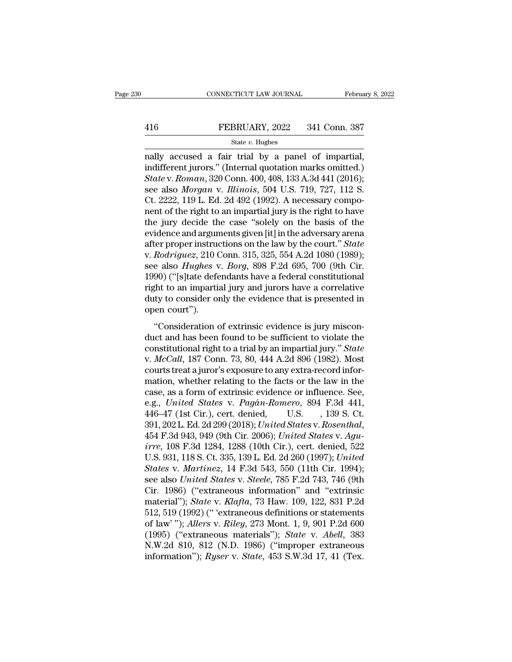$\begin{tabular}{ll} \multicolumn{1}{l}{{\small \textbf{COMRECTICUT LAW JOURNAL}}} & \multicolumn{1}{l}{\small \textbf{February 8, 2}}\\ \hline & \multicolumn{1}{l}{\small \textbf{FEBRUARY, 2022}} & \multicolumn{1}{l}{341} \text{ Conn. } 387\\ \hline & \\ & \multicolumn{1}{l}{\small \textbf{State $v$}}{\small \textbf{Huples}}\\ \hline \textbf{really accused a fair trial by a panel of impartial,} \\ \hline \textbf{indifferent juros." (Internal quotation marks omitted.)}\\ \hline \textbf{State $v$-Remark 220} \text{ Conn. } 400,$ FEBRUARY, 2022 341 Conn. 387<br>
state v. Hughes<br>
nally accused a fair trial by a panel of impartial,<br>
indifferent jurors." (Internal quotation marks omitted.)<br> *State* v. *Roman*, 320 Conn. 400, 408, 133 A.3d 441 (2016);<br>
se **FEBRUARY**, 2022 341 Conn. 387<br> **State v. Hughes**<br> **State v.** *Roman***, 320 Conn. 400, 408, 133 A.3d 441 (2016);<br>
State v.** *Roman***, 320 Conn. 400, 408, 133 A.3d 441 (2016);<br>
State v.** *Roman***, 320 Conn. 400, 408, 133 A.3d 441** FEBRUARY, 2022 341 Conn. 387<br>
state *v*. Hughes<br>
nally accused a fair trial by a panel of impartial,<br>
indifferent jurors." (Internal quotation marks omitted.)<br> *State v. Roman*, 320 Conn. 400, 408, 133 A.3d 441 (2016);<br>
se State v. Hughes<br>
State v. Hughes<br>
mally accused a fair trial by a panel of impartial,<br>
indifferent jurors." (Internal quotation marks omitted.)<br>
State v. Roman, 320 Conn. 400, 408, 133 A.3d 441 (2016);<br>
see also *Morgan* state v. Hughes<br>
nally accused a fair trial by a panel of impartial,<br>
indifferent jurors." (Internal quotation marks omitted.)<br> *State* v. Roman, 320 Conn. 400, 408, 133 A.3d 441 (2016);<br>
see also *Morgan* v. *Illinois*, nally accused a fair trial by a panel of impartial,<br>indifferent jurors." (Internal quotation marks omitted.)<br>State v. Roman, 320 Conn. 400, 408, 133 A.3d 441 (2016);<br>see also Morgan v. Illinois, 504 U.S. 719, 727, 112 S.<br>C indifferent jurors." (Internal quotation marks omitted.)<br> *State* v. Roman, 320 Conn. 400, 408, 133 A.3d 441 (2016);<br>
see also *Morgan* v. *Illinois*, 504 U.S. 719, 727, 112 S.<br>
Ct. 2222, 119 L. Ed. 2d 492 (1992). A neces State v. Roman, 320 Conn. 400, 408, 133 A.3d 441 (2016);<br>see also *Morgan v. Illinois*, 504 U.S. 719, 727, 112 S.<br>Ct. 2222, 119 L. Ed. 2d 492 (1992). A necessary compo-<br>nent of the right to an impartial jury is the right t see also *Morgan v. Illinois*, 504 U.S. 719, 727, 112 S.<br>Ct. 2222, 119 L. Ed. 2d 492 (1992). A necessary compo-<br>nent of the right to an impartial jury is the right to have<br>the jury decide the case "solely on the basis of t Ct. 2222, 119 L. Ed. 2d 492 (1992). A necessary component of the right to an impartial jury is the right to have the jury decide the case "solely on the basis of the evidence and arguments given [it] in the adversary arena nent of the right to an impartial jury is the right to have<br>the jury decide the case "solely on the basis of the<br>evidence and arguments given [it] in the adversary arena<br>after proper instructions on the law by the court." the jury decide the case "solely on the basis of the<br>evidence and arguments given [it] in the adversary arena<br>after proper instructions on the law by the court." State<br>v. Rodriguez, 210 Conn. 315, 325, 554 A.2d 1080 (1989 evidence and arguments given [it] in the adversary arena<br>after proper instructions on the law by the court." State<br>v. Rodriguez, 210 Conn. 315, 325, 554 A.2d 1080 (1989);<br>see also *Hughes* v. *Borg*, 898 F.2d 695, 700 (9th after proper instructive v. *Rodriguez*, 210 (<br>see also *Hughes* v.<br>1990) ("[s]tate deferight to an impartial<br>duty to consider of open court").<br>"Consideration of recall galax, 210 Considers in 210, 020, 00111.24 1000 (1000),<br>
e also *Hughes* v. *Borg*, 898 F.2d 695, 700 (9th Cir.<br>
90) ("[s]tate defendants have a federal constitutional<br>
ght to an impartial jury and jurors have a co duct and has been found to be sufficient to violate the<br>duty to consider only the evidence that is presented in<br>open court").<br>"Consideration of extrinsic evidence is jury miscon-<br>duct and has been found to be sufficient t

right to an impartial jury and jurors have a correlative<br>duty to consider only the evidence that is presented in<br>open court").<br>"Consideration of extrinsic evidence is jury miscon-<br>duct and has been found to be sufficient t v. *McCall*, 187 Consider that is presented in<br>
open court").<br>
"Consideration of extrinsic evidence is jury miscon-<br>
duct and has been found to be sufficient to violate the<br>
constitutional right to a trial by an impartial day to consider only are evidence and is presented in<br>open court").<br>"Consideration of extrinsic evidence is jury miscon-<br>duct and has been found to be sufficient to violate the<br>constitutional right to a trial by an imparti "Consideration of extrinsic evidence is jury misconduct and has been found to be sufficient to violate the constitutional right to a trial by an impartial jury." *State* v. *McCall*, 187 Conn. 73, 80, 444 A.2d 896 (1982). "Consideration of extrinsic evidence is jury miscon-<br>duct and has been found to be sufficient to violate the<br>constitutional right to a trial by an impartial jury." *State*<br>v.  $McCall$ , 187 Conn. 73, 80, 444 A.2d 896 (1982). M duct and has been found to be sufficient to violate the constitutional right to a trial by an impartial jury." *State* v. *McCall*, 187 Conn. 73, 80, 444 A.2d 896 (1982). Most courts treat a juror's exposure to any extra-r constitutional right to a trial by an impartial jury." State<br>v. McCall, 187 Conn. 73, 80, 444 A.2d 896 (1982). Most<br>courts treat a juror's exposure to any extra-record infor-<br>mation, whether relating to the facts or the la v. *McCall*, 187 Conn. 73, 80, 444 A.2d 896 (1982). Most<br>courts treat a juror's exposure to any extra-record infor-<br>mation, whether relating to the facts or the law in the<br>case, as a form of extrinsic evidence or influence mation, whether relating to the facts or the law in the case, as a form of extrinsic evidence or influence. See, e.g., *United States v. Pagán-Romero*, 894 F.3d 441, 446–47 (1st Cir.), cert. denied, U.S. , 139 S. Ct. 391, case, as a form of extrinsic evidence or influence. See,<br>e.g., *United States v. Pagán-Romero*, 894 F.3d 441,<br>446–47 (1st Cir.), cert. denied, U.S. , 139 S. Ct.<br>391, 202 L. Ed. 2d 299 (2018); *United States v. Rosenthal*,<br> *States v. Pagán-Romero, 894 F.3d 441,*<br>446–47 (1st Cir.), cert. denied, U.S. , 139 S. Ct.<br>391, 202 L. Ed. 2d 299 (2018); United States v. Rosenthal,<br>454 F.3d 943, 949 (9th Cir. 2006); United States v. Agu-<br>*irre*, 108 F.3 446–47 (1st Cir.), cert. denied, U.S. , 139 S. Ct.<br>391, 202 L. Ed. 2d 299 (2018); *United States v. Rosenthal*,<br>454 F.3d 943, 949 (9th Cir. 2006); *United States v. Agu-<br>irre*, 108 F.3d 1284, 1288 (10th Cir.), cert. denied 391, 202 L. Ed. 2d 299 (2018); United States v. Rosenthal,<br>454 F.3d 943, 949 (9th Cir. 2006); United States v. Agu-<br>irre, 108 F.3d 1284, 1288 (10th Cir.), cert. denied, 522<br>U.S. 931, 118 S. Ct. 335, 139 L. Ed. 2d 260 (1997 454 F.3d 943, 949 (9th Cir. 2006); *United States v. Agu-*<br> *irre*, 108 F.3d 1284, 1288 (10th Cir.), cert. denied, 522<br>
U.S. 931, 118 S. Ct. 335, 139 L. Ed. 2d 260 (1997); *United<br>
<i>States v. Martinez*, 14 F.3d 543, 550 (1 *irre*, 108 F.3d 1284, 1288 (10th Cir.), cert. denied, 522<br>U.S. 931, 118 S. Ct. 335, 139 L. Ed. 2d 260 (1997); *United*<br>States v. *Martinez*, 14 F.3d 543, 550 (11th Cir. 1994);<br>see also *United States* v. *Steele*, 785 F.2 U.S. 931, 118 S. Ct. 335, 139 L. Ed. 2d 260 (1997); *United*<br> *States v. Martinez*, 14 F.3d 543, 550 (11th Cir. 1994);<br>
see also *United States v. Steele*, 785 F.2d 743, 746 (9th<br>
Cir. 1986) ("extraneous information" and " States v. *Martinez*, 14 F.3d 543, 550 (11th Cir. 1994);<br>see also United States v. Steele, 785 F.2d 743, 746 (9th<br>Cir. 1986) ("extraneous information" and "extrinsic<br>material"); *State* v. *Klafta*, 73 Haw. 109, 122, 831 P see also *United States* v. *Steele*, 785 F.2d 743, 746 (9th<br>Cir. 1986) ("extraneous information" and "extrinsic<br>material"); *State* v. *Klafta*, 73 Haw. 109, 122, 831 P.2d<br>512, 519 (1992) (" 'extraneous definitions or sta Cir. 1986) ("extraneous information" and "extrinsic material"); *State* v. *Klafta*, 73 Haw. 109, 122, 831 P.2d 512, 519 (1992) (" 'extraneous definitions or statements of law"); *Allers* v. *Riley*, 273 Mont. 1, 9, 901 P.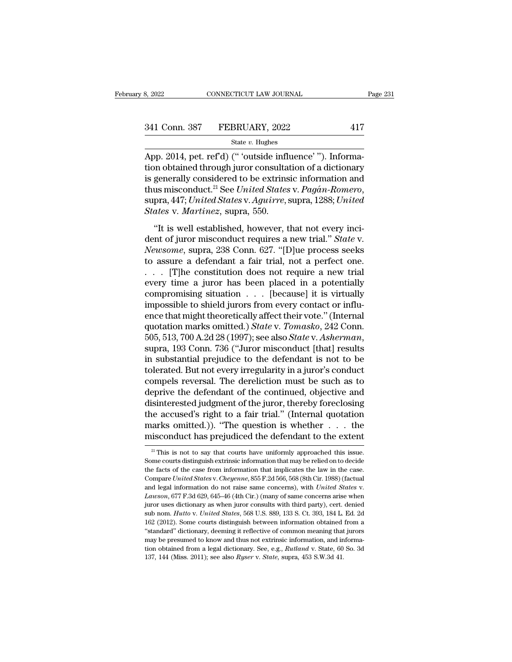| 3, 2022       | CONNECTICUT LAW JOURNAL | Page 231 |  |
|---------------|-------------------------|----------|--|
|               |                         |          |  |
| 341 Conn. 387 | FEBRUARY, 2022          | 417      |  |
|               | State $v$ . Hughes      |          |  |

8, 2022<br>
CONNECTICUT LAW JOURNAL<br>
341 Conn. 387 FEBRUARY, 2022<br>
417<br>
5tate v. Hughes<br>
App. 2014, pet. ref'd) ("'outside influence' "). Informa-<br>
tion obtained through juror consultation of a dictionary<br>
is generally consid 341 Conn. 387 FEBRUARY, 2022 417<br>
state v. Hughes<br>
App. 2014, pet. ref'd) ("'outside influence'"). Informa-<br>
tion obtained through juror consultation of a dictionary<br>
is generally considered to be extrinsic information an 341 Conn. 387 FEBRUARY, 2022 417<br>
State v. Hughes<br>
App. 2014, pet. ref'd) ("'outside influence'"). Informa-<br>
tion obtained through juror consultation of a dictionary<br>
is generally considered to be extrinsic information an 117 State *v*. Hughes<br>
2014, pet. ref'd) (" 'outside influence' "). Informa-<br>
12014, pet. ref'd) (" 'outside influence' "). Informa-<br>
12014 is generally considered to be extrinsic information and<br>
1288; *United States* v. <sup>State v. Hugnes</sup><br>App. 2014, pet. ref'd) (" 'outside infl<br>tion obtained through juror consulta<br>is generally considered to be extrins<br>thus misconduct.<sup>21</sup> See *United States*<br>supra, 447; *United States* v. *Aguirre*, *State* (a) Using the matter of the matter of the model in the model in the model in the misconduct.<sup>21</sup> See United States v. Pagán-Romero, pra, 447; United States v. Aguirre, supra, 1288; United ates v. Martinez, supra, 550.<br>
"It is generally considered to be extrinsic information and<br>thus misconduct.<sup>21</sup> See *United States v. Pagán-Romero*,<br>supra, 447; *United States v. Aguirre*, supra, 1288; *United<br>States v. Martinez*, supra, 550.<br>"It is well es

*Newsomean* Considered as the United States v. Pagán-Romero,<br> *Newsomea, 447; United States v. Aguirre, supra, 1288; United States v. Martinez, supra, 550.*<br>
"It is well established, however, that not every incident of jur supra, 447; United States v. Aguirre, supra, 1288; United States v. Martinez, supra, 550.<br>
"It is well established, however, that not every incident of juror misconduct requires a new trial." State v.<br>
Newsome, supra, 238 States v. Martinez, supra, 550.<br>
"It is well established, however, that not every incident of juror misconduct requires a new trial." State v.<br>
Newsome, supra, 238 Conn. 627. "[D]ue process seeks<br>
to assure a defendant a "It is well established, however, that not every incident of juror misconduct requires a new trial." State v.<br>Newsome, supra, 238 Conn. 627. "[D]ue process seeks<br>to assure a defendant a fair trial, not a perfect one.<br>... "It is well established, however, that not every incident of juror misconduct requires a new trial." *State* v.<br> *Newsome*, supra, 238 Conn. 627. "[D]ue process seeks<br>
to assure a defendant a fair trial, not a perfect one dent of juror misconduct requires a new trial." *State* v.<br> *Newsome*, supra, 238 Conn. 627. "[D]ue process seeks<br>
to assure a defendant a fair trial, not a perfect one.<br>  $\ldots$  [T]he constitution does not require a new tr Newsome, supra, 238 Conn. 627. "[D]ue process seeks<br>to assure a defendant a fair trial, not a perfect one.<br>... [T]he constitution does not require a new trial<br>every time a juror has been placed in a potentially<br>compromisi to assure a defendant a fair trial, not a perfect one.<br>
. . . . [T]he constitution does not require a new trial<br>
every time a juror has been placed in a potentially<br>
compromising situation . . . [because] it is virtually<br> 505, 513, 700 A.2d 28 (1997); see also *State* v. *Asherman*, suppromising situation . . . [because] it is virtually impossible to shield jurors from every contact or influence that might theoretically affect their vote." compromising situation  $\ldots$  [because] it is virtually<br>impossible to shield jurors from every contact or influ-<br>ence that might theoretically affect their vote." (Internal<br>quotation marks omitted.) *State* v. *Tomasko*, 2 impossible to shield jurors from every contact or influ-<br>ence that might theoretically affect their vote." (Internal<br>quotation marks omitted.) State v. Tomasko, 242 Conn.<br>505, 513, 700 A.2d 28 (1997); see also State v. Ash ence that might theoretically affect their vote." (Internal<br>quotation marks omitted.) *State* v. *Tomasko*, 242 Conn.<br>505, 513, 700 A.2d 28 (1997); see also *State* v. *Asherman*,<br>supra, 193 Conn. 736 ("Juror misconduct [t quotation marks omitted.) *State* v. *Tomasko*, 242 Conn.<br>505, 513, 700 A.2d 28 (1997); see also *State* v. *Asherman*,<br>supra, 193 Conn. 736 ("Juror misconduct [that] results<br>in substantial prejudice to the defendant is no 505, 513, 700 A.2d 28 (1997); see also *State* v. *Asherman*, supra, 193 Conn. 736 ("Juror misconduct [that] results in substantial prejudice to the defendant is not to be tolerated. But not every irregularity in a juror' supra, 193 Conn. 736 ("Juror misconduct [that] results<br>in substantial prejudice to the defendant is not to be<br>tolerated. But not every irregularity in a juror's conduct<br>compels reversal. The dereliction must be such as to<br> in substantial prejudice to the defendant is not to be tolerated. But not every irregularity in a juror's conduct compels reversal. The dereliction must be such as to deprive the defendant of the continued, objective and tolerated. But not every irregularity in a juror's conduct<br>compels reversal. The dereliction must be such as to<br>deprive the defendant of the continued, objective and<br>disinterested judgment of the juror, thereby foreclosin disinterested judgment of the juror, thereby foreclosing<br>the accused's right to a fair trial." (Internal quotation<br>marks omitted.)). "The question is whether  $\dots$  the<br>misconduct has prejudiced the defendant to the extent<br> the accused's right to a fair trial." (Internal quotation marks omitted.)). "The question is whether  $\dots$  the misconduct has prejudiced the defendant to the extent  $\frac{2!}{2!}$  This is not to say that courts have uniformly

marks omitted.)). "The question is whether . . . the misconduct has prejudiced the defendant to the extent  $\frac{2!}{2!}$  This is not to say that courts have uniformly approached this issue. Some courts distinguish extrinsic misconduct has prejudiced the defendant to the extent<br><sup>21</sup> This is not to say that courts have uniformly approached this issue.<br>Some courts distinguish extrinsic information that may be relied on to decide<br>the facts of the and legal information do not raise same concerns), with *United States* of the case from information that may be relied on to decide the facts of the case from information that implicates the law in the case. Compare *Unit* Some courts distinguish extrinsic information that may be relied on to decide<br>the facts of the case from information that implicates the law in the case.<br>Compare *United States v. Cheyenne*, 855 F.2d 566, 568 (8th Cir. 198 the facts of the case from information that implicates the law in the case.<br>Compare *United States* v. *Cheyenne*, 855 F.2d 566, 568 (8th Cir. 1988) (factual<br>and legal information do not raise same concerns), with *United* Compare United States v. Cheyenne, 855 F.2d 566, 568 (8th Cir. 1988) (factual<br>and legal information do not raise same concerns), with United States v.<br>Lawson, 677 F.3d 629, 645–46 (4th Cir.) (many of same concerns arise wh and legal information do not raise same concerns), with *United States v.*<br>Lawson, 677 F.3d 629, 645–46 (4th Cir.) (many of same concerns arise when<br>juror uses dictionary as when juror consults with third party), cert. den Lawson, 677 F.3d 629, 645–46 (4th Cir.) (many of same concerns arise when<br>juror uses dictionary as when juror consults with third party), cert. denied<br>sub nom. *Hutto* v. *United States*, 568 U.S. 889, 133 S. Ct. 393, 184 Euror uses dictionary as when juror consults with third party), cert. denied<br>sub nom. *Hutto* v. *United States*, 568 U.S. 889, 133 S. Ct. 393, 184 L. Ed. 2d<br>162 (2012). Some courts distinguish between information obtained juror uses dictionary as when juror consults with third party), cert. denied sub nom. *Hutto* v. *United States*, 568 U.S. 889, 133 S. Ct. 393, 184 L. Ed. 2d 162 (2012). Some courts distinguish between information obtained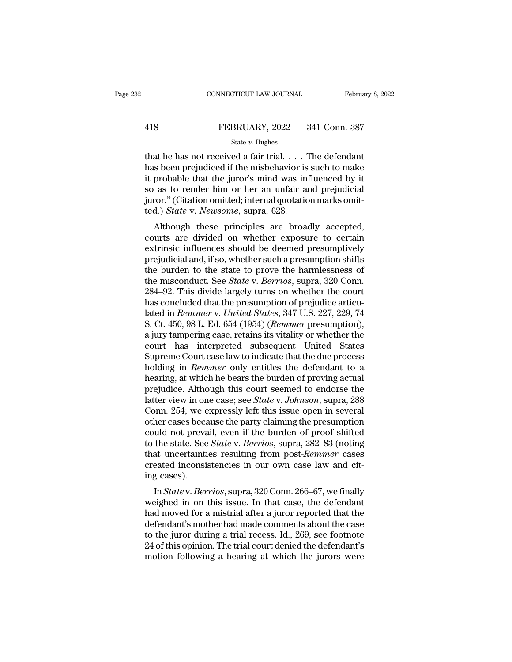|     | CONNECTICUT LAW JOURNAL | February 8, 2022 |
|-----|-------------------------|------------------|
|     |                         |                  |
| 418 | FEBRUARY, 2022          | 341 Conn. 387    |
|     | State $v$ . Hughes      |                  |

CONNECTICUT LAW JOURNAL February 8, 202<br>
FEBRUARY, 2022 341 Conn. 387<br>
State v. Hughes<br>
that he has not received a fair trial. . . . The defendant<br>
has been prejudiced if the misbehavior is such to make<br>
it probable that FEBRUARY, 2022 341 Conn. 387<br>
State v. Hughes<br>
that he has not received a fair trial.... The defendant<br>
has been prejudiced if the misbehavior is such to make<br>
it probable that the juror's mind was influenced by it<br>
so as FEBRUARY, 2022 341 Conn. 387<br>
State v. Hughes<br>
that he has not received a fair trial. . . . The defendant<br>
has been prejudiced if the misbehavior is such to make<br>
it probable that the juror's mind was influenced by it<br>
so FEBRUARY, 2022 341 Conn. 387<br>
State v. Hughes<br>
that he has not received a fair trial. . . . The defendant<br>
has been prejudiced if the misbehavior is such to make<br>
it probable that the juror's mind was influenced by it<br>
so State v. Hughes<br>State v. Hughes<br>that he has not received a fair trial.... The defendant<br>has been prejudiced if the misbehavior is such to make<br>it probable that the juror's mind was influenced by it<br>so as to render him or state *v*. *Hughes*<br>that he has not received a fair trial. . . . '<br>has been prejudiced if the misbehavior is<br>it probable that the juror's mind was in<br>so as to render him or her an unfair a<br>juror." (Citation omitted; intern at he has not received a fair that.  $\ldots$  The defendant s been prejudiced if the misbehavior is such to make probable that the juror's mind was influenced by it as to render him or her an unfair and prejudicial fror." (Ci ras been prejudiced if the hisbehavior is such to hiake<br>it probable that the juror's mind was influenced by it<br>so as to render him or her an unfair and prejudicial<br>juror." (Citation omitted; internal quotation marks omit-<br>

It probable that the juror's filmd was inhuenced by it<br>so as to render him or her an unfair and prejudicial<br>juror." (Citation omitted; internal quotation marks omit-<br>ted.) *State* v. *Newsome*, supra, 628.<br>Although these p so as to render finit of fier ant dinam and prejudicial<br>juror." (Citation omitted; internal quotation marks omit-<br>ted.) *State* v. *Newsome*, supra, 628.<br>Although these principles are broadly accepted,<br>courts are divided fully burden to the state of principles are broadly accepted,<br>the burden these principles are broadly accepted,<br>courts are divided on whether exposure to certain<br>extrinsic influences should be deemed presumptively<br>prejudi ted.) *State* v. *Newsome*, supra, 028.<br>
Although these principles are broadly accepted,<br>
courts are divided on whether exposure to certain<br>
extrinsic influences should be deemed presumptively<br>
prejudicial and, if so, whet Although these principles are broadly accepted,<br>courts are divided on whether exposure to certain<br>extrinsic influences should be deemed presumptively<br>prejudicial and, if so, whether such a presumption shifts<br>the burden to courts are divided on whether exposure to certain<br>extrinsic influences should be deemed presumptively<br>prejudicial and, if so, whether such a presumption shifts<br>the burden to the state to prove the harmlessness of<br>the misco extrinsic influences should be deemed presumptively<br>prejudicial and, if so, whether such a presumption shifts<br>the burden to the state to prove the harmlessness of<br>the misconduct. See *State* v. *Berrios*, supra, 320 Conn.<br> prejudicial and, if so, whether such a presumption shifts<br>the burden to the state to prove the harmlessness of<br>the misconduct. See *State* v. *Berrios*, supra, 320 Conn.<br>284–92. This divide largely turns on whether the cou the burden to the state to prove the harmlessness of<br>the misconduct. See *State* v. *Berrios*, supra, 320 Conn.<br>284–92. This divide largely turns on whether the court<br>has concluded that the presumption of prejudice articuthe misconduct. See *State* v. *Berrios*, supra, 320 Conn.<br>284–92. This divide largely turns on whether the court<br>has concluded that the presumption of prejudice articu-<br>lated in *Remmer* v. *United States*, 347 U.S. 227, 284–92. This divide largely turns on whether the court<br>has concluded that the presumption of prejudice articu-<br>lated in *Remmer* v. *United States*, 347 U.S. 227, 229, 74<br>S. Ct. 450, 98 L. Ed. 654 (1954) (*Remmer* presumpt has concluded that the presumption of prejudice articulated in *Remmer* v. *United States*, 347 U.S. 227, 229, 74 S. Ct. 450, 98 L. Ed. 654 (1954) (*Remmer* presumption), a jury tampering case, retains its vitality or whet lated in *Remmer* v. United States, 347 U.S. 227, 229, 74<br>S. Ct. 450, 98 L. Ed. 654 (1954) (*Remmer* presumption),<br>a jury tampering case, retains its vitality or whether the<br>court has interpreted subsequent United States<br>S S. Ct. 450, 98 L. Ed. 654 (1954) (*Remmer* presumption),<br>a jury tampering case, retains its vitality or whether the<br>court has interpreted subsequent United States<br>Supreme Court case law to indicate that the due process<br>hol a jury tampering case, retains its vitality or whether the<br>court has interpreted subsequent United States<br>Supreme Court case law to indicate that the due process<br>holding in *Remmer* only entitles the defendant to a<br>hearing court has interpreted subsequent United States<br>Supreme Court case law to indicate that the due process<br>holding in *Remmer* only entitles the defendant to a<br>hearing, at which he bears the burden of proving actual<br>prejudice. Supreme Court case law to indicate that the due process<br>holding in *Remmer* only entitles the defendant to a<br>hearing, at which he bears the burden of proving actual<br>prejudice. Although this court seemed to endorse the<br>latt holding in *Remmer* only entitles the defendant to a<br>hearing, at which he bears the burden of proving actual<br>prejudice. Although this court seemed to endorse the<br>latter view in one case; see *State* v. Johnson, supra, 288<br> hearing, at which he bears the burden of proving actual<br>prejudice. Although this court seemed to endorse the<br>latter view in one case; see *State* v. *Johnson*, supra, 288<br>Conn. 254; we expressly left this issue open in sev prejudice. Although this court seemed to endorse the<br>latter view in one case; see *State* v. Johnson, supra, 288<br>Conn. 254; we expressly left this issue open in several<br>other cases because the party claiming the presumptio latter view in one case; see *State* v. Johnson, supra, 288<br>Conn. 254; we expressly left this issue open in several<br>other cases because the party claiming the presumption<br>could not prevail, even if the burden of proof shif Conn. 254; we e<br>other cases beca<br>could not preva<br>to the state. See<br>that uncertainti<br>created inconsis<br>ing cases).<br>In *State* v. Ber In *State* v. *Berrios*, supra, 282–83 (noting the state. See *State* v. *Berrios*, supra, 282–83 (noting at uncertainties resulting from post-*Remmer* cases eated inconsistencies in our own case law and cite g cases).<br>In could not prevail, even if the burden of proof sinted<br>to the state. See *State* v. *Berrios*, supra, 282–83 (noting<br>that uncertainties resulting from post-*Remmer* cases<br>created inconsistencies in our own case law and cit-

to the state. See *State* v. *Berrios*, supra, 282–83 (houng<br>that uncertainties resulting from post-*Remmer* cases<br>created inconsistencies in our own case law and cit-<br>ing cases).<br>In *State* v. *Berrios*, supra, 320 Conn. that uncertainties resulting from post-*hemmer* cases<br>created inconsistencies in our own case law and cit-<br>ing cases).<br>In *State* v. *Berrios*, supra, 320 Conn. 266–67, we finally<br>weighed in on this issue. In that case, t treated inconsistencies in our own case faw and cu-<br>ing cases).<br>In *State* v. *Berrios*, supra, 320 Conn. 266–67, we finally<br>weighed in on this issue. In that case, the defendant<br>had moved for a mistrial after a juror repo In *State* v. *Berrios*, supra, 320 Conn. 266–67, we finally<br>weighed in on this issue. In that case, the defendant<br>had moved for a mistrial after a juror reported that the<br>defendant's mother had made comments about the cas In  $State$  v.  $Berrios$ , supra, 320 Conn. 266–67, we finally weighed in on this issue. In that case, the defendant had moved for a mistrial after a juror reported that the defendant's mother had made comments about the case to the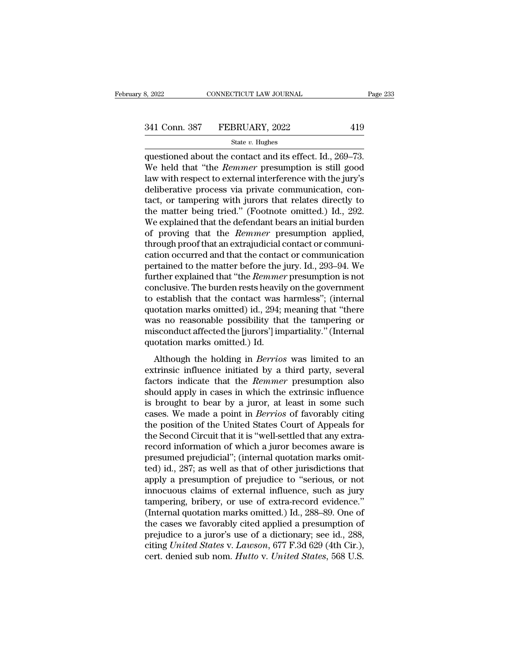# 332022 CONNECTICUT LAW JOURNAL Page 233<br>341 Conn. 387 FEBRUARY, 2022 419<br>344 State v. Hughes

### State *v.* Hughes

 $\begin{array}{cccc}\n & \text{341 Con.} & \text{387} & \text{FEBRUARY, 2022} & \text{419} \\
 & & \text{State } v. \text{ Hughes} & \text{Questioned about the contact and its effect. Id., } 269–73. \\
\text{We held that "the *Remember* presupption is still good law with respect to external interference with the jury's\n}\end{array}$ 341 Conn. 387 FEBRUARY, 2022 419<br>
State v. Hughes<br>
questioned about the contact and its effect. Id., 269–73.<br>
We held that "the *Remmer* presumption is still good<br>
law with respect to external interference with the jury's<br> 341 Conn. 387 FEBRUARY, 2022 419<br>
State v. Hughes<br>
questioned about the contact and its effect. Id., 269–73.<br>
We held that "the *Remmer* presumption is still good<br>
law with respect to external interference with the jury's 341 Conn. 387 FEBRUARY, 2022 419<br>
State v. Hughes<br>
questioned about the contact and its effect. Id., 269–73.<br>
We held that "the *Remmer* presumption is still good<br>
law with respect to external interference with the jury's State v. Hughes<br>
questioned about the contact and its effect. Id., 269–73.<br>
We held that "the *Remmer* presumption is still good<br>
law with respect to external interference with the jury's<br>
deliberative process via private state v. Hugnes<br>questioned about the contact and its effect. Id., 269–73.<br>We held that "the *Remmer* presumption is still good<br>law with respect to external interference with the jury's<br>deliberative process via private com questioned about the contact and its effect. Id., 269–73.<br>We held that "the *Remmer* presumption is still good<br>law with respect to external interference with the jury's<br>deliberative process via private communication, con-<br> We held that "the *Remmer* presumption is still good<br>law with respect to external interference with the jury's<br>deliberative process via private communication, con-<br>tact, or tampering with jurors that relates directly to<br>th law with respect to external interference with the jury's deliberative process via private communication, contact, or tampering with jurors that relates directly to the matter being tried." (Footnote omitted.) Id., 292. W deliberative process via private communication, con-<br>tact, or tampering with jurors that relates directly to<br>the matter being tried." (Footnote omitted.) Id., 292.<br>We explained that the defendant bears an initial burden<br>of tact, or tampering with jurors that relates directly to<br>the matter being tried." (Footnote omitted.) Id., 292.<br>We explained that the defendant bears an initial burden<br>of proving that the *Remmer* presumption applied,<br>throu the matter being tried." (Footnote omitted.) Id., 292.<br>We explained that the defendant bears an initial burden<br>of proving that the *Remmer* presumption applied,<br>through proof that an extrajudicial contact or communi-<br>catio We explained that the defendant bears an initial burden<br>of proving that the *Remmer* presumption applied,<br>through proof that an extrajudicial contact or communi-<br>cation occurred and that the contact or communication<br>perta of proving that the *Remmer* presumption applied,<br>through proof that an extrajudicial contact or communi-<br>cation occurred and that the contact or communication<br>pertained to the matter before the jury. Id., 293–94. We<br>furth through proof that an extrajudicial contact or communication<br>cation occurred and that the contact or communication<br>pertained to the matter before the jury. Id., 293–94. We<br>further explained that "the *Remmer* presumption i cation occurred and that the contact or communication<br>pertained to the matter before the jury. Id., 293–94. We<br>further explained that "the *Remmer* presumption is not<br>conclusive. The burden rests heavily on the government<br> pertained to the matter before the jury. Id., 293–94. We<br>further explained that "the *Remmer* presumption is not<br>conclusive. The burden rests heavily on the government<br>to establish that the contact was harmless"; (internal further explained that "the *Remmer*<br>conclusive. The burden rests heavily<br>to establish that the contact was l<br>quotation marks omitted) id., 294;<br>was no reasonable possibility tha<br>misconduct affected the [jurors'] im<br>quotat relative: The sumatricess heavily of the government<br>establish that the contact was harmless"; (internal<br>otation marks omitted) id., 294; meaning that "there<br>as no reasonable possibility that the tampering or<br>siconduct affe extrinsic influence initiate in the conduct was narrively in different distributed was no reasonable possibility that the tampering or misconduct affected the [jurors'] impartiality." (Internal quotation marks omitted.) I

quotation marks omitted) fai, 25 f, meaning and value was no reasonable possibility that the tampering or misconduct affected the [jurors'] impartiality." (Internal quotation marks omitted.) Id.<br>Although the holding in *Be* misconduct affected the [jurors'] impartiality." (Internal<br>quotation marks omitted.) Id.<br>Although the holding in *Berrios* was limited to an<br>extrinsic influence initiated by a third party, several<br>factors indicate that the miseonale directed are  $\mu$  and  $\mu$ ) Id.<br>
Although the holding in *Berrios* was limited to an<br>
extrinsic influence initiated by a third party, several<br>
factors indicate that the *Remmer* presumption also<br>
should apply in Although the holding in *Berrios* was limited to an extrinsic influence initiated by a third party, several factors indicate that the *Remmer* presumption also should apply in cases in which the extrinsic influence is brou Although the holding in *Berrios* was limited to an extrinsic influence initiated by a third party, several factors indicate that the *Remmer* presumption also should apply in cases in which the extrinsic influence is brou extrinsic influence initiated by a third party, several factors indicate that the *Remmer* presumption also should apply in cases in which the extrinsic influence is brought to bear by a juror, at least in some such cases. factors indicate that the *Remmer* presumption also<br>should apply in cases in which the extrinsic influence<br>is brought to bear by a juror, at least in some such<br>cases. We made a point in *Berrios* of favorably citing<br>the po should apply in cases in which the extrinsic influence<br>is brought to bear by a juror, at least in some such<br>cases. We made a point in *Berrios* of favorably citing<br>the position of the United States Court of Appeals for<br>the is brought to bear by a juror, at least in some such cases. We made a point in *Berrios* of favorably citing the position of the United States Court of Appeals for the Second Circuit that it is "well-settled that any extra cases. We made a point in *Berrios* of favorably citing<br>the position of the United States Court of Appeals for<br>the Second Circuit that it is "well-settled that any extra-<br>record information of which a juror becomes aware i the position of the United States Court of Appeals for<br>the Second Circuit that it is "well-settled that any extra-<br>record information of which a juror becomes aware is<br>presumed prejudicial"; (internal quotation marks omitthe Second Circuit that it is "well-settled that any extra-<br>record information of which a juror becomes aware is<br>presumed prejudicial"; (internal quotation marks omit-<br>ted) id., 287; as well as that of other jurisdictions record information of which a juror becomes aware is<br>presumed prejudicial"; (internal quotation marks omit-<br>ted) id., 287; as well as that of other jurisdictions that<br>apply a presumption of prejudice to "serious, or not<br>in presumed prejudicial"; (internal quotation marks omit-<br>ted) id., 287; as well as that of other jurisdictions that<br>apply a presumption of prejudice to "serious, or not<br>innocuous claims of external influence, such as jury<br>t ted) id., 287; as well as that of other jurisdictions that<br>apply a presumption of prejudice to "serious, or not<br>innocuous claims of external influence, such as jury<br>tampering, bribery, or use of extra-record evidence."<br>(In apply a presumption of prejudice to "serious, or not<br>innocuous claims of external influence, such as jury<br>tampering, bribery, or use of extra-record evidence."<br>(Internal quotation marks omitted.) Id., 288–89. One of<br>the ca innocuous claims of external influence, such as jury<br>tampering, bribery, or use of extra-record evidence."<br>(Internal quotation marks omitted.) Id., 288–89. One of<br>the cases we favorably cited applied a presumption of<br>preju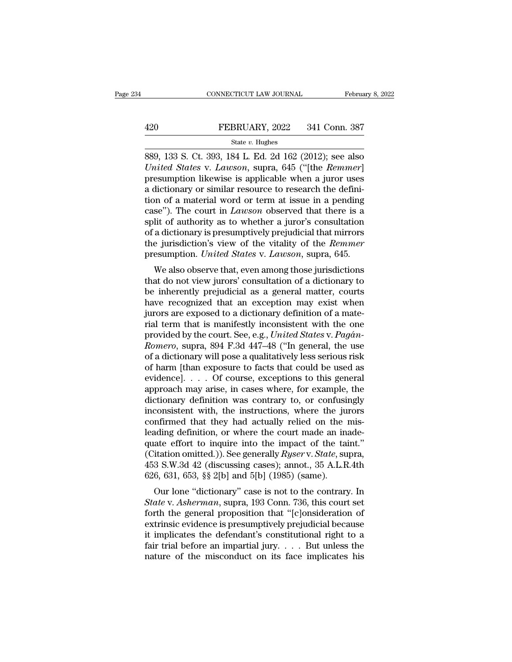# EXECUTE CONNECTICUT LAW JOURNAL February 8, 2022<br>420 FEBRUARY, 2022 341 Conn. 387<br>5tate v. Hughes

### State *v.* Hughes

CONNECTICUT LAW JOURNAL February 8, 2022<br>
420 FEBRUARY, 2022 341 Conn. 387<br>
<sup>889</sup>, 133 S. Ct. 393, 184 L. Ed. 2d 162 (2012); see also<br> *United States v. Lawson*, supra, 645 ("[the *Remmer*]<br>
prosumption likewise is applica *United States* v. *Lawson*, superior *State v. Hughes*<br>*State v. Hughes*<br>*United States* v. *Lawson*, supra, 645 ("[the *Remmer*]<br>presumption likewise is applicable when a juror uses<br>a dictionary or similar resource to re 420 FEBRUARY, 2022 341 Conn. 387<br>
State v. Hughes<br>
889, 133 S. Ct. 393, 184 L. Ed. 2d 162 (2012); see also<br>
United States v. Lawson, supra, 645 ("[the Remmer]<br>
presumption likewise is applicable when a juror uses<br>
a dicti 420 FEBRUARY, 2022 341 Conn. 387<br>
State v. Hughes<br>
889, 133 S. Ct. 393, 184 L. Ed. 2d 162 (2012); see also<br>
United States v. Lawson, supra, 645 ("[the Remmer]<br>
presumption likewise is applicable when a juror uses<br>
a dicti State v. Hughes<br>
State v. Hughes<br>
State v. Hughes<br>
United States v. Lawson, supra, 645 ("[the Remmer]<br>
presumption likewise is applicable when a juror uses<br>
a dictionary or similar resource to research the defini-<br>
tion o state v. Hughes<br>
889, 133 S. Ct. 393, 184 L. Ed. 2d 162 (2012); see also<br>
United States v. Lawson, supra, 645 ("[the *Remmer*]<br>
presumption likewise is applicable when a juror uses<br>
a dictionary or similar resource to rese 889, 133 S. Ct. 393, 184 L. Ed. 2d 162 (2012); see also *United States v. Lawson*, supra, 645 ("[the *Remmer*] presumption likewise is applicable when a juror uses a dictionary or similar resource to research the definiti United States v. Lawson, supra, 645 ("[the *Remmer*]<br>presumption likewise is applicable when a juror uses<br>a dictionary or similar resource to research the defini-<br>tion of a material word or term at issue in a pending<br>case" presumption likewise is applicable when a juror uses<br>a dictionary or similar resource to research the defini-<br>tion of a material word or term at issue in a pending<br>case"). The court in *Lawson* observed that there is a<br>spl a dictionary or similar resource to research the definition of a material word or term at issue in a pending case"). The court in *Lawson* observed that there is a split of authority as to whether a juror's consultation of Se"). The court in *Lawson* observed that there is a<br>lit of authority as to whether a juror's consultation<br>a dictionary is presumptively prejudicial that mirrors<br>e jurisdiction's view of the vitality of the *Remmer*<br>esumpt case *f*. The court in *Eauson* observed that there is a split of authority as to whether a juror's consultation of a dictionary is presumptively prejudicial that mirrors the jurisdiction's view of the vitality of the *Re* 

spin of authority as to whether a juror's consulation<br>of a dictionary is presumptively prejudicial that mirrors<br>the jurisdiction's view of the vitality of the *Remmer*<br>presumption. *United States v. Lawson*, supra, 645.<br>W or a dictionary is presumptively prejudictal that furtions<br>the jurisdiction's view of the vitality of the *Remmer*<br>presumption. *United States v. Lawson*, supra, 645.<br>We also observe that, even among those jurisdictions<br>th the jurisdiction's view of the vitality of the *Remmer*<br>presumption. *United States* v. *Lawson*, supra, 645.<br>We also observe that, even among those jurisdictions<br>that do not view jurors' consultation of a dictionary to<br>be Fresumption. *Ontied States v. Lawson*, supra, 045.<br>We also observe that, even among those jurisdictions<br>that do not view jurors' consultation of a dictionary to<br>be inherently prejudicial as a general matter, courts<br>have We also observe that, even among those jurisdictions<br>that do not view jurors' consultation of a dictionary to<br>be inherently prejudicial as a general matter, courts<br>have recognized that an exception may exist when<br>jurors ar that do not view jurors' consultation of a dictionary to<br>be inherently prejudicial as a general matter, courts<br>have recognized that an exception may exist when<br>jurors are exposed to a dictionary definition of a mate-<br>rial be inherently prejudicial as a general matter, courts<br>have recognized that an exception may exist when<br>jurors are exposed to a dictionary definition of a mate-<br>rial term that is manifestly inconsistent with the one<br>provide have recognized that an exception may exist when<br>jurors are exposed to a dictionary definition of a mate-<br>rial term that is manifestly inconsistent with the one<br>provided by the court. See, e.g., *United States v. Pagán-<br>R* jurors are exposed to a dictionary definition of a mate-<br>rial term that is manifestly inconsistent with the one<br>provided by the court. See, e.g., *United States* v. *Pagán-*<br>*Romero*, supra, 894 F.3d 447–48 ("In general, t rial term that is manifestly inconsistent with the one<br>provided by the court. See, e.g., *United States v. Pagán-<br>Romero*, supra, 894 F.3d 447–48 ("In general, the use<br>of a dictionary will pose a qualitatively less serious provided by the court. See, e.g., *United States v. Pagân-Romero*, supra, 894 F.3d 447–48 ("In general, the use of a dictionary will pose a qualitatively less serious risk of harm [than exposure to facts that could be used Romero, supra, 894 F.3d 447–48 ("In general, the use<br>of a dictionary will pose a qualitatively less serious risk<br>of harm [than exposure to facts that could be used as<br>evidence]. . . . Of course, exceptions to this general<br> of a dictionary will pose a qualitatively less serious risk<br>of harm [than exposure to facts that could be used as<br>evidence].  $\ldots$  Of course, exceptions to this general<br>approach may arise, in cases where, for example, the of harm [than exposure to facts that could be used as<br>evidence]. . . . Of course, exceptions to this general<br>approach may arise, in cases where, for example, the<br>dictionary definition was contrary to, or confusingly<br>incon evidence].  $\ldots$  Of course, exceptions to this general approach may arise, in cases where, for example, the dictionary definition was contrary to, or confusingly inconsistent with, the instructions, where the jurors confi approach may arise, in cases where, for example, the<br>dictionary definition was contrary to, or confusingly<br>inconsistent with, the instructions, where the jurors<br>confirmed that they had actually relied on the mis-<br>leading d dictionary definition was contrary to, or confusingly<br>inconsistent with, the instructions, where the jurors<br>confirmed that they had actually relied on the mis-<br>leading definition, or where the court made an inade-<br>quate ef inconsistent with, the instructions, where the ju<br>confirmed that they had actually relied on the leading definition, or where the court made an in-<br>quate effort to inquire into the impact of the tai<br>(Citation omitted.)). numed that they had actually refled on the ins-<br>ading definition, or where the court made an inade-<br>ate effort to inquire into the impact of the taint."<br>itation omitted.)). See generally *Ryser* v. *State*, supra,<br>3 S.W.3 reading definition, or where the court made an made-<br>quate effort to inquire into the impact of the taint."<br>(Citation omitted.)). See generally *Ryser* v. *State*, supra,<br>453 S.W.3d 42 (discussing cases); annot., 35 A.L.R.

quate enot to inquire into the impact of the tant.<br>
(Citation omitted.)). See generally *Ryser* v. *State*, supra,<br>
453 S.W.3d 42 (discussing cases); annot., 35 A.L.R.4th<br>
626, 631, 653, §§ 2[b] and 5[b] (1985) (same).<br>
O (Chanon omitted.)). See generally *rigser* v. State, supra,<br>453 S.W.3d 42 (discussing cases); annot., 35 A.L.R.4th<br>626, 631, 653, §§ 2[b] and 5[b] (1985) (same).<br>Our lone "dictionary" case is not to the contrary. In<br>*Stat* 455 5. w.5d 42 (uscussing cases), amod., 55 A.L.K.4th 626, 631, 653, §§ 2[b] and 5[b] (1985) (same).<br>Our lone "dictionary" case is not to the contrary. In<br>*State* v. Asherman, supra, 193 Conn. 736, this court set<br>forth th before, 051, 055, 88 2[b] and 5[b] (1565) (same).<br>Our lone "dictionary" case is not to the contrary. In<br>State v. Asherman, supra, 193 Conn. 736, this court set<br>forth the general proposition that "[c]onsideration of<br>extrin Our lone "dictionary" case is not to the contrary. In *State* v. *Asherman*, supra, 193 Conn. 736, this court set forth the general proposition that "[c]onsideration of extrinsic evidence is presumptively prejudicial beca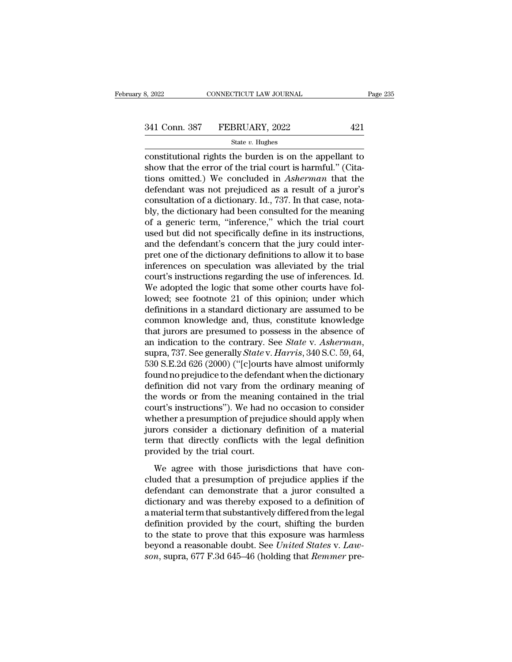# 341 Connecticut LAW JOURNAL Page 235<br>
341 Conn. 387 FEBRUARY, 2022 421<br>
State v. Hughes

### State *v.* Hughes

Example 235<br>
S. 2022 CONNECTICUT LAW JOURNAL Page 235<br>
State v. Hughes<br>
Constitutional rights the burden is on the appellant to<br>
show that the error of the trial court is harmful." (Cita-<br>
tions emitted ) We concluded in 341 Conn. 387 FEBRUARY, 2022 421<br>
State v. Hughes<br>
constitutional rights the burden is on the appellant to<br>
show that the error of the trial court is harmful.'' (Cita-<br>
tions omitted.) We concluded in *Asherman* that the<br> 341 Conn. 387 FEBRUARY, 2022 421<br>
State v. Hughes<br>
constitutional rights the burden is on the appellant to<br>
show that the error of the trial court is harmful." (Cita-<br>
tions omitted.) We concluded in *Asherman* that the<br> 341 Conn. 387 FEBRUARY, 2022 421<br>
State v. Hughes<br>
constitutional rights the burden is on the appellant to<br>
show that the error of the trial court is harmful." (Cita-<br>
tions omitted.) We concluded in Asherman that the<br>
de State v. Hughes<br>
constitutional rights the burden is on the appellant to<br>
show that the error of the trial court is harmful." (Cita-<br>
tions omitted.) We concluded in *Asherman* that the<br>
defendant was not prejudiced as a state v. Hughes<br>
constitutional rights the burden is on the appellant to<br>
show that the error of the trial court is harmful." (Cita-<br>
tions omitted.) We concluded in *Asherman* that the<br>
defendant was not prejudiced as a constitutional rights the burden is on the appellant to<br>show that the error of the trial court is harmful." (Cita-<br>tions omitted.) We concluded in Asherman that the<br>defendant was not prejudiced as a result of a juror's<br>con show that the error of the trial court is harmful." (Citations omitted.) We concluded in *Asherman* that the defendant was not prejudiced as a result of a juror's consultation of a dictionary. Id., 737. In that case, notab tions omitted.) We concluded in *Asherman* that the defendant was not prejudiced as a result of a juror's consultation of a dictionary. Id., 737. In that case, notably, the dictionary had been consulted for the meaning of defendant was not prejudiced as a result of a juror's<br>consultation of a dictionary. Id., 737. In that case, nota-<br>bly, the dictionary had been consulted for the meaning<br>of a generic term, "inference," which the trial court consultation of a dictionary. Id., 737. In that case, nota-<br>bly, the dictionary had been consulted for the meaning<br>of a generic term, "inference," which the trial court<br>used but did not specifically define in its instructi bly, the dictionary had been consulted for the meaning<br>of a generic term, "inference," which the trial court<br>used but did not specifically define in its instructions,<br>and the defendant's concern that the jury could inter-<br> of a generic term, "inference," which the trial court<br>used but did not specifically define in its instructions,<br>and the defendant's concern that the jury could inter-<br>pret one of the dictionary definitions to allow it to b used but did not specifically define in its instructions,<br>and the defendant's concern that the jury could inter-<br>pret one of the dictionary definitions to allow it to base<br>inferences on speculation was alleviated by the tr and the defendant's concern that the jury could interpret one of the dictionary definitions to allow it to base<br>inferences on speculation was alleviated by the trial<br>court's instructions regarding the use of inferences. Id pret one of the dictionary definitions to allow it to base<br>inferences on speculation was alleviated by the trial<br>court's instructions regarding the use of inferences. Id.<br>We adopted the logic that some other courts have fo inferences on speculation was alleviated by the trial court's instructions regarding the use of inferences. Id.<br>We adopted the logic that some other courts have followed; see footnote 21 of this opinion; under which defin court's instructions regarding the use of inferences. Id.<br>We adopted the logic that some other courts have fol-<br>lowed; see footnote 21 of this opinion; under which<br>definitions in a standard dictionary are assumed to be<br>com lowed; see footnote 21 of this opinion; under which<br>definitions in a standard dictionary are assumed to be<br>common knowledge and, thus, constitute knowledge<br>that jurors are presumed to possess in the absence of<br>an indicatio definitions in a standard dictionary are assumed to be<br>common knowledge and, thus, constitute knowledge<br>that jurors are presumed to possess in the absence of<br>an indication to the contrary. See *State* v. Asherman,<br>supra, 7 common knowledge and, thus, constitute knowledge<br>that jurors are presumed to possess in the absence of<br>an indication to the contrary. See *State* v. *Asherman*,<br>supra, 737. See generally *State* v. *Harris*, 340 S.C. 59, 6 that jurors are presumed to possess in the absence of<br>an indication to the contrary. See *State* v. Asherman,<br>supra, 737. See generally *State* v. Harris, 340 S.C. 59, 64,<br>530 S.E.2d 626 (2000) ("[c]ourts have almost unifo an indication to the contrary. See *State* v. *Asherman*,<br>supra, 737. See generally *State* v. *Harris*, 340 S.C. 59, 64,<br>530 S.E.2d 626 (2000) ("[c]ourts have almost uniformly<br>found no prejudice to the defendant when the supra, 737. See generally *State* v. *Harris*, 340 S.C. 59, 64,<br>530 S.E.2d 626 (2000) ("[c]ourts have almost uniformly<br>found no prejudice to the defendant when the dictionary<br>definition did not vary from the ordinary meani 530 S.E.2d 626 (2000) ("[c]ourts have almost uniformly<br>found no prejudice to the defendant when the dictionary<br>definition did not vary from the ordinary meaning of<br>the words or from the meaning contained in the trial<br>cour found no prejudice to the defendant when the dictionary<br>definition did not vary from the ordinary meaning of<br>the words or from the meaning contained in the trial<br>court's instructions"). We had no occasion to consider<br>wheth definition did not vary from the<br>the words or from the meaning<br>court's instructions"). We had no<br>whether a presumption of prejud<br>jurors consider a dictionary de<br>term that directly conflicts wit<br>provided by the trial court. Figure 2.1 The main and the meaning contained in the diameter and the meaning of the meaning of the meaning of the meaning of the meaning the meaning of a material means consider a dictionary definition of a material mean courts marked that a presumption of prejudice should apply when<br>jurors consider a dictionary definition of a material<br>term that directly conflicts with the legal definition<br>provided by the trial court.<br>We agree with those

meaner a presumption of pregative should apply mich<br>jurors consider a dictionary definition of a material<br>term that directly conflicts with the legal definition<br>provided by the trial court.<br>We agree with those jurisdiction dictionary different contract the definition<br>term that directly conflicts with the legal definition<br>provided by the trial court.<br>We agree with those jurisdictions that have con-<br>cluded that a presumption of prejudice appli provided by the trial court.<br>We agree with those jurisdictions that have concluded that a presumption of prejudice applies if the<br>defendant can demonstrate that a juror consulted a<br>dictionary and was thereby exposed to a d We agree with those jurisdictions that have concluded that a presumption of prejudice applies if the defendant can demonstrate that a juror consulted a dictionary and was thereby exposed to a definition of a material term We agree with those jurisdictions that have concluded that a presumption of prejudice applies if the defendant can demonstrate that a juror consulted a dictionary and was thereby exposed to a definition of a material term cluded that a presumption of prejudice applies if the defendant can demonstrate that a juror consulted a dictionary and was thereby exposed to a definition of a material term that substantively differed from the legal defi defendant can demonstrate that a juror consulted a dictionary and was thereby exposed to a definition of a material term that substantively differed from the legal definition provided by the court, shifting the burden to t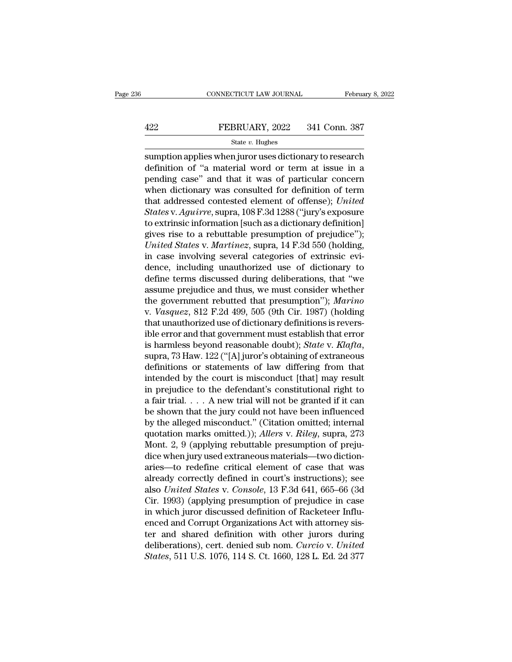# EXECUTE CONNECTICUT LAW JOURNAL February 8, 2022<br>422 FEBRUARY, 2022 341 Conn. 387<br>5tate v. Hughes

### State *v.* Hughes

 $\begin{tabular}{llllll} \multicolumn{2}{l}{{\small \textbf{COMPECTICUT LAW JOURNAL}} & \multicolumn{2}{l}{\small \textbf{February 8, 2022}}\\ \hline & & & & & & & & & & & \\ \multicolumn{2}{l}{\small \textbf{SEBRUARY, 2022} } & \multicolumn{2}{l}{341} & \multicolumn{2}{l}{\textbf{Conn. 387}}\\ & & & & & & & & \\ \multicolumn{2}{l}{\small \textbf{State $v$}} & \textbf{Hughes} & & & & \\ \multicolumn{2}{l}{\small \textbf{sumption applies when juro uses dictionary to research} } & \multicolumn{2}{l$ FEBRUARY, 2022 341 Conn. 387<br>
State v. Hughes<br>
Sumption applies when juror uses dictionary to research<br>
definition of "a material word or term at issue in a<br>
pending case" and that it was of particular concern<br>
when dictio FEBRUARY, 2022 341 Conn. 387<br>
State v. Hughes<br>
sumption applies when juror uses dictionary to research<br>
definition of "a material word or term at issue in a<br>
pending case" and that it was of particular concern<br>
when dicti FEBRUARY, 2022 341 Conn. 387<br>
State v. Hughes<br>
Sumption applies when juror uses dictionary to research<br>
definition of "a material word or term at issue in a<br>
pending case" and that it was of particular concern<br>
when dicti State *v*. Hughes<br>
sumption applies when juror uses dictionary to research<br>
definition of "a material word or term at issue in a<br>
pending case" and that it was of particular concern<br>
when dictionary was consulted for defin **State v. Fights**<br> **Sumption applies when juror uses dictionary to research**<br>
definition of "a material word or term at issue in a<br>
pending case" and that it was of particular concern<br>
when dictionary was consulted for def sumption applies when juror uses dictionary to research<br>definition of "a material word or term at issue in a<br>pending case" and that it was of particular concern<br>when dictionary was consulted for definition of term<br>that add definition of "a material word or term at issue in a<br>pending case" and that it was of particular concern<br>when dictionary was consulted for definition of term<br>that addressed contested element of offense); *United*<br>*States* pending case" and that it was of particular concern<br>when dictionary was consulted for definition of term<br>that addressed contested element of offense); *United*<br>*States* v. *Aguirre*, supra, 108 F.3d 1288 ("jury's exposure<br> when dictionary was consulted for definition of term<br>that addressed contested element of offense); *United*<br>States v. Aguirre, supra, 108 F.3d 1288 ("jury's exposure<br>to extrinsic information [such as a dictionary definitio that addressed contested element of offense); *United*<br>*States* v. Aguirre, supra, 108 F.3d 1288 ("jury's exposure<br>to extrinsic information [such as a dictionary definition]<br>gives rise to a rebuttable presumption of prejud States v. Aguirre, supra, 108 F.3d 1288 ("jury's exposure<br>to extrinsic information [such as a dictionary definition]<br>gives rise to a rebuttable presumption of prejudice");<br>United States v. Martinez, supra, 14 F.3d 550 (ho to extrinsic information [such as a dictionary definition]<br>gives rise to a rebuttable presumption of prejudice");<br>*United States v. Martinez*, supra, 14 F.3d 550 (holding,<br>in case involving several categories of extrinsic gives rise to a rebuttable presumption of prejudice");<br>
United States v. Martinez, supra, 14 F.3d 550 (holding,<br>
in case involving several categories of extrinsic evi-<br>
derine, including unauthorized use of dictionary to<br> United States v. *Martinez*, supra, 14 F.3d 550 (holding,<br>in case involving several categories of extrinsic evi-<br>dence, including unauthorized use of dictionary to<br>define terms discussed during deliberations, that "we<br>assu in case involving several categories of extrinsic evidence, including unauthorized use of dictionary to define terms discussed during deliberations, that "we assume prejudice and thus, we must consider whether the governm dence, including unauthorized use of dictionary to<br>define terms discussed during deliberations, that "we<br>assume prejudice and thus, we must consider whether<br>the government rebutted that presumption"); *Marino*<br>v. *Vasquez* define terms discussed during deliberations, that "we<br>assume prejudice and thus, we must consider whether<br>the government rebutted that presumption"); *Marino*<br>v. *Vasquez*, 812 F.2d 499, 505 (9th Cir. 1987) (holding<br>that u the government rebutted that presumption"); *Marino*<br>v. *Vasquez*, 812 F.2d 499, 505 (9th Cir. 1987) (holding<br>that unauthorized use of dictionary definitions is revers-<br>ible error and that government must establish that er v. *Vasquez*, 812 F.2d 499, 505 (9th Cir. 1987) (holding<br>that unauthorized use of dictionary definitions is revers-<br>ible error and that government must establish that error<br>is harmless beyond reasonable doubt); *State* v. that unauthorized use of dictionary definitions is revers-<br>ible error and that government must establish that error<br>is harmless beyond reasonable doubt); *State* v. *Klafta*,<br>supra, 73 Haw. 122 ("[A] juror's obtaining of ible error and that government must establish that error<br>is harmless beyond reasonable doubt); *State* v. *Klafta*,<br>supra, 73 Haw. 122 ("[A] juror's obtaining of extraneous<br>definitions or statements of law differing from is harmless beyond reasonable doubt); *State v. Klafta*,<br>supra, 73 Haw. 122 ("[A] juror's obtaining of extraneous<br>definitions or statements of law differing from that<br>intended by the court is misconduct [that] may result<br> supra, 73 Haw. 122 ("[A] juror's obtaining of extraneous<br>definitions or statements of law differing from that<br>intended by the court is misconduct [that] may result<br>in prejudice to the defendant's constitutional right to<br>a definitions or statements of law differing from that<br>intended by the court is misconduct [that] may result<br>in prejudice to the defendant's constitutional right to<br>a fair trial.... A new trial will not be granted if it can<br> intended by the court is misconduct [that] may result<br>in prejudice to the defendant's constitutional right to<br>a fair trial.... A new trial will not be granted if it can<br>be shown that the jury could not have been influence in prejudice to the defendant's constitutional right to<br>a fair trial. . . . A new trial will not be granted if it can<br>be shown that the jury could not have been influenced<br>by the alleged misconduct." (Citation omitted; in a fair trial. . . . A new trial will not be granted if it can<br>be shown that the jury could not have been influenced<br>by the alleged misconduct." (Citation omitted; internal<br>quotation marks omitted.)); Allers v. Riley, supr be shown that the jury could not have been influenced<br>by the alleged misconduct." (Citation omitted; internal<br>quotation marks omitted.)); *Allers* v. *Riley*, supra, 273<br>Mont. 2, 9 (applying rebuttable presumption of preju by the alleged misconduct." (Citation omitted; internal<br>quotation marks omitted.)); *Allers* v. *Riley*, supra, 273<br>Mont. 2, 9 (applying rebuttable presumption of preju-<br>dice when jury used extraneous materials—two diction quotation marks omitted.)); *Allers* v. *Riley*, supra, 273<br>Mont. 2, 9 (applying rebuttable presumption of preju-<br>dice when jury used extraneous materials—two diction-<br>aries—to redefine critical element of case that was<br>al Mont. 2, 9 (applying rebuttable presumption of prejudice when jury used extraneous materials—two dictionaries—to redefine critical element of case that was already correctly defined in court's instructions); see also *Unit* dice when jury used extraneous materials—two dictionaries—to redefine critical element of case that was already correctly defined in court's instructions); see also *United States* v. *Console*, 13 F.3d 641, 665–66 (3d Cir aries—to redefine critical element of case that was<br>already correctly defined in court's instructions); see<br>also *United States* v. *Console*, 13 F.3d 641, 665–66 (3d<br>Cir. 1993) (applying presumption of prejudice in case<br>i already correctly defined in court's instructions); see<br>also *United States* v. *Console*, 13 F.3d 641, 665–66 (3d<br>Cir. 1993) (applying presumption of prejudice in case<br>in which juror discussed definition of Racketeer Infl also United States v. Console, 13 F.3d 641, 665–66 (3d<br>Cir. 1993) (applying presumption of prejudice in case<br>in which juror discussed definition of Racketeer Influ-<br>enced and Corrupt Organizations Act with attorney sis-<br>te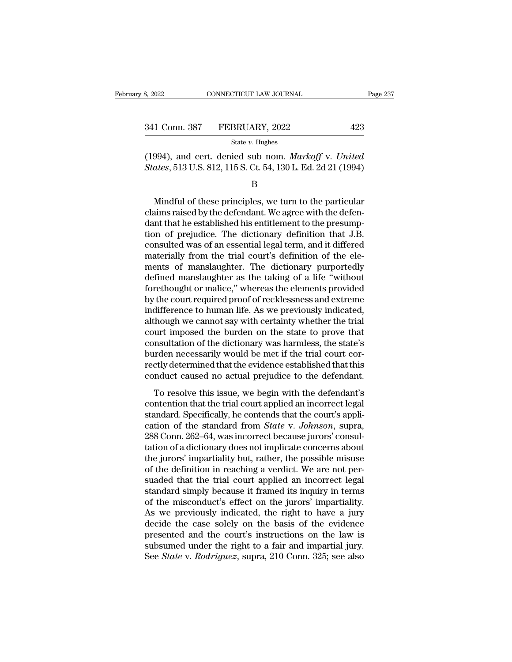(1994), and cert. denied sub nom. *Markoff* v. *United*<br>States, 513 U.S. 812, 115 S. Ct. 54, 130 L. Ed. 2d 21 (1994) **State 8** State 8 States, 513 U.S. 812, 115 S. Ct. 54, 130 L. Ed. 2d 21 (1994)<br>B

B

State v. Hughes<br>
994), and cert. denied sub nom. *Markoff* v. *United*<br> *ates*, 513 U.S. 812, 115 S. Ct. 54, 130 L. Ed. 2d 21 (1994)<br>
B<br>
Mindful of these principles, we turn to the particular<br>
aims raised by the defendant State *i*. Inglishong and cert. denied sub nom. *Markoff* v. *United* States, 513 U.S. 812, 115 S. Ct. 54, 130 L. Ed. 2d 21 (1994)<br>B<br>Mindful of these principles, we turn to the particular<br>claims raised by the defendant. (1994), and cert. denied sub nom. *Markoff v. United*<br> *States*, 513 U.S. 812, 115 S. Ct. 54, 130 L. Ed. 2d 21 (1994)<br>  $B$ <br> *Mindful of these principles, we turn to the particular*<br>
claims raised by the defendant. We agre States, 513 U.S. 812, 115 S. Ct. 54, 130 L. Ed. 2d 21 (1994)<br>B<br>B<br>Mindful of these principles, we turn to the particular<br>claims raised by the defendant. We agree with the defen-<br>dant that he established his entitlement to t B<br>
Mindful of these principles, we turn to the particular<br>
claims raised by the defendant. We agree with the defen-<br>
dant that he established his entitlement to the presump-<br>
tion of prejudice. The dictionary definition th Mindful of these principles, we turn to the particular<br>claims raised by the defendant. We agree with the defen-<br>dant that he established his entitlement to the presump-<br>tion of prejudice. The dictionary definition that J.B Mindful of these principles, we turn to the particular<br>claims raised by the defendant. We agree with the defen-<br>dant that he established his entitlement to the presump-<br>tion of prejudice. The dictionary definition that J.B claims raised by the defendant. We agree with the defendant that he established his entitlement to the presumption of prejudice. The dictionary definition that J.B. consulted was of an essential legal term, and it differed dant that he established his entitlement to the presumption of prejudice. The dictionary definition that J.B.<br>consulted was of an essential legal term, and it differed<br>materially from the trial court's definition of the el tion of prejudice. The dictionary definition that J.B.<br>consulted was of an essential legal term, and it differed<br>materially from the trial court's definition of the ele-<br>ments of manslaughter. The dictionary purportedly<br>de consulted was of an essential legal term, and it differed<br>materially from the trial court's definition of the ele-<br>ments of manslaughter. The dictionary purportedly<br>defined manslaughter as the taking of a life "without<br>for materially from the trial court's definition of the elements of manslaughter. The dictionary purportedly defined manslaughter as the taking of a life "without forethought or malice," whereas the elements provided by the co ments of manslaughter. The dictionary purportedly<br>defined manslaughter as the taking of a life "without<br>forethought or malice," whereas the elements provided<br>by the court required proof of recklessness and extreme<br>indiffer defined manslaughter as the taking of a life "without<br>forethought or malice," whereas the elements provided<br>by the court required proof of recklessness and extreme<br>indifference to human life. As we previously indicated,<br>al forethought or malice," whereas the elements provided<br>by the court required proof of recklessness and extreme<br>indifference to human life. As we previously indicated,<br>although we cannot say with certainty whether the trial<br> by the court required proof of recklessness and extreme<br>indifference to human life. As we previously indicated,<br>although we cannot say with certainty whether the trial<br>court imposed the burden on the state to prove that<br>co indifference to human life. As we previously indicated,<br>although we cannot say with certainty whether the trial<br>court imposed the burden on the state to prove that<br>consultation of the dictionary was harmless, the state's<br>b In the state of the burden on the state to prove that<br>nurt imposed the burden on the state to prove that<br>nsultation of the dictionary was harmless, the state's<br>rden necessarily would be met if the trial court cor-<br>ctly det consultation of the dictionary was harmless, the state's<br>burden necessarily would be met if the trial court cor-<br>rectly determined that the evidence established that this<br>conduct caused no actual prejudice to the defendant

standard of the dictionary was narritess, the state is<br>burden necessarily would be met if the trial court cor-<br>rectly determined that the evidence established that this<br>conduct caused no actual prejudice to the defendant. Example of the standard from *State Composition*<br>rectly determined that the evidence established that this<br>conduct caused no actual prejudice to the defendant.<br>To resolve this issue, we begin with the defendant's<br>contentio coally determined and the evidence established that ans conduct caused no actual prejudice to the defendant's contention that the trial court applied an incorrect legal standard. Specifically, he contends that the court's To resolve this issue, we begin with the defendant's<br>contention that the trial court applied an incorrect legal<br>standard. Specifically, he contends that the court's appli-<br>cation of the standard from *State* v. Johnson, s To resolve this issue, we begin with the defendant's<br>contention that the trial court applied an incorrect legal<br>standard. Specifically, he contends that the court's appli-<br>cation of the standard from *State* v. Johnson, su contention that the trial court applied an incorrect legal<br>standard. Specifically, he contends that the court's appli-<br>cation of the standard from *State* v. Johnson, supra,<br>288 Conn. 262–64, was incorrect because jurors' standard. Specifically, he contends that the court's application of the standard from *State* v. *Johnson*, supra, 288 Conn. 262–64, was incorrect because jurors' consultation of a dictionary does not implicate concerns ab cation of the standard from *State* v. *Johnson*, supra, 288 Conn. 262–64, was incorrect because jurors' consultation of a dictionary does not implicate concerns about the jurors' impartiality but, rather, the possible mi 288 Conn. 262–64, was incorrect because jurors' consultation of a dictionary does not implicate concerns about<br>the jurors' impartiality but, rather, the possible misuse<br>of the definition in reaching a verdict. We are not p tation of a dictionary does not implicate concerns about<br>the jurors' impartiality but, rather, the possible misuse<br>of the definition in reaching a verdict. We are not per-<br>suaded that the trial court applied an incorrect l the jurors' impartiality but, rather, the possible misuse<br>of the definition in reaching a verdict. We are not per-<br>suaded that the trial court applied an incorrect legal<br>standard simply because it framed its inquiry in ter of the definition in reaching a verdict. We are not per-<br>suaded that the trial court applied an incorrect legal<br>standard simply because it framed its inquiry in terms<br>of the misconduct's effect on the jurors' impartiality. suaded that the trial court applied an incorrect legal<br>standard simply because it framed its inquiry in terms<br>of the misconduct's effect on the jurors' impartiality.<br>As we previously indicated, the right to have a jury<br>dec standard simply because it framed its inquiry in terms<br>of the misconduct's effect on the jurors' impartiality.<br>As we previously indicated, the right to have a jury<br>decide the case solely on the basis of the evidence<br>presen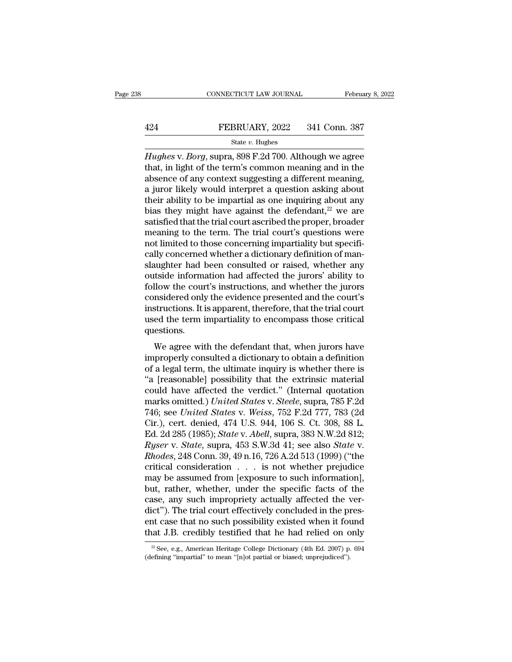# EXECUTE CONNECTICUT LAW JOURNAL February 8, 2022<br>424 FEBRUARY, 2022 341 Conn. 387<br>5tate v. Hughes

### State *v.* Hughes

CONNECTICUT LAW JOURNAL February 8, 2022<br> **Hughes** v. *Borg*, supra, 898 F.2d 700. Although we agree<br>
that, in light of the term's common meaning and in the<br>
absonce of any context suggesting a different meaning FEBRUARY, 2022 341 Conn. 387<br>
State v. Hughes<br>
Hughes v. Borg, supra, 898 F.2d 700. Although we agree<br>
that, in light of the term's common meaning and in the<br>
absence of any context suggesting a different meaning,<br>
a juror 424 FEBRUARY, 2022 341 Conn. 387<br>
State v. Hughes<br>
Hughes v. Borg, supra, 898 F.2d 700. Although we agree<br>
that, in light of the term's common meaning and in the<br>
absence of any context suggesting a different meaning,<br>
a FEBRUARY, 2022 341 Conn. 387<br>
State v. Hughes<br>
Hughes v. Borg, supra, 898 F.2d 700. Although we agree<br>
that, in light of the term's common meaning and in the<br>
absence of any context suggesting a different meaning,<br>
a juro their ability to be impartial as one inquiring about any state v. Hughes<br> *Hughes* v. *Borg*, supra, 898 F.2d 700. Although we agree<br>
that, in light of the term's common meaning and in the<br>
absence of any context suggesting a different meaning,<br>
a juror likely would interpret a Hughes v. Borg, supra, 898 F.2d 700. Although we agree<br>that, in light of the term's common meaning and in the<br>absence of any context suggesting a different meaning,<br>a juror likely would interpret a question asking about<br>t that, in light of the term's common meaning and in the<br>absence of any context suggesting a different meaning,<br>a juror likely would interpret a question asking about<br>their ability to be impartial as one inquiring about any<br> absence of any context suggesting a different meaning,<br>a juror likely would interpret a question asking about<br>their ability to be impartial as one inquiring about any<br>bias they might have against the defendant,<sup>22</sup> we are a juror likely would interpret a question asking about<br>their ability to be impartial as one inquiring about any<br>bias they might have against the defendant,<sup>22</sup> we are<br>satisfied that the trial court ascribed the proper, bro their ability to be impartial as one inquiring about any<br>bias they might have against the defendant,<sup>22</sup> we are<br>satisfied that the trial court ascribed the proper, broader<br>meaning to the term. The trial court's questions w bias they might have against the defendant,<sup>22</sup> we are satisfied that the trial court ascribed the proper, broader meaning to the term. The trial court's questions were not limited to those concerning impartiality but spe satisfied that the trial court ascribed the proper, broader<br>meaning to the term. The trial court's questions were<br>not limited to those concerning impartiality but specifi-<br>cally concerned whether a dictionary definition of meaning to the term. The trial court's questions were<br>not limited to those concerning impartiality but specifi-<br>cally concerned whether a dictionary definition of man-<br>slaughter had been consulted or raised, whether any<br>ou not limited to those concerning impartiality but specifically concerned whether a dictionary definition of man-<br>slaughter had been consulted or raised, whether any<br>outside information had affected the jurors' ability to<br>fo cally concerned whether a dictionary definition of man-<br>slaughter had been consulted or raised, whether any<br>outside information had affected the jurors' ability to<br>follow the court's instructions, and whether the jurors<br>co questions. How the court's instructions, and whether the jurors<br>msidered only the evidence presented and the court's<br>structions. It is apparent, therefore, that the trial court<br>ed the term impartiality to encompass those critical<br>est Follow the courts instructions, and whencer the jurors<br>considered only the evidence presented and the court's<br>instructions. It is apparent, therefore, that the trial court<br>used the term impartiality to encompass those crit

instructions. It is apparent, therefore, that the trial court<br>used the term impartiality to encompass those critical<br>questions.<br>We agree with the defendant that, when jurors have<br>improperly consulted a dictionary to obtain the term impartiality to encompass those critical<br>
questions.<br>
We agree with the defendant that, when jurors have<br>
improperly consulted a dictionary to obtain a definition<br>
of a legal term, the ultimate inquiry is whether questions.<br>
We agree with the defendant that, when jurors have<br>
improperly consulted a dictionary to obtain a definition<br>
of a legal term, the ultimate inquiry is whether there is<br>
"a [reasonable] possibility that the extr We agree with the defendant that, when jurors have<br>improperly consulted a dictionary to obtain a definition<br>of a legal term, the ultimate inquiry is whether there is<br>"a [reasonable] possibility that the extrinsic material<br> We agree with the defendant that, when jurors have<br>improperly consulted a dictionary to obtain a definition<br>of a legal term, the ultimate inquiry is whether there is<br>"a [reasonable] possibility that the extrinsic material<br> improperly consulted a dictionary to obtain a definition<br>of a legal term, the ultimate inquiry is whether there is<br>"a [reasonable] possibility that the extrinsic material<br>could have affected the verdict." (Internal quotati of a legal term, the ultimate inquiry is whether there is<br>
"a [reasonable] possibility that the extrinsic material<br>
could have affected the verdict." (Internal quotation<br>
marks omitted.) *United States* v. *Steele*, supra, "a [reasonable] possibility that the extrinsic material<br>could have affected the verdict." (Internal quotation<br>marks omitted.) *United States* v. *Steele*, supra, 785 F.2d<br>746; see *United States* v. *Weiss*, 752 F.2d 777, could have affected the verdict." (Internal quotation<br>marks omitted.) *United States* v. *Steele*, supra, 785 F.2d<br>746; see *United States* v. *Weiss*, 752 F.2d 777, 783 (2d<br>Cir.), cert. denied, 474 U.S. 944, 106 S. Ct. 30 marks omitted.) *United States v. Steele*, supra, 785 F.2d<br>746; see *United States v. Weiss*, 752 F.2d 777, 783 (2d<br>Cir.), cert. denied, 474 U.S. 944, 106 S. Ct. 308, 88 L.<br>Ed. 2d 285 (1985); *State v. Abell*, supra, 383 N 746; see *United States v. Weiss*, 752 F.2d 777, 783 (2d Cir.), cert. denied, 474 U.S. 944, 106 S. Ct. 308, 88 L.<br>Ed. 2d 285 (1985); *State v. Abell*, supra, 383 N.W.2d 812; *Ryser v. State*, supra, 453 S.W.3d 41; see als Cir.), cert. denied, 474 U.S. 944, 106 S. Ct. 308, 88 L.<br>Ed. 2d 285 (1985); *State* v. *Abell*, supra, 383 N.W.2d 812;<br>*Ryser* v. *State*, supra, 453 S.W.3d 41; see also *State* v.<br>*Rhodes*, 248 Conn. 39, 49 n.16, 726 A.2d Ed. 2d 285 (1985); *State* v. *Abell*, supra, 383 N.W.2d 812;<br>*Ryser* v. *State*, supra, 453 S.W.3d 41; see also *State* v.<br>*Rhodes*, 248 Conn. 39, 49 n.16, 726 A.2d 513 (1999) ("the<br>critical consideration . . . is not whe Ryser v. State, supra, 453 S.W.3d 41; see also State v.<br>
Rhodes, 248 Conn. 39, 49 n.16, 726 A.2d 513 (1999) ("the<br>
critical consideration  $\ldots$  is not whether prejudice<br>
may be assumed from [exposure to such information], Rhodes, 248 Conn. 39, 49 n.16, 726 A.2d 513 (1999) ("the critical consideration  $\ldots$  is not whether prejudice may be assumed from [exposure to such information], but, rather, whether, under the specific facts of the case critical consideration . . . is not whether prejudice<br>may be assumed from [exposure to such information],<br>but, rather, whether, under the specific facts of the<br>case, any such impropriety actually affected the ver-<br>dict"). case, any such impropriety actually affected the verdict"). The trial court effectively concluded in the present case that no such possibility existed when it found that J.B. credibly testified that he had relied on only that J.B. credibly testified that he had relied on only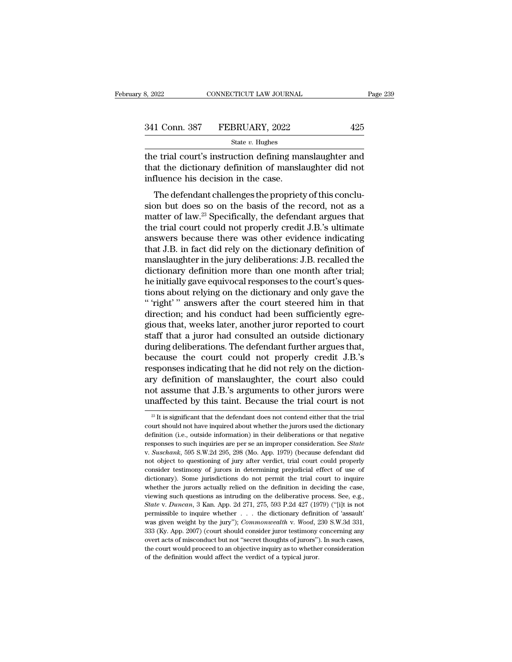| 3, 2022       | CONNECTICUT LAW JOURNAL | Page 239 |  |
|---------------|-------------------------|----------|--|
|               |                         |          |  |
| 341 Conn. 387 | FEBRUARY, 2022          | 425      |  |
|               | State $v$ . Hughes      |          |  |

 $t_{\text{R}}$ ,  $t_{\text{R}}$  and  $t_{\text{R}}$  connectricut the solution of manslaughter and<br>
the trial court's instruction defining manslaughter and<br>
that the dictionary definition of manslaughter did not<br>
influence bis docision in 341 Conn. 387 FEBRUARY, 2022 425<br>
state v. Hughes<br>
the trial court's instruction defining manslaughter and<br>
that the dictionary definition of manslaughter did not<br>
influence his decision in the case. 341 Conn. 387 FEBRUARY, 2022<br>  $\frac{\text{State } v. \text{ Hughes}}{\text{the trial court's instruction defining ma}}$ <br>
the trial court's instruction defining ma<br>
that the dictionary definition of mansla<br>
influence his decision in the case.<br>
The defendant challenges the propriet. The defendant challenges the propriety of this conclusion of the defendant challenges the propriety of this conclu-<br>The defendant challenges the propriety of this conclu-<br>The defendant challenges the propriety of this con

State v. Hughes<br>the trial court's instruction defining manslaughter and<br>that the dictionary definition of manslaughter did not<br>influence his decision in the case.<br>The defendant challenges the propriety of this conclu-<br>sio the trial court's instruction defining manslaughter and<br>that the dictionary definition of manslaughter did not<br>influence his decision in the case.<br>The defendant challenges the propriety of this conclu-<br>sion but does so on the trial court's instruction definiting manisial dignoted that the dictionary definition of manislaughter did not<br>influence his decision in the case.<br>The defendant challenges the propriety of this conclu-<br>sion but does so influence his decision in the case.<br>The defendant challenges the propriety of this conclusion but does so on the basis of the record, not as a<br>matter of law.<sup>23</sup> Specifically, the defendant argues that<br>the trial court coul The defendant challenges the propriety of this conclusion but does so on the basis of the record, not as a matter of law.<sup>23</sup> Specifically, the defendant argues that the trial court could not properly credit J.B.'s ultimat The defendant challenges the propriety of this conclusion but does so on the basis of the record, not as a matter of law.<sup>23</sup> Specifically, the defendant argues that the trial court could not properly credit J.B.'s ultimat sion but does so on the basis of the record, not as a<br>matter of law.<sup>23</sup> Specifically, the defendant argues that<br>the trial court could not properly credit J.B.'s ultimate<br>answers because there was other evidence indicating matter of law.<sup>23</sup> Specifically, the defendant argues that<br>the trial court could not properly credit J.B.'s ultimate<br>answers because there was other evidence indicating<br>that J.B. in fact did rely on the dictionary definiti the trial court could not properly credit J.B.'s ultimate<br>answers because there was other evidence indicating<br>that J.B. in fact did rely on the dictionary definition of<br>manslaughter in the jury deliberations: J.B. recalled answers because there was other evidence indicating<br>
that J.B. in fact did rely on the dictionary definition of<br>
manslaughter in the jury deliberations: J.B. recalled the<br>
dictionary definition more than one month after tr that J.B. in fact did rely on the dictionary definition of manslaughter in the jury deliberations: J.B. recalled the dictionary definition more than one month after trial; he initially gave equivocal responses to the court manslaughter in the jury deliberations: J.B. recalled the<br>dictionary definition more than one month after trial;<br>he initially gave equivocal responses to the court's ques-<br>tions about relying on the dictionary and only gav dictionary definition more than one month after trial;<br>he initially gave equivocal responses to the court's ques-<br>tions about relying on the dictionary and only gave the<br>"right" answers after the court steered him in that<br> he initially gave equivocal responses to the court's questions about relying on the dictionary and only gave the<br>"'right'" answers after the court steered him in that<br>direction; and his conduct had been sufficiently egre-<br> tions about relying on the dictionary and only gave the<br>"'right'" answers after the court steered him in that<br>direction; and his conduct had been sufficiently egre-<br>gious that, weeks later, another juror reported to court<br> " 'right' " answers after the court steered him in that direction; and his conduct had been sufficiently egregious that, weeks later, another juror reported to court staff that a juror had consulted an outside dictionary direction; and his conduct had been sufficiently egregious that, weeks later, another juror reported to court<br>staff that a juror had consulted an outside dictionary<br>during deliberations. The defendant further argues that,<br> gious that, weeks later, another juror reported to court<br>staff that a juror had consulted an outside dictionary<br>during deliberations. The defendant further argues that,<br>because the court could not properly credit J.B.'s<br>re staff that a juror had consulted an outside dictionary<br>during deliberations. The defendant further argues that,<br>because the court could not properly credit J.B.'s<br>responses indicating that he did not rely on the diction-<br>a exponses indicating that he did not rely on the diction-<br>cy definition of manslaughter, the court also could<br>ot assume that J.B.'s arguments to other jurors were<br>naffected by this taint. Because the trial court is not<br> $\frac$ ary definition of manslaughter, the court also could<br>not assume that J.B.'s arguments to other jurors were<br>unaffected by this taint. Because the trial court is not<br> $\frac{1}{2}$  It is significant that the defendant does not c

not assume that J.B.'s arguments to other jurors were<br>unaffected by this taint. Because the trial court is not<br> $\frac{1}{e^{2i}}$  It is significant that the defendant does not contend either that the trial<br>court should not have responses to such inquiries to such a interest in a such that the trial court is not  $\frac{1}{2}$ . It is significant that the defendant does not contend either that the trial court should not have inquiried about whether the <sup>23</sup> It is significant that the defendant does not contend either that the trial court should not have inquired about whether the jurors used the dictionary definition (i.e., outside information) in their deliberations or court should not have inquired about whether the jurors used the dictionary definition (i.e., outside information) in their deliberations or that negative responses to such inquiries are per se an improper consideration. S definition (i.e., outside information) in their deliberations or that negative<br>responses to such inquiries are per se an improper consideration. See *State*<br>v. *Suschank*, 595 S.W.2d 295, 298 (Mo. App. 1979) (because defen responses to such inquiries are per se an improper consideration. See *State* v. *Suschank*, 595 S.W.2d 295, 298 (Mo. App. 1979) (because defendant did not object to questioning of jury after verdict, trial court could pr v. Suschank, 595 S.W.2d 295, 298 (Mo. App. 1979) (because defendant did not object to questioning of jury after verdict, trial court could properly consider testimony of jurors in determining prejudicial effect of use of d *State* v. *Duncan*, 3 Kan. App. 2d 271, 275, 593 P.2d 427 (1979) (''[i]t is not permissible to inquire whether the jurors attaily relied on the definition in deciding the case, viewing such questions as intruding on the d consider testimony of jurors in determining prejudicial effect of use of dictionary). Some jurisdictions do not permit the trial court to inquire whether the jurors actually relied on the definition in deciding the case, v dictionary). Some jurisdictions do not permit the trial court to inquire<br>whether the jurors actually relied on the definition in deciding the case,<br>viewing such questions as intruding on the deliberative process. See, e.g. whether the jurors actually relied on the definition in deciding the case, viewing such questions as intruding on the deliberative process. See, e.g., *State v. Duncan*, 3 Kan. App. 2d 271, 275, 593 P.2d 427 (1979) ("[i]t viewing such questions as intruding on the deliberative process. See, e.g., *State* v. *Duncan*, 3 Kan. App. 2d 271, 275, 593 P.2d 427 (1979) ("[i]t is not permissible to inquire whether . . . the dictionary definition of State v. Duncan, 3 Kan. App. 2d 271, 275, 593 P.2d 427 (1979) ("[i]t is not permissible to inquire whether  $\dots$  the dictionary definition of 'assault' was given weight by the jury"); *Commonwealth* v. *Wood*, 230 S.W.3d 3 permissible to inquire whether . . . the dictionary definition of 'assault'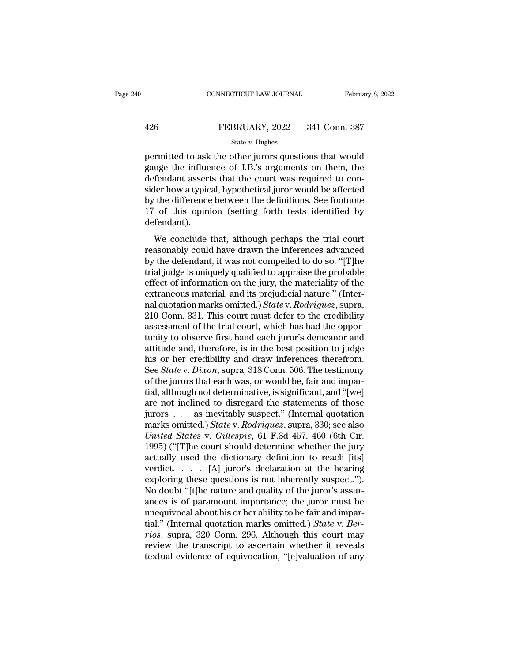### EXECUTE CONNECTICUT LAW JOURNAL February 8, 2022<br>426 FEBRUARY, 2022 341 Conn. 387<br>5tate v. Hughes State *v.* Hughes

FEBRUARY, 2022 341 Conn. 387<br>
FEBRUARY, 2022 341 Conn. 387<br>
State v. Hughes<br>
permitted to ask the other jurors questions that would<br>
gauge the influence of J.B.'s arguments on them, the<br>
defendent asserts that the court w FEBRUARY, 2022 341 Conn. 387<br>
State v. Hughes<br>
permitted to ask the other jurors questions that would<br>
gauge the influence of J.B.'s arguments on them, the<br>
defendant asserts that the court was required to con-<br>
sider how 426 FEBRUARY, 2022 341 Conn. 387<br>
State v. Hughes<br>
permitted to ask the other jurors questions that would<br>
gauge the influence of J.B.'s arguments on them, the<br>
defendant asserts that the court was required to con-<br>
sider FEBRUARY, 2022 341 Conn. 387<br>
State v. Hughes<br>
permitted to ask the other jurors questions that would<br>
gauge the influence of J.B.'s arguments on them, the<br>
defendant asserts that the court was required to con-<br>
sider how State *v*. Hughes<br>
permitted to ask the other jurors questions that would<br>
gauge the influence of J.B.'s arguments on them, the<br>
defendant asserts that the court was required to con-<br>
sider how a typical, hypothetical jur state  $v$ . Hughes<br>permitted to ask the other jurors questions that would<br>gauge the influence of J.B.'s arguments on them, the<br>defendant asserts that the court was required to con-<br>sider how a typical, hypothetical juror w defendant). Fendant asserts that the court was required to con-<br>der how a typical, hypothetical juror would be affected<br>the difference between the definitions. See footnote<br>of this opinion (setting forth tests identified by<br>fendant).<br> reconduint asserts that the court was required to controlled side in the side of the difference between the definitions. See footnote 17 of this opinion (setting forth tests identified by defendant).<br>We conclude that, alth

by the difference between the definitions. See footnote<br>by the difference between the definitions. See footnote<br>17 of this opinion (setting forth tests identified by<br>defendant).<br>We conclude that, although perhaps the trial by are difference between the definitions. See footnote<br>17 of this opinion (setting forth tests identified by<br>defendant).<br>We conclude that, although perhaps the trial court<br>reasonably could have drawn the inferences advan effendant).<br>We conclude that, although perhaps the trial court<br>reasonably could have drawn the inferences advanced<br>by the defendant, it was not compelled to do so. "[T]he<br>trial judge is uniquely qualified to appraise the We conclude that, although perhaps the trial court<br>reasonably could have drawn the inferences advanced<br>by the defendant, it was not compelled to do so. "[T]he<br>trial judge is uniquely qualified to appraise the probable<br>eff We conclude that, although perhaps the trial court<br>reasonably could have drawn the inferences advanced<br>by the defendant, it was not compelled to do so. "[T]he<br>trial judge is uniquely qualified to appraise the probable<br>effe reasonably could have drawn the inferences advanced<br>by the defendant, it was not compelled to do so. "[T]he<br>trial judge is uniquely qualified to appraise the probable<br>effect of information on the jury, the materiality of t by the defendant, it was not compelled to do so. "[T]he trial judge is uniquely qualified to appraise the probable effect of information on the jury, the materiality of the extraneous material, and its prejudicial nature." trial judge is uniquely qualified to appraise the probable<br>effect of information on the jury, the materiality of the<br>extraneous material, and its prejudicial nature." (Inter-<br>nal quotation marks omitted.) State v. Rodrigue effect of information on the jury, the materiality of the<br>extraneous material, and its prejudicial nature." (Inter-<br>nal quotation marks omitted.) *State* v. *Rodriguez*, supra,<br>210 Conn. 331. This court must defer to the c extraneous material, and its prejudicial nature." (Inter-<br>nal quotation marks omitted.) *State* v. *Rodriguez*, supra,<br>210 Conn. 331. This court must defer to the credibility<br>assessment of the trial court, which has had th nal quotation marks omitted.) *State* v. *Rodriguez*, supra,<br>210 Conn. 331. This court must defer to the credibility<br>assessment of the trial court, which has had the oppor-<br>tunity to observe first hand each juror's demeano 210 Conn. 331. This court must defer to the credibility assessment of the trial court, which has had the opportunity to observe first hand each juror's demeanor and attitude and, therefore, is in the best position to judg assessment of the trial court, which has had the opportunity to observe first hand each juror's demeanor and attitude and, therefore, is in the best position to judge his or her credibility and draw inferences therefrom.<br>S tunity to observe first hand each juror's demeanor and<br>attitude and, therefore, is in the best position to judge<br>his or her credibility and draw inferences therefrom.<br>See *State* v. *Dixon*, supra, 318 Conn. 506. The test attitude and, therefore, is in the best position to judge<br>his or her credibility and draw inferences therefrom.<br>See *State* v. *Dixon*, supra, 318 Conn. 506. The testimony<br>of the jurors that each was, or would be, fair and his or her credibility and draw inferences therefrom.<br>See *State* v. *Dixon*, supra, 318 Conn. 506. The testimony<br>of the jurors that each was, or would be, fair and impar-<br>tial, although not determinative, is significant, See *State* v. *Dixon*, supra, 318 Conn. 506. The testimony<br>of the jurors that each was, or would be, fair and impar-<br>tial, although not determinative, is significant, and "[we]<br>are not inclined to disregard the statements of the jurors that each was, or would be, fair and impartial, although not determinative, is significant, and "[we] are not inclined to disregard the statements of those jurors . . . as inevitably suspect." (Internal quota tial, although not determinative, is significant, and "[we]<br>are not inclined to disregard the statements of those<br>jurors . . . as inevitably suspect." (Internal quotation<br>marks omitted.) *State* v. *Rodriguez*, supra, 330 are not inclined to disregard the statements of those<br>jurors . . . as inevitably suspect." (Internal quotation<br>marks omitted.) *State* v. *Rodriguez*, supra, 330; see also<br>*United States* v. *Gillespie*, 61 F.3d 457, 460 jurors . . . as inevitably suspect." (Internal quotation<br>marks omitted.) *State* v. *Rodriguez*, supra, 330; see also<br>*United States* v. *Gillespie*, 61 F.3d 457, 460 (6th Cir.<br>1995) ("[T]he court should determine whether marks omitted.) State v. Rodriguez, supra, 330; see also United States v. Gillespie, 61 F.3d 457, 460 (6th Cir. 1995) ("[T]he court should determine whether the jury actually used the dictionary definition to reach [its] United States v. Gillespie, 61 F.3d 457, 460 (6th Cir.<br>1995) ("[T]he court should determine whether the jury<br>actually used the dictionary definition to reach [its]<br>verdict.....[A] juror's declaration at the hearing<br>explor 1995) ("[T]he court should determine whether the jury<br>actually used the dictionary definition to reach [its]<br>verdict.....[A] juror's declaration at the hearing<br>exploring these questions is not inherently suspect.").<br>No do actually used the dictionary definition to reach [its]<br>verdict..... [A] juror's declaration at the hearing<br>exploring these questions is not inherently suspect.").<br>No doubt "[t]he nature and quality of the juror sassur-<br>anc *readict.....* [A] juror's declaration at the hearing exploring these questions is not inherently suspect.").<br> *No doubt* "[t]he nature and quality of the juror's assurances is of paramount importance; the juror must be un exploring these questions is not inherently suspect.").<br>No doubt "[t]he nature and quality of the juror's assurances is of paramount importance; the juror must be<br>unequivocal about his or her ability to be fair and impar-<br> No doubt "[t]he nature and quality of the juror's assurances is of paramount importance; the juror must be unequivocal about his or her ability to be fair and impartial." (Internal quotation marks omitted.) *State v. Berri*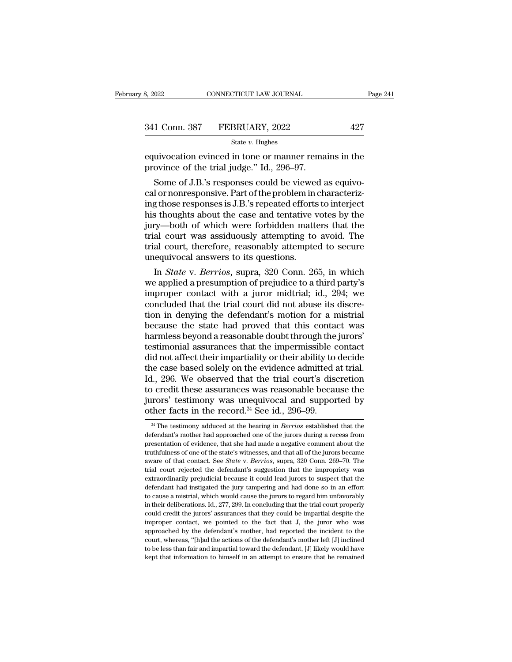| 3, 2022 | CONNECTICUT LAW JOURNAL      | Page 241 |  |
|---------|------------------------------|----------|--|
|         |                              |          |  |
|         | 341 Conn. 387 FEBRUARY, 2022 | 427      |  |
|         | State $v$ . Hughes           |          |  |

equivocation evinced in tone or manner remains in the province of the trial judge." Id., 296–97. 341 Conn. 387 FEBRUARY, 2022<br>
<sup>State v. Hughes</sup><br>
equivocation evinced in tone or manner rema<br>
province of the trial judge.'' Id., 296–97.<br>
Some of J.B.'s responses could be viewed a

1 Conn. 387 FEBRUARY, 2022 427<br>
State v. Hughes<br>
uivocation evinced in tone or manner remains in the<br>
ovince of the trial judge." Id., 296–97.<br>
Some of J.B.'s responses could be viewed as equivo-<br>
l or nonresponsive. Part 341 Conn. 387 FEBRUARY, 2022 427<br>  $\frac{341 \text{ Conn.} 387 \text{ FEBRUARY, } 2022}$  427<br>  $\frac{3427}{1000}$ <br>
Equivocation evinced in tone or manner remains in the<br>
province of the trial judge." Id., 296–97.<br>
Some of J.B.'s responses could b State v. Hughes<br>
equivocation evinced in tone or manner remains in the<br>
province of the trial judge." Id., 296–97.<br>
Some of J.B.'s responses could be viewed as equivo-<br>
cal or nonresponsive. Part of the problem in charact equivocation evinced in tone or manner remains in the<br>province of the trial judge." Id., 296–97.<br>Some of J.B.'s responses could be viewed as equivo-<br>cal or nonresponsive. Part of the problem in characteriz-<br>ing those respo equivocation evinced in tone or manner remains in the<br>province of the trial judge." Id., 296–97.<br>Some of J.B.'s responses could be viewed as equivo-<br>cal or nonresponsive. Part of the problem in characteriz-<br>ing those respo province of the trial judge." Id., 296–97.<br>
Some of J.B.'s responses could be viewed as equivo-<br>
cal or nonresponsive. Part of the problem in characteriz-<br>
ing those responses is J.B.'s repeated efforts to interject<br>
his t Some of J.B.'s responses could be viewed as equivo-<br>cal or nonresponsive. Part of the problem in characteriz-<br>ing those responses is J.B.'s repeated efforts to interject<br>his thoughts about the case and tentative votes by t cal or nonresponsive. Part of the problem in<br>ing those responses is J.B.'s repeated efforts<br>his thoughts about the case and tentative v<br>jury—both of which were forbidden matt<br>trial court was assiduously attempting to<br>trial g those responses is J.B.'s repeated efforts to interject<br>s thoughts about the case and tentative votes by the<br>ry—both of which were forbidden matters that the<br>al court was assiduously attempting to avoid. The<br>al court, th his thoughts about the case and tentative votes by the<br>jury—both of which were forbidden matters that the<br>trial court, therefore, reasonably attempting to avoid. The<br>trial court, therefore, reasonably attempted to secure<br>u

jury—both of which were forbidden matters that the<br>trial court, therefore, reasonably attempted to secure<br>unequivocal answers to its questions.<br>In *State* v. *Berrios*, supra, 320 Conn. 265, in which<br>we applied a presumpti trial court was assiduously attempting to avoid. The<br>trial court, therefore, reasonably attempted to secure<br>unequivocal answers to its questions.<br>In *State* v. *Berrios*, supra, 320 Conn. 265, in which<br>we applied a presump trial court, therefore, reasonably attempted to secure<br>unequivocal answers to its questions.<br>In *State* v. *Berrios*, supra, 320 Conn. 265, in which<br>we applied a presumption of prejudice to a third party's<br>improper contact In *State v. Berrios*, supra, 320 Conn. 265, in which<br>we applied a presumption of prejudice to a third party's<br>improper contact with a juror midtrial; id., 294; we<br>concluded that the trial court did not abuse its discre-<br> In *State* v. *Berrios*, supra, 320 Conn. 265, in which<br>we applied a presumption of prejudice to a third party's<br>improper contact with a juror midtrial; id., 294; we<br>concluded that the trial court did not abuse its discrewe applied a presumption of prejudice to a third party's<br>improper contact with a juror midtrial; id., 294; we<br>concluded that the trial court did not abuse its discre-<br>tion in denying the defendant's motion for a mistrial<br>b improper contact with a juror midtrial; id., 294; we concluded that the trial court did not abuse its discretion in denying the defendant's motion for a mistrial because the state had proved that this contact was harmless concluded that the trial court did not abuse its discretion in denying the defendant's motion for a mistrial<br>because the state had proved that this contact was<br>harmless beyond a reasonable doubt through the jurors'<br>testimo tion in denying the defendant's motion for a mistrial<br>because the state had proved that this contact was<br>harmless beyond a reasonable doubt through the jurors'<br>testimonial assurances that the impermissible contact<br>did not because the state had proved that this contact was<br>harmless beyond a reasonable doubt through the jurors'<br>testimonial assurances that the impermissible contact<br>did not affect their impartiality or their ability to decide<br>t harmless beyond a reasonable doubt through the jurors'<br>testimonial assurances that the impermissible contact<br>did not affect their impartiality or their ability to decide<br>the case based solely on the evidence admitted at tr testimonial assurances that the impermissible c<br>did not affect their impartiality or their ability to<br>the case based solely on the evidence admitted a<br>Id., 296. We observed that the trial court's disc<br>to credit these assu 1., 296. We observed that the trial court's discretion<br>o credit these assurances was reasonable because the<br>rors' testimony was unequivocal and supported by<br>ther facts in the record.<sup>24</sup> See id., 296–99.<br><sup>24</sup> The testimony to credit these assurances was reasonable because the<br>jurors' testimony was unequivocal and supported by<br>other facts in the record.<sup>24</sup> See id., 296–99.<br><sup>24</sup> The testimony adduced at the hearing in *Berrios* established t

jurors' testimony was unequivocal and supported by<br>
other facts in the record.<sup>24</sup> See id., 296–99.<br>
<sup>24</sup> The testimony adduced at the hearing in *Berrios* established that the<br>
defendant's mother had approached one of th other facts in the record.<sup>24</sup> See id., 296–99.<br>
<sup>24</sup> The testimony adduced at the hearing in *Berrios* established that the defendant's mother had approached one of the jurors during a recess from presentation of evidenc aware Tacts in the record.<sup>23</sup> See Id., 290–99.<br><sup>24</sup> The testimony adduced at the hearing in *Berrios* established that the defendant's mother had approached one of the jurors during a recess from presentation of evidence, <sup>24</sup> The testimony adduced at the hearing in *Berrios* established that the defendant's mother had approached one of the jurors during a recess from presentation of evidence, that she had made a negative comment about the defendant's mother had approached one of the jurors during a recess from<br>presentation of evidence, that she had made a negative comment about the<br>truthfulness of one of the state's witnesses, and that all of the jurors bec presentation of evidence, that she had made a negative comment about the truthfulness of one of the state's witnesses, and that all of the jurors became aware of that contact. See *State* v. *Berrios*, supra, 320 Conn. 269 truthfulness of one of the state's witnesses, and that all of the jurors became<br>aware of that contact. See *State* v. *Berrios*, supra, 320 Conn. 269–70. The<br>trial court rejected the defendant's suggestion that the impropr aware of that contact. See *State* v. *Berrios*, supra, 320 Conn. 269–70. The trial court rejected the defendant's suggestion that the impropriety was extraordinarily prejudicial because it could lead jurors to suspect tha trial court rejected the defendant's suggestion that the impropriety was extraordinarily prejudicial because it could lead jurors to suspect that the defendant had instigated the jury tampering and had done so in an effor extraordinarily prejudicial because it could lead jurors to suspect that the defendant had instigated the jury tampering and had done so in an effort to cause a mistrial, which would cause the jurors to regard him unfavora defendant had instigated the jury tampering and had done so in an effort<br>to cause a mistrial, which would cause the jurors to regard him unfavorably<br>in their deliberations. Id., 277, 299. In concluding that the trial court to cause a mistrial, which would cause the jurors to regard him unfavorably<br>in their deliberations. Id., 277, 299. In concluding that the trial court properly<br>could credit the jurors' assurances that they could be impartia to their deliberations. Id., 277, 299. In concluding that the trial court properly could credit the jurors' assurances that they could be impartial despite the improper contact, we pointed to the fact that J, the juror who in their deliberations. Id., 277, 299. In concluding that the trial court properly could credit the jurors' assurances that they could be impartial despite the improper contact, we pointed to the fact that  $J$ , the juror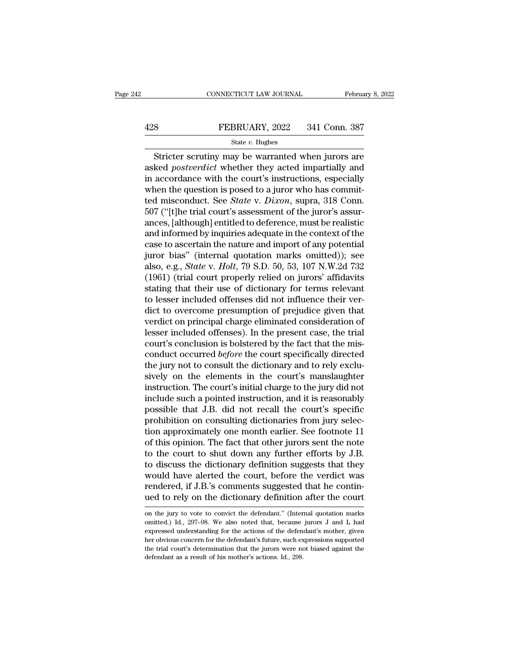# EXECUTE CONNECTICUT LAW JOURNAL February 8, 2022<br>428 FEBRUARY, 2022 341 Conn. 387<br>5tate v. Hughes

### State *v.* Hughes

 $\begin{array}{lll}\n & \text{COMNETICUT LAW JOURNAL} & \text{February 8, 2022} \\
 \text{S} & \text{FEBRUARY, 2022} & \text{341 Conn. } \text{387} \\
 & \text{State } v. \text{ Hughes} & \text{Stricter scrutiny may be warranted when juros are} \\
 \text{Red } postverdict \text{ whether they acted} impartially and according to the court's instructions, especially} \end{array}$ FEBRUARY, 2022 341 Conn. 387<br>
Stricter scrutiny may be warranted when jurors are<br>
asked *postverdict* whether they acted impartially and<br>
in accordance with the court's instructions, especially<br>
when the question is posed FEBRUARY, 2022 341 Conn. 387<br>
State v. Hughes<br>
Stricter scrutiny may be warranted when jurors are<br>
asked *postverdict* whether they acted impartially and<br>
in accordance with the court's instructions, especially<br>
when the FEBRUARY, 2022 341 Conn. 387<br>
State v. Hughes<br>
Stricter scrutiny may be warranted when jurors are<br>
asked *postverdict* whether they acted impartially and<br>
in accordance with the court's instructions, especially<br>
when the Stricter scrutiny may be warranted when jurors are<br>asked *postverdict* whether they acted impartially and<br>in accordance with the court's instructions, especially<br>when the question is posed to a juror who has commit-<br>ted mi State *v*. Hugnes<br>
Stricter scrutiny may be warranted when jurors are<br>
asked *postverdict* whether they acted impartially and<br>
in accordance with the court's instructions, especially<br>
when the question is posed to a juror Stricter scrutiny may be warranted when jurors are<br>asked *postverdict* whether they acted impartially and<br>in accordance with the court's instructions, especially<br>when the question is posed to a juror who has commit-<br>ted mi asked *postverdict* whether they acted impartially and<br>in accordance with the court's instructions, especially<br>when the question is posed to a juror who has commit-<br>ted misconduct. See *State* v. *Dixon*, supra, 318 Conn.<br> in accordance with the court's instructions, especially<br>when the question is posed to a juror who has commit-<br>ted misconduct. See *State* v. *Dixon*, supra, 318 Conn.<br>507 ("[t]he trial court's assessment of the juror's as when the question is posed to a juror who has commit-<br>ted misconduct. See *State* v. *Dixon*, supra, 318 Conn.<br>507 ("[t]he trial court's assessment of the juror's assur-<br>ances, [although] entitled to deference, must be re ted misconduct. See *State* v. *Dixon*, supra, 318 Conn.<br>507 ("[t]he trial court's assessment of the juror's assur-<br>ances, [although] entitled to deference, must be realistic<br>and informed by inquiries adequate in the conte 507 ("[t]he trial court's assessment of the juror's assurances, [although] entitled to deference, must be realistic<br>and informed by inquiries adequate in the context of the<br>case to ascertain the nature and import of any po ances, [although] entitled to deference, must be realistic<br>and informed by inquiries adequate in the context of the<br>case to ascertain the nature and import of any potential<br>juror bias" (internal quotation marks omitted)); and informed by inquiries adequate in the context of the case to ascertain the nature and import of any potential juror bias" (internal quotation marks omitted)); see also, e.g., *State v. Holt*, 79 S.D. 50, 53, 107 N.W.2 case to ascertain the nature and import of any potential<br>juror bias" (internal quotation marks omitted)); see<br>also, e.g., *State* v. *Holt*, 79 S.D. 50, 53, 107 N.W.2d 732<br>(1961) (trial court properly relied on jurors' aff juror bias" (internal quotation marks omitted)); see<br>also, e.g., *State* v. *Holt*, 79 S.D. 50, 53, 107 N.W.2d 732<br>(1961) (trial court properly relied on jurors' affidavits<br>stating that their use of dictionary for terms re also, e.g., *State* v. *Holt*, 79 S.D. 50, 53, 107 N.W.2d 732 (1961) (trial court properly relied on jurors' affidavits stating that their use of dictionary for terms relevant to lesser included offenses did not influence (1961) (trial court properly relied on jurors' affidavits<br>stating that their use of dictionary for terms relevant<br>to lesser included offenses did not influence their ver-<br>dict to overcome presumption of prejudice given th stating that their use of dictionary for terms relevant<br>to lesser included offenses did not influence their ver-<br>dict to overcome presumption of prejudice given that<br>verdict on principal charge eliminated consideration of<br> to lesser included offenses did not influence their verdict to overcome presumption of prejudice given that verdict on principal charge eliminated consideration of lesser included offenses). In the present case, the trial dict to overcome presumption of prejudice given that<br>verdict on principal charge eliminated consideration of<br>lesser included offenses). In the present case, the trial<br>court's conclusion is bolstered by the fact that the mi verdict on principal charge eliminated consideration of<br>lesser included offenses). In the present case, the trial<br>court's conclusion is bolstered by the fact that the mis-<br>conduct occurred *before* the court specifically d lesser included offenses). In the present case, the trial<br>court's conclusion is bolstered by the fact that the mis-<br>conduct occurred *before* the court specifically directed<br>the jury not to consult the dictionary and to re court's conclusion is bolstered by the fact that the mis-<br>conduct occurred *before* the court specifically directed<br>the jury not to consult the dictionary and to rely exclu-<br>sively on the elements in the court's manslaught conduct occurred *before* the court specifically directed<br>the jury not to consult the dictionary and to rely exclu-<br>sively on the elements in the court's manslaughter<br>instruction. The court's initial charge to the jury did the jury not to consult the dictionary and to rely exclusively on the elements in the court's manslaughter instruction. The court's initial charge to the jury did not include such a pointed instruction, and it is reasonabl sively on the elements in the court's manslaughter<br>instruction. The court's initial charge to the jury did not<br>include such a pointed instruction, and it is reasonably<br>possible that J.B. did not recall the court's specific instruction. The court's initial charge to the jury did not<br>include such a pointed instruction, and it is reasonably<br>possible that J.B. did not recall the court's specific<br>prohibition on consulting dictionaries from jury s include such a pointed instruction, and it is reasonably<br>possible that J.B. did not recall the court's specific<br>prohibition on consulting dictionaries from jury selec-<br>tion approximately one month earlier. See footnote 11<br> possible that J.B. did not recall the court's specific<br>prohibition on consulting dictionaries from jury selec-<br>tion approximately one month earlier. See footnote 11<br>of this opinion. The fact that other jurors sent the note prohibition on consulting dictionaries from jury selection approximately one month earlier. See footnote 11 of this opinion. The fact that other jurors sent the note to the court to shut down any further efforts by J.B. to tion approximately one month earlier. See footnote 11<br>of this opinion. The fact that other jurors sent the note<br>to the court to shut down any further efforts by J.B.<br>to discuss the dictionary definition suggests that they<br> to discuss the dictionary definition suggests that they<br>would have alerted the court, before the verdict was<br>rendered, if J.B.'s comments suggested that he contin-<br>ued to rely on the dictionary definition after the court<br>o would have alerted the court, before the verdict was<br>rendered, if J.B.'s comments suggested that he contin-<br>ued to rely on the dictionary definition after the court<br>on the jury to vote to convict the defendant." (Internal

rendered, if J.B.'s comments suggested that he continued to rely on the dictionary definition after the court<br>on the jury to vote to convict the defendant." (Internal quotation marks<br>omitted.) Id., 297–98. We also noted th ued to rely on the dictionary definition after the court<br>on the jury to vote to convict the defendant." (Internal quotation marks<br>omitted.) Id., 297–98. We also noted that, because jurors J and L had<br>expressed understandin The trial court of the trial court of the defendant." (Internal quotation marks omitted.) Id., 297-98. We also noted that, because jurors J and L had expressed understanding for the actions of the defendant's mother, given on the jury to vote to convict the defendant." (Internal quotation marks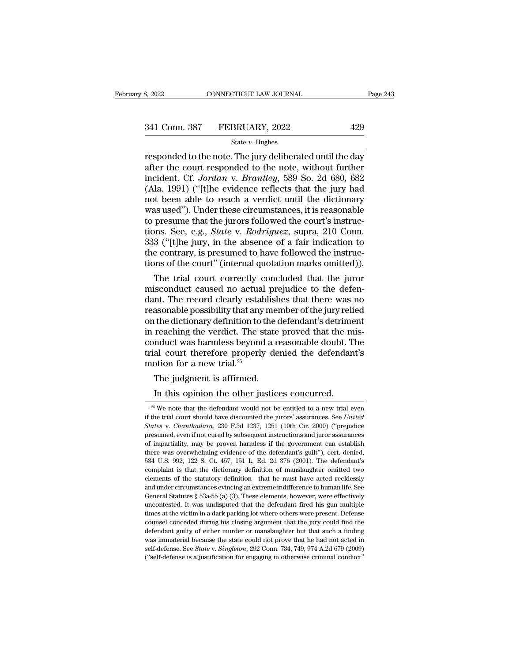| 8, 2022       | CONNECTICUT LAW JOURNAL | Page 243 |
|---------------|-------------------------|----------|
| 341 Conn. 387 | FEBRUARY, 2022          | 429      |
|               | State $v$ . Hughes      |          |

FREER SET AN SOURNAL Page 243<br>
The 243<br>
State v. Hughes<br>
The model to the note. The jury deliberated until the day<br>
after the court responded to the note, without further<br>
incident Cf. Levelan v. Breatley, 589, So. 2d. 68 341 Conn. 387 FEBRUARY, 2022 429<br>
State v. Hughes<br>
responded to the note. The jury deliberated until the day<br>
after the court responded to the note, without further<br>
incident. Cf. Jordan v. Brantley, 589 So. 2d 680, 682<br>
( 341 Conn. 387 FEBRUARY, 2022 429<br>  $\frac{\text{State } v. \text{ Hughes}}{\text{responded to the note. The jury delivered until the day}}$ <br>
responded to the note. The jury deliberated until the day<br>
after the court responded to the note, without further<br>
incident. Cf. *Jordan* v. *Brantley*, (Ala. 1991) ( $\frac{429}{\text{5}}$  (FEBRUARY, 2022 and  $\frac{429}{\text{5}}$  responded to the note. The jury deliberated until the day after the court responded to the note, without further incident. Cf. Jordan v. Brantley, 589 So. 2d Sincesia: 557 Philosofian, 2022<br>
State v. Hughes<br>
responded to the note. The jury deliberated until the day<br>
after the court responded to the note, without further<br>
incident. Cf. Jordan v. Brantley, 589 So. 2d 680, 682<br>
( State v. Hughes<br>
responded to the note. The jury deliberated until the day<br>
after the court responded to the note, without further<br>
incident. Cf. Jordan v. Brantley, 589 So. 2d 680, 682<br>
(Ala. 1991) ("[t]he evidence refle responded to the note. The jury deliberated until the day<br>after the court responded to the note, without further<br>incident. Cf. Jordan v. Brantley, 589 So. 2d 680, 682<br>(Ala. 1991) ("[t]he evidence reflects that the jury had after the court responded to the note, without further<br>incident. Cf. *Jordan v. Brantley*, 589 So. 2d 680, 682<br>(Ala. 1991) ("[t]he evidence reflects that the jury had<br>not been able to reach a verdict until the dictionary<br>w incident. Cf. *Jordan* v. *Brantley*, 589 So. 2d 680, 682 (Ala. 1991) ("[t]he evidence reflects that the jury had not been able to reach a verdict until the dictionary was used"). Under these circumstances, it is reasonabl (Ala. 1991) ("[t]he evidence reflects that the jury had not been able to reach a verdict until the dictionary was used"). Under these circumstances, it is reasonable to presume that the jurors followed the court's instruc not been able to reach a verdict until the dictionary<br>was used"). Under these circumstances, it is reasonable<br>to presume that the jurors followed the court's instruc-<br>tions. See, e.g., *State* v. *Rodriguez*, supra, 210 Co as used"). Under these circumstances, it is reasonable<br>presume that the jurors followed the court's instruc-<br>ons. See, e.g., *State v. Rodriguez*, supra, 210 Conn.<br>3 ("[t]he jury, in the absence of a fair indication to<br>e to presume that the jurors followed the court's instructions. See, e.g., *State v. Rodriguez*, supra, 210 Conn.<br>333 ("[t]he jury, in the absence of a fair indication to<br>the contrary, is presumed to have followed the instru

tions. See, e.g., *State v. Roariguez*, supra, 210 Conn.<br>333 ("[t]he jury, in the absence of a fair indication to<br>the contrary, is presumed to have followed the instruc-<br>tions of the court" (internal quotation marks omitte  $333$  ("[t]ne jury, in the absence of a fair indication to<br>the contrary, is presumed to have followed the instruc-<br>tions of the court" (internal quotation marks omitted)).<br>The trial court correctly concluded that the juro the contrary, is presumed to have followed the instructions of the court" (internal quotation marks omitted)).<br>The trial court correctly concluded that the juror misconduct caused no actual prejudice to the defendant. The tions of the court" (internal quotation marks omitted)).<br>The trial court correctly concluded that the juror<br>misconduct caused no actual prejudice to the defen-<br>dant. The record clearly establishes that there was no<br>reasona The trial court correctly concluded that the juror<br>misconduct caused no actual prejudice to the defen-<br>dant. The record clearly establishes that there was no<br>reasonable possibility that any member of the jury relied<br>on th misconduct caused no actual prejudice to the defen-<br>dant. The record clearly establishes that there was no<br>reasonable possibility that any member of the jury relied<br>on the dictionary definition to the defendant's detriment dant. The record clearly estab<br>reasonable possibility that any i<br>on the dictionary definition to tl<br>in reaching the verdict. The st<br>conduct was harmless beyond<br>trial court therefore properly<br>motion for a new trial.<sup>25</sup><br>The asonable possibility that any ment the dictionary definition to the creaching the verdict. The state mduct was harmless beyond a real court therefore properly deption for a new trial.<sup>25</sup><br>The judgment is affirmed.<br>In this Fraching the verdict. The state proved that the m<br>reaching the verdict. The state proved that the m<br>nduct was harmless beyond a reasonable doubt. T<br>al court therefore properly denied the defendan<br>botion for a new trial.<sup>2</sup>

<sup>25</sup> The judgment is affirmed.<br>
In this opinion the other justices concurred.<br>
<sup>25</sup> We note that the defendant would not be entitled to a new trial even<br>
the trial court should have discounted the jurors' assurances. See *U* The judgment is affirmed.<br>In this opinion the other justices concurred.<br><sup>25</sup> We note that the defendant would not be entitled to a new trial even<br>if the trial court should have discounted the jurors' assurances. See *Unite* The judgment is affirmed.<br>
In this opinion the other justices concurred.<br>
<sup>25</sup> We note that the defendant would not be entitled to a new trial even<br>
if the trial court should have discounted the jurors' assurances. See *Un* In this opinion the other justices concurred.<br><sup>25</sup> We note that the defendant would not be entitled to a new trial even<br>if the trial court should have discounted the jurors' assurances. See *United*<br>*States* v. *Chanthada* In this opinion the other justices concurred.<br>
<sup>25</sup> We note that the defendant would not be entitled to a new trial even<br>
if the trial court should have discounted the jurors' assurances. See *United*<br> *States* v. *Chanth*  $^{25}$  We note that the defendant would not be entitled to a new trial even if the trial court should have discounted the jurors' assurances. See *United States* v. *Chanthadara*, 230 F.3d 1237, 1251 (10th Cir. 2000) ("pr if the trial court should have discounted the jurors' assurances. See *United* States v. Chanthadara, 230 F.3d 1237, 1251 (10th Cir. 2000) ("prejudice presumed, even if not cured by subsequent instructions and juror assur *States v. Chanthadara*, 230 F.3d 1237, 1251 (10th Cir. 2000) ("prejudice presumed, even if not cured by subsequent instructions and juror assurances of impartiality, may be proven harmless if the government can establish presumed, even if not cured by subsequent instructions and juror assurances<br>of impartiality, may be proven harmless if the government can establish<br>there was overwhelming evidence of the defendant's guilt''), cert. denied, for impartiality, may be proven harmless if the government can establish there was overwhelming evidence of the defendant's guilt''), cert. denied, 534 U.S. 992, 122 S. Ct. 457, 151 L. Ed. 2d 376 (2001). The defendant's co there was overwhelming evidence of the defendant's guilt''), cert. denied, 534 U.S. 992, 122 S. Ct. 457, 151 L. Ed. 2d 376 (2001). The defendant's complaint is that the dictionary definition of manslaughter omitted two ele 534 U.S. 992, 122 S. Ct. 457, 151 L. Ed. 2d 376 (2001). The defendant's complaint is that the dictionary definition of manslaughter omitted two elements of the statutory definition—that he must have acted recklessly and u complaint is that the dictionary definition of manslaughter omitted two<br>elements of the statutory definition—that he must have acted recklessly<br>and under circumstances evincing an extreme indifference to human life. See<br>Ge elements of the statutory definition—that he must have acted recklessly and under circumstances evincing an extreme indifference to human life. See General Statutes § 53a-55 (a) (3). These elements, however, were effective and under circumstances evincing an extreme indifference to human life. See General Statutes  $\S$  53a-55 (a) (3). These elements, however, were effectively uncontested. It was undisputed that the defendant fired his gun mu General Statutes § 53a-55 (a) (3). These elements, however, were effectively uncontested. It was undisputed that the defendant fired his gun multiple times at the victim in a dark parking lot where others were present. De General Statutes § 53a-55 (a) (3). These elements, however, were effectively uncontested. It was undisputed that the defendant fired his gun multiple times at the victim in a dark parking lot where others were present. De times at the victim in a dark parking lot where others were present. Defense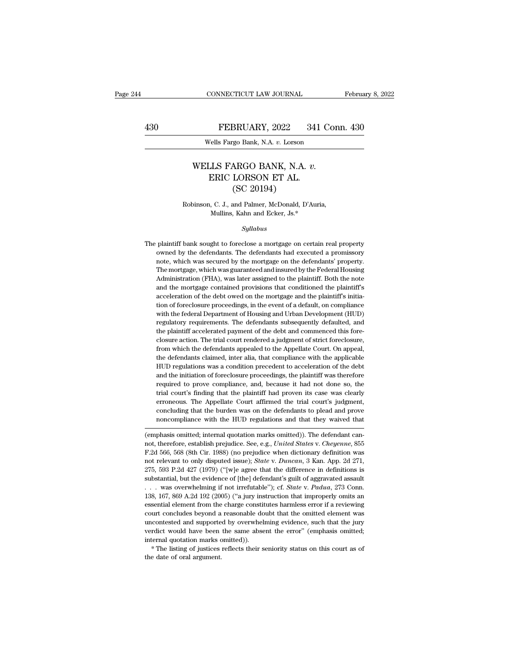### EXECUTE CONNECTICUT LAW JOURNAL February 8, 2022<br>430 FEBRUARY, 2022 341 Conn. 430<br>Wells Fargo Bank, N.A. v. Lorson CONNECTICUT LAW JOURNAL<br>
FEBRUARY, 2022 341 Con<br>
Wells Fargo Bank, N.A. *v.* Lorson

### FEBRUARY, 2022 341 Con<br>
Wells Fargo Bank, N.A. *v.* Lorson<br>
WELLS FARGO BANK, N.A. *v.*<br>
ERIC LORSON ET AL.<br>
(SC 20104) FEBRUARY, 2022 341<br>Vells Fargo Bank, N.A. v. Lorson<br>LLS FARGO BANK, N.A. v.<br>ERIC LORSON ET AL. (SC 20194) BRUARY, 2022<br>
190 Bank, N.A. v. Lorson<br>
ARGO BANK, N.A.<br>
LORSON ET AL.<br>
(SC 20194)<br>
20194)<br>
20194) WELLS FARGO BANK, N.A. v.<br>ERIC LORSON ET AL.<br>(SC 20194)<br>Robinson, C. J., and Palmer, McDonald, D'Auria,<br>Mullins, Kahn and Ecker, Js.\* LS FARGO BANK, N.A. *v.*<br>ERIC LORSON ET AL.<br>(SC 20194)<br>, C. J., and Palmer, McDonald, D'Auria<br>Mullins, Kahn and Ecker, Js.\*<br>Sullabus

### *Syllabus*

The plaintiff bank sought to foreclose a mortgage on certain real property<br>and the plaintiff bank sought to foreclose a mortgage on certain real property<br>owned by the defendants. The defendants had executed a promissory Robinson, C. J., and Palmer, McDonald, D'Auria,<br>Mullins, Kahn and Ecker, Js.\*<br>Syllabus<br>plaintiff bank sought to foreclose a mortgage on certain real property<br>owned by the defendants. The defendants had executed a promissor Mullins, Kahn and Ecker, Js.\*<br>
Syllabus<br>
The plaintiff bank sought to foreclose a mortgage on certain real property<br>
owned by the defendants. The defendants had executed a promissory<br>
note, which was secured by the mortgag Syllabus<br>
Syllabus<br>
plaintiff bank sought to foreclose a mortgage on certain real property<br>
owned by the defendants. The defendants had executed a promissory<br>
note, which was gecured by the mortgage on the defendants' prop Syuaous<br>plaintiff bank sought to foreclose a mortgage on certain real property<br>owned by the defendants. The defendants had executed a promissory<br>note, which was secured by the mortgage on the defendants' property.<br>The mort plaintiff bank sought to foreclose a mortgage on certain real property<br>owned by the defendants. The defendants had executed a promissory<br>note, which was secured by the mortgage on the defendants' property.<br>The mortgage, wh note, which was secured by the mortgage on the defendants' property.<br>The mortgage, which was guaranteed and insured by the Federal Housing<br>Administration (FHA), was later assigned to the plaintiff. Both the note<br>and the mo of the wise worker was secured by the mortgage on the defendants' property.<br>The mortgage, which was guaranteed and insured by the Federal Housing<br>Administration (FHA), was later assigned to the plaintiff. Both the note<br>and The mortgage, which was guaranteed and insured by the Federal Housing<br>The mortgage, which was guaranteed and insured by the Federal Housing<br>Administration (FHA), was later assigned to the plaintiff. Both the note<br>and the m regulatory requirements. The defendants subsequently defaulted, and the mortgage contained provisions that conditioned the plaintiff's acceleration of the debt owed on the mortgage and the plaintiff's initiation of foreclo acceleration of the debt owed on the mortgage and the plaintiff's initiation of foreclosure proceedings, in the event of a default, on compliance with the federal Department of Housing and Urban Development (HUD) regulator acceleration of the debt owed on the mortgage and the plaintiff's initiation of foreclosure proceedings, in the event of a default, on compliance with the federal Department of Housing and Urban Development (HUD) regulator from of foreclosure proceedings, in the event of a default, on compliance with the federal Department of Housing and Urban Development (HUD) regulatory requirements. The defendants subsequently defaulted, and the plaintiff with the federal Department of Housing and Urban Development (HUD) regulatory requirements. The defendants subsequently defaulted, and the plaintiff accelerated payment of the debt and commenced this fore-closure action. T regulatory requirements. The defendants subsequently defaulted, and the plaintiff accelerated payment of the debt and commenced this fore-closure action. The trial court rendered a judgment of strict foreclosure, from whic the plaintiff accelerated payment of the debt and commenced this fore-<br>closure action. The trial court rendered a judgment of strict foreclosure,<br>from which the defendants appealed to the Appellate Court. On appeal,<br>the de closure action. The trial court rendered a judgment of strict foreclosure, from which the defendants appealed to the Appellate Court. On appeal, the defendants claimed, inter alia, that compliance with the applicable HUD r from which the defendants appealed to the Appellate Court. On appeal, the defendants claimed, inter alia, that compliance with the applicable HUD regulations was a condition precedent to acceleration of the debt and the in the defendants claimed, inter alia, that compliance with the applicable HUD regulations was a condition precedent to acceleration of the debt and the initiation of foreclosure proceedings, the plaintiff was therefore requi HUD regulations was a condition precedent to acceleration of the debt<br>and the initiation of foreclosure proceedings, the plaintiff was therefore<br>required to prove compliance, and, because it had not done so, the<br>trial cour and the initiation of foreclosure proceedings, the plaintiff was therefore<br>required to prove compliance, and, because it had not done so, the<br>trial court's finding that the plaintiff had proven its case was clearly<br>erroneo required to prove complaince, and, because it had not done so, the<br>trial court's finding that the plaintiff had proven its case was clearly<br>erroneous. The Appellate Court affirmed the trial court's judgment,<br>concluding tha rial court's imaing that the plaintiff had proven its case was clearly<br>erroneous. The Appellate Court affirmed the trial court's judgment,<br>concluding that the burden was on the defendants to plead and prove<br>noncompliance w

erroneous. The Appenate Court animied the that court's judgment,<br>concluding that the burden was on the defendants to plead and prove<br>noncompliance with the HUD regulations and that they waived that<br>(emphasis omitted; inter concluding that the burdent was on the defendants to plead and prove<br>noncompliance with the HUD regulations and that they waived that<br>(emphasis omitted; internal quotation marks omitted)). The defendant can-<br>not, therefore noncompuance with the HOD regulations and that they warved that<br>(emphasis omitted; internal quotation marks omitted)). The defendant can-<br>not, therefore, establish prejudice. See, e.g., *United States v. Cheyenne*, 855<br>F.2 (emphasis omitted; internal quotation marks omitted)). The defendant cannot, therefore, establish prejudice. See, e.g., *United States v. Cheyenne*, 855 F.2d 566, 568 (8th Cir. 1988) (no prejudice when dictionary definiti not, therefore, establish prejudice. See, e.g., *United States v. Cheyenne*, 855 F.2d 566, 568 (8th Cir. 1988) (no prejudice when dictionary definition was not relevant to only disputed issue); *State* v. *Duncan*, 3 Kan. F.2d 566, 568 (8th Cir. 1988) (no prejudice when dictionary definition was not relevant to only disputed issue); *State* v. *Duncan*, 3 Kan. App. 2d 271, 275, 593 P.2d 427 (1979) ("[w]e agree that the difference in defini not relevant to only disputed issue); *State v. Duncan*, 3 Kan. App. 2d 271, 275, 593 P.2d 427 (1979) ("[w]e agree that the difference in definitions is substantial, but the evidence of [the] defendant's guilt of aggravat 275, 593 P.2d 427 (1979) ("[w]e agree that the difference in definitions is substantial, but the evidence of [the] defendant's guilt of aggravated assault . . . was overwhelming if not irrefutable"); cf. *State* v. *Padua* Exponential, but the evidence of [the] defendant's guilt of aggravated assault . . . . was overwhelming if not irrefutable"); cf. *State* v. *Padua*, 273 Conn. 138, 167, 869 A.2d 192 (2005) ("a jury instruction that impro substantial, but the evidence of [the] defendant's guilt of aggravated assault . . . . was overwhelming if not irrefutable"); cf. *State* v. *Padua*, 273 Conn. 138, 167, 869 A.2d 192 (2005) ("a jury instruction that impro 138, 167, 869 A.2d 192 (2005) ("a jury instruction that improperly omits an essential element from the charge constitutes harmless error if a reviewing court concludes beyond a reasonable doubt that the omitted element wa court concludes beyond a reasonable doubt that the omitted element was uncontested and supported by overwhelming evidence, such that the jury verdict would have been the same absent the error" (emphasis omitted; internal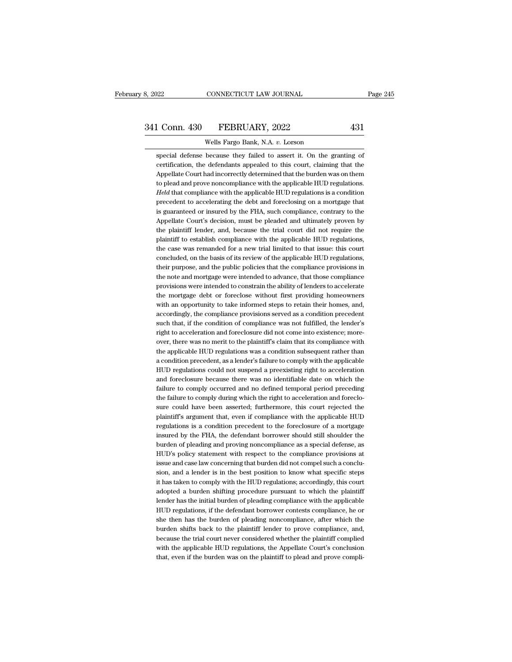EXECUTE 12 OURNAL<br>1 Conn. 430 FEBRUARY, 2022 431<br>Wells Fargo Bank, N.A. *v.* Lorson<br>Special defense because they failed to assert it. On the granting of 1 Conn. 430 FEBRUARY, 2022 431<br>Wells Fargo Bank, N.A. v. Lorson<br>special defense because they failed to assert it. On the granting of<br>certification, the defendants appealed to this court, claiming that the certification, the defendants appealed to this court, claiming of errification, the defendants appealed to this court, claiming that the Appellate Court had incorrectly determined that the burden was on them 1 Conn. 430 FEBRUARY, 2022 431<br>Wells Fargo Bank, N.A. v. Lorson<br>special defense because they failed to assert it. On the granting of<br>certification, the defendants appealed to this court, claiming that the<br>Appellate Court h Wells Fargo Bank, N.A. v. Lorson<br>special defense because they failed to assert it. On the granting of<br>certification, the defendants appealed to this court, claiming that the<br>Appellate Court had incorrectly determined that *Held* that compliance they failed to assert it. On the granting of certification, the defendants appealed to this court, claiming that the Appellate Court had incorrectly determined that the burden was on them to plead an special defense because they failed to assert it. On the granting of certification, the defendants appealed to this court, claiming that the Appellate Court had incorrectly determined that the burden was on them to plead a certification, the defendants appealed to this court, claiming that the Appellate Court had incorrectly determined that the burden was on them to plead and prove noncompliance with the applicable HUD regulations. Held that Appellate Court had incorrectly determined that the burden was on them<br>to plead and prove noncompliance with the applicable HUD regulations.<br>Held that compliance with the applicable HUD regulations is a condition<br>precedent to plead and prove noncompliance with the applicable HUD regulations.<br>
Held that compliance with the applicable HUD regulations is a condition<br>
precedent to accelerating the debt and foreclosing on a mortgage that<br>
is guar Held that compliance with the applicable HUD regulations is a condition precedent to accelerating the debt and foreclosing on a mortgage that is guaranteed or insured by the FHA, such compliance, contrary to the Appellate precedent to accelerating the debt and foreclosing on a mortgage that<br>is guaranteed or insured by the FHA, such compliance, contrary to the<br>Appellate Court's decision, must be pleaded and ultimately proven by<br>the plaintiff is guaranteed or insured by the FHA, such compliance, contrary to the Appellate Court's decision, must be pleaded and ultimately proven by the plaintiff lender, and, because the trial court did not require the plaintiff to Appellate Court's decision, must be pleaded and ultimately proven by<br>the plaintiff lender, and, because the trial court did not require the<br>plaintiff to establish compliance with the applicable HUD regulations,<br>the case wa the plaintiff lender, and, because the trial court did not require the plaintiff to establish compliance with the applicable HUD regulations, the case was remanded for a new trial limited to that issue: this court conclude plaintiff to establish compliance with the applicable HUD regulations,<br>the case was remanded for a new trial limited to that issue: this court<br>concluded, on the basis of its review of the applicable HUD regulations,<br>their the case was remanded for a new trial limited to that issue: this court concluded, on the basis of its review of the applicable HUD regulations, their purpose, and the public policies that the compliance provisions in the concluded, on the basis of its review of the applicable HUD regulations, their purpose, and the public policies that the compliance provisions in the note and mortgage were intended to advance, that those compliance provis their purpose, and the public policies that the compliance provisions in<br>the note and mortgage were intended to advance, that those compliance<br>provisions were intended to constrain the ability of lenders to accelerate<br>the the note and mortgage were intended to advance, that those compliance<br>provisions were intended to constrain the ability of lenders to accelerate<br>the mortgage debt or foreclose without first providing homeowners<br>with an opp the mortgage debt or foreclose without first providing homeowners<br>with an opportunity to take informed steps to retain their homes, and,<br>accordingly, the compliance provisions served as a condition precedent<br>such that, if the mortgage debt or foreclose without first providing homeowners<br>with an opportunity to take informed steps to retain their homes, and,<br>accordingly, the compliance provisions served as a condition precedent<br>such that, if with an opportunity to take informed steps to retain their homes, and, accordingly, the compliance provisions served as a condition precedent such that, if the condition of compliance was not fulfilled, the lender's right accordingly, the compliance provisions served as a condition precedent<br>such that, if the condition of compliance was not fulfilled, the lender's<br>right to acceleration and foreclosure did not come into existence; more-<br>over such that, if the condition of compliance was not fulfilled, the lender's<br>right to acceleration and foreclosure did not come into existence; more-<br>over, there was no merit to the plaintiff's claim that its compliance with<br> right to acceleration and foreclosure did not come into existence; moreover, there was no merit to the plaintiff's claim that its compliance with the applicable HUD regulations was a condition subsequent rather than a cond over, there was no merit to the plaintiff's claim that its compliance with<br>the applicable HUD regulations was a condition subsequent rather than<br>a condition precedent, as a lender's failure to comply with the applicable<br>HU a condition precedent, as a lender's failure to comply with the applicable HUD regulations could not suspend a preexisting right to acceleration and foreclosure because there was no identifiable date on which the failure t a condition precedent, as a lender's failure to comply with the applicable HUD regulations could not suspend a preexisting right to acceleration and foreclosure because there was no identifiable date on which the failure t HUD regulations could not suspend a preexisting right to acceleration<br>and foreclosure because there was no identifiable date on which the<br>failure to comply occurred and no defined temporal period preceding<br>the failure to c and foreclosure because there was no identifiable date on which the failure to comply occurred and no defined temporal period preceding the failure to comply during which the right to acceleration and foreclosure could hav failure to comply occurred and no defined temporal period preceding<br>the failure to comply during which the right to acceleration and foreclo-<br>sure could have been asserted; furthermore, this court rejected the<br>plaintiff's the failure to comply during which the right to acceleration and foreclo-<br>sure could have been asserted; furthermore, this court rejected the<br>plaintiff's argument that, even if compliance with the applicable HUD<br>regulation sure could have been asserted; furthermore, this court rejected the plaintiff's argument that, even if compliance with the applicable HUD regulations is a condition precedent to the foreclosure of a mortgage insured by the plaintiff's argument that, even if compliance with the applicable HUD regulations is a condition precedent to the foreclosure of a mortgage insured by the FHA, the defendant borrower should still shoulder the burden of ple regulations is a condition precedent to the foreclosure of a mortgage<br>insured by the FHA, the defendant borrower should still shoulder the<br>burden of pleading and proving noncompliance as a special defense, as<br>HUD's policy insured by the FHA, the defendant borrower should still shoulder the burden of pleading and proving noncompliance as a special defense, as HUD's policy statement with respect to the compliance provisions at issue and case burden of pleading and proving noncompliance as a special defense, as HUD's policy statement with respect to the compliance provisions at issue and case law concerning that burden did not comple such a conclusion, and a le HUD's policy statement with respect to the compliance provisions at issue and case law concerning that burden did not compel such a conclusion, and a lender is in the best position to know what specific steps it has taken issue and case law concerning that burden did not compel such a conclusion, and a lender is in the best position to know what specific steps it has taken to comply with the HUD regulations; accordingly, this court adopted sion, and a lender is in the best position to know what specific steps<br>it has taken to comply with the HUD regulations; accordingly, this court<br>adopted a burden shifting procedure pursuant to which the plaintiff<br>lender has it has taken to comply with the HUD regulations; accordingly, this court<br>adopted a burden shifting procedure pursuant to which the plaintiff<br>lender has the initial burden of pleading compliance with the applicable<br>HUD regu adopted a burden shifting procedure pursuant to which the plaintiff<br>lender has the initial burden of pleading compliance with the applicable<br>HUD regulations, if the defendant borrower contests compliance, he or<br>she then ha lender has the initial burden of pleading compliance with the applicable HUD regulations, if the defendant borrower contests compliance, he or she then has the burden of pleading noncompliance, after which the burden shift she then has the burden of pleading noncompliance, after which the burden shifts back to the plaintiff lender to prove compliance, and, because the trial court never considered whether the plaintiff complied with the appli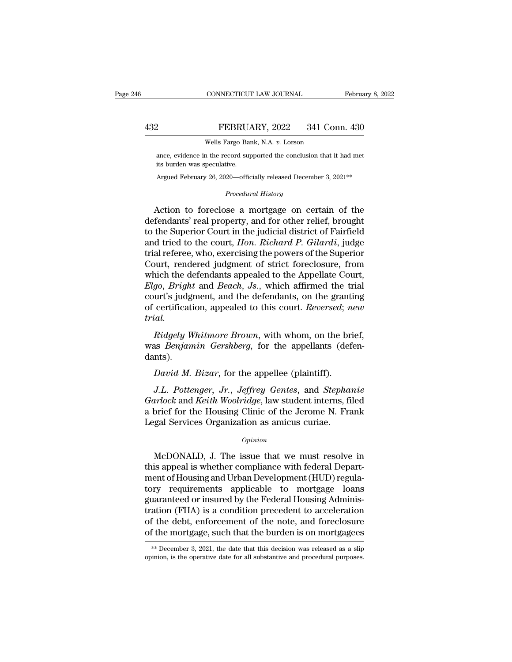FEBRUARY, 2022 341 Conn. 430<br>Wells Fargo Bank, N.A. v. Lorson<br>ance, evidence in the record supported the conclusion that it had met<br>its burden was speculative. FEBRUA<br>
Wells Fargo Bar<br>
ance, evidence in the record surf<br>
its burden was speculative.<br>
Argued February 26, 2020—offic  $430$ <br>
Wells Fargo Bank, N.A. v. Lorson<br>
ance, evidence in the record supported the conclusion that it had met<br>
its burden was speculative.<br>
Argued February 26, 2020—officially released December 3, 2021\*\* *Parago Bank, N.A. U. Loison*<br> *Procedural History*<br> *Procedural History*<br> **Procedural History** 

Wells Fargo Bank, N.A. v. Lorson<br>
ance, evidence in the record supported the conclusion that it had met<br>
its burden was speculative.<br>
Argued February 26, 2020—officially released December 3, 2021<sup>\*\*</sup><br> *Procedural History*<br> ance, evidence in the record supported the conclusion that it had met<br>
its burden was speculative.<br>
Argued February 26, 2020—officially released December 3, 2021<sup>\*\*</sup><br> *Procedural History*<br> **Action to foreclose a mortgage o** its burden was speculative.<br>
Argued February 26, 2020—officially released December 3, 2021<sup>\*\*</sup><br>
Procedural History<br>
Action to foreclose a mortgage on certain of the<br>
defendants' real property, and for other relief, brought Argued February 26, 2020—officially released December 3, 2021<sup>\*\*</sup><br> *Procedural History*<br> **Action to foreclose a mortgage on certain of the defendants' real property, and for other relief, brought to the Superior Court in t** *Procedural History*<br>Action to foreclose a mortgage on certain of the<br>defendants' real property, and for other relief, brought<br>to the Superior Court in the judicial district of Fairfield<br>and tried to the court, *Hon. Richa* Frocedura History<br>
Action to foreclose a mortgage on certain of the<br>
defendants' real property, and for other relief, brought<br>
to the Superior Court in the judicial district of Fairfield<br>
and tried to the court, *Hon. Ric* Action to foreclose a mortgage on certain of the<br>defendants' real property, and for other relief, brought<br>to the Superior Court in the judicial district of Fairfield<br>and tried to the court, *Hon. Richard P. Gilardi*, judge *defendants'* real property, and for other relief, brought<br>to the Superior Court in the judicial district of Fairfield<br>and tried to the court, *Hon. Richard P. Gilardi*, judge<br>trial referee, who, exercising the powers of t to the Superior Court in the judicial district of Fairfield<br>and tried to the court, *Hon. Richard P. Gilardi*, judge<br>trial referee, who, exercising the powers of the Superior<br>Court, rendered judgment of strict foreclosure, and tried to the court, *Hon. Richard P. Gilardi*, judge<br>trial referee, who, exercising the powers of the Superior<br>Court, rendered judgment of strict foreclosure, from<br>which the defendants appealed to the Appellate Court,<br> *trial. Ridgely Whitmore Brown*, with whom, on the brief, as *Benjamin* Gersheem, J. S., which affirmed the trial urt's judgment, and the defendants, on the granting certification, appealed to this court. *Reversed*; *new ial.* which the defendants appeared to the Appenate Court, *Elgo*, *Bright* and *Beach*, *Js.*, which affirmed the trial court's judgment, and the defendants, on the granting of certification, appealed to this court. *Reversed*;

dants). *Conduction, appealed to this court. Reversed; nial.*<br> *Ridgely Whitmore Brown, with whom, on the bras Benjamin Gershberg, for the appellants (def* nts).<br> *David M. Bizar, for the appellee (plaintiff).*<br> *J.L. Pottenger, J G. Ridgely Whitmore Brown*, with whom, on the brief,<br>*A. Benjamin Gershberg*, for the appellants (defen-<br>*David M. Bizar*, for the appellee (plaintiff).<br>*J.L. Pottenger, Jr., Jeffrey Gentes*, and *Stephanie*<br>*arlock* and

*Ridgely Whitmore Brown*, with whom, on the brief,<br>
was *Benjamin Gershberg*, for the appellants (defen-<br>
dants).<br> *David M. Bizar*, for the appellee (plaintiff).<br> *J.L. Pottenger, Jr., Jeffrey Gentes*, and *Stephanie<br>
Gar* was *Benjamin Gershberg*, for the appellants (defendants).<br> *David M. Bizar*, for the appellee (plaintiff).<br> *J.L. Pottenger, Jr., Jeffrey Gentes,* and *Stephanie*<br> *Garlock* and *Keith Woolridge*, law student interns, fil dants).<br>
David M. Bizar, for the appellee (plaintiff).<br>
J.L. Pottenger, Jr., Jeffrey Gentes, and Stepha<br>
Garlock and Keith Woolridge, law student interns, fi<br>
a brief for the Housing Clinic of the Jerome N. Fr.<br>
Legal Serv J.L. Pottenger, Jr., Jeffrey Gentes, and Stephanie<br>
urlock and Keith Woolridge, law student interns, filed<br>
brief for the Housing Clinic of the Jerome N. Frank<br>
gal Services Organization as amicus curiae.<br>  $\frac{Opinion}{P}$ <br>
Mc

### *Opinion*

*Garlock* and *Keith Woolridge*, law student interns, filed<br>a brief for the Housing Clinic of the Jerome N. Frank<br>Legal Services Organization as amicus curiae.<br> $o_{pinion}$ <br>McDONALD, J. The issue that we must resolve in<br>this ap a brief for the Housing Clinic of the Jerome N. Frank<br>Legal Services Organization as amicus curiae.<br>  $\frac{Opinion}{\rho}$ <br>
McDONALD, J. The issue that we must resolve in<br>
this appeal is whether compliance with federal Depart-<br>
men Legal Services Organization as amicus curiae.<br>  $\phi_{pinion}$ <br>
McDONALD, J. The issue that we must resolve in<br>
this appeal is whether compliance with federal Depart-<br>
ment of Housing and Urban Development (HUD) regula-<br>
tory re opinion<br>McDONALD, J. The issue that we must resolve in<br>this appeal is whether compliance with federal Depart-<br>ment of Housing and Urban Development (HUD) regula-<br>tory requirements applicable to mortgage loans<br>guaranteed or McDONALD, J. The issue that we must resolve in<br>this appeal is whether compliance with federal Depart-<br>ment of Housing and Urban Development (HUD) regula-<br>tory requirements applicable to mortgage loans<br>guaranteed or insure McDONALD, J. The issue that we must resolve in<br>this appeal is whether compliance with federal Depart-<br>ment of Housing and Urban Development (HUD) regula-<br>tory requirements applicable to mortgage loans<br>guaranteed or insured this appeal is whether compliance with federal Department of Housing and Urban Development (HUD) regulatory requirements applicable to mortgage loans guaranteed or insured by the Federal Housing Administration (FHA) is a c guaranteed or insured by the Federal Housing Administration (FHA) is a condition precedent to acceleration of the debt, enforcement of the note, and foreclosure of the mortgage, such that the burden is on mortgagees of the mortgage, such that the burden is on mortgagees.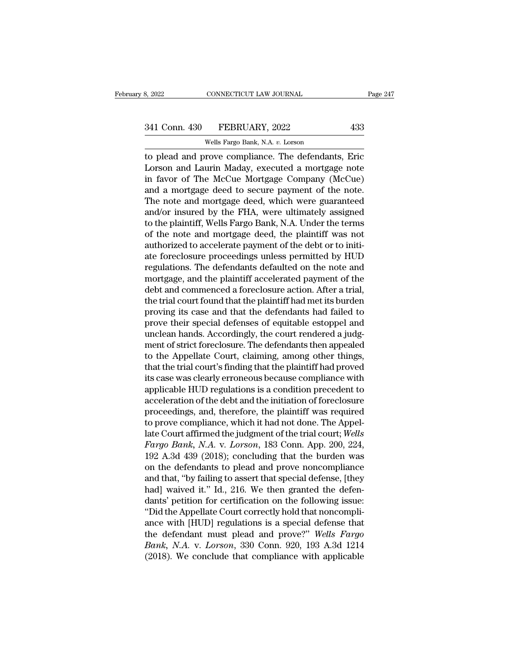# 341 Conn. 430 FEBRUARY, 2022 433<br>Wells Fargo Bank, N.A. v. Lorson

CONNECTICUT LAW JOURNAL<br>FEBRUARY, 2022<br>Wells Fargo Bank, N.A. *v.* Lorson<br>rove\_compliance\_The\_defendant to plead and prove compliance. The defendants, Eric<br>
to plead and prove compliance. The defendants, Eric<br>
Lorson and Laurin Maday, executed a mortgage note<br>
time fouce of The McCue Mertgage Company (McCue) 341 Conn. 430 FEBRUARY, 2022 433<br>Wells Fargo Bank, N.A. v. Lorson<br>to plead and prove compliance. The defendants, Eric<br>Lorson and Laurin Maday, executed a mortgage note<br>in favor of The McCue Mortgage Company (McCue)<br>and a m  $\frac{341 \text{ Conn. } 430 \qquad \text{FEBRUARY, } 2022 \qquad \qquad 433}$ <br>
Wells Fargo Bank, N.A. v. Lorson<br>
to plead and prove compliance. The defendants, Eric<br>
Lorson and Laurin Maday, executed a mortgage note<br>
in favor of The McCue Mortgage Comp 341 Conn. 430 FEBRUARY, 2022 433<br>
wells Fargo Bank, N.A. v. Lorson<br>
to plead and prove compliance. The defendants, Eric<br>
Lorson and Laurin Maday, executed a mortgage note<br>
in favor of The McCue Mortgage Company (McCue)<br>
a Wells Fargo Bank, N.A. v. Lorson<br>to plead and prove compliance. The defendants, Eric<br>Lorson and Laurin Maday, executed a mortgage note<br>in favor of The McCue Mortgage Company (McCue)<br>and a mortgage deed to secure payment of WEIS Fargo Bank, N.A. *v.* Loison<br>to plead and prove compliance. The defendants, Eric<br>Lorson and Laurin Maday, executed a mortgage note<br>in favor of The McCue Mortgage Company (McCue)<br>and a mortgage deed to secure payment o to plead and prove compliance. The defendants, Eric<br>Lorson and Laurin Maday, executed a mortgage note<br>in favor of The McCue Mortgage Company (McCue)<br>and a mortgage deed to secure payment of the note.<br>The note and mortgage Lorson and Laurin Maday, executed a mortgage note<br>in favor of The McCue Mortgage Company (McCue)<br>and a mortgage deed to secure payment of the note.<br>The note and mortgage deed, which were guaranteed<br>and/or insured by the FH in favor of The McCue Mortgage Company (McCue)<br>and a mortgage deed to secure payment of the note.<br>The note and mortgage deed, which were guaranteed<br>and/or insured by the FHA, were ultimately assigned<br>to the plaintiff, Well and a mortgage deed to secure payment of the note.<br>The note and mortgage deed, which were guaranteed<br>and/or insured by the FHA, were ultimately assigned<br>to the plaintiff, Wells Fargo Bank, N.A. Under the terms<br>of the note The note and mortgage deed, which were guaranteed<br>and/or insured by the FHA, were ultimately assigned<br>to the plaintiff, Wells Fargo Bank, N.A. Under the terms<br>of the note and mortgage deed, the plaintiff was not<br>authorized and/or insured by the FHA, were ultimately assigned<br>to the plaintiff, Wells Fargo Bank, N.A. Under the terms<br>of the note and mortgage deed, the plaintiff was not<br>authorized to accelerate payment of the debt or to initi-<br>at to the plaintiff, Wells Fargo Bank, N.A. Under the terms<br>of the note and mortgage deed, the plaintiff was not<br>authorized to accelerate payment of the debt or to initi-<br>ate foreclosure proceedings unless permitted by HUD<br>re of the note and mortgage deed, the plaintiff was not<br>authorized to accelerate payment of the debt or to initi-<br>ate foreclosure proceedings unless permitted by HUD<br>regulations. The defendants defaulted on the note and<br>mortg authorized to accelerate payment of the debt or to initi-<br>ate foreclosure proceedings unless permitted by HUD<br>regulations. The defendants defaulted on the note and<br>mortgage, and the plaintiff accelerated payment of the<br>deb ate foreclosure proceedings unless permitted by HUD<br>regulations. The defendants defaulted on the note and<br>mortgage, and the plaintiff accelerated payment of the<br>debt and commenced a foreclosure action. After a trial,<br>the t regulations. The defendants defaulted on the note and<br>mortgage, and the plaintiff accelerated payment of the<br>debt and commenced a foreclosure action. After a trial,<br>the trial court found that the plaintiff had met its burd mortgage, and the plaintiff accelerated payment of the<br>debt and commenced a foreclosure action. After a trial,<br>the trial court found that the plaintiff had met its burden<br>proving its case and that the defendants had failed debt and commenced a foreclosure action. After a trial,<br>the trial court found that the plaintiff had met its burden<br>proving its case and that the defendants had failed to<br>prove their special defenses of equitable estoppel the trial court found that the plaintiff had met its burden<br>proving its case and that the defendants had failed to<br>prove their special defenses of equitable estoppel and<br>unclean hands. Accordingly, the court rendered a jud proving its case and that the defendants had failed to<br>prove their special defenses of equitable estoppel and<br>unclean hands. Accordingly, the court rendered a judg-<br>ment of strict foreclosure. The defendants then appealed<br> prove their special defenses of equitable estoppel and<br>unclean hands. Accordingly, the court rendered a judg-<br>ment of strict foreclosure. The defendants then appealed<br>to the Appellate Court, claiming, among other things,<br>t unclean hands. Accordingly, the court rendered a judgment of strict foreclosure. The defendants then appealed<br>to the Appellate Court, claiming, among other things,<br>that the trial court's finding that the plaintiff had prov ment of strict foreclosure. The defendants then appealed<br>to the Appellate Court, claiming, among other things,<br>that the trial court's finding that the plaintiff had proved<br>its case was clearly erroneous because compliance to the Appellate Court, claiming, among other things,<br>that the trial court's finding that the plaintiff had proved<br>its case was clearly erroneous because compliance with<br>applicable HUD regulations is a condition precedent that the trial court's finding that the plaintiff had proved<br>its case was clearly erroneous because compliance with<br>applicable HUD regulations is a condition precedent to<br>acceleration of the debt and the initiation of fore its case was clearly erroneous because compliance with<br>applicable HUD regulations is a condition precedent to<br>acceleration of the debt and the initiation of foreclosure<br>proceedings, and, therefore, the plaintiff was requir applicable HUD regulations is a condition precedent to<br>acceleration of the debt and the initiation of foreclosure<br>proceedings, and, therefore, the plaintiff was required<br>to prove compliance, which it had not done. The Appe acceleration of the debt and the initiation of foreclosure<br>proceedings, and, therefore, the plaintiff was required<br>to prove compliance, which it had not done. The Appel-<br>late Court affirmed the judgment of the trial court; proceedings, and, therefore, the plaintiff was required<br>to prove compliance, which it had not done. The Appel-<br>late Court affirmed the judgment of the trial court; *Wells<br>Fargo Bank*, *N.A.* v. *Lorson*, 183 Conn. App. 200 to prove compliance, which it had not done. The Appellate Court affirmed the judgment of the trial court; Wells Fargo Bank, N.A. v. Lorson, 183 Conn. App. 200, 224, 192 A.3d 439 (2018); concluding that the burden was on th late Court affirmed the judgment of the trial court; Wells<br>Fargo Bank, N.A. v. Lorson, 183 Conn. App. 200, 224,<br>192 A.3d 439 (2018); concluding that the burden was<br>on the defendants to plead and prove noncompliance<br>and tha *Fargo Bank, N.A. v. Lorson,* 183 Conn. App. 200, 224, 192 A.3d 439 (2018); concluding that the burden was on the defendants to plead and prove noncompliance and that, "by failing to assert that special defense, [they had 192 A.3d 439 (2018); concluding that the burden was<br>on the defendants to plead and prove noncompliance<br>and that, "by failing to assert that special defense, [they<br>had] waived it." Id., 216. We then granted the defen-<br>dant on the defendants to plead and prove noncompliance<br>and that, "by failing to assert that special defense, [they<br>had] waived it." Id., 216. We then granted the defen-<br>dants' petition for certification on the following issue: and that, "by failing to assert that special defense, [they had] waived it." Id., 216. We then granted the defendants' petition for certification on the following issue: "Did the Appellate Court correctly hold that noncomp had] waived it." Id., 216. We then granted the defendants' petition for certification on the following issue:<br>"Did the Appellate Court correctly hold that noncompliance with [HUD] regulations is a special defense that<br>the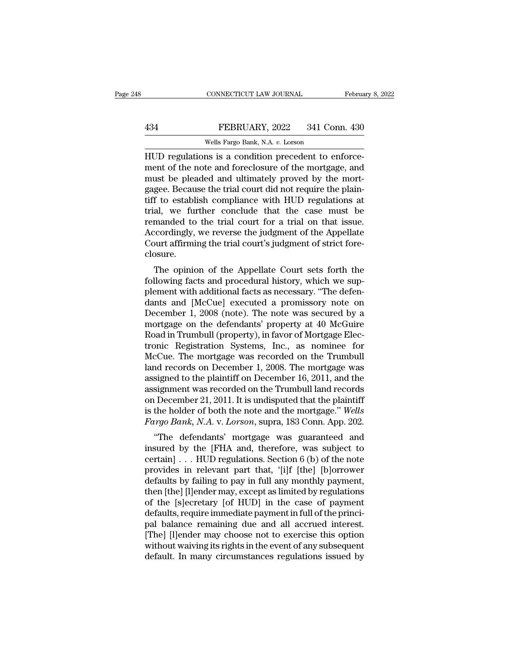### EXECTIVE CONNECTICUT LAW JOURNAL February 8, 2022<br>434 FEBRUARY, 2022 341 Conn. 430<br>Wells Fargo Bank, N.A. v. Lorson CONNECTICUT LAW JOURNAL<br>FEBRUARY, 2022 341 Con<br>Wells Fargo Bank, N.A. *v.* Lorson<br>ns is a condition precedent to et

CONNECTICUT LAW JOURNAL Februa<br>
HUD regulations is a condition precedent to enforce-<br>
HUD regulations is a condition precedent to enforce-<br>
HUD regulations is a condition precedent to enforce-<br>
must be pleaded and ultimate FEBRUARY, 2022 341 Conn. 430<br>Wells Fargo Bank, N.A. v. Lorson<br>HUD regulations is a condition precedent to enforce-<br>ment of the note and foreclosure of the mortgage, and<br>must be pleaded and ultimately proved by the mort-FEBRUARY, 2022 341 Conn. 430<br>Wells Fargo Bank, N.A. v. Lorson<br>HUD regulations is a condition precedent to enforce-<br>ment of the note and foreclosure of the mortgage, and<br>must be pleaded and ultimately proved by the mort-<br>g FEBRUARY, 2022 341 Conn. 430<br>
Wells Fargo Bank, N.A. v. Lorson<br>
HUD regulations is a condition precedent to enforce-<br>
ment of the note and foreclosure of the mortgage, and<br>
must be pleaded and ultimately proved by the mort Wells Fargo Bank, N.A. v. Lorson<br>
HUD regulations is a condition precedent to enforce-<br>
ment of the note and foreclosure of the mortgage, and<br>
must be pleaded and ultimately proved by the mort-<br>
gagee. Because the trial co Wells Fargo Bank, N.A. v. Lorson<br>
HUD regulations is a condition precedent to enforce-<br>
ment of the note and foreclosure of the mortgage, and<br>
must be pleaded and ultimately proved by the mort-<br>
gagee. Because the trial co HUD regulations is a condition precedent to enforcement of the note and foreclosure of the mortgage, and must be pleaded and ultimately proved by the mortgage. Because the trial court did not require the plaintiff to estab ment of the note and foreclosure of the mortgage, and<br>must be pleaded and ultimately proved by the mort-<br>gagee. Because the trial court did not require the plain-<br>tiff to establish compliance with HUD regulations at<br>trial, must be pleaded and ultimately proved by the mortgagee. Because the trial court did not require the plaintiff to establish compliance with HUD regulations at trial, we further conclude that the case must be remanded to the closure. The opinion of the Appellate Court sets forth the lowing facts and procedural history, we reverse the judgment of the Appellate Court affirming the trial court's judgment of strict fore-<br>Discussion of the Appellate Court s Franched to the trial court for a trial on that issue.<br>Accordingly, we reverse the judgment of the Appellate<br>Court affirming the trial court's judgment of strict fore-<br>closure.<br>The opinion of the Appellate Court sets forth

rentanted to the trial court for a trial off that issue.<br>Accordingly, we reverse the judgment of the Appellate<br>Court affirming the trial court's judgment of strict fore-<br>closure.<br>The opinion of the Appellate Court sets for Accordingly, we reverse the judgment of the Appenate<br>Court affirming the trial court's judgment of strict fore-<br>closure.<br>The opinion of the Appellate Court sets forth the<br>following facts and procedural history, which we su Court annihing the that Court s judgment of strict fore-<br>closure.<br>The opinion of the Appellate Court sets forth the<br>following facts and procedural history, which we sup-<br>plement with additional facts as necessary. "The def The opinion of the Appellate Court sets forth the<br>following facts and procedural history, which we sup-<br>plement with additional facts as necessary. "The defen-<br>dants and [McCue] executed a promissory note on<br>December 1, 20 The opinion of the Appellate Court sets forth the following facts and procedural history, which we supplement with additional facts as necessary. "The defendants and [McCue] executed a promissory note on December 1, 2008 ( following facts and procedural history, which we sup-<br>plement with additional facts as necessary. "The defen-<br>dants and [McCue] executed a promissory note on<br>December 1, 2008 (note). The note was secured by a<br>mortgage on t plement with additional facts as necessary. "The defendants and [McCue] executed a promissory note on December 1, 2008 (note). The note was secured by a mortgage on the defendants' property at 40 McGuire Road in Trumbull ( dants and [McCue] executed a promissory note on<br>December 1, 2008 (note). The note was secured by a<br>mortgage on the defendants' property at 40 McGuire<br>Road in Trumbull (property), in favor of Mortgage Elec-<br>tronic Registrat December 1, 2008 (note). The note was secured by a<br>mortgage on the defendants' property at 40 McGuire<br>Road in Trumbull (property), in favor of Mortgage Elec-<br>tronic Registration Systems, Inc., as nominee for<br>McCue. The mor mortgage on the defendants' property at 40 McGuire<br>Road in Trumbull (property), in favor of Mortgage Electronic Registration Systems, Inc., as nominee for<br>McCue. The mortgage was recorded on the Trumbull<br>land records on De Road in Trumbull (property), in favor of Mortgage Electronic Registration Systems, Inc., as nominee for McCue. The mortgage was recorded on the Trumbull land records on December 1, 2008. The mortgage was assigned to the pl tronic Registration Systems, Inc., as nominee for<br>McCue. The mortgage was recorded on the Trumbull<br>land records on December 1, 2008. The mortgage was<br>assigned to the plaintiff on December 16, 2011, and the<br>assignment was r *McCue. The mortgage was recorded on the Trumbull*<br>land records on December 1, 2008. The mortgage was<br>assigned to the plaintiff on December 16, 2011, and the<br>assignment was recorded on the Trumbull land records<br>on December the records of December 1, 2003. The mortgage was<br>
signed to the plaintiff on December 16, 2011, and the<br>
signment was recorded on the Trumbull land records<br>
December 21, 2011. It is undisputed that the plaintiff<br>
the hol assigned to the plantifi of December 10, 2011, and the<br>assignment was recorded on the Trumbull land records<br>on December 21, 2011. It is undisputed that the plaintiff<br>is the holder of both the note and the mortgage." Wells

assignment was recorded on the Trumbun rand records<br>on December 21, 2011. It is undisputed that the plaintiff<br>is the holder of both the note and the mortgage." Wells<br>Fargo Bank, N.A. v. Lorson, supra, 183 Conn. App. 202.<br> on December 21, 2011. It is undisputed that the plant.<br>
is the holder of both the note and the mortgage." Wells<br> *Fargo Bank*, N.A. v. Lorson, supra, 183 Conn. App. 202.<br>
"The defendants' mortgage was guaranteed and<br>
insu Fargo Bank, N.A. v. Lorson, supra, 183 Conn. App. 202.<br>
"The defendants' mortgage was guaranteed and<br>
insured by the [FHA and, therefore, was subject to<br>
certain] . . . HUD regulations. Section 6 (b) of the note<br>
provides *Furgo Bank, IV.A. V. Lorson*, supra, 103 Comit. App. 202.<br>
"The defendants' mortgage was guaranteed and<br>
insured by the [FHA and, therefore, was subject to<br>
certain]... HUD regulations. Section 6 (b) of the note<br>
provide "The defendants' mortgage was guaranteed and<br>insured by the [FHA and, therefore, was subject to<br>certain] . . . HUD regulations. Section 6 (b) of the note<br>provides in relevant part that, '[i]f [the] [b]orrower<br>defaults by insured by the [FHA and, therefore, was subject to certain]  $\ldots$  HUD regulations. Section 6 (b) of the note provides in relevant part that, '[i]f [the] [b]orrower defaults by failing to pay in full any monthly payment, t certain] . . . HUD regulations. Section 6 (b) of the note<br>provides in relevant part that, '[i]f [the] [b]orrower<br>defaults by failing to pay in full any monthly payment,<br>then [the] [l]ender may, except as limited by regulat provides in relevant part that, '[i]f [the] [b]orrower<br>defaults by failing to pay in full any monthly payment,<br>then [the] [l]ender may, except as limited by regulations<br>of the [s]ecretary [of HUD] in the case of payment<br>de defaults by failing to pay in full any monthly payment,<br>then [the] [l]ender may, except as limited by regulations<br>of the [s]ecretary [of HUD] in the case of payment<br>defaults, require immediate payment in full of the princi then [the] [l]ender may, except as limited by regulations<br>of the [s]ecretary [of HUD] in the case of payment<br>defaults, require immediate payment in full of the princi-<br>pal balance remaining due and all accrued interest.<br>[T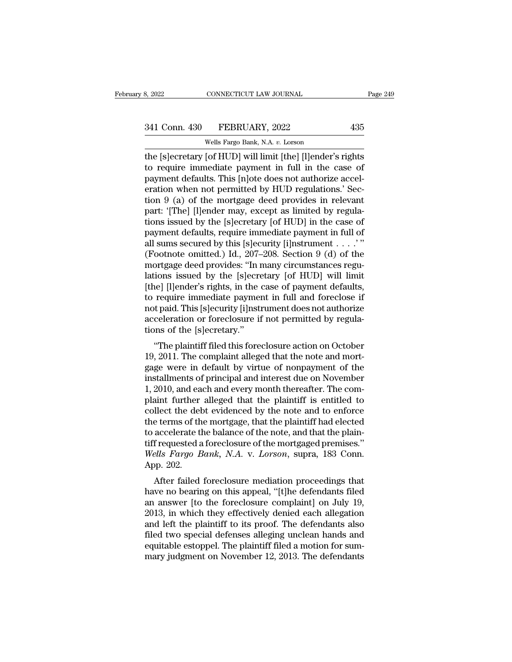# 341 Conn. 430 FEBRUARY, 2022 435<br>Wells Fargo Bank, N.A. v. Lorson

CONNECTICUT LAW JOURNAL<br>FEBRUARY, 2022<br>Wells Fargo Bank, N.A. *v.* Lorson<br>[of HUD] will limit [the] [l]ender's the ES and Same CONNECTICUT LAW JOURNAL Trage 249<br>
Sal 1 Conn. 430 FEBRUARY, 2022 435<br>
The [s]ecretary [of HUD] will limit [the] [l]ender's rights<br>
to require immediate payment in full in the case of<br>
mayment defaults. Thi 341 Conn. 430 FEBRUARY, 2022 435<br>
Wells Fargo Bank, N.A. v. Lorson<br>
the [s]ecretary [of HUD] will limit [the] [l]ender's rights<br>
to require immediate payment in full in the case of<br>
payment defaults. This [n]ote does not a 341 Conn. 430 FEBRUARY, 2022 435<br>
Wells Fargo Bank, N.A. v. Lorson<br>
the [s]ecretary [of HUD] will limit [the] [l]ender's rights<br>
to require immediate payment in full in the case of<br>
payment defaults. This [n]ote does not 341 Conn. 430 FEBRUARY, 2022 435<br>
Wells Fargo Bank, N.A. v. Lorson<br>
the [s]ecretary [of HUD] will limit [the] [l]ender's rights<br>
to require immediate payment in full in the case of<br>
payment defaults. This [n]ote does not a Wells Fargo Bank, N.A. v. Lorson<br>the [s]ecretary [of HUD] will limit [the] [l]ender's rights<br>to require immediate payment in full in the case of<br>payment defaults. This [n]ote does not authorize accel-<br>eration when not perm Wells Fargo Bank, N.A. v. Lorson<br>the [s]ecretary [of HUD] will limit [the] [l]ender's rights<br>to require immediate payment in full in the case of<br>payment defaults. This [n]ote does not authorize accel-<br>eration when not perm the [s]ecretary [of HUD] will limit [the] [l]ender's rights<br>to require immediate payment in full in the case of<br>payment defaults. This [n]ote does not authorize accel-<br>eration when not permitted by HUD regulations.' Sec-<br>t to require immediate payment in full in the case of<br>payment defaults. This [n]ote does not authorize accel-<br>eration when not permitted by HUD regulations.' Sec-<br>tion 9 (a) of the mortgage deed provides in relevant<br>part: ' payment defaults. This [n]ote does not authorize acceleration when not permitted by HUD regulations.' Section 9 (a) of the mortgage deed provides in relevant part: '[The] [l]ender may, except as limited by regulations issu eration when not permitted by HUD regulations.' Section 9 (a) of the mortgage deed provides in relevant<br>part: '[The] [l]ender may, except as limited by regulations issued by the [s]ecretary [of HUD] in the case of<br>payment tion 9 (a) of the mortgage deed provides in relevant<br>part: '[The] [l]ender may, except as limited by regulations issued by the [s]ecretary [of HUD] in the case of<br>payment defaults, require immediate payment in full of<br>all part: '[The] [l]ender may, except as limited by regulations issued by the [s]ecretary [of HUD] in the case of payment defaults, require immediate payment in full of all sums secured by this [s]ecurity [i]nstrument  $\ldots$ . tions issued by the [s]ecretary [of HUD] in the case of<br>payment defaults, require immediate payment in full of<br>all sums secured by this [s]ecurity [i]nstrument  $\ldots$ . "<br>(Footnote omitted.) Id., 207–208. Section 9 (d) of t payment defaults, require immediate payment in full of<br>all sums secured by this [s]ecurity [i]nstrument  $\dots$ ."<br>(Footnote omitted.) Id., 207–208. Section 9 (d) of the<br>mortgage deed provides: "In many circumstances regu-<br>la all sums secured by this [s]ecurity [i]nstrument . . . . . "<br>(Footnote omitted.) Id., 207–208. Section 9 (d) of the<br>mortgage deed provides: "In many circumstances regu-<br>lations issued by the [s]ecretary [of HUD] will limit (Footnote omitted.) Id., 207–208. Section 9 (d) of the mortgage deed provides: "In many circumstances regulations issued by the [s]ecretary [of HUD] will limit [the] [l]ender's rights, in the case of payment defaults, to r mortgage deed provides: "In r<br>lations issued by the [s]ecre<br>[the] [l]ender's rights, in the of<br>to require immediate paymer<br>not paid. This [s]ecurity [i]nstracceleration or foreclosure if<br>tions of the [s]ecretary."<br>"The pla The plaintiff filed this foreclosure action on October<br>
and Moreover and The planner in full and foreclose if<br>
the paid. This [s]ecurity [i]nstrument does not authorize<br>
celeration or foreclosure if not permitted by regula [the] [f]ender s rights, in the case of payment deradits,<br>to require immediate payment in full and foreclose if<br>not paid. This [s]ecurity [i]nstrument does not authorize<br>acceleration or foreclosure if not permitted by regu

to require initialize payment in fun and foreclose in<br>not paid. This [s]ecurity [i]nstrument does not authorize<br>acceleration or foreclosure if not permitted by regula-<br>tions of the [s]ecretary."<br>"The plaintiff filed this f inct paid. This [s]ecurity [i]ilstrument does not additionze acceleration or foreclosure if not permitted by regulations of the [s]ecretary."<br>
"The plaintiff filed this foreclosure action on October<br>
19, 2011. The complain acceleration of forecosure if not permitted by regula-<br>tions of the [s]ecretary."<br>"The plaintiff filed this foreclosure action on October<br>19, 2011. The complaint alleged that the note and mort-<br>gage were in default by virt "The plaintiff filed this foreclosure action on October 19, 2011. The complaint alleged that the note and mortgage were in default by virtue of nonpayment of the installments of principal and interest due on November 1, 2 "The plaintiff filed this foreclosure action on October 19, 2011. The complaint alleged that the note and mortgage were in default by virtue of nonpayment of the installments of principal and interest due on November 1, 2 19, 2011. The complaint alleged that the note and mort-<br>gage were in default by virtue of nonpayment of the<br>installments of principal and interest due on November<br>1, 2010, and each and every month thereafter. The com-<br>pla gage were in default by virtue of nonpayment of the<br>installments of principal and interest due on November<br>1, 2010, and each and every month thereafter. The com-<br>plaint further alleged that the plaintiff is entitled to<br>co installments of principal and interest due on November<br>1, 2010, and each and every month thereafter. The com-<br>plaint further alleged that the plaintiff is entitled to<br>collect the debt evidenced by the note and to enforce<br>t 1, 2010, and each and every month thereafter. The complaint further alleged that the plaintiff is entitled to collect the debt evidenced by the note and to enforce the terms of the mortgage, that the plaintiff had elected plaint further<br>collect the debt<br>the terms of th<br>to accelerate tl<br>tiff requested a<br>Wells Fargo B<br>App. 202.<br>After failed meet the debt evidenced by the hote and to enforce<br>e terms of the mortgage, that the plaintiff had elected<br>accelerate the balance of the note, and that the plain-<br>frequested a foreclosure of the mortgaged premises."<br>*ells* the terms of the mortgage, that the plaintiff radiate to accelerate the balance of the note, and that the plaintiff requested a foreclosure of the mortgaged premises."<br> *Wells Fargo Bank*, *N.A.* v. *Lorson*, supra, 183 Co

to accelerate the balance of the hote, and that the plant-<br>tiff requested a foreclosure of the mortgaged premises."<br>Wells Fargo Bank, N.A. v. Lorson, supra, 183 Conn.<br>App. 202.<br>After failed foreclosure mediation proceeding In requested a foreclosure of the mortgaged premises.<br>
Wells Fargo Bank, N.A. v. Lorson, supra, 183 Conn.<br>
App. 202.<br>
After failed foreclosure mediation proceedings that<br>
have no bearing on this appeal, "[t]he defendants f Weds *Paryo Bank*, *IV.A. V. Lorson*, supra, 165 Com.<br>App. 202.<br>After failed foreclosure mediation proceedings that<br>have no bearing on this appeal, "[t]he defendants filed<br>an answer [to the foreclosure complaint] on July 1 App. 202.<br>
After failed foreclosure mediation proceedings that<br>
have no bearing on this appeal, "[t]he defendants filed<br>
an answer [to the foreclosure complaint] on July 19,<br>
2013, in which they effectively denied each al After failed foreclosure mediation proceedings that<br>have no bearing on this appeal, "[t]he defendants filed<br>an answer [to the foreclosure complaint] on July 19,<br>2013, in which they effectively denied each allegation<br>and le have no bearing on this appeal, "[t]he defendants filed<br>an answer [to the foreclosure complaint] on July 19,<br>2013, in which they effectively denied each allegation<br>and left the plaintiff to its proof. The defendants also<br>f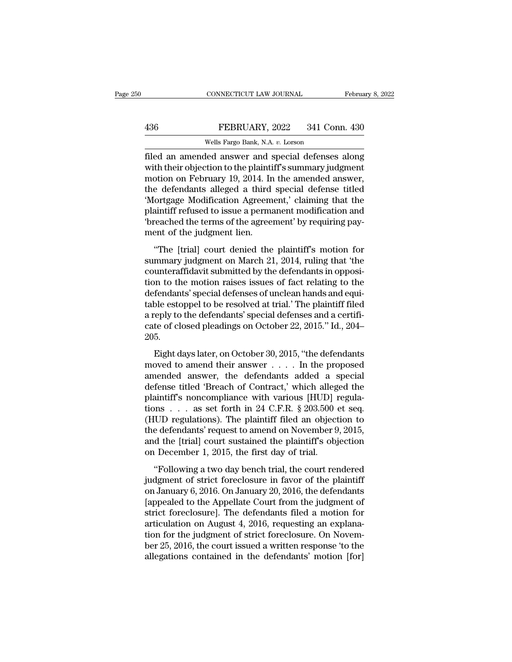### EXECTIVE CONNECTICUT LAW JOURNAL February 8, 2022<br>436 FEBRUARY, 2022 341 Conn. 430<br>Wells Fargo Bank, N.A. v. Lorson CONNECTICUT LAW JOURNAL<br>FEBRUARY, 2022 341 Con<br>Wells Fargo Bank, N.A. *v.* Lorson<br>led answer and special defenses

FEBRUARY, 2022 341 Conn. 430<br>
FEBRUARY, 2022 341 Conn. 430<br>
Wells Fargo Bank, N.A. v. Lorson<br>
filed an amended answer and special defenses along<br>
with their objection to the plaintiff's summary judgment<br>
motion on February FEBRUARY, 2022 341 Conn. 430<br>Wells Fargo Bank, N.A. v. Lorson<br>filed an amended answer and special defenses along<br>with their objection to the plaintiff's summary judgment<br>motion on February 19, 2014. In the amended answer,<br> FEBRUARY, 2022 341 Conn. 430<br>Wells Fargo Bank, N.A. v. Lorson<br>Filed an amended answer and special defenses along<br>with their objection to the plaintiff's summary judgment<br>motion on February 19, 2014. In the amended answer, FEBRUARY, 2022  $\,$  341 Conn. 430<br>
Wells Fargo Bank, N.A. v. Lorson<br>
filed an amended answer and special defenses along<br>
with their objection to the plaintiff's summary judgment<br>
motion on February 19, 2014. In the amende Wells Fargo Bank, N.A. v. Lorson<br>
filed an amended answer and special defenses along<br>
with their objection to the plaintiff's summary judgment<br>
motion on February 19, 2014. In the amended answer,<br>
the defendants alleged a wells Fargo Bank, N.A. v. Lorson<br>filed an amended answer and special defenses along<br>with their objection to the plaintiff's summary judgment<br>motion on February 19, 2014. In the amended answer,<br>the defendants alleged a thir filed an amended answer and special defenses along<br>with their objection to the plaintiff's summary judgment<br>motion on February 19, 2014. In the amended answer,<br>the defendants alleged a third special defense titled<br>'Mortgag with their objection to the plaintiful<br>motion on February 19, 2014. In<br>the defendants alleged a third<br>"Mortgage Modification Agreem<br>plaintiff refused to issue a perma<br>"breached the terms of the agreement of the judgment li Experiment and the difference answer,<br>
e defendants alleged a third special defense titled<br>
ortgage Modification Agreement,' claiming that the<br>
aintiff refused to issue a permanent modification and<br>
reached the terms of th Such the detendants and given a time special detense time different (Mortgage Modification Agreement,' claiming that the plaintiff refused to issue a permanent modification and 'breached the terms of the agreement' by requ

contexts of the defendant of the defendant<br>plaintiff refused to issue a permanent modification and<br>"breached the terms of the agreement' by requiring pay-<br>ment of the judgment lien.<br>"The [trial] court denied the plaintiff' plantant retalsed to issue a permanent incomediatori and<br>
"breached the terms of the agreement' by requiring pay-<br>
"The [trial] court denied the plaintiff's motion for<br>
summary judgment on March 21, 2014, ruling that 'the<br> definite the specifical defendants<br>
"The [trial] court denied the plaintiff's motion for<br>
summary judgment on March 21, 2014, ruling that 'the<br>
counteraffidavit submitted by the defendants in opposi-<br>
tion to the motion ra "The [trial] court denied the plaintiff's motion for<br>summary judgment on March 21, 2014, ruling that 'the<br>counteraffidavit submitted by the defendants in opposi-<br>tion to the motion raises issues of fact relating to the<br>de "The [trial] court denied the plaintiff's motion for<br>summary judgment on March 21, 2014, ruling that 'the<br>counteraffidavit submitted by the defendants in opposi-<br>tion to the motion raises issues of fact relating to the<br>de summary judgment on March 21, 2014, ruling that 'the counteraffidavit submitted by the defendants in opposition to the motion raises issues of fact relating to the defendants' special defenses of unclean hands and equitabl 205. Fendants' special defenses of unclean hands and equi-<br>ble estoppel to be resolved at trial.' The plaintiff filed<br>reply to the defendants' special defenses and a certifi-<br>te of closed pleadings on October 22, 2015." Id., 2 determinity special detenses of different rights and equilibrate to be resolved at trial.' The plaintiff filed<br>a reply to the defendants' special defenses and a certificate of closed pleadings on October 22, 2015." Id., 20

a reply to the defendants' special defenses and a certificate of closed pleadings on October 22, 2015." Id., 204–<br>205.<br>Eight days later, on October 30, 2015, "the defendants<br>moved to amend their answer  $\dots$ . In the propos cate of closed pleadings on October 22, 2015." Id., 204–<br>205.<br>Eight days later, on October 30, 2015, "the defendants<br>moved to amend their answer  $\dots$ . In the proposed<br>amended answer, the defendants added a special<br>defense 205.<br>
Eight days later, on October 30, 2015, "the defendants<br>
moved to amend their answer  $\dots$ . In the proposed<br>
amended answer, the defendants added a special<br>
defense titled 'Breach of Contract,' which alleged the<br>
plai Eight days later, on October 30, 2015, "the defendants<br>moved to amend their answer  $\dots$ . In the proposed<br>amended answer, the defendants added a special<br>defense titled 'Breach of Contract,' which alleged the<br>plaintiff's no Eight days later, on October 30, 2015, "the defendants<br>moved to amend their answer . . . . . In the proposed<br>amended answer, the defendants added a special<br>defense titled 'Breach of Contract,' which alleged the<br>plaintiff' moved to amend their answer  $\ldots$  . In the proposed amended answer, the defendants added a special defense titled 'Breach of Contract,' which alleged the plaintiff's noncompliance with various [HUD] regulations  $\ldots$  as s amended answer, the defendants added a special<br>defense titled 'Breach of Contract,' which alleged the<br>plaintiff's noncompliance with various [HUD] regula-<br>tions . . . as set forth in 24 C.F.R. § 203.500 et seq.<br>(HUD regula defense titled 'Breach of Contract,' which alleg<br>plaintiff's noncompliance with various [HUD] i<br>tions . . . as set forth in 24 C.F.R. § 203.500 (<br>HUD regulations). The plaintiff filed an object<br>the defendants' request to a The state of the state of the state of the state of the state of the state of the defendants' request to amend on November 9, 2015, d the [trial] court sustained the plaintiff's objection in December 1, 2015, the first da (HUD regulations). The plaintiff filed an objection to<br>the defendants' request to amend on November 9, 2015,<br>and the [trial] court sustained the plaintiff's objection<br>on December 1, 2015, the first day of trial.<br>"Followin

(Figure 2 regards only). The plantant filed at exploration of<br>the defendants' request to amend on November 9, 2015,<br>and the [trial] court sustained the plaintiff's objection<br>on December 1, 2015, the first day of trial.<br>"Fo and the [trial] court sustained the plaintiff's objection<br>on December 1, 2015, the first day of trial.<br>"Following a two day bench trial, the court rendered<br>judgment of strict foreclosure in favor of the plaintiff<br>on Janua and the [char] court stastance the plant. The sospection<br>on December 1, 2015, the first day of trial.<br>"Following a two day bench trial, the court rendered<br>judgment of strict foreclosure in favor of the plaintiff<br>on January articulation on August 4, 2016, and the court rendered judgment of strict foreclosure in favor of the plaintiff<br>on January 6, 2016. On January 20, 2016, the defendants<br>[appealed to the Appellate Court from the judgment of "Following a two day bench trial, the court rendered<br>judgment of strict foreclosure in favor of the plaintiff<br>on January 6, 2016. On January 20, 2016, the defendants<br>[appealed to the Appellate Court from the judgment of<br>st judgment of strict foreclosure in favor of the plaintiff<br>on January 6, 2016. On January 20, 2016, the defendants<br>[appealed to the Appellate Court from the judgment of<br>strict foreclosure]. The defendants filed a motion for<br> on January 6, 2016. On January 20, 2016, the defendants<br>[appealed to the Appellate Court from the judgment of<br>strict foreclosure]. The defendants filed a motion for<br>articulation on August 4, 2016, requesting an explana-<br>ti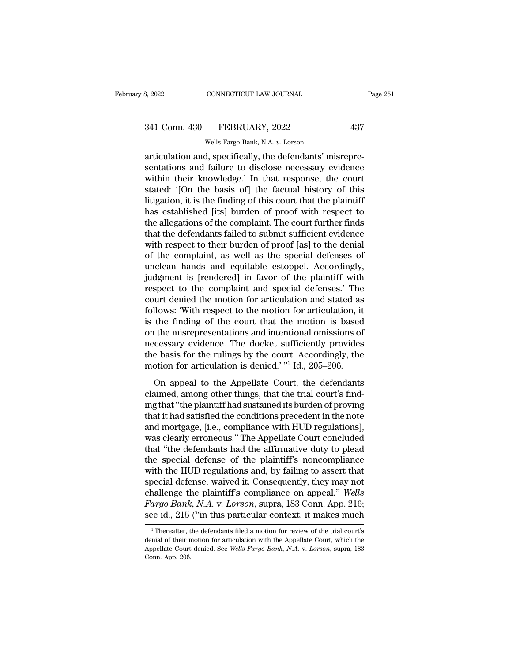# 3, 2022 CONNECTICUT LAW JOURNAL Page 251<br>341 Conn. 430 FEBRUARY, 2022 437<br>Wells Fargo Bank, N.A. v. Lorson

CONNECTICUT LAW JOURNAL<br>FEBRUARY, 2022<br>Wells Fargo Bank, N.A. *v.* Lorson<br>despecifically the defendants' mis articulation and, specifically, the defendants' misrepre-<br>
articulation and, specifically, the defendants' misrepre-<br>
articulation and, specifically, the defendants' misrepre-<br>
sentations and failure to disclose necessary 341 Conn. 430 FEBRUARY, 2022 437<br>
Wells Fargo Bank, N.A. v. Lorson<br>
articulation and, specifically, the defendants' misrepre-<br>
sentations and failure to disclose necessary evidence<br>
within their knowledge.' In that respons 341 Conn. 430 FEBRUARY, 2022 437<br>Wells Fargo Bank, N.A. v. Lorson<br>articulation and, specifically, the defendants' misrepre-<br>sentations and failure to disclose necessary evidence<br>within their knowledge.' In that response, t 341 Conn. 430 FEBRUARY, 2022 437<br>
Wells Fargo Bank, N.A. v. Lorson<br>
articulation and, specifically, the defendants' misrepre-<br>
sentations and failure to disclose necessary evidence<br>
within their knowledge.' In that respons Wells Fargo Bank, N.A. v. Lorson<br>articulation and, specifically, the defendants' misrepre-<br>sentations and failure to disclose necessary evidence<br>within their knowledge.' In that response, the court<br>stated: '[On the basis o wells rargo Bank, N.A.  $v$ . Lorson<br>articulation and, specifically, the defendants' misrepre-<br>sentations and failure to disclose necessary evidence<br>within their knowledge.' In that response, the court<br>stated: '[On the basi articulation and, specifically, the defendants' misrepre-<br>sentations and failure to disclose necessary evidence<br>within their knowledge.' In that response, the court<br>stated: '[On the basis of] the factual history of this<br>li sentations and failure to disclose necessary evidence<br>within their knowledge.' In that response, the court<br>stated: '[On the basis of] the factual history of this<br>litigation, it is the finding of this court that the plainti within their knowledge.' In that response, the court<br>stated: '[On the basis of] the factual history of this<br>litigation, it is the finding of this court that the plaintiff<br>has established [its] burden of proof with respect stated: '[On the basis of] the factual history of this<br>litigation, it is the finding of this court that the plaintiff<br>has established [its] burden of proof with respect to<br>the allegations of the complaint. The court furthe litigation, it is the finding of this court that the plaintiff<br>has established [its] burden of proof with respect to<br>the allegations of the complaint. The court further finds<br>that the defendants failed to submit sufficient has established [its] burden of proof with respect to<br>the allegations of the complaint. The court further finds<br>that the defendants failed to submit sufficient evidence<br>with respect to their burden of proof [as] to the den the allegations of the complaint. The court further finds<br>that the defendants failed to submit sufficient evidence<br>with respect to their burden of proof [as] to the denial<br>of the complaint, as well as the special defenses that the defendants failed to submit sufficient evidence<br>with respect to their burden of proof [as] to the denial<br>of the complaint, as well as the special defenses of<br>unclean hands and equitable estoppel. Accordingly,<br>judg with respect to their burden of proof [as] to the denial<br>of the complaint, as well as the special defenses of<br>unclean hands and equitable estoppel. Accordingly,<br>judgment is [rendered] in favor of the plaintiff with<br>respect of the complaint, as well as the special defenses of<br>unclean hands and equitable estoppel. Accordingly,<br>judgment is [rendered] in favor of the plaintiff with<br>respect to the complaint and special defenses.' The<br>court denied unclean hands and equitable estoppel. Accordingly,<br>judgment is [rendered] in favor of the plaintiff with<br>respect to the complaint and special defenses.' The<br>court denied the motion for articulation and stated as<br>follows: ' judgment is [rendered] in favor of the plaintiff with<br>respect to the complaint and special defenses.' The<br>court denied the motion for articulation and stated as<br>follows: 'With respect to the motion for articulation, it<br>is respect to the complaint and special defenses.' The<br>court denied the motion for articulation and stated as<br>follows: 'With respect to the motion for articulation, it<br>is the finding of the court that the motion is based<br>on t court denied the motion for articulation and stated as follows: 'With respect to the motion for articulation, it is the finding of the court that the motion is based on the misrepresentations and intentional omissions of n The finding of the court that the motion is based<br>the misrepresentations and intentional omissions of<br>cessary evidence. The docket sufficiently provides<br>e basis for the rulings by the court. Accordingly, the<br>otion for arti claim the misrepresentations and intentional omissions of<br>necessary evidence. The docket sufficiently provides<br>the basis for the rulings by the court. Accordingly, the<br>motion for articulation is denied.' "<sup>1</sup> Id., 205–206.

on the mateprosentations and methods on the subseted of<br>
the basis for the rulings by the court. Accordingly, the<br>
motion for articulation is denied.' "<sup>1</sup> Id., 205–206.<br>
On appeal to the Appellate Court, the defendants<br>
c the basis for the rulings by the court. Accordingly, the<br>motion for articulation is denied.' "<sup>1</sup> Id., 205–206.<br>On appeal to the Appellate Court, the defendants<br>claimed, among other things, that the trial court's find-<br>ing and state for the range  $z_j$  are set an resordingly, are<br>motion for articulation is denied.' "I Id., 205–206.<br>On appeal to the Appellate Court, the defendants<br>claimed, among other things, that the trial court's find-<br>ing on appeal to the Appellate Court, the defendants<br>claimed, among other things, that the trial court's find-<br>ing that "the plaintiff had sustained its burden of proving<br>that it had satisfied the conditions precedent in the n On appeal to the Appellate Court, the defendants<br>claimed, among other things, that the trial court's find-<br>ing that "the plaintiff had sustained its burden of proving<br>that it had satisfied the conditions precedent in the n claimed, among other things, that the trial court's find-<br>ing that "the plaintiff had sustained its burden of proving<br>that it had satisfied the conditions precedent in the note<br>and mortgage, [i.e., compliance with HUD regu ing that "the plaintiff had sustained its burden of proving<br>that it had satisfied the conditions precedent in the note<br>and mortgage, [i.e., compliance with HUD regulations],<br>was clearly erroneous." The Appellate Court conc that it had satisfied the conditions precedent in the note<br>and mortgage, [i.e., compliance with HUD regulations],<br>was clearly erroneous." The Appellate Court concluded<br>that "the defendants had the affirmative duty to plead and mortgage, [i.e., compliance with HUD regulations],<br>was clearly erroneous." The Appellate Court concluded<br>that "the defendants had the affirmative duty to plead<br>the special defense of the plaintiff's noncompliance<br>with was clearly erroneous." The Appellate Court concluded<br>that "the defendants had the affirmative duty to plead<br>the special defense of the plaintiff's noncompliance<br>with the HUD regulations and, by failing to assert that<br>spec that "the defendants had the affirmative duty to plead<br>the special defense of the plaintiff's noncompliance<br>with the HUD regulations and, by failing to assert that<br>special defense, waived it. Consequently, they may not<br>cha becial defense, waived it. Consequently, they may not<br>nallenge the plaintiff's compliance on appeal." Wells<br>argo Bank, N.A. v. Lorson, supra, 183 Conn. App. 216;<br>ee id., 215 ("in this particular context, it makes much<br><sup>1</sup> challenge the plaintiff's compliance on appeal." Wells<br>Fargo Bank, N.A. v. Lorson, supra, 183 Conn. App. 216;<br>see id., 215 ("in this particular context, it makes much<br><sup>1</sup> Thereafter, the defendants filed a motion for revie

Fargo Bank, N.A. v. *Lorson*, supra, 183 Conn. App. 216;<br>see id., 215 ("in this particular context, it makes much<br><sup>1</sup> Thereafter, the defendants filed a motion for review of the trial court's<br>denial of their motion for art See id., 215<br>
Thereafter, the independent of their number<br>
Appellate Court<br>
Conn. App. 206.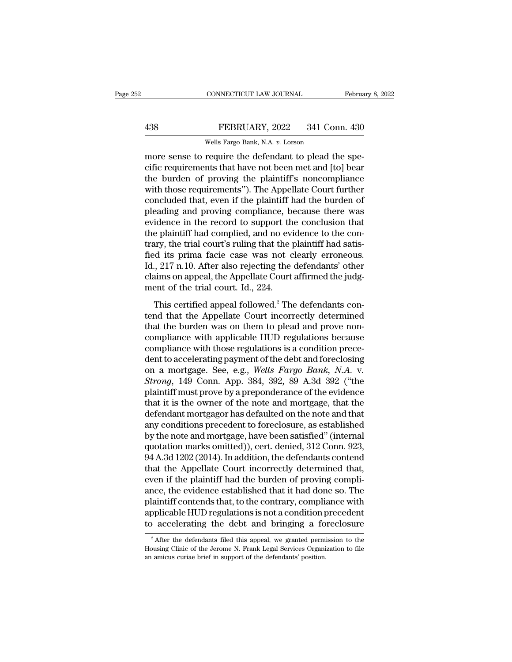### EXECTIVE CONNECTICUT LAW JOURNAL February 8, 2022<br>438 FEBRUARY, 2022 341 Conn. 430<br>Wells Fargo Bank, N.A. v. Lorson CONNECTICUT LAW JOURNAL<br>FEBRUARY, 2022 341 Connel<br>Wells Fargo Bank, N.A. *v.* Lorson<br>require the defendant to plead the

CONNECTICUT LAW JOURNAL Februa<br>
438 FEBRUARY, 2022 341 Conn. 430<br>
Wells Fargo Bank, N.A. v. Lorson<br>
more sense to require the defendant to plead the spe-<br>
cific requirements that have not been met and [to] bear<br>
the burden FEBRUARY, 2022 341 Conn. 430<br>Wells Fargo Bank, N.A. v. Lorson<br>more sense to require the defendant to plead the specific requirements that have not been met and [to] bear<br>the burden of proving the plaintiff's noncompliance<br> FEBRUARY, 2022 341 Conn. 430<br>Wells Fargo Bank, N.A.  $v$ . Lorson<br>more sense to require the defendant to plead the spe-<br>cific requirements that have not been met and [to] bear<br>the burden of proving the plaintiff's noncompli FEBRUARY, 2022 341 Conn. 430<br>
Wells Fargo Bank, N.A.  $v$ . Lorson<br>
more sense to require the defendant to plead the specific<br>
requirements that have not been met and [to] bear<br>
the burden of proving the plaintiff's noncomp Wells Fargo Bank, N.A. v. Lorson<br>more sense to require the defendant to plead the spe-<br>cific requirements that have not been met and [to] bear<br>the burden of proving the plaintiff's noncompliance<br>with those requirements''). wells rargo Bank, N.A.  $v$ . Lorson<br>more sense to require the defendant to plead the spe-<br>cific requirements that have not been met and [to] bear<br>the burden of proving the plaintiff's noncompliance<br>with those requirements" more sense to require the defendant to plead the specific requirements that have not been met and [to] bear<br>the burden of proving the plaintiff's noncompliance<br>with those requirements''). The Appellate Court further<br>conclu cific requirements that have not been met and [to] bear<br>the burden of proving the plaintiff's noncompliance<br>with those requirements"). The Appellate Court further<br>concluded that, even if the plaintiff had the burden of<br>ple the burden of proving the plaintiff's noncompliance<br>with those requirements"). The Appellate Court further<br>concluded that, even if the plaintiff had the burden of<br>pleading and proving compliance, because there was<br>evidence with those requirements"). The Appellate Court further concluded that, even if the plaintiff had the burden of pleading and proving compliance, because there was evidence in the record to support the conclusion that the pl concluded that, even if the plaintiff had the burden of<br>pleading and proving compliance, because there was<br>evidence in the record to support the conclusion that<br>the plaintiff had complied, and no evidence to the con-<br>trary pleading and proving compliance, because there was<br>evidence in the record to support the conclusion that<br>the plaintiff had complied, and no evidence to the con-<br>trary, the trial court's ruling that the plaintiff had satisevidence in the record to support th<br>the plaintiff had complied, and no evi<br>trary, the trial court's ruling that the j<br>fied its prima facie case was not c<br>Id., 217 n.10. After also rejecting the<br>claims on appeal, the Appel range plantant had complied, and no evidence to the con-<br>tary, the trial court's ruling that the plaintiff had satis-<br>d its prima facie case was not clearly erroneous.<br>0. 217 n.10. After also rejecting the defendants' othe that the Same and the Appellate Court affirmed the judgement of the trial court. Id., 224.<br>This certified appeal followed.<sup>2</sup> The defendants' other claims on appeal, the Appellate Court affirmed the judgement of the trial

that the burden was not electric choice in the displace.<br>Id., 217 n.10. After also rejecting the defendants' other<br>claims on appeal, the Appellate Court affirmed the judg-<br>ment of the trial court. Id., 224.<br>This certified compliance with those regulations is a conditional complement of the trial court. Id., 224.<br>This certified appeal followed.<sup>2</sup> The defendants contend that the Appellate Court incorrectly determined that the burden was on t change of the trial court. Id., 224.<br>This certified appeal followed.<sup>2</sup> The defendants contend that the Appellate Court incorrectly determined<br>that the burden was on them to plead and prove non-<br>compliance with applicable This certified appeal followed.<sup>2</sup> The defendants contend that the Appellate Court incorrectly determined<br>that the burden was on them to plead and prove non-<br>compliance with applicable HUD regulations because<br>compliance w This certified appeal followed.<sup>2</sup> The defendants contend that the Appellate Court incorrectly determined that the burden was on them to plead and prove non-compliance with applicable HUD regulations because compliance wit that the burden was on them to plead and prove non-<br>compliance with applicable HUD regulations because<br>compliance with those regulations is a condition prece-<br>dent to accelerating payment of the debt and foreclosing<br>on a m compliance with applicable HUD regulations because<br>compliance with those regulations is a condition prece-<br>dent to accelerating payment of the debt and foreclosing<br>on a mortgage. See, e.g., *Wells Fargo Bank*, *N.A.* v.<br>*S* compliance with those regulations is a condition prece-<br>dent to accelerating payment of the debt and foreclosing<br>on a mortgage. See, e.g., *Wells Fargo Bank*, *N.A.* v.<br>*Strong*, 149 Conn. App. 384, 392, 89 A.3d 392 ("the<br> dent to accelerating payment of the debt and foreclosing<br>on a mortgage. See, e.g., *Wells Fargo Bank*, *N.A.* v.<br>*Strong*, 149 Conn. App. 384, 392, 89 A.3d 392 ("the<br>plaintiff must prove by a preponderance of the evidence<br> on a mortgage. See, e.g., *Wells Fargo Bank*, *N.A.* v.<br>*Strong*, 149 Conn. App. 384, 392, 89 A.3d 392 ("the<br>plaintiff must prove by a preponderance of the evidence<br>that it is the owner of the note and mortgage, that the<br>d Strong, 149 Conn. App. 384, 392, 89 A.3d 392 ("the plaintiff must prove by a preponderance of the evidence that it is the owner of the note and mortgage, that the defendant mortgagor has defaulted on the note and that any plaintiff must prove by a preponderance of the evidence<br>that it is the owner of the note and mortgage, that the<br>defendant mortgagor has defaulted on the note and that<br>any conditions precedent to foreclosure, as established that it is the owner of the note and mortgage, that the<br>defendant mortgagor has defaulted on the note and that<br>any conditions precedent to foreclosure, as established<br>by the note and mortgage, have been satisfied" (interna defendant mortgagor has defaulted on the note and that<br>any conditions precedent to foreclosure, as established<br>by the note and mortgage, have been satisfied" (internal<br>quotation marks omitted)), cert. denied, 312 Conn. 923 any conditions precedent to foreclosure, as established<br>by the note and mortgage, have been satisfied" (internal<br>quotation marks omitted)), cert. denied, 312 Conn. 923,<br>94 A.3d 1202 (2014). In addition, the defendants cont by the note and mortgage, have been satisfied" (internal<br>quotation marks omitted)), cert. denied, 312 Conn. 923,<br>94 A.3d 1202 (2014). In addition, the defendants contend<br>that the Appellate Court incorrectly determined that quotation marks omitted)), cert. denied, 312 Conn. 923,<br>94 A.3d 1202 (2014). In addition, the defendants contend<br>that the Appellate Court incorrectly determined that,<br>even if the plaintiff had the burden of proving compli-94 A.3d 1202 (2014). In addition, the defendants contend<br>that the Appellate Court incorrectly determined that,<br>even if the plaintiff had the burden of proving compli-<br>ance, the evidence established that it had done so. Th and the evidence established that it had done so. The laintiff contends that, to the contrary, compliance with opplicable HUD regulations is not a condition precedent accelerating the debt and bringing a foreclosure  $\frac{1}{$ plaintiff contends that, to the contrary, compliance with<br>applicable HUD regulations is not a condition precedent<br>to accelerating the debt and bringing a foreclosure<br><sup>2</sup> After the defendants filed this appeal, we granted p

applicable HUD regulations is not a condition to accelerating the debt and bringing a fo<br>
<sup>2</sup> After the defendants filed this appeal, we granted permi<br>
Housing Clinic of the Jerome N. Frank Legal Services Organi<br>
an amicus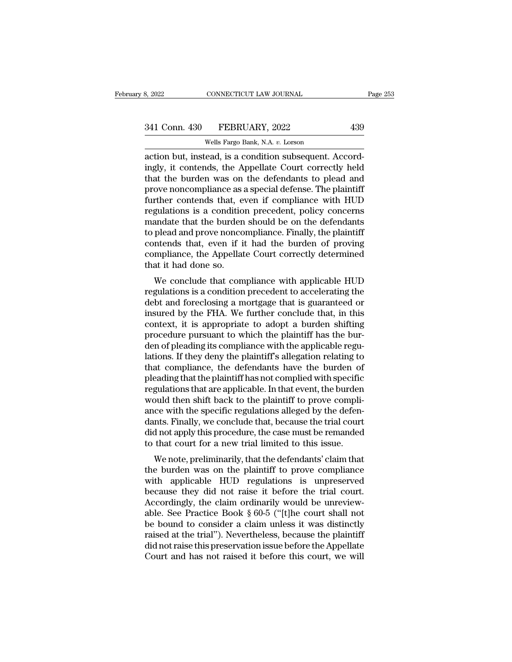action but, instead, is a condition subsequent. Accord-<br>action but, instead, is a condition subsequent. Accord-<br>action but, instead, is a condition subsequent. Accord-<br>tingly, it contends, the Appellate Court correctly hel 341 Conn. 430 FEBRUARY, 2022 439<br>
Wells Fargo Bank, N.A. v. Lorson<br>
action but, instead, is a condition subsequent. Accord-<br>
ingly, it contends, the Appellate Court correctly held<br>
that the burden was on the defendants to 341 Conn. 430 FEBRUARY, 2022 439<br>
Wells Fargo Bank, N.A. v. Lorson<br>
action but, instead, is a condition subsequent. Accord-<br>
ingly, it contends, the Appellate Court correctly held<br>
that the burden was on the defendants to 341 Conn. 430 FEBRUARY, 2022 439<br>
Wells Fargo Bank, N.A. v. Lorson<br>
action but, instead, is a condition subsequent. Accord-<br>
ingly, it contends, the Appellate Court correctly held<br>
that the burden was on the defendants to Wells Fargo Bank, N.A. v. Lorson<br>action but, instead, is a condition subsequent. Accord-<br>ingly, it contends, the Appellate Court correctly held<br>that the burden was on the defendants to plead and<br>prove noncompliance as a sp wells Fargo Bank, N.A.  $v$ . Lorson<br>action but, instead, is a condition subsequent. Accord-<br>ingly, it contends, the Appellate Court correctly held<br>that the burden was on the defendants to plead and<br>prove noncompliance as a action but, instead, is a condition subsequent. Accordingly, it contends, the Appellate Court correctly held<br>that the burden was on the defendants to plead and<br>prove noncompliance as a special defense. The plaintiff<br>furthe ingly, it contends, the Appellate Court correctly held<br>that the burden was on the defendants to plead and<br>prove noncompliance as a special defense. The plaintiff<br>further contends that, even if compliance with HUD<br>regulatio that the burden was on the defendants to plead and<br>prove noncompliance as a special defense. The plaintiff<br>further contends that, even if compliance with HUD<br>regulations is a condition precedent, policy concerns<br>mandate th prove noncompliance as a special defense. The plaintiff<br>further contends that, even if compliance with HUD<br>regulations is a condition precedent, policy concerns<br>mandate that the burden should be on the defendants<br>to plead further contends that, every<br>regulations is a condition<br>mandate that the burden<br>to plead and prove nonco<br>contends that, even if it<br>compliance, the Appellat<br>that it had done so.<br>We conclude that com gulations is a condition precedent, pointy concerns<br>andate that the burden should be on the defendants<br>plead and prove noncompliance. Finally, the plaintiff<br>intends that, even if it had the burden of proving<br>mpliance, the regulations is a condition precedent to accelerating the dependent of proving compliance, the Appellate Court correctly determined that it had done so.<br>We conclude that compliance with applicable HUD regulations is a cond

to piead and prove noncompilance. Finally, the plantificant contends that, even if it had the burden of proving compliance, the Appellate Court correctly determined that it had done so.<br>We conclude that compliance with app contents that, even if it had the buiten of proving<br>compliance, the Appellate Court correctly determined<br>that it had done so.<br>We conclude that compliance with applicable HUD<br>regulations is a condition precedent to accelera comphance, the Appenate Court correctly determined<br>that it had done so.<br>We conclude that compliance with applicable HUD<br>regulations is a condition precedent to accelerating the<br>debt and foreclosing a mortgage that is guara We conclude that compliance with applicable HUD<br>regulations is a condition precedent to accelerating the<br>debt and foreclosing a mortgage that is guaranteed or<br>insured by the FHA. We further conclude that, in this<br>context, We conclude that compliance with applicable HUD<br>regulations is a condition precedent to accelerating the<br>debt and foreclosing a mortgage that is guaranteed or<br>insured by the FHA. We further conclude that, in this<br>context, regulations is a condition precedent to accelerating the<br>debt and foreclosing a mortgage that is guaranteed or<br>insured by the FHA. We further conclude that, in this<br>context, it is appropriate to adopt a burden shifting<br>pro debt and foreclosing a mortgage that is guaranteed or<br>insured by the FHA. We further conclude that, in this<br>context, it is appropriate to adopt a burden shifting<br>procedure pursuant to which the plaintiff has the bur-<br>den o insured by the FHA. We further conclude that, in this context, it is appropriate to adopt a burden shifting procedure pursuant to which the plaintiff has the burden of pleading its compliance with the applicable regulation context, it is appropriate to adopt a burden shifting<br>procedure pursuant to which the plaintiff has the bur-<br>den of pleading its compliance with the applicable regu-<br>lations. If they deny the plaintiff's allegation relatin procedure pursuant to which the plaintiff has the burden of pleading its compliance with the applicable regulations. If they deny the plaintiff's allegation relating to that compliance, the defendants have the burden of pl den of pleading its compliance with the applicable regulations. If they deny the plaintiff's allegation relating to that compliance, the defendants have the burden of pleading that the plaintiff has not complied with speci lations. If they deny the plaintiff's allegation relating to<br>that compliance, the defendants have the burden of<br>pleading that the plaintiff has not complied with specific<br>regulations that are applicable. In that event, the that compliance, the defendants have the burden of<br>pleading that the plaintiff has not complied with specific<br>regulations that are applicable. In that event, the burden<br>would then shift back to the plaintiff to prove compl pleading that the plaintiff has not complied with specific<br>regulations that are applicable. In that event, the burden<br>would then shift back to the plaintiff to prove compli-<br>ance with the specific regulations alleged by th bould then shift back to the plaintiff to prove compli-<br>ce with the specific regulations alleged by the defen-<br>nts. Finally, we conclude that, because the trial court<br>d not apply this procedure, the case must be remanded<br>t would then shift back to the plaintiff to prove compli-<br>ance with the specific regulations alleged by the defen-<br>dants. Finally, we conclude that, because the trial court<br>did not apply this procedure, the case must be rema

ante with the specific regulations aneged by the defendants. Finally, we conclude that, because the trial court<br>did not apply this procedure, the case must be remanded<br>to that court for a new trial limited to this issue.<br>W because the trial court did not apply this procedure, the case must be remanded<br>to that court for a new trial limited to this issue.<br>We note, preliminarily, that the defendants' claim that<br>the burden was on the plaintiff Accordingly this procedure, the case must be remained<br>to that court for a new trial limited to this issue.<br>We note, preliminarily, that the defendants' claim that<br>the burden was on the plaintiff to prove compliance<br>with a to that court for a flew trial influed to this issue.<br>We note, preliminarily, that the defendants' claim that<br>the burden was on the plaintiff to prove compliance<br>with applicable HUD regulations is unpreserved<br>because they We note, preliminarily, that the defendants' claim that<br>the burden was on the plaintiff to prove compliance<br>with applicable HUD regulations is unpreserved<br>because they did not raise it before the trial court.<br>Accordingly, the burden was on the plaintiff to prove compliance<br>with applicable HUD regulations is unpreserved<br>because they did not raise it before the trial court.<br>Accordingly, the claim ordinarily would be unreview-<br>able. See Practi with applicable HUD regulations is unpreserved<br>because they did not raise it before the trial court.<br>Accordingly, the claim ordinarily would be unreview-<br>able. See Practice Book  $\S 60-5$  ("[t]he court shall not<br>be bound t because they did not raise it before the trial court.<br>Accordingly, the claim ordinarily would be unreviewable. See Practice Book  $\S 60-5$  ("[t]he court shall not<br>be bound to consider a claim unless it was distinctly<br>raise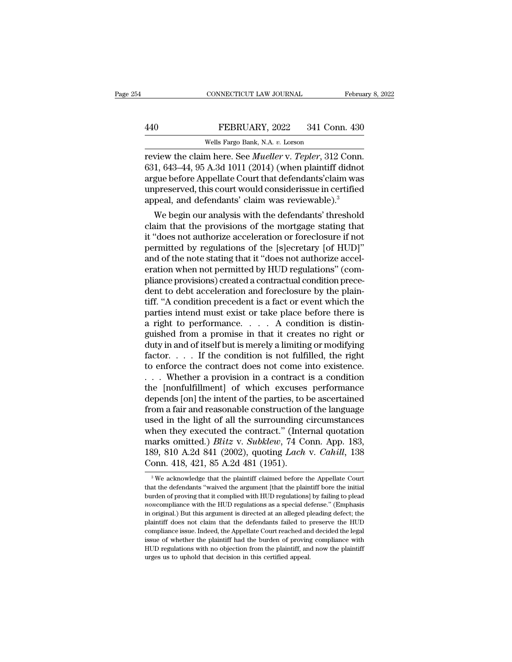rebruary 8, 2014<br>
TEBRUARY, 2022 341 Conn. 430<br>
Wells Fargo Bank, N.A. v. Lorson<br>
review the claim here. See *Mueller* v. *Tepler*, 312 Conn.<br>
631, 643–44, 95 A.3d 1011 (2014) (when plaintiff didnot FEBRUARY, 2022 341 Conn. 430<br>Wells Fargo Bank, N.A. v. Lorson<br>Treview the claim here. See *Mueller* v. *Tepler*, 312 Conn.<br>631, 643–44, 95 A.3d 1011 (2014) (when plaintiff didnot<br>argue before Appellate Court that defendant 440 FEBRUARY, 2022 341 Conn. 430<br>
Wells Fargo Bank, N.A. v. Lorson<br>
review the claim here. See *Mueller* v. *Tepler*, 312 Conn.<br>631, 643–44, 95 A.3d 1011 (2014) (when plaintiff didnot<br>
argue before Appellate Court that de FEBRUARY, 2022 341 Conn. 430<br>Wells Fargo Bank, N.A. v. Lorson<br>review the claim here. See *Mueller* v. *Tepler*, 312 Conn.<br>631, 643–44, 95 A.3d 1011 (2014) (when plaintiff didnot<br>argue before Appellate Court that defendants Wells Fargo Bank, N.A. v. Lorson<br>review the claim here. See *Mueller* v. *Tepler*, 312 Conn.<br>631, 643–44, 95 A.3d 1011 (2014) (when plaintiff didnot<br>argue before Appellate Court that defendants' claim was<br>unpreserved, this view the claim here. See *Mueller* v. *Tepler*, 312 Conn.<br>1, 643–44, 95 A.3d 1011 (2014) (when plaintiff didnot<br>gue before Appellate Court that defendants' claim was<br>preserved, this court would considerissue in certified<br>p review the claim here. See *muetter* v. *Tepter*, 312 Colut.<br>631, 643–44, 95 A.3d 1011 (2014) (when plaintiff didnot<br>argue before Appellate Court that defendants' claim was<br>unpreserved, this court would considerissue in ce

<sup>051</sup>, <sup>045–44</sup>, <sup>95</sup> A.5d 1011 (2014) (when plaintin diditional argue before Appellate Court that defendants' claim was unpreserved, this court would considerissue in certified appeal, and defendants' claim was reviewable argue before Appenate Court that defendants claim was<br>unpreserved, this court would considerissue in certified<br>appeal, and defendants' claim was reviewable).<sup>3</sup><br>We begin our analysis with the defendants' threshold<br>claim th unpreserved, this court would considerissue in certified<br>appeal, and defendants' claim was reviewable).<sup>3</sup><br>We begin our analysis with the defendants' threshold<br>claim that the provisions of the mortgage stating that<br>it "doe appear, and derendants' claim was reviewable).<br>We begin our analysis with the defendants' threshold<br>claim that the provisions of the mortgage stating that<br>it "does not authorize acceleration or foreclosure if not<br>permitted We begin our analysis with the defendants' threshold<br>claim that the provisions of the mortgage stating that<br>it "does not authorize acceleration or foreclosure if not<br>permitted by regulations of the [s]ecretary [of HUD]"<br>an claim that the provisions of the mortgage stating that<br>it "does not authorize acceleration or foreclosure if not<br>permitted by regulations of the [s]ecretary [of HUD]"<br>and of the note stating that it "does not authorize acc it "does not authorize acceleration or foreclosure if not<br>permitted by regulations of the [s]ecretary [of HUD]"<br>and of the note stating that it "does not authorize accel-<br>eration when not permitted by HUD regulations" (com permitted by regulations of the [s]ecretary [of HUD]"<br>and of the note stating that it "does not authorize acceleration when not permitted by HUD regulations" (com-<br>pliance provisions) created a contractual condition preceand of the note stating that it "does not authorize acceleration when not permitted by HUD regulations" (compliance provisions) created a contractual condition precedent to debt acceleration and foreclosure by the plainti eration when not permitted by HUD regulations" (compliance provisions) created a contractual condition precedent to debt acceleration and foreclosure by the plaintiff. "A condition precedent is a fact or event which the pa pliance provisions) created a contractual condition precedent to debt acceleration and foreclosure by the plaintiff. "A condition precedent is a fact or event which the parties intend must exist or take place before there dent to debt acceleration and foreclosure by the plain-<br>tiff. "A condition precedent is a fact or event which the<br>parties intend must exist or take place before there is<br>a right to performance. . . . A condition is distintiff. "A condition precedent is a fact or event which the parties intend must exist or take place before there is<br>a right to performance. . . . . A condition is distinguished from a promise in that it creates no right or<br> parties intend must exist or take place before there is<br>a right to performance. . . . . A condition is distinguished from a promise in that it creates no right or<br>duty in and of itself but is merely a limiting or modifyin a right to performance. . . . . A condition is distinguished from a promise in that it creates no right or<br>duty in and of itself but is merely a limiting or modifying<br>factor. . . . . If the condition is not fulfilled, the guished from a promise in that it creates no right or<br>duty in and of itself but is merely a limiting or modifying<br>factor. . . . . If the condition is not fulfilled, the right<br>to enforce the contract does not come into exis duty in and of itself but is merely a limiting or modifying<br>factor. . . . . If the condition is not fulfilled, the right<br>to enforce the contract does not come into existence.<br>. . . Whether a provision in a contract is a c factor. . . . . If the condition is not fulfilled, the right<br>to enforce the contract does not come into existence.<br>. . . Whether a provision in a contract is a condition<br>the [nonfulfillment] of which excuses performance<br>d to enforce the contract does not come into existence.<br>  $\dots$  Whether a provision in a contract is a condition<br>
the [nonfulfillment] of which excuses performance<br>
depends [on] the intent of the parties, to be ascertained<br>
f ... Whether a provision in a contract is a condition<br>the [nonfulfillment] of which excuses performance<br>depends [on] the intent of the parties, to be ascertained<br>from a fair and reasonable construction of the language<br>used the [nonfulfillment] of which excuses performance<br>depends [on] the intent of the parties, to be ascertained<br>from a fair and reasonable construction of the language<br>used in the light of all the surrounding circumstances<br>whe depends [on] the intent of the parties, to be ascertained<br>from a fair and reasonable construction of the language<br>used in the light of all the surrounding circumstances<br>when they executed the contract." (Internal quotatio then they executed the contract." (Internal quotation arks omitted.) *Blitz* v. *Subklew*, 74 Conn. App. 183, 39, 810 A.2d 841 (2002), quoting *Lach* v. *Cahill*, 138 onn. 418, 421, 85 A.2d 481 (1951).<br><sup>3</sup>We acknowledge t marks omitted.) *Blitz v. Subklew*, 74 Conn. App. 183, 189, 810 A.2d 841 (2002), quoting *Lach v. Cahill*, 138 Conn. 418, 421, 85 A.2d 481 (1951).<br><sup>3</sup> We acknowledge that the plaintiff claimed before the Appellate Court t

<sup>189, 810</sup> A.2d 841 (2002), quoting *Lach* v. *Cahill*, 138<br>Conn. 418, 421, 85 A.2d 481 (1951).<br><sup>3</sup>We acknowledge that the plaintiff claimed before the Appellate Court<br>that the defendants "waived the argument [that the plain COIIII. 410, 421, 00 A.20 401 (1901).<br>
<sup>3</sup> We acknowledge that the plaintiff claimed before the Appellate Court<br>
that the defendants "waived the argument [that the plaintiff bore the initial<br>
burden of proving that it com <sup>3</sup> We acknowledge that the plaintiff claimed before the Appellate Court that the defendants "waived the argument [that the plaintiff bore the initial burden of proving that it complied with HUD regulations] by failing to that the defendants "waived the argument [that the plaintiff bore the initial burden of proving that it complied with HUD regulations] by failing to plead *noncompliance* with the HUD regulations as a special defense." (E is the burden of proving that it complied with HUD regulations] by failing to plead *noncompliance* with the HUD regulations as a special defense." (Emphasis in original.) But this argument is directed at an alleged pleadi *noncompliance* with the HUD regulations as a special defense." (Emphasis in original.) But this argument is directed at an alleged pleading defect; the plaintiff does not claim that the defendants failed to preserve the in original.) But this argument is directed at an alleged pleading defect; the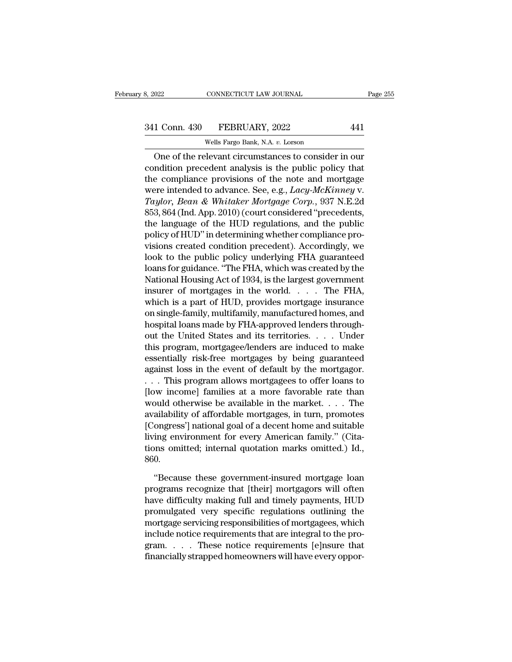# 341 Conn. 430 FEBRUARY, 2022 441<br>Wells Fargo Bank, N.A. v. Lorson

CONNECTICUT LAW JOURNAL<br>FEBRUARY, 2022<br>Wells Fargo Bank, N.A. *v.* Lorson<br>Nevant circumstances to consider ONE CONNECTICUT LAW JOURNAL Page 255<br>
1 Conn. 430 FEBRUARY, 2022 441<br>
Wells Fargo Bank, N.A. v. Lorson<br>
One of the relevant circumstances to consider in our<br>
ndition precedent analysis is the public policy that 341 Conn. 430 FEBRUARY, 2022 441<br>Wells Fargo Bank, N.A. v. Lorson<br>One of the relevant circumstances to consider in our<br>condition precedent analysis is the public policy that<br>the compliance provisions of the note and mortg 341 Conn. 430 FEBRUARY, 2022 441<br>
Wells Fargo Bank, N.A. v. Lorson<br>
One of the relevant circumstances to consider in our<br>
condition precedent analysis is the public policy that<br>
the compliance provisions of the note and m 341 Conn. 430 FEBRUARY, 2022 441<br>
Wells Fargo Bank, N.A. v. Lorson<br>
One of the relevant circumstances to consider in our<br>
condition precedent analysis is the public policy that<br>
the compliance provisions of the note and mo Wells Fargo Bank, N.A. v. Lorson<br>
One of the relevant circumstances to consider in our<br>
condition precedent analysis is the public policy that<br>
the compliance provisions of the note and mortgage<br>
were intended to advance. WEB Fargo Bank, N.A. *b.* Eason<br>
One of the relevant circumstances to consider in our<br>
condition precedent analysis is the public policy that<br>
the compliance provisions of the note and mortgage<br>
were intended to advance. One of the relevant circumstances to consider in our<br>condition precedent analysis is the public policy that<br>the compliance provisions of the note and mortgage<br>were intended to advance. See, e.g., *Lacy-McKinney v.*<br>Taylor condition precedent analysis is the public policy that<br>the compliance provisions of the note and mortgage<br>were intended to advance. See, e.g., *Lacy-McKinney v.*<br>Taylor, Bean & Whitaker Mortgage Corp., 937 N.E.2d<br>853, 864 the compliance provisions of the note and mortgage<br>were intended to advance. See, e.g., *Lacy-McKinney v.*<br>Taylor, *Bean & Whitaker Mortgage Corp.*, 937 N.E.2d<br>853, 864 (Ind. App. 2010) (court considered "precedents,<br>the l were intended to advance. See, e.g., *Lacy-McKinney v.*<br>
Taylor, Bean & Whitaker Mortgage Corp., 937 N.E.2d<br>
853, 864 (Ind. App. 2010) (court considered "precedents,<br>
the language of the HUD regulations, and the public<br>
po Taylor, Bean & Whitaker Mortgage Corp., 937 N.E.2d<br>853, 864 (Ind. App. 2010) (court considered "precedents,<br>the language of the HUD regulations, and the public<br>policy of HUD" in determining whether compliance pro-<br>visions 853, 864 (Ind. App. 2010) (court considered "precedents,<br>the language of the HUD regulations, and the public<br>policy of HUD" in determining whether compliance pro-<br>visions created condition precedent). Accordingly, we<br>look the language of the HUD regulations, and the public<br>policy of HUD" in determining whether compliance pro-<br>visions created condition precedent). Accordingly, we<br>look to the public policy underlying FHA guaranteed<br>loans for policy of HUD" in determining whether compliance pro-<br>visions created condition precedent). Accordingly, we<br>look to the public policy underlying FHA guaranteed<br>loans for guidance. "The FHA, which was created by the<br>Nationa visions created condition precedent). Accordingly, we<br>look to the public policy underlying FHA guaranteed<br>loans for guidance. "The FHA, which was created by the<br>National Housing Act of 1934, is the largest government<br>insur look to the public policy underlying FHA guaranteed<br>loans for guidance. "The FHA, which was created by the<br>National Housing Act of 1934, is the largest government<br>insurer of mortgages in the world. . . . . The FHA,<br>which i loans for guidance. "The FHA, which was created by the<br>National Housing Act of 1934, is the largest government<br>insurer of mortgages in the world. . . . . The FHA,<br>which is a part of HUD, provides mortgage insurance<br>on sing National Housing Act of 1934, is the largest government<br>insurer of mortgages in the world. . . . The FHA,<br>which is a part of HUD, provides mortgage insurance<br>on single-family, multifamily, manufactured homes, and<br>hospital insurer of mortgages in the world. . . . . The FHA,<br>which is a part of HUD, provides mortgage insurance<br>on single-family, multifamily, manufactured homes, and<br>hospital loans made by FHA-approved lenders through-<br>out the U which is a part of HUD, provides mortgage insurance<br>on single-family, multifamily, manufactured homes, and<br>hospital loans made by FHA-approved lenders through-<br>out the United States and its territories.... Under<br>this progr on single-family, multifamily, manufactured homes, and<br>hospital loans made by FHA-approved lenders through-<br>out the United States and its territories. . . . Under<br>this program, mortgagee/lenders are induced to make<br>essenti hospital loans made by FHA-approved lenders through-<br>out the United States and its territories. . . . Under<br>this program, mortgagee/lenders are induced to make<br>essentially risk-free mortgages by being guaranteed<br>against l out the United States and its territories. . . . Under<br>this program, mortgagee/lenders are induced to make<br>essentially risk-free mortgages by being guaranteed<br>against loss in the event of default by the mortgagor.<br>. . . Th this program, mortgagee/lenders are induced to make<br>essentially risk-free mortgages by being guaranteed<br>against loss in the event of default by the mortgagor.<br>... This program allows mortgagees to offer loans to<br>[low inco essentially risk-free mortgages by being guaranteed<br>against loss in the event of default by the mortgagor.<br>... This program allows mortgagees to offer loans to<br>[low income] families at a more favorable rate than<br>would oth against loss in the event of default by the mortgagor.<br>
. . . This program allows mortgagees to offer loans to<br>
[low income] families at a more favorable rate than<br>
would otherwise be available in the market. . . . . The<br> ... This program allows mortgagees to offer loans to<br>[low income] families at a more favorable rate than<br>would otherwise be available in the market.... The<br>availability of affordable mortgages, in turn, promotes<br>[Congress' 860. ailability of affordable mortgages, in turn, promotes<br>ongress'] national goal of a decent home and suitable<br>ing environment for every American family." (Cita-<br>ons omitted; internal quotation marks omitted.) Id.,<br>0.<br>"Becaus [Congress'] national goal of a decent home and suitable<br>living environment for every American family." (Cita-<br>tions omitted; internal quotation marks omitted.) Id.,<br>860.<br>"Because these government-insured mortgage loan<br>prog

having environment for every American family." (Citations omitted; internal quotation marks omitted.) Id.,<br>860.<br>"Because these government-insured mortgage loan<br>programs recognize that [their] mortgagors will often<br>have dif tions omitted; internal quotation marks omitted.) Id.,<br>860.<br>"Because these government-insured mortgage loan<br>programs recognize that [their] mortgagors will often<br>have difficulty making full and timely payments, HUD<br>promulg %860.<br>
"Because these government-insured mortgage loan<br>
programs recognize that [their] mortgagors will often<br>
have difficulty making full and timely payments, HUD<br>
promulgated very specific regulations outlining the<br>
mort "Because these government-insured mortgage loan<br>programs recognize that [their] mortgagors will often<br>have difficulty making full and timely payments, HUD<br>promulgated very specific regulations outlining the<br>mortgage servic "Because these government-insured mortgage loan<br>programs recognize that [their] mortgagors will often<br>have difficulty making full and timely payments, HUD<br>promulgated very specific regulations outlining the<br>mortgage servic programs recognize that [their] mortgagors will often<br>have difficulty making full and timely payments, HUD<br>promulgated very specific regulations outlining the<br>mortgage servicing responsibilities of mortgagees, which<br>includ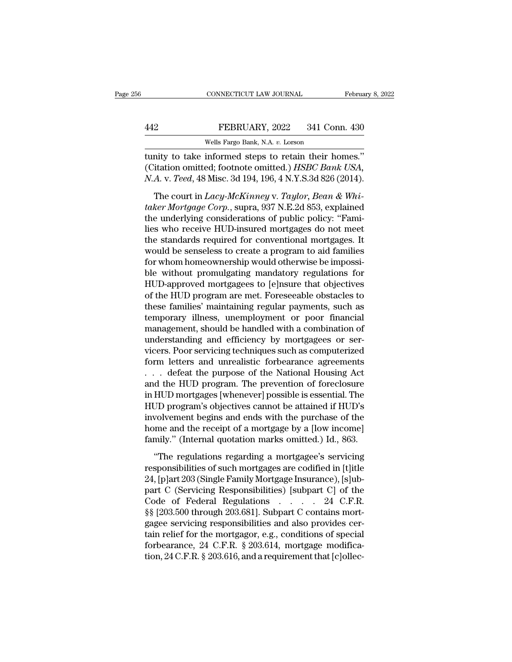|     | CONNECTICUT LAW JOURNAL                               | February 8, 2022 |
|-----|-------------------------------------------------------|------------------|
|     |                                                       |                  |
| 442 | FEBRUARY, 2022                                        | 341 Conn. 430    |
|     | Wells Fargo Bank, N.A. v. Lorson                      |                  |
|     | tunity to take informed stens to retain their homes." |                  |

CONNECTICUT LAW JOURNAL February 8, 2<br>
FEBRUARY, 2022 341 Conn. 430<br>
Wells Fargo Bank, N.A. v. Lorson<br>
tunity to take informed steps to retain their homes.''<br>
(Citation omitted; footnote omitted.) HSBC Bank USA,<br>
N.A. v. T FEBRUARY, 2022 341 Conn. 430<br>Wells Fargo Bank, N.A. v. Lorson<br>tunity to take informed steps to retain their homes."<br>(Citation omitted; footnote omitted.) *HSBC Bank USA*,<br>N.A. v. *Teed*, 48 Misc. 3d 194, 196, 4 N.Y.S.3d 82 *Nells Fargo Bank, N.A. v. Lorson*<br> *Wells Fargo Bank, N.A. v. Lorson*<br> *N.A. v. 10880*<br> *N.A. v. Teed, 48 Misc. 3d 194, 196, 4 N.Y.S.3d 826 (2014).*<br> *The court in Lacy-McKinney v. Taylor, Bean & Whi*-FEBRUARY, 2022 341 Conn. 430<br>
Wells Fargo Bank, N.A. v. Lorson<br>
mity to take informed steps to retain their homes."<br>
itation omitted; footnote omitted.) *HSBC Bank USA*,<br> *A. v. Teed*, 48 Misc. 3d 194, 196, 4 N.Y.S.3d 826

*wells Fargo Bank, N.A. v. Lorson*<br> *tunity to take informed steps to retain their homes."*<br> *(Citation omitted; footnote omitted.) HSBC Bank USA,*<br> *N.A. v. Teed,* 48 Misc. 3d 194, 196, 4 N.Y.S.3d 826 (2014).<br> *The court* tunity to take informed steps to retain their homes."<br>(Citation omitted; footnote omitted.) *HSBC Bank USA*,<br>*N.A. v. Teed*, 48 Misc. 3d 194, 196, 4 N.Y.S.3d 826 (2014).<br>The court in *Lacy-McKinney v. Taylor*, *Bean & Whi-*(Citation omitted; footnote omitted.) *HSBC Bank USA*,<br> *N.A. v. Teed*, 48 Misc. 3d 194, 196, 4 N.Y.S.3d 826 (2014).<br>
The court in *Lacy-McKinney v. Taylor, Bean & Whitaker Mortgage Corp.*, supra, 937 N.E.2d 853, explaine N.A. v. Teed, 48 Misc. 3d 194, 196, 4 N.Y.S.3d 826 (2014).<br>The court in *Lacy-McKinney v. Taylor, Bean & Whitaker Mortgage Corp.*, supra, 937 N.E.2d 853, explained<br>the underlying considerations of public policy: "Fami-<br>li The court in *Lacy-McKinney v. Taylor*, *Bean & Whitaker Mortgage Corp.*, supra, 937 N.E.2d 853, explained<br>the underlying considerations of public policy: "Families who receive HUD-insured mortgages do not meet<br>the standa The court in *Lacy-McKinney* v. *Taylor*, *Bean & Whitaker Mortgage Corp.*, supra, 937 N.E.2d 853, explained<br>the underlying considerations of public policy: "Fami-<br>lies who receive HUD-insured mortgages do not meet<br>the sta taker Mortgage Corp., supra, 937 N.E.2d 853, explained<br>the underlying considerations of public policy: "Fami-<br>lies who receive HUD-insured mortgages do not meet<br>the standards required for conventional mortgages. It<br>would b the underlying considerations of public policy: "Families who receive HUD-insured mortgages do not meet<br>the standards required for conventional mortgages. It<br>would be senseless to create a program to aid families<br>for whom lies who receive HUD-insured mortgages do not meet<br>the standards required for conventional mortgages. It<br>would be senseless to create a program to aid families<br>for whom homeownership would otherwise be impossi-<br>ble without the standards required for conventional mortgages. It<br>would be senseless to create a program to aid families<br>for whom homeownership would otherwise be impossi-<br>ble without promulgating mandatory regulations for<br>HUD-approve would be senseless to create a program to aid families<br>for whom homeownership would otherwise be impossi-<br>ble without promulgating mandatory regulations for<br>HUD-approved mortgagees to [e]nsure that objectives<br>of the HUD pr for whom homeownership would otherwise be impossible without promulgating mandatory regulations for HUD-approved mortgagees to [e]nsure that objectives of the HUD program are met. Foreseeable obstacles to these families' m ble without promulgating mandatory regulations for<br>HUD-approved mortgagees to [e]nsure that objectives<br>of the HUD program are met. Foreseeable obstacles to<br>these families' maintaining regular payments, such as<br>temporary il HUD-approved mortgagees to [e]nsure that objectives<br>of the HUD program are met. Foreseeable obstacles to<br>these families' maintaining regular payments, such as<br>temporary illness, unemployment or poor financial<br>management, s of the HUD program are met. Foreseeable obstacles to<br>these families' maintaining regular payments, such as<br>temporary illness, unemployment or poor financial<br>management, should be handled with a combination of<br>understanding these families' maintaining regular payments, such as<br>temporary illness, unemployment or poor financial<br>management, should be handled with a combination of<br>understanding and efficiency by mortgagees or ser-<br>vicers. Poor se temporary illness, unemployment or poor financial<br>management, should be handled with a combination of<br>understanding and efficiency by mortgagees or ser-<br>vicers. Poor servicing techniques such as computerized<br>form letters a management, should be handled with a combination of<br>understanding and efficiency by mortgagees or ser-<br>vicers. Poor servicing techniques such as computerized<br>form letters and unrealistic forbearance agreements<br>... defeat t understanding and efficiency by mortgagees or servicers. Poor servicing techniques such as computerized<br>form letters and unrealistic forbearance agreements<br>... defeat the purpose of the National Housing Act<br>and the HUD pro vicers. Poor servicing techniques such as computerized<br>form letters and unrealistic forbearance agreements<br> $\ldots$  defeat the purpose of the National Housing Act<br>and the HUD program. The prevention of foreclosure<br>in HUD mor form letters and unrealistic forbearance agreements<br>
... defeat the purpose of the National Housing Act<br>
and the HUD program. The prevention of foreclosure<br>
in HUD mortgages [whenever] possible is essential. The<br>
HUD progr ... defeat the purpose of the National Housing Act<br>and the HUD program. The prevention of foreclosure<br>in HUD mortgages [whenever] possible is essential. The<br>HUD program's objectives cannot be attained if HUD's<br>involvement HUD mortgages [whenever] possible is essential. The<br>
JD program's objectives cannot be attained if HUD's<br>
volvement begins and ends with the purchase of the<br>
me and the receipt of a mortgage by a [low income]<br>
mily." (Inte HUD program's objectives cannot be attained if HUD's<br>involvement begins and ends with the purchase of the<br>home and the receipt of a mortgage by a [low income]<br>family." (Internal quotation marks omitted.) Id., 863.<br>"The re

involvement begins and ends with the purchase of the<br>home and the receipt of a mortgage by a [low income]<br>family." (Internal quotation marks omitted.) Id., 863.<br>"The regulations regarding a mortgagee's servicing<br>responsib home and the receipt of a mortgage by a [low income]<br>family." (Internal quotation marks omitted.) Id., 863.<br>"The regulations regarding a mortgagee's servicing<br>responsibilities of such mortgages are codified in [t]itle<br>24, family." (Internal quotation marks omitted.) Id., 863.<br>
"The regulations regarding a mortgagee's servicing<br>
responsibilities of such mortgages are codified in [t]<br>
14, [p]art 203 (Single Family Mortgage Insurance), [s]<br>
p "The regulations regarding a mortgagee's servicing<br>responsibilities of such mortgages are codified in [t]itle<br>24, [p]art 203 (Single Family Mortgage Insurance), [s]ub-<br>part C (Servicing Responsibilities) [subpart C] of the "The regulations regarding a mortgagee's servicing<br>responsibilities of such mortgages are codified in [t]itle<br>24, [p]art 203 (Single Family Mortgage Insurance), [s]ub-<br>part C (Servicing Responsibilities) [subpart C] of th responsibilities of such mortgages are codified in [t]itle 24, [p]art 203 (Single Family Mortgage Insurance), [s]ub-<br>part C (Servicing Responsibilities) [subpart C] of the<br>Code of Federal Regulations . . . . . 24 C.F.R.<br>§ 24, [p]art 203 (Single Family Mortgage Insurance), [s]ub-<br>part C (Servicing Responsibilities) [subpart C] of the<br>Code of Federal Regulations . . . . . 24 C.F.R.<br>§§ [203.500 through 203.681]. Subpart C contains mort-<br>gagee part C (Servicing Responsibilities) [subpart C] of the<br>Code of Federal Regulations . . . . . 24 C.F.R.<br>§§ [203.500 through 203.681]. Subpart C contains mort-<br>gagee servicing responsibilities and also provides cer-<br>tain rel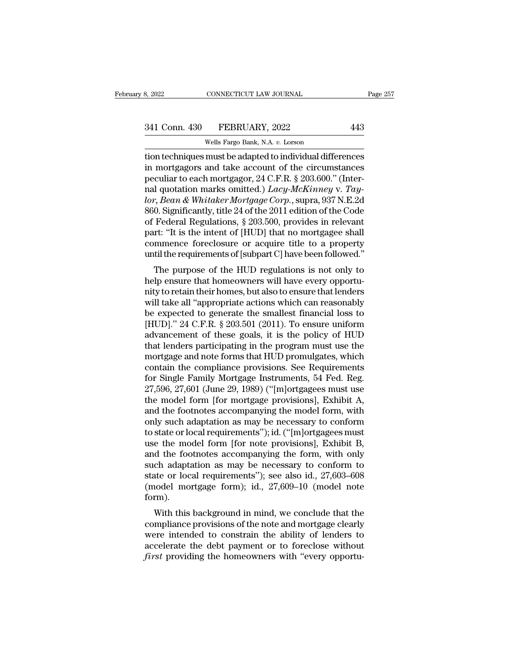CONNECTICUT LAW JOURNAL<br>FEBRUARY, 2022<br>Wells Fargo Bank, N.A. *v.* Lorson<br>must be adapted to individual diffe the adapted to individual differences<br>
1941 Conn. 430 FEBRUARY, 2022 443<br>
1941 Wells Fargo Bank, N.A. v. Lorson<br>
1951 The adapted to individual differences<br>
1951 Interaction techniques must be adapted to individual differe 341 Conn. 430 FEBRUARY, 2022 443<br>
Wells Fargo Bank, N.A. v. Lorson<br>
tion techniques must be adapted to individual differences<br>
in mortgagors and take account of the circumstances<br>
peculiar to each mortgagor, 24 C.F.R. § 2 341 Conn. 430 FEBRUARY, 2022 443<br>
wells Fargo Bank, N.A. v. Lorson<br>
tion techniques must be adapted to individual differences<br>
in mortgagors and take account of the circumstances<br>
peculiar to each mortgagor, 24 C.F.R. § 2 341 Conn. 430 FEBRUARY, 2022 443<br>
Wells Fargo Bank, N.A. *v*. Lorson<br>
tion techniques must be adapted to individual differences<br>
in mortgagors and take account of the circumstances<br>
peculiar to each mortgagor, 24 C.F.R. § *locals 1350 1 EBRORIN, 2022*<br> *locals Fargo Bank, N.A. v. Lorson*<br>
tion techniques must be adapted to individual differences<br>
in mortgagors and take account of the circumstances<br>
peculiar to each mortgagor, 24 C.F.R. § 20 Wells Fargo Bank, N.A.  $v$ . Lorson<br>tion techniques must be adapted to individual differences<br>in mortgagors and take account of the circumstances<br>peculiar to each mortgagor, 24 C.F.R. § 203.600." (Inter-<br>nal quotation mark tion techniques must be adapted to individual differences<br>in mortgagors and take account of the circumstances<br>peculiar to each mortgagor, 24 C.F.R. § 203.600." (Inter-<br>nal quotation marks omitted.) *Lacy-McKinney* v. *Tay*in mortgagors and take account of the circumstances<br>peculiar to each mortgagor, 24 C.F.R. § 203.600." (Inter-<br>nal quotation marks omitted.)  $Lacy-Mckriney$  v. Tay-<br>lor, Bean & Whitaker Mortgage Corp., supra, 937 N.E.2d<br>860. Sig peculiar to each mortgagor, 24 C.F.R. § 203.600." (Inter-<br>nal quotation marks omitted.) *Lacy-McKinney* v. *Tay-*<br>*lor, Bean & Whitaker Mortgage Corp.*, supra, 937 N.E.2d<br>860. Significantly, title 24 of the 2011 edition of nal quotation marks omitted.) *Lacy-McKinney* v. *Tay-lor, Bean & Whitaker Mortgage Corp.*, supra, 937 N.E.2d 860. Significantly, title 24 of the 2011 edition of the Code of Federal Regulations,  $\S 203.500$ , provides in r between the purpose of the HUD regulations is not only to the code<br>Federal Regulations,  $\S 203.500$ , provides in relevant<br>rt: "It is the intent of [HUD] that no mortgagee shall<br>mmence foreclosure or acquire title to a pro boot. Significantly, the 24 of the 2011 edition of the Code<br>of Federal Regulations, § 203.500, provides in relevant<br>part: "It is the intent of [HUD] that no mortgagee shall<br>commence foreclosure or acquire title to a proper

or Federar Regulations, § 265.500, provides in relevant<br>part: "It is the intent of [HUD] that no mortgagee shall<br>commence foreclosure or acquire title to a property<br>until the requirements of [subpart C] have been followed. part. It is the intent of  $[110D]$  that no mortgagee shan<br>commence foreclosure or acquire title to a property<br>until the requirements of [subpart C] have been followed."<br>The purpose of the HUD regulations is not only to<br>he commence foreclosure of acquire the to a property<br>until the requirements of [subpart C] have been followed."<br>The purpose of the HUD regulations is not only to<br>help ensure that homeowners will have every opportu-<br>nity to r The purpose of the HUD regulations is not only to<br>help ensure that homeowners will have every opportu-<br>nity to retain their homes, but also to ensure that lenders<br>will take all "appropriate actions which can reasonably<br>be The purpose of the HUD regulations is not only to<br>help ensure that homeowners will have every opportu-<br>nity to retain their homes, but also to ensure that lenders<br>will take all "appropriate actions which can reasonably<br>be help ensure that homeowners will have every opportunity to retain their homes, but also to ensure that lenders<br>will take all "appropriate actions which can reasonably<br>be expected to generate the smallest financial loss to<br> nity to retain their homes, but also to ensure that lenders<br>will take all "appropriate actions which can reasonably<br>be expected to generate the smallest financial loss to<br>[HUD]." 24 C.F.R. § 203.501 (2011). To ensure unifo will take all "appropriate actions which can reasonably<br>be expected to generate the smallest financial loss to<br>[HUD]." 24 C.F.R. § 203.501 (2011). To ensure uniform<br>advancement of these goals, it is the policy of HUD<br>that be expected to generate the smallest financial loss to<br>[HUD]." 24 C.F.R. § 203.501 (2011). To ensure uniform<br>advancement of these goals, it is the policy of HUD<br>that lenders participating in the program must use the<br>mortga [HUD]." 24 C.F.R. § 203.501 (2011). To ensure uniform<br>advancement of these goals, it is the policy of HUD<br>that lenders participating in the program must use the<br>mortgage and note forms that HUD promulgates, which<br>contain t advancement of these goals, it is the policy of HUD<br>that lenders participating in the program must use the<br>mortgage and note forms that HUD promulgates, which<br>contain the compliance provisions. See Requirements<br>for Single that lenders participating in the program must use the<br>mortgage and note forms that HUD promulgates, which<br>contain the compliance provisions. See Requirements<br>for Single Family Mortgage Instruments, 54 Fed. Reg.<br>27,596, 27 mortgage and note forms that HUD promulgates, which<br>contain the compliance provisions. See Requirements<br>for Single Family Mortgage Instruments, 54 Fed. Reg.<br>27,596, 27,601 (June 29, 1989) ("[m]ortgagees must use<br>the model contain the compliance provisions. See Requirements<br>for Single Family Mortgage Instruments, 54 Fed. Reg.<br>27,596, 27,601 (June 29, 1989) ("[m]ortgagees must use<br>the model form [for mortgage provisions], Exhibit A,<br>and the f for Single Family Mortgage Instruments, 54 Fed. Reg.<br>27,596, 27,601 (June 29, 1989) ("[m]ortgagees must use<br>the model form [for mortgage provisions], Exhibit A,<br>and the footnotes accompanying the model form, with<br>only such 27,596, 27,601 (June 29, 1989) ("[m]ortgagees must use<br>the model form [for mortgage provisions], Exhibit A,<br>and the footnotes accompanying the model form, with<br>only such adaptation as may be necessary to conform<br>to state the model form [for mortgage provisions], Exhibit A,<br>and the footnotes accompanying the model form, with<br>only such adaptation as may be necessary to conform<br>to state or local requirements"); id. ("[m]ortgagees must<br>use th and the footnotes accompanying the model form, with<br>only such adaptation as may be necessary to conform<br>to state or local requirements''); id. ("[m]ortgagees must<br>use the model form [for note provisions], Exhibit B,<br>and th only such adaptation as may be necessary to conform<br>to state or local requirements"); id. ("[m]ortgagees must<br>use the model form [for note provisions], Exhibit B,<br>and the footnotes accompanying the form, with only<br>such ada form). e the moder form [for note provisions], Exhibit B,<br>d the footnotes accompanying the form, with only<br>chadaptation as may be necessary to conform to<br>atte or local requirements"); see also id., 27,603–608<br>nodel mortgage form) and the footnotes accompanying the form, while only<br>such adaptation as may be necessary to conform to<br>state or local requirements"); see also id., 27,603–608<br>(model mortgage form); id., 27,609–10 (model note<br>form).<br>With th

such adaptation as may be necessary to conform to<br>state or local requirements"); see also id., 27,603–608<br>(model mortgage form); id., 27,609–10 (model note<br>form).<br>With this background in mind, we conclude that the<br>complian state of local requirements *f*, see also id.,  $27,609-006$  (model mortgage form); id.,  $27,609-10$  (model note form).<br>With this background in mind, we conclude that the compliance provisions of the note and mortgage clea *first* providing the homeowners with "every opportu-<br>*form*). With this background in mind, we conclude that the<br>compliance provisions of the note and mortgage clearly<br>were intended to constrain the ability of lenders to<br>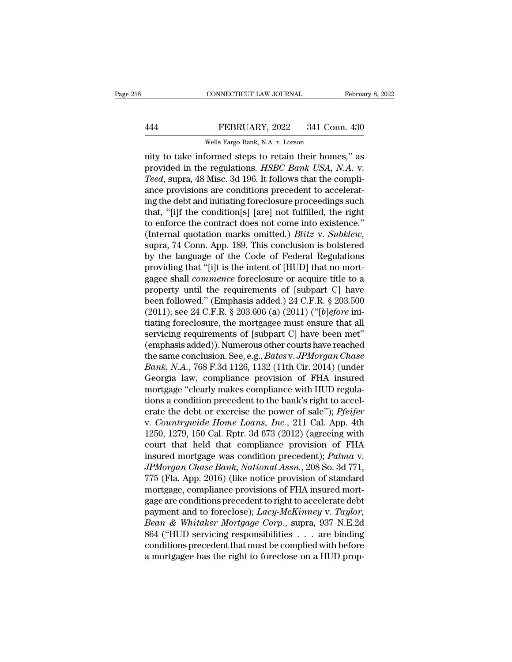## EXECUTE CONNECTICUT LAW JOURNAL February 8, 2022<br>444 FEBRUARY, 2022 341 Conn. 430<br>Wells Fargo Bank, N.A. v. Lorson CONNECTICUT LAW JOURNAL<br>FEBRUARY, 2022 341 Con<br>Wells Fargo Bank, N.A. *v.* Lorson<br>Cormed stens to retain their hom

CONNECTICUT LAW JOURNAL February 8, 2022<br>
FEBRUARY, 2022 341 Conn. 430<br>
Wells Fargo Bank, N.A. v. Lorson<br>
Thity to take informed steps to retain their homes,'' as<br>
provided in the regulations. HSBC Bank USA, N.A. v.<br>
Tored FEBRUARY, 2022 341 Conn. 430<br>Wells Fargo Bank, N.A. v. Lorson<br>mity to take informed steps to retain their homes," as<br>provided in the regulations. *HSBC Bank USA*, N.A. v.<br>*Teed*, supra, 48 Misc. 3d 196. It follows that the *Teeda, Suprame Bank, N.A. v. Lorson*<br> *Teed, supra, 48 Misc. 3d 196. It follows that the compli-ance provisions are conditions precedent to accelerating the debt and initiating foreal surpa proceedings such that the compl* FEBRUARY, 2022 341 Conn. 430<br>
Wells Fargo Bank, N.A. v. Lorson<br>
mity to take informed steps to retain their homes," as<br>
provided in the regulations. *HSBC Bank USA*, N.A. v.<br> *Teed*, supra, 48 Misc. 3d 196. It follows that Wells Fargo Bank, N.A. v. Lorson<br>
mity to take informed steps to retain their homes," as<br>
provided in the regulations. *HSBC Bank USA*, N.A. v.<br> *Teed*, supra, 48 Misc. 3d 196. It follows that the compli-<br>
ance provisions wens rargo Bank, N.A. 0. Lorson<br>mity to take informed steps to retain their homes," as<br>provided in the regulations. HSBC Bank USA, N.A. v.<br>Teed, supra, 48 Misc. 3d 196. It follows that the compli-<br>ance provisions are cond nity to take informed steps to retain their homes," as<br>provided in the regulations. *HSBC Bank USA*, *N.A.* v.<br>*Teed*, supra, 48 Misc. 3d 196. It follows that the compli-<br>ance provisions are conditions precedent to acceler provided in the regulations. *HSBC Bank USA*, *N.A. v.*<br>Teed, supra, 48 Misc. 3d 196. It follows that the compli-<br>ance provisions are conditions precedent to accelerat-<br>ing the debt and initiating foreclosure proceedings s ance provisions are conditions precedent to accelerating the debt and initiating foreclosure proceedings such that, "[i]f the condition[s] [are] not fulfilled, the right to enforce the contract does not come into existence ing the debt and initiating foreclosure proceedings such<br>that, "[i]f the condition[s] [are] not fulfilled, the right<br>to enforce the contract does not come into existence."<br>(Internal quotation marks omitted.) *Blitz v. Subk* that, "[i]f the condition[s] [are] not fulfilled, the right<br>to enforce the contract does not come into existence."<br>(Internal quotation marks omitted.) *Blitz* v. *Subklew*,<br>supra, 74 Conn. App. 189. This conclusion is bol to enforce the contract does not come into existence."<br>
(Internal quotation marks omitted.) *Blitz v. Subklew*,<br>
supra, 74 Conn. App. 189. This conclusion is bolstered<br>
by the language of the Code of Federal Regulations<br> (Internal quotation marks omitted.) *Blitz* v. *Subklew*,<br>supra, 74 Conn. App. 189. This conclusion is bolstered<br>by the language of the Code of Federal Regulations<br>providing that "[i]t is the intent of [HUD] that no mortsupra, 74 Conn. App. 189. This conclusion is bolstered<br>by the language of the Code of Federal Regulations<br>providing that "[i]t is the intent of [HUD] that no mort-<br>gagee shall *commence* foreclosure or acquire title to a<br>p by the language of the Code of Federal Regulations<br>providing that "[i]t is the intent of [HUD] that no mort-<br>gagee shall *commence* foreclosure or acquire title to a<br>property until the requirements of [subpart C] have<br>bee providing that "[i]t is the intent of [HUD] that no mort-<br>gagee shall *commence* foreclosure or acquire title to a<br>property until the requirements of [subpart C] have<br>been followed." (Emphasis added.) 24 C.F.R. § 203.500<br> gagee shall *commence* foreclosure or acquire title to a<br>property until the requirements of [subpart C] have<br>been followed." (Emphasis added.) 24 C.F.R. § 203.500<br>(2011); see 24 C.F.R. § 203.606 (a) (2011) ("[*b]efore* ini property until the requirements of [subpart C] have<br>been followed." (Emphasis added.) 24 C.F.R. § 203.500<br>(2011); see 24 C.F.R. § 203.606 (a) (2011) ("[*b*]*efore* ini-<br>tiating foreclosure, the mortgagee must ensure that a been followed." (Emphasis added.) 24 C.F.R. § 203.500 (2011); see 24 C.F.R. § 203.606 (a) (2011) ("[*b]efore* initiating foreclosure, the mortgagee must ensure that all servicing requirements of [subpart C] have been met" (2011); see 24 C.F.R. § 203.606 (a) (2011) ("[*b*]efore initiating foreclosure, the mortgagee must ensure that all<br>servicing requirements of [subpart C] have been met"<br>(emphasis added)). Numerous other courts have reached tiating foreclosure, the mortgagee must ensure that all<br>servicing requirements of [subpart C] have been met"<br>(emphasis added)). Numerous other courts have reached<br>the same conclusion. See, e.g., *Bates v. JPMorgan Chase*<br> servicing requirements of [subpart C] have been met"<br>(emphasis added)). Numerous other courts have reached<br>the same conclusion. See, e.g., *Bates v. JPMorgan Chase*<br>*Bank*, *N.A.*, 768 F.3d 1126, 1132 (11th Cir. 2014) (und (emphasis added)). Numerous other courts have reached<br>the same conclusion. See, e.g., *Bates v. JPMorgan Chase*<br>*Bank*, *N.A.*, 768 F.3d 1126, 1132 (11th Cir. 2014) (under<br>Georgia law, compliance provision of FHA insured<br>m the same conclusion. See, e.g., *Bates* v. *JPMorgan Chase*<br> *Bank*, *N.A.*, 768 F.3d 1126, 1132 (11th Cir. 2014) (under<br>
Georgia law, compliance provision of FHA insured<br>
mortgage "clearly makes compliance with HUD regula *Bank, N.A., 768 F.3d 1126, 1132 (11th Cir. 2014) (under Georgia law, compliance provision of FHA insured mortgage "clearly makes compliance with HUD regulations a condition precedent to the bank's right to accelerate the* Georgia law, compliance provision of FHA insured<br>mortgage "clearly makes compliance with HUD regula-<br>tions a condition precedent to the bank's right to accel-<br>erate the debt or exercise the power of sale"); *Pfeifer*<br>v. mortgage "clearly makes compliance with HUD regula-<br>tions a condition precedent to the bank's right to accel-<br>erate the debt or exercise the power of sale"); *Pfeifer*<br>v. *Countrywide Home Loans*, *Inc.*, 211 Cal. App. 4th tions a condition precedent to the bank's right to accelerate the debt or exercise the power of sale"); *Pfeifer* v. *Countrywide Home Loans, Inc.*, 211 Cal. App. 4th 1250, 1279, 150 Cal. Rptr. 3d 673 (2012) (agreeing with erate the debt or exercise the power of sale"); *Pfeifer*<br>v. *Countrywide Home Loans*, *Inc.*, 211 Cal. App. 4th<br>1250, 1279, 150 Cal. Rptr. 3d 673 (2012) (agreeing with<br>court that held that compliance provision of FHA<br>insu v. *Countrywide Home Loans, Inc.*, 211 Cal. App. 4th 1250, 1279, 150 Cal. Rptr. 3d 673 (2012) (agreeing with court that held that compliance provision of FHA insured mortgage was condition precedent); *Palma* v. *JPMorgan* 1250, 1279, 150 Cal. Rptr. 3d 673 (2012) (agreeing with<br>court that held that compliance provision of FHA<br>insured mortgage was condition precedent); *Palma v.*<br>JPMorgan Chase Bank, National Assn., 208 So. 3d 771,<br>775 (Fla. court that held that compliance provision of FHA<br>insured mortgage was condition precedent); *Palma v.*<br>*JPMorgan Chase Bank*, *National Assn.*, 208 So. 3d 771,<br>775 (Fla. App. 2016) (like notice provision of standard<br>mortga insured mortgage was condition precedent); *Palma v.*<br>*JPMorgan Chase Bank*, *National Assn.*, 208 So. 3d 771,<br>775 (Fla. App. 2016) (like notice provision of standard<br>mortgage, compliance provisions of FHA insured mort-<br>ga JPMorgan Chase Bank, National Assn., 208 So. 3d 771,<br>775 (Fla. App. 2016) (like notice provision of standard<br>mortgage, compliance provisions of FHA insured mort-<br>gage are conditions precedent to right to accelerate debt<br>p 775 (Fla. App. 2016) (like notice provision of standard<br>mortgage, compliance provisions of FHA insured mort-<br>gage are conditions precedent to right to accelerate debt<br>payment and to foreclose); *Lacy-McKinney* v. *Taylor*, mortgage, compliance provisions of FHA insured mortgage are conditions precedent to right to accelerate debt<br>payment and to foreclose); *Lacy-McKinney v. Taylor*, *Bean & Whitaker Mortgage Corp.*, supra, 937 N.E.2d<br>864 ("H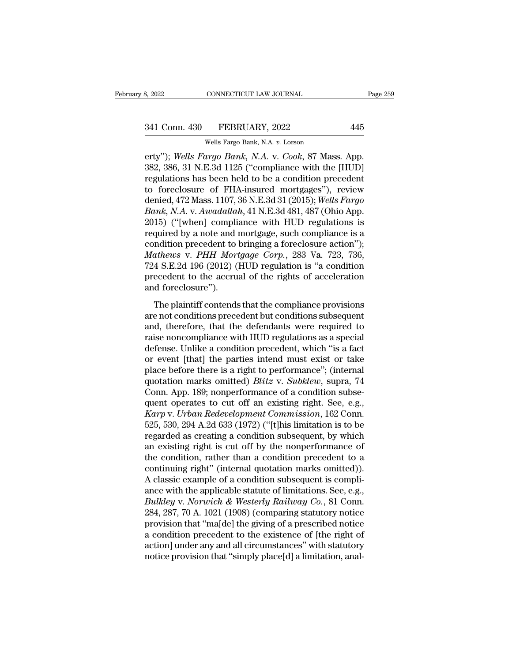# 341 Conn. 430 FEBRUARY, 2022 445<br>Wells Fargo Bank, N.A. v. Lorson

CONNECTICUT LAW JOURNAL<br>
FEBRUARY, 2022<br>
Wells Fargo Bank, N.A. *v.* Lorson<br>
Trao Bank, N.A. v. Cook. 87 Mass erty''); *Wells Fargo Bank, N.A. v. Cook, 87 Mass. App.*<br>
2841 Conn. 430 FEBRUARY, 2022 445<br>
2841 Wells Fargo Bank, N.A. *v. Lorson*<br>
282, 386, 31 N.E.3d 1125 ("compliance with the [HUD]<br>
282, 386, 31 N.E.3d 1125 ("complia 341 Conn. 430 FEBRUARY, 2022 445<br>
Wells Fargo Bank, N.A. v. Lorson<br>
erty"); Wells Fargo Bank, N.A. v. Cook, 87 Mass. App.<br>
382, 386, 31 N.E.3d 1125 ("compliance with the [HUD]<br>
regulations has been held to be a condition p 341 Conn. 430 FEBRUARY, 2022 445<br>
Wells Fargo Bank, N.A. v. Lorson<br>
erty"); Wells Fargo Bank, N.A. v. Cook, 87 Mass. App.<br>
382, 386, 31 N.E.3d 1125 ("compliance with the [HUD]<br>
regulations has been held to be a condition p 341 Conn. 430 FEBRUARY, 2022 445<br>
Wells Fargo Bank, N.A. v. Lorson<br>
erty"); Wells Fargo Bank, N.A. v. Cook, 87 Mass. App.<br>
382, 386, 31 N.E.3d 1125 ("compliance with the [HUD]<br>
regulations has been held to be a condition p Wells Fargo Bank, N.A. v. Lorson<br>erty"); *Wells Fargo Bank*, N.A. v. Cook, 87 Mass. App.<br>382, 386, 31 N.E.3d 1125 ("compliance with the [HUD]<br>regulations has been held to be a condition precedent<br>to foreclosure of FHA-insu <sup>Wells</sup> Fargo Bank, N.A. v. *Cook*, 87 Mass. App.<br>
282, 386, 31 N.E.3d 1125 ("compliance with the [HUD]<br>
regulations has been held to be a condition precedent<br>
to foreclosure of FHA-insured mortgages"), review<br>
denied, 472 erty"); Wells Fargo Bank, N.A. v. Cook, 87 Mass. App.<br>382, 386, 31 N.E.3d 1125 ("compliance with the [HUD]<br>regulations has been held to be a condition precedent<br>to foreclosure of FHA-insured mortgages"), review<br>denied, 472 382, 386, 31 N.E.3d 1125 ("compliance with the [HUD]<br>regulations has been held to be a condition precedent<br>to foreclosure of FHA-insured mortgages"), review<br>denied, 472 Mass. 1107, 36 N.E.3d 31 (2015); *Wells Fargo*<br>*Bank* regulations has been held to be a condition precedent<br>to foreclosure of FHA-insured mortgages"), review<br>denied, 472 Mass. 1107, 36 N.E.3d 31 (2015); *Wells Fargo*<br>Bank, N.A. v. Awadallah, 41 N.E.3d 481, 487 (Ohio App.<br>201 to foreclosure of FHA-insured mortgages"), review<br>denied, 472 Mass. 1107, 36 N.E.3d 31 (2015); *Wells Fargo*<br>*Bank, N.A. v. Awadallah*, 41 N.E.3d 481, 487 (Ohio App.<br>2015) ("[when] compliance with HUD regulations is<br>requir denied, 472 Mass. 1107, 36 N.E.3d 31 (2015); Wells Fargo<br>Bank, N.A. v. Awadallah, 41 N.E.3d 481, 487 (Ohio App.<br>2015) ("[when] compliance with HUD regulations is<br>required by a note and mortgage, such compliance is a<br>condit Bank, N.A. v. Awadallah, 41 N.E.3d 481, 487 (Ohio App. 2015) ("[when] compliance with HUD regulations is required by a note and mortgage, such compliance is a condition precedent to bringing a foreclosure action"); Mathews 2015) ("[when] compli<br>required by a note and i<br>condition precedent to<br>*Mathews* v. *PHH Mort*<br>724 S.E.2d 196 (2012) (<br>precedent to the accru<br>and foreclosure").<br>The plaintiff contends diation precedent to bringing a foreclosure action");<br> *athews* v. *PHH Mortgage Corp.*, 283 Va. 723, 736,<br>
4 S.E.2d 196 (2012) (HUD regulation is "a condition<br>
ecedent to the accrual of the rights of acceleration<br>
d forec Mathews v. PHH Mortgage Corp., 283 Va. 723, 736, 724 S.E.2d 196 (2012) (HUD regulation is "a condition<br>precedent to the accrual of the rights of acceleration<br>and foreclosure").<br>The plaintiff contends that the compliance p

mathemed V. THT horigage Corp., 200 Va. 120, 100,<br>724 S.E.2d 196 (2012) (HUD regulation is "a condition<br>precedent to the accrual of the rights of acceleration<br>and foreclosure").<br>The plaintiff contends that the compliance raise noncompliance in the rights of acceleration<br>and foreclosure").<br>The plaintiff contends that the compliance provisions<br>are not conditions precedent but conditions subsequent<br>and, therefore, that the defendants were re and foreclosure").<br>
The plaintiff contends that the compliance provisions<br>
are not conditions precedent but conditions subsequent<br>
and, therefore, that the defendants were required to<br>
raise noncompliance with HUD regulati The plaintiff contends that the compliance provisions<br>are not conditions precedent but conditions subsequent<br>and, therefore, that the defendants were required to<br>raise noncompliance with HUD regulations as a special<br>defen The plaintiff contends that the compliance provisions<br>are not conditions precedent but conditions subsequent<br>and, therefore, that the defendants were required to<br>raise noncompliance with HUD regulations as a special<br>defens are not conditions precedent but conditions subsequent<br>and, therefore, that the defendants were required to<br>raise noncompliance with HUD regulations as a special<br>defense. Unlike a condition precedent, which "is a fact<br>or e and, therefore, that the defendants were required to<br>raise noncompliance with HUD regulations as a special<br>defense. Unlike a condition precedent, which "is a fact<br>or event [that] the parties intend must exist or take<br>place raise noncompliance with HUD regulations as a special<br>defense. Unlike a condition precedent, which "is a fact<br>or event [that] the parties intend must exist or take<br>place before there is a right to performance"; (internal<br> defense. Unlike a condition precedent, which "is a fact<br>or event [that] the parties intend must exist or take<br>place before there is a right to performance"; (internal<br>quotation marks omitted) *Blitz v. Subklew*, supra, 74<br> or event [that] the parties intend must exist or take<br>place before there is a right to performance"; (internal<br>quotation marks omitted) *Blitz* v. *Subklew*, supra, 74<br>Conn. App. 189; nonperformance of a condition subse-<br>q place before there is a right to performance"; (internal<br>quotation marks omitted) *Blitz v. Subklew*, supra, 74<br>Conn. App. 189; nonperformance of a condition subse-<br>quent operates to cut off an existing right. See, e.g.,<br> quotation marks omitted) *Blitz v. Subklew*, supra, 74<br>Conn. App. 189; nonperformance of a condition subse-<br>quent operates to cut off an existing right. See, e.g.,<br> $Karp$  v. *Urban Redevelopment Commission*, 162 Conn.<br>525, Conn. App. 189; nonperformance of a condition subsequent operates to cut off an existing right. See, e.g.,  $Karp$  v.  $Urban$   $Redevelopment$   $Commission$ ,  $162$  Conn. 525, 530, 294 A.2d 633 (1972) ("[t]his limitation is to be regarded as creat quent operates to cut off an existing right. See, e.g.,<br>Karp v. Urban Redevelopment Commission, 162 Conn.<br>525, 530, 294 A.2d 633 (1972) ("[t]his limitation is to be<br>regarded as creating a condition subsequent, by which<br>an Karp v. Urban Redevelopment Commission, 162 Conn.<br>525, 530, 294 A.2d 633 (1972) ("[t]his limitation is to be<br>regarded as creating a condition subsequent, by which<br>an existing right is cut off by the nonperformance of<br>the 525, 530, 294 A.2d 633 (1972) ("[t]his limitation is to be regarded as creating a condition subsequent, by which<br>an existing right is cut off by the nonperformance of<br>the condition, rather than a condition precedent to a<br> regarded as creating a condition subsequent, by which<br>an existing right is cut off by the nonperformance of<br>the condition, rather than a condition precedent to a<br>continuing right" (internal quotation marks omitted)).<br>A cla an existing right is cut off by the nonperformance of<br>the condition, rather than a condition precedent to a<br>continuing right" (internal quotation marks omitted)).<br>A classic example of a condition subsequent is compli-<br>ance the condition, rather than a condition precedent to a<br>continuing right" (internal quotation marks omitted)).<br>A classic example of a condition subsequent is compli-<br>ance with the applicable statute of limitations. See, e.g. continuing right" (internal quotation marks omitted)).<br>A classic example of a condition subsequent is compli-<br>ance with the applicable statute of limitations. See, e.g.,<br>Bulkley v. Norwich & Westerly Railway Co., 81 Conn. A classic example of a condition subsequent is compli-<br>ance with the applicable statute of limitations. See, e.g.,<br>Bulkley v. Norwich & Westerly Railway Co., 81 Conn.<br>284, 287, 70 A. 1021 (1908) (comparing statutory notice ance with the applicable statute of limitations. See, e.g., *Bulkley* v. *Norwich & Westerly Railway Co.*, 81 Conn. 284, 287, 70 A. 1021 (1908) (comparing statutory notice provision that "ma[de] the giving of a prescribed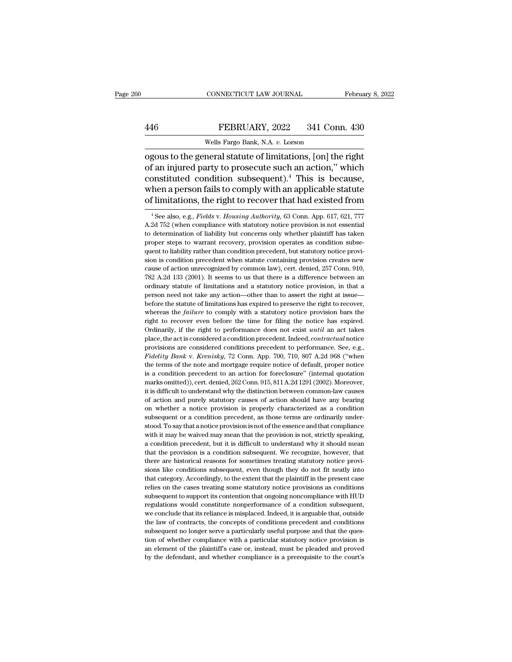## EXECUTE CONNECTICUT LAW JOURNAL February 8, 2022<br>446 FEBRUARY, 2022 341 Conn. 430<br>Wells Fargo Bank, N.A. v. Lorson CONNECTICUT LAW JOURNAL<br>FEBRUARY, 2022 341 Corn<br>Wells Fargo Bank, N.A. *v.* Lorson<br>neral statute of limitations. [on] the

CONNECTICUT LAW JOURNAL February 8, 202<br>
FEBRUARY, 2022 341 Conn. 430<br>
Wells Fargo Bank, N.A. v. Lorson<br>
ogous to the general statute of limitations, [on] the right<br>
of an injured party to prosecute such an action," which<br> FEBRUARY, 2022 341 Conn. 430<br>
Wells Fargo Bank, N.A. v. Lorson<br>
ogous to the general statute of limitations, [on] the right<br>
of an injured party to prosecute such an action,'' which<br>
constituted condition subsequent).<sup>4</sup> T FEBRUARY, 2022 341 Conn. 430<br>Wells Fargo Bank, N.A. v. Lorson<br>ogous to the general statute of limitations, [on] the right<br>of an injured party to prosecute such an action," which<br>constituted condition subsequent).<sup>4</sup> This FEBRUARY, 2022 341 Conn. 430<br>Wells Fargo Bank, N.A. v. Lorson<br>ogous to the general statute of limitations, [on] the right<br>of an injured party to prosecute such an action," which<br>constituted condition subsequent).<sup>4</sup> This Wells Fargo Bank, N.A. v. Lorson<br>
ogous to the general statute of limitations, [on] the right<br>
of an injured party to prosecute such an action," which<br>
constituted condition subsequent).<sup>4</sup> This is because,<br>
when a person of an injured party to prosecute such an action," which constituted condition subsequent).<sup>4</sup> This is because, when a person fails to comply with an applicable statute of limitations, the right to recover that had existed constituted condition subsequent).<sup>4</sup> This is because, when a person fails to comply with an applicable statute of limitations, the right to recover that had existed from  $\frac{4 \text{ See also, e.g., } Fields \text{ v. Housing Authority}}{4 \text{ See also, e.g., } Fields \text{ v. Housing Authority}}$ 

when a person fails to comply with an applicable statute<br>of limitations, the right to recover that had existed from<br> $\frac{4 \text{ See also, e.g., } Fields \text{ v. Housing Authority}}{4.2d\ 752 \text{ (when compliance with statutory notice provision is not essential to determination of liability but concerns only whether plaintiff has taken proper steps to warrant recovery, provision operates as condition subsequent.}$ of limitations, the right to recover that had existed from<br>  $\frac{4 \text{ See also, e.g., } Fields \text{ v. } Houston \text{ at } 4 \text{ to } 4 \text{ to } 4 \text{ to } 4 \text{ to } 4 \text{ to } 4 \text{ to } 4 \text{ to } 4 \text{ to } 4 \text{ to } 4 \text{ to } 4 \text{ to } 4 \text{ to } 4 \text{ to } 4 \text{ to } 4 \text{ to } 4 \text{ to } 4 \text{ to } 4 \text{ to } 4 \text{ to }$ or initiations, the right to recover that had existed from<br><sup>4</sup> See also, e.g., *Fields v. Housing Authority*, 63 Conn. App. 617, 621, 777<br>A.2d 752 (when compliance with statutory notice provision is not essential<br>to determ <sup>4</sup> See also, e.g., *Fields v. Housing Authority*, 63 Conn. App. 617, 621, 777 A.2d 752 (when compliance with statutory notice provision is not essential to determination of liability but concerns only whether plaintiff h A 2d 752 (when compliance with statutory notice provision is not essential to determination of liability but concerns only whether plaintiff has taken proper steps to warrant recovery, provision operates as condition subs The determination of liability but concerns only whether plaintiff has taken<br>proper steps to warrant recovery, provision operates as condition subse-<br>quent to liability rather than condition precedent, but statutory notice proper steps to warrant recovery, provision operates as condition subsequent to liability rather than condition precedent, but statutory notice provision is condition precedent when statute containing provision creates new person is conditiverate than condition precedent, but statutory notice provi-<br>quent to liability rather than condition precedent, but statutory notice provi-<br>sion is condition precedent when statute containing provision cr sion is condition precedent when statute containing provision creates new cause of action unrecognized by common law), cert. denied, 257 Conn. 910, 782 A.2d 133 (2001). It seems to us that there is a difference between an cause of action unrecognized by common law), cert. denied, 257 Conn. 910, 782 A.2d 133 (2001). It seems to us that there is a difference between an ordinary statute of limitations and a statutory notice provision, in that 782 A.2d 133 (2001). It seems to us that there is a difference between an ordinary statute of limitations and a statutory notice provision, in that a person need not take any action—other than to assert the right at issue ordinary statute of limitations and a statutory notice provision, in that a person need not take any action—other than to assert the right at issue—before the statute of limitations has expired to preserve the right to rec person need not take any action—other than to assert the right at issue—<br>before the statute of limitations has expired to preserve the right to recover,<br>whereas the *failure* to comply with a statutory notice provision bar provisions are considered conditions has expired to preserve the right to recover, whereas the *failure* to comply with a statutory notice provision bars the right to recover even before the time for filing the notice has *Figure 8* and *Figure 10* comply with a statutory notice provision bars the right to recover even before the time for filing the notice has expired. Ordinarily, if the right to performance does not exist *until* an act ta Tright to recover even before the time for filing the notice has expired.<br>Ordinarily, if the right to performance does not exist *until* an act takes<br>place, the act is considered a condition precedent. Indeed, *contractua* Cyclinarily, if the right to performance does not exist *until* an act takes place, the act is considered a condition precedent. Indeed, *contractual* notice provisions are considered conditions precedent to performance. place, the act is considered a condition precedent. Indeed, *contractual* notice provisions are considered condition precedent to performance. See, e.g., *Fidelity Bank v. Krenisky*, 72 Conn. App. 700, 710, 807 A.2d 968 (" provisions are considered conditions precedent to performance. See, e.g., Fidelity Bank v. Krenisky, 72 Conn. App. 700, 710, 807 A.2d 968 ("when the terms of the note and mortgage require notice of default, proper notice i Fidelity Bank v. Krenisky, 72 Conn. App. 700, 710, 807 A.2d 968 ("when<br>the terms of the note and mortgage require notice of default, proper notice<br>is a condition precedent to an action for foreclosure" (internal quotation<br> the terms of the note and mortgage require notice of default, proper notice is a condition precedent to an action for foreclosure" (internal quotation marks omitted)), cert. denied, 262 Conn. 915, 811 A.2d 1291 (2002). Mor is a condition precedent to an action for foreclosure" (internal quotation marks omitted)), cert. denied, 262 Conn. 915, 811 A.2d 1291 (2002). Moreover, it is difficult to understand why the distinction between common-law marks omitted)), cert. denied, 262 Conn. 915, 811 A.2d 1291 (2002). Moreover, it is difficult to understand why the distinction between common-law causes of action and purely statutory causes of action should have any bear when it is difficult to understand why the distinction between common-law causes of action and purely statutory causes of action should have any bearing on whether a notice provision is properly characterized as a conditio a condition and purely statutory causes of action should have any bearing<br>on whether a notice provision is properly characterized as a condition<br>subsequent or a condition precedent, as those terms are ordinarily under-<br>sto on whether a notice provision is properly characterized as a condition<br>subsequent or a condition precedent, as those terms are ordinarily under-<br>stood. To say that anotice provision is not of the essence and that complianc on whether a notice provision is properly characterized as a condition subsequent or a condition precedent, as those terms are ordinarily understood. To say that anotice provision is not of the essence and that compliance stood. To say that a notice provision is not of the essence and that compliance with it may be waived may mean that the provision is not, strictly speaking, a condition precedent, but it is difficult to understand why it s with it may be waived may mean that the provision is not, strictly speaking, a condition precedent, but it is difficult to understand why it should mean that the provision is a condition subsequent. We recognize, however, relies and condition precedent, but it is difficult to understand why it should mean<br>that the provision is a condition subsequent. We recognize, however, that<br>there are historical reasons for sometimes treating statutory n First that the provision is a condition subsequent. We recognize, however, that there are historical reasons for sometimes treating statutory notice provisions like conditions subsequent, even though they do not fit neatly there are historical reasons for sometimes treating statutory notice provisions like conditions subsequent, even though they do not fit neatly into that category. Accordingly, to the extent that the plaintiff in the presen sions like conditions subsequent, even though they do not fit neatly into that category. Accordingly, to the extent that the plaintiff in the present case relies on the cases treating some statutory notice provisions as co that category. Accordingly, to the extent that the plaintiff in the present case<br>relies on the cases treating some statutory notice provisions as conditions<br>subsequent to support its contention that ongoing noncompliance w state associates on the cases treating some statutory notice provisions as conditions<br>subsequent to support its contention that ongoing noncompliance with HUD<br>regulations would constitute nonperformance of a condition subs Existed and the support its contention that ongoing noncompliance with HUD regulations would constitute nonperformance of a condition subsequent, we conclude that its reliance is misplaced. Indeed, it is arguable that, out and the plaintiff's case or, instead, must be plaintiff the conclude that its reliance is misplaced. Indeed, it is arguable that, outside the law of contracts, the concepts of conditions precedent and conditions subsequent regulations would constitute nonperformance of a condition subsequent, we conclude that its reliance is misplaced. Indeed, it is arguable that, outside the law of contracts, the concepts of conditions precedent and conditi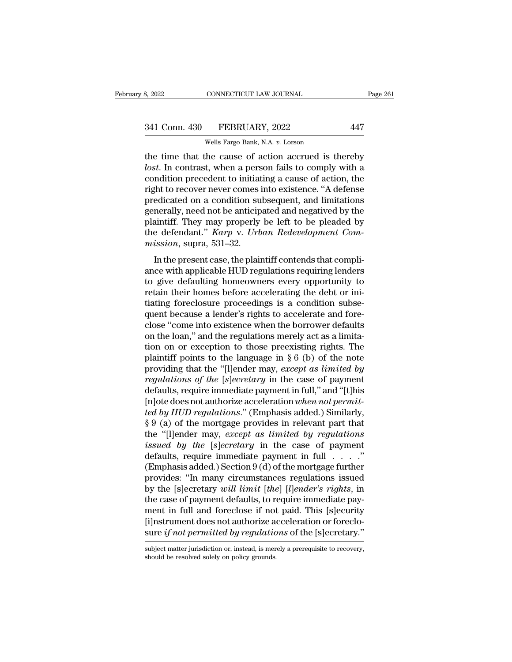| 8, 2022       | CONNECTICUT LAW JOURNAL          | Page 261 |
|---------------|----------------------------------|----------|
| 341 Conn. 430 | FEBRUARY, 2022                   | 447      |
|               | Wells Fargo Bank, N.A. v. Lorson |          |

CONNECTICUT LAW JOURNAL<br>
FEBRUARY, 2022<br>
Wells Fargo Bank, N.A. *v.* Lorson<br>
the cause of action accrued is t the time that the cause of action accrued is thereby<br>
the time that the cause of action accrued is thereby<br>
the time that the cause of action accrued is thereby<br>
the time that the cause of action accrued is thereby<br>
the co <sup>241</sup> Conn. 430 FEBRUARY, 2022 447<br>
<sup>Wells Fargo Bank, N.A. *v.* Lorson<br>
the time that the cause of action accrued is thereby<br> *lost*. In contrast, when a person fails to comply with a<br>
condition precedent to initiating a </sup> 341 Conn. 430 FEBRUARY, 2022 447<br>
Wells Fargo Bank, N.A. v. Lorson<br>
the time that the cause of action accrued is thereby<br> *lost*. In contrast, when a person fails to comply with a<br>
condition precedent to initiating a caus 341 Conn. 430 FEBRUARY, 2022 447<br>
Wells Fargo Bank, N.A. v. Lorson<br>
the time that the cause of action accrued is thereby<br> *lost*. In contrast, when a person fails to comply with a<br>
condition precedent to initiating a caus Wells Fargo Bank, N.A. v. Lorson<br>the time that the cause of action accrued is thereby<br>*lost*. In contrast, when a person fails to comply with a<br>condition precedent to initiating a cause of action, the<br>right to recover nev Wells Fargo Bank, N.A. v. Lorson<br>the time that the cause of action accrued is thereby<br>lost. In contrast, when a person fails to comply with a<br>condition precedent to initiating a cause of action, the<br>right to recover never the time that the cause of action accrued is thereby *lost*. In contrast, when a person fails to comply with a condition precedent to initiating a cause of action, the right to recover never comes into existence. "A defen lost. In contrast, when a person fails to comply with a condition precedent to initiating a cause of action, the right to recover never comes into existence. "A defense predicated on a condition subsequent, and limitations condition precedent to initiat<br>right to recover never comes<br>predicated on a condition su<br>generally, need not be anticip<br>plaintiff. They may properly<br>the defendant." *Karp* v. *Urb*<br>mission, supra, 531–32.<br>In the present ca Fin to recover never comes into existence. A detense<br>edicated on a condition subsequent, and limitations<br>nerally, need not be anticipated and negatived by the<br>aintiff. They may properly be left to be pleaded by<br>e defendant predicated on a condition subsequent, and initiations<br>generally, need not be anticipated and negatived by the<br>plaintiff. They may properly be left to be pleaded by<br>the defendant." *Karp v. Urban Redevelopment Com-*<br>mission

plaintiff. They may properly be left to be pleaded by<br>plaintiff. They may properly be left to be pleaded by<br>the defendant." *Karp v. Urban Redevelopment Com-*<br>mission, supra, 531–32.<br>In the present case, the plaintiff cont plantant. They may property be fert to be pleaded by<br>the defendant." *Karp v. Urban Redevelopment Com-*<br>mission, supra, 531–32.<br>In the present case, the plaintiff contends that compli-<br>ance with applicable HUD regulations the determinant from  $p$  v.  $\sigma$  colonizate redefference of mission, supra, 531–32.<br>In the present case, the plaintiff contends that compli-<br>ance with applicable HUD regulations requiring lenders<br>to give defaulting homeow In the present case, the plaintiff contends that compli-<br>ance with applicable HUD regulations requiring lenders<br>to give defaulting homeowners every opportunity to<br>retain their homes before accelerating the debt or ini-<br>ti In the present case, the plaintiff contends that compli-<br>ance with applicable HUD regulations requiring lenders<br>to give defaulting homeowners every opportunity to<br>retain their homes before accelerating the debt or ini-<br>tia ance with applicable HUD regulations requiring lenders<br>to give defaulting homeowners every opportunity to<br>retain their homes before accelerating the debt or ini-<br>tiating foreclosure proceedings is a condition subse-<br>quent to give defaulting homeowners every opportunity to<br>retain their homes before accelerating the debt or ini-<br>tiating foreclosure proceedings is a condition subse-<br>quent because a lender's rights to accelerate and fore-<br>clos retain their homes before accelerating the debt or initiating foreclosure proceedings is a condition subsequent because a lender's rights to accelerate and fore-<br>close "come into existence when the borrower defaults<br>on th tiating foreclosure proceedings is a condition subsequent because a lender's rights to accelerate and fore-<br>close "come into existence when the borrower defaults<br>on the loan," and the regulations merely act as a limita-<br>ti quent because a lender's rights to accelerate and fore-<br>close "come into existence when the borrower defaults<br>on the loan," and the regulations merely act as a limita-<br>tion on or exception to those preexisting rights. The<br> close "come into existence when the borrower defaults<br>on the loan," and the regulations merely act as a limita-<br>tion on or exception to those preexisting rights. The<br>plaintiff points to the language in § 6 (b) of the note on the loan," and the regulations merely act as a limitation on or exception to those preexisting rights. The plaintiff points to the language in § 6 (b) of the note providing that the "[l]ender may, *except as limited by* tion on or exception to those preexisting rights. The<br>plaintiff points to the language in § 6 (b) of the note<br>providing that the "[l]ender may, *except as limited by*<br>*regulations of the* [s]*ecretary* in the case of payme plaintiff points to the language in § 6 (b) of the note<br>providing that the "[l]ender may, *except as limited by*<br>regulations of the [s]ecretary in the case of payment<br>defaults, require immediate payment in full," and "[t] providing that the "[l]ender may, *except as limited by*<br>regulations of the [s]ecretary in the case of payment<br>defaults, require immediate payment in full," and "[t]his<br>[n]ote does not authorize acceleration *when* not pe *issued by the* [*s*]*ecretary* in the case of payment<br>defaults, require immediate payment in full," and "[t]his<br>[n]ote does not authorize acceleration *when not permit-*<br>*ted by HUD regulations.*" (Emphasis added.) Simila defaults, require immediate payment in full," and "[t]his<br>[n]ote does not authorize acceleration *when not permit-*<br>*ted by HUD regulations.*" (Emphasis added.) Similarly,<br> $\S 9$  (a) of the mortgage provides in relevant pa [n]ote does not authorize acceleration *when not permit-*<br>ted by HUD regulations." (Emphasis added.) Similarly,<br>§ 9 (a) of the mortgage provides in relevant part that<br>the "[l]ender may, *except as limited by regulations*<br> *ted by HUD regulations.*" (Emphasis added.) Similarly,<br>
§ 9 (a) of the mortgage provides in relevant part that<br>
the "[l]ender may, *except as limited by regulations*<br> *issued by the* [*s*]*ecretary* in the case of paymen § 9 (a) of the mortgage provides in relevant part that<br>the "[l]ender may, *except as limited by regulations*<br>*issued by the* [*s*]*ecretary* in the case of payment<br>defaults, require immediate payment in full . . . ."<br>(Emph the "[I]ender may, *except as limited by regulations*<br>issued by the [s]ecretary in the case of payment<br>defaults, require immediate payment in full  $\ldots$ ."<br>(Emphasis added.) Section 9 (d) of the mortgage further<br>provides: issued by the [s]ecretary in the case of payment<br>defaults, require immediate payment in full . . . ."<br>(Emphasis added.) Section 9 (d) of the mortgage further<br>provides: "In many circumstances regulations issued<br>by the [s]e defaults, require immediate payment in full  $\ldots$ ."<br>(Emphasis added.) Section 9 (d) of the mortgage further<br>provides: "In many circumstances regulations issued<br>by the [s]ecretary will limit [the] [l]ender's rights, in<br>the (Emphasis added.) Section 9 (d) of the mortgage further<br>provides: "In many circumstances regulations issued<br>by the [s]ecretary *will limit* [the] [l]ender's rights, in<br>the case of payment defaults, to require immediate pay the case of payment defaults, to require immediate payment in full and foreclose if not paid. This [s]ecurity [i]nstrument does not authorize acceleration or foreclosure *if not permitted by regulations* of the [s]ecretar sure if not permitted by regulations of the [s]ecretary."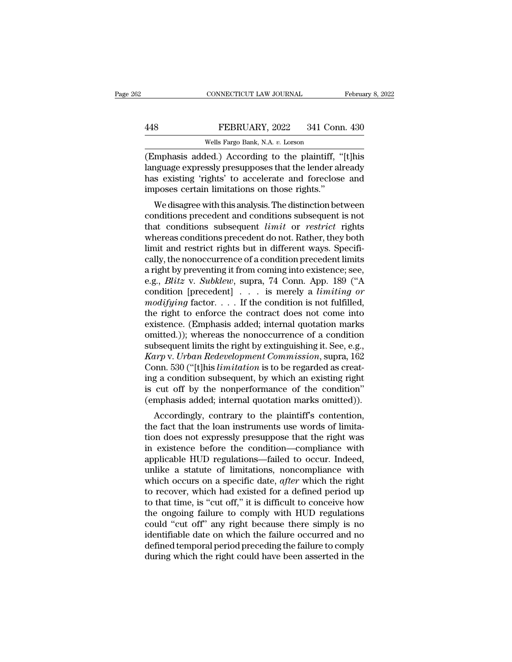## EXECTIVE CONNECTICUT LAW JOURNAL February 8, 2022<br>448 FEBRUARY, 2022 341 Conn. 430<br>Wells Fargo Bank, N.A. v. Lorson CONNECTICUT LAW JOURNAL<br>FEBRUARY, 2022 341 Connel<br>Wells Fargo Bank, N.A. *v.* Lorson<br>led ) According to the plaintiff

CONNECTICUT LAW JOURNAL February 8, 2022<br>
FEBRUARY, 2022 341 Conn. 430<br>
Wells Fargo Bank, N.A. v. Lorson<br>
(Emphasis added.) According to the plaintiff, "[t]his<br>
language expressly presupposes that the lender already<br>
has e FEBRUARY, 2022 341 Conn. 430<br>Wells Fargo Bank, N.A. v. Lorson<br>(Emphasis added.) According to the plaintiff, "[t]his<br>language expressly presupposes that the lender already<br>has existing 'rights' to accelerate and foreclose a FEBRUARY, 2022 341 Conn. 430<br>Wells Fargo Bank, N.A. v. Lorson<br>(Emphasis added.) According to the plaintiff, "[t]his<br>language expressly presupposes that the lender already<br>has existing 'rights' to accelerate and foreclose a FEBRUARY, 2022 341 Conr<br>
Wells Fargo Bank, N.A. v. Lorson<br>
(Emphasis added.) According to the plaintiff, "<br>
language expressly presupposes that the lender all<br>
has existing 'rights' to accelerate and foreclose<br>
imposes cer Wells Fargo Bank, N.A.  $v$ . Lorson<br>
mphasis added.) According to the plaintiff, "[t]his<br>
nguage expressly presupposes that the lender already<br>
s existing 'rights' to accelerate and foreclose and<br>
poses certain limitations (Emphasis added.) According to the plaintiff, "[t]his language expressly presupposes that the lender already has existing 'rights' to accelerate and foreclose and imposes certain limitations on those rights."<br>We disagree w

(Entipriasis added.) According to the plaintiff, [t]his<br>language expressly presupposes that the lender already<br>has existing 'rights' to accelerate and foreclose and<br>imposes certain limitations on those rights."<br>We disagree ranguage expressly presupposes that the lender already<br>has existing 'rights' to accelerate and foreclose and<br>imposes certain limitations on those rights."<br>We disagree with this analysis. The distinction between<br>conditions has existing rights to accelerate and foreclose and<br>imposes certain limitations on those rights."<br>We disagree with this analysis. The distinction between<br>conditions precedent and conditions subsequent is not<br>that condition miposes certain initiations on those rights.<br>
We disagree with this analysis. The distinction between<br>
conditions precedent and conditions subsequent is not<br>
that conditions subsequent *limit* or *restrict* rights<br>
wherea We disagree with this analysis. The distinction between<br>conditions precedent and conditions subsequent is not<br>that conditions subsequent *limit* or *restrict* rights<br>whereas conditions precedent do not. Rather, they both<br> conditions precedent and conditions subsequent is not<br>that conditions subsequent *limit* or *restrict* rights<br>whereas conditions precedent do not. Rather, they both<br>limit and restrict rights but in different ways. Specifithat conditions subsequent *limit* or *restrict* rights<br>whereas conditions precedent do not. Rather, they both<br>limit and restrict rights but in different ways. Specifi-<br>cally, the nonoccurrence of a condition precedent lim whereas conditions precedent do not. Rather, they both<br>limit and restrict rights but in different ways. Specifi-<br>cally, the nonoccurrence of a condition precedent limits<br>a right by preventing it from coming into existence; limit and restrict rights but in different ways. Specifically, the nonoccurrence of a condition precedent limits<br>a right by preventing it from coming into existence; see,<br>e.g., *Blitz* v. *Subklew*, supra, 74 Conn. App. 1 cally, the nonoccurrence of a condition precedent limits<br>a right by preventing it from coming into existence; see,<br>e.g., *Blitz* v. *Subklew*, supra, 74 Conn. App. 189 ("A<br>condition [precedent] . . . is merely a *limiting* a right by preventing it from coming into existence; see,<br>e.g., *Blitz* v. *Subklew*, supra, 74 Conn. App. 189 ("A<br>condition [precedent] . . . is merely a *limiting or*<br>modifying factor. . . . If the condition is not fulf e.g., *Blitz* v. *Subklew*, supra, 74 Conn. App. 189 ("A condition [precedent] . . . is merely a *limiting or modifying* factor. . . . If the condition is not fulfilled, the right to enforce the contract does not come int condition [precedent]  $\ldots$  is merely a *limiting or*<br>*modifying* factor.  $\ldots$  If the condition is not fulfilled,<br>the right to enforce the contract does not come into<br>existence. (Emphasis added; internal quotation marks<br> modifying factor. . . . . If the condition is not fulfilled,<br>the right to enforce the contract does not come into<br>existence. (Emphasis added; internal quotation marks<br>omitted.)); whereas the nonoccurrence of a condition<br>su the right to enforce the contract does not come into<br>existence. (Emphasis added; internal quotation marks<br>omitted.)); whereas the nonoccurrence of a condition<br>subsequent limits the right by extinguishing it. See, e.g.,<br>*Ka* existence. (Emphasis added; internal quotation marks<br>omitted.)); whereas the nonoccurrence of a condition<br>subsequent limits the right by extinguishing it. See, e.g.,<br> $Karp$  v. *Urban Redevelopment Commission*, supra, 162<br>Con omitted.)); whereas the nonoccurrence of a condition<br>subsequent limits the right by extinguishing it. See, e.g.,<br>*Karp* v. *Urban Redevelopment Commission*, supra, 162<br>Conn. 530 ("[t]his *limitation* is to be regarded as c bsequent initias the right by extinguishing it. see, e.g.,<br>  $nrp$  v. Urban Redevelopment Commission, supra, 162<br>
ann. 530 ("[t]his *limitation* is to be regarded as creat-<br>
g a condition subsequent, by which an existing ri Karp v. Croan heave to pment Commission, supra, 102<br>Conn. 530 ("[t]his *limitation* is to be regarded as creat-<br>ing a condition subsequent, by which an existing right<br>is cut off by the nonperformance of the condition"<br>(em

Figure 350 (Figure *chatation* is to be regarded as creating a condition subsequent, by which an existing right<br>is cut off by the nonperformance of the condition"<br>(emphasis added; internal quotation marks omitted)).<br>Accord is cut off by the nonperformance of the condition"<br>
(emphasis added; internal quotation marks omitted)).<br>
Accordingly, contrary to the plaintiff's contention,<br>
the fact that the loan instruments use words of limita-<br>
tion and the set of by the hongerborhance of the condition<br>(emphasis added; internal quotation marks omitted)).<br>Accordingly, contrary to the plaintiff's contention,<br>the fact that the loan instruments use words of limita-<br>tion d (emphasis added, internal quotation marks onlitted)).<br>Accordingly, contrary to the plaintiff's contention,<br>the fact that the loan instruments use words of limita-<br>tion does not expressly presuppose that the right was<br>in e Accordingly, contrary to the plaintiff's contention,<br>the fact that the loan instruments use words of limita-<br>tion does not expressly presuppose that the right was<br>in existence before the condition—compliance with<br>applicabl the fact that the loan instruments use words of limitation does not expressly presuppose that the right was<br>in existence before the condition—compliance with<br>applicable HUD regulations—failed to occur. Indeed,<br>unlike a sta tion does not expressly presuppose that the right was<br>in existence before the condition—compliance with<br>applicable HUD regulations—failed to occur. Indeed,<br>unlike a statute of limitations, noncompliance with<br>which occurs o in existence before the condition—compliance with<br>applicable HUD regulations—failed to occur. Indeed,<br>unlike a statute of limitations, noncompliance with<br>which occurs on a specific date, *after* which the right<br>to recover applicable HUD regulations—failed to occur. Indeed,<br>unlike a statute of limitations, noncompliance with<br>which occurs on a specific date, *after* which the right<br>to recover, which had existed for a defined period up<br>to that unlike a statute of limitations, noncompliance with<br>which occurs on a specific date, *after* which the right<br>to recover, which had existed for a defined period up<br>to that time, is "cut off," it is difficult to conceive ho which occurs on a specific date, *after* which the right<br>to recover, which had existed for a defined period up<br>to that time, is "cut off," it is difficult to conceive how<br>the ongoing failure to comply with HUD regulations to recover, which had existed for a defined period up<br>to that time, is "cut off," it is difficult to conceive how<br>the ongoing failure to comply with HUD regulations<br>could "cut off" any right because there simply is no<br>iden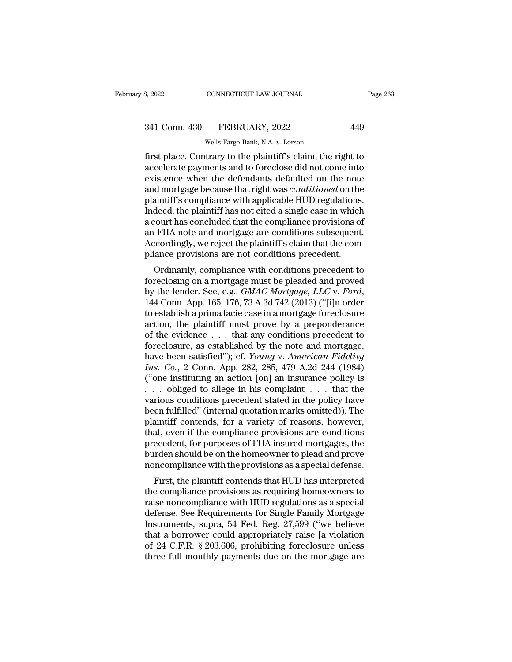# 341 Conn. 430 FEBRUARY, 2022 449<br>Wells Fargo Bank, N.A. v. Lorson

CONNECTICUT LAW JOURNAL<br>FEBRUARY, 2022<br>Wells Fargo Bank, N.A. *v.* Lorson<br>trary to the plaintiff's claim, the r First place. Connectricut LAW JOURNAL Page 263<br>
341 Conn. 430 FEBRUARY, 2022 449<br>
6 Wells Fargo Bank, N.A. v. Lorson<br>
19 Tirst place. Contrary to the plaintiff's claim, the right to<br>
accelerate payments and to foreclose di 341 Conn. 430 FEBRUARY, 2022 449<br>Wells Fargo Bank, N.A. v. Lorson<br>first place. Contrary to the plaintiff's claim, the right to<br>accelerate payments and to foreclose did not come into<br>existence when the defendants defaulted 341 Conn. 430 FEBRUARY, 2022 449<br>
Wells Fargo Bank, N.A. v. Lorson<br>
first place. Contrary to the plaintiff's claim, the right to<br>
accelerate payments and to foreclose did not come into<br>
existence when the defendants defau 341 Conn. 430 FEBRUARY, 2022 449<br>
Wells Fargo Bank, N.A. *v.* Lorson<br>
first place. Contrary to the plaintiff's claim, the right to<br>
accelerate payments and to foreclose did not come into<br>
existence when the defendants defa Wells Fargo Bank, N.A. v. Lorson<br>first place. Contrary to the plaintiff's claim, the right to<br>accelerate payments and to foreclose did not come into<br>existence when the defendants defaulted on the note<br>and mortgage because Wells Fargo Bank, N.A.  $v$ . Lorson<br>
first place. Contrary to the plaintiff's claim, the right to<br>
accelerate payments and to foreclose did not come into<br>
existence when the defendants defaulted on the note<br>
and mortgage b first place. Contrary to the plaintiff's claim, the right to accelerate payments and to foreclose did not come into existence when the defendants defaulted on the note and mortgage because that right was *conditioned* on t accelerate payments and to foreclose did not come into<br>existence when the defendants defaulted on the note<br>and mortgage because that right was *conditioned* on the<br>plaintiff's compliance with applicable HUD regulations.<br>In existence when the defendants defaulted on the note<br>and mortgage because that right was *conditioned* on the<br>plaintiff's compliance with applicable HUD regulations.<br>Indeed, the plaintiff has not cited a single case in whic and mortgage because that right was *conditioned* on the plaintiff's compliance with applicable HUD regulations Indeed, the plaintiff has not cited a single case in which a court has concluded that the compliance provision and it is compliance with applicable HOD regulations.<br>
deed, the plaintiff has not cited a single case in which<br>
court has concluded that the compliance provisions of<br>
FHA note and mortgage are conditions subsequent.<br>
coo molecu, the plantin has not ched a single case in which<br>a court has concluded that the compliance provisions of<br>an FHA note and mortgage are conditions subsequent.<br>Accordingly, we reject the plaintiff's claim that the com-

a court has concluded that the comphance provisions of<br>an FHA note and mortgage are conditions subsequent.<br>Accordingly, we reject the plaintiff's claim that the com-<br>pliance provisions are not conditions precedent to<br>forec Accordingly, we reject the plaintin's claim that the controller<br>pliance provisions are not conditions precedent to<br>foreclosing on a mortgage must be pleaded and proved<br>by the lender. See, e.g., *GMAC Mortgage, LLC* v. *For* phance provisions are not conditions precedent.<br>
Ordinarily, compliance with conditions precedent to<br>
foreclosing on a mortgage must be pleaded and proved<br>
by the lender. See, e.g., *GMAC Mortgage, LLC* v. *Ford*,<br>
144 Co Ordinarily, compliance with conditions precedent to<br>foreclosing on a mortgage must be pleaded and proved<br>by the lender. See, e.g., *GMAC Mortgage, LLC* v. *Ford*,<br>144 Conn. App. 165, 176, 73 A.3d 742 (2013) ("[i]n order<br>t foreclosing on a mortgage must be pleaded and proved<br>by the lender. See, e.g., *GMAC Mortgage, LLC* v. *Ford*,<br>144 Conn. App. 165, 176, 73 A.3d 742 (2013) ("[i]n order<br>to establish a prima facie case in a mortgage foreclo by the lender. See, e.g., *GMAC Mortgage*, *LLC* v. *Ford*, 144 Conn. App. 165, 176, 73 A.3d 742 (2013) ("[i]n order to establish a prima facie case in a mortgage foreclosure action, the plaintiff must prove by a preponder 144 Conn. App. 165, 176, 73 A.3d 742 (2013) ("[i]n order<br>to establish a prima facie case in a mortgage foreclosure<br>action, the plaintiff must prove by a preponderance<br>of the evidence . . . that any conditions precedent to<br> to establish a prima facie case in a mortgage foreclosure<br>action, the plaintiff must prove by a preponderance<br>of the evidence . . . that any conditions precedent to<br>foreclosure, as established by the note and mortgage,<br>ha action, the plaintiff must prove by a preponderance<br>of the evidence . . . that any conditions precedent to<br>foreclosure, as established by the note and mortgage,<br>have been satisfied"); cf. *Young v. American Fidelity*<br> $Ins. Co$ of the evidence . . . that any conditions precedent to<br>foreclosure, as established by the note and mortgage,<br>have been satisfied"); cf. *Young v. American Fidelity*<br>*Ins. Co.*, 2 Conn. App. 282, 285, 479 A.2d 244 (1984)<br>( foreclosure, as established by the note and mortgage,<br>have been satisfied"); cf. *Young v. American Fidelity*<br>*Ins. Co.*, 2 Conn. App. 282, 285, 479 A.2d 244 (1984)<br>("one instituting an action [on] an insurance policy is<br> have been satisfied"); cf. *Young v. American Fidelity*<br>*Ins. Co.*, 2 Conn. App. 282, 285, 479 A.2d 244 (1984)<br>("one instituting an action [on] an insurance policy is<br> $\ldots$  obliged to allege in his complaint  $\ldots$  that th Ins. Co., 2 Conn. App. 282, 285, 479 A.2d 244 (1984)<br>("one instituting an action [on] an insurance policy is<br>... obliged to allege in his complaint ... that the<br>various conditions precedent stated in the policy have<br>been ("one instituting an action [on] an insurance policy is  $\ldots$  obliged to allege in his complaint  $\ldots$  that the various conditions precedent stated in the policy have been fulfilled" (internal quotation marks omitted)). T ... bliged to allege in his complaint ... that the various conditions precedent stated in the policy have been fulfilled" (internal quotation marks omitted)). The plaintiff contends, for a variety of reasons, however, tha various conditions precedent stated in the policy have<br>been fulfilled" (internal quotation marks omitted)). The<br>plaintiff contends, for a variety of reasons, however,<br>that, even if the compliance provisions are conditions<br> en fulfilled (internal quotation marks ontited)). The<br>aintiff contends, for a variety of reasons, however,<br>at, even if the compliance provisions are conditions<br>ecedent, for purposes of FHA insured mortgages, the<br>rden shoul plantificant contends, for a variety of reasons, however,<br>that, even if the compliance provisions are conditions<br>precedent, for purposes of FHA insured mortgages, the<br>burden should be on the homeowner to plead and prove<br>no

raise, the main the compliance provisions are conditions<br>precedent, for purposes of FHA insured mortgages, the<br>burden should be on the homeowner to plead and prove<br>noncompliance with the provisions as a special defense.<br>F precedent, for purposes of FTIA insured mortgages, the<br>burden should be on the homeowner to plead and prove<br>noncompliance with the provisions as a special defense.<br>First, the plaintiff contends that HUD has interpreted<br>the butuen should be on the nonieuwher to plead and prove<br>noncompliance with the provisions as a special defense.<br>First, the plaintiff contends that HUD has interpreted<br>the compliance provisions as requiring homeowners to<br>rai First, the plaintiff contends that HUD has interpreted<br>the compliance provisions as requiring homeowners to<br>raise noncompliance with HUD regulations as a special<br>defense. See Requirements for Single Family Mortgage<br>Instrum First, the plaintiff contends that HUD has interpreted<br>the compliance provisions as requiring homeowners to<br>raise noncompliance with HUD regulations as a special<br>defense. See Requirements for Single Family Mortgage<br>Instrum the compliance provisions as requiring homeowners to<br>raise noncompliance with HUD regulations as a special<br>defense. See Requirements for Single Family Mortgage<br>Instruments, supra, 54 Fed. Reg. 27,599 ("we believe<br>that a bo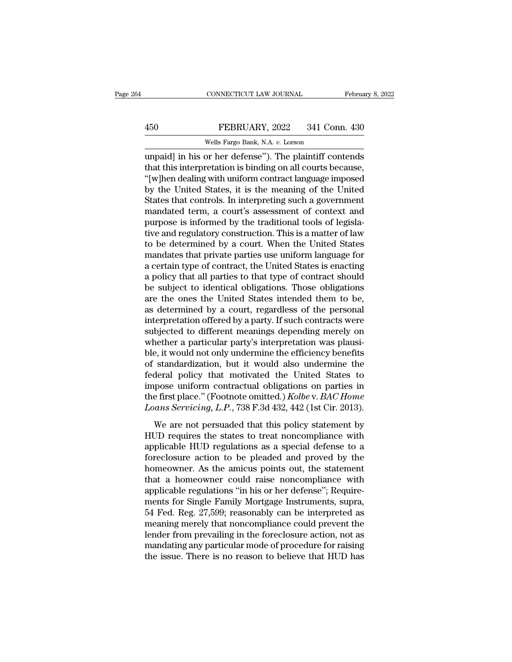## EXECUTE CONNECTICUT LAW JOURNAL February 8, 2022<br>450 FEBRUARY, 2022 341 Conn. 430<br>Wells Fargo Bank, N.A. v. Lorson CONNECTICUT LAW JOURNAL<br>FEBRUARY, 2022 341 Con<br>Wells Fargo Bank, N.A. *v.* Lorson<br>Or her defense'') The plaintiff co

CONNECTICUT LAW JOURNAL February 8, 2022<br>
FEBRUARY, 2022 341 Conn. 430<br>
Wells Fargo Bank, N.A. v. Lorson<br>
Unpaid] in his or her defense''). The plaintiff contends<br>
that this interpretation is binding on all courts because, The History of the Minister of the United States<br>
that this interpretation is binding on all courts because,<br>
that this interpretation is binding on all courts because,<br>
the United States, it is the meaning of the United<br>  $\begin{array}{c} \text{450} & \text{FEBRUARY, 2022} & \text{341 Conn. } \text{430} \\ \text{Wells Fargo Bank, N.A. } v. \text{Lorson} \\ \text{unpaid] in his or her defense''). The plaintiff contents that this interpretation is binding on all courts because, "[w]hen dealing with uniform contract language imposed by the United States, it is the meaning of the United States that controls. In interpreting such a government$ FEBRUARY, 2022 341 Conn. 430<br>
Wells Fargo Bank, N.A. v. Lorson<br>
unpaid] in his or her defense"). The plaintiff contends<br>
that this interpretation is binding on all courts because,<br>
"[w]hen dealing with uniform contract lan Wells Fargo Bank, N.A. v. Lorson<br>
unpaid] in his or her defense"). The plaintiff contends<br>
that this interpretation is binding on all courts because,<br>
"[w]hen dealing with uniform contract language imposed<br>
by the United S wells rargo Bank, N.A.  $v$ . Lorson<br>unpaid] in his or her defense"). The plaintiff contends<br>that this interpretation is binding on all courts because,<br>"[w]hen dealing with uniform contract language imposed<br>by the United St unpaid] in his or her defense"). The plaintiff contends<br>that this interpretation is binding on all courts because,<br>"[w]hen dealing with uniform contract language imposed<br>by the United States, it is the meaning of the Unite that this interpretation is binding on all courts because,<br>"[w]hen dealing with uniform contract language imposed<br>by the United States, it is the meaning of the United<br>States that controls. In interpreting such a governmen "[w]hen dealing with uniform contract language imposed<br>by the United States, it is the meaning of the United<br>States that controls. In interpreting such a government<br>mandated term, a court's assessment of context and<br>purpos by the United States, it is the meaning of the United<br>States that controls. In interpreting such a government<br>mandated term, a court's assessment of context and<br>purpose is informed by the traditional tools of legisla-<br>tive States that controls. In interpreting such a government<br>mandated term, a court's assessment of context and<br>purpose is informed by the traditional tools of legisla-<br>tive and regulatory construction. This is a matter of law<br> mandated term, a court's assessment of context and<br>purpose is informed by the traditional tools of legisla-<br>tive and regulatory construction. This is a matter of law<br>to be determined by a court. When the United States<br>mand purpose is informed by the traditional tools of legislative and regulatory construction. This is a matter of law<br>to be determined by a court. When the United States<br>mandates that private parties use uniform language for<br>a tive and regulatory construction. This is a matter of law<br>to be determined by a court. When the United States<br>mandates that private parties use uniform language for<br>a certain type of contract, the United States is enacting to be determined by a court. When the United States<br>mandates that private parties use uniform language for<br>a certain type of contract, the United States is enacting<br>a policy that all parties to that type of contract should mandates that private parties use uniform language for<br>a certain type of contract, the United States is enacting<br>a policy that all parties to that type of contract should<br>be subject to identical obligations. Those obligati a certain type of contract, the United States is enacting<br>a policy that all parties to that type of contract should<br>be subject to identical obligations. Those obligations<br>are the ones the United States intended them to be, a policy that all parties to that type of contract should<br>be subject to identical obligations. Those obligations<br>are the ones the United States intended them to be,<br>as determined by a court, regardless of the personal<br>inte be subject to identical obligations. Those obligations<br>are the ones the United States intended them to be,<br>as determined by a court, regardless of the personal<br>interpretation offered by a party. If such contracts were<br>subj are the ones the United States intended them to be,<br>as determined by a court, regardless of the personal<br>interpretation offered by a party. If such contracts were<br>subjected to different meanings depending merely on<br>whether as determined by a court, regardless of the personal<br>interpretation offered by a party. If such contracts were<br>subjected to different meanings depending merely on<br>whether a particular party's interpretation was plausi-<br>bl interpretation offered by a party. If such contracts were<br>subjected to different meanings depending merely on<br>whether a particular party's interpretation was plausi-<br>ble, it would not only undermine the efficiency benefit subjected to different meanings depending merely on<br>whether a particular party's interpretation was plausi-<br>ble, it would not only undermine the efficiency benefits<br>of standardization, but it would also undermine the<br>feder whether a particular party's interpretation was plausi-<br>ble, it would not only undermine the efficiency benefits<br>of standardization, but it would also undermine the<br>federal policy that motivated the United States to<br>impose standardization, but it would also undermine the<br>deral policy that motivated the United States to<br>pose uniform contractual obligations on parties in<br>e first place." (Footnote omitted.) Kolbe v. BAC Home<br>cans Servicing, L. or standardized, such a would disc direct integral policy that motivated the United States to impose uniform contractual obligations on parties in the first place." (Footnote omitted.) *Kolbe* v. *BAC Home Loans Servicing* 

reaction policy and included are critical bases to<br>impose uniform contractual obligations on parties in<br>the first place." (Footnote omitted.) Kolbe v. BAC Home<br>Loans Servicing, L.P., 738 F.3d 432, 442 (1st Cir. 2013).<br>We a the first place." (Footnote omitted.) *Kolbe* v. *BAC Home*<br>Loans Servicing, L.P., 738 F.3d 432, 442 (1st Cir. 2013).<br>We are not persuaded that this policy statement by<br>HUD requires the states to treat noncompliance with<br>a Loans Servicing, L.P., 738 F.3d 432, 442 (1st Cir. 2013).<br>We are not persuaded that this policy statement by<br>HUD requires the states to treat noncompliance with<br>applicable HUD regulations as a special defense to a<br>foreclos We are not persuaded that this policy statement by<br>HUD requires the states to treat noncompliance with<br>applicable HUD regulations as a special defense to a<br>foreclosure action to be pleaded and proved by the<br>homeowner. As t We are not persuaded that this policy statement by<br>HUD requires the states to treat noncompliance with<br>applicable HUD regulations as a special defense to a<br>foreclosure action to be pleaded and proved by the<br>homeowner. As t HUD requires the states to treat noncompliance with<br>applicable HUD regulations as a special defense to a<br>foreclosure action to be pleaded and proved by the<br>homeowner. As the amicus points out, the statement<br>that a homeowne applicable HUD regulations as a special defense to a<br>foreclosure action to be pleaded and proved by the<br>homeowner. As the amicus points out, the statement<br>that a homeowner could raise noncompliance with<br>applicable regulati foreclosure action to be pleaded and proved by the<br>homeowner. As the amicus points out, the statement<br>that a homeowner could raise noncompliance with<br>applicable regulations "in his or her defense"; Require-<br>ments for Singl homeowner. As the amicus points out, the statement<br>that a homeowner could raise noncompliance with<br>applicable regulations "in his or her defense"; Require-<br>ments for Single Family Mortgage Instruments, supra,<br>54 Fed. Reg. that a homeowner could raise noncompliance with<br>applicable regulations "in his or her defense"; Require-<br>ments for Single Family Mortgage Instruments, supra,<br>54 Fed. Reg. 27,599; reasonably can be interpreted as<br>meaning me applicable regulations "in his or her defense"; Requirements for Single Family Mortgage Instruments, supra, 54 Fed. Reg. 27,599; reasonably can be interpreted as meaning merely that noncompliance could prevent the lender f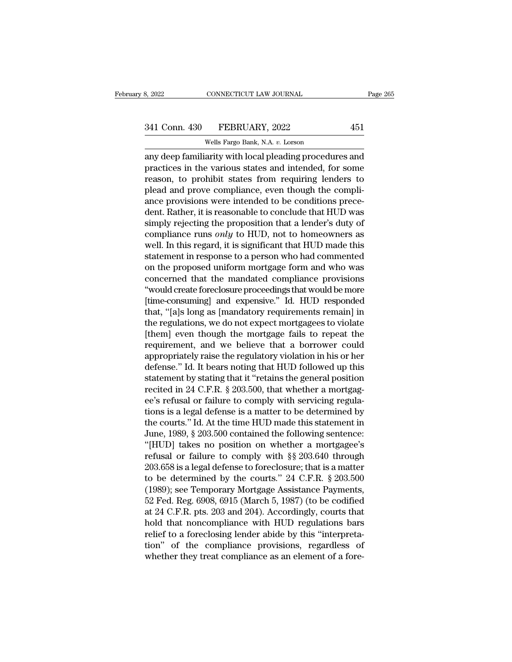# 341 Conn. 430 FEBRUARY, 2022 451<br>Wells Fargo Bank, N.A. v. Lorson

CONNECTICUT LAW JOURNAL<br>FEBRUARY, 2022<br>Wells Fargo Bank, N.A. *v.* Lorson<br>arity with local pleading procedur any deep familiarity with local pleading procedures and<br>
any deep familiarity with local pleading procedures and<br>
practices in the various states and intended, for some<br>
procedure to probibit states from requiring londers 341 Conn. 430 FEBRUARY, 2022 451<br>Wells Fargo Bank, N.A. v. Lorson<br>any deep familiarity with local pleading procedures and<br>practices in the various states and intended, for some<br>reason, to prohibit states from requiring len 341 Conn. 430 FEBRUARY, 2022 451<br>
Wells Fargo Bank, N.A. v. Lorson<br>
any deep familiarity with local pleading procedures and<br>
practices in the various states and intended, for some<br>
reason, to prohibit states from requirin  $\frac{341 \text{ Conn. } 430 \qquad \text{FEBRUARY, } 2022 \qquad \qquad 451}{\text{Wells Fargo Bank, N.A. } v. \text{ Lorson}}$ <br>any deep familiarity with local pleading procedures and<br>practices in the various states and intended, for some<br>reason, to prohibit states from requiring Wells Fargo Bank, N.A. v. Lorson<br>any deep familiarity with local pleading procedures and<br>practices in the various states and intended, for some<br>reason, to prohibit states from requiring lenders to<br>plead and prove complianc WEIS Fargo Bank, N.A. 0. Lotson<br>any deep familiarity with local pleading procedures and<br>practices in the various states and intended, for some<br>reason, to prohibit states from requiring lenders to<br>plead and prove complianc any deep familiarity with local pleading procedures and<br>practices in the various states and intended, for some<br>reason, to prohibit states from requiring lenders to<br>plead and prove compliance, even though the compli-<br>ance p practices in the various states and intended, for some<br>reason, to prohibit states from requiring lenders to<br>plead and prove compliance, even though the compli-<br>ance provisions were intended to be conditions prece-<br>dent. Ra reason, to prohibit states from requiring lenders to<br>plead and prove compliance, even though the compli-<br>ance provisions were intended to be conditions prece-<br>dent. Rather, it is reasonable to conclude that HUD was<br>simply plead and prove compliance, even though the compli-<br>ance provisions were intended to be conditions prece-<br>dent. Rather, it is reasonable to conclude that HUD was<br>simply rejecting the proposition that a lender's duty of<br>com ance provisions were intended to be conditions prece-<br>dent. Rather, it is reasonable to conclude that HUD was<br>simply rejecting the proposition that a lender's duty of<br>compliance runs *only* to HUD, not to homeowners as<br>wel dent. Rather, it is reasonable to conclude that HUD was<br>simply rejecting the proposition that a lender's duty of<br>compliance runs *only* to HUD, not to homeowners as<br>well. In this regard, it is significant that HUD made thi simply rejecting the proposition that a lender's duty of<br>compliance runs *only* to HUD, not to homeowners as<br>well. In this regard, it is significant that HUD made this<br>statement in response to a person who had commented<br>on compliance runs *only* to HUD, not to homeowners as<br>well. In this regard, it is significant that HUD made this<br>statement in response to a person who had commented<br>on the proposed uniform mortgage form and who was<br>concerned well. In this regard, it is significant that HUD made this<br>statement in response to a person who had commented<br>on the proposed uniform mortgage form and who was<br>concerned that the mandated compliance provisions<br>"would crea statement in response to a person who had commented<br>on the proposed uniform mortgage form and who was<br>concerned that the mandated compliance provisions<br>"would create foreclosure proceedings that would be more<br>[time-consumi on the proposed uniform mortgage form and who was<br>concerned that the mandated compliance provisions<br>"would create foreclosure proceedings that would be more<br>[time-consuming] and expensive." Id. HUD responded<br>that, "[a]s lo concerned that the mandated compliance provisions<br>"would create foreclosure proceedings that would be more<br>[time-consuming] and expensive." Id. HUD responded<br>that, "[a]s long as [mandatory requirements remain] in<br>the regul "would create foreclosure proceedings that would be more [time-consuming] and expensive." Id. HUD responded that, "[a]s long as [mandatory requirements remain] in the regulations, we do not expect mortgagees to violate [th [time-consuming] and expensive." Id. HUD responded<br>that, "[a]s long as [mandatory requirements remain] in<br>the regulations, we do not expect mortgagees to violate<br>[them] even though the mortgage fails to repeat the<br>require that, "[a]s long as [mandatory requirements remain] in<br>the regulations, we do not expect mortgagees to violate<br>[them] even though the mortgage fails to repeat the<br>requirement, and we believe that a borrower could<br>appropria the regulations, we do not expect mortgagees to violate<br>[them] even though the mortgage fails to repeat the<br>requirement, and we believe that a borrower could<br>appropriately raise the regulatory violation in his or her<br>defen [them] even though the mortgage fails to repeat the<br>requirement, and we believe that a borrower could<br>appropriately raise the regulatory violation in his or her<br>defense." Id. It bears noting that HUD followed up this<br>state requirement, and we believe that a borrower could<br>appropriately raise the regulatory violation in his or her<br>defense." Id. It bears noting that HUD followed up this<br>statement by stating that it "retains the general positio appropriately raise the regulatory violation in his or her<br>defense." Id. It bears noting that HUD followed up this<br>statement by stating that it "retains the general position<br>recited in 24 C.F.R. § 203.500, that whether a m defense." Id. It bears noting that HUD followed up this<br>statement by stating that it "retains the general position<br>recited in 24 C.F.R. § 203.500, that whether a mortgag-<br>ee's refusal or failure to comply with servicing re statement by stating that it "retains the general position<br>recited in 24 C.F.R. § 203.500, that whether a mortgag-<br>ee's refusal or failure to comply with servicing regula-<br>tions is a legal defense is a matter to be determi recited in 24 C.F.R. § 203.500, that whether a mortgag-<br>ee's refusal or failure to comply with servicing regula-<br>tions is a legal defense is a matter to be determined by<br>the courts." Id. At the time HUD made this statemen ee's refusal or failure to comply with servicing regula-<br>tions is a legal defense is a matter to be determined by<br>the courts." Id. At the time HUD made this statement in<br>June, 1989, § 203.500 contained the following senten tions is a legal defense is a matter to be determined by<br>the courts." Id. At the time HUD made this statement in<br>June, 1989, § 203.500 contained the following sentence:<br>"[HUD] takes no position on whether a mortgagee's<br>re the courts." Id. At the time HUD made this statement in<br>June, 1989, § 203.500 contained the following sentence:<br>"[HUD] takes no position on whether a mortgagee's<br>refusal or failure to comply with §§ 203.640 through<br>203.65 June, 1989, § 203.500 contained the following sentence:<br>
"[HUD] takes no position on whether a mortgagee's<br>
refusal or failure to comply with §§ 203.640 through<br>
203.658 is a legal defense to foreclosure; that is a matter<br> "[HUD] takes no position on whether a mortgagee's<br>refusal or failure to comply with  $\S$  203.640 through<br>203.658 is a legal defense to foreclosure; that is a matter<br>to be determined by the courts." 24 C.F.R.  $\S$  203.500<br>(1 refusal or failure to comply with §§ 203.640 through<br>203.658 is a legal defense to foreclosure; that is a matter<br>to be determined by the courts." 24 C.F.R. § 203.500<br>(1989); see Temporary Mortgage Assistance Payments,<br>52 F 203.658 is a legal defense to foreclosure; that is a matter<br>to be determined by the courts." 24 C.F.R. § 203.500<br>(1989); see Temporary Mortgage Assistance Payments,<br>52 Fed. Reg. 6908, 6915 (March 5, 1987) (to be codified<br>a to be determined by the courts." 24 C.F.R. § 203.500 (1989); see Temporary Mortgage Assistance Payments, 52 Fed. Reg. 6908, 6915 (March 5, 1987) (to be codified at 24 C.F.R. pts. 203 and 204). Accordingly, courts that hold (1989); see Temporary Mortgage Assistance Payments,<br>52 Fed. Reg. 6908, 6915 (March 5, 1987) (to be codified<br>at 24 C.F.R. pts. 203 and 204). Accordingly, courts that<br>hold that noncompliance with HUD regulations bars<br>relief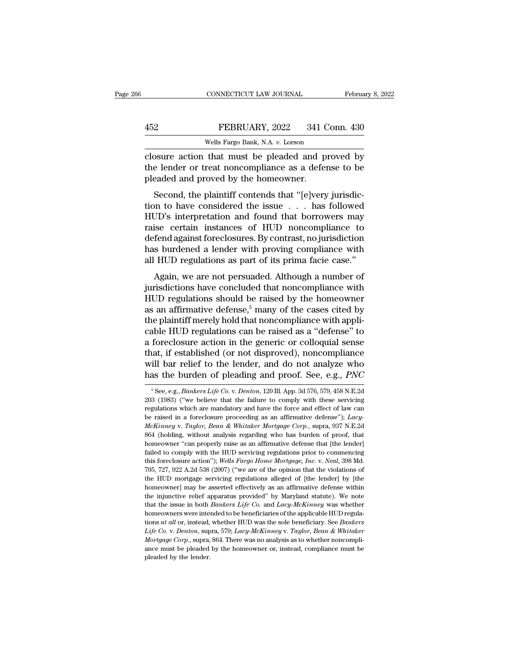|     | CONNECTICUT LAW JOURNAL                           | February 8, 2022 |
|-----|---------------------------------------------------|------------------|
|     |                                                   |                  |
| 452 | FEBRUARY, 2022                                    | 341 Conn. 430    |
|     | Wells Fargo Bank, N.A. v. Lorson                  |                  |
|     | closure action that must be pleaded and proved by |                  |

CONNECTICUT LAW JOURNAL February 8, 2022<br>
FEBRUARY, 2022 341 Conn. 430<br>
Wells Fargo Bank, N.A. v. Lorson<br>
Closure action that must be pleaded and proved by<br>
the lender or treat noncompliance as a defense to be<br>
pleaded and THE TREAD ART AND THE MELT THE MILL WELL STATE NORTHLINE WELL STATE CONSUMPTED AND MODEL AND MODEL AND THE LOCAL PORT OF THE LOCAL PORT OF THE MOREOVIDE AS A defense to be pleaded and proved by the homeowner. FEBRUARY, 2022 341 C<br>
Wells Fargo Bank, N.A. v. Lorson<br>
closure action that must be pleaded and p<br>
the lender or treat noncompliance as a defer<br>
pleaded and proved by the homeowner.<br>
Second, the plaintiff contends that "[e FEBRUARY, 2022 341 Conn. 430<br>
Wells Fargo Bank, N.A. v. Lorson<br>
SSure action that must be pleaded and proved by<br>
e lender or treat noncompliance as a defense to be<br>
eaded and proved by the homeowner.<br>
Second, the plaintiff

Wells Fargo Bank, N.A.  $v$ . Lorson<br>
closure action that must be pleaded and proved by<br>
the lender or treat noncompliance as a defense to be<br>
pleaded and proved by the homeowner.<br>
Second, the plaintiff contends that "[e]ve closure action that must be pleaded and proved by<br>the lender or treat noncompliance as a defense to be<br>pleaded and proved by the homeowner.<br>Second, the plaintiff contends that "[e]very jurisdic-<br>tion to have considered the ration that must be pleaded and proved by<br>the lender or treat noncompliance as a defense to be<br>pleaded and proved by the homeowner.<br>Second, the plaintiff contends that "[e]very jurisdic-<br>tion to have considered the issue . defended and proved by the homeowner.<br>
Second, the plaintiff contends that "[e]very jurisdiction to have considered the issue . . . has followed<br>
HUD's interpretation and found that borrowers may<br>
raise certain instances o Second, the plaintiff contends that "[e]very jurisdiction to have considered the issue . . . has followed HUD's interpretation and found that borrowers may raise certain instances of HUD noncompliance to defend against for Second, the plaintiff contends that "[e]very jurisdiction to have considered the issue  $\ldots$  has followed HUD's interpretation and found that borrowers may raise certain instances of HUD noncompliance to defend against fo  $AD$ 's interpretation and found that borrowers may<br>ise certain instances of  $HUD$  noncompliance to<br>fend against foreclosures. By contrast, no jurisdiction<br>is burdened a lender with proving compliance with<br> $HUD$  regulations a From S interpretation and found that borrowers hay<br>raise certain instances of HUD noncompliance to<br>defend against foreclosures. By contrast, no jurisdiction<br>has burdened a lender with proving compliance with<br>all HUD regul

Figure 1.1 The regulations of the monocompliance to<br>defend against foreclosures. By contrast, no jurisdiction<br>has burdened a lender with proving compliance with<br>all HUD regulations as part of its prima facie case."<br>Again, as burdened a lender with proving compliance with<br>has burdened a lender with proving compliance with<br>all HUD regulations as part of its prima facie case."<br>Again, we are not persuaded. Although a number of<br>jurisdictions hav has burdened a lender with proving compliance with<br>all HUD regulations as part of its prima facie case."<br>Again, we are not persuaded. Although a number of<br>jurisdictions have concluded that noncompliance with<br>HUD regulatio dependence as part of its primal racic case.<br>Again, we are not persuaded. Although a number of<br>jurisdictions have concluded that noncompliance with<br>HUD regulations should be raised by the homeowner<br>as an affirmative defens Again, we are not persuaded. Although a number of<br>jurisdictions have concluded that noncompliance with<br>HUD regulations should be raised by the homeowner<br>as an affirmative defense,<sup>5</sup> many of the cases cited by<br>the plainti jurisdictions have concluded that noncompliance with<br>HUD regulations should be raised by the homeowner<br>as an affirmative defense,<sup>5</sup> many of the cases cited by<br>the plaintiff merely hold that noncompliance with appli-<br>cabl HUD regulations should be raised by the homeowner<br>as an affirmative defense,<sup>5</sup> many of the cases cited by<br>the plaintiff merely hold that noncompliance with appli-<br>cable HUD regulations can be raised as a "defense" to<br>a f as an affirmative defense,<sup>5</sup> many of the cases cited by<br>the plaintiff merely hold that noncompliance with appli-<br>cable HUD regulations can be raised as a "defense" to<br>a foreclosure action in the generic or colloquial sens that, if established (or not disproved), noncompliance<br>will bar relief to the lender, and do not analyze who<br>has the burden of pleading and proof. See, e.g., *PNC*<br><sup>5</sup>See, e.g., *Bankers Life Co.* v. *Denton*, 120 Ill. App that, if established (or not disproved), noncompliance<br>will bar relief to the lender, and do not analyze who<br>has the burden of pleading and proof. See, e.g., *PNC*<br> ${}^{5}$ See, e.g., *Bankers Life Co. v. Denton*, 120 Ill. A

will bar relief to the lender, and do not analyze who<br>has the burden of pleading and proof. See, e.g., *PNC*<br><sup>5</sup>See, e.g., *Bankers Life Co. v. Denton*, 120 Ill. App. 3d 576, 579, 458 N.E.2d<br>203 (1983) ("we believe that t has the burden of pleading and proof. See, e.g., *PNC*<br>
<sup>5</sup> See, e.g., *Bankers Life Co. v. Denton*, 120 Ill. App. 3d 576, 579, 458 N.E.2d<br>
203 (1983) ("we believe that the failure to comply with these servicing<br>
regulatio *McKinney* v. *Taylor, Bean & Whitaker Mortgage Corp.*, supersigned the procedure comply with these servicing equations which are mandatory and have the force and effect of law can be raised in a foreclosure proceeding as <sup>5</sup> See, e.g., *Bankers Life Co. v. Denton*, 120 Ill. App. 3d 576, 579, 458 N.E.2d 203 (1983) ("we believe that the failure to comply with these servicing regulations which are mandatory and have the force and effect of l 203 (1983) ("we believe that the failure to comply with these serving<br>
203 (1983) ("we believe that the failure to comply with these serving<br>
regulations which are mandatory and have the force and effect of law can<br>
be ra regulations which are mandatory and have the force and effect of law can<br>be raised in a foreclosure proceeding as an affirmative defense"); Lacy-<br> $McKinney$  v. Taylor, Bean & Whitaker Mortgage Corp., supra, 937 N.E.2d<br>864 (hol the raised in a foreclosure proceeding as an affirmative defense"); *Lacy-McKinney v. Taylor*, *Bean & Whitaker Mortgage Corp.*, supra, 937 N.E.2d 864 (holding, without analysis regarding who has burden of proof, that home *McKinney v. Taylor, Bean & Whitaker Mortgage Corp.*, supra, 937 N.E.2d 864 (holding, without analysis regarding who has burden of proof, that homeowner "can properly raise as an affirmative defense that [the lender] faile  $\frac{400}{100}$  moreover "can properly raise as an affirmative defense that [the lender] failed to comply with the HUD servicing regulations prior to commencing failed to comply with the HUD servicing regulations prior to c homeowner "can properly raise as an affirmative defense that [the lender] failed to comply with the HUD servicing regulations prior to commencing this foreclosure action"); Wells Fargo Home Mortgage, Inc. v. Neal, 398 Md. failed to comply with the HUD servicing regulations prior to commencing this foreclosure action"); Wells Fargo Home Mortgage, Inc. v. Neal, 398 Md. 705, 727, 922 A.2d 538 (2007) ("we are of the opinion that the violations that the induction"); *Wells Fargo Home Mortgage, Inc.* v. *Neal*, 398 Md. 705, 727, 922 A.2d 538 (2007) ("we are of the opinion that the violations of the HUD mortgage servicing regulations alleged of [the lender] by [the  $1005, 727, 922$  A.2d 538 (2007) ("we are of the opinion that the violations of the HUD mortgage servicing regulations alleged of [the lender] by [the homeowner] may be asserted effectively as an affirmative defense withi the HUD mortgage servicing regulations alleged of [the lender] by [the homeowner] may be asserted effectively as an affirmative defense within the injunctive relief apparatus provided" by Maryland statute). We note that t *Life Co. Life Co. Denton Life Co. Dentonianally by Maryland statute).* We note that the issue in both *Bankers Life Co.* and *Lacy-McKinney* was whether homeowners were intended to be beneficiaries of the applicab the injunctive relief apparatus provided" by Maryland statute). We note that the issue in both *Bankers Life Co*. and *Lacy-McKinney* was whether homeowners were intended to be beneficiaries of the applicable HUD regulati ance must be interest and *Bankers Life Co.* and *Lacy-McKinney* was whether homeowners were intended to be beneficiaries of the applicable HUD regulations *at all or, instead, whether HUD was the sole beneficiary. See Ban* homeowners were intended to be beneficiaries of the applicable HUD regula-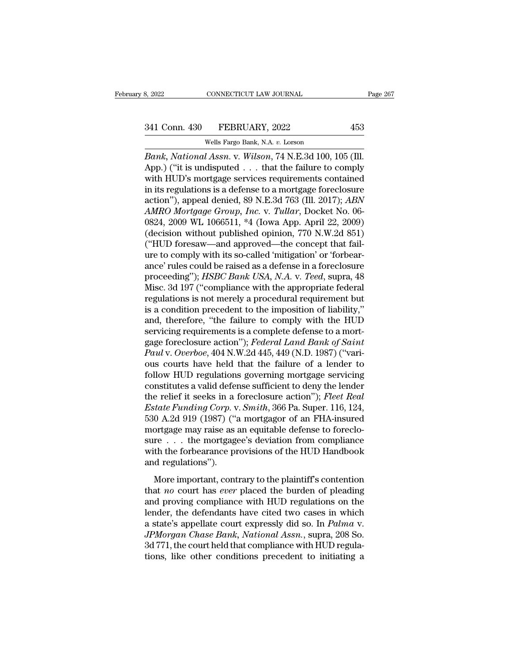# 341 Conn. 430 FEBRUARY, 2022 453<br>Wells Fargo Bank, N.A. v. Lorson

CONNECTICUT LAW JOURNAL<br>
FEBRUARY, 2022<br>
Wells Fargo Bank, N.A. *v.* Lorson<br> *UAssn. v. Wilson*, 74 N F. 3d 100-1 *Bank*, 2022<br> **Bank, 2022**<br> **Bank, National Assn.** v. Wilson, 74 N.E.3d 100, 105 (Ill.<br> **App.**) ("it is undisputed . . . that the failure to comply<br>
with HUD's mortgage services requirements contained 341 Conn. 430 FEBRUARY, 2022 453<br>Wells Fargo Bank, N.A. v. Lorson<br>Bank, National Assn. v. Wilson, 74 N.E.3d 100, 105 (III.<br>App.) ("it is undisputed . . . that the failure to comply<br>with HUD's mortgage services requirements 341 Conn. 430 FEBRUARY, 2022 453<br>
Wells Fargo Bank, N.A. v. Lorson<br> *Bank*, *National Assn.* v. *Wilson*, 74 N.E.3d 100, 105 (III.<br>
App.) ("it is undisputed . . . that the failure to comply<br>
with HUD's mortgage services r 341 Conn. 430 FEBRUARY, 2022 453<br>
Wells Fargo Bank, N.A. v. Lorson<br> *Bank*, *National Assn.* v. *Wilson*, 74 N.E.3d 100, 105 (III.<br>
App.) ("it is undisputed . . . that the failure to comply<br>
with HUD's mortgage services r Wells Fargo Bank, N.A. v. Lorson<br>Bank, National Assn. v. Wilson, 74 N.E.3d 100, 105 (Ill.<br>App.) ("it is undisputed . . . that the failure to comply<br>with HUD's mortgage services requirements contained<br>in its regulations is *Wells Fargo Bank, N.A. v. Lorson*<br> *Bank, National Assn. v. Wilson,* 74 N.E.3d 100, 105 (Ill.<br>
App.) ("it is undisputed . . . that the failure to comply<br>
with HUD's mortgage services requirements contained<br>
in its regulat Bank, National Assn. v. Wilson, 74 N.E.3d 100, 105 (Ill.<br>App.) ("it is undisputed . . . that the failure to comply<br>with HUD's mortgage services requirements contained<br>in its regulations is a defense to a mortgage foreclosu App.) ("it is undisputed . . . that the failure to comply<br>with HUD's mortgage services requirements contained<br>in its regulations is a defense to a mortgage foreclosure<br>action"), appeal denied, 89 N.E.3d 763 (Ill. 2017); with HUD's mortgage services requirements contained<br>in its regulations is a defense to a mortgage foreclosure<br>action"), appeal denied, 89 N.E.3d 763 (Ill. 2017); *ABN*<br>AMRO Mortgage Group, Inc. v. Tullar, Docket No. 06-<br>08 in its regulations is a defense to a mortgage foreclosure<br>action"), appeal denied, 89 N.E.3d 763 (Ill. 2017); *ABN*<br>*AMRO Mortgage Group, Inc.* v. *Tullar*, Docket No. 06-<br>0824, 2009 WL 1066511, \*4 (Iowa App. April 22, 20 action"), appeal denied, 89 N.E.3d 763 (Ill. 2017); *ABN*<br>AMRO Mortgage Group, Inc. v. Tullar, Docket No. 06-<br>0824, 2009 WL 1066511, \*4 (Iowa App. April 22, 2009)<br>(decision without published opinion, 770 N.W.2d 851)<br>("HUD AMRO Mortgage Group, Inc. v. Tullar, Docket No. 06-0824, 2009 WL 1066511, \*4 (Iowa App. April 22, 2009)<br>(decision without published opinion, 770 N.W.2d 851)<br>("HUD foresaw—and approved—the concept that fail-<br>ure to comply w 0824, 2009 WL 1066511, \*4 (Iowa App. April 22, 2009)<br>(decision without published opinion, 770 N.W.2d 851)<br>("HUD foresaw—and approved—the concept that fail-<br>ure to comply with its so-called 'mitigation' or 'forbear-<br>ance' (decision without published opinion, 770 N.W.2d 851)<br>("HUD foresaw—and approved—the concept that fail-<br>ure to comply with its so-called 'mitigation' or 'forbear-<br>ance' rules could be raised as a defense in a foreclosure<br>p ("HUD foresaw—and approved—the concept that fail-<br>ure to comply with its so-called 'mitigation' or 'forbear-<br>ance' rules could be raised as a defense in a foreclosure<br>proceeding"); *HSBC Bank USA*, *N.A.* v. *Teed*, supra, ure to comply with its so-called 'mitigation' or 'forbear-<br>ance' rules could be raised as a defense in a foreclosure<br>proceeding"); *HSBC Bank USA*, *N.A.* v. *Teed*, supra, 48<br>Misc. 3d 197 ("compliance with the appropriate ance' rules could be raised as a defense in a foreclosure<br>proceeding"); *HSBC Bank USA*, *N.A.* v. *Teed*, supra, 48<br>Misc. 3d 197 ("compliance with the appropriate federal<br>regulations is not merely a procedural requiremen proceeding"); *HSBC Bank USA*, *N.A.* v. *Teed*, supra, 48<br>Misc. 3d 197 ("compliance with the appropriate federal<br>regulations is not merely a procedural requirement but<br>is a condition precedent to the imposition of liabili Misc. 3d 197 ("compliance with the appropriate federal<br>regulations is not merely a procedural requirement but<br>is a condition precedent to the imposition of liability,"<br>and, therefore, "the failure to comply with the HUD<br>se regulations is not merely a procedural requirement but<br>is a condition precedent to the imposition of liability,"<br>and, therefore, "the failure to comply with the HUD<br>servicing requirements is a complete defense to a mort-<br>g is a condition precedent to the imposition of liability,"<br>and, therefore, "the failure to comply with the HUD<br>servicing requirements is a complete defense to a mort-<br>gage foreclosure action"); *Federal Land Bank of Saint* and, therefore, "the failure to comply with the HUD<br>servicing requirements is a complete defense to a mort-<br>gage foreclosure action"); *Federal Land Bank of Saint*<br>*Paul* v. *Overboe*, 404 N.W.2d 445, 449 (N.D. 1987) ("var servicing requirements is a complete defense to a mortgage foreclosure action''); *Federal Land Bank of Saint Paul v. Overboe*, 404 N.W.2d 445, 449 (N.D. 1987) ("various courts have held that the failure of a lender to fol gage foreclosure action"); *Federal Land Bank of Saint*<br>*Paul v. Overboe*, 404 N.W.2d 445, 449 (N.D. 1987) ("vari-<br>ous courts have held that the failure of a lender to<br>follow HUD regulations governing mortgage servicing<br>co Paul v. Overboe, 404 N.W.2d 445, 449 (N.D. 1987) ("various courts have held that the failure of a lender to follow HUD regulations governing mortgage servicing constitutes a valid defense sufficient to deny the lender the ous courts have held that the failure of a lender to<br>follow HUD regulations governing mortgage servicing<br>constitutes a valid defense sufficient to deny the lender<br>the relief it seeks in a foreclosure action"); *Fleet Real* follow HUD regulations governing mortgage servicing<br>constitutes a valid defense sufficient to deny the lender<br>the relief it seeks in a foreclosure action"); *Fleet Real*<br>*Estate Funding Corp.* v. *Smith*, 366 Pa. Super. 1 constitutes a valid defense sufficient to deny the lender<br>the relief it seeks in a foreclosure action"); *Fleet Real*<br>*Estate Funding Corp.* v. *Smith*, 366 Pa. Super. 116, 124,<br>530 A.2d 919 (1987) ("a mortgagor of an FHAthe relief it seeks in a<br> *Estate Funding Corp.* v<br>
530 A.2d 919 (1987) (";<br>
mortgage may raise as<br>
sure  $\ldots$  the mortgage<br>
with the forbearance pi<br>
and regulations").<br>
More important, cont  $0$  A.2d 919 (1987) ("a mortgagor of an FHA-insured<br>ortgage may raise as an equitable defense to foreclo-<br>re  $\dots$  the mortgagee's deviation from compliance<br>th the forbearance provisions of the HUD Handbook<br>d regulations") For that one (1997) (a mongager of an trim mistrical<br>mortgage may raise as an equitable defense to foreclo-<br>sure . . . the mortgagee's deviation from compliance<br>with the forbearance provisions of the HUD Handbook<br>and regul

sure  $\dots$  the mortgage of the division from compliance<br>sure  $\dots$  the mortgagee's deviation from compliance<br>with the forbearance provisions of the HUD Handbook<br>and regulations").<br>More important, contrary to the plaintiff's with the forbearance provisions of the HUD Handbook<br>and regulations").<br>More important, contrary to the plaintiff's contention<br>that *no* court has *ever* placed the burden of pleading<br>and proving compliance with HUD regula and regulations").<br>
More important, contrary to the plaintiff's contention<br>
that *no* court has *ever* placed the burden of pleading<br>
and proving compliance with HUD regulations on the<br>
lender, the defendants have cited tw *More important, contrary to the plaintiff's contention*<br>that *no* court has *ever* placed the burden of pleading<br>and proving compliance with HUD regulations on the<br>lender, the defendants have cited two cases in which<br>a st More important, contrary to the plaintiff's contention<br>that *no* court has *ever* placed the burden of pleading<br>and proving compliance with HUD regulations on the<br>lender, the defendants have cited two cases in which<br>a sta that *no* court has *ever* placed the burden of pleading<br>and proving compliance with HUD regulations on the<br>lender, the defendants have cited two cases in which<br>a state's appellate court expressly did so. In *Palma* v.<br>*J*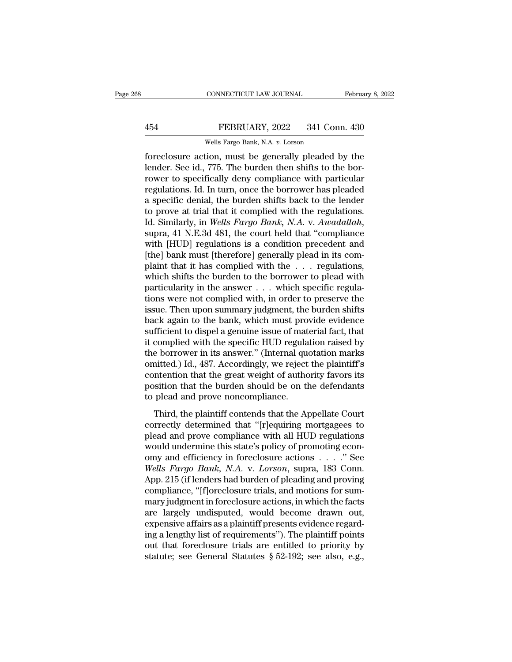## EXECUTE CONNECTICUT LAW JOURNAL February 8, 2022<br>454 FEBRUARY, 2022 341 Conn. 430<br>Wells Fargo Bank, N.A. v. Lorson CONNECTICUT LAW JOURNAL<br>FEBRUARY, 2022 341 Connel<br>Wells Fargo Bank, N.A. *v.* Lorson<br>Exponential popensy property property

February 8, 2022<br>
FEBRUARY, 2022 341 Conn. 430<br>
Wells Fargo Bank, N.A. v. Lorson<br>
foreclosure action, must be generally pleaded by the<br>
lender. See id., 775. The burden then shifts to the bor-FEBRUARY, 2022 341 Conn. 430<br>Wells Fargo Bank, N.A. v. Lorson<br>foreclosure action, must be generally pleaded by the<br>lender. See id., 775. The burden then shifts to the bor-<br>rower to specifically deny compliance with particu FEBRUARY, 2022 341 Conn. 430<br>
Wells Fargo Bank, N.A. v. Lorson<br>
foreclosure action, must be generally pleaded by the<br>
lender. See id., 775. The burden then shifts to the bor-<br>
rower to specifically deny compliance with pa FEBRUARY, 2022 341 Conn. 430<br>
Wells Fargo Bank, N.A. v. Lorson<br>
foreclosure action, must be generally pleaded by the<br>
lender. See id., 775. The burden then shifts to the bor-<br>
rower to specifically deny compliance with pa Wells Fargo Bank, N.A. v. Lorson<br>foreclosure action, must be generally pleaded by the<br>lender. See id., 775. The burden then shifts to the bor-<br>rower to specifically deny compliance with particular<br>regulations. Id. In turn Wells Fargo Bank, N.A.  $v$ . Lorson<br>foreclosure action, must be generally pleaded by the<br>lender. See id., 775. The burden then shifts to the bor-<br>rower to specifically deny compliance with particular<br>regulations. Id. In tu foreclosure action, must be generally pleaded by the lender. See id., 775. The burden then shifts to the bor-<br>rower to specifically deny compliance with particular<br>regulations. Id. In turn, once the borrower has pleaded<br>a regulations. Id. In turn, once the borrower has pleaded<br>regulations. Id. In turn, once the borrower has pleaded<br>a specific denial, the burden shifts back to the lender<br>to prove at trial that it complied with the regulation regulations. Id. In turn, once the borrower has pleaded<br>a specific denial, the burden shifts back to the lender<br>to prove at trial that it complied with the regulations.<br>Id. Similarly, in *Wells Fargo Bank*, *N.A.* v. *Awad* a specific denial, the burden shifts back to the lender<br>to prove at trial that it complied with the regulations.<br>Id. Similarly, in *Wells Fargo Bank*, *N.A.* v. *Awadallah*,<br>supra, 41 N.E.3d 481, the court held that "compl to prove at trial that it complied with the regulations.<br>Id. Similarly, in *Wells Fargo Bank*, *N.A.* v. *Awadallah*,<br>supra, 41 N.E.3d 481, the court held that "compliance<br>with [HUD] regulations is a condition precedent a Id. Similarly, in *Wells Fargo Bank*, *N.A.* v. *Awadallah*, supra, 41 N.E.3d 481, the court held that "compliance with [HUD] regulations is a condition precedent and [the] bank must [therefore] generally plead in its com supra, 41 N.E.3d 481, the court held that "compliance<br>with [HUD] regulations is a condition precedent and<br>[the] bank must [therefore] generally plead in its com-<br>plaint that it has complied with the . . . regulations,<br>whic with [HUD] regulations is a condition precedent and<br>[the] bank must [therefore] generally plead in its com-<br>plaint that it has complied with the  $\ldots$  regulations,<br>which shifts the burden to the borrower to plead with<br>par [the] bank must [therefore] generally plead in its complaint that it has complied with the  $\ldots$  regulations, which shifts the burden to the borrower to plead with particularity in the answer  $\ldots$  which specific regulati plaint that it has complied with the . . . . regulations,<br>which shifts the burden to the borrower to plead with<br>particularity in the answer . . . which specific regula-<br>tions were not complied with, in order to preserve th which shifts the burden to the borrower to plead with<br>particularity in the answer  $\ldots$  which specific regula-<br>tions were not complied with, in order to preserve the<br>issue. Then upon summary judgment, the burden shifts<br>ba particularity in the answer . . . which specific regulations were not complied with, in order to preserve the issue. Then upon summary judgment, the burden shifts back again to the bank, which must provide evidence suffici tions were not complied with, in order to preserve the<br>issue. Then upon summary judgment, the burden shifts<br>back again to the bank, which must provide evidence<br>sufficient to dispel a genuine issue of material fact, that<br>it issue. Then upon summary judgment, the burden shifts<br>back again to the bank, which must provide evidence<br>sufficient to dispel a genuine issue of material fact, that<br>it complied with the specific HUD regulation raised by<br>th back again to the bank, which must provide evidence<br>sufficient to dispel a genuine issue of material fact, that<br>it complied with the specific HUD regulation raised by<br>the borrower in its answer." (Internal quotation marks<br> sufficient to dispel a genuine issue of material fact, that<br>it complied with the specific HUD regulation raised by<br>the borrower in its answer." (Internal quotation marks<br>omitted.) Id., 487. Accordingly, we reject the plain Exampled what the specific Treb Tegalation raised by<br>
e borrower in its answer." (Internal quotation marks<br>
interd.) Id., 487. Accordingly, we reject the plaintiff's<br>
intention that the great weight of authority favors its are softewer in its allower. (internal quotation marks<br>
omitted.) Id., 487. Accordingly, we reject the plaintiff's<br>
contention that the great weight of authority favors its<br>
position that the burden should be on the defend

plead and prove compliance with all HUD regulations<br>working and prove procedured and prove concompliance.<br>Third, the plaintiff contends that the Appellate Court<br>correctly determined that "[r]equiring mortgagees to<br>plead an position that the great wegnt of datability favors as<br>position that the burden should be on the defendants<br>to plead and prove noncompliance.<br>Third, the plaintiff contends that the Appellate Court<br>correctly determined that to plead and prove noncompliance.<br>
Third, the plaintiff contends that the Appellate Court<br>
correctly determined that "[r]equiring mortgagees to<br>
plead and prove compliance with all HUD regulations<br>
would undermine this st *Wells Fargo Bank, N.A. v. Lorson, supra, 183 Conn.*<br> *Wells Fargo Bank, N.A. v. <i>Lorson, supramelyon.* 215 Wells Fargo Bank, N.A. v. *Lorson, supramelyon.* App. 215 (if lenders had burden of pleading and proving econ-<br> *W* Third, the plaintiff contends that the Appellate Court<br>correctly determined that "[r]equiring mortgagees to<br>plead and prove compliance with all HUD regulations<br>would undermine this state's policy of promoting econ-<br>omy and correctly determined that "[r]equiring mortgagees to<br>plead and prove compliance with all HUD regulations<br>would undermine this state's policy of promoting econ-<br>omy and efficiency in foreclosure actions . . . . . " See<br>Well plead and prove compliance with all HUD regulations<br>would undermine this state's policy of promoting econ-<br>omy and efficiency in foreclosure actions . . . . ." See<br>Wells Fargo Bank, N.A. v. Lorson, supra, 183 Conn.<br>App. 21 would undermine this state's policy of promoting economy and efficiency in foreclosure actions  $\ldots$ ." See<br>Wells Fargo Bank, N.A. v. Lorson, supra, 183 Conn.<br>App. 215 (if lenders had burden of pleading and proving<br>complia omy and efficiency in foreclosure actions  $\ldots$  ." See<br>Wells Fargo Bank, N.A. v. Lorson, supra, 183 Conn.<br>App. 215 (if lenders had burden of pleading and proving<br>compliance, "[f]oreclosure trials, and motions for sum-<br>mar *Wells Fargo Bank, N.A. v. Lorson,* supra, 183 Conn.<br>App. 215 (if lenders had burden of pleading and proving<br>compliance, "[f]oreclosure trials, and motions for sum-<br>mary judgment in foreclosure actions, in which the facts App. 215 (if lenders had burden of pleading and proving<br>compliance, "[f]oreclosure trials, and motions for sum-<br>mary judgment in foreclosure actions, in which the facts<br>are largely undisputed, would become drawn out,<br>expe compliance, "[f]oreclosure trials, and motions for summary judgment in foreclosure actions, in which the facts<br>are largely undisputed, would become drawn out,<br>expensive affairs as a plaintiff presents evidence regard-<br>ing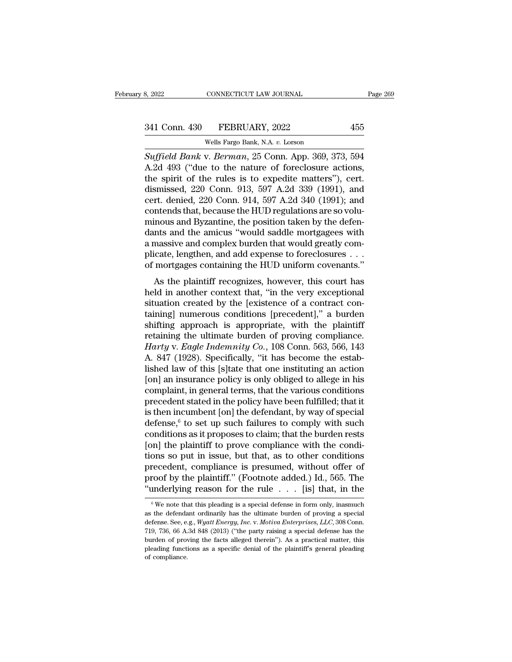CONNECTICUT LAW JOURNAL<br>
FEBRUARY, 2022<br>
Wells Fargo Bank, N.A. *v.* Lorson<br>
V. *Reyman*. 25 Conn. Ann. 369–37 <sup>8, 2022</sup> CONNECTICUT LAW JOURNAL Page 269<br> **S41 Conn. 430** FEBRUARY, 2022 455<br>
Wells Fargo Bank, N.A. v. Lorson<br> *Suffield Bank* v. *Berman*, 25 Conn. App. 369, 373, 594<br>
A.2d 493 ("due to the nature of foreclosure action 341 Conn. 430 FEBRUARY, 2022 455<br>Wells Fargo Bank, N.A. v. Lorson<br>Suffield Bank v. Berman, 25 Conn. App. 369, 373, 594<br>A.2d 493 ("due to the nature of foreclosure actions,<br>the spirit of the rules is to expedite matters"), 341 Conn. 430 FEBRUARY, 2022 455<br>
Wells Fargo Bank, N.A. v. Lorson<br>
Suffield Bank v. Berman, 25 Conn. App. 369, 373, 594<br>
A.2d 493 ("due to the nature of foreclosure actions,<br>
the spirit of the rules is to expedite matter 341 Conn. 430 FEBRUARY, 2022 455<br>
Wells Fargo Bank, N.A. v. Lorson<br>
Suffield Bank v. Berman, 25 Conn. App. 369, 373, 594<br>
A.2d 493 ("due to the nature of foreclosure actions,<br>
the spirit of the rules is to expedite matters Wells Fargo Bank, N.A. v. Lorson<br>Suffield Bank v. Berman, 25 Conn. App. 369, 373, 594<br>A.2d 493 ("due to the nature of foreclosure actions,<br>the spirit of the rules is to expedite matters"), cert.<br>dismissed, 220 Conn. 913, wells Fargo Bank, N.A. v. Lorson<br>Suffield Bank v. Berman, 25 Conn. App. 369, 373, 594<br>A.2d 493 ("due to the nature of foreclosure actions,<br>the spirit of the rules is to expedite matters"), cert.<br>dismissed, 220 Conn. 913, 5 Suffield Bank v. Berman, 25 Conn. App. 369, 373, 594<br>A.2d 493 ("due to the nature of foreclosure actions,<br>the spirit of the rules is to expedite matters"), cert.<br>dismissed, 220 Conn. 913, 597 A.2d 339 (1991), and<br>cert. den A.2d 493 ("due to the nature of foreclosure actions,<br>the spirit of the rules is to expedite matters"), cert.<br>dismissed, 220 Conn. 913, 597 A.2d 339 (1991), and<br>cert. denied, 220 Conn. 914, 597 A.2d 340 (1991); and<br>contends the spirit of the rules is to expedite matters"), cert.<br>dismissed, 220 Conn. 913, 597 A.2d 339 (1991), and<br>cert. denied, 220 Conn. 914, 597 A.2d 340 (1991); and<br>contends that, because the HUD regulations are so volu-<br>minou dismissed, 220 Conn. 913, 597 A.2d 339 (1991), and<br>cert. denied, 220 Conn. 914, 597 A.2d 340 (1991); and<br>contends that, because the HUD regulations are so volu-<br>minous and Byzantine, the position taken by the defen-<br>dants cert. denied, 220 Conn. 914, 597 A.2d 340 (1991); and<br>contends that, because the HUD regulations are so volu-<br>minous and Byzantine, the position taken by the defen-<br>dants and the amicus "would saddle mortgagees with<br>a mass mous and Byzantine, the position taken by the defen-<br>hts and the amicus "would saddle mortgagees with<br>massive and complex burden that would greatly com-<br>icate, lengthen, and add expense to foreclosures . . .<br>mortgages cont helmods and Byzantine, the position taken by the deter-<br>dants and the amicus "would saddle mortgagees with<br>a massive and complex burden that would greatly com-<br>plicate, lengthen, and add expense to foreclosures . . .<br>of mo

a massive and complex burden that would greatly complicate, lengthen, and add expense to foreclosures . . . of mortgages containing the HUD uniform covenants."<br>As the plaintiff recognizes, however, this court has<br>held in a a massive and complex burdent diat would greatly complicate, lengthen, and add expense to foreclosures . . . of mortgages containing the HUD uniform covenants."<br>As the plaintiff recognizes, however, this court has<br>held in pheate, enginent, and add expense to forecrossites  $\cdot \cdot \cdot$ <br>of mortgages containing the HUD uniform covenants."<br>As the plaintiff recognizes, however, this court has<br>held in another context that, "in the very exceptional<br>s As the plaintiff recognizes, however, this court has<br>held in another context that, "in the very exceptional<br>situation created by the [existence of a contract con-<br>taining] numerous conditions [precedent]," a burden<br>shifti As the plaintiff recognizes, however, this court has<br>held in another context that, "in the very exceptional<br>situation created by the [existence of a contract con-<br>taining] numerous conditions [precedent]," a burden<br>shiftin held in another context that, "in the very exceptional situation created by the [existence of a contract containing] numerous conditions [precedent]," a burden shifting approach is appropriate, with the plaintiff retainin situation created by the [existence of a contract containing] numerous conditions [precedent]," a burden<br>shifting approach is appropriate, with the plaintiff<br>retaining the ultimate burden of proving compliance.<br>Harty v. E taining] numerous conditions [precedent]," a burden<br>shifting approach is appropriate, with the plaintiff<br>retaining the ultimate burden of proving compliance.<br>Harty v. Eagle Indemnity Co., 108 Conn. 563, 566, 143<br>A. 847 (19 shifting approach is appropriate, with the plaintiff<br>retaining the ultimate burden of proving compliance.<br>Harty v. Eagle Indemnity Co., 108 Conn. 563, 566, 143<br>A. 847 (1928). Specifically, "it has become the estab-<br>lished retaining the ultimate burden of proving compliance.<br> *Harty* v. *Eagle Indemnity Co.*, 108 Conn. 563, 566, 143<br>
A. 847 (1928). Specifically, "it has become the estab-<br>
lished law of this [s]tate that one instituting an a Harty v. Eagle Indemnity Co., 108 Conn. 563, 566, 143<br>A. 847 (1928). Specifically, "it has become the estab-<br>lished law of this [s]tate that one instituting an action<br>[on] an insurance policy is only obliged to allege in A. 847 (1928). Specifically, "it has become the established law of this [s]tate that one instituting an action<br>[on] an insurance policy is only obliged to allege in his<br>complaint, in general terms, that the various condit lished law of this [s]tate that one instituting an action<br>[on] an insurance policy is only obliged to allege in his<br>complaint, in general terms, that the various conditions<br>precedent stated in the policy have been fulfill [on] an insurance policy is only obliged to allege in his complaint, in general terms, that the various conditions precedent stated in the policy have been fulfilled; that it is then incumbent [on] the defendant, by way o complaint, in general terms, that the various conditions<br>precedent stated in the policy have been fulfilled; that it<br>is then incumbent [on] the defendant, by way of special<br>defense,<sup>6</sup> to set up such failures to comply wi precedent stated in the policy have been fulfilled; that it<br>is then incumbent [on] the defendant, by way of special<br>defense,<sup>6</sup> to set up such failures to comply with such<br>conditions as it proposes to claim; that the burde is then incumbent [on] the defendant, by way of special<br>defense,<sup>6</sup> to set up such failures to comply with such<br>conditions as it proposes to claim; that the burden rests<br>[on] the plaintiff to prove compliance with the con defense,<sup>6</sup> to set up such failures to comply with such conditions as it proposes to claim; that the burden rests [on] the plaintiff to prove compliance with the conditions so put in issue, but that, as to other condition for example on that, as to other conditions<br>recedent, compliance is presumed, without offer of<br>roof by the plaintiff." (Footnote added.) Id., 565. The<br>inderlying reason for the rule . . . [is] that, in the<br> $\frac{6}{3}$  We no precedent, compliance is presumed, without offer of proof by the plaintiff." (Footnote added.) Id., 565. The "underlying reason for the rule  $\ldots$ . [is] that, in the  $\frac{1}{\pi}$  we note that this pleading is a special defe

proof by the plaintiff." (Footnote added.) Id., 565. The "underlying reason for the rule  $\ldots$ . [is] that, in the  $\circ$  We note that this pleading is a special defense in form only, inasmuch as the defendant ordinarily has "underlying reason for the rule . . . [is] that, in the  $\frac{1}{6}$  we note that this pleading is a special defense in form only, inasmuch as the defendant ordinarily has the ultimate burden of proving a special defense. Se We note that this pleading is a special defense in form only, inasmuch as the defendant ordinarily has the ultimate burden of proving a special defense. See, e.g., *Wyatt Energy, Inc.* v. *Motiva Enterprises, LLC*, 308 Co <sup>6</sup> We note that this pleading is a special defense in form only, inasmuch as the defendant ordinarily has the ultimate burden of proving a special defense. See, e.g., *Wyatt Energy, Inc.* v. *Motiva Enterprises, LLC*, 30 defense. See, e.g., *Wyatt Energy, Inc.* v. *Motiva Enterprises, LLC*, 308 Conn. 719, 736, 66 A.3d 848 (2013) ("the party raising a special defense has the burden of proving the facts alleged therein"). As a practical mat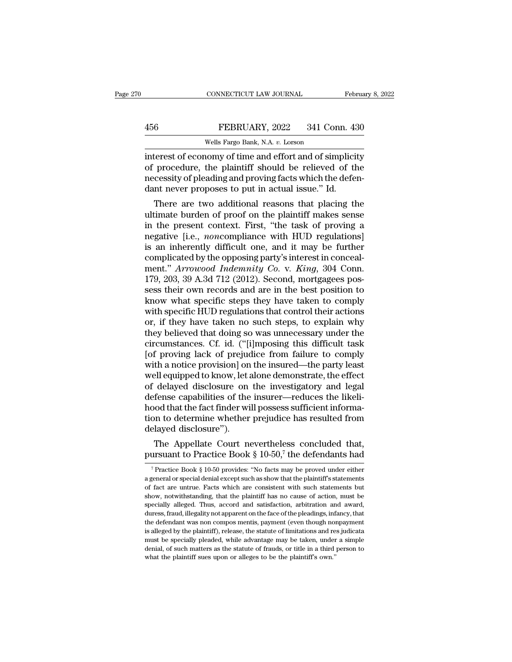CONNECTICUT LAW JOURNAL February 8, 2022<br>
FEBRUARY, 2022 341 Conn. 430<br>
Wells Fargo Bank, N.A. v. Lorson<br>
interest of economy of time and effort and of simplicity<br>
of procedure, the plaintiff should be relieved of the<br>
moc FEBRUARY, 2022 341 Conn. 430<br>Wells Fargo Bank, N.A. v. Lorson<br>interest of economy of time and effort and of simplicity<br>of procedure, the plaintiff should be relieved of the<br>necessity of pleading and proving facts which the FEBRUARY, 2022 341 Conn. 430<br>Wells Fargo Bank, N.A. v. Lorson<br>interest of economy of time and effort and of simplicity<br>of procedure, the plaintiff should be relieved of the<br>necessity of pleading and proving facts which the FEBRUARY, 2022 341 Conn. 43<br>Wells Fargo Bank, N.A. v. Lorson<br>interest of economy of time and effort and of simplici<br>of procedure, the plaintiff should be relieved of th<br>necessity of pleading and proving facts which the def Wells Fargo Bank, N.A.  $v$ . Lorson<br>terest of economy of time and effort and of simplicity<br>procedure, the plaintiff should be relieved of the<br>cessity of pleading and proving facts which the defen-<br>nt never proposes to put interest of economy of time and effort and of simplicity<br>of procedure, the plaintiff should be relieved of the<br>necessity of pleading and proving facts which the defen-<br>dant never proposes to put in actual issue." Id.<br>There

interest of economy of time and effort and of simplicity<br>of procedure, the plaintiff should be relieved of the<br>necessity of pleading and proving facts which the defen-<br>dant never proposes to put in actual issue." Id.<br>There or procedure, the plaintiff should be refleved of the<br>necessity of pleading and proving facts which the defen-<br>dant never proposes to put in actual issue." Id.<br>There are two additional reasons that placing the<br>ultimate bur mecessity of pleading and proving facts which the defendant never proposes to put in actual issue." Id.<br>There are two additional reasons that placing the ultimate burden of proof on the plaintiff makes sense<br>in the present dant never proposes to put in actual issue. Id.<br>There are two additional reasons that placing the<br>ultimate burden of proof on the plaintiff makes sense<br>in the present context. First, "the task of proving a<br>negative [i.e., There are two additional reasons that placing the<br>
ultimate burden of proof on the plaintiff makes sense<br>
in the present context. First, "the task of proving a<br>
negative [i.e., *noncompliance* with HUD regulations]<br>
is an ultimate burden of proof on the plaintiff makes sense<br>in the present context. First, "the task of proving a<br>negative [i.e., *nonco*mpliance with HUD regulations]<br>is an inherently difficult one, and it may be further<br>compli in the present context. First, "the task of proving a<br>negative [i.e., *nonco*mpliance with HUD regulations]<br>is an inherently difficult one, and it may be further<br>complicated by the opposing party's interest in conceal-<br>men negative [i.e., *noncompliance* with HUD regulations]<br>is an inherently difficult one, and it may be further<br>complicated by the opposing party's interest in conceal-<br>ment." *Arrowood Indemnity Co.* v. *King*, 304 Conn.<br>179, is an inherently difficult one, and it may be further<br>complicated by the opposing party's interest in conceal-<br>ment." Arrowood Indemnity Co. v. King, 304 Conn.<br>179, 203, 39 A.3d 712 (2012). Second, mortgagees pos-<br>sess the complicated by the opposing party's interest in conceal-<br>ment." Arrowood Indemnity Co. v. King, 304 Conn.<br>179, 203, 39 A.3d 712 (2012). Second, mortgagees pos-<br>sess their own records and are in the best position to<br>know wh ment." *Arrowood Indemnity Co.* v. *King*, 304 Conn.<br>179, 203, 39 A.3d 712 (2012). Second, mortgagees possess their own records and are in the best position to<br>know what specific steps they have taken to comply<br>with specif 179, 203, 39 A.3d 712 (2012). Second, mortgagees possess their own records and are in the best position to know what specific steps they have taken to comply with specific HUD regulations that control their actions or, if sess their own records and are in the best position to<br>know what specific steps they have taken to comply<br>with specific HUD regulations that control their actions<br>or, if they have taken no such steps, to explain why<br>they b know what specific steps they have taken to comply<br>with specific HUD regulations that control their actions<br>or, if they have taken no such steps, to explain why<br>they believed that doing so was unnecessary under the<br>circums with specific HUD regulations that control their actions<br>or, if they have taken no such steps, to explain why<br>they believed that doing so was unnecessary under the<br>circumstances. Cf. id. ("[i]mposing this difficult task<br>[o or, if they have taken no such steps, to explain why<br>they believed that doing so was unnecessary under the<br>circumstances. Cf. id. ("[i]mposing this difficult task<br>[of proving lack of prejudice from failure to comply<br>with a they believed that doing so was unnecessary under the circumstances. Cf. id. ("[i]mposing this difficult task [of proving lack of prejudice from failure to comply with a notice provision] on the insured—the party least wel circumstances. Cf. id. ("[i]mposing this difficult task<br>[of proving lack of prejudice from failure to comply<br>with a notice provision] on the insured—the party least<br>well equipped to know, let alone demonstrate, the effect<br> [of proving lack of prejudice from failure to comply<br>with a notice provision] on the insured—the party least<br>well equipped to know, let alone demonstrate, the effect<br>of delayed disclosure on the investigatory and legal<br>def with a notice provision] on<br>well equipped to know, let a<br>of delayed disclosure on<br>defense capabilities of the<br>hood that the fact finder wi<br>tion to determine whether<br>delayed disclosure").<br>The Appellate Court no Ell equipped to know, let alone demonstrate, the effect<br>delayed disclosure on the investigatory and legal<br>fense capabilities of the insurer—reduces the likeli-<br>ood that the fact finder will possess sufficient informa-<br>on of delayed disclosure on the investigatory and legal<br>defense capabilities of the insurer—reduces the likeli-<br>hood that the fact finder will possess sufficient informa-<br>tion to determine whether prejudice has resulted from

Figure 2.1 The Appellate Court nevertheless concluded that,<br>in a result is present to Practice Book § 10-50,<sup>7</sup> the defendants had<br><sup>7</sup> Practice Book § 10-50 provides: "No facts may be proved under either<br>general or specia The Appellate Court nevertheless concluded that,<br>pursuant to Practice Book § 10-50,<sup>7</sup> the defendants had<br> $\frac{1}{7}$  Practice Book § 10-50 provides: "No facts may be proved under either<br>a general or special denial except s The Appellate Court nevertheless concluded that,<br>pursuant to Practice Book § 10-50,<sup>7</sup> the defendants had<br> $\frac{1}{7}$  Practice Book § 10-50 provides: "No facts may be proved under either<br>a general or special denial except s Fire Tipperiate Court Revertificies concruded trad.<br>
The summary pursuant to Practice Book § 10-50,<sup>7</sup> the defendants had<br>
The plaintiff is statements a general or special denial except such as show that the plaintiff is pursuant to Fractice Book § 10-50, the deferitiants had<br>The practice Book § 10-50 provides: "No facts may be proved under either<br>a general or special denial except such as show that the plaintiff's statements<br>of fact are u <sup>7</sup> Practice Book § 10-50 provides: "No facts may be proved under either a general or special denial except such as show that the plaintiff's statements of fact are untrue. Facts which are consistent with such statements a general or special denial except such as show that the plaintiff's statements of fact are untrue. Facts which are consistent with such statements but show, notwithstanding, that the plaintiff has no cause of action, must is a first are untrue. Facts which are consistent with such statements but show, notwithstanding, that the plaintiff has no cause of action, must be specially alleged. Thus, accord and satisfaction, arbitration and award, show, notwithstanding, that the plaintiff has no cause of action, must be specially alleged. Thus, accord and satisfaction, arbitration and award, duress, fraud, illegality not apparent on the face of the pleadings, infanc specially alleged. Thus, accord and satisfaction, arbitration and award, duress, fraud, illegality not apparent on the face of the pleadings, infancy, that the defendant was non compos mentis, payment (even though nonpayme specially alleged. Thus, accord and satisfaction, arbitration and award, duress, fraud, illegality not apparent on the face of the pleadings, infancy, that the defendant was non compos mentis, payment (even though nonpayme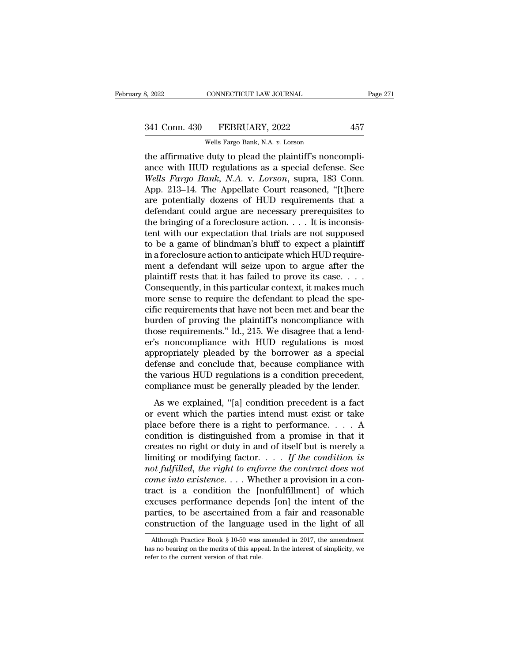# 3, 2022 CONNECTICUT LAW JOURNAL Page 271<br>341 Conn. 430 FEBRUARY, 2022 457<br>Wells Fargo Bank, N.A. v. Lorson

CONNECTICUT LAW JOURNAL<br>FEBRUARY, 2022<br>Wells Fargo Bank, N.A. *v.* Lorson<br>duty to plead the plaintiff's nonc the affirmative duty to plead the plaintiff's noncompli-<br>ance with HUD regulations as a special defense. See Wells Fargo Bank, N.A. v. Lorson<br>with HUD regulations as a special defense. See Wells Fargo Bank, N.A. v. Lorson, 341 Conn. 430 FEBRUARY, 2022 457<br>Wells Fargo Bank, N.A. v. Lorson<br>the affirmative duty to plead the plaintiff's noncompli-<br>ance with HUD regulations as a special defense. See<br>Wells Fargo Bank, N.A. v. Lorson, supra, 183 Co <sup>341</sup> Conn. 430 FEBRUARY, 2022 457<br>
<sup>Wells Fargo Bank, N.A. *v.* Lorson<br>
the affirmative duty to plead the plaintiff's noncompli-<br>
ance with HUD regulations as a special defense. See<br> *Wells Fargo Bank*, N.A. v. *Lorson*, </sup> 341 Conn. 430 FEBRUARY, 2022 457<br>
Wells Fargo Bank, N.A. v. Lorson<br>
the affirmative duty to plead the plaintiff's noncompli-<br>
ance with HUD regulations as a special defense. See<br>
Wells Fargo Bank, N.A. v. Lorson, supra, 18 Wells Fargo Bank, N.A. v. Lorson<br>the affirmative duty to plead the plaintiff's noncompli-<br>ance with HUD regulations as a special defense. See<br>Wells Fargo Bank, N.A. v. Lorson, supra, 183 Conn.<br>App. 213–14. The Appellate Co Wells Fargo Bank, N.A. v. Lorson<br>the affirmative duty to plead the plaintiff's noncompli-<br>ance with HUD regulations as a special defense. See<br>Wells Fargo Bank, N.A. v. Lorson, supra, 183 Conn.<br>App. 213–14. The Appellate C the affirmative duty to plead the plaintiff's noncompliance with HUD regulations as a special defense. See *Wells Fargo Bank*, *N.A.* v. *Lorson*, supra, 183 Conn. App. 213–14. The Appellate Court reasoned, "[t]here are po ance with HUD regulations as a special defense. See<br>Wells Fargo Bank, N.A. v. Lorson, supra, 183 Conn.<br>App. 213–14. The Appellate Court reasoned, "[t]here<br>are potentially dozens of HUD requirements that a<br>defendant could Wells Fargo Bank, N.A. v. Lorson, supra, 183 Conn.<br>App. 213–14. The Appellate Court reasoned, "[t]here<br>are potentially dozens of HUD requirements that a<br>defendant could argue are necessary prerequisites to<br>the bringing of App. 213–14. The Appellate Court reasoned, "[t]here are potentially dozens of HUD requirements that a defendant could argue are necessary prerequisites to the bringing of a foreclosure action.  $\dots$  It is inconsistent with are potentially dozens of HUD requirements that a<br>defendant could argue are necessary prerequisites to<br>the bringing of a foreclosure action. . . . It is inconsis-<br>tent with our expectation that trials are not supposed<br>to defendant could argue are necessary prerequisites to<br>the bringing of a foreclosure action. . . . It is inconsis-<br>tent with our expectation that trials are not supposed<br>to be a game of blindman's bluff to expect a plaintiff the bringing of a foreclosure action.  $\dots$  It is inconsistent with our expectation that trials are not supposed<br>to be a game of blindman's bluff to expect a plaintiff<br>in a foreclosure action to anticipate which HUD requir tent with our expectation that trials are not supposed<br>to be a game of blindman's bluff to expect a plaintiff<br>in a foreclosure action to anticipate which HUD require-<br>ment a defendant will seize upon to argue after the<br>pla to be a game of blindman's bluff to expect a plaintiff<br>in a foreclosure action to anticipate which HUD require-<br>ment a defendant will seize upon to argue after the<br>plaintiff rests that it has failed to prove its case. . . in a foreclosure action to anticipate which HUD requirement a defendant will seize upon to argue after the plaintiff rests that it has failed to prove its case....<br>Consequently, in this particular context, it makes much m ment a defendant will seize upon to argue after the plaintiff rests that it has failed to prove its case. . . . . Consequently, in this particular context, it makes much more sense to require the defendant to plead the spe plaintiff rests that it has failed to prove its case. . . . .<br>Consequently, in this particular context, it makes much<br>more sense to require the defendant to plead the spe-<br>cific requirements that have not been met and bear Consequently, in this particular context, it makes much<br>more sense to require the defendant to plead the specific requirements that have not been met and bear the<br>burden of proving the plaintiff's noncompliance with<br>those more sense to require the defendant to plead the specific requirements that have not been met and bear the burden of proving the plaintiff's noncompliance with those requirements." Id., 215. We disagree that a lender's non cific requirements that have not been met and bear the<br>burden of proving the plaintiff's noncompliance with<br>those requirements." Id., 215. We disagree that a lend-<br>er's noncompliance with HUD regulations is most<br>appropriat burden of proving the plaintiff's noncompliance with<br>those requirements." Id., 215. We disagree that a lend-<br>er's noncompliance with HUD regulations is most<br>appropriately pleaded by the borrower as a special<br>defense and co Solve requirements. Tall, 215: We disagree that a ferm<br>  $\alpha$  is noncompliance with HUD regulations is most<br>
propriately pleaded by the borrower as a special<br>
fense and conclude that, because compliance with<br>
e various HUD appropriately pleaded by the borrower as a special<br>defense and conclude that, because compliance with<br>the various HUD regulations is a condition precedent,<br>compliance must be generally pleaded by the lender.<br>As we explain

defense and conclude that, because compliance with<br>the various HUD regulations is a condition precedent,<br>compliance must be generally pleaded by the lender.<br>As we explained, "[a] condition precedent is a fact<br>or event whi the various HUD regulations is a condition precedent,<br>compliance must be generally pleaded by the lender.<br>As we explained, "[a] condition precedent is a fact<br>or event which the parties intend must exist or take<br>place befo compliance must be generally pleaded by the lender.<br>As we explained, "[a] condition precedent is a fact<br>or event which the parties intend must exist or take<br>place before there is a right to performance.... A<br>condition is As we explained, "[a] condition precedent is a fact<br>or event which the parties intend must exist or take<br>place before there is a right to performance.... A<br>condition is distinguished from a promise in that it<br>creates no r As we explained, "[a] condition precedent is a fact<br>or event which the parties intend must exist or take<br>place before there is a right to performance.... A<br>condition is distinguished from a promise in that it<br>creates no r or event which the parties intend must exist or take<br>place before there is a right to performance. . . . A<br>condition is distinguished from a promise in that it<br>creates no right or duty in and of itself but is merely a<br>lim place before there is a right to performance. . . . A<br>condition is distinguished from a promise in that it<br>creates no right or duty in and of itself but is merely a<br>limiting or modifying factor. . . . If the condition is<br> condition is distinguished from a promise in that it<br>creates no right or duty in and of itself but is merely a<br>limiting or modifying factor. . . . If the condition is<br>not fulfilled, the right to enforce the contract does creates no right or duty in and of itself but is merely a<br>limiting or modifying factor. . . . If the condition is<br>not fulfilled, the right to enforce the contract does not<br>come into existence. . . . Whether a provision in limiting or modifying factor. . . . If the condition is<br>not fulfilled, the right to enforce the contract does not<br>come into existence. . . . Whether a provision in a con-<br>tract is a condition the [nonfulfillment] of which act is a condition the [nontuitiliment] of which<br>cuses performance depends [on] the intent of the<br>arties, to be ascertained from a fair and reasonable<br>onstruction of the language used in the light of all<br>Although Practice excuses performance depends [on] the intent of the parties, to be ascertained from a fair and reasonable construction of the language used in the light of all Although Practice Book  $\S 10-50$  was amended in 2017, the amen

parties, to be ascertained frequency<br>construction of the language<br>Although Practice Book § 10-50 was<br>has no bearing on the merits of this apperefer to the current version of that rule.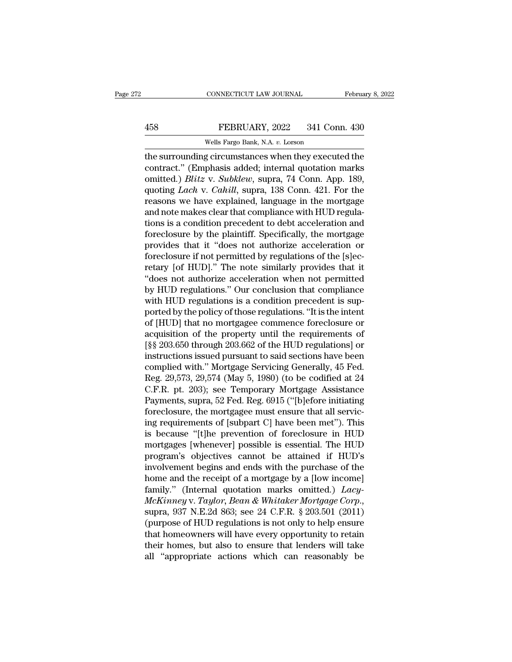## EXECUTE CONNECTICUT LAW JOURNAL February 8, 2022<br>458 FEBRUARY, 2022 341 Conn. 430<br>Wells Fargo Bank, N.A. v. Lorson CONNECTICUT LAW JOURNAL<br>FEBRUARY, 2022 341 Con<br>Wells Fargo Bank, N.A. *v.* Lorson<br>of circumstances when they execu

CONNECTICUT LAW JOURNAL February 8, 2022<br>
FEBRUARY, 2022 341 Conn. 430<br>
Wells Fargo Bank, N.A. v. Lorson<br>
the surrounding circumstances when they executed the<br>
contract.'' (Emphasis added; internal quotation marks<br>
emitted 458 FEBRUARY, 2022 341 Conn. 430<br>Wells Fargo Bank, N.A. v. Lorson<br>the surrounding circumstances when they executed the<br>contract.'' (Emphasis added; internal quotation marks<br>omitted.) *Blitz* v. *Subklew*, supra, 74 Conn. A FEBRUARY, 2022 341 Conn. 430<br>
Wells Fargo Bank, N.A. v. Lorson<br>
the surrounding circumstances when they executed the<br>
contract." (Emphasis added; internal quotation marks<br>
omitted.) *Blitz* v. *Subklew*, supra, 74 Conn. Ap FEBRUARY, 2022 341 Conn. 430<br>
Wells Fargo Bank, N.A. *v.* Lorson<br>
the surrounding circumstances when they executed the<br>
contract." (Emphasis added; internal quotation marks<br>
omitted.) *Blitz* v. *Subklew*, supra, 74 Conn. Wells Fargo Bank, N.A. v. Lorson<br>the surrounding circumstances when they executed the<br>contract." (Emphasis added; internal quotation marks<br>omitted.) *Blitz* v. *Subklew*, supra, 74 Conn. App. 189,<br>quoting *Lach* v. *Cahill* weis rargo Bank, N.A. 0. Lorson<br>the surrounding circumstances when they executed the<br>contract." (Emphasis added; internal quotation marks<br>omitted.) *Blitz* v. *Subklew*, supra, 74 Conn. App. 189,<br>quoting *Lach* v. *Cahill* the surrounding circumstances when they executed the<br>contract." (Emphasis added; internal quotation marks<br>omitted.) *Blitz v. Subklew*, supra, 74 Conn. App. 189,<br>quoting *Lach v. Cahill*, supra, 138 Conn. 421. For the<br>reas contract." (Emphasis added; internal quotation marks<br>omitted.) *Blitz v. Subklew*, supra, 74 Conn. App. 189,<br>quoting *Lach v. Cahill*, supra, 138 Conn. 421. For the<br>reasons we have explained, language in the mortgage<br>and n omitted.) *Blitz v. Subklew*, supra, 74 Conn. App. 189,<br>quoting *Lach v. Cahill*, supra, 138 Conn. 421. For the<br>reasons we have explained, language in the mortgage<br>and note makes clear that compliance with HUD regula-<br>tion quoting *Lach* v. *Cahill*, supra, 138 Conn. 421. For the reasons we have explained, language in the mortgage and note makes clear that compliance with HUD regulations is a condition precedent to debt acceleration and fore reasons we have explained, language in the mortgage<br>and note makes clear that compliance with HUD regula-<br>tions is a condition precedent to debt acceleration and<br>foreclosure by the plaintiff. Specifically, the mortgage<br>pro and note makes clear that compliance with HUD regulations is a condition precedent to debt acceleration and foreclosure by the plaintiff. Specifically, the mortgage provides that it "does not authorize acceleration or fore tions is a condition precedent to debt acceleration and<br>foreclosure by the plaintiff. Specifically, the mortgage<br>provides that it "does not authorize acceleration or<br>foreclosure if not permitted by regulations of the [s]ec foreclosure by the plaintiff. Specifically, the mortgage<br>provides that it "does not authorize acceleration or<br>foreclosure if not permitted by regulations of the [s]ec-<br>retary [of HUD]." The note similarly provides that it<br> provides that it "does not authorize acceleration or<br>foreclosure if not permitted by regulations of the [s]ec-<br>retary [of HUD]." The note similarly provides that it<br>"does not authorize acceleration when not permitted<br>by HU foreclosure if not permitted by regulations of the [s]ecretary [of HUD]." The note similarly provides that it "does not authorize acceleration when not permitted by HUD regulations." Our conclusion that compliance with HU retary [of HUD]." The note similarly provides that it<br>"does not authorize acceleration when not permitted<br>by HUD regulations." Our conclusion that compliance<br>with HUD regulations is a condition precedent is sup-<br>ported by "does not authorize acceleration when not permitted<br>by HUD regulations." Our conclusion that compliance<br>with HUD regulations is a condition precedent is sup-<br>ported by the policy of those regulations. "It is the intent<br>of by HUD regulations." Our conclusion that compliance<br>with HUD regulations is a condition precedent is sup-<br>ported by the policy of those regulations. "It is the intent<br>of [HUD] that no mortgagee commence foreclosure or<br>acq with HUD regulations is a condition precedent is sup-<br>ported by the policy of those regulations. "It is the intent<br>of [HUD] that no mortgagee commence foreclosure or<br>acquisition of the property until the requirements of<br>[§ ported by the policy of those regulations. "It is the intent<br>of [HUD] that no mortgagee commence foreclosure or<br>acquisition of the property until the requirements of<br>[§§ 203.650 through 203.662 of the HUD regulations] or<br>i of [HUD] that no mortgagee commence foreclosure or<br>acquisition of the property until the requirements of<br>[§§ 203.650 through 203.662 of the HUD regulations] or<br>instructions issued pursuant to said sections have been<br>compli acquisition of the property until the requirements of<br>[§§ 203.650 through 203.662 of the HUD regulations] or<br>instructions issued pursuant to said sections have been<br>complied with." Mortgage Servicing Generally, 45 Fed.<br>Reg [§§ 203.650 through 203.662 of the HUD regulations] or instructions issued pursuant to said sections have been complied with." Mortgage Servicing Generally, 45 Fed. Reg. 29,573, 29,574 (May 5, 1980) (to be codified at 24 instructions issued pursuant to said sections have been<br>complied with." Mortgage Servicing Generally, 45 Fed.<br>Reg. 29,573, 29,574 (May 5, 1980) (to be codified at 24<br>C.F.R. pt. 203); see Temporary Mortgage Assistance<br>Payme complied with." Mortgage Servicing Generally, 45 Fed.<br>
Reg. 29,573, 29,574 (May 5, 1980) (to be codified at 24<br>
C.F.R. pt. 203); see Temporary Mortgage Assistance<br>
Payments, supra, 52 Fed. Reg. 6915 ("[b]efore initiating<br> Reg. 29,573, 29,574 (May 5, 1980) (to be codified at 24<br>C.F.R. pt. 203); see Temporary Mortgage Assistance<br>Payments, supra, 52 Fed. Reg. 6915 ("[b]efore initiating<br>foreclosure, the mortgagee must ensure that all servic-<br>in C.F.R. pt. 203); see Temporary Mortgage Assistance<br>Payments, supra, 52 Fed. Reg. 6915 ("[b]efore initiating<br>foreclosure, the mortgagee must ensure that all servic-<br>ing requirements of [subpart C] have been met"). This<br>is b Payments, supra, 52 Fed. Reg. 6915 ("[b]efore initiating<br>foreclosure, the mortgagee must ensure that all servic-<br>ing requirements of [subpart C] have been met"). This<br>is because "[t]he prevention of foreclosure in HUD<br>mort foreclosure, the mortgagee must ensure that all servicing requirements of [subpart C] have been met"). This<br>is because "[t]he prevention of foreclosure in HUD<br>mortgages [whenever] possible is essential. The HUD<br>program's ing requirements of [subpart C] have been met"). This<br>is because "[t]he prevention of foreclosure in HUD<br>mortgages [whenever] possible is essential. The HUD<br>program's objectives cannot be attained if HUD's<br>involvement begi *McKinney* v. *Taylor, Bean & Whitaker Mortgages* (whenever) possible is essential. The HUD program's objectives cannot be attained if HUD's involvement begins and ends with the purchase of the home and the receipt of a mo program's objectives cannot be attained if HUD's<br>involvement begins and ends with the purchase of the<br>home and the receipt of a mortgage by a [low income]<br>family." (Internal quotation marks omitted.) *Lacy-<br>McKinney* v. *T* involvement begins and ends with the purchase of the<br>home and the receipt of a mortgage by a [low income]<br>family." (Internal quotation marks omitted.) *Lacy-*<br> $McKinney$  v. Taylor, Bean & Whitaker Mortgage Corp.,<br>supra, 937 N.E home and the receipt of a mortgage by a [low income]<br>family." (Internal quotation marks omitted.)  $Lacy$ -<br> $McKinney$  v. Taylor, Bean & Whitaker Mortgage Corp.,<br>supra, 937 N.E.2d 863; see 24 C.F.R. § 203.501 (2011)<br>(purpose of HU family." (Internal quotation marks omitted.) *Lacy-McKinney v. Taylor, Bean & Whitaker Mortgage Corp.,* supra, 937 N.E.2d 863; see 24 C.F.R. § 203.501 (2011) (purpose of HUD regulations is not only to help ensure that home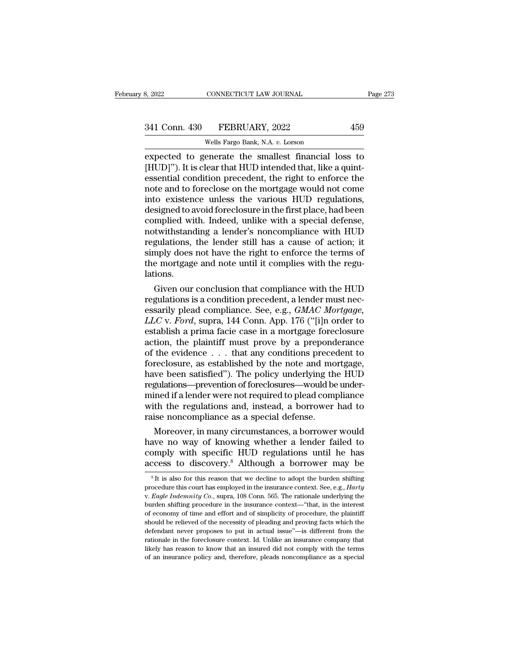| 8, 2022       | CONNECTICUT LAW JOURNAL          | Page 273 |
|---------------|----------------------------------|----------|
| 341 Conn. 430 | FEBRUARY, 2022                   | 459      |
|               | Wells Fargo Bank, N.A. v. Lorson |          |

CONNECTICUT LAW JOURNAL<br>FEBRUARY, 2022<br>Wells Fargo Bank, N.A. *v.* Lorson<br>enerate the smallest financial 1 expected to generate the smallest financial loss to<br>
Expected to generate the smallest financial loss to<br>
FUD]"). It is clear that HUD intended that, like a quint-<br>
expected to generate the smallest financial loss to<br>
EXPE <sup>341</sup> Conn. 430 FEBRUARY, 2022 459<br>
<sup>Wells Fargo Bank, N.A. v. Lorson<br>
expected to generate the smallest financial loss to<br>
[HUD]''). It is clear that HUD intended that, like a quint-<br>
essential condition precedent, the ri</sup> 341 Conn. 430 FEBRUARY, 2022 459<br>
Wells Fargo Bank, N.A. v. Lorson<br>
expected to generate the smallest financial loss to<br>
[HUD]"). It is clear that HUD intended that, like a quint-<br>
essential condition precedent, the right 341 Conn. 430 FEBRUARY, 2022 459<br>
Wells Fargo Bank, N.A. v. Lorson<br>
expected to generate the smallest financial loss to<br>
[HUD]"). It is clear that HUD intended that, like a quint-<br>
essential condition precedent, the right Wells Fargo Bank, N.A. v. Lorson<br>expected to generate the smallest financial loss to<br>[HUD]"). It is clear that HUD intended that, like a quint-<br>essential condition precedent, the right to enforce the<br>note and to foreclose Wells Fargo Bank, N.A.  $v$ . Lorson<br>expected to generate the smallest financial loss to<br>[HUD]"). It is clear that HUD intended that, like a quint-<br>essential condition precedent, the right to enforce the<br>note and to foreclo expected to generate the smallest financial loss to [HUD]"). It is clear that HUD intended that, like a quintessential condition precedent, the right to enforce the note and to foreclose on the mortgage would not come into [HUD]"). It is clear that HUD intended that, like a quintendessential condition precedent, the right to enforce the note and to foreclose on the mortgage would not come into existence unless the various HUD regulations, de essential condition precedent, the right to enforce the<br>note and to foreclose on the mortgage would not come<br>into existence unless the various HUD regulations,<br>designed to avoid foreclosure in the first place, had been<br>com note and to foreclose on the mortgage would not come<br>into existence unless the various HUD regulations,<br>designed to avoid foreclosure in the first place, had been<br>complied with. Indeed, unlike with a special defense,<br>notwi into existence unless the various HUD regulations, designed to avoid foreclosure in the first place, had been complied with. Indeed, unlike with a special defense, notwithstanding a lender's noncompliance with HUD regulati lations. mplied with. Indeed, unlike with a special defense,<br>twithstanding a lender's noncompliance with HUD<br>gulations, the lender still has a cause of action; it<br>mply does not have the right to enforce the terms of<br>e mortgage and regulations, the lender's noncompliance with HUD<br>regulations, the lender still has a cause of action; it<br>simply does not have the right to enforce the terms of<br>the mortgage and note until it complies with the regu-<br>lations

regulations, the lender still has a cause of action; it<br>simply does not have the right to enforce the terms of<br>the mortgage and note until it complies with the regu-<br>lations.<br>Given our conclusion that compliance with the H simply does not have the right to enforce the terms of<br>the mortgage and note until it complies with the regu-<br>lations.<br>Given our conclusion that compliance with the HUD<br>regulations is a condition precedent, a lender must n the mortgage and note until it complies with the regulations.<br>
Given our conclusion that compliance with the HUD<br>
regulations is a condition precedent, a lender must nec-<br>
essarily plead compliance. See, e.g.,  $GMAC$  Mortga flations.<br>
Given our conclusion that compliance with the HUD<br>
regulations is a condition precedent, a lender must nec-<br>
essarily plead compliance. See, e.g.,  $GMAC$  Mortgage,<br>  $LLC$  v. Ford, supra, 144 Conn. App. 176 ("[i]n Given our conclusion that compliance with the HUD<br>regulations is a condition precedent, a lender must nec-<br>essarily plead compliance. See, e.g., *GMAC Mortgage,<br>LLC* v. *Ford*, supra, 144 Conn. App. 176 ("[i]n order to<br>es regulations is a condition precedent, a lender must necessarily plead compliance. See, e.g., *GMAC Mortgage, LLC* v. *Ford*, supra, 144 Conn. App. 176 ("[i]n order to establish a prima facie case in a mortgage foreclosure essarily plead compliance. See, e.g., *GMAC Mortgage,*<br>*LLC v. Ford*, supra, 144 Conn. App. 176 ("[i]n order to<br>establish a prima facie case in a mortgage foreclosure<br>action, the plaintiff must prove by a preponderance<br>of  $LLC$  v. *Ford*, supra, 144 Conn. App. 176 ("[i]n order to establish a prima facie case in a mortgage foreclosure action, the plaintiff must prove by a preponderance of the evidence  $\ldots$  that any conditions precedent to f establish a prima facie case in a mortgage foreclosure<br>action, the plaintiff must prove by a preponderance<br>of the evidence  $\ldots$  that any conditions precedent to<br>foreclosure, as established by the note and mortgage,<br>have action, the plaintiff must prove by a preponderance<br>of the evidence  $\ldots$  that any conditions precedent to<br>foreclosure, as established by the note and mortgage,<br>have been satisfied"). The policy underlying the HUD<br>regulat of the evidence . . . that any conditions prece<br>foreclosure, as established by the note and mo<br>have been satisfied"). The policy underlying th<br>regulations—prevention of foreclosures—would be<br>mined if a lender were not requ reclosure, as established by the note and mortgage,<br>we been satisfied"). The policy underlying the HUD<br>gulations—prevention of foreclosures—would be under-<br>ined if a lender were not required to plead compliance<br>th the regu have been satisfied"). The policy underlying the HUD<br>regulations—prevention of foreclosures—would be under-<br>mined if a lender were not required to plead compliance<br>with the regulations and, instead, a borrower had to<br>raise

regulations—prevention of foreclosures—would be under-<br>mined if a lender were not required to plead compliance<br>with the regulations and, instead, a borrower had to<br>raise noncompliance as a special defense.<br>Moreover, in man mined if a lender were not required to plead compliance<br>with the regulations and, instead, a borrower had to<br>raise noncompliance as a special defense.<br>Moreover, in many circumstances, a borrower would<br>have no way of knowin Moreover, in many circumstances, a borrower would<br>ave no way of knowing whether a lender failed to<br>omply with specific HUD regulations until he has<br>ccess to discovery.<sup>8</sup> Although a borrower may be<br> ${}^sIt$  is also for thi have no way of knowing whether a lender failed to<br>comply with specific HUD regulations until he has<br>access to discovery.<sup>8</sup> Although a borrower may be<br><sup>8</sup>It is also for this reason that we decline to adopt the burden shift

comply with specific HUD regulations until he has access to discovery.<sup>8</sup> Although a borrower may be <sup>8</sup>It is also for this reason that we decline to adopt the burden shifting procedure this court has employed in the insur **EXECUTE: EXECUTE: EXECUTE: EXECUTE: EXECUTE: EXECUTE: EXECUTE: EXECUTE: EXECUTE: F EXECUTE: F EXECUTE: F EXECUTE: F EXECUTE: F EXECUTE: F EXECUTE: F EXECUTE: F EXECUTE: E** <sup>8</sup> It is also for this reason that we decline to adopt the burden shifting procedure this court has employed in the insurance context. See, e.g., *Harty* v. *Eagle Indemnity Co.*, supra, 108 Conn. 565. The rationale unde <sup>8</sup> It is also for this reason that we decline to adopt the burden shifting procedure this court has employed in the insurance context. See, e.g., *Harty* v. *Eagle Indemnity Co.*, supra, 108 Conn. 565. The rationale unde procedure this court has employed in the insurance context. See, e.g., *Harty*<br>v. *Eagle Indemnity Co.*, supra, 108 Conn. 565. The rationale underlying the<br>burden shifting procedure in the insurance context—"that, in the i v. Eagle Indemnity Co., supra, 108 Conn. 565. The rationale underlying the burden shifting procedure in the insurance context—"that, in the interest of economy of time and effort and of simplicity of procedure, the plaint burden shifting procedure in the insurance context-"that, in the interest of economy of time and effort and of simplicity of procedure, the plaintiff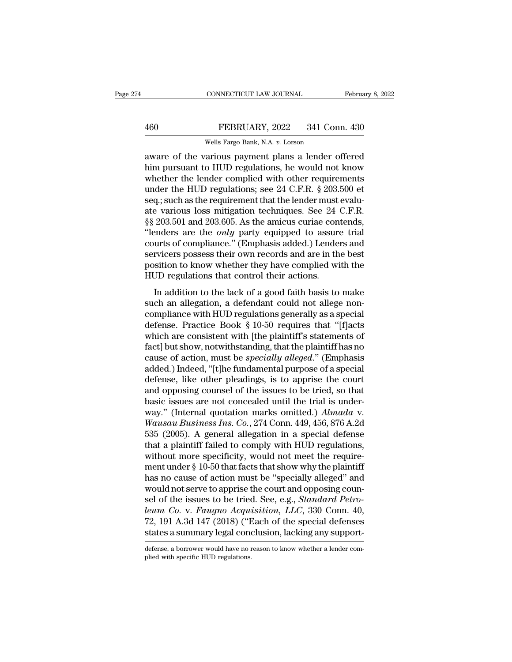## EXECUTE CONNECTICUT LAW JOURNAL February 8, 2022<br>460 FEBRUARY, 2022 341 Conn. 430<br>Wells Fargo Bank, N.A. v. Lorson CONNECTICUT LAW JOURNAL<br>FEBRUARY, 2022 341 Con<br>Wells Fargo Bank, N.A. *v.* Lorson<br>carrious payment plans a lender of

CONNECTICUT LAW JOURNAL February 8, 2022<br>
FEBRUARY, 2022 341 Conn. 430<br>
Wells Fargo Bank, N.A. v. Lorson<br>
aware of the various payment plans a lender offered<br>
him pursuant to HUD regulations, he would not know<br>
whether the Him pursuant to HUD regulations; so 24 C F R & 203 500 of the HUD regulations, he would not know whether the lender complied with other requirements 460 FEBRUARY, 2022 341 Conn. 430<br>Wells Fargo Bank, N.A. v. Lorson<br>aware of the various payment plans a lender offered<br>him pursuant to HUD regulations, he would not know<br>whether the lender complied with other requirements<br> FEBRUARY, 2022 341 Conn. 430<br>
Wells Fargo Bank, N.A. v. Lorson<br>
aware of the various payment plans a lender offered<br>
him pursuant to HUD regulations, he would not know<br>
whether the lender complied with other requirements<br> Wells Fargo Bank, N.A. v. Lorson<br>aware of the various payment plans a lender offered<br>him pursuant to HUD regulations, he would not know<br>whether the lender complied with other requirements<br>under the HUD regulations; see 24 wells Fargo Bank, N.A.  $v$ . Lorson<br>aware of the various payment plans a lender offered<br>him pursuant to HUD regulations, he would not know<br>whether the lender complied with other requirements<br>under the HUD regulations; see aware of the various payment plans a lender offered<br>him pursuant to HUD regulations, he would not know<br>whether the lender complied with other requirements<br>under the HUD regulations; see 24 C.F.R. § 203.500 et<br>seq.; such as him pursuant to HUD regulations, he would not know<br>
whether the lender complied with other requirements<br>
under the HUD regulations; see 24 C.F.R. § 203.500 et<br>
seq.; such as the requirement that the lender must evalu-<br>
ate whether the lender complied with other requirements<br>under the HUD regulations; see 24 C.F.R. § 203.500 et<br>seq.; such as the requirement that the lender must evalu-<br>ate various loss mitigation techniques. See 24 C.F.R.<br>§§ 2 under the HUD regulations; see 24 C.F.R. § 203.500 et<br>seq.; such as the requirement that the lender must evalu-<br>ate various loss mitigation techniques. See 24 C.F.R.<br>§§ 203.501 and 203.605. As the amicus curiae contends,<br>" seq.; such as the requirement that the lender must evalu-<br>ate various loss mitigation techniques. See 24 C.F.R.<br>§§ 203.501 and 203.605. As the amicus curiae contends,<br>"lenders are the *only* party equipped to assure trial<br> ate various loss mitigation techniques. See 24<br>§§ 203.501 and 203.605. As the amicus curiae con<br>"lenders are the *only* party equipped to assure<br>courts of compliance." (Emphasis added.) Lende<br>servicers possess their own re 200.001 and 200.000. As the annews curial contends,<br>
enders are the *only* party equipped to assure trial<br>
urts of compliance." (Emphasis added.) Lenders and<br>
rvicers possess their own records and are in the best<br>
sition such a allegation." (Emphasis added.) Lenders and<br>servicers possess their own records and are in the best<br>position to know whether they have complied with the<br>HUD regulations that control their actions.<br>In addition to the

courts of complaince. (Emphasis added.) Echders and<br>servicers possess their own records and are in the best<br>position to know whether they have complied with the<br>HUD regulations that control their actions.<br>In addition to th servicers possess then own records and are in the best<br>position to know whether they have complied with the<br>HUD regulations that control their actions.<br>In addition to the lack of a good faith basis to make<br>such an allegati HUD regulations that control their actions.<br>In addition to the lack of a good faith basis to make<br>such an allegation, a defendant could not allege non-<br>compliance with HUD regulations generally as a special<br>defense. Practi In addition to the lack of a good faith basis to make<br>such an allegation, a defendant could not allege non-<br>compliance with HUD regulations generally as a special<br>defense. Practice Book § 10-50 requires that "[f]acts<br>which In addition to the lack of a good faith basis to make<br>such an allegation, a defendant could not allege non-<br>compliance with HUD regulations generally as a special<br>defense. Practice Book § 10-50 requires that "[f]acts<br>which such an allegation, a defendant could not allege non-<br>compliance with HUD regulations generally as a special<br>defense. Practice Book § 10-50 requires that "[f]acts<br>which are consistent with [the plaintiff's statements of<br>fa compliance with HUD regulations generally as a special<br>defense. Practice Book § 10-50 requires that "[f]acts<br>which are consistent with [the plaintiff's statements of<br>fact] but show, notwithstanding, that the plaintiff has defense. Practice Book § 10-50 requires that "[f]acts<br>which are consistent with [the plaintiff's statements of<br>fact] but show, notwithstanding, that the plaintiff has no<br>cause of action, must be *specially alleged*." (Emp which are consistent with [the plaintiff's statements of fact] but show, notwithstanding, that the plaintiff has no cause of action, must be *specially alleged.*" (Emphasis added.) Indeed, "[t]he fundamental purpose of a fact] but show, notwithstanding, that the plaintiff has no<br>cause of action, must be *specially alleged*." (Emphasis<br>added.) Indeed, "[t]he fundamental purpose of a special<br>defense, like other pleadings, is to apprise the c cause of action, must be *specially alleged.*" (Emphasis added.) Indeed, "[t]he fundamental purpose of a special defense, like other pleadings, is to apprise the court and opposing counsel of the issues to be tried, so tha added.) Indeed, "[t]he fundamental purpose of a special<br>defense, like other pleadings, is to apprise the court<br>and opposing counsel of the issues to be tried, so that<br>basic issues are not concealed until the trial is under defense, like other pleadings, is to apprise the court<br>and opposing counsel of the issues to be tried, so that<br>basic issues are not concealed until the trial is under-<br>way." (Internal quotation marks omitted.)  $Almada$  v.<br> $W$ and opposing counsel of the issues to be tried, so that<br>basic issues are not concealed until the trial is under-<br>way." (Internal quotation marks omitted.)  $Almada$  v.<br>Wausau Business Ins. Co., 274 Conn. 449, 456, 876 A.2d<br>53 basic issues are not concealed until the trial is under-<br>way." (Internal quotation marks omitted.)  $Almada$  v.<br>Wausau Business Ins. Co., 274 Conn. 449, 456, 876 A.2d<br>535 (2005). A general allegation in a special defense<br>that way." (Internal quotation marks omitted.)  $Almada$  v.<br>Wausau Business Ins. Co., 274 Conn. 449, 456, 876 A.2d<br>535 (2005). A general allegation in a special defense<br>that a plaintiff failed to comply with HUD regulations,<br>witho *Wausau Business Ins. Co.*, 274 Conn. 449, 456, 876 A.2d<br>535 (2005). A general allegation in a special defense<br>that a plaintiff failed to comply with HUD regulations,<br>without more specificity, would not meet the require-<br> 535 (2005). A general allegation in a special defense<br>that a plaintiff failed to comply with HUD regulations,<br>without more specificity, would not meet the require-<br>ment under § 10-50 that facts that show why the plaintiff<br> *leum Co.* v. *Faugno Acquisition, length* and the sequire-<br>*leument under* § 10-50 that facts that show why the plaintiff<br>has no cause of action must be "specially alleged" and<br>would not serve to apprise the court and opp without more specificity, would not meet the requirement under § 10-50 that facts that show why the plaintiff has no cause of action must be "specially alleged" and would not serve to apprise the court and opposing counsel ment under § 10-50 that facts that show why the plaintiff<br>has no cause of action must be "specially alleged" and<br>would not serve to apprise the court and opposing coun-<br>sel of the issues to be tried. See, e.g., *Standard P* sel of the issues to be tried. See, e.g., *Standard Petro-leum Co. v. Faugno Acquisition*, *LLC*, 330 Conn. 40, 72, 191 A.3d 147 (2018) ("Each of the special defenses states a summary legal conclusion, lacking any supportstates a summary legal conclusion, lacking any support-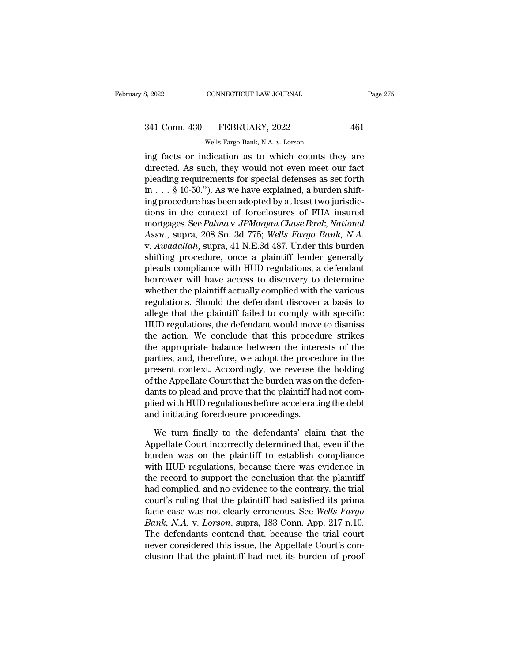# 341 Conn. 430 FEBRUARY, 2022 461<br>Wells Fargo Bank, N.A. v. Lorson

CONNECTICUT LAW JOURNAL<br>FEBRUARY, 2022<br>Wells Fargo Bank, N.A. *v.* Lorson<br>Idication as to which counts the 3, 2022 CONNECTICUT LAW JOURNAL Page 275<br>
341 Conn. 430 FEBRUARY, 2022 461<br>
Wells Fargo Bank, N.A. v. Lorson<br>
ing facts or indication as to which counts they are<br>
directed. As such, they would not even meet our fact<br>
plead 341 Conn. 430 FEBRUARY, 2022 461<br>Wells Fargo Bank, N.A. v. Lorson<br>ing facts or indication as to which counts they are<br>directed. As such, they would not even meet our fact<br>pleading requirements for special defenses as set f 341 Conn. 430 FEBRUARY, 2022 461<br>Wells Fargo Bank, N.A. v. Lorson<br>ing facts or indication as to which counts they are<br>directed. As such, they would not even meet our fact<br>pleading requirements for special defenses as set 341 Conn. 430 FEBRUARY, 2022 461<br>
Wells Fargo Bank, N.A. v. Lorson<br>
ing facts or indication as to which counts they are<br>
directed. As such, they would not even meet our fact<br>
pleading requirements for special defenses as Wells Fargo Bank, N.A. v. Lorson<br>ing facts or indication as to which counts they are<br>directed. As such, they would not even meet our fact<br>pleading requirements for special defenses as set forth<br>in . . . § 10-50."). As we wells raigo Bank, N.A. *b*. Eoson<br>ing facts or indication as to which counts they are<br>directed. As such, they would not even meet our fact<br>pleading requirements for special defenses as set forth<br>in . . . § 10-50."). As we ing facts or indication as to which counts they are<br>directed. As such, they would not even meet our fact<br>pleading requirements for special defenses as set forth<br>in . . . § 10-50."). As we have explained, a burden shift-<br>in directed. As such, they would not even meet our fact<br>pleading requirements for special defenses as set forth<br>in . . . § 10-50."). As we have explained, a burden shift-<br>ing procedure has been adopted by at least two jurisdi pleading requirements for special defenses as set forth<br>in . . . § 10-50."). As we have explained, a burden shift-<br>ing procedure has been adopted by at least two jurisdic-<br>tions in the context of foreclosures of FHA insure in . . . § 10-50."). As we have explained, a burden shift-<br>ing procedure has been adopted by at least two jurisdic-<br>tions in the context of foreclosures of FHA insured<br>mortgages. See *Palma* v. *JPMorgan Chase Bank*, *Nat* ing procedure has been adopted by at least two jurisdictions in the context of foreclosures of FHA insured<br>mortgages. See *Palma* v. JPMorgan Chase Bank, National<br>Assn., supra, 208 So. 3d 775; Wells Fargo Bank, N.A.<br>v. Awa tions in the context of foreclosures of FHA insured<br>mortgages. See *Palma* v. *JPMorgan Chase Bank*, *National*<br>*Assn.*, supra, 208 So. 3d 775; *Wells Fargo Bank*, *N.A.*<br>v. *Awadallah*, supra, 41 N.E.3d 487. Under this bu mortgages. See *Palma* v. JPMorgan Chase Bank, National<br>Assn., supra, 208 So. 3d 775; Wells Fargo Bank, N.A.<br>v. Awadallah, supra, 41 N.E.3d 487. Under this burden<br>shifting procedure, once a plaintiff lender generally<br>plead Assn., supra, 208 So. 3d 775; *Wells Fargo Bank*, *N.A.*<br>v. Awadallah, supra, 41 N.E.3d 487. Under this burden<br>shifting procedure, once a plaintiff lender generally<br>pleads compliance with HUD regulations, a defendant<br>borro v. Awadallah, supra, 41 N.E.3d 487. Under this burden<br>shifting procedure, once a plaintiff lender generally<br>pleads compliance with HUD regulations, a defendant<br>borrower will have access to discovery to determine<br>whether th shifting procedure, once a plaintiff lender generally<br>pleads compliance with HUD regulations, a defendant<br>borrower will have access to discovery to determine<br>whether the plaintiff actually complied with the various<br>regulat pleads compliance with HUD regulations, a defendant<br>borrower will have access to discovery to determine<br>whether the plaintiff actually complied with the various<br>regulations. Should the defendant discover a basis to<br>allege borrower will have access to discovery to determine<br>whether the plaintiff actually complied with the various<br>regulations. Should the defendant discover a basis to<br>allege that the plaintiff failed to comply with specific<br>HU whether the plaintiff actually complied with the various<br>regulations. Should the defendant discover a basis to<br>allege that the plaintiff failed to comply with specific<br>HUD regulations, the defendant would move to dismiss<br>t regulations. Should the defendant discover a basis to<br>allege that the plaintiff failed to comply with specific<br>HUD regulations, the defendant would move to dismiss<br>the action. We conclude that this procedure strikes<br>the ap allege that the plaintiff failed to comply with specific<br>HUD regulations, the defendant would move to dismiss<br>the action. We conclude that this procedure strikes<br>the appropriate balance between the interests of the<br>parties HUD regulations, the defendant would move to dismiss<br>the action. We conclude that this procedure strikes<br>the appropriate balance between the interests of the<br>parties, and, therefore, we adopt the procedure in the<br>present c the action. We conclude that this procedure strikes<br>the appropriate balance between the interests of the<br>parties, and, therefore, we adopt the procedure in the<br>present context. Accordingly, we reverse the holding<br>of the Ap the appropriate balance between the interefucities, and, therefore, we adopt the proceed present context. Accordingly, we reverse that the Appellate Court that the burden was or dants to plead and prove that the plaintiff esent context. Accordingly, we reverse the holding<br>the Appellate Court that the burden was on the defen-<br>nts to plead and prove that the plaintiff had not com-<br>ied with HUD regulations before accelerating the debt<br>d initia of the Appellate Court that the burden was on the defendants to plead and prove that the plaintiff had not complied with HUD regulations before accelerating the debt<br>and initiating foreclosure proceedings.<br>We turn finally

dants to plead and prove that the plaintiff had not complied with HUD regulations before accelerating the debt<br>and initiating foreclosure proceedings.<br>We turn finally to the defendants' claim that the<br>Appellate Court incor plied with HUD regulations before accelerating the debt<br>and initiating foreclosure proceedings.<br>We turn finally to the defendants' claim that the<br>Appellate Court incorrectly determined that, even if the<br>burden was on the p and initiating foreclosure proceedings.<br>We turn finally to the defendants' claim that the<br>Appellate Court incorrectly determined that, even if the<br>burden was on the plaintiff to establish compliance<br>with HUD regulations, b We turn finally to the defendants' claim that the<br>Appellate Court incorrectly determined that, even if the<br>burden was on the plaintiff to establish compliance<br>with HUD regulations, because there was evidence in<br>the record We turn finally to the defendants' claim that the<br>Appellate Court incorrectly determined that, even if the<br>burden was on the plaintiff to establish compliance<br>with HUD regulations, because there was evidence in<br>the record Appellate Court incorrectly determined that, even if the<br>burden was on the plaintiff to establish compliance<br>with HUD regulations, because there was evidence in<br>the record to support the conclusion that the plaintiff<br>had c burden was on the plaintiff to establish compliance<br>with HUD regulations, because there was evidence in<br>the record to support the conclusion that the plaintiff<br>had complied, and no evidence to the contrary, the trial<br>court with HUD regulations, because there was evidence in<br>the record to support the conclusion that the plaintiff<br>had complied, and no evidence to the contrary, the trial<br>court's ruling that the plaintiff had satisfied its prima the record to support the conclusion that the plaintiff<br>had complied, and no evidence to the contrary, the trial<br>court's ruling that the plaintiff had satisfied its prima<br>facie case was not clearly erroneous. See *Wells Fa* had complied, and no evidence to the contrary, the trial<br>court's ruling that the plaintiff had satisfied its prima<br>facie case was not clearly erroneous. See *Wells Fargo*<br>Bank, N.A. v. Lorson, supra, 183 Conn. App. 217 n.1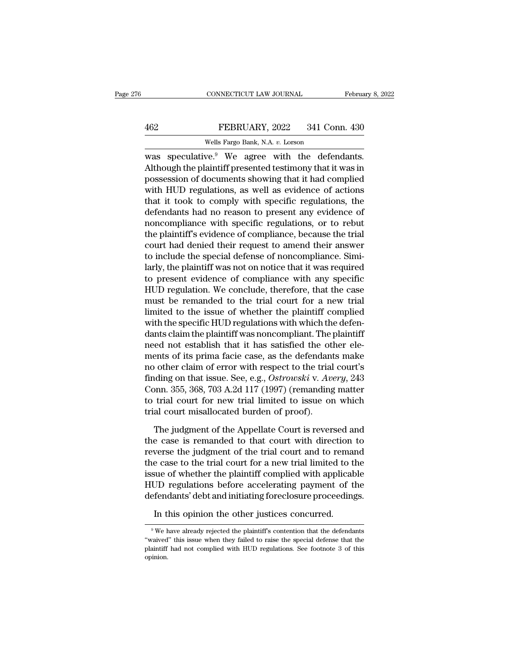## EXECUTE CONNECTICUT LAW JOURNAL February 8, 2022<br>462 FEBRUARY, 2022 341 Conn. 430<br>Wells Fargo Bank, N.A. v. Lorson CONNECTICUT LAW JOURNAL<br>
FEBRUARY, 2022 341 Con<br>
Wells Fargo Bank, N.A. *v.* Lorson<br>
We <sup>9</sup> We agree with the defer

CONNECTICUT LAW JOURNAL February 8, 2<br>
Wells Fargo Bank, N.A. v. Lorson<br>
Was speculative.<sup>9</sup> We agree with the defendants.<br>
Although the plaintiff presented testimony that it was in FEBRUARY, 2022 341 Conn. 430<br>Wells Fargo Bank, N.A. v. Lorson<br>Was speculative.<sup>9</sup> We agree with the defendants.<br>Although the plaintiff presented testimony that it was in<br>possession of documents showing that it had complied FEBRUARY, 2022 341 Conn. 430<br>Wells Fargo Bank, N.A. v. Lorson<br>Was speculative.<sup>9</sup> We agree with the defendants.<br>Although the plaintiff presented testimony that it was in<br>possession of documents showing that it had complie FEBRUARY, 2022 341 Conn. 430<br>
Wells Fargo Bank, N.A. v. Lorson<br>
was speculative.<sup>9</sup> We agree with the defendants.<br>
Although the plaintiff presented testimony that it was in<br>
possession of documents showing that it had com Wells Fargo Bank, N.A.  $v$ . Lorson<br>was speculative.<sup>9</sup> We agree with the defendants.<br>Although the plaintiff presented testimony that it was in<br>possession of documents showing that it had complied<br>with HUD regulations, as Wells Fargo Bank, N.A. 0. Lorson<br>was speculative.<sup>9</sup> We agree with the defendants.<br>Although the plaintiff presented testimony that it was in<br>possession of documents showing that it had complied<br>with HUD regulations, as we was speculative.<sup>9</sup> We agree with the defendants.<br>Although the plaintiff presented testimony that it was in<br>possession of documents showing that it had complied<br>with HUD regulations, as well as evidence of actions<br>that it Although the plaintiff presented testimony that it was in<br>possession of documents showing that it had complied<br>with HUD regulations, as well as evidence of actions<br>that it took to comply with specific regulations, the<br>defe possession of documents showing that it had complied<br>with HUD regulations, as well as evidence of actions<br>that it took to comply with specific regulations, the<br>defendants had no reason to present any evidence of<br>noncomplia with HUD regulations, as well as evidence of actions<br>that it took to comply with specific regulations, the<br>defendants had no reason to present any evidence of<br>noncompliance with specific regulations, or to rebut<br>the plaint that it took to comply with specific regulations, the<br>defendants had no reason to present any evidence of<br>noncompliance with specific regulations, or to rebut<br>the plaintiff's evidence of compliance, because the trial<br>court defendants had no reason to present any evidence of<br>noncompliance with specific regulations, or to rebut<br>the plaintiff's evidence of compliance, because the trial<br>court had denied their request to amend their answer<br>to inc noncompliance with specific regulations, or to rebut<br>the plaintiff's evidence of compliance, because the trial<br>court had denied their request to amend their answer<br>to include the special defense of noncompliance. Simi-<br>lar the plaintiff's evidence of compliance, because the trial<br>court had denied their request to amend their answer<br>to include the special defense of noncompliance. Simi-<br>larly, the plaintiff was not on notice that it was requi court had denied their request to amend their answer<br>to include the special defense of noncompliance. Simi-<br>larly, the plaintiff was not on notice that it was required<br>to present evidence of compliance with any specific<br>HU to include the special defense of noncompliance. Similarly, the plaintiff was not on notice that it was required<br>to present evidence of compliance with any specific<br>HUD regulation. We conclude, therefore, that the case<br>mus larly, the plaintiff was not on notice that it was required<br>to present evidence of compliance with any specific<br>HUD regulation. We conclude, therefore, that the case<br>must be remanded to the trial court for a new trial<br>limi to present evidence of compliance with any specific<br>HUD regulation. We conclude, therefore, that the case<br>must be remanded to the trial court for a new trial<br>limited to the issue of whether the plaintiff complied<br>with the HUD regulation. We conclude, therefore, that the case<br>must be remanded to the trial court for a new trial<br>limited to the issue of whether the plaintiff complied<br>with the specific HUD regulations with which the defen-<br>dants must be remanded to the trial court for a new trial<br>limited to the issue of whether the plaintiff complied<br>with the specific HUD regulations with which the defen-<br>dants claim the plaintiff was noncompliant. The plaintiff<br> limited to the issue of whether the plaintiff complied<br>with the specific HUD regulations with which the defen-<br>dants claim the plaintiff was noncompliant. The plaintiff<br>need not establish that it has satisfied the other el with the specific HUD regulations with which the defen-<br>dants claim the plaintiff was noncompliant. The plaintiff<br>need not establish that it has satisfied the other ele-<br>ments of its prima facie case, as the defendants mak dants claim the plaintiff was noncompliant. The plaintiff<br>need not establish that it has satisfied the other ele-<br>ments of its prima facie case, as the defendants make<br>no other claim of error with respect to the trial cour need not establish that it has satisfied the ot<br>ments of its prima facie case, as the defendant<br>no other claim of error with respect to the trial<br>finding on that issue. See, e.g., *Ostrowski* v. Av<br>Conn. 355, 368, 703 A.2d % other claim of error with respect to the trial court's<br>ding on that issue. See, e.g., *Ostrowski* v. Avery, 243<br>pnn. 355, 368, 703 A.2d 117 (1997) (remanding matter<br>trial court for new trial limited to issue on which<br>al finding on that issue. See, e.g.,  $Ostrowski$  v.  $Avery$ , 243<br>Conn. 355, 368, 703 A.2d 117 (1997) (remanding matter<br>to trial court for new trial limited to issue on which<br>trial court misallocated burden of proof).<br>The judgment of

Conn. 355, 368, 703 A.2d 117 (1997) (remanding matter<br>to trial court for new trial limited to issue on which<br>trial court misallocated burden of proof).<br>The judgment of the Appellate Court is reversed and<br>the case is reman to trial court for new trial limited to issue on which<br>trial court misallocated burden of proof).<br>The judgment of the Appellate Court is reversed and<br>the case is remanded to that court with direction to<br>reverse the judgmen trial court misallocated burden of proof).<br>
The judgment of the Appellate Court is reversed and<br>
the case is remanded to that court with direction to<br>
reverse the judgment of the trial court and to remand<br>
the case to the The judgment of the Appellate Court is reversed and<br>the case is remanded to that court with direction to<br>reverse the judgment of the trial court and to remand<br>the case to the trial court for a new trial limited to the<br>issu The judgment of the Appellate Court is reversed and<br>the case is remanded to that court with direction to<br>reverse the judgment of the trial court and to remand<br>the case to the trial court for a new trial limited to the<br>issu verse the judgment of the trial court and to rema<br>e case to the trial court for a new trial limited to t<br>sue of whether the plaintiff complied with applical<br>JD regulations before accelerating payment of t<br>fendants' debt an UD regulations before accelerating payment of the efendants' debt and initiating foreclosure proceedings.<br>In this opinion the other justices concurred.<br><sup>9</sup> We have already rejected the plaintiff's contention that the defe

defendants' debt and initiating foreclosure proceedings.<br>
In this opinion the other justices concurred.<br>
<sup>9</sup> We have already rejected the plaintiff's contention that the defendants<br>
"waived" this issue when they failed to In this opinion the other justices concurred.<br>
<sup>9</sup> We have already rejected the plaintiff's contention that the defendants<br>
"waived" this issue when they failed to raise the special defense that the<br>
plaintiff had not comp opinion.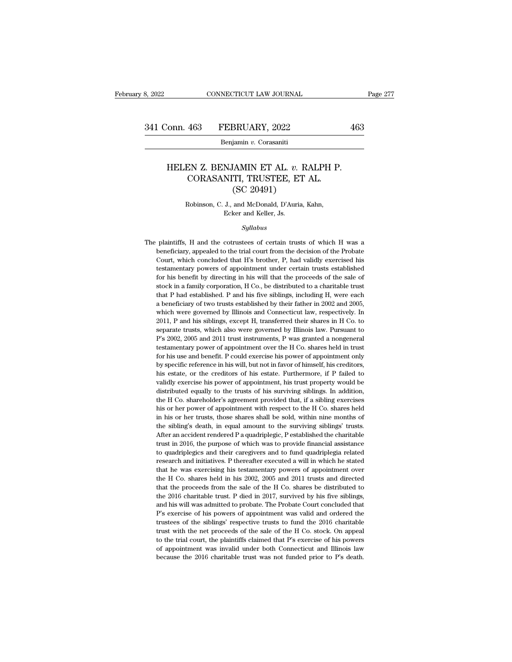Benjamin *v.* Corasaniti

### onn. 463 FEBRUARY, 2022 463<br>Benjamin v. Corasaniti<br>HELEN Z. BENJAMIN ET AL. v. RALPH P.<br>CORASANITI, TRUSTEE, ET AL.<br>(SC 20491) 463 FEBRUARY, 2022<br>Benjamin v. Corasaniti<br>EN Z. BENJAMIN ET AL. v. RALPH P.<br>CORASANITI, TRUSTEE, ET AL. (SC 20491) BRUARY, 2022<br>
iamin v. Corasaniti<br>
(AMIN ET AL. v. R.<br>
TI, TRUSTEE, ET<br>
(SC 20491)<br>
and McDonald, D'Auria, I EN Z. BENJAMIN ET AL. *v*. RALPH F<br>CORASANITI, TRUSTEE, ET AL.<br>(SC 20491)<br>Robinson, C. J., and McDonald, D'Auria, Kahn,<br>Ecker and Keller, Js. NJAMIN ET AL. *v*.<br>NITI, TRUSTEE, E<br>(SC 20491)<br>J., and McDonald, D'Auri.<br>Ecker and Keller, Js.<br>Sullabus

### *Syllabus*

Robinson, C. J., and McDonald, D'Auria, Kahn,<br>Ecker and Keller, Js.<br>Syllabus<br>The plaintiffs, H and the cotrustees of certain trusts of which H was a<br>beneficiary, appealed to the trial court from the decision of the Probate Robinson, C. J., and McDonald, D'Auria, Kahn,<br>Ecker and Keller, Js.<br>Syllabus<br>plaintiffs, H and the cotrustees of certain trusts of which H was a<br>beneficiary, appealed to the trial court from the decision of the Probate<br>Cou Ecker and Keller, Js.<br>
Syllabus<br>
plaintiffs, H and the cotrustees of certain trusts of which H was a<br>
beneficiary, appealed to the trial court from the decision of the Probate<br>
Court, which concluded that H's brother, P, h Syllabus<br>plaintiffs, H and the cotrustees of certain trusts of which H was a<br>beneficiary, appealed to the trial court from the decision of the Probate<br>Court, which concluded that H's brother, P, had validly exercised his<br>t *Syltaous*<br> *Syltaous*<br>
plaintiffs, H and the cotrustees of certain trusts of which H was a<br>
beneficiary, appealed to the trial court from the decision of the Probate<br>
Court, which concluded that H's brother, P, had validl plaintiffs, H and the cotrustees of certain trusts of which H was a beneficiary, appealed to the trial court from the decision of the Probate Court, which concluded that H's brother, P, had validly exercised his testamenta beneficiary, appealed to the trial court from the decision of the Probate Court, which concluded that H's brother, P, had validly exercised his testamentary powers of appointment under certain trusts established for his be Court, which concluded that H's brother, P, had validly exercised his testamentary powers of appointment under certain trusts established for his benefit by directing in his will that the proceeds of the sale of stock in testamentary powers of appointment under certain trusts established<br>for his benefit by directing in his will that the proceeds of the sale of<br>stock in a family corporation, H Co., be distributed to a charitable trust<br>that for his benefit by directing in his will that the proceeds of the sale of stock in a family corporation, H Co., be distributed to a charitable trust that P had established. P and his five siblings, including H, were each a stock in a family corporation, H Co., be distributed to a charitable trust<br>that P had established. P and his five siblings, including H, were each<br>a beneficiary of two trusts established by their father in 2002 and 2005,<br> btat P had established. P and his five siblings, including H, were each a beneficiary of two trusts established by their father in 2002 and 2005, which were governed by Illinois and Connecticut law, respectively. In 2011, a beneficiary of two trusts established by their father in 2002 and 2005, which were governed by Illinois and Connecticut law, respectively. In 2011, P and his siblings, except H, transferred their shares in H Co. to separ which were governed by Illinois and Connecticut law, respectively. In 2011, P and his siblings, except H, transferred their shares in H Co. to separate trusts, which also were governed by Illinois law. Pursuant to P's 2002 by specific reference in his will, but not in favor of himself, his example that the reference in H Co. to separate trusts, which also were governed by Illinois law. Pursuant to  $P$ 's 2002, 2005 and 2011 trust instruments separate trusts, which also were governed by Illinois law. Pursuant to P's 2002, 2005 and 2011 trust instruments, P was granted a nongeneral testamentary power of appointment over the H Co. shares held in trust for his use by 2002, 2005 and 2011 trust instruments, P was granted a nongeneral testamentary power of appointment over the H Co. shares held in trust for his use and benefit. P could exercise his power of appointment only by specific Fersion, The distance of appointment over the H Co. shares held in trust<br>testamentary power of appointment over the H Co. shares held in trust<br>for his use and benefit. P could exercise his power of appointment only<br>by spec for his use and benefit. P could exercise his power of appointment only by specific reference in his will, but not in favor of himself, his creditors, his estate, or the creditors of his estate. Furthermore, if P failed to by specific reference in his will, but not in favor of himself, his creditors, his estate, or the creditors of his estate. Furthermore, if P failed to validly exercise his power of appointment, his trust property would be in the state, or the creditors of his estate. Furthermore, if P failed to validly exercise his power of appointment, his trust property would be distributed equally to the trusts of his surviving siblings. In addition, the walidly exercise his power of appointment, his trust property would be distributed equally to the trusts of his surviving siblings. In addition, the H Co. shareholder's agreement provided that, if a sibling exercises his o After an accident rendered P a quadriplegic, P established the charitable discributed equally to the trusts of his surviving siblings. In addition, the H Co. shareholder's agreement provided that, if a sibling exercises hi the H Co. shareholder's agreement provided that, if a sibling exercises<br>the H Co. shareholder's agreement provided that, if a sibling exercises<br>his or her power of appointment with respect to the H Co. shares held<br>in his o the orientation of appointment with respect to the H Co. shares held<br>in his or her power of appointment with respect to the H Co. shares held<br>in his or her trusts, those shares shall be sold, within nine months of<br>the sibl in his or her trusts, those shares shall be sold, within nine months of the sibling's death, in equal amount to the surviving siblings' trusts. After an accident rendered P a quadriplegic, P established the charitable trus the sibling's death, in equal amount to the surviving siblings' trusts.<br>After an accident rendered P a quadriplegic, P established the charitable<br>trust in 2016, the purpose of which was to provide financial assistance<br>to q After an accident rendered P a quadriplegic, P established the charitable trust in 2016, the purpose of which was to provide financial assistance to quadriplegics and their caregivers and to fund quadriplegia related resea trust in 2016, the purpose of which was to provide financial assistance<br>to quadriplegics and their caregivers and to fund quadriplegia related<br>research and initiatives. P thereafter executed a will in which he stated<br>that to quadriplegics and their caregivers and to fund quadriplegia related research and initiatives. P thereafter executed a will in which he stated that he was exercising his testamentary powers of appointment over the H Co. research and initiatives. P thereafter executed a will in which he stated that he was exercising his testamentary powers of appointment over the H Co. shares held in his 2002, 2005 and 2011 trusts and directed that the pro First that he was exercising his testamentary powers of appointment over the H Co. shares held in his 2002, 2005 and 2011 trusts and directed that the proceeds from the sale of the H Co. shares be distributed to the 2016 c the H Co. shares held in his 2002, 2005 and 2011 trusts and directed that the proceeds from the sale of the H Co. shares be distributed to the 2016 charitable trust. P died in 2017, survived by his five siblings, and his w the H Co. shares held in his 2002, 2005 and 2011 trusts and directed<br>that the proceeds from the sale of the H Co. shares be distributed to<br>the 2016 charitable trust. P died in 2017, survived by his five siblings,<br>and his w the 2016 charitable trust. P died in 2017, survived by his five siblings, and his will was admitted to probate. The Probate Court concluded that P's exercise of his powers of appointment was valid and ordered the trustees and his will was admitted to probate. The Probate Court concluded that P's exercise of his powers of appointment was valid and ordered the trustees of the siblings' respective trusts to fund the 2016 charitable trust with P's exercise of his powers of appointment was valid and ordered the trustees of the siblings' respective trusts to fund the 2016 charitable trust with the net proceeds of the sale of the H Co. stock. On appeal to the trial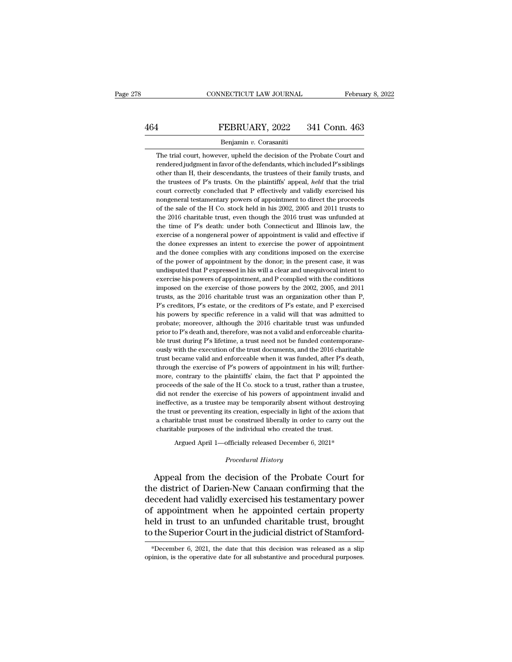# EXECUTE CONNECTICUT LAW JOURNAL February 8, 2022<br>464 FEBRUARY, 2022 341 Conn. 463<br>Benjamin v. Corasaniti

### Benjamin *v.* Corasaniti

FEBRUARY, 2022 341 Conn. 463<br>Benjamin v. Corasaniti<br>The trial court, however, upheld the decision of the Probate Court and<br>rendered judgment in favor of the defendants, which included P's siblings FEBRUARY, 2022 341 Conn. 463<br>
Benjamin v. Corasaniti<br>
The trial court, however, upheld the decision of the Probate Court and<br>
rendered judgment in favor of the defendants, which included P's siblings<br>
other than H, their **EXERUARY, 2022** 341 Conn. 463<br>Benjamin v. Corasaniti<br>The trial court, however, upheld the decision of the Probate Court and<br>rendered judgment in favor of the defendants, which included P's siblings<br>other than H, their des Benjamin v. Corasaniti<br>The trial court, however, upheld the decision of the Probate Court and<br>rendered judgment in favor of the defendants, which included P's siblings<br>other than H, their descendants, the trustees of their Benjamin v. Corasaniti<br>The trial court, however, upheld the decision of the Probate Court and<br>rendered judgment in favor of the defendants, which included P's siblings<br>other than H, their descendants, the trustees of their The trial court, however, upheld the decision of the Probate Court and rendered judgment in favor of the defendants, which included P's siblings other than H, their descendants, the trustees of their family trusts, and the rendered judgment in favor of the defendants, which included P's siblings<br>other than H, their descendants, the trustees of their family trusts, and<br>the trustees of P's trusts. On the plaintiffs' appeal, *held* that the tri other than H, their descendants, the trustees of their family trusts, and the trustees of P's trusts. On the plaintiffs' appeal, *held* that the trial court correctly concluded that P effectively and validly exercised his the trustees of P's trusts. On the plaintiffs' appeal, *held* that the trial court correctly concluded that P effectively and validly exercised his nongeneral testamentary powers of appointment to direct the proceeds of th court correctly concluded that P effectively and validly exercised his nongeneral testamentary powers of appointment to direct the proceeds of the sale of the H Co. stock held in his 2002, 2005 and 2011 trusts to the 2016 nongeneral testamentary powers of appointment to direct the proceeds of the sale of the H Co. stock held in his 2002, 2005 and 2011 trusts to the 2016 charitable trust, even though the 2016 trust was unfunded at the time of the sale of the H Co. stock held in his 2002, 2005 and 2011 trusts to the 2016 charitable trust, even though the 2016 trust was unfunded at the time of P's death: under both Connecticut and Illinois law, the exercise of the 2016 charitable trust, even though the 2016 trust was unfunded at the time of P's death: under both Connecticut and Illinois law, the exercise of a nongeneral power of appointment is valid and effective if the donee ex the time of P's death: under both Connecticut and Illinois law, the exercise of a nongeneral power of appointment is valid and effective if the donee expresses an intent to exercise the power of appointment and the donee c and the donee complies with any conditions imposed on the exercise of the power of appointment by the donor; in the present case, it was undisputed that P expressed in his will a clear and unequivocal intent to exercise h the donee expresses an intent to exercise the power of appointment<br>and the donee complies with any conditions imposed on the exercise<br>of the power of appointment by the donor; in the present case, it was<br>undisputed that P and the donee complies with any conditions imposed on the exercise<br>of the power of appointment by the donor; in the present case, it was<br>undisputed that P expressed in his will a clear and unequivocal intent to<br>exercise hi of the power of appointment by the donor; in the present case, it was undisputed that P expressed in his will a clear and unequivocal intent to exercise his powers of appointment, and P complied with the conditions imposed undisputed that P expressed in his will a clear and unequivocal intent to exercise his powers of appointment, and P complied with the conditions imposed on the exercise of those powers by the 2002, 2005, and 2011 trusts, a exercise his powers of appointment, and P complied with the conditions<br>imposed on the exercise of those powers by the 2002, 2005, and 2011<br>trusts, as the 2016 charitable trust was an organization other than P,<br>P's creditor imposed on the exercise of those powers by the 2002, 2005, and 2011<br>trusts, as the 2016 charitable trust was an organization other than P,<br>P's creditors, P's estate, or the creditors of P's estate, and P exercised<br>his powe trusts, as the 2016 charitable trust was an organization other than P, P's creditors, P's estate, or the creditors of P's estate, and P exercised his powers by specific reference in a valid will that was admitted to probat P's creditors, P's estate, or the creditors of P's estate, and P exercised his powers by specific reference in a valid will that was admitted to probate; moreover, although the 2016 charitable trust was unfunded prior to his powers by specific reference in a valid will that was admitted to probate; moreover, although the 2016 charitable trust was unfunded prior to P's death and, therefore, was not a valid and enforceable charitable trust d probate; moreover, although the 2016 charitable trust was unfunded<br>prior to P's death and, therefore, was not a valid and enforceable charita-<br>ble trust during P's lifetime, a trust need not be funded contemporane-<br>ously prior to P's death and, therefore, was not a valid and enforceable charita-<br>ble trust during P's lifetime, a trust need not be funded contemporane-<br>ously with the execution of the trust documents, and the 2016 charitable<br>t be trust during P's lifetime, a trust need not be funded contemporane-<br>ously with the execution of the trust documents, and the 2016 charitable<br>trust became valid and enforceable when it was funded, after P's death,<br>throug ously with the execution of the trust documents, and the 2016 charitable trust became valid and enforceable when it was funded, after P's death, through the exercise of P's powers of appointment in his will; furthermore, c trust became valid and enforceable when it was funded, after P's death, through the exercise of P's powers of appointment in his will; furthermore, contrary to the plaintiffs' claim, the fact that P appointed the proceeds through the exercise of P's powers of appointment in his will; furthermore, contrary to the plaintiffs' claim, the fact that P appointed the proceeds of the sale of the H Co. stock to a trust, rather than a trustee, did no more, contrary to the plaintiffs' claim, the fact that P appointed the proceeds of the sale of the H Co. stock to a trust, rather than a trustee, did not render the exercise of his powers of appointment invalid and ineffec proceeds of the sale of the H Co. stock to a trust, rather than a trustee, did not render the exercise of his powers of appointment invalid and ineffective, as a trustee may be temporarily absent without destroying the tr ineffective, as a trustee may be temporarily absent without destroying<br>the trust or preventing its creation, especially in light of the axiom that<br>a charitable trust must be construed liberally in order to carry out the<br>c a charitable trust must be construed liberally in order to carry out the charitable purposes of the individual who created the trust.<br> *Procedural History*<br> *Procedural History*<br> *Procedural History*<br> **Appeal from the deci** 

the trust or preventing its creation, especially in light of the axiom that<br>a charitable trust must be construed liberally in order to carry out the<br>charitable purposes of the individual who created the trust.<br>Argued April a charitable trust must be construed liberally in order to carry out the<br>charitable purposes of the individual who created the trust.<br>Argued April 1—officially released December 6, 2021\*<br>*Procedural History*<br>Appeal from th dianable purposes of the marviatal who created the trast.<br>Argued April 1—officially released December 6, 2021\*<br>*Procedural History*<br>Appeal from the decision of the Probate Court for<br>the district of Darien-New Canaan confir Argued April 1—officially released December 6, 2021\*<br>
Procedural History<br>
Appeal from the decision of the Probate Court for<br>
the district of Darien-New Canaan confirming that the<br>
decedent had validly exercised his testame Frocedural History<br>
Appeal from the decision of the Probate Court for<br>
the district of Darien-New Canaan confirming that the<br>
decedent had validly exercised his testamentary power<br>
of appointment when he appointed certain Appeal from the decision of the Probate Court for<br>the district of Darien-New Canaan confirming that the<br>decedent had validly exercised his testamentary power<br>of appointment when he appointed certain property<br>held in trust decedent had validly exercised his testamentary power<br>of appointment when he appointed certain property<br>held in trust to an unfunded charitable trust, brought<br>to the Superior Court in the judicial district of Stamford-<br>\*De to the Superior Court in the judicial district of Stamford-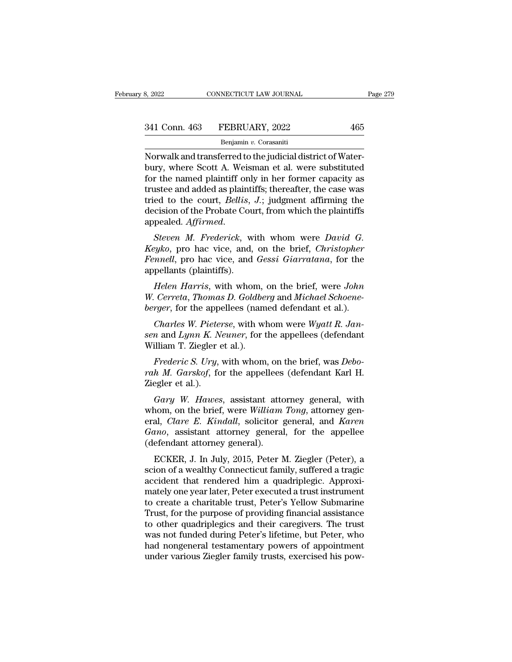Benjamin *v.* Corasaniti

No. 2022<br>
Norman 2022<br>
Starting and transferred to the judicial district of Water-<br>
Norwalk and transferred to the judicial district of Water-<br>
bury, where Scott A. Weisman et al. were substituted<br>
for the named plaintiff  $\begin{array}{r} \text{341 Conn. 463} \quad \text{FEBRUARY, 2022} \quad \text{465} \ \text{Benjamin } v. \text{ Corasaniti} \ \text{Norwalk and transferred to the judicial district of Water-bury, where Scott A. Weisman et al. were substituted for the named plaintiff only in her former capacity as \n \text{trustoo and added as plaintiff: theorem the case was.} \end{array}$ 341 Conn. 463 FEBRUARY, 2022 465<br>
Benjamin v. Corasaniti<br>
Norwalk and transferred to the judicial district of Water-<br>
bury, where Scott A. Weisman et al. were substituted<br>
for the named plaintiff only in her former capaci 341 Conn. 463 FEBRUARY, 2022 465<br>
Benjamin v. Corasaniti<br>
Norwalk and transferred to the judicial district of Water-<br>
bury, where Scott A. Weisman et al. were substituted<br>
for the named plaintiff only in her former capaci Benjamin v. Corasaniti<br>Benjamin v. Corasaniti<br>Norwalk and transferred to the judicial district of Water-<br>bury, where Scott A. Weisman et al. were substituted<br>for the named plaintiff only in her former capacity as<br>trustee a Benjamin v. Corasanti<br>Norwalk and transferred to the judicial district of Water-<br>bury, where Scott A. Weisman et al. were substituted<br>for the named plaintiff only in her former capacity as<br>trustee and added as plaintiffs; bury, where Scott A. weishian et al. were substituted<br>for the named plaintiff only in her former capacity as<br>trustee and added as plaintiffs; thereafter, the case was<br>tried to the court, *Bellis*, *J*.; judgment affirming For the named plannin only in her former capacity as<br>trustee and added as plaintiffs; thereafter, the case was<br>tried to the court, *Bellis*, *J*.; judgment affirming the<br>decision of the Probate Court, from which the plaint

*Fendel* and *Fennellis, J.*; judgment affirming the decision of the Probate Court, from which the plaintiffs appealed. Affirmed.<br>*Steven M. Frederick*, with whom were *David G. Keyko*, pro hac vice, and, on the brief, First to the Court, *Bettis*,<br>decision of the Probate Cou<br>appealed. *Affirmed.*<br>*Steven M. Frederick*, w<br>*Keyko*, pro hac vice, and,<br>*Fennell*, pro hac vice, and<br>appellants (plaintiffs).<br>*Helen Harris*, with whol pealed. *Affirmed.*<br> *Steven M. Frederick*, with whom were *David G.*<br> *eyko*, pro hac vice, and, on the brief, *Christopher*<br> *mnell*, pro hac vice, and *Gessi Giarratana*, for the<br>
pellants (plaintiffs).<br> *Helen Harris*, *Steven M. Frederick*, with whom were *David G.*<br>*Keyko*, pro hac vice, and, on the brief, *Christopher Fennell*, pro hac vice, and *Gessi Giarratana*, for the appellants (plaintiffs).<br>*Helen Harris*, with whom, on the bri *Beren In: Freuerick*, what whom were *Ductu* G.<br>*Reyko*, pro hac vice, and, on the brief, *Christopher*<br>*Fennell*, pro hac vice, and *Gessi Giarratana*, for the<br>appellants (plaintiffs).<br>*Helen Harris*, with whom, on the b

*Charles Transletion B. At a Gessi Giarratana, for the*<br> *Charles (plaintiffs).*<br> *Charles Harris, with whom, on the brief, were John Cerreta, Thomas D. Goldberg and Michael Schoenerger, for the appellees (named defendant senellants (plaintiffs).*<br> *Helen Harris, with whom, on the brief, were John W. Cerreta, Thomas D. Goldberg and Michael Schoene-berger, for the appellees (named defendant et al.).<br>
<i>Charles W. Pieterse, with whom were Wya* Helen Harris, with whom,<br>W. Cerreta, Thomas D. Goldbe<br>berger, for the appellees (nam<br>Charles W. Pieterse, with wi<br>sen and Lynn K. Neuner, for t<br>William T. Ziegler et al.).<br>Frederic S. Ury, with whom

*Cerreta, Thomas D. Goldberg* and *Michael Schoene-<br>rger*, for the appellees (named defendant et al.).<br>*Charles W. Pieterse*, with whom were *Wyatt R. Jan-*<br>*n* and *Lynn K. Neuner*, for the appellees (defendant<br>illiam T.

*berger*, for the appellees (named defendant et al.).<br> *Charles W. Pieterse*, with whom were *Wyatt R. Jansen* and *Lynn K. Neuner*, for the appellees (defendant<br>
William T. Ziegler et al.).<br> *Frederic S. Ury*, with whom, Charles W. Piete:<br>
sen and Lynn K. N.<br>
William T. Ziegler (<br>
Frederic S. Ury,<br>
rah M. Garskof, fo<br>
Ziegler et al.).<br>
Gary W. Hawes *n* and *Lynn K. Neuner*, for the appellees (defendant<br>illiam T. Ziegler et al.).<br>*Frederic S. Ury*, with whom, on the brief, was *Debo-<br>h M. Garskof*, for the appellees (defendant Karl H.<br>egler et al.).<br>*Gary W. Hawes*, a

William T. Ziegler et al.).<br>
Frederic S. Ury, with whom, on the brief, was Debo-<br>
rah M. Garskof, for the appellees (defendant Karl H.<br>
Ziegler et al.).<br>
Gary W. Hawes, assistant attorney general, with<br>
whom, on the brief, Frederic S. Ury, with whom, on the brief, was Deborah M. Garskof, for the appellees (defendant Karl H. Ziegler et al.).<br> *Gary W. Hawes*, assistant attorney general, with whom, on the brief, were *William Tong*, attorney g *Freueric S. Org,* with whold, of the brief, was *Deo-*<br>*rah M. Garskof,* for the appellees (defendant Karl H.<br>Ziegler et al.).<br>*Gary W. Hawes,* assistant attorney general, with<br>whom, on the brief, were *William Tong*, att Find in: Garskof, for the appenees<br>Ziegler et al.).<br>Gary W. Hawes, assistant attorney W. Hawes, assistant attorney<br>eral, *Clare E. Kindall*, solicitor *gano*, assistant attorney general<br>(defendant attorney general).<br>ECKER, Gary W. Hawes, assistant attorney general, with<br>nom, on the brief, were William Tong, attorney gen-<br>al, *Clare E. Kindall*, solicitor general, and *Karen*<br>noo, assistant attorney general, for the appellee<br>efendant attorney oury w. Huwes, assistant attorney general, whith<br>whom, on the brief, were William Tong, attorney general, Clare E. Kindall, solicitor general, and Karen<br>Gano, assistant attorney general, for the appellee<br>(defendant attorne

whohi, on the brief, were *watam Tong*, attorney general, *Clare E. Kindall*, solicitor general, and *Karen Gano*, assistant attorney general, for the appellee (defendant attorney general).<br>ECKER, J. In July, 2015, Peter eral, Care E. Kindal, solicitor general, and Karen<br>Gano, assistant attorney general, for the appellee<br>(defendant attorney general).<br>ECKER, J. In July, 2015, Peter M. Ziegler (Peter), a<br>scion of a wealthy Connecticut family ouno, assistant attorney general, for the appenee<br>(defendant attorney general).<br>ECKER, J. In July, 2015, Peter M. Ziegler (Peter), a<br>scion of a wealthy Connecticut family, suffered a tragic<br>accident that rendered him a qua (detendant attorney generar).<br>
ECKER, J. In July, 2015, Peter M. Ziegler (Peter), a<br>
scion of a wealthy Connecticut family, suffered a tragic<br>
accident that rendered him a quadriplegic. Approxi-<br>
mately one year later, Pet ECKER, J. In July, 2015, Peter M. Ziegler (Peter), a<br>scion of a wealthy Connecticut family, suffered a tragic<br>accident that rendered him a quadriplegic. Approxi-<br>mately one year later, Peter executed a trust instrument<br>to scion of a wealthy Connecticut family, suffered a tragic<br>accident that rendered him a quadriplegic. Approxi-<br>mately one year later, Peter executed a trust instrument<br>to create a charitable trust, Peter's Yellow Submarine<br>T accident that rendered him a quadriplegic. Approximately one year later, Peter executed a trust instrument to create a charitable trust, Peter's Yellow Submarine Trust, for the purpose of providing financial assistance to mately one year later, Peter executed a trust instrument<br>to create a charitable trust, Peter's Yellow Submarine<br>Trust, for the purpose of providing financial assistance<br>to other quadriplegics and their caregivers. The trus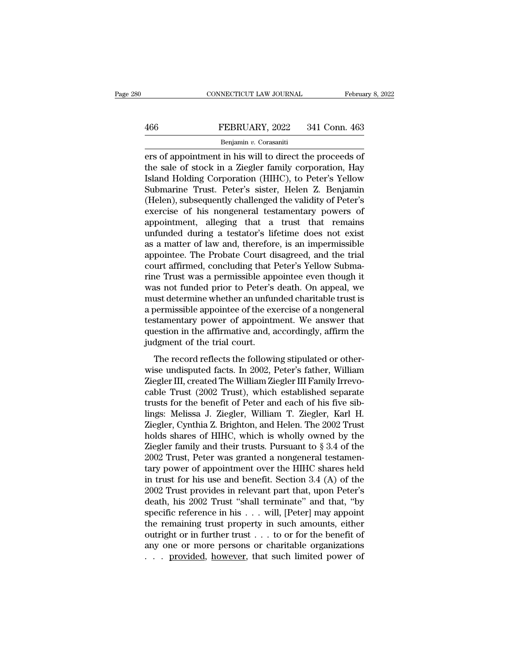# EXECUTE CONNECTICUT LAW JOURNAL February 8, 2022<br>466 FEBRUARY, 2022 341 Conn. 463<br>Benjamin v. Corasaniti

### Benjamin *v.* Corasaniti

ERRUARY, 2022 341 Conn. 463<br>
EPRUARY, 2022 341 Conn. 463<br>
Benjamin v. Corasaniti<br>
ers of appointment in his will to direct the proceeds of<br>
the sale of stock in a Ziegler family corporation, Hay<br>
Feland Holding Corporation FEBRUARY, 2022 341 Conn. 463<br>
Benjamin v. Corasaniti<br>
ers of appointment in his will to direct the proceeds of<br>
the sale of stock in a Ziegler family corporation, Hay<br>
Island Holding Corporation (HIHC), to Peter's Yellow<br> FEBRUARY, 2022 341 Conn. 463<br> **Example 18 Allen Fernandical Peripensis Corporation (HIHC)**, to Peter's Yellow<br> **Example 18 Allen Corporation (HIHC), to Peter's Yellow**<br> **Submarine Trust. Peter's sister, Helen Z. Benjamin** FEBRUARY, 2022 341 Conn. 463<br>
Benjamin v. Corasaniti<br>
ers of appointment in his will to direct the proceeds of<br>
the sale of stock in a Ziegler family corporation, Hay<br>
Island Holding Corporation (HIHC), to Peter's Yellow<br> Benjamin v. Corasaniti<br>
ers of appointment in his will to direct the proceeds of<br>
the sale of stock in a Ziegler family corporation, Hay<br>
Island Holding Corporation (HIHC), to Peter's Yellow<br>
Submarine Trust. Peter's siste Benjamin v. Corasanti<br>
ers of appointment in his will to direct the proceeds of<br>
the sale of stock in a Ziegler family corporation, Hay<br>
Island Holding Corporation (HIHC), to Peter's Yellow<br>
Submarine Trust. Peter's siste ers of appointment in his will to direct the proceeds of<br>the sale of stock in a Ziegler family corporation, Hay<br>Island Holding Corporation (HIHC), to Peter's Yellow<br>Submarine Trust. Peter's sister, Helen Z. Benjamin<br>(Helen the sale of stock in a Ziegler family corporation, Hay<br>Island Holding Corporation (HIHC), to Peter's Yellow<br>Submarine Trust. Peter's sister, Helen Z. Benjamin<br>(Helen), subsequently challenged the validity of Peter's<br>exerci Island Holding Corporation (HIHC), to Peter's Yellow<br>Submarine Trust. Peter's sister, Helen Z. Benjamin<br>(Helen), subsequently challenged the validity of Peter's<br>exercise of his nongeneral testamentary powers of<br>appointment Submarine Trust. Peter's sister, Helen Z. Benjamin (Helen), subsequently challenged the validity of Peter's exercise of his nongeneral testamentary powers of appointment, alleging that a trust that remains unfunded during (Helen), subsequently challenged the validity of Peter's<br>exercise of his nongeneral testamentary powers of<br>appointment, alleging that a trust that remains<br>unfunded during a testator's lifetime does not exist<br>as a matter of exercise of his nongeneral testamentary powers of<br>appointment, alleging that a trust that remains<br>unfunded during a testator's lifetime does not exist<br>as a matter of law and, therefore, is an impermissible<br>appointee. The P appointment, alleging that a trust that remains<br>unfunded during a testator's lifetime does not exist<br>as a matter of law and, therefore, is an impermissible<br>appointee. The Probate Court disagreed, and the trial<br>court affirm unfunded during a testator's lifetime does not exist<br>as a matter of law and, therefore, is an impermissible<br>appointee. The Probate Court disagreed, and the trial<br>court affirmed, concluding that Peter's Yellow Subma-<br>rine T as a matter of law and, therefore, is an impermissible<br>appointee. The Probate Court disagreed, and the trial<br>court affirmed, concluding that Peter's Yellow Subma-<br>rine Trust was a permissible appointee even though it<br>was n appointee. The Probate Court disagreed, and the trial<br>court affirmed, concluding that Peter's Yellow Subma-<br>rine Trust was a permissible appointee even though it<br>was not funded prior to Peter's death. On appeal, we<br>must de court affirmed, concluding that Peter's Yellow Submarine Trust was a permissible appointee even though it was not funded prior to Peter's death. On appeal, we must determine whether an unfunded charitable trust is a permis rine Trust was a permissible app<br>was not funded prior to Peter's<br>must determine whether an unfur<br>a permissible appointee of the ex<br>testamentary power of appointr<br>question in the affirmative and, a<br>judgment of the trial cou as not randed prior to 1 ceer's detail. On appear, we<br>ast determine whether an unfunded charitable trust is<br>bermissible appointee of the exercise of a nongeneral<br>stamentary power of appointment. We answer that<br>estion in th mast acternine wheater an antitated enarrative and is<br>a permissible appointee of the exercise of a nongeneral<br>testamentary power of appointment. We answer that<br>question in the affirmative and, accordingly, affirm the<br>judgm

Lestamentary power of appointment. We answer that<br>question in the affirmative and, accordingly, affirm the<br>judgment of the trial court.<br>The record reflects the following stipulated or other-<br>wise undisputed facts. In 2002, duestion in the affirmative and, accordingly, affirm the<br>judgment of the trial court.<br>The record reflects the following stipulated or other-<br>wise undisputed facts. In 2002, Peter's father, William<br>Ziegler III, created The judgment of the trial court.<br>
The record reflects the following stipulated or other-<br>
wise undisputed facts. In 2002, Peter's father, William<br>
Ziegler III, created The William Ziegler III Family Irrevo-<br>
cable Trust (2002 The record reflects the following stipulated or other-<br>wise undisputed facts. In 2002, Peter's father, William<br>Ziegler III, created The William Ziegler III Family Irrevo-<br>cable Trust (2002 Trust), which established separat The record reflects the following stipulated or other-<br>wise undisputed facts. In 2002, Peter's father, William<br>Ziegler III, created The William Ziegler III Family Irrevo-<br>cable Trust (2002 Trust), which established separa wise undisputed facts. In 2002, Peter's father, William<br>Ziegler III, created The William Ziegler III Family Irrevo-<br>cable Trust (2002 Trust), which established separate<br>trusts for the benefit of Peter and each of his five Ziegler III, created The William Ziegler III Family Irrevo-<br>cable Trust (2002 Trust), which established separate<br>trusts for the benefit of Peter and each of his five sib-<br>lings: Melissa J. Ziegler, William T. Ziegler, Karl cable Trust (2002 Trust), which established separate<br>trusts for the benefit of Peter and each of his five sib-<br>lings: Melissa J. Ziegler, William T. Ziegler, Karl H.<br>Ziegler, Cynthia Z. Brighton, and Helen. The 2002 Trust trusts for the benefit of Peter and each of his five sib-<br>lings: Melissa J. Ziegler, William T. Ziegler, Karl H.<br>Ziegler, Cynthia Z. Brighton, and Helen. The 2002 Trust<br>holds shares of HIHC, which is wholly owned by the<br>Zi lings: Melissa J. Ziegler, William T. Ziegler, Karl H.<br>Ziegler, Cynthia Z. Brighton, and Helen. The 2002 Trust<br>holds shares of HIHC, which is wholly owned by the<br>Ziegler family and their trusts. Pursuant to § 3.4 of the<br>20 Ziegler, Cynthia Z. Brighton, and Helen. The 2002 Trust<br>holds shares of HIHC, which is wholly owned by the<br>Ziegler family and their trusts. Pursuant to § 3.4 of the<br>2002 Trust, Peter was granted a nongeneral testamen-<br>tary holds shares of HIHC, which is wholly owned by the Ziegler family and their trusts. Pursuant to  $\S 3.4$  of the 2002 Trust, Peter was granted a nongeneral testamentary power of appointment over the HIHC shares held in trus Ziegler family and their trusts. Pursuant to  $\S 3.4$  of the 2002 Trust, Peter was granted a nongeneral testamentary power of appointment over the HIHC shares held<br>in trust for his use and benefit. Section 3.4 (A) of the<br>2 2002 Trust, Peter was granted a nongeneral testamentary power of appointment over the HIHC shares held<br>in trust for his use and benefit. Section 3.4 (A) of the<br>2002 Trust provides in relevant part that, upon Peter's<br>death tary power of appointment over the HIHC shares held<br>in trust for his use and benefit. Section 3.4 (A) of the<br>2002 Trust provides in relevant part that, upon Peter's<br>death, his 2002 Trust "shall terminate" and that, "by<br>sp in trust for his use and benefit. Section 3.4 (A) of the 2002 Trust provides in relevant part that, upon Peter's death, his 2002 Trust "shall terminate" and that, "by specific reference in his  $\dots$  will, [Peter] may appoi 2002 Trust provides in relevant part that, upon Peter's death, his 2002 Trust "shall terminate" and that, "by specific reference in his  $\dots$  will, [Peter] may appoint the remaining trust property in such amounts, either o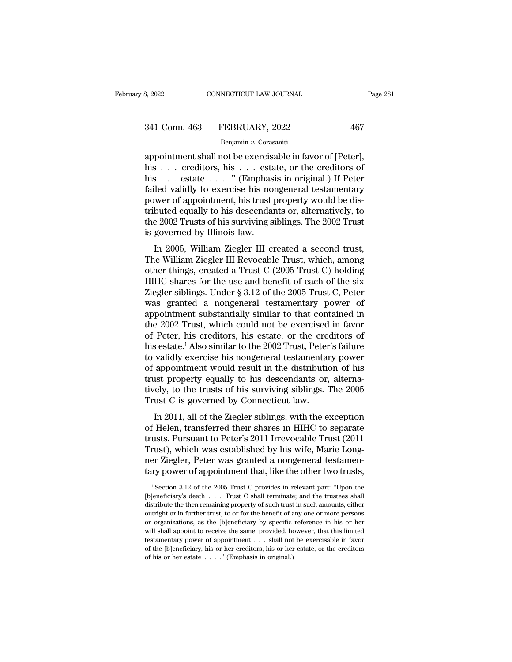| 8, 2022       | CONNECTICUT LAW JOURNAL | Page 281 |
|---------------|-------------------------|----------|
| 341 Conn. 463 | FEBRUARY, 2022          | 467      |
|               | Benjamin v. Corasaniti  |          |

appointment shall not be exercisable in favor of [Peter], 341 Conn. 463 FEBRUARY, 2022 467<br>
Benjamin v. Corasaniti<br>
appointment shall not be exercisable in favor of [Peter],<br>
his . . . creditors, his . . . estate, or the creditors of<br>
his . . . estate . . . . ." (Emphasis in ori 341 Conn. 463 FEBRUARY, 2022 467<br>
Benjamin v. Corasaniti<br>
appointment shall not be exercisable in favor of [Peter],<br>
his . . . creditors, his . . . estate, or the creditors of<br>
his . . . estate . . . ." (Emphasis in origi 341 Conn. 463 FEBRUARY, 2022 467<br>
Benjamin v. Corasaniti<br>
appointment shall not be exercisable in favor of [Peter],<br>
his . . . creditors, his . . . estate, or the creditors of<br>
his . . . estate . . . . " (Emphasis in orig Benjamin v. Corasaniti<br>
Benjamin v. Corasaniti<br>
appointment shall not be exercisable in favor of [Peter],<br>
his . . . creditors, his . . . estate, or the creditors of<br>
his . . . estate . . . ." (Emphasis in original.) If P Benjamin v. Corasanti<br>
appointment shall not be exercisable in favor of [Peter],<br>
his . . . creditors, his . . . estate, or the creditors of<br>
his . . . estate . . . . " (Emphasis in original.) If Peter<br>
failed validly to appointment shall not be exercisable in favor of [Peter],<br>his . . . creditors, his . . . estate, or the creditors of<br>his . . . estate . . . ." (Emphasis in original.) If Peter<br>failed validly to exercise his nongeneral test his . . . creditors, his . . . esta<br>his . . . estate . . . ." (Emphas<br>failed validly to exercise his non<br>power of appointment, his trust p<br>tributed equally to his descendar<br>the 2002 Trusts of his surviving s<br>is governed by In 2005, William Ziegler III created a second trust,<br>the William Ziegler III creates are allowed equally to his descendants or, alternatively, to<br>e 2002 Trusts of his surviving siblings. The 2002 Trust<br>governed by Illinoi rancu vandry to exercise his hongeneral testamentary<br>power of appointment, his trust property would be dis-<br>tributed equally to his descendants or, alternatively, to<br>the 2002 Trusts of his surviving siblings. The 2002 Trus

power or appointment, instrust property would be distributed equally to his descendants or, alternatively, to<br>the 2002 Trusts of his surviving siblings. The 2002 Trust<br>is governed by Illinois law.<br>In 2005, William Ziegler The 2002 Trusts of his surviving siblings. The 2002 Trust<br>is governed by Illinois law.<br>In 2005, William Ziegler III created a second trust,<br>The William Ziegler III Revocable Trust, which, among<br>other things, created a Tru In 2002 Trusts of his surviving shomigs. The 2002 Trust<br>is governed by Illinois law.<br>In 2005, William Ziegler III created a second trust,<br>The William Ziegler III Revocable Trust, which, among<br>other things, created a Trust In 2005, William Ziegler III created a second trust,<br>The William Ziegler III Revocable Trust, which, among<br>other things, created a Trust C (2005 Trust C) holding<br>HIHC shares for the use and benefit of each of the six<br>Ziegl In 2005, William Ziegler III created a second trust,<br>The William Ziegler III Revocable Trust, which, among<br>other things, created a Trust C (2005 Trust C) holding<br>HIHC shares for the use and benefit of each of the six<br>Ziegl The William Ziegler III Revocable Trust, which, among<br>other things, created a Trust C (2005 Trust C) holding<br>HIHC shares for the use and benefit of each of the six<br>Ziegler siblings. Under § 3.12 of the 2005 Trust C, Peter<br> other things, created a Trust C (2005 Trust C) holding<br>HIHC shares for the use and benefit of each of the six<br>Ziegler siblings. Under § 3.12 of the 2005 Trust C, Peter<br>was granted a nongeneral testamentary power of<br>appoint HIHC shares for the use and benefit of each of the six<br>Ziegler siblings. Under § 3.12 of the 2005 Trust C, Peter<br>was granted a nongeneral testamentary power of<br>appointment substantially similar to that contained in<br>the 200 Ziegler siblings. Under  $\S 3.12$  of the 2005 Trust C, Peter<br>was granted a nongeneral testamentary power of<br>appointment substantially similar to that contained in<br>the 2002 Trust, which could not be exercised in favor<br>of Pe was granted a nongeneral testamentary power of<br>appointment substantially similar to that contained in<br>the 2002 Trust, which could not be exercised in favor<br>of Peter, his creditors, his estate, or the creditors of<br>his estat appointment substantially similar to that contained in<br>the 2002 Trust, which could not be exercised in favor<br>of Peter, his creditors, his estate, or the creditors of<br>his estate.<sup>1</sup> Also similar to the 2002 Trust, Peter's f the 2002 Trust, which could not be exercised in favor<br>of Peter, his creditors, his estate, or the creditors of<br>his estate.<sup>1</sup> Also similar to the 2002 Trust, Peter's failure<br>to validly exercise his nongeneral testamentary of Peter, his creditors, his estate, or the creations estate.<sup>1</sup> Also similar to the 2002 Trust, Peter to validly exercise his nongeneral testamentar of appointment would result in the distribution trust property equally t validly exercise his nongeneral testamentary power<br>appointment would result in the distribution of his<br>ist property equally to his descendants or, alterna-<br>rely, to the trusts of his surviving siblings. The 2005<br>ust C is g to validly exercise his hongelieral destainentary power<br>of appointment would result in the distribution of his<br>trust property equally to his descendants or, alterna-<br>tively, to the trusts of his surviving siblings. The 200

or appointment would result in the ulstribution of his<br>trust property equally to his descendants or, alterna-<br>tively, to the trusts of his surviving siblings. The 2005<br>Trust C is governed by Connecticut law.<br>In 2011, all o Trust C is governed by Connecticut law.<br>Trust C is governed by Connecticut law.<br>In 2011, all of the Ziegler siblings, with the exception<br>of Helen, transferred their shares in HIHC to separate<br>trusts. Pursuant to Peter's 20 ner Ziegler, and the Ziegler siblings. The 2009<br>Trust C is governed by Connecticut law.<br>In 2011, all of the Ziegler siblings, with the exception<br>of Helen, transferred their shares in HIHC to separate<br>trusts. Pursuant to Pe In 2011, all of the Ziegler siblings, with the exception<br>of Helen, transferred their shares in HIHC to separate<br>trusts. Pursuant to Peter's 2011 Irrevocable Trust (2011<br>Trust), which was established by his wife, Marie Lon usts. Pursuant to Peter's 2011 Irrevocable Trust (2011<br>rust), which was established by his wife, Marie Long-<br>er Ziegler, Peter was granted a nongeneral testamen-<br>ry power of appointment that, like the other two trusts,<br><sup>1</sup> Trust), which was established by his wife, Marie Long-<br>ner Ziegler, Peter was granted a nongeneral testamen-<br>tary power of appointment that, like the other two trusts,<br> $\frac{1}{1}$  Section 3.12 of the 2005 Trust C provides i

ner Ziegler, Peter was granted a nongeneral testamentary power of appointment that, like the other two trusts,<br> $\frac{1}{1}$ Section 3.12 of the 2005 Trust C provides in relevant part: "Upon the [b]eneficiary's death . . . Tru tary power of appointment that, like the other two trusts,<br>  $\frac{1}{1}$  Section 3.12 of the 2005 Trust C provides in relevant part: "Upon the<br>
[b]eneficiary's death . . . Trust C shall terminate; and the trustees shall<br>
dis Let y power or appointment that, inte the other two trusts,<br>
<sup>1</sup> Section 3.12 of the 2005 Trust C provides in relevant part: "Upon the<br>
[b]eneficiary's death . . . Trust C shall terminate; and the trustees shall<br>
distribut <sup>1</sup> Section 3.12 of the 2005 Trust C provides in relevant part: "Upon the [b]eneficiary's death . . . Trust C shall terminate; and the trustees shall distribute the then remaining property of such trust in such amounts, e [b]eneficiary's death . . . Trust C shall terminate; and the trustees shall distribute the then remaining property of such trust in such amounts, either outright or in further trust, to or for the benefit of any one or mo distribute the then remaining property of such trust in such amounts, either outright or in further trust, to or for the benefit of any one or more persons or organizations, as the [b]eneficiary by specific reference in h or organizations, as the [b]eneficiary by specific reference in his or her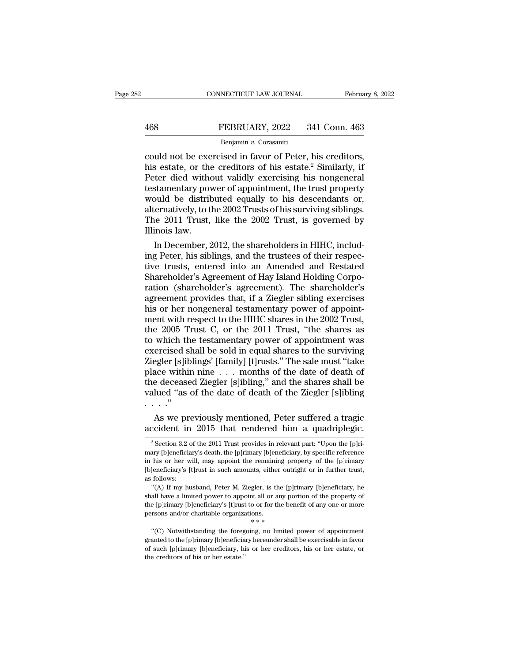### Benjamin *v.* Corasaniti

CONNECTICUT LAW JOURNAL February 8, 2<br>
FEBRUARY, 2022 341 Conn. 463<br>
Benjamin v. Corasaniti<br>
Could not be exercised in favor of Peter, his creditors,<br>
his estate, or the creditors of his estate.<sup>2</sup> Similarly, if<br>
Peter die FEBRUARY, 2022 341 Conn. 463<br>
Benjamin v. Corasaniti<br>
could not be exercised in favor of Peter, his creditors,<br>
his estate, or the creditors of his estate.<sup>2</sup> Similarly, if<br>
Peter died without validly exercising his nongen FEBRUARY, 2022 341 Conn. 463<br>
Penjamin v. Corasaniti<br>
could not be exercised in favor of Peter, his creditors,<br>
his estate, or the creditors of his estate.<sup>2</sup> Similarly, if<br>
Peter died without validly exercising his nonge FEBRUARY, 2022 341 Conn. 463<br>
Benjamin v. Corasaniti<br>
could not be exercised in favor of Peter, his creditors,<br>
his estate, or the creditors of his estate.<sup>2</sup> Similarly, if<br>
Peter died without validly exercising his nonge Benjamin v. Corasaniti<br>
could not be exercised in favor of Peter, his creditors,<br>
his estate, or the creditors of his estate.<sup>2</sup> Similarly, if<br>
Peter died without validly exercising his nongeneral<br>
testamentary power of a Benjamin v. Corasaniti<br>
could not be exercised in favor of Peter, his creditors,<br>
his estate, or the creditors of his estate.<sup>2</sup> Similarly, if<br>
Peter died without validly exercising his nongeneral<br>
testamentary power of a could not be exercised in favor of Peter, his creditors,<br>his estate, or the creditors of his estate.<sup>2</sup> Similarly, if<br>Peter died without validly exercising his nongeneral<br>testamentary power of appointment, the trust proper his estate, or the<br>Peter died with<br>testamentary pov<br>would be distrik<br>alternatively, to the<br>The 2011 Trust,<br>Illinois law.<br>In December, 2 In December, 2012, the shareholders in HIHC, included provide the shareholders in the shareholders in HIHC, including Peter, his siblings, and the trustees of their respectively, to the 2002 Trusts of his surviving sibling testamentary power of appointment, the trust property<br>would be distributed equally to his descendants or,<br>alternatively, to the 2002 Trusts of his surviving siblings.<br>The 2011 Trust, like the 2002 Trust, is governed by<br>Ill

would be distributed equally to his descendants or,<br>alternatively, to the 2002 Trusts of his surviving siblings.<br>The 2011 Trust, like the 2002 Trust, is governed by<br>Illinois law.<br>In December, 2012, the shareholders in HIHC alternatively, to the 2002 Trusts of his surviving siblings.<br>The 2011 Trust, like the 2002 Trust, is governed by<br>Illinois law.<br>In December, 2012, the shareholders in HIHC, includ-<br>ing Peter, his siblings, and the trustees The 2011 Trust, like the 2002 Trust, is governed by<br>Illinois law.<br>In December, 2012, the shareholders in HIHC, includ-<br>ing Peter, his siblings, and the trustees of their respec-<br>tive trusts, entered into an Amended and Res Illinois law.<br>
In December, 2012, the shareholders in HIHC, includ-<br>
ing Peter, his siblings, and the trustees of their respec-<br>
tive trusts, entered into an Amended and Restated<br>
Shareholder's Agreement of Hay Island Hold In December, 2012, the shareholders in HIHC, includ-<br>ing Peter, his siblings, and the trustees of their respec-<br>tive trusts, entered into an Amended and Restated<br>Shareholder's Agreement of Hay Island Holding Corpo-<br>ration ing Peter, his siblings, and the trustees of their respective trusts, entered into an Amended and Restated Shareholder's Agreement of Hay Island Holding Corporation (shareholder's agreement). The shareholder's agreement pr tive trusts, entered into an Amended and Restated<br>Shareholder's Agreement of Hay Island Holding Corpo-<br>ration (shareholder's agreement). The shareholder's<br>agreement provides that, if a Ziegler sibling exercises<br>his or her Shareholder's Agreement of Hay Island Holding Corporation (shareholder's agreement). The shareholder's agreement provides that, if a Ziegler sibling exercises<br>his or her nongeneral testamentary power of appointment with re ration (shareholder's agreement). The shareholder's<br>agreement provides that, if a Ziegler sibling exercises<br>his or her nongeneral testamentary power of appoint-<br>ment with respect to the HIHC shares in the 2002 Trust,<br>the 2 agreement provides that, if a Ziegler sibling exercises<br>his or her nongeneral testamentary power of appoint-<br>ment with respect to the HIHC shares in the 2002 Trust,<br>the 2005 Trust C, or the 2011 Trust, "the shares as<br>to wh his or her nongeneral testamentary power of appointment with respect to the HIHC shares in the 2002 Trust, the 2005 Trust C, or the 2011 Trust, "the shares as to which the testamentary power of appointment was exercised sh ment with respect to the HIHC shares in the 2002 Trust,<br>the 2005 Trust C, or the 2011 Trust, "the shares as<br>to which the testamentary power of appointment was<br>exercised shall be sold in equal shares to the surviving<br>Ziegle the 2005 Trust C, or the 2011 Trust, "the shares as<br>to which the testamentary power of appointment was<br>exercised shall be sold in equal shares to the surviving<br>Ziegler [s]iblings' [family] [t]rusts." The sale must "take<br>pl the 2005 Trust C, or the 2011 Trust, "the shares as<br>to which the testamentary power of appointment was<br>exercised shall be sold in equal shares to the surviving<br>Ziegler [s]iblings' [family] [t]rusts." The sale must "take<br>p ercised shall be sold in equal shares to the surviving<br>egler [s]iblings' [family] [t]rusts." The sale must "take<br>ace within nine . . . months of the date of death of<br>e deceased Ziegler [s]ibling," and the shares shall be<br>l Ziegler [s]iblings' [family] [t]rusts." The sale must "take<br>place within nine . . . months of the date of death of<br>the deceased Ziegler [s]ibling," and the shares shall be<br>valued "as of the date of death of the Ziegler [s

<sup>2</sup> Section 3.2 of the 2011 Trust provides in relevant part: "Upon the [p]ri-<br><sup>2</sup> Section 3.2 of the 2011 Trust provides in relevant part: "Upon the [p]ri-<br><sup>2</sup> Section 3.2 of the 2011 Trust provides in relevant part: "Upon t As we previously mentioned, Peter suffered a tragic accident in 2015 that rendered him a quadriplegic.<br>
<sup>2</sup> Section 3.2 of the 2011 Trust provides in relevant part: "Upon the [p]ri-<br>
mary [b]eneficiary's death, the [p]rim As we previously mentioned, Peter suffered a tragic accident in 2015 that rendered him a quadriplegic.<br>
<sup>2</sup> Section 3.2 of the 2011 Trust provides in relevant part: "Upon the [p]rimary [b]eneficiary's death, the [p]rimary accident in 2015 that rendered him a quadriplegic.<br>
<sup>2</sup> Section 3.2 of the 2011 Trust provides in relevant part: "Upon the [p]rimary [b]eneficiary's death, the [p]rimary [b]eneficiary, by specific reference in his or her accident In<br>
<sup>2</sup> Section 3.2 c<br>
mary [b]eneficia<br>
in his or her w<br>
[b]eneficiary's [<br>
as follows:<br>
"(A) If my hu <sup>2</sup> Section 3.2 of the 2011 Trust provides in relevant part: "Upon the [p]ri-<br>ary [b]eneficiary's death, the [p]rimary [b]eneficiary, by specific reference<br>his or her will, may appoint the remaining property of the [p]rim mary [b]eneficiary's death, the [p]rimary [b]eneficiary, by specific reference<br>in his or her will, may appoint the remaining property of the [p]rimary<br>[b]eneficiary's [t]rust in such amounts, either outright or in further

in his or her will, may appoint the remaining property of the [p]rimary [b]eneficiary's [t]rust in such amounts, either outright or in further trust, as follows: "(A) If my husband, Peter M. Ziegler, is the [p]rimary [b]en perficiary's [t] persons and/or charitable organizations.<br>
"(A) If my husband, Peter M. Ziegler, is the [p shall have a limited power to appoint all or any p the [p] rimary [b] eneficiary's [t] rust to or for the benessio "(A) If my husband, Peter M. Ziegler, is the [p]rimary [b]eneficiary, he shall have a limited power to appoint all or any portion of the property of the [p]rimary [b]eneficiary's [t]rust to or for the benefit of any one o the [p]rimary [b]eneficiary's [t]rust to or for the benefit of any one or more persons and/or charitable organizations.

shall have a limited power to appoint all or any portion of the property of<br>the [p]rimary [b]eneficiary's [t]rust to or for the benefit of any one or more<br>persons and/or charitable organizations.<br> $***$ <br>"(C) Notwithstanding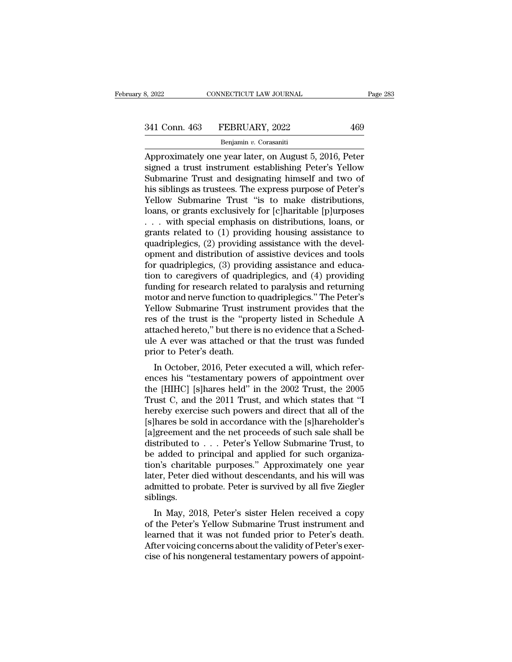# 341 Conn. 463 FEBRUARY, 2022 469<br>Benjamin v. Corasaniti

### Benjamin *v.* Corasaniti

EXERCIAL Page 283<br>
Approximately one year later, on August 5, 2016, Peter<br>
Submaring Trust and dosignating himself and two of<br>
Submaring Trust and dosignating himself and two of 341 Conn. 463 FEBRUARY, 2022 469<br>
Benjamin v. Corasaniti<br>
Approximately one year later, on August 5, 2016, Peter<br>
signed a trust instrument establishing Peter's Yellow<br>
Submarine Trust and designating himself and two of<br>
h  $\begin{array}{r} \text{341 Conn. } \text{463} \quad \text{FEBRUARY, } 2022 \quad \text{469} \\ \text{Benjamin } v. \text{ Corasanii} \\ \text{Approximately one year later, on August 5, 2016, Peter signed a trust instrument establishing Peter's Yellow Submarine Trust and designating himself and two of his siblings as trustees. The express purpose of Peter's Volume Submarine Trust "is to make distributions.} \end{array}$ 341 Conn. 463 FEBRUARY, 2022 469<br>
Benjamin v. Corasaniti<br>
Approximately one year later, on August 5, 2016, Peter<br>
signed a trust instrument establishing Peter's Yellow<br>
Submarine Trust and designating himself and two of<br>
h Benjamin v. Corasaniti<br>Benjamin v. Corasaniti<br>Approximately one year later, on August 5, 2016, Peter<br>signed a trust instrument establishing Peter's Yellow<br>Submarine Trust and designating himself and two of<br>his siblings as Benjamin v. Corasanti<br>
Approximately one year later, on August 5, 2016, Peter<br>
signed a trust instrument establishing Peter's Yellow<br>
Submarine Trust and designating himself and two of<br>
his siblings as trustees. The expre Approximately one year later, on August 5, 2016, Peter<br>signed a trust instrument establishing Peter's Yellow<br>Submarine Trust and designating himself and two of<br>his siblings as trustees. The express purpose of Peter's<br>Yello signed a trust instrument establishing Peter's Yellow<br>Submarine Trust and designating himself and two of<br>his siblings as trustees. The express purpose of Peter's<br>Yellow Submarine Trust "is to make distributions,<br>loans, or Submarine Trust and designating himself and two of<br>his siblings as trustees. The express purpose of Peter's<br>Yellow Submarine Trust "is to make distributions,<br>loans, or grants exclusively for [c]haritable [p]urposes<br> $\dots$  w his siblings as trustees. The express purpose of Peter's<br>Yellow Submarine Trust "is to make distributions,<br>loans, or grants exclusively for [c]haritable [p]urposes<br> $\dots$  with special emphasis on distributions, loans, or<br>gr Yellow Submarine Trust "is to make distributions,<br>loans, or grants exclusively for [c]haritable [p]urposes<br>... with special emphasis on distributions, loans, or<br>grants related to (1) providing housing assistance to<br>quadri loans, or grants exclusively for [c]haritable [p]urposes . . . with special emphasis on distributions, loans, or grants related to (1) providing housing assistance to quadriplegics, (2) providing assistance with the devel ... with special emphasis on distributions, loans, or<br>grants related to (1) providing housing assistance to<br>quadriplegics, (2) providing assistance with the devel-<br>opment and distribution of assistive devices and tools<br>for grants related to (1) providing housing assistance to<br>quadriplegics, (2) providing assistance with the devel-<br>opment and distribution of assistive devices and tools<br>for quadriplegics, (3) providing assistance and educa-<br>ti quadriplegics, (2) providing assistance with the development and distribution of assistive devices and tools<br>for quadriplegics, (3) providing assistance and educa-<br>tion to caregivers of quadriplegics, and (4) providing<br>fun opment and distribution of assistive devices and tools<br>for quadriplegics, (3) providing assistance and educa-<br>tion to caregivers of quadriplegics, and (4) providing<br>funding for research related to paralysis and returning<br>m for quadriplegics, (3) providing assistance and education to caregivers of quadriplegics, and (4) providing funding for research related to paralysis and returning motor and nerve function to quadriplegics." The Peter's Ye tion to caregivers of quadriplegics, and (4) providing<br>funding for research related to paralysis and returning<br>motor and nerve function to quadriplegics." The Peter's<br>Yellow Submarine Trust instrument provides that the<br>res funding for research related<br>motor and nerve function to<br>Yellow Submarine Trust in<br>res of the trust is the "pro<br>attached hereto," but there :<br>ule A ever was attached on<br>prior to Peter's death.<br>In October, 2016, Peter e: blow Submarine Trust instrument provides that the<br>s of the trust is the "property listed in Schedule A<br>tached hereto," but there is no evidence that a Sched-<br>e A ever was attached or that the trust was funded<br>ior to Peter' renow subharme Trust instrument provides that the<br>res of the trust is the "property listed in Schedule A<br>attached hereto," but there is no evidence that a Sched-<br>ule A ever was attached or that the trust was funded<br>prior t

res of the trust is the "property listed in Schedule A<br>attached hereto," but there is no evidence that a Sched-<br>ule A ever was attached or that the trust was funded<br>prior to Peter's death.<br>In October, 2016, Peter executed attached hereto, but there is no evidence that a sched-<br>ule A ever was attached or that the trust was funded<br>prior to Peter's death.<br>In October, 2016, Peter executed a will, which refer-<br>ences his "testamentary powers of a the R ever was attached of that the trust was funded<br>prior to Peter's death.<br>In October, 2016, Peter executed a will, which refer-<br>ences his "testamentary powers of appointment over<br>the [HIHC] [s]hares held" in the 2002 Tr In October, 2016, Peter executed a will, which references his "testamentary powers of appointment over the [HIHC] [s]hares held" in the 2002 Trust, the 2005 Trust C, and the 2011 Trust, and which states that "I hereby exer In October, 2016, Peter executed a will, which references his "testamentary powers of appointment over the [HIHC] [s]hares held" in the 2002 Trust, the 2005 Trust C, and the 2011 Trust, and which states that "I hereby exe ences his "testamentary powers of appointment over<br>the [HIHC] [s]hares held" in the 2002 Trust, the 2005<br>Trust C, and the 2011 Trust, and which states that "I<br>hereby exercise such powers and direct that all of the<br>[s]hares the [HIHC] [s]hares held" in the 2002 Trust, the 2005<br>Trust C, and the 2011 Trust, and which states that "I<br>hereby exercise such powers and direct that all of the<br>[s]hares be sold in accordance with the [s]hareholder's<br>[a] Trust C, and the 2011 Trust, and which states that "I<br>hereby exercise such powers and direct that all of the<br>[s]hares be sold in accordance with the [s]hareholder's<br>[a]greement and the net proceeds of such sale shall be<br>d hereby exercise such powers and direct that all of the [s]hares be sold in accordance with the [s]hareholder's [a]greement and the net proceeds of such sale shall be distributed to . . . Peter's Yellow Submarine Trust, to [s]hares be sold in accordance with the [s]hareholder's [a]greement and the net proceeds of such sale shall be distributed to . . . Peter's Yellow Submarine Trust, to be added to principal and applied for such organization siblings. Extributed to  $\ldots$  Feter's Tenow Submarine Trust, to added to principal and applied for such organization's charitable purposes." Approximately one year ter, Peter died without descendants, and his will was mitted to pro be added to principar and applied for such organization's charitable purposes." Approximately one year<br>later, Peter died without descendants, and his will was<br>admitted to probate. Peter is survived by all five Ziegler<br>sibl

Learned that it was not funded by all five Ziegler<br>admitted to probate. Peter is survived by all five Ziegler<br>siblings.<br>In May, 2018, Peter's sister Helen received a copy<br>of the Peter's Yellow Submarine Trust instrument an rater, i eter uled whilout descendants, and his will was<br>admitted to probate. Peter is survived by all five Ziegler<br>siblings.<br>In May, 2018, Peter's sister Helen received a copy<br>of the Peter's Yellow Submarine Trust instrum admitted to probate. I eter is survived by an live ziegier<br>siblings.<br>In May, 2018, Peter's sister Helen received a copy<br>of the Peter's Yellow Submarine Trust instrument and<br>learned that it was not funded prior to Peter's d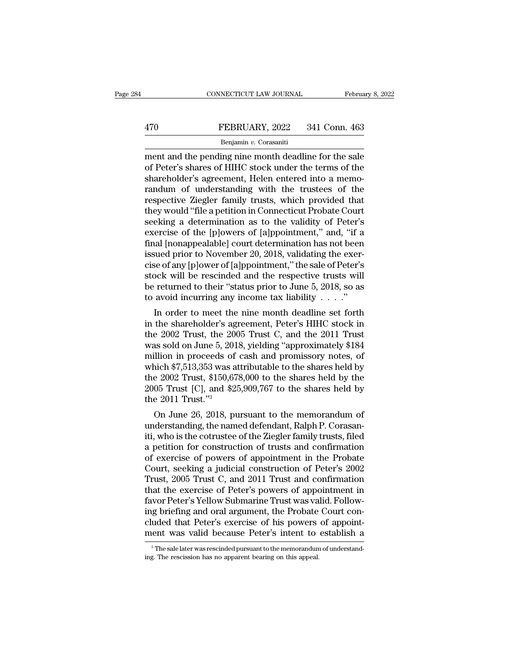# EXECUTE CONNECTICUT LAW JOURNAL February 8, 2022<br>470 FEBRUARY, 2022 341 Conn. 463<br>Benjamin v. Corasaniti

### Benjamin *v.* Corasaniti

CONNECTICUT LAW JOURNAL February 8, 2022<br>
FEBRUARY, 2022 341 Conn. 463<br>
Benjamin v. Corasaniti<br>
ment and the pending nine month deadline for the sale<br>
of Peter's shares of HIHC stock under the terms of the<br>
shareholdor's a FEBRUARY, 2022 341 Conn. 463<br>
Benjamin v. Corasaniti<br>
ment and the pending nine month deadline for the sale<br>
of Peter's shares of HIHC stock under the terms of the<br>
shareholder's agreement, Helen entered into a memo-<br>
rand FEBRUARY, 2022 341 Conn. 463<br>
Benjamin v. Corasaniti<br>
ment and the pending nine month deadline for the sale<br>
of Peter's shares of HIHC stock under the terms of the<br>
shareholder's agreement, Helen entered into a memo-<br>
ran FEBRUARY, 2022 341 Conn. 463<br> **EVARY, 2022** 341 Conn. 463<br> **EVARY, 2022** 341 Conn. 463<br> **EVARY**, 2022 341 Conn. 463<br> **EVARY**, 2022 341 Conn. 463<br> **EVARY**<br> **EVALUARY**<br> **EVALUARY**<br> **EVALUARY**<br> **EVALUARY**<br> **EVALUARY**<br> **EVALU** Benjamin v. Corasaniti<br>
Renjamin v. Corasaniti<br>
ment and the pending nine month deadline for the sale<br>
of Peter's shares of HIHC stock under the terms of the<br>
shareholder's agreement, Helen entered into a memo-<br>
randum of Benjamin v. Corasanti<br>
ment and the pending nine month deadline for the sale<br>
of Peter's shares of HIHC stock under the terms of the<br>
shareholder's agreement, Helen entered into a memo-<br>
randum of understanding with the tr ment and the pending nine month deadline for the sale<br>of Peter's shares of HIHC stock under the terms of the<br>shareholder's agreement, Helen entered into a memo-<br>randum of understanding with the trustees of the<br>respective Z of Peter's shares of HIHC stock under the terms of the<br>shareholder's agreement, Helen entered into a memo-<br>randum of understanding with the trustees of the<br>respective Ziegler family trusts, which provided that<br>they would " shareholder's agreement, Helen entered into a memo-<br>randum of understanding with the trustees of the<br>respective Ziegler family trusts, which provided that<br>they would "file a petition in Connecticut Probate Court<br>seeking a randum of understanding with the trustees of the<br>respective Ziegler family trusts, which provided that<br>they would "file a petition in Connecticut Probate Court<br>seeking a determination as to the validity of Peter's<br>exercise respective Ziegler family trusts, which provided that<br>they would "file a petition in Connecticut Probate Court<br>seeking a determination as to the validity of Peter's<br>exercise of the [p]owers of [a]ppointment," and, "if a<br>fi they would "file a petition in Connecticut Probate Court<br>seeking a determination as to the validity of Peter's<br>exercise of the [p]owers of [a]ppointment," and, "if a<br>final [nonappealable] court determination has not been<br>i seeking a determination as to the validity of Peter's<br>exercise of the [p]owers of [a]ppointment," and, "if a<br>final [nonappealable] court determination has not been<br>issued prior to November 20, 2018, validating the exer-<br>ci exercise of the [p]owers of [a]ppointment," and, "if a<br>final [nonappealable] court determination has not been<br>issued prior to November 20, 2018, validating the exer-<br>cise of any [p]ower of [a]ppointment," the sale of Pete an phonappearable court determination has not been<br>sued prior to November 20, 2018, validating the exer-<br>se of any [p]ower of [a]ppointment," the sale of Peter's<br>ock will be rescinded and the respective trusts will<br>return issued prior to November 20, 2018, vandating the exercise of any [p]ower of [a]ppointment," the sale of Peter's stock will be rescinded and the respective trusts will be returned to their "status prior to June 5, 2018, so

cise of any plower of [a]ppointment, the sate of reter's<br>stock will be rescinded and the respective trusts will<br>be returned to their "status prior to June 5, 2018, so as<br>to avoid incurring any income tax liability . . . . stock will be rescrited and the respective trusts will<br>be returned to their "status prior to June 5, 2018, so as<br>to avoid incurring any income tax liability . . . ."<br>In order to meet the nine month deadline set forth<br>in t be returned to their status prior to June 5, 2018, so as<br>to avoid incurring any income tax liability  $\ldots$ ."<br>In order to meet the nine month deadline set forth<br>in the shareholder's agreement, Peter's HIHC stock in<br>the 200 to avoid incurring any income tax nabiny  $\ldots$ <br>
In order to meet the nine month deadline set forth<br>
in the shareholder's agreement, Peter's HIHC stock in<br>
the 2002 Trust, the 2005 Trust C, and the 2011 Trust<br>
was sold on In order to meet the nine month deadline set forth<br>in the shareholder's agreement, Peter's HIHC stock in<br>the 2002 Trust, the 2005 Trust C, and the 2011 Trust<br>was sold on June 5, 2018, yielding "approximately \$184<br>million i in the shareholder's agreement, Peter's HIHC stock in<br>the 2002 Trust, the 2005 Trust C, and the 2011 Trust<br>was sold on June 5, 2018, yielding "approximately \$184<br>million in proceeds of cash and promissory notes, of<br>which \$ the 2002 Trust, the 200<br>was sold on June 5, 201<br>million in proceeds of<br>which \$7,513,353 was a<br>the 2002 Trust, \$150,67<br>2005 Trust [C], and \$2<br>the 2011 Trust."<sup>3</sup><br>On June 26, 2018, pu as sold on June 5, 2018, yielding approximately \$184<br>illion in proceeds of cash and promissory notes, of<br>idch \$7,513,353 was attributable to the shares held by<br>the 2002 Trust, \$150,678,000 to the shares held by<br>the 05 Trus minion in proceeds or cash and promissory notes, or<br>which \$7,513,353 was attributable to the shares held by<br>the 2002 Trust, \$150,678,000 to the shares held by<br>2005 Trust [C], and \$25,909,767 to the shares held by<br>the 2011

which  $\frac{1}{2}$ , 513,333 was attributable to the shares held by the 2002 Trust, \$150,678,000 to the shares held by the 2011 Trust."<sup>3</sup><br>2005 Trust [C], and \$25,909,767 to the shares held by the 2011 Trust."<sup>3</sup><br>On June 26, the 2002 Trust, \$150,078,000 to the shares held by the 2005 Trust [C], and \$25,909,767 to the shares held by the 2011 Trust."<sup>3</sup><br>
On June 26, 2018, pursuant to the memorandum of understanding, the named defendant, Ralph P 2005 Trust [C], and \$25,909,107 to the snares neid by<br>the 2011 Trust."<sup>3</sup><br>On June 26, 2018, pursuant to the memorandum of<br>understanding, the named defendant, Ralph P. Corasan-<br>iti, who is the cotrustee of the Ziegler fami Court Trust.<br>
On June 26, 2018, pursuant to the memorandum of<br>
understanding, the named defendant, Ralph P. Corasan-<br>
iti, who is the cotrustee of the Ziegler family trusts, filed<br>
a petition for construction of trusts and On June 26, 2018, pursuant to the memorandum of<br>understanding, the named defendant, Ralph P. Corasan-<br>iti, who is the cotrustee of the Ziegler family trusts, filed<br>a petition for construction of trusts and confirmation<br>of understanding, the named defendant, Ralph P. Corasan-<br>iti, who is the cotrustee of the Ziegler family trusts, filed<br>a petition for construction of trusts and confirmation<br>of exercise of powers of appointment in the Probate iti, who is the cotrustee of the Ziegler family trusts, filed<br>a petition for construction of trusts and confirmation<br>of exercise of powers of appointment in the Probate<br>Court, seeking a judicial construction of Peter's 200 a petition for construction of trusts and confirmation<br>of exercise of powers of appointment in the Probate<br>Court, seeking a judicial construction of Peter's 2002<br>Trust, 2005 Trust C, and 2011 Trust and confirmation<br>that th of exercise of powers of appointment in the Probate<br>Court, seeking a judicial construction of Peter's 2002<br>Trust, 2005 Trust C, and 2011 Trust and confirmation<br>that the exercise of Peter's powers of appointment in<br>favor Pe Court, seeking a judicial construction of Peter's 2002<br>Trust, 2005 Trust C, and 2011 Trust and confirmation<br>that the exercise of Peter's powers of appointment in<br>favor Peter's Yellow Submarine Trust was valid. Follow-<br>ing wor Peter's Yellow Submarine Trust was valid. Follow-<br>g briefing and oral argument, the Probate Court con-<br>uded that Peter's exercise of his powers of appoint-<br>ent was valid because Peter's intent to establish a<br><sup>3</sup>The sal ing briefing and oral argument, the Probate<br>cluded that Peter's exercise of his powers<br>ment was valid because Peter's intent to<br><sup>3</sup>The sale later was rescinded pursuant to the memorandum<br>ing. The rescission has no apparent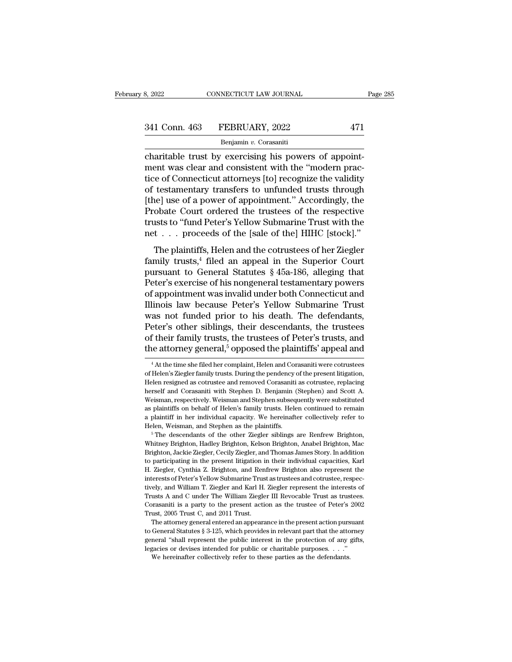| 8, 2022       | CONNECTICUT LAW JOURNAL | Page 285 |
|---------------|-------------------------|----------|
| 341 Conn. 463 | FEBRUARY, 2022          | 471      |
|               | Benjamin v. Corasaniti  |          |

connectricut LAW JOURNAL<br>
341 Conn. 463 FEBRUARY, 2022 471<br>
<sup>Benjamin v. Corasaniti<br>
charitable trust by exercising his powers of appoint-<br>
ment was clear and consistent with the "modern practice of Connecticut atterneus [</sup> 341 Conn. 463 FEBRUARY, 2022 471<br>
Benjamin v. Corasaniti<br>
charitable trust by exercising his powers of appoint-<br>
ment was clear and consistent with the "modern prac-<br>
tice of Connecticut attorneys [to] recognize the validi 341 Conn. 463 FEBRUARY, 2022 471<br>
Benjamin v. Corasaniti<br>
charitable trust by exercising his powers of appoint-<br>
ment was clear and consistent with the "modern prac-<br>
tice of Connecticut attorneys [to] recognize the valid 341 Conn. 463 FEBRUARY, 2022 471<br>  $\frac{\text{Benjamin } v. \text{ Corasaniti}}{\text{Charitable trust by exercising his powers of appoint-}}$ <br>
ment was clear and consistent with the "modern practice of Connecticut attorneys [to] recognize the validity<br>
of testamentary transfers to unfunded t Benjamin v. Corasaniti<br>
Charitable trust by exercising his powers of appoint-<br>
ment was clear and consistent with the "modern prac-<br>
tice of Connecticut attorneys [to] recognize the validity<br>
of testamentary transfers to u Benjamin v. Corasanut<br>
charitable trust by exercising his powers of appoint-<br>
ment was clear and consistent with the "modern prac-<br>
tice of Connecticut attorneys [to] recognize the validity<br>
of testamentary transfers to u charitable trust by exercising his powers of appoint-<br>ment was clear and consistent with the "modern prac-<br>tice of Connecticut attorneys [to] recognize the validity<br>of testamentary transfers to unfunded trusts through<br>[the ment was clear and consistent with the "modern practice of Connecticut attorneys [to] recognize the validity of testamentary transfers to unfunded trusts through [the] use of a power of appointment." Accordingly, the Proba testamentary transfers to unfunded trusts through<br>testamentary transfers to unfunded trusts through<br>nel use of a power of appointment." Accordingly, the<br>obate Court ordered the trustees of the respective<br>sts to "fund Pete Filtel use of a power of appointment." Accordingly, the<br>Probate Court ordered the trustees of the respective<br>trusts to "fund Peter's Yellow Submarine Trust with the<br>net . . . proceeds of the [sale of the] HIHC [stock]."<br>T

pure<sub>J</sub> assessed a power of appointment. These<br>antaging, are <br>Probate Court ordered the trustees of the respective<br>trusts to "fund Peter's Yellow Submarine Trust with the<br>net . . . proceeds of the [sale of the] HIHC [stoc Frostate coard ordered are arassets of and respective<br>trusts to "fund Peter's Yellow Submarine Trust with the<br>net . . . proceeds of the [sale of the] HIHC [stock]."<br>The plaintiffs, Helen and the cotrustees of her Ziegler<br> The plaintiffs, Helen and the cotrustees of her Ziegler<br>family trusts,<sup>4</sup> filed an appeal in the Superior Court<br>pursuant to General Statutes § 45a-186, alleging that<br>Peter's exercise of his nongeneral testamentary powers<br> The plaintiffs, Helen and the cotrustees of her Ziegler<br>family trusts,<sup>4</sup> filed an appeal in the Superior Court<br>pursuant to General Statutes § 45a-186, alleging that<br>Peter's exercise of his nongeneral testamentary powers<br> The plaintiffs, Helen and the cotrustees of her Ziegler<br>family trusts,<sup>4</sup> filed an appeal in the Superior Court<br>pursuant to General Statutes  $\S$  45a-186, alleging that<br>Peter's exercise of his nongeneral testamentary power family trusts,<sup>4</sup> filed an appeal in the Superior Court<br>pursuant to General Statutes § 45a-186, alleging that<br>Peter's exercise of his nongeneral testamentary powers<br>of appointment was invalid under both Connecticut and<br>Il pursuant to General Statutes § 45a-186, alleging that<br>Peter's exercise of his nongeneral testamentary powers<br>of appointment was invalid under both Connecticut and<br>Illinois law because Peter's Yellow Submarine Trust<br>was not Peter's exercise of his nongeneral testamentary powers<br>of appointment was invalid under both Connecticut and<br>Illinois law because Peter's Yellow Submarine Trust<br>was not funded prior to his death. The defendants,<br>Peter's ot as not funded prior to his death. The defendants,<br>eter's other siblings, their descendants, the trustees<br>f their family trusts, the trustees of Peter's trusts, and<br>e attorney general,<sup>5</sup> opposed the plaintiffs' appeal and<br> Peter's other siblings, their descendants, the trustees<br>of their family trusts, the trustees of Peter's trusts, and<br>the attorney general,<sup>5</sup> opposed the plaintiffs' appeal and<br><sup>4</sup> At the time she filed her complaint, Helen

of their family trusts, the trustees of Peter's trusts, and<br>the attorney general,<sup>5</sup> opposed the plaintiffs' appeal and<br><sup>4</sup> At the time she filed her complaint, Helen and Corasaniti were cotrustees<br>of Helen's Ziegler famil The attorney general,<sup>5</sup> opposed the plaintiffs' appeal and<br>
<sup>4</sup> At the time she filed her complaint, Helen and Corasaniti were cotrustees<br>
of Helen's Ziegler family trusts. During the pendency of the present litigation,<br> The attorney general, opposed the planning appearant<br>
<sup>4</sup> At the time she filed her complaint, Helen and Corasaniti were cotrustees<br>
of Helen's Ziegler family trusts. During the pendency of the present litigation,<br>
Helen r  $^4$ At the time she filed her complaint, Helen and Corasaniti were cotrustees of Helen's Ziegler family trusts. During the pendency of the present litigation, Helen resigned as cotrustee and removed Corasaniti as cotruste of Helen's Ziegler family trusts. During the pendency of the present litigation, Helen resigned as cotrustee and removed Corasaniti as cotrustee, replacing herself and Corasaniti with Stephen D. Benjamin (Stephen) and Scot Helen resigned as cotrustee and removed Corasaniti as cotrustee, replacing<br>herself and Corasaniti with Stephen D. Benjamin (Stephen) and Scott A.<br>Weisman, respectively. Weisman and Stephen subsequently were substituted<br>as Weisman, respectively. Weisman and Stephen subsequently were substituted<br>as plaintiffs on behalf of Helen's family trusts. Helen continued to remain<br>a plaintiff in her individual capacity. We hereinafter collectively refer

Are a plaintiffs on behalf of Helen's family trusts. Helen continued to remain a plaintiff in her individual capacity. We hereinafter collectively refer to Helen, Weisman, and Stephen as the plaintiffs.<br>
<sup>5</sup> The descendant a plaintiff in her individual capacity. We hereinafter collectively refer to Helen, Weisman, and Stephen as the plaintiffs.<br>
<sup>5</sup> The descendants of the other Ziegler siblings are Renfrew Brighton, Whitney Brighton, Hadley Felen, Weisman, and Stephen as the plaintiffs.<br>
<sup>5</sup> The descendants of the other Ziegler siblings are Renfrew Brighton, Whitney Brighton, Hadley Brighton, Kelson Brighton, Anabel Brighton, Mac<br>
Brighton, Jackie Ziegler, Ce <sup>16</sup> The descendants of the other Ziegler siblings are Renfrew Brighton, Whitney Brighton, Hadley Brighton, Kelson Brighton, Anabel Brighton, Mac<br>Brighton, Jackie Ziegler, Cecily Ziegler, and Thomas James Story. In additio Whitney Brighton, Hadley Brighton, Kelson Brighton, Anabel Brighton, Mac<br>Brighton, Jackie Ziegler, Cecily Ziegler, and Thomas James Story. In addition<br>to participating in the present litigation in their individual capaciti Brighton, Jackie Ziegler, Cecily Ziegler, and Thomas James Story. In addition<br>to participating in the present litigation in their individual capacities, Karl<br>H. Ziegler, Cynthia Z. Brighton, and Renfrew Brighton also repre to participating in the present litigation in their individual capacities, Karl H. Ziegler, Cynthia Z. Brighton, and Renfrew Brighton also represent the interests of Peter's Yellow Submarine Trust as trustees and cotrustee E. Ziegler, Cynthia Z. Brighton, and Ren<br>I. Ziegler, Cynthia Z. Brighton, and Ren<br>interests of Peter's Yellow Submarine Trus<br>tively, and William T. Ziegler and Karl H.<br>Trusts A and C under The William Ziegle<br>Corasaniti is interests of Peter's Yellow Submarine Trust as trustees and cotrustee, respectively, and William T. Ziegler and Karl H. Ziegler represent the interests of Trusts A and C under The William Ziegler III Revocable Trust as tru tively, and William T. Ziegler and Karl H. Ziegler represent the interests of Trusts A and C under The William Ziegler III Revocable Trust as trustees.<br>Corasaniti is a party to the present action as the trustee of Peter's Corasaniti is a party to the present action as the trustee of Peter's 2002

Trusts A and C under The William Ziegler III Revocable Trust as trustees.<br>Corasaniti is a party to the present action as the trustee of Peter's 2002<br>Trust, 2005 Trust C, and 2011 Trust.<br>The attorney general entered an app The attorney general entered an appearance in the present action pursuant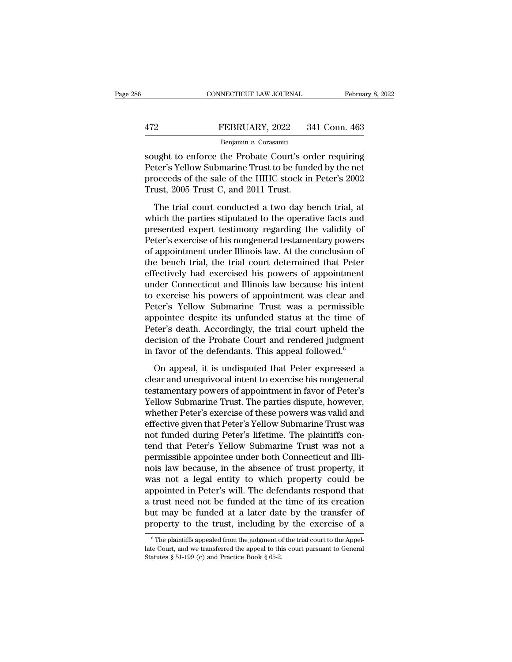|     | CONNECTICUT LAW JOURNAL | February 8, 2022 |
|-----|-------------------------|------------------|
|     |                         |                  |
| 472 | FEBRUARY, 2022          | 341 Conn. 463    |
|     | Benjamin v. Corasaniti  |                  |

CONNECTICUT LAW JOURNAL February 8, 2022<br>
FEBRUARY, 2022 341 Conn. 463<br>
Benjamin v. Corasaniti<br>
Sought to enforce the Probate Court's order requiring<br>
Peter's Yellow Submarine Trust to be funded by the net FEBRUARY, 2022 341 Conn. 463<br>
Benjamin v. Corasaniti<br>
Sought to enforce the Probate Court's order requiring<br>
Peter's Yellow Submarine Trust to be funded by the net<br>
proceeds of the sale of the HIHC stock in Peter's 2002<br>
T FEBRUARY, 2022 341 Conn. 463<br>
Benjamin v. Corasaniti<br>
Sought to enforce the Probate Court's order requiring<br>
Peter's Yellow Submarine Trust to be funded by the net<br>
proceeds of the sale of the HIHC stock in Peter's 2002<br> FEBRUARY, 2022 3<br>
Benjamin v. Corasaniti<br>
sought to enforce the Probate Court's or<br>
Peter's Yellow Submarine Trust to be fund<br>
proceeds of the sale of the HIHC stock in<br>
Trust, 2005 Trust C, and 2011 Trust.<br>
The trial cour Benjamin v. Corasaniti<br>
ught to enforce the Probate Court's order requiring<br>
ter's Yellow Submarine Trust to be funded by the net<br>
oceeds of the sale of the HIHC stock in Peter's 2002<br>
ust, 2005 Trust C, and 2011 Trust.<br> sought to enforce the Probate Court's order requiring<br>Peter's Yellow Submarine Trust to be funded by the net<br>proceeds of the sale of the HIHC stock in Peter's 2002<br>Trust, 2005 Trust C, and 2011 Trust.<br>The trial court condu

presented experiments and the funded by the net<br>proceeds of the sale of the HIHC stock in Peter's 2002<br>Trust, 2005 Trust C, and 2011 Trust.<br>The trial court conducted a two day bench trial, at<br>which the parties stipulated t Proceeds of the sale of the HIHC stock in Peter's 2002<br>Trust, 2005 Trust C, and 2011 Trust.<br>The trial court conducted a two day bench trial, at<br>which the parties stipulated to the operative facts and<br>presented expert testi Trust, 2005 Trust C, and 2011 Trust.<br>Trust, 2005 Trust C, and 2011 Trust.<br>The trial court conducted a two day bench trial, at<br>which the parties stipulated to the operative facts and<br>presented expert testimony regarding the The trial court conducted a two day bench trial, at<br>which the parties stipulated to the operative facts and<br>presented expert testimony regarding the validity of<br>Peter's exercise of his nongeneral testamentary powers<br>of app The trial court conducted a two day bench trial, at<br>which the parties stipulated to the operative facts and<br>presented expert testimony regarding the validity of<br>Peter's exercise of his nongeneral testamentary powers<br>of app which the parties stipulated to the operative facts and<br>presented expert testimony regarding the validity of<br>Peter's exercise of his nongeneral testamentary powers<br>of appointment under Illinois law. At the conclusion of<br>th presented expert testimony regarding the validity of<br>Peter's exercise of his nongeneral testamentary powers<br>of appointment under Illinois law. At the conclusion of<br>the bench trial, the trial court determined that Peter<br>eff Peter's exercise of his nongeneral testamentary powers<br>of appointment under Illinois law. At the conclusion of<br>the bench trial, the trial court determined that Peter<br>effectively had exercised his powers of appointment<br>unde of appointment under Illinois law. At the conclusion of<br>the bench trial, the trial court determined that Peter<br>effectively had exercised his powers of appointment<br>under Connecticut and Illinois law because his intent<br>to ex the bench trial, the trial court determined that Peter<br>effectively had exercised his powers of appointment<br>under Connecticut and Illinois law because his intent<br>to exercise his powers of appointment was clear and<br>Peter's Y effectively had exercised his powers of appointment<br>under Connecticut and Illinois law because his intent<br>to exercise his powers of appointment was clear and<br>Peter's Yellow Submarine Trust was a permissible<br>appointee despi under Connecticut and Illinois law because his intent<br>to exercise his powers of appointment was clear and<br>Peter's Yellow Submarine Trust was a permissible<br>appointee despite its unfunded status at the time of<br>Peter's death. ter's Yellow Submarine Trust was a permissible<br>pointee despite its unfunded status at the time of<br>ter's death. Accordingly, the trial court upheld the<br>cision of the Probate Court and rendered judgment<br>favor of the defendan appointee despite its unfunded status at the time of<br>Peter's death. Accordingly, the trial court upheld the<br>decision of the Probate Court and rendered judgment<br>in favor of the defendants. This appeal followed.<sup>6</sup><br>On appea

Peter's death. Accordingly, the trial court upheld the<br>decision of the Probate Court and rendered judgment<br>in favor of the defendants. This appeal followed.<sup>6</sup><br>On appeal, it is undisputed that Peter expressed a<br>clear and u decision of the Probate Court and rendered judgment<br>in favor of the defendants. This appeal followed.<sup>6</sup><br>On appeal, it is undisputed that Peter expressed a<br>clear and unequivocal intent to exercise his nongeneral<br>testamenta in favor of the defendants. This appeal followed.<sup>6</sup><br>On appeal, it is undisputed that Peter expressed a<br>clear and unequivocal intent to exercise his nongeneral<br>testamentary powers of appointment in favor of Peter's<br>Yellow On appeal, it is undisputed that Peter expressed a<br>clear and unequivocal intent to exercise his nongeneral<br>testamentary powers of appointment in favor of Peter's<br>Yellow Submarine Trust. The parties dispute, however,<br>whethe On appeal, it is undisputed that Peter expressed a<br>clear and unequivocal intent to exercise his nongeneral<br>testamentary powers of appointment in favor of Peter's<br>Yellow Submarine Trust. The parties dispute, however,<br>whethe clear and unequivocal intent to exercise his nongeneral<br>testamentary powers of appointment in favor of Peter's<br>Yellow Submarine Trust. The parties dispute, however,<br>whether Peter's exercise of these powers was valid and<br>ef testamentary powers of appointment in favor of Peter's<br>Yellow Submarine Trust. The parties dispute, however,<br>whether Peter's exercise of these powers was valid and<br>effective given that Peter's Yellow Submarine Trust was<br>no Yellow Submarine Trust. The parties dispute, however,<br>whether Peter's exercise of these powers was valid and<br>effective given that Peter's Yellow Submarine Trust was<br>not funded during Peter's lifetime. The plaintiffs con-<br>t whether Peter's exercise of these powers was valid and<br>effective given that Peter's Yellow Submarine Trust was<br>not funded during Peter's lifetime. The plaintiffs con-<br>tend that Peter's Yellow Submarine Trust was not a<br>perm effective given that Peter's Yellow Submarine Trust was<br>not funded during Peter's lifetime. The plaintiffs con-<br>tend that Peter's Yellow Submarine Trust was not a<br>permissible appointee under both Connecticut and Illi-<br>nois not funded during Peter's lifetime. The plaintiffs contend that Peter's Yellow Submarine Trust was not a permissible appointee under both Connecticut and Illinois law because, in the absence of trust property, it was not a tend that Peter's Yellow Submarine Trust was not a<br>permissible appointee under both Connecticut and Illi-<br>nois law because, in the absence of trust property, it<br>was not a legal entity to which property could be<br>appointed i permissible appointee under both Connecticut and Illinois law because, in the absence of trust property, it was not a legal entity to which property could be appointed in Peter's will. The defendants respond that a trust n beyonted in Peter's will. The defendants respond that<br>trust need not be funded at the time of its creation<br>ut may be funded at a later date by the transfer of<br>roperty to the trust, including by the exercise of a<br><sup>6</sup>The pla a trust need not be funded at the time of its creation<br>but may be funded at a later date by the transfer of<br>property to the trust, including by the exercise of a<br> $\frac{1}{\pi}$ <br>free plaintiffs appealed from the judgment of th

but may be funded at a later dat<br>property to the trust, including b<br><sup>®</sup>The plaintiffs appealed from the judgment of<br>late Court, and we transferred the appeal to thi<br>Statutes § 51-199 (c) and Practice Book § 65-2.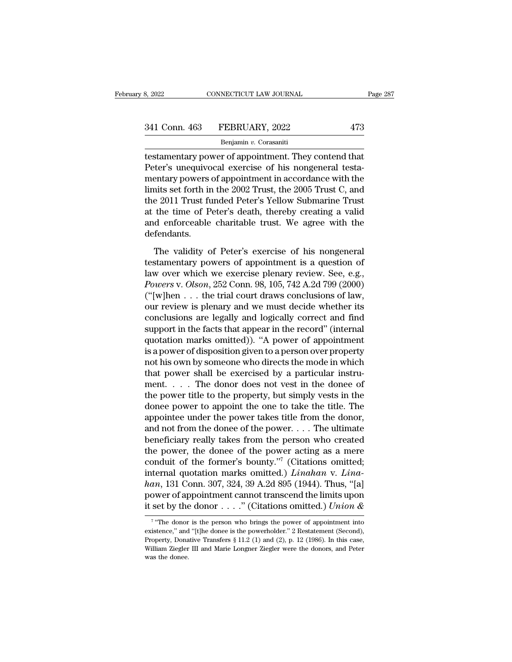| 8, 2022       | CONNECTICUT LAW JOURNAL | Page 287 |
|---------------|-------------------------|----------|
| 341 Conn. 463 | FEBRUARY, 2022          | 473      |
|               | Benjamin v. Corasaniti  |          |

testamentary power of appointment. They contend that 341 Conn. 463 FEBRUARY, 2022 473<br>
Benjamin v. Corasaniti<br>
testamentary power of appointment. They contend that<br>
Peter's unequivocal exercise of his nongeneral testa-<br>
mentary powers of appointment in accordance with the<br>
l 341 Conn. 463 FEBRUARY, 2022 473<br>
Benjamin v. Corasaniti<br>
testamentary power of appointment. They contend that<br>
Peter's unequivocal exercise of his nongeneral testa-<br>
mentary powers of appointment in accordance with the<br> 341 Conn. 463 FEBRUARY, 2022 473<br>  $\frac{1}{\text{Benjamin } v. \text{ Corasaniti}}$ <br>
testamentary power of appointment. They contend that<br>
Peter's unequivocal exercise of his nongeneral testa-<br>
mentary powers of appointment in accordance with the<br> Benjamin v. Corasaniti<br>
testamentary power of appointment. They contend that<br>
Peter's unequivocal exercise of his nongeneral testa-<br>
mentary powers of appointment in accordance with the<br>
limits set forth in the 2002 Trust benjamin  $\overline{v}$ . Corasanu<br>testamentary power of appointment. They contend that<br>Peter's unequivocal exercise of his nongeneral testa-<br>mentary powers of appointment in accordance with the<br>limits set forth in the 2002 Trus testamentary power of appointment. They contend that<br>Peter's unequivocal exercise of his nongeneral testa-<br>mentary powers of appointment in accordance with the<br>limits set forth in the 2002 Trust, the 2005 Trust C, and<br>the defendants. The validity of Peter's exercise of his nongeneral<br>The validity of Peter's Tellow Submarine Trust<br>the time of Peter's death, thereby creating a valid<br>d enforceable charitable trust. We agree with the<br>fendants.<br>The validity the 2011 Trust funded Peter's Yellow Submarine Trust<br>at the time of Peter's death, thereby creating a valid<br>and enforceable charitable trust. We agree with the<br>defendants.<br>The validity of Peter's exercise of his nongenera

at the time of Peter's death, thereby creating a valid<br>and enforceable charitable trust. We agree with the<br>defendants.<br>The validity of Peter's exercise of his nongeneral<br>testamentary powers of appointment is a question of<br> and enforceable charitable trust. We agree with the<br>defendants.<br>The validity of Peter's exercise of his nongeneral<br>testamentary powers of appointment is a question of<br>law over which we exercise plenary review. See, e.g.,<br> defendants.<br>
The validity of Peter's exercise of his nongeneral<br>
testamentary powers of appointment is a question of<br>
law over which we exercise plenary review. See, e.g.,<br> *Powers v. Olson*, 252 Conn. 98, 105, 742 A.2d 7 The validity of Peter's exercise of his nongeneral<br>testamentary powers of appointment is a question of<br>law over which we exercise plenary review. See, e.g.,<br>*Powers* v. *Olson*, 252 Conn. 98, 105, 742 A.2d 799 (2000)<br>("[w] The validity of Peter's exercise of his nongeneral<br>testamentary powers of appointment is a question of<br>law over which we exercise plenary review. See, e.g.,<br>*Powers* v. *Olson*, 252 Conn. 98, 105, 742 A.2d 799 (2000)<br>("[w testamentary powers of appointment is a question of<br>law over which we exercise plenary review. See, e.g.,<br>*Powers v. Olson*, 252 Conn. 98, 105, 742 A.2d 799 (2000)<br>("[w]hen . . . the trial court draws conclusions of law,<br>o law over which we exercise plenary review. See, e.g.,<br> *Powers* v. *Olson*, 252 Conn. 98, 105, 742 A.2d 799 (2000)<br>
("[w]hen . . . the trial court draws conclusions of law,<br>
our review is plenary and we must decide whether Powers v. Olson, 252 Conn. 98, 105, 742 A.2d 799 (2000)<br>("[w]hen . . . the trial court draws conclusions of law,<br>our review is plenary and we must decide whether its<br>conclusions are legally and logically correct and find<br>s ("[w]hen  $\dots$  the trial court draws conclusions of law,<br>our review is plenary and we must decide whether its<br>conclusions are legally and logically correct and find<br>support in the facts that appear in the record" (internal our review is plenary and we must decide whether its<br>conclusions are legally and logically correct and find<br>support in the facts that appear in the record" (internal<br>quotation marks omitted)). "A power of appointment<br>is a conclusions are legally and logically correct and find<br>support in the facts that appear in the record" (internal<br>quotation marks omitted)). "A power of appointment<br>is a power of disposition given to a person over property support in the facts that appear in the record" (internal<br>quotation marks omitted)). "A power of appointment<br>is a power of disposition given to a person over property<br>not his own by someone who directs the mode in which<br>th quotation marks omitted)). "A power of appointment<br>is a power of disposition given to a person over property<br>not his own by someone who directs the mode in which<br>that power shall be exercised by a particular instru-<br>ment. is a power of disposition given to a person over property<br>not his own by someone who directs the mode in which<br>that power shall be exercised by a particular instru-<br>ment. . . . The donor does not vest in the donee of<br>the not his own by someone who directs the mode in which<br>that power shall be exercised by a particular instru-<br>ment. . . . The donor does not vest in the donee of<br>the power title to the property, but simply vests in the<br>donee that power shall be exercised by a particular instrument. . . . The donor does not vest in the donee of the power title to the property, but simply vests in the donee power to appoint the one to take the title. The appoin ment. . . . The donor does not vest in the donee of<br>the power title to the property, but simply vests in the<br>donee power to appoint the one to take the title. The<br>appointee under the power takes title from the donor,<br>and the power title to the property, but simply vests in the donee power to appoint the one to take the title. The appointee under the power takes title from the donor, and not from the donee of the power.... The ultimate ben donee power to appoint the one to take the title. The<br>appointee under the power takes title from the donor,<br>and not from the donee of the power. . . . The ultimate<br>beneficiary really takes from the person who created<br>the p appointee under the power takes title from the donor,<br>and not from the donee of the power. . . . The ultimate<br>beneficiary really takes from the person who created<br>the power, the donee of the power acting as a mere<br>conduit and not from the donee of the power. . . . The ultimate<br>beneficiary really takes from the person who created<br>the power, the donee of the power acting as a mere<br>conduit of the former's bounty."<sup>7</sup> (Citations omitted;<br>inter beneficiary really takes from the person who created<br>the power, the donee of the power acting as a mere<br>conduit of the former's bounty."<sup>7</sup> (Citations omitted;<br>internal quotation marks omitted.) *Linahan* v. *Lina-*<br>han, 1 The donor is the person who brings the power of appointment cannot transcend the limits upon<br>
set by the donor  $\dots$ ." (Citations omitted.) Union &<br>
"The donor is the person who brings the power of appointment into<br>
stence han, 131 Conn. 307, 324, 39 A.2d 895 (1944). Thus, "[a]<br>power of appointment cannot transcend the limits upon<br>it set by the donor . . . ." (Citations omitted.) *Union &*<br> $\frac{1}{2}$ <br> $\frac{1}{2}$  "The donor is the person who br

 $7\omega_{\text{Tho}}$ power of appointment cannot transcend the limits upon<br>it set by the donor . . . . " (Citations omitted.) *Union &*<br> $\frac{1}{\sqrt{2}}$ <br> $\frac{1}{\sqrt{2}}$  "The donor is the person who brings the power of appointment into<br>existence," an it set by the donor . . . . " (Citations omitted.) *Union &*<br>
<sup>7</sup> "The donor is the person who brings the power of appointment into existence," and "[t]he donee is the powerholder." 2 Restatement (Second), Property, Donat It set by the<br>
Turner of the donor<br>
existence," and<br>
Property, Dona<br>
William Ziegler<br>
was the donee.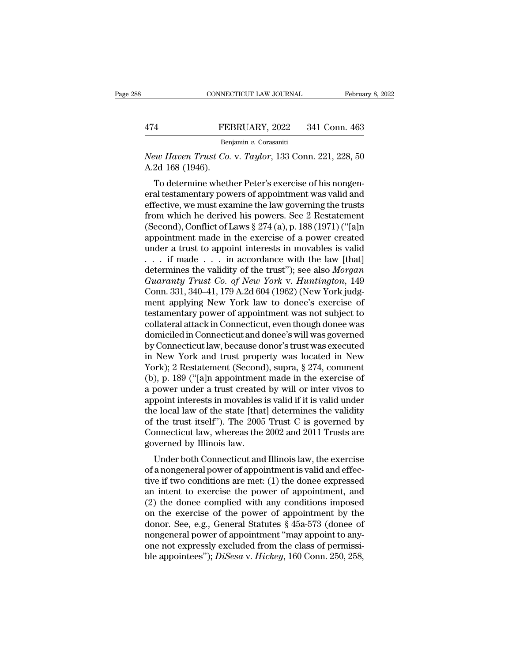|                  | CONNECTICUT LAW JOURNAL                               | February 8, 2022 |
|------------------|-------------------------------------------------------|------------------|
| 474              | FEBRUARY, 2022                                        | 341 Conn. 463    |
|                  | Benjamin v. Corasaniti                                |                  |
| A.2d 168 (1946). | New Haven Trust Co. v. Taylor, 133 Conn. 221, 228, 50 |                  |
|                  | To determine whether Peter's exercise of his nongen-  |                  |

FEBRUARY, 2022 341 Conn. 463<br>
Benjamin v. Corasaniti<br>
ew Haven Trust Co. v. Taylor, 133 Conn. 221, 228, 50<br>
2d 168 (1946).<br>
To determine whether Peter's exercise of his nongen-<br>
al testamentary powers of appointment was va FEBRUARY, 2022 341 Conn. 463<br> **Example 18 And Tending Wave Allen Trust Co. v.** Taylor, 133 Conn. 221, 228, 50<br>
A.2d 168 (1946).<br>
To determine whether Peter's exercise of his nongeneral testamentary powers of appointment w Benjamin v. Corasaniti<br>
New Haven Trust Co. v. Taylor, 133 Conn. 221, 228, 50<br>
A.2d 168 (1946).<br>
To determine whether Peter's exercise of his nongen-<br>
eral testamentary powers of appointment was valid and<br>
effective, we m New Haven Trust Co. v. Taylor, 133 Conn. 221, 228, 50<br>A.2d 168 (1946).<br>To determine whether Peter's exercise of his nongen-<br>eral testamentary powers of appointment was valid and<br>effective, we must examine the law governing (Second), Conflict of Laws § 274 (a), p. 188 (1971) ("[a]n appointment made in the exercise of his nongeneral testamentary powers of appointment was valid and effective, we must examine the law governing the trusts from wh A.2d 100 (1940).<br>
To determine whether Peter's exercise of his nongeneral testamentary powers of appointment was valid and<br>
effective, we must examine the law governing the trusts<br>
from which he derived his powers. See 2 To determine whether Peter's exercise of his nongeneral testamentary powers of appointment was valid and effective, we must examine the law governing the trusts from which he derived his powers. See 2 Restatement (Second) eral testamentary powers of appointment was valid and<br>effective, we must examine the law governing the trusts<br>from which he derived his powers. See 2 Restatement<br>(Second), Conflict of Laws § 274 (a), p. 188 (1971) ("[a]n<br> effective, we must examine the law governing the trusts<br>from which he derived his powers. See 2 Restatement<br>(Second), Conflict of Laws  $\S 274$  (a), p. 188 (1971) ("[a]n<br>appointment made in the exercise of a power created<br> *from which he derived his powers. See 2 Restatement*<br>(Second), Conflict of Laws § 274 (a), p. 188 (1971) ("[a]n<br>appointment made in the exercise of a power created<br>under a trust to appoint interests in movables is valid<br>(Second), Conflict of Laws § 274 (a), p. 188 (1971) ("[a]n<br>appointment made in the exercise of a power created<br>under a trust to appoint interests in movables is valid<br>. . . if made . . . in accordance with the law [that]<br> appointment made in the exercise of a power created<br>under a trust to appoint interests in movables is valid<br>... if made ... in accordance with the law [that]<br>determines the validity of the trust''); see also *Morgan<br>Guara* under a trust to appoint interests in movables is valid<br>  $\ldots$  if made  $\ldots$  in accordance with the law [that]<br>
determines the validity of the trust"); see also *Morgan*<br>
Guaranty Trust Co. of New York v. Huntington, 149<br> . . . if made . . . in accordance with the law [that]<br>determines the validity of the trust"); see also *Morgan*<br>Guaranty Trust Co. of New York v. Huntington, 149<br>Conn. 331, 340–41, 179 A.2d 604 (1962) (New York judg-<br>ment determines the validity of the trust"); see also *Morgan*<br>Guaranty Trust Co. of New York v. Huntington, 149<br>Conn. 331, 340–41, 179 A.2d 604 (1962) (New York judg-<br>ment applying New York law to donee's exercise of<br>testament Guaranty Trust Co. of New York v. Huntington, 149<br>Conn. 331, 340–41, 179 A.2d 604 (1962) (New York judg-<br>ment applying New York law to donee's exercise of<br>testamentary power of appointment was not subject to<br>collateral att Conn. 331, 340–41, 179 A.2d 604 (1962) (New York judg-<br>ment applying New York law to donee's exercise of<br>testamentary power of appointment was not subject to<br>collateral attack in Connecticut, even though donee was<br>domicile ment applying New York law to donee's exercise of<br>testamentary power of appointment was not subject to<br>collateral attack in Connecticut, even though donee was<br>domiciled in Connecticut and donee's will was governed<br>by Conne testamentary power of appointment was not subject to<br>collateral attack in Connecticut, even though donee was<br>domiciled in Connecticut and donee's will was governed<br>by Connecticut law, because donor's trust was executed<br>in collateral attack in Connecticut, even though donee was<br>domiciled in Connecticut and donee's will was governed<br>by Connecticut law, because donor's trust was executed<br>in New York and trust property was located in New<br>York); domiciled in Connecticut and donee's will was governed<br>by Connecticut law, because donor's trust was executed<br>in New York and trust property was located in New<br>York); 2 Restatement (Second), supra, § 274, comment<br>(b), p. 1 by Connecticut law, because donor's trust was executed<br>in New York and trust property was located in New<br>York); 2 Restatement (Second), supra, § 274, comment<br>(b), p. 189 ("[a]n appointment made in the exercise of<br>a power u in New York and trust property was located in New<br>York); 2 Restatement (Second), supra, § 274, comment<br>(b), p. 189 ("[a]n appointment made in the exercise of<br>a power under a trust created by will or inter vivos to<br>appoint York); 2 Restatement (Second), supra, § 274, comment (b), p. 189 ("[a]n appointment made in the exercise of a power under a trust created by will or inter vivos to appoint interests in movables is valid if it is valid und (b), p. 189 ("[a]n appointment<br>a power under a trust created<br>appoint interests in movables i<br>the local law of the state [that<br>of the trust itself"). The 2005<br>Connecticut law, whereas the<br>governed by Illinois law.<br>Under bot bower under a trust created by win or inter vivos to<br>point interests in movables is valid if it is valid under<br>e local law of the state [that] determines the validity<br>the trust itself"). The 2005 Trust C is governed by<br>pon appoint interests in inovables is valid if it is valid under<br>the local law of the state [that] determines the validity<br>of the trust itself"). The 2005 Trust C is governed by<br>Connecticut law, whereas the 2002 and 2011 Trust

the focal law of the state [that] determines the vandity<br>of the trust itself"). The 2005 Trust C is governed by<br>Connecticut law, whereas the 2002 and 2011 Trusts are<br>governed by Illinois law.<br>Under both Connecticut and Ill of the trust itsen ). The 2005 Trust C is governed by<br>Connecticut law, whereas the 2002 and 2011 Trusts are<br>governed by Illinois law.<br>Under both Connecticut and Illinois law, the exercise<br>of a nongeneral power of appointme Under both Connecticut and Illinois law, the exercise<br>governed by Illinois law.<br>Under both Connecticut and Illinois law, the exercise<br>of a nongeneral power of appointment is valid and effec-<br>tive if two conditions are met Under both Connecticut and Illinois law, the exercise<br>of a nongeneral power of appointment is valid and effec-<br>tive if two conditions are met: (1) the donee expressed<br>an intent to exercise the power of appointment, and<br>(2 Under both Connecticut and Illinois law, the exercise<br>of a nongeneral power of appointment is valid and effec-<br>tive if two conditions are met: (1) the donee expressed<br>an intent to exercise the power of appointment, and<br>(2 of a nongeneral power of appointment is valid and effective if two conditions are met: (1) the donee expressed<br>an intent to exercise the power of appointment, and<br>(2) the donee complied with any conditions imposed<br>on the tive if two conditions are met: (1) the donee expressed<br>an intent to exercise the power of appointment, and<br>(2) the donee complied with any conditions imposed<br>on the exercise of the power of appointment by the<br>donor. See, an intent to exercise the power of appointment, and<br>(2) the donee complied with any conditions imposed<br>on the exercise of the power of appointment by the<br>donor. See, e.g., General Statutes § 45a-573 (donee of<br>nongeneral po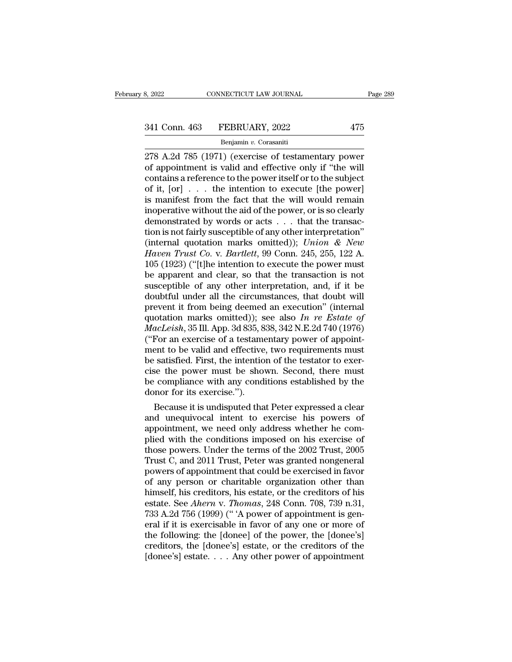# 341 Conn. 463 FEBRUARY, 2022 475<br>
Benjamin v. Corasaniti

### Benjamin *v.* Corasaniti

278 A.2d 785 (1971) (exercise of testamentary power contains a reference to the new ritself or to the subject 341 Conn. 463 FEBRUARY, 2022 475<br>
Benjamin v. Corasaniti<br>
278 A.2d 785 (1971) (exercise of testamentary power<br>
of appointment is valid and effective only if "the will<br>
contains a reference to the power itself or to the sub 341 Conn. 463 FEBRUARY, 2022 475<br>
Benjamin v. Corasaniti<br>
278 A.2d 785 (1971) (exercise of testamentary power<br>
of appointment is valid and effective only if "the will<br>
contains a reference to the power itself or to the su 341 Conn. 463 FEBRUARY, 2022 475<br>
Benjamin v. Corasaniti<br>
278 A.2d 785 (1971) (exercise of testamentary power<br>
of appointment is valid and effective only if "the will<br>
contains a reference to the power itself or to the su Benjamin v. Corasaniti<br>
278 A.2d 785 (1971) (exercise of testamentary power<br>
of appointment is valid and effective only if "the will<br>
contains a reference to the power itself or to the subject<br>
of it, [or] . . . the inten Benjamin v. Corasaniti<br>
278 A.2d 785 (1971) (exercise of testamentary power<br>
of appointment is valid and effective only if "the will<br>
contains a reference to the power itself or to the subject<br>
of it, [or] . . . the inten 278 A.2d 785 (1971) (exercise of testamentary power<br>of appointment is valid and effective only if "the will<br>contains a reference to the power itself or to the subject<br>of it, [or] . . . the intention to execute [the power] of appointment is valid and effective only if "the will<br>contains a reference to the power itself or to the subject<br>of it, [or] . . . the intention to execute [the power]<br>is manifest from the fact that the will would remai contains a reference to the power itself or to the subject<br>of it,  $[or] \ldots$  the intention to execute  $[the power]$ <br>is manifest from the fact that the will would remain<br>inoperative without the aid of the power, or is so clearly<br>de of it, [or] . . . the intention to execute [the power]<br>is manifest from the fact that the will would remain<br>inoperative without the aid of the power, or is so clearly<br>demonstrated by words or acts . . . that the transac-<br>t is manifest from the fact that the will would remain<br>inoperative without the aid of the power, or is so clearly<br>demonstrated by words or acts . . . that the transac-<br>tion is not fairly susceptible of any other interpretat inoperative without the aid of the power, or is so clearly<br>demonstrated by words or acts . . . that the transaction is not fairly susceptible of any other interpretation"<br>(internal quotation marks omitted)); *Union & New* demonstrated by words or acts . . . that the transaction is not fairly susceptible of any other interpretation"<br>(internal quotation marks omitted)); *Union & New Haven Trust Co.* v. *Bartlett*, 99 Conn. 245, 255, 122 A.<br>1 tion is not fairly susceptible of any other interpretation"<br>(internal quotation marks omitted)); *Union & New*<br>*Haven Trust Co. v. Bartlett*, 99 Conn. 245, 255, 122 A.<br>105 (1923) ("[t]he intention to execute the power mus (internal quotation marks omitted)); *Union & New*<br>*Haven Trust Co.* v. *Bartlett*, 99 Conn. 245, 255, 122 A.<br>105 (1923) ("[t]he intention to execute the power must<br>be apparent and clear, so that the transaction is not<br>su Haven Trust Co. v. Bartlett, 99 Conn. 245, 255, 122 A.<br>105 (1923) ("[t]he intention to execute the power must<br>be apparent and clear, so that the transaction is not<br>susceptible of any other interpretation, and, if it be<br>dou 105 (1923) ("[t]he intention to execute the power must<br>be apparent and clear, so that the transaction is not<br>susceptible of any other interpretation, and, if it be<br>doubtful under all the circumstances, that doubt will<br>prev be apparent and clear, so that the transaction is not susceptible of any other interpretation, and, if it be doubtful under all the circumstances, that doubt will prevent it from being deemed an execution" (internal quota susceptible of any other interpretation, and, if it be<br>doubtful under all the circumstances, that doubt will<br>prevent it from being deemed an execution" (internal<br>quotation marks omitted)); see also  $In$  re Estate of<br> $MacLeish$ , doubtful under all the circumstances, that doubt will<br>prevent it from being deemed an execution" (internal<br>quotation marks omitted)); see also *In re Estate of*<br>*MacLeish*, 35 Ill. App. 3d 835, 838, 342 N.E.2d 740 (1976)<br>( prevent it from being deemed an execution" (internal<br>quotation marks omitted)); see also In re Estate of<br>MacLeish, 35 Ill. App. 3d 835, 838, 342 N.E.2d 740 (1976)<br>("For an exercise of a testamentary power of appoint-<br>ment quotation marks omitted)); see also *In re Estate of MacLeish*, 35 Ill. App. 3d 835, 838, 342 N.E.2d 740 (1976) ("For an exercise of a testamentary power of appointment to be valid and effective, two requirements must b MacLeish, 35 Ill. App. 3d 835, 8<br>("For an exercise of a testame<br>ment to be valid and effective<br>be satisfied. First, the intentio<br>cise the power must be show<br>be compliance with any cond<br>donor for its exercise.").<br>Because it For an exercise of a testamentary power of appointment to be valid and effective, two requirements must<br>satisfied. First, the intention of the testator to exer-<br>se the power must be shown. Second, there must<br>compliance wit ment to be valid and effective, two requirements must<br>be satisfied. First, the intention of the testator to exer-<br>cise the power must be shown. Second, there must<br>be compliance with any conditions established by the<br>donor

be satisfied. First, the intention of the testator to exercise the power must be shown. Second, there must be compliance with any conditions established by the donor for its exercise.").<br>Because it is undisputed that Peter cise the power must be shown. Second, there must<br>be compliance with any conditions established by the<br>donor for its exercise.").<br>Because it is undisputed that Peter expressed a clear<br>and unequivocal intent to exercise his be compliance with any conditions established by the<br>donor for its exercise.").<br>Because it is undisputed that Peter expressed a clear<br>and unequivocal intent to exercise his powers of<br>appointment, we need only address wheth donor for its exercise.").<br>Because it is undisputed that Peter expressed a clear<br>and unequivocal intent to exercise his powers of<br>appointment, we need only address whether he com-<br>plied with the conditions imposed on his e Because it is undisputed that Peter expressed a clear<br>and unequivocal intent to exercise his powers of<br>appointment, we need only address whether he com-<br>plied with the conditions imposed on his exercise of<br>those powers. Un and unequivocal intent to exercise his powers of<br>appointment, we need only address whether he com-<br>plied with the conditions imposed on his exercise of<br>those powers. Under the terms of the 2002 Trust, 2005<br>Trust C, and 201 appointment, we need only address whether he com-<br>plied with the conditions imposed on his exercise of<br>those powers. Under the terms of the 2002 Trust, 2005<br>Trust C, and 2011 Trust, Peter was granted nongeneral<br>powers of a plied with the conditions imposed on his exercise of those powers. Under the terms of the 2002 Trust, 2005 Trust C, and 2011 Trust, Peter was granted nongeneral powers of appointment that could be exercised in favor of any those powers. Under the terms of the 2002 Trust, 2005<br>Trust C, and 2011 Trust, Peter was granted nongeneral<br>powers of appointment that could be exercised in favor<br>of any person or charitable organization other than<br>himself Trust C, and 2011 Trust, Peter was granted nongeneral<br>powers of appointment that could be exercised in favor<br>of any person or charitable organization other than<br>himself, his creditors, his estate, or the creditors of his<br>e powers of appointment that could be exercised in favor<br>of any person or charitable organization other than<br>himself, his creditors, his estate, or the creditors of his<br>estate. See *Ahern* v. *Thomas*, 248 Conn. 708, 739 n.3 of any person or charitable organization other than<br>himself, his creditors, his estate, or the creditors of his<br>estate. See *Ahern* v. *Thomas*, 248 Conn. 708, 739 n.31,<br>733 A.2d 756 (1999) ("A power of appointment is gen himself, his creditors, his estate, or the creditors of his estate. See *Ahern* v. *Thomas*, 248 Conn. 708, 739 n.31, 733 A.2d 756 (1999) ("'A power of appointment is general if it is exercisable in favor of any one or mo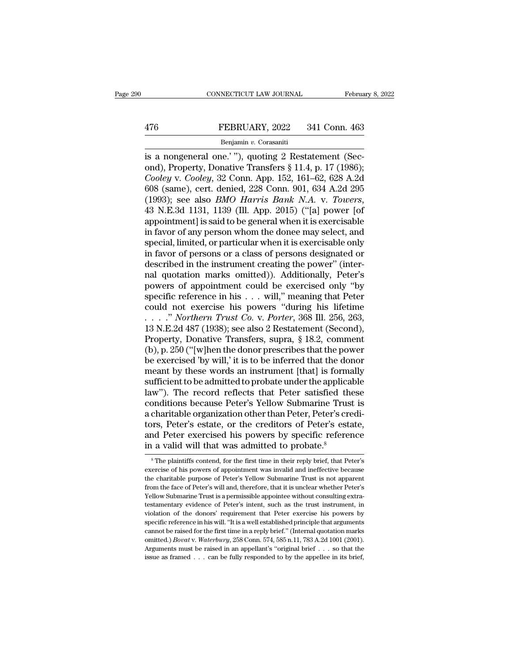# EXECUTE CONNECTICUT LAW JOURNAL February 8, 2022<br>476 FEBRUARY, 2022 341 Conn. 463<br>Benjamin v. Corasaniti

### Benjamin *v.* Corasaniti

CONNECTICUT LAW JOURNAL Februa<br>
FEBRUARY, 2022 341 Conn. 463<br>
Benjamin v. Corasaniti<br>
is a nongeneral one.' "), quoting 2 Restatement (Sec-<br>
ond), Property, Donative Transfers § 11.4, p. 17 (1986);<br>
Cooley v. Cooley 32 Con **EEBRUARY**, 2022 341 Conn. 463<br> **EVALUARY, 2022** 341 Conn. 463<br> **EVALUARY**, 2022 341 Conn. 463<br> **EVALUARY**, Correctional Sectional, Property, Donative Transfers § 11.4, p. 17 (1986);<br> *Cooley* v. *Cooley*, 32 Conn. App. 15 **FEBRUARY**, 2022 341 Conn. 463<br> **Cooley** v. *Corasaniti*<br> **Cooley** v. *Cooley*, Donative Transfers § 11.4, p. 17 (1986);<br> *Cooley* v. *Cooley*, 32 Conn. App. 152, 161–62, 628 A.2d<br>
608 (same), cert. denied, 228 Conn. 901, FEBRUARY, 2022 341 Conn. 463<br>
Benjamin v. Corasaniti<br>
is a nongeneral one.'"), quoting 2 Restatement (Sec-<br>
ond), Property, Donative Transfers § 11.4, p. 17 (1986);<br>
Cooley v. Cooley, 32 Conn. App. 152, 161–62, 628 A.2d<br>
6 Enjamin v. Corasaniti<br>
is a nongeneral one.'"), quoting 2 Restatement (Sec-<br>
ond), Property, Donative Transfers § 11.4, p. 17 (1986);<br>
Cooley v. Cooley, 32 Conn. App. 152, 161–62, 628 A.2d<br>
608 (same), cert. denied, 228 Co is a nongeneral one.'"), quoting 2 Restatement (Second), Property, Donative Transfers  $\S$  11.4, p. 17 (1986);<br>Cooley v. Cooley, 32 Conn. App. 152, 161–62, 628 A.2d<br>608 (same), cert. denied, 228 Conn. 901, 634 A.2d 295<br>(19 ond), Property, Donative Transfers § 11.4, p. 17 (1986);<br> *Cooley v. Cooley*, 32 Conn. App. 152, 161–62, 628 A.2d<br>
608 (same), cert. denied, 228 Conn. 901, 634 A.2d 295<br>
(1993); see also *BMO Harris Bank N.A. v. Towers*,<br> Cooley v. Cooley, 32 Conn. App. 152, 161–62, 628 A.2d<br>608 (same), cert. denied, 228 Conn. 901, 634 A.2d 295<br>(1993); see also *BMO Harris Bank N.A*. v. *Towers*,<br>43 N.E.3d 1131, 1139 (Ill. App. 2015) ("[a] power [of<br>appoint 608 (same), cert. denied, 228 Conn. 901, 634 A.2d 295 (1993); see also *BMO Harris Bank N.A. v. Towers*, 43 N.E.3d 1131, 1139 (Ill. App. 2015) ("[a] power [of appointment] is said to be general when it is exercisable in f (1993); see also *BMO Harris Bank N.A. v. Towers*, 43 N.E.3d 1131, 1139 (Ill. App. 2015) ("[a] power [of appointment] is said to be general when it is exercisable in favor of any person whom the donee may select, and spec 43 N.E.3d 1131, 1139 (Ill. App. 2015) ("[a] power [of<br>appointment] is said to be general when it is exercisable<br>in favor of any person whom the donee may select, and<br>special, limited, or particular when it is exercisable o appointment] is said to be general when it is exercisable<br>in favor of any person whom the donee may select, and<br>special, limited, or particular when it is exercisable only<br>in favor of persons or a class of persons designat in favor of any person whom the donee may select, and<br>special, limited, or particular when it is exercisable only<br>in favor of persons or a class of persons designated or<br>described in the instrument creating the power" (in special, limited, or particular when it is exercisable only<br>in favor of persons or a class of persons designated or<br>described in the instrument creating the power" (inter-<br>nal quotation marks omitted)). Additionally, Peter in favor of persons or a class of persons designated or<br>described in the instrument creating the power" (inter-<br>nal quotation marks omitted)). Additionally, Peter's<br>powers of appointment could be exercised only "by<br>specifi described in the instrument creating the power" (inter-<br>nal quotation marks omitted)). Additionally, Peter's<br>powers of appointment could be exercised only "by<br>specific reference in his . . . will," meaning that Peter<br>coul nal quotation marks omitted)). Additionally, Peter's<br>powers of appointment could be exercised only "by<br>specific reference in his . . . will," meaning that Peter<br>could not exercise his powers "during his lifetime<br> $\ldots$ " *N* powers of appointment could be exercised only "by<br>specific reference in his . . . will," meaning that Peter<br>could not exercise his powers "during his lifetime<br> $\ldots$ " *Northern Trust Co.* v. *Porter*, 368 Ill. 256, 263,<br>13 specific reference in his  $\ldots$  will," meaning that Peter<br>could not exercise his powers "during his lifetime<br> $\ldots$ ." *Northern Trust Co.* v. *Porter*, 368 Ill. 256, 263,<br>13 N.E.2d 487 (1938); see also 2 Restatement (Secon could not exercise his powers "during his lifetime<br>
....." *Northern Trust Co. v. Porter*, 368 Ill. 256, 263,<br>
13 N.E.2d 487 (1938); see also 2 Restatement (Second),<br>
Property, Donative Transfers, supra, § 18.2, comment<br> . . . . ." Northern Trust Co. v. Porter, 368 Ill. 256, 263, 13 N.E.2d 487 (1938); see also 2 Restatement (Second), Property, Donative Transfers, supra, § 18.2, comment (b), p. 250 ("[w]hen the donor prescribes that the po 13 N.E.2d 487 (1938); see also 2 Restatement (Second),<br>Property, Donative Transfers, supra, § 18.2, comment<br>(b), p. 250 ("[w]hen the donor prescribes that the power<br>be exercised 'by will,' it is to be inferred that the do Property, Donative Transfers, supra,  $\S$  18.2, comment<br>(b), p. 250 ("[w]hen the donor prescribes that the power<br>be exercised 'by will,' it is to be inferred that the donor<br>meant by these words an instrument [that] is form (b), p. 250 ("[w]hen the donor prescribes that the power<br>be exercised 'by will,' it is to be inferred that the donor<br>meant by these words an instrument [that] is formally<br>sufficient to be admitted to probate under the app be exercised 'by will,' it is to be inferred that the donor<br>meant by these words an instrument [that] is formally<br>sufficient to be admitted to probate under the applicable<br>law"). The record reflects that Peter satisfied th meant by these words an instrument [that] is formally<br>sufficient to be admitted to probate under the applicable<br>law"). The record reflects that Peter satisfied these<br>conditions because Peter's Yellow Submarine Trust is<br>a c sufficient to be admitted to probate under the applica<br>law"). The record reflects that Peter satisfied th<br>conditions because Peter's Yellow Submarine Trus<br>a charitable organization other than Peter, Peter's cr<br>tors, Peter' charitable organization other than Peter, Peter's credi-<br>ors, Peter's estate, or the creditors of Peter's estate,<br>ad Peter exercised his powers by specific reference<br> $\frac{1}{1}$  a valid will that was admitted to probate.<sup>8</sup> tors, Peter's estate, or the creditors of Peter's estate, and Peter exercised his powers by specific reference in a valid will that was admitted to probate.<sup>8</sup><br><sup>8</sup>The plaintiffs contend, for the first time in their reply b and Peter exercised his powers by specific reference<br>in a valid will that was admitted to probate.<sup>8</sup><br><sup>8</sup>The plaintiffs contend, for the first time in their reply brief, that Peter's

in a valid will that was admitted to probate.<sup>8</sup><br>
<sup>8</sup> The plaintiffs contend, for the first time in their reply brief, that Peter's exercise of his powers of appointment was invalid and ineffective because the charitable In a valid will that was additived to probate.<br>
<sup>8</sup>The plaintiffs contend, for the first time in their reply brief, that Peter's<br>
exercise of his powers of appointment was invalid and ineffective because<br>
the charitable pu <sup>8</sup> The plaintiffs contend, for the first time in their reply brief, that Peter's exercise of his powers of appointment was invalid and ineffective because the charitable purpose of Peter's Yellow Submarine Trust is not a exercise of his powers of appointment was invalid and ineffective because<br>the charitable purpose of Peter's Yellow Submarine Trust is not apparent<br>from the face of Peter's will and, therefore, that it is unclear whether Pe the charitable purpose of Peter's Yellow Submarine Trust is not apparent from the face of Peter's will and, therefore, that it is unclear whether Peter's Yellow Submarine Trust is a permissible appointee without consultin from the face of Peter's will and, therefore, that it is unclear whether Peter's Yellow Submarine Trust is a permissible appointee without consulting extra-<br>testamentary evidence of Peter's intent, such as the trust instr Yellow Submarine Trust is a permissible appointee without consulting extra-<br>testamentary evidence of Peter's intent, such as the trust instrument, in<br>violation of the donors' requirement that Peter exercise his powers by<br> Extramentary evidence of Peter's intent, such as the trust instrument, in violation of the donors' requirement that Peter exercise his powers by specific reference in his will. "It is a well established principle that arg violation of the donors' requirement that Peter exercise his powers by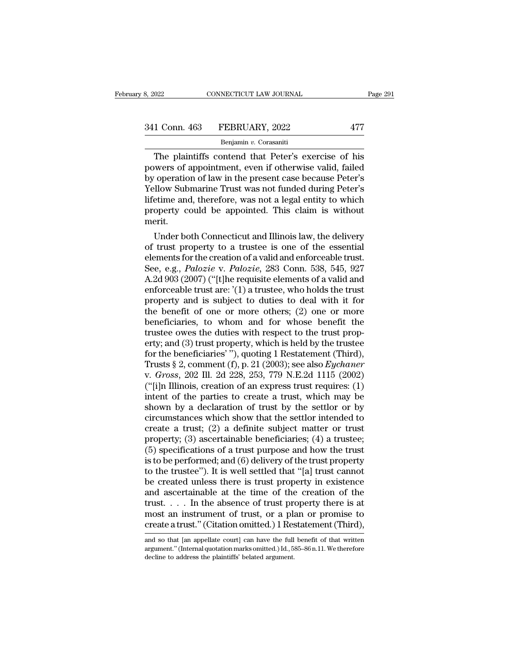| 3, 2022       | CONNECTICUT LAW JOURNAL | Page 291 |  |
|---------------|-------------------------|----------|--|
|               |                         |          |  |
| 341 Conn. 463 | FEBRUARY, 2022          | 477      |  |
|               | Benjamin v. Corasaniti  |          |  |

CONNECTICUT LAW JOURNAL Page 291<br>
1 Conn. 463 FEBRUARY, 2022 477<br>
Benjamin v. Corasaniti<br>
The plaintiffs contend that Peter's exercise of his<br>
wers of appointment, even if otherwise valid, failed<br>
concration of law in the 341 Conn. 463 FEBRUARY, 2022<br>
Benjamin v. Corasaniti<br>
The plaintiffs contend that Peter's exercise of his<br>
powers of appointment, even if otherwise valid, failed<br>
by operation of law in the present case because Peter's<br>
Ve  $\begin{array}{c|c} \text{341 Conn. } \text{463} & \text{FEBRUARY, } 2022 & \text{477} \\ \hline \text{Benjamin } v. \text{ Corasaniti} \\ \hline \text{The plaintiffs contend that Peter's exercise of his powers of appointment, even if otherwise valid, failed by operation of law in the present case because Peter's Yellow Submarine Trust was not funded during Peter's lifetime and therefore was not a local entity to which.} \end{array}$ 341 Conn. 463 FEBRUARY, 2022 477<br>
Benjamin v. Corasaniti<br>
The plaintiffs contend that Peter's exercise of his<br>
powers of appointment, even if otherwise valid, failed<br>
by operation of law in the present case because Peter's Benjamin v. Corasaniti<br>
The plaintiffs contend that Peter's exercise of his<br>
powers of appointment, even if otherwise valid, failed<br>
by operation of law in the present case because Peter's<br>
Yellow Submarine Trust was not f Benjamin  $v$ . Corasanti The plaintiffs contend that Peter's exercise of his powers of appointment, even if otherwise valid, failed by operation of law in the present case because Peter's Yellow Submarine Trust was not fun merit. wers or appointment, even ir otherwise valid, railed<br>
veperation of law in the present case because Peter's<br>
ellow Submarine Trust was not funded during Peter's<br>
etime and, therefore, was not a legal entity to which<br>
opert by operation of law in the present case because Peter's<br>Yellow Submarine Trust was not funded during Peter's<br>lifetime and, therefore, was not a legal entity to which<br>property could be appointed. This claim is without<br>merit

reliow submarine Trust was not funded during Peter's<br>lifetime and, therefore, was not a legal entity to which<br>property could be appointed. This claim is without<br>merit.<br>Under both Connecticut and Illinois law, the delivery metime and, therefore, was not a legal entity to which<br>property could be appointed. This claim is without<br>merit.<br>Under both Connecticut and Illinois law, the delivery<br>of trust property to a trustee is one of the essential<br> property could be appointed. This claim is without<br>merit.<br>Under both Connecticut and Illinois law, the delivery<br>of trust property to a trustee is one of the essential<br>elements for the creation of a valid and enforceable tr Under both Connecticut and Illinois law, the delivery<br>of trust property to a trustee is one of the essential<br>elements for the creation of a valid and enforceable trust.<br>See, e.g., *Palozie* v. *Palozie*, 283 Conn. 538, 54 Under both Connecticut and Illinois law, the delivery<br>of trust property to a trustee is one of the essential<br>elements for the creation of a valid and enforceable trust.<br>See, e.g., *Palozie* v. *Palozie*, 283 Conn. 538, 54 of trust property to a trustee is one of the essential<br>elements for the creation of a valid and enforceable trust.<br>See, e.g., *Palozie* v. *Palozie*, 283 Conn. 538, 545, 927<br>A.2d 903 (2007) ("[t]he requisite elements of a elements for the creation of a valid and enforceable trust.<br>See, e.g., *Palozie* v. *Palozie*, 283 Conn. 538, 545, 927<br>A.2d 903 (2007) ("[t]he requisite elements of a valid and<br>enforceable trust are: '(1) a trustee, who ho See, e.g., *Palozie* v. *Palozie*, 283 Conn. 538, 545, 927 A.2d 903 (2007) ("[t]he requisite elements of a valid and enforceable trust are: '(1) a trustee, who holds the trust property and is subject to duties to deal wit A.2d 903 (2007) ("[t]he requisite elements of a valid and<br>enforceable trust are: '(1) a trustee, who holds the trust<br>property and is subject to duties to deal with it for<br>the benefit of one or more others; (2) one or more enforceable trust are: '(1) a trustee, who holds the trust<br>property and is subject to duties to deal with it for<br>the benefit of one or more others; (2) one or more<br>beneficiaries, to whom and for whose benefit the<br>trustee property and is subject to duties to deal with it for<br>the benefit of one or more others; (2) one or more<br>beneficiaries, to whom and for whose benefit the<br>trustee owes the duties with respect to the trust prop-<br>erty; and (3 the benefit of one or more others; (2) one or more<br>beneficiaries, to whom and for whose benefit the<br>trustee owes the duties with respect to the trust prop-<br>erty; and (3) trust property, which is held by the trustee<br>for the beneficiaries, to whom and for whose benefit the<br>trustee owes the duties with respect to the trust prop-<br>erty; and (3) trust property, which is held by the trustee<br>for the beneficiaries' "), quoting 1 Restatement (Third), trustee owes the duties with respect to the trust property; and (3) trust property, which is held by the trustee<br>for the beneficiaries' "), quoting 1 Restatement (Third),<br>Trusts § 2, comment (f), p. 21 (2003); see also *E* erty; and (3) trust property, which is held by the trustee<br>for the beneficiaries' "), quoting 1 Restatement (Third),<br>Trusts § 2, comment (f), p. 21 (2003); see also *Eychaner*<br>v. *Gross*, 202 Ill. 2d 228, 253, 779 N.E.2d for the beneficiaries'"), quoting 1 Restatement (Third),<br>Trusts § 2, comment (f), p. 21 (2003); see also *Eychaner*<br>v. *Gross*, 202 Ill. 2d 228, 253, 779 N.E.2d 1115 (2002)<br>("[i]n Illinois, creation of an express trust re Trusts § 2, comment (f), p. 21 (2003); see also *Eychaner* v. *Gross*, 202 Ill. 2d 228, 253, 779 N.E.2d 1115 (2002) ("[i]n Illinois, creation of an express trust requires: (1) intent of the parties to create a trust, whic v. *Gross*, 202 Ill. 2d 228, 253, 779 N.E.2d 1115 (2002)<br>("[i]n Illinois, creation of an express trust requires: (1)<br>intent of the parties to create a trust, which may be<br>shown by a declaration of trust by the settlor or ("[i]n Illinois, creation of an express trust requires:  $(1)$ <br>intent of the parties to create a trust, which may be<br>shown by a declaration of trust by the settlor or by<br>circumstances which show that the settlor intended t intent of the parties to create a trust, which may be<br>shown by a declaration of trust by the settlor or by<br>circumstances which show that the settlor intended to<br>create a trust; (2) a definite subject matter or trust<br>prope shown by a declaration of trust by the settlor or by<br>circumstances which show that the settlor intended to<br>create a trust; (2) a definite subject matter or trust<br>property; (3) ascertainable beneficiaries; (4) a truste;<br>(5 circumstances which show that the settlor intended to<br>create a trust; (2) a definite subject matter or trust<br>property; (3) ascertainable beneficiaries; (4) a trustee;<br>(5) specifications of a trust purpose and how the trus create a trust; (2) a definite subject matter or trust<br>property; (3) ascertainable beneficiaries; (4) a trustee;<br>(5) specifications of a trust purpose and how the trust<br>is to be performed; and (6) delivery of the trust pr property; (3) ascertainable beneficiaries; (4) a trustee;<br>(5) specifications of a trust purpose and how the trust<br>is to be performed; and (6) delivery of the trust property<br>to the trustee"). It is well settled that "[a] t (5) specifications of a trust purpose and how the trust<br>is to be performed; and (6) delivery of the trust property<br>to the trustee"). It is well settled that "[a] trust cannot<br>be created unless there is trust property in e is to be performed; and (6) delivery of the trust property<br>to the trustee"). It is well settled that "[a] trust cannot<br>be created unless there is trust property in existence<br>and ascertainable at the time of the creation o and ascertainable at the time of the creation of the trust. . . . In the absence of trust property there is at most an instrument of trust, or a plan or promise to create a trust." (Citation omitted.) I Restatement (Third trust.... In the absence of trust property there is at most an instrument of trust, or a plan or promise to create a trust." (Citation omitted.) 1 Restatement (Third), and so that [an appellate court] can have the full be

most an instrument of trust, or a placential create a trust." (Citation omitted.) 1 Res<br>and so that [an appellate court] can have the full argument." (Internal quotation marks omitted.) Id., 5:<br>decline to address the plain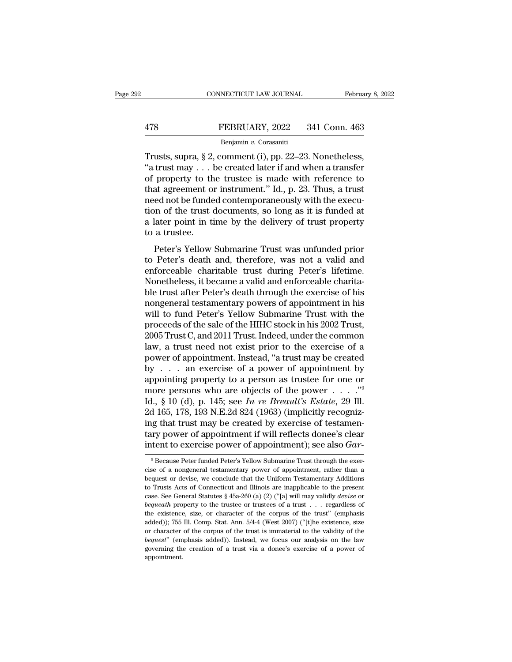# EXECUTE CONNECTICUT LAW JOURNAL February 8, 2022<br>478 FEBRUARY, 2022 341 Conn. 463<br>Benjamin v. Corasaniti

## Benjamin *v.* Corasaniti

CONNECTICUT LAW JOURNAL February 8, 2<br>
FEBRUARY, 2022 341 Conn. 463<br>
Benjamin v. Corasaniti<br>
Trusts, supra, § 2, comment (i), pp. 22–23. Nonetheless,<br>
"a trust may . . . be created later if and when a transfer<br>
of property FEBRUARY, 2022 341 Conn. 463<br>
Benjamin v. Corasaniti<br>
Trusts, supra, § 2, comment (i), pp. 22–23. Nonetheless,<br>
"a trust may . . . be created later if and when a transfer<br>
of property to the trustee is made with reference **EXECUARY, 2022** 341 Conn. 463<br> **EXECUARY, 2022** 341 Conn. 463<br> **EXECUARY, 2022** 341 Conn. 463<br> **Trusts, supra, § 2, comment (i), pp. 22–23. Nonetheless,**<br>
"a trust may . . . be created later if and when a transfer<br>
of pr FEBRUARY, 2022 341 Conn. 463<br>
Benjamin v. Corasaniti<br>
Trusts, supra, § 2, comment (i), pp. 22–23. Nonetheless,<br>
"a trust may . . . be created later if and when a transfer<br>
of property to the trustee is made with reference Benjamin v. Corasaniti<br>
Trusts, supra, § 2, comment (i), pp. 22–23. Nonetheless,<br>
"a trust may . . . be created later if and when a transfer<br>
of property to the trustee is made with reference to<br>
that agreement or instrum Benjamin v. Corasanti<br>Trusts, supra, § 2, comment (i), pp. 22–23. Nonetheless,<br>"a trust may . . . be created later if and when a transfer<br>of property to the trustee is made with reference to<br>that agreement or instrument." Trusts, supra, § 2, comment (i), pp. 22–23. Nonetheless,<br>"a trust may . . . be created later if and when a transfer<br>of property to the trustee is made with reference to<br>that agreement or instrument." Id., p. 23. Thus, a t "a trust may  $\dots$  lof property to the that agreement of need not be funder tion of the trust  $\alpha$  a later point in tion a trustee.<br>Peter's Yellow property to the trustee is made what reference to<br>at agreement or instrument." Id., p. 23. Thus, a trust<br>ed not be funded contemporaneously with the execu-<br>on of the trust documents, so long as it is funded at<br>later point that agreement of instrument. Tal., p. 25. Thus, a trust<br>meed not be funded contemporaneously with the execu-<br>tion of the trust documents, so long as it is funded at<br>a later point in time by the delivery of trust property<br>

recall for the trust documents, so long as it is funded at<br>a later point in time by the delivery of trust property<br>to a trustee.<br>Peter's Yellow Submarine Trust was unfunded prior<br>to Peter's death and, therefore, was not a a later point in time by the delivery of trust property<br>a later point in time by the delivery of trust property<br>to a trustee.<br>Peter's Yellow Submarine Trust was unfunded prior<br>to Peter's death and, therefore, was not a val a fact point in time by the denvery of trust property<br>to a trustee.<br>Peter's Yellow Submarine Trust was unfunded prior<br>to Peter's death and, therefore, was not a valid and<br>enforceable charitable trust during Peter's lifetim Peter's Yellow Submarine Trust was unfunded prior<br>to Peter's death and, therefore, was not a valid and<br>enforceable charitable trust during Peter's lifetime.<br>Nonetheless, it became a valid and enforceable charita-<br>ble trust Peter's Yellow Submarine Trust was unfunded prior<br>to Peter's death and, therefore, was not a valid and<br>enforceable charitable trust during Peter's lifetime.<br>Nonetheless, it became a valid and enforceable charita-<br>ble trust to Peter's death and, therefore, was not a valid and<br>enforceable charitable trust during Peter's lifetime.<br>Nonetheless, it became a valid and enforceable charita-<br>ble trust after Peter's death through the exercise of his<br>n enforceable charitable trust during Peter's lifetime.<br>Nonetheless, it became a valid and enforceable charita-<br>ble trust after Peter's death through the exercise of his<br>nongeneral testamentary powers of appointment in his<br>w Nonetheless, it became a valid and enforceable charita-<br>ble trust after Peter's death through the exercise of his<br>nongeneral testamentary powers of appointment in his<br>will to fund Peter's Yellow Submarine Trust with the<br>pr ble trust after Peter's death through the exercise of his<br>nongeneral testamentary powers of appointment in his<br>will to fund Peter's Yellow Submarine Trust with the<br>proceeds of the sale of the HIHC stock in his 2002 Trust,<br> nongeneral testamentary powers of appointment in his<br>will to fund Peter's Yellow Submarine Trust with the<br>proceeds of the sale of the HIHC stock in his 2002 Trust,<br>2005 Trust C, and 2011 Trust. Indeed, under the common<br>law will to fund Peter's Yellow Submarine Trust with the<br>proceeds of the sale of the HIHC stock in his 2002 Trust,<br>2005 Trust C, and 2011 Trust. Indeed, under the common<br>law, a trust need not exist prior to the exercise of a<br> proceeds of the sale of the HIHC stock in his 2002 Trust,<br>2005 Trust C, and 2011 Trust. Indeed, under the common<br>law, a trust need not exist prior to the exercise of a<br>power of appointment. Instead, "a trust may be create 2005 Trust C, and 2011 Trust. Indeed, under the common<br>law, a trust need not exist prior to the exercise of a<br>power of appointment. Instead, "a trust may be created<br>by . . . an exercise of a power of appointment by<br>appoint law, a trust need not exist prior to the exercise of a<br>power of appointment. Instead, "a trust may be created<br>by . . . . an exercise of a power of appointment by<br>appointing property to a person as trustee for one or<br>more power of appointment. Instead, "a trust may be created<br>by . . . . an exercise of a power of appointment by<br>appointing property to a person as trustee for one or<br>more persons who are objects of the power . . . . ."<br>Id., § by . . . an exercise of a power of appointment by<br>appointing property to a person as trustee for one or<br>more persons who are objects of the power . . . . ."<br>Id., § 10 (d), p. 145; see *In re Breault's Estate*, 29 Ill.<br>2d appointing property to a person as trustee for one or<br>more persons who are objects of the power . . . . . "<sup>9</sup><br>Id., § 10 (d), p. 145; see *In re Breault's Estate*, 29 Ill.<br>2d 165, 178, 193 N.E.2d 824 (1963) (implicitly rec 2d 165, 178, 193 N.E.2d 824 (1963) (implicitly recognizing that trust may be created by exercise of testamentary power of appointment if will reflects donee's clear intent to exercise power of appointment); see also  $Gar$ <sup>5</sup> ing that trust may be created by exercise of testamentary power of appointment if will reflects donee's clear<br>intent to exercise power of appointment); see also  $Gar$ <br><sup>9</sup> Because Peter funded Peter's Yellow Submarine Trust

tary power of appointment if will reflects donee's clear<br>intent to exercise power of appointment); see also *Gar*-<br><sup>9</sup> Because Peter funded Peter's Yellow Submarine Trust through the exer-<br>cise of a nongeneral testamentary intent to exercise power of appointment); see also  $Gar$ <br>
<sup>9</sup> Because Peter funded Peter's Yellow Submarine Trust through the exercise of a nongeneral testamentary power of appointment, rather than a bequest or devise, we c Recause Peter funded Peter's Yellow Submarine Trust through the exercise of a nongeneral testamentary power of appointment, rather than a bequest or devise, we conclude that the Uniform Testamentary Additions to Trusts Act cise of a nongeneral testamentary power of appointment, rather than a bequest or devise, we conclude that the Uniform Testamentary Additions to Trusts Acts of Connecticut and Illinois are inapplicable to the present case. bequest or devise, we conclude that the Uniform Testamentary Additions<br>bequest or devise, we conclude that the Uniform Testamentary Additions<br>case. See General Statutes § 45a-260 (a) (2) ("[a] will may validly *devise* or to Trusts Acts of Connecticut and Illinois are inapplicable to the present case. See General Statutes § 45a-260 (a) (2) ("[a] will may validly *devise* or *bequeath* property to the trustee or trustees of a trust . . . re case. See General Statutes § 45a-260 (a) (2) ("[a] will may validly *devise* or *bequeath* property to the trustee or trustees of a trust . . . regardless of the existence, size, or character of the corpus of the trust" ( bequeath property to the trustee or trustees of a trust . . . regardless of the existence, size, or character of the corpus of the trust" (emphasis added)); 755 Ill. Comp. Stat. Ann. 5/4-4 (West 2007) ("[t]he existence, s appointment.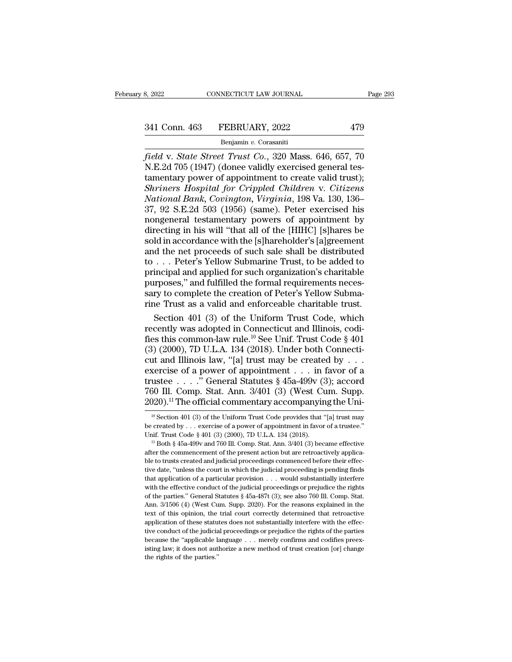## Benjamin *v.* Corasaniti

*f field* v. *State Street Trust Co.*, 320 Mass. 646, 657, 70<br>*field* v. *State Street Trust Co.*, 320 Mass. 646, 657, 70<br>*field* v. *State Street Trust Co.*, 320 Mass. 646, 657, 70<br>*N.E.2d* 705 (1947) (donee validly exe 341 Conn. 463 FEBRUARY, 2022 479<br>Benjamin v. Corasaniti<br>Field v. State Street Trust Co., 320 Mass. 646, 657, 70<br>N.E.2d 705 (1947) (donee validly exercised general tes-<br>tamentary power of appointment to create valid trust); 341 Conn. 463 FEBRUARY, 2022 479<br>
Benjamin v. Corasaniti<br>
field v. State Street Trust Co., 320 Mass. 646, 657, 70<br>
N.E.2d 705 (1947) (donee validly exercised general testamentary power of appointment to create valid trust <sup>341</sup> Conn. 463 FEBRUARY, 2022 479<br>
<sup>Benjamin v. Corasaniti<br> *Field v. State Street Trust Co.*, 320 Mass. 646, 657, 70<br> *N.E.2d 705* (1947) (donee validly exercised general tes-<br>
tamentary power of appointment to create va</sup> *Benjamin v. Corasaniti*<br> *Benjamin v. Corasaniti*<br> *Field v. State Street Trust Co.*, 320 Mass. 646, 657, 70<br>
N.E.2d 705 (1947) (donee validly exercised general tes-<br>
tamentary power of appointment to create valid trust); Benjamin v. Corasaniti<br>
field v. State Street Trust Co., 320 Mass. 646, 657, 70<br>
N.E.2d 705 (1947) (donee validly exercised general tes-<br>
tamentary power of appointment to create valid trust);<br>
Shriners Hospital for Crippl field v. State Street Trust Co., 320 Mass. 646, 657, 70<br>N.E.2d 705 (1947) (donee validly exercised general tes-<br>tamentary power of appointment to create valid trust);<br>Shriners Hospital for Crippled Children v. Citizens<br>Nat N.E.2d 705 (1947) (donee validly exercised general testamentary power of appointment to create valid trust);<br>Shriners Hospital for Crippled Children v. Citizens<br>National Bank, Covington, Virginia, 198 Va. 130, 136–<br>37, 92 tamentary power of appointment to create valid trust);<br>
Shriners Hospital for Crippled Children v. Citizens<br>
National Bank, Covington, Virginia, 198 Va. 130, 136–<br>
37, 92 S.E.2d 503 (1956) (same). Peter exercised his<br>
nong Shriners Hospital for Crippled Children v. Citizens<br>National Bank, Covington, Virginia, 198 Va. 130, 136–<br>37, 92 S.E.2d 503 (1956) (same). Peter exercised his<br>nongeneral testamentary powers of appointment by<br>directing in National Bank, Covington, Virginia, 198 Va. 130, 136–<br>37, 92 S.E.2d 503 (1956) (same). Peter exercised his<br>nongeneral testamentary powers of appointment by<br>directing in his will "that all of the [HIHC] [s]hares be<br>sold in 37, 92 S.E.2d 503 (1956) (same). Peter exercised his<br>nongeneral testamentary powers of appointment by<br>directing in his will "that all of the [HIHC] [s]hares be<br>sold in accordance with the [s]hareholder's [a]greement<br>and t nongeneral testamentary powers of appointment by<br>directing in his will "that all of the [HIHC] [s]hares be<br>sold in accordance with the [s]hareholder's [a]greement<br>and the net proceeds of such sale shall be distributed<br>to . directing in his will "that all of the [HIHC] [s]hares be<br>sold in accordance with the [s]hareholder's [a]greement<br>and the net proceeds of such sale shall be distributed<br>to . . . Peter's Yellow Submarine Trust, to be added sold in accordance with the [s]hareholder's [a]greement<br>and the net proceeds of such sale shall be distributed<br>to . . . Peter's Yellow Submarine Trust, to be added to<br>principal and applied for such organization's charitabl d the net proceeds of such sale shall be distributed<br>
... Peter's Yellow Submarine Trust, to be added to<br>
incipal and applied for such organization's charitable<br>
rroses," and fulfilled the formal requirements neces-<br>
rrus to . . . Peter's Yellow Submarine Trust, to be added to<br>principal and applied for such organization's charitable<br>purposes," and fulfilled the formal requirements neces-<br>sary to complete the creation of Peter's Yellow Subm

principal and applied for such organization's charitable<br>purposes," and fulfilled the formal requirements neces-<br>sary to complete the creation of Peter's Yellow Subma-<br>rine Trust as a valid and enforceable charitable trust purposes," and fulfilled the formal requirements necessary to complete the creation of Peter's Yellow Submarine Trust as a valid and enforceable charitable trust.<br>Section 401 (3) of the Uniform Trust Code, which recently sary to complete the creation of Peter's Yellow Submarine Trust as a valid and enforceable charitable trust.<br>
Section 401 (3) of the Uniform Trust Code, which<br>
recently was adopted in Connecticut and Illinois, codi-<br>
fies rine Trust as a valid and enforceable charitable trust.<br>
Section 401 (3) of the Uniform Trust Code, which<br>
recently was adopted in Connecticut and Illinois, codi-<br>
fies this common-law rule.<sup>10</sup> See Unif. Trust Code § 401 Section 401 (3) of the Uniform Trust Code, which<br>recently was adopted in Connecticut and Illinois, codi-<br>fies this common-law rule.<sup>10</sup> See Unif. Trust Code § 401<br>(3) (2000), 7D U.L.A. 134 (2018). Under both Connecti-<br>cut recently was adopted in Connecticut and Illinois, codifies this common-law rule.<sup>10</sup> See Unif. Trust Code § 401 (3) (2000), 7D U.L.A. 134 (2018). Under both Connecticut and Illinois law, "[a] trust may be created by . . . fies this common-law rule.<sup>10</sup> See Unif. Trust Code § 401 (3) (2000), 7D U.L.A. 134 (2018). Under both Connecticut and Illinois law, "[a] trust may be created by . . . exercise of a power of appointment . . . in favor of xercise of a power of appointment . . . in favor of a<br>ustee . . . . " General Statutes § 45a-499v (3); accord<br>30 Ill. Comp. Stat. Ann. 3/401 (3) (West Cum. Supp.<br>20).<sup>11</sup> The official commentary accompanying the Uni-<br><sup>10</sup> trustee . . . . . . To General Statutes § 45a-499v (3); accord 760 Ill. Comp. Stat. Ann. 3/401 (3) (West Cum. Supp. 2020).<sup>11</sup> The official commentary accompanying the Unionellack of a power of appointment in favor of a t

<sup>760</sup> Ill. Comp. Stat. Ann. 3/401 (3) (West Cum. Supp.<br>2020).<sup>11</sup> The official commentary accompanying the Uni-<br><sup>10</sup> Section 401 (3) of the Uniform Trust Code provides that "[a] trust may<br>be created by . . . exercise of a p

 $2020$ ).<sup>24</sup> The Official confinemtary accompanying the Uni-<br><sup>10</sup> Section 401 (3) of the Uniform Trust Code provides that "[a] trust may<br>be created by . . . exercise of a power of appointment in favor of a trustee."<br>Unif. <sup>10</sup> Section 401 (3) of the Uniform Trust Code provides that "[a] trust may be created by . . . exercise of a power of appointment in favor of a trustee." Unif. Trust Code § 401 (3) (2000), 7D U.L.A. 134 (2018). " Both § be created by  $\ldots$  exercise of a power of appointment in favor of a trustee."<br>Unif. Trust Code § 401 (3) (2000), 7D U.L.A. 134 (2018).<br><sup>11</sup> Both § 45a-499v and 760 Ill. Comp. Stat. Ann. 3/401 (3) became effective<br>after t Unif. Trust Code § 401 (3) (2000), 7D U.L.A. 134 (2018).<br>
<sup>11</sup> Both § 45a-499v and 760 Ill. Comp. Stat. Ann. 3/401 (3) became effective<br>
<sup>11</sup> Both § 45a-499v and 760 Ill. Comp. Stat. Ann. 3/401 (3) became effective<br>
after <sup>11</sup> Both § 45a-499v and 760 Ill. Comp. Stat. Ann. 3/401 (3) became effective after the commencement of the present action but are retroactively applicable to trusts created and judicial proceedings commenced before their after the commencement of the present action but are retroactively applicable to trusts created and judicial proceedings commenced before their effective date, "unless the court in which the judicial proceeding is pending ble to trusts created and judicial proceedings commenced before their effec-<br>tive date, "unless the court in which the judicial proceeding is pending finds<br>that application of a particular provision . . . would substantial tive date, "unless the court in which the judicial proceeding is pending finds that application of a particular provision  $\ldots$  would substantially interfere with the effective conduct of the judicial proceedings or preju above that application of a particular provision  $\ldots$  would substantially interfere with the effective conduct of the judicial proceedings or prejudice the rights of the parties." General Statutes § 45a-487t (3); see als with the effective conduct of the judicial proceedings or prejudice the rights of the parties." General Statutes  $\S$  45a-487t (3); see also 760 Ill. Comp. Stat. Ann. 3/1506 (4) (West Cum. Supp. 2020). For the reasons expl of the parties." General Statutes § 45a-487t (3); see also 760 Ill. Comp. Stat. Ann. 3/1506 (4) (West Cum. Supp. 2020). For the reasons explained in the text of this opinion, the trial court correctly determined that retr Figure 2020). For the reasons explained in the text of this opinion, the trial court correctly determined that retroactive application of these statutes does not substantially interfere with the effective conduct of the j text of this opinion, the trial court correctly determined that retroactive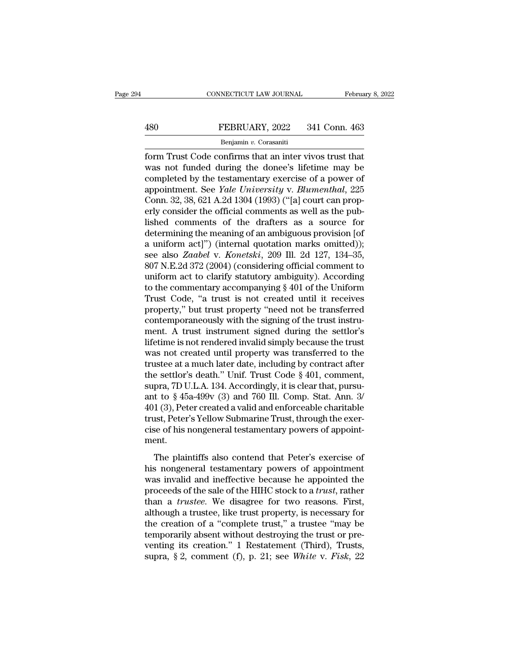# EXECUTE CONNECTICUT LAW JOURNAL February 8, 2022<br>480 FEBRUARY, 2022 341 Conn. 463<br>Benjamin v. Corasaniti

## Benjamin *v.* Corasaniti

February 8, 202<br>
FEBRUARY, 2022 341 Conn. 463<br>
FEBRUARY, 2022 341 Conn. 463<br>
Benjamin v. Corasaniti<br>
form Trust Code confirms that an inter vivos trust that<br>
was not funded during the donee's lifetime may be EEBRUARY, 2022 341 Conn. 463<br>
Benjamin v. Corasaniti<br>
form Trust Code confirms that an inter vivos trust that<br>
was not funded during the donee's lifetime may be<br>
completed by the testamentary exercise of a power of<br>
appoin FEBRUARY, 2022 341 Conn. 463<br>
Benjamin v. Corasaniti<br>
form Trust Code confirms that an inter vivos trust that<br>
was not funded during the donee's lifetime may be<br>
completed by the testamentary exercise of a power of<br>
appoi FEBRUARY, 2022 341 Conn. 463<br> **Benjamin v. Corasaniti**<br>
form Trust Code confirms that an inter vivos trust that<br>
was not funded during the donee's lifetime may be<br>
completed by the testamentary exercise of a power of<br>
appo Benjamin *v*. Corasaniti<br>
form Trust Code confirms that an inter vivos trust that<br>
was not funded during the donee's lifetime may be<br>
completed by the testamentary exercise of a power of<br>
appointment. See *Yale University* Benjamin v. Corasanti<br>
form Trust Code confirms that an inter vivos trust that<br>
was not funded during the donee's lifetime may be<br>
completed by the testamentary exercise of a power of<br>
appointment. See *Yale University* v form Trust Code confirms that an inter vivos trust that<br>was not funded during the donee's lifetime may be<br>completed by the testamentary exercise of a power of<br>appointment. See *Yale University* v. *Blumenthal*, 225<br>Conn. was not funded during the donee's lifetime may be<br>completed by the testamentary exercise of a power of<br>appointment. See *Yale University* v. *Blumenthal*, 225<br>Conn. 32, 38, 621 A.2d 1304 (1993) ("[a] court can prop-<br>erly completed by the testamentary exercise of a power of<br>appointment. See *Yale University* v. *Blumenthal*, 225<br>Conn. 32, 38, 621 A.2d 1304 (1993) ("[a] court can prop-<br>erly consider the official comments as well as the pub-<br> appointment. See *Yale University* v. *Blumenthal*, 225<br>Conn. 32, 38, 621 A.2d 1304 (1993) ("[a] court can prop-<br>erly consider the official comments as well as the pub-<br>lished comments of the drafters as a source for<br>deter Conn. 32, 38, 621 A.2d 1304 (1993) ("[a] court can prop-<br>erly consider the official comments as well as the pub-<br>lished comments of the drafters as a source for<br>determining the meaning of an ambiguous provision [of<br>a unif erly consider the official comments as well as the pub-<br>lished comments of the drafters as a source for<br>determining the meaning of an ambiguous provision [of<br>a uniform act]") (internal quotation marks omitted));<br>see also lished comments of the drafters as a source for<br>determining the meaning of an ambiguous provision [of<br>a uniform act]") (internal quotation marks omitted));<br>see also Zaabel v. Konetski, 209 Ill. 2d 127, 134–35,<br>807 N.E.2d 3 determining the meaning of an ambiguous provision [of<br>a uniform act]") (internal quotation marks omitted));<br>see also *Zaabel* v. *Konetski*, 209 Ill. 2d 127, 134–35,<br>807 N.E.2d 372 (2004) (considering official comment to<br>u a uniform act]") (internal quotation marks omitted));<br>see also Zaabel v. Konetski, 209 Ill. 2d 127, 134–35,<br>807 N.E.2d 372 (2004) (considering official comment to<br>uniform act to clarify statutory ambiguity). According<br>to t see also *Zaabel v. Konetski*, 209 Ill. 2d 127, 134–35, 807 N.E.2d 372 (2004) (considering official comment to uniform act to clarify statutory ambiguity). According to the commentary accompanying § 401 of the Uniform Trus 807 N.E.2d 372 (2004) (considering official comment to<br>uniform act to clarify statutory ambiguity). According<br>to the commentary accompanying § 401 of the Uniform<br>Trust Code, "a trust is not created until it receives<br>proper uniform act to clarify statutory ambiguity). According<br>to the commentary accompanying  $\S 401$  of the Uniform<br>Trust Code, "a trust is not created until it receives<br>property," but trust property "need not be transferred<br>con to the commentary accompanying  $\S$  401 of the Uniform<br>Trust Code, "a trust is not created until it receives<br>property," but trust property "need not be transferred<br>contemporaneously with the signing of the trust instru-<br>me Trust Code, "a trust is not created until it receives<br>property," but trust property "need not be transferred<br>contemporaneously with the signing of the trust instru-<br>ment. A trust instrument signed during the settlor's<br>lif property," but trust property "need not be transferred<br>contemporaneously with the signing of the trust instru-<br>ment. A trust instrument signed during the settlor's<br>lifetime is not rendered invalid simply because the trust<br> contemporaneously with the signing of the trust instrument. A trust instrument signed during the settlor's lifetime is not rendered invalid simply because the trust was not created until property was transferred to the tru ment. A trust instrument signed during the settlor's<br>lifetime is not rendered invalid simply because the trust<br>was not created until property was transferred to the<br>trustee at a much later date, including by contract after lifetime is not rendered invalid simply because the trust<br>was not created until property was transferred to the<br>trustee at a much later date, including by contract after<br>the settlor's death." Unif. Trust Code § 401, commen was not created until property was transferred to the<br>trustee at a much later date, including by contract after<br>the settlor's death." Unif. Trust Code § 401, comment,<br>supra, 7D U.L.A. 134. Accordingly, it is clear that, pu trustee at a much later date, including by contract after<br>the settlor's death." Unif. Trust Code § 401, comment,<br>supra, 7D U.L.A. 134. Accordingly, it is clear that, pursu-<br>ant to § 45a-499v (3) and 760 Ill. Comp. Stat. An ment. Fra, 12 C.E.T. Forthcoroningly, as clear and, parts<br>t to § 45a-499v (3) and 760 Ill. Comp. Stat. Ann. 3/<br>1 (3), Peter created a valid and enforceable charitable<br>ust, Peter's Yellow Submarine Trust, through the exer-<br>se of and is  $\frac{1}{3}$ , Peter created a valid and enforceable charitable<br>trust, Peter's Yellow Submarine Trust, through the exercise of his nongeneral testamentary powers of appointment.<br>The plaintiffs also contend that Peter's

trust, Peter's Yellow Submarine Trust, through the exercise of his nongeneral testamentary powers of appointment.<br>The plaintiffs also contend that Peter's exercise of his nongeneral testamentary powers of appointment was proceeds of his nongeneral testamentary powers of appoint-<br>ment.<br>The plaintiffs also contend that Peter's exercise of<br>his nongeneral testamentary powers of appointment<br>was invalid and ineffective because he appointed the<br>p the plaintiffs also contend that Peter's exercise of<br>his nongeneral testamentary powers of appointment<br>was invalid and ineffective because he appointed the<br>proceeds of the sale of the HIHC stock to a *trust*, rather<br>than a The plaintiffs also contend that Peter's exercise of<br>his nongeneral testamentary powers of appointment<br>was invalid and ineffective because he appointed the<br>proceeds of the sale of the HIHC stock to a *trust*, rather<br>than The plaintiffs also contend that Peter's exercise of<br>his nongeneral testamentary powers of appointment<br>was invalid and ineffective because he appointed the<br>proceeds of the sale of the HIHC stock to a *trust*, rather<br>than a his nongeneral testamentary powers of appointment<br>was invalid and ineffective because he appointed the<br>proceeds of the sale of the HIHC stock to a *trust*, rather<br>than a *trustee*. We disagree for two reasons. First,<br>alth was invalid and ineffective because he appointed the proceeds of the sale of the HIHC stock to a *trust*, rather than a *trustee*. We disagree for two reasons. First, although a trustee, like trust property, is necessary proceeds of the sale of the HIHC stock to a *trust*, rather<br>than a *trustee*. We disagree for two reasons. First,<br>although a trustee, like trust property, is necessary for<br>the creation of a "complete trust," a trustee "may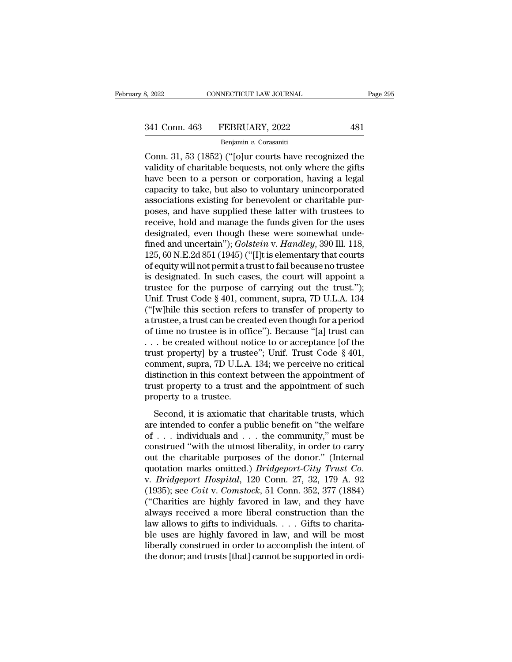Benjamin *v.* Corasaniti

Example 2022<br>
Conn. 463 FEBRUARY, 2022<br>
Benjamin v. Corasaniti<br>
Conn. 31, 53 (1852) ("[o]ur courts have recognized the<br>
validity of charitable bequests, not only where the gifts<br>
have been to a person or corporation baring 341 Conn. 463 FEBRUARY, 2022 481<br>
Benjamin v. Corasaniti<br>
Conn. 31, 53 (1852) ("[o]ur courts have recognized the<br>
validity of charitable bequests, not only where the gifts<br>
have been to a person or corporation, having a le 341 Conn. 463 FEBRUARY, 2022 481<br>
Benjamin v. Corasaniti<br>
Conn. 31, 53 (1852) ("[o]ur courts have recognized the<br>
validity of charitable bequests, not only where the gifts<br>
have been to a person or corporation, having a l 341 Conn. 463 FEBRUARY, 2022 481<br>  $\frac{\text{Benjamin } v. \text{ Corasaniti}}{\text{Conn. 31, 53 (1852) ("[o]ur courts have recognized the validity of charitable bequests, not only where the gifts have been to a person or corporation, having a legal capacity to take, but also to voluntary unincorporated associations existing for benevolent or charitable purposes, and havesumplied those latter with trustes to$ Benjamin v. Corasaniti<br>
Conn. 31, 53 (1852) ("[o]ur courts have recognized the<br>
validity of charitable bequests, not only where the gifts<br>
have been to a person or corporation, having a legal<br>
capacity to take, but also t Benjamin v. Corasanti<br>
Conn. 31, 53 (1852) ("[o]ur courts have recognized the<br>
validity of charitable bequests, not only where the gifts<br>
have been to a person or corporation, having a legal<br>
capacity to take, but also to Conn. 31, 53 (1852) ("[o]ur courts have recognized the validity of charitable bequests, not only where the gifts have been to a person or corporation, having a legal capacity to take, but also to voluntary unincorporated validity of charitable bequests, not only where the gifts<br>have been to a person or corporation, having a legal<br>capacity to take, but also to voluntary unincorporated<br>associations existing for benevolent or charitable pur-<br> have been to a person or corporation, having a legal<br>capacity to take, but also to voluntary unincorporated<br>associations existing for benevolent or charitable pur-<br>poses, and have supplied these latter with trustees to<br>rec capacity to take, but also to voluntary unincorporated<br>associations existing for benevolent or charitable pur-<br>poses, and have supplied these latter with trustees to<br>receive, hold and manage the funds given for the uses<br>de associations existing for benevolent or charitable pur-<br>poses, and have supplied these latter with trustees to<br>receive, hold and manage the funds given for the uses<br>designated, even though these were somewhat unde-<br>fined a poses, and have supplied these latter with trustees to<br>receive, hold and manage the funds given for the uses<br>designated, even though these were somewhat unde-<br>fined and uncertain"); *Golstein v. Handley*, 390 Ill. 118,<br>12 receive, hold and manage the funds given for the uses<br>designated, even though these were somewhat unde-<br>fined and uncertain"); *Golstein v. Handley*, 390 Ill. 118,<br>125, 60 N.E.2d 851 (1945) ("[I]t is elementary that courts designated, even though these were somewhat unde-<br>fined and uncertain"); *Golstein* v. *Handley*, 390 Ill. 118,<br>125, 60 N.E.2d 851 (1945) ("[I]t is elementary that courts<br>of equity will not permit a trust to fail because n fined and uncertain");  $Golstein$  v.  $Handley$ , 390 Ill. 118,<br>125, 60 N.E.2d 851 (1945) ("[I]t is elementary that courts<br>of equity will not permit a trust to fail because no trustee<br>is designated. In such cases, the court will app 125, 60 N.E.2d 851 (1945) ("[I]t is elementary that courts<br>of equity will not permit a trust to fail because no trustee<br>is designated. In such cases, the court will appoint a<br>trustee for the purpose of carrying out the tr of equity will not permit a trust to fail because no trustee<br>is designated. In such cases, the court will appoint a<br>trustee for the purpose of carrying out the trust.");<br>Unif. Trust Code § 401, comment, supra, 7D U.L.A. 13 is designated. In such cases, the court will appoint a<br>trustee for the purpose of carrying out the trust.");<br>Unif. Trust Code § 401, comment, supra, 7D U.L.A. 134<br>("[w]hile this section refers to transfer of property to<br>a trustee for the purpose of carrying out the trust.");<br>Unif. Trust Code § 401, comment, supra, 7D U.L.A. 134<br>("[w]hile this section refers to transfer of property to<br>a trustee, a trust can be created even though for a peri Unif. Trust Code § 401, comment, supra, 7D U.L.A. 134<br>("[w]hile this section refers to transfer of property to<br>a trustee, a trust can be created even though for a period<br>of time no trustee is in office"). Because "[a] trus ("[w]hile this section refers to transfer of property to a trustee, a trust can be created even though for a period of time no trustee is in office"). Because "[a] trust can  $\ldots$  be created without notice to or acceptanc a trustee, a trust can be created even though for a period<br>of time no trustee is in office"). Because "[a] trust can<br> $\ldots$  be created without notice to or acceptance [of the<br>trust property] by a trustee"; Unif. Trust Code % of time no trustee is in office"). Because "[a] trust can  $\ldots$  be created without notice to or acceptance [of the trust property] by a trustee"; Unif. Trust Code § 401, comment, supra, 7D U.L.A. 134; we perceive no cri Second, it is axiomatic that charitable trusts, which<br>exist property] by a trustee"; Unif. Trust Code § 401,<br>stinction in this context between the appointment of<br>star property to a trust and the appointment of such<br>operty case property] by a diastee  $\beta$ , call. Thust edde  $\beta$  for,<br>comment, supra, 7D U.L.A. 134; we perceive no critical<br>distinction in this context between the appointment of<br>trust property to a trustee.<br>Second, it is axiomat

distinction in this context between the appointment of<br>distinction in this context between the appointment of<br>property to a trustee.<br>Second, it is axiomatic that charitable trusts, which<br>are intended to confer a public be trust property to a trust and the appointment of such<br>property to a trustee.<br>Second, it is axiomatic that charitable trusts, which<br>are intended to confer a public benefit on "the welfare<br>of . . . individuals and . . . the of the charital state in the dependence of state<br>property to a trustee.<br>Second, it is axiomatic that charitable trusts, which<br>are intended to confer a public benefit on "the welfare<br>of . . . individuals and . . . the comm Second, it is axiomatic that charitable trusts, which<br>are intended to confer a public benefit on "the welfare<br>of  $\dots$  individuals and  $\dots$  the community," must be<br>construed "with the utmost liberality, in order to carry<br>o Second, it is axiomatic that charitable trusts, which<br>are intended to confer a public benefit on "the welfare<br>of . . . individuals and . . . the community," must be<br>construed "with the utmost liberality, in order to carry<br> are intended to confer a public benefit on "the welfare<br>of . . . individuals and . . . the community," must be<br>construed "with the utmost liberality, in order to carry<br>out the charitable purposes of the donor." (Internal<br>q of . . . individuals and . . . the community," must be construed "with the utmost liberality, in order to carry out the charitable purposes of the donor." (Internal quotation marks omitted.) *Bridgeport-City Trust Co.* v. construed "with the utmost liberality, in order to carry<br>out the charitable purposes of the donor." (Internal<br>quotation marks omitted.) *Bridgeport-City Trust Co.*<br>v. *Bridgeport Hospital*, 120 Conn. 27, 32, 179 A. 92<br>(193 out the charitable purposes of the donor." (Internal quotation marks omitted.) *Bridgeport-City Trust Co.*<br>v. *Bridgeport Hospital*, 120 Conn. 27, 32, 179 A. 92<br>(1935); see *Coit v. Comstock*, 51 Conn. 352, 377 (1884)<br>("Ch quotation marks omitted.) *Bridgeport-City Trust Co.*<br>v. *Bridgeport Hospital*, 120 Conn. 27, 32, 179 A. 92<br>(1935); see *Coit v. Comstock*, 51 Conn. 352, 377 (1884)<br>("Charities are highly favored in law, and they have<br>alwa v. *Bridgeport Hospital*, 120 Conn. 27, 32, 179 A. 92 (1935); see *Coit v. Comstock*, 51 Conn. 352, 377 (1884) ("Charities are highly favored in law, and they have always received a more liberal construction than the law a (1935); see *Coit v. Comstock*, 51 Conn. 352, 377 (1884) ("Charities are highly favored in law, and they have always received a more liberal construction than the law allows to gifts to individuals. . . . Gifts to charita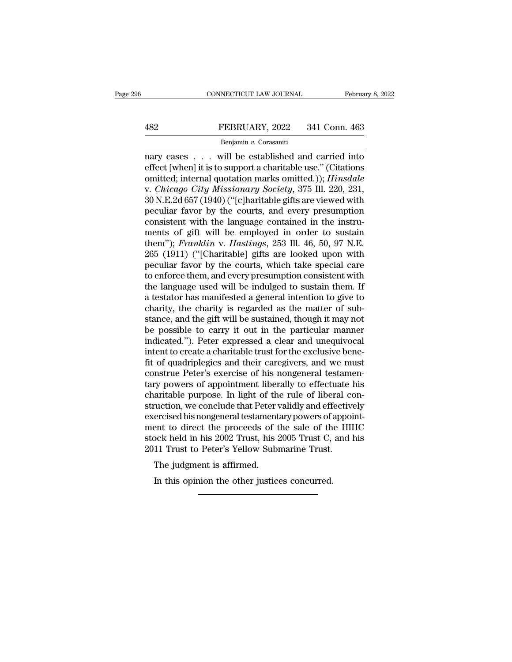# EXECUTE CONNECTICUT LAW JOURNAL February 8, 2022<br>482 FEBRUARY, 2022 341 Conn. 463<br>Benjamin v. Corasaniti

## Benjamin *v.* Corasaniti

CONNECTICUT LAW JOURNAL February 8, 2022<br>
FEBRUARY, 2022 341 Conn. 463<br>
Benjamin v. Corasaniti<br>
nary cases . . . will be established and carried into<br>
effect [when] it is to support a charitable use." (Citations<br>
emitted: EEBRUARY, 2022 341 Conn. 463<br>
Benjamin v. Corasaniti<br>
nary cases . . . will be established and carried into<br>
effect [when] it is to support a charitable use.'' (Citations<br>
omitted; internal quotation marks omitted.)); *Hin* **EXECT 482**<br> **EXECT 482**<br> **EXECT 483**<br> **EXECT 484**<br> **EXECT 484**<br> **EXECT 484**<br> **EXECT 484**<br> **EXECT 484**<br> **EXECT 484657 (1940)** ("Lelbaritable gifts are viewed with<br> **EXECT 484657 (1940)** ("Lelbaritable gifts are viewed with FEBRUARY, 2022 341 Conn. 463<br>
Benjamin v. Corasaniti<br>
nary cases . . . will be established and carried into<br>
effect [when] it is to support a charitable use." (Citations<br>
omitted; internal quotation marks omitted.)); *Hins* Benjamin v. Corasaniti<br>Benjamin v. Corasaniti<br>nary cases . . . will be established and carried into<br>effect [when] it is to support a charitable use." (Citations<br>omitted; internal quotation marks omitted.)); *Hinsdale*<br>v. Benjamin v. Corasanti<br>
nary cases . . . will be established and carried into<br>
effect [when] it is to support a charitable use." (Citations<br>
omitted; internal quotation marks omitted.)); *Hinsdale*<br>
v. *Chicago City Missio* nary cases . . . will be established and carried into effect [when] it is to support a charitable use." (Citations omitted; internal quotation marks omitted.)); *Hinsdale* v. *Chicago City Missionary Society*, 375 Ill. 22 effect [when] it is to support a charitable use." (Citations<br>omitted; internal quotation marks omitted.)); *Hinsdale*<br>v. *Chicago City Missionary Society*, 375 Ill. 220, 231,<br>30 N.E.2d 657 (1940) ("[c]haritable gifts are v omitted; internal quotation marks omitted.)); *Hinsdale*<br>v. *Chicago City Missionary Society*, 375 Ill. 220, 231,<br>30 N.E.2d 657 (1940) ("[c]haritable gifts are viewed with<br>peculiar favor by the courts, and every presumptio v. *Chicago City Missionary Society*, 375 Ill. 220, 231, 30 N.E.2d 657 (1940) ("[c]haritable gifts are viewed with peculiar favor by the courts, and every presumption consistent with the language contained in the instrumen 30 N.E.2d 657 (1940) ("[c]haritable gifts are viewed with<br>peculiar favor by the courts, and every presumption<br>consistent with the language contained in the instru-<br>ments of gift will be employed in order to sustain<br>them") peculiar favor by the courts, and every presumption<br>consistent with the language contained in the instru-<br>ments of gift will be employed in order to sustain<br>them"); *Franklin* v. *Hastings*, 253 Ill. 46, 50, 97 N.E.<br>265 (1 consistent with the language contained in the instruments of gift will be employed in order to sustain<br>them"); *Franklin v. Hastings*, 253 Ill. 46, 50, 97 N.E.<br>265 (1911) ("[Charitable] gifts are looked upon with<br>peculiar ments of gift will be employed in order to sustain<br>them"); *Franklin* v. *Hastings*, 253 Ill. 46, 50, 97 N.E.<br>265 (1911) ("[Charitable] gifts are looked upon with<br>peculiar favor by the courts, which take special care<br>to en them"); *Franklin* v. *Hastings*, 253 Ill. 46, 50, 97 N.E.<br>265 (1911) ("[Charitable] gifts are looked upon with<br>peculiar favor by the courts, which take special care<br>to enforce them, and every presumption consistent with<br>t 265 (1911) ("[Charitable] gifts are looked upon with<br>peculiar favor by the courts, which take special care<br>to enforce them, and every presumption consistent with<br>the language used will be indulged to sustain them. If<br>a tes peculiar favor by the courts, which take special care<br>to enforce them, and every presumption consistent with<br>the language used will be indulged to sustain them. If<br>a testator has manifested a general intention to give to<br>c to enforce them, and every presumption consistent with<br>the language used will be indulged to sustain them. If<br>a testator has manifested a general intention to give to<br>charity, the charity is regarded as the matter of sub-<br> the language used will be indulged to sustain them. If<br>a testator has manifested a general intention to give to<br>charity, the charity is regarded as the matter of sub-<br>stance, and the gift will be sustained, though it may n a testator has manifested a general intention to give to charity, the charity is regarded as the matter of substance, and the gift will be sustained, though it may not be possible to carry it out in the particular manner i charity, the charity is regarded as the matter of substance, and the gift will be sustained, though it may not<br>be possible to carry it out in the particular manner<br>indicated."). Peter expressed a clear and unequivocal<br>inte stance, and the gift will be sustained, though it may not<br>be possible to carry it out in the particular manner<br>indicated."). Peter expressed a clear and unequivocal<br>intent to create a charitable trust for the exclusive ben be possible to carry it out in the particular manner indicated."). Peter expressed a clear and unequivocal intent to create a charitable trust for the exclusive benefit of quadriplegics and their caregivers, and we must co indicated."). Peter expressed a clear and unequivocal<br>intent to create a charitable trust for the exclusive bene-<br>fit of quadriplegics and their caregivers, and we must<br>construe Peter's exercise of his nongeneral testamenintent to create a charitable trust for the exclusive bene-<br>fit of quadriplegics and their caregivers, and we must<br>construe Peter's exercise of his nongeneral testamen-<br>tary powers of appointment liberally to effectuate hi fit of quadriplegics and their caregivers, and we must<br>construe Peter's exercise of his nongeneral testamentary<br>powers of appointment liberally to effectuate his<br>charitable purpose. In light of the rule of liberal con-<br>str construe Peter's exercise of his nongeneral testamentary powers of appointment liberally to effectuate his charitable purpose. In light of the rule of liberal construction, we conclude that Peter validly and effectively ex tary powers of appointment liberally to effectuate charitable purpose. In light of the rule of liberal costruction, we conclude that Peter validly and effective exercised his nongeneral testamentary powers of appoiment to Furnal purpose. In light of the<br>ruction, we conclude that Peter v<br>ercised his nongeneral testament<br>ent to direct the proceeds of t<br>ock held in his 2002 Trust, his 2<br>11 Trust to Peter's Yellow Subi<br>The judgment is affirmed. ercised his nongeneral testamentary powers of the sale of the other to direct the proceeds of the sale of the order in this 2002 Trust, his 2005 Trust C, 11 Trust to Peter's Yellow Submarine Trust.<br>The judgment is affirmed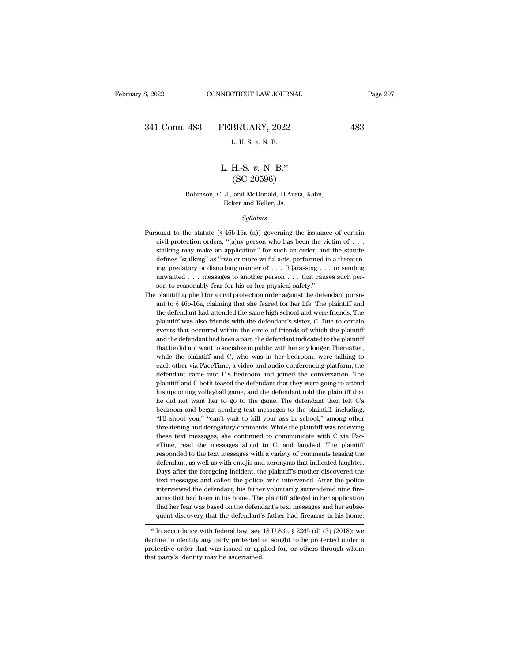# FEBRUARY, 2022<br>
L. H.-S. *v.* N. B.<br>
L. H.-S. *v.* N. B.\*<br>
(SC 20596) BRUARY, 2022<br>
L. H.-S. v. N. B.<br>
H.-S. v. N. B.\*<br>
(SC 20596)<br>
and McDonald, D'Auria, I

## E. H. S. V. N. B.<br>
L. H.-S. V. N. B.\*<br>
(SC 20596)<br>
Robinson, C. J., and McDonald, D'Auria, Kahn,<br>
Ecker and Keller, Js. L. H.-S.  $v$ . N. B.\*<br>(SC 20596)<br>Robinson, C. J., and McDonald, D'Auria, Kahn,<br>Ecker and Keller, Js.

## *Syllabus*

- Robinson, C. J., and McDonald, D'Auria, Kahn,<br>Ecker and Keller, Js.<br>Syllabus<br>Pursuant to the statute (§ 46b-16a (a)) governing the issuance of certain<br>civil protection orders, "[a]ny person who has been the victim of . . . Robinson, C. J., and McDonald, D'Auria, Kahn,<br>Ecker and Keller, Js.<br>Syllabus<br>suant to the statute (§ 46b-16a (a)) governing the issuance of certain<br>civil protection orders, "[a]ny person who has been the victim of . . .<br>st Ecker and Keller, Js.<br>Syllabus<br>stalking may make an application'' for such an order, and the statute<br>discussional protection orders, "[a]ny person who has been the victim of . . .<br>stalking may make an application'' for suc  $Syllabus$ <br>
suant to the statute (§ 46b-16a (a)) governing the issuance of certain<br>
civil protection orders, "[a]ny person who has been the victim of . . .<br>
stalking may make an application" for such an order, and the statute<br> suant to the statute (§ 46b-16a (a)) governing the issuance of certain civil protection orders, "[a]ny person who has been the victim of . . . stalking may make an application" for such an order, and the statute defines " suant to the statute (§ 46b-16a (a)) governing the issuance of certain civil protection orders, "[a]ny person who has been the victim of . . . stalking may make an application" for such an order, and the statute defines " civil protection orders, "[a]ny person who has been the vistalking may make an application" for such an order, and defines "stalking" as "two or more wilful acts, performed ing, predatory or disturbing manner of  $\ldots$  [h] stalking may make an application" for such an order, and the statute defines "stalking" as "two or more wilful acts, performed in a threatening, predatory or disturbing manner of . . . [h]arassing . . . or sending unwante defines "stalking" as "two or more wilful acts, performed in a threatening, predatory or disturbing manner of . . . [h]arassing . . . or sending unwanted . . . messages to another person . . . that causes such person to r
- ing, predatory or disturbing manner of  $\ldots$  [h]arassing  $\ldots$  or sending unwanted  $\ldots$  messages to another person  $\ldots$  that causes such person to reasonably fear for his or her physical safety." plaintiff applied for a mwanted . . . messages to another person . . . that causes such person to reasonably fear for his or her physical safety."<br>plaintiff applied for a civil protection order against the defendant pursuant to  $\S$  46b-16a, clai son to reasonably fear for his or her physical safety."<br>plaintiff applied for a civil protection order against the defendant pursu-<br>ant to  $\S$  46b-16a, claiming that she feared for her life. The plaintiff and<br>the defendan plaintiff applied for a civil protection order against the defendant pursu-<br>ant to § 46b-16a, claiming that she feared for her life. The plaintiff and<br>the defendant had attended the same high school and were friends. The<br>p ant to § 46b-16a, claiming that she feared for her life. The plaintiff and the defendant had attended the same high school and were friends. The plaintiff was also friends with the defendant's sister, C. Due to certain eve the defendant had attended the same high school and were friends. The plaintiff was also friends with the defendant's sister, C. Due to certain events that occurred within the circle of friends of which the plaintiff and t plaintiff was also friends with the defendant's sister, C. Due to certain<br>events that occurred within the circle of friends of which the plaintiff<br>and the defendant had been a part, the defendant indicated to the plaintiff events that occurred within the circle of friends of which the plaintiff<br>and the defendant had been a part, the defendant indicated to the plaintiff<br>that he did not want to socialize in public with her any longer. Thereaft and the defendant had been a part, the defendant indicated to the plaintiff<br>that he did not want to socialize in public with her any longer. Thereafter,<br>while the plaintiff and C, who was in her bedroom, were talking to<br>ea that he did not want to socialize in public with her any longer. Thereafter, while the plaintiff and C, who was in her bedroom, were talking to each other via FaceTime, a video and audio conferencing platform, the defendan while the plaintiff and C, who was in her bedroom, were talking to each other via FaceTime, a video and audio conferencing platform, the defendant came into C's bedroom and joined the conversation. The plaintiff and C both each other via FaceTime, a video and audio conferencing platform, the defendant came into C's bedroom and joined the conversation. The plaintiff and C both teased the defendant that they were going to attend his upcoming v defendant came into C's bedroom and joined the conversation. The plaintiff and C both teased the defendant that they were going to attend his upcoming volleyball game, and the defendant told the plaintiff that he did not w plaintiff and C both teased the defendant that they were going to attend his upcoming volleyball game, and the defendant told the plaintiff that he did not want her to go to the game. The defendant then left C's bedroom an his upcoming volleyball game, and the defendant told the plaintiff that<br>he did not want her to go to the game. The defendant then left C's<br>bedroom and began sending text messages to the plaintiff, including,<br>"I'll shoot yo he did not want her to go to the game. The defendant then left C's<br>bedroom and began sending text messages to the plaintiff, including,<br>"Tll shoot you," "can't wait to kill your ass in school," among other<br>threatening and bedroom and began sending text messages to the plaintiff, including, "Tll shoot you," "can't wait to kill your ass in school," among other threatening and derogatory comments. While the plaintiff was receiving these text m "Tll shoot you," "can't wait to kill your ass in school," among other threatening and derogatory comments. While the plaintiff was receiving these text messages, she continued to communicate with C via FaceTime, read the m threatening and derogatory comments. While the plaintiff was receiving these text messages, she continued to communicate with C via FaceTime, read the messages aloud to C, and laughed. The plaintiff responded to the text m these text messages, she continued to communicate with C via Fac-<br>eTime, read the messages aloud to C, and laughed. The plaintiff<br>responded to the text messages with a variety of comments teasing the<br>defendant, as well as these text messages, she continued to communicate with C via FaceFime, read the messages aloud to C, and laughed. The plaintiff responded to the text messages with a variety of comments teasing the defendant, as well as w responded to the text messages with a variety of comments teasing the defendant, as well as with emojis and acronyms that indicated laughter. Days after the foregoing incident, the plaintiff's mother discovered the text me defendant, as well as with emojis and acronyms that indicated laughter. Days after the foregoing incident, the plaintiff's mother discovered the text messages and called the police, who intervened. After the police intervi Days after the foregoing incident, the plaintiff's mother discovered the text messages and called the police, who intervened. After the police interviewed the defendant, his father voluntarily surrendered nine firearms th merviewed the defendant, his attrief voluntarily surfendered inte infearms that had been in his home. The plaintiff alleged in her application that her fear was based on the defendant's text messages and her subsequent dis
- and that her fear was based on the defendant's text messages and her subsequent discovery that the defendant's father had firearms in his home.<br>
\* In accordance with federal law; see 18 U.S.C. § 2265 (d) (3) (2018); we dec  $*$  In accordance with federal law; see 18 U.S.C.  $\S$  2265 (d) (3) (2018); we decline to identify any party protected or sought to be protected under a protective order that was issued or applied for, or others through wh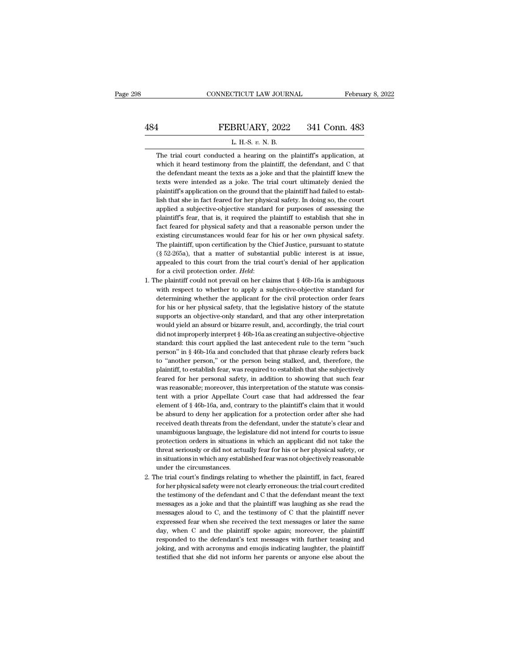## EXECUTE CONNECTICUT LAW JOURNAL February 8, 2022<br>484 FEBRUARY, 2022 341 Conn. 483<br>1. H.S. v. N. B. CONNECTICUT LAW JOURNAL Februa<br>
FEBRUARY, 2022 341 Conn. 483<br>
L. H.-S. *v.* N. B.<br>
The trial court conducted a hearing on the plaintiff's application, at

FEBRUARY, 2022 341 Conn. 483<br>L. H.-S. v. N. B.<br>The trial court conducted a hearing on the plaintiff's application, at<br>which it heard testimony from the plaintiff, the defendant, and C that **EXERUARY, 2022** 341 Conn. 483<br>L. H.-S. v. N. B.<br>The trial court conducted a hearing on the plaintiff's application, at<br>which it heard testimony from the plaintiff, the defendant, and C that<br>the defendant meant the texts a FEBRUARY, 2022 341 Conn. 483<br>L. H.-S. v. N. B.<br>The trial court conducted a hearing on the plaintiff's application, at<br>which it heard testimony from the plaintiff, the defendant, and C that<br>the defendant meant the texts as L. H.-S. v. N. B.<br>The trial court conducted a hearing on the plaintiff's application, at<br>which it heard testimony from the plaintiff, the defendant, and C that<br>the defendant meant the texts as a joke and that the plaintiff L. H.-S.  $v$ . N. B.<br>The trial court conducted a hearing on the plaintiff's application, at<br>which it heard testimony from the plaintiff, the defendant, and C that<br>the defendant meant the texts as a joke and that the plaint The trial court conducted a hearing on the plaintiff's application, at which it heard testimony from the plaintiff, the defendant, and C that the defendant meant the texts as a joke and that the plaintiff knew the texts we which it heard testimony from the plaintiff, the defendant, and C that<br>the defendant meant the texts as a joke and that the plaintiff knew the<br>texts were intended as a joke. The trial court ultimately denied the<br>plaintiff' the defendant meant the texts as a joke and that the plaintiff knew the texts were intended as a joke. The trial court ultimately denied the plaintiff's application on the ground that the plaintiff had failed to establish texts were intended as a joke. The trial court ultimately denied the plaintiff's application on the ground that the plaintiff had failed to establish that she in fact feared for her physical safety. In doing so, the court plaintiff's application on the ground that the plaintiff had failed to establish that she in fact feared for her physical safety. In doing so, the court applied a subjective-objective standard for purposes of assessing the Ish that she in fact feared for her physical safety. In doing so, the court applied a subjective-objective standard for purposes of assessing the plaintiff's fear, that is, it required the plaintiff to establish that she i applied a subjective-objective standard for purposes of assessing the plaintiff's fear, that is, it required the plaintiff to establish that she in fact feared for physical safety and that a reasonable person under the exi plaintiff's fear, that is, it required the plaintiff to establish that she in fact feared for physical safety and that a reasonable person under the existing circumstances would fear for his or her own physical safety. The fact feared for physical safety and that a reasonable person under the existing circumstances would fear for his or her own physical safety. The plaintiff, upon certification by the Chief Justice, pursuant to statute (§ 5 The plaintiff, upon certification by the Chief Justice, pursuant to statute (§ 52-265a), that a matter of substantial public interest is at issue, appealed to this court from the trial court's denial of her application fo

- (§ 52-265a), that a matter of substantial public interest is at issue, appealed to this court from the trial court's denial of her application for a civil protection order. *Held*:<br>he plaintiff could not prevail on her cl appealed to this court from the trial court's denial of her application<br>for a civil protection order. *Held*:<br>he plaintiff could not prevail on her claims that § 46b-16a is ambiguous<br>with respect to whether to apply a subj for a civil protection order. *Held*:<br>he plaintiff could not prevail on her claims that  $\S$  46b-16a is ambiguous<br>with respect to whether to apply a subjective-objective standard for<br>determining whether the applicant for t he plaintiff could not prevail on her claims that § 46b-16a is ambiguous with respect to whether to apply a subjective-objective standard for determining whether the applicant for the civil protection order fears for his o with respect to whether to apply a subjective-objective standard for determining whether the applicant for the civil protection order fears for his or her physical safety, that the legislative history of the statute suppor determining whether the applicant for the civil protection order fears<br>for his or her physical safety, that the legislative history of the statute<br>supports an objective-only standard, and that any other interpretation<br>woul for his or her physical safety, that the legislative history of the statute supports an objective-only standard, and that any other interpretation would yield an absurd or bizarre result, and, accordingly, the trial court supports an objective-only standard, and that any other interpretation<br>would yield an absurd or bizarre result, and, accordingly, the trial court<br>did not improperly interpret § 46b-16a as creating an subjective-objective<br>s would yield an absurd or bizarre result, and, accordingly, the trial court<br>did not improperly interpret § 46b-16a as creating an subjective-objective<br>standard: this court applied the last antecedent rule to the term "such<br> did not improperly interpret § 46b-16a as creating an subjective-objective standard: this court applied the last antecedent rule to the term "such person" in § 46b-16a and concluded that that phrase clearly refers back to standard: this court applied the last antecedent rule to the term "such person" in § 46b-16a and concluded that that phrase clearly refers back to "another person," or the person being stalked, and, therefore, the plaintif person" in § 46b-16a and concluded that that phrase clearly refers back<br>to "another person," or the person being stalked, and, therefore, the<br>plaintiff, to establish fear, was required to establish that she subjectively<br>fe to "another person," or the person being stalked, and, therefore, the plaintiff, to establish fear, was required to establish that she subjectively feared for her personal safety, in addition to showing that such fear was plaintiff, to establish fear, was required to establish that she subjectively<br>feared for her personal safety, in addition to showing that such fear<br>was reasonable; moreover, this interpretation of the statute was consis-<br>t feared for her personal safety, in addition to showing that such fear<br>was reasonable; moreover, this interpretation of the statute was consis-<br>tent with a prior Appellate Court case that had addressed the fear<br>element of § was reasonable; moreover, this interpretation of the statute was consistent with a prior Appellate Court case that had addressed the fear element of § 46b-16a, and, contrary to the plaintiff's claim that it would be absurd tent with a prior Appellate Court case that had addressed the fear element of § 46b-16a, and, contrary to the plaintiff's claim that it would be absurd to deny her application for a protection order after she had received element of § 46b-16a, and, contrary to the plaintiff's claim that it would<br>be absurd to deny her application for a protection order after she had<br>received death threats from the defendant, under the statute's clear and<br>una be absurd to deny her application for a protection order after she had received death threats from the defendant, under the statute's clear and unambiguous language, the legislature did not intend for courts to issue prote received death threats from the<br>unambiguous language, the leg<br>protection orders in situations<br>threat seriously or did not actu<br>in situations in which any establ<br>under the circumstances.<br>he trial court's findings relating unambiguous language, the legislature did not intend for courts to issue<br>protection orders in situations in which an applicant did not take the<br>threat seriously or did not actually fear for his or her physical safety, or<br>i protection orders in situations in which an applicant did not take the threat seriously or did not actually fear for his or her physical safety, or in situations in which any established fear was not objectively reasonable protection orders in situations in which an applicant did not take the<br>threat seriously or did not actually fear for his or her physical safety, or<br>in situations in which any established fear was not objectively reasonable
- in situations in which any established fear was not objectively reasonable<br>under the circumstances.<br>he trial court's findings relating to whether the plaintiff, in fact, feared<br>for her physical safety were not clearly erro under the circumstances.<br>
he trial court's findings relating to whether the plaintiff, in fact, feared<br>
for her physical safety were not clearly erroneous: the trial court credited<br>
the testimony of the defendant and C tha he trial court's findings relating to whether the plaintiff, in fact, feared for her physical safety were not clearly erroneous: the trial court credited the testimony of the defendant and C that the defendant meant the te for her physical safety were not clearly erroneous: the trial court credited<br>the testimony of the defendant and C that the defendant meant the text<br>messages as a joke and that the plaintiff was laughing as she read the<br>me the testimony of the defendant and C that the defendant meant the text messages as a joke and that the plaintiff was laughing as she read the messages aloud to C, and the testimony of C that the plaintiff never expressed f messages as a joke and that the plaintiff was laughing as she read the messages aloud to C, and the testimony of C that the plaintiff never expressed fear when she received the text messages or later the same day, when C a messages aloud to C, and the testimony of C that the plaintiff never expressed fear when she received the text messages or later the same day, when C and the plaintiff spoke again; moreover, the plaintiff responded to the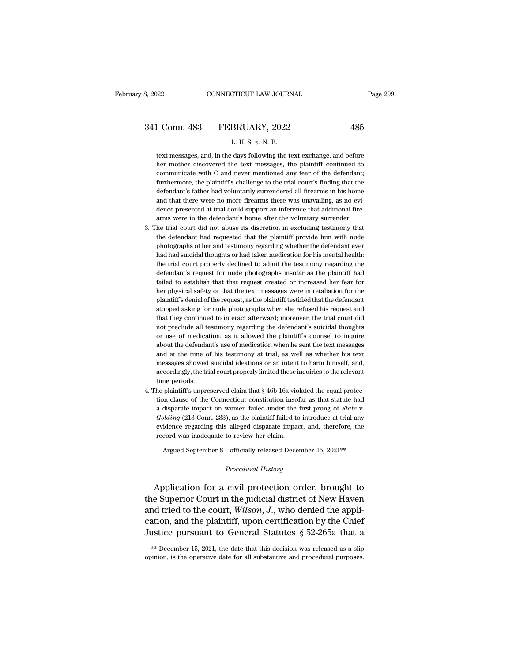1 Conn. 483 FEBRUARY, 2022 485<br>
L. H.-S. v. N. B.<br>
text messages, and, in the days following the text exchange, and before<br>
ther mother discovered the text messages, the plaintiff continued to L Conn. 483 FEBRUARY, 2022 485<br>
L H.S. v. N. B.<br>
text messages, and, in the days following the text exchange, and before<br>
ther mother discovered the text messages, the plaintiff continued to<br>
communicate with C and never m Comm. 483 FEBRUARY, 2022 485<br>L. H.-S. v. N. B.<br>text messages, and, in the days following the text exchange, and before<br>her mother discovered the text messages, the plaintiff continued to<br>communicate with C and never mentio L. H.-S. v. N. B.<br>text messages, and, in the days following the text exchange, and before<br>her mother discovered the text messages, the plaintiff continued to<br>communicate with C and never mentioned any fear of the defendant L. H.-S.  $v$ . N. B.<br>text messages, and, in the days following the text exchange, and before<br>her mother discovered the text messages, the plaintiff continued to<br>communicate with C and never mentioned any fear of the defend text messages, and, in the days following the text exchange, and before<br>her mother discovered the text messages, the plaintiff continued to<br>communicate with C and never mentioned any fear of the defendant;<br>furthermore, the her mother discovered the text messages, the plaintiff continued to communicate with C and never mentioned any fear of the defendant; furthermore, the plaintiff's challenge to the trial court's finding that the defendant's communicate with C and never mentioned any fear of the defendant;<br>furthermore, the plaintiff's challenge to the trial court's finding that the<br>defendant's father had voluntarily surrendered all firearms in his home<br>and tha furthermore, the plaintiff's challenge to the trial court's finding that the defendant's father had voluntarily surrendered all firearms in his home and that there were no more firearms there was unavailing, as no evidence defendant's father had voluntarily surrendered all firearms in his home<br>and that there were no more firearms there was unavailing, as no evi-<br>dence presented at trial could support an inference that additional fire-<br>arms w

- and that there were no more firearms there was unavailing, as no evidence presented at trial could support an inference that additional firearms were in the defendant's home after the voluntary surrender.<br>he trial court di dence presented at trial could support an inference that additional firearms were in the defendant's home after the voluntary surrender.<br>he trial court did not abuse its discretion in excluding testimony that<br>the defendant arms were in the defendant's home after the voluntary surrender.<br>he trial court did not abuse its discretion in excluding testimony that<br>the defendant had requested that the plaintiff provide him with nude<br>photographs of h he trial court did not abuse its discretion in excluding testimony that<br>the defendant had requested that the plaintiff provide him with nude<br>photographs of her and testimony regarding whether the defendant ever<br>had had sui the defendant had requested that the plaintiff provide him with nude<br>photographs of her and testimony regarding whether the defendant ever<br>had had suicidal thoughts or had taken medication for his mental health:<br>the trial photographs of her and testimony regarding whether the defendant ever<br>had had suicidal thoughts or had taken medication for his mental health:<br>the trial court properly declined to admit the testimony regarding the<br>defendan had had suicidal thoughts or had taken medication for his mental health:<br>the trial court properly declined to admit the testimony regarding the<br>defendant's request for nude photographs insofar as the plaintiff had<br>failed t the trial court properly declined to admit the testimony regarding the defendant's request for nude photographs insofar as the plaintiff had failed to establish that that request created or increased her fear for her physi defendant's request for nude photographs insofar as the plaintiff had failed to establish that that request created or increased her fear for her physical safety or that the text messages were in retaliation for the plaint failed to establish that that request created or increased her fear for<br>her physical safety or that the text messages were in retaliation for the<br>plaintiff's denial of the request, as the plaintiff testified that the defen her physical safety or that the text messages were in retaliation for the plaintiff's denial of the request, as the plaintiff testified that the defendant stopped asking for nude photographs when she refused his request an plaintiff's denial of the request, as the plaintiff testified that the defendant<br>stopped asking for nude photographs when she refused his request and<br>that they continued to interact afterward; moreover, the trial court did stopped asking for nude photographs when she refused his request and<br>that they continued to interact afterward; moreover, the trial court did<br>not preclude all testimony regarding the defendant's suicidal thoughts<br>or use of that they continued to interact afterward; moreover, the trial court did<br>not preclude all testimony regarding the defendant's suicidal thoughts<br>or use of medication, as it allowed the plaintiff's counsel to inquire<br>about t not preclude all testimony regarding the defendant's suicidal thoughts<br>or use of medication, as it allowed the plaintiff's counsel to inquire<br>about the defendant's use of medication when he sent the text messages<br>and at th or use of medication, as it allowed the plaintiff's counsel to inquire<br>about the defendant's use of medication when he sent the text messages<br>and at the time of his testimony at trial, as well as whether his text<br>messages and at the time of his testimony at trial, as well as whether his text messages showed suicidal ideations or an intent to harm himself, and, accordingly, the trial court properly limited these inquiries to the relevant ti
- 4. The plaintiff's unpreserved claim that  $\S$  46b-16a violated the equal protection clause of the Connecticut constitution insofar as that statute had a disparate impact on women failed under the first prong of *State* v. messages showed suicidal ideations or an intent to harm himself, and, accordingly, the trial court properly limited these inquiries to the relevant time periods.<br>he plaintiff's unpreserved claim that  $\S$  46b-16a violated t time periods.<br>he plaintiff's unpreserved claim that  $\S$  46b-16a violated the equal protection clause of the Connecticut constitution insofar as that statute had<br>a disparate impact on women failed under the first prong of the plaintiff's unpreserved claim that  $\S$  46b-16a violition clause of the Connecticut constitution insof a disparate impact on women failed under the *Golding* (213 Conn. 233), as the plaintiff failed to evidence regardi In clause of the Connecticut constitution insolar as that statute had<br>disparate impact on women failed under the first prong of *State* v.<br>*Maing* (213 Conn. 233), as the plaintiff failed to introduce at trial any<br>idence r evidence regarding this alleged disparate impact, and, therefore, the record was inadequate to review her claim.<br>*Argued September 8—officially released December 15, 2021*<sup>\*\*</sup><br>*Procedural History*<br>*Application for a civil*

 $\frac{1}{2}$  columnation for a civil protection order, brought to<br>example the record was inadequate to review her claim.<br>Argued September 8—officially released December 15, 2021<sup>\*\*</sup><br>*Procedural History*<br>Application for a civ record was inadequate to review her claim.<br>
Argued September 8—officially released December 15, 2021<sup>\*\*</sup><br>
Procedural History<br>
Application for a civil protection order, brought to<br>
the Superior Court in the judicial distric Argued September 8—officially released December 15, 2021<sup>\*\*</sup><br>*Procedural History*<br>**Application for a civil protection order, brought to<br>the Superior Court in the judicial district of New Haven<br>and tried to the court,** *Wils* Procedural History<br>Procedural History<br>Application for a civil protection order, brought to<br>the Superior Court in the judicial district of New Haven<br>and tried to the court, Wilson, J., who denied the appli-<br>cation, and the *Procedural History*<br>Application for a civil protection order, brought to<br>the Superior Court in the judicial district of New Haven<br>and tried to the court, *Wilson*, *J*., who denied the appli-<br>cation, and the plaintiff, u the Superior Court in the judicial district of New Haven<br>and tried to the court, *Wilson*, *J*., who denied the appli-<br>cation, and the plaintiff, upon certification by the Chief<br>Justice pursuant to General Statutes § 52-2 Justice pursuant to General Statutes  $\S 52-265$ a that a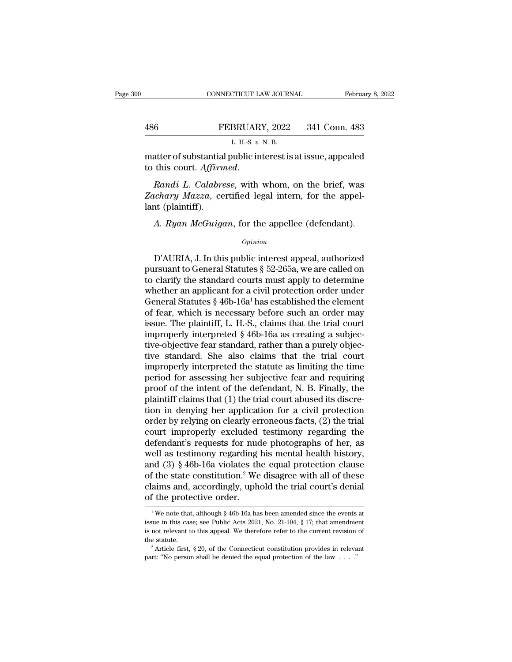|     | CONNECTICUT LAW JOURNAL                                     | February 8, 2022 |
|-----|-------------------------------------------------------------|------------------|
|     |                                                             |                  |
| 486 | FEBRUARY, 2022                                              | 341 Conn. 483    |
|     | L. H.-S. v. N. B.                                           |                  |
|     | matter of substantial public interest is at issue, appealed |                  |

This court. *Affirmed.*<br> *Randi L. Calabrese*, with whom, on the brief, was *Zachary Mazza*, certified legal intern, for the appellemt (plaintiff) *Zachary Mazza*, certified legal intern, for the appel-<br>*Zachary Mazza*, certified legal intern, for the appel-<br>*Zachary Mazza*, certified legal intern, for the appel-<br>*Zachary Mazza*, certified legal intern, for the appel matter of substantia<br>to this court. Affirm<br>Randi L. Calabre<br>Zachary Mazza, ce<br>lant (plaintiff).<br>A. Ryan McGuige atter of substantial public interest is at issue, appealed<br>this court. *Affirmed.*<br>*Randi L. Calabrese*, with whom, on the brief, was<br>*chary Mazza*, certified legal intern, for the appel-<br>at (plaintiff).<br>*A. Ryan McGuigan* 

## *Opinion*

 $\emph{left}$  Mazza, certified legal intern, for the appel-<br>  $\emph{at}$  (plaintiff).<br>
A. Ryan McGuigan, for the appellee (defendant).<br>  $\emph{opinion}$ <br>  $\emph{D'AURIA}$ , J. In this public interest appeal, authorized<br>
arsuant to General Sta ant (plaintiff).<br>
A. Ryan McGuigan, for the appellee (defendant).<br>  $\frac{1}{2}$ <br>
D'AURIA, J. In this public interest appeal, authorized<br>
pursuant to General Statutes § 52-265a, we are called on<br>
to clarify the standard court A. Ryan McGuigan, for the appellee (defendant).<br>  $\frac{1}{2}$ <br>
D'AURIA, J. In this public interest appeal, authorized<br>
pursuant to General Statutes § 52-265a, we are called on<br>
to clarify the standard courts must apply to de A. Ryan McGuigan, for the appellee (defendant).<br>  $\phi_{pinion}$ <br>
D'AURIA, J. In this public interest appeal, authorized<br>
pursuant to General Statutes § 52-265a, we are called on<br>
to clarify the standard courts must apply to det *Opinion*<br>
D'AURIA, J. In this public interest appeal, authorized<br>
pursuant to General Statutes § 52-265a, we are called on<br>
to clarify the standard courts must apply to determine<br>
whether an applicant for a civil protect D'AURIA, J. In this public interest appeal, authorized<br>pursuant to General Statutes § 52-265a, we are called on<br>to clarify the standard courts must apply to determine<br>whether an applicant for a civil protection order unde D'AURIA, J. In this public interest appeal, authorized<br>pursuant to General Statutes  $\S$  52-265a, we are called on<br>to clarify the standard courts must apply to determine<br>whether an applicant for a civil protection order un pursuant to General Statutes § 52-265a, we are called on<br>to clarify the standard courts must apply to determine<br>whether an applicant for a civil protection order under<br>General Statutes § 46b-16a<sup>1</sup> has established the elem to clarify the standard courts must apply to determine<br>whether an applicant for a civil protection order under<br>General Statutes  $\S$  46b-16a<sup>1</sup> has established the element<br>of fear, which is necessary before such an order m whether an applicant for a civil protection order under<br>General Statutes § 46b-16a<sup>1</sup> has established the element<br>of fear, which is necessary before such an order may<br>issue. The plaintiff, L. H.-S., claims that the trial General Statutes § 46b-16a<sup>1</sup> has established the element<br>of fear, which is necessary before such an order may<br>issue. The plaintiff, L. H.-S., claims that the trial court<br>improperly interpreted § 46b-16a as creating a sub of fear, which is necessary before such an order may<br>issue. The plaintiff, L. H.-S., claims that the trial court<br>improperly interpreted § 46b-16a as creating a subjec-<br>tive-objective fear standard, rather than a purely obj issue. The plaintiff, L. H.-S., claims that the trial court<br>improperly interpreted § 46b-16a as creating a subjec-<br>tive-objective fear standard, rather than a purely objec-<br>tive standard. She also claims that the trial cou improperly interpreted § 46b-16a as creating a subjective-objective fear standard, rather than a purely objective standard. She also claims that the trial court improperly interpreted the statute as limiting the time peri tive-objective fear standard, rather than a purely objective standard. She also claims that the trial court<br>improperly interpreted the statute as limiting the time<br>period for assessing her subjective fear and requiring<br>pro tive standard. She also claims that the trial court<br>improperly interpreted the statute as limiting the time<br>period for assessing her subjective fear and requiring<br>proof of the intent of the defendant, N. B. Finally, the<br>pl improperly interpreted the statute as limiting the time<br>period for assessing her subjective fear and requiring<br>proof of the intent of the defendant, N. B. Finally, the<br>plaintiff claims that (1) the trial court abused its d period for assessing her subjective fear and requiring<br>proof of the intent of the defendant, N. B. Finally, the<br>plaintiff claims that (1) the trial court abused its discre-<br>tion in denying her application for a civil prot proof of the intent of the defendant, N. B. Finally, the plaintiff claims that (1) the trial court abused its discretion in denying her application for a civil protection order by relying on clearly erroneous facts, (2) t plaintiff claims that (1) the trial court abused its discretion in denying her application for a civil protection<br>order by relying on clearly erroneous facts, (2) the trial<br>court improperly excluded testimony regarding th tion in denying her application for a civil protection<br>order by relying on clearly erroneous facts, (2) the trial<br>court improperly excluded testimony regarding the<br>defendant's requests for nude photographs of her, as<br>well order by relying on clearly erroneous facts,  $(2)$  the trial court improperly excluded testimony regarding the defendant's requests for nude photographs of her, as well as testimony regarding his mental health history, an court improperly excluded<br>defendant's requests for nuc<br>well as testimony regarding<br>and (3) § 46b-16a violates th<br>of the state constitution.<sup>2</sup> We<br>claims and, accordingly, uph<br>of the protective order. 1 Mexicon clause<br>
1 The state constitution.<sup>2</sup> We disagree with all of these<br>
aims and, accordingly, uphold the trial court's denial<br>
1 The protective order.<br>
<sup>1</sup> We note that, although § 46b-16a has been amended since th % of the state constitution.<sup>2</sup> We disagree with all of these claims and, accordingly, uphold the trial court's denial of the protective order.<br><sup>1</sup> We note that, although § 46b-16a has been amended since the events at iss

claims and, accordingly, uphold the trial court's denial<br>of the protective order.<br> $\frac{1}{1}$  We note that, although § 46b-16a has been amended since the events at<br>issue in this case; see Public Acts 2021, No. 21-104, § 17; of the protective order.<br>
<sup>1</sup>We note that, although § 46b-16a has been amended since the events at issue in this case; see Public Acts 2021, No. 21-104, § 17; that amendment is not relevant to this appeal. We therefore re <sup>1</sup> We note that, although § 46b-16a has been amended since the events at issue in this case; see Public Acts 2021, No. 21-104, § 17; that amendment is not relevant to this appeal. We therefore refer to the current revisi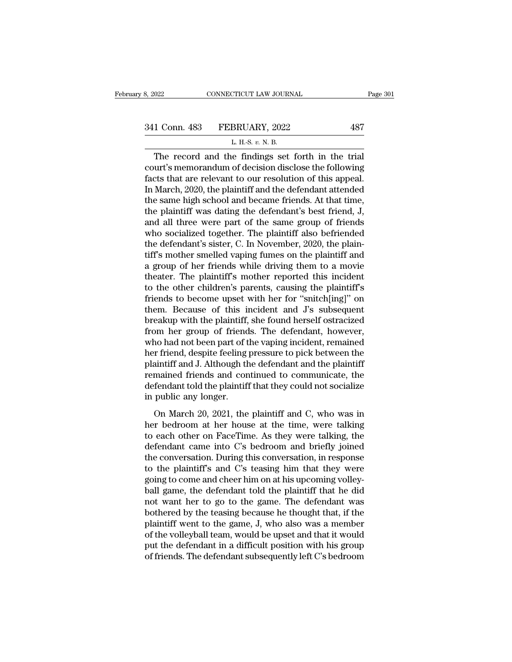| 3, 2022       | CONNECTICUT LAW JOURNAL                            | Page 301 |
|---------------|----------------------------------------------------|----------|
|               |                                                    |          |
| 341 Conn. 483 | FEBRUARY, 2022                                     | 487      |
|               | L. H.-S. $v$ . N. B.                               |          |
|               | The record and the findings set forth in the trial |          |

 $T_{\text{0.22}}$  connecticut LAW JOURNAL Page 3<br>
1 Conn. 483 FEBRUARY, 2022 487<br>
L. H.S. v. N. B.<br>
The record and the findings set forth in the trial<br>
urt's memorandum of decision disclose the following<br>
ats that are relayed 341 Conn. 483 FEBRUARY, 2022 487<br>
L. H.-S. v. N. B.<br>
The record and the findings set forth in the trial<br>
court's memorandum of decision disclose the following<br>
facts that are relevant to our resolution of this appeal.<br>
In 341 Conn. 483 FEBRUARY, 2022 487<br>
L. H.-S. v. N. B.<br>
The record and the findings set forth in the trial<br>
court's memorandum of decision disclose the following<br>
facts that are relevant to our resolution of this appeal.<br>
In 341 Conn. 483 FEBRUARY, 2022 487<br>
L. H.S. v. N. B.<br>
The record and the findings set forth in the trial<br>
court's memorandum of decision disclose the following<br>
facts that are relevant to our resolution of this appeal.<br>
In L. H.-S.  $v$ . N. B.<br>
The record and the findings set forth in the trial<br>
court's memorandum of decision disclose the following<br>
facts that are relevant to our resolution of this appeal.<br>
In March, 2020, the plaintiff and L. H.-S.  $v$ . N. B.<br>The record and the findings set forth in the trial<br>court's memorandum of decision disclose the following<br>facts that are relevant to our resolution of this appeal.<br>In March, 2020, the plaintiff and the The record and the findings set forth in the trial<br>court's memorandum of decision disclose the following<br>facts that are relevant to our resolution of this appeal.<br>In March, 2020, the plaintiff and the defendant attended<br>th court's memorandum of decision disclose the following<br>facts that are relevant to our resolution of this appeal.<br>In March, 2020, the plaintiff and the defendant attended<br>the same high school and became friends. At that time facts that are relevant to our resolution of this appeal.<br>In March, 2020, the plaintiff and the defendant attended<br>the same high school and became friends. At that time,<br>the plaintiff was dating the defendant's best friend In March, 2020, the plaintiff and the defendant attended<br>the same high school and became friends. At that time,<br>the plaintiff was dating the defendant's best friend, J,<br>and all three were part of the same group of friends<br> the same high school and became friends. At that time,<br>the plaintiff was dating the defendant's best friend, J,<br>and all three were part of the same group of friends<br>who socialized together. The plaintiff also befriended<br>th the plaintiff was dating the defendant's best friend, J,<br>and all three were part of the same group of friends<br>who socialized together. The plaintiff also befriended<br>the defendant's sister, C. In November, 2020, the plain-<br> and all three were part of the same group of friends<br>who socialized together. The plaintiff also befriended<br>the defendant's sister, C. In November, 2020, the plain-<br>tiff's mother smelled vaping fumes on the plaintiff and<br>a who socialized together. The plaintiff also befriended<br>the defendant's sister, C. In November, 2020, the plain-<br>tiff's mother smelled vaping fumes on the plaintiff and<br>a group of her friends while driving them to a movie<br>t the defendant's sister, C. In November, 2020, the plain-<br>tiff's mother smelled vaping fumes on the plaintiff and<br>a group of her friends while driving them to a movie<br>theater. The plaintiff's mother reported this incident<br>t tiff's mother smelled vaping fumes on the plaintiff and<br>a group of her friends while driving them to a movie<br>theater. The plaintiff's mother reported this incident<br>to the other children's parents, causing the plaintiff's<br>f a group of her friends while driving them to a movie<br>theater. The plaintiff's mother reported this incident<br>to the other children's parents, causing the plaintiff's<br>friends to become upset with her for "snitch[ing]" on<br>the theater. The plaintiff's mother reported this incident<br>to the other children's parents, causing the plaintiff's<br>friends to become upset with her for "snitch[ing]" on<br>them. Because of this incident and J's subsequent<br>breaku to the other children's parents, causing the plaintiff's<br>friends to become upset with her for "snitch[ing]" on<br>them. Because of this incident and J's subsequent<br>breakup with the plaintiff, she found herself ostracized<br>from friends to become upset with her for "snitch[ing]" on<br>them. Because of this incident and J's subsequent<br>breakup with the plaintiff, she found herself ostracized<br>from her group of friends. The defendant, however,<br>who had no them. Because of this incident and J's subsequent<br>breakup with the plaintiff, she found herself ostracized<br>from her group of friends. The defendant, however,<br>who had not been part of the vaping incident, remained<br>her frien breakup with the plaintiff, she found herself ostracized<br>from her group of friends. The defendant, however,<br>who had not been part of the vaping incident, remained<br>her friend, despite feeling pressure to pick between the<br>pl from her group of friend<br>who had not been part of t<br>her friend, despite feeling<br>plaintiff and J. Although th<br>remained friends and con<br>defendant told the plaintifi<br>in public any longer.<br>On March 20, 2021, the on March 20, 2021, the plaintiff and C, who was in<br>triff and J. Although the defendant and the plaintiff<br>mained friends and continued to communicate, the<br>fendant told the plaintiff that they could not socialize<br>public any her friend, despite forms pressure to plea served the plaintiff<br>plaintiff and J. Although the defendant and the plaintiff<br>remained friends and continued to communicate, the<br>defendant told the plaintiff that they could not

Framan and 3. Hanough the detendant and the plant.<br>
remained friends and continued to communicate, the<br>
defendant told the plaintiff that they could not socialize<br>
in public any longer.<br>
On March 20, 2021, the plaintiff an defendant told the plaintiff that they could not socialize<br>in public any longer.<br>On March 20, 2021, the plaintiff and C, who was in<br>her bedroom at her house at the time, were talking<br>to each other on FaceTime. As they were in public any longer.<br>
On March 20, 2021, the plaintiff and C, who was in<br>
her bedroom at her house at the time, were talking<br>
to each other on FaceTime. As they were talking, the<br>
defendant came into C's bedroom and brief In passisting and C, who was in<br>the plaintifft and C, who was in<br>the pedroom at her house at the time, were talking<br>to each other on FaceTime. As they were talking, the<br>defendant came into C's bedroom and briefly joined<br>th On March 20, 2021, the plaintiff and C, who was in<br>her bedroom at her house at the time, were talking<br>to each other on FaceTime. As they were talking, the<br>defendant came into C's bedroom and briefly joined<br>the conversation her bedroom at her house at the time, were talking<br>to each other on FaceTime. As they were talking, the<br>defendant came into C's bedroom and briefly joined<br>the conversation. During this conversation, in response<br>to the plai to each other on FaceTime. As they were talking, the<br>defendant came into C's bedroom and briefly joined<br>the conversation. During this conversation, in response<br>to the plaintiff's and C's teasing him that they were<br>going to defendant came into C's bedroom and briefly joined<br>the conversation. During this conversation, in response<br>to the plaintiff's and C's teasing him that they were<br>going to come and cheer him on at his upcoming volley-<br>ball g the conversation. During this conversation, in response<br>to the plaintiff's and C's teasing him that they were<br>going to come and cheer him on at his upcoming volley-<br>ball game, the defendant told the plaintiff that he did<br>n to the plaintiff's and C's teasing him that they were<br>going to come and cheer him on at his upcoming volley-<br>ball game, the defendant told the plaintiff that he did<br>not want her to go to the game. The defendant was<br>bothere going to come and cheer him on at his upcoming volley-<br>ball game, the defendant told the plaintiff that he did<br>not want her to go to the game. The defendant was<br>bothered by the teasing because he thought that, if the<br>plain ball game, the defendant told the plaintiff that he did<br>not want her to go to the game. The defendant was<br>bothered by the teasing because he thought that, if the<br>plaintiff went to the game, J, who also was a member<br>of the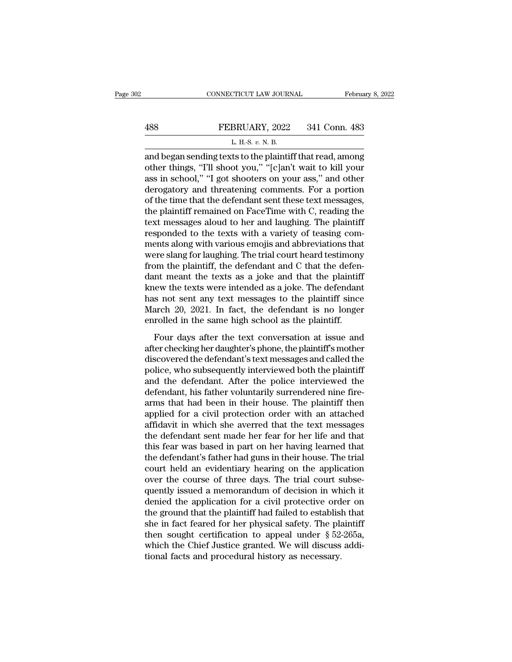# EXECUTE CONNECTICUT LAW JOURNAL February 8, 2022<br>488 FEBRUARY, 2022 341 Conn. 483<br>L. H.-S. v. N. B. CONNECTICUT LAW JOURNAL Februa<br>
488 FEBRUARY, 2022 341 Conn. 483<br>
L. H.-S. *v.* N. B.<br>
and began sending texts to the plaintiff that read, among

CONNECTICUT LAW JOURNAL February 8, 2022<br>
488 FEBRUARY, 2022 341 Conn. 483<br>
L. H.-S. v. N. B.<br>
and began sending texts to the plaintiff that read, among<br>
other things, "I'll shoot you," "[c]an't wait to kill your<br>
ass in s **EXECUARY, 2022** 341 Conn. 483<br>
L. H.-S. v. N. B.<br>
and began sending texts to the plaintiff that read, among<br>
other things, "I'll shoot you," "[c]an't wait to kill your<br>
ass in school," "I got shooters on your ass," and ot 488 FEBRUARY, 2022 341 Conn. 483<br>
L. H.-S.  $v$ . N. B.<br>
and began sending texts to the plaintiff that read, among<br>
other things, "I'll shoot you," "[c]an't wait to kill your<br>
ass in school," "I got shooters on your ass," a **EXECUARY, 2022** 341 Conn. 483<br>
L. H.S. v. N. B.<br>
and began sending texts to the plaintiff that read, among<br>
other things, "I'll shoot you," "[c]an't wait to kill your<br>
ass in school," "I got shooters on your ass," and ot L. H.-S.  $v$ . N. B.<br>
and began sending texts to the plaintiff that read, among<br>
other things, "T'll shoot you," "[c]an't wait to kill your<br>
ass in school," "I got shooters on your ass," and other<br>
derogatory and threateni L. H.-s.  $v$ . N. B.<br>and began sending texts to the plaintiff that read, among<br>other things, "I'll shoot you," "[c]an't wait to kill your<br>ass in school," "I got shooters on your ass," and other<br>derogatory and threatening c and began sending texts to the plaintiff that read, among<br>other things, "I'll shoot you," "[c]an't wait to kill your<br>ass in school," "I got shooters on your ass," and other<br>derogatory and threatening comments. For a portio other things, "I'll shoot you," "[c]an't wait to kill your<br>ass in school," "I got shooters on your ass," and other<br>derogatory and threatening comments. For a portion<br>of the time that the defendant sent these text messages, ass in school," "I got shooters on your ass," and other<br>derogatory and threatening comments. For a portion<br>of the time that the defendant sent these text messages,<br>the plaintiff remained on FaceTime with C, reading the<br>tex derogatory and threatening comments. For a portion<br>of the time that the defendant sent these text messages,<br>the plaintiff remained on FaceTime with C, reading the<br>text messages aloud to her and laughing. The plaintiff<br>resp of the time that the defendant sent these text messages,<br>the plaintiff remained on FaceTime with C, reading the<br>text messages aloud to her and laughing. The plaintiff<br>responded to the texts with a variety of teasing com-<br>m the plaintiff remained on FaceTime with C, reading the<br>text messages aloud to her and laughing. The plaintiff<br>responded to the texts with a variety of teasing com-<br>ments along with various emojis and abbreviations that<br>wer text messages aloud to her and laughing. The plaintiff<br>responded to the texts with a variety of teasing com-<br>ments along with various emojis and abbreviations that<br>were slang for laughing. The trial court heard testimony<br>f responded to the texts with a variety of teasing comments along with various emojis and abbreviations that<br>were slang for laughing. The trial court heard testimony<br>from the plaintiff, the defendant and C that the defen-<br>da ments along with various emojis and abbreviations that<br>were slang for laughing. The trial court heard testimony<br>from the plaintiff, the defendant and C that the defen-<br>dant meant the texts as a joke and that the plaintiff<br> were slang for laughing. The trial court heard testimony<br>from the plaintiff, the defendant and C that the defen-<br>dant meant the texts as a joke and that the plaintiff<br>knew the texts were intended as a joke. The defendant<br> Four days after the text conversation at issue and converse intensity the texts were intended as a joke. The defendant s not sent any text messages to the plaintiff since arch 20, 2021. In fact, the defendant is no longer and means are dense as a yone and and are plaintiff<br>knew the texts were intended as a joke. The defendant<br>has not sent any text messages to the plaintiff since<br>March 20, 2021. In fact, the defendant is no longer<br>enrolled i

has not sent any text messages to the plaintiff since<br>March 20, 2021. In fact, the defendant is no longer<br>enrolled in the same high school as the plaintiff.<br>Four days after the text conversation at issue and<br>after checking mas not sent any text messages to the plaintiff since<br>March 20, 2021. In fact, the defendant is no longer<br>enrolled in the same high school as the plaintiff.<br>Four days after the text conversation at issue and<br>after checking France 20, 2021. In face, are defendant is no forger<br>enrolled in the same high school as the plaintiff.<br>Four days after the text conversation at issue and<br>after checking her daughter's phone, the plaintiff's mother<br>discove Four days after the text conversation at issue and<br>after checking her daughter's phone, the plaintiff's mother<br>discovered the defendant's text messages and called the<br>police, who subsequently interviewed both the plaintiff Four days after the text conversation at issue and<br>after checking her daughter's phone, the plaintiff's mother<br>discovered the defendant's text messages and called the<br>police, who subsequently interviewed both the plaintiff after checking her daughter's phone, the plaintiff's mother<br>discovered the defendant's text messages and called the<br>police, who subsequently interviewed both the plaintiff<br>and the defendant. After the police interviewed th discovered the defendant's text messages and called the<br>police, who subsequently interviewed both the plaintiff<br>and the defendant. After the police interviewed the<br>defendant, his father voluntarily surrendered nine fire-<br>a police, who subsequently interviewed both the plaintiff<br>and the defendant. After the police interviewed the<br>defendant, his father voluntarily surrendered nine fire-<br>arms that had been in their house. The plaintiff then<br>app and the defendant. After the police interviewed the<br>defendant, his father voluntarily surrendered nine fire-<br>arms that had been in their house. The plaintiff then<br>applied for a civil protection order with an attached<br>affid defendant, his father voluntarily surrendered nine fire-<br>arms that had been in their house. The plaintiff then<br>applied for a civil protection order with an attached<br>affidavit in which she averred that the text messages<br>the arms that had been in their house. The plaintiff then<br>applied for a civil protection order with an attached<br>affidavit in which she averred that the text messages<br>the defendant sent made her fear for her life and that<br>this applied for a civil protection order with an attached<br>affidavit in which she averred that the text messages<br>the defendant sent made her fear for her life and that<br>this fear was based in part on her having learned that<br>the affidavit in which she averred that the text messages<br>the defendant sent made her fear for her life and that<br>this fear was based in part on her having learned that<br>the defendant's father had guns in their house. The trial<br> the defendant sent made her fear for her life and that<br>this fear was based in part on her having learned that<br>the defendant's father had guns in their house. The trial<br>court held an evidentiary hearing on the application<br>o this fear was based in part on her having learned that<br>the defendant's father had guns in their house. The trial<br>court held an evidentiary hearing on the application<br>over the course of three days. The trial court subse-<br>q the defendant's father had guns in their house. The trial<br>court held an evidentiary hearing on the application<br>over the course of three days. The trial court subse-<br>quently issued a memorandum of decision in which it<br>deni court held an evidentiary hearing on the application<br>over the course of three days. The trial court subse-<br>quently issued a memorandum of decision in which it<br>denied the application for a civil protective order on<br>the grou over the course of three days. The trial court subsequently issued a memorandum of decision in which it denied the application for a civil protective order on the ground that the plaintiff had failed to establish that she quently issued a memorandum of decision in wh<br>denied the application for a civil protective ord<br>the ground that the plaintiff had failed to establis<br>she in fact feared for her physical safety. The pla<br>then sought certifica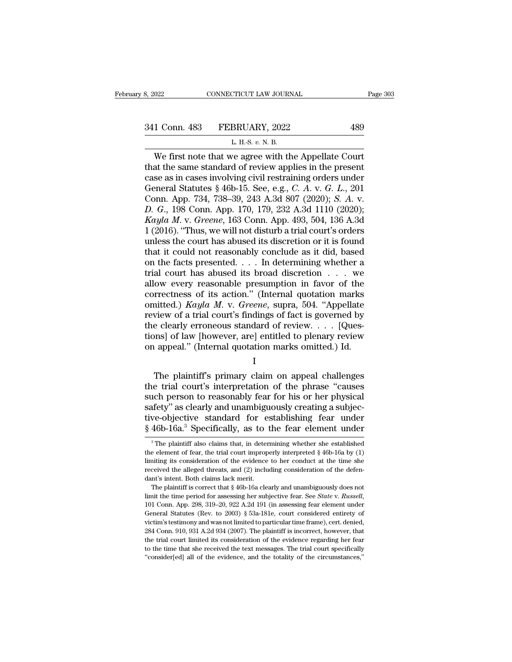CONNECTICUT LAW JOURNAL<br>
1 Conn. 483 FEBRUARY, 2022 489<br>
L. H.-S. *v.* N. B.<br>
We first note that we agree with the Appellate Court  $\begin{array}{r|l}\n 0.22 & \multicolumn{1}{c}{\text{COMRECTICUT LAW JOURNAL}} & \text{Page 30:} \\
 1 & \multicolumn{1}{c}{\text{Conn. 483}} & \text{FEBRUARY, 2022} & \text{489} \\
 & & \multicolumn{1}{c}{\text{L.H.S. } v. N. B.} \\
 \hline\n \text{We first note that we agree with the Appellate Court} \text{at the same standard of review applies in the present} \\\n\text{se as in cases involving civil restraining orders under} \end{array}$ 341 Conn. 483 FEBRUARY, 2022<br>
L. H.-S. v. N. B.<br>
We first note that we agree with the Appellate Court<br>
that the same standard of review applies in the present<br>
case as in cases involving civil restraining orders under<br>
Ge 341 Conn. 483 FEBRUARY, 2022 489<br>
L. H.-S. v. N. B.<br>
We first note that we agree with the Appellate Court<br>
that the same standard of review applies in the present<br>
case as in cases involving civil restraining orders under General Statutes § 46b-15. See, e.g., *C. A. v. G. L., 201*<br>Compared Statutes same standard of review applies in the present<br>case as in cases involving civil restraining orders under<br>General Statutes § 46b-15. See, e.g., L. H.S. v. N. B.<br>
We first note that we agree with the Appellate Court<br>
that the same standard of review applies in the present<br>
case as in cases involving civil restraining orders under<br>
General Statutes § 46b-15. See, e. *D. H.S. v. N. B.*<br> *D. H.S. v. N. B.*<br> *D. H.S. v. N. B.*<br> **D.** Gunthat the same standard of review applies in the present<br>
case as in cases involving civil restraining orders under<br>
General Statutes § 46b-15. See, e.g., We first note that we agree with the Appellate Court<br>that the same standard of review applies in the present<br>case as in cases involving civil restraining orders under<br>General Statutes § 46b-15. See, e.g., *C. A. v. G. L.*, that the same standard of review applies in the present<br>case as in cases involving civil restraining orders under<br>General Statutes § 46b-15. See, e.g., *C. A. v. G. L.*, 201<br>Conn. App. 734, 738–39, 243 A.3d 807 (2020); *S* case as in cases involving civil restraining orders under<br>General Statutes § 46b-15. See, e.g., *C. A. v. G. L.*, 201<br>Conn. App. 734, 738–39, 243 A.3d 807 (2020); *S. A. v.*<br>*D. G.*, 198 Conn. App. 170, 179, 232 A.3d 1110 General Statutes § 46b-15. See, e.g., *C. A. v. G. L.*, 201<br>Conn. App. 734, 738–39, 243 A.3d 807 (2020); *S. A. v.*<br>*D. G.*, 198 Conn. App. 170, 179, 232 A.3d 1110 (2020);<br>*Kayla M. v. Greene*, 163 Conn. App. 493, 504, 13 Conn. App. 734, 738–39, 243 A.3d 807 (2020); *S. A. v.*<br> *D. G.*, 198 Conn. App. 170, 179, 232 A.3d 1110 (2020);<br> *Kayla M. v. Greene*, 163 Conn. App. 493, 504, 136 A.3d<br>
1 (2016). "Thus, we will not disturb a trial court D. G., 198 Conn. App. 170, 179, 232 A.3d 1110 (2020);<br> *Kayla M. v. Greene*, 163 Conn. App. 493, 504, 136 A.3d<br>
1 (2016). "Thus, we will not disturb a trial court's orders<br>
unless the court has abused its discretion or it Kayla M. v. Greene, 163 Conn. App. 493, 504, 136 A.3d<br>1 (2016). "Thus, we will not disturb a trial court's orders<br>unless the court has abused its discretion or it is found<br>that it could not reasonably conclude as it did, 1 (2016). "Thus, we will not disturb a trial court's orders<br>unless the court has abused its discretion or it is found<br>that it could not reasonably conclude as it did, based<br>on the facts presented. . . . In determining whe unless the court has abused its discretion or it is found<br>that it could not reasonably conclude as it did, based<br>on the facts presented. . . . In determining whether a<br>trial court has abused its broad discretion . . . we<br>a that it could not reasonably conclude as it did, based<br>on the facts presented. . . . In determining whether a<br>trial court has abused its broad discretion  $\ldots$  we<br>allow every reasonable presumption in favor of the<br>correct on the facts presented. . . . In determining whether a<br>trial court has abused its broad discretion . . . we<br>allow every reasonable presumption in favor of the<br>correctness of its action." (Internal quotation marks<br>omitted. trial court has abused its broad discretion . . . . we<br>allow every reasonable presumption in favor of the<br>correctness of its action." (Internal quotation marks<br>omitted.) Kayla M. v. Greene, supra, 504. "Appellate<br>review o allow every reasonable presumption in favor of the correctness of its action." (Internal quotation marks omitted.) Kayla M. v. Greene, supra, 504. "Appellate review of a trial court's findings of fact is governed by the c The plaintiff's primary claim on appeal challenges<br>  $\alpha$  properties and the plane of a trial court's findings of fact is governed by<br>  $\alpha$  e clearly erroneous standard of review. . . . [Ques-<br>  $\alpha$  ppeal." (Internal quota

I

the clearly erroneous standard of review.  $\dots$  [Questions] of law [however, are] entitled to plenary review<br>on appeal." (Internal quotation marks omitted.) Id.<br>I<br>The plaintiff's primary claim on appeal challenges<br>the tria From to reasonable to review  $\ldots$  is a reasonable to reasonable to plenary review on appeal." (Internal quotation marks omitted.) Id.<br>  $I$ <br>
The plaintiff's primary claim on appeal challenges<br>
the trial court's interpreta safety'' as clearly internal quotation marks omitted.) Id.<br>
I<br>
The plaintiff's primary claim on appeal challenges<br>
the trial court's interpretation of the phrase "causes<br>
such person to reasonably fear for his or her physi I<br>I<br>The plaintiff's primary claim on appeal challenges<br>the trial court's interpretation of the phrase "causes<br>such person to reasonably fear for his or her physical<br>safety" as clearly and unambiguously creating a subjec-<br>t <sup>1</sup><br>The plaintiff's primary claim on appeal challenges<br>the trial court's interpretation of the phrase "causes<br>such person to reasonably fear for his or her physical<br>safety" as clearly and unambiguously creating a subjec-<br>t 12 The plaintiff also claims that, in determining whether she established eelement of fear, the trial court improperly interpreted  $\S$  46b-16a by (1)  $\S$ <sup>3</sup> The plaintiff also claims that, in determining whether she estab safety" as clearly and unambiguously creating a subjective-objective standard for establishing fear under  $§$  46b-16a.<sup>3</sup> Specifically, as to the fear element under  $\frac{3}{10}$  The plaintiff also claims that, in determinin

tive-objective standard for establishing fear under  $§$  46b-16a.<sup>3</sup> Specifically, as to the fear element under  $\frac{3}{10}$  The plaintiff also claims that, in determining whether she established the element of fear, the tri  $\frac{8}{3}$  46b-16a.<sup>3</sup> Specifically, as to the fear element under<br><sup>3</sup>The plaintiff also claims that, in determining whether she established<br>the element of fear, the trial court improperly interpreted § 46b-16a by (1)<br>limit  $\frac{1}{3}$  The plaintiff also claims that, in deter<br>the element of fear, the trial court improp<br>limiting its consideration of the evidence<br>received the alleged threats, and (2) includant's intent. Both claims lack merit.<br>T <sup>3</sup> The plaintiff also claims that, in determining whether she established e element of fear, the trial court improperly interpreted  $\S$  46b-16a by (1) initing its consideration of the evidence to her conduct at the time

limit the time period for assessing her subjective fear. See *State* v. *Russell*, ill mitting its consideration of the evidence to her conduct at the time she received the alleged threats, and (2) including consideration Free ived the alleged threats, and (2) including consideration of the defendant's intent. Both claims lack merit.<br>The plaintiff is correct that § 46b-16a clearly and unambiguously does not limit the time period for assess victim's intent. Both claims lack merit.<br>The plaintiff is correct that § 46b-16a clearly and unambiguously does not<br>limit the time period for assessing her subjective fear. See *State v. Russell*,<br>101 Conn. App. 298, 319–2 The plaintiff is correct that  $\S$  46b-16a clearly and unambiguously does not limit the time period for assessing her subjective fear. See *State* v. *Russell*, 101 Conn. App. 298, 319–20, 922 A.2d 191 (in assessing fear e Ilmit the time period for assessing her subjective fear. See *State v. Russell*, 101 Conn. App. 298, 319–20, 922 A.2d 191 (in assessing fear element under General Statutes (Rev. to 2003) § 53a-181e, court considered entire to the time that she received the text messages. The risk of the court considered entirety of General Statutes (Rev. to 2003) § 53a-181e, court considered entirety of victim's testimony and was not limited to particular t 101 Conn. App. 298, 319–20, 922 A.2d 191 (in assessing fear element under General Statutes (Rev. to 2003) § 53a-181e, court considered entirety of victim's testimony and was not limited to particular time frame), cert. de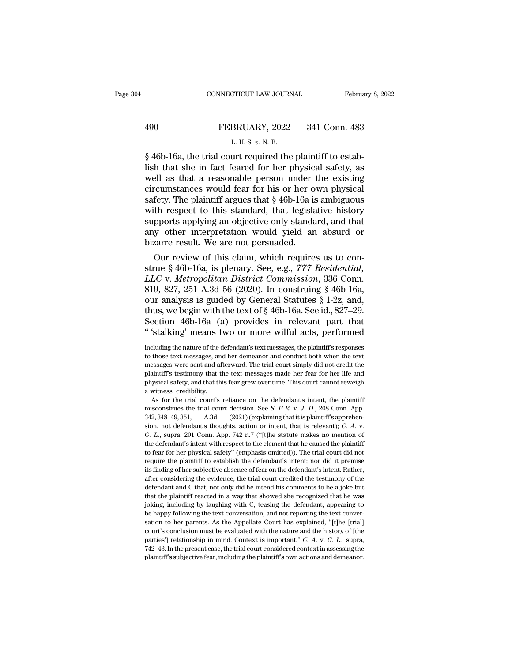# CONNECTICUT LAW JOURNAL February 8, 2022<br>490 FEBRUARY, 2022 341 Conn. 483<br>L. H.-S. v. N. B. CONNECTICUT LAW JOURNAL Februa<br>
FEBRUARY, 2022 341 Conn. 483<br>
L. H.-S. *v.* N. B.<br>
846b-16a, the trial court required the plaintiff to estab-

CONNECTICUT LAW JOURNAL Februa<br>  $\begin{array}{r} \text{Februz} \\ \text{FEBRUARY, 2022} \\ \text{L H.S. } v. N. B. \\ \text{M545} \\ \text{M6516a, the trial court required the plaintiff to establish that she in fact feared for her physical safety, as well as that a reasonable person under the existing$ FEBRUARY, 2022 341 Conn. 483<br>
L. H.S. v. N. B.<br>
S. 46b-16a, the trial court required the plaintiff to establish that she in fact feared for her physical safety, as<br>
well as that a reasonable person under the existing<br>
circ FEBRUARY, 2022 341 Conn. 483<br>
L. H.-S. v. N. B.<br>
S. 46b-16a, the trial court required the plaintiff to establish that she in fact feared for her physical safety, as<br>
well as that a reasonable person under the existing<br>
ci FEBRUARY, 2022 341 Conn. 483<br>
L. H.S. v. N. B.<br>
§ 46b-16a, the trial court required the plaintiff to establish that she in fact feared for her physical safety, as<br>
well as that a reasonable person under the existing<br>
circ EXECTIVE, 2022 FORT COMMEDS<br>
L. H.S. v. N. B.<br>
S. 46b-16a, the trial court required the plaintiff to establish that she in fact feared for her physical safety, as<br>
well as that a reasonable person under the existing<br>
circ L. H.-S.  $v$ . N. B.<br>
S. 46b-16a, the trial court required the plaintiff to establish that she in fact feared for her physical safety, as<br>
well as that a reasonable person under the existing<br>
circumstances would fear for h  $\S$  46b-16a, the trial court required the plaintiff to establish that she in fact feared for her physical safety, as<br>well as that a reasonable person under the existing<br>circumstances would fear for his or her own physical lish that she in fact feared for her physical safety, as<br>well as that a reasonable person under the existing<br>circumstances would fear for his or her own physical<br>safety. The plaintiff argues that § 46b-16a is ambiguous<br>wit well as that a reasonable person under incircumstances would fear for his or her of safety. The plaintiff argues that § 46b-16a is with respect to this standard, that legisla supports applying an objective-only standard an reumstances would rear for his or her own physical<br>fety. The plaintiff argues that  $\S$  46b-16a is ambiguous<br>th respect to this standard, that legislative history<br>pports applying an objective-only standard, and that<br>y othe safety. The plaintiff argues that § 46b-16a is ambiguous<br>with respect to this standard, that legislative history<br>supports applying an objective-only standard, and that<br>any other interpretation would yield an absurd or<br>biza

with respect to this standard, that legislative history<br>supports applying an objective-only standard, and that<br>any other interpretation would yield an absurd or<br>bizarre result. We are not persuaded.<br>Our review of this clai supports applying an objective-only standard, and that<br>any other interpretation would yield an absurd or<br>bizarre result. We are not persuaded.<br>Our review of this claim, which requires us to con-<br>strue § 46b-16a, is plenar any other interpretation would yield an absurd or<br>bizarre result. We are not persuaded.<br>Our review of this claim, which requires us to con-<br>strue § 46b-16a, is plenary. See, e.g., 777 Residential,<br>LLC v. Metropolitan Dist bizarre result. We are not persuaded.<br>
Our review of this claim, which requires us to construe § 46b-16a, is plenary. See, e.g., 777 Residential,<br>
LLC v. Metropolitan District Commission, 336 Conn.<br>
819, 827, 251 A.3d 56 Our review of this claim, which requires us to construe § 46b-16a, is plenary. See, e.g., 777 Residential, LLC v. Metropolitan District Commission, 336 Conn.<br>819, 827, 251 A.3d 56 (2020). In construing § 46b-16a, our analy strue § 46b-16a, is plenary. See, e.g., 777 Residential,<br>LLC v. Metropolitan District Commission, 336 Conn.<br>819, 827, 251 A.3d 56 (2020). In construing § 46b-16a,<br>our analysis is guided by General Statutes § 1-2z, and,<br>thu our analysis is guided by General Statutes § 1-2z, and,<br>thus, we begin with the text of § 46b-16a. See id., 827–29.<br>Section 46b-16a (a) provides in relevant part that<br>"stalking' means two or more wilful acts, performed<br>inc thus, we begin with the text of  $\S$  46b-16a. See id., 827–29.<br>Section 46b-16a (a) provides in relevant part that<br>"stalking" means two or more wilful acts, performed<br>including the nature of the defendant's text messages, t

Section 46b-16a (a) provides in relevant part that<br>"'stalking' means two or more wilful acts, performed<br>including the nature of the defendant's text messages, the plaintiff's responses<br>to those text messages, and her demea "Stalking' means two or more wilful acts, performed<br>including the nature of the defendant's text messages, the plaintiff's responses<br>to those text messages, and her demeanor and conduct both when the text<br>messages were sen starking intearts two or ntore wintu acts, performed<br>including the nature of the defendant's text messages, the plaintiff's responses<br>to those text messages, and her demeanor and conduct both when the text<br>messages were se including the nature of the c<br>to those text messages, an<br>messages were sent and af<br>plaintiff's testimory that ti<br>physical safety, and that th<br>a witness' credibility.<br>As for the trial court's those text messages, and her demeanor and conduct both when the text essages were sent and afterward. The trial court simply did not credit the aintiff's testimony that the text messages made her fear for her life and sys messages were sent and afterward. The trial court simply did not credit the plaintiff's testimony that the text messages made her fear for her life and physical safety, and that this fear grew over time. This court cannot

physical safety, and that this fear grew over time. This court cannot reweigh<br>a witness' credibility.<br>As for the trial court's reliance on the defendant's intent, the plaintiff<br>misconstrues the trial court decision. See physical safety, and that this fear grew over time. This court cannot reweigh a witness' credibility.<br>As for the trial court's reliance on the defendant's intent, the plaintiff misconstrues the trial court decision. See *S* As for the trial court's reliance on the defendant's intent, the plaintiff misconstrues the trial court decision. See *S. B-R. v. J. D.*, 208 Conn. App. 342, 348–49, 351, A.3d (2021) (explaining that it is plaintiff's app misconstrues the trial court decision. See *S. B-R. v. J. D.*, 208 Conn. App.<br>342, 348–49, 351, A.3d (2021) (explaining that it is plaintiff's apprehension, not defendant's thoughts, action or intent, that is relevant); 342, 348–49, 351, A.3d (2021) (explaining that it is plaintiff's apprehension, not defendant's thoughts, action or intent, that is relevant); *C. A. v. G. L.*, supra, 201 Conn. App. 742 n.7 ("[t]he statute makes no ment Figure 10. The subjective absence of fear on the defendant's change of  $L$ , supra, 201 Conn. App. 742 n.7 ("[t]he statute makes no mention of the defendant's intent with respect to the element that he caused the plaintiff *a*. *L*, supra, 201 Conn. App. 742 n.7 ("[t]he statute makes no mention of the defendant's intent with respect to the element that he caused the plaintiff to fear for her physical safety" (emphasis omitted)). The trial c defendant's intent with respect to the element that he caused the plaintiff to fear for her physical safety" (emphasis omitted)). The trial court did not require the plaintiff to establish the defendant's intent; nor did i to fear for her physical safety" (emphasis omitted)). The trial court did not require the plaintiff to establish the defendant's intent; nor did it premise its finding of her subjective absence of fear on the defendant's i require the plaintiff to establish the defendant's intent; nor did it premise its finding of her subjective absence of fear on the defendant's intent. Rather, after considering the evidence, the trial court credited the te Figure 1.1 The final map of her subjective absence of fear on the defendant's intent. Rather, after considering the evidence, the trial court credited the testimony of the defendant and C that, not only did he intend his sation to her parents. As the Appellate Court has explained, "[the Itrial court credited the testimony of the defendant and C that, not only did he intend his comments to be a joke but that the plaintiff reacted in a way t defendant and C that, not only did he intend his comments to be a joke but that the plaintiff reacted in a way that showed she recognized that he was joking, including by laughing with C, teasing the defendant, appearing defendant and C that, not only did he intend his comments to be a joke but<br>that the plaintiff reacted in a way that showed she recognized that he was<br>joking, including by laughing with C, teasing the defendant, appearing t induction, including by laughing with C, teasing the defendant, appearing to be happy following the text conversation, and not reporting the text conversation to her parents. As the Appellate Court has explained, "[t]he [t be happy following the text conversation, and not reporting the text conver-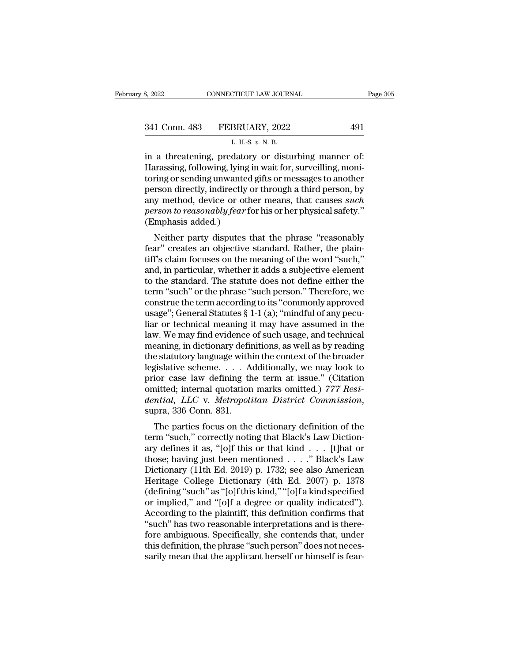| 8, 2022       | CONNECTICUT LAW JOURNAL                            | Page 305 |
|---------------|----------------------------------------------------|----------|
| 341 Conn. 483 | FEBRUARY, 2022                                     | 491      |
|               | L. H.-S. v. N. B.                                  |          |
|               | in a threatening predatory or disturbing manner of |          |

3, 2022 CONNECTICUT LAW JOURNAL Page:<br>
341 Conn. 483 FEBRUARY, 2022 491<br>
L. H.-S. v. N. B.<br>
in a threatening, predatory or disturbing manner of:<br>
Harassing, following, lying in wait for, surveilling, moni-341 Conn. 483 FEBRUARY, 2022 491<br>
L. H.-S. v. N. B.<br>
in a threatening, predatory or disturbing manner of:<br>
Harassing, following, lying in wait for, surveilling, moni-<br>
toring or sending unwanted gifts or messages to anothe 341 Conn. 483 FEBRUARY, 2022 491<br>
L. H.-S.  $v$ . N. B.<br>
in a threatening, predatory or disturbing manner of:<br>
Harassing, following, lying in wait for, surveilling, moni-<br>
toring or sending unwanted gifts or messages to ano 341 Conn. 483 FEBRUARY, 2022 491<br>
L. H.S.  $v$ . N. B.<br>
in a threatening, predatory or disturbing manner of:<br>
Harassing, following, lying in wait for, surveilling, moni-<br>
toring or sending unwanted gifts or messages to anot L. H.S. *v.* N. B.<br>
in a threatening, predatory or disturbing manner of:<br>
Harassing, following, lying in wait for, surveilling, moni-<br>
toring or sending unwanted gifts or messages to another<br>
person directly, indirectly or *person to reasonably fear* for his or her physical safety.<br> *person directly, indirectly or through a third person, by any method, device or other means, that causes <i>such person to reasonably fear* for his or her physi in a threatening, predator<br>Harassing, following, lying i<br>toring or sending unwanted<br>person directly, indirectly c<br>any method, device or oth<br>person to reasonably fear fo<br>(Emphasis added.)<br>Neither party disputes t relative of sending in ward for, survening, montring or sending unwanted gifts or messages to another<br>rson directly, indirectly or through a third person, by<br>y method, device or other means, that causes *such*<br>rson to reas forms of sending unwanted gifts of messages to another<br>person directly, indirectly or through a third person, by<br>any method, device or other means, that causes *such<br>person to reasonably fear* for his or her physical safet

person unectly, indirectly of through a third person, by<br>any method, device or other means, that causes *such*<br>person to reasonably fear for his or her physical safety."<br>(Emphasis added.)<br>Neither party disputes that the ph any method, device of other means, that causes such<br>person to reasonably fear for his or her physical safety."<br>(Emphasis added.)<br>Neither party disputes that the phrase "reasonably<br>fear" creates an objective standard. Rathe person to reasonaby jear for fits of her physical safety.<br>
(Emphasis added.)<br>
Neither party disputes that the phrase "reasonably<br>
fear" creates an objective standard. Rather, the plain-<br>
tiff's claim focuses on the meaning Neither party disputes that the phrase "reasonably<br>fear" creates an objective standard. Rather, the plain-<br>tiff's claim focuses on the meaning of the word "such,"<br>and, in particular, whether it adds a subjective element<br>t Neither party disputes that the phrase "reasonably<br>fear" creates an objective standard. Rather, the plain-<br>tiff's claim focuses on the meaning of the word "such,"<br>and, in particular, whether it adds a subjective element<br>to fear" creates an objective standard. Rather, the plaintiff's claim focuses on the meaning of the word "such,"<br>and, in particular, whether it adds a subjective element<br>to the standard. The statute does not define either the tiff's claim focuses on the meaning of the word "such,"<br>and, in particular, whether it adds a subjective element<br>to the standard. The statute does not define either the<br>term "such" or the phrase "such person." Therefore, w and, in particular, whether it adds a subjective element<br>to the standard. The statute does not define either the<br>term "such" or the phrase "such person." Therefore, we<br>construe the term according to its "commonly approved<br> to the standard. The statute does not define either the<br>term "such" or the phrase "such person." Therefore, we<br>construe the term according to its "commonly approved<br>usage"; General Statutes § 1-1 (a); "mindful of any pecuterm "such" or the phrase "such person." Therefore, we<br>construe the term according to its "commonly approved<br>usage"; General Statutes § 1-1 (a); "mindful of any pecu-<br>liar or technical meaning it may have assumed in the<br>la construe the term according to its "commonly approved<br>usage"; General Statutes § 1-1 (a); "mindful of any pecu-<br>liar or technical meaning it may have assumed in the<br>law. We may find evidence of such usage, and technical<br>m usage"; General Statutes § 1-1 (a); "mindful of any pecular or technical meaning it may have assumed in the law. We may find evidence of such usage, and technical meaning, in dictionary definitions, as well as by reading liar or technical meaning it may have assumed in the<br>law. We may find evidence of such usage, and technical<br>meaning, in dictionary definitions, as well as by reading<br>the statutory language within the context of the broader Iaw. We may find evidence of such usage, and technical<br>meaning, in dictionary definitions, as well as by reading<br>the statutory language within the context of the broader<br>legislative scheme. . . . Additionally, we may look Estatutory language whill the collect of the broader<br>gislative scheme.... Additionally, we may look to<br>ior case law defining the term at issue." (Citation<br>initted; internal quotation marks omitted.) 777 *Resi-<br>mtial, LLC* degislative scheme. . . . Additionally, we may look to prior case law defining the term at issue." (Citation omitted; internal quotation marks omitted.) 777 Residential, LLC v. Metropolitan District Commission, supra, 336

prior case faw defining the term at issue. (Citation<br>
omitted; internal quotation marks omitted.) 777 Resi-<br>
dential, LLC v. Metropolitan District Commission,<br>
supra, 336 Conn. 831.<br>
The parties focus on the dictionary de omitted, internal quotation marks omitted.) THT hesi-<br>dential, LLC v. Metropolitan District Commission,<br>supra, 336 Conn. 831.<br>The parties focus on the dictionary definition of the<br>term "such," correctly noting that Black' dential, *LEC* v. *Metropolitan District Commission*,<br>supra, 336 Conn. 831.<br>The parties focus on the dictionary definition of the<br>term "such," correctly noting that Black's Law Diction-<br>ary defines it as, "[o]f this or tha Supra, 550 Colul. 851.<br>
The parties focus on the dictionary definition of the<br>
term "such," correctly noting that Black's Law Diction-<br>
ary defines it as, "[o]f this or that kind . . . [t]hat or<br>
those; having just been m The parties focus on the dictionary definition of the<br>term "such," correctly noting that Black's Law Diction-<br>ary defines it as, "[o]f this or that kind . . . [t]hat or<br>those; having just been mentioned . . . . " Black's term "such," correctly noting that Black's Law Diction-<br>ary defines it as, "[o]f this or that kind . . . [t]hat or<br>those; having just been mentioned . . . ." Black's Law<br>Dictionary (11th Ed. 2019) p. 1732; see also America ary defines it as, "[o]f this or that kind . . . [t]hat or<br>those; having just been mentioned . . . ." Black's Law<br>Dictionary (11th Ed. 2019) p. 1732; see also American<br>Heritage College Dictionary (4th Ed. 2007) p. 1378<br>(d those; having just been mentioned  $\ldots$ ." Black's Law Dictionary (11th Ed. 2019) p. 1732; see also American Heritage College Dictionary (4th Ed. 2007) p. 1378 (defining "such" as "[o]f this kind," "[o]f a kind specified o Dictionary (11th Ed. 2019) p. 1732; see also American<br>Heritage College Dictionary (4th Ed. 2007) p. 1378<br>(defining "such" as "[o]f this kind," "[o]f a kind specified<br>or implied," and "[o]f a degree or quality indicated").<br> Heritage College Dictionary (4th Ed. 2007) p. 1378<br>(defining "such" as "[0]f this kind," "[0]f a kind specified<br>or implied," and "[0]f a degree or quality indicated").<br>According to the plaintiff, this definition confirms t (defining "such" as "[o]f this kind," "[o]f a kind specified<br>or implied," and "[o]f a degree or quality indicated").<br>According to the plaintiff, this definition confirms that<br>"such" has two reasonable interpretations and i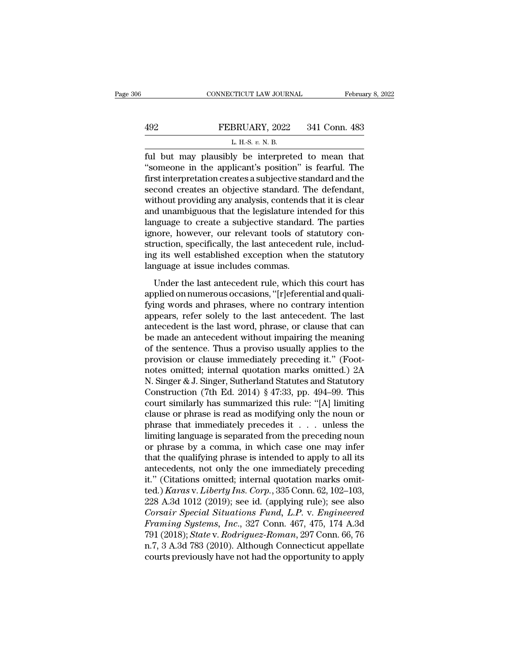|     | CONNECTICUT LAW JOURNAL                           | February 8, 2022 |
|-----|---------------------------------------------------|------------------|
|     |                                                   |                  |
| 492 | FEBRUARY, 2022<br>L. H.-S. $v$ . N. B.            | 341 Conn. 483    |
|     | ful but may plausibly be interpreted to mean that |                  |

February 8, 202<br>
FEBRUARY, 2022 341 Conn. 483<br>
L. H.S. v. N. B.<br>
L. H.S. v. N. B.<br>
Tul but may plausibly be interpreted to mean that<br>
"someone in the applicant's position" is fearful. The<br>
first interpretation graphs a su FEBRUARY, 2022 341 Conn. 483<br>
L. H.-S. v. N. B.<br>
L. H.-S. v. N. B.<br>
Tul but may plausibly be interpreted to mean that<br>
"someone in the applicant's position" is fearful. The<br>
first interpretation creates a subjective standa FEBRUARY, 2022 341 Conn. 483<br>
L. H.-S.  $v$ . N. B.<br>
ful but may plausibly be interpreted to mean that<br>
"someone in the applicant's position" is fearful. The<br>
first interpretation creates a subjective standard and the<br>
seco FEBRUARY, 2022 341 Conn. 483<br>
L. H.-S. v. N. B.<br>
ful but may plausibly be interpreted to mean that<br>
"someone in the applicant's position" is fearful. The<br>
first interpretation creates a subjective standard and the<br>
second EXECUTE: THE CELL THE COLL THE<br>
L. H.-S. v. N. B.<br>
"Someone in the applicant's position" is fearful. The<br>
first interpretation creates a subjective standard and the<br>
second creates an objective standard. The defendant,<br>
w L. H.S.  $v$ . N. B.<br>
ful but may plausibly be interpreted to mean that<br>
"someone in the applicant's position" is fearful. The<br>
first interpretation creates a subjective standard and the<br>
second creates an objective standar ful but may plausibly be interpreted to mean that<br>"someone in the applicant's position" is fearful. The<br>first interpretation creates a subjective standard and the<br>second creates an objective standard. The defendant,<br>withou "someone in the applicant's position" is fearful. The<br>first interpretation creates a subjective standard and the<br>second creates an objective standard. The defendant,<br>without providing any analysis, contends that it is clea first interpretation creates a subjective standard and the second creates an objective standard. The defendant, without providing any analysis, contends that it is clear and unambiguous that the legislature intended for th second creates an objective standard. The defendant,<br>without providing any analysis, contends that it is clear<br>and unambiguous that the legislature intended for this<br>language to create a subjective standard. The parties<br>ig without providing any analysis, contends<br>and unambiguous that the legislature inte<br>language to create a subjective standard<br>ignore, however, our relevant tools of s<br>struction, specifically, the last anteceden<br>ing its well In the last and the registrative methods for any against and any again and any again are convergenced by convertion, specifically, the last antecedent rule, included its well established exception when the statutory agains language to create a subjective standard. The parties<br>ignore, however, our relevant tools of statutory con-<br>struction, specifically, the last antecedent rule, includ-<br>ing its well established exception when the statutory<br>l

function, specifically, the last antecedent rule, includ-<br>ing its well established exception when the statutory<br>language at issue includes commas.<br>Under the last antecedent rule, which this court has<br>applied on numerous oc and the stablished exception when the statutory<br>ing its well established exception when the statutory<br>language at issue includes commas.<br>Under the last antecedent rule, which this court has<br>applied on numerous occasions, " Ianguage at issue includes commas.<br>
Under the last antecedent rule, which this court has<br>
applied on numerous occasions, "[r]eferential and quali-<br>
fying words and phrases, where no contrary intention<br>
appears, refer solel Under the last antecedent rule, which this court has<br>applied on numerous occasions, "[r]eferential and quali-<br>fying words and phrases, where no contrary intention<br>appears, refer solely to the last antecedent. The last<br>ant Under the last antecedent rule, which this court has<br>applied on numerous occasions, "[r]eferential and quali-<br>fying words and phrases, where no contrary intention<br>appears, refer solely to the last antecedent. The last<br>ant applied on numerous occasions, "[r]eferential and qualifying words and phrases, where no contrary intention<br>appears, refer solely to the last antecedent. The last<br>antecedent is the last word, phrase, or clause that can<br>be fying words and phrases, where no contrary intention<br>appears, refer solely to the last antecedent. The last<br>antecedent is the last word, phrase, or clause that can<br>be made an antecedent without impairing the meaning<br>of th appears, refer solely to the last antecedent. The last<br>antecedent is the last word, phrase, or clause that can<br>be made an antecedent without impairing the meaning<br>of the sentence. Thus a proviso usually applies to the<br>prov antecedent is the last word, phrase, or clause that can<br>be made an antecedent without impairing the meaning<br>of the sentence. Thus a proviso usually applies to the<br>provision or clause immediately preceding it." (Foot-<br>notes be made an antecedent without impairing the meaning<br>of the sentence. Thus a proviso usually applies to the<br>provision or clause immediately preceding it." (Foot-<br>notes omitted; internal quotation marks omitted.) 2A<br>N. Singe of the sentence. Thus a proviso usually applies to the<br>provision or clause immediately preceding it." (Foot-<br>notes omitted; internal quotation marks omitted.) 2A<br>N. Singer & J. Singer, Sutherland Statutes and Statutory<br>Con provision or clause immediately preceding it." (Footnotes omitted; internal quotation marks omitted.) 2A<br>N. Singer & J. Singer, Sutherland Statutes and Statutory<br>Construction (7th Ed. 2014) § 47:33, pp. 494–99. This<br>court notes omitted; internal quotation marks omitted.) 2A<br>N. Singer & J. Singer, Sutherland Statutes and Statutory<br>Construction (7th Ed. 2014) § 47:33, pp. 494–99. This<br>court similarly has summarized this rule: "[A] limiting<br>cl N. Singer & J. Singer, Sutherland Statutes and Statutory<br>Construction (7th Ed. 2014) § 47:33, pp. 494–99. This<br>court similarly has summarized this rule: "[A] limiting<br>clause or phrase is read as modifying only the noun or Construction (7th Ed. 2014) § 47:33, pp. 494–99. This<br>court similarly has summarized this rule: "[A] limiting<br>clause or phrase is read as modifying only the noun or<br>phrase that immediately precedes it  $\dots$  unless the<br>limi court similarly has summarized this rule: "[A] limiting<br>clause or phrase is read as modifying only the noun or<br>phrase that immediately precedes it . . . unless the<br>limiting language is separated from the preceding noun<br>or clause or phrase is read as modifying only the noun or phrase that immediately precedes it . . . unless the limiting language is separated from the preceding noun or phrase by a comma, in which case one may infer that the phrase that immediately precedes it . . . unless the<br>limiting language is separated from the preceding noun<br>or phrase by a comma, in which case one may infer<br>that the qualifying phrase is intended to apply to all its<br>antec limiting language is separated from the preceding noun<br>or phrase by a comma, in which case one may infer<br>that the qualifying phrase is intended to apply to all its<br>antecedents, not only the one immediately preceding<br>it." or phrase by a comma, in which case one may infer<br>that the qualifying phrase is intended to apply to all its<br>antecedents, not only the one immediately preceding<br>it." (Citations omitted; internal quotation marks omit-<br>ted.) *Framing Systems, Inc., 327 Conn. 467, 475, 174 A.3d*<br> *Framing Systems, Inc., 335 Conn. 467, 475, 102–103, 474 A.3d 1012 (2019); see id. (applying rule); see also<br>
<i>Framing Systems, Inc., 327 Conn. 467, 475, 174 A.3d 791* antecedents, not only the one immediately preceding<br>it." (Citations omitted; internal quotation marks omit-<br>ted.) *Karas* v. *Liberty Ins. Corp.*, 335 Conn. 62, 102–103,<br>228 A.3d 1012 (2019); see id. (applying rule); see a it." (Citations omitted; internal quotation marks omitted.) Karas v. Liberty Ins. Corp., 335 Conn. 62, 102–103, 228 A.3d 1012 (2019); see id. (applying rule); see also Corsair Special Situations Fund, L.P. v. Engineered Fr ted.) *Karas v. Liberty Ins. Corp.*, 335 Conn. 62, 102–103, 228 A.3d 1012 (2019); see id. (applying rule); see also *Corsair Special Situations Fund, L.P. v. Engineered Framing Systems, Inc.*, 327 Conn. 467, 475, 174 A.3d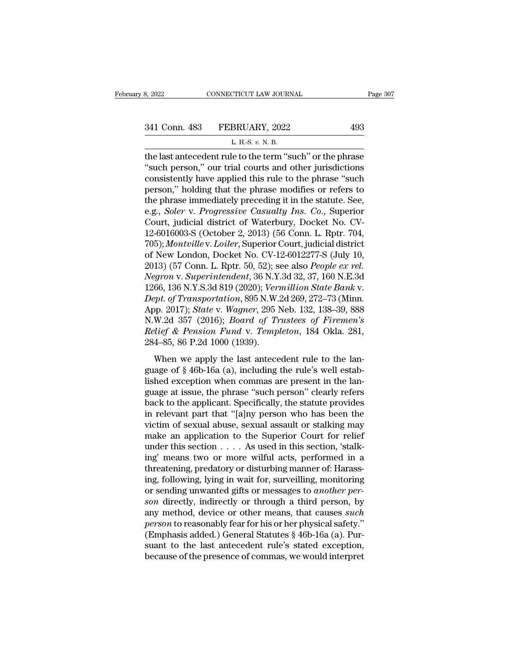341 Conn. 483 FEBRUARY, 2022 493

8, 2022 CONNECTICUT LAW JOURNAL<br>
341 Conn. 483 FEBRUARY, 2022 493<br>
L. H.-S. *v.* N. B.<br>
the last antecedent rule to the term "such" or the phrase 3, 2022 CONNECTICUT LAW JOURNAL Page 307<br>  $341$  Conn. 483 FEBRUARY, 2022 493<br>  $L$  H.S.  $v$ . N. B.<br>
the last antecedent rule to the term "such" or the phrase "such person," our trial courts and other jurisdictions<br>
consist 341 Conn. 483 FEBRUARY, 2022<br>
L. H.-S. v. N. B.<br>
the last antecedent rule to the term "such" or the phrase "such person," our trial courts and other jurisdictions<br>
consistently have applied this rule to the phrase "such pe 341 Conn. 483 FEBRUARY, 2022 493<br>
L. H.S. v. N. B.<br>
the last antecedent rule to the term "such" or the phrase "such person," our trial courts and other jurisdictions<br>
consistently have applied this rule to the phrase "suc 341 Conn. 483 FEBRUARY, 2022 493<br>
L. H.S. v. N. B.<br>
the last antecedent rule to the term "such" or the phrase<br>
"such person," our trial courts and other jurisdictions<br>
consistently have applied this rule to the phrase "su L. H.-S.  $v$ . N. B.<br>
the last antecedent rule to the term "such" or the phrase "such person," our trial courts and other jurisdictions<br>
consistently have applied this rule to the phrase "such<br>
person," holding that the ph L. H.-S. *v.* N. B.<br>
the last antecedent rule to the term "such" or the phrase<br>
"such person," our trial courts and other jurisdictions<br>
consistently have applied this rule to the phrase "such<br>
person," holding that the ph the last antecedent rule to the term "such" or the phrase "such person," our trial courts and other jurisdictions consistently have applied this rule to the phrase "such person," holding that the phrase modifies or refers "such person," our trial courts and other jurisdictions<br>consistently have applied this rule to the phrase "such<br>person," holding that the phrase modifies or refers to<br>the phrase immediately preceding it in the statute. Se consistently have applied this rule to the phrase "such<br>person," holding that the phrase modifies or refers to<br>the phrase immediately preceding it in the statute. See,<br>e.g., *Soler* v. *Progressive Casualty Ins. Co.*, Supe person," holding that the phrase modifies or refers to<br>the phrase immediately preceding it in the statute. See,<br>e.g., *Soler* v. *Progressive Casualty Ins. Co.*, Superior<br>Court, judicial district of Waterbury, Docket No. C the phrase immediately preceding it in the statute. See,<br>e.g., *Soler v. Progressive Casualty Ins. Co.*, Superior<br>Court, judicial district of Waterbury, Docket No. CV-<br>12-6016003-S (October 2, 2013) (56 Conn. L. Rptr. 704, e.g., *Soler v. Progressive Casualty Ins. Co.*, Superior<br>Court, judicial district of Waterbury, Docket No. CV-<br>12-6016003-S (October 2, 2013) (56 Conn. L. Rptr. 704,<br>705); *Montville v. Loiler*, Superior Court, judicial di Court, judicial district of Waterbury, Docket No. CV-<br>12-6016003-S (October 2, 2013) (56 Conn. L. Rptr. 704,<br>705); *Montville* v. *Loiler*, Superior Court, judicial district<br>of New London, Docket No. CV-12-6012277-S (July 12-6016003-S (October 2, 2013) (56 Conn. L. Rptr. 704,<br>705); *Montville v. Loiler*, Superior Court, judicial district<br>of New London, Docket No. CV-12-6012277-S (July 10,<br>2013) (57 Conn. L. Rptr. 50, 52); see also *People e* 705); *Montville* v. *Loiler*, Superior Court, judicial district<br>of New London, Docket No. CV-12-6012277-S (July 10,<br>2013) (57 Conn. L. Rptr. 50, 52); see also *People ex rel.*<br>*Negron v. Superintendent*, 36 N.Y.3d 32, 37, of New London, Docket No. CV-12-6012277-S (July 10,<br>2013) (57 Conn. L. Rptr. 50, 52); see also *People ex rel.*<br>*Negron v. Superintendent*, 36 N.Y.3d 32, 37, 160 N.E.3d<br>1266, 136 N.Y.S.3d 819 (2020); *Vermillion State Bank* 2013) (57 Conn. L. Rptr. 50, 52); see also *People ex rel.*<br>*Negron v. Superintendent*, 36 N.Y.3d 32, 37, 160 N.E.3d<br>1266, 136 N.Y.S.3d 819 (2020); *Vermillion State Bank v.*<br>*Dept. of Transportation*, 895 N.W.2d 269, 272– Negron v. Superintendent, 36 N.Y<br>1266, 136 N.Y.S.3d 819 (2020); Vern<br>Dept. of Transportation, 895 N.W.<br>App. 2017); State v. Wagner, 295 l<br>N.W.2d 357 (2016); Board of Tr<br>Relief & Pension Fund v. Temp.<br>284–85, 86 P.2d 1000 ( by, 155 N.H.S.3d STe (2028), Conductive Battle Land C.<br>the last and C. (2017); State v. Wagner, 295 Neb. 132, 138–39, 888<br>W.2d 357 (2016); Board of Trustees of Firemen's<br>the last antecedent rule to the lan-<br>age of § 46b-1 Express of Franksportation, see Fig. w.12d 200, 212 10 (infinited App. 2017); State v. Wagner, 295 Neb. 132, 138–39, 888 N.W.2d 357 (2016); *Board of Trustees of Firemen's Relief & Pension Fund v. Templeton*, 184 Okla.

Lished exception. For the present in the language of  $\S$  different in the last antecedent rule to the language of  $\S$  46b-16a (a), including the rule's well established exception when commas are present in the language at Relief & Pension Fund v. Templeton, 184 Okla. 281,<br>284–85, 86 P.2d 1000 (1939).<br>When we apply the last antecedent rule to the language of § 46b-16a (a), including the rule's well estab-<br>lished exception when commas are pr  $284-85$ ,  $86$  P.2d 1000 (1939).<br>When we apply the last antecedent rule to the language of  $§$  46b-16a (a), including the rule's well established exception when commas are present in the language at issue, the phrase "suc When we apply the last antecedent rule to the language of  $\S$  46b-16a (a), including the rule's well established exception when commas are present in the language at issue, the phrase "such person" clearly refers back to When we apply the last antecedent rule to the language of  $\S$  46b-16a (a), including the rule's well established exception when commas are present in the language at issue, the phrase "such person" clearly refers back to guage of § 46b-16a (a), including the rule's well established exception when commas are present in the language at issue, the phrase "such person" clearly refers back to the applicant. Specifically, the statute provides in lished exception when commas are present in the language at issue, the phrase "such person" clearly refers back to the applicant. Specifically, the statute provides in relevant part that "[a]ny person who has been the vict guage at issue, the phrase "such person" clearly refers<br>back to the applicant. Specifically, the statute provides<br>in relevant part that "[a]ny person who has been the<br>victim of sexual abuse, sexual assault or stalking may<br> back to the applicant. Specifically, the statute provides<br>in relevant part that "[a]ny person who has been the<br>victim of sexual abuse, sexual assault or stalking may<br>make an application to the Superior Court for relief<br>und in relevant part that "[a]ny person who has been the victim of sexual abuse, sexual assault or stalking may make an application to the Superior Court for relief under this section  $\ldots$ . As used in this section, 'stalking victim of sexual abuse, sexual assault or stalking may<br>make an application to the Superior Court for relief<br>under this section . . . . As used in this section, 'stalk-<br>ing' means two or more wilful acts, performed in a<br>thr make an application to the Superior Court for relief<br>under this section  $\ldots$ . As used in this section, 'stalk-<br>ing' means two or more wilful acts, performed in a<br>threatening, predatory or disturbing manner of: Harass-<br>in under this section . . . . As used in this section, 'stalking' means two or more wilful acts, performed in a threatening, predatory or disturbing manner of: Harassing, following, lying in wait for, surveilling, monitoring ing' means two or more wilful acts, performed in a<br>threatening, predatory or disturbing manner of: Harass-<br>ing, following, lying in wait for, surveilling, monitoring<br>or sending unwanted gifts or messages to *another per-*<br> threatening, predatory or disturbing manner of: Harassing, following, lying in wait for, surveilling, monitoring<br>or sending unwanted gifts or messages to *another per-*<br>son directly, indirectly or through a third person, b ing, following, lying in wait for, surveilling, monitoring<br>or sending unwanted gifts or messages to *another per-*<br>son directly, indirectly or through a third person, by<br>any method, device or other means, that causes *suc* or sending unwanted gifts or messages to *another person* directly, indirectly or through a third person, by any method, device or other means, that causes *such person* to reasonably fear for his or her physical safety."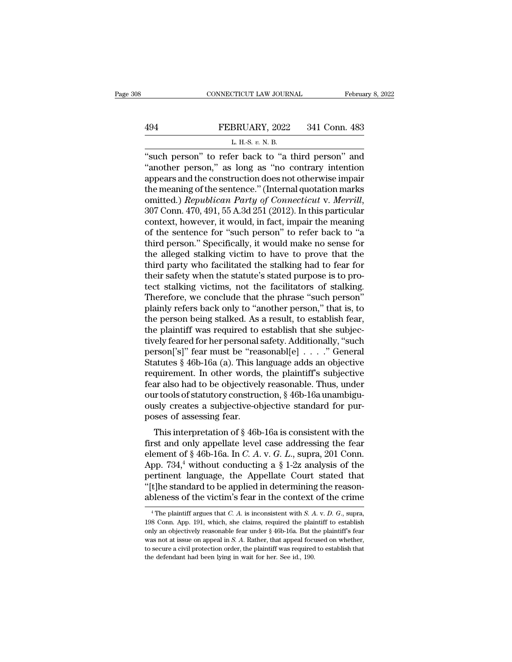# EXECUTE CONNECTICUT LAW JOURNAL February 8, 2022<br>494 FEBRUARY, 2022 341 Conn. 483<br>L. H.-S. v. N. B.

CONNECTICUT LAW JOURNAL Februa<br>
FEBRUARY, 2022 341 Conn. 483<br>
L. H.-S. *v.* N. B.<br>
"such person" to refer back to "a third person" and CONNECTICUT LAW JOURNAL February 8, 2022<br>
FEBRUARY, 2022 341 Conn. 483<br>
L. H.S. v. N. B.<br>
"such person" to refer back to "a third person" and<br>"another person," as long as "no contrary intention<br>
appears and the constructio FEBRUARY, 2022 341 Conn. 483<br>
L. H.-S. v. N. B.<br>
"such person" to refer back to "a third person" and<br>"another person," as long as "no contrary intention<br>
appears and the construction does not otherwise impair<br>
the meaning 494 FEBRUARY, 2022 341 Conn. 483<br>
L. H.-S. v. N. B.<br>
"such person" to refer back to "a third person" and<br>
"another person," as long as "no contrary intention<br>
appears and the construction does not otherwise impair<br>
the me **EXECUARY, 2022** 341 Conn. 483<br>
L. H.S. v. N. B.<br>
"such person" to refer back to "a third person" and<br>
"another person," as long as "no contrary intention<br>
appears and the construction does not otherwise impair<br>
the meani **Republican Party of Connection**<br> **Republican Party of Connection**<br> **Republican Party of Connecticut** v. **Merrill**, 307 Conn. 470, 491, 55 A.3d 251 (2012). In this particular<br>
context, however, it would, in fact, impair th "such person" to refer back to "a third person" and<br>"another person," as long as "no contrary intention<br>appears and the construction does not otherwise impair<br>the meaning of the sentence." (Internal quotation marks<br>omitte "another person," as long as "no contrary intention<br>appears and the construction does not otherwise impair<br>the meaning of the sentence." (Internal quotation marks<br>omitted.) *Republican Party of Connecticut v. Merrill*,<br>30 appears and the construction does not otherwise impair<br>the meaning of the sentence." (Internal quotation marks<br>omitted.) *Republican Party of Connecticut v. Merrill*,<br>307 Conn. 470, 491, 55 A.3d 251 (2012). In this particu the meaning of the sentence." (Internal quotation marks<br>omitted.) *Republican Party of Connecticut v. Merrill*,<br>307 Conn. 470, 491, 55 A.3d 251 (2012). In this particular<br>context, however, it would, in fact, impair the mea omitted.) *Republican Party of Connecticut v. Merrill,*<br>307 Conn. 470, 491, 55 A.3d 251 (2012). In this particular<br>context, however, it would, in fact, impair the meaning<br>of the sentence for "such person" to refer back to 307 Conn. 470, 491, 55 A.3d 251 (2012). In this particular context, however, it would, in fact, impair the meaning of the sentence for "such person" to refer back to "a third person." Specifically, it would make no sense f context, however, it would, in fact, impair the meaning<br>of the sentence for "such person" to refer back to "a<br>third person." Specifically, it would make no sense for<br>the alleged stalking victim to have to prove that the<br>th of the sentence for "such person" to refer back to "a<br>third person." Specifically, it would make no sense for<br>the alleged stalking victim to have to prove that the<br>third party who facilitated the stalking had to fear for<br>t third person." Specifically, it would make no sense for<br>the alleged stalking victim to have to prove that the<br>third party who facilitated the stalking had to fear for<br>their safety when the statute's stated purpose is to pr the alleged stalking victim to have to prove that the third party who facilitated the stalking had to fear for their safety when the statute's stated purpose is to protect stalking victims, not the facilitators of stalking third party who facilitated the stalking had to fear for<br>their safety when the statute's stated purpose is to pro-<br>tect stalking victims, not the facilitators of stalking.<br>Therefore, we conclude that the phrase "such perso their safety when the statute's stated purpose is to pro-<br>tect stalking victims, not the facilitators of stalking.<br>Therefore, we conclude that the phrase "such person"<br>plainly refers back only to "another person," that is, tect stalking victims, not the facilitators of stalking.<br>Therefore, we conclude that the phrase "such person"<br>plainly refers back only to "another person," that is, to<br>the person being stalked. As a result, to establish fe Therefore, we conclude that the phrase "such person"<br>plainly refers back only to "another person," that is, to<br>the person being stalked. As a result, to establish fear,<br>the plaintiff was required to establish that she subj plainly refers back only to "another person," that is, to<br>the person being stalked. As a result, to establish fear,<br>the plaintiff was required to establish that she subjec-<br>tively feared for her personal safety. Additional the person being stalked. As a result, to establish fear,<br>the plaintiff was required to establish that she subjec-<br>tively feared for her personal safety. Additionally, "such<br>person['s]" fear must be "reasonabl[e] . . . . " the plaintiff was required to establish that she subjectively feared for her personal safety. Additionally, "such person['s]" fear must be "reasonabl[e] . . . ." General Statutes § 46b-16a (a). This language adds an object tively feared for her personal safety. Additionally, "such<br>person['s]" fear must be "reasonabl[e] . . . . ." General<br>Statutes § 46b-16a (a). This language adds an objective<br>requirement. In other words, the plaintiff's subj person['s]" fear must be "rea<br>Statutes § 46b-16a (a). This la<br>requirement. In other words<br>fear also had to be objectivel<br>our tools of statutory construe<br>ously creates a subjective-ol<br>poses of assessing fear.<br>This interpret atures  $\S$  40b-10a (a). This language adds an objective<br>quirement. In other words, the plaintiff's subjective<br>ar also had to be objectively reasonable. Thus, under<br>trools of statutory construction,  $\S$  46b-16a unambigu-<br>s Fequirement. In other words, the plaintin's subjective<br>fear also had to be objectively reasonable. Thus, under<br>our tools of statutory construction, § 46b-16a unambigu-<br>ously creates a subjective-objective standard for pur

rear also had to be objectively reasonable. Thus, thider<br>our tools of statutory construction, § 46b-16a unambigu-<br>ously creates a subjective-objective standard for pur-<br>poses of assessing fear.<br>This interpretation of § 46b bour tools of statutory construction,  $\S$  400-10a unaminguously creates a subjective-objective standard for purposes of assessing fear.<br>This interpretation of  $\S$  46b-16a is consistent with the first and only appellate le busiy creates a subjective-objective standard for pur-<br>poses of assessing fear.<br>This interpretation of  $\S$  46b-16a is consistent with the<br>first and only appellate level case addressing the fear<br>element of  $\S$  46b-16a. In This interpretation of § 46b-16a is consistent with the first and only appellate level case addressing the fear element of § 46b-16a. In *C. A. v. G. L.*, supra, 201 Conn. App. 734,<sup>4</sup> without conducting a § 1-2z analysis This interpretation of § 46b-16a is consistent with the<br>first and only appellate level case addressing the fear<br>element of § 46b-16a. In *C. A.* v. *G. L.*, supra, 201 Conn.<br>App. 734,<sup>4</sup> without conducting a § 1-2z analys App. 734,<sup>4</sup> without conducting a  $\S$  1-2z analysis of the pertinent language, the Appellate Court stated that "[t]he standard to be applied in determining the reason-<br>ableness of the victim's fear in the context of the c pertinent language, the Appellate Court stated that "[t]he standard to be applied in determining the reason-<br>ableness of the victim's fear in the context of the crime<br> $\frac{4}{1}$ The plaintiff argues that *C*. *A*. is incons

<sup>&</sup>quot;[t]he standard to be applied in determining the reason-<br>ableness of the victim's fear in the context of the crime<br> $\frac{4}{1}$ The plaintiff argues that *C*. *A*. is inconsistent with *S*. *A*. *v. D. G.*, supra,<br>198 Conn. A ableness of the victim's fear in the context of the crime  $\frac{4 \text{ The plaintiff argues that } C. A. \text{ is inconsistent with } S. A. v. D. G., \text{ supra}}$ , 198 Conn. App. 191, which, she claims, required the plaintiff to establish only an objectively reasonable fear under  $\frac{$ The plaintiff argues that *C*. *A*. is inconsistent with *S*. *A*. *v*. *D*. *G*., supra, 198 Conn. App. 191, which, she claims, required the plaintiff to establish only an objectively reasonable fear under  $\S$  46b-16a. B <sup>4</sup> The plaintiff argues that *C*. *A*. is inconsistent with *S*. *A* 198 Conn. App. 191, which, she claims, required the plainty only an objectively reasonable fear under  $\S$  46b-16a. But there is not at issue on appeal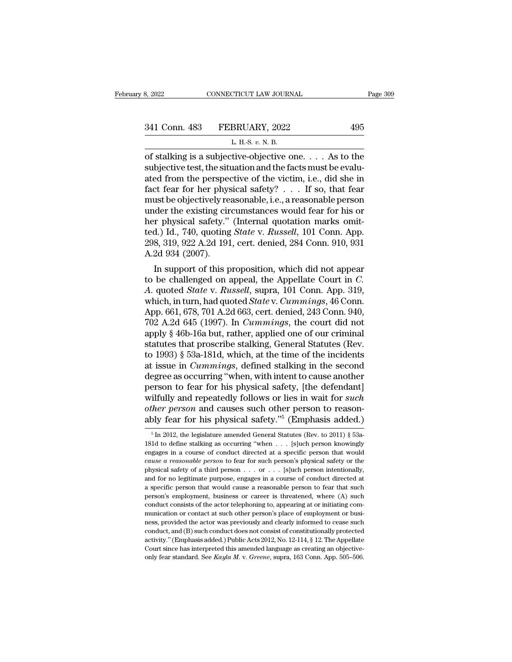| 8, 2022       | CONNECTICUT LAW JOURNAL                   | Page 309  |
|---------------|-------------------------------------------|-----------|
| 341 Conn. 483 | FEBRUARY, 2022                            | 495       |
|               | L. H.-S. v. N. B.                         |           |
|               | of stalking is a subjective-objective one | As to the |

3, 2022 CONNECTICUT LAW JOURNAL Page 309<br>
341 Conn. 483 FEBRUARY, 2022 495<br>
L. H.S. v. N. B.<br>
of stalking is a subjective-objective one. . . . As to the<br>
subjective test, the situation and the facts must be evalu-<br>
ated f 341 Conn. 483 FEBRUARY, 2022 495<br>
L. H.-S. v. N. B.<br>
of stalking is a subjective-objective one. . . . As to the<br>
subjective test, the situation and the facts must be evalu-<br>
ated from the perspective of the victim, i.e., 341 Conn. 483 FEBRUARY, 2022 495<br>
L. H.S. v. N. B.<br>
of stalking is a subjective-objective one. . . . As to the<br>
subjective test, the situation and the facts must be evalu-<br>
ated from the perspective of the victim, i.e., d 341 Conn. 483 FEBRUARY, 2022 495<br>
L. H.S. v. N. B.<br>
of stalking is a subjective-objective one. . . . As to the<br>
subjective test, the situation and the facts must be evalu-<br>
ated from the perspective of the victim, i.e., d L. H.S. v. N. B.<br>
L. H.S. v. N. B.<br>
Sof stalking is a subjective-objective one. . . . As to the<br>
subjective test, the situation and the facts must be evalu-<br>
ated from the perspective of the victim, i.e., did she in<br>
fact L. H.-S. v. N. B.<br>
of stalking is a subjective-objective one. . . . As to the<br>
subjective test, the situation and the facts must be evalu-<br>
ated from the perspective of the victim, i.e., did she in<br>
fact fear for her phys of stalking is a subjective-objective one. . . . As to the subjective test, the situation and the facts must be evaluated from the perspective of the victim, i.e., did she in fact fear for her physical safety? . . . If so subjective test, the situation and the facts must be evaluated from the perspective of the victim, i.e., did she in fact fear for her physical safety? . . . If so, that fear must be objectively reasonable, i.e., a reasonab ated from the perspective of the victim, i.e., did she in fact fear for her physical safety?  $\ldots$  If so, that fear must be objectively reasonable, i.e., a reasonable person under the existing circumstances would fear for fact fear for her phys<br>must be objectively re<br>under the existing cir<br>her physical safety."<br>ted.) Id., 740, quoting<br>298, 319, 922 A.2d 191<br>A.2d 934 (2007).<br>In support of this p ust be objectively reasonable, i.e., a reasonable person<br>der the existing circumstances would fear for his or<br>r physical safety." (Internal quotation marks omit-<br>d.) Id., 740, quoting *State* v. *Russell*, 101 Conn. App.<br> under the existing circumstances would rear for his or<br>her physical safety." (Internal quotation marks omit-<br>ted.) Id., 740, quoting *State* v. *Russell*, 101 Conn. App.<br>298, 319, 922 A.2d 191, cert. denied, 284 Conn. 910,

*A*. quotal salety. (Internal quotation marks ontited.) Id., 740, quoting *State* v. *Russell*, 101 Conn. App. 298, 319, 922 A.2d 191, cert. denied, 284 Conn. 910, 931 A.2d 934 (2007).<br>In support of this proposition, which ted.) 1d., 740, quoting *State* v. *Eussett*, 101 Conn. App.<br>298, 319, 922 A.2d 191, cert. denied, 284 Conn. 910, 931<br>A.2d 934 (2007).<br>In support of this proposition, which did not appear<br>to be challenged on appeal, the Ap 298, 319, 922 A.2d 191, cert. denied, 284 Conn. 910, 931<br>A.2d 934 (2007).<br>In support of this proposition, which did not appear<br>to be challenged on appeal, the Appellate Court in C.<br>A. quoted *State* v. *Russell*, supra, 1 A.2d 934 (2007).<br>
In support of this proposition, which did not appear<br>
to be challenged on appeal, the Appellate Court in *C.*<br>
A. quoted *State v. Russell*, supra, 101 Conn. App. 319,<br>
which, in turn, had quoted *State v* In support of this proposition, which did not appear<br>to be challenged on appeal, the Appellate Court in *C*.<br>A. quoted *State* v. *Russell*, supra, 101 Conn. App. 319,<br>which, in turn, had quoted *State* v. *Cummings*, 46 to be challenged on appeal, the Appellate Court in *C.*<br>A. quoted *State* v. *Russell*, supra, 101 Conn. App. 319,<br>which, in turn, had quoted *State* v. *Cummings*, 46 Conn.<br>App. 661, 678, 701 A.2d 663, cert. denied, 243 C A. quoted *State* v. *Russell*, supra, 101 Conn. App. 319,<br>which, in turn, had quoted *State* v. *Cummings*, 46 Conn.<br>App. 661, 678, 701 A.2d 663, cert. denied, 243 Conn. 940,<br>702 A.2d 645 (1997). In *Cummings*, the court which, in turn, had quoted *State* v. *Cummings*, 46 Conn.<br>App. 661, 678, 701 A.2d 663, cert. denied, 243 Conn. 940,<br>702 A.2d 645 (1997). In *Cummings*, the court did not<br>apply § 46b-16a but, rather, applied one of our cri App. 661, 678, 701 A.2d 663, cert. denied, 243 Conn. 940,<br>702 A.2d 645 (1997). In *Cummings*, the court did not<br>apply § 46b-16a but, rather, applied one of our criminal<br>statutes that proscribe stalking, General Statutes (R 702 A.2d 645 (1997). In *Cummings*, the court did not<br>apply § 46b-16a but, rather, applied one of our criminal<br>statutes that proscribe stalking, General Statutes (Rev.<br>to 1993) § 53a-181d, which, at the time of the incide apply § 46b-16a but, rather, applied one of our criminal<br>statutes that proscribe stalking, General Statutes (Rev.<br>to 1993) § 53a-181d, which, at the time of the incidents<br>at issue in *Cummings*, defined stalking in the sec statutes that proscribe stalking, General Statutes (Rev.<br>to 1993) § 53a-181d, which, at the time of the incidents<br>at issue in *Cummings*, defined stalking in the second<br>degree as occurring "when, with intent to cause anoth to 1993) § 53a-181d, which, at the time of the incidents<br>at issue in *Cummings*, defined stalking in the second<br>degree as occurring "when, with intent to cause another<br>person to fear for his physical safety, [the defendan erson to fear for his physical safety, [the defendant]<br>ilfully and repeatedly follows or lies in wait for *such*<br>*her person* and causes such other person to reason-<br>bly fear for his physical safety.<sup>75</sup> (Emphasis added.) wilfully and repeatedly follows or lies in wait for *such*<br>other person and causes such other person to reason-<br>ably fear for his physical safety."<sup>5</sup> (Emphasis added.)<br><sup>5</sup> In 2012, the legislature amended General Statute

other person and causes such other person to reasonably fear for his physical safety."<sup>5</sup> (Emphasis added.)<br><sup>5</sup> In 2012, the legislature amended General Statutes (Rev. to 2011) § 53a-<br>181d to define stalking as occurring **ably fear for his physical safety.**<sup>75</sup> (Emphasis added.)<br><sup>5</sup> In 2012, the legislature amended General Statutes (Rev. to 2011) § 53a-<br>181d to define stalking as occurring "when  $\dots$  [s]uch person knowingly<br>engages in a c ably Tear Tor Tils priystical safety. (Entipriasis added.)<br>
<sup>5</sup> In 2012, the legislature amended General Statutes (Rev. to 2011) § 53a-<br>
181d to define stalking as occurring "when . . . [s]uch person knowingly<br>
engages in <sup>5</sup> In 2012, the legislature amended General Statutes (Rev. to 2011) § 53a-181d to define stalking as occurring "when . . . [s]uch person knowingly engages in a course of conduct directed at a specific person that would 181d to define stalking as occurring "when  $\ldots$  [s]uch person knowingly engages in a course of conduct directed at a specific person that would *cause a reasonable person* to fear for such person's physical safety or the engages in a course of conduct directed at a specific person that would cause a reasonable person to fear for such person's physical safety or the physical safety of a third person . . . or . . . [s]uch person intentional *cause a reasonable person* to fear for such person's physical safety or the physical safety of a third person . . . or . . . [s]uch person intentionally, and for no legitimate purpose, engages in a course of conduct dire physical safety of a third person  $\ldots$  or  $\ldots$  [s]uch person intentionally, and for no legitimate purpose, engages in a course of conduct directed at a specific person that would cause a reasonable person to fear that s provided for no legitimate purpose, engages in a course of conduct directed at a specific person that would cause a reasonable person to fear that such person's employment, business or career is threatened, where (A) such a specific person that would cause a reasonable person to fear that such<br>person's employment, business or career is threatened, where (A) such<br>conduct consists of the actor telephoning to, appearing at or initiating com-<br>m a eproon's employment, business or career is threatened, where (A) such conduct consists of the actor telephoning to, appearing at or initiating communication or contact at such other person's place of employment or busine For example of conduct consists of the actor telephoning to, appearing at or initiating com-<br>munication or contact at such other person's place of employment or busi-<br>ness, provided the actor was previously and clearly in only fear standard. See *Kayla M. v. Greene*, supra, 163 Conn. App. 505–506.<br>Conduct, and (B) such conduct does not consist of constitutionally protected activity." (Emphasis added.) Public Acts 2012, No. 12-114, § 12. The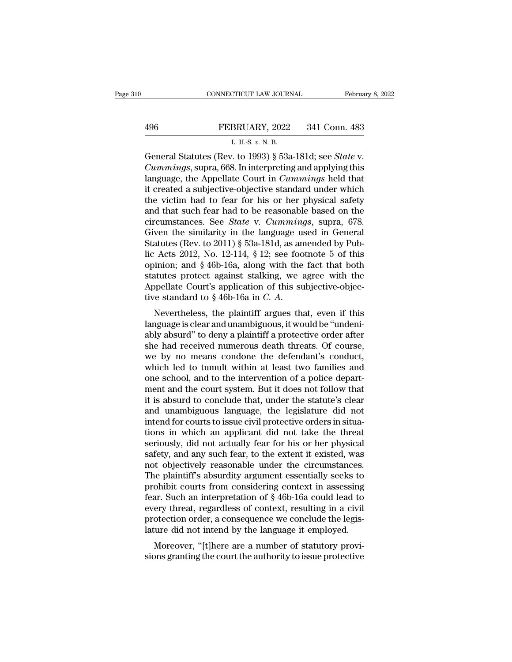|     | CONNECTICUT LAW JOURNAL                                | February 8, 2022 |
|-----|--------------------------------------------------------|------------------|
|     |                                                        |                  |
| 496 | FEBRUARY, 2022                                         | 341 Conn. 483    |
|     | L. H.-S. $v$ . N. B.                                   |                  |
|     | General Statutes (Rey to 1993) 8 53a-181d; see State y |                  |

CONNECTICUT LAW JOURNAL February 8, 202<br>
FEBRUARY, 2022 341 Conn. 483<br>
L. H.S. v. N. B.<br>
General Statutes (Rev. to 1993) § 53a-181d; see *State* v.<br>
Cummings, supra, 668. In interpreting and applying this<br>
language, the Ap **EXECUARY, 2022** 341 Conn. 483<br> *L. H.-S. v. N. B.*<br> *Ceneral Statutes (Rev. to 1993) § 53a-181d; see State v.*<br> *Cummings*, supra, 668. In interpreting and applying this language, the Appellate Court in *Cummings* held th **EXECUARY, 2022** 341 Conn. 483<br>
L. H.S. v. N. B.<br>
General Statutes (Rev. to 1993) § 53a-181d; see *State* v.<br>
Cummings, supra, 668. In interpreting and applying this<br>
language, the Appellate Court in *Cummings* held that<br> **EXECT 496** FEBRUARY, 2022 341 Conn. 483<br>
L. H.S. v. N. B.<br>
General Statutes (Rev. to 1993) § 53a-181d; see *State* v.<br>
Cummings, supra, 668. In interpreting and applying this<br>
language, the Appellate Court in *Cummings* L. H.-S. v. N. B.<br>
General Statutes (Rev. to 1993) § 53a-181d; see *State v.*<br> *Cummings*, supra, 668. In interpreting and applying this<br>
language, the Appellate Court in *Cummings* held that<br>
it created a subjective-obje L. H.-s. v. N. B.<br>
General Statutes (Rev. to 1993) § 53a-181d; see *State* v.<br> *Cummings*, supra, 668. In interpreting and applying this<br>
language, the Appellate Court in *Cummings* held that<br>
it created a subjective-obje General Statutes (Rev. to 1993) § 53a-181d; see *State* v.<br> *Cummings*, supra, 668. In interpreting and applying this<br>
language, the Appellate Court in *Cummings* held that<br>
it created a subjective-objective standard under *Cummings*, supra, 668. In interpreting and applying this language, the Appellate Court in *Cummings* held that it created a subjective-objective standard under which the victim had to fear for his or her physical safety language, the Appellate Court in *Cummings* held that<br>it created a subjective-objective standard under which<br>the victim had to fear for his or her physical safety<br>and that such fear had to be reasonable based on the<br>circu it created a subjective-objective standard under which<br>the victim had to fear for his or her physical safety<br>and that such fear had to be reasonable based on the<br>circumstances. See *State* v. *Cummings*, supra, 678.<br>Given the victim had to fear for his or her physical safety<br>and that such fear had to be reasonable based on the<br>circumstances. See *State* v. *Cummings*, supra, 678.<br>Given the similarity in the language used in General<br>Statute and that such fear had to be reasonable based on the circumstances. See *State* v. *Cummings*, supra, 678. Given the similarity in the language used in General Statutes (Rev. to 2011) § 53a-181d, as amended by Public Acts circumstances. See *State* v. *Cummings*, supra, 678.<br>Given the similarity in the language used in General<br>Statutes (Rev. to 2011) § 53a-181d, as amended by Pub-<br>lic Acts 2012, No. 12-114, § 12; see footnote 5 of this<br>opi Given the similarity in the language used in General<br>Statutes (Rev. to 2011) § 53a-181d, as amended by Pub-<br>lic Acts 2012, No. 12-114, § 12; see footnote 5 of this<br>opinion; and § 46b-16a, along with the fact that both<br>sta language is clear and unambiguous, it would be ''undenly absorbed be the hard to \$46b-16a, along with the fact that both statutes protect against stalking, we agree with the Appellate Court's application of this subjective

by a plane of this subjective-objective statutes protect against stalking, we agree with the Appellate Court's application of this subjective-objective standard to  $\S 46b-16a$  in *C. A.*<br>Nevertheless, the plaintiff argues statues protect against starking, we agree with the Appellate Court's application of this subjective-objective standard to  $§$  46b-16a in  $C$ .  $A$ .<br>Nevertheless, the plaintiff argues that, even if this language is clear a Experiment Court's application of this subjective-objective standard to § 46b-16a in  $C$ .  $A$ .<br>Nevertheless, the plaintiff argues that, even if this language is clear and unambiguous, it would be "undeniably absurd" to de We standard to y 400-10a in C. A.<br>
Nevertheless, the plaintiff argues that, even if this<br>
language is clear and unambiguous, it would be "undeni-<br>
ably absurd" to deny a plaintiff a protective order after<br>
she had received Nevertheless, the plaintiff argues that, even if this language is clear and unambiguous, it would be "undeniably absurd" to deny a plaintiff a protective order after she had received numerous death threats. Of course, we b language is clear and unambiguous, it would be "undeniably absurd" to deny a plaintiff a protective order after she had received numerous death threats. Of course, we by no means condone the defendant's conduct, which led ably absurd" to deny a plaintiff a protective order after<br>she had received numerous death threats. Of course,<br>we by no means condone the defendant's conduct,<br>which led to tumult within at least two families and<br>one school, she had received numerous death threats. Of course,<br>we by no means condone the defendant's conduct,<br>which led to tumult within at least two families and<br>one school, and to the intervention of a police depart-<br>ment and the we by no means condone the defendant's conduct,<br>which led to tumult within at least two families and<br>one school, and to the intervention of a police depart-<br>ment and the court system. But it does not follow that<br>it is absu which led to tumult within at least two families and<br>one school, and to the intervention of a police depart-<br>ment and the court system. But it does not follow that<br>it is absurd to conclude that, under the statute's clear<br>a one school, and to the intervention of a police department and the court system. But it does not follow that<br>it is absurd to conclude that, under the statute's clear<br>and unambiguous language, the legislature did not<br>intend ment and the court system. But it does not follow that<br>it is absurd to conclude that, under the statute's clear<br>and unambiguous language, the legislature did not<br>intend for courts to issue civil protective orders in situait is absurd to conclude that, under the statute's clear<br>and unambiguous language, the legislature did not<br>intend for courts to issue civil protective orders in situa-<br>tions in which an applicant did not take the threat<br>se and unambiguous language, the legislature did not<br>intend for courts to issue civil protective orders in situa-<br>tions in which an applicant did not take the threat<br>seriously, did not actually fear for his or her physical<br>sa intend for courts to issue civil protective orders in situations in which an applicant did not take the threat<br>seriously, did not actually fear for his or her physical<br>safety, and any such fear, to the extent it existed, w tions in which an applicant did not take the threat<br>seriously, did not actually fear for his or her physical<br>safety, and any such fear, to the extent it existed, was<br>not objectively reasonable under the circumstances.<br>The seriously, did not actually fear for his or her physical<br>safety, and any such fear, to the extent it existed, was<br>not objectively reasonable under the circumstances.<br>The plaintiff's absurdity argument essentially seeks to<br> safety, and any such fear, to the extent it existed, was<br>not objectively reasonable under the circumstances.<br>The plaintiff's absurdity argument essentially seeks to<br>prohibit courts from considering context in assessing<br>fea not objectively reasonable under the circumstances.<br>The plaintiff's absurdity argument essentially seeks to<br>prohibit courts from considering context in assessing<br>fear. Such an interpretation of § 46b-16a could lead to<br>ever de plaintin's absultuty argument essentially seeks to<br>ohibit courts from considering context in assessing<br>ar. Such an interpretation of § 46b-16a could lead to<br>ery threat, regardless of context, resulting in a civil<br>otecti profilm courts from considering comext in assessing<br>fear. Such an interpretation of § 46b-16a could lead to<br>every threat, regardless of context, resulting in a civil<br>protection order, a consequence we conclude the legis-<br>l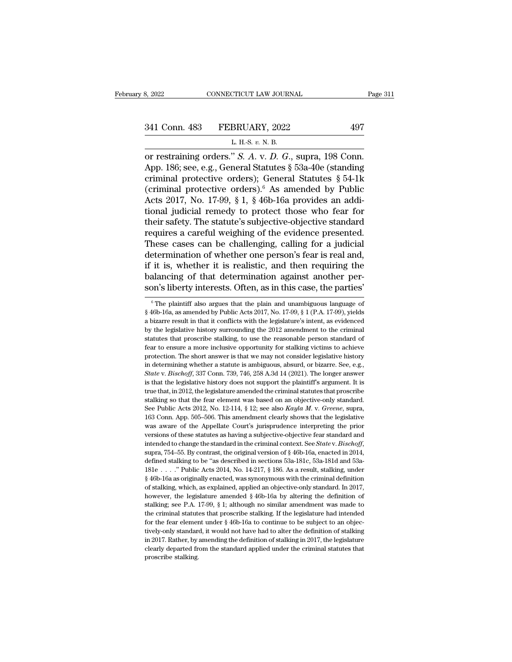8, 2022 CONNECTICUT LAW JOURNAL<br>
341 Conn. 483 FEBRUARY, 2022 497<br>
L. H.-S. *v.* N. B.<br>
or restraining orders." *S. A.* v. *D. G.*, supra, 198 Conn. or restraining orders.'' *S. A. v. D. G.*, supra, 198 Conn.<br>App. 186; see, e.g., General Statutes § 53a-40e (standing ariminal protoctive orders): Conoral Statutes § 54.11 341 Conn. 483 FEBRUARY, 2022 497<br>
L. H.-S. v. N. B.<br>
or restraining orders." *S. A. v. D. G.*, supra, 198 Conn.<br>
App. 186; see, e.g., General Statutes § 53a-40e (standing<br>
criminal protective orders); General Statutes § 54 341 Conn. 483 FEBRUARY, 2022 497<br>
L. H.S. v. N. B.<br>
or restraining orders." *S. A.* v. *D. G.*, supra, 198 Conn.<br>
App. 186; see, e.g., General Statutes § 53a-40e (standing<br>
criminal protective orders); General Statutes § 341 Conn. 483 FEBRUARY, 2022 497<br>
L. H.S. v. N. B.<br>
or restraining orders." S. A. v. D. G., supra, 198 Conn.<br>
App. 186; see, e.g., General Statutes § 53a-40e (standing<br>
criminal protective orders); General Statutes § 54-1 L. H.-S. v. N. B.<br>
The Collin 2012 Collins 2012<br>
L. H.-S. v. N. B.<br>
App. 186; see, e.g., General Statutes § 53a-40e (standing<br>
criminal protective orders); General Statutes § 54-1k<br>
(criminal protective orders).<sup>6</sup> As ame L. H.-s. v. N. B.<br>
or restraining orders." *S. A. v. D. G.*, supra, 198 Conn.<br>
App. 186; see, e.g., General Statutes § 53a-40e (standing<br>
criminal protective orders); General Statutes § 54-1k<br>
(criminal protective orders) or restraining orders." S. A. v. D. G., supra, 198 Conn.<br>App. 186; see, e.g., General Statutes § 53a-40e (standing<br>criminal protective orders); General Statutes § 54-1k<br>(criminal protective orders).<sup>6</sup> As amended by Publi App. 186; see, e.g., General Statutes § 53a-40e (standing<br>criminal protective orders); General Statutes § 54-1k<br>(criminal protective orders).<sup>6</sup> As amended by Public<br>Acts 2017, No. 17-99, § 1, § 46b-16a provides an addi-<br> criminal protective orders); General Statutes § 54-1k<br>(criminal protective orders).<sup>6</sup> As amended by Public<br>Acts 2017, No. 17-99, § 1, § 46b-16a provides an addi-<br>tional judicial remedy to protect those who fear for<br>their (criminal protective orders).<sup>6</sup> As amended by Public<br>Acts 2017, No. 17-99, § 1, § 46b-16a provides an addi-<br>tional judicial remedy to protect those who fear for<br>their safety. The statute's subjective-objective standard<br>r Acts 2017, No. 17-99, § 1, § 46b-16a provides an additional judicial remedy to protect those who fear for their safety. The statute's subjective-objective standard requires a careful weighing of the evidence presented. The tional judicial remedy to protect those who fear for<br>their safety. The statute's subjective-objective standard<br>requires a careful weighing of the evidence presented.<br>These cases can be challenging, calling for a judicial<br>d their safety. The statute's subjective-objective standard<br>requires a careful weighing of the evidence presented.<br>These cases can be challenging, calling for a judicial<br>determination of whether one person's fear is real and it is, whether it is realistic, and then requiring the alancing of that determination against another per-<br>pair is in this case, the parties' is the plain and unambiguous language of<br> $\frac{6}{16}$  The plaintiff also argues t if it is, whether it is realistic, and then requiring the balancing of that determination against another person's liberty interests. Often, as in this case, the parties'  $\frac{1}{6}$  The plaintiff also argues that the plain

balancing of that determination against another person's liberty interests. Often, as in this case, the parties'<br>  $\frac{1}{\pi}$  The plaintiff also argues that the plain and unambiguous language of  $\frac{1}{\pi}$  46b-16a, as amen **Solution 19** of the determination against directive position of the samples of  $\frac{1}{2}$  in this case, the parties  $\frac{1}{2}$  in the plaintiff also argues that the plain and unambiguous language of  $\frac{1}{2}$  46b-16a, as a SOIT'S IDETTY INTETESTS. OTTEN, as IT THIS Case, the partners<br>
<sup>6</sup> The plaintiff also argues that the plain and unambiguous language of § 46b-16a, as amended by Public Acts 2017, No. 17-99, § 1 (P.A. 17-99), yields<br>
a biz <sup>6</sup> The plaintiff also argues that the plain and unambiguous language of § 46b-16a, as amended by Public Acts 2017, No. 17-99, § 1 (P.A. 17-99), yields a bizarre result in that it conflicts with the legislature's intent,  $$46b-16a,$  as amended by Public Acts 2017, No. 17-99,  $$1 (P.A. 17-99)$ , yields a bizarre result in that it conflicts with the legislature's intent, as evidenced by the legislative history surrounding the 2012 amendment to is a bizarre result in that it conflicts with the legislature's intent, as evidenced<br>by the legislative history surrounding the 2012 amendment to the criminal<br>statutes that proscribe stalking, to use the reasonable person *State* v. *Bischoff*, 337 Conn. 739, 746, 258 A.3d 14 (2021). The longer answer is that the eigenside person standard of fear to ensure a more inclusive opportunity for stalking victims to achieve protection. The short an by an expection. The short answer is that the reasonable person standard of fear to ensure a more inclusive opportunity for stalking victims to achieve protection. The short answer is that we may not consider legislative bear to ensure a more inclusive opportunity for stalking victims to achive protection. The short answer is that we may not consider legislative history in determining whether a statute is ambiguous, absurd, or bizarre. Se protection. The short answer is that we may not consider legislative history<br>in determining whether a statute is ambiguous, absurd, or bizarre. See, e.g.,<br>*State* v. *Bischoff*, 337 Conn. 739, 746, 258 A.3d 14 (2021). The in determining whether a statute is ambiguous, absurd, or bizarre. See, e.g., *State* v. *Bischoff*, 337 Conn. 739, 746, 258 A.3d 14 (2021). The longer answer is that the legislative history does not support the plaintiff' *State* v. *Bischoff*, 337 Conn. 739, 746, 258 A.3d 14 (2021). The longer anser is that the legislative history does not support the plaintiff's argument. It is true that, in 2012, the legislature amended the criminal sta is that the legislative history does not support the plaintiff's argument. It is<br>true that, in 2012, the legislature amended the criminal statutes that proscribe<br>stalking so that the fear element was based on an objective a wave to the legislature amended the criminal statutes that proscribe stalking so that the fear element was based on an objective-only standard. See Public Acts 2012, No. 12-114, § 12; see also *Kayla M. v. Greene*, supr intended to change the standard in the criminal context. See *Public Acts 2012*, No. 12-114, § 12; see also *Kayla M. v. Greene*, supra, 163 Conn. App. 505–506. This amendment clearly shows that the legislative was aware o 163 Conn. App. 505–506. This amendment clearly shows that the legislative was aware of the Appellate Court's jurisprudence interpreting the prior versions of these statutes as having a subjective-objective fear standard a was aware of the Appellate Court's jurisprudence interpreting the prior versions of these statutes as having a subjective-objective fear standard and intended to change the standard in the criminal context. See *State* v. wersions of these statutes as having a subjective-objective fear standard and<br>intended to change the standard in the criminal context. See *State* v. *Bischoff*,<br>supra, 754–55. By contrast, the original version of § 46b-16 intended to change the standard in the criminal context. See *State* v. *Bischoff*, supra, 754–55. By contrast, the original version of § 46b-16a, enacted in 2014, defined stalking to be "as described in sections 53a-181c supra, 754–55. By contrast, the original version of § 46b-16a, enacted in 2014, defined stalking to be "as described in sections 53a-181c, 53a-181d and 53a-181e . . . ." Public Acts 2014, No. 14-217, § 186. As a result, s defined stalking to be "as described in sections 53a-181c, 53a-181d and 53a-181e . . . ." Public Acts 2014, No. 14-217, § 186. As a result, stalking, under § 46b-16a as originally enacted, was synonymous with the criminal 181e . . . ." Public Acts 2014, No. 14-217, § 186. As a result, stalking, under § 46b-16a as originally enacted, was synonymous with the criminal definition of stalking, which, as explained, applied an objective-only stan § 46b-16a as originally enacted, was synonymous with the criminal definition of stalking, which, as explained, applied an objective-only standard. In 2017, however, the legislature amended § 46b-16a by altering the defini of stalking, which, as explained, applied an objective-only standard. In 2017, however, the legislature amended § 46b-16a by altering the definition of stalking; see P.A. 17-99, § 1; although no similar amendment was made in 2017. The legislature amended § 46b-16a by altering the definition of stalking; see P.A. 17-99, § 1; although no similar amendment was made to the criminal statutes that proscribe stalking. If the legislature had inten stalking; see P.A. 17-99, § 1; although no similar amendment was made to the criminal statutes that proscribe stalking. If the legislature had intended for the fear element under § 46b-16a to continue to be subject to an the criminal statutes that proscribe stalking. If the legislature had intended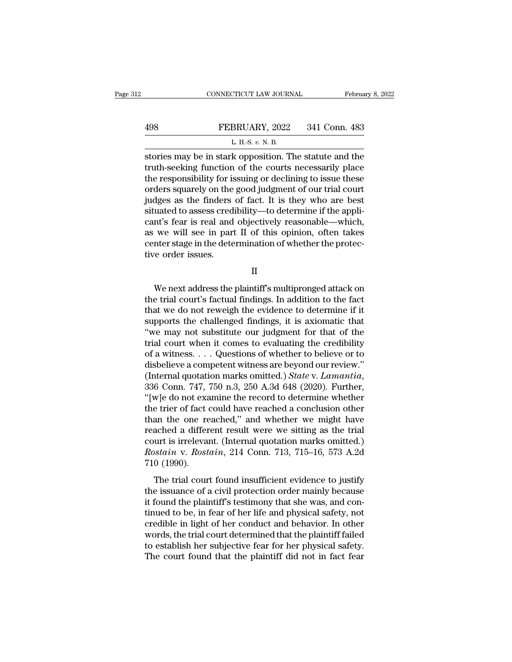|     | CONNECTICUT LAW JOURNAL | February 8, 2022 |
|-----|-------------------------|------------------|
| 498 | FEBRUARY, 2022          | 341 Conn. 483    |
|     | L. H.-S. $v$ . N. B.    |                  |

FEBRUARY, 2022 341 Conn. 483<br>
L. H.-S. v. N. B.<br>
stories may be in stark opposition. The statute and the<br>
truth-seeking function of the courts necessarily place<br>
the responsibility for issuing or declining to issue these<br> FEBRUARY, 2022 341 Conn. 483<br>
L. H.-S.  $v$ . N. B.<br>
stories may be in stark opposition. The statute and the<br>
truth-seeking function of the courts necessarily place<br>
the responsibility for issuing or declining to issue thes **EXECUARY, 2022** 341 Conn. 483<br>
L. H.S. v. N. B.<br>
stories may be in stark opposition. The statute and the<br>
truth-seeking function of the courts necessarily place<br>
the responsibility for issuing or declining to issue these L. H.S. v. N. B.<br>
stories may be in stark opposition. The statute and the<br>
truth-seeking function of the courts necessarily place<br>
the responsibility for issuing or declining to issue these<br>
orders squarely on the good ju L. H.-S.  $v$ . N. B.<br>stories may be in stark opposition. The statute and the<br>truth-seeking function of the courts necessarily place<br>the responsibility for issuing or declining to issue these<br>orders squarely on the good jud stories may be in stark opposition. The statute and the<br>truth-seeking function of the courts necessarily place<br>the responsibility for issuing or declining to issue these<br>orders squarely on the good judgment of our trial co truth-seeking function of the courts necessarily place<br>the responsibility for issuing or declining to issue these<br>orders squarely on the good judgment of our trial court<br>judges as the finders of fact. It is they who are be the responsibility for issuing or declining to issue these<br>orders squarely on the good judgment of our trial court<br>judges as the finders of fact. It is they who are best<br>situated to assess credibility—to determine if the a orders squarely on the<br>judges as the finders<br>situated to assess cred<br>cant's fear is real and<br>as we will see in part<br>center stage in the dete<br>tive order issues. nt's fear is real and objectively reasonable—which,<br>we will see in part II of this opinion, often takes<br>nter stage in the determination of whether the protec-<br>re order issues.<br>II<br>We next address the plaintiff's multipronge

II

as we will see in part II of this opinion, often takes<br>
center stage in the determination of whether the protec-<br>
ive order issues.<br>
II<br>
We next address the plaintiff's multipronged attack on<br>
the trial court's factual fin center stage in the determination of whether the protective order issues.<br>
II<br>
We next address the plaintiff's multipronged attack on<br>
the trial court's factual findings. In addition to the fact<br>
that we do not reweigh the II<br>II<br>We next address the plaintiff's multipronged attack on<br>the trial court's factual findings. In addition to the fact<br>that we do not reweigh the evidence to determine if it<br>supports the challenged findings, it is axioma II<br>We next address the plaintiff's multipronged attack on<br>the trial court's factual findings. In addition to the fact<br>that we do not reweigh the evidence to determine if it<br>supports the challenged findings, it is axiomatic We next address the plaintiff's multipronged attack on<br>the trial court's factual findings. In addition to the fact<br>that we do not reweigh the evidence to determine if it<br>supports the challenged findings, it is axiomatic t We next address the plaintiff's multipronged attack on<br>the trial court's factual findings. In addition to the fact<br>that we do not reweigh the evidence to determine if it<br>supports the challenged findings, it is axiomatic t the trial court's factual findings. In addition to the fact<br>that we do not reweigh the evidence to determine if it<br>supports the challenged findings, it is axiomatic that<br>"we may not substitute our judgment for that of the that we do not reweigh the evidence to determine if it<br>supports the challenged findings, it is axiomatic that<br>"we may not substitute our judgment for that of the<br>trial court when it comes to evaluating the credibility<br>of a "we may not substitute our judgment for that of the<br>trial court when it comes to evaluating the credibility<br>of a witness....Questions of whether to believe or to<br>disbelieve a competent witness are beyond our review."<br>(Int trial court when it comes to evaluating the credibility<br>of a witness. . . . Questions of whether to believe or to<br>disbelieve a competent witness are beyond our review."<br>(Internal quotation marks omitted.) *State* v. *Lama* of a witness. . . . Questions of whether to believe or to<br>disbelieve a competent witness are beyond our review."<br>(Internal quotation marks omitted.) *State* v. *Lamantia*,<br>336 Conn. 747, 750 n.3, 250 A.3d 648 (2020). Furth disbelieve a competent witness are beyond our review."<br>(Internal quotation marks omitted.) *State* v. *Lamantia*,<br>336 Conn. 747, 750 n.3, 250 A.3d 648 (2020). Further,<br>"[w]e do not examine the record to determine whether<br> (Internal quotation marks omitted.) *State v. Lamantia*, 336 Conn. 747, 750 n.3, 250 A.3d 648 (2020). Further, "[w]e do not examine the record to determine whether the trier of fact could have reached a conclusion other t 336 Conn. 747, 750 n.3, 250 A.3d 648 (2020). Further, "[w]e do not examine the record to determine whether the trier of fact could have reached a conclusion other than the one reached," and whether we might have reached a "[w]e do not example the trier of fact of than the one repreached a differmed than the one reached a differmed the star and start and the start of the trial courdination of the trial courdination of the trial courdination an the one reached," and whether we might have<br>ached a different result were we sitting as the trial<br>urt is irrelevant. (Internal quotation marks omitted.)<br>*ostain* v. *Rostain*, 214 Conn. 713, 715–16, 573 A.2d<br>0 (1990).<br> reached a different result were we sitting as the trial<br>court is irrelevant. (Internal quotation marks omitted.)<br>*Rostain* v. *Rostain*, 214 Conn. 713, 715–16, 573 A.2d<br>710 (1990).<br>The trial court found insufficient eviden

reached a directive result were we shaing as are didented.)<br>
court is irrelevant. (Internal quotation marks omitted.)<br> *Rostain* v. *Rostain*, 214 Conn. 713, 715–16, 573 A.2d<br>
710 (1990).<br>
The trial court found insufficien to be the state in the control of her conduction matrix of her life and physical and the trial court found insufficient evidence to justify the issuance of a civil protection order mainly because it found the plaintiff's t T10 (1990).<br>The trial court found insufficient evidence to justify<br>the issuance of a civil protection order mainly because<br>it found the plaintiff's testimony that she was, and con-<br>tinued to be, in fear of her life and ph The trial court found insufficient evidence to justify<br>the issuance of a civil protection order mainly because<br>it found the plaintiff's testimony that she was, and con-<br>tinued to be, in fear of her life and physical safet The trial court found insufficient evidence to justify<br>the issuance of a civil protection order mainly because<br>it found the plaintiff's testimony that she was, and con-<br>tinued to be, in fear of her life and physical safety the issuance of a civil protection order mainly because<br>it found the plaintiff's testimony that she was, and con-<br>tinued to be, in fear of her life and physical safety, not<br>credible in light of her conduct and behavior. In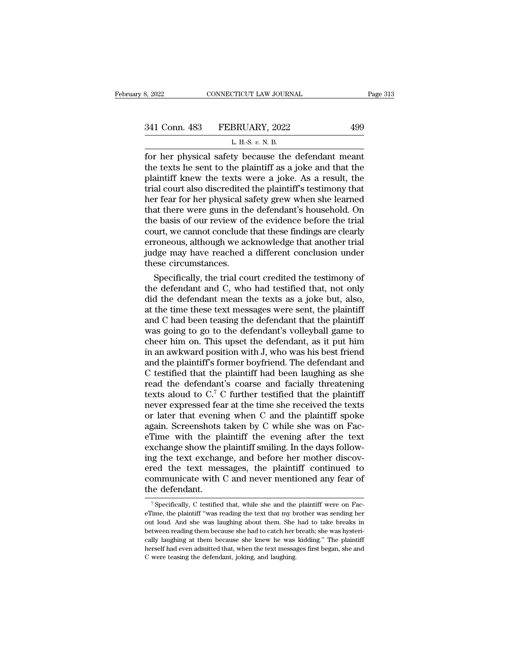| 3, 2022       | CONNECTICUT LAW JOURNAL                             | Page 313 |
|---------------|-----------------------------------------------------|----------|
|               |                                                     |          |
| 341 Conn. 483 | FEBRUARY, 2022                                      | 499      |
|               | L. H.-S. $v$ . N. B.                                |          |
|               | for her physical safety because the defendant meant |          |

| H.S. v. N. B.<br>w<br>×<br>v. |  |
|-------------------------------|--|
|-------------------------------|--|

Fage 31:<br>
For her physical safety because the defendant meant<br>
the texts he sent to the plaintiff as a joke and that the<br>
plaintiff know the texts were a joke As a result the 341 Conn. 483 FEBRUARY, 2022 499<br>
L. H.-S. v. N. B.<br>
for her physical safety because the defendant meant<br>
the texts he sent to the plaintiff as a joke and that the<br>
plaintiff knew the texts were a joke. As a result, the<br> 341 Conn. 483 FEBRUARY, 2022 499<br>
L. H.-S. v. N. B.<br>
for her physical safety because the defendant meant<br>
the texts he sent to the plaintiff as a joke and that the<br>
plaintiff knew the texts were a joke. As a result, the<br> 341 Conn. 483 FEBRUARY, 2022 499<br>
L. H.S. v. N. B.<br>
for her physical safety because the defendant meant<br>
the texts he sent to the plaintiff as a joke and that the<br>
plaintiff knew the texts were a joke. As a result, the<br>
t L. H.S. v. N. B.<br>
I. H.S. v. N. B.<br>
for her physical safety because the defendant meant<br>
the texts he sent to the plaintiff as a joke and that the<br>
plaintiff knew the texts were a joke. As a result, the<br>
trial court also L. H.S.  $v$ . N. B.<br>
for her physical safety because the defendant meant<br>
the texts he sent to the plaintiff as a joke and that the<br>
plaintiff knew the texts were a joke. As a result, the<br>
trial court also discredited the for her physical safety because the defendant meant<br>the texts he sent to the plaintiff as a joke and that the<br>plaintiff knew the texts were a joke. As a result, the<br>trial court also discredited the plaintiff's testimony th the texts he sent to the plaintiff as a joke and that the plaintiff knew the texts were a joke. As a result, the trial court also discredited the plaintiff's testimony that her fear for her physical safety grew when she le plaintiff knew the texts were a joke. As a result, the<br>trial court also discredited the plaintiff's testimony that<br>her fear for her physical safety grew when she learned<br>that there were guns in the defendant's household. O trial court also discredited the plaintiff's testimony that<br>her fear for her physical safety grew when she learned<br>that there were guns in the defendant's household. On<br>the basis of our review of the evidence before the tr her fear for her physical st<br>that there were guns in th<br>the basis of our review of<br>court, we cannot conclude<br>erroneous, although we ac<br>judge may have reached a<br>these circumstances.<br>Specifically, the trial co at there were guns in the detendant's household. On<br>e basis of our review of the evidence before the trial<br>urt, we cannot conclude that these findings are clearly<br>roneous, although we acknowledge that another trial<br>dge may the basis of our review of the evidence before the trial<br>court, we cannot conclude that these findings are clearly<br>erroneous, although we acknowledge that another trial<br>judge may have reached a different conclusion under<br>t

court, we cannot conclude that these findings are clearly<br>erroneous, although we acknowledge that another trial<br>judge may have reached a different conclusion under<br>these circumstances.<br>Specifically, the trial court credite erroneous, although we acknowledge that another trial<br>judge may have reached a different conclusion under<br>these circumstances.<br>Specifically, the trial court credited the testimony of<br>the defendant and C, who had testified judge may have reached a different conclusion under<br>these circumstances.<br>Specifically, the trial court credited the testimony of<br>the defendant and C, who had testified that, not only<br>did the defendant mean the texts as a j these circumstances.<br>
Specifically, the trial court credited the testimony of<br>
the defendant and C, who had testified that, not only<br>
did the defendant mean the texts as a joke but, also,<br>
at the time these text messages w Specifically, the trial court credited the testimony of<br>the defendant and C, who had testified that, not only<br>did the defendant mean the texts as a joke but, also,<br>at the time these text messages were sent, the plaintiff<br>a the defendant and C, who had testified that, not only<br>did the defendant mean the texts as a joke but, also,<br>at the time these text messages were sent, the plaintiff<br>and C had been teasing the defendant that the plaintiff<br>w did the defendant mean the texts as a joke but, also,<br>at the time these text messages were sent, the plaintiff<br>and C had been teasing the defendant that the plaintiff<br>was going to go to the defendant's volleyball game to<br>c at the time these text messages were sent, the plaintiff<br>and C had been teasing the defendant that the plaintiff<br>was going to go to the defendant's volleyball game to<br>cheer him on. This upset the defendant, as it put him<br> and C had been teasing the defendant that the plaintiff<br>was going to go to the defendant's volleyball game to<br>cheer him on. This upset the defendant, as it put him<br>in an awkward position with J, who was his best friend<br>an was going to go to the defendant's volleyball game to<br>cheer him on. This upset the defendant, as it put him<br>in an awkward position with J, who was his best friend<br>and the plaintiff's former boyfriend. The defendant and<br>C cheer him on. This upset the defendant, as it put him<br>in an awkward position with J, who was his best friend<br>and the plaintiff's former boyfriend. The defendant and<br>C testified that the plaintiff had been laughing as she<br> in an awkward position with J, who was his best friend<br>and the plaintiff's former boyfriend. The defendant and<br>C testified that the plaintiff had been laughing as she<br>read the defendant's coarse and facially threatening<br>te and the plaintiff's former boyfriend. The defendant and C testified that the plaintiff had been laughing as she read the defendant's coarse and facially threatening texts aloud to  $C^7$ . C further testified that the plain C testified that the plaintiff had been laughing as she<br>read the defendant's coarse and facially threatening<br>texts aloud to  $C^7$  C further testified that the plaintiff<br>never expressed fear at the time she received the te read the defendant's coarse and facially threatening<br>texts aloud to C.<sup>7</sup> C further testified that the plaintiff<br>never expressed fear at the time she received the texts<br>or later that evening when C and the plaintiff spoke<br> texts aloud to  $C^7$  C further testified that the plaintiff<br>never expressed fear at the time she received the texts<br>or later that evening when C and the plaintiff spoke<br>again. Screenshots taken by C while she was on Fac-<br> never expressed fear at the time she received the texts<br>or later that evening when C and the plaintiff spoke<br>again. Screenshots taken by C while she was on Fac-<br>eTime with the plaintiff the evening after the text<br>exchange or later that evening when C and the plaintiff spoke<br>again. Screenshots taken by C while she was on Fac-<br>eTime with the plaintiff the evening after the text<br>exchange show the plaintiff smiling. In the days follow-<br>ing the again. Screenshots<br>eTime with the pl<br>exchange show the<br>ing the text exchan<br>ered the text mes<br>communicate with<br>the defendant. ightharpoonup that the text exchange, and before her mother discovered the text messages, the plaintiff continued to pommunicate with C and never mentioned any fear of the defendant.<br><sup>7</sup> Specifically, C testified that, whi ered the text messages, the plaintiff continued to<br>communicate with C and never mentioned any fear of<br>the defendant.<br><sup>7</sup> Specifically, C testified that, while she and the plaintiff were on Fac-<br>eTime, the plaintiff "was re

communicate with C and never mentioned any fear of<br>the defendant.<br>The she defendant.<br>The she was laughing the text that my brother was sending her<br>out loud. And she was laughing about them. She had to take breaks in<br>betwee the defendant.<br>
<sup>7</sup> Specifically, C testified that, while she and the plaintiff were on Fac-<br>
eTime, the plaintiff "was reading the text that my brother was sending her<br>
out loud. And she was laughing about them. She had t The deferred with the she and the plaintiff were on Face-<br>Time, the plaintiff "was reading the text that my brother was sending her<br>out loud. And she was laughing about them. She had to take breaks in<br>between reading them <sup>7</sup> Specifically, C testified that, while she and the plaintiff were on Face-<br>eTime, the plaintiff "was reading the text that my brother was sending her<br>out loud. And she was laughing about them. She had to take breaks in eTime, the plaintiff "was reading the text that my bout loud. And she was laughing about them. She between reading them because she had to catch her leally laughing at them because she knew he was herself had even admitted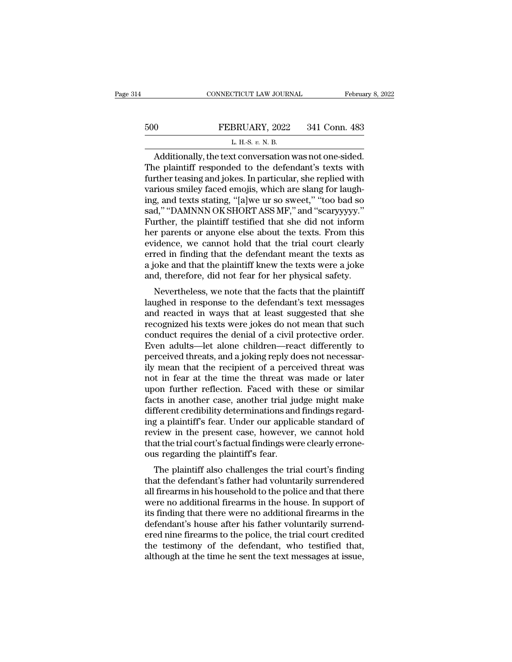# EXECUTE CONNECTICUT LAW JOURNAL February 8, 2022<br>500 FEBRUARY, 2022 341 Conn. 483<br>L. H.-S. v. N. B. CONNECTICUT LAW JOURNAL Februa<br>
CONNECTICUT LAW JOURNAL Februa<br>
CONNECTICUT LAW JOURNAL Februa<br>
CONNECTICUT LAW JOURNAL FEBRUARY, 2022 341 Conn. 483<br>
L. H.-S. *v.* N. B.<br>
Additionally, the text conversation was not one-sid

## CONNECTICUT LAW JOURNAL February 8, 2<br>
O FEBRUARY, 2022 341 Conn. 483<br>
L. H.S. v. N. B.<br>
Additionally, the text conversation was not one-sided.<br>
He plaintiff responded to the defendant's texts with<br>
the tensing and jokes. FEBRUARY, 2022 341 Conn. 483<br>
L. H.-S. v. N. B.<br>
Additionally, the text conversation was not one-sided.<br>
The plaintiff responded to the defendant's texts with<br>
further teasing and jokes. In particular, she replied with<br>
va 500 FEBRUARY, 2022 341 Conn. 483<br>
L. H.S. v. N. B.<br>
Additionally, the text conversation was not one-sided.<br>
The plaintiff responded to the defendant's texts with<br>
further teasing and jokes. In particular, she replied with 500 FEBRUARY, 2022 341 Conn. 483<br>
L. H.-S. v. N. B.<br>
Additionally, the text conversation was not one-sided.<br>
The plaintiff responded to the defendant's texts with<br>
further teasing and jokes. In particular, she replied wit L. H.S.  $v$ . N. B.<br>
Additionally, the text conversation was not one-sided.<br>
The plaintiff responded to the defendant's texts with<br>
further teasing and jokes. In particular, she replied with<br>
various smiley faced emojis, w L. H.S.  $v$ . N. B.<br>
Additionally, the text conversation was not one-sided.<br>
The plaintiff responded to the defendant's texts with<br>
further teasing and jokes. In particular, she replied with<br>
various smiley faced emojis, w Additionally, the text conversation was not one-sided.<br>The plaintiff responded to the defendant's texts with<br>further teasing and jokes. In particular, she replied with<br>various smiley faced emojis, which are slang for laugh The plaintiff responded to the defendant's texts with<br>further teasing and jokes. In particular, she replied with<br>various smiley faced emojis, which are slang for laugh-<br>ing, and texts stating, "[a]we ur so sweet," "too bad further teasing and jokes. In particular, she replied with<br>various smiley faced emojis, which are slang for laugh-<br>ing, and texts stating, "[a]we ur so sweet," "too bad so<br>sad," "DAMNNN OK SHORT ASS MF," and "scaryyyyy."<br>F various smiley faced emojis, which are slang for laughing, and texts stating, "[a]we ur so sweet," "too bad so<br>sad," "DAMNNN OK SHORT ASS MF," and "scaryyyyy."<br>Further, the plaintiff testified that she did not inform<br>her p ing, and texts stating, "[a]we ur so sweet," "too bad so<br>sad," "DAMNNN OK SHORT ASS MF," and "scaryyyyy."<br>Further, the plaintiff testified that she did not inform<br>her parents or anyone else about the texts. From this<br>evide sad," "DAMNNN OK SHORT ASS MF," and "scaryyyyy."<br>Further, the plaintiff testified that she did not inform<br>her parents or anyone else about the texts. From this<br>evidence, we cannot hold that the trial court clearly<br>erred in Frem parameter, the plaintiff testined that she dut not morint<br>or parents or anyone else about the texts. From this<br>idence, we cannot hold that the trial court clearly<br>red in finding that the defendant meant the texts as<br>o laughed in response to the defendant meant the texts as<br>a joke and that the defendant meant the texts as<br>a joke and that the plaintiff knew the texts were a joke<br>and, therefore, did not fear for her physical safety.<br>Nevert

evidence, we cannot note that the trial court clearly<br>erred in finding that the defendant meant the texts as<br>a joke and that the plaintiff knew the texts were a joke<br>and, therefore, did not fear for her physical safety.<br>Ne recount including that the defendant meant the texts as<br>a joke and that the plaintiff knew the texts were a joke<br>and, therefore, did not fear for her physical safety.<br>Nevertheless, we note that the facts that the plaintiff a joke and that the plaintin knew the texts were a joke<br>and, therefore, did not fear for her physical safety.<br>Nevertheless, we note that the facts that the plaintiff<br>laughed in response to the defendant's text messages<br>and and, therefore, did not lear for her physical safety.<br>
Nevertheless, we note that the facts that the plaintiff<br>
laughed in response to the defendant's text messages<br>
and reacted in ways that at least suggested that she<br>
re Nevertheless, we note that the facts that the plaintiff<br>laughed in response to the defendant's text messages<br>and reacted in ways that at least suggested that she<br>recognized his texts were jokes do not mean that such<br>conduc laughed in response to the defendant's text messages<br>and reacted in ways that at least suggested that she<br>recognized his texts were jokes do not mean that such<br>conduct requires the denial of a civil protective order.<br>Even and reacted in ways that at least suggested that she<br>recognized his texts were jokes do not mean that such<br>conduct requires the denial of a civil protective order.<br>Even adults—let alone children—react differently to<br>percei recognized his texts were jokes do not mean that such<br>conduct requires the denial of a civil protective order.<br>Even adults—let alone children—react differently to<br>perceived threats, and a joking reply does not necessar-<br>il conduct requires the denial of a civil protective order.<br>Even adults—let alone children—react differently to<br>perceived threats, and a joking reply does not necessar-<br>ily mean that the recipient of a perceived threat was<br>no Even adults—let alone children—react differently to<br>perceived threats, and a joking reply does not necessar-<br>ily mean that the recipient of a perceived threat was<br>not in fear at the time the threat was made or later<br>upon f perceived threats, and a joking reply does not necessarily mean that the recipient of a perceived threat was<br>not in fear at the time the threat was made or later<br>upon further reflection. Faced with these or similar<br>facts i ily mean that the recipient of a perceived threat was<br>not in fear at the time the threat was made or later<br>upon further reflection. Faced with these or similar<br>facts in another case, another trial judge might make<br>differen not in fear at the time the threat was made or later<br>upon further reflection. Faced with these or similar<br>facts in another case, another trial judge might make<br>different credibility determinations and findings regard-<br>ing upon further reflection. Faced with<br>facts in another case, another trial ju<br>different credibility determinations and<br>ing a plaintiff's fear. Under our applic<br>review in the present case, however,<br>that the trial court's fact Ets in another case, another trial judge might make<br>fferent credibility determinations and findings regard-<br>g a plaintiff's fear. Under our applicable standard of<br>view in the present case, however, we cannot hold<br>at the tr the definitions and multigs regarding a plaintiff's fear. Under our applicable standard of<br>review in the present case, however, we cannot hold<br>that the trial court's factual findings were clearly errone-<br>ous regarding the

Ing a plantin's rear. Onder our applicable standard of<br>review in the present case, however, we cannot hold<br>that the trial court's factual findings were clearly errone-<br>ous regarding the plaintiff's fear.<br>The plaintiff also review in the present case, nowever, we cannot note<br>that the trial court's factual findings were clearly errone-<br>ous regarding the plaintiff's fear.<br>The plaintiff also challenges the trial court's finding<br>that the defendan It also challenges were clearly errorie-<br>ous regarding the plaintiff's fear.<br>The plaintiff also challenges the trial court's finding<br>that the defendant's father had voluntarily surrendered<br>all firearms in his household to dus regarding the plaintin's rear.<br>The plaintiff also challenges the trial court's finding<br>that the defendant's father had voluntarily surrendered<br>all firearms in his household to the police and that there<br>were no addition The plaintiff also challenges the trial court's finding<br>that the defendant's father had voluntarily surrendered<br>all firearms in his household to the police and that there<br>were no additional firearms in the house. In suppor that the defendant's father had voluntarily surrendered<br>all firearms in his household to the police and that there<br>were no additional firearms in the house. In support of<br>its finding that there were no additional firearms all firearms in his household to the police and that there were no additional firearms in the house. In support of its finding that there were no additional firearms in the defendant's house after his father voluntarily su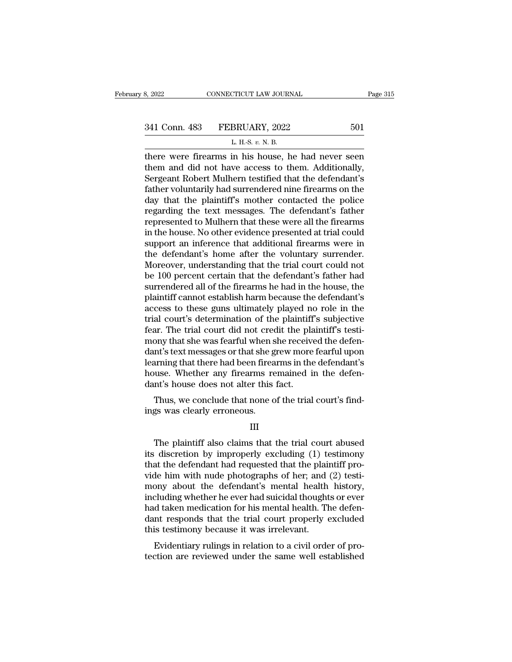| 8, 2022 | CONNECTICUT LAW JOURNAL      | Page 315 |
|---------|------------------------------|----------|
|         | 341 Conn. 483 FEBRUARY, 2022 | 501      |
|         | L. H.-S. v. N. B.            |          |

8, 2022 CONNECTICUT LAW JOURNAL<br>
341 Conn. 483 FEBRUARY, 2022 501<br>
L. H.-S. *v.* N. B.<br>
there were firearms in his house, he had never seen 3, 2022 CONNECTICUT LAW JOURNAL Page 315<br>
341 Conn. 483 FEBRUARY, 2022 501<br>
L. H.S. v. N. B.<br>
there were firearms in his house, he had never seen<br>
them and did not have access to them. Additionally,<br>
Sorgoont Pobert Mulbe 341 Conn. 483 FEBRUARY, 2022 501<br>
L. H.-S.  $v$ . N. B.<br>
there were firearms in his house, he had never seen<br>
them and did not have access to them. Additionally,<br>
Sergeant Robert Mulhern testified that the defendant's<br>
fath 341 Conn. 483 FEBRUARY, 2022 501<br>
L. H.S. v. N. B.<br>
there were firearms in his house, he had never seen<br>
them and did not have access to them. Additionally,<br>
Sergeant Robert Mulhern testified that the defendant's<br>
father  $\frac{1}{\text{L H.S. } v \text{ N.B.}}$ <br>
L. H.S.  $v \text{ N.B.}}$ <br>
there were firearms in his house, he had never seen<br>
them and did not have access to them. Additionally,<br>
Sergeant Robert Mulhern testified that the defendant's<br>
father volunta L. H.-S.  $v$ . N. B.<br>there were firearms in his house, he had never seen<br>them and did not have access to them. Additionally,<br>Sergeant Robert Mulhern testified that the defendant's<br>father voluntarily had surrendered nine fi L. H.-S.  $v$ . N. B.<br>there were firearms in his house, he had never seen<br>them and did not have access to them. Additionally,<br>Sergeant Robert Mulhern testified that the defendant's<br>father voluntarily had surrendered nine fi there were firearms in his house, he had never seen<br>them and did not have access to them. Additionally,<br>Sergeant Robert Mulhern testified that the defendant's<br>father voluntarily had surrendered nine firearms on the<br>day tha them and did not have access to them. Additionally,<br>Sergeant Robert Mulhern testified that the defendant's<br>father voluntarily had surrendered nine firearms on the<br>day that the plaintiff's mother contacted the police<br>regard Sergeant Robert Mulhern testified that the defendant's<br>father voluntarily had surrendered nine firearms on the<br>day that the plaintiff's mother contacted the police<br>regarding the text messages. The defendant's father<br>repres father voluntarily had surrendered nine firearms on the<br>day that the plaintiff's mother contacted the police<br>regarding the text messages. The defendant's father<br>represented to Mulhern that these were all the firearms<br>in th day that the plaintiff's mother contacted the police<br>regarding the text messages. The defendant's father<br>represented to Mulhern that these were all the firearms<br>in the house. No other evidence presented at trial could<br>supp regarding the text messages. The defendant's father<br>represented to Mulhern that these were all the firearms<br>in the house. No other evidence presented at trial could<br>support an inference that additional firearms were in<br>the represented to Mulhern that these were all the firearms<br>in the house. No other evidence presented at trial could<br>support an inference that additional firearms were in<br>the defendant's home after the voluntary surrender.<br>Mor in the house. No other evidence presented at trial could<br>support an inference that additional firearms were in<br>the defendant's home after the voluntary surrender.<br>Moreover, understanding that the trial court could not<br>be 1 support an inference that additional firearms were in<br>the defendant's home after the voluntary surrender.<br>Moreover, understanding that the trial court could not<br>be 100 percent certain that the defendant's father had<br>surren the defendant's home after the voluntary surrender.<br>Moreover, understanding that the trial court could not<br>be 100 percent certain that the defendant's father had<br>surrendered all of the firearms he had in the house, the<br>pla Moreover, understanding that the trial court could not<br>be 100 percent certain that the defendant's father had<br>surrendered all of the firearms he had in the house, the<br>plaintiff cannot establish harm because the defendant's be 100 percent certain that the defendant's father had<br>surrendered all of the firearms he had in the house, the<br>plaintiff cannot establish harm because the defendant's<br>access to these guns ultimately played no role in the<br> surrendered all of the firearms he had in the house, the plaintiff cannot establish harm because the defendant's access to these guns ultimately played no role in the trial court's determination of the plaintiff's subjecti plaintiff cannot establish harm because the defendant's<br>access to these guns ultimately played no role in the<br>trial court's determination of the plaintiff's subjective<br>fear. The trial court did not credit the plaintiff's t access to these guns ultimately played no role in the<br>trial court's determination of the plaintiff's subjective<br>fear. The trial court did not credit the plaintiff's testi-<br>mony that she was fearful when she received the de trial court's determination of the plaintiff<br>fear. The trial court did not credit the pla<br>mony that she was fearful when she receive<br>dant's text messages or that she grew more<br>learning that there had been firearms in the<br>h at. The trial court and not creat the plannin's test-<br>bony that she was fearful when she received the defen-<br>nt's text messages or that she grew more fearful upon<br>arming that there had been firearms in the defendant's<br>use. mony that she was fearly when s<br>dant's text messages or that she g<br>learning that there had been firea<br>house. Whether any firearms re<br>dant's house does not alter this<br>Thus, we conclude that none o<br>ings was clearly erroneous

III

Met also claims fernamed in the deferment's house does not alter this fact.<br>Thus, we conclude that none of the trial court's find-<br>gs was clearly erroneous.<br>III<br>The plaintiff also claims that the trial court abused<br>is disc Thus, we conclude that none of the trial court's find-<br>ings was clearly erroneous.<br>III<br>The plaintiff also claims that the trial court abused<br>its discretion by improperly excluding (1) testimony<br>that the defendant had reque Thus, we conclude that none of the trial court's find-<br>ings was clearly erroneous.<br>III<br>The plaintiff also claims that the trial court abused<br>its discretion by improperly excluding (1) testimony<br>that the defendant had reque ings was clearly erroneous.<br>
III<br>
The plaintiff also claims that the trial court abused<br>
its discretion by improperly excluding (1) testimony<br>
that the defendant had requested that the plaintiff pro-<br>
vide him with nude ph III<br>III<br>The plaintiff also claims that the trial court abused<br>its discretion by improperly excluding (1) testimony<br>that the defendant had requested that the plaintiff pro-<br>vide him with nude photographs of her; and (2) tes III<br>The plaintiff also claims that the trial court abused<br>its discretion by improperly excluding (1) testimony<br>that the defendant had requested that the plaintiff pro-<br>vide him with nude photographs of her; and (2) testi-<br> The plaintiff also claims that the trial court abused<br>its discretion by improperly excluding (1) testimony<br>that the defendant had requested that the plaintiff pro-<br>vide him with nude photographs of her; and (2) testi-<br>mony its discretion by improperly excluding (1) testimony<br>that the defendant had requested that the plaintiff pro-<br>vide him with nude photographs of her; and (2) testi-<br>mony about the defendant's mental health history,<br>includin that the defendant had requested that the plain<br>vide him with nude photographs of her; and<br>mony about the defendant's mental health<br>including whether he ever had suicidal thought<br>had taken medication for his mental health. Le find with flude photographs of fier, and  $(2)$  test-<br>ony about the defendant's mental health history,<br>cluding whether he ever had suicidal thoughts or ever<br>d taken medication for his mental health. The defen-<br>nt respon the diversion are referred and start areas in the same well established that the same well established this testimony because it was irrelevant.<br>Evidentiary rulings in relation to a civil order of protection are reviewed u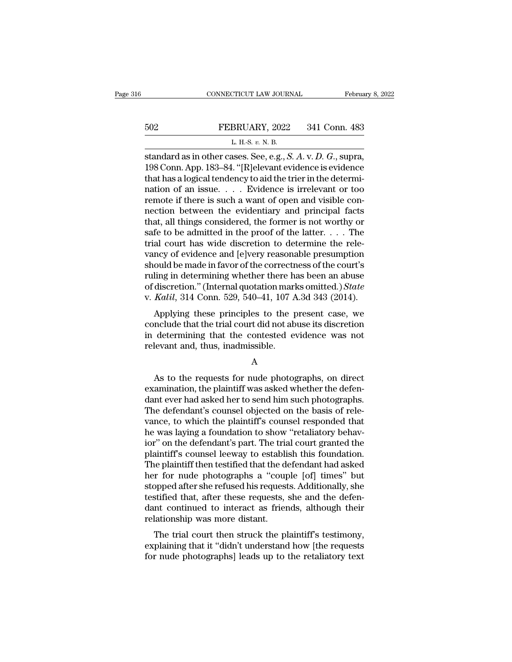# EXECUTE CONNECTICUT LAW JOURNAL February 8, 2022<br>502 FEBRUARY, 2022 341 Conn. 483<br>L. H.-S. v. N. B. CONNECTICUT LAW JOURNAL Februa<br>
502 FEBRUARY, 2022 341 Conn. 483<br>
L. H.-S. *v.* N. B.<br>
standard as in other cases. See, e.g., *S. A. v. D. G.*, supra,

CONNECTICUT LAW JOURNAL February 8, 2<br>
SO2 FEBRUARY, 2022 341 Conn. 483<br>
L. H.S. v. N. B.<br>
Standard as in other cases. See, e.g., *S. A*. v. *D. G.*, supra,<br>
198 Conn. App. 183–84. "[R]elevant evidence is evidence FEBRUARY, 2022 341 Conn. 483<br>
L. H.-S. v. N. B.<br>
standard as in other cases. See, e.g., *S. A.* v. *D. G.*, supra,<br>
198 Conn. App. 183–84. "[R]elevant evidence is evidence<br>
that has a logical tendency to aid the trier in t 502 FEBRUARY, 2022 341 Conn. 483<br>
L. H.-S. v. N. B.<br>
standard as in other cases. See, e.g., S. A. v. D. G., supra,<br>
198 Conn. App. 183–84. "[R]elevant evidence is evidence<br>
that has a logical tendency to aid the trier in FEBRUARY, 2022 341 Conn. 483<br>
L. H.S. v. N. B.<br>
standard as in other cases. See, e.g., *S. A. v. D. G.*, supra,<br>
198 Conn. App. 183–84. "[R]elevant evidence is evidence<br>
that has a logical tendency to aid the trier in the L. H.S. v. N. B.<br>
standard as in other cases. See, e.g., S. A. v. D. G., supra,<br>
198 Conn. App. 183–84. "[R]elevant evidence is evidence<br>
that has a logical tendency to aid the trier in the determi-<br>
nation of an issue. . L. H.S. v. N. B.<br>
standard as in other cases. See, e.g., S. A. v. D. G., supra,<br>
198 Conn. App. 183–84. "[R]elevant evidence is evidence<br>
that has a logical tendency to aid the trier in the determi-<br>
nation of an issue. . standard as in other cases. See, e.g., *S. A.* v. *D. G.*, supra, 198 Conn. App. 183–84. "[R]elevant evidence is evidence that has a logical tendency to aid the trier in the determination of an issue. . . . Evidence is ir 198 Conn. App. 183–84. "[R]elevant evidence is evidence that has a logical tendency to aid the trier in the determination of an issue. . . . . Evidence is irrelevant or too remote if there is such a want of open and visib that has a logical tendency to aid the trier in the determination of an issue.  $\ldots$  Evidence is irrelevant or too remote if there is such a want of open and visible connection between the evidentiary and principal facts nation of an issue. . . . . Evidence is irrelevant or too remote if there is such a want of open and visible con-<br>nection between the evidentiary and principal facts that, all things considered, the former is not worthy o remote if there is such a want of open and visible con-<br>nection between the evidentiary and principal facts<br>that, all things considered, the former is not worthy or<br>safe to be admitted in the proof of the latter. . . . . T reading the evidentiary and principal facts<br>that, all things considered, the former is not worthy or<br>safe to be admitted in the proof of the latter. . . . The<br>trial court has wide discretion to determine the rele-<br>vancy o that, all things considered, the former is not worthy or<br>safe to be admitted in the proof of the latter. . . . The<br>trial court has wide discretion to determine the rele-<br>vancy of evidence and [e]very reasonable presumptio safe to be admitted in the proof of the latter. . . . The<br>trial court has wide discretion to determine the rele-<br>vancy of evidence and [e]very reasonable presumption<br>should be made in favor of the correctness of the court' at court has whe uscretion to determine the referring<br>nould be made in favor of the correctness of the court's<br>ling in determining whether there has been an abuse<br>discretion." (Internal quotation marks omitted.) State<br>Kali vancy of evidence and [e]very reasonable presumption<br>should be made in favor of the correctness of the court's<br>ruling in determining whether there has been an abuse<br>of discretion." (Internal quotation marks omitted.) *Sta* 

should be hiade in favor of the correctness of the court s<br>ruling in determining whether there has been an abuse<br>of discretion." (Internal quotation marks omitted.) State<br>v. Kalil, 314 Conn. 529, 540–41, 107 A.3d 343 (2014 Frame and the termining whether there is<br>of discretion." (Internal quotation mark<br>v. *Kalil*, 314 Conn. 529, 540–41, 107 Applying these principles to the p<br>conclude that the trial court did not ab<br>in determining that the Applying these principles to the present case, we<br>nclude that the trial court did not abuse its discretion<br>determining that the contested evidence was not<br>levant and, thus, inadmissible.<br>A<br>As to the requests for nude photo

## A

examinate that the trial court did not abuse its discretion<br>in determining that the contested evidence was not<br>relevant and, thus, inadmissible.<br>A<br>A<br>Solid the requests for nude photographs, on direct<br>examination, the plain in determining that the contested evidence was not<br>relevant and, thus, inadmissible.<br>A<br>A<br>As to the requests for nude photographs, on direct<br>examination, the plaintiff was asked whether the defen-<br>dant ever had asked her to relevant and, thus, inadmissible.<br>
A<br>
A<br>
As to the requests for nude photographs, on direct<br>
examination, the plaintiff was asked whether the defen-<br>
dant ever had asked her to send him such photographs.<br>
The defendant's c A<br>As to the requests for nude photographs, on direct<br>examination, the plaintiff was asked whether the defen-<br>dant ever had asked her to send him such photographs.<br>The defendant's counsel objected on the basis of rele-<br>vanc As to the requests for nude photographs, on direct<br>examination, the plaintiff was asked whether the defen-<br>dant ever had asked her to send him such photographs.<br>The defendant's counsel objected on the basis of rele-<br>vance, As to the requests for nude photographs, on direct<br>examination, the plaintiff was asked whether the defen-<br>dant ever had asked her to send him such photographs.<br>The defendant's counsel objected on the basis of rele-<br>vance, examination, the plaintiff was asked whether the defendant ever had asked her to send him such photographs.<br>The defendant's counsel objected on the basis of relevance, to which the plaintiff's counsel responded that<br>he was dant ever had asked her to send him such photographs.<br>The defendant's counsel objected on the basis of relevance, to which the plaintiff's counsel responded that<br>he was laying a foundation to show "retaliatory behav-<br>ior" The defendant's counsel objected on the basis of relevance, to which the plaintiff's counsel responded that<br>he was laying a foundation to show "retaliatory behav-<br>ior" on the defendant's part. The trial court granted the<br>p vance, to which the plaintiff's counsel responded that<br>he was laying a foundation to show "retaliatory behav-<br>ior" on the defendant's part. The trial court granted the<br>plaintiff's counsel leeway to establish this foundatio he was laying a foundation to show "retaliatory behavior" on the defendant's part. The trial court granted the plaintiff's counsel leeway to establish this foundation. The plaintiff then testified that the defendant had as ior" on the defendant's part. The trial court granted the plaintiff's counsel leeway to establish this foundation.<br>The plaintiff then testified that the defendant had asked<br>her for nude photographs a "couple [of] times" bu plaintiff's counsel leeway to establis<br>The plaintiff then testified that the de-<br>her for nude photographs a "coup-<br>stopped after she refused his requests,<br>testified that, after these requests,<br>dant continued to interact as r for nude photographs a "couple [of] times" but<br>pped after she refused his requests. Additionally, she<br>stified that, after these requests, she and the defen-<br>nt continued to interact as friends, although their<br>lationship Fraction India Photographs a Couple [01] three but<br>stopped after she refused his requests. Additionally, she<br>testified that, after these requests, she and the defen-<br>dant continued to interact as friends, although their<br>re stopped after she refused ins requests. Additionally, she<br>testified that, after these requests, she and the defen-<br>dant continued to interact as friends, although their<br>relationship was more distant.<br>The trial court then s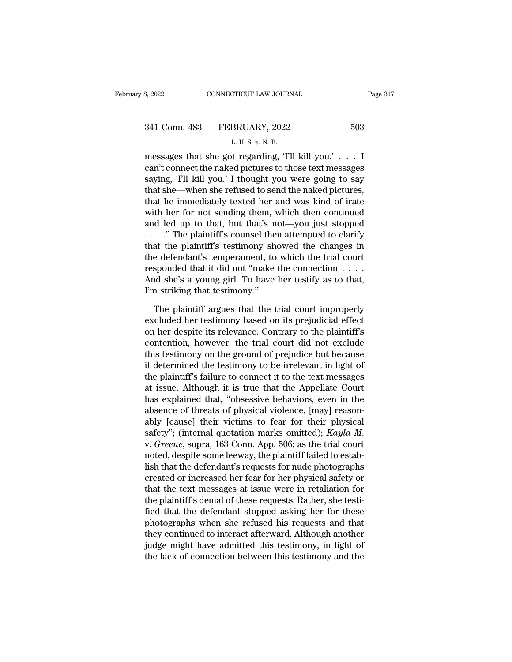| 3, 2022       | CONNECTICUT LAW JOURNAL                         | Page 317 |
|---------------|-------------------------------------------------|----------|
| 341 Conn. 483 | FEBRUARY, 2022                                  | 503      |
|               | L. H.-S. $v$ . N. B.                            |          |
|               | messages that she got regarding 'I'll kill you' |          |

| L. H.-S. v. N. B. |  |  |  |  |
|-------------------|--|--|--|--|
|-------------------|--|--|--|--|

8, 2022 CONNECTICUT LAW JOURNAL Page 31'<br>
341 Conn. 483 FEBRUARY, 2022 503<br>
L. H.S. v. N. B.<br>
messages that she got regarding, 'I'll kill you.' . . . I<br>
can't connect the naked pictures to those text messages 341 Conn. 483 FEBRUARY, 2022 503<br>
L. H.S. v. N. B.<br>
messages that she got regarding, 'T'll kill you.' . . . I<br>
can't connect the naked pictures to those text messages<br>
saying, 'T'll kill you.' I thought you were going to s 341 Conn. 483 FEBRUARY, 2022 503<br>
L. H.-S. v. N. B.<br>
messages that she got regarding, 'I'll kill you.' . . . I<br>
can't connect the naked pictures to those text messages<br>
saying, 'I'll kill you.' I thought you were going to 341 Conn. 483 FEBRUARY, 2022 503<br>  $L H.S. v.N.B.$ <br>
messages that she got regarding, 'T'll kill you.' . . . I<br>
can't connect the naked pictures to those text messages<br>
saying, 'T'll kill you.' I thought you were going to say<br>
t L. H.-S.  $v$ . N. B.<br>
messages that she got regarding, 'T'll kill you.' . . . I<br>
can't connect the naked pictures to those text messages<br>
saying, 'T'll kill you.' I thought you were going to say<br>
that she—when she refused  $\frac{L \text{ m.s. } v \text{ N. B.}}{L \text{ m.s. } v \text{ N. B.}}$ <br>
messages that she got regarding, 'T'll kill you.' . . . I<br>
can't connect the naked pictures to those text messages<br>
saying, 'T'll kill you.' I thought you were going to say<br>
that messages that she got regarding, 'Tll kill you.' . . . I<br>can't connect the naked pictures to those text messages<br>saying, 'Tll kill you.' I thought you were going to say<br>that she—when she refused to send the naked pictures can't connect the naked pictures to those text messages<br>saying, 'I'll kill you.' I thought you were going to say<br>that she—when she refused to send the naked pictures,<br>that he immediately texted her and was kind of irate<br>wi saying, 'I'll kill you.' I thought you were going to say<br>that she—when she refused to send the naked pictures,<br>that he immediately texted her and was kind of irate<br>with her for not sending them, which then continued<br>and l that she—when she refused to send the naked pictures,<br>that he immediately texted her and was kind of irate<br>with her for not sending them, which then continued<br>and led up to that, but that's not—you just stopped<br> $\dots$ ." The that he immediately texted her and was kind of irate<br>with her for not sending them, which then continued<br>and led up to that, but that's not—you just stopped<br>...." The plaintiff's counsel then attempted to clarify<br>that the with her for not sending them, which then continued<br>and led up to that, but that's not—you just stopped<br>...." The plaintiff's counsel then attempted to clarify<br>that the plaintiff's testimony showed the changes in<br>the defe and led up to that, but that's n<br>  $\ldots$ ." The plaintiff's counsel the<br>
that the plaintiff's testimony sh<br>
the defendant's temperament, to<br>
responded that it did not "make<br>
And she's a young girl. To have<br>
I'm striking tha at the plaintiff's testimony showed the changes in<br>e defendant's temperament, to which the trial court<br>sponded that it did not "make the connection  $\dots$ .<br>ind she's a young girl. To have her testify as to that,<br>a striking the defendant's temperament, to which the trial court<br>responded that it did not "make the connection . . . .<br>And she's a young girl. To have her testify as to that,<br>I'm striking that testimony."<br>The plaintiff argues that t

responded that it did not "make the connection  $\ldots$ .<br>And she's a young girl. To have her testify as to that,<br>I'm striking that testimony."<br>The plaintiff argues that the trial court improperly<br>excluded her testimony based And she's a young girl. To have her testify as to that,<br>I'm striking that testimony."<br>The plaintiff argues that the trial court improperly<br>excluded her testimony based on its prejudicial effect<br>on her despite its relevance I'm striking that testimony."<br>The plaintiff argues that the trial court improperly<br>excluded her testimony based on its prejudicial effect<br>on her despite its relevance. Contrary to the plaintiff's<br>contention, however, the t The plaintiff argues that the trial court improperly<br>excluded her testimony based on its prejudicial effect<br>on her despite its relevance. Contrary to the plaintiff's<br>contention, however, the trial court did not exclude<br>thi The plaintiff argues that the trial court improperly<br>excluded her testimony based on its prejudicial effect<br>on her despite its relevance. Contrary to the plaintiff's<br>contention, however, the trial court did not exclude<br>thi excluded her testimony based on its prejudicial effect<br>on her despite its relevance. Contrary to the plaintiff's<br>contention, however, the trial court did not exclude<br>this testimony on the ground of prejudice but because<br>it on her despite its relevance. Contrary to the plaintiff's<br>contention, however, the trial court did not exclude<br>this testimony on the ground of prejudice but because<br>it determined the testimony to be irrelevant in light of<br> contention, however, the trial court did not exclude<br>this testimony on the ground of prejudice but because<br>it determined the testimony to be irrelevant in light of<br>the plaintiff's failure to connect it to the text messages this testimony on the ground of prejudice but because<br>it determined the testimony to be irrelevant in light of<br>the plaintiff's failure to connect it to the text messages<br>at issue. Although it is true that the Appellate Co it determined the testimony to be irrelevant in light of<br>the plaintiff's failure to connect it to the text messages<br>at issue. Although it is true that the Appellate Court<br>has explained that, "obsessive behaviors, even in t at issue. Although it is true that the Appellate Court<br>has explained that, "obsessive behaviors, even in the<br>absence of threats of physical violence, [may] reason-<br>ably [cause] their victims to fear for their physical<br>safe has explained that, "obsessive behaviors, even in the<br>absence of threats of physical violence, [may] reason-<br>ably [cause] their victims to fear for their physical<br>safety"; (internal quotation marks omitted);  $Kayla M$ .<br>v. *G* absence of threats of physical violence, [may] reason-<br>ably [cause] their victims to fear for their physical<br>safety"; (internal quotation marks omitted); *Kayla M*.<br>v. *Greene*, supra, 163 Conn. App. 506; as the trial cour ably [cause] their victims to fear for their physical<br>safety"; (internal quotation marks omitted); *Kayla M*.<br>v. *Greene*, supra, 163 Conn. App. 506; as the trial court<br>noted, despite some leeway, the plaintiff failed to e safety"; (internal quotation marks omitted); Kayla M.<br>v. Greene, supra, 163 Conn. App. 506; as the trial court<br>noted, despite some leeway, the plaintiff failed to estab-<br>lish that the defendant's requests for nude photogra v. *Greene*, supra, 163 Conn. App. 506; as the trial court<br>noted, despite some leeway, the plaintiff failed to estab-<br>lish that the defendant's requests for nude photographs<br>created or increased her fear for her physical s noted, despite some leeway, the plaintiff failed to establish that the defendant's requests for nude photographs<br>created or increased her fear for her physical safety or<br>that the text messages at issue were in retaliation lish that the defendant's requests for nude photographs<br>created or increased her fear for her physical safety or<br>that the text messages at issue were in retaliation for<br>the plaintiff's denial of these requests. Rather, she created or increased her fear for her physical safety or<br>that the text messages at issue were in retaliation for<br>the plaintiff's denial of these requests. Rather, she testi-<br>fied that the defendant stopped asking her for t that the text messages at issue were in retaliation for<br>the plaintiff's denial of these requests. Rather, she testi-<br>fied that the defendant stopped asking her for these<br>photographs when she refused his requests and that<br>t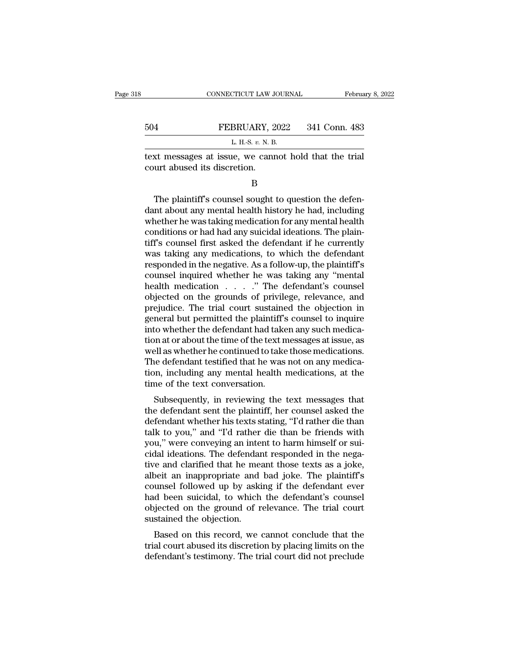| 8 |     | CONNECTICUT LAW JOURNAL<br>February 8, 2022                                           |
|---|-----|---------------------------------------------------------------------------------------|
|   | 504 | FEBRUARY, 2022<br>341 Conn. 483                                                       |
|   |     | L H $-S$ n N $B$                                                                      |
|   |     | text messages at issue, we cannot hold that the trial<br>court abused its discretion. |
|   |     |                                                                                       |

THE PLATE PLATE SET SOLUTION 1883<br>L. H.-S. v. N. B.<br>
Ext messages at issue, we cannot hold that the trial<br>
urt abused its discretion.<br>
B<br>
The plaintiff's counsel sought to question the defen-<br>
about any mental health hist  $\begin{array}{c} \text{L H-S. } v. \text{ N. B.} \end{array}$ <br>text messages at issue, we cannot hold that the trial<br>court abused its discretion.<br> $\begin{array}{c} \text{B} \end{array}$ <br>The plaintiff's counsel sought to question the defen-<br>dant about any mental health hi text messages at issue, we cannot hold that the trial<br>court abused its discretion.<br>B<br>The plaintiff's counsel sought to question the defen-<br>dant about any mental health history he had, including<br>whether he was taking medica Example 18 and the discretions of the discretions or had had any mental health history he had, including<br>that about any mental health history he had, including<br>whether he was taking medication for any mental health<br>conditi B<br>
The plaintiff's counsel sought to question the defen-<br>
dant about any mental health history he had, including<br>
whether he was taking medication for any mental health<br>
conditions or had had any suicidal ideations. The pl B<br>The plaintiff's counsel sought to question the defen-<br>dant about any mental health history he had, including<br>whether he was taking medication for any mental health<br>conditions or had had any suicidal ideations. The plain-The plaintiff's counsel sought to question the defen-<br>dant about any mental health history he had, including<br>whether he was taking medication for any mental health<br>conditions or had had any suicidal ideations. The plain-<br>t dant about any mental health history he had, including<br>whether he was taking medication for any mental health<br>conditions or had had any suicidal ideations. The plain-<br>tiff's counsel first asked the defendant if he currentl whether he was taking medication for any mental health<br>conditions or had had any suicidal ideations. The plain-<br>tiff's counsel first asked the defendant if he currently<br>was taking any medications, to which the defendant<br>re conditions or had had any suicidal ideations. The plain-<br>tiff's counsel first asked the defendant if he currently<br>was taking any medications, to which the defendant<br>responded in the negative. As a follow-up, the plaintiff' tiff's counsel first asked the defendant if he currently<br>was taking any medications, to which the defendant<br>responded in the negative. As a follow-up, the plaintiff's<br>counsel inquired whether he was taking any "mental<br>heal was taking any medications, to which the defendant<br>responded in the negative. As a follow-up, the plaintiff's<br>counsel inquired whether he was taking any "mental<br>health medication  $\ldots$ ". The defendant's counsel<br>objected o responded in the negative. As a follow-up, the plaintiff's<br>counsel inquired whether he was taking any "mental<br>health medication  $\ldots$ ". "The defendant's counsel<br>objected on the grounds of privilege, relevance, and<br>prejudi counsel inquired whether he was taking any "mental<br>health medication . . . . ." The defendant's counsel<br>objected on the grounds of privilege, relevance, and<br>prejudice. The trial court sustained the objection in<br>general but health medication . . . . ." The defendant's counsel<br>objected on the grounds of privilege, relevance, and<br>prejudice. The trial court sustained the objection in<br>general but permitted the plaintiff's counsel to inquire<br>into objected on the grounds of privilege, relevance, and<br>prejudice. The trial court sustained the objection in<br>general but permitted the plaintiff's counsel to inquire<br>into whether the defendant had taken any such medica-<br>tion prejudice. The trial court sustained the objection in<br>general but permitted the plaintiff's counsel to inquire<br>into whether the defendant had taken any such medica-<br>tion at or about the time of the text messages at issue, general but permitted the plaintiff's<br>into whether the defendant had take<br>tion at or about the time of the text n<br>well as whether he continued to take<br>The defendant testified that he was<br>tion, including any mental health<br>t For a solution of the text messages at issue, as<br>ell as whether he continued to take those medications.<br>he defendant testified that he was not on any medica-<br>n, including any mental health medications, at the<br>me of the tex tion at or about the time or the text messages at issue, as<br>well as whether he continued to take those medications.<br>The defendant testified that he was not on any medica-<br>tion, including any mental health medications, at t

Well as whether he continued to take those ineutcations.<br>The defendant testified that he was not on any medication, including any mental health medications, at the<br>time of the text conversation.<br>Subsequently, in reviewing The defendant testified that he was not on any medication, including any mental health medications, at the time of the text conversation.<br>Subsequently, in reviewing the text messages that the defendant sent the plaintiff, from, including any mental nearth medications, at the<br>time of the text conversation.<br>Subsequently, in reviewing the text messages that<br>the defendant sent the plaintiff, her counsel asked the<br>defendant whether his texts sta Subsequently, in reviewing the text messages that<br>the defendant sent the plaintiff, her counsel asked the<br>defendant whether his texts stating, "I'd rather die than<br>talk to you," and "I'd rather die than be friends with<br>you Subsequently, in reviewing the text messages that<br>the defendant sent the plaintiff, her counsel asked the<br>defendant whether his texts stating, "I'd rather die than<br>talk to you," and "I'd rather die than be friends with<br>you the defendant sent the plaintiff, her counsel asked the<br>defendant whether his texts stating, "I'd rather die than<br>talk to you," and "I'd rather die than be friends with<br>you," were conveying an intent to harm himself or sui defendant whether his texts stating, "I'd rather die than<br>talk to you," and "I'd rather die than be friends with<br>you," were conveying an intent to harm himself or sui-<br>cidal ideations. The defendant responded in the nega-<br> talk to you," and "I'd rather die than be friends with<br>you," were conveying an intent to harm himself or sui-<br>cidal ideations. The defendant responded in the nega-<br>tive and clarified that he meant those texts as a joke,<br>al you," were conveying an intent to harm himself or sui-<br>cidal ideations. The defendant responded in the nega-<br>tive and clarified that he meant those texts as a joke,<br>albeit an inappropriate and bad joke. The plaintiff's<br>cou cidal ideations. The defendant responded in the negative and clarified that he meant those texts as a joke, albeit an inappropriate and bad joke. The plaintiff's counsel followed up by asking if the defendant ever had been Fand claimed that he meant those texts as a joke,<br>peit an inappropriate and bad joke. The plaintiff's<br>unsel followed up by asking if the defendant ever<br>d been suicidal, to which the defendant's counsel<br>jected on the ground and the manufold and bad joke. The plant is<br>counsel followed up by asking if the defendant ever<br>had been suicidal, to which the defendant's counsel<br>objected on the ground of relevance. The trial court<br>sustained the objecti defendant is testimony. The trial court did not preclude that the defendant's counsel objected on the ground of relevance. The trial court sustained the objection.<br>Based on this record, we cannot conclude that the trial co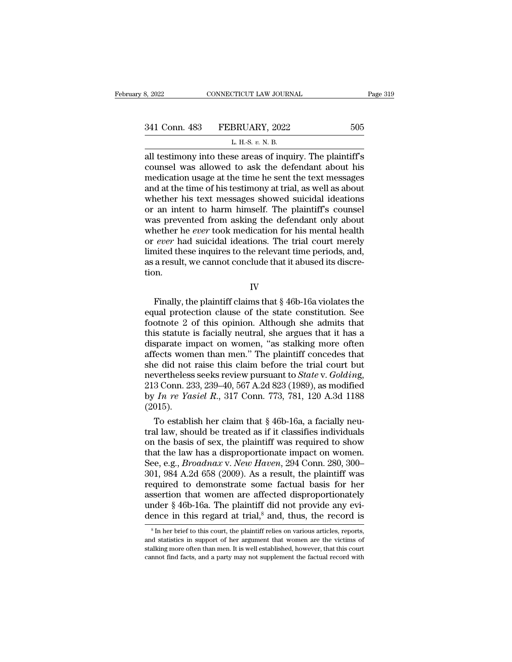| 3, 2022       | CONNECTICUT LAW JOURNAL                                    | Page 319 |  |
|---------------|------------------------------------------------------------|----------|--|
|               |                                                            |          |  |
| 341 Conn. 483 | FEBRUARY, 2022                                             | 505      |  |
|               | L. H.-S. $v$ . N. B.                                       |          |  |
|               | all testimony into these areas of inquiry. The plaintiff's |          |  |

|  | H.S. v. N. B. |
|--|---------------|
|--|---------------|

3, 2022 CONNECTICUT LAW JOURNAL Page 319<br>  $341$  Conn. 483 FEBRUARY, 2022 505<br>  $L$  H.S. v. N. B.<br>
all testimony into these areas of inquiry. The plaintiff's<br>
counsel was allowed to ask the defendant about his<br>
medication u 341 Conn. 483 FEBRUARY, 2022 505<br>
L. H.-S. v. N. B.<br>
all testimony into these areas of inquiry. The plaintiff's<br>
counsel was allowed to ask the defendant about his<br>
medication usage at the time he sent the text messages<br> 341 Conn. 483 FEBRUARY, 2022 505<br>
L. H.S. v. N. B.<br>
all testimony into these areas of inquiry. The plaintiff's<br>
counsel was allowed to ask the defendant about his<br>
medication usage at the time he sent the text messages<br>
a 341 Conn. 483 FEBRUARY, 2022 505<br>
L. H.S. v. N. B.<br>
all testimony into these areas of inquiry. The plaintiff's<br>
counsel was allowed to ask the defendant about his<br>
medication usage at the time he sent the text messages<br>
a L. H.S. v. N. B.<br>
L. H.S. v. N. B.<br>
all testimony into these areas of inquiry. The plaintiff's<br>
counsel was allowed to ask the defendant about his<br>
medication usage at the time he sent the text messages<br>
and at the time o L. H.-S.  $v$ . N. B.<br>
all testimony into these areas of inquiry. The plaintiff's<br>
counsel was allowed to ask the defendant about his<br>
medication usage at the time he sent the text messages<br>
and at the time of his testimony all testimony into these areas of inquiry. The plaintiff's<br>counsel was allowed to ask the defendant about his<br>medication usage at the time he sent the text messages<br>and at the time of his testimony at trial, as well as abo counsel was allowed to ask the defendant about his<br>medication usage at the time he sent the text messages<br>and at the time of his testimony at trial, as well as about<br>whether his text messages showed suicidal ideations<br>or a medication usage at the time he sent the text messages<br>and at the time of his testimony at trial, as well as about<br>whether his text messages showed suicidal ideations<br>or an intent to harm himself. The plaintiff's counsel<br>w and at the time of his testimony at trial, as well as about<br>whether his text messages showed suicidal ideations<br>or an intent to harm himself. The plaintiff's counsel<br>was prevented from asking the defendant only about<br>wheth whether his text messages showed suicidal ideations<br>or an intent to harm himself. The plaintiff's counsel<br>was prevented from asking the defendant only about<br>whether he *ever* took medication for his mental health<br>or *ever* tion. Finally, the plaintiff claims that § 46b-16a violates the value of this amount of the periods, and, a result, we cannot conclude that it abused its discre-<br>on.<br>IV<br>Finally, the plaintiff claims that § 46b-16a violates the u

IV

For ever had such<br>an idealized the relevant time periods, and, as a result, we cannot conclude that it abused its discretion.<br>IV<br>Finally, the plaintiff claims that  $\S 46b-16a$  violates the<br>equal protection clause of the s for the set of the cannot conclude that it abused its discretion.<br>  $IV$ <br>
Finally, the plaintiff claims that  $\S$  46b-16a violates the<br>
equal protection clause of the state constitution. See<br>
footnote 2 of this opinion. Alth IV<br>IV<br>Finally, the plaintiff claims that § 46b-16a violates the<br>equal protection clause of the state constitution. See<br>footnote 2 of this opinion. Although she admits that<br>this statute is facially neutral, she argues that IV<br>
Finally, the plaintiff claims that § 46b-16a violates the<br>
equal protection clause of the state constitution. See<br>
footnote 2 of this opinion. Although she admits that<br>
this statute is facially neutral, she argues that Finally, the plaintiff claims that  $\S$  46b-16a violates the equal protection clause of the state constitution. See footnote 2 of this opinion. Although she admits that this statute is facially neutral, she argues that it Finally, the plaintiff claims that  $\S$  46b-16a violates the equal protection clause of the state constitution. See footnote 2 of this opinion. Although she admits that this statute is facially neutral, she argues that it equal protection clause of the state constitution. See<br>footnote 2 of this opinion. Although she admits that<br>this statute is facially neutral, she argues that it has a<br>disparate impact on women, "as stalking more often<br>affe footnote 2 of this opinion. Although she admits that<br>this statute is facially neutral, she argues that it has a<br>disparate impact on women, "as stalking more often<br>affects women than men." The plaintiff concedes that<br>she d this statute is facially neutral, she argues that it has a disparate impact on women, "as stalking more often affects women than men." The plaintiff concedes that she did not raise this claim before the trial court but nev (2015). fects women than men." The plaintiff concedes that<br>e did not raise this claim before the trial court but<br>vertheless seeks review pursuant to *State* v. *Golding*,<br>3 Conn. 233, 239–40, 567 A.2d 823 (1989), as modified<br> $\overline$ she did not raise this claim before the trial court but<br>nevertheless seeks review pursuant to *State* v. *Golding*,<br>213 Conn. 233, 239–40, 567 A.2d 823 (1989), as modified<br>by *In re Yasiel R.*, 317 Conn. 773, 781, 120 A.3

nevertheless seeks review pursuant to *State* v. *Golding*,<br>213 Conn. 233, 239–40, 567 A.2d 823 (1989), as modified<br>by *In re Yasiel R.*, 317 Conn. 773, 781, 120 A.3d 1188<br>(2015).<br>To establish her claim that § 46b-16a, a 213 Conn. 233, 239–40, 567 A.2d 823 (1989), as modified<br>by *In re Yasiel R.*, 317 Conn. 773, 781, 120 A.3d 1188<br>(2015).<br>To establish her claim that § 46b-16a, a facially neu-<br>tral law, should be treated as if it classifie by *In re Yasiel R.*, 317 Conn. 773, 781, 120 A.3d 1188<br>(2015).<br>To establish her claim that § 46b-16a, a facially neu-<br>tral law, should be treated as if it classifies individuals<br>on the basis of sex, the plaintiff was requ (2015).<br>
To establish her claim that § 46b-16a, a facially neu-<br>
tral law, should be treated as if it classifies individuals<br>
on the basis of sex, the plaintiff was required to show<br>
that the law has a disproportionate im To establish her claim that  $\S$  46b-16a, a facially neu-<br>tral law, should be treated as if it classifies individuals<br>on the basis of sex, the plaintiff was required to show<br>that the law has a disproportionate impact on wo tral law, should be treated as if it classifies individuals<br>on the basis of sex, the plaintiff was required to show<br>that the law has a disproportionate impact on women.<br>See, e.g., *Broadnax v. New Haven*, 294 Conn. 280, 3 on the basis of sex, the plaintiff was required to show<br>that the law has a disproportionate impact on women.<br>See, e.g., *Broadnax v. New Haven*, 294 Conn. 280, 300–<br>301, 984 A.2d 658 (2009). As a result, the plaintiff was that the law has a disproportionate impact on women.<br>See, e.g., *Broadnax v. New Haven*, 294 Conn. 280, 300–301, 984 A.2d 658 (2009). As a result, the plaintiff was<br>required to demonstrate some factual basis for her<br>asser equired to demonstrate some factual basis for her ssertion that women are affected disproportionately nder  $\S 46b-16a$ . The plaintiff did not provide any evience in this regard at trial,<sup>8</sup> and, thus, the record is  $s_{\text{$ assertion that women are affected disproportionately<br>under § 46b-16a. The plaintiff did not provide any evi-<br>dence in this regard at trial,<sup>8</sup> and, thus, the record is<br> $s_{\text{In her brief to this court, the plaintiff relies on various articles, reports,}$  and statistics in support of dence in this regard at trial, $\delta$  and, thus, the record is

under § 46b-16a. The plaintiff did not provide any evidence in this regard at trial,<sup>8</sup> and, thus, the record is  $\frac{1}{100}$  and  $\frac{1}{100}$  in her brief to this court, the plaintiff relies on various articles, reports, a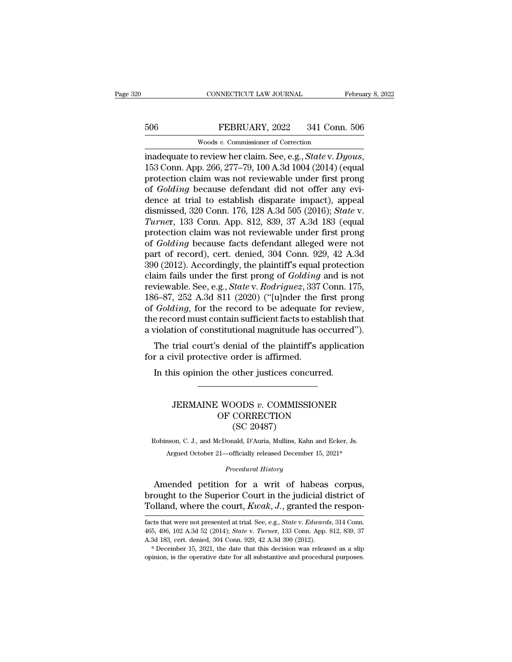## EXECUTE CONNECTICUT LAW JOURNAL February 8, 2022<br>506 FEBRUARY, 2022 341 Conn. 506<br>Woods v. Commissioner of Correction CONNECTICUT LAW JOURNAL<br>
FEBRUARY, 2022 341 Conn<br>
Woods *v.* Commissioner of Correction<br>
review her claim See e g. State v. Da

connecticut LAW JOURNAL February 8, 20<br>
FEBRUARY, 2022 341 Conn. 506<br>
woods v. Commissioner of Correction<br>
inadequate to review her claim. See, e.g., *State* v. *Dyous*,<br>
153 Conn. App. 266, 277–79, 100 A.3d 1004 (2014) (e FEBRUARY, 2022 341 Conn. 506<br>
Woods v. Commissioner of Correction<br>
inadequate to review her claim. See, e.g., *State* v. Dyous,<br>
153 Conn. App. 266, 277–79, 100 A.3d 1004 (2014) (equal<br>
protection claim was not reviewable **FEBRUARY**, 2022 341 Conn. 506<br>
Woods *v.* Commissioner of Correction<br>
inadequate to review her claim. See, e.g., *State v. Dyous*,<br>
153 Conn. App. 266, 277–79, 100 A.3d 1004 (2014) (equal<br>
protection claim was not reviewa Woods v. Commissioner of Correction<br>inadequate to review her claim. See, e.g., *State* v. Dyous,<br>153 Conn. App. 266, 277–79, 100 A.3d 1004 (2014) (equal<br>protection claim was not reviewable under first prong<br>of *Golding* b woods v. Commissioner of Correction<br>inadequate to review her claim. See, e.g., *State* v. Dyous,<br>153 Conn. App. 266, 277–79, 100 A.3d 1004 (2014) (equal<br>protection claim was not reviewable under first prong<br>of *Golding* be inadequate to review her claim. See, e.g., *State* v. *Dyous*, 153 Conn. App. 266, 277–79, 100 A.3d 1004 (2014) (equal protection claim was not reviewable under first prong of *Golding* because defendant did not offer any 153 Conn. App. 266, 277–79, 100 A.3d 1004 (2014) (equal<br>protection claim was not reviewable under first prong<br>of *Golding* because defendant did not offer any evi-<br>dence at trial to establish disparate impact), appeal<br>dis protection claim was not reviewable under first prong<br>of *Golding* because defendant did not offer any evi-<br>dence at trial to establish disparate impact), appeal<br>dismissed, 320 Conn. 176, 128 A.3d 505 (2016); *State* v.<br>Tu of *Golding* because defendant did not offer any evi-<br>dence at trial to establish disparate impact), appeal<br>dismissed, 320 Conn. 176, 128 A.3d 505 (2016); *State* v.<br>Turner, 133 Conn. App. 812, 839, 37 A.3d 183 (equal<br>prot dence at trial to establish disparate impact), appeal<br>dismissed, 320 Conn. 176, 128 A.3d 505 (2016); *State* v.<br>Turner, 133 Conn. App. 812, 839, 37 A.3d 183 (equal<br>protection claim was not reviewable under first prong<br>of dismissed, 320 Conn. 176, 128 A.3d 505 (2016); *State* v.<br> *Turner*, 133 Conn. App. 812, 839, 37 A.3d 183 (equal<br>
protection claim was not reviewable under first prong<br>
of *Golding* because facts defendant alleged were not Turner, 133 Conn. App. 812, 839, 37 A.3d 183 (equal protection claim was not reviewable under first prong of *Golding* because facts defendant alleged were not part of record), cert. denied, 304 Conn. 929, 42 A.3d 390 (201 protection claim was not reviewable under first prong<br>of *Golding* because facts defendant alleged were not<br>part of record), cert. denied, 304 Conn. 929, 42 A.3d<br>390 (2012). Accordingly, the plaintiff's equal protection<br>cl of *Golding* because facts defendant alleged were not<br>part of record), cert. denied, 304 Conn. 929, 42 A.3d<br>390 (2012). Accordingly, the plaintiff's equal protection<br>claim fails under the first prong of *Golding* and is no part of record), cert. denied, 304 Conn. 929, 42 A.3d<br>390 (2012). Accordingly, the plaintiff's equal protection<br>claim fails under the first prong of *Golding* and is not<br>reviewable. See, e.g., *State* v. *Rodriguez*, 337 C 390 (2012). Accordingly, the plaintiff's equal protection<br>claim fails under the first prong of *Golding* and is not<br>reviewable. See, e.g., *State* v. *Rodriguez*, 337 Conn. 175,<br>186–87, 252 A.3d 811 (2020) ("[u]nder the f intrials under the first prong of *Golding* and is not<br>viewable. See, e.g., *State v. Rodriguez*, 337 Conn. 175,<br>6–87, 252 A.3d 811 (2020) ("[u]nder the first prong<br>*Golding*, for the record to be adequate for review,<br>e re for a civil protective order is affirmed.<br>The absolute of Golding, for the record to be adequate for Golding, for the record to be adequate f<br>the record must contain sufficient facts to est<br>a violation of constitutional ma Golding, for the record to be adequate for revie<br>
ie record must contain sufficient facts to establish the<br>
violation of constitutional magnitude has occurred.<br>
The trial court's denial of the plaintiff's application<br>
r a

## Final court's denial of the plaintiff's application<br>
ivil protective order is affirmed.<br>
is opinion the other justices concurred.<br>
<br>
JERMAINE WOODS *v*. COMMISSIONER<br>
OF CORRECTION<br>
(SC 20487) Suenia of the plantin's applicative order is affirmed.<br>
the other justices concurred.<br>
WOODS v. COMMISSIONER<br>
OF CORRECTION (SC 20487) order is ammied.<br>
other justices conc<br>
DODS v. COMMISS<br>
CORRECTION<br>
(SC 20487)<br>
aad, D'Auria, Mullins, Kah JERMAINE WOODS  $v$ . COMMISSIONER<br>OF CORRECTION<br>(SC 20487)<br>Robinson, C. J., and McDonald, D'Auria, Mullins, Kahn and Ecker, Js. JERMAINE WOODS v. COMMISSIONER<br>
OF CORRECTION<br>
(SC 20487)<br>
1980, C. J., and McDonald, D'Auria, Mullins, Kahn and Ecker, Js.<br>
Argued October 21—officially released December 15, 2021\*<br>
Research History. *COMBAC*<br> *Procedural History*<br> *Procedural History*<br> *Procedural History*<br> **Procedural History**<br> **Procedural History**

 $\text{OF CORRECTION}}$ <br>
(SC 20487)<br>
Robinson, C. J., and McDonald, D'Auria, Mullins, Kahn and Ecker, Js.<br>
Argued October 21—officially released December 15, 2021\*<br>
Procedural History<br>
Amended petition for a writ of habeas corpus,<br>
o (SC 20487)<br>
Robinson, C. J., and McDonald, D'Auria, Mullins, Kahn and Ecker, Js.<br>
Argued October 21—officially released December 15, 2021\*<br>
Procedural History<br>
Amended petition for a writ of habeas corpus,<br>
brought to the Robinson, C. J., and McDonald, D'Auria, Mullins, Kahn and Ecker, Js.<br>Argued October 21—officially released December 15, 2021\*<br>*Procedural History*<br>Amended petition for a writ of habeas corpus,<br>brought to the Superior Court Amended petition for a writ of habeas corpus,<br>brought to the Superior Court in the judicial district of<br>Tolland, where the court,  $Kwak, J$ , granted the respon-<br>facts that were not presented at trial. See, e.g., *State* v. Amended petition for a writ of habeas corpus,<br>brought to the Superior Court in the judicial district of<br>Tolland, where the court,  $Kwak, J$ , granted the respon-<br>facts that were not presented at trial. See, e.g., *State* v.

brought to the Superior Court in the judicial district of Tolland, where the court,  $Kwak$ ,  $J$ ., granted the respon-<br>facts that were not presented at trial. See, e.g., *State v. Edwards*, 314 Conn.<br>465, 496, 102 A.3d 52 (2 Tolland, where the court,  $Kwak$ ,  $J$ ., granted the responfacts that were not presented at trial. See, e.g., *State* v. *Edwards*, 314 Conn. 465, 496, 102 A.3d 52 (2014); *State* v. *Turner*, 133 Conn. App. 812, 839, 37 A.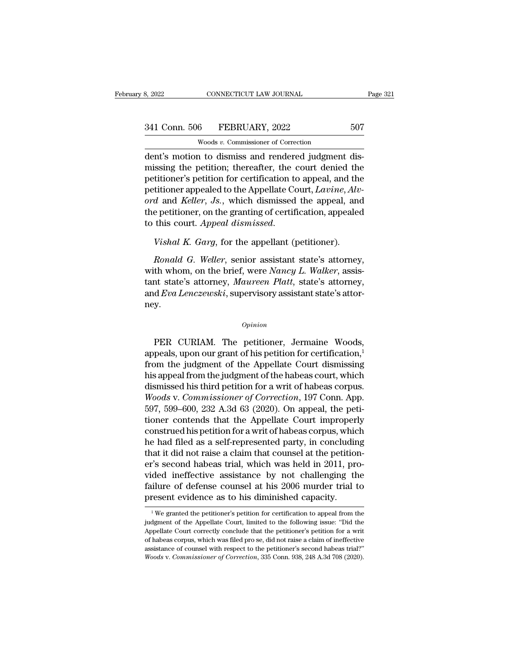8, 2022<br>
SA1 Conn. 506 FEBRUARY, 2022 507<br>
Woods *v*. Commissioner of Correction<br>
dent's motion to dismiss and rendered judgment dis-<br>
missing the petition; thereafter, the court denied the  $\frac{341 \text{ Conn. } 506 \qquad \text{FEBRUARY, } 2022 \qquad \qquad 507 \qquad \qquad \text{Woods } v. \text{ Commissioner of Correction}$ <br>
dent's motion to dismiss and rendered judgment dismissing the petition; thereafter, the court denied the petitioner's petition for certification to appe  $\frac{341 \text{ Conn. } 506 \qquad \text{FEBRUARY, } 2022 \qquad \qquad 507}{\text{Woods } v. \text{ Commissioner of Correction}}$ <br>
dent's motion to dismiss and rendered judgment dismissing the petition; thereafter, the court denied the petitioner's petition for certification to appeal, a **Period 341 Conn. 506** FEBRUARY, 2022 507<br>
Woods v. Commissioner of Correction<br>
dent's motion to dismiss and rendered judgment dis-<br>
missing the petition; thereafter, the court denied the<br>
petitioner's petition for certifi *Woods v. Commissioner of Correction*<br>dent's motion to dismiss and rendered judgment dis-<br>missing the petition; thereafter, the court denied the<br>petitioner's petition for certification to appeal, and the<br>petitioner appeale woods  $v$ . Commissioner of Correction<br>dent's motion to dismiss and rendered judgment dis-<br>missing the petition; thereafter, the court denied the<br>petitioner's petition for certification to appeal, and the<br>petitioner appeal dent's motion to dismiss and rendered judgment dismissing the petition; thereafter, the court denied the petitioner's petition for certification to appeal, and the petitioner appealed to the Appellate Court, *Lavine*, *Alv Ronald G. Weller, Js.*, which dismissed the appeal, and epetitioner, on the granting of certification, appealed this court. Appeal dismissed.<br>*Ronald K. Garg*, for the appellant (petitioner).<br>*Ronald G. Weller*, senior as

ord and *Retter*, *Js.*, which dishibised the appeal, and<br>the petitioner, on the granting of certification, appealed<br>to this court. *Appeal dismissed.*<br>Vishal K. Garg, for the appellant (petitioner).<br>Ronald G. Weller, seni the petholer, of the granting of certification, appealed<br>to this court. Appeal dismissed.<br>Vishal K. Garg, for the appellant (petitioner).<br>Ronald G. Weller, senior assistant state's attorney,<br>with whom, on the brief, were N *Vishal K. Garg, for the appellant (petitioner).*<br> *Ronald G. Weller, senior assistant state's attorney,*<br>
with whom, on the brief, were *Nancy L. Walker*, assis-<br>
tant state's attorney, *Maureen Platt*, state's attorney,<br> ney. For the petitioner, the context of the American State's attorney,<br>
d Eva Lenczewski, supervisory assistant state's attor-<br>
y.<br>
PER CURIAM. The petitioner, Jermaine Woods,<br>
peals, upon our grant of his petition for certific

## *Opinion*

and *Eva Lenczewski*, supervisory assistant state's attor-<br>ney.<br>*Opinion*<br>PER CURIAM. The petitioner, Jermaine Woods,<br>appeals, upon our grant of his petition for certification,<sup>1</sup><br>from the judgment of the Appellate Court d opinion<br>opinion<br>PER CURIAM. The petitioner, Jermaine Woods,<br>appeals, upon our grant of his petition for certification,<sup>1</sup><br>from the judgment of the Appellate Court dismissing<br>his appeal from the judgment of the habeas court opinion<br>
opinion<br>
PER CURIAM. The petitioner, Jermaine Woods,<br>
appeals, upon our grant of his petition for certification,<sup>1</sup><br>
from the judgment of the Appellate Court dismissing<br>
his appeal from the judgment of the habeas *Opinion*<br>
PER CURIAM. The petitioner, Jermaine Woods,<br>
appeals, upon our grant of his petition for certification,<sup>1</sup><br>
from the judgment of the Appellate Court dismissing<br>
his appeal from the judgment of the habeas corpus PER CURIAM. The petitioner, Jermaine Woods,<br>appeals, upon our grant of his petition for certification,<sup>1</sup><br>from the judgment of the Appellate Court dismissing<br>his appeal from the judgment of the habeas court, which<br>dismisse PER CURIAM. The petitioner, Jermaine Woods,<br>appeals, upon our grant of his petition for certification,<sup>1</sup><br>from the judgment of the Appellate Court dismissing<br>his appeal from the judgment of the habeas court, which<br>dismisse appeals, upon our grant of his petition for certification,<sup>1</sup><br>from the judgment of the Appellate Court dismissing<br>his appeal from the judgment of the habeas court, which<br>dismissed his third petition for a writ of habeas co from the judgment of the Appellate Court dismissing<br>his appeal from the judgment of the habeas court, which<br>dismissed his third petition for a writ of habeas corpus.<br>Woods v. Commissioner of Correction, 197 Conn. App.<br>597, his appeal from the judgment of the habeas court, which<br>dismissed his third petition for a writ of habeas corpus.<br>Woods v. Commissioner of Correction, 197 Conn. App.<br>597, 599–600, 232 A.3d 63 (2020). On appeal, the peti-<br>t dismissed his third petition for a writ of habeas corpus.<br>Woods v. Commissioner of Correction, 197 Conn. App.<br>597, 599–600, 232 A.3d 63 (2020). On appeal, the peti-<br>tioner contends that the Appellate Court improperly<br>const *Woods v. Commissioner of Correction*, 197 Conn. App.<br>597, 599–600, 232 A.3d 63 (2020). On appeal, the peti-<br>tioner contends that the Appellate Court improperly<br>construed his petition for a writ of habeas corpus, which<br>he 597, 599–600, 232 A.3d 63 (2020). On appeal, the petitioner contends that the Appellate Court improperly construed his petition for a writ of habeas corpus, which he had filed as a self-represented party, in concluding th tioner contends that the Appellate Court improperly<br>construed his petition for a writ of habeas corpus, which<br>he had filed as a self-represented party, in concluding<br>that it did not raise a claim that counsel at the petiti construed his petition for a writ of habeas corpus, which<br>he had filed as a self-represented party, in concludint<br>that it did not raise a claim that counsel at the petition<br>er's second habeas trial, which was held in 2011 er's second habeas trial, which was held in 2011, provided ineffective assistance by not challenging the failure of defense counsel at his 2006 murder trial to present evidence as to his diminished capacity.<br> $\frac{1}{1}$ We g vided ineffective assistance by not challenging the failure of defense counsel at his  $2006$  murder trial to present evidence as to his diminished capacity.<br>
<sup>1</sup>We granted the petitioner's petition for certification to ap

failure of defense counsel at his 2006 murder trial to present evidence as to his diminished capacity.<br> $\frac{1}{1}$  We granted the petitioner's petition for certification to appeal from the judgment of the Appellate Court, l present evidence as to his diminished capacity.<br>
<sup>1</sup>We granted the petitioner's petition for certification to appeal from the judgment of the Appellate Court, limited to the following issue: "Did the Appellate Court corre Fresent evidence as to his diminished capacity.<br>
<sup>1</sup> We granted the petitioner's petition for certification to appeal from the judgment of the Appellate Court, limited to the following issue: "Did the Appellate Court corr <sup>1</sup> We granted the petitioner's petition for certification to appeal from the judgment of the Appellate Court, limited to the following issue: "Did the Appellate Court correctly conclude that the petitioner's petition for